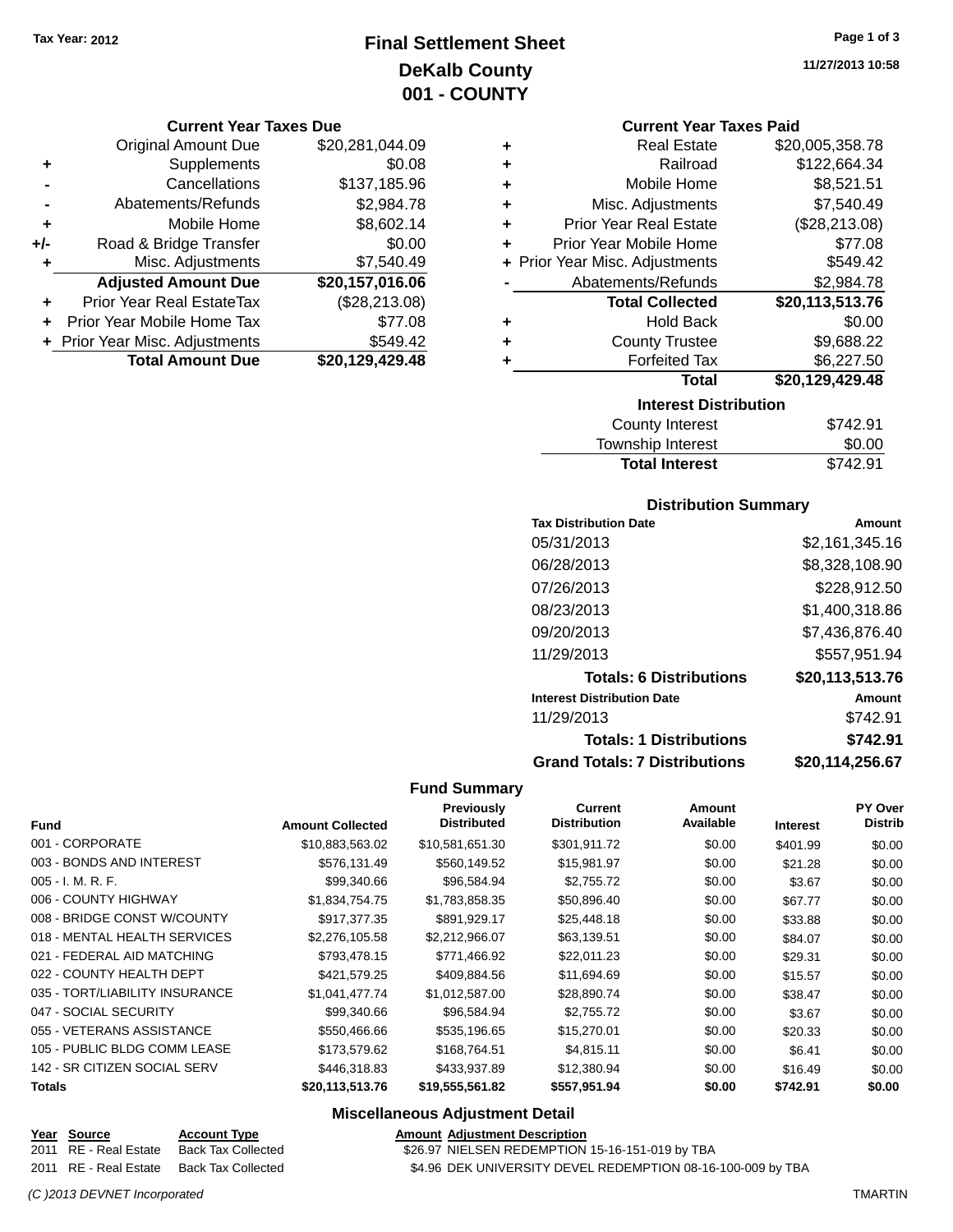# **Final Settlement Sheet Tax Year: 2012 Page 1 of 3 DeKalb County 001 - COUNTY**

#### **Current Year Taxes Due**

|     | <b>Original Amount Due</b>       | \$20,281,044.09 |
|-----|----------------------------------|-----------------|
| ٠   | Supplements                      | \$0.08          |
|     | Cancellations                    | \$137,185.96    |
|     | Abatements/Refunds               | \$2,984.78      |
| ٠   | Mobile Home                      | \$8,602.14      |
| +/- | Road & Bridge Transfer           | \$0.00          |
| ٠   | Misc. Adjustments                | \$7,540.49      |
|     | <b>Adjusted Amount Due</b>       | \$20,157,016.06 |
|     | <b>Prior Year Real EstateTax</b> | (\$28,213.08)   |
|     | Prior Year Mobile Home Tax       | \$77.08         |
|     | + Prior Year Misc. Adjustments   | \$549.42        |
|     | <b>Total Amount Due</b>          | \$20,129,429.48 |

#### **Current Year Taxes Paid**

| ٠ | <b>Real Estate</b>             | \$20,005,358.78 |
|---|--------------------------------|-----------------|
| ٠ | Railroad                       | \$122,664.34    |
| ٠ | Mobile Home                    | \$8,521.51      |
| ٠ | Misc. Adjustments              | \$7,540.49      |
| ٠ | <b>Prior Year Real Estate</b>  | (\$28,213.08)   |
| ٠ | Prior Year Mobile Home         | \$77.08         |
|   | + Prior Year Misc. Adjustments | \$549.42        |
|   | Abatements/Refunds             | \$2,984.78      |
|   | <b>Total Collected</b>         | \$20,113,513.76 |
| ٠ | <b>Hold Back</b>               | \$0.00          |
| ٠ | <b>County Trustee</b>          | \$9,688.22      |
| ٠ | <b>Forfeited Tax</b>           | \$6,227.50      |
|   | <b>Total</b>                   | \$20,129,429.48 |
|   | <b>Interest Distribution</b>   |                 |
|   | .                              |                 |

| County Interest       | \$742.91 |
|-----------------------|----------|
| Township Interest     | \$0.00   |
| <b>Total Interest</b> | \$742.91 |

#### **Distribution Summary**

| <b>Tax Distribution Date</b>         | Amount          |
|--------------------------------------|-----------------|
| 05/31/2013                           | \$2,161,345.16  |
| 06/28/2013                           | \$8,328,108.90  |
| 07/26/2013                           | \$228,912.50    |
| 08/23/2013                           | \$1,400,318.86  |
| 09/20/2013                           | \$7.436.876.40  |
| 11/29/2013                           | \$557,951.94    |
| <b>Totals: 6 Distributions</b>       | \$20,113,513.76 |
| <b>Interest Distribution Date</b>    | Amount          |
| 11/29/2013                           | \$742.91        |
| <b>Totals: 1 Distributions</b>       | \$742.91        |
| <b>Grand Totals: 7 Distributions</b> | \$20.114.256.67 |

#### **Fund Summary**

|                                |                         | <b>Previously</b>  | <b>Current</b>      | Amount    |          | <b>PY Over</b> |
|--------------------------------|-------------------------|--------------------|---------------------|-----------|----------|----------------|
| <b>Fund</b>                    | <b>Amount Collected</b> | <b>Distributed</b> | <b>Distribution</b> | Available | Interest | <b>Distrib</b> |
| 001 - CORPORATE                | \$10,883,563.02         | \$10,581,651.30    | \$301,911.72        | \$0.00    | \$401.99 | \$0.00         |
| 003 - BONDS AND INTEREST       | \$576,131.49            | \$560,149.52       | \$15,981.97         | \$0.00    | \$21.28  | \$0.00         |
| $005 - I. M. R. F.$            | \$99,340.66             | \$96,584.94        | \$2,755.72          | \$0.00    | \$3.67   | \$0.00         |
| 006 - COUNTY HIGHWAY           | \$1,834,754.75          | \$1,783,858.35     | \$50,896.40         | \$0.00    | \$67.77  | \$0.00         |
| 008 - BRIDGE CONST W/COUNTY    | \$917.377.35            | \$891.929.17       | \$25,448.18         | \$0.00    | \$33.88  | \$0.00         |
| 018 - MENTAL HEALTH SERVICES   | \$2,276,105.58          | \$2,212,966.07     | \$63,139.51         | \$0.00    | \$84.07  | \$0.00         |
| 021 - FEDERAL AID MATCHING     | \$793,478.15            | \$771,466.92       | \$22,011.23         | \$0.00    | \$29.31  | \$0.00         |
| 022 - COUNTY HEALTH DEPT       | \$421,579.25            | \$409,884.56       | \$11,694.69         | \$0.00    | \$15.57  | \$0.00         |
| 035 - TORT/LIABILITY INSURANCE | \$1,041,477.74          | \$1,012,587.00     | \$28,890.74         | \$0.00    | \$38.47  | \$0.00         |
| 047 - SOCIAL SECURITY          | \$99,340.66             | \$96,584.94        | \$2,755.72          | \$0.00    | \$3.67   | \$0.00         |
| 055 - VETERANS ASSISTANCE      | \$550,466.66            | \$535,196.65       | \$15,270.01         | \$0.00    | \$20.33  | \$0.00         |
| 105 - PUBLIC BLDG COMM LEASE   | \$173,579.62            | \$168,764.51       | \$4,815.11          | \$0.00    | \$6.41   | \$0.00         |
| 142 - SR CITIZEN SOCIAL SERV   | \$446,318.83            | \$433,937.89       | \$12,380.94         | \$0.00    | \$16.49  | \$0.00         |
| <b>Totals</b>                  | \$20,113,513.76         | \$19,555,561.82    | \$557,951.94        | \$0.00    | \$742.91 | \$0.00         |

#### **Miscellaneous Adjustment Detail**

| Year Source           | <b>Account Type</b>                      | <b>Amount Adjustment Description</b>                        |
|-----------------------|------------------------------------------|-------------------------------------------------------------|
| 2011 RE - Real Estate | Back Tax Collected                       | \$26.97 NIELSEN REDEMPTION 15-16-151-019 by TBA             |
|                       | 2011 RE - Real Estate Back Tax Collected | \$4.96 DEK UNIVERSITY DEVEL REDEMPTION 08-16-100-009 by TBA |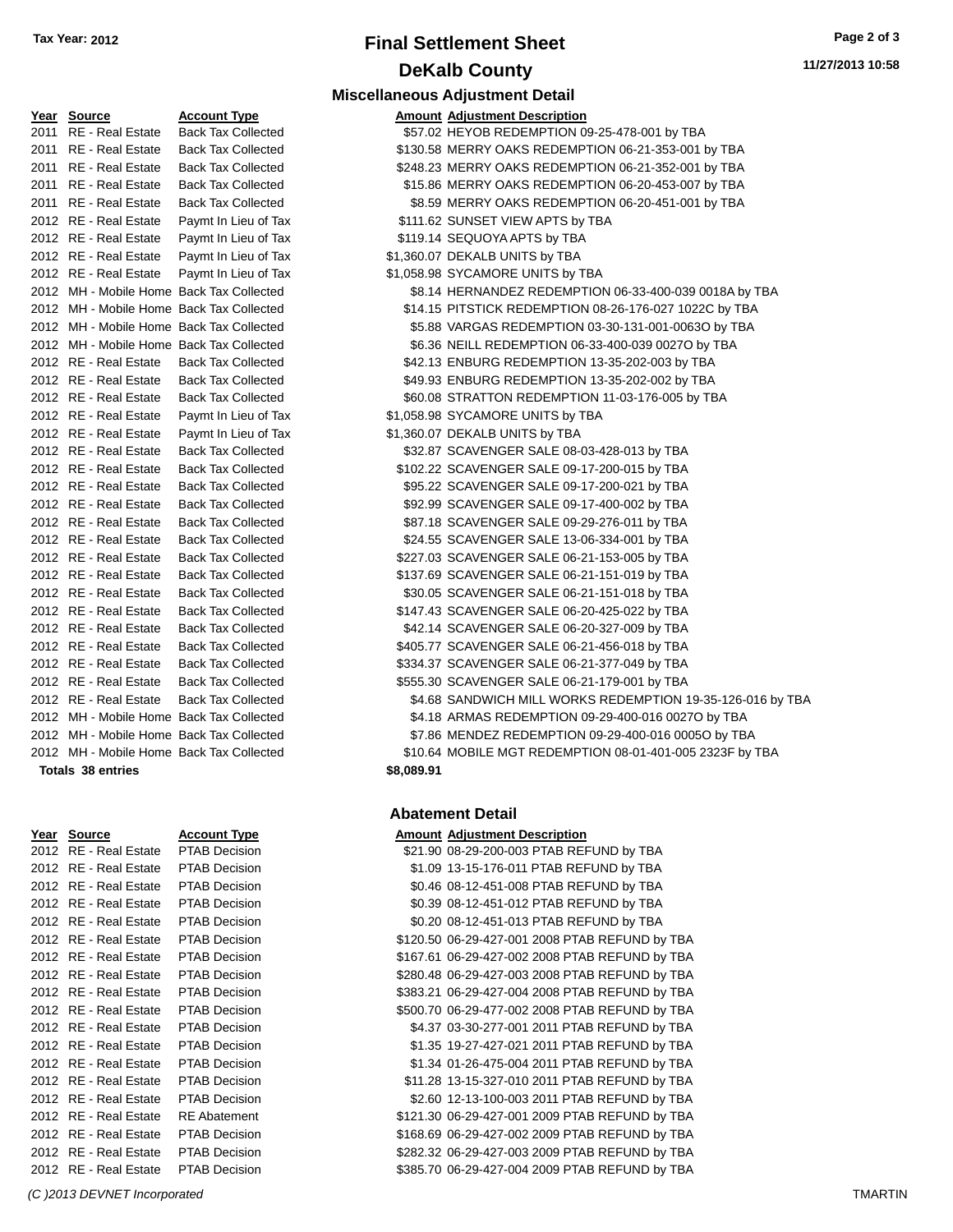# **Final Settlement Sheet Tax Year: 2012 Page 2 of 3 DeKalb County**

| Year   | <b>Source</b>           | <b>Account Type</b>      |
|--------|-------------------------|--------------------------|
| 2011   | <b>RE</b> - Real Estate | <b>Back Tax Collecte</b> |
| 2011   | RE - Real Estate        | <b>Back Tax Collecte</b> |
| 2011   | <b>RE</b> - Real Estate | <b>Back Tax Collecte</b> |
| 2011   | <b>RE</b> - Real Estate | <b>Back Tax Collecte</b> |
| 2011   | <b>RE</b> - Real Estate | <b>Back Tax Collecte</b> |
| 2012   | <b>RE</b> - Real Estate | Paymt In Lieu of T       |
| 2012   | <b>RE</b> - Real Estate | Paymt In Lieu of 1       |
| 2012   | <b>RE</b> - Real Estate | Paymt In Lieu of 1       |
| 2012   | RE - Real Estate        | Paymt In Lieu of 1       |
| 2012   | MH - Mobile Home        | <b>Back Tax Collecte</b> |
| 2012   | MH - Mobile Home        | <b>Back Tax Collecte</b> |
| 2012   | MH - Mobile Home        | <b>Back Tax Collecte</b> |
| 2012   | MH - Mobile Home        | <b>Back Tax Collecte</b> |
| 2012   | RE - Real Estate        | <b>Back Tax Collecte</b> |
| 2012   | <b>RE</b> - Real Estate | <b>Back Tax Collecte</b> |
| 2012   | <b>RE</b> - Real Estate | <b>Back Tax Collecte</b> |
| 2012   | RE - Real Estate        | Paymt In Lieu of 1       |
| 2012   | <b>RE</b> - Real Estate | Paymt In Lieu of 1       |
| 2012   | RE - Real Estate        | <b>Back Tax Collecte</b> |
| 2012   | <b>RE</b> - Real Estate | <b>Back Tax Collecte</b> |
| 2012   | RE - Real Estate        | <b>Back Tax Collecte</b> |
| 2012   | <b>RE</b> - Real Estate | <b>Back Tax Collecte</b> |
| 2012   | <b>RE</b> - Real Estate | <b>Back Tax Collecte</b> |
| 2012   | <b>RE</b> - Real Estate | <b>Back Tax Collecte</b> |
| 2012   | <b>RE</b> - Real Estate | <b>Back Tax Collecte</b> |
| 2012   | <b>RE</b> - Real Estate | <b>Back Tax Collecte</b> |
| 2012   | RE - Real Estate        | <b>Back Tax Collecte</b> |
| 2012   | <b>RE</b> - Real Estate | <b>Back Tax Collecte</b> |
| 2012   | <b>RE</b> - Real Estate | <b>Back Tax Collecte</b> |
| 2012   | RE - Real Estate        | <b>Back Tax Collecte</b> |
| 2012   | <b>RE</b> - Real Estate | <b>Back Tax Collecte</b> |
| 2012   | RE - Real Estate        | <b>Back Tax Collecte</b> |
| 2012   | <b>RE</b> - Real Estate | <b>Back Tax Collecte</b> |
| 2012   | MH - Mobile Home        | <b>Back Tax Collecte</b> |
| 2012   | MH - Mobile Home        | <b>Back Tax Collecte</b> |
| 2012   | MH - Mobile Home        | <b>Back Tax Collecte</b> |
| Totals | 38 entries              |                          |

| Year | Source                  | <u>Account Typ</u> |
|------|-------------------------|--------------------|
| 2012 | RE - Real Estate        | PTAB Decisi        |
| 2012 | RE - Real Estate        | PTAB Decisi        |
| 2012 | RE - Real Estate        | PTAB Decisi        |
| 2012 | <b>RE</b> - Real Estate | PTAB Decisi        |
| 2012 | <b>RE</b> - Real Estate | PTAB Decisi        |
| 2012 | <b>RE</b> - Real Estate | PTAB Decisi        |
| 2012 | RE - Real Estate        | PTAB Decisi        |
| 2012 | RE - Real Estate        | PTAB Decisi        |
| 2012 | RE - Real Estate        | PTAB Decisi        |
| 2012 | <b>RE</b> - Real Estate | PTAB Decisi        |
| 2012 | <b>RE</b> - Real Estate | PTAB Decisi        |
| 2012 | <b>RE</b> - Real Estate | PTAB Decisi        |
| 2012 | RE - Real Estate        | PTAB Decisi        |
| 2012 | RE - Real Estate        | PTAB Decisi        |
| 2012 | <b>RE</b> - Real Estate | PTAB Decisi        |
| 2012 | <b>RE</b> - Real Estate | RE Abateme         |
| 2012 | RE - Real Estate        | PTAB Decisi        |
| 2012 | RE - Real Estate        | PTAB Decisi        |
| 2012 | RE - Real Estate        | PTAB Decisi        |

#### **Miscellaneous Adjustment Detail Amount Adjustment Description** 2011 **Extrach Collected State Back Tax Collected \$57.02 HEYOB REDEMPTION 09-25-478-001 by TBA** 2011 2010 Back Tax Gold State Back Tax Collected \$130.58 MERRY OAKS REDEMPTION 06-21-353-001 by TBA ed \$248.23 MERRY OAKS REDEMPTION 06-21-352-001 by TBA 2011 **2012 Real Estate Back Tax Collected S15.86 MERRY OAKS REDEMPTION 06-20-453-007 by TBA** 2011 **2011 88.59 MERRY OAKS REDEMPTION 06-20-451-001 by TBA** External Case of the State Payment Case of Tax and State Payment In Lieu of Tax External Case of the State Payment State Payment In Lieu of Tax and Tax and Tax state Payment State Payment St Tax 51,360.07 DEKALB UNITS by TBA Tax  $$1,058.98$  SYCAMORE UNITS by TBA 2012 MH - Mobile Home Back Tax Collected \$8.14 HERNANDEZ REDEMPTION 06-33-400-039 0018A by TBA 2012 MH - Mobile State State State Home Back Tax Collected \$14.15 PITSTICK REDEMPTION 08-26-176-027 1022C by TB 2d 55.88 VARGAS REDEMPTION 03-30-131-001-0063O by TBA 2012 MH - Mobile Solid S6.36 NEILL REDEMPTION 06-33-400-039 0027O by TBA 2012 842.13 ENBURG REDEMPTION 13-35-202-003 by TBA 2012 RE - Real Estate Back Tax Collected \$49.93 ENBURG REDEMPTION 13-35-202-002 by TBA 2012 2012 860.08 STRATTON REDEMPTION 11-03-176-005 by TBA External Case 31,058.98 SYCAMORE UNITS by TBA Tax  $$1,360.07$  DEKALB UNITS by TBA 2012 **832.87 SCAVENGER SALE 08-03-428-013 by TBA** 2012 8012 BOACH SALE 09-17-200-015 by TBA 2012 895.22 SCAVENGER SALE 09-17-200-021 by TBA

- 2012 **2012 Real Estate Back Tax Collected \$92.99 SCAVENGER SALE 09-17-400-002 by TBA** 2012 2012 887.18 SCAVENGER SALE 09-29-276-011 by TBA 2012 **324.55 SCAVENGER SALE 13-06-334-001 by TBA** ed \$227.03 SCAVENGER SALE 06-21-153-005 by TBA 2012 **8137.69 SCAVENGER SALE 06-21-151-019 by TBA** 2012 **820.05 SCAVENGER SALE 06-21-151-018 by TBA** 2012 8147.43 SCAVENGER SALE 06-20-425-022 by TBA 2012 **2012 Real Estate Back Tax CAVENGER SALE 06-20-327-009 by TBA** 2012 **3405.77 SCAVENGER SALE 06-21-456-018 by TBA** 2012 **8334.37 SCAVENGER SALE 06-21-377-049 by TBA** 2012 **82012 Real Estate Back Tax Collected \$555.30 SCAVENGER SALE 06-21-179-001 by TBA** 2012 **2012 REal Estate Back Tax Collected S4.68 SANDWICH MILL WORKS REDEMPTION 19-35-126-016 by TBA** 2012 MH - Mobile State State State State State State State State State State State State State State State Sta 2012 MH - Mobile St.86 MENDEZ REDEMPTION 09-29-400-016 0005O by TBA
- 2012 MOBILE MGT REDEMPTION 08-01-401-005 2323F by TBA

**Totals 38 entries \$8,089.91**

#### **Abatement Detail**

#### **PEREFIGEE ACCOUNTER ACCOUNTER ADDEN AMOUNT ADDEN ACCOUNT ACCOUNT ACCOUNT ACCOUNT** ACCOUNT ACCOUNT ACCOUNT ACCOUNT 001 21.90 08-29-200-003 PTAB REFUND by TBA 2012 81.09 13-15-176-011 PTAB REFUND by TBA 2012 80.46 08-12-451-008 PTAB REFUND by TBA 2012 08-12-451-012 PTAB REFUND by TBA 2012 80.2012 80.20 08-12-451-013 PTAB REFUND by TBA 001 **2012 Real Estate PTAB REFUND by TBA** 001 8167.61 06-29-427-002 2008 PTAB REFUND by TBA 001 8280.48 06-29-427-003 2008 PTAB REFUND by TBA 001 **2012 Real Estate PTAB REFUND by TBA** 001 **2012 8500.70 06-29-477-002 2008 PTAB REFUND by TBA** 2012 84.37 03-30-277-001 2011 PTAB REFUND by TBA 001 **21.35 19-27-427-021 2011 PTAB REFUND by TBA** 2012 81.34 01-26-475-004 2011 PTAB REFUND by TBA 2012 811.28 13-15-327-010 2011 PTAB REFUND by TBA 001 **2012 82.60 12-13-100-003 2011 PTAB REFUND by TBA** nt \$121.30 06-29-427-001 2009 PTAB REFUND by TBA 2012 8168.69 06-29-427-002 2009 PTAB REFUND by TBA 001 **2282.32 06-29-427-003 2009 PTAB REFUND by TBA** 2009 PTAB REFUND by TBA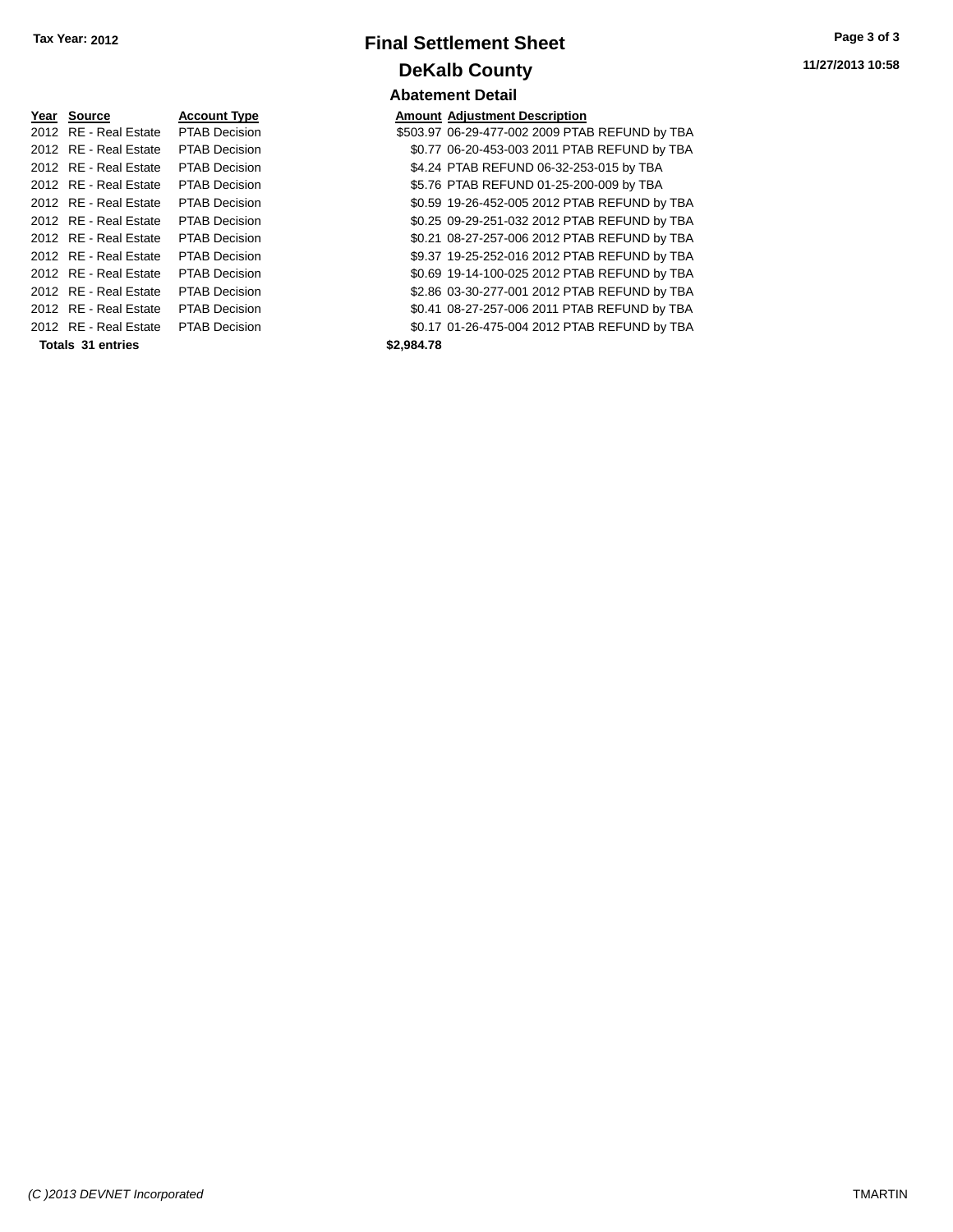| Year Source           | <b>Account Type</b>  | Amount     |
|-----------------------|----------------------|------------|
| 2012 RE - Real Estate | <b>PTAB Decision</b> | \$503.97   |
| 2012 RE - Real Estate | <b>PTAB Decision</b> | \$0.77     |
| 2012 RE - Real Estate | <b>PTAB Decision</b> | \$4.24     |
| 2012 RE - Real Estate | <b>PTAB Decision</b> | \$5.76     |
| 2012 RE - Real Estate | <b>PTAB Decision</b> | \$0.59     |
| 2012 RE - Real Estate | <b>PTAB Decision</b> | \$0.25     |
| 2012 RE - Real Estate | <b>PTAB Decision</b> | \$0.21     |
| 2012 RE - Real Estate | <b>PTAB Decision</b> | \$9.37     |
| 2012 RE - Real Estate | <b>PTAB Decision</b> | \$0.69     |
| 2012 RE - Real Estate | <b>PTAB Decision</b> | \$2.86     |
| 2012 RE - Real Estate | <b>PTAB Decision</b> | \$0.41     |
| 2012 RE - Real Estate | <b>PTAB Decision</b> | \$0.17     |
| Totals 31 entries     |                      | \$2,984.78 |

# **Final Settlement Sheet Tax Year: 2012 Page 3 of 3 DeKalb County Abatement Detail**

**Amount Adjustment Description** \$503.97 06-29-477-002 2009 PTAB REFUND by TBA \$0.77 06-20-453-003 2011 PTAB REFUND by TBA \$4.24 PTAB REFUND 06-32-253-015 by TBA \$5.76 PTAB REFUND 01-25-200-009 by TBA \$0.59 19-26-452-005 2012 PTAB REFUND by TBA \$0.25 09-29-251-032 2012 PTAB REFUND by TBA \$0.21 08-27-257-006 2012 PTAB REFUND by TBA \$9.37 19-25-252-016 2012 PTAB REFUND by TBA \$0.69 19-14-100-025 2012 PTAB REFUND by TBA \$2.86 03-30-277-001 2012 PTAB REFUND by TBA \$0.41 08-27-257-006 2011 PTAB REFUND by TBA \$0.17 01-26-475-004 2012 PTAB REFUND by TBA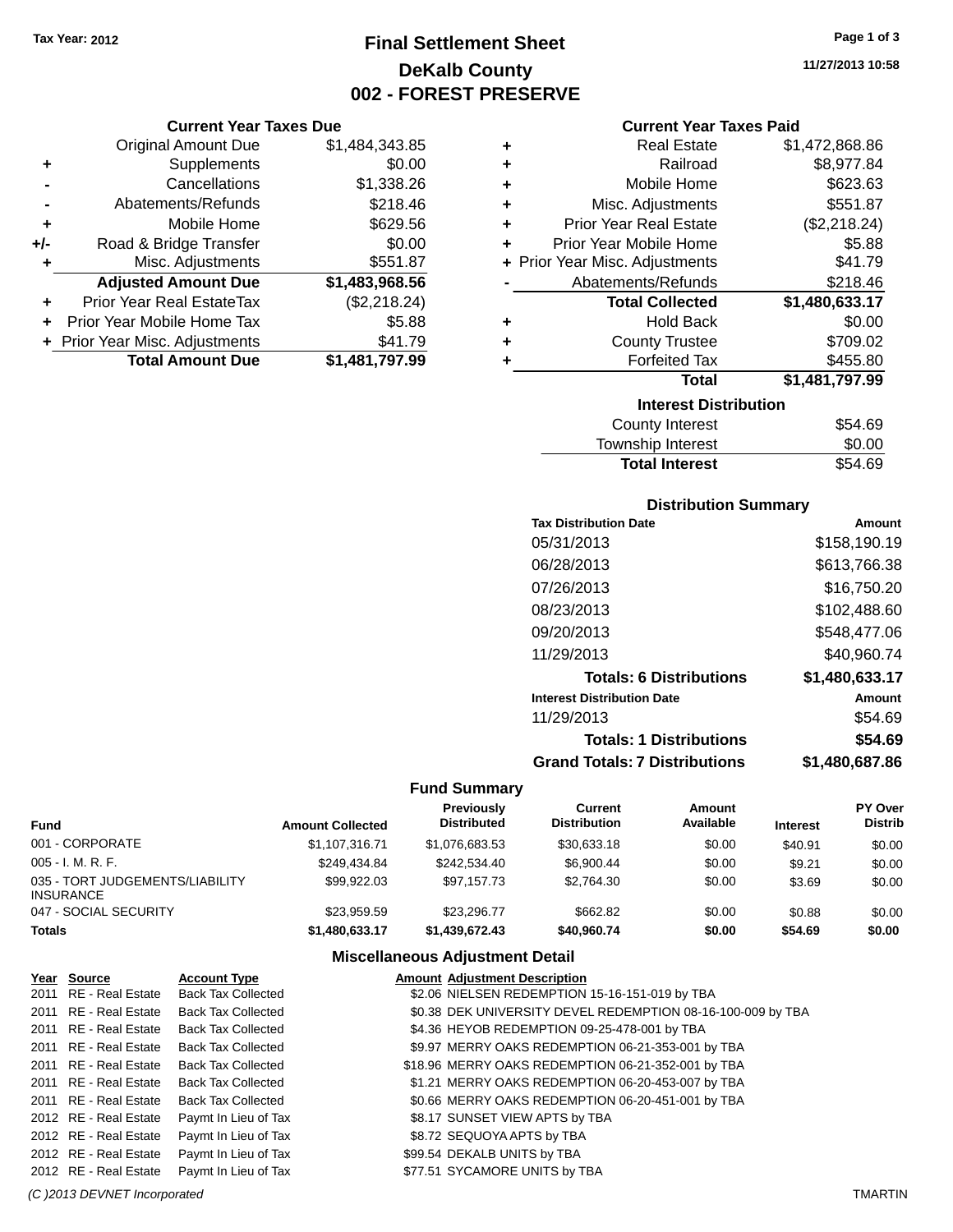# **Final Settlement Sheet Tax Year: 2012 Page 1 of 3 DeKalb County 002 - FOREST PRESERVE**

#### **Current Year Taxes Due**

|       | <b>Original Amount Due</b>     | \$1,484,343.85 |
|-------|--------------------------------|----------------|
| ٠     | Supplements                    | \$0.00         |
|       | Cancellations                  | \$1,338.26     |
|       | Abatements/Refunds             | \$218.46       |
| ٠     | Mobile Home                    | \$629.56       |
| $+/-$ | Road & Bridge Transfer         | \$0.00         |
| ٠     | Misc. Adjustments              | \$551.87       |
|       | <b>Adjusted Amount Due</b>     | \$1,483,968.56 |
|       | Prior Year Real EstateTax      | (\$2,218.24)   |
|       | Prior Year Mobile Home Tax     | \$5.88         |
|       | + Prior Year Misc. Adjustments | \$41.79        |
|       | <b>Total Amount Due</b>        | \$1,481,797.99 |

| ٠ | <b>Real Estate</b>             | \$1,472,868.86 |
|---|--------------------------------|----------------|
|   |                                |                |
| ٠ | Railroad                       | \$8,977.84     |
| ٠ | Mobile Home                    | \$623.63       |
| ٠ | Misc. Adjustments              | \$551.87       |
| ٠ | <b>Prior Year Real Estate</b>  | (\$2,218.24)   |
| ٠ | Prior Year Mobile Home         | \$5.88         |
|   | + Prior Year Misc. Adjustments | \$41.79        |
|   | Abatements/Refunds             | \$218.46       |
|   | <b>Total Collected</b>         | \$1,480,633.17 |
| ٠ | <b>Hold Back</b>               | \$0.00         |
| ٠ | <b>County Trustee</b>          | \$709.02       |
| ٠ | <b>Forfeited Tax</b>           | \$455.80       |
|   | Total                          | \$1,481,797.99 |
|   | <b>Interest Distribution</b>   |                |
|   | <b>County Interest</b>         | \$54.69        |

| <b>Total Interest</b> | \$54.69 |
|-----------------------|---------|
| Township Interest     | \$0.00  |
| County Interest       | \$54.69 |

#### **Distribution Summary**

| <b>Tax Distribution Date</b>         | Amount         |
|--------------------------------------|----------------|
| 05/31/2013                           | \$158,190.19   |
| 06/28/2013                           | \$613,766.38   |
| 07/26/2013                           | \$16,750.20    |
| 08/23/2013                           | \$102,488.60   |
| 09/20/2013                           | \$548,477.06   |
| 11/29/2013                           | \$40,960.74    |
| <b>Totals: 6 Distributions</b>       | \$1,480,633.17 |
| <b>Interest Distribution Date</b>    | Amount         |
| 11/29/2013                           | \$54.69        |
| <b>Totals: 1 Distributions</b>       | \$54.69        |
| <b>Grand Totals: 7 Distributions</b> | \$1.480.687.86 |

### **Fund Summary**

| Fund                                         | <b>Amount Collected</b> | <b>Previously</b><br><b>Distributed</b> | Current<br><b>Distribution</b> | Amount<br>Available | <b>Interest</b> | <b>PY Over</b><br><b>Distrib</b> |
|----------------------------------------------|-------------------------|-----------------------------------------|--------------------------------|---------------------|-----------------|----------------------------------|
| 001 - CORPORATE                              | \$1.107.316.71          | \$1.076.683.53                          | \$30.633.18                    | \$0.00              | \$40.91         | \$0.00                           |
| 005 - I. M. R. F.                            | \$249.434.84            | \$242,534.40                            | \$6,900.44                     | \$0.00              | \$9.21          | \$0.00                           |
| 035 - TORT JUDGEMENTS/LIABILITY<br>INSURANCE | \$99,922,03             | \$97.157.73                             | \$2,764.30                     | \$0.00              | \$3.69          | \$0.00                           |
| 047 - SOCIAL SECURITY                        | \$23.959.59             | \$23,296,77                             | \$662.82                       | \$0.00              | \$0.88          | \$0.00                           |
| Totals                                       | \$1,480,633.17          | \$1,439,672.43                          | \$40,960,74                    | \$0.00              | \$54.69         | \$0.00                           |

#### **Miscellaneous Adjustment Detail**

| Year Source           | <b>Account Type</b>       | <b>Amount Adjustment Description</b>                        |
|-----------------------|---------------------------|-------------------------------------------------------------|
| 2011 RE - Real Estate | <b>Back Tax Collected</b> | \$2.06 NIELSEN REDEMPTION 15-16-151-019 by TBA              |
| 2011 RE - Real Estate | <b>Back Tax Collected</b> | \$0.38 DEK UNIVERSITY DEVEL REDEMPTION 08-16-100-009 by TBA |
| 2011 RE - Real Estate | <b>Back Tax Collected</b> | \$4.36 HEYOB REDEMPTION 09-25-478-001 by TBA                |
| 2011 RE - Real Estate | <b>Back Tax Collected</b> | \$9.97 MERRY OAKS REDEMPTION 06-21-353-001 by TBA           |
| 2011 RE - Real Estate | <b>Back Tax Collected</b> | \$18.96 MERRY OAKS REDEMPTION 06-21-352-001 by TBA          |
| 2011 RE - Real Estate | <b>Back Tax Collected</b> | \$1.21 MERRY OAKS REDEMPTION 06-20-453-007 by TBA           |
| 2011 RE - Real Estate | Back Tax Collected        | \$0.66 MERRY OAKS REDEMPTION 06-20-451-001 by TBA           |
| 2012 RE - Real Estate | Paymt In Lieu of Tax      | \$8.17 SUNSET VIEW APTS by TBA                              |
| 2012 RE - Real Estate | Paymt In Lieu of Tax      | \$8.72 SEQUOYA APTS by TBA                                  |
| 2012 RE - Real Estate | Paymt In Lieu of Tax      | \$99.54 DEKALB UNITS by TBA                                 |
| 2012 RE - Real Estate | Paymt In Lieu of Tax      | \$77.51 SYCAMORE UNITS by TBA                               |

*(C )2013 DEVNET Incorporated* TMARTIN

**11/27/2013 10:58**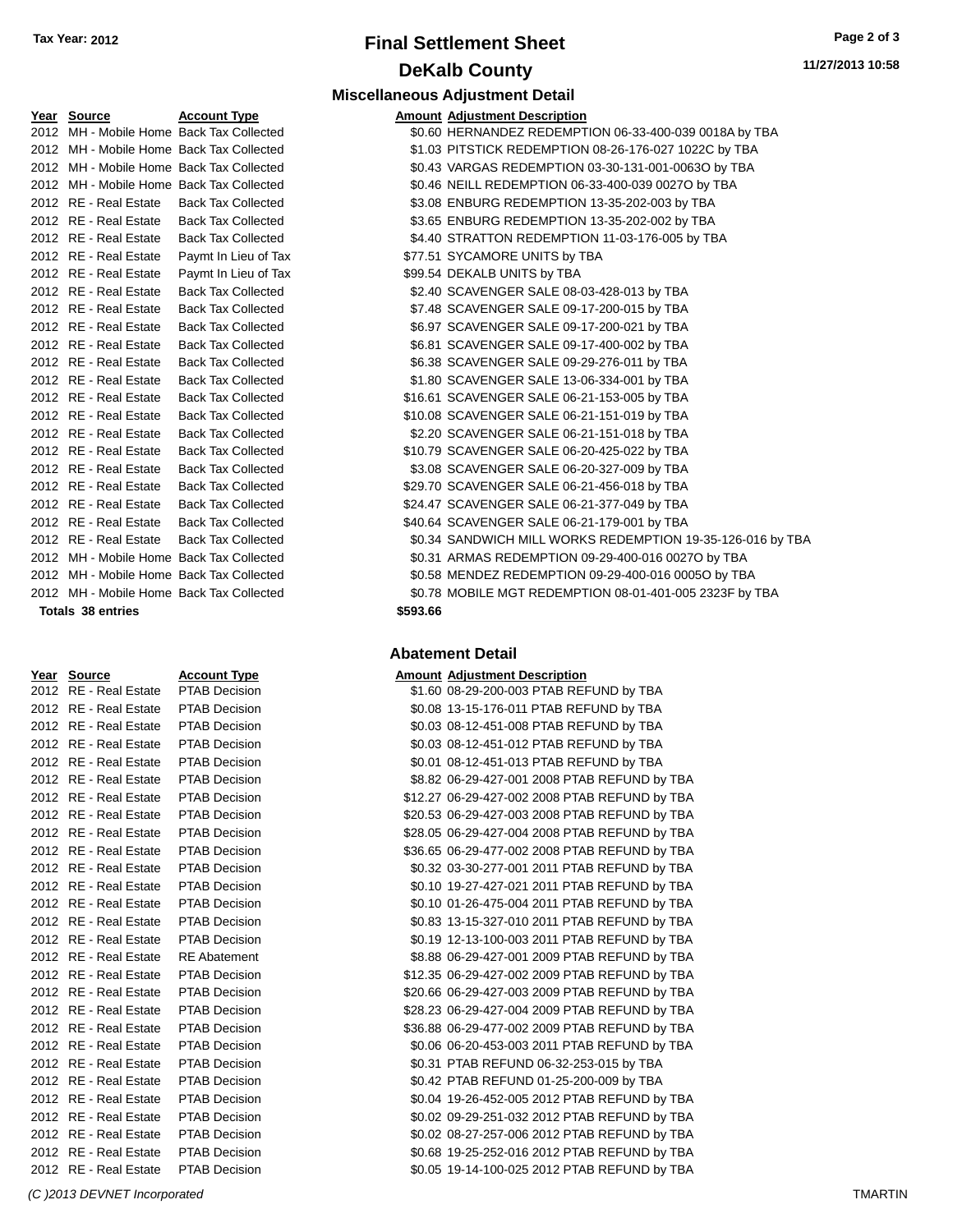# **Final Settlement Sheet Tax Year: 2012 Page 2 of 3 DeKalb County Miscellaneous Adjustment Detail**

**11/27/2013 10:58**

| rear source                              | ACCOUNT Type                               | AINOUNT AUJUSTINENT DESCRIPTION |
|------------------------------------------|--------------------------------------------|---------------------------------|
| 2012 MH - Mobile Home Back Tax Collected |                                            | \$0.60 HERNANDEZ REDEMPTIO      |
| 2012 MH - Mobile Home Back Tax Collected |                                            | \$1.03 PITSTICK REDEMPTION 08   |
| 2012 MH - Mobile Home Back Tax Collected |                                            | \$0.43 VARGAS REDEMPTION 03     |
| 2012 MH - Mobile Home Back Tax Collected |                                            | \$0.46 NEILL REDEMPTION 06-33   |
| 2012 RE - Real Estate Back Tax Collected |                                            | \$3.08 ENBURG REDEMPTION 13     |
| 2012 RE - Real Estate Back Tax Collected |                                            | \$3.65 ENBURG REDEMPTION 13     |
|                                          | 2012 RE - Real Estate Back Tax Collected   | \$4.40 STRATTON REDEMPTION      |
|                                          | 2012 RE - Real Estate Paymt In Lieu of Tax | \$77.51 SYCAMORE UNITS by TBA   |
| 2012 RE - Real Estate                    | Paymt In Lieu of Tax                       | \$99.54 DEKALB UNITS by TBA     |
| 2012 RE - Real Estate                    | <b>Back Tax Collected</b>                  | \$2.40 SCAVENGER SALE 08-03-4   |
| 2012 RE - Real Estate                    | <b>Back Tax Collected</b>                  | \$7.48 SCAVENGER SALE 09-17-2   |
| 2012 RE - Real Estate                    | <b>Back Tax Collected</b>                  | \$6.97 SCAVENGER SALE 09-17-2   |
| 2012 RE - Real Estate                    | <b>Back Tax Collected</b>                  | \$6.81 SCAVENGER SALE 09-17-4   |
| 2012 RE - Real Estate                    | <b>Back Tax Collected</b>                  | \$6.38 SCAVENGER SALE 09-29-2   |
| 2012 RE - Real Estate                    | <b>Back Tax Collected</b>                  | \$1.80 SCAVENGER SALE 13-06-3   |
| 2012 RE - Real Estate                    | <b>Back Tax Collected</b>                  | \$16.61 SCAVENGER SALE 06-21-1  |
| 2012 RE - Real Estate                    | <b>Back Tax Collected</b>                  | \$10.08 SCAVENGER SALE 06-21-1  |
| 2012 RE - Real Estate                    | <b>Back Tax Collected</b>                  | \$2.20 SCAVENGER SALE 06-21-1   |
| 2012 RE - Real Estate                    | <b>Back Tax Collected</b>                  | \$10.79 SCAVENGER SALE 06-20-4  |
| 2012 RE - Real Estate                    | <b>Back Tax Collected</b>                  | \$3.08 SCAVENGER SALE 06-20-3   |
| 2012 RE - Real Estate                    | <b>Back Tax Collected</b>                  | \$29.70 SCAVENGER SALE 06-21-4  |
| 2012 RE - Real Estate                    | <b>Back Tax Collected</b>                  | \$24.47 SCAVENGER SALE 06-21-3  |
| 2012 RE - Real Estate                    | <b>Back Tax Collected</b>                  | \$40.64 SCAVENGER SALE 06-21-1  |
|                                          | 2012 RE - Real Estate Back Tax Collected   | \$0.34 SANDWICH MILL WORKS I    |
| 2012 MH - Mobile Home Back Tax Collected |                                            | \$0.31 ARMAS REDEMPTION 09-2    |
| 2012 MH - Mobile Home Back Tax Collected |                                            | \$0.58 MENDEZ REDEMPTION 09     |
| 2012 MH - Mobile Home Back Tax Collected |                                            | \$0.78 MOBILE MGT REDEMPTIO     |
|                                          |                                            |                                 |

#### **Totals 38 entries \$593.66**

| <u>Year</u> | <u>Source</u>           | <b>Account Type</b>  |
|-------------|-------------------------|----------------------|
| 2012        | <b>RE</b> - Real Estate | <b>PTAB Decision</b> |
| 2012        | <b>RE</b> - Real Estate | PTAB Decisior        |
| 2012        | <b>RE</b> - Real Estate | PTAB Decisior        |
| 2012        | RE - Real Estate        | PTAB Decisior        |
| 2012        | <b>RE</b> - Real Estate | PTAB Decisior        |
| 2012        | <b>RE</b> - Real Estate | PTAB Decisior        |
| 2012        | <b>RE</b> - Real Estate | <b>PTAB Decision</b> |
| 2012        | <b>RE</b> - Real Estate | PTAB Decisior        |
| 2012        | <b>RE</b> - Real Estate | PTAB Decisior        |
| 2012        | <b>RE</b> - Real Estate | PTAB Decisior        |
| 2012        | RE - Real Estate        | PTAB Decisior        |
| 2012        | RE - Real Estate        | PTAB Decisior        |
| 2012        | <b>RE</b> - Real Estate | PTAB Decisior        |
| 2012        | <b>RE</b> - Real Estate | PTAB Decisior        |
| 2012        | <b>RE</b> - Real Estate | <b>PTAB Decision</b> |
| 2012        | <b>RE</b> - Real Estate | <b>RE</b> Abatement  |
| 2012        | <b>RE</b> - Real Estate | <b>PTAB Decision</b> |
| 2012        | <b>RE</b> - Real Estate | PTAB Decisior        |
| 2012        | RE - Real Estate        | <b>PTAB Decision</b> |
| 2012        | <b>RE</b> - Real Estate | <b>PTAB Decision</b> |
| 2012        | RE - Real Estate        | PTAB Decisior        |
| 2012        | RE - Real Estate        | <b>PTAB Decision</b> |
| 2012        | <b>RE</b> - Real Estate | PTAB Decisior        |
| 2012        | <b>RE</b> - Real Estate | <b>PTAB Decision</b> |
| 2012        | <b>RE</b> - Real Estate | <b>PTAB Decision</b> |
| 2012        | <b>RE</b> - Real Estate | PTAB Decisior        |
| 2012        | <b>RE</b> - Real Estate | <b>PTAB Decision</b> |
| 2012        | RF - Real Estate        | <b>PTAR Decision</b> |

|                                          |                           | <b>MISCONDICOUS AUJUSTINGIIL DOLUI</b> I               |
|------------------------------------------|---------------------------|--------------------------------------------------------|
| Year Source                              | <b>Account Type</b>       | <b>Amount Adjustment Description</b>                   |
| 2012 MH - Mobile Home Back Tax Collected |                           | \$0.60 HERNANDEZ REDEMPTION 06-33-400-039 0018A by TBA |
| 2012 MH - Mobile Home Back Tax Collected |                           | \$1.03 PITSTICK REDEMPTION 08-26-176-027 1022C by TBA  |
| 2012 MH - Mobile Home Back Tax Collected |                           | \$0.43 VARGAS REDEMPTION 03-30-131-001-0063O by TBA    |
| 2012 MH - Mobile Home Back Tax Collected |                           | \$0.46 NEILL REDEMPTION 06-33-400-039 0027O by TBA     |
| 2012 RE - Real Estate Back Tax Collected |                           | \$3.08 ENBURG REDEMPTION 13-35-202-003 by TBA          |
| 2012 RE - Real Estate Back Tax Collected |                           | \$3.65 ENBURG REDEMPTION 13-35-202-002 by TBA          |
| 2012 RE - Real Estate                    | <b>Back Tax Collected</b> | \$4.40 STRATTON REDEMPTION 11-03-176-005 by TBA        |
| 2012 RE - Real Estate                    | Paymt In Lieu of Tax      | \$77.51 SYCAMORE UNITS by TBA                          |
| 2012 RE - Real Estate                    | Paymt In Lieu of Tax      | \$99.54 DEKALB UNITS by TBA                            |
| 2012 RE - Real Estate                    | <b>Back Tax Collected</b> | \$2.40 SCAVENGER SALE 08-03-428-013 by TBA             |
| 2012 RE - Real Estate                    | <b>Back Tax Collected</b> | \$7.48 SCAVENGER SALE 09-17-200-015 by TBA             |
| 2012 RE - Real Estate                    | <b>Back Tax Collected</b> | \$6.97 SCAVENGER SALE 09-17-200-021 by TBA             |
| 2012 RE - Real Estate                    | <b>Back Tax Collected</b> | \$6.81 SCAVENGER SALE 09-17-400-002 by TBA             |
|                                          |                           |                                                        |

| zuiz KE-Keal Estate                      | Dack Tax Collected        | <b>JO.97 SUAVENGER SALE 09-17-200-021 DY TDA</b>           |
|------------------------------------------|---------------------------|------------------------------------------------------------|
| 2012 RE - Real Estate                    | <b>Back Tax Collected</b> | \$6.81 SCAVENGER SALE 09-17-400-002 by TBA                 |
| 2012 RE - Real Estate                    | <b>Back Tax Collected</b> | \$6.38 SCAVENGER SALE 09-29-276-011 by TBA                 |
| 2012 RE - Real Estate                    | <b>Back Tax Collected</b> | \$1.80 SCAVENGER SALE 13-06-334-001 by TBA                 |
| 2012 RE - Real Estate                    | <b>Back Tax Collected</b> | \$16.61 SCAVENGER SALE 06-21-153-005 by TBA                |
| 2012 RE - Real Estate                    | <b>Back Tax Collected</b> | \$10.08 SCAVENGER SALE 06-21-151-019 by TBA                |
| 2012 RE - Real Estate                    | <b>Back Tax Collected</b> | \$2.20 SCAVENGER SALE 06-21-151-018 by TBA                 |
| 2012 RE - Real Estate                    | <b>Back Tax Collected</b> | \$10.79 SCAVENGER SALE 06-20-425-022 by TBA                |
| 2012 RE - Real Estate                    | <b>Back Tax Collected</b> | \$3.08 SCAVENGER SALE 06-20-327-009 by TBA                 |
| 2012 RE - Real Estate                    | <b>Back Tax Collected</b> | \$29.70 SCAVENGER SALE 06-21-456-018 by TBA                |
| 2012 RE - Real Estate                    | <b>Back Tax Collected</b> | \$24.47 SCAVENGER SALE 06-21-377-049 by TBA                |
| 2012 RE - Real Estate                    | <b>Back Tax Collected</b> | \$40.64 SCAVENGER SALE 06-21-179-001 by TBA                |
| 2012 RE - Real Estate                    | <b>Back Tax Collected</b> | \$0.34 SANDWICH MILL WORKS REDEMPTION 19-35-126-016 by TBA |
| 2012 MH - Mobile Home Back Tax Collected |                           | \$0.31 ARMAS REDEMPTION 09-29-400-016 0027O by TBA         |
| 2012 MH - Mobile Home Back Tax Collected |                           | \$0.58 MENDEZ REDEMPTION 09-29-400-016 0005O by TBA        |
| 2012 MH - Mobile Home Back Tax Collected |                           | \$0.78 MOBILE MGT REDEMPTION 08-01-401-005 2323F by TBA    |

#### **Abatement Detail**

#### **Amount Adjustment Description**

| 2012 RE - Real Estate | <b>PTAB Decision</b> | \$1.60 08-29-200-003 PTAB REFUND by TBA       |
|-----------------------|----------------------|-----------------------------------------------|
| 2012 RE - Real Estate | <b>PTAB Decision</b> | \$0.08 13-15-176-011 PTAB REFUND by TBA       |
| 2012 RE - Real Estate | <b>PTAB Decision</b> | \$0.03 08-12-451-008 PTAB REFUND by TBA       |
| 2012 RE - Real Estate | <b>PTAB Decision</b> | \$0.03 08-12-451-012 PTAB REFUND by TBA       |
| 2012 RE - Real Estate | <b>PTAB Decision</b> | \$0.01 08-12-451-013 PTAB REFUND by TBA       |
| 2012 RE - Real Estate | <b>PTAB Decision</b> | \$8.82 06-29-427-001 2008 PTAB REFUND by TBA  |
| 2012 RE - Real Estate | <b>PTAB Decision</b> | \$12.27 06-29-427-002 2008 PTAB REFUND by TBA |
| 2012 RE - Real Estate | <b>PTAB Decision</b> | \$20.53 06-29-427-003 2008 PTAB REFUND by TBA |
| 2012 RE - Real Estate | <b>PTAB Decision</b> | \$28.05 06-29-427-004 2008 PTAB REFUND by TBA |
| 2012 RE - Real Estate | <b>PTAB Decision</b> | \$36.65 06-29-477-002 2008 PTAB REFUND by TBA |
| 2012 RE - Real Estate | <b>PTAB Decision</b> | \$0.32 03-30-277-001 2011 PTAB REFUND by TBA  |
| 2012 RE - Real Estate | <b>PTAB Decision</b> | \$0.10 19-27-427-021 2011 PTAB REFUND by TBA  |
| 2012 RE - Real Estate | <b>PTAB Decision</b> | \$0.10 01-26-475-004 2011 PTAB REFUND by TBA  |
| 2012 RE - Real Estate | <b>PTAB Decision</b> | \$0.83 13-15-327-010 2011 PTAB REFUND by TBA  |
| 2012 RE - Real Estate | <b>PTAB Decision</b> | \$0.19 12-13-100-003 2011 PTAB REFUND by TBA  |
| 2012 RE - Real Estate | <b>RE</b> Abatement  | \$8.88 06-29-427-001 2009 PTAB REFUND by TBA  |
| 2012 RE - Real Estate | <b>PTAB Decision</b> | \$12.35 06-29-427-002 2009 PTAB REFUND by TBA |
| 2012 RE - Real Estate | <b>PTAB Decision</b> | \$20.66 06-29-427-003 2009 PTAB REFUND by TBA |
| 2012 RE - Real Estate | <b>PTAB Decision</b> | \$28.23 06-29-427-004 2009 PTAB REFUND by TBA |
| 2012 RE - Real Estate | PTAB Decision        | \$36.88 06-29-477-002 2009 PTAB REFUND by TBA |
| 2012 RE - Real Estate | <b>PTAB Decision</b> | \$0.06 06-20-453-003 2011 PTAB REFUND by TBA  |
| 2012 RE - Real Estate | <b>PTAB Decision</b> | \$0.31 PTAB REFUND 06-32-253-015 by TBA       |
| 2012 RE - Real Estate | <b>PTAB Decision</b> | \$0.42 PTAB REFUND 01-25-200-009 by TBA       |
| 2012 RE - Real Estate | <b>PTAB Decision</b> | \$0.04 19-26-452-005 2012 PTAB REFUND by TBA  |
| 2012 RE - Real Estate | <b>PTAB Decision</b> | \$0.02 09-29-251-032 2012 PTAB REFUND by TBA  |
| 2012 RE - Real Estate | <b>PTAB Decision</b> | \$0.02 08-27-257-006 2012 PTAB REFUND by TBA  |
| 2012 RE - Real Estate | <b>PTAB Decision</b> | \$0.68 19-25-252-016 2012 PTAB REFUND by TBA  |
| 2012 RE - Real Estate | PTAB Decision        | \$0.05 19-14-100-025 2012 PTAB REFUND by TBA  |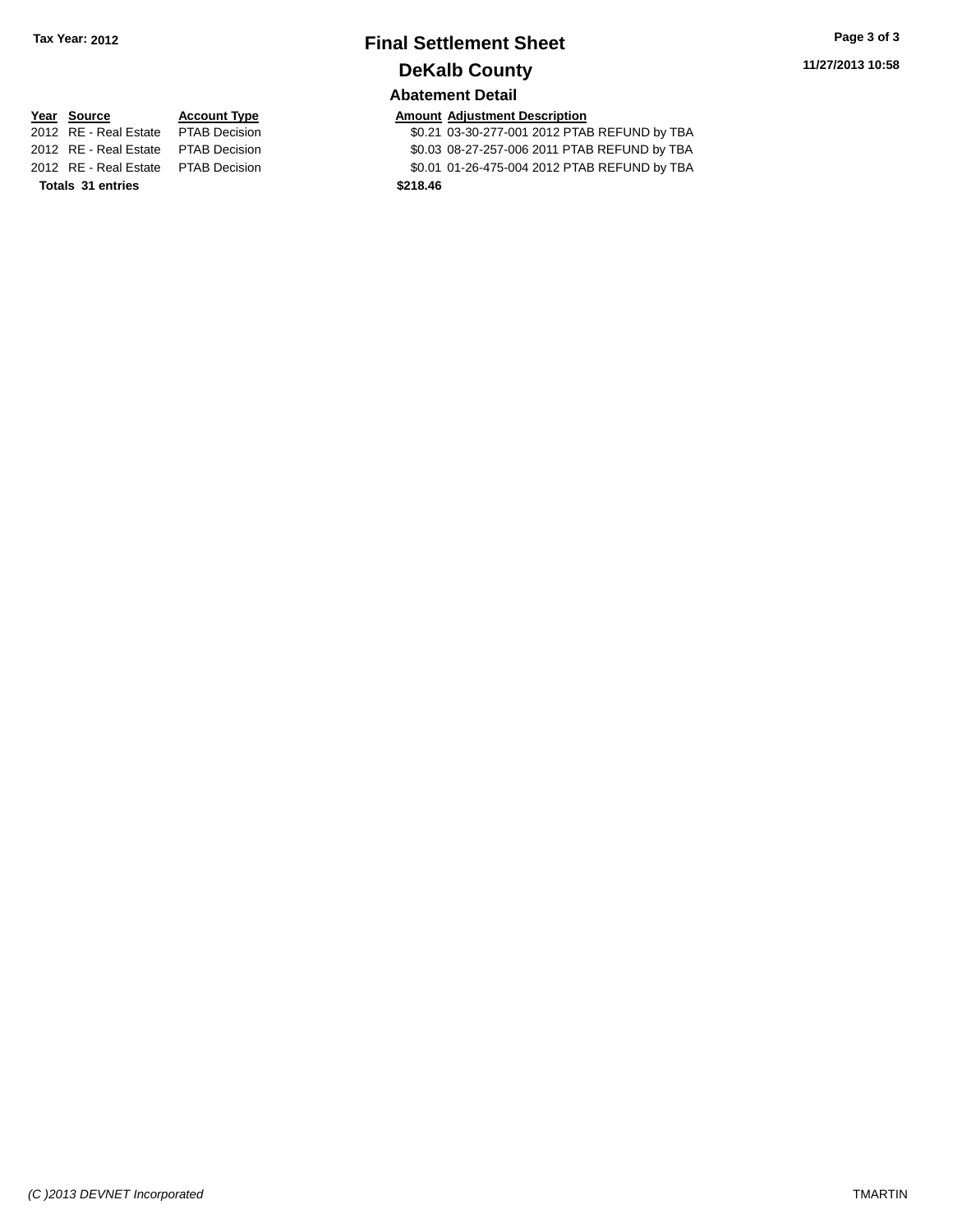# **Final Settlement Sheet Tax Year: 2012 Page 3 of 3 DeKalb County Abatement Detail**

**Totals 31 entries \$218.46**

**<u>Year Source</u> <b>Account Type Amount Adjustment Description**<br>2012 RE - Real Estate PTAB Decision \$0.21 03-30-277-001 2012 PTAB

\$0.21 03-30-277-001 2012 PTAB REFUND by TBA 2012 RE - Real Estate PTAB Decision \$0.03 08-27-257-006 2011 PTAB REFUND by TBA 2012 RE - Real Estate PTAB Decision \$0.01 01-26-475-004 2012 PTAB REFUND by TBA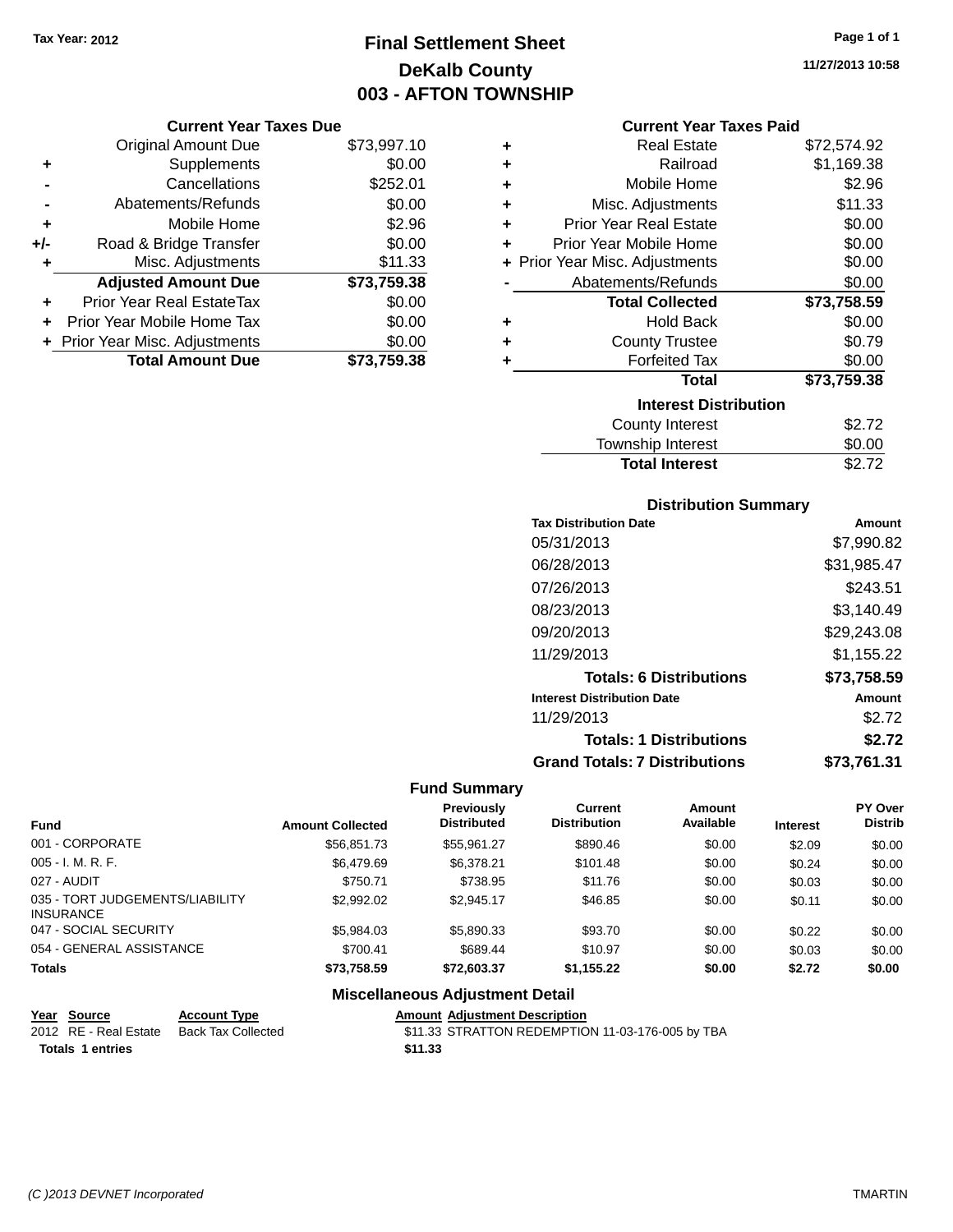# **Final Settlement Sheet Tax Year: 2012 Page 1 of 1 DeKalb County 003 - AFTON TOWNSHIP**

**11/27/2013 10:58**

|     | <b>Original Amount Due</b>       | \$73,997.10 |
|-----|----------------------------------|-------------|
| ٠   | Supplements                      | \$0.00      |
|     | Cancellations                    | \$252.01    |
|     | Abatements/Refunds               | \$0.00      |
| ÷   | Mobile Home                      | \$2.96      |
| +/- | Road & Bridge Transfer           | \$0.00      |
| ٠   | Misc. Adjustments                | \$11.33     |
|     | <b>Adjusted Amount Due</b>       | \$73,759.38 |
| ٠   | <b>Prior Year Real EstateTax</b> | \$0.00      |
|     | Prior Year Mobile Home Tax       | \$0.00      |
|     | + Prior Year Misc. Adjustments   | \$0.00      |
|     | <b>Total Amount Due</b>          | \$73.759.38 |

| <b>Current Year Taxes Paid</b> |             |  |
|--------------------------------|-------------|--|
| Real Estate                    | \$72,574.92 |  |
|                                | .           |  |

| ÷ | Railroad                       | \$1,169.38  |
|---|--------------------------------|-------------|
| ÷ | Mobile Home                    | \$2.96      |
| ÷ | Misc. Adjustments              | \$11.33     |
| ÷ | <b>Prior Year Real Estate</b>  | \$0.00      |
| ٠ | Prior Year Mobile Home         | \$0.00      |
|   | + Prior Year Misc. Adjustments | \$0.00      |
|   | Abatements/Refunds             | \$0.00      |
|   | <b>Total Collected</b>         | \$73,758.59 |
| ٠ | <b>Hold Back</b>               | \$0.00      |
| ÷ | <b>County Trustee</b>          | \$0.79      |
| ÷ | <b>Forfeited Tax</b>           | \$0.00      |
|   | <b>Total</b>                   | \$73,759.38 |
|   | <b>Interest Distribution</b>   |             |
|   | <b>County Interest</b>         | \$2.72      |
|   | <b>Township Interest</b>       | \$0.00      |
|   | <b>Total Interest</b>          | \$2.72      |

#### **Distribution Summary**

| <b>Tax Distribution Date</b>         | Amount      |
|--------------------------------------|-------------|
| 05/31/2013                           | \$7,990.82  |
| 06/28/2013                           | \$31,985.47 |
| 07/26/2013                           | \$243.51    |
| 08/23/2013                           | \$3,140.49  |
| 09/20/2013                           | \$29,243.08 |
| 11/29/2013                           | \$1,155.22  |
| <b>Totals: 6 Distributions</b>       | \$73,758.59 |
| <b>Interest Distribution Date</b>    | Amount      |
| 11/29/2013                           | \$2.72      |
| <b>Totals: 1 Distributions</b>       | \$2.72      |
| <b>Grand Totals: 7 Distributions</b> | \$73,761.31 |

### **Fund Summary**

| <b>Fund</b>                                         | <b>Amount Collected</b> | <b>Previously</b><br><b>Distributed</b> | Current<br><b>Distribution</b> | Amount<br>Available | <b>Interest</b> | PY Over<br><b>Distrib</b> |
|-----------------------------------------------------|-------------------------|-----------------------------------------|--------------------------------|---------------------|-----------------|---------------------------|
| 001 - CORPORATE                                     | \$56,851.73             | \$55,961.27                             | \$890.46                       | \$0.00              | \$2.09          | \$0.00                    |
| $005 - I. M. R. F.$                                 | \$6.479.69              | \$6.378.21                              | \$101.48                       | \$0.00              | \$0.24          | \$0.00                    |
| 027 - AUDIT                                         | \$750.71                | \$738.95                                | \$11.76                        | \$0.00              | \$0.03          | \$0.00                    |
| 035 - TORT JUDGEMENTS/LIABILITY<br><b>INSURANCE</b> | \$2,992.02              | \$2.945.17                              | \$46.85                        | \$0.00              | \$0.11          | \$0.00                    |
| 047 - SOCIAL SECURITY                               | \$5,984.03              | \$5,890.33                              | \$93.70                        | \$0.00              | \$0.22          | \$0.00                    |
| 054 - GENERAL ASSISTANCE                            | \$700.41                | \$689.44                                | \$10.97                        | \$0.00              | \$0.03          | \$0.00                    |
| <b>Totals</b>                                       | \$73,758.59             | \$72,603,37                             | \$1,155.22                     | \$0.00              | \$2.72          | \$0.00                    |

### **Miscellaneous Adjustment Detail**

| Year Source             | <b>Account Type</b> | <b>Amount Adiustment Description</b>             |
|-------------------------|---------------------|--------------------------------------------------|
| 2012 RE - Real Estate   | Back Tax Collected  | \$11.33 STRATTON REDEMPTION 11-03-176-005 by TBA |
| <b>Totals 1 entries</b> |                     | \$11.33                                          |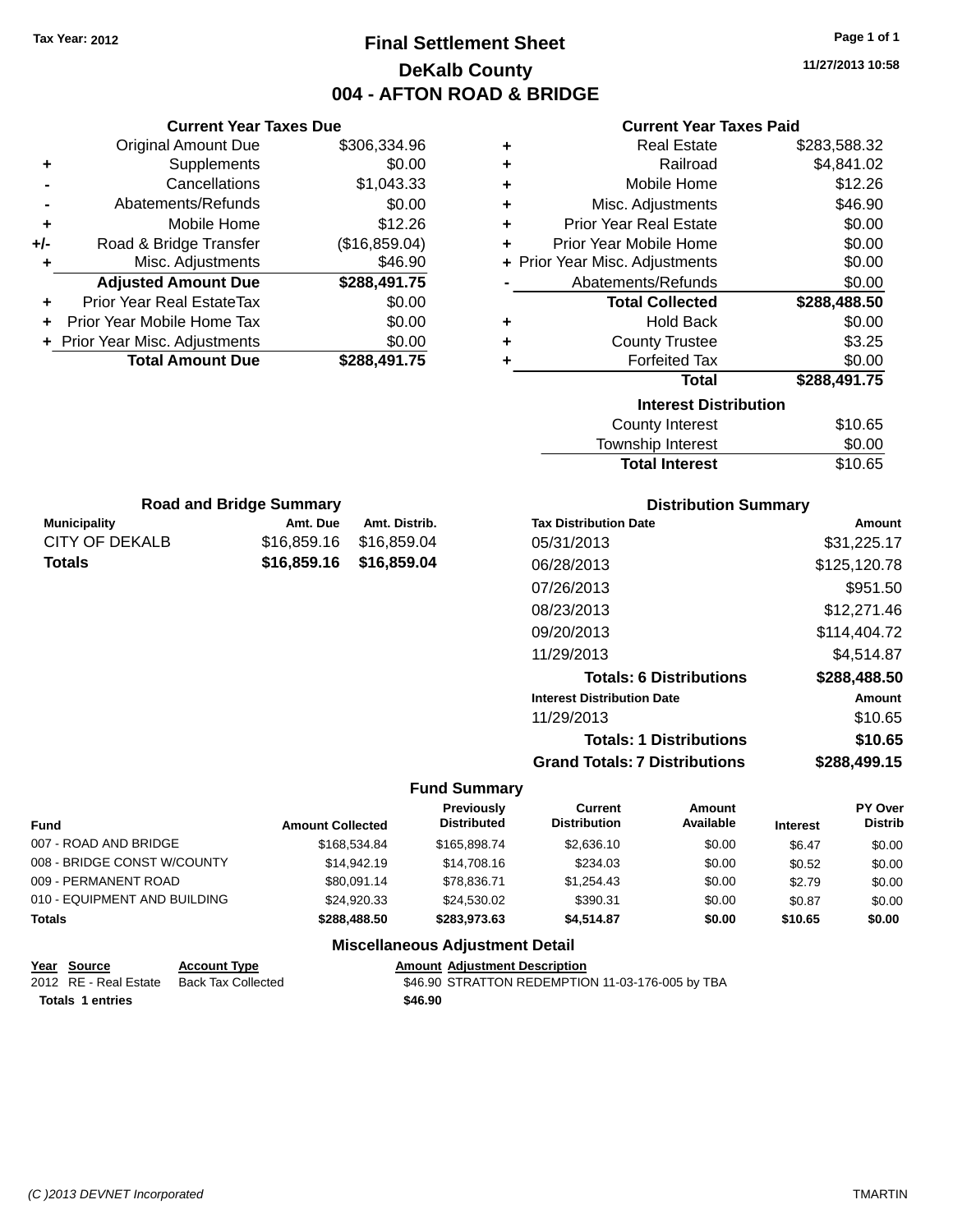**Original Amount Due** 

**Adjusted Amount Due** 

**Total Amount Due** 

**+** Supplements **-** Cancellations **-** Abatements/Refunds **+** Mobile Home **+/-** Road & Bridge Transfer **+** Misc. Adjustments

**+** Prior Year Real EstateTax \$0.00 **+** Prior Year Mobile Home Tax **+** Prior Year Misc. Adjustments

# **Final Settlement Sheet Tax Year: 2012 Page 1 of 1 DeKalb County 004 - AFTON ROAD & BRIDGE**

**11/27/2013 10:58**

| <b>Current Year Taxes Due</b> |               |   | <b>Current Year Taxes Paid</b> |              |
|-------------------------------|---------------|---|--------------------------------|--------------|
| ่<br>เl Amount Due            | \$306,334.96  |   | <b>Real Estate</b>             | \$283,588.32 |
| Supplements                   | \$0.00        | ÷ | Railroad                       | \$4,841.02   |
| Cancellations                 | \$1,043.33    | ÷ | Mobile Home                    | \$12.26      |
| าents/Refunds                 | \$0.00        | ÷ | Misc. Adjustments              | \$46.90      |
| Mobile Home                   | \$12.26       | ÷ | <b>Prior Year Real Estate</b>  | \$0.00       |
| ridge Transfer                | (\$16,859.04) | ÷ | Prior Year Mobile Home         | \$0.00       |
| . Adjustments                 | \$46.90       |   | + Prior Year Misc. Adjustments | \$0.00       |
| <b>Amount Due</b>             | \$288,491.75  |   | Abatements/Refunds             | \$0.00       |
| leal EstateTax≀               | \$0.00        |   | <b>Total Collected</b>         | \$288,488.50 |
| bile Home Tax                 | \$0.00        | ٠ | <b>Hold Back</b>               | \$0.00       |
| . Adjustments                 | \$0.00        | ٠ | <b>County Trustee</b>          | \$3.25       |
| <b>Amount Due</b>             | \$288,491.75  |   | <b>Forfeited Tax</b>           | \$0.00       |
|                               |               |   | <b>Total</b>                   | \$288,491.75 |
|                               |               |   | <b>Interest Distribution</b>   |              |
|                               |               |   | <b>County Interest</b>         | \$10.65      |
|                               |               |   | Township Interest              | \$0.00       |
|                               |               |   | <b>Total Interest</b>          | \$10.65      |
|                               |               |   |                                |              |

| <b>Road and Bridge Summary</b> |                         |               |  |  |  |  |
|--------------------------------|-------------------------|---------------|--|--|--|--|
| Municipality                   | Amt. Due                | Amt. Distrib. |  |  |  |  |
| CITY OF DEKALB                 | \$16,859,16 \$16,859,04 |               |  |  |  |  |
| Totals                         | \$16,859.16 \$16,859.04 |               |  |  |  |  |

#### **Distribution Summary**

| <b>Tax Distribution Date</b>         | Amount       |
|--------------------------------------|--------------|
| 05/31/2013                           | \$31,225.17  |
| 06/28/2013                           | \$125,120.78 |
| 07/26/2013                           | \$951.50     |
| 08/23/2013                           | \$12,271.46  |
| 09/20/2013                           | \$114.404.72 |
| 11/29/2013                           | \$4.514.87   |
| <b>Totals: 6 Distributions</b>       | \$288,488.50 |
| <b>Interest Distribution Date</b>    | Amount       |
| 11/29/2013                           | \$10.65      |
| <b>Totals: 1 Distributions</b>       | \$10.65      |
| <b>Grand Totals: 7 Distributions</b> | \$288,499.15 |

#### **Fund Summary**

| <b>Fund</b>                  | <b>Amount Collected</b> | <b>Previously</b><br><b>Distributed</b> | Current<br><b>Distribution</b> | Amount<br>Available | <b>Interest</b> | PY Over<br><b>Distrib</b> |
|------------------------------|-------------------------|-----------------------------------------|--------------------------------|---------------------|-----------------|---------------------------|
| 007 - ROAD AND BRIDGE        | \$168,534,84            | \$165,898,74                            | \$2,636.10                     | \$0.00              | \$6.47          | \$0.00                    |
| 008 - BRIDGE CONST W/COUNTY  | \$14,942.19             | \$14,708,16                             | \$234.03                       | \$0.00              | \$0.52          | \$0.00                    |
| 009 - PERMANENT ROAD         | \$80.091.14             | \$78.836.71                             | \$1.254.43                     | \$0.00              | \$2.79          | \$0.00                    |
| 010 - EQUIPMENT AND BUILDING | \$24,920.33             | \$24.530.02                             | \$390.31                       | \$0.00              | \$0.87          | \$0.00                    |
| <b>Totals</b>                | \$288,488.50            | \$283.973.63                            | \$4.514.87                     | \$0.00              | \$10.65         | \$0.00                    |
|                              |                         | Miccollanceus Adjustment Detail         |                                |                     |                 |                           |

#### **Miscellaneous Adjustment Detail**

| Year Source             | <b>Account Type</b> |         | <b>Amount Adiustment Description</b>             |
|-------------------------|---------------------|---------|--------------------------------------------------|
| 2012 RE - Real Estate   | Back Tax Collected  |         | \$46.90 STRATTON REDEMPTION 11-03-176-005 by TBA |
| <b>Totals 1 entries</b> |                     | \$46.90 |                                                  |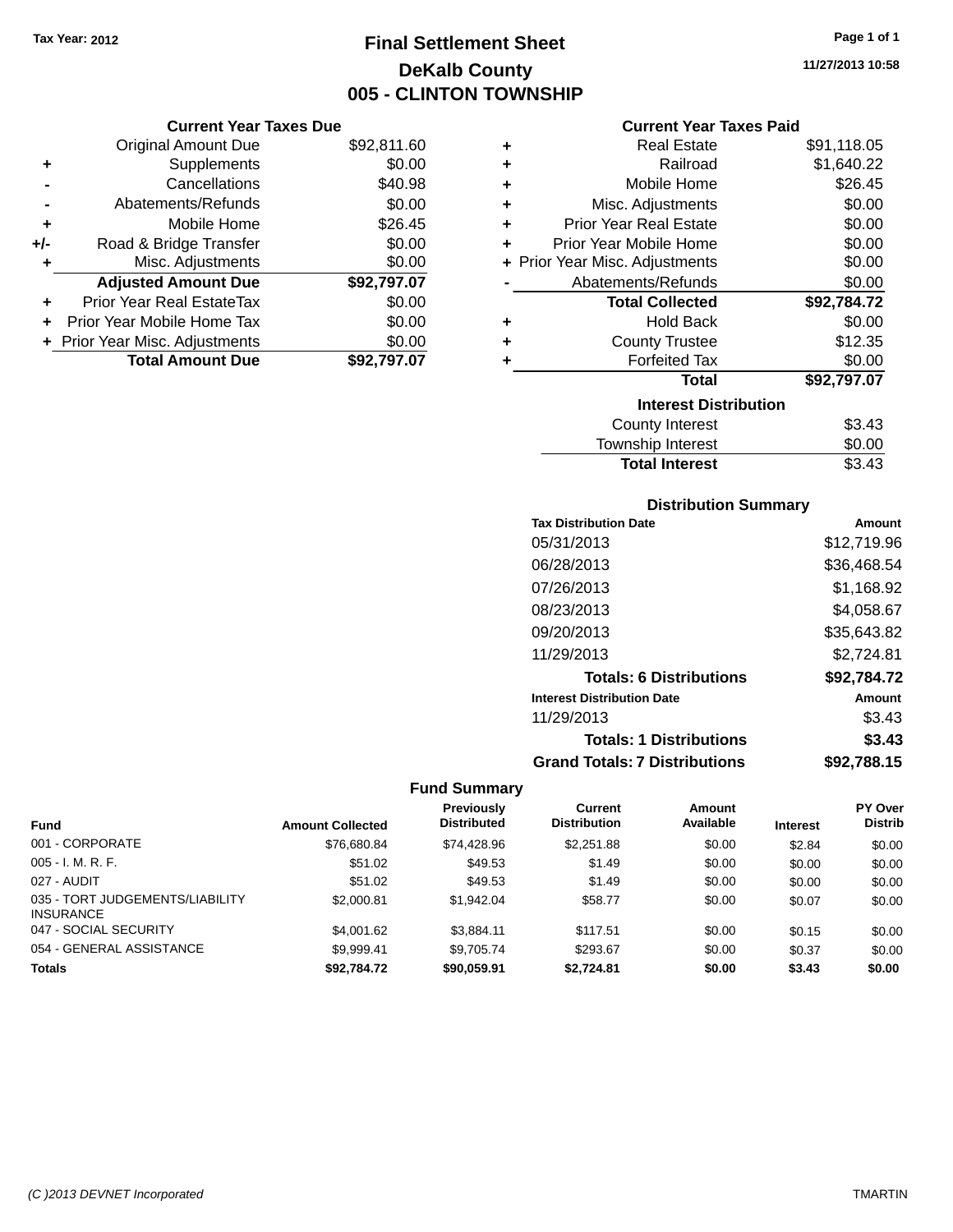# **Final Settlement Sheet Tax Year: 2012 Page 1 of 1 DeKalb County 005 - CLINTON TOWNSHIP**

**11/27/2013 10:58**

#### **Current Year Taxes Paid**

|     | <b>Current Year Taxes Due</b> |             |  |
|-----|-------------------------------|-------------|--|
|     | <b>Original Amount Due</b>    | \$92,811.60 |  |
| ٠   | Supplements                   | \$0.00      |  |
|     | Cancellations                 | \$40.98     |  |
|     | Abatements/Refunds            | \$0.00      |  |
| ٠   | Mobile Home                   | \$26.45     |  |
| +/- | Road & Bridge Transfer        | \$0.00      |  |
| ٠   | Misc. Adjustments             | \$0.00      |  |
|     | <b>Adjusted Amount Due</b>    | \$92,797.07 |  |
| ÷   | Prior Year Real EstateTax     | \$0.00      |  |
|     | Prior Year Mobile Home Tax    | \$0.00      |  |
|     | Prior Year Misc. Adjustments  | \$0.00      |  |
|     | <b>Total Amount Due</b>       | \$92.797.07 |  |
|     |                               |             |  |

| ٠ | <b>Real Estate</b>             | \$91,118.05 |  |  |  |  |  |
|---|--------------------------------|-------------|--|--|--|--|--|
| ٠ | Railroad                       | \$1,640.22  |  |  |  |  |  |
| ÷ | Mobile Home                    | \$26.45     |  |  |  |  |  |
| ÷ | Misc. Adjustments              | \$0.00      |  |  |  |  |  |
| ٠ | <b>Prior Year Real Estate</b>  | \$0.00      |  |  |  |  |  |
| ٠ | Prior Year Mobile Home         | \$0.00      |  |  |  |  |  |
|   | + Prior Year Misc. Adjustments | \$0.00      |  |  |  |  |  |
|   | Abatements/Refunds             | \$0.00      |  |  |  |  |  |
|   | <b>Total Collected</b>         | \$92,784.72 |  |  |  |  |  |
| ٠ | <b>Hold Back</b>               | \$0.00      |  |  |  |  |  |
| ÷ | <b>County Trustee</b>          | \$12.35     |  |  |  |  |  |
| ٠ | <b>Forfeited Tax</b>           | \$0.00      |  |  |  |  |  |
|   | <b>Total</b>                   | \$92,797.07 |  |  |  |  |  |
|   | <b>Interest Distribution</b>   |             |  |  |  |  |  |
|   | <b>County Interest</b>         | \$3.43      |  |  |  |  |  |
|   | Township Interest              | \$0.00      |  |  |  |  |  |
|   | <b>Total Interest</b>          | \$3.43      |  |  |  |  |  |

## **Distribution Summary**

| <b>Tax Distribution Date</b>         | Amount      |
|--------------------------------------|-------------|
| 05/31/2013                           | \$12,719.96 |
| 06/28/2013                           | \$36,468.54 |
| 07/26/2013                           | \$1,168.92  |
| 08/23/2013                           | \$4,058.67  |
| 09/20/2013                           | \$35,643.82 |
| 11/29/2013                           | \$2,724.81  |
| <b>Totals: 6 Distributions</b>       | \$92,784.72 |
| <b>Interest Distribution Date</b>    | Amount      |
| 11/29/2013                           | \$3.43      |
| <b>Totals: 1 Distributions</b>       | \$3.43      |
| <b>Grand Totals: 7 Distributions</b> | \$92,788.15 |

| <b>Fund</b>                                         | <b>Amount Collected</b> | <b>Previously</b><br><b>Distributed</b> | Current<br><b>Distribution</b> | Amount<br>Available | <b>Interest</b> | <b>PY Over</b><br><b>Distrib</b> |
|-----------------------------------------------------|-------------------------|-----------------------------------------|--------------------------------|---------------------|-----------------|----------------------------------|
| 001 - CORPORATE                                     |                         |                                         |                                |                     |                 |                                  |
|                                                     | \$76,680.84             | \$74.428.96                             | \$2,251.88                     | \$0.00              | \$2.84          | \$0.00                           |
| $005 - I. M. R. F.$                                 | \$51.02                 | \$49.53                                 | \$1.49                         | \$0.00              | \$0.00          | \$0.00                           |
| 027 - AUDIT                                         | \$51.02                 | \$49.53                                 | \$1.49                         | \$0.00              | \$0.00          | \$0.00                           |
| 035 - TORT JUDGEMENTS/LIABILITY<br><b>INSURANCE</b> | \$2,000.81              | \$1.942.04                              | \$58.77                        | \$0.00              | \$0.07          | \$0.00                           |
| 047 - SOCIAL SECURITY                               | \$4,001.62              | \$3.884.11                              | \$117.51                       | \$0.00              | \$0.15          | \$0.00                           |
| 054 - GENERAL ASSISTANCE                            | \$9.999.41              | \$9.705.74                              | \$293.67                       | \$0.00              | \$0.37          | \$0.00                           |
| <b>Totals</b>                                       | \$92.784.72             | \$90,059.91                             | \$2.724.81                     | \$0.00              | \$3.43          | \$0.00                           |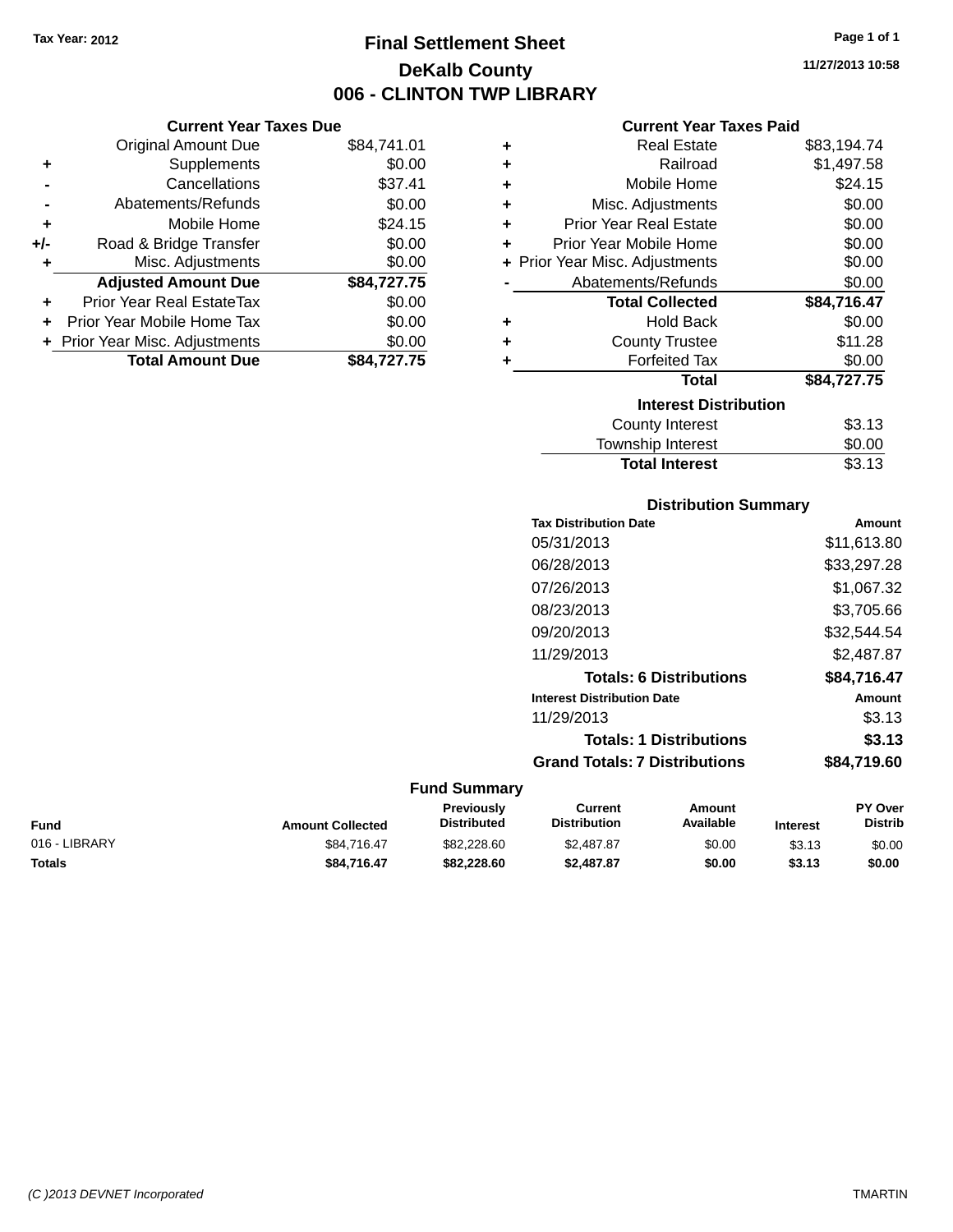# **Final Settlement Sheet Tax Year: 2012 Page 1 of 1 DeKalb County 006 - CLINTON TWP LIBRARY**

**11/27/2013 10:58**

#### **Current Year Taxes Paid**

|     | <b>Current Year Taxes Due</b>  |             |
|-----|--------------------------------|-------------|
|     | <b>Original Amount Due</b>     | \$84,741.01 |
| ٠   | Supplements                    | \$0.00      |
|     | Cancellations                  | \$37.41     |
|     | Abatements/Refunds             | \$0.00      |
| ٠   | Mobile Home                    | \$24.15     |
| +/- | Road & Bridge Transfer         | \$0.00      |
| ٠   | Misc. Adjustments              | \$0.00      |
|     | <b>Adjusted Amount Due</b>     | \$84,727.75 |
| ٠   | Prior Year Real EstateTax      | \$0.00      |
| ÷   | Prior Year Mobile Home Tax     | \$0.00      |
|     | + Prior Year Misc. Adjustments | \$0.00      |
|     | <b>Total Amount Due</b>        | \$84.727.75 |

| ٠ | <b>Real Estate</b>             | \$83,194.74 |
|---|--------------------------------|-------------|
|   | Railroad                       | \$1,497.58  |
| ٠ |                                |             |
| ٠ | Mobile Home                    | \$24.15     |
| ٠ | Misc. Adjustments              | \$0.00      |
| ٠ | <b>Prior Year Real Estate</b>  | \$0.00      |
| ٠ | Prior Year Mobile Home         | \$0.00      |
|   | + Prior Year Misc. Adjustments | \$0.00      |
|   | Abatements/Refunds             | \$0.00      |
|   | <b>Total Collected</b>         | \$84,716.47 |
| ٠ | <b>Hold Back</b>               | \$0.00      |
| ٠ | <b>County Trustee</b>          | \$11.28     |
| ٠ | <b>Forfeited Tax</b>           | \$0.00      |
|   | Total                          | \$84,727.75 |
|   | <b>Interest Distribution</b>   |             |
|   | <b>County Interest</b>         | \$3.13      |
|   | <b>Township Interest</b>       | \$0.00      |
|   | <b>Total Interest</b>          | \$3.13      |

### **Distribution Summary**

| <b>Tax Distribution Date</b>         | Amount      |
|--------------------------------------|-------------|
| 05/31/2013                           | \$11,613.80 |
| 06/28/2013                           | \$33,297.28 |
| 07/26/2013                           | \$1,067.32  |
| 08/23/2013                           | \$3,705.66  |
| 09/20/2013                           | \$32,544.54 |
| 11/29/2013                           | \$2.487.87  |
| <b>Totals: 6 Distributions</b>       | \$84.716.47 |
| <b>Interest Distribution Date</b>    | Amount      |
| 11/29/2013                           | \$3.13      |
| <b>Totals: 1 Distributions</b>       | \$3.13      |
| <b>Grand Totals: 7 Distributions</b> | \$84,719.60 |
|                                      |             |

| Fund          | <b>Amount Collected</b> | Previously<br><b>Distributed</b> | Current<br><b>Distribution</b> | Amount<br>Available | <b>Interest</b> | PY Over<br><b>Distrib</b> |
|---------------|-------------------------|----------------------------------|--------------------------------|---------------------|-----------------|---------------------------|
| 016 - LIBRARY | \$84.716.47             | \$82,228.60                      | \$2,487.87                     | \$0.00              | \$3.13          | \$0.00                    |
| Totals        | \$84.716.47             | \$82,228,60                      | \$2,487.87                     | \$0.00              | \$3.13          | \$0.00                    |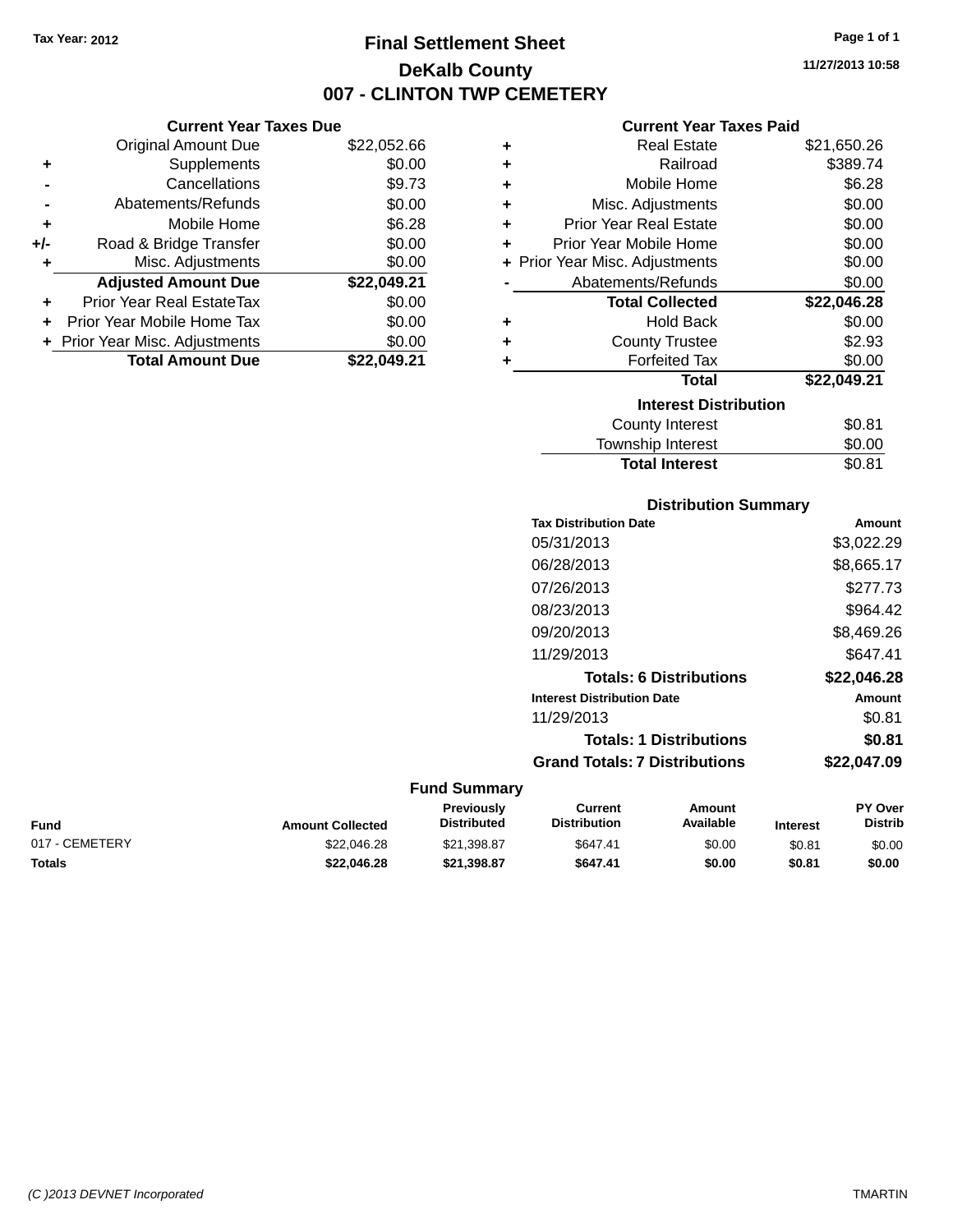# **Final Settlement Sheet Tax Year: 2012 Page 1 of 1 DeKalb County 007 - CLINTON TWP CEMETERY**

**11/27/2013 10:58**

#### **Current Year Taxes Paid**

|     | <b>Current Year Taxes Due</b>  |             |  |  |  |
|-----|--------------------------------|-------------|--|--|--|
|     | <b>Original Amount Due</b>     | \$22,052.66 |  |  |  |
| ٠   | Supplements                    | \$0.00      |  |  |  |
|     | Cancellations                  | \$9.73      |  |  |  |
|     | Abatements/Refunds             | \$0.00      |  |  |  |
| ٠   | Mobile Home                    | \$6.28      |  |  |  |
| +/- | Road & Bridge Transfer         | \$0.00      |  |  |  |
| ٠   | Misc. Adjustments              | \$0.00      |  |  |  |
|     | <b>Adjusted Amount Due</b>     | \$22,049.21 |  |  |  |
| ٠   | Prior Year Real EstateTax      | \$0.00      |  |  |  |
|     | Prior Year Mobile Home Tax     | \$0.00      |  |  |  |
|     | + Prior Year Misc. Adjustments | \$0.00      |  |  |  |
|     | <b>Total Amount Due</b>        | \$22.049.21 |  |  |  |

| ٠ | <b>Real Estate</b>             | \$21,650.26 |
|---|--------------------------------|-------------|
| ٠ | Railroad                       | \$389.74    |
| ÷ | Mobile Home                    | \$6.28      |
| ٠ | Misc. Adjustments              | \$0.00      |
| ÷ | <b>Prior Year Real Estate</b>  | \$0.00      |
| ٠ | Prior Year Mobile Home         | \$0.00      |
|   | + Prior Year Misc. Adjustments | \$0.00      |
|   | Abatements/Refunds             | \$0.00      |
|   | <b>Total Collected</b>         | \$22,046.28 |
| ٠ | Hold Back                      | \$0.00      |
| ٠ | <b>County Trustee</b>          | \$2.93      |
| ٠ | <b>Forfeited Tax</b>           | \$0.00      |
|   | <b>Total</b>                   | \$22,049.21 |
|   | <b>Interest Distribution</b>   |             |
|   | <b>County Interest</b>         | \$0.81      |
|   | <b>Township Interest</b>       | \$0.00      |
|   | <b>Total Interest</b>          | \$0.81      |

| <b>Distribution Summary</b>          |             |
|--------------------------------------|-------------|
| <b>Tax Distribution Date</b>         | Amount      |
| 05/31/2013                           | \$3,022.29  |
| 06/28/2013                           | \$8,665.17  |
| 07/26/2013                           | \$277.73    |
| 08/23/2013                           | \$964.42    |
| 09/20/2013                           | \$8,469.26  |
| 11/29/2013                           | \$647.41    |
| <b>Totals: 6 Distributions</b>       | \$22,046.28 |
| <b>Interest Distribution Date</b>    | Amount      |
| 11/29/2013                           | \$0.81      |
| <b>Totals: 1 Distributions</b>       | \$0.81      |
| <b>Grand Totals: 7 Distributions</b> | \$22.047.09 |

| Fund           | <b>Amount Collected</b> | Previouslv<br><b>Distributed</b> | Current<br><b>Distribution</b> | Amount<br>Available | <b>Interest</b> | <b>PY Over</b><br><b>Distrib</b> |
|----------------|-------------------------|----------------------------------|--------------------------------|---------------------|-----------------|----------------------------------|
| 017 - CEMETERY | \$22,046.28             | \$21.398.87                      | \$647.41                       | \$0.00              | \$0.81          | \$0.00                           |
| Totals         | \$22.046.28             | \$21.398.87                      | \$647.41                       | \$0.00              | \$0.81          | \$0.00                           |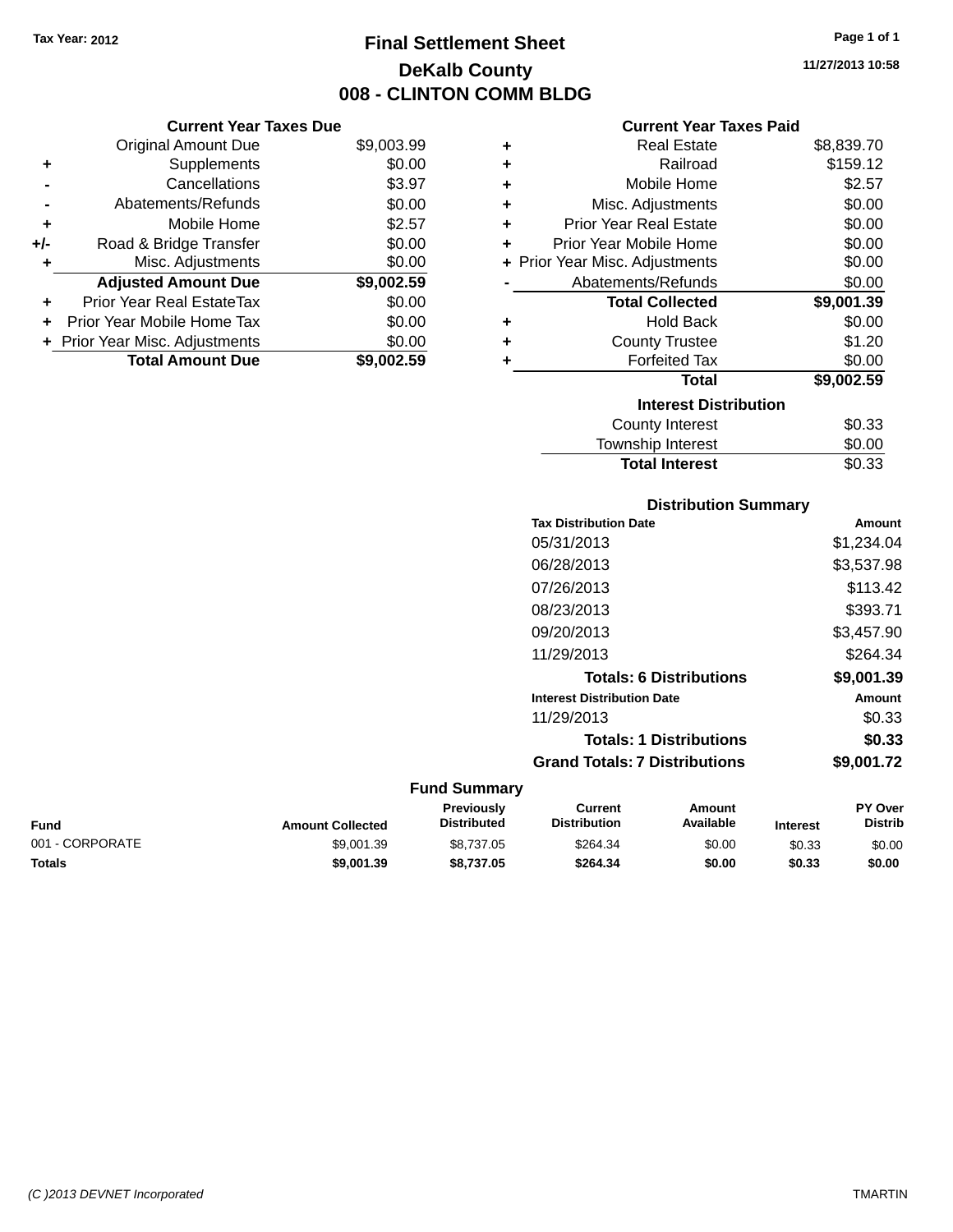# **Final Settlement Sheet Tax Year: 2012 Page 1 of 1 DeKalb County 008 - CLINTON COMM BLDG**

**11/27/2013 10:58**

#### **Current Year Taxes Paid**

| ٠ | <b>Real Estate</b>             | \$8,839.70 |
|---|--------------------------------|------------|
| ÷ | Railroad                       | \$159.12   |
| ÷ | Mobile Home                    | \$2.57     |
| ÷ | Misc. Adjustments              | \$0.00     |
| ÷ | <b>Prior Year Real Estate</b>  | \$0.00     |
| ÷ | Prior Year Mobile Home         | \$0.00     |
|   | + Prior Year Misc. Adjustments | \$0.00     |
|   | Abatements/Refunds             | \$0.00     |
|   | <b>Total Collected</b>         | \$9,001.39 |
| ٠ | <b>Hold Back</b>               | \$0.00     |
| ÷ | <b>County Trustee</b>          | \$1.20     |
| ٠ | <b>Forfeited Tax</b>           | \$0.00     |
|   | <b>Total</b>                   | \$9,002.59 |
|   | <b>Interest Distribution</b>   |            |
|   | <b>County Interest</b>         | \$0.33     |
|   | <b>Township Interest</b>       | \$0.00     |

## **Distribution Summary Tax Distribution Date Amount** 05/31/2013 \$1,234.04 06/28/2013 \$3,537.98 07/26/2013 \$113.42 08/23/2013 \$393.71 09/20/2013 \$3,457.90 11/29/2013 \$264.34 **Totals: 6 Distributions \$9,001.39 Interest Distribution Date Amount** 11/29/2013 \$0.33 **Totals: 1 Distributions \$0.33 Grand Totals: 7 Distributions \$9,001.72**

Total Interest \$0.33

#### **Fund Summary**

| Fund            | <b>Amount Collected</b> | Previously<br><b>Distributed</b> | Current<br><b>Distribution</b> | Amount<br>Available | <b>Interest</b> | <b>PY Over</b><br>Distrib |
|-----------------|-------------------------|----------------------------------|--------------------------------|---------------------|-----------------|---------------------------|
| 001 - CORPORATE | \$9.001.39              | \$8,737.05                       | \$264.34                       | \$0.00              | \$0.33          | \$0.00                    |
| Totals          | \$9.001.39              | \$8.737.05                       | \$264.34                       | \$0.00              | \$0.33          | \$0.00                    |

| ٠ | Misc. Adjustments                | \$0.00     |
|---|----------------------------------|------------|
|   | <b>Adjusted Amount Due</b>       | \$9,002.59 |
| ÷ | <b>Prior Year Real EstateTax</b> | \$0.00     |
|   | + Prior Year Mobile Home Tax     | \$0.00     |
|   | + Prior Year Misc. Adjustments   | \$0.00     |
|   | <b>Total Amount Due</b>          | \$9,002.59 |
|   |                                  |            |

**Current Year Taxes Due** Original Amount Due \$9,003.99

**+** Supplements \$0.00 **-** Cancellations \$3.97 **-** Abatements/Refunds \$0.00 **+** Mobile Home \$2.57 **+/-** Road & Bridge Transfer \$0.00

*(C )2013 DEVNET Incorporated* TMARTIN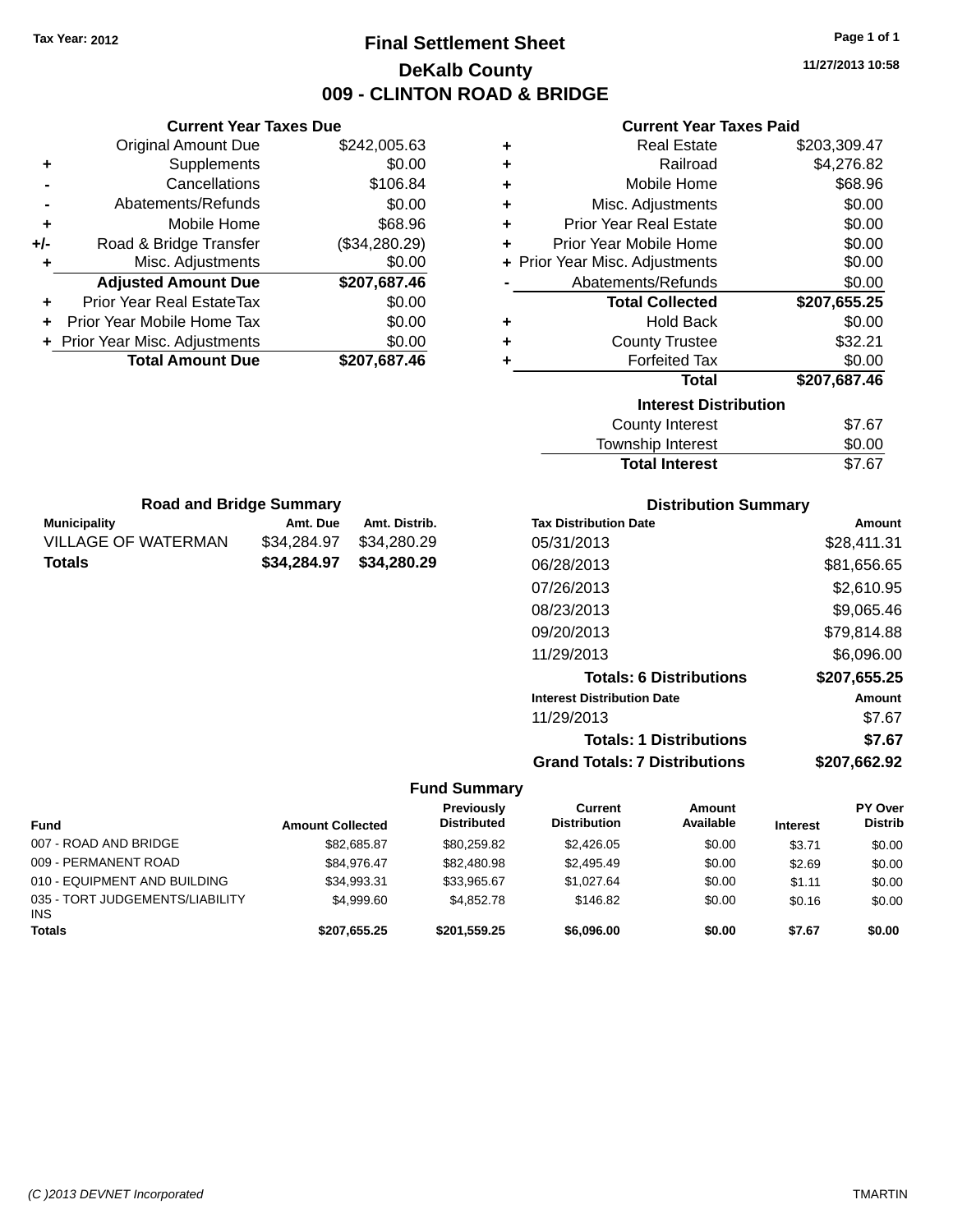# **Final Settlement Sheet Tax Year: 2012 Page 1 of 1 DeKalb County 009 - CLINTON ROAD & BRIDGE**

**11/27/2013 10:58**

#### **Current Year Taxes Paid**

| <b>Current Year Taxes Due</b>  |               |  |
|--------------------------------|---------------|--|
| <b>Original Amount Due</b>     | \$242,005.63  |  |
| Supplements                    | \$0.00        |  |
| Cancellations                  | \$106.84      |  |
| Abatements/Refunds             | \$0.00        |  |
| Mobile Home                    | \$68.96       |  |
| Road & Bridge Transfer         | (\$34,280.29) |  |
| Misc. Adjustments              | \$0.00        |  |
| <b>Adjusted Amount Due</b>     | \$207,687.46  |  |
| Prior Year Real EstateTax      | \$0.00        |  |
| Prior Year Mobile Home Tax     | \$0.00        |  |
| + Prior Year Misc. Adjustments | \$0.00        |  |
| <b>Total Amount Due</b>        | \$207,687.46  |  |
|                                |               |  |

**Municipality Amt. Due Amt. Distrib. Road and Bridge Summary**

VILLAGE OF WATERMAN \$34,284.97 \$34,280.29 **Totals \$34,284.97 \$34,280.29**

| ٠ | <b>Real Estate</b>             | \$203,309.47 |
|---|--------------------------------|--------------|
| ÷ | Railroad                       | \$4,276.82   |
| ÷ | Mobile Home                    | \$68.96      |
| ٠ | Misc. Adjustments              | \$0.00       |
| ÷ | <b>Prior Year Real Estate</b>  | \$0.00       |
| ٠ | Prior Year Mobile Home         | \$0.00       |
|   | + Prior Year Misc. Adjustments | \$0.00       |
|   | Abatements/Refunds             | \$0.00       |
|   | <b>Total Collected</b>         | \$207,655.25 |
|   |                                |              |
| ٠ | <b>Hold Back</b>               | \$0.00       |
| ٠ | <b>County Trustee</b>          | \$32.21      |
| ٠ | <b>Forfeited Tax</b>           | \$0.00       |
|   | <b>Total</b>                   | \$207,687.46 |
|   | <b>Interest Distribution</b>   |              |
|   | County Interest                | \$7.67       |

| .<br>Township Interest | \$0.00 |
|------------------------|--------|
| <b>Total Interest</b>  | \$7.67 |

| <b>Distribution Summary</b>          |              |
|--------------------------------------|--------------|
| <b>Tax Distribution Date</b>         | Amount       |
| 05/31/2013                           | \$28,411.31  |
| 06/28/2013                           | \$81,656.65  |
| 07/26/2013                           | \$2,610.95   |
| 08/23/2013                           | \$9,065.46   |
| 09/20/2013                           | \$79,814.88  |
| 11/29/2013                           | \$6,096.00   |
| <b>Totals: 6 Distributions</b>       | \$207,655.25 |
| <b>Interest Distribution Date</b>    | Amount       |
| 11/29/2013                           | \$7.67       |
| <b>Totals: 1 Distributions</b>       | \$7.67       |
| <b>Grand Totals: 7 Distributions</b> | \$207.662.92 |

| Fund                                          | <b>Amount Collected</b> | Previously<br><b>Distributed</b> | Current<br><b>Distribution</b> | Amount<br>Available | <b>Interest</b> | PY Over<br><b>Distrib</b> |
|-----------------------------------------------|-------------------------|----------------------------------|--------------------------------|---------------------|-----------------|---------------------------|
| 007 - ROAD AND BRIDGE                         | \$82,685.87             | \$80.259.82                      | \$2.426.05                     | \$0.00              | \$3.71          | \$0.00                    |
| 009 - PERMANENT ROAD                          | \$84.976.47             | \$82,480.98                      | \$2.495.49                     | \$0.00              | \$2.69          | \$0.00                    |
| 010 - EQUIPMENT AND BUILDING                  | \$34,993.31             | \$33.965.67                      | \$1.027.64                     | \$0.00              | \$1.11          | \$0.00                    |
| 035 - TORT JUDGEMENTS/LIABILITY<br><b>INS</b> | \$4.999.60              | \$4,852,78                       | \$146.82                       | \$0.00              | \$0.16          | \$0.00                    |
| Totals                                        | \$207,655.25            | \$201.559.25                     | \$6,096,00                     | \$0.00              | \$7.67          | \$0.00                    |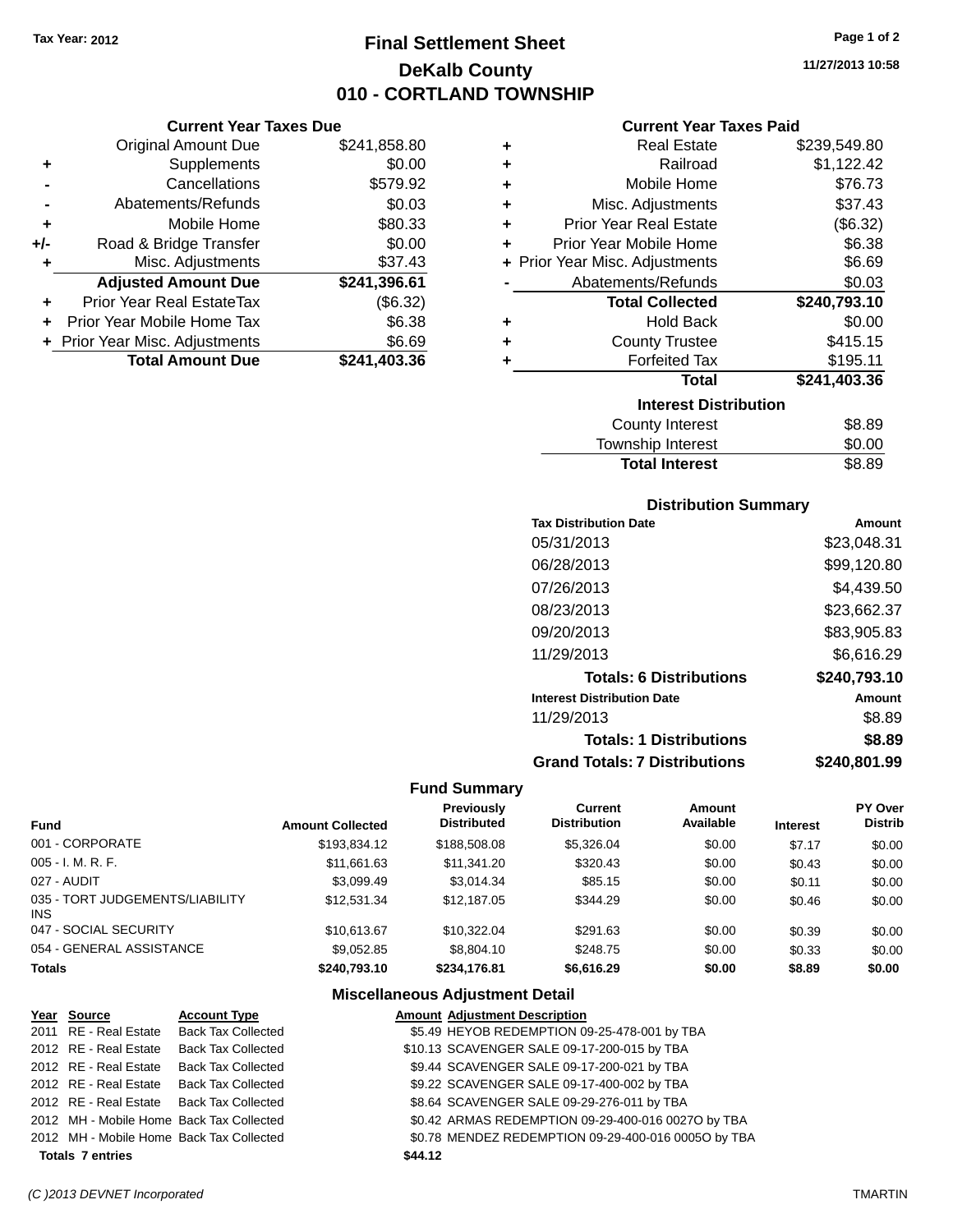**Current Year Taxes Due** Original Amount Due \$241,858.80

**Adjusted Amount Due \$241,396.61**

**Total Amount Due \$241,403.36**

**+** Supplements \$0.00 **-** Cancellations \$579.92 **-** Abatements/Refunds \$0.03 **+** Mobile Home \$80.33 **+/-** Road & Bridge Transfer \$0.00 **+** Misc. Adjustments \$37.43

**+** Prior Year Real EstateTax (\$6.32) **+** Prior Year Mobile Home Tax \$6.38 **+ Prior Year Misc. Adjustments \$6.69** 

# **Final Settlement Sheet Tax Year: 2012 Page 1 of 2 DeKalb County 010 - CORTLAND TOWNSHIP**

**11/27/2013 10:58**

#### **Current Year Taxes Paid**

| ٠ | <b>Real Estate</b>             | \$239,549.80 |
|---|--------------------------------|--------------|
| ٠ | Railroad                       | \$1,122.42   |
| ٠ | Mobile Home                    | \$76.73      |
| ÷ | Misc. Adjustments              | \$37.43      |
| ٠ | <b>Prior Year Real Estate</b>  | (\$6.32)     |
| ٠ | Prior Year Mobile Home         | \$6.38       |
|   | + Prior Year Misc. Adjustments | \$6.69       |
|   | Abatements/Refunds             | \$0.03       |
|   | <b>Total Collected</b>         | \$240,793.10 |
| ٠ | <b>Hold Back</b>               | \$0.00       |
| ٠ | <b>County Trustee</b>          | \$415.15     |
| ٠ | <b>Forfeited Tax</b>           | \$195.11     |
|   | <b>Total</b>                   | \$241,403.36 |
|   | <b>Interest Distribution</b>   |              |
|   | County Interest                | \$8.89       |
|   |                                |              |

| <b>Total Interest</b> | \$8.89 |
|-----------------------|--------|
| Township Interest     | \$0.00 |
|                       | vv.vv  |

#### **Distribution Summary**

| <b>Tax Distribution Date</b>         | Amount       |
|--------------------------------------|--------------|
| 05/31/2013                           | \$23,048.31  |
| 06/28/2013                           | \$99,120.80  |
| 07/26/2013                           | \$4,439.50   |
| 08/23/2013                           | \$23,662.37  |
| 09/20/2013                           | \$83,905.83  |
| 11/29/2013                           | \$6,616.29   |
| <b>Totals: 6 Distributions</b>       | \$240,793.10 |
| <b>Interest Distribution Date</b>    | Amount       |
| 11/29/2013                           | \$8.89       |
| <b>Totals: 1 Distributions</b>       | \$8.89       |
| <b>Grand Totals: 7 Distributions</b> | \$240,801.99 |

#### **Fund Summary**

| Fund                                   | <b>Amount Collected</b> | <b>Previously</b><br><b>Distributed</b> | Current<br><b>Distribution</b> | Amount<br>Available | <b>Interest</b> | PY Over<br><b>Distrib</b> |
|----------------------------------------|-------------------------|-----------------------------------------|--------------------------------|---------------------|-----------------|---------------------------|
| 001 - CORPORATE                        | \$193,834.12            | \$188,508.08                            | \$5,326.04                     | \$0.00              | \$7.17          | \$0.00                    |
| 005 - I. M. R. F.                      | \$11,661.63             | \$11.341.20                             | \$320.43                       | \$0.00              | \$0.43          | \$0.00                    |
| 027 - AUDIT                            | \$3.099.49              | \$3,014.34                              | \$85.15                        | \$0.00              | \$0.11          | \$0.00                    |
| 035 - TORT JUDGEMENTS/LIABILITY<br>INS | \$12.531.34             | \$12,187.05                             | \$344.29                       | \$0.00              | \$0.46          | \$0.00                    |
| 047 - SOCIAL SECURITY                  | \$10.613.67             | \$10.322.04                             | \$291.63                       | \$0.00              | \$0.39          | \$0.00                    |
| 054 - GENERAL ASSISTANCE               | \$9.052.85              | \$8,804.10                              | \$248.75                       | \$0.00              | \$0.33          | \$0.00                    |
| <b>Totals</b>                          | \$240.793.10            | \$234,176.81                            | \$6,616.29                     | \$0.00              | \$8.89          | \$0.00                    |

#### **Miscellaneous Adjustment Detail**

| Year Source                              | <b>Account Type</b> |         | <b>Amount Adjustment Description</b>                |
|------------------------------------------|---------------------|---------|-----------------------------------------------------|
| 2011 RE - Real Estate Back Tax Collected |                     |         | \$5.49 HEYOB REDEMPTION 09-25-478-001 by TBA        |
| 2012 RE - Real Estate Back Tax Collected |                     |         | \$10.13 SCAVENGER SALE 09-17-200-015 by TBA         |
| 2012 RE - Real Estate Back Tax Collected |                     |         | \$9.44 SCAVENGER SALE 09-17-200-021 by TBA          |
| 2012 RE - Real Estate Back Tax Collected |                     |         | \$9.22 SCAVENGER SALE 09-17-400-002 by TBA          |
| 2012 RE - Real Estate Back Tax Collected |                     |         | \$8.64 SCAVENGER SALE 09-29-276-011 by TBA          |
| 2012 MH - Mobile Home Back Tax Collected |                     |         | \$0.42 ARMAS REDEMPTION 09-29-400-016 0027O by TBA  |
| 2012 MH - Mobile Home Back Tax Collected |                     |         | \$0.78 MENDEZ REDEMPTION 09-29-400-016 0005O by TBA |
| <b>Totals 7 entries</b>                  |                     | \$44.12 |                                                     |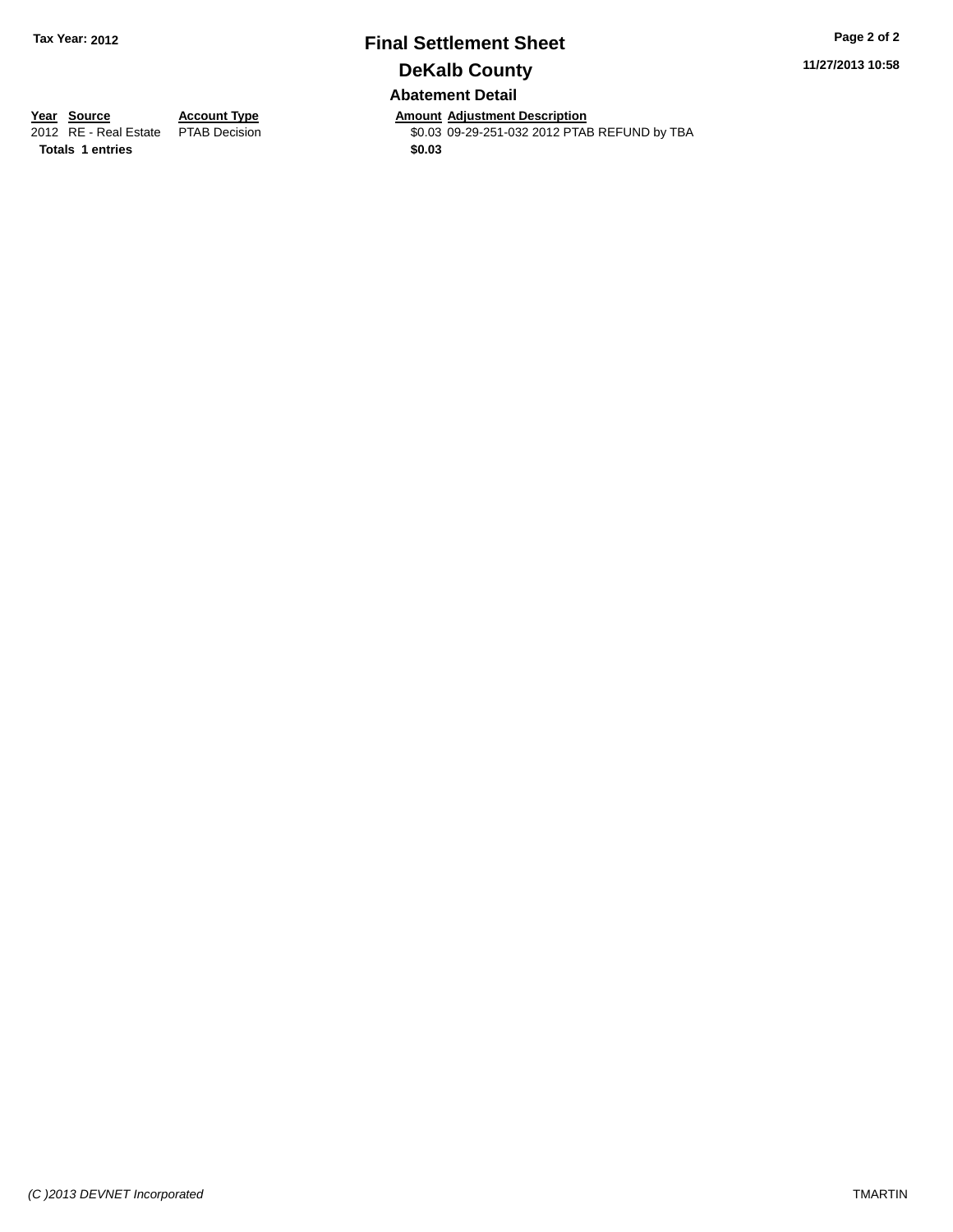# **Final Settlement Sheet Tax Year: 2012 Page 2 of 2 DeKalb County Abatement Detail**

**11/27/2013 10:58**

**Year Source Account Type Annount Adjustment Description**<br>2012 RE - Real Estate PTAB Decision **Amount Adjustment Description** \$0.03 09-29-251-032 2012 PTAB REFUND by TBA

**Totals 1 entries \$0.03**

*(C )2013 DEVNET Incorporated* TMARTIN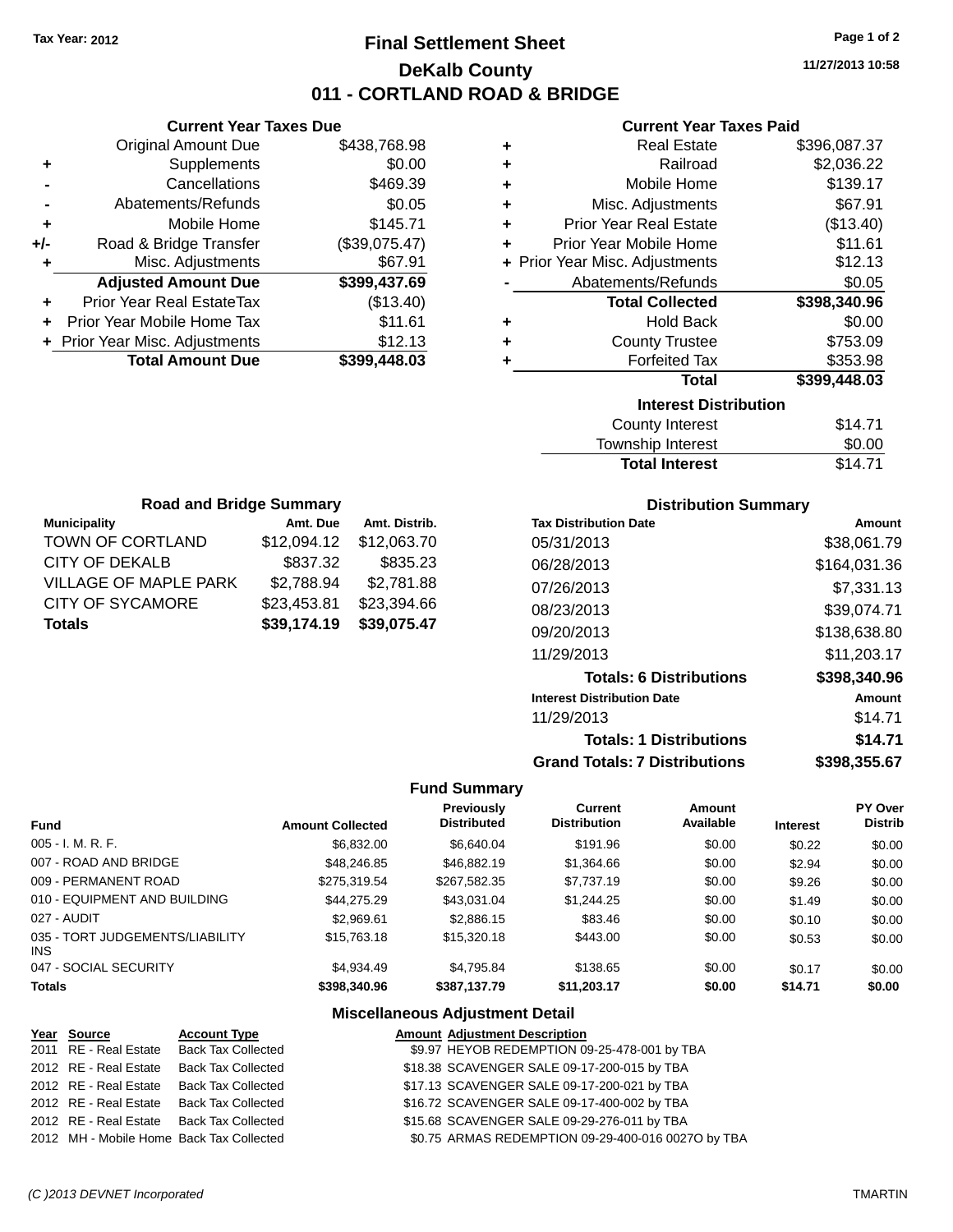# **Final Settlement Sheet Tax Year: 2012 Page 1 of 2 DeKalb County 011 - CORTLAND ROAD & BRIDGE**

**11/27/2013 10:58**

#### **Current Year Taxes Paid**

|     | <b>Current Year Taxes Due</b>  |               |
|-----|--------------------------------|---------------|
|     | <b>Original Amount Due</b>     | \$438,768.98  |
| ÷   | Supplements                    | \$0.00        |
|     | Cancellations                  | \$469.39      |
|     | Abatements/Refunds             | \$0.05        |
| ٠   | Mobile Home                    | \$145.71      |
| +/- | Road & Bridge Transfer         | (\$39,075.47) |
| ٠   | Misc. Adjustments              | \$67.91       |
|     | <b>Adjusted Amount Due</b>     | \$399,437.69  |
|     | Prior Year Real EstateTax      | (\$13.40)     |
| ÷   | Prior Year Mobile Home Tax     | \$11.61       |
|     | + Prior Year Misc. Adjustments | \$12.13       |
|     | <b>Total Amount Due</b>        | \$399,448.03  |
|     |                                |               |

| ٠ | <b>Real Estate</b>             | \$396,087.37 |
|---|--------------------------------|--------------|
| ÷ | Railroad                       | \$2,036.22   |
| ÷ | Mobile Home                    | \$139.17     |
| ÷ | Misc. Adjustments              | \$67.91      |
| ٠ | <b>Prior Year Real Estate</b>  | (\$13.40)    |
| ٠ | Prior Year Mobile Home         | \$11.61      |
|   | + Prior Year Misc. Adjustments | \$12.13      |
|   | Abatements/Refunds             | \$0.05       |
|   | <b>Total Collected</b>         | \$398,340.96 |
| ٠ | Hold Back                      | \$0.00       |
| ÷ | <b>County Trustee</b>          | \$753.09     |
| ٠ | <b>Forfeited Tax</b>           | \$353.98     |
|   | <b>Total</b>                   | \$399,448.03 |
|   | <b>Interest Distribution</b>   |              |
|   | County Interest                | \$14.71      |
|   | Tourochin Internat             | ሮስ ሰሰ        |

| <b>Total Interest</b> | \$14.71 |
|-----------------------|---------|
| Township Interest     | \$0.00  |
| County Interest       | \$14.71 |

| <b>Road and Bridge Summary</b> |               |  |  |  |  |
|--------------------------------|---------------|--|--|--|--|
| Amt. Due                       | Amt. Distrib. |  |  |  |  |
| \$12,094.12                    | \$12,063.70   |  |  |  |  |
| \$837.32                       | \$835.23      |  |  |  |  |
| \$2,788.94                     | \$2,781.88    |  |  |  |  |
| \$23,453.81                    | \$23,394.66   |  |  |  |  |
| \$39,174.19                    | \$39,075.47   |  |  |  |  |
|                                |               |  |  |  |  |

#### **Distribution Summary**

| <b>Tax Distribution Date</b>         | Amount       |
|--------------------------------------|--------------|
| 05/31/2013                           | \$38.061.79  |
| 06/28/2013                           | \$164.031.36 |
| 07/26/2013                           | \$7,331.13   |
| 08/23/2013                           | \$39,074.71  |
| 09/20/2013                           | \$138,638.80 |
| 11/29/2013                           | \$11,203.17  |
| <b>Totals: 6 Distributions</b>       | \$398,340.96 |
| <b>Interest Distribution Date</b>    | Amount       |
| 11/29/2013                           | \$14.71      |
| <b>Totals: 1 Distributions</b>       | \$14.71      |
| <b>Grand Totals: 7 Distributions</b> | \$398.355.67 |

#### **Fund Summary**

| <b>Fund</b>                             | <b>Amount Collected</b> | <b>Previously</b><br><b>Distributed</b> | Current<br><b>Distribution</b> | Amount<br>Available | <b>Interest</b> | <b>PY Over</b><br><b>Distrib</b> |
|-----------------------------------------|-------------------------|-----------------------------------------|--------------------------------|---------------------|-----------------|----------------------------------|
| 005 - I. M. R. F.                       | \$6,832,00              | \$6,640.04                              | \$191.96                       | \$0.00              | \$0.22          | \$0.00                           |
| 007 - ROAD AND BRIDGE                   | \$48,246,85             | \$46,882.19                             | \$1,364.66                     | \$0.00              | \$2.94          | \$0.00                           |
| 009 - PERMANENT ROAD                    | \$275.319.54            | \$267,582.35                            | \$7.737.19                     | \$0.00              | \$9.26          | \$0.00                           |
| 010 - EQUIPMENT AND BUILDING            | \$44.275.29             | \$43.031.04                             | \$1,244.25                     | \$0.00              | \$1.49          | \$0.00                           |
| 027 - AUDIT                             | \$2,969.61              | \$2,886.15                              | \$83.46                        | \$0.00              | \$0.10          | \$0.00                           |
| 035 - TORT JUDGEMENTS/LIABILITY<br>INS. | \$15,763,18             | \$15,320.18                             | \$443.00                       | \$0.00              | \$0.53          | \$0.00                           |
| 047 - SOCIAL SECURITY                   | \$4.934.49              | \$4.795.84                              | \$138.65                       | \$0.00              | \$0.17          | \$0.00                           |
| <b>Totals</b>                           | \$398,340.96            | \$387.137.79                            | \$11,203.17                    | \$0.00              | \$14.71         | \$0.00                           |

### **Miscellaneous Adjustment Detail**

| Year Source           | <b>Amount Adjustment Description</b>                                                                                                                                                                             |
|-----------------------|------------------------------------------------------------------------------------------------------------------------------------------------------------------------------------------------------------------|
| 2011 RE - Real Estate | \$9.97 HEYOB REDEMPTION 09-25-478-001 by TBA                                                                                                                                                                     |
| 2012 RE - Real Estate | \$18.38 SCAVENGER SALE 09-17-200-015 by TBA                                                                                                                                                                      |
| 2012 RE - Real Estate | \$17.13 SCAVENGER SALE 09-17-200-021 by TBA                                                                                                                                                                      |
| 2012 RE - Real Estate | \$16.72 SCAVENGER SALE 09-17-400-002 by TBA                                                                                                                                                                      |
| 2012 RE - Real Estate | \$15.68 SCAVENGER SALE 09-29-276-011 by TBA                                                                                                                                                                      |
|                       | \$0.75 ARMAS REDEMPTION 09-29-400-016 0027O by TBA                                                                                                                                                               |
|                       | <b>Account Type</b><br><b>Back Tax Collected</b><br><b>Back Tax Collected</b><br><b>Back Tax Collected</b><br><b>Back Tax Collected</b><br><b>Back Tax Collected</b><br>2012 MH - Mobile Home Back Tax Collected |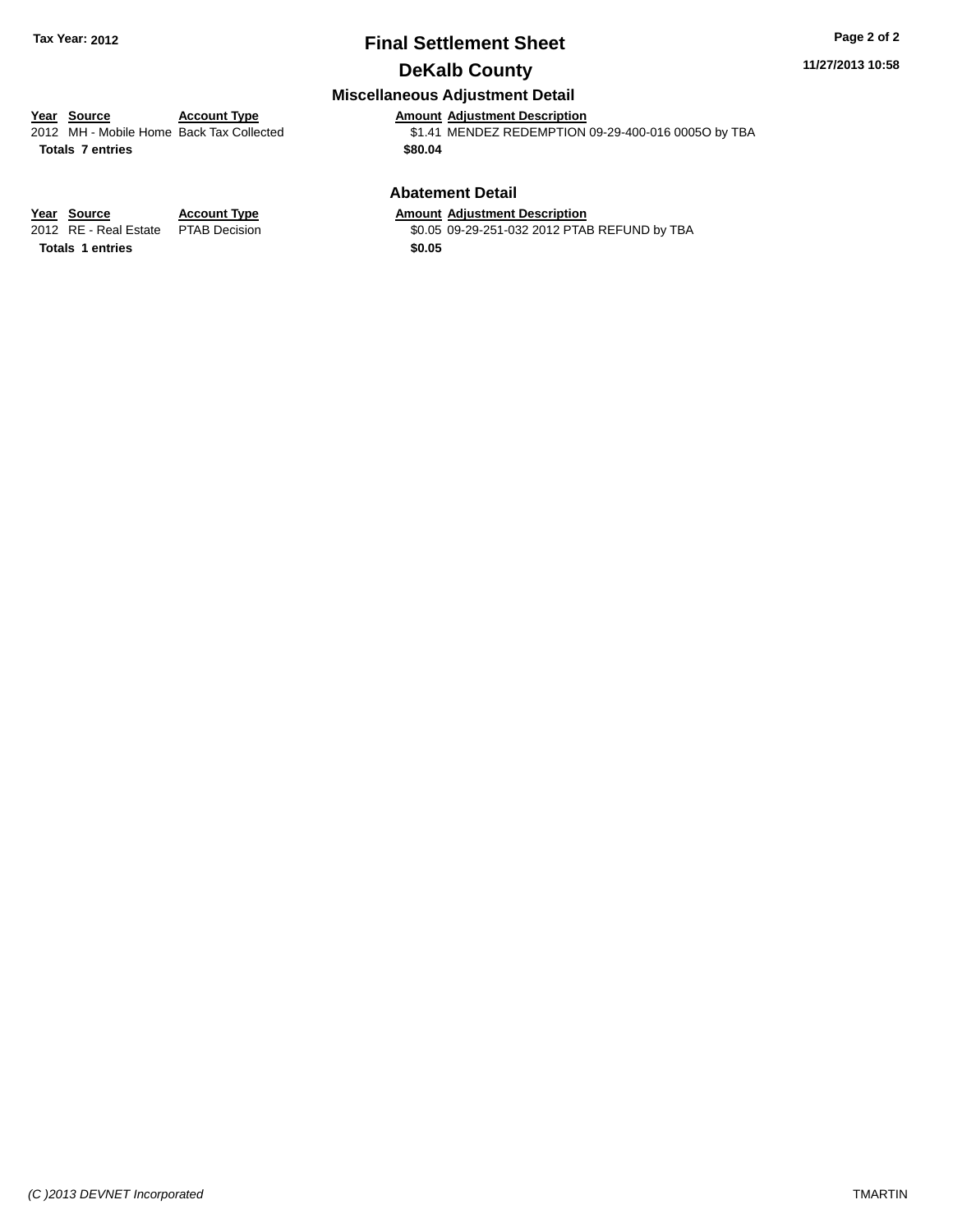# **Final Settlement Sheet Tax Year: 2012 Page 2 of 2 DeKalb County**

#### **11/27/2013 10:58**

## **Miscellaneous Adjustment Detail**

# **Year Source Account Type Amount Adjustment Description**<br>2012 MH - Mobile Home Back Tax Collected \$1.41 MENDEZ REDEMPTION

**Totals 7 entries \$80.04**

\$1.41 MENDEZ REDEMPTION 09-29-400-016 0005O by TBA

#### **Abatement Detail**

\$0.05 09-29-251-032 2012 PTAB REFUND by TBA

**<u>Year Source</u> <b>Account Type Amount Adjustment Description**<br>2012 RE - Real Estate PTAB Decision **Amount 1998** 10.05 09-29-251-032 2012 PTAE

**Totals 1 entries \$0.05**

*(C )2013 DEVNET Incorporated* TMARTIN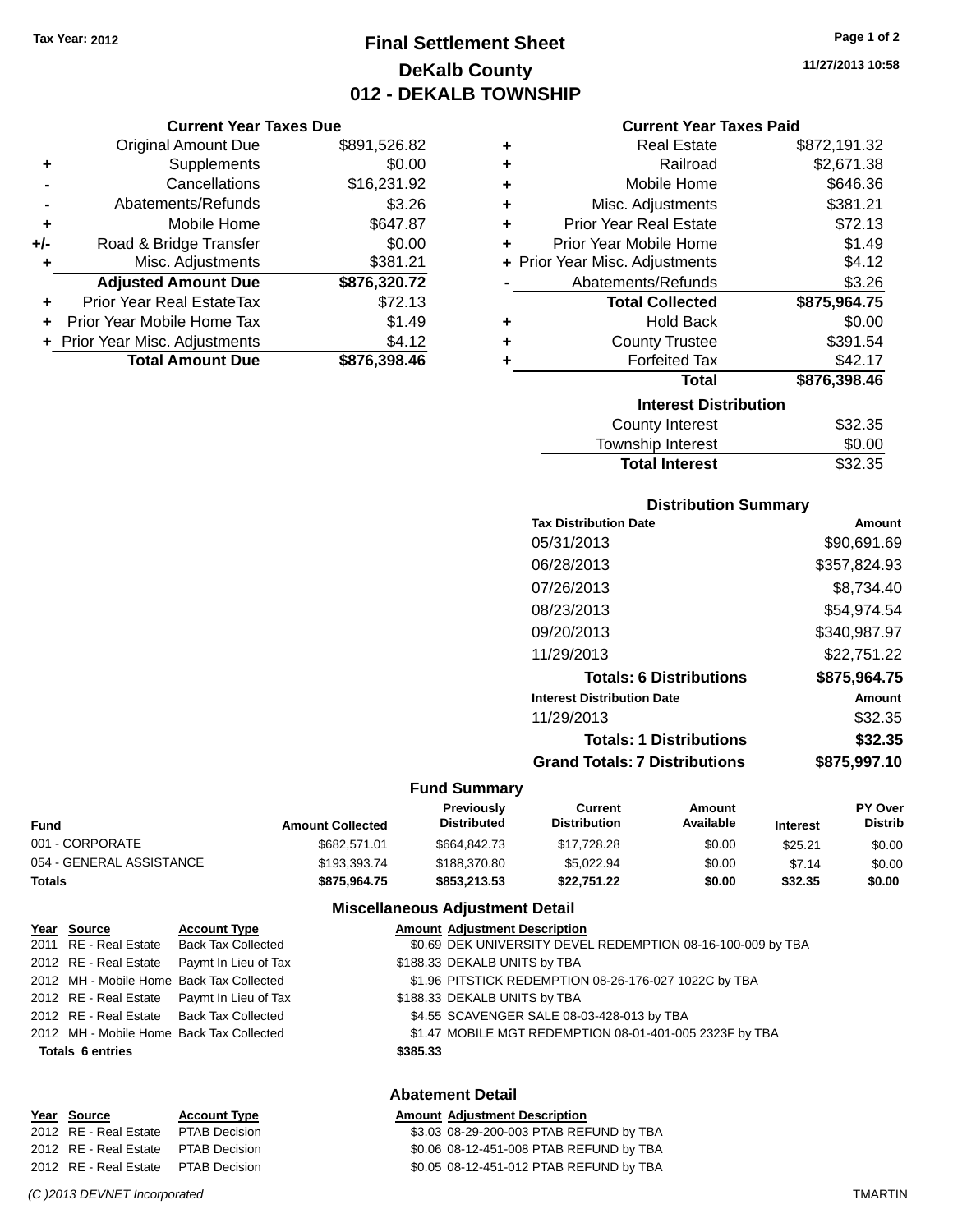# **Final Settlement Sheet Tax Year: 2012 Page 1 of 2 DeKalb County 012 - DEKALB TOWNSHIP**

#### **Current Year Taxes Due**

|       | <b>Original Amount Due</b>     | \$891,526.82 |
|-------|--------------------------------|--------------|
| ٠     | Supplements                    | \$0.00       |
|       | Cancellations                  | \$16,231.92  |
|       | Abatements/Refunds             | \$3.26       |
| ÷     | Mobile Home                    | \$647.87     |
| $+/-$ | Road & Bridge Transfer         | \$0.00       |
| ۰     | Misc. Adjustments              | \$381.21     |
|       | <b>Adjusted Amount Due</b>     | \$876,320.72 |
|       | Prior Year Real EstateTax      | \$72.13      |
|       | Prior Year Mobile Home Tax     | \$1.49       |
|       | + Prior Year Misc. Adjustments | \$4.12       |
|       | <b>Total Amount Due</b>        | \$876.398.46 |

| ٠ | <b>Real Estate</b>             | \$872,191.32 |
|---|--------------------------------|--------------|
| ٠ | Railroad                       | \$2,671.38   |
| ÷ | Mobile Home                    | \$646.36     |
| ٠ | Misc. Adjustments              | \$381.21     |
| ÷ | <b>Prior Year Real Estate</b>  | \$72.13      |
| ٠ | Prior Year Mobile Home         | \$1.49       |
|   | + Prior Year Misc. Adjustments | \$4.12       |
|   | Abatements/Refunds             | \$3.26       |
|   | <b>Total Collected</b>         | \$875,964.75 |
| ٠ | <b>Hold Back</b>               | \$0.00       |
|   |                                |              |
| ٠ | <b>County Trustee</b>          | \$391.54     |
| ٠ | <b>Forfeited Tax</b>           | \$42.17      |
|   | Total                          | \$876,398.46 |
|   | <b>Interest Distribution</b>   |              |
|   | <b>County Interest</b>         | \$32.35      |

| <b>Total Interest</b> | \$32.35 |
|-----------------------|---------|
| Township Interest     | \$0.00  |
| County Interest       | აა∠.აა  |

#### **Distribution Summary**

| <b>Tax Distribution Date</b>         | Amount       |
|--------------------------------------|--------------|
| 05/31/2013                           | \$90,691.69  |
| 06/28/2013                           | \$357,824.93 |
| 07/26/2013                           | \$8,734.40   |
| 08/23/2013                           | \$54.974.54  |
| 09/20/2013                           | \$340,987.97 |
| 11/29/2013                           | \$22,751.22  |
| <b>Totals: 6 Distributions</b>       | \$875,964.75 |
| <b>Interest Distribution Date</b>    | Amount       |
| 11/29/2013                           | \$32.35      |
| <b>Totals: 1 Distributions</b>       | \$32.35      |
| <b>Grand Totals: 7 Distributions</b> | \$875.997.10 |
|                                      |              |

#### **Fund Summary**

| Fund                     | <b>Amount Collected</b> | <b>Previously</b><br><b>Distributed</b> | Current<br><b>Distribution</b> | Amount<br>Available | <b>Interest</b> | <b>PY Over</b><br><b>Distrib</b> |
|--------------------------|-------------------------|-----------------------------------------|--------------------------------|---------------------|-----------------|----------------------------------|
| 001 - CORPORATE          | \$682.571.01            | \$664,842,73                            | \$17.728.28                    | \$0.00              | \$25.21         | \$0.00                           |
| 054 - GENERAL ASSISTANCE | \$193,393,74            | \$188,370.80                            | \$5.022.94                     | \$0.00              | \$7.14          | \$0.00                           |
| Totals                   | \$875.964.75            | \$853,213,53                            | \$22.751.22                    | \$0.00              | \$32.35         | \$0.00                           |

#### **Miscellaneous Adjustment Detail**

| Year Source             | <b>Account Type</b>                        | <b>Amount Adjustment Description</b>                        |
|-------------------------|--------------------------------------------|-------------------------------------------------------------|
| 2011 RE - Real Estate   | Back Tax Collected                         | \$0.69 DEK UNIVERSITY DEVEL REDEMPTION 08-16-100-009 by TBA |
| 2012 RE - Real Estate   | Paymt In Lieu of Tax                       | \$188.33 DEKALB UNITS by TBA                                |
|                         | 2012 MH - Mobile Home Back Tax Collected   | \$1.96 PITSTICK REDEMPTION 08-26-176-027 1022C by TBA       |
|                         | 2012 RE - Real Estate Paymt In Lieu of Tax | \$188.33 DEKALB UNITS by TBA                                |
|                         | 2012 RE - Real Estate Back Tax Collected   | \$4.55 SCAVENGER SALE 08-03-428-013 by TBA                  |
|                         | 2012 MH - Mobile Home Back Tax Collected   | \$1.47 MOBILE MGT REDEMPTION 08-01-401-005 2323F by TBA     |
| <b>Totals 6 entries</b> | \$385.33                                   |                                                             |
|                         |                                            |                                                             |
|                         |                                            |                                                             |

#### **Abatement Detail**

| Year Source                         | <b>Account Type</b> | <b>Amount Adjustment Description</b>    |
|-------------------------------------|---------------------|-----------------------------------------|
| 2012 RE - Real Estate               | PTAB Decision       | \$3.03 08-29-200-003 PTAB REFUND by TBA |
| 2012 RE - Real Estate PTAB Decision |                     | \$0.06 08-12-451-008 PTAB REFUND by TBA |
| 2012 RE - Real Estate PTAB Decision |                     | \$0.05 08-12-451-012 PTAB REFUND by TBA |

**11/27/2013 10:58**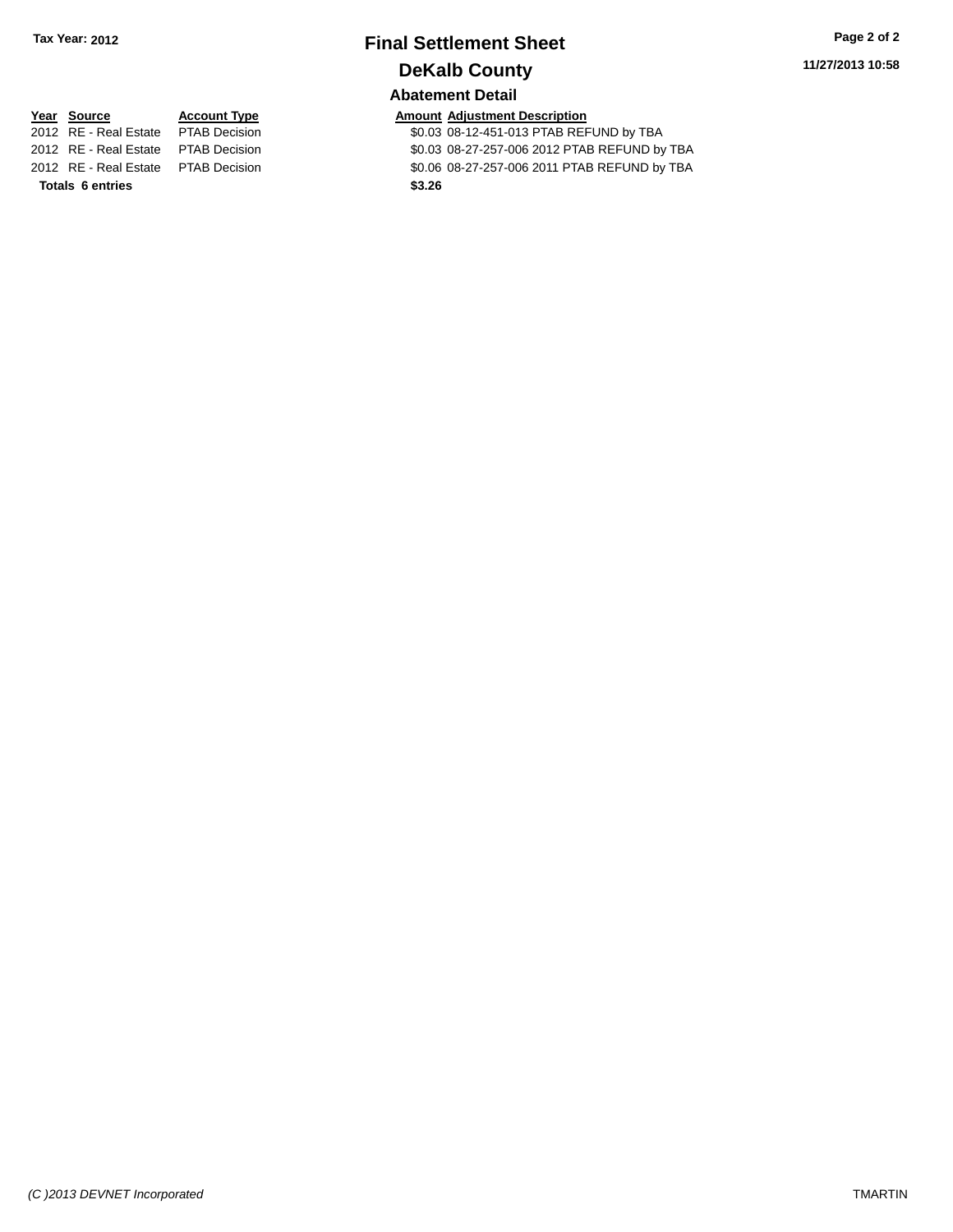# **Final Settlement Sheet Tax Year: 2012 Page 2 of 2 DeKalb County Abatement Detail**

**11/27/2013 10:58**

# **Year Source Account Type Account Type Amount Adjustment Description**<br>2012 RE - Real Estate PTAB Decision **Amount Adjustment Description**

**Totals 6 entries \$3.26**

\$0.03 08-12-451-013 PTAB REFUND by TBA 2012 RE - Real Estate PTAB Decision \$0.03 08-27-257-006 2012 PTAB REFUND by TBA 2012 RE - Real Estate PTAB Decision \$0.06 08-27-257-006 2011 PTAB REFUND by TBA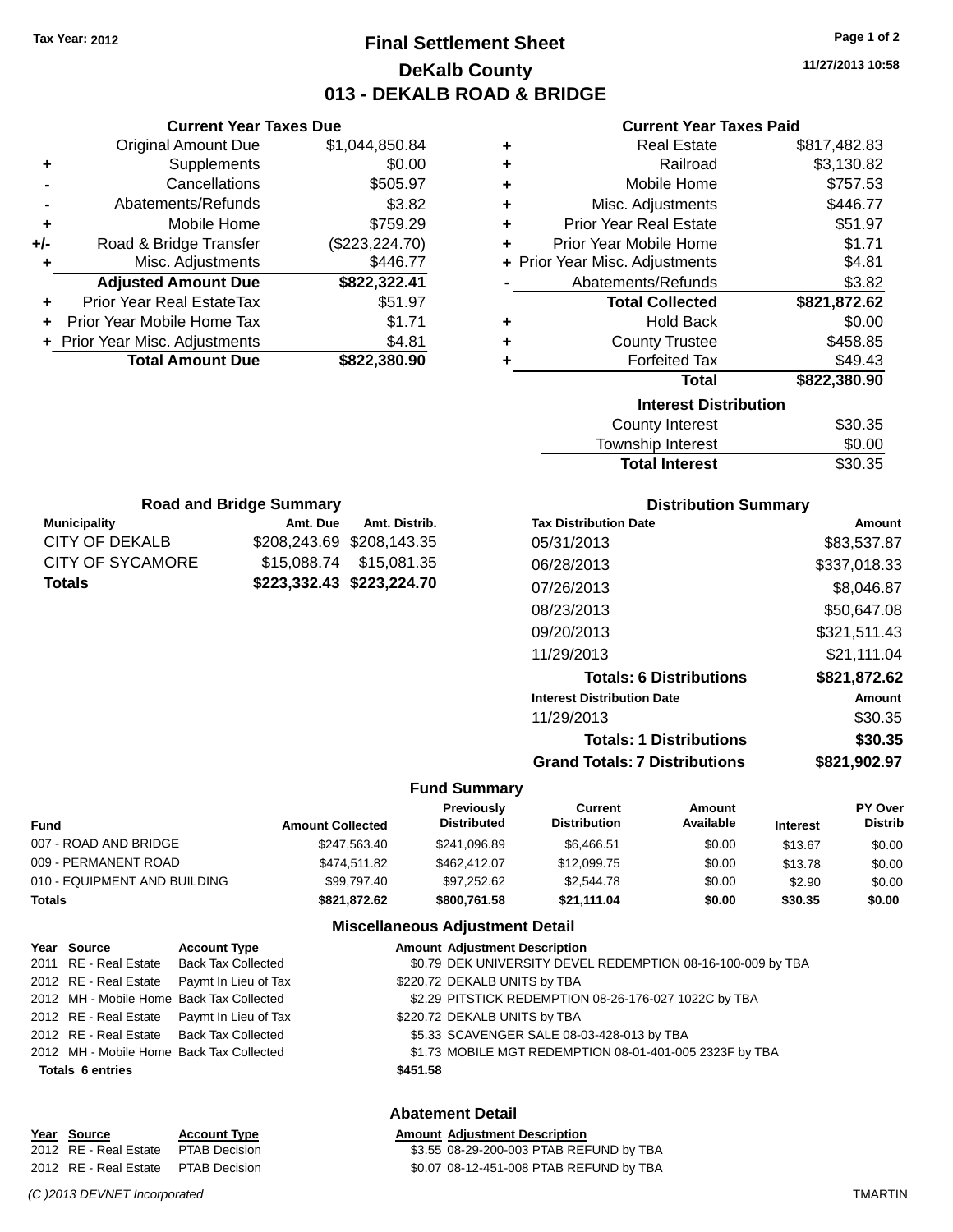**Current Year Taxes Due**

**Municipality Amt. Due Amt. Distrib. Road and Bridge Summary**

CITY OF DEKALB \$208,243.69 \$208,143.35 CITY OF SYCAMORE \$15,088.74 \$15,081.35 **Totals \$223,332.43 \$223,224.70**

# **Final Settlement Sheet Tax Year: 2012 Page 1 of 2 DeKalb County 013 - DEKALB ROAD & BRIDGE**

**11/27/2013 10:58**

#### **Current Year Taxes Paid**

|       | <b>Original Amount Due</b>       | \$1,044,850.84 | ٠ | <b>Real Estate</b>             | \$817,482.83  |
|-------|----------------------------------|----------------|---|--------------------------------|---------------|
| ٠     | Supplements                      | \$0.00         | ٠ | Railroad                       | \$3,130.82    |
|       | Cancellations                    | \$505.97       | ٠ | Mobile Home                    | \$757.53      |
|       | Abatements/Refunds               | \$3.82         | ٠ | Misc. Adjustments              | \$446.77      |
| ÷     | Mobile Home                      | \$759.29       | ٠ | <b>Prior Year Real Estate</b>  | \$51.97       |
| $+/-$ | Road & Bridge Transfer           | (\$223,224.70) |   | Prior Year Mobile Home         | \$1.71        |
|       | Misc. Adjustments                | \$446.77       |   | + Prior Year Misc. Adjustments | \$4.81        |
|       | <b>Adjusted Amount Due</b>       | \$822,322.41   |   | Abatements/Refunds             | \$3.82        |
| ٠     | <b>Prior Year Real EstateTax</b> | \$51.97        |   | <b>Total Collected</b>         | \$821,872.62  |
| ÷     | Prior Year Mobile Home Tax       | \$1.71         | ٠ | <b>Hold Back</b>               | \$0.00        |
|       | + Prior Year Misc. Adjustments   | \$4.81         |   | <b>County Trustee</b>          | \$458.85      |
|       | <b>Total Amount Due</b>          | \$822,380.90   |   | <b>Forfeited Tax</b>           | \$49.43       |
|       |                                  |                |   | <b>Total</b>                   | \$822,380.90  |
|       |                                  |                |   | <b>Interest Distribution</b>   |               |
|       |                                  |                |   | <b>County Interest</b>         | \$30.35       |
|       |                                  |                |   | — <u>— Island</u>              | $\sim$ $\sim$ |

#### Township Interest \$0.00 Total Interest \$30.35

| <b>Distribution Summary</b>          |              |  |  |  |
|--------------------------------------|--------------|--|--|--|
| <b>Tax Distribution Date</b>         | Amount       |  |  |  |
| 05/31/2013                           | \$83,537.87  |  |  |  |
| 06/28/2013                           | \$337,018.33 |  |  |  |
| 07/26/2013                           | \$8,046.87   |  |  |  |
| 08/23/2013                           | \$50,647.08  |  |  |  |
| 09/20/2013                           | \$321.511.43 |  |  |  |
| 11/29/2013                           | \$21.111.04  |  |  |  |
| <b>Totals: 6 Distributions</b>       | \$821,872.62 |  |  |  |
| <b>Interest Distribution Date</b>    | Amount       |  |  |  |
| 11/29/2013                           | \$30.35      |  |  |  |
| <b>Totals: 1 Distributions</b>       | \$30.35      |  |  |  |
| <b>Grand Totals: 7 Distributions</b> | \$821,902.97 |  |  |  |

#### **Fund Summary**

| <b>Fund</b>                  | <b>Amount Collected</b> | <b>Previously</b><br><b>Distributed</b> | Current<br><b>Distribution</b> | Amount<br>Available | <b>Interest</b> | <b>PY Over</b><br><b>Distrib</b> |
|------------------------------|-------------------------|-----------------------------------------|--------------------------------|---------------------|-----------------|----------------------------------|
| 007 - ROAD AND BRIDGE        | \$247.563.40            | \$241.096.89                            | \$6.466.51                     | \$0.00              | \$13.67         | \$0.00                           |
| 009 - PERMANENT ROAD         | \$474.511.82            | \$462,412.07                            | \$12,099.75                    | \$0.00              | \$13.78         | \$0.00                           |
| 010 - EQUIPMENT AND BUILDING | \$99,797.40             | \$97,252.62                             | \$2,544.78                     | \$0.00              | \$2.90          | \$0.00                           |
| <b>Totals</b>                | \$821.872.62            | \$800.761.58                            | \$21,111.04                    | \$0.00              | \$30.35         | \$0.00                           |

#### **Miscellaneous Adjustment Detail**

| Year Source             | <b>Account Type</b>                        |          | <b>Amount Adjustment Description</b>                        |
|-------------------------|--------------------------------------------|----------|-------------------------------------------------------------|
|                         | 2011 RE - Real Estate Back Tax Collected   |          | \$0.79 DEK UNIVERSITY DEVEL REDEMPTION 08-16-100-009 by TBA |
|                         | 2012 RE - Real Estate Paymt In Lieu of Tax |          | \$220.72 DEKALB UNITS by TBA                                |
|                         | 2012 MH - Mobile Home Back Tax Collected   |          | \$2.29 PITSTICK REDEMPTION 08-26-176-027 1022C by TBA       |
|                         | 2012 RE - Real Estate Paymt In Lieu of Tax |          | \$220.72 DEKALB UNITS by TBA                                |
|                         | 2012 RE - Real Estate Back Tax Collected   |          | \$5.33 SCAVENGER SALE 08-03-428-013 by TBA                  |
|                         | 2012 MH - Mobile Home Back Tax Collected   |          | \$1.73 MOBILE MGT REDEMPTION 08-01-401-005 2323F by TBA     |
| <b>Totals 6 entries</b> |                                            | \$451.58 |                                                             |
|                         |                                            |          |                                                             |

#### **Abatement Detail**

| <b>Amount Adiustment Description</b>      |
|-------------------------------------------|
| \$3.55 08-29-200-003 PTAB REFUND by TBA   |
| $$0.07.08-12-451-008$ PTAR REELIND by TRA |

2012 RE - Real Estate PTAB Decision 2012 RE - Real Estate PTAB Decision \$0.07 08-12-451-008 PTAB REFUND by TBA

**Year Source <b>Account Type** 

*(C )2013 DEVNET Incorporated* TMARTIN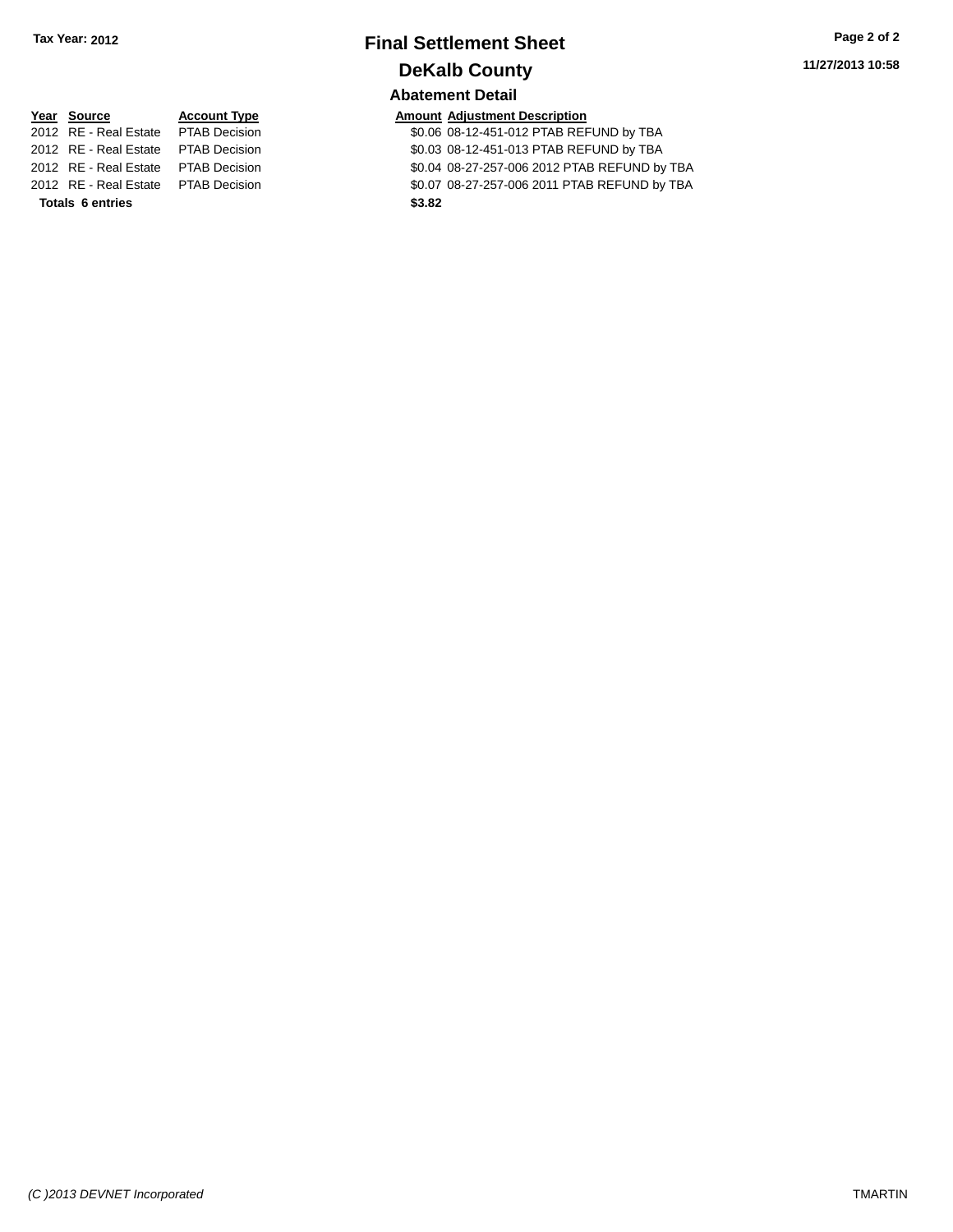# **Final Settlement Sheet Tax Year: 2012 Page 2 of 2 DeKalb County Abatement Detail**

**11/27/2013 10:58**

# **Year Source Account Type Account Type Amount Adjustment Description**<br>2012 RE - Real Estate PTAB Decision **1998 COMPASHEED** 2012 RE - Real Estate PTAB Decision \$0.07 08-27-257-006 2011 PTAB REFUND by TBA **Totals 6 entries \$3.82**

\$0.06 08-12-451-012 PTAB REFUND by TBA 2012 RE - Real Estate PTAB Decision \$0.03 08-12-451-013 PTAB REFUND by TBA 2012 RE - Real Estate PTAB Decision \$0.04 08-27-257-006 2012 PTAB REFUND by TBA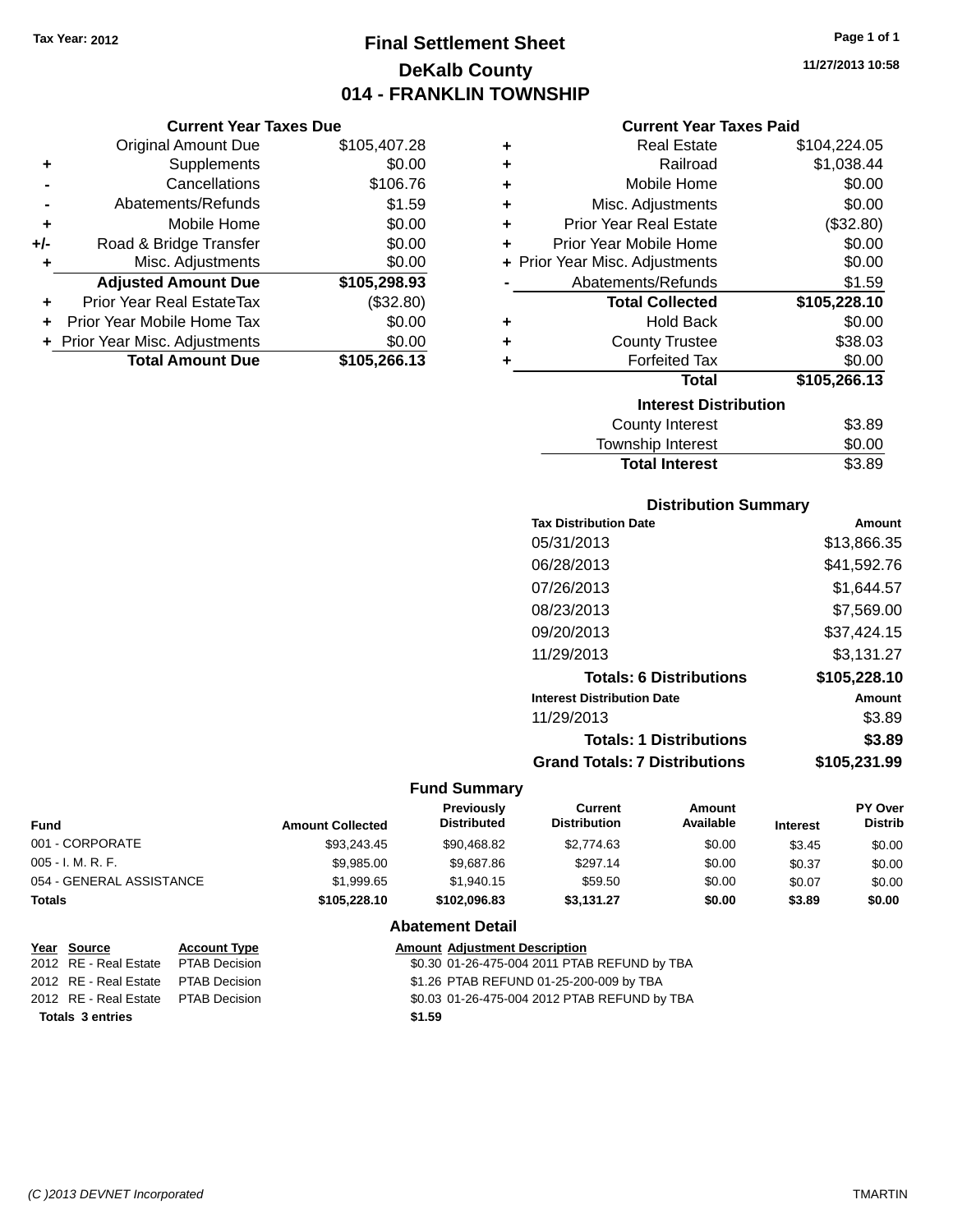# **Final Settlement Sheet Tax Year: 2012 Page 1 of 1 DeKalb County 014 - FRANKLIN TOWNSHIP**

**11/27/2013 10:58**

#### **Current Year Taxes Paid**

|     | <b>Current Year Taxes Due</b>  |              |
|-----|--------------------------------|--------------|
|     | <b>Original Amount Due</b>     | \$105,407.28 |
| ٠   | Supplements                    | \$0.00       |
|     | Cancellations                  | \$106.76     |
|     | Abatements/Refunds             | \$1.59       |
| ٠   | Mobile Home                    | \$0.00       |
| +/- | Road & Bridge Transfer         | \$0.00       |
| ٠   | Misc. Adjustments              | \$0.00       |
|     | <b>Adjusted Amount Due</b>     | \$105,298.93 |
| ٠   | Prior Year Real EstateTax      | (\$32.80)    |
| ٠   | Prior Year Mobile Home Tax     | \$0.00       |
|     | + Prior Year Misc. Adjustments | \$0.00       |
|     | <b>Total Amount Due</b>        | \$105,266.13 |

| ٠ | <b>Real Estate</b>             | \$104,224.05 |
|---|--------------------------------|--------------|
| ٠ | Railroad                       | \$1,038.44   |
| ٠ | Mobile Home                    | \$0.00       |
| ٠ | Misc. Adjustments              | \$0.00       |
| ٠ | <b>Prior Year Real Estate</b>  | (\$32.80)    |
| ٠ | Prior Year Mobile Home         | \$0.00       |
|   | + Prior Year Misc. Adjustments | \$0.00       |
|   | Abatements/Refunds             | \$1.59       |
|   | <b>Total Collected</b>         | \$105,228.10 |
| ٠ | <b>Hold Back</b>               | \$0.00       |
| ÷ | <b>County Trustee</b>          | \$38.03      |
| ٠ | <b>Forfeited Tax</b>           | \$0.00       |
|   | Total                          | \$105,266.13 |
|   | <b>Interest Distribution</b>   |              |
|   | County Interest                | \$3.89       |
|   | <b>Township Interest</b>       | \$0.00       |
|   | <b>Total Interest</b>          | \$3.89       |

### **Distribution Summary**

| <b>Tax Distribution Date</b>         | Amount       |
|--------------------------------------|--------------|
| 05/31/2013                           | \$13,866.35  |
| 06/28/2013                           | \$41,592.76  |
| 07/26/2013                           | \$1.644.57   |
| 08/23/2013                           | \$7,569.00   |
| 09/20/2013                           | \$37,424.15  |
| 11/29/2013                           | \$3,131.27   |
| <b>Totals: 6 Distributions</b>       | \$105,228.10 |
| <b>Interest Distribution Date</b>    | Amount       |
| 11/29/2013                           | \$3.89       |
| <b>Totals: 1 Distributions</b>       | \$3.89       |
| <b>Grand Totals: 7 Distributions</b> | \$105.231.99 |

| <b>Fund</b>              |                      | <b>Amount Collected</b>              | <b>Previously</b><br><b>Distributed</b> | Current<br><b>Distribution</b>               | Amount<br>Available | <b>Interest</b> | <b>PY Over</b><br><b>Distrib</b> |
|--------------------------|----------------------|--------------------------------------|-----------------------------------------|----------------------------------------------|---------------------|-----------------|----------------------------------|
| 001 - CORPORATE          |                      | \$93.243.45                          | \$90.468.82                             | \$2,774.63                                   | \$0.00              | \$3.45          | \$0.00                           |
| $005 - I. M. R. F.$      |                      | \$9,985.00                           | \$9,687.86                              | \$297.14                                     | \$0.00              | \$0.37          | \$0.00                           |
| 054 - GENERAL ASSISTANCE |                      | \$1,999.65                           | \$1,940.15                              | \$59.50                                      | \$0.00              | \$0.07          | \$0.00                           |
| <b>Totals</b>            |                      | \$105,228.10                         | \$102.096.83                            | \$3.131.27                                   | \$0.00              | \$3.89          | \$0.00                           |
|                          |                      |                                      | <b>Abatement Detail</b>                 |                                              |                     |                 |                                  |
| Year Source              | <b>Account Type</b>  | <b>Amount Adiustment Description</b> |                                         |                                              |                     |                 |                                  |
| 2012 RE - Real Estate    | <b>PTAB Decision</b> |                                      |                                         | \$0.30 01-26-475-004 2011 PTAB REFUND by TBA |                     |                 |                                  |

| Totals 3 entries                    | \$1.59                                       |
|-------------------------------------|----------------------------------------------|
| 2012 RE - Real Estate PTAB Decision | \$0.03 01-26-475-004 2012 PTAB REFUND by TBA |
| 2012 RE - Real Estate PTAB Decision | \$1.26 PTAB REFUND 01-25-200-009 by TBA      |
| 2012 RE - Real Estate PTAB Decision | \$0.30 01-26-475-004 2011 PTAB REFUND by TBA |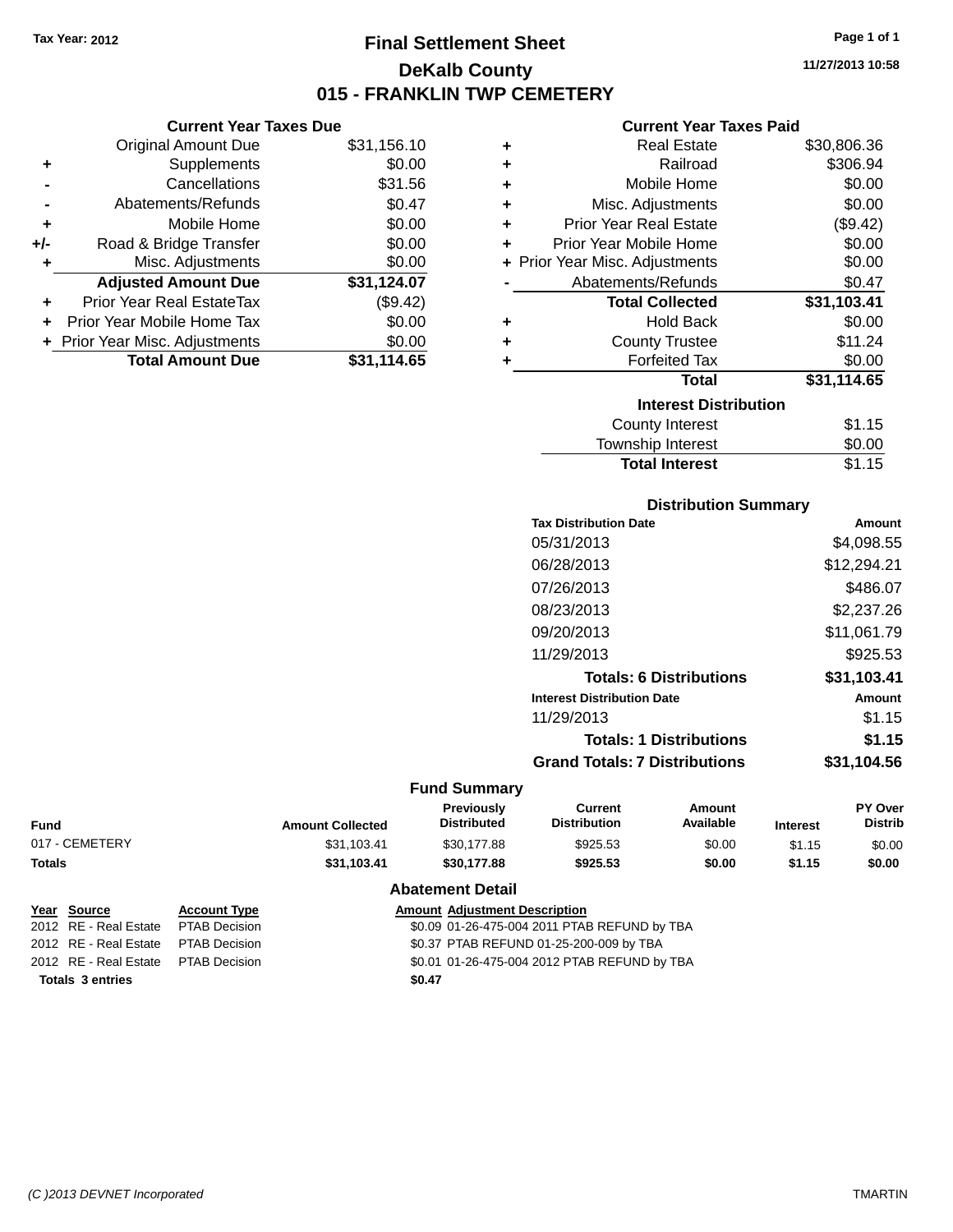**Current Year Taxes Due** Original Amount Due \$31,156.10

**Adjusted Amount Due \$31,124.07**

**Total Amount Due \$31,114.65**

**+** Supplements \$0.00 **-** Cancellations \$31.56 **-** Abatements/Refunds \$0.47 **+** Mobile Home \$0.00 **+/-** Road & Bridge Transfer \$0.00 **+** Misc. Adjustments \$0.00

**+** Prior Year Real EstateTax (\$9.42) **+** Prior Year Mobile Home Tax \$0.00 **+ Prior Year Misc. Adjustments**  $$0.00$ 

# **Final Settlement Sheet Tax Year: 2012 Page 1 of 1 DeKalb County 015 - FRANKLIN TWP CEMETERY**

**11/27/2013 10:58**

#### **Current Year Taxes Paid**

| ٠ | <b>Real Estate</b>             | \$30,806.36 |
|---|--------------------------------|-------------|
| ٠ | Railroad                       | \$306.94    |
| ٠ | Mobile Home                    | \$0.00      |
| ٠ | Misc. Adjustments              | \$0.00      |
| ٠ | Prior Year Real Estate         | (\$9.42)    |
| ÷ | Prior Year Mobile Home         | \$0.00      |
|   | + Prior Year Misc. Adjustments | \$0.00      |
|   | Abatements/Refunds             | \$0.47      |
|   | <b>Total Collected</b>         | \$31,103.41 |
| ٠ | <b>Hold Back</b>               | \$0.00      |
| ٠ | <b>County Trustee</b>          | \$11.24     |
| ٠ | <b>Forfeited Tax</b>           | \$0.00      |
|   | Total                          | \$31,114.65 |
|   | <b>Interest Distribution</b>   |             |
|   | <b>County Interest</b>         | \$1.15      |
|   | <b>Township Interest</b>       | \$0.00      |
|   | <b>Total Interest</b>          | \$1.15      |

# **Distribution Summary**

| <b>Tax Distribution Date</b>         | Amount      |
|--------------------------------------|-------------|
| 05/31/2013                           | \$4,098.55  |
| 06/28/2013                           | \$12,294.21 |
| 07/26/2013                           | \$486.07    |
| 08/23/2013                           | \$2,237.26  |
| 09/20/2013                           | \$11,061.79 |
| 11/29/2013                           | \$925.53    |
| <b>Totals: 6 Distributions</b>       | \$31,103.41 |
| <b>Interest Distribution Date</b>    | Amount      |
| 11/29/2013                           | \$1.15      |
| <b>Totals: 1 Distributions</b>       | \$1.15      |
| <b>Grand Totals: 7 Distributions</b> | \$31,104.56 |
|                                      |             |

#### **Fund Summary**

| Fund           | <b>Amount Collected</b> | <b>Previously</b><br><b>Distributed</b> | Current<br><b>Distribution</b> | Amount<br>Available | <b>Interest</b> | PY Over<br><b>Distrib</b> |
|----------------|-------------------------|-----------------------------------------|--------------------------------|---------------------|-----------------|---------------------------|
| 017 - CEMETERY | \$31,103.41             | \$30.177.88                             | \$925.53                       | \$0.00              | \$1.15          | \$0.00                    |
| Totals         | \$31.103.41             | \$30,177.88                             | \$925.53                       | \$0.00              | \$1.15          | \$0.00                    |

#### **Abatement Detail**

|                         | Year Source                         | <b>Account Type</b> | <b>Amount Adjustment Description</b>         |
|-------------------------|-------------------------------------|---------------------|----------------------------------------------|
|                         | 2012 RE - Real Estate PTAB Decision |                     | \$0.09 01-26-475-004 2011 PTAB REFUND by TBA |
|                         | 2012 RE - Real Estate PTAB Decision |                     | \$0.37 PTAB REFUND 01-25-200-009 by TBA      |
|                         | 2012 RE - Real Estate PTAB Decision |                     | \$0.01 01-26-475-004 2012 PTAB REFUND by TBA |
| <b>Totals 3 entries</b> |                                     |                     | \$0.47                                       |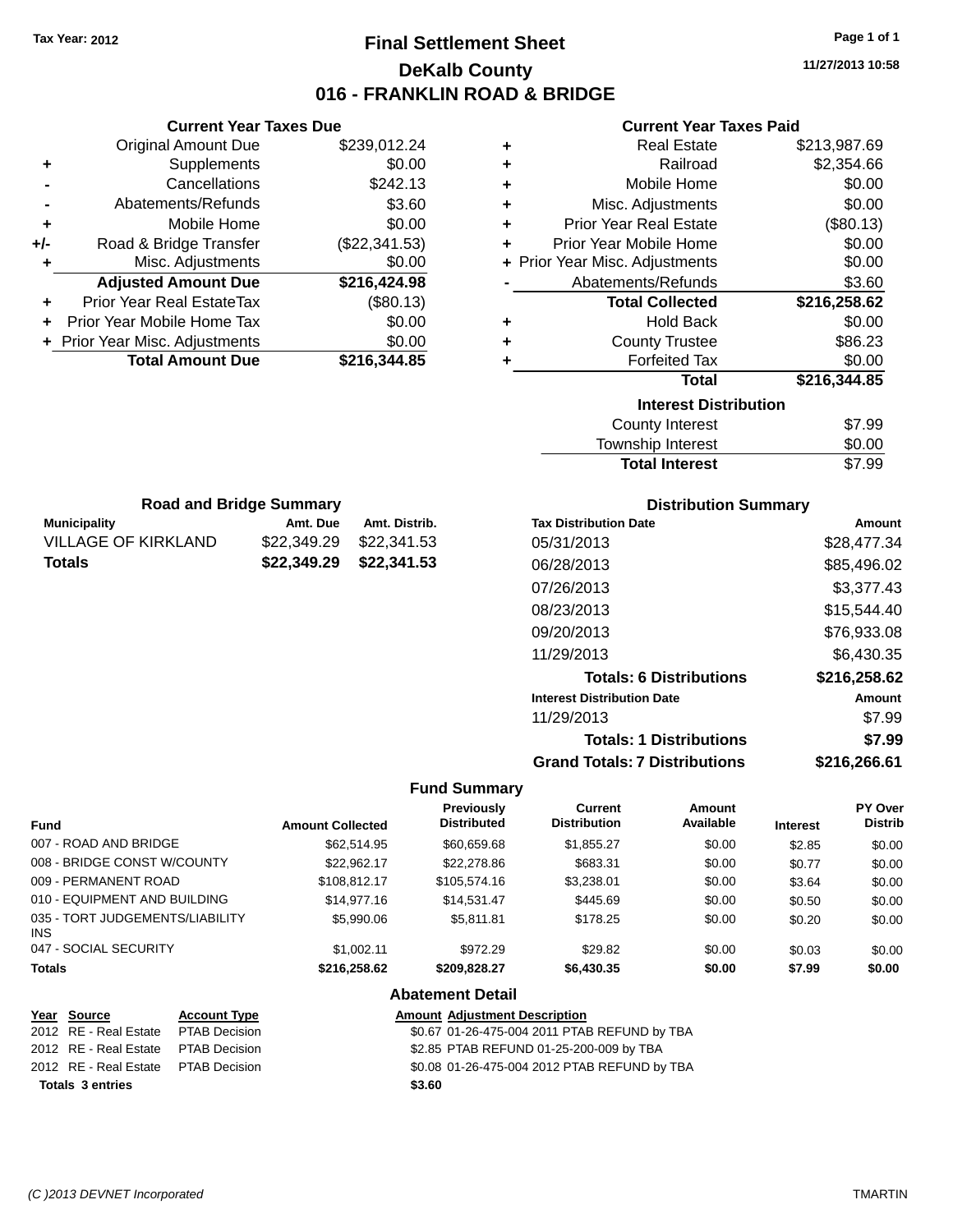**Current Year Taxes Due**

**Municipality Amt. Due Amt. Distrib. Road and Bridge Summary**

VILLAGE OF KIRKLAND \$22,349.29 \$22,341.53 **Totals \$22,349.29 \$22,341.53**

# **Final Settlement Sheet Tax Year: 2012 Page 1 of 1 DeKalb County 016 - FRANKLIN ROAD & BRIDGE**

**11/27/2013 10:58**

#### **Current Year Taxes Paid**

|       | <b>Original Amount Due</b>       | \$239,012.24  | ٠ | <b>Real Estate</b>             | \$213,987.69 |
|-------|----------------------------------|---------------|---|--------------------------------|--------------|
| ٠     | Supplements                      | \$0.00        | ٠ | Railroad                       | \$2,354.66   |
|       | Cancellations                    | \$242.13      | ٠ | Mobile Home                    | \$0.00       |
|       | Abatements/Refunds               | \$3.60        | ٠ | Misc. Adjustments              | \$0.00       |
| ٠     | Mobile Home                      | \$0.00        | ٠ | <b>Prior Year Real Estate</b>  | (\$80.13)    |
| $+/-$ | Road & Bridge Transfer           | (\$22,341.53) | ٠ | Prior Year Mobile Home         | \$0.00       |
| ٠     | Misc. Adjustments                | \$0.00        |   | + Prior Year Misc. Adjustments | \$0.00       |
|       | <b>Adjusted Amount Due</b>       | \$216,424.98  |   | Abatements/Refunds             | \$3.60       |
| ٠     | <b>Prior Year Real EstateTax</b> | (\$80.13)     |   | <b>Total Collected</b>         | \$216,258.62 |
| ٠     | Prior Year Mobile Home Tax       | \$0.00        | ٠ | <b>Hold Back</b>               | \$0.00       |
|       | + Prior Year Misc. Adjustments   | \$0.00        | ٠ | <b>County Trustee</b>          | \$86.23      |
|       | <b>Total Amount Due</b>          | \$216,344.85  |   | <b>Forfeited Tax</b>           | \$0.00       |
|       |                                  |               |   | <b>Total</b>                   | \$216,344.85 |
|       |                                  |               |   | <b>Interest Distribution</b>   |              |
|       |                                  |               |   | County Interest                | \$7.99       |
|       |                                  |               |   | Tauraahin Intaraat             | ሮስ ሰሰ        |

| <b>Total Interest</b> | \$7.99 |
|-----------------------|--------|
| Township Interest     | \$0.00 |
| County Interest       | \$7.99 |

| <b>Distribution Summary</b> |  |
|-----------------------------|--|
| n‡n                         |  |

| <b>Tax Distribution Date</b>         | Amount       |
|--------------------------------------|--------------|
| 05/31/2013                           | \$28,477.34  |
| 06/28/2013                           | \$85,496.02  |
| 07/26/2013                           | \$3,377.43   |
| 08/23/2013                           | \$15,544.40  |
| 09/20/2013                           | \$76,933.08  |
| 11/29/2013                           | \$6,430.35   |
| <b>Totals: 6 Distributions</b>       | \$216,258.62 |
| <b>Interest Distribution Date</b>    | Amount       |
| 11/29/2013                           | \$7.99       |
| <b>Totals: 1 Distributions</b>       | \$7.99       |
| <b>Grand Totals: 7 Distributions</b> | \$216.266.61 |

#### **Fund Summary**

| Fund                                   | <b>Amount Collected</b> | <b>Previously</b><br><b>Distributed</b> | Current<br><b>Distribution</b> | Amount<br>Available | <b>Interest</b> | PY Over<br><b>Distrib</b> |
|----------------------------------------|-------------------------|-----------------------------------------|--------------------------------|---------------------|-----------------|---------------------------|
| 007 - ROAD AND BRIDGE                  | \$62,514.95             | \$60,659.68                             | \$1,855.27                     | \$0.00              | \$2.85          | \$0.00                    |
| 008 - BRIDGE CONST W/COUNTY            | \$22.962.17             | \$22,278.86                             | \$683.31                       | \$0.00              | \$0.77          | \$0.00                    |
| 009 - PERMANENT ROAD                   | \$108.812.17            | \$105,574.16                            | \$3,238.01                     | \$0.00              | \$3.64          | \$0.00                    |
| 010 - EQUIPMENT AND BUILDING           | \$14,977.16             | \$14.531.47                             | \$445.69                       | \$0.00              | \$0.50          | \$0.00                    |
| 035 - TORT JUDGEMENTS/LIABILITY<br>INS | \$5,990.06              | \$5.811.81                              | \$178.25                       | \$0.00              | \$0.20          | \$0.00                    |
| 047 - SOCIAL SECURITY                  | \$1,002.11              | \$972.29                                | \$29.82                        | \$0.00              | \$0.03          | \$0.00                    |
| <b>Totals</b>                          | \$216,258.62            | \$209.828.27                            | \$6,430.35                     | \$0.00              | \$7.99          | \$0.00                    |

#### **Abatement Detail**

|                         | Year Source                         | <b>Account Type</b> |        | <b>Amount Adjustment Description</b>         |
|-------------------------|-------------------------------------|---------------------|--------|----------------------------------------------|
|                         | 2012 RE - Real Estate               | PTAB Decision       |        | \$0.67 01-26-475-004 2011 PTAB REFUND by TBA |
|                         | 2012 RE - Real Estate PTAB Decision |                     |        | \$2.85 PTAB REFUND 01-25-200-009 by TBA      |
|                         | 2012 RE - Real Estate PTAB Decision |                     |        | \$0.08 01-26-475-004 2012 PTAB REFUND by TBA |
| <b>Totals 3 entries</b> |                                     |                     | \$3.60 |                                              |
|                         |                                     |                     |        |                                              |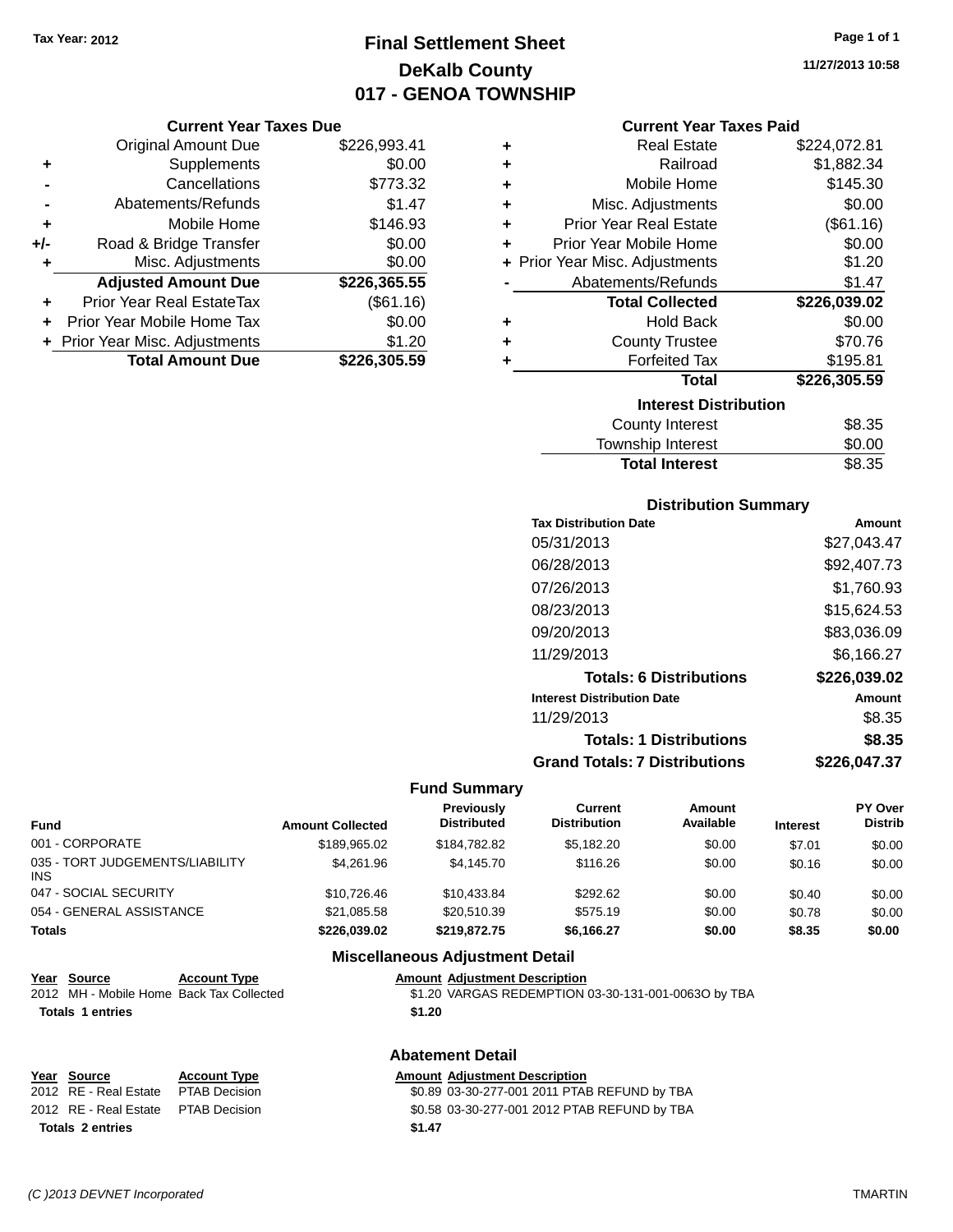# **Final Settlement Sheet Tax Year: 2012 Page 1 of 1 DeKalb County 017 - GENOA TOWNSHIP**

**Current Year Taxes Due**

| Supplements<br>٠<br>Cancellations<br>Abatements/Refunds<br>Mobile Home<br>٠<br>Road & Bridge Transfer<br>$+/-$<br>\$0.00<br>Misc. Adjustments<br>٠<br><b>Adjusted Amount Due</b><br>Prior Year Real EstateTax<br>Prior Year Mobile Home Tax | <b>Original Amount Due</b>     | \$226,993.41 |
|---------------------------------------------------------------------------------------------------------------------------------------------------------------------------------------------------------------------------------------------|--------------------------------|--------------|
|                                                                                                                                                                                                                                             |                                | \$0.00       |
|                                                                                                                                                                                                                                             |                                | \$773.32     |
|                                                                                                                                                                                                                                             |                                | \$1.47       |
|                                                                                                                                                                                                                                             |                                | \$146.93     |
|                                                                                                                                                                                                                                             |                                | \$0.00       |
|                                                                                                                                                                                                                                             |                                |              |
|                                                                                                                                                                                                                                             |                                |              |
|                                                                                                                                                                                                                                             |                                | \$226,365.55 |
|                                                                                                                                                                                                                                             |                                | (\$61.16)    |
|                                                                                                                                                                                                                                             |                                | \$0.00       |
| <b>Total Amount Due</b><br>\$226,305.59                                                                                                                                                                                                     | + Prior Year Misc. Adjustments | \$1.20       |

| 11/27/2013 10:58 |  |
|------------------|--|
|                  |  |

#### **Current Year Taxes Paid**

| ٠ | <b>Real Estate</b>             | \$224,072.81 |
|---|--------------------------------|--------------|
| ÷ | Railroad                       | \$1,882.34   |
| ÷ | Mobile Home                    | \$145.30     |
| ٠ | Misc. Adjustments              | \$0.00       |
| ÷ | <b>Prior Year Real Estate</b>  | (\$61.16)    |
| ÷ | Prior Year Mobile Home         | \$0.00       |
|   | + Prior Year Misc. Adjustments | \$1.20       |
|   | Abatements/Refunds             | \$1.47       |
|   |                                |              |
|   | <b>Total Collected</b>         | \$226,039.02 |
| ٠ | <b>Hold Back</b>               | \$0.00       |
| ÷ | <b>County Trustee</b>          | \$70.76      |
| ٠ | <b>Forfeited Tax</b>           | \$195.81     |
|   | <b>Total</b>                   | \$226,305.59 |
|   | <b>Interest Distribution</b>   |              |
|   | <b>County Interest</b>         | \$8.35       |

# **Distribution Summary**

Total Interest \$8.35

| Amount       |
|--------------|
| \$27.043.47  |
| \$92,407.73  |
| \$1,760.93   |
| \$15,624.53  |
| \$83,036.09  |
| \$6.166.27   |
| \$226,039.02 |
| Amount       |
| \$8.35       |
| \$8.35       |
| \$226,047.37 |
|              |

#### **Fund Summary**

| Fund                                   | <b>Amount Collected</b> | Previously<br><b>Distributed</b> | Current<br><b>Distribution</b> | Amount<br>Available | <b>Interest</b> | PY Over<br><b>Distrib</b> |
|----------------------------------------|-------------------------|----------------------------------|--------------------------------|---------------------|-----------------|---------------------------|
| 001 - CORPORATE                        | \$189,965.02            | \$184,782,82                     | \$5,182.20                     | \$0.00              | \$7.01          | \$0.00                    |
| 035 - TORT JUDGEMENTS/LIABILITY<br>INS | \$4.261.96              | \$4.145.70                       | \$116.26                       | \$0.00              | \$0.16          | \$0.00                    |
| 047 - SOCIAL SECURITY                  | \$10.726.46             | \$10.433.84                      | \$292.62                       | \$0.00              | \$0.40          | \$0.00                    |
| 054 - GENERAL ASSISTANCE               | \$21.085.58             | \$20.510.39                      | \$575.19                       | \$0.00              | \$0.78          | \$0.00                    |
| Totals                                 | \$226.039.02            | \$219.872.75                     | \$6,166.27                     | \$0.00              | \$8.35          | \$0.00                    |

#### **Miscellaneous Adjustment Detail**

| Year Source      | <b>Account Type</b>                      | <b>Amount Adiustment Description</b>                |
|------------------|------------------------------------------|-----------------------------------------------------|
|                  | 2012 MH - Mobile Home Back Tax Collected | \$1.20 VARGAS REDEMPTION 03-30-131-001-0063O by TBA |
| Totals 1 entries |                                          | \$1.20                                              |

| Year Source                         | <b>Account Type</b> | Amount |
|-------------------------------------|---------------------|--------|
| 2012 RE - Real Estate PTAB Decision |                     | \$0.89 |
| 2012 RE - Real Estate PTAB Decision |                     | \$0.58 |
| <b>Totals 2 entries</b>             |                     | \$1.47 |

#### **Abatement Detail**

#### **Year Source 2018 12 Separate Source 2018 12 Amount Adjustment Description**

2012 AB Decision **ABDecision** \$0.89 03-30-277-001 2011 PTAB REFUND by TBA 2012 AB Decision **ABDecision** \$0.58 03-30-277-001 2012 PTAB REFUND by TBA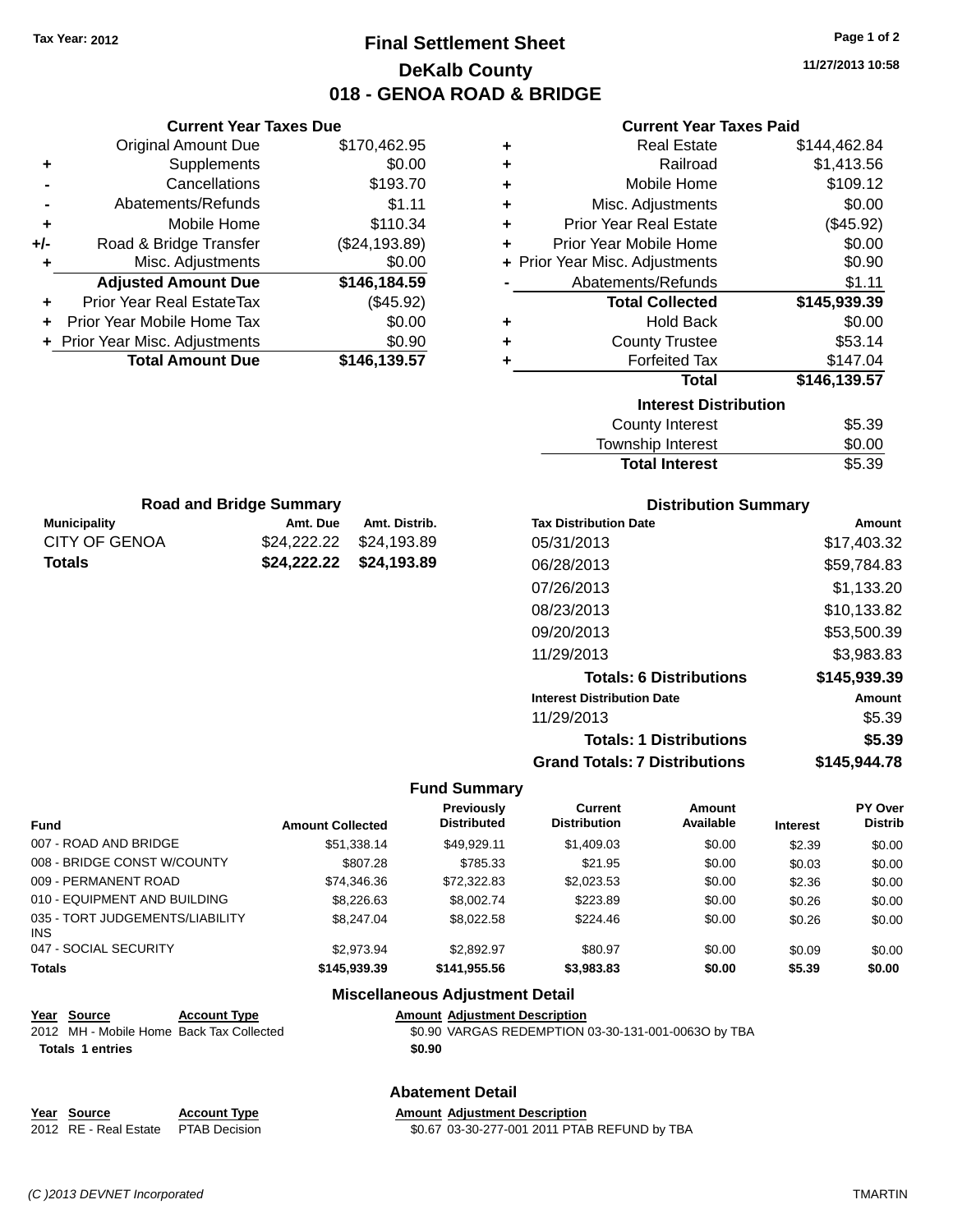# **Final Settlement Sheet Tax Year: 2012 Page 1 of 2 DeKalb County 018 - GENOA ROAD & BRIDGE**

**11/27/2013 10:58**

\$5.39

#### **Current Year Taxes Paid**

|     | <b>Current Year Taxes Due</b>  |               |   |
|-----|--------------------------------|---------------|---|
|     | Original Amount Due            | \$170,462.95  |   |
|     | <b>Supplements</b>             | \$0.00        |   |
|     | Cancellations                  | \$193.70      |   |
|     | Abatements/Refunds             | \$1.11        |   |
|     | Mobile Home                    | \$110.34      | ٠ |
| +/- | Road & Bridge Transfer         | (\$24,193.89) | ٠ |
|     | Misc. Adjustments              | \$0.00        |   |
|     | <b>Adjusted Amount Due</b>     | \$146,184.59  |   |
|     | Prior Year Real EstateTax      | (\$45.92)     |   |
|     | Prior Year Mobile Home Tax     | \$0.00        | ٠ |
|     | + Prior Year Misc. Adjustments | \$0.90        |   |
|     | <b>Total Amount Due</b>        | \$146,139.57  |   |
|     |                                |               |   |

**Municipality Amt. Due Amt. Distrib. Road and Bridge Summary**

CITY OF GENOA \$24,222.22 \$24,193.89 **Totals \$24,222.22 \$24,193.89**

| ٠ | <b>Real Estate</b>             | \$144,462.84 |
|---|--------------------------------|--------------|
| ÷ | Railroad                       | \$1,413.56   |
| ÷ | Mobile Home                    | \$109.12     |
| ٠ | Misc. Adjustments              | \$0.00       |
| ٠ | <b>Prior Year Real Estate</b>  | (\$45.92)    |
| ÷ | Prior Year Mobile Home         | \$0.00       |
|   | + Prior Year Misc. Adjustments | \$0.90       |
|   | Abatements/Refunds             | \$1.11       |
|   |                                |              |
|   | <b>Total Collected</b>         | \$145,939.39 |
| ٠ | <b>Hold Back</b>               | \$0.00       |
| ٠ | <b>County Trustee</b>          | \$53.14      |
| ٠ | <b>Forfeited Tax</b>           | \$147.04     |
|   | <b>Total</b>                   | \$146,139.57 |
|   | <b>Interest Distribution</b>   |              |
|   | <b>County Interest</b>         | \$5.39       |

| <b>Total Interest</b> |  |
|-----------------------|--|
|                       |  |
|                       |  |

| <b>Distribution Summary</b>          |              |  |  |  |  |
|--------------------------------------|--------------|--|--|--|--|
| <b>Tax Distribution Date</b>         | Amount       |  |  |  |  |
| 05/31/2013                           | \$17.403.32  |  |  |  |  |
| 06/28/2013                           | \$59,784.83  |  |  |  |  |
| 07/26/2013                           | \$1,133.20   |  |  |  |  |
| 08/23/2013                           | \$10,133.82  |  |  |  |  |
| 09/20/2013                           | \$53,500.39  |  |  |  |  |
| 11/29/2013                           | \$3,983.83   |  |  |  |  |
| <b>Totals: 6 Distributions</b>       | \$145,939.39 |  |  |  |  |
| <b>Interest Distribution Date</b>    | Amount       |  |  |  |  |
| 11/29/2013                           | \$5.39       |  |  |  |  |
| <b>Totals: 1 Distributions</b>       | \$5.39       |  |  |  |  |
| <b>Grand Totals: 7 Distributions</b> | \$145,944.78 |  |  |  |  |

#### **Fund Summary**

| Fund                                   | <b>Amount Collected</b> | <b>Previously</b><br><b>Distributed</b> | Current<br><b>Distribution</b> | Amount<br>Available | <b>Interest</b> | <b>PY Over</b><br><b>Distrib</b> |
|----------------------------------------|-------------------------|-----------------------------------------|--------------------------------|---------------------|-----------------|----------------------------------|
| 007 - ROAD AND BRIDGE                  | \$51.338.14             | \$49.929.11                             | \$1,409.03                     | \$0.00              | \$2.39          | \$0.00                           |
| 008 - BRIDGE CONST W/COUNTY            | \$807.28                | \$785.33                                | \$21.95                        | \$0.00              | \$0.03          | \$0.00                           |
| 009 - PERMANENT ROAD                   | \$74,346.36             | \$72,322.83                             | \$2,023.53                     | \$0.00              | \$2.36          | \$0.00                           |
| 010 - EQUIPMENT AND BUILDING           | \$8,226,63              | \$8,002.74                              | \$223.89                       | \$0.00              | \$0.26          | \$0.00                           |
| 035 - TORT JUDGEMENTS/LIABILITY<br>INS | \$8,247.04              | \$8.022.58                              | \$224.46                       | \$0.00              | \$0.26          | \$0.00                           |
| 047 - SOCIAL SECURITY                  | \$2,973.94              | \$2.892.97                              | \$80.97                        | \$0.00              | \$0.09          | \$0.00                           |
| <b>Totals</b>                          | \$145,939.39            | \$141,955.56                            | \$3,983.83                     | \$0.00              | \$5.39          | \$0.00                           |

# **Miscellaneous Adjustment Detail**

| Year Source                              | <b>Account Type</b> |        | <b>Amount Adjustment Description</b>                |
|------------------------------------------|---------------------|--------|-----------------------------------------------------|
| 2012 MH - Mobile Home Back Tax Collected |                     |        | \$0.90 VARGAS REDEMPTION 03-30-131-001-0063O by TBA |
| <b>Totals 1 entries</b>                  |                     | \$0.90 |                                                     |
|                                          |                     |        |                                                     |

#### **Abatement Detail**

# **<u>Year Source</u> <b>Account Type Amount Adjustment Description**<br>2012 RE - Real Estate PTAB Decision **60.67 03-30-277-001 2011 PTAE**

2012 RE - Real Estate PTAB Decision \$0.67 03-30-277-001 2011 PTAB REFUND by TBA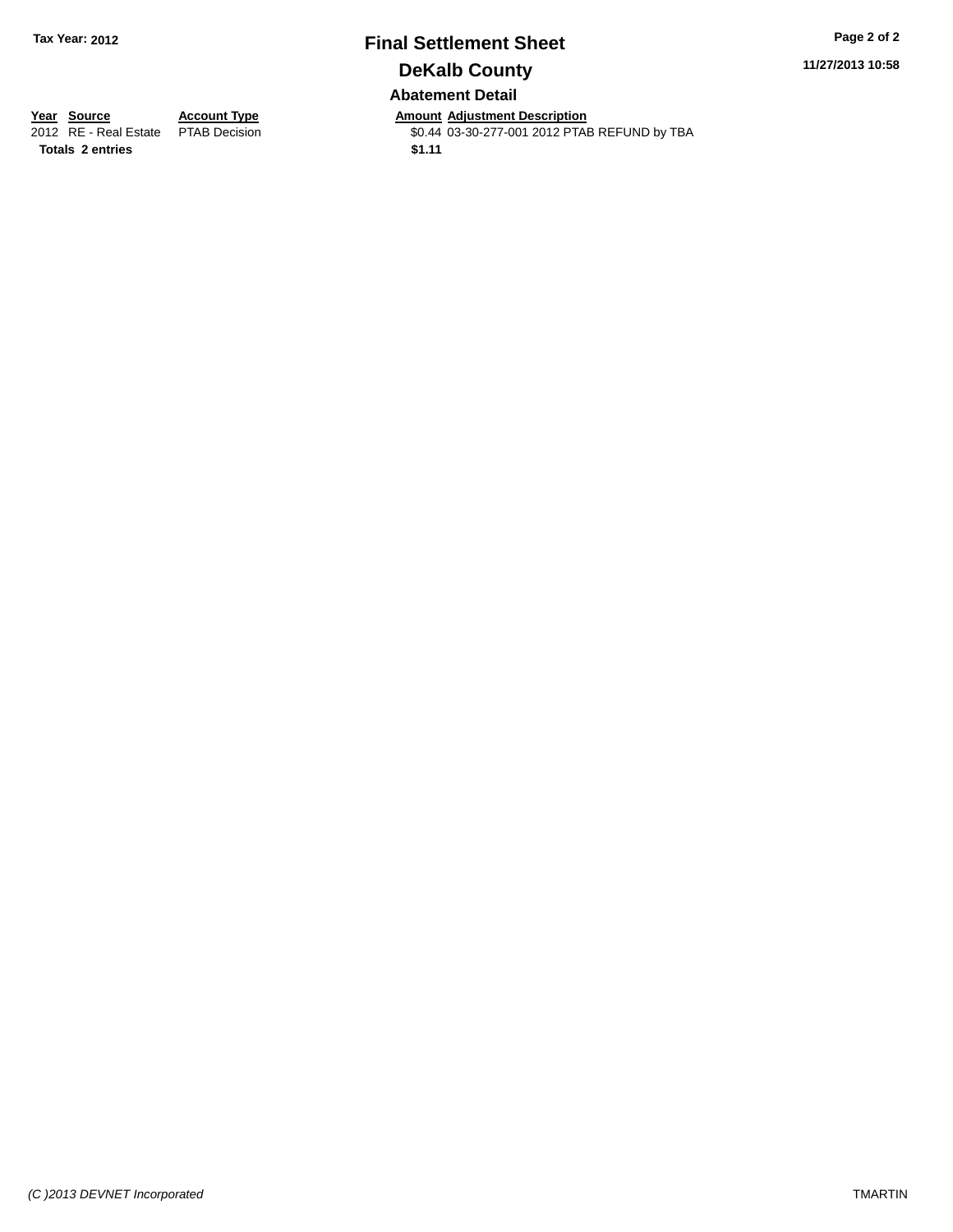# **Final Settlement Sheet Tax Year: 2012 Page 2 of 2 DeKalb County Abatement Detail**

**11/27/2013 10:58**

**Totals 2 entries \$1.11**

**Year Source Account Type Anneunt Adjustment Description**<br>2012 RE - Real Estate PTAB Decision **Amount Adjustment Description** \$0.44 03-30-277-001 2012 PTAB REFUND by TBA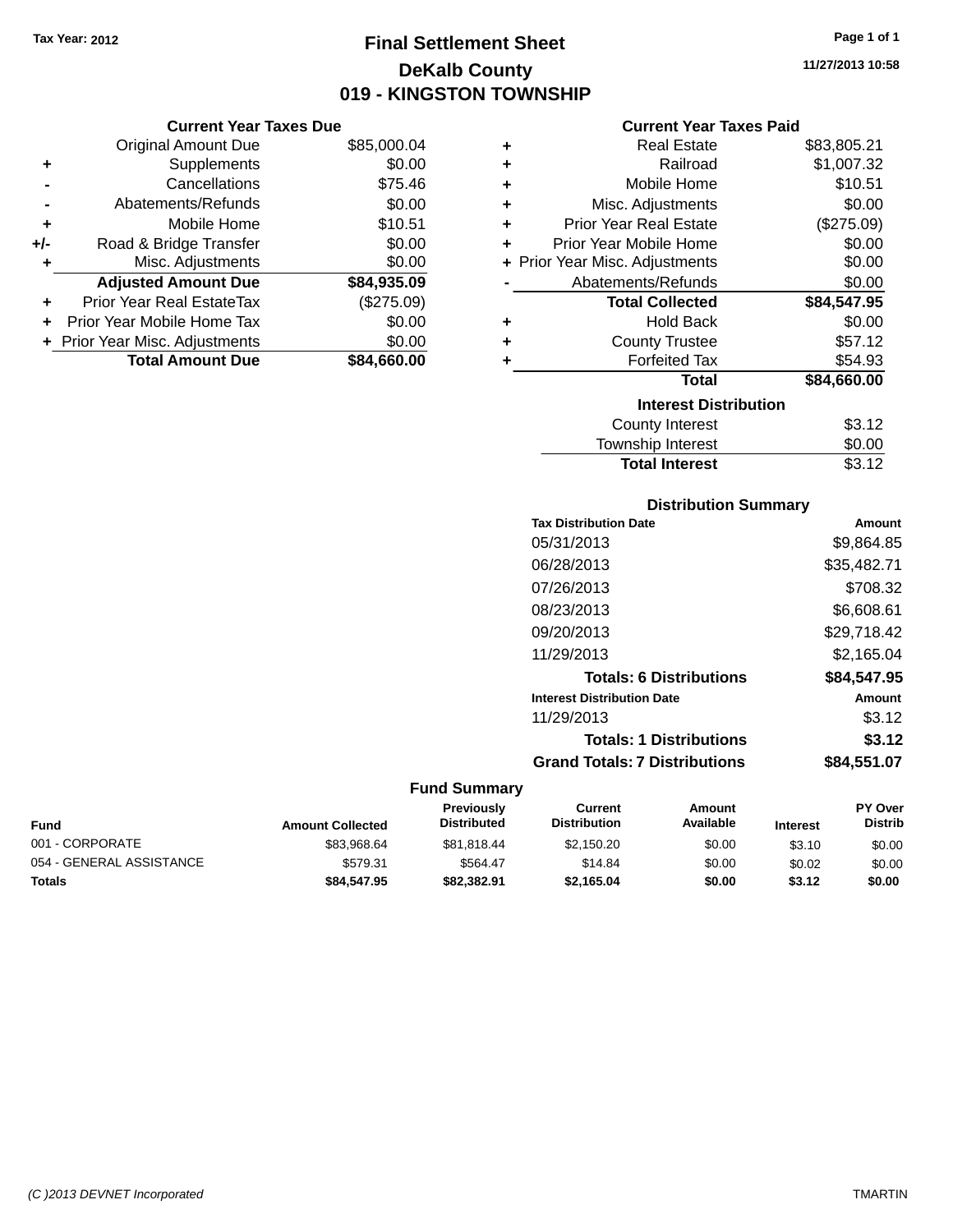**Current Year Taxes Due** Original Amount Due \$85

# **Final Settlement Sheet Tax Year: 2012 Page 1 of 1 DeKalb County 019 - KINGSTON TOWNSHIP**

**11/27/2013 10:58**

| <b>Current Year Taxes Paid</b> |  |  |  |
|--------------------------------|--|--|--|
|--------------------------------|--|--|--|

|                      | <b>Original Amount Due</b>       | \$85,000.04 | ٠ | <b>Real Estate</b>             | \$83,805.21 |
|----------------------|----------------------------------|-------------|---|--------------------------------|-------------|
| ÷                    | Supplements                      | \$0.00      | ٠ | Railroad                       | \$1,007.32  |
| $\blacksquare$       | Cancellations                    | \$75.46     |   | Mobile Home                    | \$10.51     |
|                      | Abatements/Refunds               | \$0.00      | ٠ | Misc. Adjustments              | \$0.00      |
| ٠                    | Mobile Home                      | \$10.51     | ٠ | <b>Prior Year Real Estate</b>  | (\$275.09)  |
| I-                   | Road & Bridge Transfer           | \$0.00      | ٠ | Prior Year Mobile Home         | \$0.00      |
| ٠                    | Misc. Adjustments                | \$0.00      |   | + Prior Year Misc. Adjustments | \$0.00      |
|                      | <b>Adjusted Amount Due</b>       | \$84,935.09 |   | Abatements/Refunds             | \$0.00      |
| $\ddot{\phantom{1}}$ | <b>Prior Year Real EstateTax</b> | (\$275.09)  |   | <b>Total Collected</b>         | \$84,547.95 |
|                      | + Prior Year Mobile Home Tax     | \$0.00      | ٠ | <b>Hold Back</b>               | \$0.00      |
|                      | + Prior Year Misc. Adjustments   | \$0.00      | ٠ | <b>County Trustee</b>          | \$57.12     |
|                      | <b>Total Amount Due</b>          | \$84,660.00 |   | <b>Forfeited Tax</b>           | \$54.93     |
|                      |                                  |             |   | Total                          | \$84,660.00 |
|                      |                                  |             |   | <b>Interest Distribution</b>   |             |
|                      |                                  |             |   | <b>County Interest</b>         | \$3.12      |
|                      |                                  |             |   |                                |             |

# $$3.12$ Township Interest \$0.00 Total Interest \$3.12

#### **Distribution Summary**

| <b>Tax Distribution Date</b>         | Amount      |
|--------------------------------------|-------------|
| 05/31/2013                           | \$9,864.85  |
| 06/28/2013                           | \$35,482.71 |
| 07/26/2013                           | \$708.32    |
| 08/23/2013                           | \$6,608.61  |
| 09/20/2013                           | \$29,718.42 |
| 11/29/2013                           | \$2,165.04  |
| <b>Totals: 6 Distributions</b>       | \$84,547.95 |
| <b>Interest Distribution Date</b>    | Amount      |
| 11/29/2013                           | \$3.12      |
| <b>Totals: 1 Distributions</b>       | \$3.12      |
| <b>Grand Totals: 7 Distributions</b> | \$84,551.07 |

| Fund                     | <b>Amount Collected</b> | <b>Previously</b><br><b>Distributed</b> | Current<br><b>Distribution</b> | Amount<br>Available | <b>Interest</b> | PY Over<br><b>Distrib</b> |
|--------------------------|-------------------------|-----------------------------------------|--------------------------------|---------------------|-----------------|---------------------------|
| 001 - CORPORATE          | \$83.968.64             | \$81.818.44                             | \$2.150.20                     | \$0.00              | \$3.10          | \$0.00                    |
| 054 - GENERAL ASSISTANCE | \$579.31                | \$564.47                                | \$14.84                        | \$0.00              | \$0.02          | \$0.00                    |
| Totals                   | \$84,547.95             | \$82,382,91                             | \$2.165.04                     | \$0.00              | \$3.12          | \$0.00                    |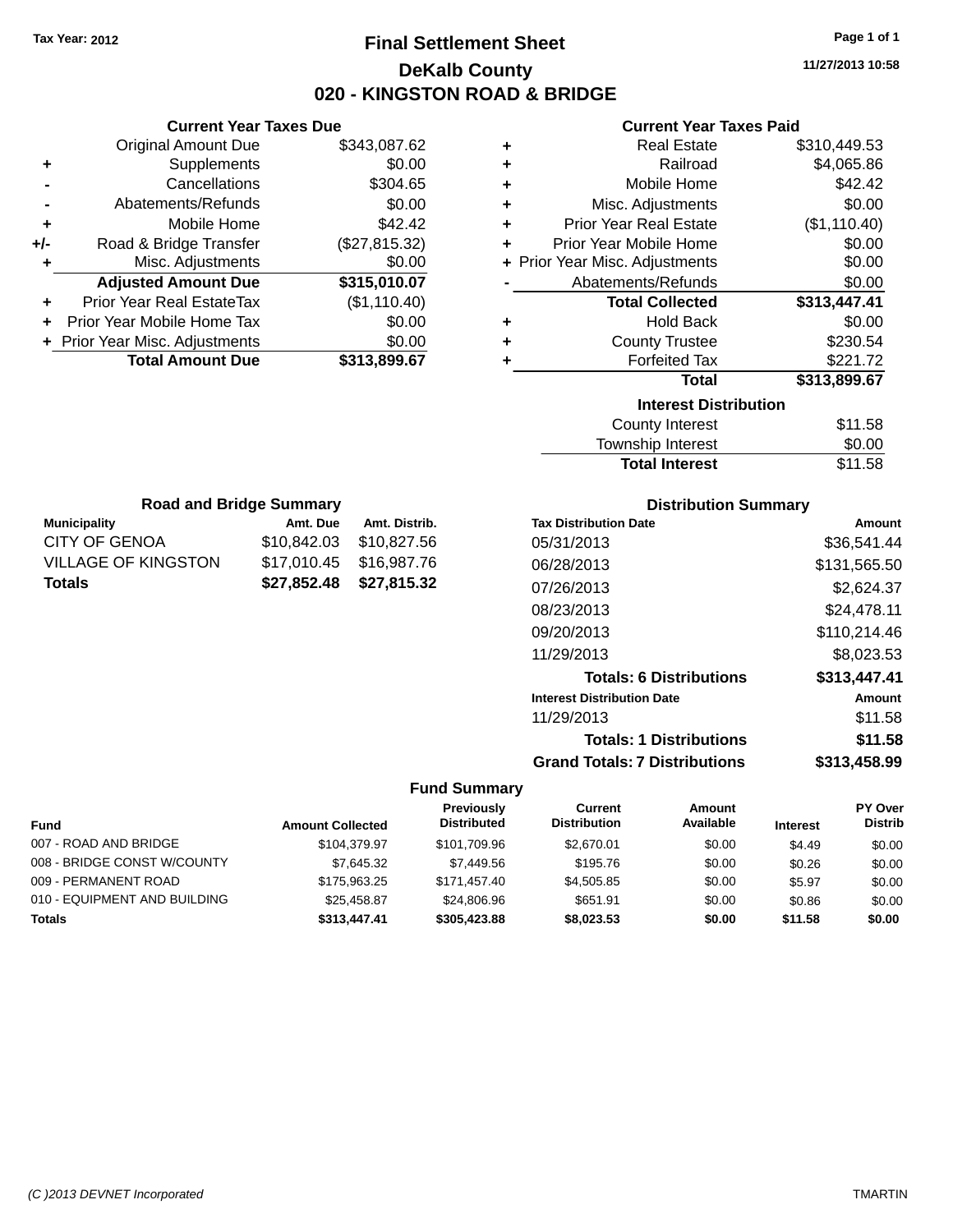# **Final Settlement Sheet Tax Year: 2012 Page 1 of 1 DeKalb County 020 - KINGSTON ROAD & BRIDGE**

**11/27/2013 10:58**

**Amount** \$36,541.44 \$131,565.50 \$2,624.37 08/23/2013 \$24,478.11 \$110,214.46 \$8,023.53 **Totals: 6 Distributions \$313,447.41**

#### **Current Year Taxes Paid**

| ٠ | <b>Real Estate</b>             | \$310,449.53 |
|---|--------------------------------|--------------|
| ٠ | Railroad                       | \$4,065.86   |
| ÷ | Mobile Home                    | \$42.42      |
| ٠ | Misc. Adjustments              | \$0.00       |
| ÷ | <b>Prior Year Real Estate</b>  | (\$1,110.40) |
| ٠ | Prior Year Mobile Home         | \$0.00       |
|   | + Prior Year Misc. Adjustments | \$0.00       |
|   | Abatements/Refunds             | \$0.00       |
|   | <b>Total Collected</b>         | \$313,447.41 |
| ٠ | <b>Hold Back</b>               | \$0.00       |
| ٠ | <b>County Trustee</b>          | \$230.54     |
| ٠ | <b>Forfeited Tax</b>           | \$221.72     |
|   | <b>Total</b>                   | \$313,899.67 |
|   | <b>Interest Distribution</b>   |              |
|   | <b>County Interest</b>         | \$11.58      |
|   | Township Interact              | ድስ ስስ        |

| <b>Total Interest</b> | \$11.58 |
|-----------------------|---------|
| Township Interest     | \$0.00  |
| County Interest       | \$11.58 |

|                      | <b>Road and Bridge Summary</b> |               | <b>Distribution Summary</b>    |
|----------------------|--------------------------------|---------------|--------------------------------|
| <b>Municipality</b>  | Amt. Due                       | Amt. Distrib. | <b>Tax Distribution Date</b>   |
| <b>CITY OF GENOA</b> | \$10,842.03                    | \$10,827.56   | 05/31/2013                     |
| VILLAGE OF KINGSTON  | \$17,010.45                    | \$16,987.76   | 06/28/2013                     |
| <b>Totals</b>        | \$27,852.48                    | \$27,815.32   | 07/26/2013                     |
|                      |                                |               | 08/23/2013                     |
|                      |                                |               | 09/20/2013                     |
|                      |                                |               | 11/29/2013                     |
|                      |                                |               | <b>Totals: 6 Distributions</b> |
|                      |                                |               | Interest Distribution Date     |

| <b>Interest Distribution Date</b> | Amount  |
|-----------------------------------|---------|
| 11/29/2013                        | \$11.58 |
| <b>Totals: 1 Distributions</b>    | \$11.58 |

### **Grand Totals: 7 Distributions \$313,458.99**

#### **Fund Summary**

|                              |                         | Previously         | Current             | Amount    |                 | PY Over        |
|------------------------------|-------------------------|--------------------|---------------------|-----------|-----------------|----------------|
| <b>Fund</b>                  | <b>Amount Collected</b> | <b>Distributed</b> | <b>Distribution</b> | Available | <b>Interest</b> | <b>Distrib</b> |
| 007 - ROAD AND BRIDGE        | \$104.379.97            | \$101.709.96       | \$2.670.01          | \$0.00    | \$4.49          | \$0.00         |
| 008 - BRIDGE CONST W/COUNTY  | \$7.645.32              | \$7,449.56         | \$195.76            | \$0.00    | \$0.26          | \$0.00         |
| 009 - PERMANENT ROAD         | \$175,963,25            | \$171.457.40       | \$4,505.85          | \$0.00    | \$5.97          | \$0.00         |
| 010 - EQUIPMENT AND BUILDING | \$25.458.87             | \$24,806.96        | \$651.91            | \$0.00    | \$0.86          | \$0.00         |
| <b>Totals</b>                | \$313,447.41            | \$305,423,88       | \$8.023.53          | \$0.00    | \$11.58         | \$0.00         |

|     | 7911 VIII TUUT TUNGU DUU         |               |
|-----|----------------------------------|---------------|
|     | <b>Original Amount Due</b>       | \$343,087.62  |
| ٠   | Supplements                      | \$0.00        |
|     | Cancellations                    | \$304.65      |
|     | Abatements/Refunds               | \$0.00        |
| ٠   | Mobile Home                      | \$42.42       |
| +/- | Road & Bridge Transfer           | (\$27,815.32) |
| ٠   | Misc. Adjustments                | \$0.00        |
|     | <b>Adjusted Amount Due</b>       | \$315,010.07  |
| ٠   | <b>Prior Year Real EstateTax</b> | (\$1,110.40)  |
|     | Prior Year Mobile Home Tax       | \$0.00        |
|     | + Prior Year Misc. Adjustments   | \$0.00        |
|     | <b>Total Amount Due</b>          | \$313,899.67  |

**Current Year Taxes Due**

#### *(C )2013 DEVNET Incorporated* TMARTIN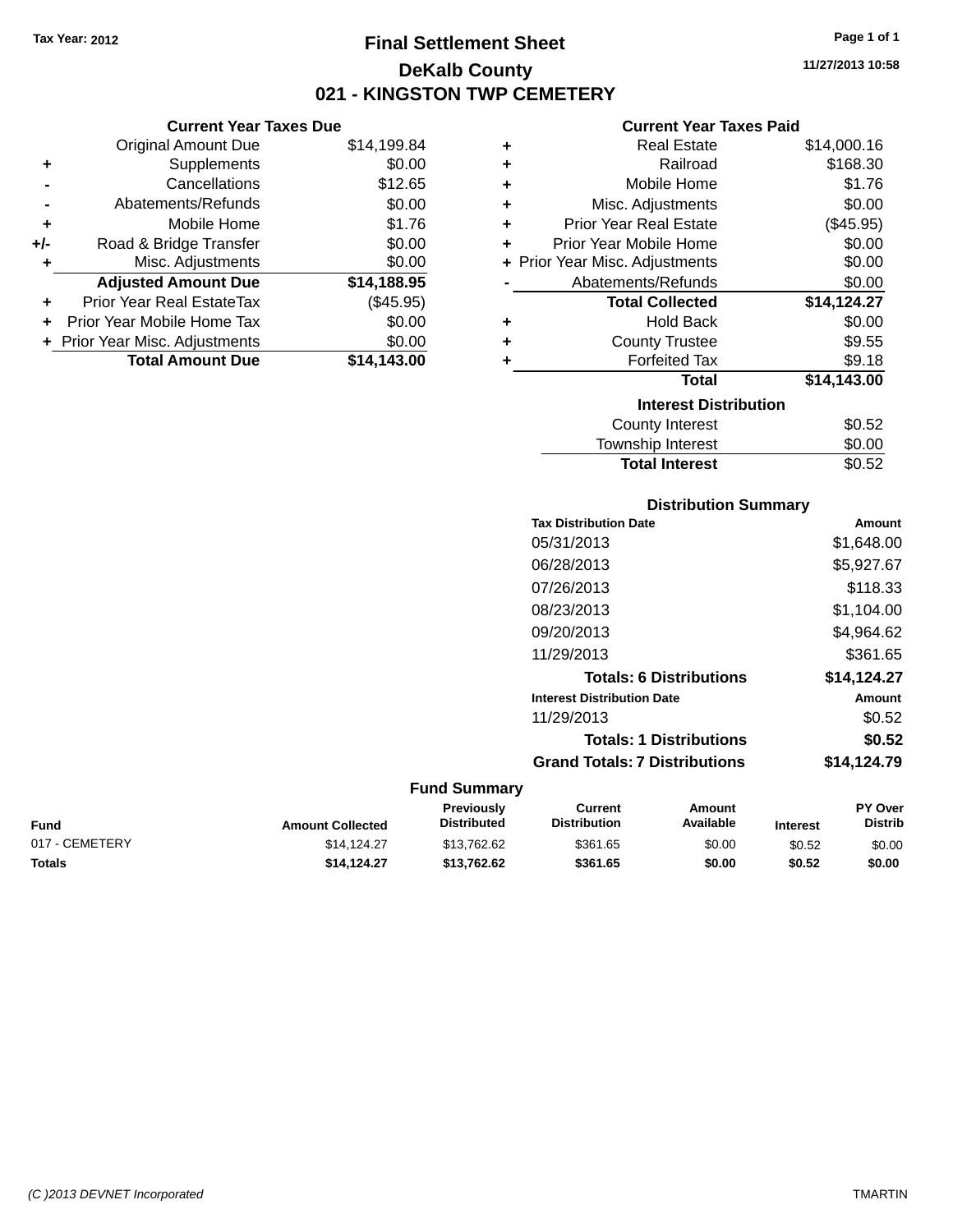# **Final Settlement Sheet Tax Year: 2012 Page 1 of 1 DeKalb County 021 - KINGSTON TWP CEMETERY**

**11/27/2013 10:58**

#### **Current Year Taxes Paid**

| ÷ | <b>Real Estate</b>             | \$14,000.16 |
|---|--------------------------------|-------------|
| ÷ | Railroad                       | \$168.30    |
| ÷ | Mobile Home                    | \$1.76      |
| ÷ | Misc. Adjustments              | \$0.00      |
| ÷ | <b>Prior Year Real Estate</b>  | (\$45.95)   |
| ٠ | Prior Year Mobile Home         | \$0.00      |
|   | + Prior Year Misc. Adjustments | \$0.00      |
|   | Abatements/Refunds             | \$0.00      |
|   | <b>Total Collected</b>         | \$14,124.27 |
| ٠ | Hold Back                      | \$0.00      |
| ÷ | <b>County Trustee</b>          | \$9.55      |
| ٠ | <b>Forfeited Tax</b>           | \$9.18      |
|   | <b>Total</b>                   | \$14,143.00 |
|   | <b>Interest Distribution</b>   |             |
|   | <b>County Interest</b>         | \$0.52      |
|   | <b>Township Interest</b>       | \$0.00      |

| <b>Distribution Summary</b>          |             |
|--------------------------------------|-------------|
| <b>Tax Distribution Date</b>         | Amount      |
| 05/31/2013                           | \$1,648.00  |
| 06/28/2013                           | \$5,927.67  |
| 07/26/2013                           | \$118.33    |
| 08/23/2013                           | \$1,104.00  |
| 09/20/2013                           | \$4,964.62  |
| 11/29/2013                           | \$361.65    |
| <b>Totals: 6 Distributions</b>       | \$14,124.27 |
| <b>Interest Distribution Date</b>    | Amount      |
| 11/29/2013                           | \$0.52      |
| <b>Totals: 1 Distributions</b>       | \$0.52      |
| <b>Grand Totals: 7 Distributions</b> | \$14.124.79 |

Total Interest \$0.52

#### **Fund Summary**

| Fund           | <b>Amount Collected</b> | <b>Previously</b><br><b>Distributed</b> | Current<br><b>Distribution</b> | Amount<br>Available | <b>Interest</b> | PY Over<br><b>Distrib</b> |
|----------------|-------------------------|-----------------------------------------|--------------------------------|---------------------|-----------------|---------------------------|
| 017 - CEMETERY | \$14.124.27             | \$13.762.62                             | \$361.65                       | \$0.00              | \$0.52          | \$0.00                    |
| Totals         | \$14.124.27             | \$13.762.62                             | \$361.65                       | \$0.00              | \$0.52          | \$0.00                    |

|     | <b>Current Year Taxes Due</b> |             |
|-----|-------------------------------|-------------|
|     | <b>Original Amount Due</b>    | \$14,199.84 |
|     | Supplements                   | \$0.00      |
|     | Cancellations                 | \$12.65     |
|     | Abatements/Refunds            | \$0.00      |
| ٠   | Mobile Home                   | \$1.76      |
| +/- | Road & Bridge Transfer        | \$0.00      |
| ÷   | Misc. Adjustments             | \$0.00      |
|     | <b>Adjusted Amount Due</b>    | \$14,188.95 |
|     |                               |             |

**+** Prior Year Real EstateTax (\$45.95) **+** Prior Year Mobile Home Tax \$0.00 **+** Prior Year Misc. Adjustments \$0.00<br> **Total Amount Due** \$14,143.00 **Total Amount Due**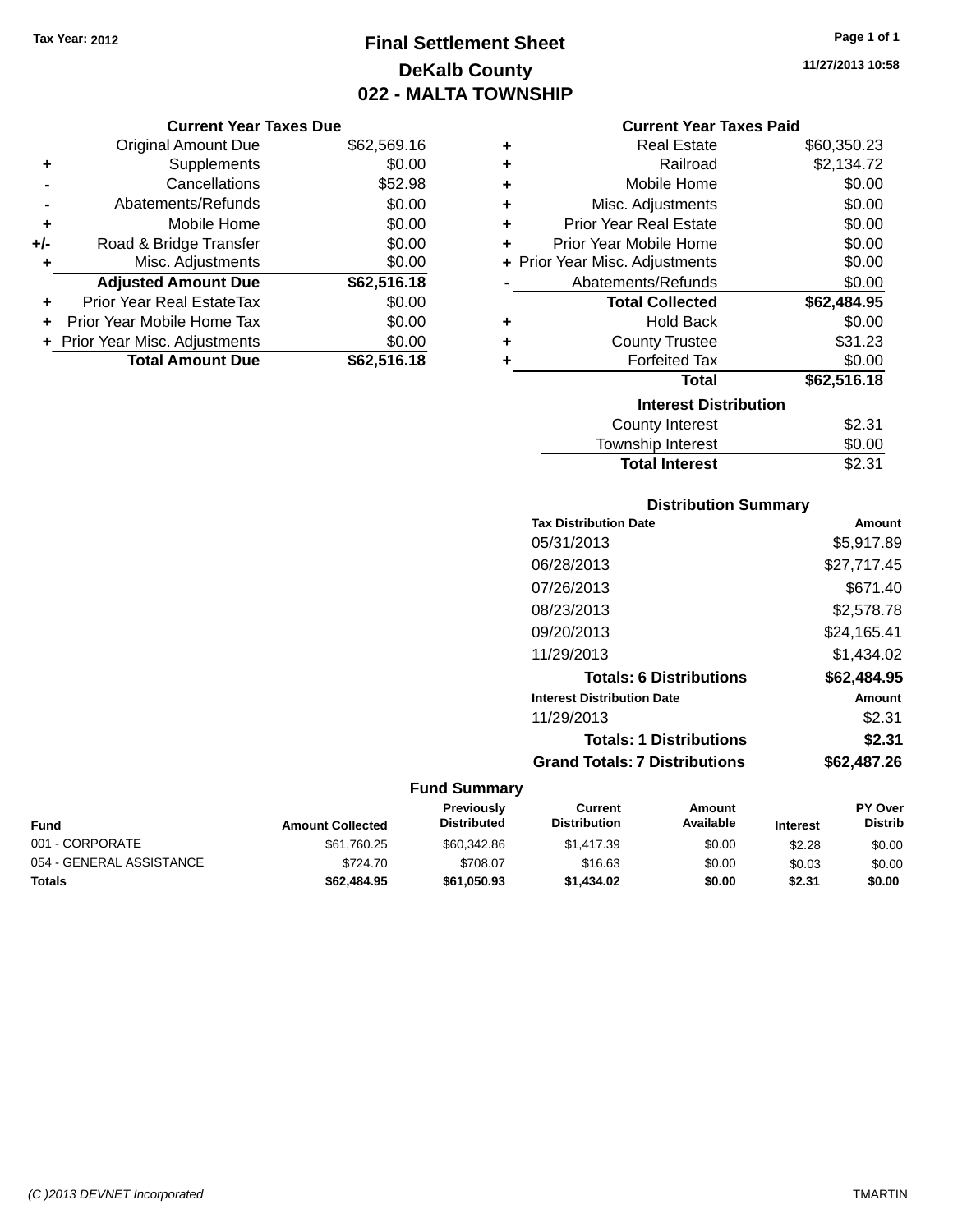# **Final Settlement Sheet Tax Year: 2012 Page 1 of 1 DeKalb County 022 - MALTA TOWNSHIP**

**11/27/2013 10:58**

#### **Current Year Taxes Paid**

|     | <b>Original Amount Due</b>       | \$62,569.16 |   |
|-----|----------------------------------|-------------|---|
| ٠   | Supplements                      | \$0.00      |   |
|     | Cancellations                    | \$52.98     |   |
|     | Abatements/Refunds               | \$0.00      |   |
| ٠   | Mobile Home                      | \$0.00      | ۰ |
| +/- | Road & Bridge Transfer           | \$0.00      | ۰ |
| ٠   | Misc. Adjustments                | \$0.00      | ۰ |
|     | <b>Adjusted Amount Due</b>       | \$62,516.18 |   |
|     | <b>Prior Year Real EstateTax</b> | \$0.00      |   |
| ٠   | Prior Year Mobile Home Tax       | \$0.00      |   |
|     | + Prior Year Misc. Adjustments   | \$0.00      | 4 |
|     | <b>Total Amount Due</b>          | \$62,516.18 |   |
|     |                                  |             |   |

**Current Year Taxes Due**

| ٠ | <b>Real Estate</b>             | \$60,350.23 |
|---|--------------------------------|-------------|
| ÷ | Railroad                       | \$2,134.72  |
| ÷ | Mobile Home                    | \$0.00      |
| ٠ | Misc. Adjustments              | \$0.00      |
| ٠ | <b>Prior Year Real Estate</b>  | \$0.00      |
| ٠ | Prior Year Mobile Home         | \$0.00      |
|   | + Prior Year Misc. Adjustments | \$0.00      |
|   | Abatements/Refunds             | \$0.00      |
|   | <b>Total Collected</b>         | \$62,484.95 |
| ٠ | <b>Hold Back</b>               | \$0.00      |
| ÷ | <b>County Trustee</b>          | \$31.23     |
| ٠ | <b>Forfeited Tax</b>           | \$0.00      |
|   | Total                          | \$62,516.18 |
|   | <b>Interest Distribution</b>   |             |
|   | <b>County Interest</b>         | \$2.31      |
|   | <b>Township Interest</b>       | \$0.00      |
|   | <b>Total Interest</b>          | \$2.31      |

## **Distribution Summary Tax Distribution Date Amount** 05/31/2013 \$5,917.89 06/28/2013 \$27,717.45 07/26/2013 \$671.40 08/23/2013 \$2,578.78 09/20/2013 \$24,165.41 11/29/2013 \$1,434.02 **Totals: 6 Distributions \$62,484.95 Interest Distribution Date Amount** 11/29/2013 \$2.31 **Totals: 1 Distributions \$2.31**

# **Grand Totals: 7 Distributions \$62,487.26**

| Fund                     | <b>Amount Collected</b> | <b>Previously</b><br><b>Distributed</b> | Current<br><b>Distribution</b> | Amount<br>Available | <b>Interest</b> | <b>PY Over</b><br><b>Distrib</b> |
|--------------------------|-------------------------|-----------------------------------------|--------------------------------|---------------------|-----------------|----------------------------------|
| 001 - CORPORATE          | \$61,760.25             | \$60,342.86                             | \$1.417.39                     | \$0.00              | \$2.28          | \$0.00                           |
| 054 - GENERAL ASSISTANCE | \$724.70                | \$708.07                                | \$16.63                        | \$0.00              | \$0.03          | \$0.00                           |
| Totals                   | \$62,484.95             | \$61,050.93                             | \$1,434.02                     | \$0.00              | \$2.31          | \$0.00                           |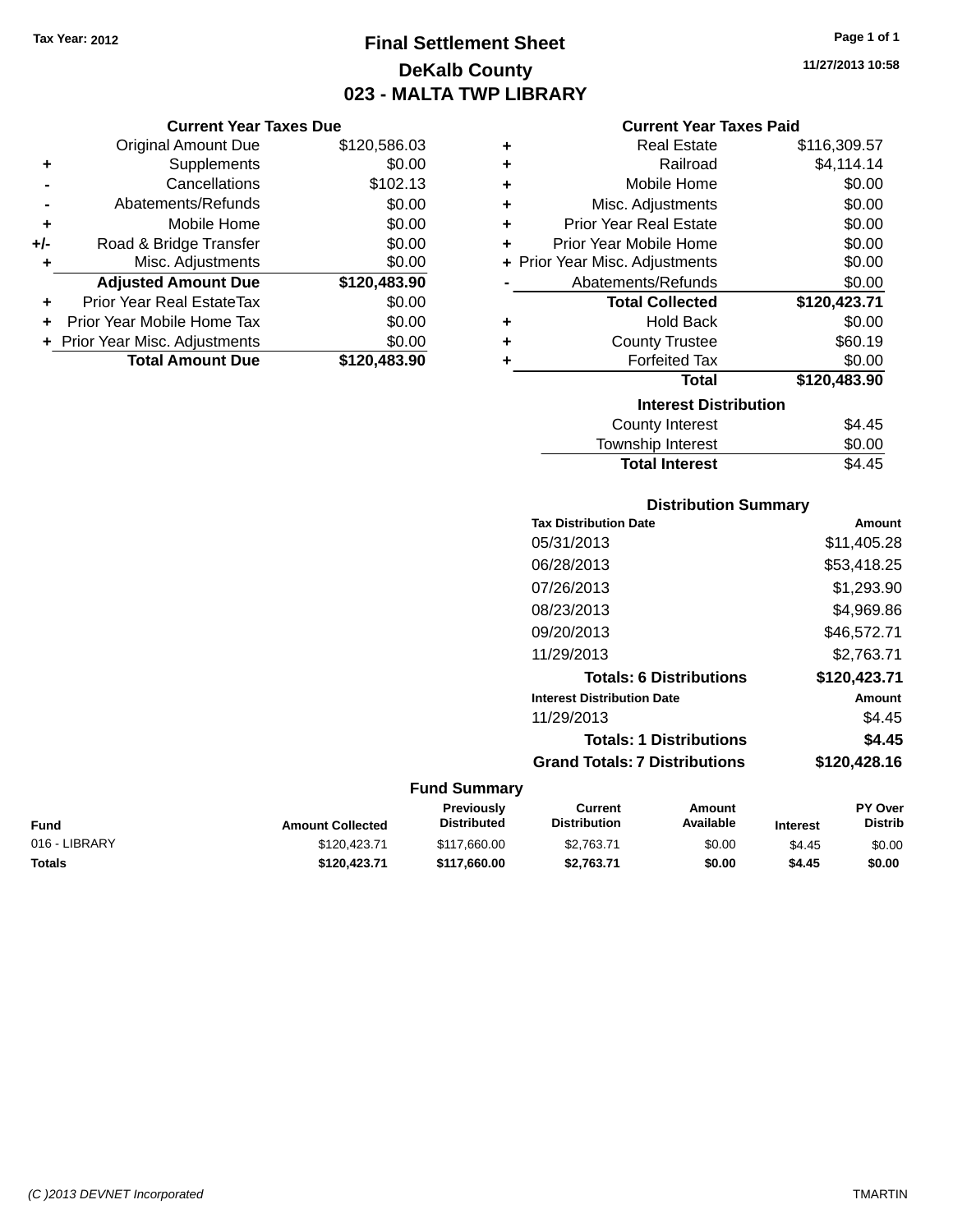# **Final Settlement Sheet Tax Year: 2012 Page 1 of 1 DeKalb County 023 - MALTA TWP LIBRARY**

**11/27/2013 10:58**

#### **Current Year Taxes Paid**

|     | <b>Current Year Taxes Due</b>    |              |  |  |  |
|-----|----------------------------------|--------------|--|--|--|
|     | <b>Original Amount Due</b>       | \$120,586.03 |  |  |  |
| ٠   | Supplements                      | \$0.00       |  |  |  |
|     | Cancellations                    | \$102.13     |  |  |  |
|     | Abatements/Refunds               | \$0.00       |  |  |  |
| ٠   | Mobile Home                      | \$0.00       |  |  |  |
| +/- | Road & Bridge Transfer           | \$0.00       |  |  |  |
| ٠   | Misc. Adjustments                | \$0.00       |  |  |  |
|     | <b>Adjusted Amount Due</b>       | \$120,483.90 |  |  |  |
|     | <b>Prior Year Real EstateTax</b> | \$0.00       |  |  |  |
| ÷   | Prior Year Mobile Home Tax       | \$0.00       |  |  |  |
|     | + Prior Year Misc. Adjustments   | \$0.00       |  |  |  |
|     | <b>Total Amount Due</b>          | \$120,483,90 |  |  |  |

| ٠ | <b>Real Estate</b>             | \$116,309.57 |
|---|--------------------------------|--------------|
| ٠ | Railroad                       | \$4,114.14   |
| ÷ | Mobile Home                    | \$0.00       |
| ÷ | Misc. Adjustments              | \$0.00       |
| ٠ | <b>Prior Year Real Estate</b>  | \$0.00       |
| ٠ | Prior Year Mobile Home         | \$0.00       |
|   | + Prior Year Misc. Adjustments | \$0.00       |
|   | Abatements/Refunds             | \$0.00       |
|   | <b>Total Collected</b>         | \$120,423.71 |
| ٠ | <b>Hold Back</b>               | \$0.00       |
| ٠ | <b>County Trustee</b>          | \$60.19      |
| ٠ | <b>Forfeited Tax</b>           | \$0.00       |
|   | <b>Total</b>                   | \$120,483.90 |
|   | <b>Interest Distribution</b>   |              |
|   | <b>County Interest</b>         | \$4.45       |
|   | <b>Township Interest</b>       | \$0.00       |
|   | <b>Total Interest</b>          | \$4.45       |

## **Distribution Summary Tax Distribution Date Amount** 05/31/2013 \$11,405.28 06/28/2013 \$53,418.25 07/26/2013 \$1,293.90 08/23/2013 \$4,969.86 09/20/2013 \$46,572.71 11/29/2013 \$2,763.71 **Totals: 6 Distributions \$120,423.71 Interest Distribution Date Amount** 11/29/2013 \$4.45 **Totals: 1 Distributions \$4.45 Grand Totals: 7 Distributions \$120,428.16**

| Fund          | <b>Amount Collected</b> | <b>Previously</b><br><b>Distributed</b> | Current<br><b>Distribution</b> | Amount<br>Available | <b>Interest</b> | <b>PY Over</b><br><b>Distrib</b> |
|---------------|-------------------------|-----------------------------------------|--------------------------------|---------------------|-----------------|----------------------------------|
| 016 - LIBRARY | \$120.423.71            | \$117,660,00                            | \$2.763.71                     | \$0.00              | \$4.45          | \$0.00                           |
| Totals        | \$120,423.71            | \$117,660,00                            | \$2.763.71                     | \$0.00              | \$4.45          | \$0.00                           |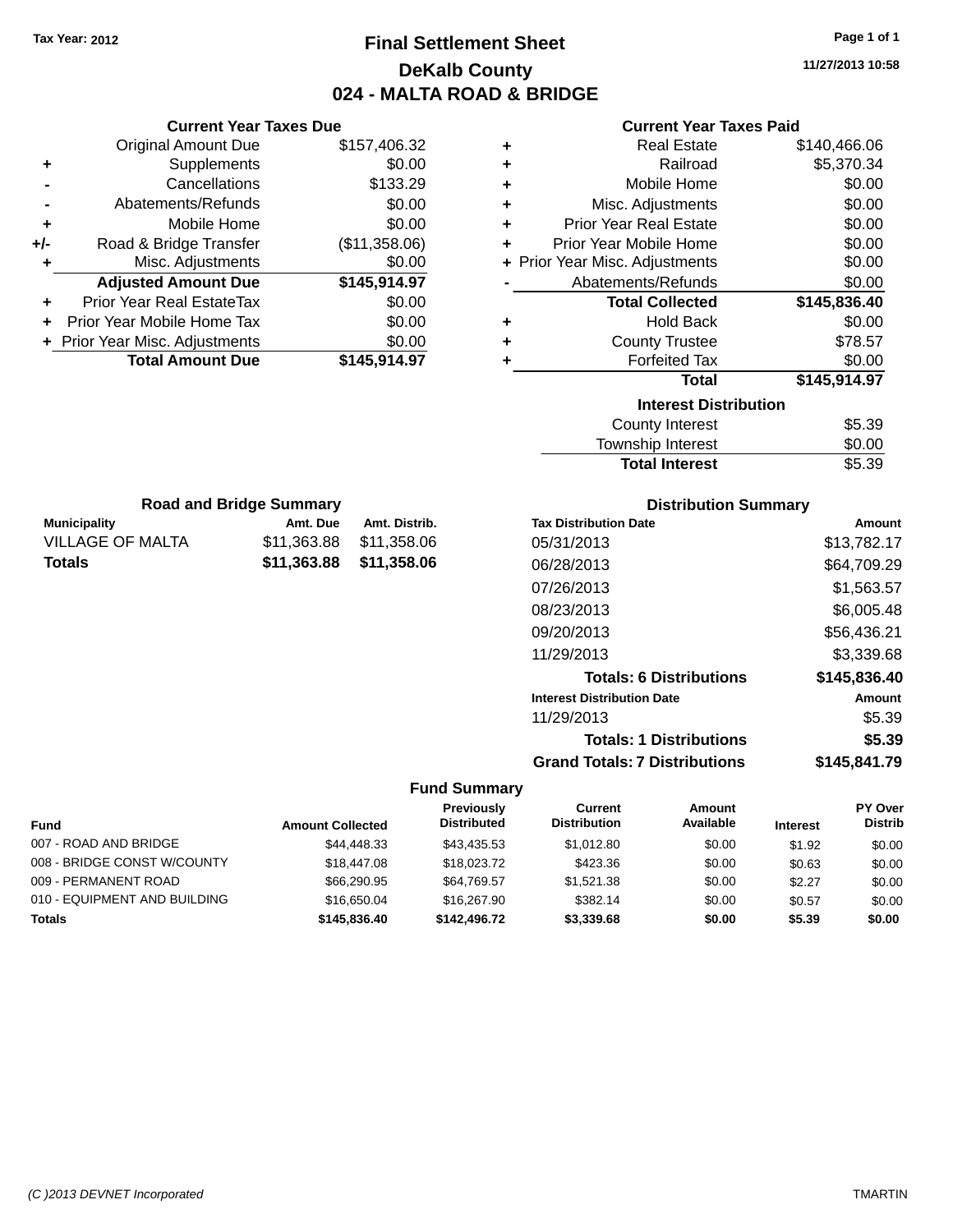# **Final Settlement Sheet Tax Year: 2012 Page 1 of 1 DeKalb County 024 - MALTA ROAD & BRIDGE**

**11/27/2013 10:58**

## **Current Year Taxes Paid**

| <b>Current Year Taxes Due</b> |               |           | <b>Current Year Taxes Paid</b> |              |
|-------------------------------|---------------|-----------|--------------------------------|--------------|
| ่<br>เl Amount Due            | \$157,406.32  | ٠         | <b>Real Estate</b>             | \$140,466.06 |
| Supplements                   | \$0.00        | ٠         | Railroad                       | \$5,370.34   |
| Cancellations                 | \$133.29      | ÷         | Mobile Home                    | \$0.00       |
| าents/Refunds                 | \$0.00        | ÷         | Misc. Adjustments              | \$0.00       |
| Mobile Home                   | \$0.00        | ÷         | <b>Prior Year Real Estate</b>  | \$0.00       |
| ridge Transfer                | (\$11,358.06) | $\ddot{}$ | Prior Year Mobile Home         | \$0.00       |
| . Adjustments                 | \$0.00        |           | + Prior Year Misc. Adjustments | \$0.00       |
| <b>Amount Due</b>             | \$145,914.97  |           | Abatements/Refunds             | \$0.00       |
| eal EstateTax                 | \$0.00        |           | <b>Total Collected</b>         | \$145,836.40 |
| bile Home Tax                 | \$0.00        | ÷         | <b>Hold Back</b>               | \$0.00       |
| . Adjustments                 | \$0.00        | ٠         | <b>County Trustee</b>          | \$78.57      |
| <b>Amount Due</b>             | \$145,914.97  |           | <b>Forfeited Tax</b>           | \$0.00       |
|                               |               |           | <b>Total</b>                   | \$145,914.97 |
|                               |               |           | <b>Interest Distribution</b>   |              |

| araet Nietrihution |  |
|--------------------|--|

| \$5.39 |
|--------|
|        |
| \$0.00 |
| \$5.39 |
|        |

| <b>Road and Bridge Summary</b> |                         |               |  |  |
|--------------------------------|-------------------------|---------------|--|--|
| <b>Municipality</b>            | Amt. Due                | Amt. Distrib. |  |  |
| <b>VILLAGE OF MALTA</b>        | \$11.363.88             | \$11,358.06   |  |  |
| Totals                         | \$11,363,88 \$11,358,06 |               |  |  |

**Original Amount Due** 

**Adjusted Amount Due** 

**Total Amount Due** 

**+** Supplements **-** Cancellations **-** Abatements/Refunds **+** Mobile Home **+/-** Road & Bridge Transfer **+** Misc. Adjustments

**+** Prior Year Real EstateTax \$0.00 **+** Prior Year Mobile Home Tax **+** Prior Year Misc. Adjustments

#### **Distribution Summary**

| <b>Tax Distribution Date</b>         | Amount       |
|--------------------------------------|--------------|
| 05/31/2013                           | \$13,782.17  |
| 06/28/2013                           | \$64,709.29  |
| 07/26/2013                           | \$1,563.57   |
| 08/23/2013                           | \$6,005.48   |
| 09/20/2013                           | \$56,436.21  |
| 11/29/2013                           | \$3,339.68   |
| <b>Totals: 6 Distributions</b>       | \$145,836.40 |
| <b>Interest Distribution Date</b>    | Amount       |
| 11/29/2013                           | \$5.39       |
| <b>Totals: 1 Distributions</b>       | \$5.39       |
| <b>Grand Totals: 7 Distributions</b> | \$145,841.79 |

|                              |                         | <b>Previously</b>  | <b>Current</b>      | Amount    |                 | <b>PY Over</b> |
|------------------------------|-------------------------|--------------------|---------------------|-----------|-----------------|----------------|
| <b>Fund</b>                  | <b>Amount Collected</b> | <b>Distributed</b> | <b>Distribution</b> | Available | <b>Interest</b> | <b>Distrib</b> |
| 007 - ROAD AND BRIDGE        | \$44,448,33             | \$43.435.53        | \$1.012.80          | \$0.00    | \$1.92          | \$0.00         |
| 008 - BRIDGE CONST W/COUNTY  | \$18,447.08             | \$18,023,72        | \$423.36            | \$0.00    | \$0.63          | \$0.00         |
| 009 - PERMANENT ROAD         | \$66,290.95             | \$64.769.57        | \$1.521.38          | \$0.00    | \$2.27          | \$0.00         |
| 010 - EQUIPMENT AND BUILDING | \$16,650,04             | \$16,267.90        | \$382.14            | \$0.00    | \$0.57          | \$0.00         |
| <b>Totals</b>                | \$145,836,40            | \$142,496.72       | \$3,339.68          | \$0.00    | \$5.39          | \$0.00         |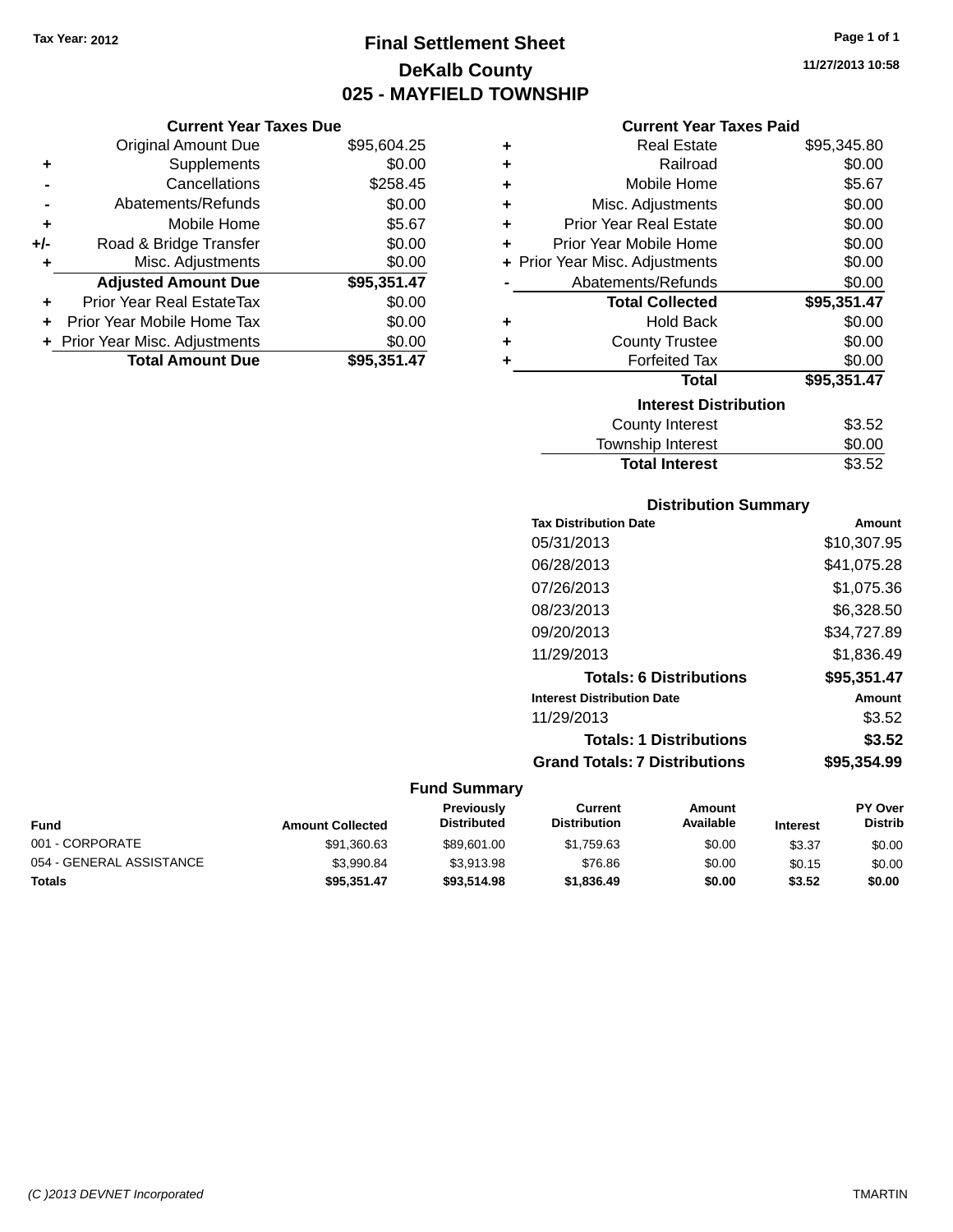# **Final Settlement Sheet Tax Year: 2012 Page 1 of 1 DeKalb County 025 - MAYFIELD TOWNSHIP**

#### **Current Year Taxes Due**

|     | <b>Original Amount Due</b>       | \$95,604.25 |
|-----|----------------------------------|-------------|
| ٠   | Supplements                      | \$0.00      |
|     | Cancellations                    | \$258.45    |
|     | Abatements/Refunds               | \$0.00      |
| ٠   | Mobile Home                      | \$5.67      |
| +/- | Road & Bridge Transfer           | \$0.00      |
|     | Misc. Adjustments                | \$0.00      |
|     | <b>Adjusted Amount Due</b>       | \$95,351.47 |
| ٠   | <b>Prior Year Real EstateTax</b> | \$0.00      |
|     | Prior Year Mobile Home Tax       | \$0.00      |
|     | + Prior Year Misc. Adjustments   | \$0.00      |
|     | <b>Total Amount Due</b>          | \$95,351,47 |

#### **Current Year Taxes Paid**

| ٠ | <b>Real Estate</b>             | \$95,345.80 |
|---|--------------------------------|-------------|
| ÷ | Railroad                       | \$0.00      |
| ٠ | Mobile Home                    | \$5.67      |
| ٠ | Misc. Adjustments              | \$0.00      |
| ٠ | <b>Prior Year Real Estate</b>  | \$0.00      |
| ٠ | Prior Year Mobile Home         | \$0.00      |
|   | + Prior Year Misc. Adjustments | \$0.00      |
|   | Abatements/Refunds             | \$0.00      |
|   | <b>Total Collected</b>         | \$95,351.47 |
| ٠ | Hold Back                      | \$0.00      |
| ٠ | <b>County Trustee</b>          | \$0.00      |
| ٠ | <b>Forfeited Tax</b>           | \$0.00      |
|   | <b>Total</b>                   | \$95,351.47 |
|   | <b>Interest Distribution</b>   |             |
|   | <b>County Interest</b>         | \$3.52      |
|   | <b>Township Interest</b>       | \$0.00      |
|   | <b>Total Interest</b>          | \$3.52      |

### **Distribution Summary**

| <b>Tax Distribution Date</b>         | Amount      |
|--------------------------------------|-------------|
| 05/31/2013                           | \$10,307.95 |
| 06/28/2013                           | \$41,075.28 |
| 07/26/2013                           | \$1,075.36  |
| 08/23/2013                           | \$6,328.50  |
| 09/20/2013                           | \$34,727.89 |
| 11/29/2013                           | \$1,836.49  |
| <b>Totals: 6 Distributions</b>       | \$95,351.47 |
| <b>Interest Distribution Date</b>    | Amount      |
| 11/29/2013                           | \$3.52      |
| <b>Totals: 1 Distributions</b>       | \$3.52      |
| <b>Grand Totals: 7 Distributions</b> | \$95.354.99 |
|                                      |             |

| Fund                     | <b>Amount Collected</b> | <b>Previously</b><br><b>Distributed</b> | Current<br><b>Distribution</b> | Amount<br>Available | <b>Interest</b> | <b>PY Over</b><br><b>Distrib</b> |
|--------------------------|-------------------------|-----------------------------------------|--------------------------------|---------------------|-----------------|----------------------------------|
| 001 - CORPORATE          | \$91,360.63             | \$89,601.00                             | \$1.759.63                     | \$0.00              | \$3.37          | \$0.00                           |
| 054 - GENERAL ASSISTANCE | \$3.990.84              | \$3.913.98                              | \$76.86                        | \$0.00              | \$0.15          | \$0.00                           |
| Totals                   | \$95.351.47             | \$93,514.98                             | \$1,836.49                     | \$0.00              | \$3.52          | \$0.00                           |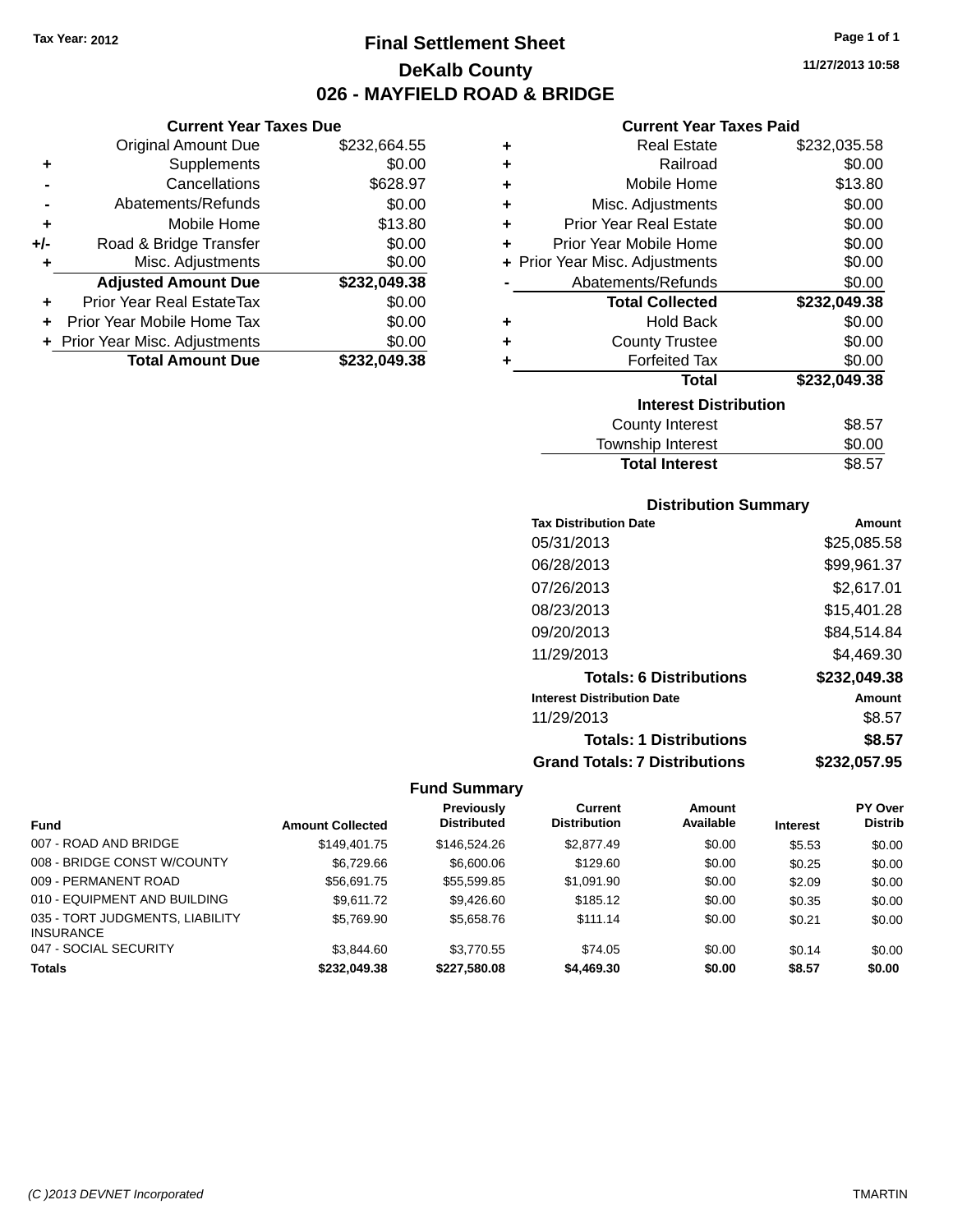**Current Year Taxes Due** Original Amount Due \$232,664.55

**Adjusted Amount Due \$232,049.38**

**+** Supplements \$0.00 **-** Cancellations \$628.97 **-** Abatements/Refunds \$0.00 **+** Mobile Home \$13.80 **+/-** Road & Bridge Transfer \$0.00<br> **+** Misc. Adjustments \$0.00

**+** Prior Year Real EstateTax \$0.00 **+** Prior Year Mobile Home Tax \$0.00 **+** Prior Year Misc. Adjustments \$0.00<br> **Total Amount Due** \$232,049.38

**Total Amount Due** 

**+** Misc. Adjustments

# **Final Settlement Sheet Tax Year: 2012 Page 1 of 1 DeKalb County 026 - MAYFIELD ROAD & BRIDGE**

**11/27/2013 10:58**

#### **Current Year Taxes Paid**

| ٠ | <b>Real Estate</b>                                                                                                                                                                                                            | \$232,035.58 |
|---|-------------------------------------------------------------------------------------------------------------------------------------------------------------------------------------------------------------------------------|--------------|
| ٠ | Railroad                                                                                                                                                                                                                      | \$0.00       |
| ٠ | Mobile Home                                                                                                                                                                                                                   | \$13.80      |
| ٠ | Misc. Adjustments                                                                                                                                                                                                             | \$0.00       |
| ٠ | <b>Prior Year Real Estate</b>                                                                                                                                                                                                 | \$0.00       |
| ÷ | Prior Year Mobile Home                                                                                                                                                                                                        | \$0.00       |
|   | + Prior Year Misc. Adjustments                                                                                                                                                                                                | \$0.00       |
|   | Abatements/Refunds                                                                                                                                                                                                            | \$0.00       |
|   | <b>Total Collected</b>                                                                                                                                                                                                        | \$232,049.38 |
| ٠ | <b>Hold Back</b>                                                                                                                                                                                                              | \$0.00       |
| ٠ | <b>County Trustee</b>                                                                                                                                                                                                         | \$0.00       |
| ٠ | <b>Forfeited Tax</b>                                                                                                                                                                                                          | \$0.00       |
|   | <b>Total</b>                                                                                                                                                                                                                  | \$232,049.38 |
|   | <b>Interest Distribution</b>                                                                                                                                                                                                  |              |
|   | <b>County Interest</b>                                                                                                                                                                                                        | \$8.57       |
|   | The control of the second to the second to the second to the second to the second to the second to the second to the second to the second to the second to the second to the second to the second to the second to the second | mn nn        |

| <b>Total Interest</b> | \$8.57 |
|-----------------------|--------|
| Township Interest     | \$0.00 |
|                       | ----   |

#### **Distribution Summary**

| <b>Tax Distribution Date</b>         | Amount       |
|--------------------------------------|--------------|
| 05/31/2013                           | \$25,085.58  |
| 06/28/2013                           | \$99,961.37  |
| 07/26/2013                           | \$2,617.01   |
| 08/23/2013                           | \$15,401.28  |
| 09/20/2013                           | \$84,514.84  |
| 11/29/2013                           | \$4.469.30   |
| <b>Totals: 6 Distributions</b>       | \$232,049.38 |
| <b>Interest Distribution Date</b>    | Amount       |
| 11/29/2013                           | \$8.57       |
| <b>Totals: 1 Distributions</b>       | \$8.57       |
| <b>Grand Totals: 7 Distributions</b> | \$232,057.95 |

|                                                     |                         | Previously         | Current             | Amount    |                 | PY Over        |
|-----------------------------------------------------|-------------------------|--------------------|---------------------|-----------|-----------------|----------------|
| <b>Fund</b>                                         | <b>Amount Collected</b> | <b>Distributed</b> | <b>Distribution</b> | Available | <b>Interest</b> | <b>Distrib</b> |
| 007 - ROAD AND BRIDGE                               | \$149.401.75            | \$146,524,26       | \$2,877.49          | \$0.00    | \$5.53          | \$0.00         |
| 008 - BRIDGE CONST W/COUNTY                         | \$6,729.66              | \$6,600.06         | \$129.60            | \$0.00    | \$0.25          | \$0.00         |
| 009 - PERMANENT ROAD                                | \$56,691.75             | \$55,599.85        | \$1,091.90          | \$0.00    | \$2.09          | \$0.00         |
| 010 - EQUIPMENT AND BUILDING                        | \$9.611.72              | \$9,426.60         | \$185.12            | \$0.00    | \$0.35          | \$0.00         |
| 035 - TORT JUDGMENTS, LIABILITY<br><b>INSURANCE</b> | \$5,769.90              | \$5,658.76         | \$111.14            | \$0.00    | \$0.21          | \$0.00         |
| 047 - SOCIAL SECURITY                               | \$3,844.60              | \$3,770.55         | \$74.05             | \$0.00    | \$0.14          | \$0.00         |
| <b>Totals</b>                                       | \$232.049.38            | \$227.580.08       | \$4,469.30          | \$0.00    | \$8.57          | \$0.00         |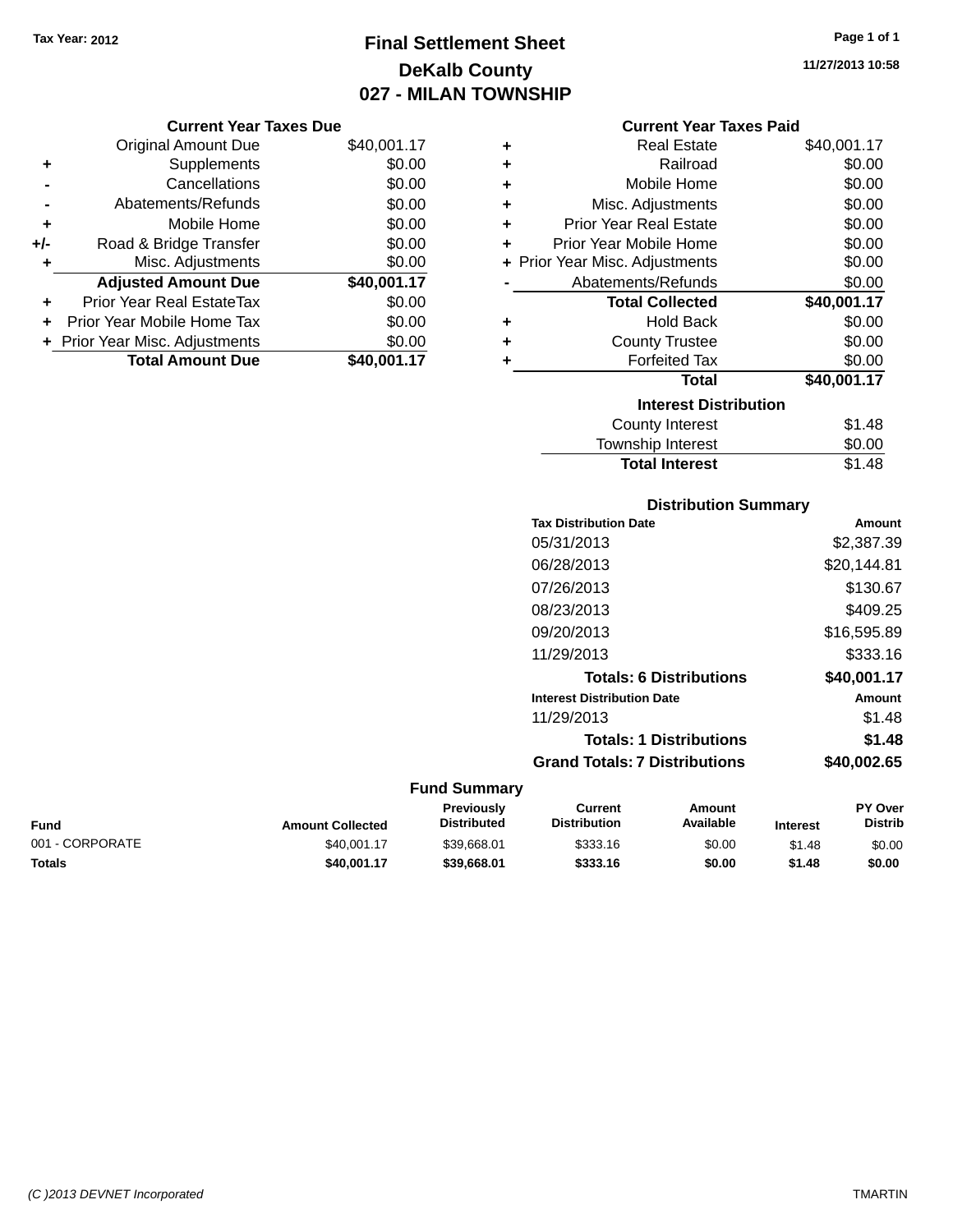**Current Year Taxes Due**

# **Final Settlement Sheet Tax Year: 2012 Page 1 of 1 DeKalb County 027 - MILAN TOWNSHIP**

**11/27/2013 10:58**

| <b>Current Year Taxes Paid</b> |  |
|--------------------------------|--|
|                                |  |

|                | <b>Original Amount Due</b>       | \$40,001.17 | ٠ | <b>Real Estate</b>             | \$40,001.17 |
|----------------|----------------------------------|-------------|---|--------------------------------|-------------|
| ٠              | Supplements                      | \$0.00      | ٠ | Railroad                       | \$0.00      |
| $\blacksquare$ | Cancellations                    | \$0.00      | ٠ | Mobile Home                    | \$0.00      |
|                | Abatements/Refunds               | \$0.00      | ٠ | Misc. Adjustments              | \$0.00      |
| ٠              | Mobile Home                      | \$0.00      | ٠ | <b>Prior Year Real Estate</b>  | \$0.00      |
| I-             | Road & Bridge Transfer           | \$0.00      | ÷ | Prior Year Mobile Home         | \$0.00      |
| ٠              | Misc. Adjustments                | \$0.00      |   | + Prior Year Misc. Adjustments | \$0.00      |
|                | <b>Adjusted Amount Due</b>       | \$40,001.17 |   | Abatements/Refunds             | \$0.00      |
| ÷              | <b>Prior Year Real EstateTax</b> | \$0.00      |   | <b>Total Collected</b>         | \$40,001.17 |
|                | + Prior Year Mobile Home Tax     | \$0.00      | ٠ | <b>Hold Back</b>               | \$0.00      |
|                | + Prior Year Misc. Adjustments   | \$0.00      | ٠ | <b>County Trustee</b>          | \$0.00      |
|                | <b>Total Amount Due</b>          | \$40,001.17 |   | <b>Forfeited Tax</b>           | \$0.00      |
|                |                                  |             |   | Total                          | \$40,001.17 |
|                |                                  |             |   | <b>Interest Distribution</b>   |             |
|                |                                  |             |   | County Interest                | \$1.48      |
|                |                                  |             |   | Touraabin Intoraat             | ሮስ ሰሰ       |

| <b>Township Interest</b>     | \$0.00      |  |
|------------------------------|-------------|--|
| <b>Total Interest</b>        | \$1.48      |  |
| <b>Distribution Summary</b>  |             |  |
| <b>Tax Distribution Date</b> | Amount      |  |
| 05/31/2013                   | \$2,387.39  |  |
| N6/28/2013                   | \$20 144 81 |  |

| Tax Distribution Date                | Amount      |
|--------------------------------------|-------------|
| 05/31/2013                           | \$2,387.39  |
| 06/28/2013                           | \$20,144.81 |
| 07/26/2013                           | \$130.67    |
| 08/23/2013                           | \$409.25    |
| 09/20/2013                           | \$16,595.89 |
| 11/29/2013                           | \$333.16    |
| <b>Totals: 6 Distributions</b>       | \$40,001.17 |
| <b>Interest Distribution Date</b>    | Amount      |
| 11/29/2013                           | \$1.48      |
| <b>Totals: 1 Distributions</b>       | \$1.48      |
| <b>Grand Totals: 7 Distributions</b> | \$40,002.65 |
|                                      |             |

| Fund            | <b>Amount Collected</b> | <b>Previously</b><br><b>Distributed</b> | Current<br><b>Distribution</b> | Amount<br>Available | <b>Interest</b> | <b>PY Over</b><br><b>Distrib</b> |
|-----------------|-------------------------|-----------------------------------------|--------------------------------|---------------------|-----------------|----------------------------------|
| 001 - CORPORATE | \$40,001.17             | \$39.668.01                             | \$333.16                       | \$0.00              | \$1.48          | \$0.00                           |
| Totals          | \$40,001.17             | \$39,668.01                             | \$333.16                       | \$0.00              | \$1.48          | \$0.00                           |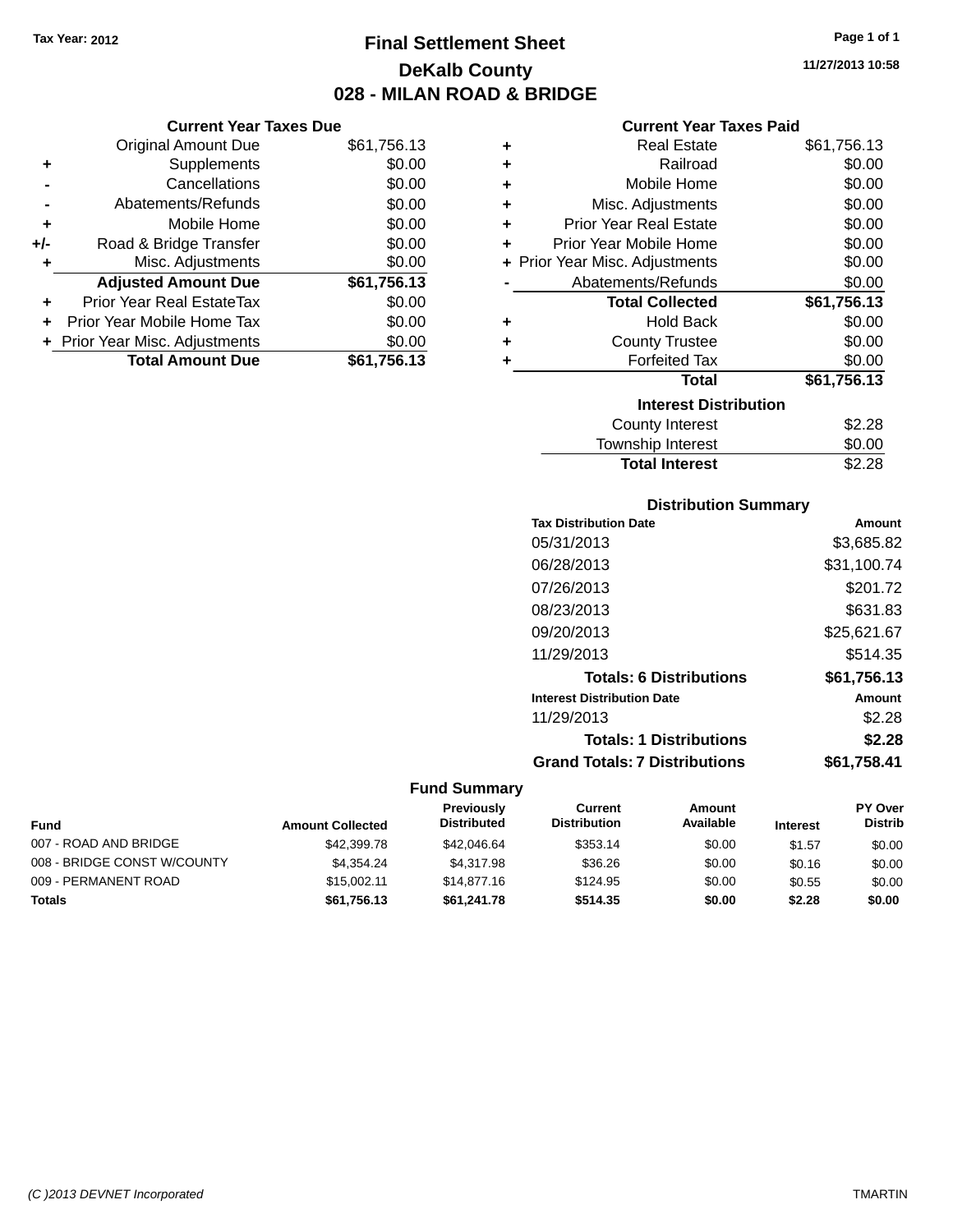**Current Year Taxes Due** Original Amount Due \$61,756.13

**Adjusted Amount Due \$61,756.13**

**Total Amount Due \$61,756.13**

**+** Supplements \$0.00 **-** Cancellations \$0.00 **-** Abatements/Refunds \$0.00 **+** Mobile Home \$0.00 **+/-** Road & Bridge Transfer \$0.00 **+** Misc. Adjustments \$0.00

**+** Prior Year Real EstateTax \$0.00 **+** Prior Year Mobile Home Tax \$0.00 **+ Prior Year Misc. Adjustments**  $$0.00$ 

## **Final Settlement Sheet Tax Year: 2012 Page 1 of 1 DeKalb County 028 - MILAN ROAD & BRIDGE**

**11/27/2013 10:58**

### **Current Year Taxes Paid**

| ٠ | <b>Real Estate</b>             | \$61,756.13 |
|---|--------------------------------|-------------|
| ٠ | Railroad                       | \$0.00      |
| ٠ | Mobile Home                    | \$0.00      |
| ÷ | Misc. Adjustments              | \$0.00      |
| ÷ | Prior Year Real Estate         | \$0.00      |
| ÷ | Prior Year Mobile Home         | \$0.00      |
|   | + Prior Year Misc. Adjustments | \$0.00      |
|   | Abatements/Refunds             | \$0.00      |
|   | <b>Total Collected</b>         | \$61,756.13 |
| ٠ | <b>Hold Back</b>               | \$0.00      |
| ٠ | <b>County Trustee</b>          | \$0.00      |
| ٠ | <b>Forfeited Tax</b>           | \$0.00      |
|   | Total                          | \$61,756.13 |
|   | <b>Interest Distribution</b>   |             |
|   | <b>County Interest</b>         | \$2.28      |
|   | <b>Township Interest</b>       | \$0.00      |
|   | <b>Total Interest</b>          | \$2.28      |

## **Distribution Summary Tax Distribution Date Amount**

| 05/31/2013                           | \$3,685.82  |
|--------------------------------------|-------------|
| 06/28/2013                           | \$31,100.74 |
| 07/26/2013                           | \$201.72    |
| 08/23/2013                           | \$631.83    |
| 09/20/2013                           | \$25,621.67 |
| 11/29/2013                           | \$514.35    |
| <b>Totals: 6 Distributions</b>       | \$61,756.13 |
| <b>Interest Distribution Date</b>    | Amount      |
| 11/29/2013                           | \$2.28      |
| <b>Totals: 1 Distributions</b>       | \$2.28      |
| <b>Grand Totals: 7 Distributions</b> | \$61,758.41 |

| Fund                        | <b>Amount Collected</b> | <b>Previously</b><br><b>Distributed</b> | Current<br><b>Distribution</b> | Amount<br>Available | <b>Interest</b> | <b>PY Over</b><br><b>Distrib</b> |
|-----------------------------|-------------------------|-----------------------------------------|--------------------------------|---------------------|-----------------|----------------------------------|
| 007 - ROAD AND BRIDGE       | \$42,399.78             | \$42,046.64                             | \$353.14                       | \$0.00              | \$1.57          | \$0.00                           |
| 008 - BRIDGE CONST W/COUNTY | \$4.354.24              | \$4,317.98                              | \$36.26                        | \$0.00              | \$0.16          | \$0.00                           |
| 009 - PERMANENT ROAD        | \$15,002.11             | \$14,877.16                             | \$124.95                       | \$0.00              | \$0.55          | \$0.00                           |
| <b>Totals</b>               | \$61,756.13             | \$61.241.78                             | \$514.35                       | \$0.00              | \$2.28          | \$0.00                           |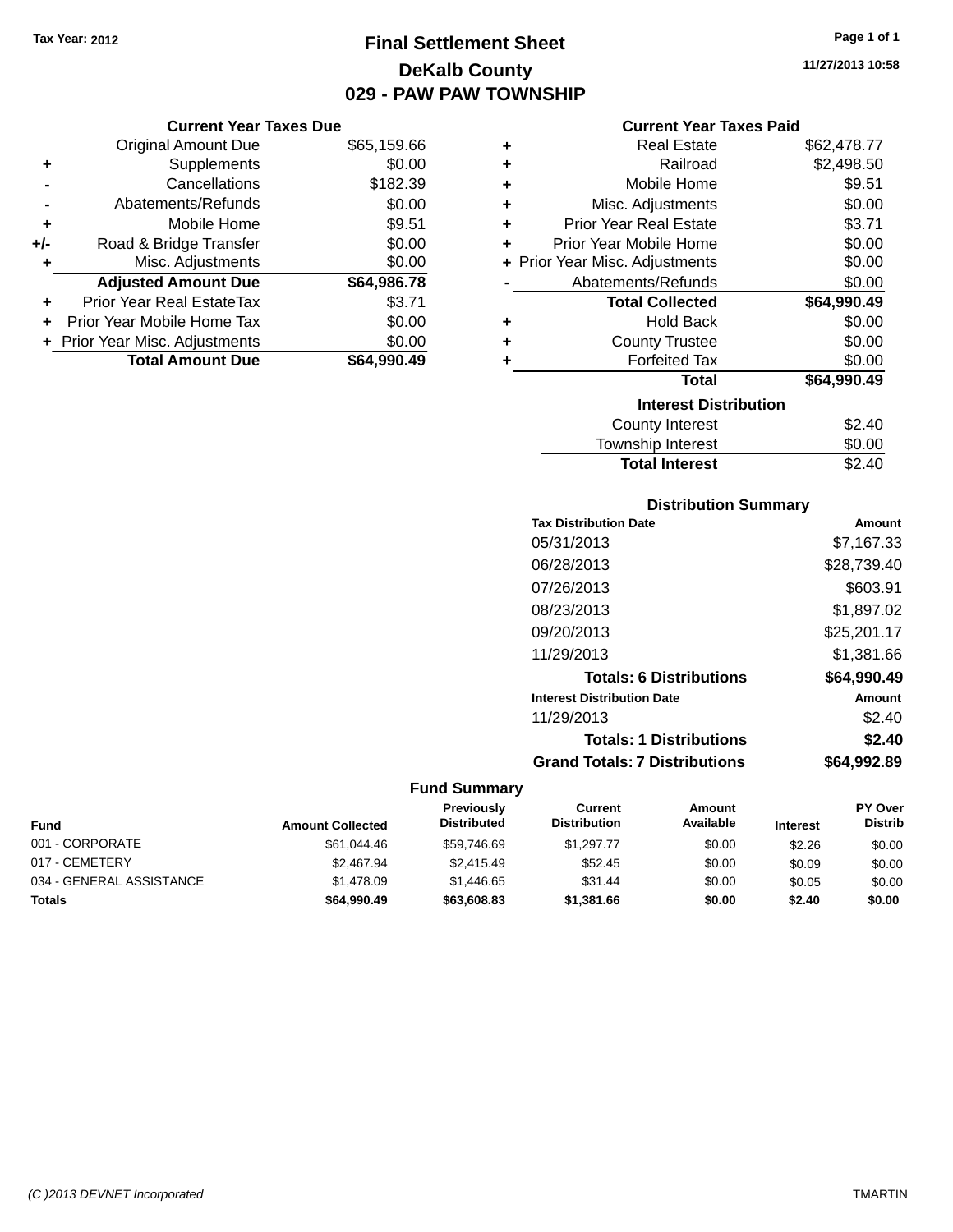## **Final Settlement Sheet Tax Year: 2012 Page 1 of 1 DeKalb County 029 - PAW PAW TOWNSHIP**

### **Current Year Taxes Due**

|     | <b>Original Amount Due</b>     | \$65,159.66 |
|-----|--------------------------------|-------------|
| ٠   | Supplements                    | \$0.00      |
|     | Cancellations                  | \$182.39    |
|     | Abatements/Refunds             | \$0.00      |
| ٠   | Mobile Home                    | \$9.51      |
| +/- | Road & Bridge Transfer         | \$0.00      |
|     | Misc. Adjustments              | \$0.00      |
|     | <b>Adjusted Amount Due</b>     | \$64,986.78 |
| ÷   | Prior Year Real EstateTax      | \$3.71      |
|     | Prior Year Mobile Home Tax     | \$0.00      |
|     | + Prior Year Misc. Adjustments | \$0.00      |
|     | <b>Total Amount Due</b>        | \$64,990.49 |

## **Current Year Taxes Paid**

| ٠ | Real Estate                    | \$62,478.77 |
|---|--------------------------------|-------------|
| ٠ | Railroad                       | \$2,498.50  |
| ÷ | Mobile Home                    | \$9.51      |
| ٠ | Misc. Adjustments              | \$0.00      |
| ÷ | <b>Prior Year Real Estate</b>  | \$3.71      |
| ٠ | Prior Year Mobile Home         | \$0.00      |
|   | + Prior Year Misc. Adjustments | \$0.00      |
|   | Abatements/Refunds             | \$0.00      |
|   | <b>Total Collected</b>         | \$64,990.49 |
| ٠ | <b>Hold Back</b>               | \$0.00      |
| ٠ | <b>County Trustee</b>          | \$0.00      |
|   | <b>Forfeited Tax</b>           | \$0.00      |
|   | <b>Total</b>                   | \$64,990.49 |
|   | <b>Interest Distribution</b>   |             |
|   | County Interest                | \$2.40      |
|   | <b>Township Interest</b>       | \$0.00      |
|   | <b>Total Interest</b>          | \$2.40      |

## **Distribution Summary**

| <b>Tax Distribution Date</b>         | Amount      |
|--------------------------------------|-------------|
| 05/31/2013                           | \$7,167.33  |
| 06/28/2013                           | \$28,739.40 |
| 07/26/2013                           | \$603.91    |
| 08/23/2013                           | \$1,897.02  |
| 09/20/2013                           | \$25,201.17 |
| 11/29/2013                           | \$1.381.66  |
| <b>Totals: 6 Distributions</b>       | \$64,990.49 |
| <b>Interest Distribution Date</b>    | Amount      |
| 11/29/2013                           | \$2.40      |
| <b>Totals: 1 Distributions</b>       | \$2.40      |
| <b>Grand Totals: 7 Distributions</b> | \$64.992.89 |

| Fund                     | <b>Amount Collected</b> | Previously<br><b>Distributed</b> | Current<br><b>Distribution</b> | Amount<br>Available | <b>Interest</b> | <b>PY Over</b><br><b>Distrib</b> |
|--------------------------|-------------------------|----------------------------------|--------------------------------|---------------------|-----------------|----------------------------------|
| 001 - CORPORATE          | \$61,044.46             | \$59,746.69                      | \$1.297.77                     | \$0.00              | \$2.26          | \$0.00                           |
| 017 - CEMETERY           | \$2,467.94              | \$2,415.49                       | \$52.45                        | \$0.00              | \$0.09          | \$0.00                           |
| 034 - GENERAL ASSISTANCE | \$1,478.09              | \$1,446.65                       | \$31.44                        | \$0.00              | \$0.05          | \$0.00                           |
| Totals                   | \$64,990.49             | \$63,608.83                      | \$1,381.66                     | \$0.00              | \$2.40          | \$0.00                           |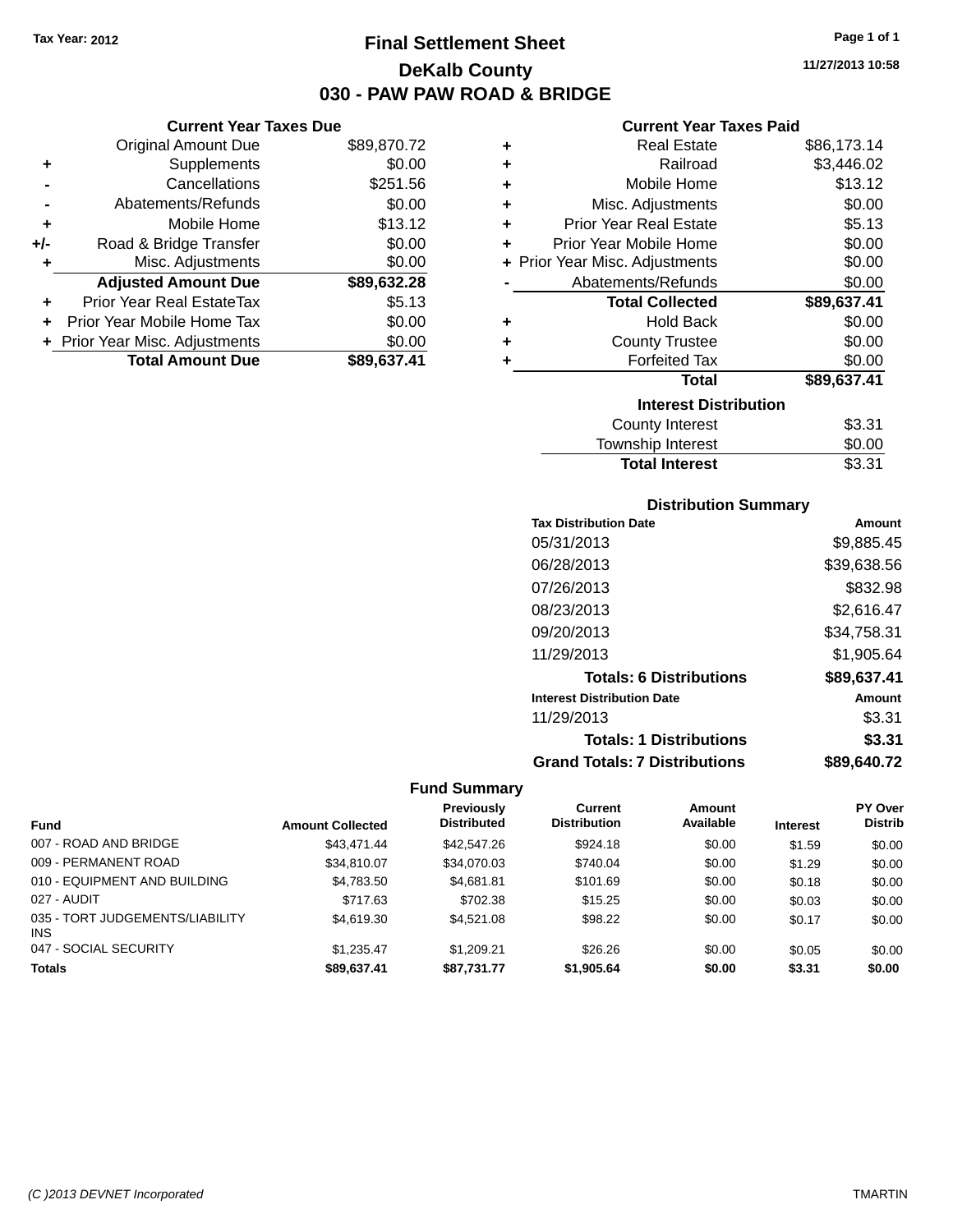**Original Amount Due** 

**Adjusted Amount Due** 

**Total Amount Due** 

**+** Supplements **-** Cancellations **-** Abatements/Refunds **+** Mobile Home **+/-** Road & Bridge Transfer **+** Misc. Adjustments

**+** Prior Year Real EstateTax \$5.13 **+** Prior Year Mobile Home Tax **+** Prior Year Misc. Adjustments

## **Final Settlement Sheet Tax Year: 2012 Page 1 of 1 DeKalb County 030 - PAW PAW ROAD & BRIDGE**

**11/27/2013 10:58**

## **Current Year Taxes Paid**

| <b>Current Year Taxes Due</b> |             |   | <b>Current Year Taxes Paid</b> |             |
|-------------------------------|-------------|---|--------------------------------|-------------|
| ่<br>เl Amount Due            | \$89,870.72 | ٠ | <b>Real Estate</b>             | \$86,173.14 |
| Supplements                   | \$0.00      | ٠ | Railroad                       | \$3,446.02  |
| Cancellations                 | \$251.56    | ٠ | Mobile Home                    | \$13.12     |
| าents/Refunds                 | \$0.00      | ÷ | Misc. Adjustments              | \$0.00      |
| Mobile Home                   | \$13.12     | ÷ | <b>Prior Year Real Estate</b>  | \$5.13      |
| ridge Transfer                | \$0.00      | ÷ | Prior Year Mobile Home         | \$0.00      |
| :. Adjustments                | \$0.00      |   | + Prior Year Misc. Adjustments | \$0.00      |
| <b>Amount Due</b>             | \$89,632.28 |   | Abatements/Refunds             | \$0.00      |
| leal EstateTax≀               | \$5.13      |   | <b>Total Collected</b>         | \$89,637.41 |
| bile Home Tax                 | \$0.00      | ÷ | <b>Hold Back</b>               | \$0.00      |
| . Adjustments                 | \$0.00      | ÷ | <b>County Trustee</b>          | \$0.00      |
| <b>Amount Due</b>             | \$89,637.41 |   | <b>Forfeited Tax</b>           | \$0.00      |
|                               |             |   | Total                          | \$89,637.41 |
|                               |             |   | <b>Interest Distribution</b>   |             |
|                               |             |   | County Interest                | \$3.31      |

| <b>Total Interest</b> | \$3.31 |
|-----------------------|--------|
| Township Interest     | \$0.00 |
| County Interest       | \$3.31 |

## **Distribution Summary**

| <b>Tax Distribution Date</b>         | Amount      |
|--------------------------------------|-------------|
| 05/31/2013                           | \$9,885.45  |
| 06/28/2013                           | \$39,638.56 |
| 07/26/2013                           | \$832.98    |
| 08/23/2013                           | \$2,616.47  |
| 09/20/2013                           | \$34,758.31 |
| 11/29/2013                           | \$1,905.64  |
| <b>Totals: 6 Distributions</b>       | \$89,637.41 |
| <b>Interest Distribution Date</b>    | Amount      |
| 11/29/2013                           | \$3.31      |
| <b>Totals: 1 Distributions</b>       | \$3.31      |
| <b>Grand Totals: 7 Distributions</b> | \$89.640.72 |

|                                         |                         | <b>Previously</b>  | Current             | Amount    |                 | <b>PY Over</b> |
|-----------------------------------------|-------------------------|--------------------|---------------------|-----------|-----------------|----------------|
| <b>Fund</b>                             | <b>Amount Collected</b> | <b>Distributed</b> | <b>Distribution</b> | Available | <b>Interest</b> | <b>Distrib</b> |
| 007 - ROAD AND BRIDGE                   | \$43.471.44             | \$42,547.26        | \$924.18            | \$0.00    | \$1.59          | \$0.00         |
| 009 - PERMANENT ROAD                    | \$34,810.07             | \$34,070.03        | \$740.04            | \$0.00    | \$1.29          | \$0.00         |
| 010 - EQUIPMENT AND BUILDING            | \$4,783.50              | \$4.681.81         | \$101.69            | \$0.00    | \$0.18          | \$0.00         |
| 027 - AUDIT                             | \$717.63                | \$702.38           | \$15.25             | \$0.00    | \$0.03          | \$0.00         |
| 035 - TORT JUDGEMENTS/LIABILITY<br>INS. | \$4.619.30              | \$4,521.08         | \$98.22             | \$0.00    | \$0.17          | \$0.00         |
| 047 - SOCIAL SECURITY                   | \$1.235.47              | \$1,209.21         | \$26.26             | \$0.00    | \$0.05          | \$0.00         |
| <b>Totals</b>                           | \$89.637.41             | \$87.731.77        | \$1,905.64          | \$0.00    | \$3.31          | \$0.00         |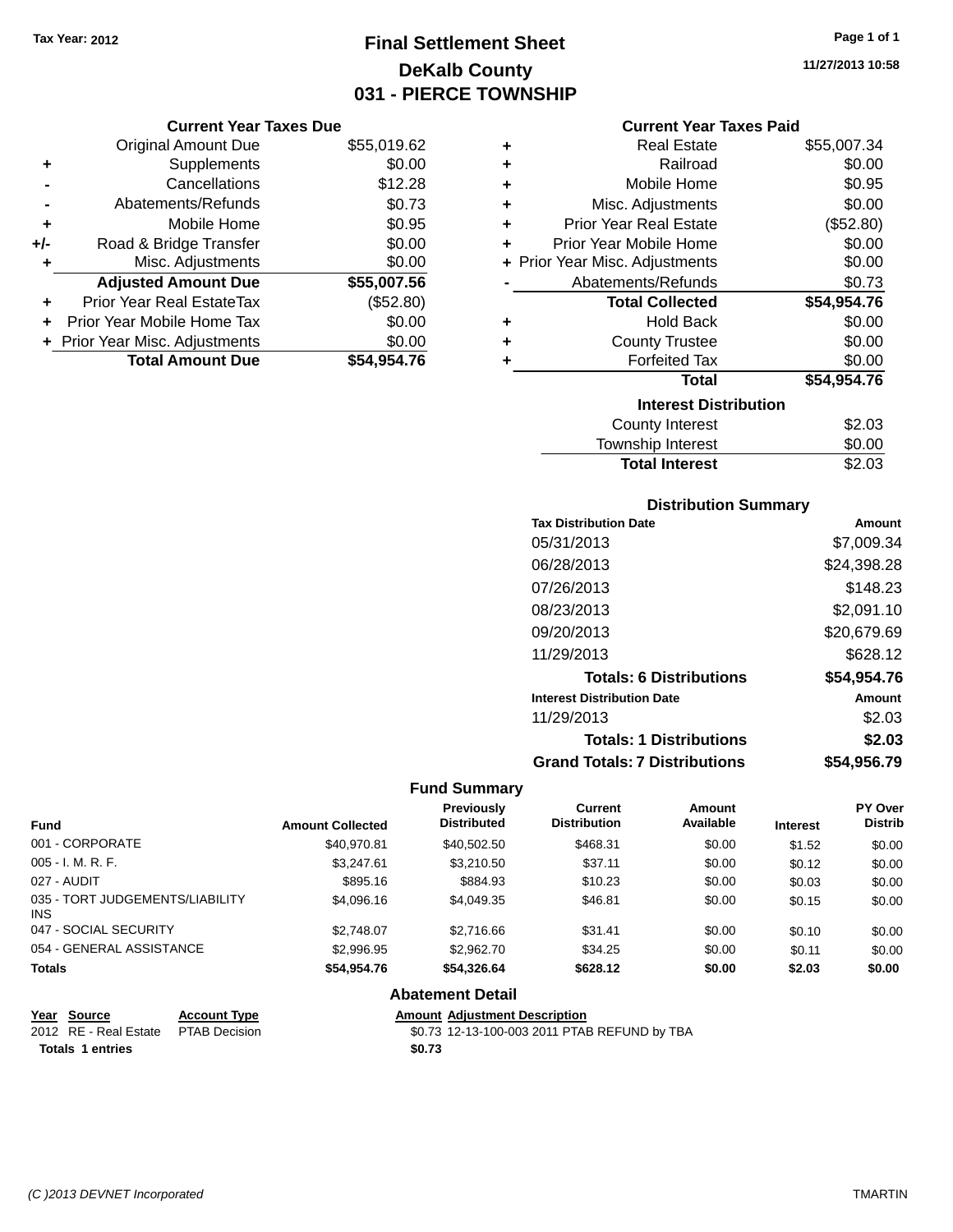## **Final Settlement Sheet Tax Year: 2012 Page 1 of 1 DeKalb County 031 - PIERCE TOWNSHIP**

## **Current Year Taxes Due**

|       | <b>Original Amount Due</b>       | \$55,019.62 |
|-------|----------------------------------|-------------|
| ٠     | Supplements                      | \$0.00      |
|       | Cancellations                    | \$12.28     |
|       | Abatements/Refunds               | \$0.73      |
| ٠     | Mobile Home                      | \$0.95      |
| $+/-$ | Road & Bridge Transfer           | \$0.00      |
| ٠     | Misc. Adjustments                | \$0.00      |
|       | <b>Adjusted Amount Due</b>       | \$55,007.56 |
|       | <b>Prior Year Real EstateTax</b> | (\$52.80)   |
|       | Prior Year Mobile Home Tax       | \$0.00      |
|       | + Prior Year Misc. Adjustments   | \$0.00      |
|       | <b>Total Amount Due</b>          | \$54.954.76 |

| ٠ | Real Estate                    | \$55,007.34 |
|---|--------------------------------|-------------|
| ÷ | Railroad                       | \$0.00      |
| ÷ | Mobile Home                    | \$0.95      |
| ÷ | Misc. Adjustments              | \$0.00      |
| ÷ | <b>Prior Year Real Estate</b>  | (\$52.80)   |
| ٠ | Prior Year Mobile Home         | \$0.00      |
|   | + Prior Year Misc. Adjustments | \$0.00      |
|   | Abatements/Refunds             | \$0.73      |
|   | <b>Total Collected</b>         | \$54,954.76 |
| ٠ | <b>Hold Back</b>               | \$0.00      |
| ÷ | <b>County Trustee</b>          | \$0.00      |
|   | <b>Forfeited Tax</b>           | \$0.00      |
|   | <b>Total</b>                   | \$54,954.76 |
|   | <b>Interest Distribution</b>   |             |
|   | <b>County Interest</b>         | \$2.03      |
|   | <b>Township Interest</b>       | \$0.00      |
|   | <b>Total Interest</b>          | \$2.03      |

## **Distribution Summary**

| <b>Tax Distribution Date</b>         | Amount      |
|--------------------------------------|-------------|
| 05/31/2013                           | \$7,009.34  |
| 06/28/2013                           | \$24,398.28 |
| 07/26/2013                           | \$148.23    |
| 08/23/2013                           | \$2,091.10  |
| 09/20/2013                           | \$20,679.69 |
| 11/29/2013                           | \$628.12    |
| <b>Totals: 6 Distributions</b>       | \$54,954.76 |
| <b>Interest Distribution Date</b>    | Amount      |
| 11/29/2013                           | \$2.03      |
| <b>Totals: 1 Distributions</b>       | \$2.03      |
| <b>Grand Totals: 7 Distributions</b> | \$54.956.79 |

## **Fund Summary**

| <b>Fund</b>                                   | <b>Amount Collected</b> | Previously<br><b>Distributed</b> | Current<br><b>Distribution</b> | Amount<br>Available | <b>Interest</b> | <b>PY Over</b><br><b>Distrib</b> |
|-----------------------------------------------|-------------------------|----------------------------------|--------------------------------|---------------------|-----------------|----------------------------------|
| 001 - CORPORATE                               | \$40,970.81             | \$40,502.50                      | \$468.31                       | \$0.00              | \$1.52          | \$0.00                           |
| $005 - I. M. R. F.$                           | \$3.247.61              | \$3,210.50                       | \$37.11                        | \$0.00              | \$0.12          | \$0.00                           |
| 027 - AUDIT                                   | \$895.16                | \$884.93                         | \$10.23                        | \$0.00              | \$0.03          | \$0.00                           |
| 035 - TORT JUDGEMENTS/LIABILITY<br><b>INS</b> | \$4,096.16              | \$4,049.35                       | \$46.81                        | \$0.00              | \$0.15          | \$0.00                           |
| 047 - SOCIAL SECURITY                         | \$2.748.07              | \$2,716.66                       | \$31.41                        | \$0.00              | \$0.10          | \$0.00                           |
| 054 - GENERAL ASSISTANCE                      | \$2,996.95              | \$2,962.70                       | \$34.25                        | \$0.00              | \$0.11          | \$0.00                           |
| <b>Totals</b>                                 | \$54,954.76             | \$54,326.64                      | \$628.12                       | \$0.00              | \$2.03          | \$0.00                           |

## **Abatement Detail**

| Year Source                          | <b>Account Type</b> | <b>Amount Adiustment Description</b>         |
|--------------------------------------|---------------------|----------------------------------------------|
| 2012 RE - Real Estate  PTAB Decision |                     | \$0.73 12-13-100-003 2011 PTAB REFUND by TBA |
| Totals 1 entries                     |                     | \$0.73                                       |

**11/27/2013 10:58**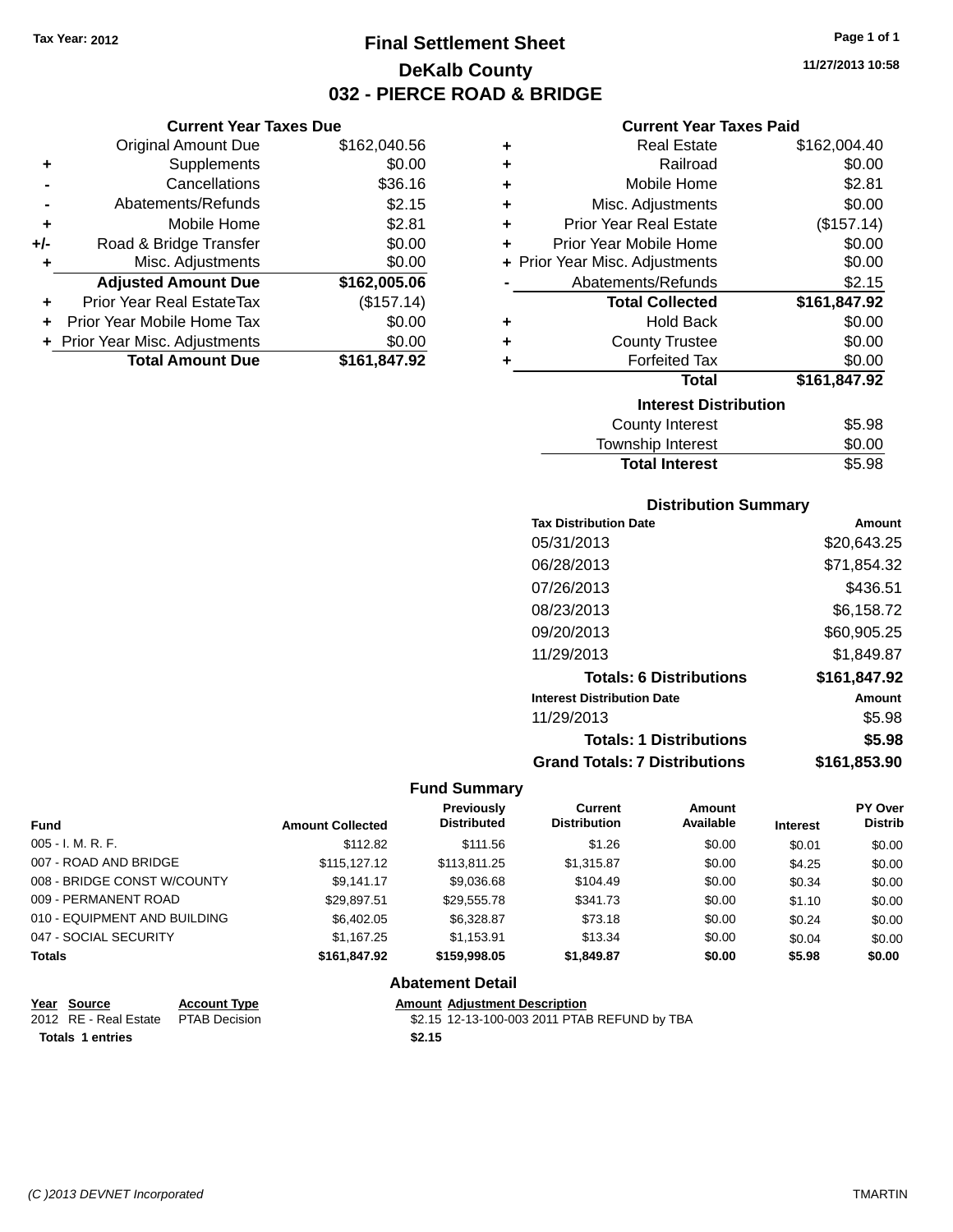**Current Year Taxes Due** Original Amount Due \$162,040.56

**Adjusted Amount Due \$162,005.06**

**Total Amount Due \$161,847.92**

**+** Supplements \$0.00 **-** Cancellations \$36.16 **-** Abatements/Refunds \$2.15 **+** Mobile Home \$2.81 **+/-** Road & Bridge Transfer \$0.00 **+** Misc. Adjustments \$0.00

**+** Prior Year Real EstateTax (\$157.14) **+** Prior Year Mobile Home Tax \$0.00 **+ Prior Year Misc. Adjustments**  $$0.00$ 

## **Final Settlement Sheet Tax Year: 2012 Page 1 of 1 DeKalb County 032 - PIERCE ROAD & BRIDGE**

**11/27/2013 10:58**

## **Current Year Taxes Paid**

| ٠ | <b>Real Estate</b>             | \$162,004.40 |
|---|--------------------------------|--------------|
| ÷ | Railroad                       | \$0.00       |
| ÷ | Mobile Home                    | \$2.81       |
| ÷ | Misc. Adjustments              | \$0.00       |
| ÷ | <b>Prior Year Real Estate</b>  | (\$157.14)   |
| ÷ | Prior Year Mobile Home         | \$0.00       |
|   | + Prior Year Misc. Adjustments | \$0.00       |
|   | Abatements/Refunds             | \$2.15       |
|   | <b>Total Collected</b>         | \$161,847.92 |
| ٠ | <b>Hold Back</b>               | \$0.00       |
| ٠ | <b>County Trustee</b>          | \$0.00       |
| ٠ | <b>Forfeited Tax</b>           | \$0.00       |
|   | <b>Total</b>                   | \$161,847.92 |
|   | <b>Interest Distribution</b>   |              |
|   | <b>County Interest</b>         | \$5.98       |
|   | <b>Township Interest</b>       | \$0.00       |

## **Distribution Summary**

Total Interest \$5.98

| <b>Tax Distribution Date</b>         | Amount       |
|--------------------------------------|--------------|
| 05/31/2013                           | \$20,643.25  |
| 06/28/2013                           | \$71,854.32  |
| 07/26/2013                           | \$436.51     |
| 08/23/2013                           | \$6.158.72   |
| 09/20/2013                           | \$60,905.25  |
| 11/29/2013                           | \$1,849.87   |
| <b>Totals: 6 Distributions</b>       | \$161,847.92 |
| <b>Interest Distribution Date</b>    | Amount       |
| 11/29/2013                           | \$5.98       |
| <b>Totals: 1 Distributions</b>       | \$5.98       |
| <b>Grand Totals: 7 Distributions</b> | \$161.853.90 |

#### **Fund Summary**

| <b>Fund</b>                  | <b>Amount Collected</b> | <b>Previously</b><br><b>Distributed</b> | Current<br><b>Distribution</b> | Amount<br>Available | <b>Interest</b> | <b>PY Over</b><br><b>Distrib</b> |
|------------------------------|-------------------------|-----------------------------------------|--------------------------------|---------------------|-----------------|----------------------------------|
| $005 - I. M. R. F.$          | \$112.82                | \$111.56                                | \$1.26                         | \$0.00              | \$0.01          | \$0.00                           |
| 007 - ROAD AND BRIDGE        | \$115,127,12            | \$113.811.25                            | \$1,315.87                     | \$0.00              | \$4.25          | \$0.00                           |
| 008 - BRIDGE CONST W/COUNTY  | \$9.141.17              | \$9,036.68                              | \$104.49                       | \$0.00              | \$0.34          | \$0.00                           |
| 009 - PERMANENT ROAD         | \$29,897.51             | \$29,555.78                             | \$341.73                       | \$0.00              | \$1.10          | \$0.00                           |
| 010 - EQUIPMENT AND BUILDING | \$6,402.05              | \$6.328.87                              | \$73.18                        | \$0.00              | \$0.24          | \$0.00                           |
| 047 - SOCIAL SECURITY        | \$1.167.25              | \$1.153.91                              | \$13.34                        | \$0.00              | \$0.04          | \$0.00                           |
| <b>Totals</b>                | \$161,847.92            | \$159,998.05                            | \$1,849.87                     | \$0.00              | \$5.98          | \$0.00                           |

## **Abatement Detail**

| Year Source                         | <b>Account Type</b> | <b>Amount Adiustment Description</b>         |
|-------------------------------------|---------------------|----------------------------------------------|
| 2012 RE - Real Estate PTAB Decision |                     | \$2.15 12-13-100-003 2011 PTAB REFUND by TBA |
| <b>Totals 1 entries</b>             |                     | \$2.15                                       |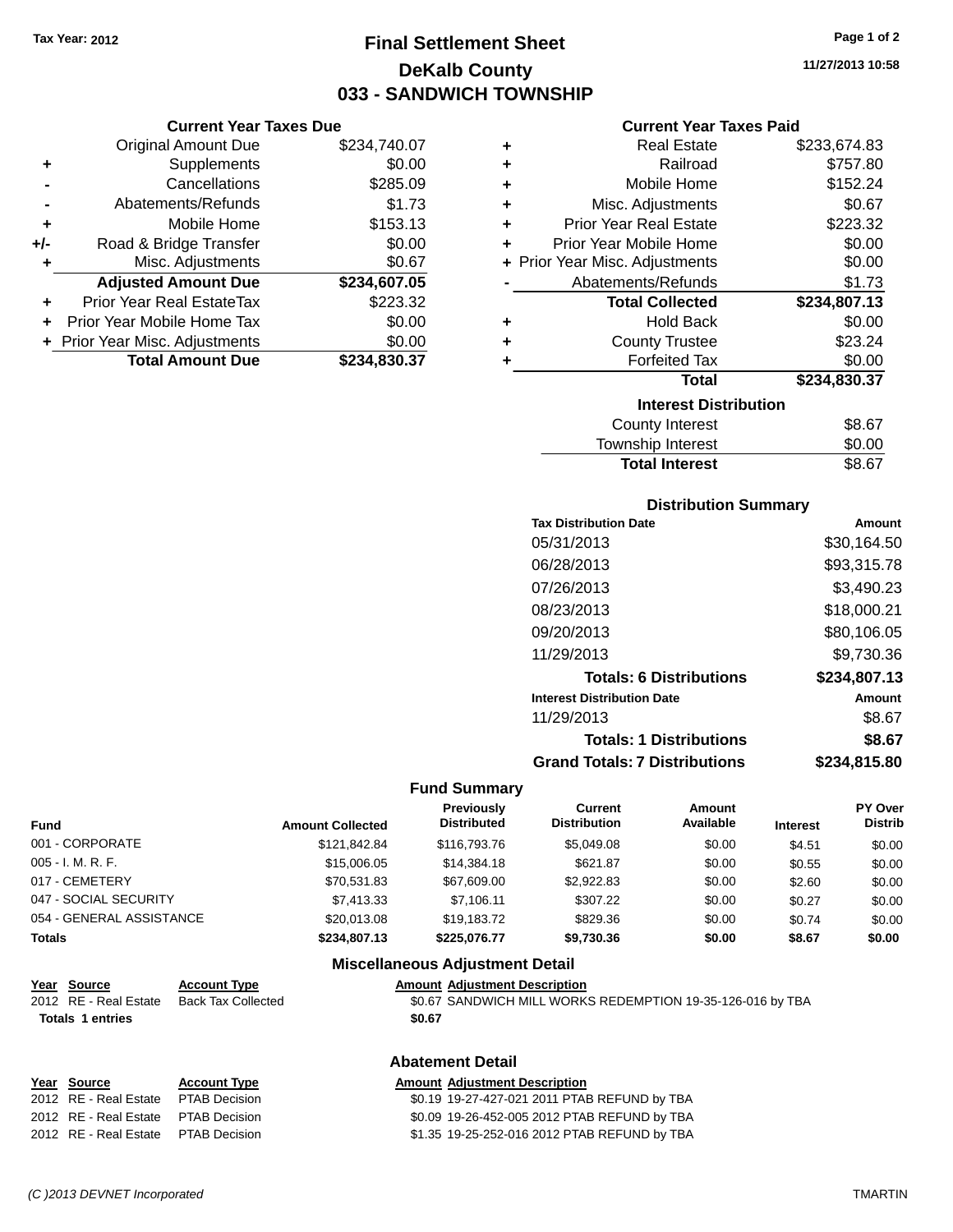**Current Year Taxes Due**

## **Final Settlement Sheet Tax Year: 2012 Page 1 of 2 DeKalb County 033 - SANDWICH TOWNSHIP**

**11/27/2013 10:58**

## **Current Year Taxes Paid**

|                | OUITUR TUUT TUAUJ DUU            |              |   | odhoni Todh Taxoo Fala         |              |
|----------------|----------------------------------|--------------|---|--------------------------------|--------------|
|                | <b>Original Amount Due</b>       | \$234,740.07 | ٠ | <b>Real Estate</b>             | \$233,674.83 |
| ٠              | Supplements                      | \$0.00       | ٠ | Railroad                       | \$757.80     |
|                | Cancellations                    | \$285.09     | ٠ | Mobile Home                    | \$152.24     |
| $\blacksquare$ | Abatements/Refunds               | \$1.73       | ٠ | Misc. Adjustments              | \$0.67       |
| ٠              | Mobile Home                      | \$153.13     | ٠ | <b>Prior Year Real Estate</b>  | \$223.32     |
| I-             | Road & Bridge Transfer           | \$0.00       | ٠ | Prior Year Mobile Home         | \$0.00       |
| ٠              | Misc. Adjustments                | \$0.67       |   | + Prior Year Misc. Adjustments | \$0.00       |
|                | <b>Adjusted Amount Due</b>       | \$234,607.05 |   | Abatements/Refunds             | \$1.73       |
| ÷              | <b>Prior Year Real EstateTax</b> | \$223.32     |   | <b>Total Collected</b>         | \$234,807.13 |
|                | + Prior Year Mobile Home Tax     | \$0.00       | ٠ | <b>Hold Back</b>               | \$0.00       |
|                | + Prior Year Misc. Adjustments   | \$0.00       | ٠ | <b>County Trustee</b>          | \$23.24      |
|                | <b>Total Amount Due</b>          | \$234,830.37 |   | <b>Forfeited Tax</b>           | \$0.00       |
|                |                                  |              |   | <b>Total</b>                   | \$234,830.37 |
|                |                                  |              |   | <b>Interest Distribution</b>   |              |
|                |                                  |              |   | <b>County Interest</b>         | \$8.67       |

| Township Interest |                  |
|-------------------|------------------|
| County Interest   | \$8.67<br>\$0.00 |

### **Distribution Summary**

| <b>Tax Distribution Date</b>         | Amount       |
|--------------------------------------|--------------|
| 05/31/2013                           | \$30,164.50  |
| 06/28/2013                           | \$93,315.78  |
| 07/26/2013                           | \$3,490.23   |
| 08/23/2013                           | \$18,000.21  |
| 09/20/2013                           | \$80,106.05  |
| 11/29/2013                           | \$9,730.36   |
| <b>Totals: 6 Distributions</b>       | \$234,807.13 |
| <b>Interest Distribution Date</b>    | Amount       |
| 11/29/2013                           | \$8.67       |
| <b>Totals: 1 Distributions</b>       | \$8.67       |
| <b>Grand Totals: 7 Distributions</b> | \$234.815.80 |

#### **Fund Summary**

| <b>Fund</b>              | <b>Amount Collected</b> | <b>Previously</b><br><b>Distributed</b> | <b>Current</b><br><b>Distribution</b> | Amount<br>Available | <b>Interest</b> | <b>PY Over</b><br><b>Distrib</b> |
|--------------------------|-------------------------|-----------------------------------------|---------------------------------------|---------------------|-----------------|----------------------------------|
| 001 - CORPORATE          | \$121.842.84            | \$116,793,76                            | \$5.049.08                            | \$0.00              | \$4.51          | \$0.00                           |
| $005 - I. M. R. F.$      | \$15,006.05             | \$14,384.18                             | \$621.87                              | \$0.00              | \$0.55          | \$0.00                           |
| 017 - CEMETERY           | \$70,531.83             | \$67,609.00                             | \$2.922.83                            | \$0.00              | \$2.60          | \$0.00                           |
| 047 - SOCIAL SECURITY    | \$7.413.33              | \$7.106.11                              | \$307.22                              | \$0.00              | \$0.27          | \$0.00                           |
| 054 - GENERAL ASSISTANCE | \$20,013,08             | \$19.183.72                             | \$829.36                              | \$0.00              | \$0.74          | \$0.00                           |
| <b>Totals</b>            | \$234,807.13            | \$225.076.77                            | \$9,730.36                            | \$0.00              | \$8.67          | \$0.00                           |

#### **Miscellaneous Adjustment Detail**

#### **Year Source Account Type Amount Adjustment Description** 2012 RE - Real Estate Back Tax Collected \$0.67 SANDWICH MILL WORKS REDEMPTION 19-35-126-016 by TBA

**Totals 1 entries \$0.67**

## **Abatement Detail**

| Year Source                         | <b>Account Type</b> | <b>Amount Adjustment Description</b>         |
|-------------------------------------|---------------------|----------------------------------------------|
| 2012 RE - Real Estate               | PTAB Decision       | \$0.19 19-27-427-021 2011 PTAB REFUND by TBA |
| 2012 RE - Real Estate PTAB Decision |                     | \$0.09 19-26-452-005 2012 PTAB REFUND by TBA |
| 2012 RE - Real Estate PTAB Decision |                     | \$1.35 19-25-252-016 2012 PTAB REFUND by TBA |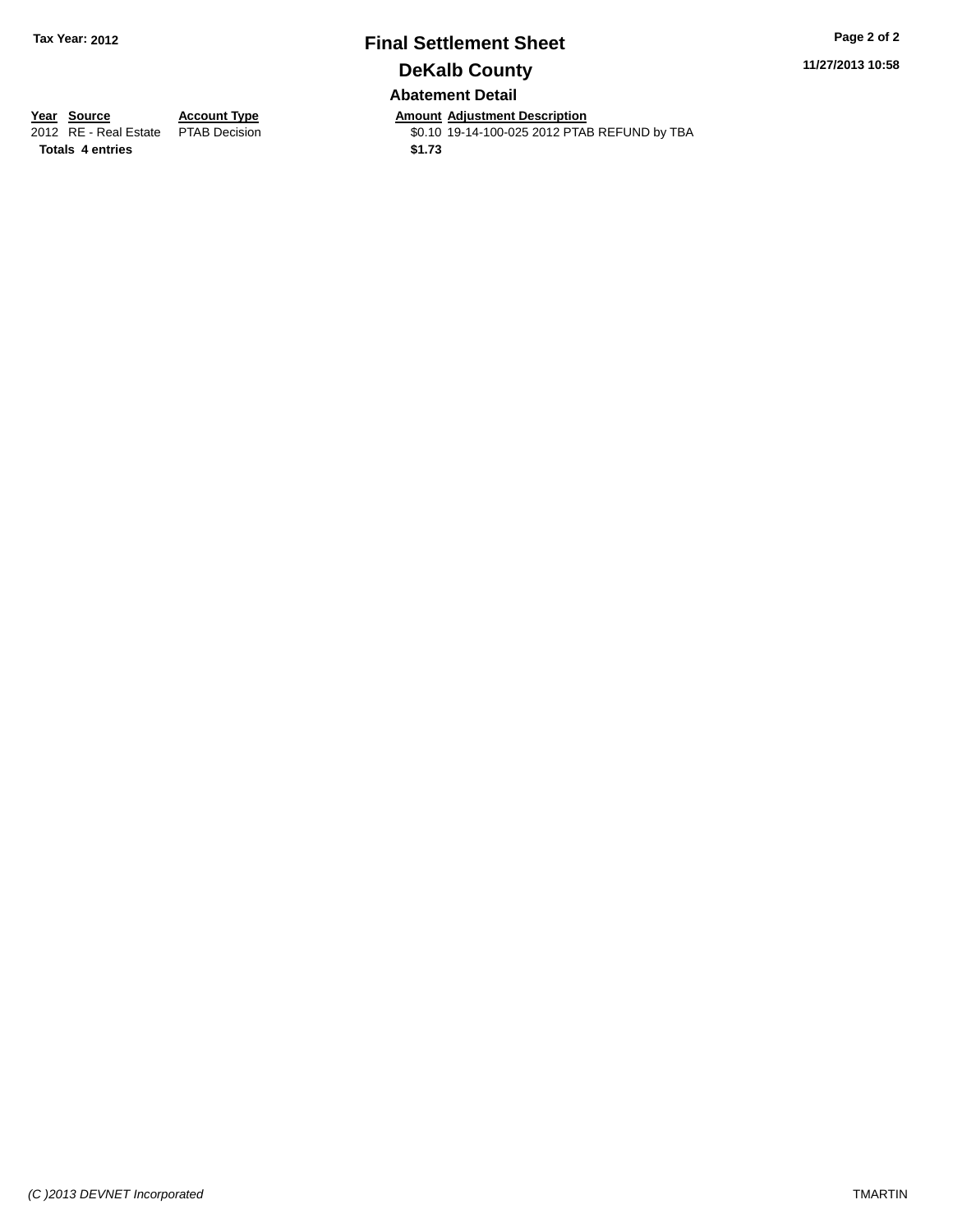## **Final Settlement Sheet Tax Year: 2012 Page 2 of 2 DeKalb County Abatement Detail**

**11/27/2013 10:58**

**Totals 4 entries \$1.73**

**Year Source Account Type Annount Adjustment Description**<br>2012 RE - Real Estate PTAB Decision **Amount Adjustment Description** \$0.10 19-14-100-025 2012 PTAB REFUND by TBA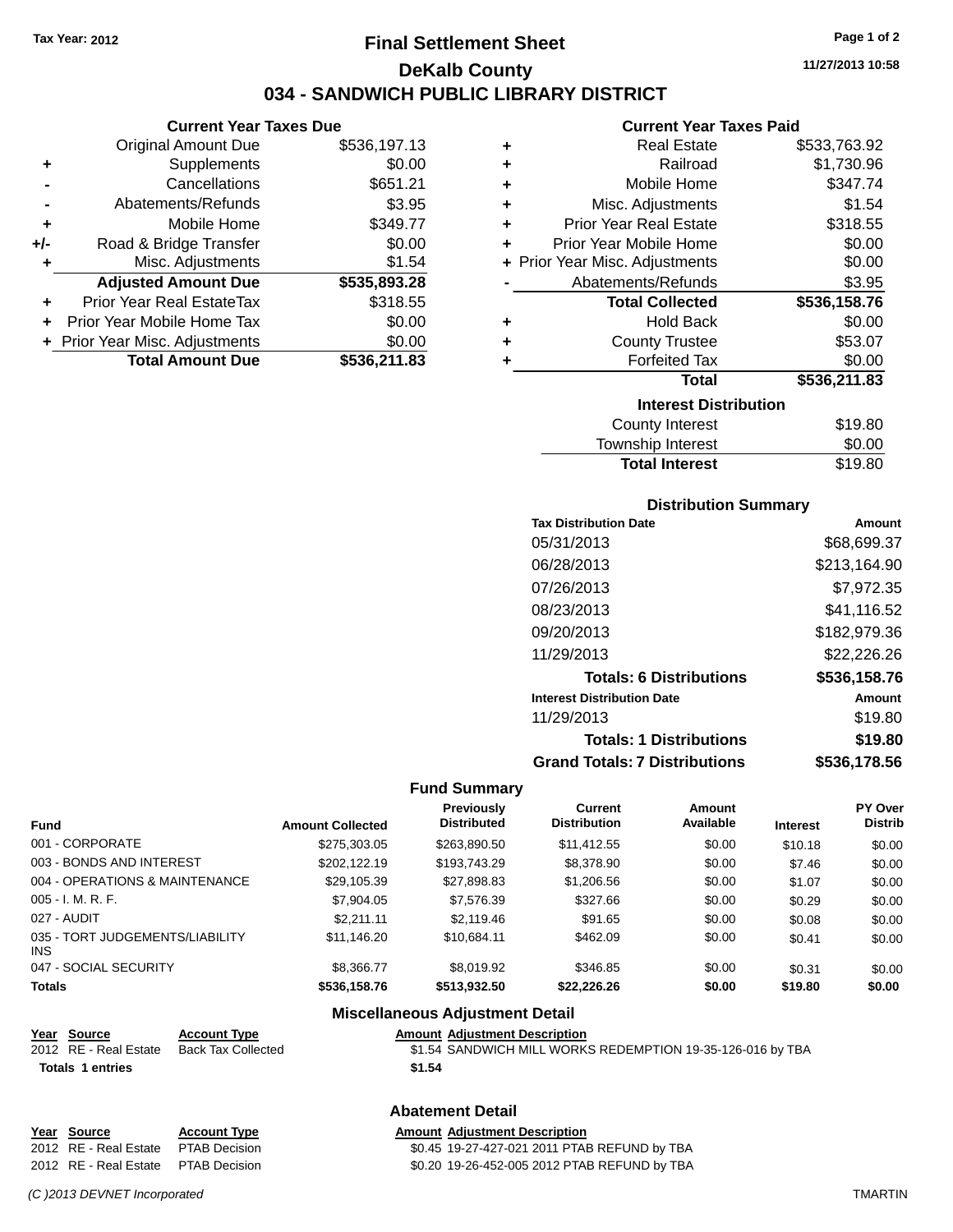## **Final Settlement Sheet Tax Year: 2012 Page 1 of 2 DeKalb County 034 - SANDWICH PUBLIC LIBRARY DISTRICT**

**11/27/2013 10:58**

## **Current Year Taxes Paid**

|     | Current rear laxes Due           |              |     |
|-----|----------------------------------|--------------|-----|
|     | Original Amount Due              | \$536,197.13 |     |
| ٠   | Supplements                      | \$0.00       | ٠   |
|     | Cancellations                    | \$651.21     | ٠   |
|     | Abatements/Refunds               | \$3.95       | ٠   |
|     | Mobile Home                      | \$349.77     |     |
| +/- | Road & Bridge Transfer           | \$0.00       |     |
|     | Misc. Adjustments                | \$1.54       | + F |
|     | <b>Adjusted Amount Due</b>       | \$535,893.28 |     |
|     | <b>Prior Year Real EstateTax</b> | \$318.55     |     |
|     | Prior Year Mobile Home Tax       | \$0.00       |     |
|     | + Prior Year Misc. Adjustments   | \$0.00       |     |
|     | <b>Total Amount Due</b>          | \$536,211.83 |     |
|     |                                  |              |     |

**Current Year Taxes Due**

| ٠ | <b>Real Estate</b>             | \$533,763.92 |
|---|--------------------------------|--------------|
| ÷ | Railroad                       | \$1,730.96   |
| ÷ | Mobile Home                    | \$347.74     |
| ٠ | Misc. Adjustments              | \$1.54       |
| ÷ | <b>Prior Year Real Estate</b>  | \$318.55     |
| ÷ | Prior Year Mobile Home         | \$0.00       |
|   | + Prior Year Misc. Adjustments | \$0.00       |
|   | Abatements/Refunds             | \$3.95       |
|   |                                |              |
|   | <b>Total Collected</b>         | \$536,158.76 |
| ٠ | <b>Hold Back</b>               | \$0.00       |
| ٠ | <b>County Trustee</b>          | \$53.07      |
| ٠ | <b>Forfeited Tax</b>           | \$0.00       |
|   | <b>Total</b>                   | \$536,211.83 |
|   | <b>Interest Distribution</b>   |              |
|   | <b>County Interest</b>         | \$19.80      |

## **Distribution Summary**

Total Interest \$19.80

| <b>Tax Distribution Date</b>         | Amount       |
|--------------------------------------|--------------|
| 05/31/2013                           | \$68,699.37  |
| 06/28/2013                           | \$213,164.90 |
| 07/26/2013                           | \$7,972.35   |
| 08/23/2013                           | \$41.116.52  |
| 09/20/2013                           | \$182,979.36 |
| 11/29/2013                           | \$22,226.26  |
| <b>Totals: 6 Distributions</b>       | \$536,158.76 |
| <b>Interest Distribution Date</b>    | Amount       |
| 11/29/2013                           | \$19.80      |
| <b>Totals: 1 Distributions</b>       | \$19.80      |
| <b>Grand Totals: 7 Distributions</b> | \$536.178.56 |

#### **Fund Summary**

| <b>Fund</b>                             | <b>Amount Collected</b> | Previously<br><b>Distributed</b> | Current<br><b>Distribution</b> | Amount<br>Available | <b>Interest</b> | <b>PY Over</b><br><b>Distrib</b> |
|-----------------------------------------|-------------------------|----------------------------------|--------------------------------|---------------------|-----------------|----------------------------------|
| 001 - CORPORATE                         | \$275,303.05            | \$263,890.50                     | \$11,412.55                    | \$0.00              | \$10.18         | \$0.00                           |
| 003 - BONDS AND INTEREST                | \$202.122.19            | \$193,743.29                     | \$8,378.90                     | \$0.00              | \$7.46          | \$0.00                           |
| 004 - OPERATIONS & MAINTENANCE          | \$29,105.39             | \$27,898.83                      | \$1,206.56                     | \$0.00              | \$1.07          | \$0.00                           |
| $005 - I. M. R. F.$                     | \$7,904.05              | \$7,576.39                       | \$327.66                       | \$0.00              | \$0.29          | \$0.00                           |
| 027 - AUDIT                             | \$2.211.11              | \$2,119.46                       | \$91.65                        | \$0.00              | \$0.08          | \$0.00                           |
| 035 - TORT JUDGEMENTS/LIABILITY<br>INS. | \$11.146.20             | \$10.684.11                      | \$462.09                       | \$0.00              | \$0.41          | \$0.00                           |
| 047 - SOCIAL SECURITY                   | \$8,366,77              | \$8,019.92                       | \$346.85                       | \$0.00              | \$0.31          | \$0.00                           |
| <b>Totals</b>                           | \$536,158.76            | \$513,932.50                     | \$22,226.26                    | \$0.00              | \$19.80         | \$0.00                           |

| Year Source             | <b>Account Type</b> | Amount |
|-------------------------|---------------------|--------|
| 2012 RE - Real Estate   | Back Tax Collected  | \$1.54 |
| <b>Totals 1 entries</b> |                     | \$1.54 |

#### **Type Amount Adjustment Description**

**Miscellaneous Adjustment Detail**

**Abatement Detail**

Collected **\$1.54 SANDWICH MILL WORKS REDEMPTION 19-35-126-016 by TBA** 

\$0.45 19-27-427-021 2011 PTAB REFUND by TBA

## **Year Source Account Type Amount Adjustment Description**<br>2012 RE - Real Estate PTAB Decision **Amount Adjustment Description** 2012 RE - Real Estate PTAB Decision \$0.20 19-26-452-005 2012 PTAB REFUND by TBA

*(C )2013 DEVNET Incorporated* TMARTIN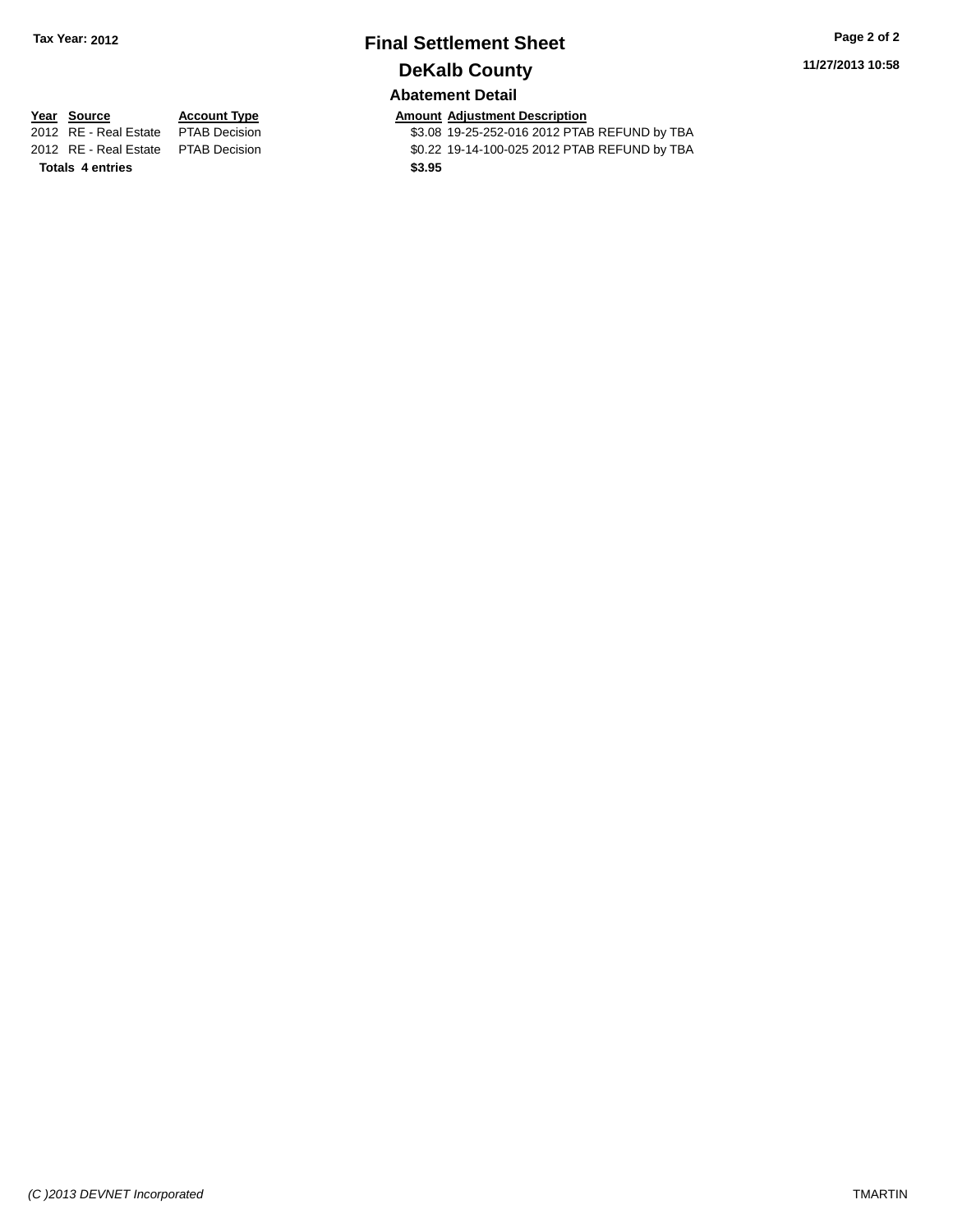## **Final Settlement Sheet Tax Year: 2012 Page 2 of 2 DeKalb County Abatement Detail**

## **11/27/2013 10:58**

**Totals 4 entries \$3.95**

**Year Source Account Type Account Type Amount Adjustment Description**<br>2012 RE - Real Estate PTAB Decision **1998** \$3.08 19-25-252-016 2012 PTAE \$3.08 19-25-252-016 2012 PTAB REFUND by TBA 2012 RE - Real Estate PTAB Decision \$0.22 19-14-100-025 2012 PTAB REFUND by TBA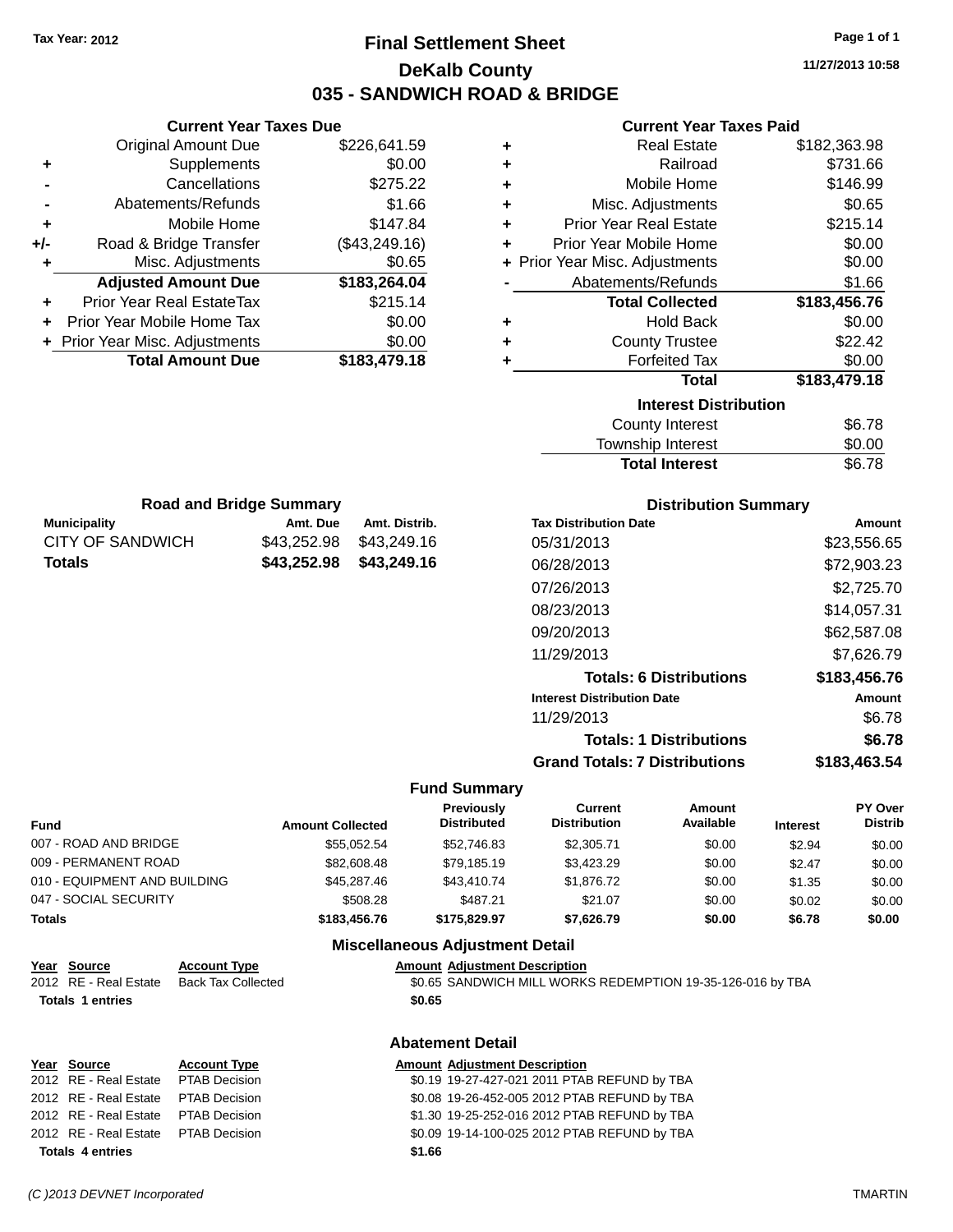**Current Year Taxes Due**

## **Final Settlement Sheet Tax Year: 2012 Page 1 of 1 DeKalb County 035 - SANDWICH ROAD & BRIDGE**

**11/27/2013 10:58**

### **Current Year Taxes Paid**

|                                | <b>Original Amount Due</b>                 | \$226,641.59                           | ٠                                       |                                       | <b>Real Estate</b>             | \$182,363.98    |                        |
|--------------------------------|--------------------------------------------|----------------------------------------|-----------------------------------------|---------------------------------------|--------------------------------|-----------------|------------------------|
| ٠                              | Supplements                                | \$0.00                                 | ٠                                       |                                       | Railroad                       |                 | \$731.66               |
|                                | Cancellations                              | \$275.22                               | ٠                                       |                                       | Mobile Home                    |                 | \$146.99               |
|                                | Abatements/Refunds                         | \$1.66                                 | ٠                                       |                                       | Misc. Adjustments              |                 | \$0.65                 |
| ٠                              | Mobile Home                                | \$147.84                               | ٠                                       | <b>Prior Year Real Estate</b>         |                                |                 | \$215.14               |
| +/-                            | Road & Bridge Transfer                     | (\$43,249.16)                          | ÷                                       | Prior Year Mobile Home                |                                |                 | \$0.00                 |
| ٠                              | Misc. Adjustments                          | \$0.65                                 | ÷                                       | Prior Year Misc. Adjustments          |                                |                 | \$0.00                 |
|                                | <b>Adjusted Amount Due</b>                 | \$183,264.04                           |                                         | Abatements/Refunds                    |                                |                 | \$1.66                 |
| Prior Year Real EstateTax<br>٠ |                                            | \$215.14                               |                                         |                                       | <b>Total Collected</b>         | \$183,456.76    |                        |
| Prior Year Mobile Home Tax     |                                            | \$0.00                                 | ٠                                       |                                       | <b>Hold Back</b>               |                 | \$0.00                 |
| + Prior Year Misc. Adjustments |                                            | \$0.00                                 | ٠                                       |                                       | <b>County Trustee</b>          |                 | \$22.42                |
|                                | <b>Total Amount Due</b>                    | \$183,479.18                           | ٠                                       |                                       | <b>Forfeited Tax</b>           |                 | \$0.00                 |
|                                |                                            |                                        |                                         |                                       | <b>Total</b>                   | \$183,479.18    |                        |
|                                |                                            |                                        |                                         |                                       | <b>Interest Distribution</b>   |                 |                        |
|                                |                                            |                                        |                                         |                                       | <b>County Interest</b>         |                 | \$6.78                 |
|                                |                                            |                                        |                                         |                                       | Township Interest              |                 | \$0.00                 |
|                                |                                            |                                        |                                         |                                       | <b>Total Interest</b>          |                 | \$6.78                 |
|                                |                                            |                                        |                                         |                                       |                                |                 |                        |
| <b>Municipality</b>            | <b>Road and Bridge Summary</b><br>Amt. Due | Amt. Distrib.                          |                                         | <b>Tax Distribution Date</b>          | <b>Distribution Summary</b>    |                 | Amor                   |
| <b>CITY OF SANDWICH</b>        | \$43,252.98                                | \$43,249.16                            |                                         | 05/31/2013                            |                                |                 | \$23,556.              |
| <b>Totals</b>                  | \$43,252.98                                | \$43,249.16                            |                                         | 06/28/2013                            |                                |                 | \$72,903.              |
|                                |                                            |                                        |                                         | 07/26/2013                            |                                |                 |                        |
|                                |                                            |                                        |                                         |                                       |                                |                 | \$2,725.               |
|                                |                                            |                                        |                                         | 08/23/2013                            |                                |                 | \$14,057.              |
|                                |                                            |                                        |                                         | 09/20/2013                            |                                |                 | \$62,587.              |
|                                |                                            |                                        |                                         | 11/29/2013                            |                                |                 | \$7,626.               |
|                                |                                            |                                        |                                         |                                       | <b>Totals: 6 Distributions</b> |                 | \$183,456.             |
|                                |                                            |                                        |                                         | <b>Interest Distribution Date</b>     |                                |                 | Amor                   |
|                                |                                            |                                        |                                         | 11/29/2013                            |                                |                 | \$6.                   |
|                                |                                            |                                        |                                         |                                       | <b>Totals: 1 Distributions</b> |                 | \$6.                   |
|                                |                                            |                                        |                                         | <b>Grand Totals: 7 Distributions</b>  |                                |                 | \$183,463.             |
|                                |                                            |                                        | <b>Fund Summary</b>                     |                                       |                                |                 |                        |
| Fund                           |                                            | <b>Amount Collected</b>                | <b>Previously</b><br><b>Distributed</b> | <b>Current</b><br><b>Distribution</b> | <b>Amount</b><br>Available     | <b>Interest</b> | PY <sub>O</sub><br>Dis |
| 007 - ROAD AND BRIDGE          |                                            | \$55,052.54                            | \$52,746.83                             | \$2,305.71                            | \$0.00                         | \$2.94          | \$0                    |
| 009 - PERMANENT ROAD           |                                            | \$82,608.48                            | \$79,185.19                             | \$3,423.29                            | \$0.00                         | \$2.47          | \$0                    |
| 010 - EQUIPMENT AND BUILDING   |                                            | \$45,287.46                            | \$43,410.74                             | \$1,876.72                            | \$0.00                         | \$1.35          | \$0                    |
| 047 - SOCIAL SECURITY          |                                            | \$508.28                               | \$487.21                                | \$21.07                               | \$0.00                         | \$0.02          | \$0                    |
| <b>Totals</b>                  |                                            | \$183,456.76                           | \$175,829.97                            | \$7,626.79                            | \$0.00                         | \$6.78          | \$0.                   |
|                                |                                            | <b>Miscellaneous Adjustment Detail</b> |                                         |                                       |                                |                 |                        |

## **Distribution Summary**

| <b>Tax Distribution Date</b>         | Amount       |
|--------------------------------------|--------------|
| 05/31/2013                           | \$23,556.65  |
| 06/28/2013                           | \$72,903.23  |
| 07/26/2013                           | \$2,725.70   |
| 08/23/2013                           | \$14,057.31  |
| 09/20/2013                           | \$62,587.08  |
| 11/29/2013                           | \$7,626.79   |
| <b>Totals: 6 Distributions</b>       | \$183,456.76 |
| <b>Interest Distribution Date</b>    | Amount       |
| 11/29/2013                           | \$6.78       |
| <b>Totals: 1 Distributions</b>       | \$6.78       |
| <b>Grand Totals: 7 Distributions</b> | \$183.463.54 |

| <b>Fund</b>                  |                           | <b>Amount Collected</b> | Previously<br><b>Distributed</b>       | <b>Current</b><br><b>Distribution</b>                      | <b>Amount</b><br>Available | <b>Interest</b> | PY Over<br><b>Distrib</b> |
|------------------------------|---------------------------|-------------------------|----------------------------------------|------------------------------------------------------------|----------------------------|-----------------|---------------------------|
| 007 - ROAD AND BRIDGE        |                           | \$55.052.54             | \$52,746.83                            | \$2,305.71                                                 | \$0.00                     | \$2.94          | \$0.00                    |
| 009 - PERMANENT ROAD         |                           | \$82,608.48             | \$79.185.19                            | \$3,423.29                                                 | \$0.00                     | \$2.47          | \$0.00                    |
| 010 - EQUIPMENT AND BUILDING |                           | \$45,287.46             | \$43,410.74                            | \$1,876.72                                                 | \$0.00                     | \$1.35          | \$0.00                    |
| 047 - SOCIAL SECURITY        |                           | \$508.28                | \$487.21                               | \$21.07                                                    | \$0.00                     | \$0.02          | \$0.00                    |
| <b>Totals</b>                |                           | \$183,456.76            | \$175.829.97                           | \$7.626.79                                                 | \$0.00                     | \$6.78          | \$0.00                    |
|                              |                           |                         | <b>Miscellaneous Adjustment Detail</b> |                                                            |                            |                 |                           |
| Year Source                  | <b>Account Type</b>       |                         | <b>Amount Adiustment Description</b>   |                                                            |                            |                 |                           |
| 2012 RE - Real Estate        | <b>Back Tax Collected</b> |                         |                                        | \$0.65 SANDWICH MILL WORKS REDEMPTION 19-35-126-016 by TBA |                            |                 |                           |
| <b>Totals 1 entries</b>      |                           |                         | \$0.65                                 |                                                            |                            |                 |                           |
|                              |                           |                         |                                        |                                                            |                            |                 |                           |

|                                     |                     | <b>Abatement Detail</b>                      |
|-------------------------------------|---------------------|----------------------------------------------|
| Year Source                         | <b>Account Type</b> | <b>Amount Adjustment Description</b>         |
| 2012 RE - Real Estate PTAB Decision |                     | \$0.19 19-27-427-021 2011 PTAB REFUND by TBA |
| 2012 RE - Real Estate               | PTAB Decision       | \$0.08 19-26-452-005 2012 PTAB REFUND by TBA |
| 2012 RE - Real Estate               | PTAB Decision       | \$1.30 19-25-252-016 2012 PTAB REFUND by TBA |
| 2012 RE - Real Estate PTAB Decision |                     | \$0.09 19-14-100-025 2012 PTAB REFUND by TBA |
| <b>Totals 4 entries</b>             |                     | \$1.66                                       |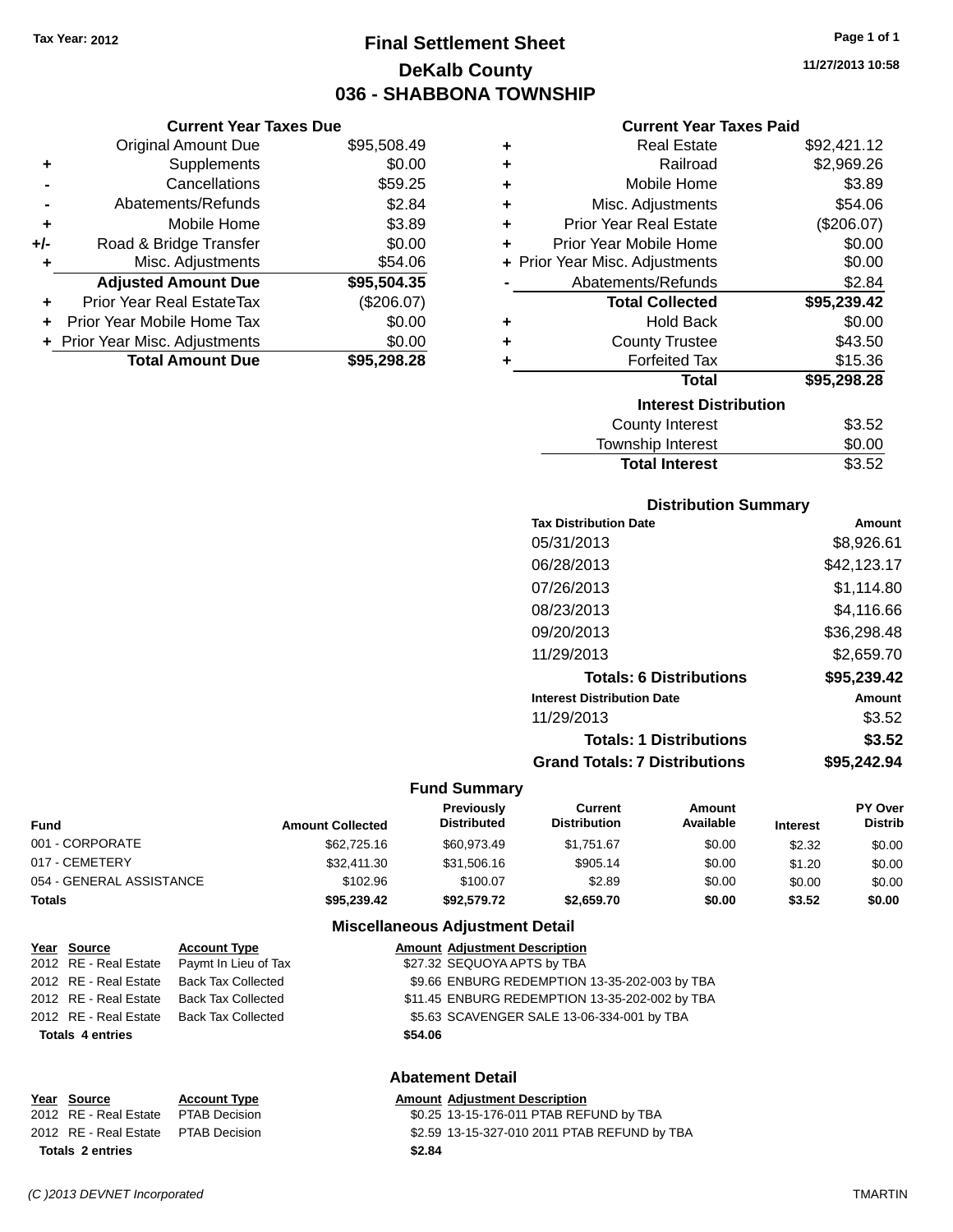## **Final Settlement Sheet Tax Year: 2012 Page 1 of 1 DeKalb County 036 - SHABBONA TOWNSHIP**

**11/27/2013 10:58**

| <b>Current Year Taxes Paid</b> |  |  |  |
|--------------------------------|--|--|--|
|--------------------------------|--|--|--|

| <b>Current Year Taxes Due</b>  |             |
|--------------------------------|-------------|
| <b>Original Amount Due</b>     | \$95,508.49 |
| Supplements                    | \$0.00      |
| Cancellations                  | \$59.25     |
| Abatements/Refunds             | \$2.84      |
| Mobile Home                    | \$3.89      |
| Road & Bridge Transfer         | \$0.00      |
| Misc. Adjustments              | \$54.06     |
| <b>Adjusted Amount Due</b>     | \$95,504.35 |
| Prior Year Real EstateTax      | (\$206.07)  |
| Prior Year Mobile Home Tax     | \$0.00      |
|                                |             |
| + Prior Year Misc. Adjustments | \$0.00      |
|                                |             |

| ٠ | <b>Real Estate</b>             | \$92,421.12 |
|---|--------------------------------|-------------|
| ÷ | Railroad                       | \$2,969.26  |
| ٠ | Mobile Home                    | \$3.89      |
| ÷ | Misc. Adjustments              | \$54.06     |
| ٠ | <b>Prior Year Real Estate</b>  | (\$206.07)  |
| ٠ | Prior Year Mobile Home         | \$0.00      |
|   | + Prior Year Misc. Adjustments | \$0.00      |
|   | Abatements/Refunds             | \$2.84      |
|   | <b>Total Collected</b>         | \$95,239.42 |
| ٠ | Hold Back                      | \$0.00      |
| ٠ | <b>County Trustee</b>          | \$43.50     |
| ٠ | <b>Forfeited Tax</b>           | \$15.36     |
|   | <b>Total</b>                   | \$95,298.28 |
|   | <b>Interest Distribution</b>   |             |
|   | County Interest                | \$3.52      |
|   | <b>Township Interest</b>       | \$0.00      |
|   | <b>Total Interest</b>          | \$3.52      |

## **Distribution Summary**

| <b>Tax Distribution Date</b>         | Amount      |
|--------------------------------------|-------------|
| 05/31/2013                           | \$8,926.61  |
| 06/28/2013                           | \$42,123.17 |
| 07/26/2013                           | \$1,114.80  |
| 08/23/2013                           | \$4,116.66  |
| 09/20/2013                           | \$36,298.48 |
| 11/29/2013                           | \$2,659.70  |
| <b>Totals: 6 Distributions</b>       | \$95,239.42 |
| <b>Interest Distribution Date</b>    | Amount      |
| 11/29/2013                           | \$3.52      |
| <b>Totals: 1 Distributions</b>       | \$3.52      |
| <b>Grand Totals: 7 Distributions</b> | \$95.242.94 |

#### **Fund Summary**

| <b>Amount Collected</b> | Previously<br><b>Distributed</b> | Current<br><b>Distribution</b> | Amount<br>Available | <b>Interest</b> | <b>PY Over</b><br><b>Distrib</b> |
|-------------------------|----------------------------------|--------------------------------|---------------------|-----------------|----------------------------------|
| \$62,725,16             | \$60.973.49                      | \$1.751.67                     | \$0.00              | \$2.32          | \$0.00                           |
| \$32,411,30             | \$31,506.16                      | \$905.14                       | \$0.00              | \$1.20          | \$0.00                           |
| \$102.96                | \$100.07                         | \$2.89                         | \$0.00              | \$0.00          | \$0.00                           |
| \$95,239.42             | \$92.579.72                      | \$2.659.70                     | \$0.00              | \$3.52          | \$0.00                           |
|                         |                                  |                                |                     |                 |                                  |

## **Miscellaneous Adjustment Detail**

| Year Source             | <b>Account Type</b>       |         | <b>Amount Adjustment Description</b>           |
|-------------------------|---------------------------|---------|------------------------------------------------|
| 2012 RE - Real Estate   | Paymt In Lieu of Tax      |         | \$27.32 SEQUOYA APTS by TBA                    |
| 2012 RE - Real Estate   | <b>Back Tax Collected</b> |         | \$9.66 ENBURG REDEMPTION 13-35-202-003 by TBA  |
| 2012 RE - Real Estate   | <b>Back Tax Collected</b> |         | \$11.45 ENBURG REDEMPTION 13-35-202-002 by TBA |
| 2012 RE - Real Estate   | <b>Back Tax Collected</b> |         | \$5.63 SCAVENGER SALE 13-06-334-001 by TBA     |
| <b>Totals 4 entries</b> |                           | \$54.06 |                                                |
|                         |                           |         |                                                |
|                         |                           |         |                                                |

## **Abatement Detail**

| Year Source                         | <b>Account Type</b> | Amount |
|-------------------------------------|---------------------|--------|
| 2012 RE - Real Estate PTAB Decision |                     | \$0.25 |
| 2012 RE - Real Estate PTAB Decision |                     | \$2.59 |
| <b>Totals 2 entries</b>             |                     | \$2.84 |

**<u>Amount Adjustment Description</u><br>
So.25 13-15-176-011 PTAB REF</u>** \$0.25 13-15-176-011 PTAB REFUND by TBA

Decision **32.59 13-15-327-010 2011 PTAB REFUND by TBA**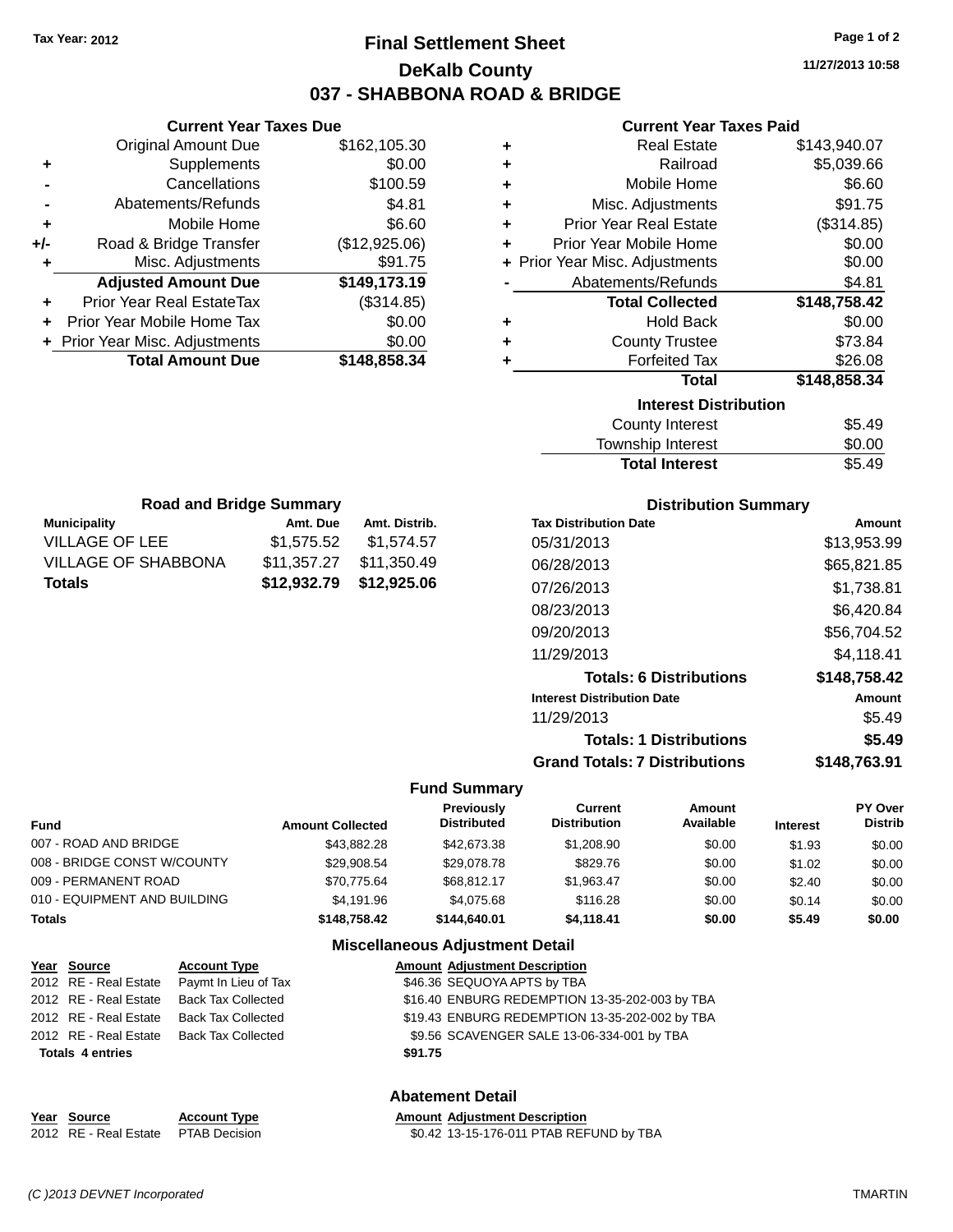## **Final Settlement Sheet Tax Year: 2012 Page 1 of 2 DeKalb County 037 - SHABBONA ROAD & BRIDGE**

**11/27/2013 10:58**

### **Current Year Taxes Paid**

|     | <b>Current Year Taxes Due</b>    |               |
|-----|----------------------------------|---------------|
|     | <b>Original Amount Due</b>       | \$162,105.30  |
| ٠   | Supplements                      | \$0.00        |
|     | Cancellations                    | \$100.59      |
|     | Abatements/Refunds               | \$4.81        |
| ٠   | Mobile Home                      | \$6.60        |
| +/- | Road & Bridge Transfer           | (\$12,925.06) |
| ٠   | Misc. Adjustments                | \$91.75       |
|     | <b>Adjusted Amount Due</b>       | \$149,173.19  |
| ٠   | <b>Prior Year Real EstateTax</b> | (\$314.85)    |
|     | Prior Year Mobile Home Tax       | \$0.00        |
|     | + Prior Year Misc. Adjustments   | \$0.00        |
|     | <b>Total Amount Due</b>          | \$148,858.34  |
|     |                                  |               |

**Municipality Amt. Due Amt. Distrib. Road and Bridge Summary**

VILLAGE OF LEE \$1,575.52 \$1,574.57 VILLAGE OF SHABBONA \$11,357.27 \$11,350.49 **Totals \$12,932.79 \$12,925.06**

| ٠ | <b>Real Estate</b>             | \$143,940.07 |
|---|--------------------------------|--------------|
| ÷ | Railroad                       | \$5,039.66   |
| ÷ | Mobile Home                    | \$6.60       |
| ٠ | Misc. Adjustments              | \$91.75      |
| ÷ | <b>Prior Year Real Estate</b>  | (\$314.85)   |
| ÷ | Prior Year Mobile Home         | \$0.00       |
|   | + Prior Year Misc. Adjustments | \$0.00       |
|   | Abatements/Refunds             | \$4.81       |
|   |                                |              |
|   | <b>Total Collected</b>         | \$148,758.42 |
| ٠ | <b>Hold Back</b>               | \$0.00       |
| ٠ | <b>County Trustee</b>          | \$73.84      |
| ٠ | <b>Forfeited Tax</b>           | \$26.08      |
|   | <b>Total</b>                   | \$148,858.34 |
|   | <b>Interest Distribution</b>   |              |
|   | <b>County Interest</b>         | \$5.49       |

| Township Interest     | \$0.00 |
|-----------------------|--------|
| <b>Total Interest</b> | \$5.49 |

| <b>Distribution Summary</b>          |              |
|--------------------------------------|--------------|
| <b>Tax Distribution Date</b>         | Amount       |
| 05/31/2013                           | \$13,953.99  |
| 06/28/2013                           | \$65,821.85  |
| 07/26/2013                           | \$1,738.81   |
| 08/23/2013                           | \$6,420.84   |
| 09/20/2013                           | \$56,704.52  |
| 11/29/2013                           | \$4,118.41   |
| <b>Totals: 6 Distributions</b>       | \$148,758.42 |
| <b>Interest Distribution Date</b>    | Amount       |
| 11/29/2013                           | \$5.49       |
| <b>Totals: 1 Distributions</b>       | \$5.49       |
| <b>Grand Totals: 7 Distributions</b> | \$148.763.91 |

#### **Fund Summary**

| <b>Fund</b>                  | <b>Amount Collected</b> | <b>Previously</b><br><b>Distributed</b> | Current<br><b>Distribution</b> | Amount<br>Available | <b>Interest</b> | PY Over<br><b>Distrib</b> |
|------------------------------|-------------------------|-----------------------------------------|--------------------------------|---------------------|-----------------|---------------------------|
| 007 - ROAD AND BRIDGE        | \$43,882,28             | \$42,673,38                             | \$1,208.90                     | \$0.00              | \$1.93          | \$0.00                    |
| 008 - BRIDGE CONST W/COUNTY  | \$29.908.54             | \$29,078.78                             | \$829.76                       | \$0.00              | \$1.02          | \$0.00                    |
| 009 - PERMANENT ROAD         | \$70.775.64             | \$68.812.17                             | \$1,963.47                     | \$0.00              | \$2.40          | \$0.00                    |
| 010 - EQUIPMENT AND BUILDING | \$4.191.96              | \$4.075.68                              | \$116.28                       | \$0.00              | \$0.14          | \$0.00                    |
| <b>Totals</b>                | \$148,758.42            | \$144,640.01                            | \$4.118.41                     | \$0.00              | \$5.49          | \$0.00                    |
|                              |                         | <b>Miscellaneous Adjustment Detail</b>  |                                |                     |                 |                           |

| Year Source             | <b>Account Type</b>                      |         | <b>Amount Adjustment Description</b>           |
|-------------------------|------------------------------------------|---------|------------------------------------------------|
| 2012 RE - Real Estate   | Paymt In Lieu of Tax                     |         | \$46.36 SEQUOYA APTS by TBA                    |
| 2012 RE - Real Estate   | Back Tax Collected                       |         | \$16.40 ENBURG REDEMPTION 13-35-202-003 by TBA |
| 2012 RE - Real Estate   | Back Tax Collected                       |         | \$19.43 ENBURG REDEMPTION 13-35-202-002 by TBA |
|                         | 2012 RE - Real Estate Back Tax Collected |         | \$9.56 SCAVENGER SALE 13-06-334-001 by TBA     |
| <b>Totals 4 entries</b> |                                          | \$91.75 |                                                |
|                         |                                          |         |                                                |

## **Abatement Detail**

| Year Source                         | <b>Account Type</b> | <b>Amount Adiustment Description</b>    |
|-------------------------------------|---------------------|-----------------------------------------|
| 2012 RE - Real Estate PTAB Decision |                     | \$0.42 13-15-176-011 PTAB REFUND by TBA |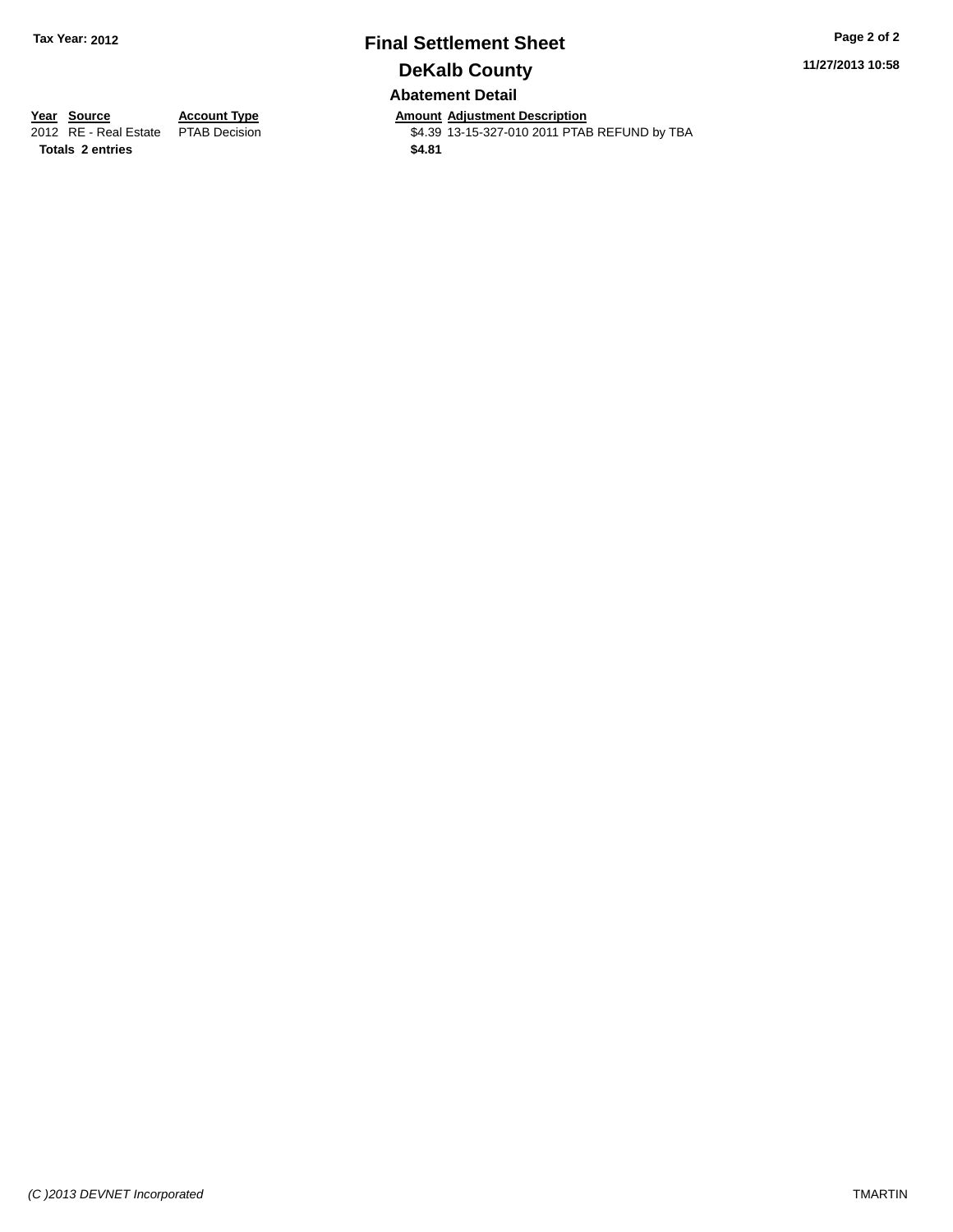## **Final Settlement Sheet Tax Year: 2012 Page 2 of 2 DeKalb County Abatement Detail**

**11/27/2013 10:58**

**Totals 2 entries \$4.81**

**Year Source Account Type Annount Adjustment Description**<br>2012 RE - Real Estate PTAB Decision **Amount Adjustment Description** \$4.39 13-15-327-010 2011 PTAB REFUND by TBA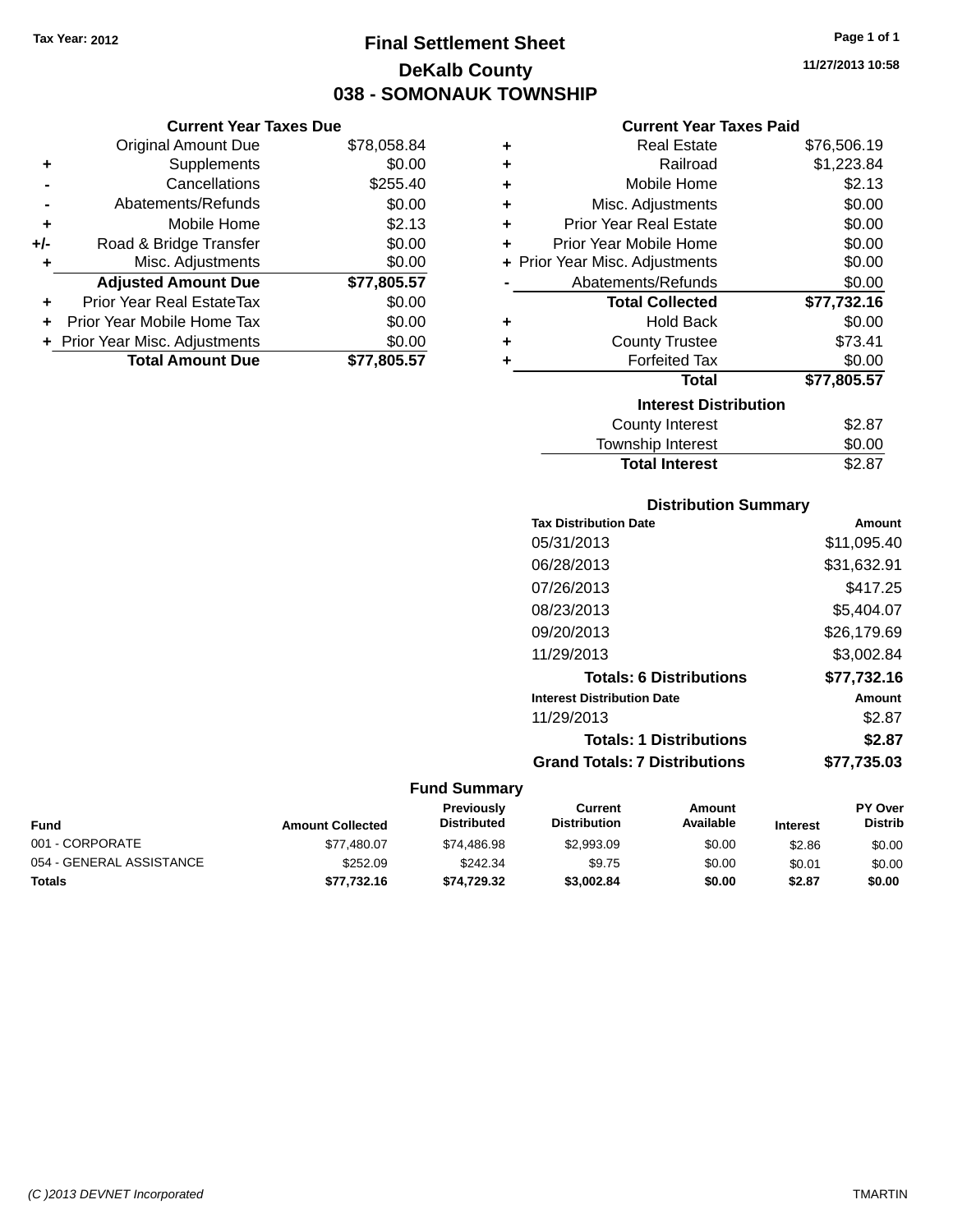## **Final Settlement Sheet Tax Year: 2012 Page 1 of 1 DeKalb County 038 - SOMONAUK TOWNSHIP**

**11/27/2013 10:58**

| <b>Current Year Taxes Paid</b> |  |  |  |
|--------------------------------|--|--|--|
|--------------------------------|--|--|--|

|     | <b>Current Year Taxes Due</b>  |             |  |  |  |  |
|-----|--------------------------------|-------------|--|--|--|--|
|     | <b>Original Amount Due</b>     | \$78,058.84 |  |  |  |  |
| ٠   | Supplements                    | \$0.00      |  |  |  |  |
|     | Cancellations                  | \$255.40    |  |  |  |  |
|     | Abatements/Refunds             | \$0.00      |  |  |  |  |
|     | Mobile Home                    | \$2.13      |  |  |  |  |
| +/- | Road & Bridge Transfer         | \$0.00      |  |  |  |  |
|     | Misc. Adjustments              | \$0.00      |  |  |  |  |
|     | <b>Adjusted Amount Due</b>     | \$77,805.57 |  |  |  |  |
|     | Prior Year Real EstateTax      | \$0.00      |  |  |  |  |
|     | Prior Year Mobile Home Tax     | \$0.00      |  |  |  |  |
|     | + Prior Year Misc. Adjustments | \$0.00      |  |  |  |  |
|     | <b>Total Amount Due</b>        | \$77,805.57 |  |  |  |  |
|     |                                |             |  |  |  |  |

| ٠ | <b>Real Estate</b>             | \$76,506.19 |
|---|--------------------------------|-------------|
| ٠ | Railroad                       | \$1,223.84  |
| ٠ | Mobile Home                    | \$2.13      |
| ٠ | Misc. Adjustments              | \$0.00      |
| ٠ | <b>Prior Year Real Estate</b>  | \$0.00      |
| ٠ | Prior Year Mobile Home         | \$0.00      |
|   | + Prior Year Misc. Adjustments | \$0.00      |
|   | Abatements/Refunds             | \$0.00      |
|   | <b>Total Collected</b>         | \$77,732.16 |
| ٠ | Hold Back                      | \$0.00      |
| ٠ | <b>County Trustee</b>          | \$73.41     |
| ٠ | <b>Forfeited Tax</b>           | \$0.00      |
|   | <b>Total</b>                   | \$77,805.57 |
|   | <b>Interest Distribution</b>   |             |
|   | <b>County Interest</b>         | \$2.87      |
|   | <b>Township Interest</b>       | \$0.00      |
|   | <b>Total Interest</b>          | \$2.87      |

| <b>Distribution Summary</b>          |             |
|--------------------------------------|-------------|
| <b>Tax Distribution Date</b>         | Amount      |
| 05/31/2013                           | \$11,095.40 |
| 06/28/2013                           | \$31,632.91 |
| 07/26/2013                           | \$417.25    |
| 08/23/2013                           | \$5,404.07  |
| 09/20/2013                           | \$26,179.69 |
| 11/29/2013                           | \$3,002.84  |
| <b>Totals: 6 Distributions</b>       | \$77,732.16 |
| <b>Interest Distribution Date</b>    | Amount      |
| 11/29/2013                           | \$2.87      |
| <b>Totals: 1 Distributions</b>       | \$2.87      |
| <b>Grand Totals: 7 Distributions</b> | \$77,735.03 |

| <b>Fund</b>              | <b>Amount Collected</b> | <b>Previously</b><br><b>Distributed</b> | Current<br><b>Distribution</b> | Amount<br>Available | <b>Interest</b> | <b>PY Over</b><br><b>Distrib</b> |
|--------------------------|-------------------------|-----------------------------------------|--------------------------------|---------------------|-----------------|----------------------------------|
| 001 - CORPORATE          | \$77.480.07             | \$74.486.98                             | \$2,993.09                     | \$0.00              | \$2.86          | \$0.00                           |
| 054 - GENERAL ASSISTANCE | \$252.09                | \$242.34                                | \$9.75                         | \$0.00              | \$0.01          | \$0.00                           |
| Totals                   | \$77.732.16             | \$74.729.32                             | \$3,002.84                     | \$0.00              | \$2.87          | \$0.00                           |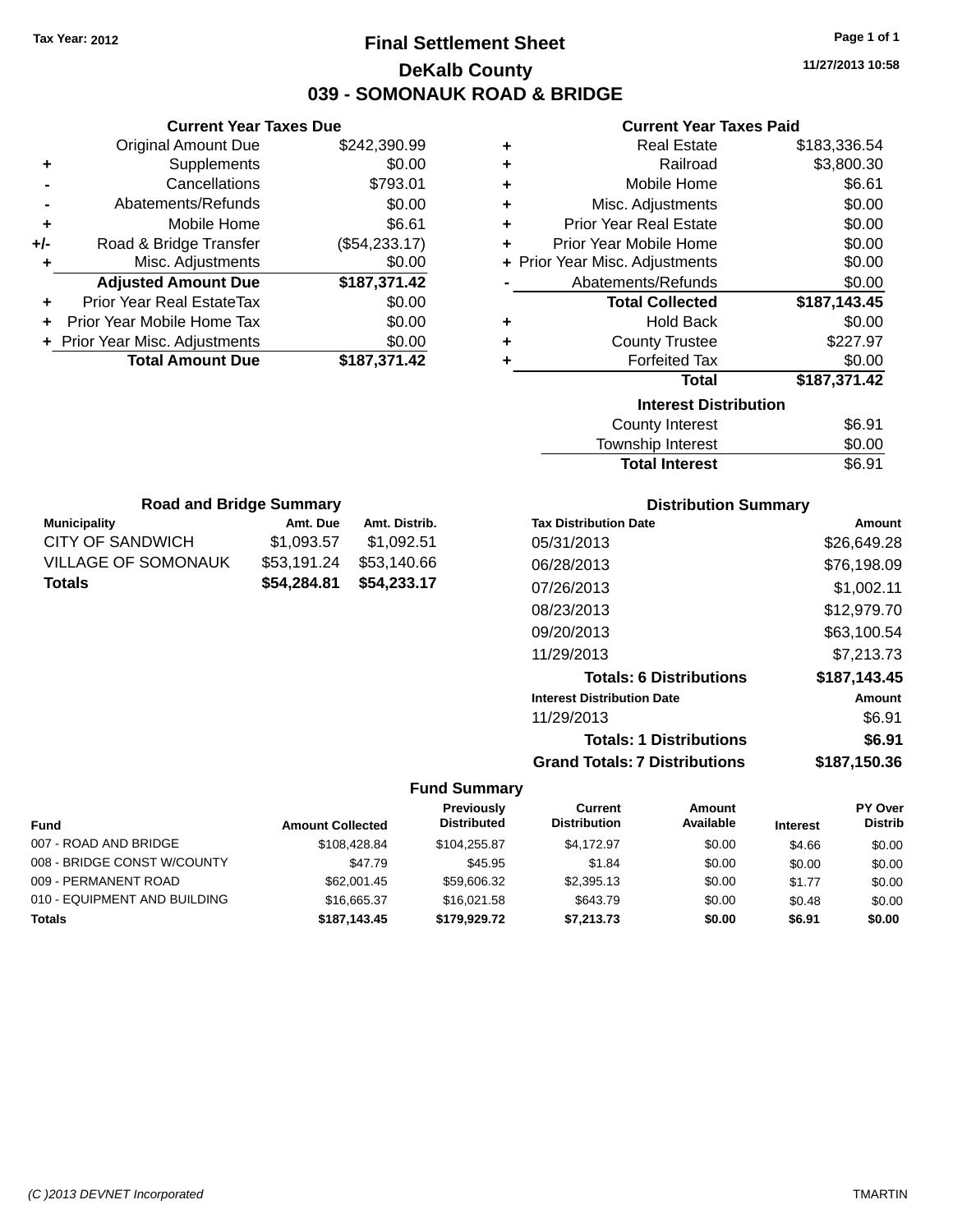## **Final Settlement Sheet Tax Year: 2012 Page 1 of 1 DeKalb County 039 - SOMONAUK ROAD & BRIDGE**

**11/27/2013 10:58**

## **Current Year Taxes Paid**

|       | <b>Current Year Taxes Due</b>    |               |   | <b>Currer</b>            |
|-------|----------------------------------|---------------|---|--------------------------|
|       | Original Amount Due              | \$242,390.99  | ٠ | Real                     |
| ٠     | <b>Supplements</b>               | \$0.00        |   | R                        |
|       | Cancellations                    | \$793.01      | ٠ | Mobile                   |
|       | Abatements/Refunds               | \$0.00        | ٠ | Misc. Adjus              |
|       | Mobile Home                      | \$6.61        | ٠ | <b>Prior Year Real</b>   |
| $+/-$ | Road & Bridge Transfer           | (\$54,233.17) | ٠ | <b>Prior Year Mobile</b> |
| ٠     | Misc. Adjustments                | \$0.00        |   | + Prior Year Misc. Adjus |
|       | <b>Adjusted Amount Due</b>       | \$187,371.42  |   | Abatements/R             |
| ٠     | <b>Prior Year Real EstateTax</b> | \$0.00        |   | <b>Total Co</b>          |
|       | Prior Year Mobile Home Tax       | \$0.00        | ٠ | Hol                      |
|       | + Prior Year Misc. Adjustments   | \$0.00        |   | County                   |
|       | <b>Total Amount Due</b>          | \$187,371.42  |   | Forfei                   |
|       |                                  |               |   |                          |

| ÷ | <b>Real Estate</b>             | \$183,336.54 |
|---|--------------------------------|--------------|
| ÷ | Railroad                       | \$3,800.30   |
| ÷ | Mobile Home                    | \$6.61       |
| ÷ | Misc. Adjustments              | \$0.00       |
| ÷ | <b>Prior Year Real Estate</b>  | \$0.00       |
| ÷ | Prior Year Mobile Home         | \$0.00       |
|   | + Prior Year Misc. Adjustments | \$0.00       |
|   | Abatements/Refunds             | \$0.00       |
|   | <b>Total Collected</b>         | \$187,143.45 |
|   |                                |              |
|   | Hold Back                      | \$0.00       |
|   | <b>County Trustee</b>          | \$227.97     |
|   | <b>Forfeited Tax</b>           | \$0.00       |
|   | <b>Total</b>                   | \$187,371.42 |
|   | <b>Interest Distribution</b>   |              |

| <b>Total Interest</b> | \$6.91       |
|-----------------------|--------------|
| Township Interest     | \$0.00       |
| <b>OVAIRY INVIOUR</b> | <b>vv.vi</b> |

| <b>Road and Bridge Summary</b> |             |               |  |  |  |
|--------------------------------|-------------|---------------|--|--|--|
| <b>Municipality</b>            | Amt. Due    | Amt. Distrib. |  |  |  |
| <b>CITY OF SANDWICH</b>        | \$1,093.57  | \$1,092.51    |  |  |  |
| VILLAGE OF SOMONAUK            | \$53,191.24 | \$53,140.66   |  |  |  |
| <b>Totals</b>                  | \$54,284.81 | \$54,233.17   |  |  |  |

## **Distribution Summary**

| <b>Tax Distribution Date</b>         | Amount       |
|--------------------------------------|--------------|
| 05/31/2013                           | \$26,649.28  |
| 06/28/2013                           | \$76,198.09  |
| 07/26/2013                           | \$1,002.11   |
| 08/23/2013                           | \$12,979.70  |
| 09/20/2013                           | \$63,100.54  |
| 11/29/2013                           | \$7,213.73   |
| <b>Totals: 6 Distributions</b>       | \$187,143.45 |
| <b>Interest Distribution Date</b>    | Amount       |
| 11/29/2013                           | \$6.91       |
| <b>Totals: 1 Distributions</b>       | \$6.91       |
| <b>Grand Totals: 7 Distributions</b> | \$187,150.36 |

|                              |                         | Previously         | Current             | Amount    |                 | <b>PY Over</b> |
|------------------------------|-------------------------|--------------------|---------------------|-----------|-----------------|----------------|
| <b>Fund</b>                  | <b>Amount Collected</b> | <b>Distributed</b> | <b>Distribution</b> | Available | <b>Interest</b> | <b>Distrib</b> |
| 007 - ROAD AND BRIDGE        | \$108.428.84            | \$104.255.87       | \$4.172.97          | \$0.00    | \$4.66          | \$0.00         |
| 008 - BRIDGE CONST W/COUNTY  | \$47.79                 | \$45.95            | \$1.84              | \$0.00    | \$0.00          | \$0.00         |
| 009 - PERMANENT ROAD         | \$62,001.45             | \$59,606.32        | \$2,395.13          | \$0.00    | \$1.77          | \$0.00         |
| 010 - EQUIPMENT AND BUILDING | \$16,665.37             | \$16,021.58        | \$643.79            | \$0.00    | \$0.48          | \$0.00         |
| <b>Totals</b>                | \$187,143.45            | \$179,929.72       | \$7.213.73          | \$0.00    | \$6.91          | \$0.00         |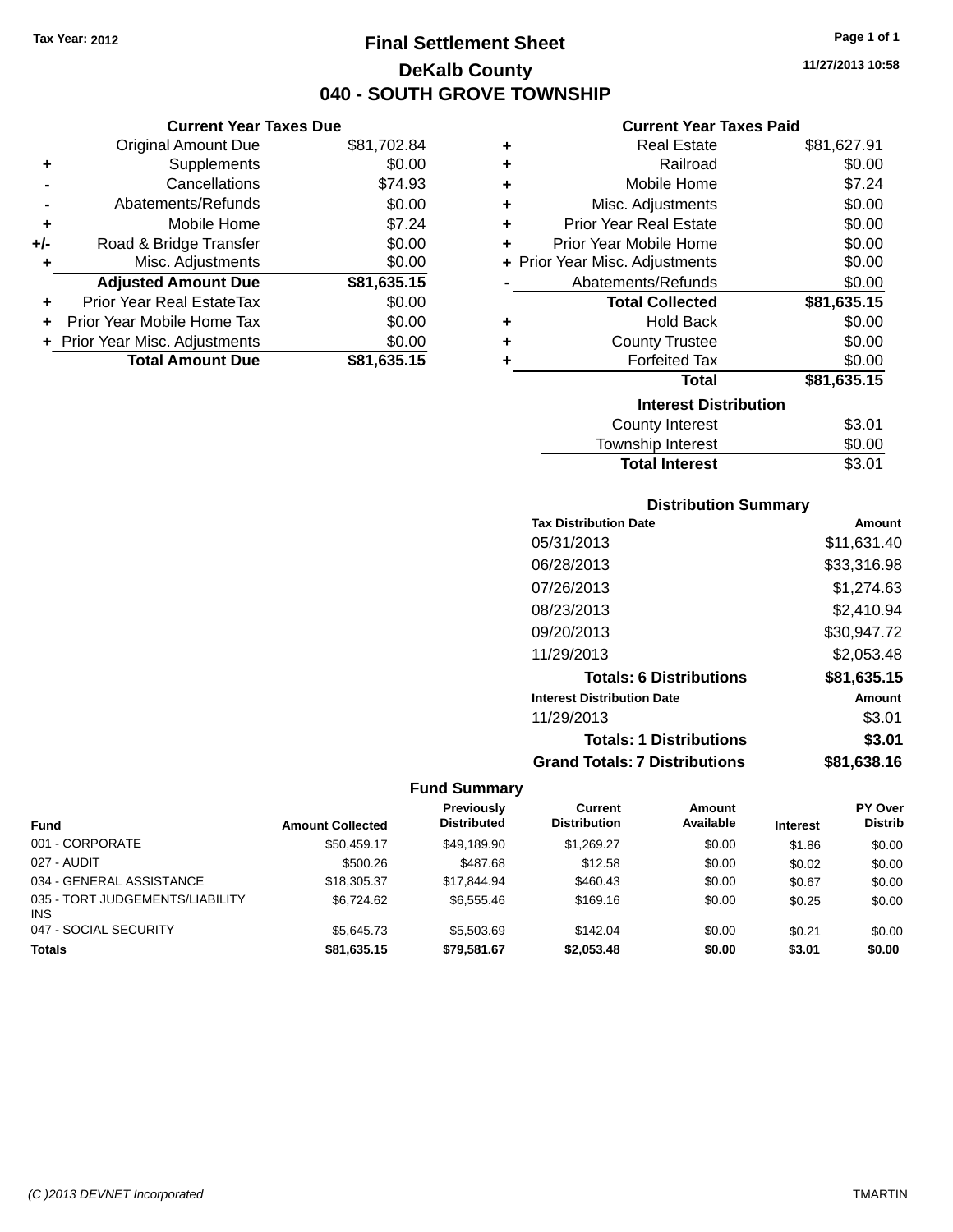**Current Year Taxes Due** Original Amount Due \$81,702.84

**Adjusted Amount Due \$81,635.15**

**Total Amount Due \$81,635.15**

**+** Supplements \$0.00 **-** Cancellations \$74.93 **-** Abatements/Refunds \$0.00 **+** Mobile Home \$7.24 **+/-** Road & Bridge Transfer \$0.00 **+** Misc. Adjustments \$0.00

**+** Prior Year Real EstateTax \$0.00 **+** Prior Year Mobile Home Tax \$0.00 **+ Prior Year Misc. Adjustments**  $$0.00$ 

## **Final Settlement Sheet Tax Year: 2012 Page 1 of 1 DeKalb County 040 - SOUTH GROVE TOWNSHIP**

**11/27/2013 10:58**

## **Current Year Taxes Paid**

| ÷ | <b>Real Estate</b>             | \$81,627.91 |
|---|--------------------------------|-------------|
| ٠ | Railroad                       | \$0.00      |
| ٠ | Mobile Home                    | \$7.24      |
| ٠ | Misc. Adjustments              | \$0.00      |
| ٠ | <b>Prior Year Real Estate</b>  | \$0.00      |
| ÷ | Prior Year Mobile Home         | \$0.00      |
|   | + Prior Year Misc. Adjustments | \$0.00      |
|   | Abatements/Refunds             | \$0.00      |
|   | <b>Total Collected</b>         | \$81,635.15 |
| ٠ | Hold Back                      | \$0.00      |
| ٠ | <b>County Trustee</b>          | \$0.00      |
| ÷ | <b>Forfeited Tax</b>           | \$0.00      |
|   | <b>Total</b>                   | \$81,635.15 |
|   | <b>Interest Distribution</b>   |             |
|   | County Interest                | \$3.01      |
|   | <b>Township Interest</b>       | \$0.00      |
|   | <b>Total Interest</b>          | \$3.01      |

## **Distribution Summary**

| <b>Tax Distribution Date</b>         | Amount      |
|--------------------------------------|-------------|
| 05/31/2013                           | \$11,631.40 |
| 06/28/2013                           | \$33,316.98 |
| 07/26/2013                           | \$1,274.63  |
| 08/23/2013                           | \$2,410.94  |
| 09/20/2013                           | \$30,947.72 |
| 11/29/2013                           | \$2,053.48  |
| <b>Totals: 6 Distributions</b>       | \$81,635.15 |
| <b>Interest Distribution Date</b>    | Amount      |
| 11/29/2013                           | \$3.01      |
| <b>Totals: 1 Distributions</b>       | \$3.01      |
| <b>Grand Totals: 7 Distributions</b> | \$81.638.16 |

| <b>Fund</b>                                   | <b>Amount Collected</b> | Previously<br><b>Distributed</b> | Current<br><b>Distribution</b> | <b>Amount</b><br>Available | <b>Interest</b> | <b>PY Over</b><br><b>Distrib</b> |
|-----------------------------------------------|-------------------------|----------------------------------|--------------------------------|----------------------------|-----------------|----------------------------------|
| 001 - CORPORATE                               | \$50.459.17             | \$49.189.90                      | \$1.269.27                     | \$0.00                     | \$1.86          | \$0.00                           |
| 027 - AUDIT                                   | \$500.26                | \$487.68                         | \$12.58                        | \$0.00                     | \$0.02          | \$0.00                           |
| 034 - GENERAL ASSISTANCE                      | \$18,305.37             | \$17.844.94                      | \$460.43                       | \$0.00                     | \$0.67          | \$0.00                           |
| 035 - TORT JUDGEMENTS/LIABILITY<br><b>INS</b> | \$6.724.62              | \$6,555,46                       | \$169.16                       | \$0.00                     | \$0.25          | \$0.00                           |
| 047 - SOCIAL SECURITY                         | \$5.645.73              | \$5,503.69                       | \$142.04                       | \$0.00                     | \$0.21          | \$0.00                           |
| <b>Totals</b>                                 | \$81,635.15             | \$79,581.67                      | \$2,053.48                     | \$0.00                     | \$3.01          | \$0.00                           |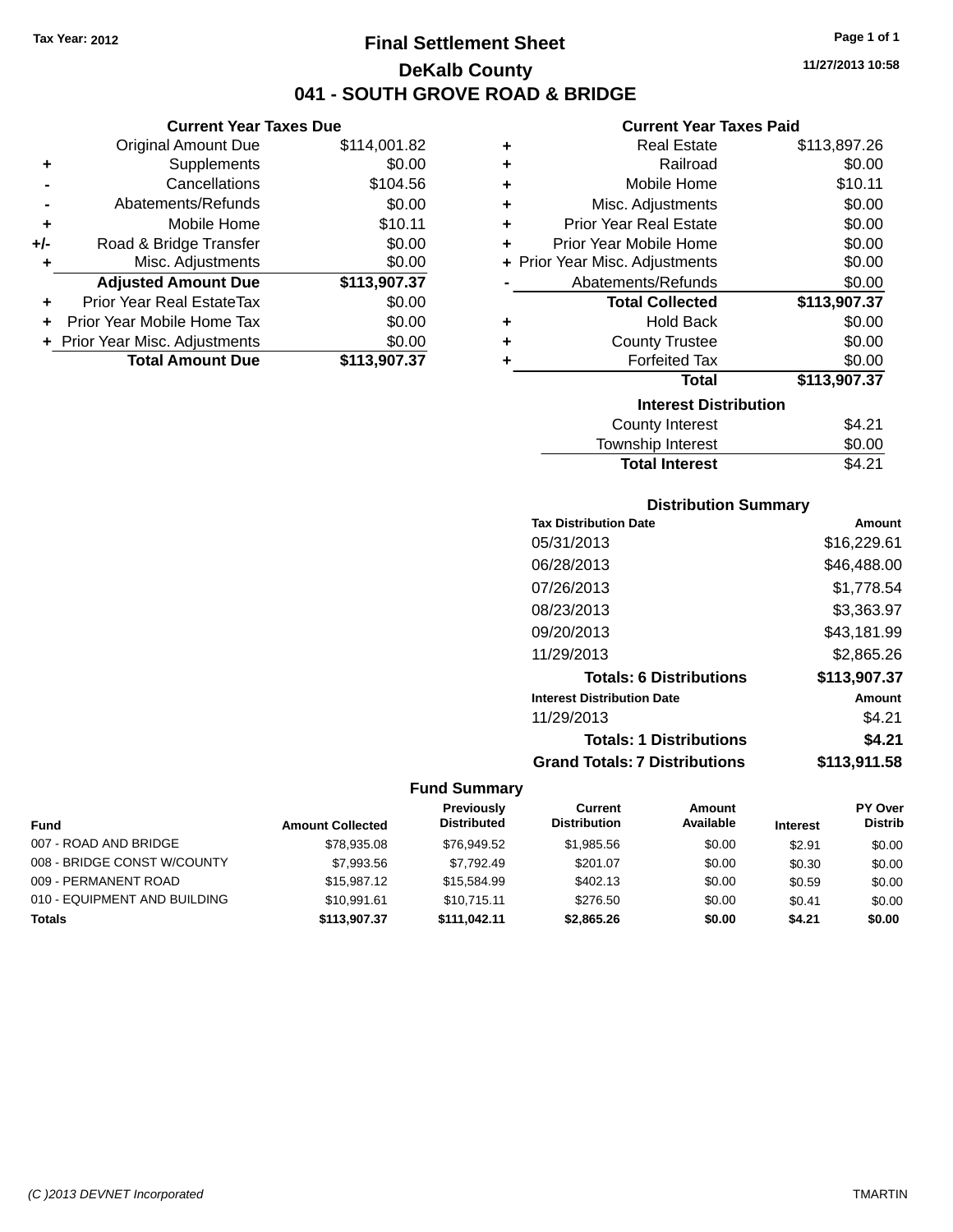## **Final Settlement Sheet Tax Year: 2012 Page 1 of 1 DeKalb County 041 - SOUTH GROVE ROAD & BRIDGE**

**11/27/2013 10:58**

#### **Current Year Taxes Paid**

|       | <b>Current Year Taxes Due</b>  |              |   |                  |
|-------|--------------------------------|--------------|---|------------------|
|       | <b>Original Amount Due</b>     | \$114,001.82 | ٠ |                  |
|       | <b>Supplements</b>             | \$0.00       | ٠ |                  |
|       | Cancellations                  | \$104.56     |   |                  |
|       | Abatements/Refunds             | \$0.00       | ٠ | Mi:              |
| ٠     | Mobile Home                    | \$10.11      | ٠ | Prior Y          |
| $+/-$ | Road & Bridge Transfer         | \$0.00       |   | Prior Yea        |
|       | Misc. Adjustments              | \$0.00       |   | + Prior Year Mis |
|       | <b>Adjusted Amount Due</b>     | \$113,907.37 |   | Abate            |
|       | Prior Year Real EstateTax      | \$0.00       |   |                  |
|       | Prior Year Mobile Home Tax     | \$0.00       | ٠ |                  |
|       | + Prior Year Misc. Adjustments | \$0.00       |   |                  |
|       | <b>Total Amount Due</b>        | \$113,907.37 |   |                  |
|       |                                |              |   |                  |

| ٠ | <b>Real Estate</b>             | \$113,897.26 |
|---|--------------------------------|--------------|
| ÷ | Railroad                       | \$0.00       |
| ٠ | Mobile Home                    | \$10.11      |
| ÷ | Misc. Adjustments              | \$0.00       |
| ÷ | <b>Prior Year Real Estate</b>  | \$0.00       |
| ٠ | Prior Year Mobile Home         | \$0.00       |
|   | + Prior Year Misc. Adjustments | \$0.00       |
|   | Abatements/Refunds             | \$0.00       |
|   | <b>Total Collected</b>         | \$113,907.37 |
| ٠ | <b>Hold Back</b>               | \$0.00       |
| ٠ | <b>County Trustee</b>          | \$0.00       |
| ٠ | <b>Forfeited Tax</b>           | \$0.00       |
|   | Total                          | \$113,907.37 |
|   | <b>Interest Distribution</b>   |              |
|   | County Interest                | \$4.21       |
|   | <b>Township Interest</b>       | \$0.00       |
|   | <b>Total Interest</b>          | \$4.21       |

## **Distribution Summary Tax Distribution Date Amount**

| IAA DISLIDULIUII DALE                | anoun         |
|--------------------------------------|---------------|
| 05/31/2013                           | \$16,229.61   |
| 06/28/2013                           | \$46,488.00   |
| 07/26/2013                           | \$1,778.54    |
| 08/23/2013                           | \$3,363.97    |
| 09/20/2013                           | \$43,181.99   |
| 11/29/2013                           | \$2,865.26    |
| <b>Totals: 6 Distributions</b>       | \$113,907.37  |
| <b>Interest Distribution Date</b>    | <b>Amount</b> |
| 11/29/2013                           | \$4.21        |
| <b>Totals: 1 Distributions</b>       | \$4.21        |
| <b>Grand Totals: 7 Distributions</b> | \$113,911.58  |

|                              |                         | Previously         | Current             | Amount    |                 | PY Over        |
|------------------------------|-------------------------|--------------------|---------------------|-----------|-----------------|----------------|
| <b>Fund</b>                  | <b>Amount Collected</b> | <b>Distributed</b> | <b>Distribution</b> | Available | <b>Interest</b> | <b>Distrib</b> |
| 007 - ROAD AND BRIDGE        | \$78,935.08             | \$76.949.52        | \$1.985.56          | \$0.00    | \$2.91          | \$0.00         |
| 008 - BRIDGE CONST W/COUNTY  | \$7,993.56              | \$7.792.49         | \$201.07            | \$0.00    | \$0.30          | \$0.00         |
| 009 - PERMANENT ROAD         | \$15,987.12             | \$15,584.99        | \$402.13            | \$0.00    | \$0.59          | \$0.00         |
| 010 - EQUIPMENT AND BUILDING | \$10,991.61             | \$10.715.11        | \$276.50            | \$0.00    | \$0.41          | \$0.00         |
| <b>Totals</b>                | \$113,907.37            | \$111.042.11       | \$2,865,26          | \$0.00    | \$4.21          | \$0.00         |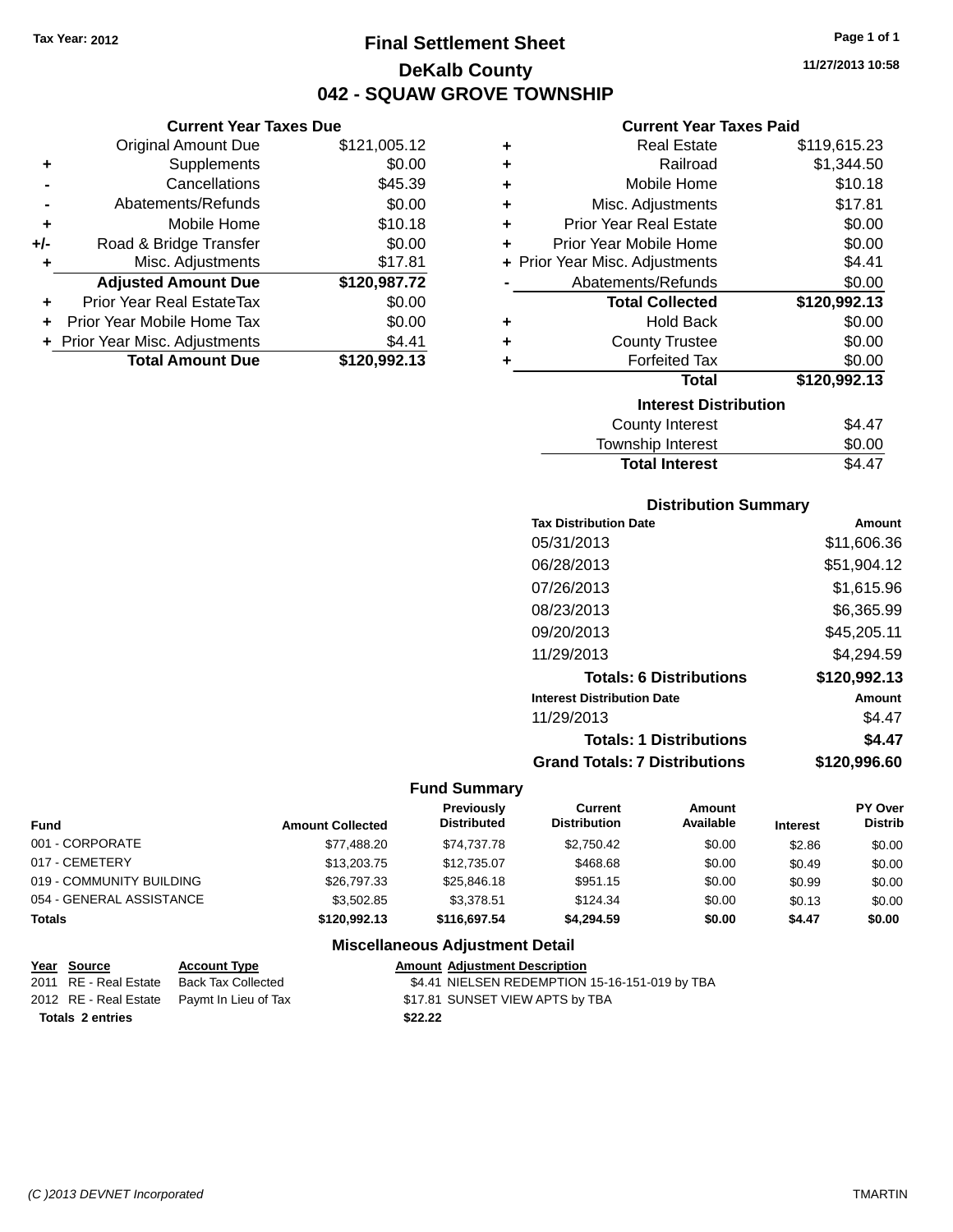**Current Year Taxes Due** Original Amount Due \$121,005.12

**Adjusted Amount Due \$120,987.72**

**Total Amount Due \$120,992.13**

**+** Supplements \$0.00 **-** Cancellations \$45.39 **-** Abatements/Refunds \$0.00 **+** Mobile Home \$10.18 **+/-** Road & Bridge Transfer \$0.00 **+** Misc. Adjustments \$17.81

**+** Prior Year Real EstateTax \$0.00 **+** Prior Year Mobile Home Tax \$0.00 **+ Prior Year Misc. Adjustments**  $$4.41$ 

## **Final Settlement Sheet Tax Year: 2012 Page 1 of 1 DeKalb County 042 - SQUAW GROVE TOWNSHIP**

**11/27/2013 10:58**

## **Current Year Taxes Paid**

| ٠ | <b>Real Estate</b>             | \$119,615.23 |
|---|--------------------------------|--------------|
| ٠ | Railroad                       | \$1,344.50   |
| ٠ | Mobile Home                    | \$10.18      |
| ٠ | Misc. Adjustments              | \$17.81      |
| ٠ | <b>Prior Year Real Estate</b>  | \$0.00       |
| ٠ | Prior Year Mobile Home         | \$0.00       |
|   | + Prior Year Misc. Adjustments | \$4.41       |
|   | Abatements/Refunds             | \$0.00       |
|   | <b>Total Collected</b>         | \$120,992.13 |
| ٠ | <b>Hold Back</b>               | \$0.00       |
| ٠ | <b>County Trustee</b>          | \$0.00       |
| ٠ | <b>Forfeited Tax</b>           | \$0.00       |
|   | <b>Total</b>                   | \$120,992.13 |
|   | <b>Interest Distribution</b>   |              |
|   | <b>County Interest</b>         | \$4.47       |
|   | <b>Township Interest</b>       | \$0.00       |

| TOWNSNIP INTEREST<br><b>JU.UU</b> |  |
|-----------------------------------|--|
| \$4.47<br><b>Total Interest</b>   |  |

|  | <b>Distribution Summary</b> |  |
|--|-----------------------------|--|
|  |                             |  |

| <b>Tax Distribution Date</b>         | Amount       |
|--------------------------------------|--------------|
| 05/31/2013                           | \$11,606.36  |
| 06/28/2013                           | \$51,904.12  |
| 07/26/2013                           | \$1,615.96   |
| 08/23/2013                           | \$6,365.99   |
| 09/20/2013                           | \$45,205.11  |
| 11/29/2013                           | \$4,294.59   |
| <b>Totals: 6 Distributions</b>       | \$120,992.13 |
| <b>Interest Distribution Date</b>    | Amount       |
| 11/29/2013                           | \$4.47       |
| <b>Totals: 1 Distributions</b>       | \$4.47       |
| <b>Grand Totals: 7 Distributions</b> | \$120.996.60 |
|                                      |              |

#### **Fund Summary**

| Fund                     | <b>Amount Collected</b> | Previously<br><b>Distributed</b> | Current<br><b>Distribution</b> | Amount<br>Available | <b>Interest</b> | PY Over<br><b>Distrib</b> |
|--------------------------|-------------------------|----------------------------------|--------------------------------|---------------------|-----------------|---------------------------|
| 001 - CORPORATE          | \$77.488.20             | \$74.737.78                      | \$2,750.42                     | \$0.00              | \$2.86          | \$0.00                    |
| 017 - CEMETERY           | \$13,203,75             | \$12,735.07                      | \$468.68                       | \$0.00              | \$0.49          | \$0.00                    |
| 019 - COMMUNITY BUILDING | \$26,797.33             | \$25,846.18                      | \$951.15                       | \$0.00              | \$0.99          | \$0.00                    |
| 054 - GENERAL ASSISTANCE | \$3,502.85              | \$3.378.51                       | \$124.34                       | \$0.00              | \$0.13          | \$0.00                    |
| Totals                   | \$120,992.13            | \$116,697.54                     | \$4.294.59                     | \$0.00              | \$4.47          | \$0.00                    |
|                          | ---<br>.                |                                  |                                |                     |                 |                           |

| <u>Year Source</u>      | <b>Account Type</b>                        |         | <b>Amount Adjustment Description</b>           |
|-------------------------|--------------------------------------------|---------|------------------------------------------------|
|                         | 2011 RE - Real Estate Back Tax Collected   |         | \$4.41 NIELSEN REDEMPTION 15-16-151-019 by TBA |
|                         | 2012 RE - Real Estate Paymt In Lieu of Tax |         | \$17.81 SUNSET VIEW APTS by TBA                |
| <b>Totals 2 entries</b> |                                            | \$22.22 |                                                |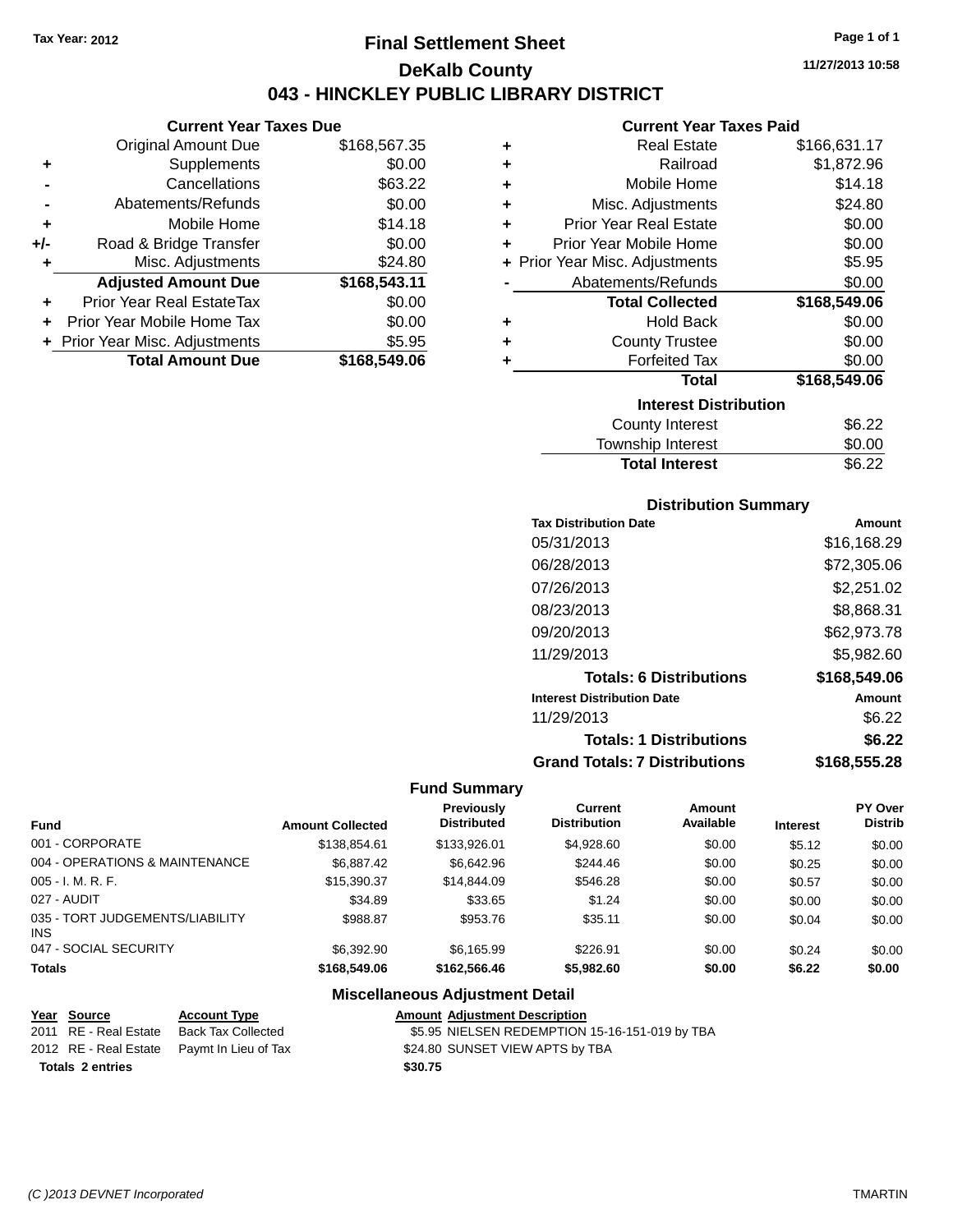## **Final Settlement Sheet Tax Year: 2012 Page 1 of 1 DeKalb County 043 - HINCKLEY PUBLIC LIBRARY DISTRICT**

**11/27/2013 10:58**

## **Current Year Taxes Paid**

|     | Current rear laxes Due         |              |
|-----|--------------------------------|--------------|
|     | <b>Original Amount Due</b>     | \$168,567.35 |
| ٠   | Supplements                    | \$0.00       |
|     | Cancellations                  | \$63.22      |
|     | Abatements/Refunds             | \$0.00       |
| ٠   | Mobile Home                    | \$14.18      |
| +/- | Road & Bridge Transfer         | \$0.00       |
| ٠   | Misc. Adjustments              | \$24.80      |
|     | <b>Adjusted Amount Due</b>     | \$168,543.11 |
| ٠   | Prior Year Real EstateTax      | \$0.00       |
| ٠   | Prior Year Mobile Home Tax     | \$0.00       |
|     | + Prior Year Misc. Adjustments | \$5.95       |
|     | <b>Total Amount Due</b>        | \$168,549.06 |
|     |                                |              |

**Current Year Taxes Due**

| ٠ | <b>Real Estate</b>             | \$166,631.17 |
|---|--------------------------------|--------------|
| ÷ | Railroad                       | \$1,872.96   |
| ٠ | Mobile Home                    | \$14.18      |
| ÷ | Misc. Adjustments              | \$24.80      |
| ٠ | <b>Prior Year Real Estate</b>  | \$0.00       |
| ٠ | Prior Year Mobile Home         | \$0.00       |
|   | + Prior Year Misc. Adjustments | \$5.95       |
|   | Abatements/Refunds             | \$0.00       |
|   | <b>Total Collected</b>         | \$168,549.06 |
| ٠ | Hold Back                      | \$0.00       |
| ٠ | <b>County Trustee</b>          | \$0.00       |
| ٠ | <b>Forfeited Tax</b>           | \$0.00       |
|   | <b>Total</b>                   | \$168,549.06 |
|   | <b>Interest Distribution</b>   |              |
|   | <b>County Interest</b>         | \$6.22       |
|   | <b>Township Interest</b>       | \$0.00       |
|   | <b>Total Interest</b>          | \$6.22       |

## **Distribution Summary**

| <b>Tax Distribution Date</b>         | Amount       |
|--------------------------------------|--------------|
| 05/31/2013                           | \$16,168.29  |
| 06/28/2013                           | \$72,305.06  |
| 07/26/2013                           | \$2,251.02   |
| 08/23/2013                           | \$8,868.31   |
| 09/20/2013                           | \$62,973.78  |
| 11/29/2013                           | \$5,982.60   |
| <b>Totals: 6 Distributions</b>       | \$168,549.06 |
| <b>Interest Distribution Date</b>    | Amount       |
| 11/29/2013                           | \$6.22       |
| <b>Totals: 1 Distributions</b>       | \$6.22       |
| <b>Grand Totals: 7 Distributions</b> | \$168,555.28 |

## **Fund Summary**

| <b>Fund</b>                                   | <b>Amount Collected</b> | <b>Previously</b><br><b>Distributed</b> | Current<br><b>Distribution</b> | Amount<br>Available | <b>Interest</b> | PY Over<br><b>Distrib</b> |
|-----------------------------------------------|-------------------------|-----------------------------------------|--------------------------------|---------------------|-----------------|---------------------------|
| 001 - CORPORATE                               | \$138,854.61            | \$133,926.01                            | \$4,928.60                     | \$0.00              | \$5.12          | \$0.00                    |
| 004 - OPERATIONS & MAINTENANCE                | \$6.887.42              | \$6.642.96                              | \$244.46                       | \$0.00              | \$0.25          | \$0.00                    |
| $005 - I. M. R. F.$                           | \$15,390.37             | \$14,844.09                             | \$546.28                       | \$0.00              | \$0.57          | \$0.00                    |
| 027 - AUDIT                                   | \$34.89                 | \$33.65                                 | \$1.24                         | \$0.00              | \$0.00          | \$0.00                    |
| 035 - TORT JUDGEMENTS/LIABILITY<br><b>INS</b> | \$988.87                | \$953.76                                | \$35.11                        | \$0.00              | \$0.04          | \$0.00                    |
| 047 - SOCIAL SECURITY                         | \$6,392.90              | \$6.165.99                              | \$226.91                       | \$0.00              | \$0.24          | \$0.00                    |
| <b>Totals</b>                                 | \$168,549.06            | \$162,566,46                            | \$5,982.60                     | \$0.00              | \$6.22          | \$0.00                    |

| Year Source             | <b>Account Type</b>                        |         | <b>Amount Adiustment Description</b>           |
|-------------------------|--------------------------------------------|---------|------------------------------------------------|
| 2011 RE - Real Estate   | Back Tax Collected                         |         | \$5.95 NIELSEN REDEMPTION 15-16-151-019 by TBA |
|                         | 2012 RE - Real Estate Paymt In Lieu of Tax |         | \$24.80 SUNSET VIEW APTS by TBA                |
| <b>Totals 2 entries</b> |                                            | \$30.75 |                                                |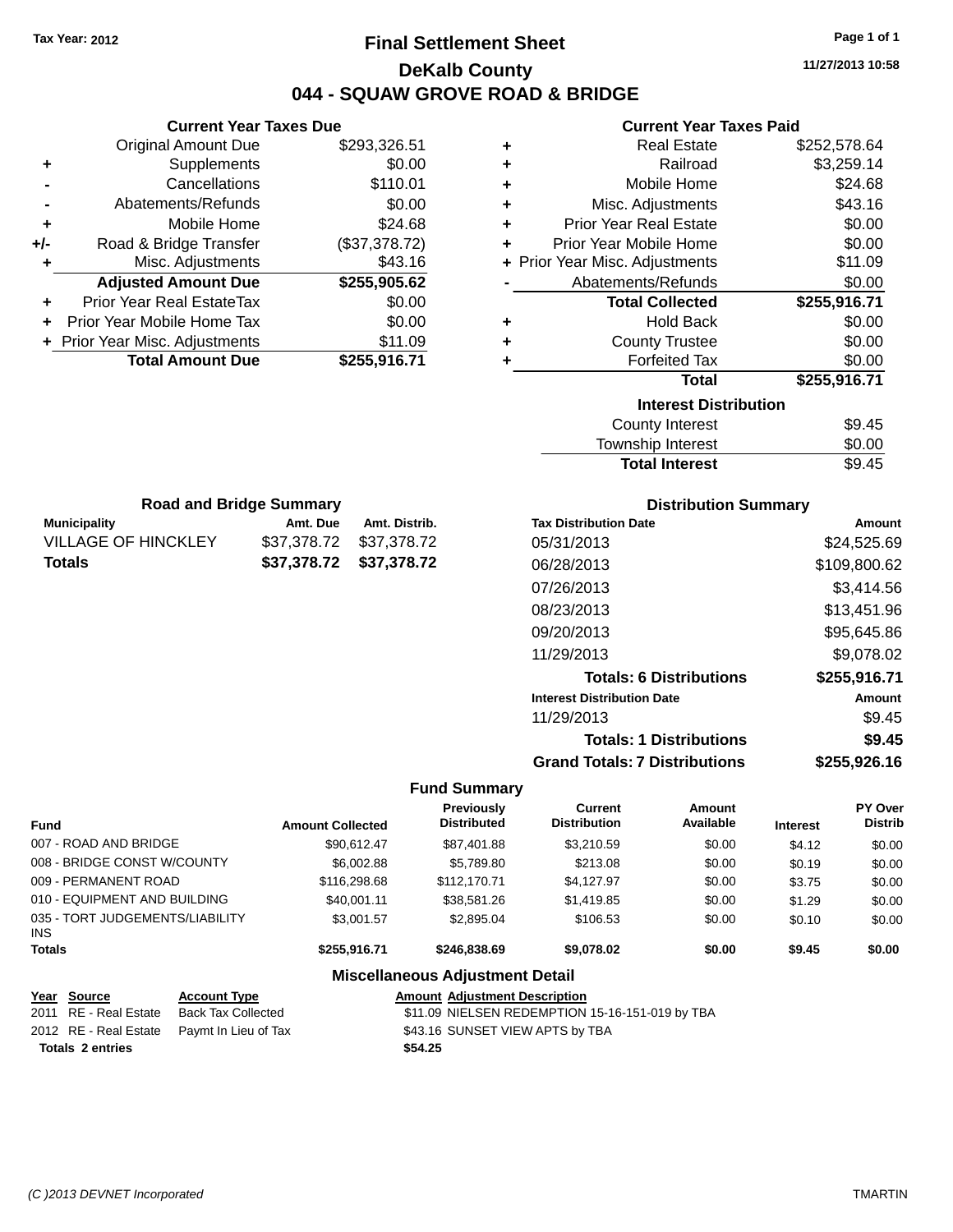## **Final Settlement Sheet Tax Year: 2012 Page 1 of 1 DeKalb County 044 - SQUAW GROVE ROAD & BRIDGE**

**11/27/2013 10:58**

#### **Current Year Taxes Paid**

|     | <b>Current Year Taxes Due</b>  |               |
|-----|--------------------------------|---------------|
|     | <b>Original Amount Due</b>     | \$293,326.51  |
| ٠   | Supplements                    | \$0.00        |
|     | Cancellations                  | \$110.01      |
|     | Abatements/Refunds             | \$0.00        |
| ٠   | Mobile Home                    | \$24.68       |
| +/- | Road & Bridge Transfer         | (\$37,378.72) |
|     | Misc. Adjustments              | \$43.16       |
|     | <b>Adjusted Amount Due</b>     | \$255,905.62  |
| ÷   | Prior Year Real EstateTax      | \$0.00        |
|     | Prior Year Mobile Home Tax     | \$0.00        |
|     | + Prior Year Misc. Adjustments | \$11.09       |
|     | <b>Total Amount Due</b>        | \$255,916.71  |
|     |                                |               |

**Municipality Amt. Due Amt. Distrib. Road and Bridge Summary**

VILLAGE OF HINCKLEY \$37,378.72 \$37,378.72 **Totals \$37,378.72 \$37,378.72**

| ٠ | <b>Real Estate</b>             | \$252,578.64 |
|---|--------------------------------|--------------|
| ٠ | Railroad                       | \$3,259.14   |
| ٠ | Mobile Home                    | \$24.68      |
| ٠ | Misc. Adjustments              | \$43.16      |
| ٠ | <b>Prior Year Real Estate</b>  | \$0.00       |
| ٠ | Prior Year Mobile Home         | \$0.00       |
|   | + Prior Year Misc. Adjustments | \$11.09      |
|   | Abatements/Refunds             | \$0.00       |
|   | <b>Total Collected</b>         | \$255,916.71 |
| ٠ | <b>Hold Back</b>               | \$0.00       |
| ٠ | <b>County Trustee</b>          | \$0.00       |
| ٠ | <b>Forfeited Tax</b>           | \$0.00       |
|   | <b>Total</b>                   | \$255,916.71 |
|   | <b>Interest Distribution</b>   |              |
|   | <b>County Interest</b>         | \$9.45       |
|   | Township Interast              | ደስ ሰስ        |

## Township Interest  $$0.00$ Total Interest \$9.45

| <b>Distribution Summary</b>          |              |
|--------------------------------------|--------------|
| <b>Tax Distribution Date</b>         | Amount       |
| 05/31/2013                           | \$24,525.69  |
| 06/28/2013                           | \$109,800.62 |
| 07/26/2013                           | \$3.414.56   |
| 08/23/2013                           | \$13,451.96  |
| 09/20/2013                           | \$95,645.86  |
| 11/29/2013                           | \$9,078.02   |
| <b>Totals: 6 Distributions</b>       | \$255,916.71 |
| <b>Interest Distribution Date</b>    | Amount       |
| 11/29/2013                           | \$9.45       |
| <b>Totals: 1 Distributions</b>       | \$9.45       |
| <b>Grand Totals: 7 Distributions</b> | \$255,926.16 |

#### **Fund Summary**

| <b>Fund</b>                                   | <b>Amount Collected</b> | <b>Previously</b><br><b>Distributed</b> | Current<br><b>Distribution</b> | Amount<br>Available | <b>Interest</b> | PY Over<br><b>Distrib</b> |
|-----------------------------------------------|-------------------------|-----------------------------------------|--------------------------------|---------------------|-----------------|---------------------------|
| 007 - ROAD AND BRIDGE                         | \$90.612.47             | \$87,401.88                             | \$3,210.59                     | \$0.00              | \$4.12          | \$0.00                    |
| 008 - BRIDGE CONST W/COUNTY                   | \$6,002.88              | \$5.789.80                              | \$213.08                       | \$0.00              | \$0.19          | \$0.00                    |
| 009 - PERMANENT ROAD                          | \$116,298,68            | \$112,170.71                            | \$4.127.97                     | \$0.00              | \$3.75          | \$0.00                    |
| 010 - EQUIPMENT AND BUILDING                  | \$40,001.11             | \$38,581.26                             | \$1,419.85                     | \$0.00              | \$1.29          | \$0.00                    |
| 035 - TORT JUDGEMENTS/LIABILITY<br><b>INS</b> | \$3,001.57              | \$2.895.04                              | \$106.53                       | \$0.00              | \$0.10          | \$0.00                    |
| <b>Totals</b>                                 | \$255,916.71            | \$246.838.69                            | \$9,078.02                     | \$0.00              | \$9.45          | \$0.00                    |

|                         | Year Source           | <b>Account Type</b>                        |         | <b>Amount Adiustment Description</b>            |
|-------------------------|-----------------------|--------------------------------------------|---------|-------------------------------------------------|
|                         | 2011 RE - Real Estate | Back Tax Collected                         |         | \$11.09 NIELSEN REDEMPTION 15-16-151-019 by TBA |
|                         |                       | 2012 RE - Real Estate Paymt In Lieu of Tax |         | \$43.16 SUNSET VIEW APTS by TBA                 |
| <b>Totals 2 entries</b> |                       |                                            | \$54.25 |                                                 |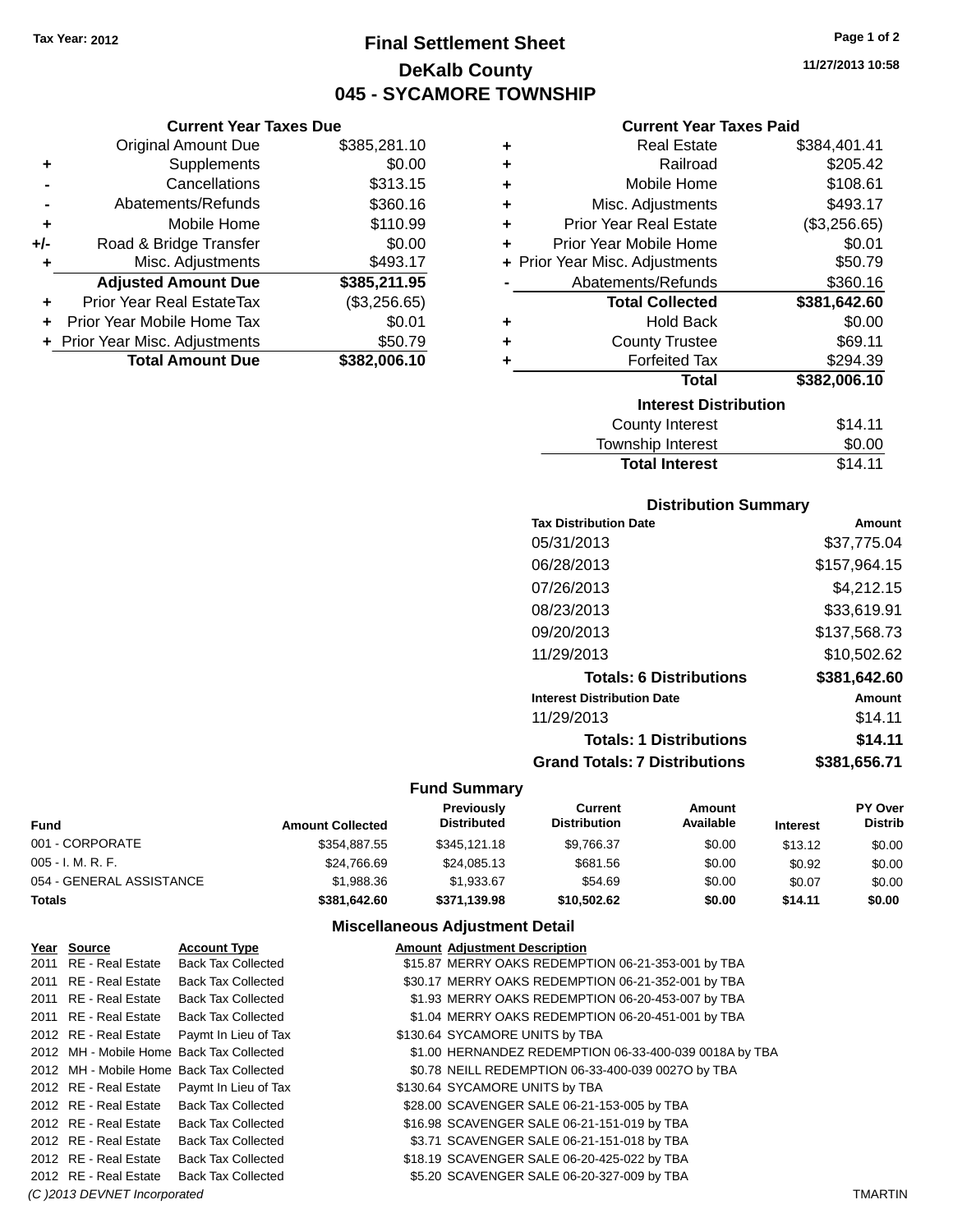**Current Year Taxes Due** Original Amount Due \$385,281.10

**Adjusted Amount Due \$385,211.95**

**Total Amount Due \$382,006.10**

**+** Supplements \$0.00 **-** Cancellations \$313.15 **-** Abatements/Refunds \$360.16 **+** Mobile Home \$110.99 **+/-** Road & Bridge Transfer \$0.00<br>**+** Misc. Adjustments \$493.17

**+** Prior Year Real EstateTax (\$3,256.65) **+** Prior Year Mobile Home Tax \$0.01 **+** Prior Year Misc. Adjustments \$50.79

**+** Misc. Adjustments

## **Final Settlement Sheet Tax Year: 2012 Page 1 of 2 DeKalb County 045 - SYCAMORE TOWNSHIP**

**Current Year Taxes Paid**

|   | Gurient Tear Taxes Falu        |              |
|---|--------------------------------|--------------|
| ٠ | <b>Real Estate</b>             | \$384,401.41 |
| ٠ | Railroad                       | \$205.42     |
| ÷ | Mobile Home                    | \$108.61     |
| ٠ | Misc. Adjustments              | \$493.17     |
| ٠ | <b>Prior Year Real Estate</b>  | (\$3,256.65) |
| ÷ | Prior Year Mobile Home         | \$0.01       |
|   | + Prior Year Misc. Adjustments | \$50.79      |
|   | Abatements/Refunds             | \$360.16     |
|   | <b>Total Collected</b>         | \$381,642.60 |
| ٠ | <b>Hold Back</b>               | \$0.00       |
| ٠ | <b>County Trustee</b>          | \$69.11      |
| ٠ | <b>Forfeited Tax</b>           | \$294.39     |
|   | <b>Total</b>                   |              |
|   |                                | \$382,006.10 |
|   | <b>Interest Distribution</b>   |              |
|   | <b>County Interest</b>         | \$14.11      |

## **Distribution Summary**

Total Interest \$14.11

| <b>Tax Distribution Date</b>         | Amount       |
|--------------------------------------|--------------|
| 05/31/2013                           | \$37.775.04  |
| 06/28/2013                           | \$157,964.15 |
| 07/26/2013                           | \$4,212.15   |
| 08/23/2013                           | \$33,619.91  |
| 09/20/2013                           | \$137,568.73 |
| 11/29/2013                           | \$10,502.62  |
| <b>Totals: 6 Distributions</b>       | \$381,642.60 |
| <b>Interest Distribution Date</b>    | Amount       |
| 11/29/2013                           | \$14.11      |
| <b>Totals: 1 Distributions</b>       | \$14.11      |
| <b>Grand Totals: 7 Distributions</b> | \$381.656.71 |

#### **Fund Summary**

| Fund                     | <b>Amount Collected</b> | <b>Previously</b><br><b>Distributed</b> | Current<br><b>Distribution</b> | Amount<br>Available | <b>Interest</b> | PY Over<br><b>Distrib</b> |
|--------------------------|-------------------------|-----------------------------------------|--------------------------------|---------------------|-----------------|---------------------------|
| 001 - CORPORATE          | \$354.887.55            | \$345,121.18                            | \$9.766.37                     | \$0.00              | \$13.12         | \$0.00                    |
| 005 - I. M. R. F.        | \$24,766.69             | \$24,085.13                             | \$681.56                       | \$0.00              | \$0.92          | \$0.00                    |
| 054 - GENERAL ASSISTANCE | \$1,988.36              | \$1.933.67                              | \$54.69                        | \$0.00              | \$0.07          | \$0.00                    |
| Totals                   | \$381.642.60            | \$371.139.98                            | \$10.502.62                    | \$0.00              | \$14.11         | \$0.00                    |

### **Miscellaneous Adjustment Detail**

| Year Source           | <b>Account Type</b>                        | <b>Amount Adjustment Description</b>                   |
|-----------------------|--------------------------------------------|--------------------------------------------------------|
| 2011 RE - Real Estate | <b>Back Tax Collected</b>                  | \$15.87 MERRY OAKS REDEMPTION 06-21-353-001 by TBA     |
| 2011 RE - Real Estate | <b>Back Tax Collected</b>                  | \$30.17 MERRY OAKS REDEMPTION 06-21-352-001 by TBA     |
| 2011 RE - Real Estate | <b>Back Tax Collected</b>                  | \$1.93 MERRY OAKS REDEMPTION 06-20-453-007 by TBA      |
| 2011 RE - Real Estate | <b>Back Tax Collected</b>                  | \$1.04 MERRY OAKS REDEMPTION 06-20-451-001 by TBA      |
|                       | 2012 RE - Real Estate Paymt In Lieu of Tax | \$130.64 SYCAMORE UNITS by TBA                         |
|                       | 2012 MH - Mobile Home Back Tax Collected   | \$1.00 HERNANDEZ REDEMPTION 06-33-400-039 0018A by TBA |
|                       | 2012 MH - Mobile Home Back Tax Collected   | \$0.78 NEILL REDEMPTION 06-33-400-039 0027O by TBA     |
|                       | 2012 RE - Real Estate Paymt In Lieu of Tax | \$130.64 SYCAMORE UNITS by TBA                         |
|                       | 2012 RE - Real Estate Back Tax Collected   | \$28.00 SCAVENGER SALE 06-21-153-005 by TBA            |
| 2012 RE - Real Estate | <b>Back Tax Collected</b>                  | \$16.98 SCAVENGER SALE 06-21-151-019 by TBA            |
| 2012 RE - Real Estate | <b>Back Tax Collected</b>                  | \$3.71 SCAVENGER SALE 06-21-151-018 by TBA             |
| 2012 RE - Real Estate | <b>Back Tax Collected</b>                  | \$18.19 SCAVENGER SALE 06-20-425-022 by TBA            |
| 2012 RE - Real Estate | <b>Back Tax Collected</b>                  | \$5.20 SCAVENGER SALE 06-20-327-009 by TBA             |
|                       |                                            |                                                        |

*(C )2013 DEVNET Incorporated* TMARTIN

**11/27/2013 10:58**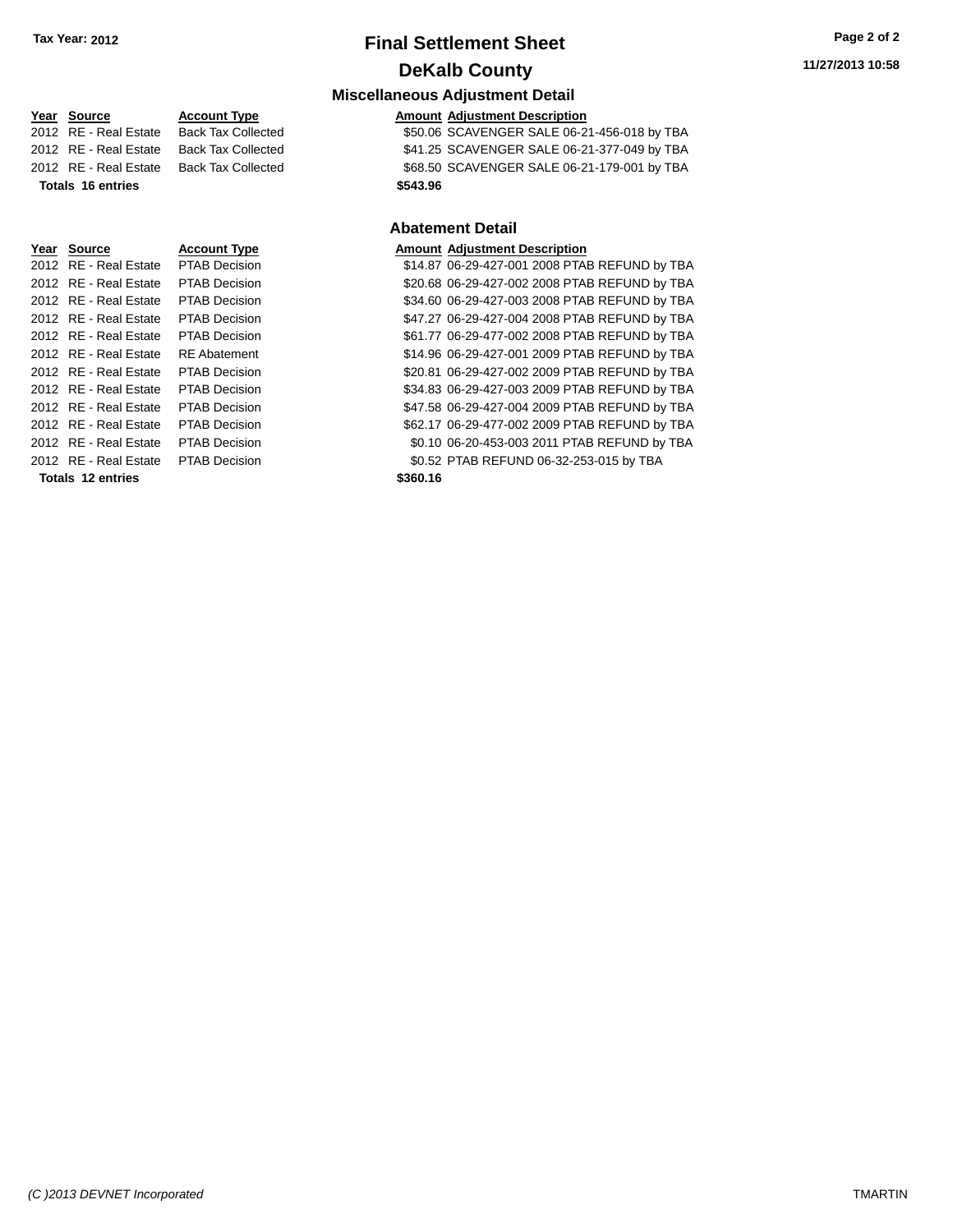## **Final Settlement Sheet Tax Year: 2012 Page 2 of 2 DeKalb County**

#### **Miscellaneous Adjustment Detail**

#### **Year** Source **Account Type A** Account Adjustment Description

2012 RE - Real Estate Back Tax Collected \$50.06 SCAVENGER SALE 06-21-456-018 by TBA 2012 RE - Real Estate Back Tax Collected \$41.25 SCAVENGER SALE 06-21-377-049 by TBA 2012 RE - Real Estate Back Tax Collected \$68.50 SCAVENGER SALE 06-21-179-001 by TBA **Totals 16 entries \$543.96**

#### **Abatement Detail**

| Year Source           | <b>Account Type</b>  | <b>Amount Adjustment Description</b>          |
|-----------------------|----------------------|-----------------------------------------------|
| 2012 RE - Real Estate | <b>PTAB Decision</b> | \$14.87 06-29-427-001 2008 PTAB REFUND by TBA |
| 2012 RE - Real Estate | <b>PTAB Decision</b> | \$20.68 06-29-427-002 2008 PTAB REFUND by TBA |
| 2012 RE - Real Estate | <b>PTAB Decision</b> | \$34.60 06-29-427-003 2008 PTAB REFUND by TBA |
| 2012 RE - Real Estate | PTAB Decision        | \$47.27 06-29-427-004 2008 PTAB REFUND by TBA |
| 2012 RE - Real Estate | <b>PTAB Decision</b> | \$61.77 06-29-477-002 2008 PTAB REFUND by TBA |
| 2012 RE - Real Estate | <b>RE</b> Abatement  | \$14.96 06-29-427-001 2009 PTAB REFUND by TBA |
| 2012 RE - Real Estate | <b>PTAB Decision</b> | \$20.81 06-29-427-002 2009 PTAB REFUND by TBA |
| 2012 RE - Real Estate | <b>PTAB Decision</b> | \$34.83 06-29-427-003 2009 PTAB REFUND by TBA |
| 2012 RE - Real Estate | PTAB Decision        | \$47.58 06-29-427-004 2009 PTAB REFUND by TBA |
| 2012 RE - Real Estate | PTAB Decision        | \$62.17 06-29-477-002 2009 PTAB REFUND by TBA |
| 2012 RE - Real Estate | PTAB Decision        | \$0.10 06-20-453-003 2011 PTAB REFUND by TBA  |

2012 RE - Real Estate PTAB Decision \$0.52 PTAB REFUND 06-32-253-015 by TBA

**Totals 12 entries \$360.16**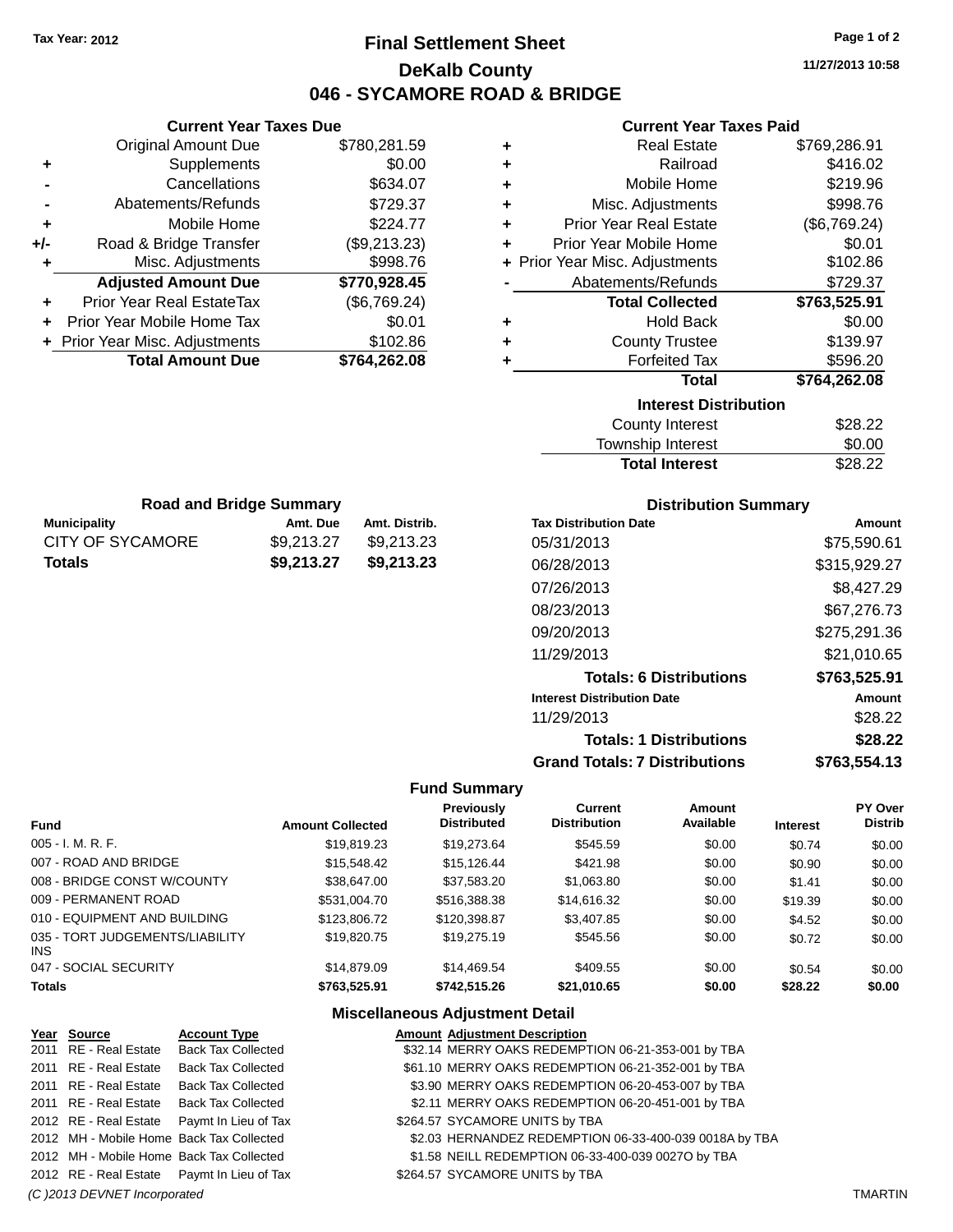## **Final Settlement Sheet Tax Year: 2012 Page 1 of 2 DeKalb County 046 - SYCAMORE ROAD & BRIDGE**

**11/27/2013 10:58**

## **Current Year Taxes Paid**

|       |   | GUITEIIL TEAL TAXES FAIU       |              |
|-------|---|--------------------------------|--------------|
| 1.59  | ٠ | <b>Real Estate</b>             | \$769,286.91 |
| 0.00  | ٠ | Railroad                       | \$416.02     |
| 4.07  | ٠ | Mobile Home                    | \$219.96     |
| 9.37  | ÷ | Misc. Adjustments              | \$998.76     |
| 4.77  | ٠ | <b>Prior Year Real Estate</b>  | (\$6,769.24) |
| 3.23) | ÷ | Prior Year Mobile Home         | \$0.01       |
| 8.76  |   | + Prior Year Misc. Adjustments | \$102.86     |
| 8.45  |   | Abatements/Refunds             | \$729.37     |
| 9.24) |   | <b>Total Collected</b>         | \$763,525.91 |
| 0.01  | ٠ | <b>Hold Back</b>               | \$0.00       |
| 2.86  | ٠ | <b>County Trustee</b>          | \$139.97     |
| 2.08  | ٠ | <b>Forfeited Tax</b>           | \$596.20     |
|       |   | <b>Total</b>                   | \$764,262.08 |
|       |   | <b>Interest Distribution</b>   |              |
|       |   | <b>County Interest</b>         | \$28.22      |
|       |   | <b>Township Interest</b>       | \$0.00       |
|       |   | <b>Total Interest</b>          | \$28.22      |

|     | <b>Current Year Taxes Due</b>  |              |
|-----|--------------------------------|--------------|
|     | <b>Original Amount Due</b>     | \$780,281.59 |
| ٠   | Supplements                    | \$0.00       |
|     | Cancellations                  | \$634.07     |
|     | Abatements/Refunds             | \$729.37     |
| ٠   | Mobile Home                    | \$224.77     |
| +/- | Road & Bridge Transfer         | (\$9,213.23) |
| ٠   | Misc. Adjustments              | \$998.76     |
|     | <b>Adjusted Amount Due</b>     | \$770,928.45 |
| ٠   | Prior Year Real EstateTax      | (\$6,769.24) |
|     | Prior Year Mobile Home Tax     | \$0.01       |
|     | + Prior Year Misc. Adjustments | \$102.86     |
|     | <b>Total Amount Due</b>        | \$764,262.08 |

**Road and Bridge Summary**

**Totals \$9,213.27 \$9,213.23**

#### **Municipality Amt. Due Amt. Distrib.** CITY OF SYCAMORE \$9,213.27 \$9,213.23 **Distribution Summary**

| <b>Tax Distribution Date</b>         | Amount       |
|--------------------------------------|--------------|
| 05/31/2013                           | \$75,590.61  |
| 06/28/2013                           | \$315,929.27 |
| 07/26/2013                           | \$8,427.29   |
| 08/23/2013                           | \$67,276.73  |
| 09/20/2013                           | \$275,291.36 |
| 11/29/2013                           | \$21,010.65  |
| <b>Totals: 6 Distributions</b>       | \$763,525.91 |
| <b>Interest Distribution Date</b>    | Amount       |
| 11/29/2013                           | \$28.22      |
| <b>Totals: 1 Distributions</b>       | \$28.22      |
| <b>Grand Totals: 7 Distributions</b> | \$763,554.13 |

#### **Fund Summary**

| <b>Fund</b>                             | <b>Amount Collected</b> | Previously<br><b>Distributed</b> | Current<br><b>Distribution</b> | Amount<br>Available | <b>Interest</b> | <b>PY Over</b><br><b>Distrib</b> |
|-----------------------------------------|-------------------------|----------------------------------|--------------------------------|---------------------|-----------------|----------------------------------|
| $005 - I. M. R. F.$                     | \$19,819.23             | \$19,273.64                      | \$545.59                       | \$0.00              | \$0.74          | \$0.00                           |
| 007 - ROAD AND BRIDGE                   | \$15,548.42             | \$15,126.44                      | \$421.98                       | \$0.00              | \$0.90          | \$0.00                           |
| 008 - BRIDGE CONST W/COUNTY             | \$38,647,00             | \$37,583.20                      | \$1,063.80                     | \$0.00              | \$1.41          | \$0.00                           |
| 009 - PERMANENT ROAD                    | \$531,004.70            | \$516,388.38                     | \$14,616.32                    | \$0.00              | \$19.39         | \$0.00                           |
| 010 - EQUIPMENT AND BUILDING            | \$123,806.72            | \$120,398.87                     | \$3,407.85                     | \$0.00              | \$4.52          | \$0.00                           |
| 035 - TORT JUDGEMENTS/LIABILITY<br>INS. | \$19,820.75             | \$19,275.19                      | \$545.56                       | \$0.00              | \$0.72          | \$0.00                           |
| 047 - SOCIAL SECURITY                   | \$14,879.09             | \$14,469.54                      | \$409.55                       | \$0.00              | \$0.54          | \$0.00                           |
| <b>Totals</b>                           | \$763,525.91            | \$742,515.26                     | \$21,010.65                    | \$0.00              | \$28.22         | \$0.00                           |

| Year Source                  | <b>Account Type</b>                        | <b>Amount Adjustment Description</b>                   |                |
|------------------------------|--------------------------------------------|--------------------------------------------------------|----------------|
| 2011 RE - Real Estate        | <b>Back Tax Collected</b>                  | \$32.14 MERRY OAKS REDEMPTION 06-21-353-001 by TBA     |                |
| 2011 RE - Real Estate        | Back Tax Collected                         | \$61.10 MERRY OAKS REDEMPTION 06-21-352-001 by TBA     |                |
| 2011 RE - Real Estate        | Back Tax Collected                         | \$3.90 MERRY OAKS REDEMPTION 06-20-453-007 by TBA      |                |
| 2011 RE - Real Estate        | Back Tax Collected                         | \$2.11 MERRY OAKS REDEMPTION 06-20-451-001 by TBA      |                |
|                              | 2012 RE - Real Estate Paymt In Lieu of Tax | \$264.57 SYCAMORE UNITS by TBA                         |                |
|                              | 2012 MH - Mobile Home Back Tax Collected   | \$2.03 HERNANDEZ REDEMPTION 06-33-400-039 0018A by TBA |                |
|                              | 2012 MH - Mobile Home Back Tax Collected   | \$1.58 NEILL REDEMPTION 06-33-400-039 0027O by TBA     |                |
|                              | 2012 RE - Real Estate Paymt In Lieu of Tax | \$264.57 SYCAMORE UNITS by TBA                         |                |
| (C) 2013 DEVNET Incorporated |                                            |                                                        | <b>TMARTIN</b> |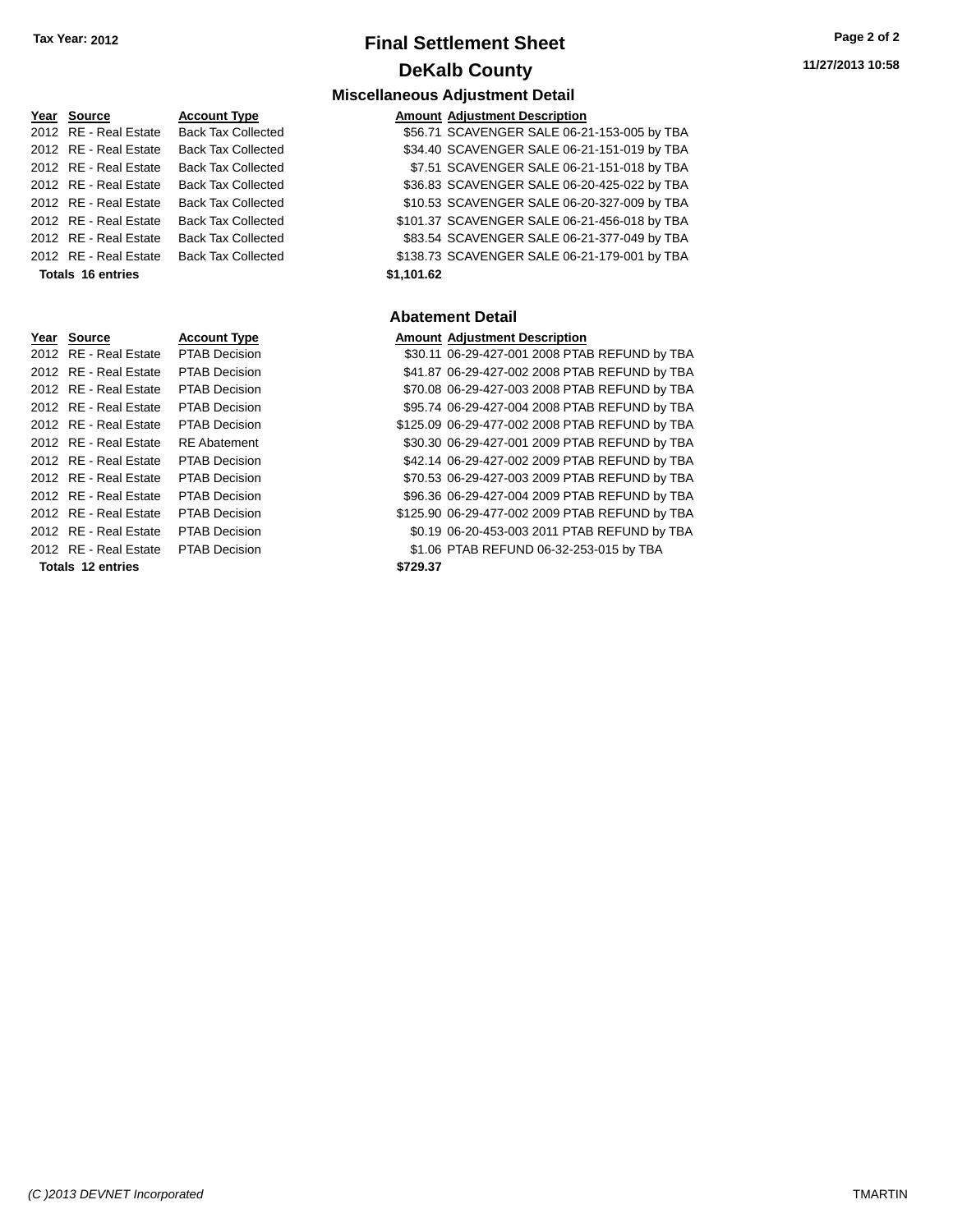## **Final Settlement Sheet Tax Year: 2012 Page 2 of 2 DeKalb County**

# **11/27/2013 10:58**

## **Miscellaneous Adjustment Detail**

| Year Source           | <b>Account Type</b>       |            | <b>Amount Adjustment Description</b>         |
|-----------------------|---------------------------|------------|----------------------------------------------|
| 2012 RE - Real Estate | <b>Back Tax Collected</b> |            | \$56.71 SCAVENGER SALE 06-21-153-005 by TBA  |
| 2012 RE - Real Estate | <b>Back Tax Collected</b> |            | \$34.40 SCAVENGER SALE 06-21-151-019 by TBA  |
| 2012 RE - Real Estate | <b>Back Tax Collected</b> |            | \$7.51 SCAVENGER SALE 06-21-151-018 by TBA   |
| 2012 RE - Real Estate | <b>Back Tax Collected</b> |            | \$36.83 SCAVENGER SALE 06-20-425-022 by TBA  |
| 2012 RE - Real Estate | <b>Back Tax Collected</b> |            | \$10.53 SCAVENGER SALE 06-20-327-009 by TBA  |
| 2012 RE - Real Estate | <b>Back Tax Collected</b> |            | \$101.37 SCAVENGER SALE 06-21-456-018 by TBA |
| 2012 RE - Real Estate | <b>Back Tax Collected</b> |            | \$83.54 SCAVENGER SALE 06-21-377-049 by TBA  |
| 2012 RE - Real Estate | <b>Back Tax Collected</b> |            | \$138.73 SCAVENGER SALE 06-21-179-001 by TBA |
| Totals 16 entries     |                           | \$1.101.62 |                                              |

#### **Abatement Detail**

2012 Becision 530.11 06-29-427-001 2008 PTAB REFUND by TBA 2012 B Decision 6-2012 Real Estate PTAB REFUND by TBA 021 Recision \$70.08 06-29-427-003 2008 PTAB REFUND by TBA 2012 By - Recision \$95.74 06-29-427-004 2008 PTAB REFUND by TBA 2012 B Decision \$125.09 06-29-477-002 2008 PTAB REFUND by TBA batement **\$30.30 06-29-427-001 2009 PTAB REFUND** by TBA 2012 B Decision 642.14 06-29-427-002 2009 PTAB REFUND by TBA 2012 B Decision 6-2012 Real Estate PTAB REFUND by TBA 2012 B Decision 6-2012 Real Estate PTAB REFUND by TBA Decision  $$125.90\ 06-29-477-002\ 2009\ PTAB$  REFUND by TBA 2012 B Decision \$0.19 06-20-453-003 2011 PTAB REFUND by TBA Decision \$1.06 PTAB REFUND 06-32-253-015 by TBA

| Totals 16 entries |                       |                      | \$1,101.62                           |
|-------------------|-----------------------|----------------------|--------------------------------------|
|                   |                       |                      | <b>Abatement Detail</b>              |
| Year              | Source                | <b>Account Type</b>  | <b>Amount Adjustment Description</b> |
|                   | 2012 RE - Real Estate | <b>PTAB Decision</b> | \$30.11 06-29-427-001 2008 PTA       |
|                   | 2012 RE - Real Estate | <b>PTAB Decision</b> | \$41.87 06-29-427-002 2008 PTA       |
|                   | 2012 RE - Real Estate | <b>PTAB Decision</b> | \$70.08 06-29-427-003 2008 PTA       |
|                   | 2012 RE - Real Estate | <b>PTAB Decision</b> | \$95.74 06-29-427-004 2008 PTA       |
|                   | 2012 RE - Real Estate | <b>PTAB Decision</b> | \$125.09 06-29-477-002 2008 PTA      |
|                   | 2012 RE - Real Estate | <b>RE</b> Abatement  | \$30.30 06-29-427-001 2009 PTA       |
|                   | 2012 RE - Real Estate | <b>PTAB Decision</b> | \$42.14 06-29-427-002 2009 PTA       |
|                   | 2012 RE - Real Estate | <b>PTAB Decision</b> | \$70.53 06-29-427-003 2009 PTA       |
|                   | 2012 RE - Real Estate | <b>PTAB Decision</b> | \$96.36 06-29-427-004 2009 PTA       |
|                   | 2012 RE - Real Estate | <b>PTAB Decision</b> | \$125.90 06-29-477-002 2009 PTA      |
|                   | 2012 RE - Real Estate | <b>PTAB Decision</b> | \$0.19 06-20-453-003 2011 PTA        |
|                   | 2012 RE - Real Estate | <b>PTAB Decision</b> | \$1.06 PTAB REFUND 06-32-25          |
|                   |                       |                      |                                      |

**Totals 12 entries \$729.37**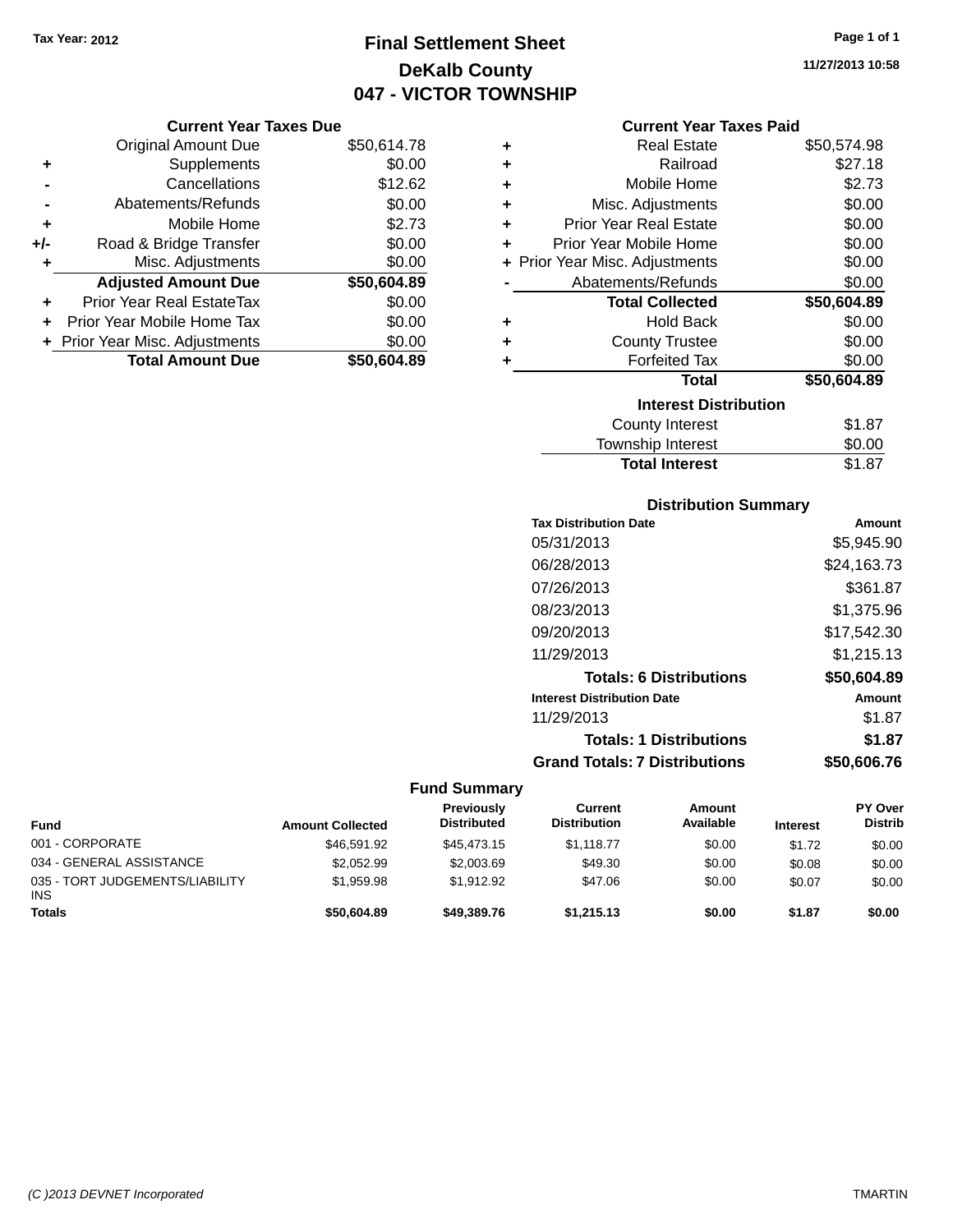## **Final Settlement Sheet Tax Year: 2012 Page 1 of 1 DeKalb County 047 - VICTOR TOWNSHIP**

## **Current Year Taxes Due**

|       | <b>Original Amount Due</b>       | \$50,614.78 |
|-------|----------------------------------|-------------|
| ٠     | Supplements                      | \$0.00      |
|       | Cancellations                    | \$12.62     |
|       | Abatements/Refunds               | \$0.00      |
| ٠     | Mobile Home                      | \$2.73      |
| $+/-$ | Road & Bridge Transfer           | \$0.00      |
| ٠     | Misc. Adjustments                | \$0.00      |
|       | <b>Adjusted Amount Due</b>       | \$50,604.89 |
| ÷     | <b>Prior Year Real EstateTax</b> | \$0.00      |
|       | Prior Year Mobile Home Tax       | \$0.00      |
|       | + Prior Year Misc. Adjustments   | \$0.00      |
|       | <b>Total Amount Due</b>          | \$50.604.89 |

|   | <b>Current Year Taxes Paid</b> |             |
|---|--------------------------------|-------------|
| ÷ | <b>Real Estate</b>             | \$50,574.98 |
| ÷ | Railroad                       | \$27.18     |
| ÷ | Mobile Home                    | \$2.73      |
| ÷ | Misc. Adjustments              | \$0.00      |
| ÷ | <b>Prior Year Real Estate</b>  | \$0.00      |
| ٠ | Prior Year Mobile Home         | \$0.00      |
| ٠ | Prior Year Misc. Adjustments   | \$0.00      |
|   | Abatements/Refunds             | \$0.00      |
|   | <b>Total Collected</b>         | \$50,604.89 |
| ٠ | <b>Hold Back</b>               | \$0.00      |
| ٠ | <b>County Trustee</b>          | \$0.00      |
| ٠ | <b>Forfeited Tax</b>           | \$0.00      |
|   | <b>Total</b>                   | \$50,604.89 |
|   | <b>Interest Distribution</b>   |             |
|   | County Interest                | \$1.87      |

| <b>Total Interest</b> | \$1.87 |
|-----------------------|--------|
| Township Interest     | \$0.00 |
| County Interest       | \$1.87 |

## **Distribution Summary**

| Amount      |
|-------------|
| \$5,945.90  |
| \$24,163.73 |
| \$361.87    |
| \$1,375.96  |
| \$17,542.30 |
| \$1,215.13  |
| \$50,604.89 |
| Amount      |
| \$1.87      |
| \$1.87      |
| \$50,606.76 |
|             |

| <b>Fund</b>                                   | <b>Amount Collected</b> | Previously<br><b>Distributed</b> | Current<br><b>Distribution</b> | Amount<br>Available | <b>Interest</b> | PY Over<br><b>Distrib</b> |
|-----------------------------------------------|-------------------------|----------------------------------|--------------------------------|---------------------|-----------------|---------------------------|
| 001 - CORPORATE                               | \$46,591.92             | \$45,473.15                      | \$1.118.77                     | \$0.00              | \$1.72          | \$0.00                    |
| 034 - GENERAL ASSISTANCE                      | \$2,052.99              | \$2,003.69                       | \$49.30                        | \$0.00              | \$0.08          | \$0.00                    |
| 035 - TORT JUDGEMENTS/LIABILITY<br><b>INS</b> | \$1.959.98              | \$1.912.92                       | \$47.06                        | \$0.00              | \$0.07          | \$0.00                    |
| <b>Totals</b>                                 | \$50,604.89             | \$49,389.76                      | \$1,215.13                     | \$0.00              | \$1.87          | \$0.00                    |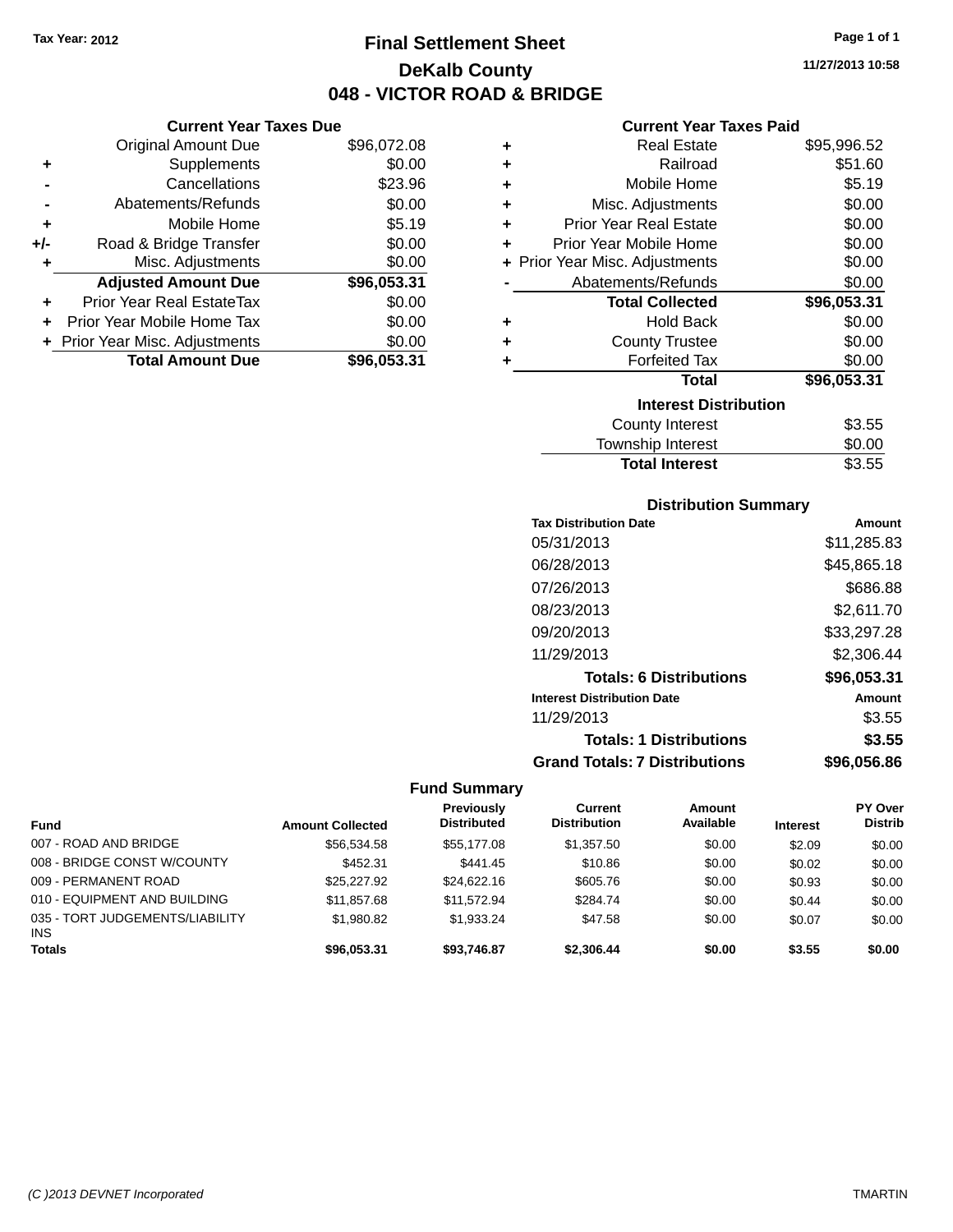## **Final Settlement Sheet Tax Year: 2012 Page 1 of 1 DeKalb County 048 - VICTOR ROAD & BRIDGE**

**11/27/2013 10:58**

## **Current Year Taxes Paid**

|     | <b>Current Year Taxes Due</b>  |             |  |
|-----|--------------------------------|-------------|--|
|     | <b>Original Amount Due</b>     | \$96,072.08 |  |
| ٠   | Supplements                    | \$0.00      |  |
|     | Cancellations                  | \$23.96     |  |
|     | Abatements/Refunds             | \$0.00      |  |
| ٠   | Mobile Home                    | \$5.19      |  |
| +/- | Road & Bridge Transfer         | \$0.00      |  |
| ٠   | Misc. Adjustments              | \$0.00      |  |
|     | <b>Adjusted Amount Due</b>     | \$96,053.31 |  |
| ٠   | Prior Year Real EstateTax      | \$0.00      |  |
| ÷   | Prior Year Mobile Home Tax     | \$0.00      |  |
|     | + Prior Year Misc. Adjustments | \$0.00      |  |
|     | <b>Total Amount Due</b>        | \$96,053.31 |  |
|     |                                |             |  |

| ٠ | Real Estate                    | \$95,996.52 |
|---|--------------------------------|-------------|
| ٠ | Railroad                       | \$51.60     |
| ÷ | Mobile Home                    | \$5.19      |
| ٠ | Misc. Adjustments              | \$0.00      |
| ٠ | Prior Year Real Estate         | \$0.00      |
| ٠ | Prior Year Mobile Home         | \$0.00      |
|   | + Prior Year Misc. Adjustments | \$0.00      |
|   | Abatements/Refunds             | \$0.00      |
|   | <b>Total Collected</b>         | \$96,053.31 |
| ٠ | <b>Hold Back</b>               | \$0.00      |
| ٠ | <b>County Trustee</b>          | \$0.00      |
| ٠ | <b>Forfeited Tax</b>           | \$0.00      |
|   | <b>Total</b>                   | \$96,053.31 |
|   | <b>Interest Distribution</b>   |             |
|   | County Interest                | \$3.55      |
|   | <b>Township Interest</b>       | \$0.00      |
|   | <b>Total Interest</b>          | \$3.55      |

## **Distribution Summary**

| <b>Tax Distribution Date</b>         | Amount      |
|--------------------------------------|-------------|
| 05/31/2013                           | \$11,285.83 |
| 06/28/2013                           | \$45,865.18 |
| 07/26/2013                           | \$686.88    |
| 08/23/2013                           | \$2,611.70  |
| 09/20/2013                           | \$33,297.28 |
| 11/29/2013                           | \$2,306.44  |
| <b>Totals: 6 Distributions</b>       | \$96,053.31 |
| <b>Interest Distribution Date</b>    | Amount      |
| 11/29/2013                           | \$3.55      |
| <b>Totals: 1 Distributions</b>       | \$3.55      |
| <b>Grand Totals: 7 Distributions</b> | \$96.056.86 |

|                                               |                         | <b>Previously</b>  | Current             | Amount    |                 | <b>PY Over</b> |
|-----------------------------------------------|-------------------------|--------------------|---------------------|-----------|-----------------|----------------|
| Fund                                          | <b>Amount Collected</b> | <b>Distributed</b> | <b>Distribution</b> | Available | <b>Interest</b> | <b>Distrib</b> |
| 007 - ROAD AND BRIDGE                         | \$56,534.58             | \$55,177,08        | \$1,357.50          | \$0.00    | \$2.09          | \$0.00         |
| 008 - BRIDGE CONST W/COUNTY                   | \$452.31                | \$441.45           | \$10.86             | \$0.00    | \$0.02          | \$0.00         |
| 009 - PERMANENT ROAD                          | \$25,227.92             | \$24,622.16        | \$605.76            | \$0.00    | \$0.93          | \$0.00         |
| 010 - EQUIPMENT AND BUILDING                  | \$11.857.68             | \$11.572.94        | \$284.74            | \$0.00    | \$0.44          | \$0.00         |
| 035 - TORT JUDGEMENTS/LIABILITY<br><b>INS</b> | \$1,980.82              | \$1.933.24         | \$47.58             | \$0.00    | \$0.07          | \$0.00         |
| <b>Totals</b>                                 | \$96,053,31             | \$93,746.87        | \$2.306.44          | \$0.00    | \$3.55          | \$0.00         |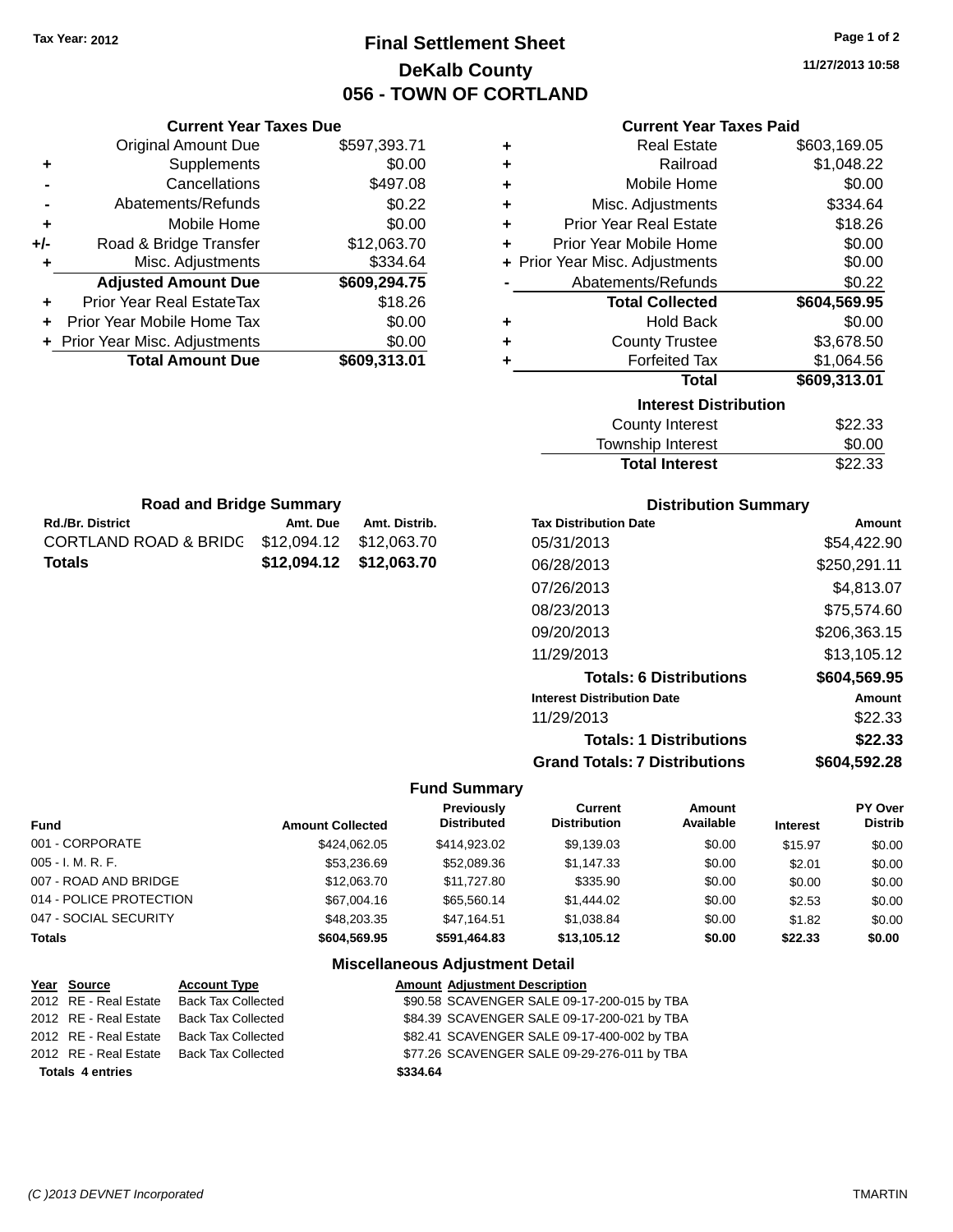## **Final Settlement Sheet Tax Year: 2012 Page 1 of 2 DeKalb County 056 - TOWN OF CORTLAND**

**11/27/2013 10:58**

| ٠ | <b>Real Estate</b>             | \$603,169.05 |
|---|--------------------------------|--------------|
| ÷ | Railroad                       | \$1,048.22   |
| ÷ | Mobile Home                    | \$0.00       |
| ÷ | Misc. Adjustments              | \$334.64     |
| ÷ | <b>Prior Year Real Estate</b>  | \$18.26      |
| ÷ | Prior Year Mobile Home         | \$0.00       |
|   | + Prior Year Misc. Adjustments | \$0.00       |
|   | Abatements/Refunds             | \$0.22       |
|   | <b>Total Collected</b>         | \$604,569.95 |
| ÷ | <b>Hold Back</b>               | \$0.00       |
| ÷ | <b>County Trustee</b>          | \$3,678.50   |
| ÷ | <b>Forfeited Tax</b>           | \$1,064.56   |
|   | Total                          | \$609,313.01 |
|   | <b>Interest Distribution</b>   |              |
|   | <b>County Interest</b>         | \$22.33      |
|   | <b>Township Interest</b>       | \$0.00       |

| County Interest          | \$22.33 |
|--------------------------|---------|
| <b>Township Interest</b> | \$0.00  |
| <b>Total Interest</b>    | \$22.33 |
|                          |         |

| <b>Road and Bridge Summary</b>                |                         |               |  |
|-----------------------------------------------|-------------------------|---------------|--|
| <b>Rd./Br. District</b>                       | Amt. Due                | Amt. Distrib. |  |
| CORTLAND ROAD & BRIDC \$12,094.12 \$12,063.70 |                         |               |  |
| <b>Totals</b>                                 | \$12,094.12 \$12,063.70 |               |  |

**Current Year Taxes Due** Original Amount Due \$597,393.71

**Adjusted Amount Due \$609,294.75**

**Total Amount Due \$609,313.01**

**+** Supplements \$0.00 **-** Cancellations \$497.08 **-** Abatements/Refunds \$0.22 **+** Mobile Home \$0.00 **+/-** Road & Bridge Transfer \$12,063.70 **+** Misc. Adjustments \$334.64

**+** Prior Year Real EstateTax \$18.26 **+** Prior Year Mobile Home Tax \$0.00 **+ Prior Year Misc. Adjustments**  $$0.00$ 

## **Distribution Summary**

| <b>Tax Distribution Date</b>         | Amount       |
|--------------------------------------|--------------|
| 05/31/2013                           | \$54.422.90  |
| 06/28/2013                           | \$250,291.11 |
| 07/26/2013                           | \$4,813.07   |
| 08/23/2013                           | \$75,574.60  |
| 09/20/2013                           | \$206,363.15 |
| 11/29/2013                           | \$13,105.12  |
| <b>Totals: 6 Distributions</b>       | \$604,569.95 |
| <b>Interest Distribution Date</b>    | Amount       |
| 11/29/2013                           | \$22.33      |
| <b>Totals: 1 Distributions</b>       | \$22.33      |
| <b>Grand Totals: 7 Distributions</b> | \$604,592.28 |

#### **Fund Summary**

| <b>Fund</b>             | <b>Amount Collected</b> | <b>Previously</b><br><b>Distributed</b> | Current<br><b>Distribution</b> | Amount<br>Available | <b>Interest</b> | PY Over<br><b>Distrib</b> |
|-------------------------|-------------------------|-----------------------------------------|--------------------------------|---------------------|-----------------|---------------------------|
| 001 - CORPORATE         | \$424.062.05            | \$414,923,02                            | \$9,139.03                     | \$0.00              | \$15.97         | \$0.00                    |
| $005 - I. M. R. F.$     | \$53,236.69             | \$52,089.36                             | \$1.147.33                     | \$0.00              | \$2.01          | \$0.00                    |
| 007 - ROAD AND BRIDGE   | \$12,063,70             | \$11,727.80                             | \$335.90                       | \$0.00              | \$0.00          | \$0.00                    |
| 014 - POLICE PROTECTION | \$67,004.16             | \$65,560,14                             | \$1,444.02                     | \$0.00              | \$2.53          | \$0.00                    |
| 047 - SOCIAL SECURITY   | \$48,203,35             | \$47.164.51                             | \$1.038.84                     | \$0.00              | \$1.82          | \$0.00                    |
| <b>Totals</b>           | \$604.569.95            | \$591.464.83                            | \$13.105.12                    | \$0.00              | \$22.33         | \$0.00                    |

| \$90.58 SCAVENGER SALE 09-17-200-015 by TBA<br><b>Back Tax Collected</b><br>2012 RE - Real Estate<br>\$84.39 SCAVENGER SALE 09-17-200-021 by TBA<br><b>Back Tax Collected</b><br>2012 RE - Real Estate<br>\$82.41 SCAVENGER SALE 09-17-400-002 by TBA<br>2012 RE - Real Estate<br><b>Back Tax Collected</b><br>\$77.26 SCAVENGER SALE 09-29-276-011 by TBA<br><b>Back Tax Collected</b><br>2012 RE - Real Estate<br>\$334.64<br><b>Totals 4 entries</b> | Year Source | <b>Account Type</b> | <b>Amount Adjustment Description</b> |
|---------------------------------------------------------------------------------------------------------------------------------------------------------------------------------------------------------------------------------------------------------------------------------------------------------------------------------------------------------------------------------------------------------------------------------------------------------|-------------|---------------------|--------------------------------------|
|                                                                                                                                                                                                                                                                                                                                                                                                                                                         |             |                     |                                      |
|                                                                                                                                                                                                                                                                                                                                                                                                                                                         |             |                     |                                      |
|                                                                                                                                                                                                                                                                                                                                                                                                                                                         |             |                     |                                      |
|                                                                                                                                                                                                                                                                                                                                                                                                                                                         |             |                     |                                      |
|                                                                                                                                                                                                                                                                                                                                                                                                                                                         |             |                     |                                      |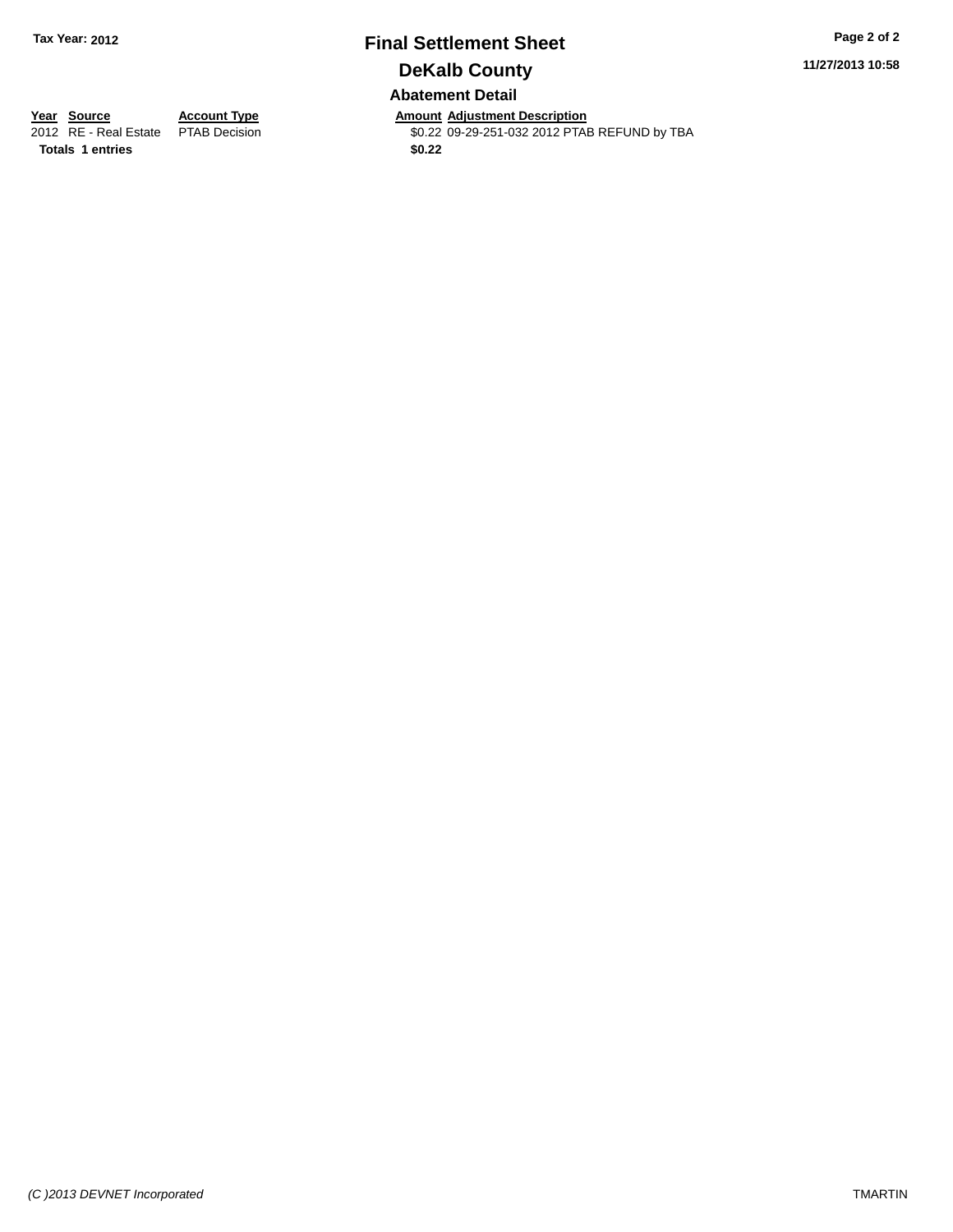## **Final Settlement Sheet Tax Year: 2012 Page 2 of 2 DeKalb County Abatement Detail**

**11/27/2013 10:58**

**Totals 1 entries \$0.22**

**Year Source Account Type Amount Adjustment Description**<br>2012 RE - Real Estate PTAB Decision **Amount Adjustment Description** \$0.22 09-29-251-032 2012 PTAB REFUND by TBA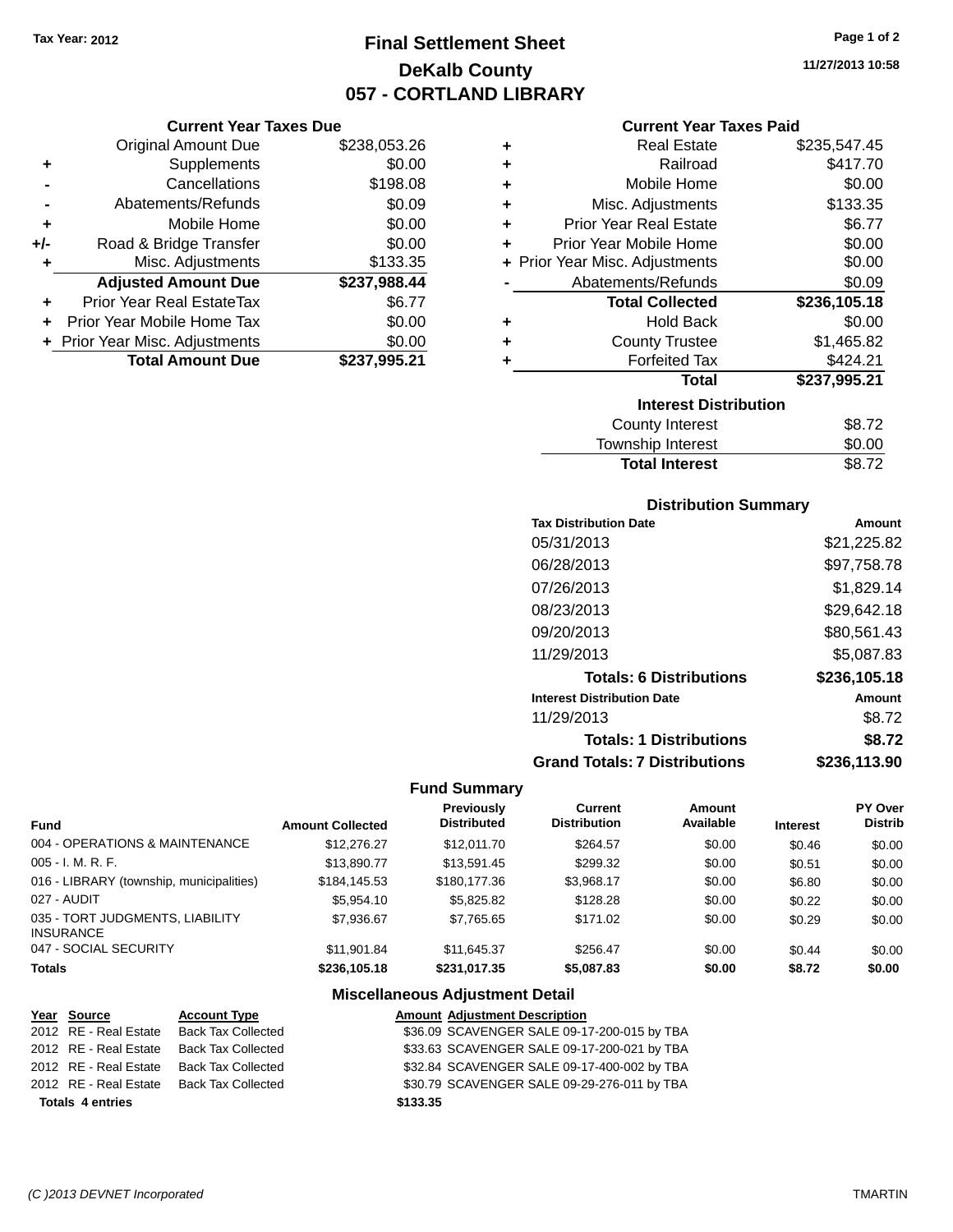## **Final Settlement Sheet Tax Year: 2012 Page 1 of 2 DeKalb County 057 - CORTLAND LIBRARY**

**11/27/2013 10:58**

### **Current Year Taxes Due**

|       | <b>Original Amount Due</b>       | \$238,053.26 |
|-------|----------------------------------|--------------|
| ٠     | Supplements                      | \$0.00       |
|       | Cancellations                    | \$198.08     |
|       | Abatements/Refunds               | \$0.09       |
| ÷     | Mobile Home                      | \$0.00       |
| $+/-$ | Road & Bridge Transfer           | \$0.00       |
| ٠     | Misc. Adjustments                | \$133.35     |
|       | <b>Adjusted Amount Due</b>       | \$237,988.44 |
|       | <b>Prior Year Real EstateTax</b> | \$6.77       |
|       | Prior Year Mobile Home Tax       | \$0.00       |
|       | + Prior Year Misc. Adjustments   | \$0.00       |
|       | <b>Total Amount Due</b>          | \$237,995.21 |

## **Current Year Taxes Paid**

| ٠ | <b>Real Estate</b>             | \$235,547.45 |
|---|--------------------------------|--------------|
| ÷ | Railroad                       | \$417.70     |
| ٠ | Mobile Home                    | \$0.00       |
| ٠ | Misc. Adjustments              | \$133.35     |
| ÷ | <b>Prior Year Real Estate</b>  | \$6.77       |
| ٠ | Prior Year Mobile Home         | \$0.00       |
|   | + Prior Year Misc. Adjustments | \$0.00       |
|   | Abatements/Refunds             | \$0.09       |
|   |                                |              |
|   | <b>Total Collected</b>         | \$236,105.18 |
| ٠ | <b>Hold Back</b>               | \$0.00       |
| ÷ | <b>County Trustee</b>          | \$1,465.82   |
| ٠ | <b>Forfeited Tax</b>           | \$424.21     |
|   | Total                          | \$237,995.21 |
|   | <b>Interest Distribution</b>   |              |
|   | <b>County Interest</b>         | \$8.72       |

# **Distribution Summary**

**Total Interest** \$8.72

| <b>PISUINGUOII CAIIIIIIGI y</b>      |              |
|--------------------------------------|--------------|
| <b>Tax Distribution Date</b>         | Amount       |
| 05/31/2013                           | \$21.225.82  |
| 06/28/2013                           | \$97,758.78  |
| 07/26/2013                           | \$1,829.14   |
| 08/23/2013                           | \$29,642.18  |
| 09/20/2013                           | \$80,561.43  |
| 11/29/2013                           | \$5,087.83   |
| <b>Totals: 6 Distributions</b>       | \$236,105.18 |
| <b>Interest Distribution Date</b>    | Amount       |
| 11/29/2013                           | \$8.72       |
| <b>Totals: 1 Distributions</b>       | \$8.72       |
| <b>Grand Totals: 7 Distributions</b> | \$236.113.90 |

## **Fund Summary**

| <b>Fund</b>                                         | <b>Amount Collected</b> | <b>Previously</b><br><b>Distributed</b> | Current<br><b>Distribution</b> | Amount<br>Available | <b>Interest</b> | PY Over<br><b>Distrib</b> |
|-----------------------------------------------------|-------------------------|-----------------------------------------|--------------------------------|---------------------|-----------------|---------------------------|
| 004 - OPERATIONS & MAINTENANCE                      | \$12,276.27             | \$12,011.70                             | \$264.57                       | \$0.00              | \$0.46          | \$0.00                    |
| $005 - I. M. R. F.$                                 | \$13,890.77             | \$13.591.45                             | \$299.32                       | \$0.00              | \$0.51          | \$0.00                    |
| 016 - LIBRARY (township, municipalities)            | \$184.145.53            | \$180,177,36                            | \$3.968.17                     | \$0.00              | \$6.80          | \$0.00                    |
| 027 - AUDIT                                         | \$5.954.10              | \$5,825,82                              | \$128.28                       | \$0.00              | \$0.22          | \$0.00                    |
| 035 - TORT JUDGMENTS, LIABILITY<br><b>INSURANCE</b> | \$7.936.67              | \$7.765.65                              | \$171.02                       | \$0.00              | \$0.29          | \$0.00                    |
| 047 - SOCIAL SECURITY                               | \$11,901.84             | \$11.645.37                             | \$256.47                       | \$0.00              | \$0.44          | \$0.00                    |
| <b>Totals</b>                                       | \$236,105.18            | \$231.017.35                            | \$5,087.83                     | \$0.00              | \$8.72          | \$0.00                    |

| Year Source             | <b>Account Type</b>       |          | <b>Amount Adjustment Description</b>        |
|-------------------------|---------------------------|----------|---------------------------------------------|
| 2012 RE - Real Estate   | <b>Back Tax Collected</b> |          | \$36.09 SCAVENGER SALE 09-17-200-015 by TBA |
| 2012 RE - Real Estate   | <b>Back Tax Collected</b> |          | \$33.63 SCAVENGER SALE 09-17-200-021 by TBA |
| 2012 RE - Real Estate   | <b>Back Tax Collected</b> |          | \$32.84 SCAVENGER SALE 09-17-400-002 by TBA |
| 2012 RE - Real Estate   | <b>Back Tax Collected</b> |          | \$30.79 SCAVENGER SALE 09-29-276-011 by TBA |
| <b>Totals 4 entries</b> |                           | \$133.35 |                                             |
|                         |                           |          |                                             |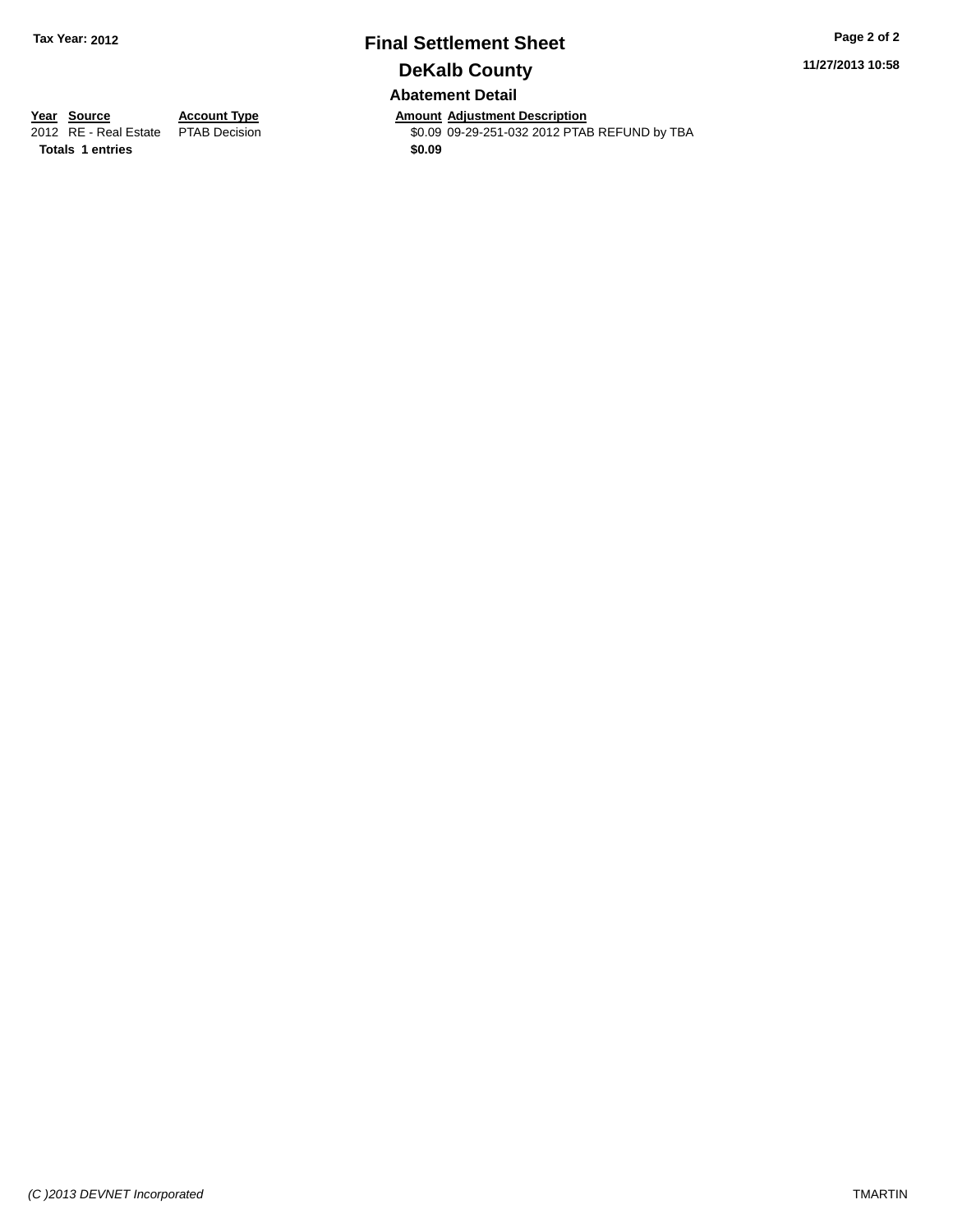## **Final Settlement Sheet Tax Year: 2012 Page 2 of 2 DeKalb County Abatement Detail**

**11/27/2013 10:58**

**Totals 1 entries \$0.09**

**Year Source Account Type Annount Adjustment Description**<br>2012 RE - Real Estate PTAB Decision **Amount Adjustment Description** \$0.09 09-29-251-032 2012 PTAB REFUND by TBA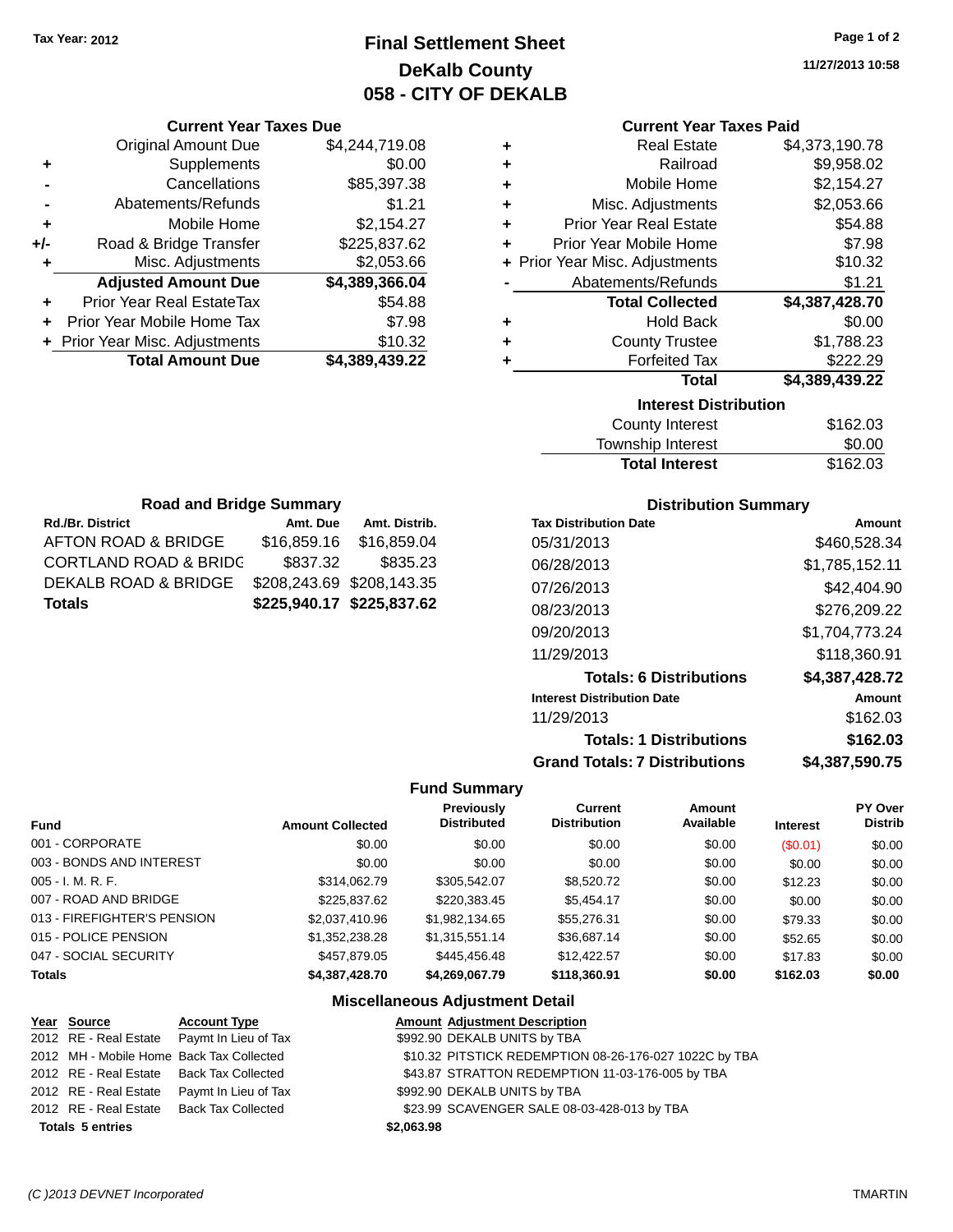## **Final Settlement Sheet Tax Year: 2012 Page 1 of 2 DeKalb County 058 - CITY OF DEKALB**

**11/27/2013 10:58**

## **Current Year Taxes Paid**

| ٠                 | \$4,244,719.08 | <b>Original Amount Due</b>     |       |
|-------------------|----------------|--------------------------------|-------|
| ٠                 | \$0.00         | Supplements                    |       |
| ٠                 | \$85,397.38    | Cancellations                  |       |
| Misc              | \$1.21         | Abatements/Refunds             |       |
| <b>Prior Yea</b>  | \$2,154.27     | Mobile Home                    | ٠     |
| <b>Prior Year</b> | \$225,837.62   | Road & Bridge Transfer         | $+/-$ |
| + Prior Year Misc | \$2,053.66     | Misc. Adjustments              |       |
| Abatem            | \$4,389,366.04 | <b>Adjusted Amount Due</b>     |       |
| To                | \$54.88        | Prior Year Real EstateTax      | ٠     |
| ٠                 | \$7.98         | Prior Year Mobile Home Tax     | ٠     |
| C                 | \$10.32        | + Prior Year Misc. Adjustments |       |
|                   | \$4,389,439.22 | <b>Total Amount Due</b>        |       |
|                   |                |                                |       |

| ٠<br>٠ | <b>County Trustee</b><br><b>Forfeited Tax</b> | \$1,788.23<br>\$222.29 |
|--------|-----------------------------------------------|------------------------|
| ٠      | <b>Hold Back</b>                              | \$0.00                 |
|        | <b>Total Collected</b>                        | \$4,387,428.70         |
|        | Abatements/Refunds                            | \$1.21                 |
|        | + Prior Year Misc. Adjustments                | \$10.32                |
| ٠      | Prior Year Mobile Home                        | \$7.98                 |
| ٠      | <b>Prior Year Real Estate</b>                 | \$54.88                |
| ٠      | Misc. Adjustments                             | \$2,053.66             |
| ÷      | Mobile Home                                   | \$2,154.27             |
| ÷      | Railroad                                      | \$9,958.02             |
| ٠      | <b>Real Estate</b>                            | \$4,373,190.78         |

| <b>County Interest</b> | \$162.03 |
|------------------------|----------|
| Township Interest      | \$0.00   |
| <b>Total Interest</b>  | \$162.03 |

| <b>Road and Bridge Summary</b>             |                           |               |  |  |
|--------------------------------------------|---------------------------|---------------|--|--|
| <b>Rd./Br. District</b>                    | Amt. Due                  | Amt. Distrib. |  |  |
| AFTON ROAD & BRIDGE                        | \$16,859.16               | \$16,859.04   |  |  |
| <b>CORTLAND ROAD &amp; BRIDG</b>           | \$837.32                  | \$835.23      |  |  |
| DEKALB ROAD & BRIDGE                       | \$208,243.69 \$208,143.35 |               |  |  |
| \$225,940.17 \$225,837.62<br><b>Totals</b> |                           |               |  |  |

**Current Year Taxes Due**

## **Distribution Summary**

| <b>Tax Distribution Date</b>         | Amount         |
|--------------------------------------|----------------|
| 05/31/2013                           | \$460,528.34   |
| 06/28/2013                           | \$1,785,152.11 |
| 07/26/2013                           | \$42,404.90    |
| 08/23/2013                           | \$276,209.22   |
| 09/20/2013                           | \$1,704,773.24 |
| 11/29/2013                           | \$118,360.91   |
| <b>Totals: 6 Distributions</b>       | \$4,387,428.72 |
| <b>Interest Distribution Date</b>    | Amount         |
| 11/29/2013                           | \$162.03       |
| <b>Totals: 1 Distributions</b>       | \$162.03       |
| <b>Grand Totals: 7 Distributions</b> | \$4,387,590.75 |

## **Fund Summary**

| <b>Fund</b>                 | <b>Amount Collected</b> | Previously<br><b>Distributed</b> | <b>Current</b><br><b>Distribution</b> | Amount<br>Available | <b>Interest</b> | PY Over<br><b>Distrib</b> |
|-----------------------------|-------------------------|----------------------------------|---------------------------------------|---------------------|-----------------|---------------------------|
| 001 - CORPORATE             | \$0.00                  | \$0.00                           | \$0.00                                | \$0.00              | (S0.01)         | \$0.00                    |
| 003 - BONDS AND INTEREST    | \$0.00                  | \$0.00                           | \$0.00                                | \$0.00              | \$0.00          | \$0.00                    |
| $005 - I. M. R. F.$         | \$314.062.79            | \$305.542.07                     | \$8,520,72                            | \$0.00              | \$12.23         | \$0.00                    |
| 007 - ROAD AND BRIDGE       | \$225,837.62            | \$220,383.45                     | \$5,454.17                            | \$0.00              | \$0.00          | \$0.00                    |
| 013 - FIREFIGHTER'S PENSION | \$2,037,410.96          | \$1,982,134.65                   | \$55,276.31                           | \$0.00              | \$79.33         | \$0.00                    |
| 015 - POLICE PENSION        | \$1,352,238.28          | \$1,315,551.14                   | \$36,687.14                           | \$0.00              | \$52.65         | \$0.00                    |
| 047 - SOCIAL SECURITY       | \$457.879.05            | \$445,456,48                     | \$12,422.57                           | \$0.00              | \$17.83         | \$0.00                    |
| <b>Totals</b>               | \$4,387,428.70          | \$4,269,067.79                   | \$118,360.91                          | \$0.00              | \$162.03        | \$0.00                    |

| Year Source             | <b>Account Type</b>                        | <b>Amount Adjustment Description</b>                   |
|-------------------------|--------------------------------------------|--------------------------------------------------------|
|                         | 2012 RE - Real Estate Paymt In Lieu of Tax | \$992.90 DEKALB UNITS by TBA                           |
|                         | 2012 MH - Mobile Home Back Tax Collected   | \$10.32 PITSTICK REDEMPTION 08-26-176-027 1022C by TBA |
|                         | 2012 RE - Real Estate Back Tax Collected   | \$43.87 STRATTON REDEMPTION 11-03-176-005 by TBA       |
| 2012 RE - Real Estate   | Paymt In Lieu of Tax                       | \$992.90 DEKALB UNITS by TBA                           |
|                         | 2012 RE - Real Estate Back Tax Collected   | \$23.99 SCAVENGER SALE 08-03-428-013 by TBA            |
| <b>Totals 5 entries</b> |                                            | \$2,063.98                                             |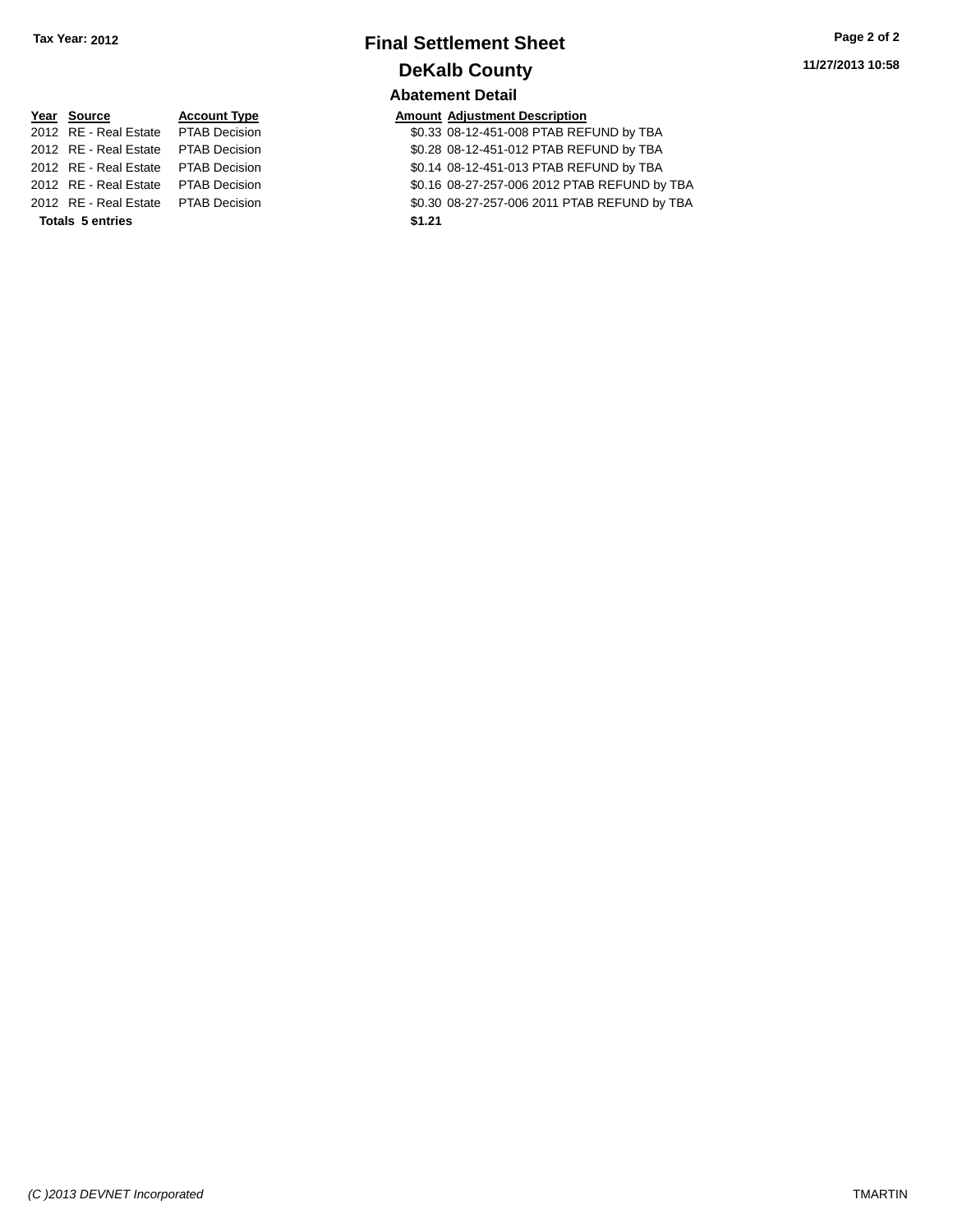## **Final Settlement Sheet Tax Year: 2012 Page 2 of 2 DeKalb County Abatement Detail**

| Year Source                         | <b>Account Type</b> |        | <b>Amount Adjustment Description</b> |
|-------------------------------------|---------------------|--------|--------------------------------------|
| 2012 RE - Real Estate PTAB Decision |                     |        | \$0.33 08-12-451-008 PTAB REI        |
| 2012 RE - Real Estate PTAB Decision |                     |        | \$0.28 08-12-451-012 PTAB REI        |
| 2012 RE - Real Estate PTAB Decision |                     |        | \$0.14 08-12-451-013 PTAB REI        |
| 2012 RE - Real Estate PTAB Decision |                     |        | \$0.16 08-27-257-006 2012 PTA        |
| 2012 RE - Real Estate PTAB Decision |                     |        | \$0.30 08-27-257-006 2011 PTA        |
| <b>Totals 5 entries</b>             |                     | \$1.21 |                                      |

| Year Source                          | <b>Account Type</b> |        | <b>Amount Adjustment Description</b>         |
|--------------------------------------|---------------------|--------|----------------------------------------------|
| 2012 RE - Real Estate  PTAB Decision |                     |        | \$0.33 08-12-451-008 PTAB REFUND by TBA      |
| 2012 RE - Real Estate PTAB Decision  |                     |        | \$0.28 08-12-451-012 PTAB REFUND by TBA      |
| 2012 RE - Real Estate PTAB Decision  |                     |        | \$0.14 08-12-451-013 PTAB REFUND by TBA      |
| 2012 RE - Real Estate PTAB Decision  |                     |        | \$0.16 08-27-257-006 2012 PTAB REFUND by TBA |
| 2012 RE - Real Estate PTAB Decision  |                     |        | \$0.30 08-27-257-006 2011 PTAB REFUND by TBA |
| <b>Totals 5 entries</b>              |                     | \$1.21 |                                              |
|                                      |                     |        |                                              |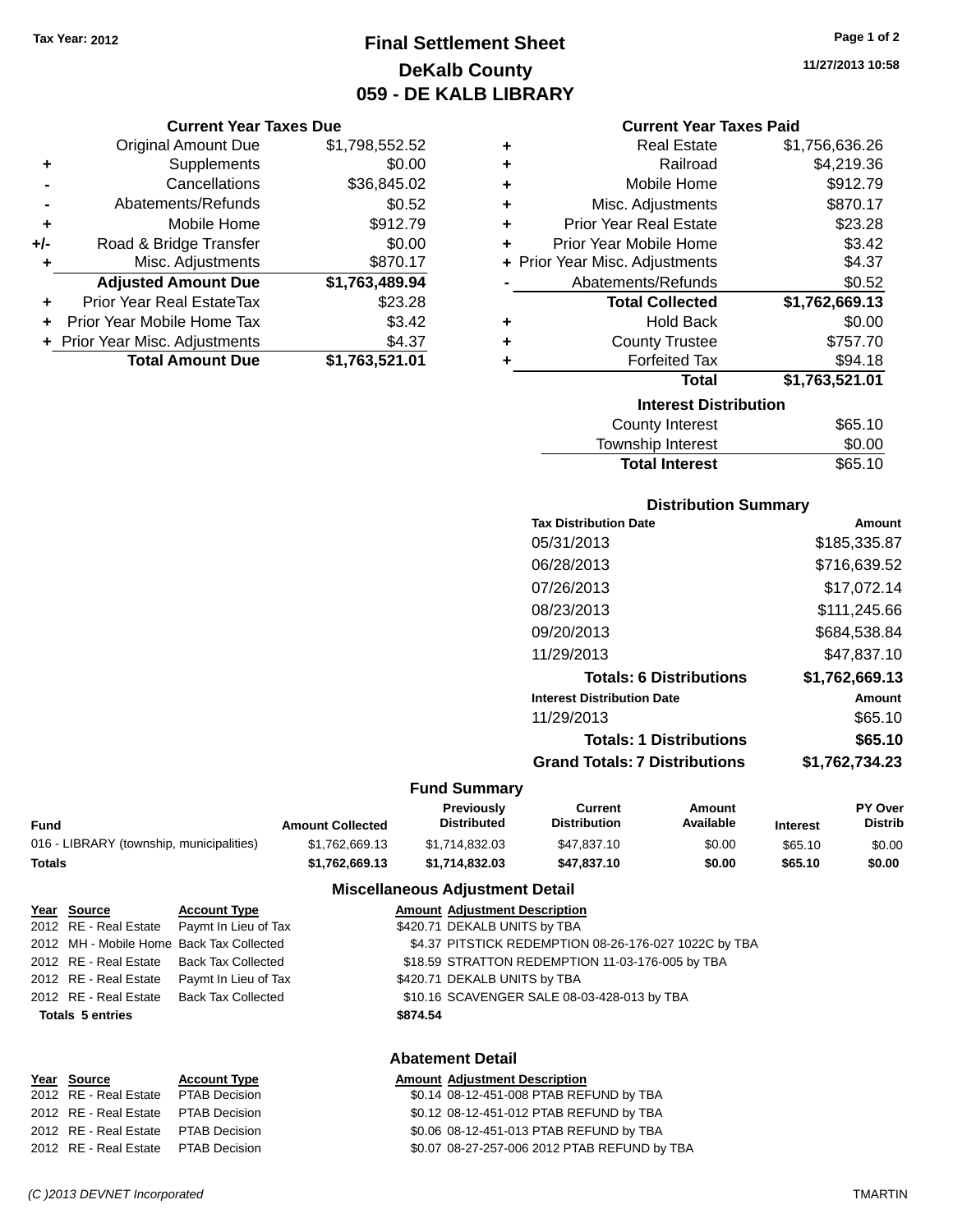## **Final Settlement Sheet Tax Year: 2012 Page 1 of 2 DeKalb County 059 - DE KALB LIBRARY**

**11/27/2013 10:58**

## **Current Year Taxes Due**

|       | <b>Original Amount Due</b>     | \$1,798,552.52 |
|-------|--------------------------------|----------------|
| ٠     | Supplements                    | \$0.00         |
|       | Cancellations                  | \$36,845.02    |
|       | Abatements/Refunds             | \$0.52         |
| ÷     | Mobile Home                    | \$912.79       |
| $+/-$ | Road & Bridge Transfer         | \$0.00         |
| ٠     | Misc. Adjustments              | \$870.17       |
|       | <b>Adjusted Amount Due</b>     | \$1,763,489.94 |
|       | Prior Year Real EstateTax      | \$23.28        |
|       | Prior Year Mobile Home Tax     | \$3.42         |
|       | + Prior Year Misc. Adjustments | \$4.37         |
|       | <b>Total Amount Due</b>        | \$1,763,521.01 |

| <b>Current Year Taxes Paid</b> |  |  |  |
|--------------------------------|--|--|--|
|--------------------------------|--|--|--|

|   | <b>Real Estate</b>             | \$1,756,636.26 |
|---|--------------------------------|----------------|
| ÷ | Railroad                       | \$4,219.36     |
| ٠ | Mobile Home                    | \$912.79       |
| ٠ | Misc. Adjustments              | \$870.17       |
| ٠ | <b>Prior Year Real Estate</b>  | \$23.28        |
| ٠ | Prior Year Mobile Home         | \$3.42         |
|   | + Prior Year Misc. Adjustments | \$4.37         |
|   | Abatements/Refunds             | \$0.52         |
|   |                                |                |
|   | <b>Total Collected</b>         | \$1,762,669.13 |
| ٠ | <b>Hold Back</b>               | \$0.00         |
| ٠ | <b>County Trustee</b>          | \$757.70       |
|   | <b>Forfeited Tax</b>           | \$94.18        |
|   | <b>Total</b>                   | \$1,763,521.01 |
|   | <b>Interest Distribution</b>   |                |

| <b>Total Interest</b>   | \$65.10 |
|-------------------------|---------|
| Township Interest       | \$0.00  |
| <b>OVAILLY ILITERSI</b> | 000.10  |

## **Distribution Summary**

| <b>Tax Distribution Date</b>         | Amount         |
|--------------------------------------|----------------|
| 05/31/2013                           | \$185,335.87   |
| 06/28/2013                           | \$716,639.52   |
| 07/26/2013                           | \$17,072.14    |
| 08/23/2013                           | \$111,245.66   |
| 09/20/2013                           | \$684.538.84   |
| 11/29/2013                           | \$47.837.10    |
| <b>Totals: 6 Distributions</b>       | \$1,762,669.13 |
| <b>Interest Distribution Date</b>    | Amount         |
| 11/29/2013                           | \$65.10        |
| <b>Totals: 1 Distributions</b>       | \$65.10        |
| <b>Grand Totals: 7 Distributions</b> | \$1,762,734.23 |
|                                      |                |

## **Fund Summary**

|                                          |                         | Previouslv         | Current             | Amount    |                 | <b>PY Over</b> |
|------------------------------------------|-------------------------|--------------------|---------------------|-----------|-----------------|----------------|
| Fund                                     | <b>Amount Collected</b> | <b>Distributed</b> | <b>Distribution</b> | Available | <b>Interest</b> | Distrib        |
| 016 - LIBRARY (township, municipalities) | \$1.762.669.13          | \$1.714.832.03     | \$47.837.10         | \$0.00    | \$65.10         | \$0.00         |
| Totals                                   | \$1.762.669.13          | \$1.714.832.03     | \$47,837,10         | \$0.00    | \$65.10         | \$0.00         |

#### **Miscellaneous Adjustment Detail**

| Year Source             | <b>Account Type</b>                        |          | <b>Amount Adjustment Description</b>                  |
|-------------------------|--------------------------------------------|----------|-------------------------------------------------------|
|                         | 2012 RE - Real Estate Paymt In Lieu of Tax |          | \$420.71 DEKALB UNITS by TBA                          |
|                         | 2012 MH - Mobile Home Back Tax Collected   |          | \$4.37 PITSTICK REDEMPTION 08-26-176-027 1022C by TBA |
| 2012 RE - Real Estate   | Back Tax Collected                         |          | \$18.59 STRATTON REDEMPTION 11-03-176-005 by TBA      |
| 2012 RE - Real Estate   | Paymt In Lieu of Tax                       |          | \$420.71 DEKALB UNITS by TBA                          |
| 2012 RE - Real Estate   | Back Tax Collected                         |          | \$10.16 SCAVENGER SALE 08-03-428-013 by TBA           |
| <b>Totals 5 entries</b> |                                            | \$874.54 |                                                       |
|                         |                                            |          | <b>Abatement Detail</b>                               |

## **Year Source Account Type Amount Adjustment Description**

| <u>rear source</u>                  | <b>ACCOUNT TYPE</b> | Alliount Aujustinent Description             |
|-------------------------------------|---------------------|----------------------------------------------|
| 2012 RE - Real Estate PTAB Decision |                     | \$0.14 08-12-451-008 PTAB REFUND by TBA      |
| 2012 RE - Real Estate PTAB Decision |                     | \$0.12 08-12-451-012 PTAB REFUND by TBA      |
| 2012 RE - Real Estate PTAB Decision |                     | \$0.06 08-12-451-013 PTAB REFUND by TBA      |
| 2012 RE - Real Estate PTAB Decision |                     | \$0.07 08-27-257-006 2012 PTAB REFUND by TBA |
|                                     |                     |                                              |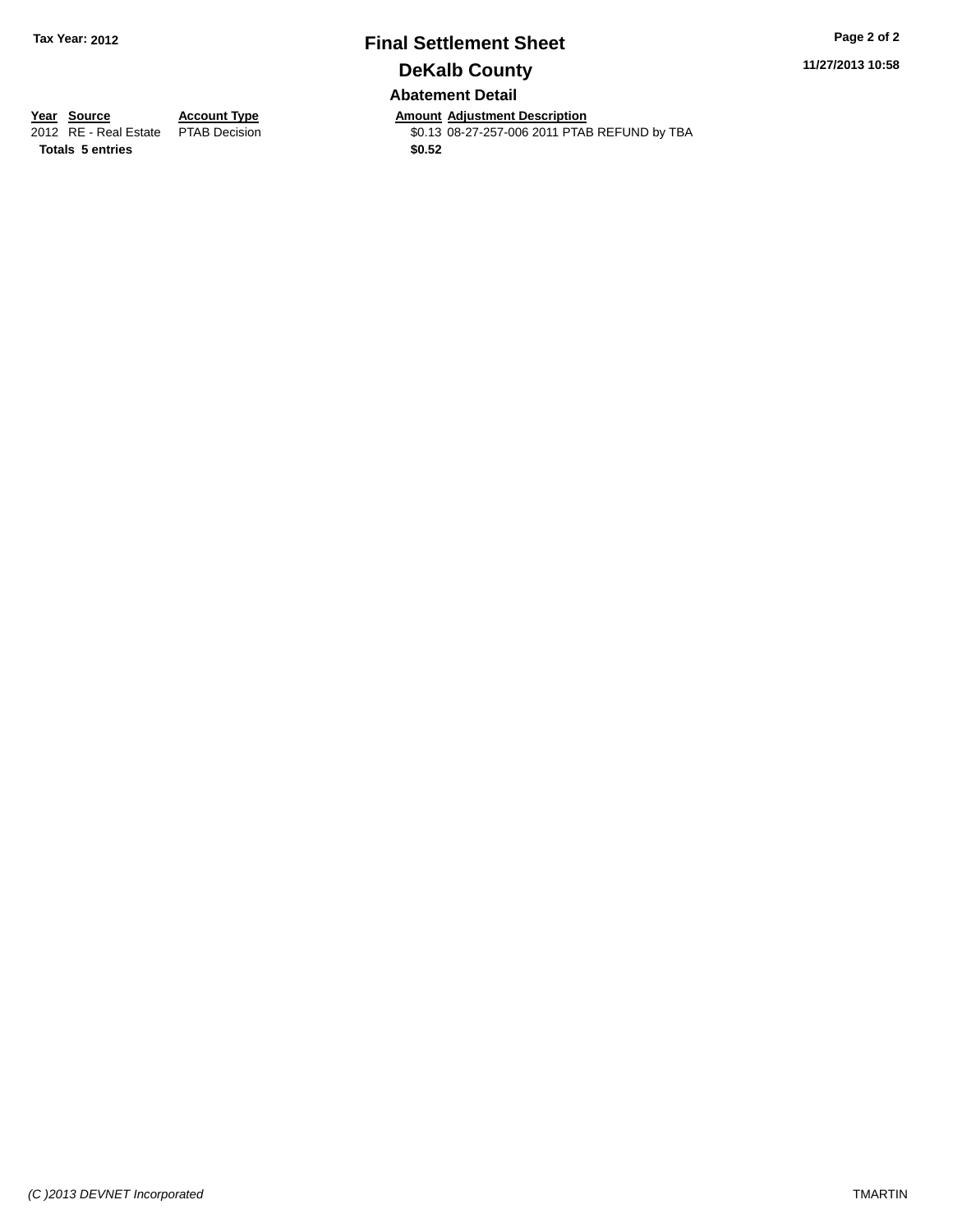## **Final Settlement Sheet Tax Year: 2012 Page 2 of 2 DeKalb County Abatement Detail**

**11/27/2013 10:58**

**Totals 5 entries \$0.52**

**Year Source Account Type Anneurs Amount Adjustment Description**<br>
2012 RE - Real Estate PTAB Decision **Amount Adjustment Description**<br>
\$0.13 08-27-257-006 2011 PTAE \$0.13 08-27-257-006 2011 PTAB REFUND by TBA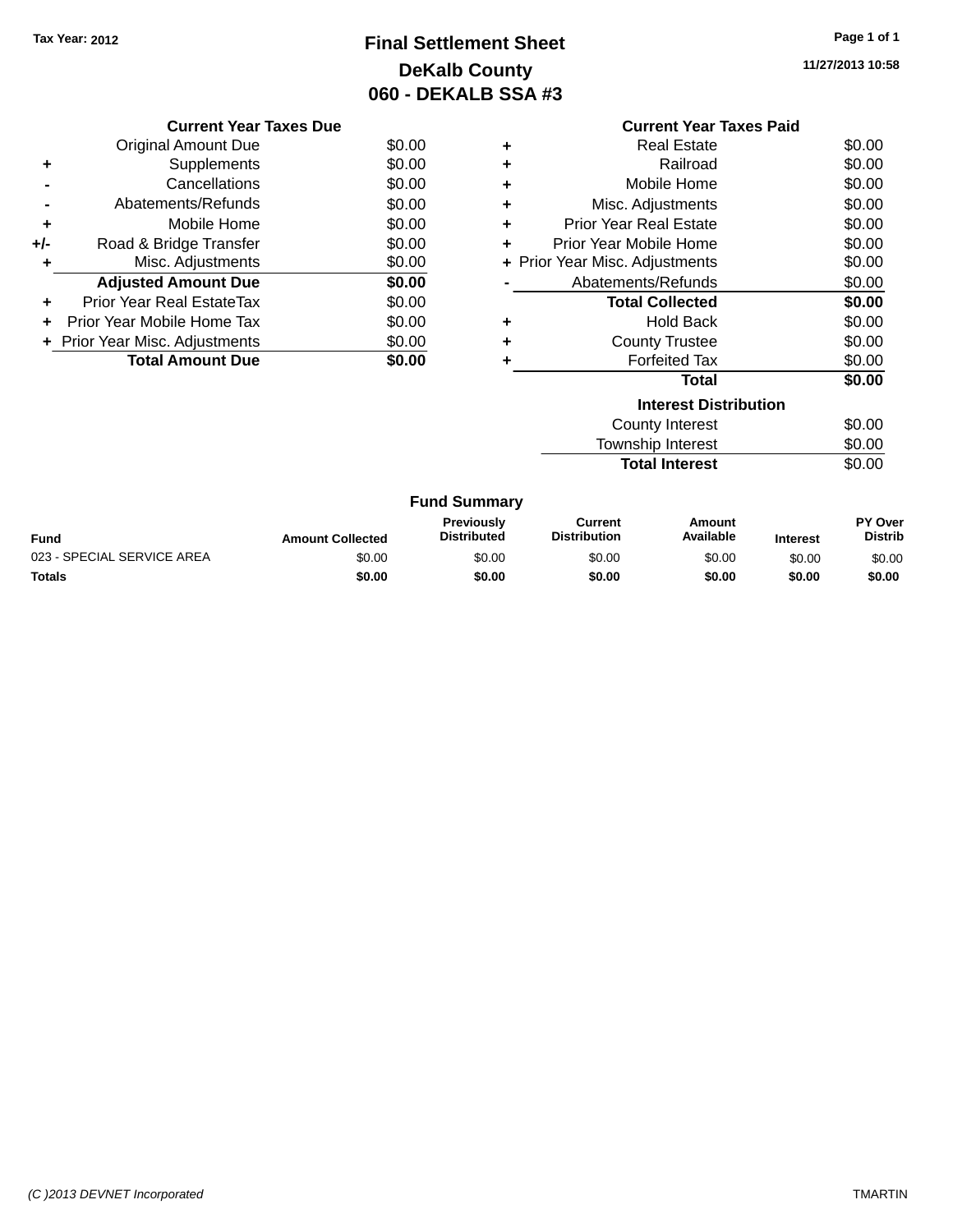## **Final Settlement Sheet Tax Year: 2012 Page 1 of 1 DeKalb County 060 - DEKALB SSA #3**

**11/27/2013 10:58**

|     | <b>Current Year Taxes Due</b>  |        |
|-----|--------------------------------|--------|
|     | Original Amount Due            | \$0.00 |
|     | Supplements                    | \$0.00 |
|     | Cancellations                  | \$0.00 |
|     | Abatements/Refunds             | \$0.00 |
| ٠   | Mobile Home                    | \$0.00 |
| +/- | Road & Bridge Transfer         | \$0.00 |
|     | Misc. Adjustments              | \$0.00 |
|     | <b>Adjusted Amount Due</b>     | \$0.00 |
|     | Prior Year Real EstateTax      | \$0.00 |
| ÷   | Prior Year Mobile Home Tax     | \$0.00 |
|     | + Prior Year Misc. Adjustments | \$0.00 |
|     | <b>Total Amount Due</b>        | \$0.00 |
|     |                                |        |

|                              | <b>Current Year Taxes Paid</b> |        |  |  |  |
|------------------------------|--------------------------------|--------|--|--|--|
| ٠                            | Real Estate                    | \$0.00 |  |  |  |
| ٠                            | Railroad                       | \$0.00 |  |  |  |
| ٠                            | Mobile Home                    | \$0.00 |  |  |  |
| ٠                            | Misc. Adjustments              | \$0.00 |  |  |  |
| ÷                            | <b>Prior Year Real Estate</b>  | \$0.00 |  |  |  |
| ÷                            | Prior Year Mobile Home         | \$0.00 |  |  |  |
|                              | + Prior Year Misc. Adjustments |        |  |  |  |
|                              | Abatements/Refunds<br>\$0.00   |        |  |  |  |
|                              | <b>Total Collected</b>         | \$0.00 |  |  |  |
| ٠                            | <b>Hold Back</b>               | \$0.00 |  |  |  |
| ٠                            | <b>County Trustee</b>          | \$0.00 |  |  |  |
| ٠                            | <b>Forfeited Tax</b>           | \$0.00 |  |  |  |
|                              | Total                          | \$0.00 |  |  |  |
| <b>Interest Distribution</b> |                                |        |  |  |  |
|                              | <b>County Interest</b>         | \$0.00 |  |  |  |
|                              | <b>Township Interest</b>       | \$0.00 |  |  |  |

Total Interest \$0.00

|  | <b>Fund Summary</b> |
|--|---------------------|
|--|---------------------|

| <b>Fund</b>                | <b>Amount Collected</b> | <b>Previously</b><br><b>Distributed</b> | Current<br><b>Distribution</b> | Amount<br>Available | <b>Interest</b> | <b>PY Over</b><br><b>Distrib</b> |
|----------------------------|-------------------------|-----------------------------------------|--------------------------------|---------------------|-----------------|----------------------------------|
| 023 - SPECIAL SERVICE AREA | \$0.00                  | \$0.00                                  | \$0.00                         | \$0.00              | \$0.00          | \$0.00                           |
| Totals                     | \$0.00                  | \$0.00                                  | \$0.00                         | \$0.00              | \$0.00          | \$0.00                           |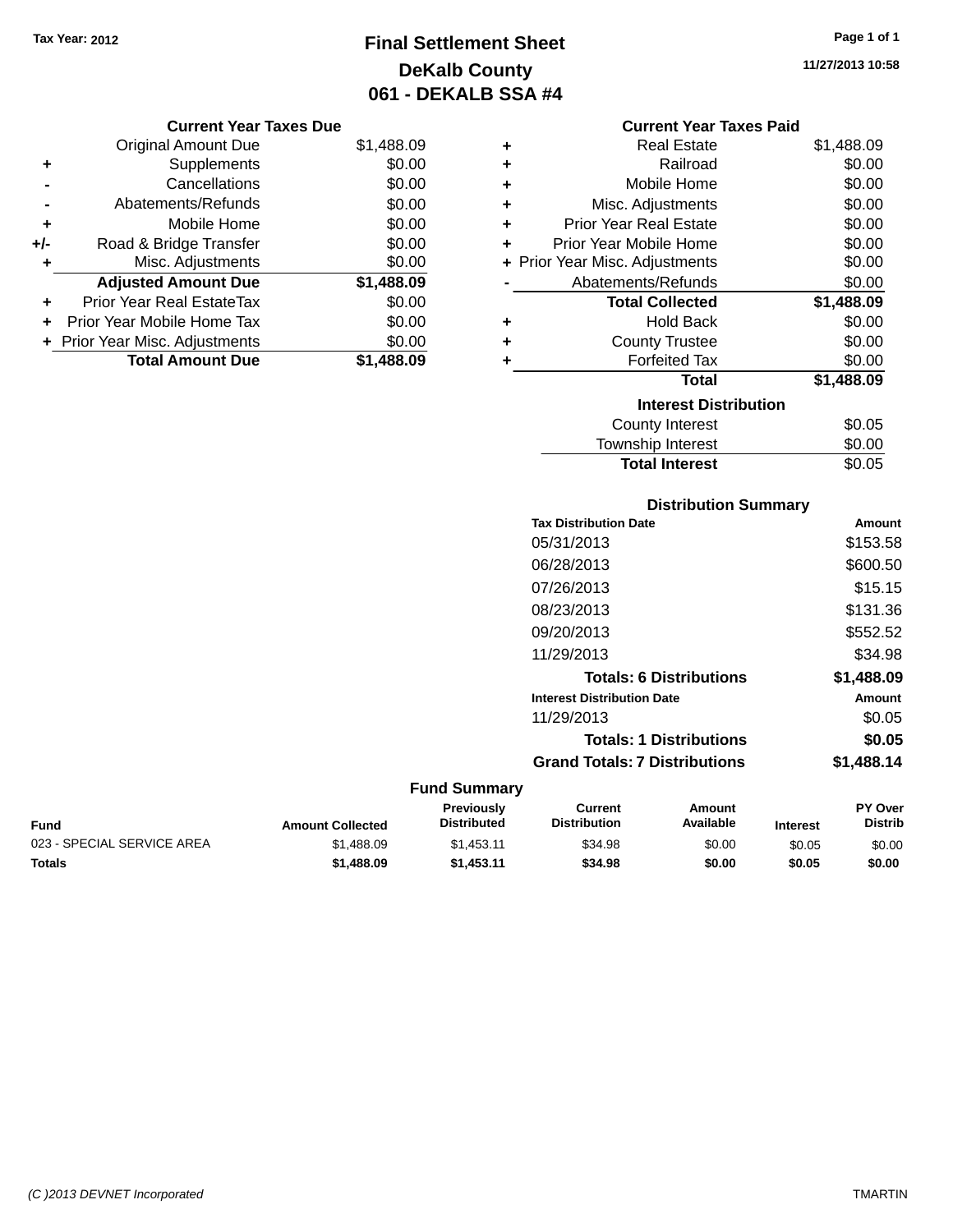## **Final Settlement Sheet Tax Year: 2012 Page 1 of 1 DeKalb County 061 - DEKALB SSA #4**

**11/27/2013 10:58**

## **Current Year Taxes Due**

|     | <b>Original Amount Due</b>     | \$1,488.09 |
|-----|--------------------------------|------------|
| ٠   | Supplements                    | \$0.00     |
|     | Cancellations                  | \$0.00     |
|     | Abatements/Refunds             | \$0.00     |
| ٠   | Mobile Home                    | \$0.00     |
| +/- | Road & Bridge Transfer         | \$0.00     |
| ٠   | Misc. Adjustments              | \$0.00     |
|     | <b>Adjusted Amount Due</b>     | \$1,488.09 |
| ٠   | Prior Year Real EstateTax      | \$0.00     |
|     | Prior Year Mobile Home Tax     | \$0.00     |
|     | + Prior Year Misc. Adjustments | \$0.00     |
|     | <b>Total Amount Due</b>        | \$1,488.09 |

#### **Current Year Taxes Paid**

| ٠                            | Real Estate                    | \$1,488.09 |  |  |
|------------------------------|--------------------------------|------------|--|--|
| ٠                            | Railroad                       | \$0.00     |  |  |
| ÷                            | Mobile Home                    | \$0.00     |  |  |
| ٠                            | Misc. Adjustments              | \$0.00     |  |  |
| ٠                            | Prior Year Real Estate         | \$0.00     |  |  |
| ٠                            | Prior Year Mobile Home         | \$0.00     |  |  |
|                              | + Prior Year Misc. Adjustments | \$0.00     |  |  |
|                              | Abatements/Refunds             | \$0.00     |  |  |
|                              | <b>Total Collected</b>         | \$1,488.09 |  |  |
| ٠                            | Hold Back                      | \$0.00     |  |  |
| ٠                            | <b>County Trustee</b>          | \$0.00     |  |  |
| ٠                            | <b>Forfeited Tax</b>           | \$0.00     |  |  |
|                              | <b>Total</b>                   | \$1,488.09 |  |  |
| <b>Interest Distribution</b> |                                |            |  |  |
|                              | County Interest                | \$0.05     |  |  |
|                              | <b>Township Interest</b>       | \$0.00     |  |  |
|                              | <b>Total Interest</b>          | \$0.05     |  |  |

## **Distribution Summary Tax Distribution Date Amount** 05/31/2013 \$153.58 06/28/2013 \$600.50 07/26/2013 \$15.15 08/23/2013 \$131.36 09/20/2013 \$552.52 11/29/2013 \$34.98 **Totals: 6 Distributions \$1,488.09 Interest Distribution Date Amount** 11/29/2013 \$0.05 **Totals: 1 Distributions \$0.05 Grand Totals: 7 Distributions \$1,488.14**

| Fund                       | <b>Amount Collected</b> | Previously<br>Distributed | Current<br><b>Distribution</b> | Amount<br>Available | <b>Interest</b> | <b>PY Over</b><br><b>Distrib</b> |
|----------------------------|-------------------------|---------------------------|--------------------------------|---------------------|-----------------|----------------------------------|
| 023 - SPECIAL SERVICE AREA | \$1.488.09              | \$1.453.11                | \$34.98                        | \$0.00              | \$0.05          | \$0.00                           |
| Totals                     | \$1,488.09              | \$1.453.11                | \$34.98                        | \$0.00              | \$0.05          | \$0.00                           |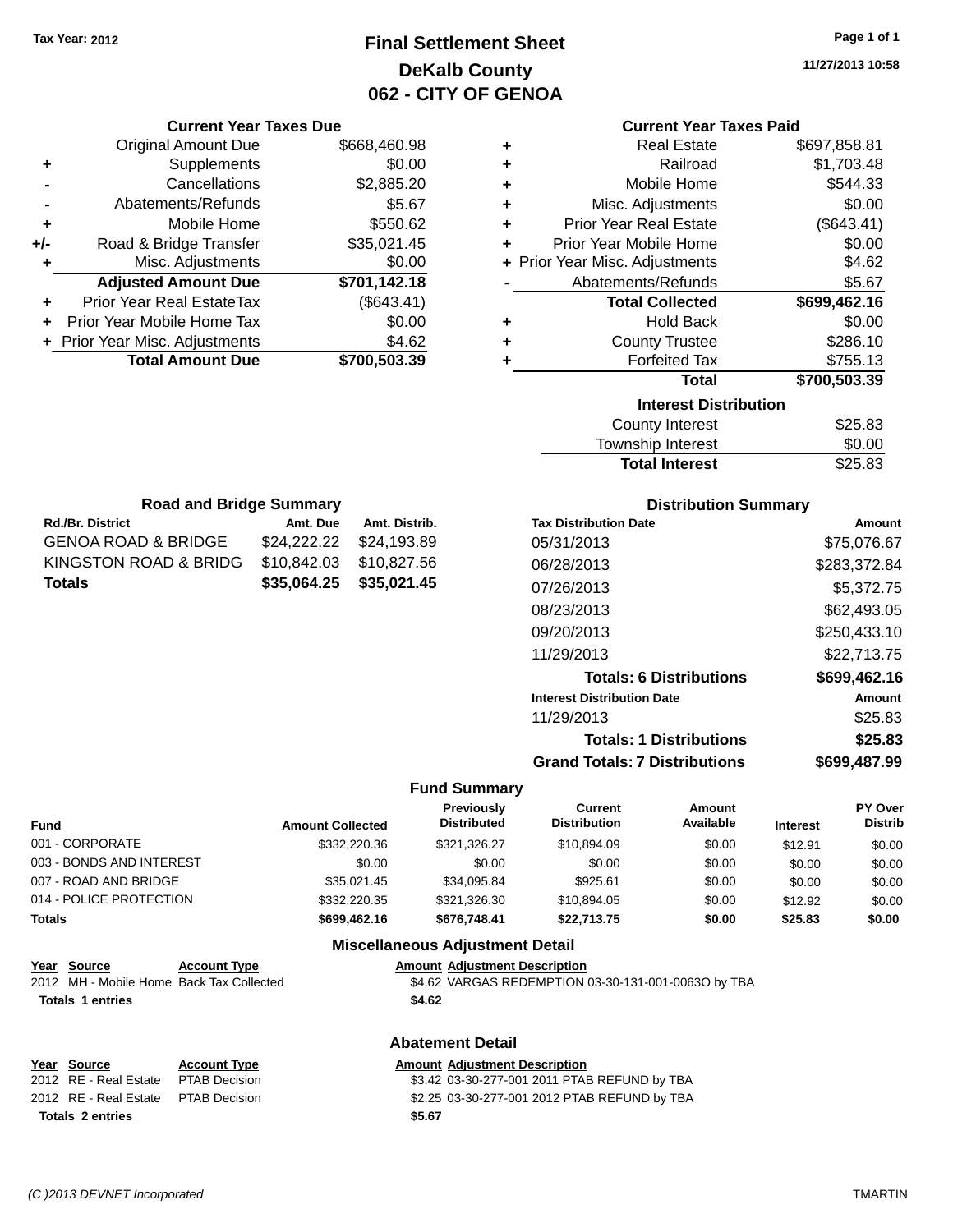# **Final Settlement Sheet Tax Year: 2012 Page 1 of 1 DeKalb County 062 - CITY OF GENOA**

**11/27/2013 10:58**

#### **Current Year Taxes Paid**

|     | <b>Original Amount Due</b>       | \$668,460.98 |
|-----|----------------------------------|--------------|
| ٠   | Supplements                      | \$0.00       |
|     | Cancellations                    | \$2,885.20   |
|     | Abatements/Refunds               | \$5.67       |
| ÷   | Mobile Home                      | \$550.62     |
| +/- | Road & Bridge Transfer           | \$35,021.45  |
| ٠   | Misc. Adjustments                | \$0.00       |
|     | <b>Adjusted Amount Due</b>       | \$701,142.18 |
| ٠   | <b>Prior Year Real EstateTax</b> | (\$643.41)   |
| ٠   | Prior Year Mobile Home Tax       | \$0.00       |
|     | + Prior Year Misc. Adjustments   | \$4.62       |
|     | <b>Total Amount Due</b>          | \$700,503.39 |
|     |                                  |              |

**Current Year Taxes Due**

| ٠ | <b>Real Estate</b>             | \$697,858.81 |
|---|--------------------------------|--------------|
| ٠ | Railroad                       | \$1,703.48   |
| ÷ | Mobile Home                    | \$544.33     |
| ٠ | Misc. Adjustments              | \$0.00       |
| ٠ | <b>Prior Year Real Estate</b>  | (\$643.41)   |
| ٠ | Prior Year Mobile Home         | \$0.00       |
|   | + Prior Year Misc. Adjustments | \$4.62       |
|   | Abatements/Refunds             | \$5.67       |
|   | <b>Total Collected</b>         | \$699,462.16 |
| ٠ | <b>Hold Back</b>               | \$0.00       |
| ÷ | <b>County Trustee</b>          | \$286.10     |
| ٠ | <b>Forfeited Tax</b>           | \$755.13     |
|   | <b>Total</b>                   | \$700,503.39 |
|   | <b>Interest Distribution</b>   |              |
|   | <b>County Interest</b>         | \$25.83      |
|   | <b>Township Interest</b>       | \$0.00       |
|   | <b>Total Interest</b>          | \$25.83      |

|  | <b>Road and Bridge Summary</b> |
|--|--------------------------------|
|  |                                |

| <b>Rd./Br. District</b>        | Amt. Due                | Amt. Distrib.           |
|--------------------------------|-------------------------|-------------------------|
| <b>GENOA ROAD &amp; BRIDGE</b> |                         | \$24,222.22 \$24,193.89 |
| KINGSTON ROAD & BRIDG          | \$10,842.03 \$10,827.56 |                         |
| Totals                         |                         | \$35,064.25 \$35,021.45 |

### **Distribution Summary**

| <b>Tax Distribution Date</b>         | Amount       |
|--------------------------------------|--------------|
| 05/31/2013                           | \$75.076.67  |
| 06/28/2013                           | \$283,372.84 |
| 07/26/2013                           | \$5.372.75   |
| 08/23/2013                           | \$62,493.05  |
| 09/20/2013                           | \$250,433.10 |
| 11/29/2013                           | \$22,713.75  |
| <b>Totals: 6 Distributions</b>       | \$699,462.16 |
| <b>Interest Distribution Date</b>    | Amount       |
| 11/29/2013                           | \$25.83      |
| <b>Totals: 1 Distributions</b>       | \$25.83      |
| <b>Grand Totals: 7 Distributions</b> | \$699.487.99 |

#### **Fund Summary**

| Fund                     | <b>Amount Collected</b> | <b>Previously</b><br><b>Distributed</b> | Current<br><b>Distribution</b> | Amount<br>Available | <b>Interest</b> | <b>PY Over</b><br><b>Distrib</b> |
|--------------------------|-------------------------|-----------------------------------------|--------------------------------|---------------------|-----------------|----------------------------------|
| 001 - CORPORATE          | \$332,220.36            | \$321.326.27                            | \$10,894.09                    | \$0.00              | \$12.91         | \$0.00                           |
| 003 - BONDS AND INTEREST | \$0.00                  | \$0.00                                  | \$0.00                         | \$0.00              | \$0.00          | \$0.00                           |
| 007 - ROAD AND BRIDGE    | \$35.021.45             | \$34.095.84                             | \$925.61                       | \$0.00              | \$0.00          | \$0.00                           |
| 014 - POLICE PROTECTION  | \$332,220.35            | \$321.326.30                            | \$10.894.05                    | \$0.00              | \$12.92         | \$0.00                           |
| Totals                   | \$699,462.16            | \$676,748.41                            | \$22.713.75                    | \$0.00              | \$25.83         | \$0.00                           |

### **Miscellaneous Adjustment Detail**

**Abatement Detail**

#### **Year** Source **Account Type Account Type Amount Adjustment Description**

2012 MH - Mobile Home Back Tax Collected \$4.62 VARGAS REDEMPTION 03-30-131-001-0063O by TBA **Totals 1 entries \$4.62**

|  | 7.VZ | I |  |
|--|------|---|--|
|  |      |   |  |
|  |      |   |  |

| Year Source                         | <b>Account Type</b>  |        | <b>Amount Adiustment Description</b>         |
|-------------------------------------|----------------------|--------|----------------------------------------------|
| 2012 RE - Real Estate               | <b>PTAB Decision</b> |        | \$3.42 03-30-277-001 2011 PTAB REFUND by TBA |
| 2012 RE - Real Estate PTAB Decision |                      |        | \$2.25 03-30-277-001 2012 PTAB REFUND by TBA |
| Totals 2 entries                    |                      | \$5.67 |                                              |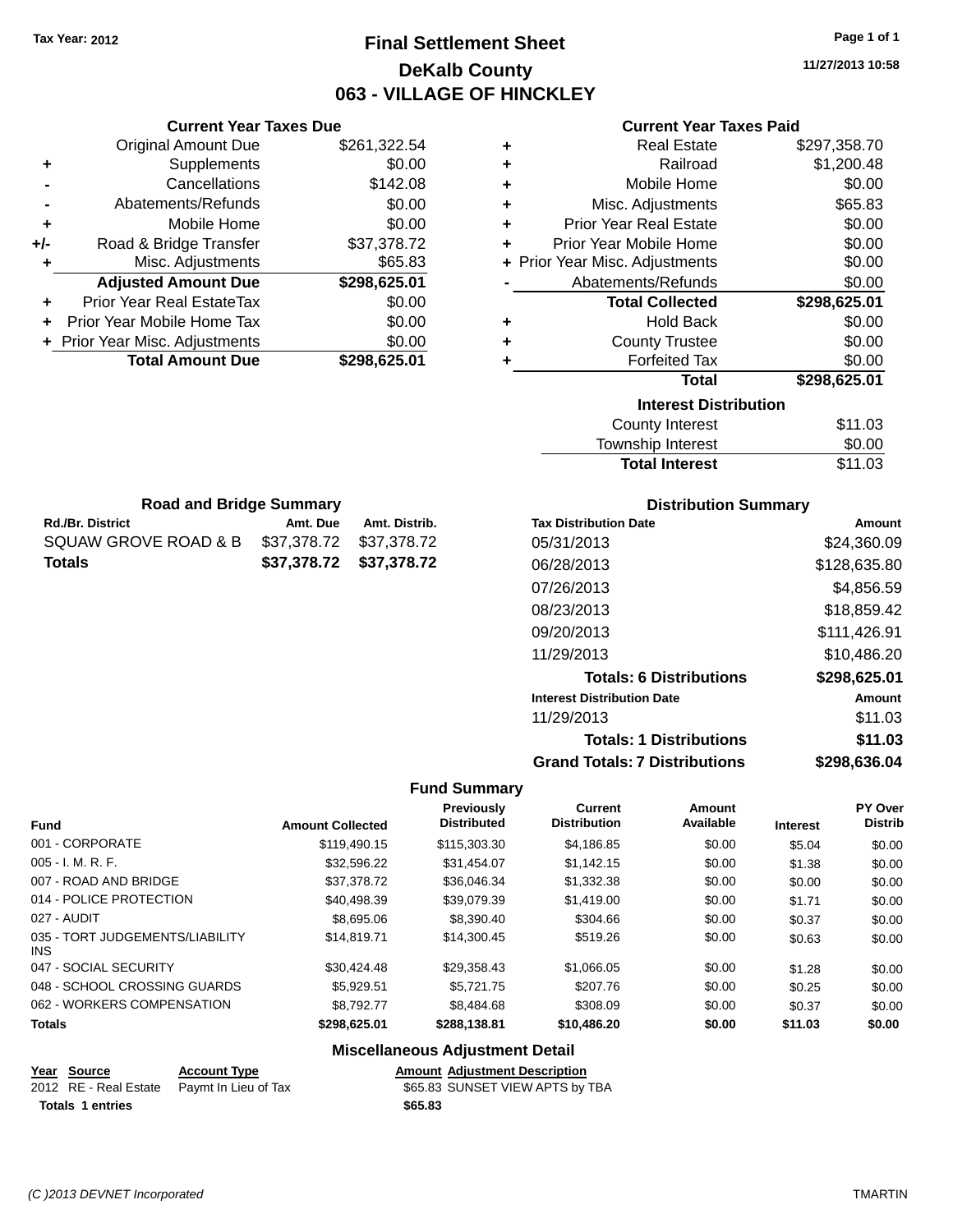# **Final Settlement Sheet Tax Year: 2012 Page 1 of 1 DeKalb County 063 - VILLAGE OF HINCKLEY**

**11/27/2013 10:58**

#### **Current Year Taxes Paid**

|     | <b>Current Year Taxes Due</b>  |              |  |
|-----|--------------------------------|--------------|--|
|     | <b>Original Amount Due</b>     | \$261,322.54 |  |
| ٠   | Supplements                    | \$0.00       |  |
|     | Cancellations                  | \$142.08     |  |
|     | Abatements/Refunds             | \$0.00       |  |
| ٠   | Mobile Home                    | \$0.00       |  |
| +/- | Road & Bridge Transfer         | \$37,378.72  |  |
|     | Misc. Adjustments              | \$65.83      |  |
|     | <b>Adjusted Amount Due</b>     | \$298,625.01 |  |
| ÷   | Prior Year Real EstateTax      | \$0.00       |  |
| ÷   | Prior Year Mobile Home Tax     | \$0.00       |  |
|     | + Prior Year Misc. Adjustments | \$0.00       |  |
|     | <b>Total Amount Due</b>        | \$298,625.01 |  |

**Rd./Br. District Amt. Due Amt. Distrib. Road and Bridge Summary**

SQUAW GROVE ROAD & B \$37,378.72 \$37,378.72 **Totals \$37,378.72 \$37,378.72**

| ٠ | <b>Real Estate</b>             | \$297,358.70 |
|---|--------------------------------|--------------|
| ÷ | Railroad                       | \$1,200.48   |
| ÷ | Mobile Home                    | \$0.00       |
| ٠ | Misc. Adjustments              | \$65.83      |
| ٠ | <b>Prior Year Real Estate</b>  | \$0.00       |
| ٠ | Prior Year Mobile Home         | \$0.00       |
|   | + Prior Year Misc. Adjustments | \$0.00       |
|   | Abatements/Refunds             | \$0.00       |
|   | <b>Total Collected</b>         | \$298,625.01 |
|   |                                |              |
| ٠ | <b>Hold Back</b>               | \$0.00       |
| ÷ | <b>County Trustee</b>          | \$0.00       |
| ٠ | <b>Forfeited Tax</b>           | \$0.00       |
|   | <b>Total</b>                   | \$298,625.01 |
|   | <b>Interest Distribution</b>   |              |
|   | <b>County Interest</b>         | \$11.03      |

| <b>Total Interest</b> | \$11.03 |
|-----------------------|---------|
| Township Interest     | \$0.00  |
| County Interest       | \$11.03 |

| <b>Distribution Summary</b>          |               |
|--------------------------------------|---------------|
| <b>Tax Distribution Date</b>         | <b>Amount</b> |
| 05/31/2013                           | \$24.360.09   |
| 06/28/2013                           | \$128,635.80  |
| 07/26/2013                           | \$4,856.59    |
| 08/23/2013                           | \$18,859.42   |
| 09/20/2013                           | \$111,426.91  |
| 11/29/2013                           | \$10.486.20   |
| <b>Totals: 6 Distributions</b>       | \$298,625.01  |
| <b>Interest Distribution Date</b>    | <b>Amount</b> |
| 11/29/2013                           | \$11.03       |
| <b>Totals: 1 Distributions</b>       | \$11.03       |
| <b>Grand Totals: 7 Distributions</b> | \$298,636.04  |

#### **Fund Summary**

 $\overline{\phantom{0}}$ 

| <b>Fund</b>                             | <b>Amount Collected</b> | Previously<br><b>Distributed</b> | <b>Current</b><br><b>Distribution</b> | Amount<br>Available | <b>Interest</b> | <b>PY Over</b><br><b>Distrib</b> |
|-----------------------------------------|-------------------------|----------------------------------|---------------------------------------|---------------------|-----------------|----------------------------------|
| 001 - CORPORATE                         | \$119,490.15            | \$115,303,30                     | \$4,186.85                            | \$0.00              | \$5.04          | \$0.00                           |
| $005 - I. M. R. F.$                     | \$32,596.22             | \$31,454.07                      | \$1,142.15                            | \$0.00              | \$1.38          | \$0.00                           |
| 007 - ROAD AND BRIDGE                   | \$37,378.72             | \$36,046.34                      | \$1,332.38                            | \$0.00              | \$0.00          | \$0.00                           |
| 014 - POLICE PROTECTION                 | \$40.498.39             | \$39.079.39                      | \$1,419.00                            | \$0.00              | \$1.71          | \$0.00                           |
| 027 - AUDIT                             | \$8,695.06              | \$8,390.40                       | \$304.66                              | \$0.00              | \$0.37          | \$0.00                           |
| 035 - TORT JUDGEMENTS/LIABILITY<br>INS. | \$14.819.71             | \$14,300.45                      | \$519.26                              | \$0.00              | \$0.63          | \$0.00                           |
| 047 - SOCIAL SECURITY                   | \$30.424.48             | \$29.358.43                      | \$1,066.05                            | \$0.00              | \$1.28          | \$0.00                           |
| 048 - SCHOOL CROSSING GUARDS            | \$5.929.51              | \$5.721.75                       | \$207.76                              | \$0.00              | \$0.25          | \$0.00                           |
| 062 - WORKERS COMPENSATION              | \$8.792.77              | \$8,484.68                       | \$308.09                              | \$0.00              | \$0.37          | \$0.00                           |
| <b>Totals</b>                           | \$298,625.01            | \$288,138.81                     | \$10,486.20                           | \$0.00              | \$11.03         | \$0.00                           |

# **Miscellaneous Adjustment Detail**

| Year Source      | <b>Account Type</b>                        |         | <b>Amount Adiustment Description</b> |
|------------------|--------------------------------------------|---------|--------------------------------------|
|                  | 2012 RE - Real Estate Pavmt In Lieu of Tax |         | \$65.83 SUNSET VIEW APTS by TBA      |
| Totals 1 entries |                                            | \$65.83 |                                      |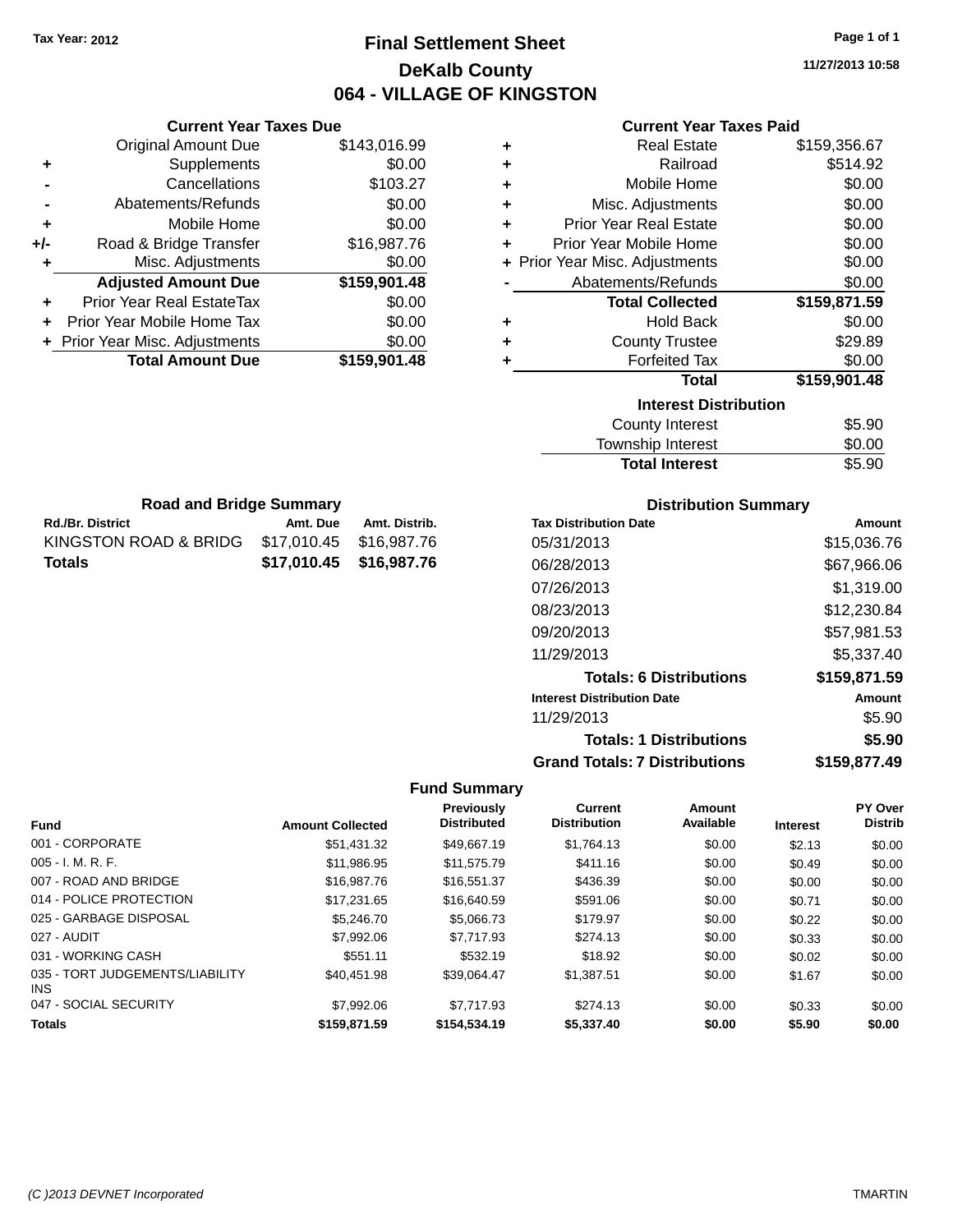# **Final Settlement Sheet Tax Year: 2012 Page 1 of 1 DeKalb County 064 - VILLAGE OF KINGSTON**

**11/27/2013 10:58**

| <b>Current Year Taxes Due</b>    |              |   | Curro                   |
|----------------------------------|--------------|---|-------------------------|
| Original Amount Due              | \$143,016.99 | ٠ | <b>Re</b>               |
| Supplements                      | \$0.00       | ٠ |                         |
| Cancellations                    | \$103.27     | ٠ | Mobi                    |
| Abatements/Refunds               | \$0.00       | ٠ | Misc. Adju              |
| Mobile Home                      | \$0.00       | ÷ | Prior Year Re           |
| Road & Bridge Transfer           | \$16,987.76  | ٠ | Prior Year Mobi         |
| Misc. Adjustments                | \$0.00       |   | + Prior Year Misc. Adju |
| <b>Adjusted Amount Due</b>       | \$159,901.48 |   | Abatements/             |
| <b>Prior Year Real EstateTax</b> | \$0.00       |   | <b>Total C</b>          |
| Prior Year Mobile Home Tax       | \$0.00       | ٠ | н                       |
| + Prior Year Misc. Adjustments   | \$0.00       | ٠ | County                  |
| <b>Total Amount Due</b>          | \$159,901.48 |   | Forf                    |
|                                  |              |   |                         |
|                                  |              |   |                         |

| ٠ | <b>Real Estate</b>             | \$159,356.67 |
|---|--------------------------------|--------------|
| ÷ | Railroad                       | \$514.92     |
| ÷ | Mobile Home                    | \$0.00       |
| ٠ | Misc. Adjustments              | \$0.00       |
| ÷ | <b>Prior Year Real Estate</b>  | \$0.00       |
| ÷ | Prior Year Mobile Home         | \$0.00       |
|   | + Prior Year Misc. Adjustments | \$0.00       |
|   | Abatements/Refunds             | \$0.00       |
|   | <b>Total Collected</b>         | \$159,871.59 |
| ٠ | Hold Back                      | \$0.00       |
| ÷ | <b>County Trustee</b>          | \$29.89      |
| ٠ | <b>Forfeited Tax</b>           | \$0.00       |
|   | <b>Total</b>                   | \$159,901.48 |
|   | <b>Interest Distribution</b>   |              |
|   | County Interest                | \$5.90       |

| <b>Total Interest</b> | \$5.90 |
|-----------------------|--------|
| Township Interest     | \$0.00 |
| County Interest       | \$5.90 |

| <b>Road and Bridge Summary</b>                |          |                         |  |  |
|-----------------------------------------------|----------|-------------------------|--|--|
| <b>Rd./Br. District</b>                       | Amt. Due | Amt. Distrib.           |  |  |
| KINGSTON ROAD & BRIDG \$17,010.45 \$16,987.76 |          |                         |  |  |
| Totals                                        |          | \$17,010.45 \$16,987.76 |  |  |

### **Distribution Summary**

| <b>Tax Distribution Date</b>         | Amount       |
|--------------------------------------|--------------|
| 05/31/2013                           | \$15,036.76  |
| 06/28/2013                           | \$67,966.06  |
| 07/26/2013                           | \$1,319.00   |
| 08/23/2013                           | \$12,230.84  |
| 09/20/2013                           | \$57,981.53  |
| 11/29/2013                           | \$5,337.40   |
| <b>Totals: 6 Distributions</b>       | \$159,871.59 |
| <b>Interest Distribution Date</b>    | Amount       |
| 11/29/2013                           | \$5.90       |
| <b>Totals: 1 Distributions</b>       | \$5.90       |
| <b>Grand Totals: 7 Distributions</b> | \$159,877.49 |

| <b>Fund</b>                             | <b>Amount Collected</b> | <b>Previously</b><br><b>Distributed</b> | <b>Current</b><br><b>Distribution</b> | <b>Amount</b><br>Available | <b>Interest</b> | PY Over<br><b>Distrib</b> |
|-----------------------------------------|-------------------------|-----------------------------------------|---------------------------------------|----------------------------|-----------------|---------------------------|
| 001 - CORPORATE                         | \$51,431.32             | \$49.667.19                             | \$1,764.13                            | \$0.00                     | \$2.13          | \$0.00                    |
| $005 - I. M. R. F.$                     | \$11.986.95             | \$11.575.79                             | \$411.16                              | \$0.00                     | \$0.49          | \$0.00                    |
| 007 - ROAD AND BRIDGE                   | \$16,987.76             | \$16.551.37                             | \$436.39                              | \$0.00                     | \$0.00          | \$0.00                    |
| 014 - POLICE PROTECTION                 | \$17.231.65             | \$16,640.59                             | \$591.06                              | \$0.00                     | \$0.71          | \$0.00                    |
| 025 - GARBAGE DISPOSAL                  | \$5,246,70              | \$5,066.73                              | \$179.97                              | \$0.00                     | \$0.22          | \$0.00                    |
| 027 - AUDIT                             | \$7,992.06              | \$7,717.93                              | \$274.13                              | \$0.00                     | \$0.33          | \$0.00                    |
| 031 - WORKING CASH                      | \$551.11                | \$532.19                                | \$18.92                               | \$0.00                     | \$0.02          | \$0.00                    |
| 035 - TORT JUDGEMENTS/LIABILITY<br>INS. | \$40.451.98             | \$39,064.47                             | \$1,387.51                            | \$0.00                     | \$1.67          | \$0.00                    |
| 047 - SOCIAL SECURITY                   | \$7,992.06              | \$7.717.93                              | \$274.13                              | \$0.00                     | \$0.33          | \$0.00                    |
| <b>Totals</b>                           | \$159,871.59            | \$154,534.19                            | \$5,337.40                            | \$0.00                     | \$5.90          | \$0.00                    |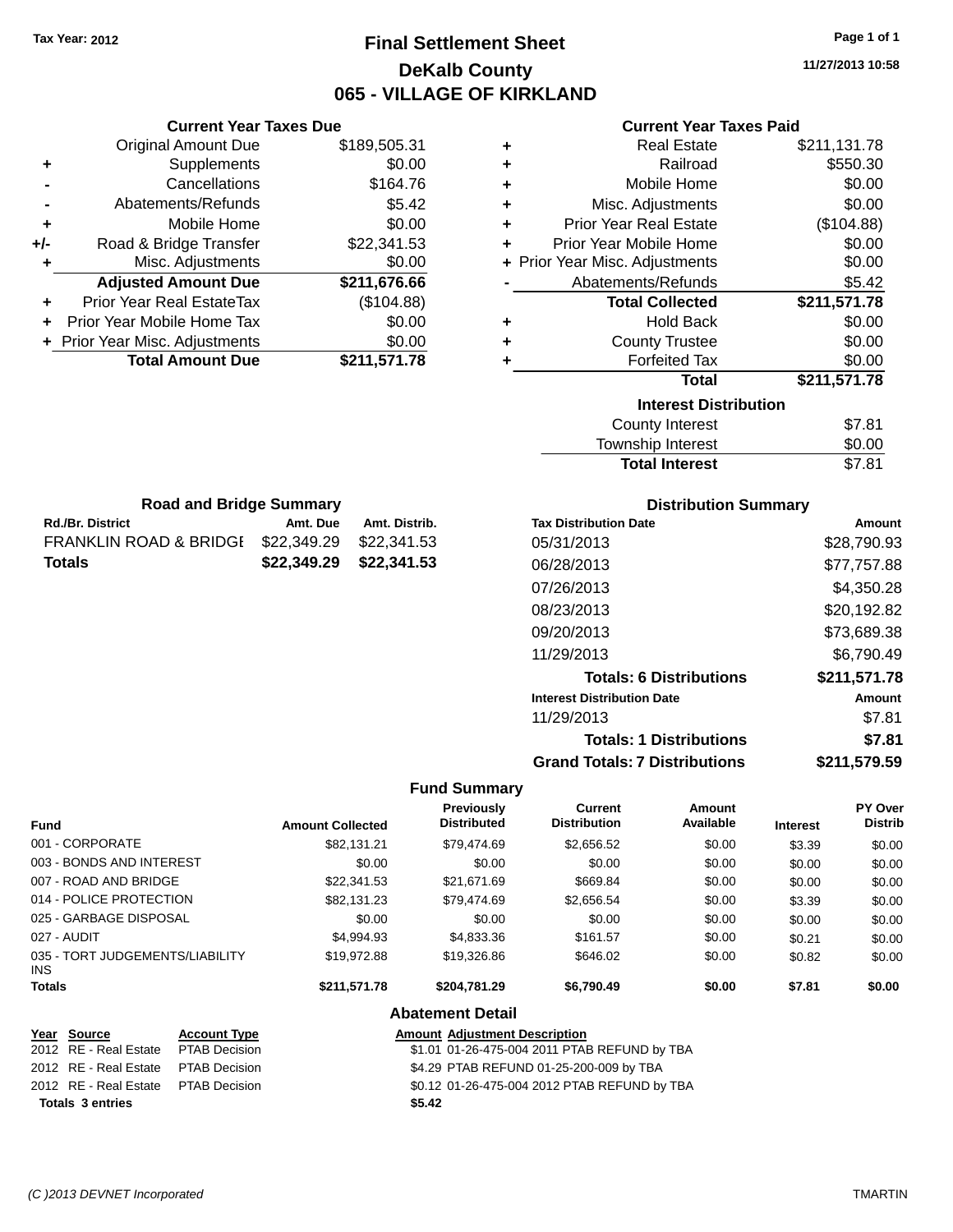# **Final Settlement Sheet Tax Year: 2012 Page 1 of 1 DeKalb County 065 - VILLAGE OF KIRKLAND**

**11/27/2013 10:58**

### **Current Year Taxes Paid**

|     | <b>Current Year Taxes Due</b>    |              |
|-----|----------------------------------|--------------|
|     | <b>Original Amount Due</b>       | \$189,505.31 |
| ٠   | Supplements                      | \$0.00       |
|     | Cancellations                    | \$164.76     |
|     | Abatements/Refunds               | \$5.42       |
| ٠   | Mobile Home                      | \$0.00       |
| +/- | Road & Bridge Transfer           | \$22,341.53  |
| ٠   | Misc. Adjustments                | \$0.00       |
|     | <b>Adjusted Amount Due</b>       | \$211,676.66 |
|     | <b>Prior Year Real EstateTax</b> | (\$104.88)   |
|     | Prior Year Mobile Home Tax       | \$0.00       |
|     | + Prior Year Misc. Adjustments   | \$0.00       |
|     | <b>Total Amount Due</b>          | \$211,571.78 |
|     |                                  |              |

**Rd./Br. District Amt. Due Amt. Distrib. Road and Bridge Summary**

FRANKLIN ROAD & BRIDGE \$22,349.29 \$22,341.53 **Totals \$22,349.29 \$22,341.53**

| ٠ | <b>Real Estate</b>             | \$211,131.78 |
|---|--------------------------------|--------------|
| ٠ | Railroad                       | \$550.30     |
| ÷ | Mobile Home                    | \$0.00       |
| ÷ | Misc. Adjustments              | \$0.00       |
| ٠ | <b>Prior Year Real Estate</b>  | (\$104.88)   |
| ٠ | Prior Year Mobile Home         | \$0.00       |
|   | + Prior Year Misc. Adjustments | \$0.00       |
|   | Abatements/Refunds             | \$5.42       |
|   | <b>Total Collected</b>         | \$211,571.78 |
| ٠ | <b>Hold Back</b>               | \$0.00       |
| ÷ | <b>County Trustee</b>          | \$0.00       |
| ٠ | <b>Forfeited Tax</b>           | \$0.00       |
|   | <b>Total</b>                   | \$211,571.78 |
|   | <b>Interest Distribution</b>   |              |
|   | <b>County Interest</b>         | \$7.81       |
|   | Township Interest              | \$0.00       |
|   | <b>Total Interest</b>          | \$7.81       |

| <b>Distribution Summary</b>          |              |
|--------------------------------------|--------------|
| <b>Tax Distribution Date</b>         | Amount       |
| 05/31/2013                           | \$28,790.93  |
| 06/28/2013                           | \$77,757.88  |
| 07/26/2013                           | \$4,350.28   |
| 08/23/2013                           | \$20,192.82  |
| 09/20/2013                           | \$73,689.38  |
| 11/29/2013                           | \$6,790.49   |
| <b>Totals: 6 Distributions</b>       | \$211,571.78 |
| <b>Interest Distribution Date</b>    | Amount       |
| 11/29/2013                           | \$7.81       |
| <b>Totals: 1 Distributions</b>       | \$7.81       |
| <b>Grand Totals: 7 Distributions</b> | \$211,579.59 |

#### **Fund Summary**

| <b>Fund</b>                             | <b>Amount Collected</b> | <b>Previously</b><br><b>Distributed</b> | Current<br><b>Distribution</b> | Amount<br>Available | <b>Interest</b> | PY Over<br><b>Distrib</b> |
|-----------------------------------------|-------------------------|-----------------------------------------|--------------------------------|---------------------|-----------------|---------------------------|
| 001 - CORPORATE                         | \$82.131.21             | \$79.474.69                             | \$2,656.52                     | \$0.00              | \$3.39          | \$0.00                    |
| 003 - BONDS AND INTEREST                | \$0.00                  | \$0.00                                  | \$0.00                         | \$0.00              | \$0.00          | \$0.00                    |
| 007 - ROAD AND BRIDGE                   | \$22,341.53             | \$21.671.69                             | \$669.84                       | \$0.00              | \$0.00          | \$0.00                    |
| 014 - POLICE PROTECTION                 | \$82.131.23             | \$79.474.69                             | \$2,656.54                     | \$0.00              | \$3.39          | \$0.00                    |
| 025 - GARBAGE DISPOSAL                  | \$0.00                  | \$0.00                                  | \$0.00                         | \$0.00              | \$0.00          | \$0.00                    |
| 027 - AUDIT                             | \$4.994.93              | \$4,833,36                              | \$161.57                       | \$0.00              | \$0.21          | \$0.00                    |
| 035 - TORT JUDGEMENTS/LIABILITY<br>INS. | \$19,972.88             | \$19,326.86                             | \$646.02                       | \$0.00              | \$0.82          | \$0.00                    |
| <b>Totals</b>                           | \$211.571.78            | \$204.781.29                            | \$6.790.49                     | \$0.00              | \$7.81          | \$0.00                    |
|                                         |                         | <b>Abatement Detail</b>                 |                                |                     |                 |                           |

#### **Year Source Account Type Amount Adjustment Description**

|                                      | 1.011                                        |
|--------------------------------------|----------------------------------------------|
| 2012 RE - Real Estate  PTAB Decision | \$1.01 01-26-475-004 2011 PTAB REFUND by TBA |
| 2012 RE - Real Estate  PTAB Decision | \$4.29 PTAB REFUND 01-25-200-009 by TBA      |
| 2012 RE - Real Estate  PTAB Decision | \$0.12 01-26-475-004 2012 PTAB REFUND by TBA |
| <b>Totals 3 entries</b>              | \$5.42                                       |
|                                      |                                              |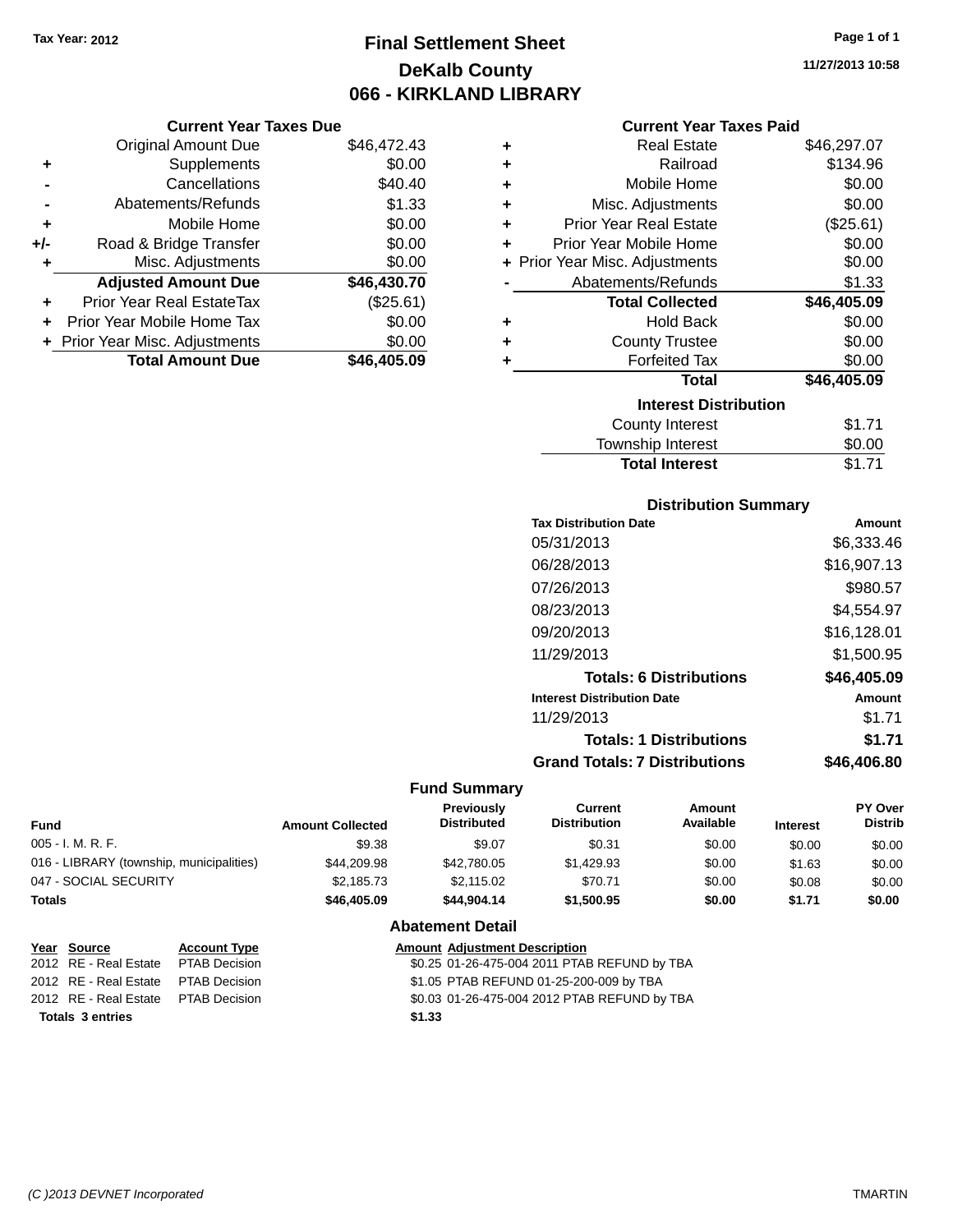# **Final Settlement Sheet Tax Year: 2012 Page 1 of 1 DeKalb County 066 - KIRKLAND LIBRARY**

**11/27/2013 10:58**

#### **Current Year Taxes Paid**

|     | <b>Current Year Taxes Due</b>  |             |
|-----|--------------------------------|-------------|
|     | <b>Original Amount Due</b>     | \$46,472.43 |
| ٠   | Supplements                    | \$0.00      |
|     | Cancellations                  | \$40.40     |
|     | Abatements/Refunds             | \$1.33      |
| ٠   | Mobile Home                    | \$0.00      |
| +/- | Road & Bridge Transfer         | \$0.00      |
| ٠   | Misc. Adjustments              | \$0.00      |
|     | <b>Adjusted Amount Due</b>     | \$46,430.70 |
| ٠   | Prior Year Real EstateTax      | (\$25.61)   |
| ÷   | Prior Year Mobile Home Tax     | \$0.00      |
|     | + Prior Year Misc. Adjustments | \$0.00      |
|     | <b>Total Amount Due</b>        | \$46.405.09 |

| ٠ | <b>Real Estate</b>             | \$46,297.07 |
|---|--------------------------------|-------------|
| ٠ | Railroad                       | \$134.96    |
| ٠ | Mobile Home                    | \$0.00      |
| ٠ | Misc. Adjustments              | \$0.00      |
| ٠ | Prior Year Real Estate         | (\$25.61)   |
| ÷ | Prior Year Mobile Home         | \$0.00      |
|   | + Prior Year Misc. Adjustments | \$0.00      |
|   | Abatements/Refunds             | \$1.33      |
|   | <b>Total Collected</b>         | \$46,405.09 |
| ٠ | <b>Hold Back</b>               | \$0.00      |
| ٠ | <b>County Trustee</b>          | \$0.00      |
| ٠ | <b>Forfeited Tax</b>           | \$0.00      |
|   | <b>Total</b>                   | \$46,405.09 |
|   | <b>Interest Distribution</b>   |             |
|   | <b>County Interest</b>         | \$1.71      |
|   | <b>Township Interest</b>       | \$0.00      |
|   | <b>Total Interest</b>          | \$1.71      |

### **Distribution Summary**

| <b>Tax Distribution Date</b>         | Amount      |
|--------------------------------------|-------------|
| 05/31/2013                           | \$6,333.46  |
| 06/28/2013                           | \$16,907.13 |
| 07/26/2013                           | \$980.57    |
| 08/23/2013                           | \$4,554.97  |
| 09/20/2013                           | \$16,128.01 |
| 11/29/2013                           | \$1,500.95  |
| <b>Totals: 6 Distributions</b>       | \$46,405.09 |
| <b>Interest Distribution Date</b>    | Amount      |
| 11/29/2013                           | \$1.71      |
| <b>Totals: 1 Distributions</b>       | \$1.71      |
| <b>Grand Totals: 7 Distributions</b> | \$46.406.80 |

| <b>Fund</b>                              | <b>Amount Collected</b> | <b>Previously</b><br><b>Distributed</b> | Current<br><b>Distribution</b> | Amount<br>Available | <b>Interest</b> | PY Over<br><b>Distrib</b> |
|------------------------------------------|-------------------------|-----------------------------------------|--------------------------------|---------------------|-----------------|---------------------------|
| 005 - I. M. R. F.                        | \$9.38                  | \$9.07                                  | \$0.31                         | \$0.00              | \$0.00          | \$0.00                    |
| 016 - LIBRARY (township, municipalities) | \$44.209.98             | \$42,780.05                             | \$1.429.93                     | \$0.00              | \$1.63          | \$0.00                    |
| 047 - SOCIAL SECURITY                    | \$2,185.73              | \$2,115.02                              | \$70.71                        | \$0.00              | \$0.08          | \$0.00                    |
| <b>Totals</b>                            | \$46,405.09             | \$44.904.14                             | \$1,500.95                     | \$0.00              | \$1.71          | \$0.00                    |
|                                          |                         | <b>Abatement Detail</b>                 |                                |                     |                 |                           |

| Year Source                         | <b>Account Type</b> |        | <b>Amount Adjustment Description</b>         |
|-------------------------------------|---------------------|--------|----------------------------------------------|
| 2012 RE - Real Estate               | PTAB Decision       |        | \$0.25 01-26-475-004 2011 PTAB REFUND by TBA |
| 2012 RE - Real Estate PTAB Decision |                     |        | \$1.05 PTAB REFUND 01-25-200-009 by TBA      |
| 2012 RE - Real Estate PTAB Decision |                     |        | \$0.03 01-26-475-004 2012 PTAB REFUND by TBA |
| <b>Totals 3 entries</b>             |                     | \$1.33 |                                              |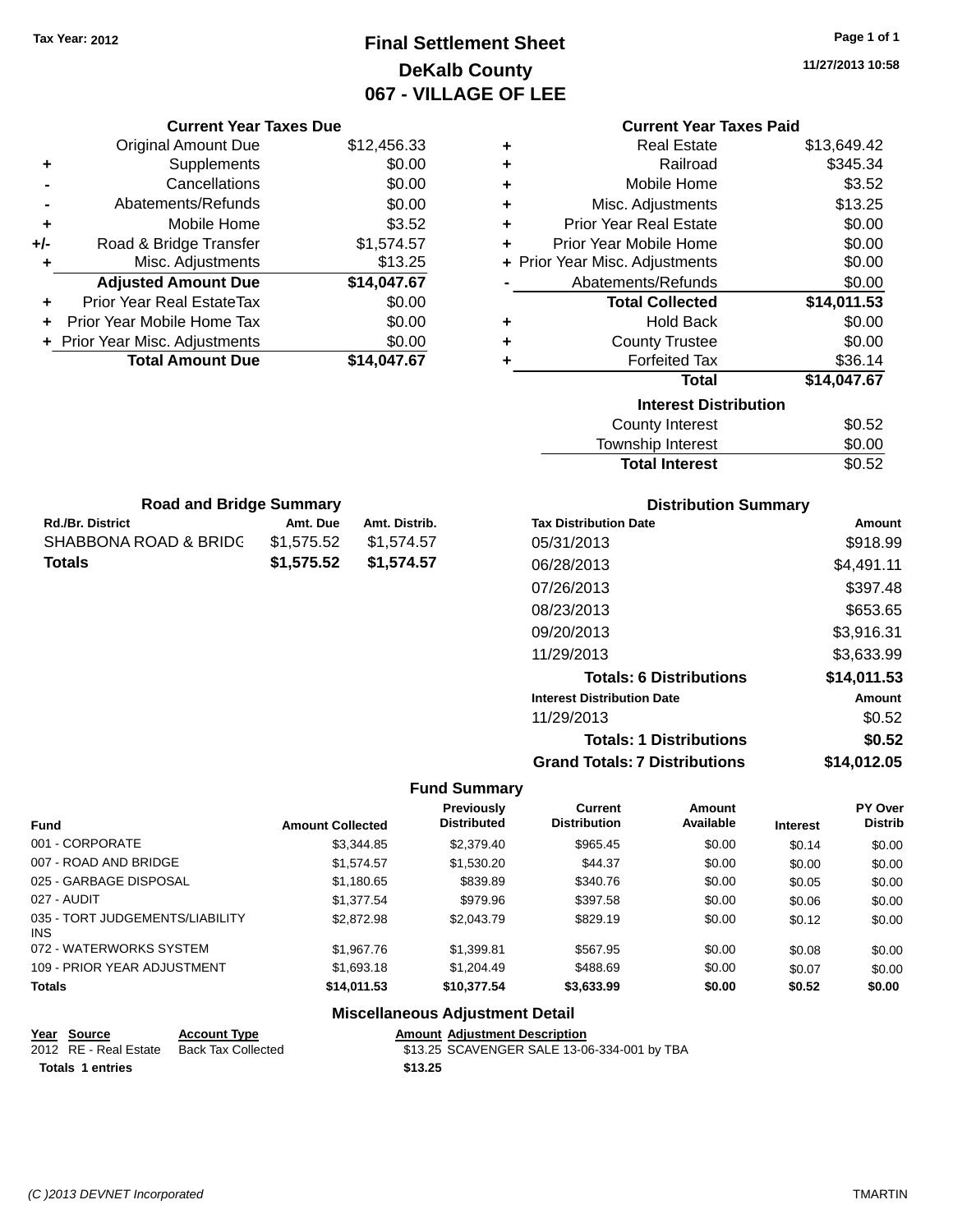# **Final Settlement Sheet Tax Year: 2012 Page 1 of 1 DeKalb County 067 - VILLAGE OF LEE**

**11/27/2013 10:58**

|                         | <b>Current Year Taxes Due</b>    |                         |                                        |                                      |                                             | <b>Current Year Taxes Paid</b> |                 |                                  |
|-------------------------|----------------------------------|-------------------------|----------------------------------------|--------------------------------------|---------------------------------------------|--------------------------------|-----------------|----------------------------------|
|                         | <b>Original Amount Due</b>       |                         | \$12,456.33                            | ٠                                    |                                             | <b>Real Estate</b>             |                 | \$13,649.42                      |
| ٠                       | Supplements                      |                         | \$0.00                                 | +                                    |                                             | Railroad                       |                 | \$345.34                         |
|                         | Cancellations                    |                         | \$0.00                                 | ٠                                    |                                             | Mobile Home                    |                 | \$3.52                           |
|                         | Abatements/Refunds               |                         | \$0.00                                 | ٠                                    |                                             | Misc. Adjustments              |                 | \$13.25                          |
| ٠                       | Mobile Home                      |                         | \$3.52                                 | ٠                                    | <b>Prior Year Real Estate</b>               |                                |                 | \$0.00                           |
| +/-                     | Road & Bridge Transfer           |                         | \$1,574.57                             | ٠                                    | Prior Year Mobile Home                      |                                |                 | \$0.00                           |
| ٠                       | Misc. Adjustments                |                         | \$13.25                                | ÷.                                   | Prior Year Misc. Adjustments                |                                |                 | \$0.00                           |
|                         | <b>Adjusted Amount Due</b>       |                         | \$14,047.67                            |                                      | Abatements/Refunds                          |                                |                 | \$0.00                           |
|                         | Prior Year Real EstateTax        |                         | \$0.00                                 |                                      |                                             | <b>Total Collected</b>         |                 | \$14,011.53                      |
|                         | Prior Year Mobile Home Tax       |                         | \$0.00                                 | ٠                                    |                                             | <b>Hold Back</b>               |                 | \$0.00                           |
|                         | Prior Year Misc. Adjustments     |                         | \$0.00                                 | ٠                                    |                                             | <b>County Trustee</b>          |                 | \$0.00                           |
|                         | <b>Total Amount Due</b>          |                         | \$14,047.67                            | ٠                                    |                                             | <b>Forfeited Tax</b>           |                 | \$36.14                          |
|                         |                                  |                         |                                        |                                      |                                             | <b>Total</b>                   |                 | \$14,047.67                      |
|                         |                                  |                         |                                        |                                      |                                             | <b>Interest Distribution</b>   |                 |                                  |
|                         |                                  |                         |                                        |                                      |                                             | <b>County Interest</b>         |                 | \$0.52                           |
|                         |                                  |                         |                                        |                                      |                                             | Township Interest              |                 | \$0.00                           |
|                         |                                  |                         |                                        |                                      |                                             | <b>Total Interest</b>          |                 | \$0.52                           |
|                         | <b>Road and Bridge Summary</b>   |                         |                                        |                                      |                                             | <b>Distribution Summary</b>    |                 |                                  |
| <b>Rd./Br. District</b> |                                  | Amt. Due                | Amt. Distrib.                          |                                      | <b>Tax Distribution Date</b>                |                                |                 | Amount                           |
|                         | <b>SHABBONA ROAD &amp; BRIDG</b> | \$1,575.52              | \$1,574.57                             |                                      | 05/31/2013                                  |                                |                 | \$918.99                         |
| <b>Totals</b>           |                                  | \$1,575.52              | \$1,574.57                             |                                      | 06/28/2013                                  |                                |                 | \$4,491.11                       |
|                         |                                  |                         |                                        |                                      | 07/26/2013                                  |                                |                 | \$397.48                         |
|                         |                                  |                         |                                        |                                      | 08/23/2013                                  |                                |                 | \$653.65                         |
|                         |                                  |                         |                                        |                                      | 09/20/2013                                  |                                |                 | \$3,916.31                       |
|                         |                                  |                         |                                        |                                      |                                             |                                |                 |                                  |
|                         |                                  |                         |                                        |                                      | 11/29/2013                                  |                                |                 | \$3,633.99                       |
|                         |                                  |                         |                                        |                                      |                                             | <b>Totals: 6 Distributions</b> |                 | \$14,011.53                      |
|                         |                                  |                         |                                        |                                      | <b>Interest Distribution Date</b>           |                                |                 | <b>Amount</b>                    |
|                         |                                  |                         |                                        |                                      | 11/29/2013                                  |                                |                 | \$0.52                           |
|                         |                                  |                         |                                        |                                      |                                             | <b>Totals: 1 Distributions</b> |                 | \$0.52                           |
|                         |                                  |                         |                                        |                                      | <b>Grand Totals: 7 Distributions</b>        |                                |                 | \$14,012.05                      |
|                         |                                  |                         |                                        | <b>Fund Summary</b>                  |                                             |                                |                 |                                  |
| <b>Fund</b>             |                                  | <b>Amount Collected</b> |                                        | Previously<br><b>Distributed</b>     | <b>Current</b><br><b>Distribution</b>       | <b>Amount</b><br>Available     | <b>Interest</b> | <b>PY Over</b><br><b>Distrib</b> |
| 001 - CORPORATE         |                                  |                         | \$3,344.85                             | \$2,379.40                           | \$965.45                                    | \$0.00                         | \$0.14          | \$0.00                           |
| 007 - ROAD AND BRIDGE   |                                  |                         | \$1,574.57                             | \$1,530.20                           | \$44.37                                     | \$0.00                         | \$0.00          | \$0.00                           |
| 025 - GARBAGE DISPOSAL  |                                  |                         | \$1,180.65                             | \$839.89                             | \$340.76                                    | \$0.00                         | \$0.05          | \$0.00                           |
| 027 - AUDIT             |                                  |                         | \$1,377.54                             | \$979.96                             | \$397.58                                    | \$0.00                         | \$0.06          | \$0.00                           |
| <b>INS</b>              | 035 - TORT JUDGEMENTS/LIABILITY  |                         | \$2,872.98                             | \$2,043.79                           | \$829.19                                    | \$0.00                         | \$0.12          | \$0.00                           |
|                         | 072 - WATERWORKS SYSTEM          |                         | \$1,967.76                             | \$1,399.81                           | \$567.95                                    | \$0.00                         | \$0.08          | \$0.00                           |
|                         | 109 - PRIOR YEAR ADJUSTMENT      |                         | \$1,693.18                             | \$1,204.49                           | \$488.69                                    | \$0.00                         | \$0.07          | \$0.00                           |
| Totals                  |                                  |                         | \$14,011.53                            | \$10,377.54                          | \$3,633.99                                  | \$0.00                         | \$0.52          | \$0.00                           |
|                         |                                  |                         | <b>Miscellaneous Adjustment Detail</b> |                                      |                                             |                                |                 |                                  |
| Year Source             | <b>Account Type</b>              |                         |                                        | <b>Amount Adjustment Description</b> |                                             |                                |                 |                                  |
| 2012 RE - Real Estate   | <b>Back Tax Collected</b>        |                         |                                        |                                      | \$13.25 SCAVENGER SALE 13-06-334-001 by TBA |                                |                 |                                  |

**Totals 1 entries \$13.25**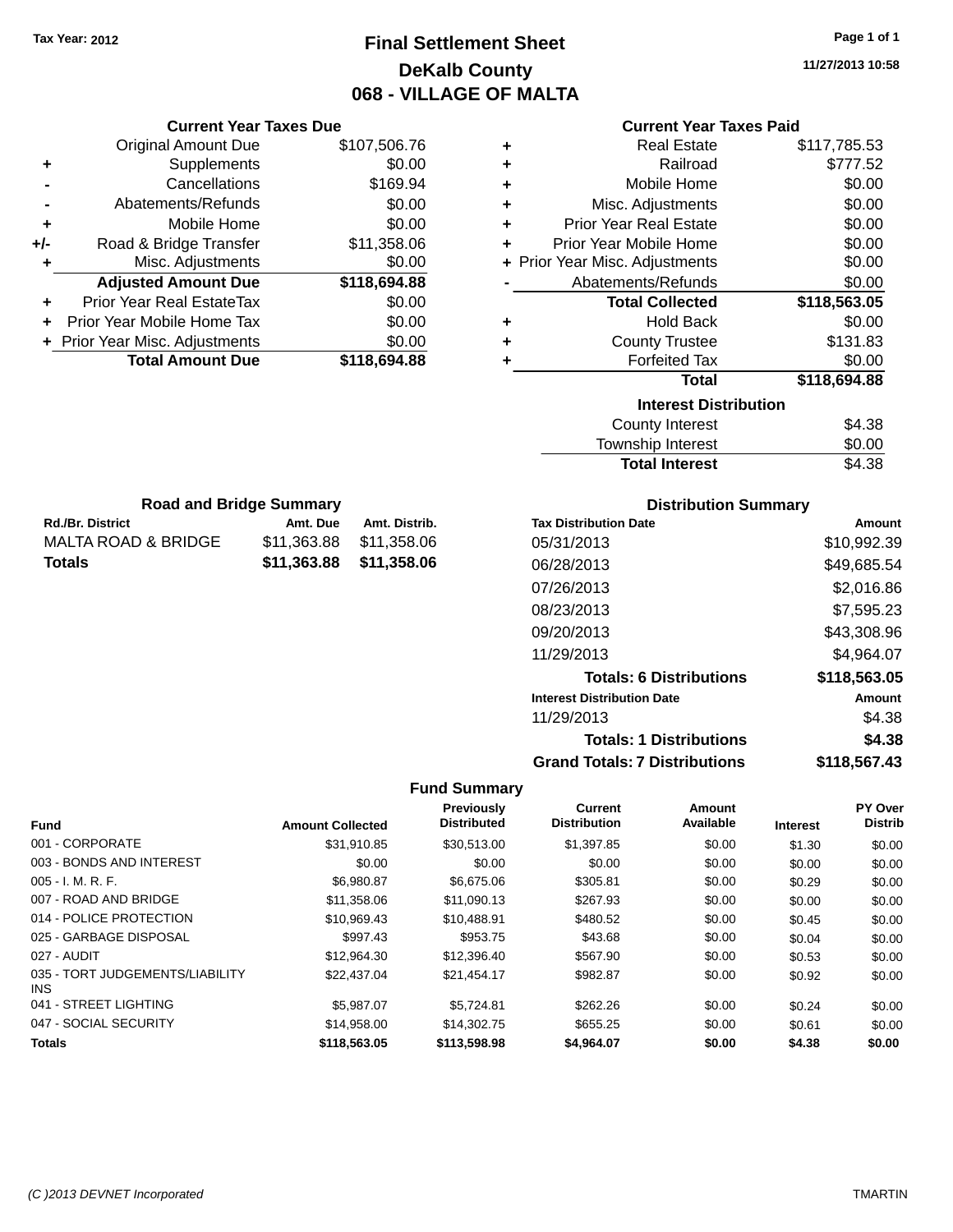# **Final Settlement Sheet Tax Year: 2012 Page 1 of 1 DeKalb County 068 - VILLAGE OF MALTA**

### **Current Year Taxes Paid**

|     | <b>Current Year Taxes Due</b>  |              |  |  |  |  |
|-----|--------------------------------|--------------|--|--|--|--|
|     | <b>Original Amount Due</b>     | \$107,506.76 |  |  |  |  |
| ٠   | Supplements                    | \$0.00       |  |  |  |  |
|     | Cancellations                  | \$169.94     |  |  |  |  |
|     | \$0.00<br>Abatements/Refunds   |              |  |  |  |  |
| ٠   | Mobile Home                    | \$0.00       |  |  |  |  |
| +/- | Road & Bridge Transfer         | \$11,358.06  |  |  |  |  |
| ٠   | Misc. Adjustments              | \$0.00       |  |  |  |  |
|     | <b>Adjusted Amount Due</b>     | \$118,694.88 |  |  |  |  |
| ÷   | Prior Year Real EstateTax      | \$0.00       |  |  |  |  |
| ÷   | Prior Year Mobile Home Tax     | \$0.00       |  |  |  |  |
|     | + Prior Year Misc. Adjustments | \$0.00       |  |  |  |  |
|     | <b>Total Amount Due</b>        | \$118,694.88 |  |  |  |  |

**Rd./Br. District Amt. Due Amt. Distrib. Road and Bridge Summary**

MALTA ROAD & BRIDGE \$11,363.88 \$11,358.06 **Totals \$11,363.88 \$11,358.06**

| ٠ | <b>Real Estate</b>             | \$117,785.53 |
|---|--------------------------------|--------------|
| ÷ | Railroad                       | \$777.52     |
| ٠ | Mobile Home                    | \$0.00       |
| ÷ | Misc. Adjustments              | \$0.00       |
| ٠ | <b>Prior Year Real Estate</b>  | \$0.00       |
| ٠ | Prior Year Mobile Home         | \$0.00       |
|   | + Prior Year Misc. Adjustments | \$0.00       |
|   | Abatements/Refunds             | \$0.00       |
|   | <b>Total Collected</b>         | \$118,563.05 |
| ٠ | <b>Hold Back</b>               | \$0.00       |
| ÷ | <b>County Trustee</b>          | \$131.83     |
| ٠ | <b>Forfeited Tax</b>           | \$0.00       |
|   | <b>Total</b>                   | \$118,694.88 |
|   | <b>Interest Distribution</b>   |              |
|   | <b>County Interest</b>         | \$4.38       |
|   | Township Interast              | ድስ ሰስ        |

| <b>Total Interest</b> | \$4.38 |
|-----------------------|--------|
| Township Interest     | \$0.00 |
| County Interest       | \$4.38 |

| <b>Distribution Summary</b> |  |
|-----------------------------|--|
|-----------------------------|--|

| <b>Tax Distribution Date</b>         | Amount       |
|--------------------------------------|--------------|
| 05/31/2013                           | \$10,992.39  |
| 06/28/2013                           | \$49,685.54  |
| 07/26/2013                           | \$2.016.86   |
| 08/23/2013                           | \$7,595.23   |
| 09/20/2013                           | \$43,308.96  |
| 11/29/2013                           | \$4,964.07   |
| <b>Totals: 6 Distributions</b>       | \$118,563.05 |
| <b>Interest Distribution Date</b>    | Amount       |
| 11/29/2013                           | \$4.38       |
| <b>Totals: 1 Distributions</b>       | \$4.38       |
| <b>Grand Totals: 7 Distributions</b> | \$118.567.43 |

| <b>Fund</b>                             | <b>Amount Collected</b> | <b>Previously</b><br><b>Distributed</b> | Current<br><b>Distribution</b> | <b>Amount</b><br>Available | <b>Interest</b> | PY Over<br><b>Distrib</b> |
|-----------------------------------------|-------------------------|-----------------------------------------|--------------------------------|----------------------------|-----------------|---------------------------|
| 001 - CORPORATE                         | \$31,910.85             | \$30,513.00                             | \$1,397.85                     | \$0.00                     | \$1.30          | \$0.00                    |
| 003 - BONDS AND INTEREST                | \$0.00                  | \$0.00                                  | \$0.00                         | \$0.00                     | \$0.00          | \$0.00                    |
| $005 - I. M. R. F.$                     | \$6,980.87              | \$6,675,06                              | \$305.81                       | \$0.00                     | \$0.29          | \$0.00                    |
| 007 - ROAD AND BRIDGE                   | \$11,358.06             | \$11,090.13                             | \$267.93                       | \$0.00                     | \$0.00          | \$0.00                    |
| 014 - POLICE PROTECTION                 | \$10,969.43             | \$10,488.91                             | \$480.52                       | \$0.00                     | \$0.45          | \$0.00                    |
| 025 - GARBAGE DISPOSAL                  | \$997.43                | \$953.75                                | \$43.68                        | \$0.00                     | \$0.04          | \$0.00                    |
| 027 - AUDIT                             | \$12.964.30             | \$12,396.40                             | \$567.90                       | \$0.00                     | \$0.53          | \$0.00                    |
| 035 - TORT JUDGEMENTS/LIABILITY<br>INS. | \$22,437.04             | \$21,454.17                             | \$982.87                       | \$0.00                     | \$0.92          | \$0.00                    |
| 041 - STREET LIGHTING                   | \$5.987.07              | \$5.724.81                              | \$262.26                       | \$0.00                     | \$0.24          | \$0.00                    |
| 047 - SOCIAL SECURITY                   | \$14,958,00             | \$14,302.75                             | \$655.25                       | \$0.00                     | \$0.61          | \$0.00                    |
| <b>Totals</b>                           | \$118,563.05            | \$113,598.98                            | \$4,964.07                     | \$0.00                     | \$4.38          | \$0.00                    |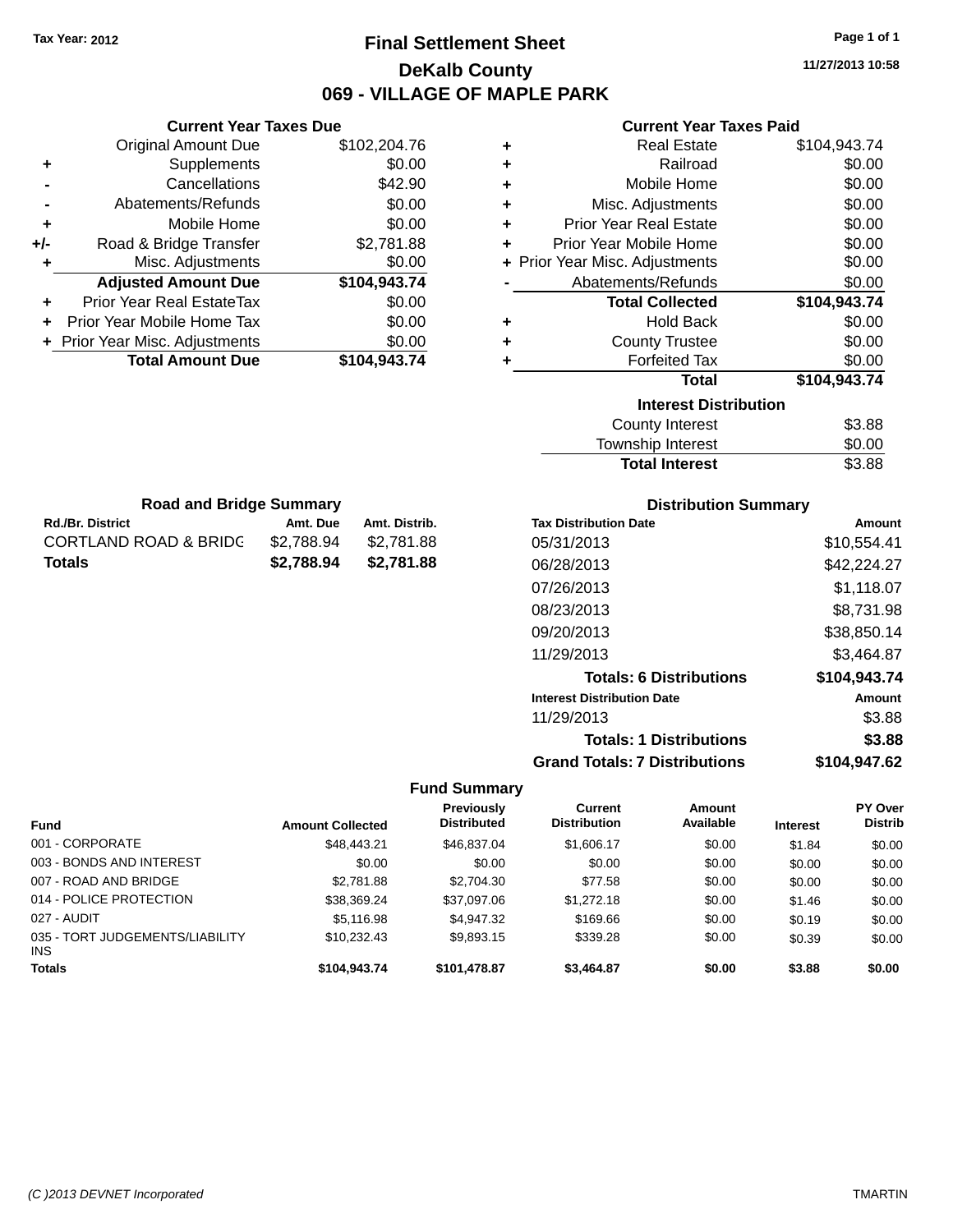# **Final Settlement Sheet Tax Year: 2012 Page 1 of 1 DeKalb County 069 - VILLAGE OF MAPLE PARK**

**11/27/2013 10:58**

### **Current Year Taxes Paid**

|     | <b>Original Amount Due</b>       | \$102,204.76 | ٠ | <b>Real Estate</b>             | \$104,943.74 |
|-----|----------------------------------|--------------|---|--------------------------------|--------------|
| ٠   | Supplements                      | \$0.00       | ٠ | Railroad                       | \$0.00       |
|     | Cancellations                    | \$42.90      | ٠ | Mobile Home                    | \$0.00       |
|     | Abatements/Refunds               | \$0.00       | ٠ | Misc. Adjustments              | \$0.00       |
| ٠   | Mobile Home                      | \$0.00       | ٠ | <b>Prior Year Real Estate</b>  | \$0.00       |
| +/- | Road & Bridge Transfer           | \$2,781.88   | ٠ | Prior Year Mobile Home         | \$0.00       |
|     | Misc. Adjustments                | \$0.00       |   | + Prior Year Misc. Adjustments | \$0.00       |
|     | <b>Adjusted Amount Due</b>       | \$104,943.74 |   | Abatements/Refunds             | \$0.00       |
| ÷.  | <b>Prior Year Real EstateTax</b> | \$0.00       |   | <b>Total Collected</b>         | \$104,943.74 |
|     | Prior Year Mobile Home Tax       | \$0.00       | ٠ | <b>Hold Back</b>               | \$0.00       |
|     | + Prior Year Misc. Adjustments   | \$0.00       | ٠ | <b>County Trustee</b>          | \$0.00       |
|     | <b>Total Amount Due</b>          | \$104,943.74 |   | <b>Forfeited Tax</b>           | \$0.00       |
|     |                                  |              |   | <b>Total</b>                   | \$104,943.74 |
|     |                                  |              |   | <b>Interest Distribution</b>   |              |
|     |                                  |              |   | County Interest                | \$3.88       |
|     |                                  |              |   |                                |              |

 $\overline{\phantom{0}}$ 

| \$3.88 |
|--------|
| \$0.00 |
| \$3.88 |
|        |

| <b>Road and Bridge Summary</b> |            |               |  |  |  |  |
|--------------------------------|------------|---------------|--|--|--|--|
| <b>Rd./Br. District</b>        | Amt. Due   | Amt. Distrib. |  |  |  |  |
| CORTLAND ROAD & BRIDG          | \$2.788.94 | \$2,781.88    |  |  |  |  |
| Totals                         | \$2,788,94 | \$2,781.88    |  |  |  |  |

**Current Year Taxes Due**

#### **Distribution Summary**

| <b>Tax Distribution Date</b>         | Amount       |
|--------------------------------------|--------------|
| 05/31/2013                           | \$10.554.41  |
| 06/28/2013                           | \$42,224.27  |
| 07/26/2013                           | \$1,118.07   |
| 08/23/2013                           | \$8,731.98   |
| 09/20/2013                           | \$38,850.14  |
| 11/29/2013                           | \$3.464.87   |
| <b>Totals: 6 Distributions</b>       | \$104,943.74 |
| <b>Interest Distribution Date</b>    | Amount       |
| 11/29/2013                           | \$3.88       |
| <b>Totals: 1 Distributions</b>       | \$3.88       |
| <b>Grand Totals: 7 Distributions</b> | \$104,947.62 |

| <b>Fund</b>                                   | <b>Amount Collected</b> | Previously<br><b>Distributed</b> | Current<br><b>Distribution</b> | Amount<br>Available | <b>Interest</b> | <b>PY Over</b><br><b>Distrib</b> |
|-----------------------------------------------|-------------------------|----------------------------------|--------------------------------|---------------------|-----------------|----------------------------------|
| 001 - CORPORATE                               | \$48,443.21             | \$46,837.04                      | \$1,606.17                     | \$0.00              | \$1.84          | \$0.00                           |
| 003 - BONDS AND INTEREST                      | \$0.00                  | \$0.00                           | \$0.00                         | \$0.00              | \$0.00          | \$0.00                           |
| 007 - ROAD AND BRIDGE                         | \$2,781.88              | \$2,704.30                       | \$77.58                        | \$0.00              | \$0.00          | \$0.00                           |
| 014 - POLICE PROTECTION                       | \$38,369.24             | \$37,097.06                      | \$1,272.18                     | \$0.00              | \$1.46          | \$0.00                           |
| 027 - AUDIT                                   | \$5,116.98              | \$4,947.32                       | \$169.66                       | \$0.00              | \$0.19          | \$0.00                           |
| 035 - TORT JUDGEMENTS/LIABILITY<br><b>INS</b> | \$10.232.43             | \$9.893.15                       | \$339.28                       | \$0.00              | \$0.39          | \$0.00                           |
| <b>Totals</b>                                 | \$104,943.74            | \$101,478.87                     | \$3,464.87                     | \$0.00              | \$3.88          | \$0.00                           |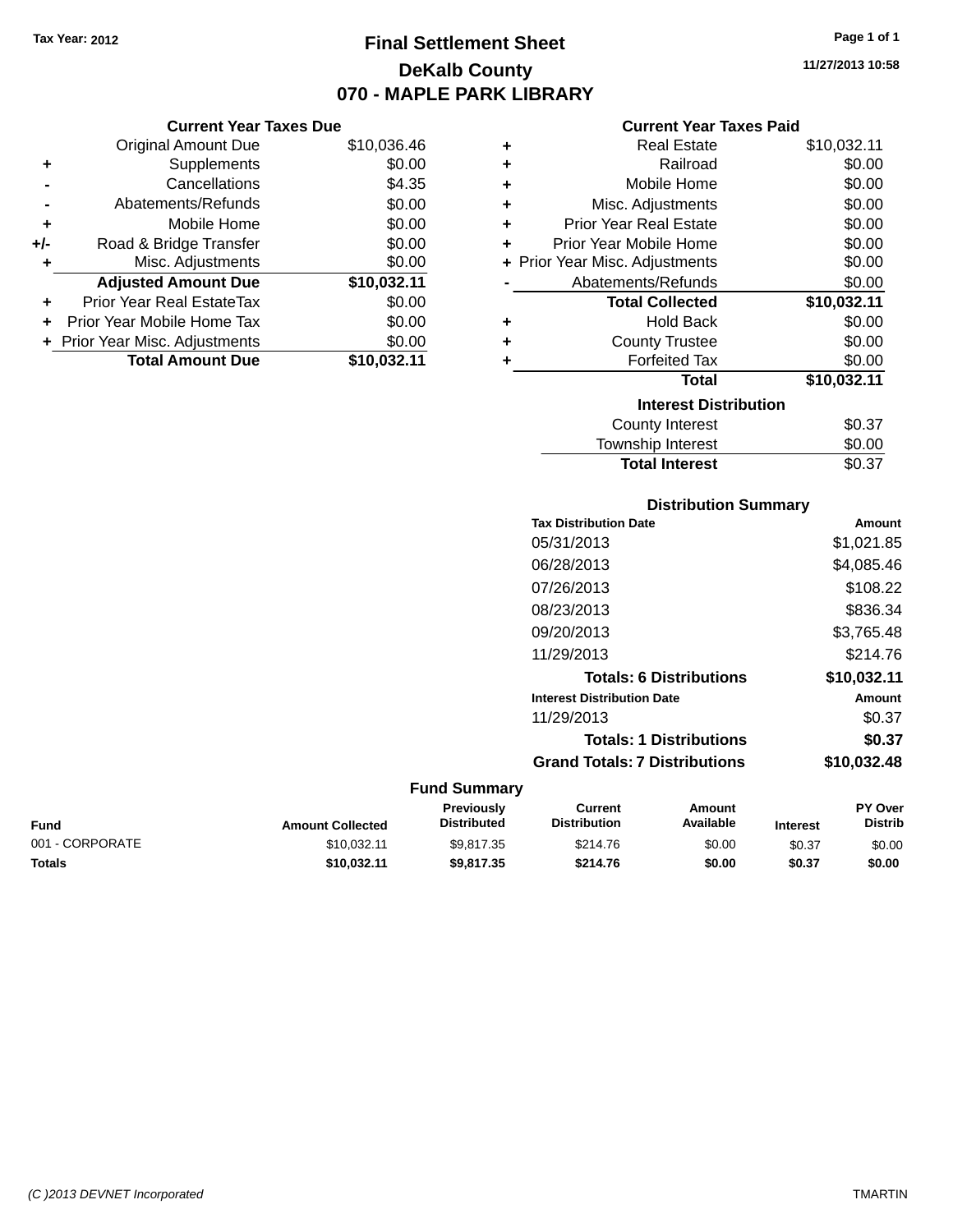# **Final Settlement Sheet Tax Year: 2012 Page 1 of 1 DeKalb County 070 - MAPLE PARK LIBRARY**

**11/27/2013 10:58**

### **Current Year Taxes Paid**

|     | <b>Current Year Taxes Due</b>  |             |
|-----|--------------------------------|-------------|
|     | <b>Original Amount Due</b>     | \$10,036.46 |
| ٠   | Supplements                    | \$0.00      |
|     | Cancellations                  | \$4.35      |
|     | Abatements/Refunds             | \$0.00      |
| ٠   | Mobile Home                    | \$0.00      |
| +/- | Road & Bridge Transfer         | \$0.00      |
| ٠   | Misc. Adjustments              | \$0.00      |
|     | <b>Adjusted Amount Due</b>     | \$10,032.11 |
|     | Prior Year Real EstateTax      | \$0.00      |
|     | Prior Year Mobile Home Tax     | \$0.00      |
|     | + Prior Year Misc. Adjustments | \$0.00      |
|     | <b>Total Amount Due</b>        | \$10.032.11 |

| ٠ | <b>Real Estate</b>             | \$10,032.11 |
|---|--------------------------------|-------------|
| ÷ | Railroad                       | \$0.00      |
| ÷ | Mobile Home                    | \$0.00      |
| ÷ | Misc. Adjustments              | \$0.00      |
| ÷ | <b>Prior Year Real Estate</b>  | \$0.00      |
| ٠ | Prior Year Mobile Home         | \$0.00      |
|   | + Prior Year Misc. Adjustments | \$0.00      |
|   | Abatements/Refunds             | \$0.00      |
|   | <b>Total Collected</b>         | \$10,032.11 |
| ٠ | <b>Hold Back</b>               | \$0.00      |
| ٠ | <b>County Trustee</b>          | \$0.00      |
| ٠ | <b>Forfeited Tax</b>           | \$0.00      |
|   | <b>Total</b>                   | \$10,032.11 |
|   | <b>Interest Distribution</b>   |             |
|   | County Interest                | \$0.37      |
|   | Township Interest              | \$0.00      |
|   | <b>Total Interest</b>          | \$0.37      |

| <b>Distribution Summary</b>          |             |  |  |  |  |
|--------------------------------------|-------------|--|--|--|--|
| <b>Tax Distribution Date</b>         | Amount      |  |  |  |  |
| 05/31/2013                           | \$1,021.85  |  |  |  |  |
| 06/28/2013                           | \$4,085.46  |  |  |  |  |
| 07/26/2013                           | \$108.22    |  |  |  |  |
| 08/23/2013                           | \$836.34    |  |  |  |  |
| 09/20/2013                           | \$3,765.48  |  |  |  |  |
| 11/29/2013                           | \$214.76    |  |  |  |  |
| <b>Totals: 6 Distributions</b>       | \$10,032.11 |  |  |  |  |
| <b>Interest Distribution Date</b>    | Amount      |  |  |  |  |
| 11/29/2013                           | \$0.37      |  |  |  |  |
| <b>Totals: 1 Distributions</b>       | \$0.37      |  |  |  |  |
| <b>Grand Totals: 7 Distributions</b> | \$10,032.48 |  |  |  |  |

| Fund            | <b>Amount Collected</b> | Previously<br><b>Distributed</b> | Current<br><b>Distribution</b> | Amount<br>Available | <b>Interest</b> | <b>PY Over</b><br><b>Distrib</b> |
|-----------------|-------------------------|----------------------------------|--------------------------------|---------------------|-----------------|----------------------------------|
| 001 - CORPORATE | \$10.032.11             | \$9.817.35                       | \$214.76                       | \$0.00              | \$0.37          | \$0.00                           |
| Totals          | \$10.032.11             | \$9,817,35                       | \$214.76                       | \$0.00              | \$0.37          | \$0.00                           |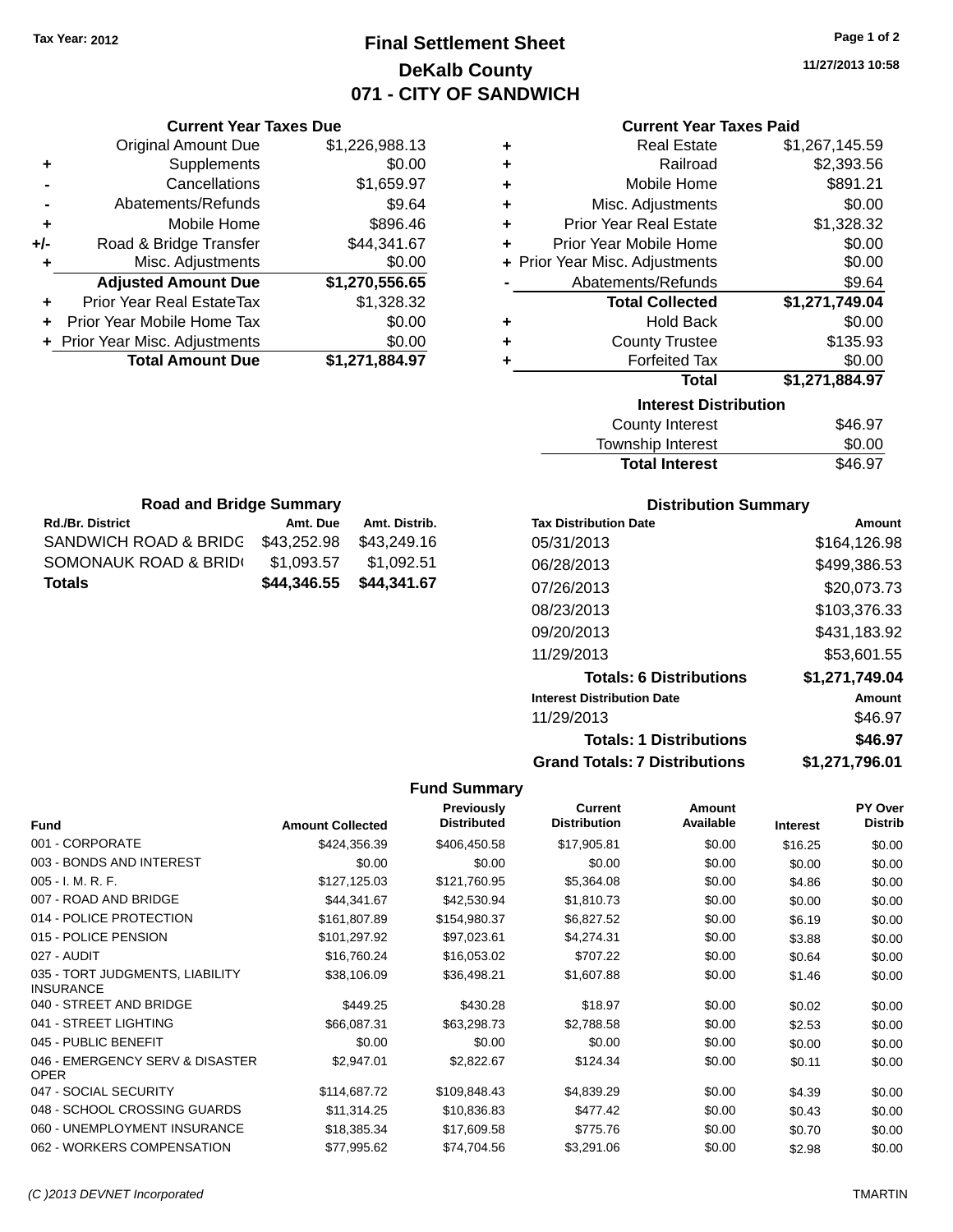# **Final Settlement Sheet Tax Year: 2012 Page 1 of 2 DeKalb County 071 - CITY OF SANDWICH**

**11/27/2013 10:58**

### **Current Year Taxes Paid**

|     | <b>Current Year Taxes Due</b>  |                |              |
|-----|--------------------------------|----------------|--------------|
|     | Original Amount Due            | \$1,226,988.13 |              |
|     | Supplements                    | \$0.00         |              |
|     | Cancellations                  | \$1,659.97     |              |
|     | Abatements/Refunds             | \$9.64         |              |
|     | Mobile Home                    | \$896.46       | Prio         |
| +/- | Road & Bridge Transfer         | \$44,341.67    | Prior        |
|     | Misc. Adjustments              | \$0.00         | + Prior Year |
|     | <b>Adjusted Amount Due</b>     | \$1,270,556.65 | Αł           |
|     | Prior Year Real EstateTax      | \$1,328.32     |              |
|     | Prior Year Mobile Home Tax     | \$0.00         |              |
|     | + Prior Year Misc. Adjustments | \$0.00         |              |
|     | <b>Total Amount Due</b>        | \$1,271,884.97 |              |
|     |                                |                |              |

|   | Real Estate                    | \$1,267,145.59 |
|---|--------------------------------|----------------|
| ٠ | Railroad                       | \$2,393.56     |
| ٠ | Mobile Home                    | \$891.21       |
| ٠ | Misc. Adjustments              | \$0.00         |
| ٠ | <b>Prior Year Real Estate</b>  | \$1,328.32     |
| ÷ | Prior Year Mobile Home         | \$0.00         |
|   | + Prior Year Misc. Adjustments | \$0.00         |
|   | Abatements/Refunds             | \$9.64         |
|   | <b>Total Collected</b>         | \$1,271,749.04 |
| ٠ | <b>Hold Back</b>               | \$0.00         |
| ٠ | <b>County Trustee</b>          | \$135.93       |
|   | <b>Forfeited Tax</b>           | \$0.00         |
|   | Total                          | \$1,271,884.97 |
|   | <b>Interest Distribution</b>   |                |
|   |                                |                |

| <b>Total Interest</b> | \$46.97 |
|-----------------------|---------|
| Township Interest     | \$0.00  |
| County Interest       | \$46.97 |

| <b>Road and Bridge Summary</b> |             |               |  |  |  |  |
|--------------------------------|-------------|---------------|--|--|--|--|
| <b>Rd./Br. District</b>        | Amt. Due    | Amt. Distrib. |  |  |  |  |
| SANDWICH ROAD & BRIDG          | \$43.252.98 | \$43,249.16   |  |  |  |  |
| SOMONAUK ROAD & BRID(          | \$1.093.57  | \$1,092.51    |  |  |  |  |
| <b>Totals</b>                  | \$44,346.55 | \$44,341.67   |  |  |  |  |

### **Distribution Summary**

| <b>Tax Distribution Date</b>         | Amount         |
|--------------------------------------|----------------|
| 05/31/2013                           | \$164.126.98   |
| 06/28/2013                           | \$499,386.53   |
| 07/26/2013                           | \$20,073.73    |
| 08/23/2013                           | \$103,376.33   |
| 09/20/2013                           | \$431,183.92   |
| 11/29/2013                           | \$53.601.55    |
| <b>Totals: 6 Distributions</b>       | \$1,271,749.04 |
| <b>Interest Distribution Date</b>    | Amount         |
| 11/29/2013                           | \$46.97        |
| <b>Totals: 1 Distributions</b>       | \$46.97        |
| <b>Grand Totals: 7 Distributions</b> | \$1,271,796.01 |

| <b>Fund</b>                                         | <b>Amount Collected</b> | <b>Previously</b><br><b>Distributed</b> | <b>Current</b><br><b>Distribution</b> | <b>Amount</b><br>Available | <b>Interest</b> | <b>PY Over</b><br><b>Distrib</b> |
|-----------------------------------------------------|-------------------------|-----------------------------------------|---------------------------------------|----------------------------|-----------------|----------------------------------|
| 001 - CORPORATE                                     | \$424,356.39            | \$406,450.58                            | \$17,905.81                           | \$0.00                     | \$16.25         | \$0.00                           |
| 003 - BONDS AND INTEREST                            | \$0.00                  | \$0.00                                  | \$0.00                                | \$0.00                     | \$0.00          | \$0.00                           |
| $005 - I. M. R. F.$                                 | \$127,125.03            | \$121,760.95                            | \$5,364.08                            | \$0.00                     | \$4.86          | \$0.00                           |
| 007 - ROAD AND BRIDGE                               | \$44,341.67             | \$42,530.94                             | \$1,810.73                            | \$0.00                     | \$0.00          | \$0.00                           |
| 014 - POLICE PROTECTION                             | \$161,807.89            | \$154,980.37                            | \$6,827.52                            | \$0.00                     | \$6.19          | \$0.00                           |
| 015 - POLICE PENSION                                | \$101,297.92            | \$97,023.61                             | \$4,274.31                            | \$0.00                     | \$3.88          | \$0.00                           |
| 027 - AUDIT                                         | \$16,760.24             | \$16,053.02                             | \$707.22                              | \$0.00                     | \$0.64          | \$0.00                           |
| 035 - TORT JUDGMENTS, LIABILITY<br><b>INSURANCE</b> | \$38,106.09             | \$36,498.21                             | \$1,607.88                            | \$0.00                     | \$1.46          | \$0.00                           |
| 040 - STREET AND BRIDGE                             | \$449.25                | \$430.28                                | \$18.97                               | \$0.00                     | \$0.02          | \$0.00                           |
| 041 - STREET LIGHTING                               | \$66,087.31             | \$63,298.73                             | \$2,788.58                            | \$0.00                     | \$2.53          | \$0.00                           |
| 045 - PUBLIC BENEFIT                                | \$0.00                  | \$0.00                                  | \$0.00                                | \$0.00                     | \$0.00          | \$0.00                           |
| 046 - EMERGENCY SERV & DISASTER<br><b>OPER</b>      | \$2,947.01              | \$2,822.67                              | \$124.34                              | \$0.00                     | \$0.11          | \$0.00                           |
| 047 - SOCIAL SECURITY                               | \$114,687.72            | \$109,848.43                            | \$4,839.29                            | \$0.00                     | \$4.39          | \$0.00                           |
| 048 - SCHOOL CROSSING GUARDS                        | \$11,314.25             | \$10,836.83                             | \$477.42                              | \$0.00                     | \$0.43          | \$0.00                           |
| 060 - UNEMPLOYMENT INSURANCE                        | \$18,385.34             | \$17,609.58                             | \$775.76                              | \$0.00                     | \$0.70          | \$0.00                           |
| 062 - WORKERS COMPENSATION                          | \$77,995.62             | \$74,704.56                             | \$3,291.06                            | \$0.00                     | \$2.98          | \$0.00                           |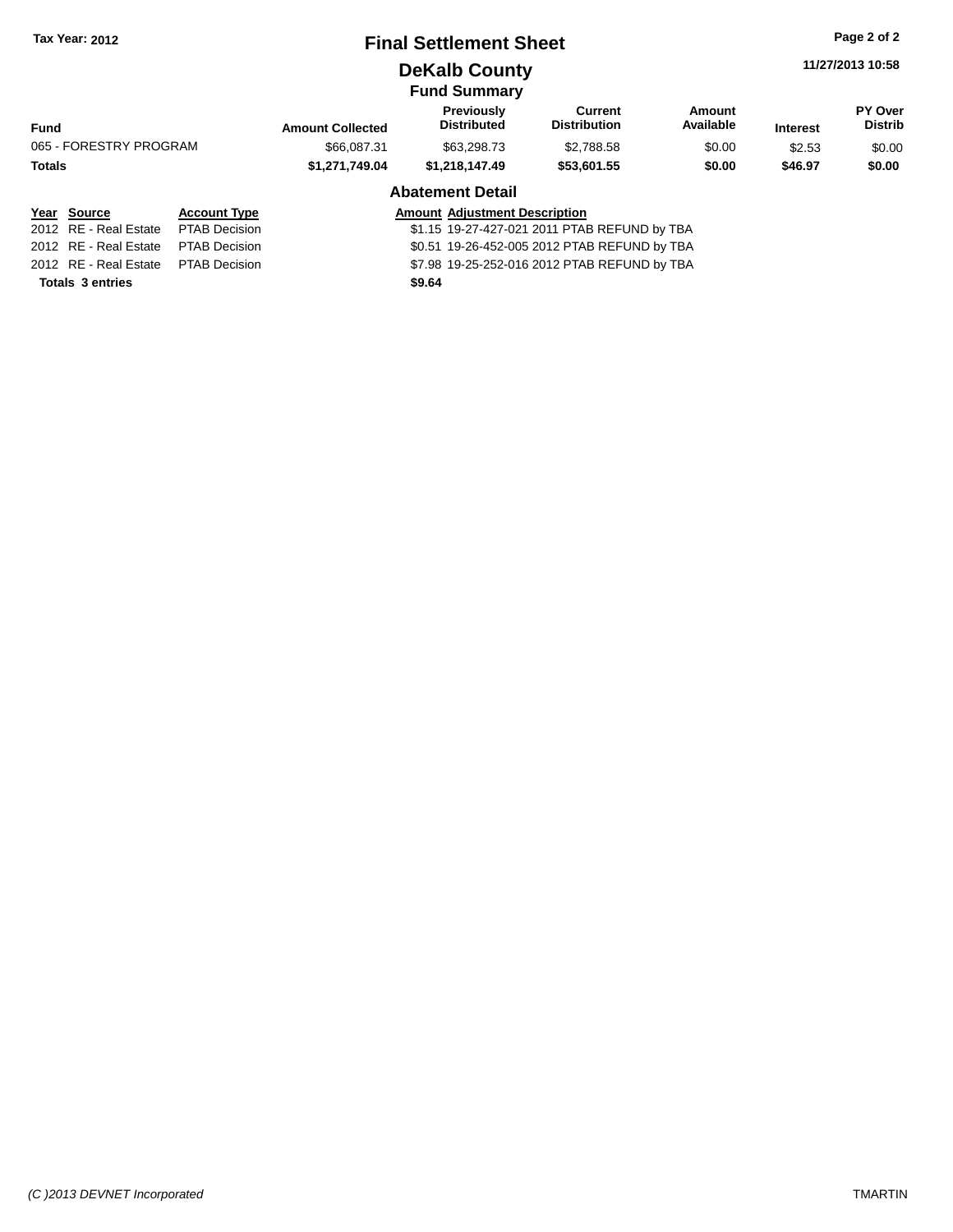### **Final Settlement Sheet Tax Year: 2012 Page 2 of 2**

**DeKalb County**

**11/27/2013 10:58**

### **Fund Summary**

|                        |                     |                         | unu vunnnar y                           |                                |                     |                 |                                  |
|------------------------|---------------------|-------------------------|-----------------------------------------|--------------------------------|---------------------|-----------------|----------------------------------|
| <b>Fund</b>            |                     | <b>Amount Collected</b> | <b>Previously</b><br><b>Distributed</b> | Current<br><b>Distribution</b> | Amount<br>Available | <b>Interest</b> | <b>PY Over</b><br><b>Distrib</b> |
| 065 - FORESTRY PROGRAM |                     | \$66,087.31             | \$63,298,73                             | \$2.788.58                     | \$0.00              | \$2.53          | \$0.00                           |
| <b>Totals</b>          |                     | \$1.271.749.04          | \$1.218.147.49                          | \$53,601.55                    | \$0.00              | \$46.97         | \$0.00                           |
|                        |                     |                         | <b>Abatement Detail</b>                 |                                |                     |                 |                                  |
| Year<br>Source         | <b>Account Type</b> |                         | <b>Amount Adiustment Description</b>    |                                |                     |                 |                                  |

#### 2012 RE - Real Estate PTAB Decision \$1.15 19-27-427-021 2011 PTAB REFUND by TBA 2012 RE - Real Estate PTAB Decision \$0.51 19-26-452-005 2012 PTAB REFUND by TBA 2012 RE - Real Estate PTAB Decision \$7.98 19-25-252-016 2012 PTAB REFUND by TBA **Totals 3 entries \$9.64**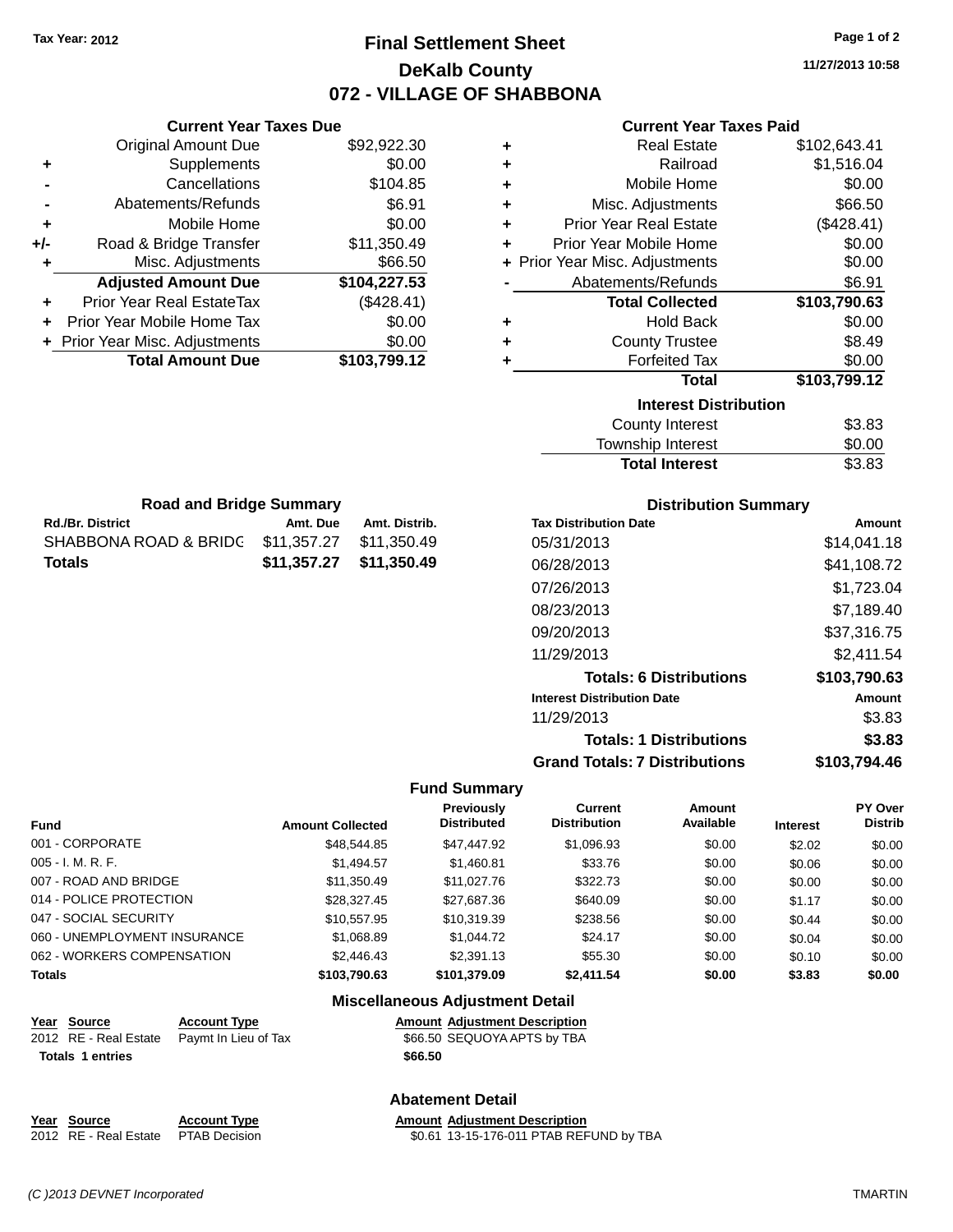# **Final Settlement Sheet Tax Year: 2012 Page 1 of 2 DeKalb County 072 - VILLAGE OF SHABBONA**

**11/27/2013 10:58**

### **Current Year Taxes Paid**

|     | <b>Current Year Taxes Due</b>  |              |
|-----|--------------------------------|--------------|
|     | <b>Original Amount Due</b>     | \$92,922.30  |
| ٠   | Supplements                    | \$0.00       |
|     | Cancellations                  | \$104.85     |
|     | Abatements/Refunds             | \$6.91       |
| ٠   | Mobile Home                    | \$0.00       |
| +/- | Road & Bridge Transfer         | \$11,350.49  |
| ٠   | Misc. Adjustments              | \$66.50      |
|     | <b>Adjusted Amount Due</b>     | \$104,227.53 |
| ٠   | Prior Year Real EstateTax      | (\$428.41)   |
|     | Prior Year Mobile Home Tax     | \$0.00       |
|     | + Prior Year Misc. Adjustments | \$0.00       |
|     | <b>Total Amount Due</b>        | \$103,799.12 |
|     |                                |              |

**Rd./Br. District Amt. Due Amt. Distrib. Road and Bridge Summary**

SHABBONA ROAD & BRIDG \$11,357.27 \$11,350.49 **Totals \$11,357.27 \$11,350.49**

| ٠ | <b>Real Estate</b>             | \$102,643.41 |
|---|--------------------------------|--------------|
| ÷ | Railroad                       | \$1,516.04   |
| ٠ | Mobile Home                    | \$0.00       |
| ٠ | Misc. Adjustments              | \$66.50      |
| ÷ | <b>Prior Year Real Estate</b>  | (\$428.41)   |
| ÷ | Prior Year Mobile Home         | \$0.00       |
|   | + Prior Year Misc. Adjustments | \$0.00       |
|   | Abatements/Refunds             | \$6.91       |
|   |                                |              |
|   | <b>Total Collected</b>         | \$103,790.63 |
| ٠ | <b>Hold Back</b>               | \$0.00       |
| ٠ | <b>County Trustee</b>          | \$8.49       |
| ٠ | <b>Forfeited Tax</b>           | \$0.00       |
|   | <b>Total</b>                   | \$103,799.12 |
|   | <b>Interest Distribution</b>   |              |
|   | <b>County Interest</b>         | \$3.83       |

| \$0.00 |
|--------|
| \$3.83 |
|        |

| <b>Distribution Summary</b>          |              |  |  |  |  |
|--------------------------------------|--------------|--|--|--|--|
| <b>Tax Distribution Date</b>         | Amount       |  |  |  |  |
| 05/31/2013                           | \$14,041.18  |  |  |  |  |
| 06/28/2013                           | \$41.108.72  |  |  |  |  |
| 07/26/2013                           | \$1,723.04   |  |  |  |  |
| 08/23/2013                           | \$7.189.40   |  |  |  |  |
| 09/20/2013                           | \$37.316.75  |  |  |  |  |
| 11/29/2013                           | \$2,411.54   |  |  |  |  |
| <b>Totals: 6 Distributions</b>       | \$103,790.63 |  |  |  |  |
| <b>Interest Distribution Date</b>    | Amount       |  |  |  |  |
| 11/29/2013                           | \$3.83       |  |  |  |  |
| <b>Totals: 1 Distributions</b>       | \$3.83       |  |  |  |  |
| <b>Grand Totals: 7 Distributions</b> | \$103.794.46 |  |  |  |  |

#### **Fund Summary**

| <b>Fund</b>                  | <b>Amount Collected</b> | Previously<br><b>Distributed</b> | Current<br><b>Distribution</b> | Amount<br>Available | <b>Interest</b> | <b>PY Over</b><br><b>Distrib</b> |
|------------------------------|-------------------------|----------------------------------|--------------------------------|---------------------|-----------------|----------------------------------|
| 001 - CORPORATE              | \$48,544.85             | \$47,447.92                      | \$1,096.93                     | \$0.00              | \$2.02          | \$0.00                           |
| $005 - I. M. R. F.$          | \$1.494.57              | \$1,460.81                       | \$33.76                        | \$0.00              | \$0.06          | \$0.00                           |
| 007 - ROAD AND BRIDGE        | \$11,350.49             | \$11.027.76                      | \$322.73                       | \$0.00              | \$0.00          | \$0.00                           |
| 014 - POLICE PROTECTION      | \$28,327,45             | \$27,687.36                      | \$640.09                       | \$0.00              | \$1.17          | \$0.00                           |
| 047 - SOCIAL SECURITY        | \$10.557.95             | \$10.319.39                      | \$238.56                       | \$0.00              | \$0.44          | \$0.00                           |
| 060 - UNEMPLOYMENT INSURANCE | \$1,068.89              | \$1,044.72                       | \$24.17                        | \$0.00              | \$0.04          | \$0.00                           |
| 062 - WORKERS COMPENSATION   | \$2,446.43              | \$2,391.13                       | \$55.30                        | \$0.00              | \$0.10          | \$0.00                           |
| <b>Totals</b>                | \$103.790.63            | \$101.379.09                     | \$2,411.54                     | \$0.00              | \$3.83          | \$0.00                           |

# **Miscellaneous Adjustment Detail**

**Totals 1 entries \$66.50**

**Year Source Account Type Amount Adjustment Description** 2012 RE - Real Estate Paymt In Lieu of Tax \$66.50 SEQUOYA APTS by TBA

#### **Year Source Account Type Amount Adjustment Description** 2012 RE - Real Estate PTAB Decision \$0.61 13-15-176-011 PTAB REFUND by TBA

**Abatement Detail**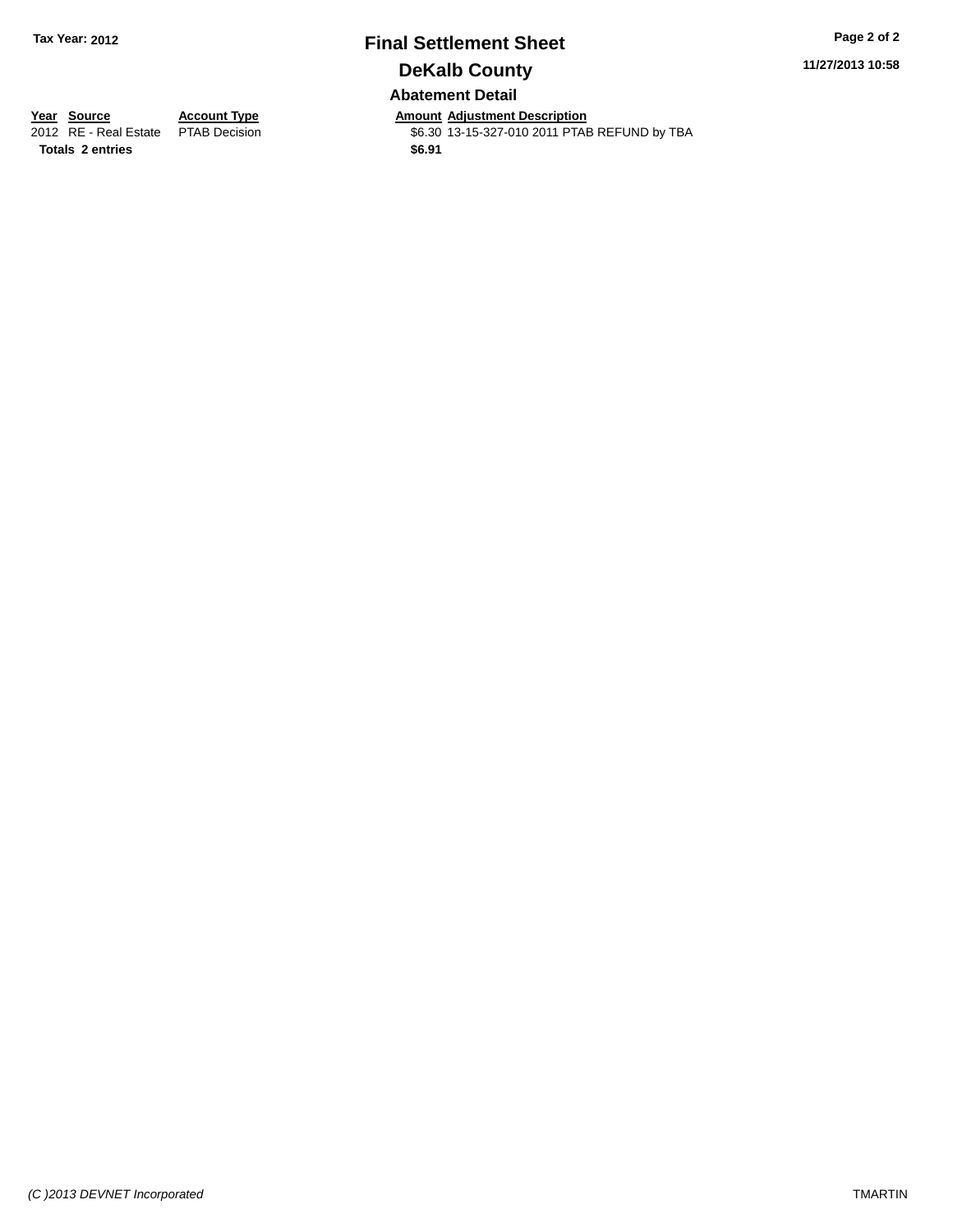### **Final Settlement Sheet Tax Year: 2012 Page 2 of 2 DeKalb County Abatement Detail**

**11/27/2013 10:58**

**Totals 2 entries \$6.91**

**Year Source Account Type Annount Adjustment Description**<br>2012 RE - Real Estate PTAB Decision **Amount Adjustment Description** \$6.30 13-15-327-010 2011 PTAB REFUND by TBA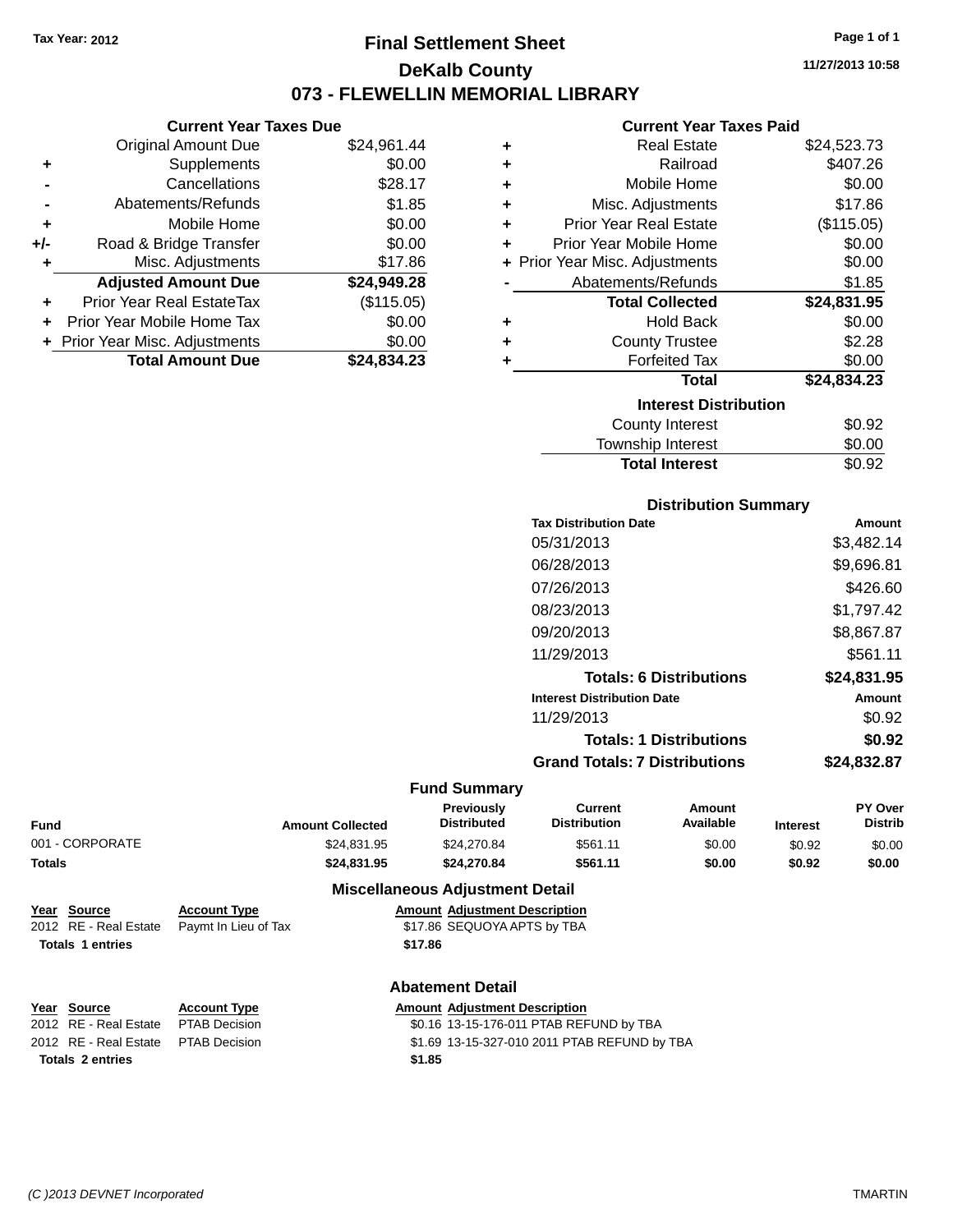## **Final Settlement Sheet Tax Year: 2012 Page 1 of 1 DeKalb County 073 - FLEWELLIN MEMORIAL LIBRARY**

**11/27/2013 10:58**

#### **Current Year Taxes Paid**

|       | <b>Current Year Taxes Due</b>    |             |   |                  |
|-------|----------------------------------|-------------|---|------------------|
|       | Original Amount Due              | \$24,961.44 |   |                  |
|       | <b>Supplements</b>               | \$0.00      |   |                  |
|       | Cancellations                    | \$28.17     | ٠ |                  |
|       | Abatements/Refunds               | \$1.85      |   | Mis              |
|       | Mobile Home                      | \$0.00      |   | Prior Ye         |
| $+/-$ | Road & Bridge Transfer           | \$0.00      |   | Prior Yea        |
|       | Misc. Adjustments                | \$17.86     |   | + Prior Year Mis |
|       | <b>Adjusted Amount Due</b>       | \$24,949.28 |   | Abate            |
|       | <b>Prior Year Real EstateTax</b> | (\$115.05)  |   |                  |
|       | Prior Year Mobile Home Tax       | \$0.00      | ÷ |                  |
|       | + Prior Year Misc. Adjustments   | \$0.00      |   |                  |
|       | <b>Total Amount Due</b>          | \$24,834.23 |   |                  |
|       |                                  |             |   |                  |

| ٠ | <b>Real Estate</b>             | \$24,523.73 |
|---|--------------------------------|-------------|
| ÷ | Railroad                       | \$407.26    |
| ٠ | Mobile Home                    | \$0.00      |
| ٠ | Misc. Adjustments              | \$17.86     |
| ٠ | <b>Prior Year Real Estate</b>  | (\$115.05)  |
| ٠ | Prior Year Mobile Home         | \$0.00      |
|   | + Prior Year Misc. Adjustments | \$0.00      |
|   | Abatements/Refunds             | \$1.85      |
|   | <b>Total Collected</b>         | \$24,831.95 |
| ٠ | <b>Hold Back</b>               | \$0.00      |
| ٠ | <b>County Trustee</b>          | \$2.28      |
| ٠ | <b>Forfeited Tax</b>           | \$0.00      |
|   | Total                          | \$24,834.23 |
|   | <b>Interest Distribution</b>   |             |
|   | <b>County Interest</b>         | \$0.92      |
|   | Township Interest              | \$0.00      |
|   | <b>Total Interest</b>          | \$0.92      |

| <b>Distribution Summary</b>       |             |
|-----------------------------------|-------------|
| <b>Tax Distribution Date</b>      | Amount      |
| 05/31/2013                        | \$3.482.14  |
| 06/28/2013                        | \$9,696.81  |
| 07/26/2013                        | \$426.60    |
| 08/23/2013                        | \$1,797.42  |
| 09/20/2013                        | \$8,867.87  |
| 11/29/2013                        | \$561.11    |
| <b>Totals: 6 Distributions</b>    | \$24,831.95 |
| <b>Interest Distribution Date</b> | Amount      |
| 11/29/2013                        | \$0.92      |
| <b>Totals: 1 Distributions</b>    | \$0.92      |

| 1999. – PRIDRIMANO I          | <b>WU.VA</b> |
|-------------------------------|--------------|
| Grand Totals: 7 Distributions | \$24,832.87  |

#### **Fund Summary**

| Fund            | <b>Amount Collected</b> | <b>Previously</b><br><b>Distributed</b> | Current<br><b>Distribution</b> | Amount<br>Available | <b>Interest</b> | <b>PY Over</b><br>Distrib |
|-----------------|-------------------------|-----------------------------------------|--------------------------------|---------------------|-----------------|---------------------------|
| 001 - CORPORATE | \$24.831.95             | \$24.270.84                             | \$561.11                       | \$0.00              | \$0.92          | \$0.00                    |
| Totals          | \$24,831.95             | \$24,270.84                             | \$561.11                       | \$0.00              | \$0.92          | \$0.00                    |

#### **Miscellaneous Adjustment Detail**

| <u>Year Source</u>      | <b>Account Type</b>                        |         | <b>Amount Adjustment Description</b> |
|-------------------------|--------------------------------------------|---------|--------------------------------------|
|                         | 2012 RE - Real Estate Paymt In Lieu of Tax |         | \$17.86 SEQUOYA APTS by TBA          |
| <b>Totals 1 entries</b> |                                            | \$17.86 |                                      |

### **Abatement Detail**

| Year Source                         | <b>Account Type</b> | <b>Amount Adjustment Description</b>         |
|-------------------------------------|---------------------|----------------------------------------------|
| 2012 RE - Real Estate               | PTAB Decision       | \$0.16 13-15-176-011 PTAB REFUND by TBA      |
| 2012 RE - Real Estate PTAB Decision |                     | \$1.69 13-15-327-010 2011 PTAB REFUND by TBA |
| <b>Totals 2 entries</b>             |                     | \$1.85                                       |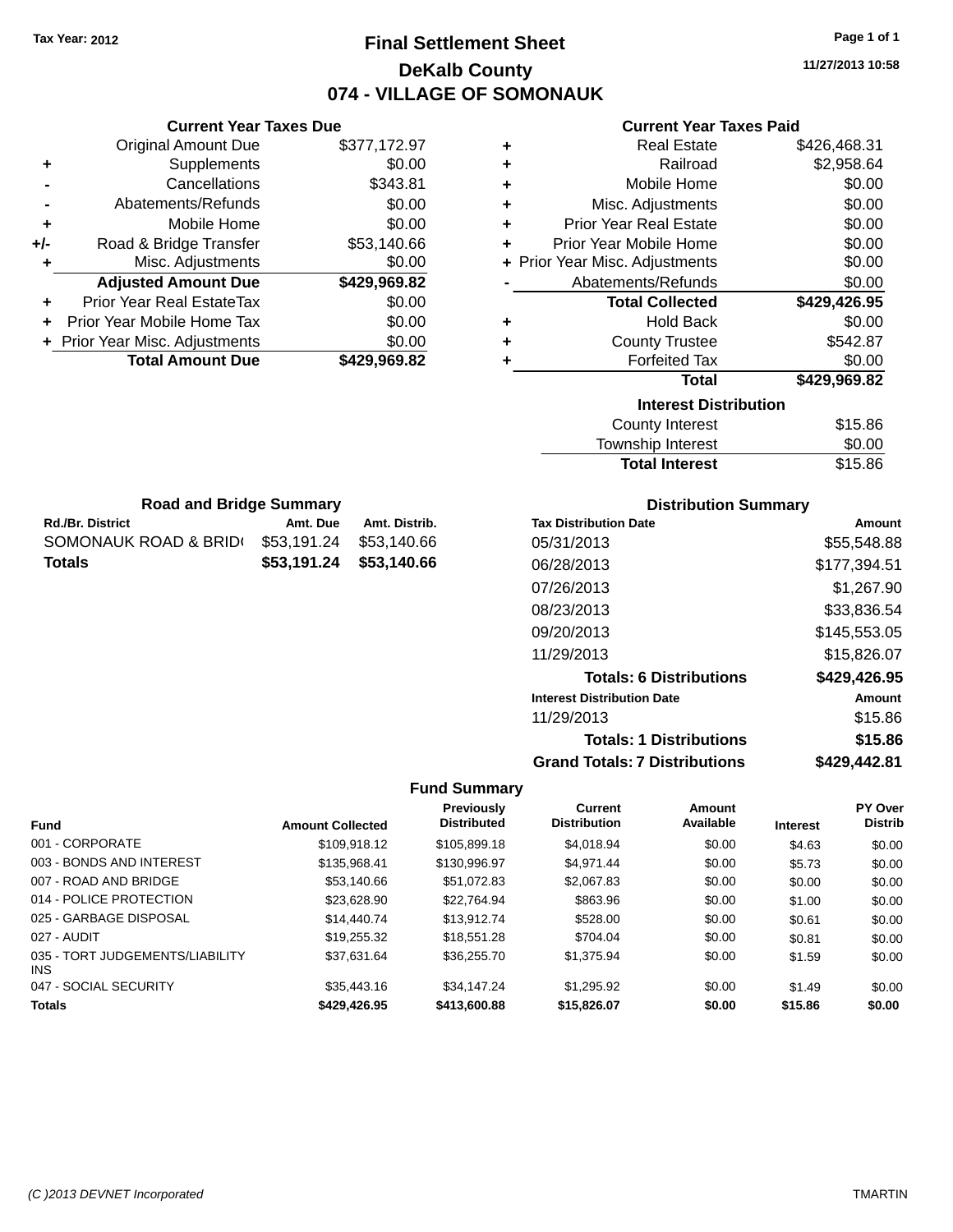# **Final Settlement Sheet Tax Year: 2012 Page 1 of 1 DeKalb County 074 - VILLAGE OF SOMONAUK**

**11/27/2013 10:58**

|     | <b>Current Year Taxes Due</b>    |              |
|-----|----------------------------------|--------------|
|     | <b>Original Amount Due</b>       | \$377,172.97 |
| ٠   | Supplements                      | \$0.00       |
|     | Cancellations                    | \$343.81     |
|     | Abatements/Refunds               | \$0.00       |
| ٠   | Mobile Home                      | \$0.00       |
| +/- | Road & Bridge Transfer           | \$53,140.66  |
| ٠   | Misc. Adjustments                | \$0.00       |
|     | <b>Adjusted Amount Due</b>       | \$429,969.82 |
| ÷   | <b>Prior Year Real EstateTax</b> | \$0.00       |
|     | Prior Year Mobile Home Tax       | \$0.00       |
|     | + Prior Year Misc. Adjustments   | \$0.00       |
|     | <b>Total Amount Due</b>          | \$429,969.82 |
|     |                                  |              |

### **Current Year Taxes Paid**

| ٠ | <b>Real Estate</b>             | \$426,468.31 |
|---|--------------------------------|--------------|
| ÷ | Railroad                       | \$2,958.64   |
| ٠ | Mobile Home                    | \$0.00       |
| ٠ | Misc. Adjustments              | \$0.00       |
| ٠ | <b>Prior Year Real Estate</b>  | \$0.00       |
| ٠ | Prior Year Mobile Home         | \$0.00       |
|   | + Prior Year Misc. Adjustments | \$0.00       |
|   | Abatements/Refunds             | \$0.00       |
|   | <b>Total Collected</b>         | \$429,426.95 |
| ٠ | <b>Hold Back</b>               | \$0.00       |
| ٠ | <b>County Trustee</b>          | \$542.87     |
|   | <b>Forfeited Tax</b>           | \$0.00       |
|   | <b>Total</b>                   | \$429,969.82 |
|   | <b>Interest Distribution</b>   |              |
|   | <b>County Interest</b>         | \$15.86      |
|   |                                |              |

| <b>Total Interest</b> | \$15.86 |
|-----------------------|---------|
| Township Interest     | \$0.00  |
| County Interest       | \$15.86 |

| <b>Road and Bridge Summary</b> |  |  |
|--------------------------------|--|--|
|                                |  |  |

| <b>Rd./Br. District</b> | Amt. Due    | Amt. Distrib.           |
|-------------------------|-------------|-------------------------|
| SOMONAUK ROAD & BRID(   | \$53.191.24 | \$53.140.66             |
| Totals                  |             | \$53.191.24 \$53.140.66 |

### **Distribution Summary**

| <b>Tax Distribution Date</b>         | Amount       |
|--------------------------------------|--------------|
| 05/31/2013                           | \$55.548.88  |
| 06/28/2013                           | \$177,394.51 |
| 07/26/2013                           | \$1.267.90   |
| 08/23/2013                           | \$33,836.54  |
| 09/20/2013                           | \$145,553.05 |
| 11/29/2013                           | \$15,826.07  |
| <b>Totals: 6 Distributions</b>       | \$429,426.95 |
| <b>Interest Distribution Date</b>    | Amount       |
| 11/29/2013                           | \$15.86      |
| <b>Totals: 1 Distributions</b>       | \$15.86      |
| <b>Grand Totals: 7 Distributions</b> | \$429,442.81 |

| <b>Fund</b>                             | <b>Amount Collected</b> | <b>Previously</b><br><b>Distributed</b> | <b>Current</b><br><b>Distribution</b> | Amount<br>Available | <b>Interest</b> | PY Over<br><b>Distrib</b> |
|-----------------------------------------|-------------------------|-----------------------------------------|---------------------------------------|---------------------|-----------------|---------------------------|
| 001 - CORPORATE                         | \$109.918.12            | \$105,899.18                            | \$4.018.94                            | \$0.00              | \$4.63          | \$0.00                    |
| 003 - BONDS AND INTEREST                | \$135,968.41            | \$130,996.97                            | \$4.971.44                            | \$0.00              | \$5.73          | \$0.00                    |
| 007 - ROAD AND BRIDGE                   | \$53,140.66             | \$51.072.83                             | \$2,067.83                            | \$0.00              | \$0.00          | \$0.00                    |
| 014 - POLICE PROTECTION                 | \$23.628.90             | \$22.764.94                             | \$863.96                              | \$0.00              | \$1.00          | \$0.00                    |
| 025 - GARBAGE DISPOSAL                  | \$14,440.74             | \$13.912.74                             | \$528.00                              | \$0.00              | \$0.61          | \$0.00                    |
| 027 - AUDIT                             | \$19.255.32             | \$18.551.28                             | \$704.04                              | \$0.00              | \$0.81          | \$0.00                    |
| 035 - TORT JUDGEMENTS/LIABILITY<br>INS. | \$37.631.64             | \$36,255,70                             | \$1.375.94                            | \$0.00              | \$1.59          | \$0.00                    |
| 047 - SOCIAL SECURITY                   | \$35,443.16             | \$34,147.24                             | \$1.295.92                            | \$0.00              | \$1.49          | \$0.00                    |
| <b>Totals</b>                           | \$429,426.95            | \$413,600.88                            | \$15,826.07                           | \$0.00              | \$15.86         | \$0.00                    |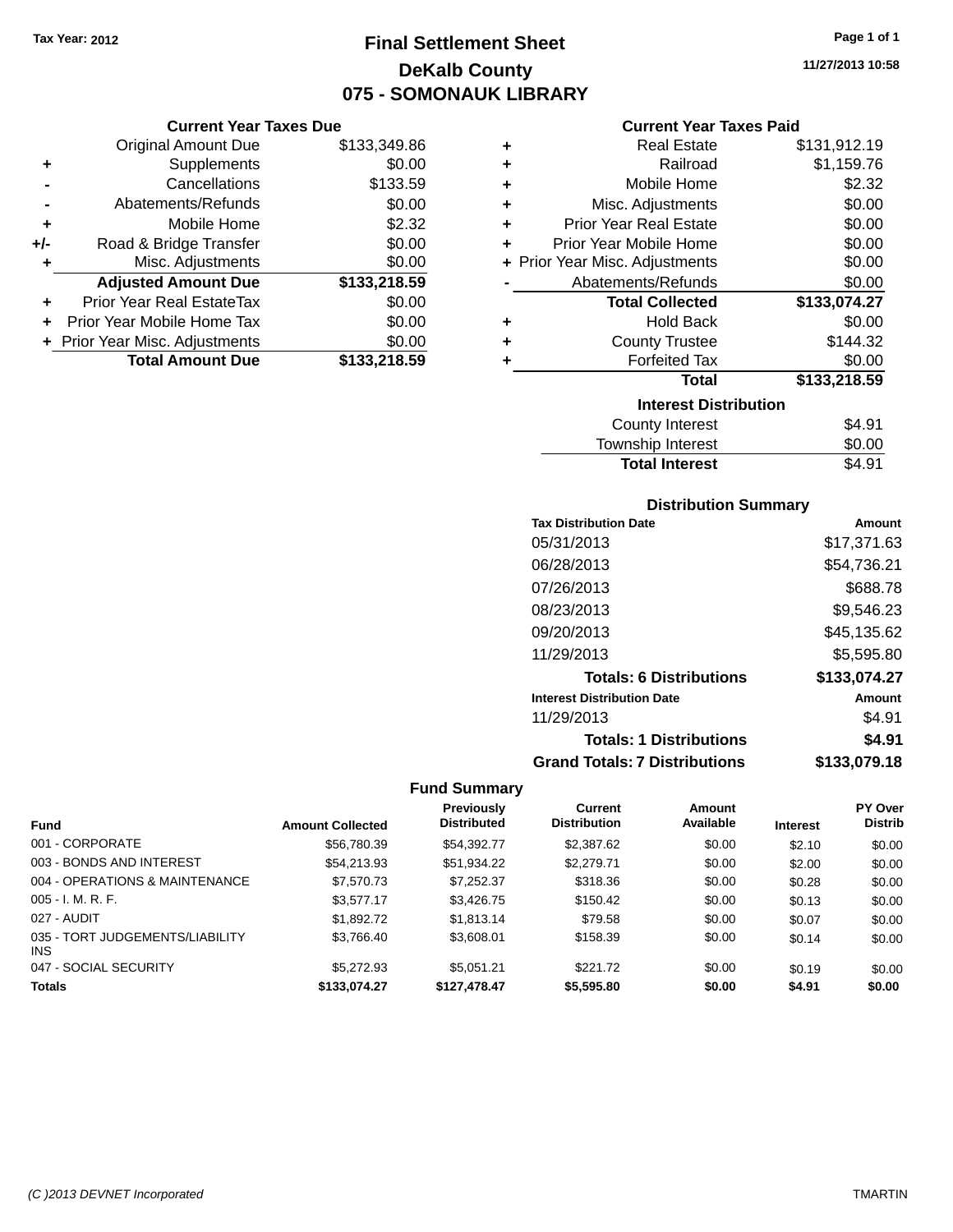# **Final Settlement Sheet Tax Year: 2012 Page 1 of 1 DeKalb County 075 - SOMONAUK LIBRARY**

#### **Current Year Taxes Due**

|       | <b>Original Amount Due</b>     | \$133,349.86 |
|-------|--------------------------------|--------------|
| ٠     | Supplements                    | \$0.00       |
|       | Cancellations                  | \$133.59     |
|       | Abatements/Refunds             | \$0.00       |
| ٠     | Mobile Home                    | \$2.32       |
| $+/-$ | Road & Bridge Transfer         | \$0.00       |
| ٠     | Misc. Adjustments              | \$0.00       |
|       | <b>Adjusted Amount Due</b>     | \$133,218.59 |
|       | Prior Year Real EstateTax      | \$0.00       |
|       | Prior Year Mobile Home Tax     | \$0.00       |
|       | + Prior Year Misc. Adjustments | \$0.00       |
|       | <b>Total Amount Due</b>        | \$133,218.59 |

#### **Current Year Taxes Paid**

| ٠ | <b>Real Estate</b>             | \$131,912.19 |
|---|--------------------------------|--------------|
| ٠ | Railroad                       | \$1,159.76   |
| ٠ | Mobile Home                    | \$2.32       |
| ٠ | Misc. Adjustments              | \$0.00       |
| ÷ | <b>Prior Year Real Estate</b>  | \$0.00       |
| ÷ | Prior Year Mobile Home         | \$0.00       |
|   | + Prior Year Misc. Adjustments | \$0.00       |
|   | Abatements/Refunds             | \$0.00       |
|   |                                |              |
|   | <b>Total Collected</b>         | \$133,074.27 |
| ٠ | <b>Hold Back</b>               | \$0.00       |
| ÷ | <b>County Trustee</b>          | \$144.32     |
| ٠ | <b>Forfeited Tax</b>           | \$0.00       |
|   | <b>Total</b>                   | \$133,218.59 |
|   | <b>Interest Distribution</b>   |              |
|   | <b>County Interest</b>         | \$4.91       |

# Total Interest \$4.91

# **Distribution Summary**

| <b>Tax Distribution Date</b>         | Amount       |
|--------------------------------------|--------------|
| 05/31/2013                           | \$17,371.63  |
| 06/28/2013                           | \$54,736.21  |
| 07/26/2013                           | \$688.78     |
| 08/23/2013                           | \$9,546.23   |
| 09/20/2013                           | \$45.135.62  |
| 11/29/2013                           | \$5,595.80   |
| <b>Totals: 6 Distributions</b>       | \$133,074.27 |
| <b>Interest Distribution Date</b>    | Amount       |
| 11/29/2013                           | \$4.91       |
| <b>Totals: 1 Distributions</b>       | \$4.91       |
| <b>Grand Totals: 7 Distributions</b> | \$133.079.18 |

|                                         |                         | <b>Previously</b>  | <b>Current</b>      | Amount    |                 | <b>PY Over</b> |
|-----------------------------------------|-------------------------|--------------------|---------------------|-----------|-----------------|----------------|
| <b>Fund</b>                             | <b>Amount Collected</b> | <b>Distributed</b> | <b>Distribution</b> | Available | <b>Interest</b> | <b>Distrib</b> |
| 001 - CORPORATE                         | \$56,780.39             | \$54.392.77        | \$2,387.62          | \$0.00    | \$2.10          | \$0.00         |
| 003 - BONDS AND INTEREST                | \$54.213.93             | \$51,934.22        | \$2,279.71          | \$0.00    | \$2.00          | \$0.00         |
| 004 - OPERATIONS & MAINTENANCE          | \$7,570.73              | \$7,252.37         | \$318.36            | \$0.00    | \$0.28          | \$0.00         |
| $005 - I. M. R. F.$                     | \$3.577.17              | \$3,426,75         | \$150.42            | \$0.00    | \$0.13          | \$0.00         |
| 027 - AUDIT                             | \$1,892.72              | \$1,813.14         | \$79.58             | \$0.00    | \$0.07          | \$0.00         |
| 035 - TORT JUDGEMENTS/LIABILITY<br>INS. | \$3,766.40              | \$3,608.01         | \$158.39            | \$0.00    | \$0.14          | \$0.00         |
| 047 - SOCIAL SECURITY                   | \$5,272.93              | \$5.051.21         | \$221.72            | \$0.00    | \$0.19          | \$0.00         |
| <b>Totals</b>                           | \$133,074.27            | \$127,478,47       | \$5,595.80          | \$0.00    | \$4.91          | \$0.00         |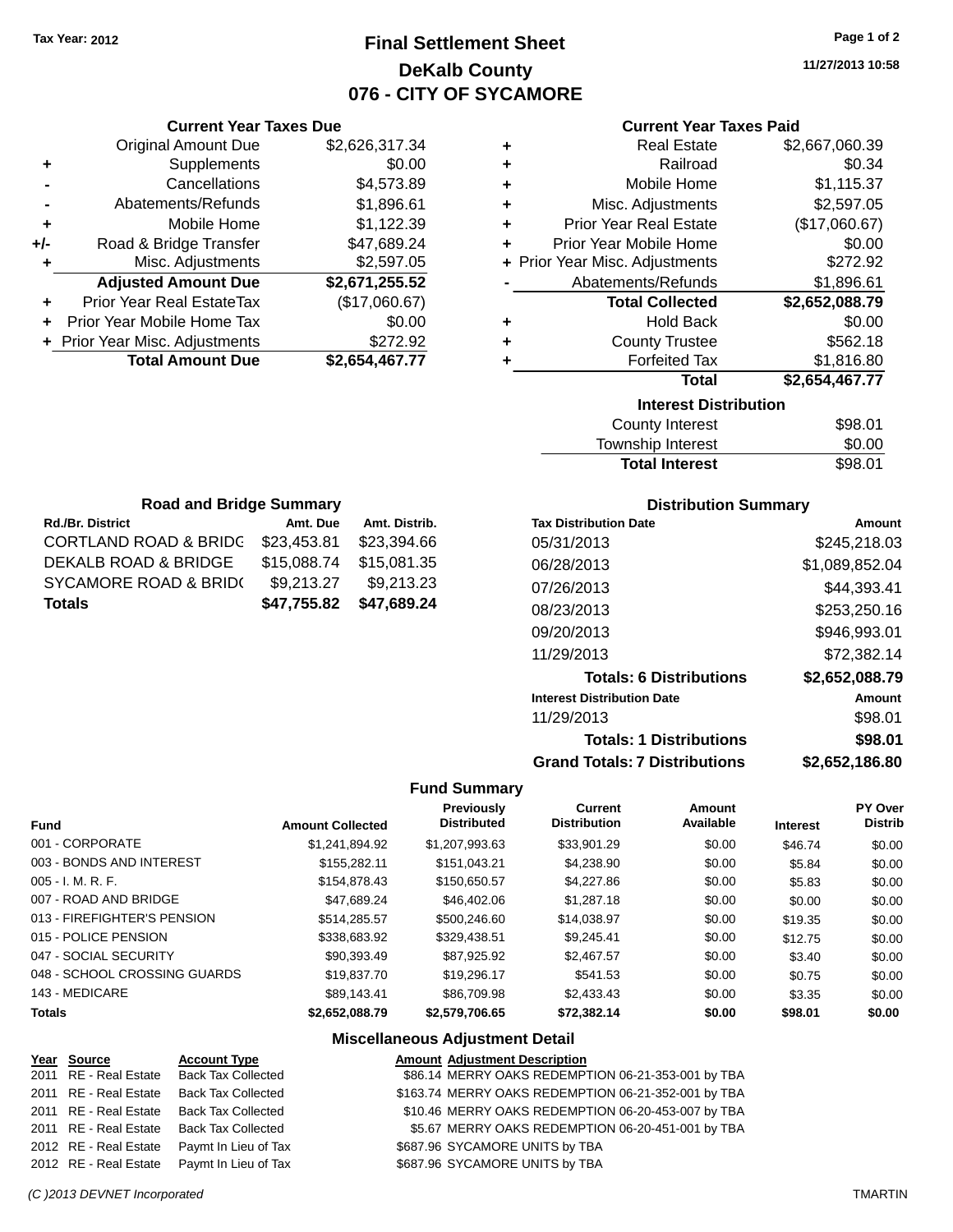# **Final Settlement Sheet Tax Year: 2012 Page 1 of 2 DeKalb County 076 - CITY OF SYCAMORE**

**11/27/2013 10:58**

| <b>Current Year Taxes Paid</b> |  |  |  |
|--------------------------------|--|--|--|
|--------------------------------|--|--|--|

| ٠ | <b>Real Estate</b>             | \$2,667,060.39 |  |  |  |  |
|---|--------------------------------|----------------|--|--|--|--|
| ٠ | Railroad                       | \$0.34         |  |  |  |  |
| ٠ | Mobile Home                    | \$1,115.37     |  |  |  |  |
| ٠ | Misc. Adjustments              | \$2,597.05     |  |  |  |  |
| ٠ | <b>Prior Year Real Estate</b>  | (\$17,060.67)  |  |  |  |  |
| ٠ | Prior Year Mobile Home         | \$0.00         |  |  |  |  |
|   | + Prior Year Misc. Adjustments | \$272.92       |  |  |  |  |
|   | Abatements/Refunds             | \$1,896.61     |  |  |  |  |
|   | <b>Total Collected</b>         | \$2,652,088.79 |  |  |  |  |
| ٠ | <b>Hold Back</b>               | \$0.00         |  |  |  |  |
| ٠ | <b>County Trustee</b>          | \$562.18       |  |  |  |  |
| ٠ | <b>Forfeited Tax</b>           | \$1,816.80     |  |  |  |  |
|   | <b>Total</b>                   | \$2,654,467.77 |  |  |  |  |
|   | <b>Interest Distribution</b>   |                |  |  |  |  |
|   | <b>County Interest</b>         | \$98.01        |  |  |  |  |
|   |                                |                |  |  |  |  |

| <b>Total Interest</b> | \$98.01 |
|-----------------------|---------|
| Township Interest     | \$0.00  |
| County interest       | JYO.UT  |

| <b>Road and Bridge Summary</b>   |             |               |  |  |  |
|----------------------------------|-------------|---------------|--|--|--|
| <b>Rd./Br. District</b>          | Amt. Due    | Amt. Distrib. |  |  |  |
| <b>CORTLAND ROAD &amp; BRIDG</b> | \$23,453.81 | \$23,394.66   |  |  |  |
| DEKALB ROAD & BRIDGE             | \$15,088.74 | \$15,081.35   |  |  |  |
| SYCAMORE ROAD & BRID(            | \$9,213.27  | \$9,213.23    |  |  |  |
| <b>Totals</b>                    | \$47,755.82 | \$47,689.24   |  |  |  |

**Current Year Taxes Due** Original Amount Due \$2,626,317.34

**Adjusted Amount Due \$2,671,255.52**

**Total Amount Due \$2,654,467.77**

**+** Supplements \$0.00 **-** Cancellations \$4,573.89 **-** Abatements/Refunds \$1,896.61 **+** Mobile Home \$1,122.39 **+/-** Road & Bridge Transfer \$47,689.24 **+** Misc. Adjustments \$2,597.05

**+** Prior Year Real EstateTax (\$17,060.67) **+** Prior Year Mobile Home Tax \$0.00 **+** Prior Year Misc. Adjustments \$272.92

#### **Distribution Summary**

| <b>Tax Distribution Date</b>         | Amount         |
|--------------------------------------|----------------|
| 05/31/2013                           | \$245,218,03   |
| 06/28/2013                           | \$1,089,852.04 |
| 07/26/2013                           | \$44,393.41    |
| 08/23/2013                           | \$253,250.16   |
| 09/20/2013                           | \$946,993.01   |
| 11/29/2013                           | \$72,382.14    |
| <b>Totals: 6 Distributions</b>       | \$2,652,088.79 |
| <b>Interest Distribution Date</b>    | Amount         |
| 11/29/2013                           | \$98.01        |
| <b>Totals: 1 Distributions</b>       | \$98.01        |
| <b>Grand Totals: 7 Distributions</b> | \$2,652,186.80 |

#### **Fund Summary**

| <b>Fund</b>                  | <b>Amount Collected</b> | Previously<br><b>Distributed</b> | <b>Current</b><br><b>Distribution</b> | Amount<br>Available | <b>Interest</b> | PY Over<br><b>Distrib</b> |
|------------------------------|-------------------------|----------------------------------|---------------------------------------|---------------------|-----------------|---------------------------|
| 001 - CORPORATE              | \$1,241,894.92          | \$1,207,993.63                   | \$33,901.29                           | \$0.00              | \$46.74         | \$0.00                    |
| 003 - BONDS AND INTEREST     | \$155.282.11            | \$151.043.21                     | \$4,238,90                            | \$0.00              | \$5.84          | \$0.00                    |
| $005 - I. M. R. F.$          | \$154,878,43            | \$150.650.57                     | \$4.227.86                            | \$0.00              | \$5.83          | \$0.00                    |
| 007 - ROAD AND BRIDGE        | \$47.689.24             | \$46,402.06                      | \$1,287.18                            | \$0.00              | \$0.00          | \$0.00                    |
| 013 - FIREFIGHTER'S PENSION  | \$514.285.57            | \$500,246.60                     | \$14.038.97                           | \$0.00              | \$19.35         | \$0.00                    |
| 015 - POLICE PENSION         | \$338,683.92            | \$329.438.51                     | \$9.245.41                            | \$0.00              | \$12.75         | \$0.00                    |
| 047 - SOCIAL SECURITY        | \$90.393.49             | \$87.925.92                      | \$2.467.57                            | \$0.00              | \$3.40          | \$0.00                    |
| 048 - SCHOOL CROSSING GUARDS | \$19,837.70             | \$19,296.17                      | \$541.53                              | \$0.00              | \$0.75          | \$0.00                    |
| 143 - MEDICARE               | \$89.143.41             | \$86,709.98                      | \$2.433.43                            | \$0.00              | \$3.35          | \$0.00                    |
| <b>Totals</b>                | \$2,652,088.79          | \$2,579,706,65                   | \$72.382.14                           | \$0.00              | \$98.01         | \$0.00                    |

#### **Miscellaneous Adjustment Detail**

| Year Source           | <b>Account Type</b>       | <b>Amount Adjustment Description</b>                |
|-----------------------|---------------------------|-----------------------------------------------------|
| 2011 RE - Real Estate | <b>Back Tax Collected</b> | \$86.14 MERRY OAKS REDEMPTION 06-21-353-001 by TBA  |
| 2011 RE - Real Estate | <b>Back Tax Collected</b> | \$163.74 MERRY OAKS REDEMPTION 06-21-352-001 by TBA |
| 2011 RE - Real Estate | <b>Back Tax Collected</b> | \$10.46 MERRY OAKS REDEMPTION 06-20-453-007 by TBA  |
| 2011 RE - Real Estate | <b>Back Tax Collected</b> | \$5.67 MERRY OAKS REDEMPTION 06-20-451-001 by TBA   |
| 2012 RE - Real Estate | Paymt In Lieu of Tax      | \$687.96 SYCAMORE UNITS by TBA                      |
| 2012 RE - Real Estate | Paymt In Lieu of Tax      | \$687.96 SYCAMORE UNITS by TBA                      |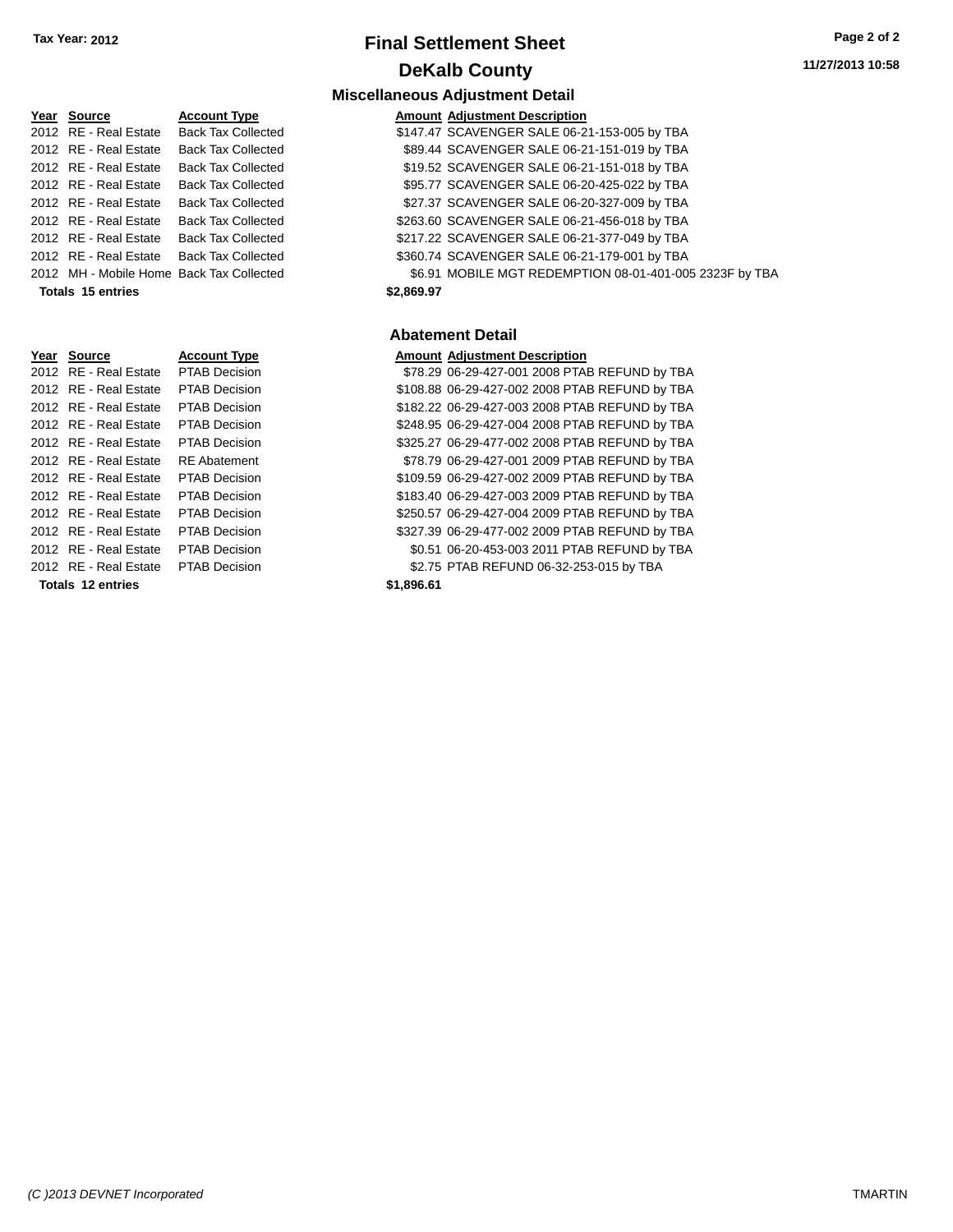### **Year** Source **Account Type And Amount Adjustment Description** 2012 RE - Real Estate Back Tax Collected \$1 2012 RE - Real Estate Back Tax Collected \$ 2012 RE - Real Estate Back Tax Collected \$ 2012 RE - Real Estate Back Tax Collected \$ 2012 RE - Real Estate Back Tax Collected \$ 2012 RE - Real Estate Back Tax Collected \$2 2012 RE - Real Estate Back Tax Collected \$2 2012 RE - Real Estate Back Tax Collected \$30.75 SCAVENGER S30.74 SCAVENGER SALE 06-21-179-001 by Ta **Totals 15 entries \$2,8**

| Year Source           | <b>Account Type</b>  |            | <b>Amount Adjustment Description</b> |
|-----------------------|----------------------|------------|--------------------------------------|
| 2012 RE - Real Estate | <b>PTAB Decision</b> |            | \$78.29 06-29-427-001 2008 PTA       |
| 2012 RE - Real Estate | <b>PTAB Decision</b> |            | \$108.88 06-29-427-002 2008 PTA      |
| 2012 RE - Real Estate | <b>PTAB Decision</b> |            | \$182.22 06-29-427-003 2008 PTA      |
| 2012 RE - Real Estate | <b>PTAB Decision</b> |            | \$248.95 06-29-427-004 2008 PTA      |
| 2012 RE - Real Estate | <b>PTAB Decision</b> |            | \$325.27 06-29-477-002 2008 PTA      |
| 2012 RE - Real Estate | <b>RE</b> Abatement  |            | \$78.79 06-29-427-001 2009 PTA       |
| 2012 RE - Real Estate | <b>PTAB Decision</b> |            | \$109.59 06-29-427-002 2009 PTA      |
| 2012 RE - Real Estate | <b>PTAB Decision</b> |            | \$183.40 06-29-427-003 2009 PTA      |
| 2012 RE - Real Estate | <b>PTAB Decision</b> |            | \$250.57 06-29-427-004 2009 PTA      |
| 2012 RE - Real Estate | <b>PTAB Decision</b> |            | \$327.39 06-29-477-002 2009 PTA      |
| 2012 RE - Real Estate | <b>PTAB Decision</b> |            | \$0.51 06-20-453-003 2011 PTA        |
| 2012 RE - Real Estate | <b>PTAB Decision</b> |            | \$2.75 PTAB REFUND 06-32-25          |
| Totals 12 entries     |                      | \$1,896.61 |                                      |

# **Final Settlement Sheet Tax Year: 2012 Page 2 of 2 DeKalb County**

#### **Miscellaneous Adjustment Detail**

| \$2.869.97<br>Totals 15 entries |                       |                                          |  |                                                         |
|---------------------------------|-----------------------|------------------------------------------|--|---------------------------------------------------------|
|                                 |                       | 2012 MH - Mobile Home Back Tax Collected |  | \$6.91 MOBILE MGT REDEMPTION 08-01-401-005 2323F by TBA |
|                                 |                       | 2012 RE - Real Estate Back Tax Collected |  | \$360.74 SCAVENGER SALE 06-21-179-001 by TBA            |
|                                 |                       | 2012 RE - Real Estate Back Tax Collected |  | \$217.22 SCAVENGER SALE 06-21-377-049 by TBA            |
|                                 |                       | 2012 RE - Real Estate Back Tax Collected |  | \$263.60 SCAVENGER SALE 06-21-456-018 by TBA            |
|                                 | 2012 RE - Real Estate | Back Tax Collected                       |  | \$27.37 SCAVENGER SALE 06-20-327-009 by TBA             |
|                                 |                       | 2012 RE - Real Estate Back Tax Collected |  | \$95.77 SCAVENGER SALE 06-20-425-022 by TBA             |
|                                 | 2012 RE - Real Estate | <b>Back Tax Collected</b>                |  | \$19.52 SCAVENGER SALE 06-21-151-018 by TBA             |
|                                 |                       | 2012 RE - Real Estate Back Tax Collected |  | \$89.44 SCAVENGER SALE 06-21-151-019 by TBA             |
|                                 |                       | 2012 RE - Real Estate Back Tax Collected |  | \$147.47 SCAVENGER SALE 06-21-153-005 by TBA            |

### **Abatement Detail**

| Year Source           | <b>Account Type</b>  |           | <b>Amount Adjustment Description</b>           |
|-----------------------|----------------------|-----------|------------------------------------------------|
| 2012 RE - Real Estate | PTAB Decision        |           | \$78.29 06-29-427-001 2008 PTAB REFUND by TBA  |
| 2012 RE - Real Estate | <b>PTAB Decision</b> |           | \$108.88 06-29-427-002 2008 PTAB REFUND by TBA |
| 2012 RE - Real Estate | <b>PTAB Decision</b> |           | \$182.22 06-29-427-003 2008 PTAB REFUND by TBA |
| 2012 RE - Real Estate | <b>PTAB Decision</b> |           | \$248.95 06-29-427-004 2008 PTAB REFUND by TBA |
| 2012 RE - Real Estate | <b>PTAB Decision</b> |           | \$325.27 06-29-477-002 2008 PTAB REFUND by TBA |
| 2012 RE - Real Estate | <b>RE</b> Abatement  |           | \$78.79 06-29-427-001 2009 PTAB REFUND by TBA  |
| 2012 RE - Real Estate | <b>PTAB Decision</b> |           | \$109.59 06-29-427-002 2009 PTAB REFUND by TBA |
| 2012 RE - Real Estate | <b>PTAB Decision</b> |           | \$183.40 06-29-427-003 2009 PTAB REFUND by TBA |
| 2012 RE - Real Estate | <b>PTAB Decision</b> |           | \$250.57 06-29-427-004 2009 PTAB REFUND by TBA |
| 2012 RE - Real Estate | <b>PTAB Decision</b> |           | \$327.39 06-29-477-002 2009 PTAB REFUND by TBA |
| 2012 RE - Real Estate | <b>PTAB Decision</b> |           | \$0.51 06-20-453-003 2011 PTAB REFUND by TBA   |
| 2012 RE - Real Estate | <b>PTAB Decision</b> |           | \$2.75 PTAB REFUND 06-32-253-015 by TBA        |
| Tatala 40 sutrice     |                      | 64.00C.CA |                                                |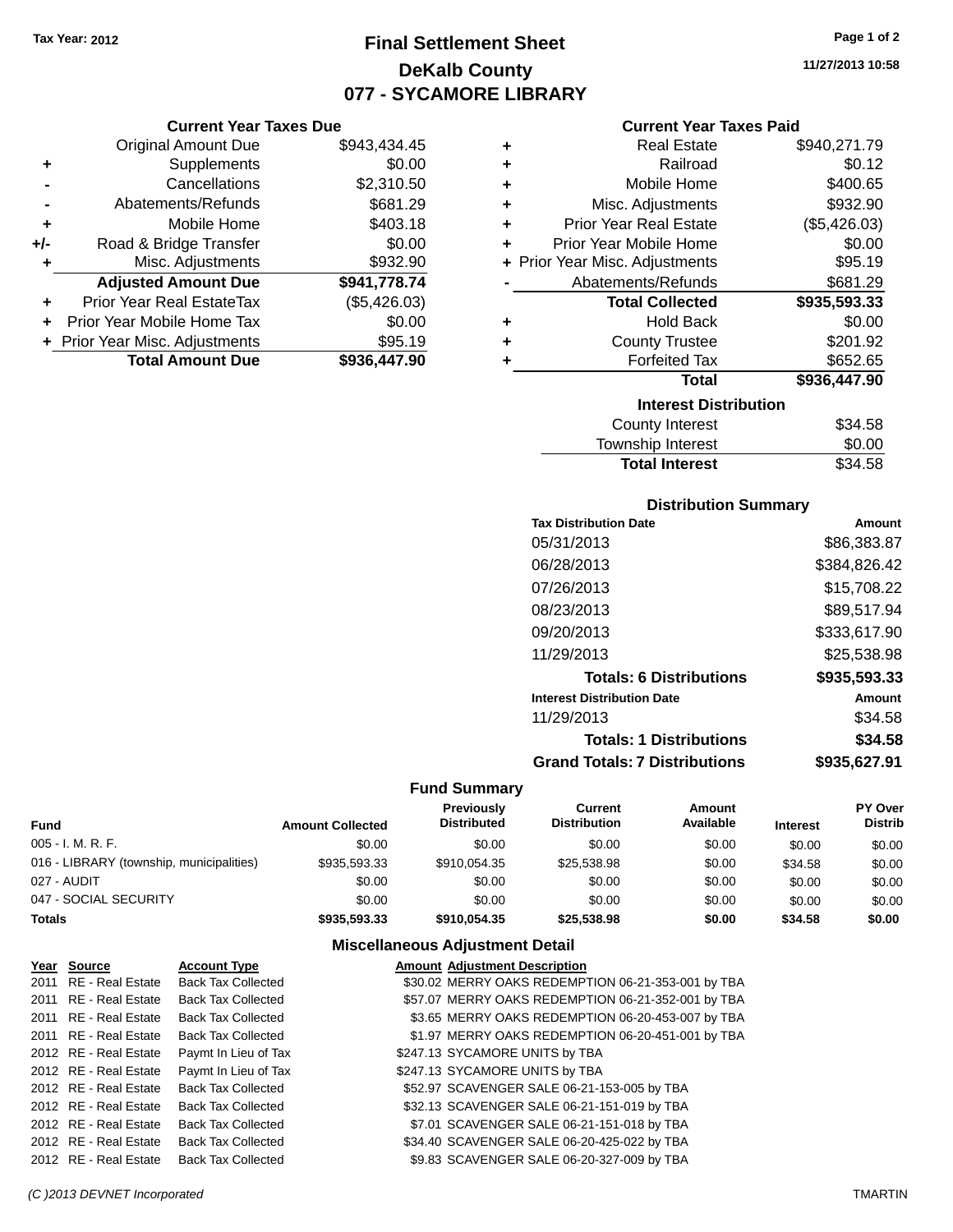**Current Year Taxes Due** Original Amount Due \$943,434.45

**Adjusted Amount Due \$941,778.74**

**Total Amount Due \$936,447.90**

**+** Supplements \$0.00 **-** Cancellations \$2,310.50 **-** Abatements/Refunds \$681.29 **+** Mobile Home \$403.18 **+/-** Road & Bridge Transfer \$0.00 **+** Misc. Adjustments \$932.90

**+** Prior Year Real EstateTax (\$5,426.03) **+** Prior Year Mobile Home Tax \$0.00 **+ Prior Year Misc. Adjustments \$95.19** 

# **Final Settlement Sheet Tax Year: 2012 Page 1 of 2 DeKalb County 077 - SYCAMORE LIBRARY**

**11/27/2013 10:58**

#### **Current Year Taxes Paid**

| ٠ | <b>Real Estate</b>             | \$940,271.79 |
|---|--------------------------------|--------------|
| ٠ | Railroad                       | \$0.12       |
| ٠ | Mobile Home                    | \$400.65     |
| ٠ | Misc. Adjustments              | \$932.90     |
| ÷ | <b>Prior Year Real Estate</b>  | (\$5,426.03) |
| ÷ | Prior Year Mobile Home         | \$0.00       |
|   | + Prior Year Misc. Adjustments | \$95.19      |
|   | Abatements/Refunds             | \$681.29     |
|   | <b>Total Collected</b>         | \$935,593.33 |
| ٠ | <b>Hold Back</b>               | \$0.00       |
| ٠ | <b>County Trustee</b>          | \$201.92     |
| ٠ | <b>Forfeited Tax</b>           | \$652.65     |
|   | <b>Total</b>                   | \$936,447.90 |
|   | <b>Interest Distribution</b>   |              |
|   | <b>County Interest</b>         | \$34.58      |
|   | Township Interact              | ድስ ሰስ        |

#### Township Interest  $$0.00$ Total Interest \$34.58

| <b>Distribution Summary</b>                          |              |  |  |  |
|------------------------------------------------------|--------------|--|--|--|
| <b>Tax Distribution Date</b>                         | Amount       |  |  |  |
| 05/31/2013                                           | \$86,383.87  |  |  |  |
| 06/28/2013                                           | \$384,826.42 |  |  |  |
| 07/26/2013                                           | \$15,708.22  |  |  |  |
| 08/23/2013                                           | \$89.517.94  |  |  |  |
| 09/20/2013                                           | \$333,617.90 |  |  |  |
| 11/29/2013                                           | \$25,538.98  |  |  |  |
| <b>Totals: 6 Distributions</b>                       | \$935,593.33 |  |  |  |
| <b>Interest Distribution Date</b>                    | Amount       |  |  |  |
| 11/29/2013                                           | \$34.58      |  |  |  |
| <b>Totals: 1 Distributions</b>                       | \$34.58      |  |  |  |
| <b>Grand Totals: 7 Distributions</b><br>\$935.627.91 |              |  |  |  |

#### **Fund Summary**

| Fund                                     | <b>Amount Collected</b> | <b>Previously</b><br><b>Distributed</b> | Current<br><b>Distribution</b> | Amount<br>Available | <b>Interest</b> | <b>PY Over</b><br><b>Distrib</b> |
|------------------------------------------|-------------------------|-----------------------------------------|--------------------------------|---------------------|-----------------|----------------------------------|
| 005 - I. M. R. F.                        | \$0.00                  | \$0.00                                  | \$0.00                         | \$0.00              | \$0.00          | \$0.00                           |
| 016 - LIBRARY (township, municipalities) | \$935,593,33            | \$910.054.35                            | \$25,538.98                    | \$0.00              | \$34.58         | \$0.00                           |
| 027 - AUDIT                              | \$0.00                  | \$0.00                                  | \$0.00                         | \$0.00              | \$0.00          | \$0.00                           |
| 047 - SOCIAL SECURITY                    | \$0.00                  | \$0.00                                  | \$0.00                         | \$0.00              | \$0.00          | \$0.00                           |
| <b>Totals</b>                            | \$935,593,33            | \$910.054.35                            | \$25,538,98                    | \$0.00              | \$34.58         | \$0.00                           |

### **Miscellaneous Adjustment Detail**

| Year Source           | <b>Account Type</b>       | <b>Amount Adjustment Description</b>               |  |
|-----------------------|---------------------------|----------------------------------------------------|--|
| 2011 RE - Real Estate | <b>Back Tax Collected</b> | \$30.02 MERRY OAKS REDEMPTION 06-21-353-001 by TBA |  |
| 2011 RE - Real Estate | <b>Back Tax Collected</b> | \$57.07 MERRY OAKS REDEMPTION 06-21-352-001 by TBA |  |
| 2011 RE - Real Estate | <b>Back Tax Collected</b> | \$3.65 MERRY OAKS REDEMPTION 06-20-453-007 by TBA  |  |
| 2011 RE - Real Estate | <b>Back Tax Collected</b> | \$1.97 MERRY OAKS REDEMPTION 06-20-451-001 by TBA  |  |
| 2012 RE - Real Estate | Paymt In Lieu of Tax      | \$247.13 SYCAMORE UNITS by TBA                     |  |
| 2012 RE - Real Estate | Paymt In Lieu of Tax      | \$247.13 SYCAMORE UNITS by TBA                     |  |
| 2012 RE - Real Estate | <b>Back Tax Collected</b> | \$52.97 SCAVENGER SALE 06-21-153-005 by TBA        |  |
| 2012 RE - Real Estate | <b>Back Tax Collected</b> | \$32.13 SCAVENGER SALE 06-21-151-019 by TBA        |  |
| 2012 RE - Real Estate | <b>Back Tax Collected</b> | \$7.01 SCAVENGER SALE 06-21-151-018 by TBA         |  |
| 2012 RE - Real Estate | <b>Back Tax Collected</b> | \$34.40 SCAVENGER SALE 06-20-425-022 by TBA        |  |
| 2012 RE - Real Estate | <b>Back Tax Collected</b> | \$9.83 SCAVENGER SALE 06-20-327-009 by TBA         |  |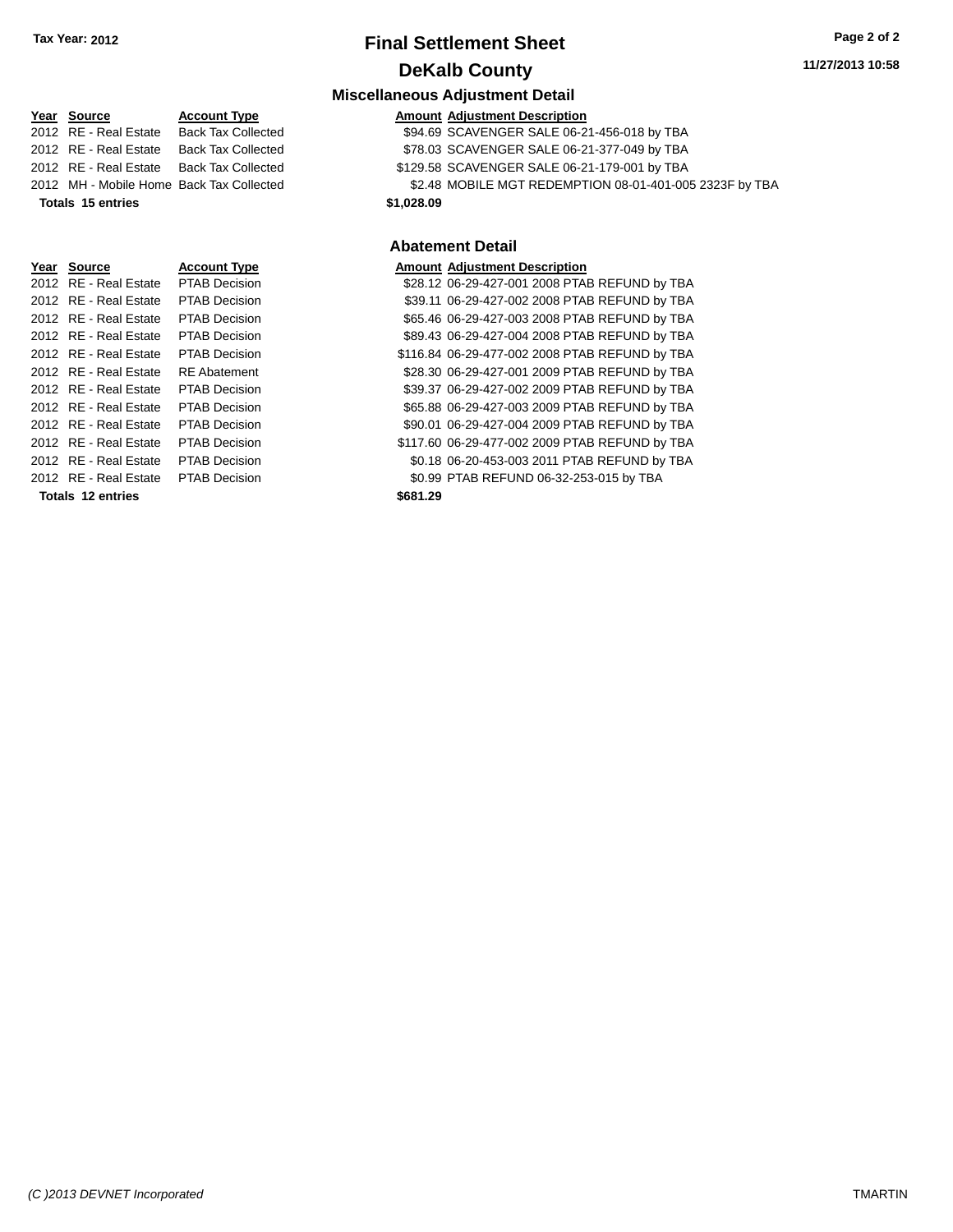# **Final Settlement Sheet Tax Year: 2012 Page 2 of 2 DeKalb County**

#### **Miscellaneous Adjustment Detail**

|                       |                                          | 10000118110080011818011101110010111                     |
|-----------------------|------------------------------------------|---------------------------------------------------------|
| Year Source           | <b>Account Type</b>                      | <b>Amount Adjustment Description</b>                    |
| 2012 RE - Real Estate | <b>Back Tax Collected</b>                | \$94.69 SCAVENGER SALE 06-21-456-018 by TBA             |
| 2012 RE - Real Estate | <b>Back Tax Collected</b>                | \$78.03 SCAVENGER SALE 06-21-377-049 by TBA             |
| 2012 RE - Real Estate | <b>Back Tax Collected</b>                | \$129.58 SCAVENGER SALE 06-21-179-001 by TBA            |
|                       | 2012 MH - Mobile Home Back Tax Collected | \$2.48 MOBILE MGT REDEMPTION 08-01-401-005 2323F by TBA |

**Totals 15 entries \$1,028.09**

#### **Abatement Detail**

| Year Source              | <b>Account Type</b>  |          | <b>Amount Adjustment Description</b>           |
|--------------------------|----------------------|----------|------------------------------------------------|
| 2012 RE - Real Estate    | <b>PTAB Decision</b> |          | \$28.12 06-29-427-001 2008 PTAB REFUND by TBA  |
| 2012 RE - Real Estate    | <b>PTAB Decision</b> |          | \$39.11 06-29-427-002 2008 PTAB REFUND by TBA  |
| 2012 RE - Real Estate    | <b>PTAB Decision</b> |          | \$65.46 06-29-427-003 2008 PTAB REFUND by TBA  |
| 2012 RE - Real Estate    | <b>PTAB Decision</b> |          | \$89.43 06-29-427-004 2008 PTAB REFUND by TBA  |
| 2012 RE - Real Estate    | <b>PTAB Decision</b> |          | \$116.84 06-29-477-002 2008 PTAB REFUND by TBA |
| 2012 RE - Real Estate    | <b>RE</b> Abatement  |          | \$28.30 06-29-427-001 2009 PTAB REFUND by TBA  |
| 2012 RE - Real Estate    | PTAB Decision        |          | \$39.37 06-29-427-002 2009 PTAB REFUND by TBA  |
| 2012 RE - Real Estate    | <b>PTAB Decision</b> |          | \$65.88 06-29-427-003 2009 PTAB REFUND by TBA  |
| 2012 RE - Real Estate    | <b>PTAB Decision</b> |          | \$90.01 06-29-427-004 2009 PTAB REFUND by TBA  |
| 2012 RE - Real Estate    | <b>PTAB Decision</b> |          | \$117.60 06-29-477-002 2009 PTAB REFUND by TBA |
| 2012 RE - Real Estate    | <b>PTAB Decision</b> |          | \$0.18 06-20-453-003 2011 PTAB REFUND by TBA   |
| 2012 RE - Real Estate    | <b>PTAB Decision</b> |          | \$0.99 PTAB REFUND 06-32-253-015 by TBA        |
| <b>Totals 12 entries</b> |                      | \$681.29 |                                                |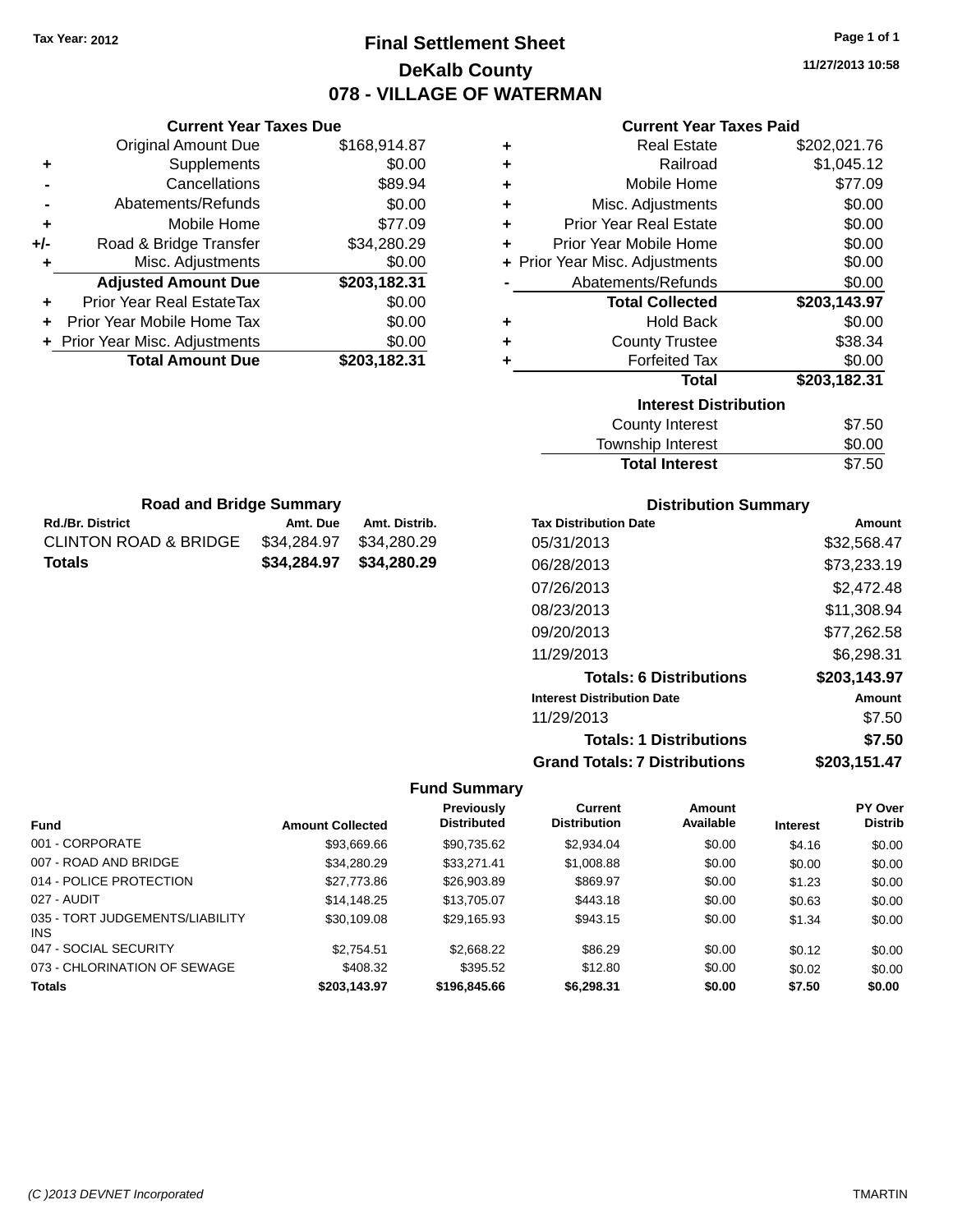# **Final Settlement Sheet Tax Year: 2012 Page 1 of 1 DeKalb County 078 - VILLAGE OF WATERMAN**

**11/27/2013 10:58**

### **Current Year Taxes Paid**

| <b>Current Year Taxes Due</b> |                                |
|-------------------------------|--------------------------------|
| <b>Original Amount Due</b>    | \$168,914.87                   |
| Supplements                   | \$0.00                         |
| Cancellations                 | \$89.94                        |
| Abatements/Refunds            | \$0.00                         |
| Mobile Home                   | \$77.09                        |
| Road & Bridge Transfer        | \$34,280.29                    |
| Misc. Adjustments             | \$0.00                         |
| <b>Adjusted Amount Due</b>    | \$203,182.31                   |
| Prior Year Real EstateTax     | \$0.00                         |
| Prior Year Mobile Home Tax    | \$0.00                         |
|                               | \$0.00                         |
|                               |                                |
|                               | + Prior Year Misc. Adjustments |

**Rd./Br. District Amt. Due Amt. Distrib. Road and Bridge Summary**

CLINTON ROAD & BRIDGE \$34,284.97 \$34,280.29 **Totals \$34,284.97 \$34,280.29**

| ٠ | <b>Real Estate</b>             | \$202,021.76 |
|---|--------------------------------|--------------|
| ٠ | Railroad                       | \$1,045.12   |
| ٠ | Mobile Home                    | \$77.09      |
| ٠ | Misc. Adjustments              | \$0.00       |
| ÷ | <b>Prior Year Real Estate</b>  | \$0.00       |
| ٠ | Prior Year Mobile Home         | \$0.00       |
|   | + Prior Year Misc. Adjustments | \$0.00       |
|   | Abatements/Refunds             | \$0.00       |
|   |                                |              |
|   | <b>Total Collected</b>         | \$203,143.97 |
| ٠ | <b>Hold Back</b>               | \$0.00       |
| ٠ | <b>County Trustee</b>          | \$38.34      |
| ٠ | <b>Forfeited Tax</b>           | \$0.00       |
|   | <b>Total</b>                   | \$203,182.31 |
|   | <b>Interest Distribution</b>   |              |
|   | <b>County Interest</b>         | \$7.50       |

| <b>Total Interest</b> | \$7.50 |
|-----------------------|--------|
| Township Interest     | \$0.00 |
| County interest       | J.JU   |

| <b>Distribution Summary</b>          |              |
|--------------------------------------|--------------|
| <b>Tax Distribution Date</b>         | Amount       |
| 05/31/2013                           | \$32,568.47  |
| 06/28/2013                           | \$73,233.19  |
| 07/26/2013                           | \$2.472.48   |
| 08/23/2013                           | \$11.308.94  |
| 09/20/2013                           | \$77,262.58  |
| 11/29/2013                           | \$6,298.31   |
| <b>Totals: 6 Distributions</b>       | \$203,143.97 |
| <b>Interest Distribution Date</b>    | Amount       |
| 11/29/2013                           | \$7.50       |
| <b>Totals: 1 Distributions</b>       | \$7.50       |
| <b>Grand Totals: 7 Distributions</b> | \$203.151.47 |

| <b>Fund</b>                             | <b>Amount Collected</b> | Previously<br><b>Distributed</b> | Current<br><b>Distribution</b> | Amount<br>Available | <b>Interest</b> | <b>PY Over</b><br><b>Distrib</b> |
|-----------------------------------------|-------------------------|----------------------------------|--------------------------------|---------------------|-----------------|----------------------------------|
| 001 - CORPORATE                         | \$93,669.66             | \$90,735.62                      | \$2,934.04                     | \$0.00              | \$4.16          | \$0.00                           |
| 007 - ROAD AND BRIDGE                   | \$34.280.29             | \$33.271.41                      | \$1,008.88                     | \$0.00              | \$0.00          | \$0.00                           |
| 014 - POLICE PROTECTION                 | \$27,773.86             | \$26,903.89                      | \$869.97                       | \$0.00              | \$1.23          | \$0.00                           |
| 027 - AUDIT                             | \$14.148.25             | \$13,705.07                      | \$443.18                       | \$0.00              | \$0.63          | \$0.00                           |
| 035 - TORT JUDGEMENTS/LIABILITY<br>INS. | \$30,109.08             | \$29,165.93                      | \$943.15                       | \$0.00              | \$1.34          | \$0.00                           |
| 047 - SOCIAL SECURITY                   | \$2.754.51              | \$2,668.22                       | \$86.29                        | \$0.00              | \$0.12          | \$0.00                           |
| 073 - CHLORINATION OF SEWAGE            | \$408.32                | \$395.52                         | \$12.80                        | \$0.00              | \$0.02          | \$0.00                           |
| <b>Totals</b>                           | \$203.143.97            | \$196,845,66                     | \$6,298.31                     | \$0.00              | \$7.50          | \$0.00                           |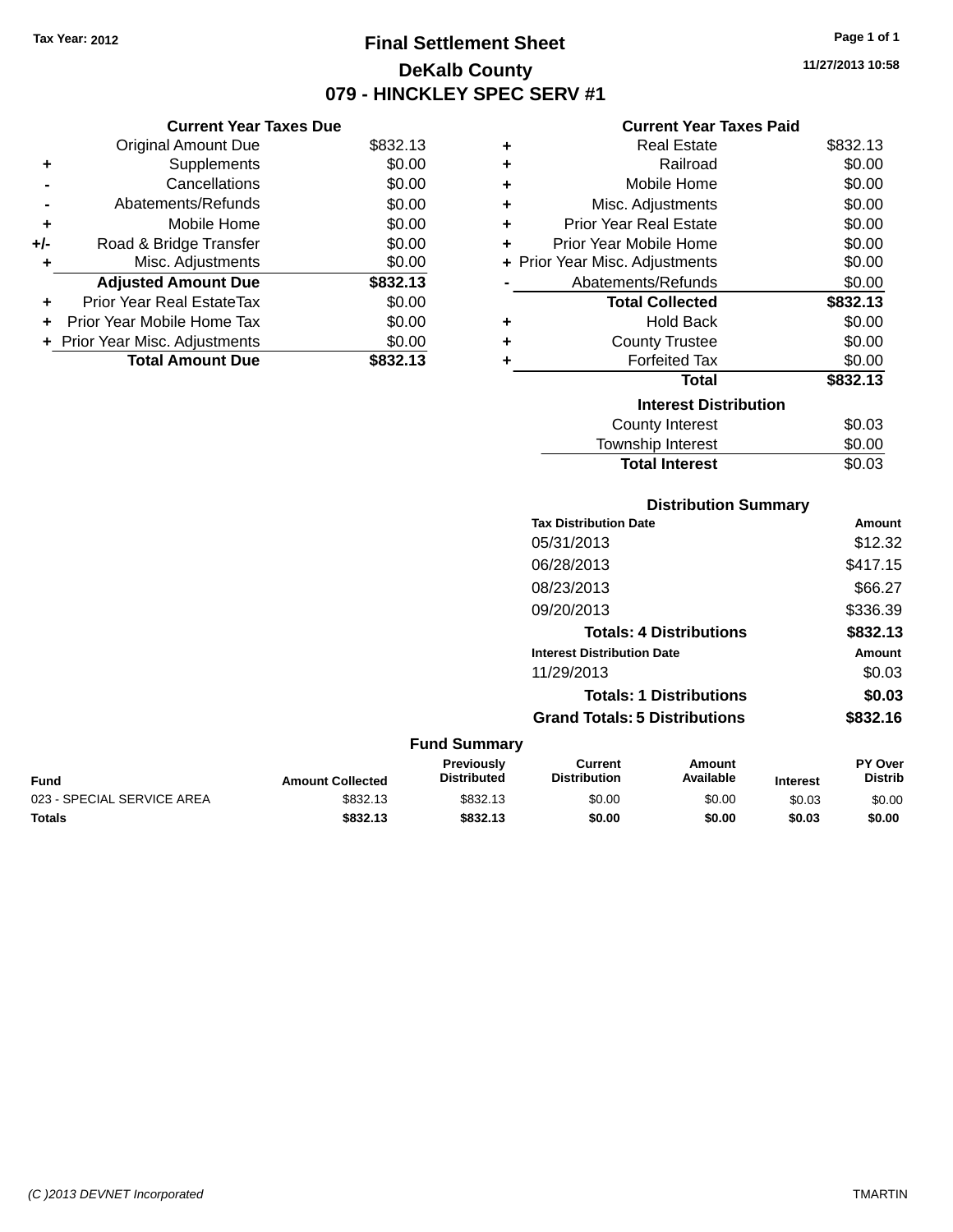# **Final Settlement Sheet Tax Year: 2012 Page 1 of 1 DeKalb County 079 - HINCKLEY SPEC SERV #1**

**11/27/2013 10:58**

#### **Current Year Taxes Paid**

|       | <b>Current Year Taxes Due</b>  |          |   | Cυ                   |
|-------|--------------------------------|----------|---|----------------------|
|       | <b>Original Amount Due</b>     | \$832.13 | ٠ |                      |
|       | <b>Supplements</b>             | \$0.00   | ٠ |                      |
|       | Cancellations                  | \$0.00   | ٠ | M                    |
|       | Abatements/Refunds             | \$0.00   | ٠ | Misc. A              |
|       | Mobile Home                    | \$0.00   | ÷ | <b>Prior Year I</b>  |
| $+/-$ | Road & Bridge Transfer         | \$0.00   | ٠ | Prior Year M         |
|       | Misc. Adjustments              | \$0.00   |   | + Prior Year Misc. A |
|       | <b>Adjusted Amount Due</b>     | \$832.13 |   | Abatemer             |
| ÷     | Prior Year Real EstateTax      | \$0.00   |   | Total                |
|       | Prior Year Mobile Home Tax     | \$0.00   | ٠ |                      |
|       | + Prior Year Misc. Adjustments | \$0.00   | ٠ | Cou                  |
|       | <b>Total Amount Due</b>        | \$832.13 |   | F٥                   |
|       |                                |          |   |                      |

| ÷ | Real Estate                  | \$832.13 |
|---|------------------------------|----------|
| ÷ | Railroad                     | \$0.00   |
| ÷ | Mobile Home                  | \$0.00   |
| ÷ | Misc. Adjustments            | \$0.00   |
| ٠ | Prior Year Real Estate       | \$0.00   |
| ÷ | Prior Year Mobile Home       | \$0.00   |
| ÷ | Prior Year Misc. Adjustments | \$0.00   |
|   | Abatements/Refunds           | \$0.00   |
|   | <b>Total Collected</b>       | \$832.13 |
| ٠ | <b>Hold Back</b>             | \$0.00   |
| ÷ | <b>County Trustee</b>        | \$0.00   |
|   | <b>Forfeited Tax</b>         | \$0.00   |
|   | Total                        | \$832.13 |
|   | <b>Interest Distribution</b> |          |
|   | <b>County Interest</b>       | \$0.03   |
|   | Township Interest            | \$0.00   |
|   | <b>Total Interest</b>        | \$0.03   |

### **Distribution Summary Tax Distribution Date Amount** 05/31/2013 \$12.32 06/28/2013 \$417.15 08/23/2013 \$66.27 09/20/2013 \$336.39 **Totals: 4 Distributions \$832.13 Interest Distribution Date Amount** 11/29/2013 \$0.03 **Totals: 1 Distributions \$0.03 Grand Totals: 5 Distributions \$832.16**

#### **Fund Summary Fund Interest Amount Collected Distributed PY Over Distrib Amount Available Current Distribution Previously** 023 - SPECIAL SERVICE AREA  $$832.13$   $$832.13$   $$0.00$  \$0.00 \$0.00 \$0.03 \$0.00

**Totals \$832.13 \$832.13 \$0.00 \$0.00 \$0.03 \$0.00**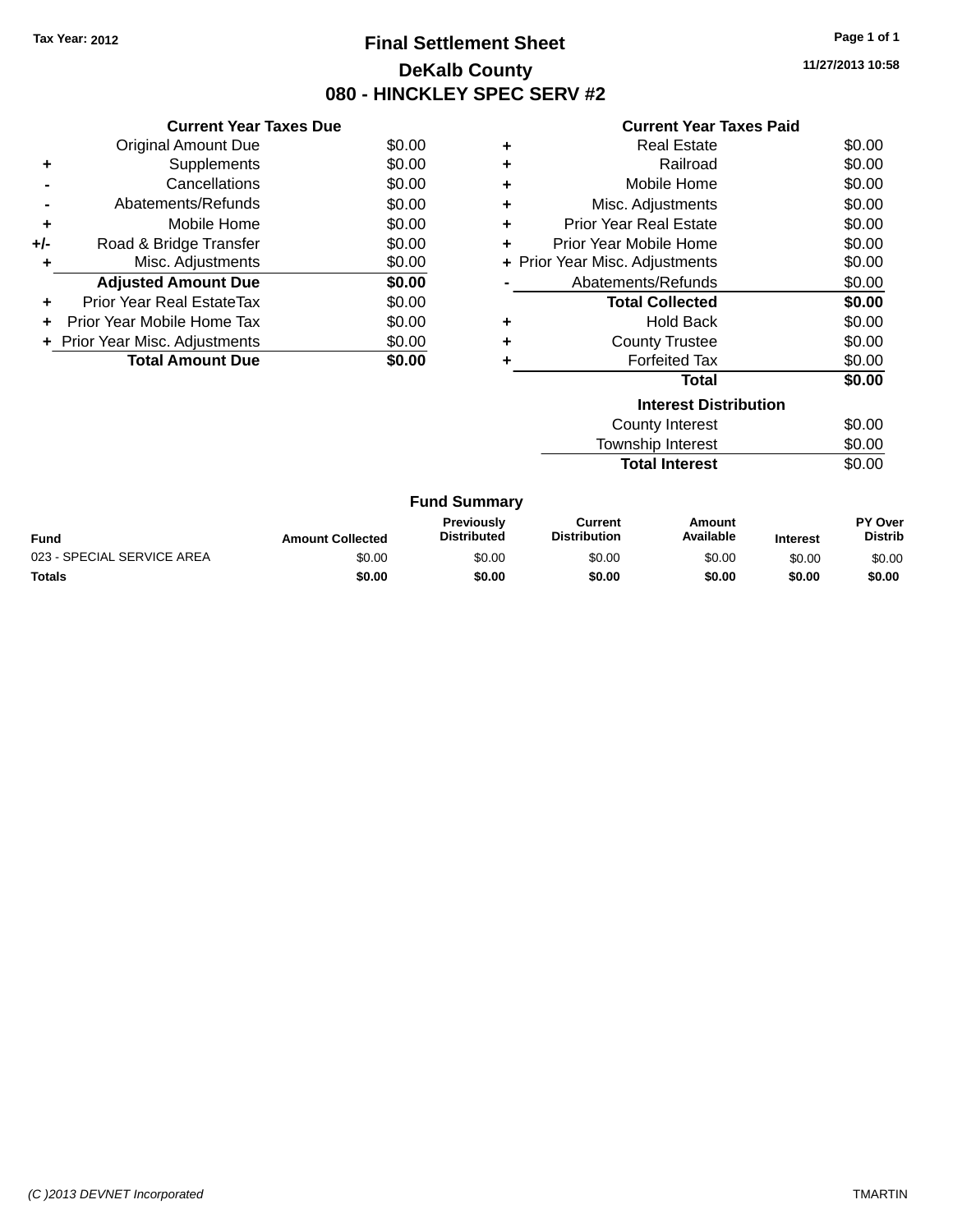# **Final Settlement Sheet Tax Year: 2012 Page 1 of 1 DeKalb County 080 - HINCKLEY SPEC SERV #2**

**11/27/2013 10:58**

| <b>Current Year Taxes Paid</b> |  |  |  |
|--------------------------------|--|--|--|
|--------------------------------|--|--|--|

|       | <b>Current Year Taxes Due</b>  |        |
|-------|--------------------------------|--------|
|       | <b>Original Amount Due</b>     | \$0.00 |
| ٠     | Supplements                    | \$0.00 |
|       | Cancellations                  | \$0.00 |
|       | Abatements/Refunds             | \$0.00 |
| ٠     | Mobile Home                    | \$0.00 |
| $+/-$ | Road & Bridge Transfer         | \$0.00 |
|       | Misc. Adjustments              | \$0.00 |
|       | <b>Adjusted Amount Due</b>     | \$0.00 |
| ÷     | Prior Year Real EstateTax      | \$0.00 |
|       | Prior Year Mobile Home Tax     | \$0.00 |
|       | + Prior Year Misc. Adjustments | \$0.00 |
|       | <b>Total Amount Due</b>        | \$0.00 |
|       |                                |        |

|   | <b>Real Estate</b>             | \$0.00 |
|---|--------------------------------|--------|
|   | Railroad                       | \$0.00 |
|   | Mobile Home                    | \$0.00 |
| ٠ | Misc. Adjustments              | \$0.00 |
| ٠ | <b>Prior Year Real Estate</b>  | \$0.00 |
| ٠ | Prior Year Mobile Home         | \$0.00 |
|   | + Prior Year Misc. Adjustments | \$0.00 |
|   | Abatements/Refunds             | \$0.00 |
|   | <b>Total Collected</b>         | \$0.00 |
|   | <b>Hold Back</b>               | \$0.00 |
|   | <b>County Trustee</b>          | \$0.00 |
|   | <b>Forfeited Tax</b>           | \$0.00 |
|   | <b>Total</b>                   | \$0.00 |
|   | <b>Interest Distribution</b>   |        |
|   | <b>County Interest</b>         |        |
|   |                                |        |

| Township Interest     | \$0.00 |
|-----------------------|--------|
| <b>Total Interest</b> | \$0.00 |

| <b>Fund Summary</b>        |                         |                                         |                                |                     |                 |                                  |
|----------------------------|-------------------------|-----------------------------------------|--------------------------------|---------------------|-----------------|----------------------------------|
| Fund                       | <b>Amount Collected</b> | <b>Previously</b><br><b>Distributed</b> | Current<br><b>Distribution</b> | Amount<br>Available | <b>Interest</b> | <b>PY Over</b><br><b>Distrib</b> |
| 023 - SPECIAL SERVICE AREA | \$0.00                  | \$0.00                                  | \$0.00                         | \$0.00              | \$0.00          | \$0.00                           |
| Totals                     | \$0.00                  | \$0.00                                  | \$0.00                         | \$0.00              | \$0.00          | \$0.00                           |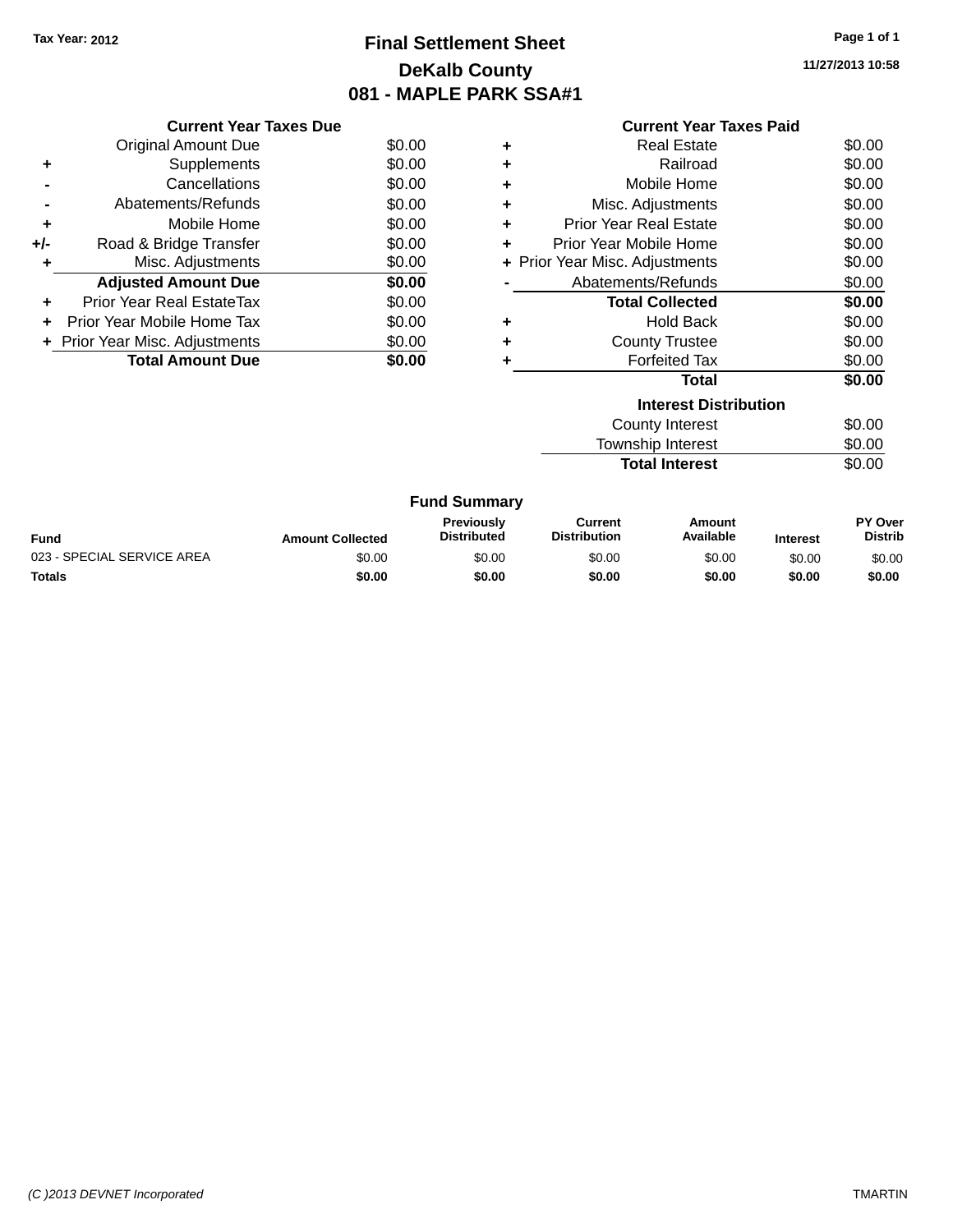# **Final Settlement Sheet Tax Year: 2012 Page 1 of 1 DeKalb County 081 - MAPLE PARK SSA#1**

**11/27/2013 10:58**

|     | <b>Current Year Taxes Due</b>  |        |
|-----|--------------------------------|--------|
|     | <b>Original Amount Due</b>     | \$0.00 |
| ٠   | Supplements                    | \$0.00 |
|     | Cancellations                  | \$0.00 |
| -   | Abatements/Refunds             | \$0.00 |
| ٠   | Mobile Home                    | \$0.00 |
| +/- | Road & Bridge Transfer         | \$0.00 |
| ٠   | Misc. Adjustments              | \$0.00 |
|     | <b>Adjusted Amount Due</b>     | \$0.00 |
| ٠   | Prior Year Real EstateTax      | \$0.00 |
|     | Prior Year Mobile Home Tax     | \$0.00 |
|     | + Prior Year Misc. Adjustments | \$0.00 |
|     | <b>Total Amount Due</b>        | \$0.00 |
|     |                                |        |

|   | <b>Current Year Taxes Paid</b> |        |  |
|---|--------------------------------|--------|--|
| ٠ | Real Estate                    | \$0.00 |  |
| ٠ | Railroad                       | \$0.00 |  |
| ٠ | Mobile Home                    | \$0.00 |  |
| ٠ | Misc. Adjustments              | \$0.00 |  |
| ٠ | <b>Prior Year Real Estate</b>  | \$0.00 |  |
| ٠ | Prior Year Mobile Home         | \$0.00 |  |
|   | + Prior Year Misc. Adjustments | \$0.00 |  |
|   | Abatements/Refunds             | \$0.00 |  |
|   | <b>Total Collected</b>         | \$0.00 |  |
| ٠ | <b>Hold Back</b>               | \$0.00 |  |
| ٠ | <b>County Trustee</b>          | \$0.00 |  |
| ÷ | <b>Forfeited Tax</b>           | \$0.00 |  |
|   | <b>Total</b>                   | \$0.00 |  |
|   | <b>Interest Distribution</b>   |        |  |
|   | County Interest                | \$0.00 |  |
|   | <b>Township Interest</b>       | \$0.00 |  |

**Total Interest** \$0.00

|  | <b>Fund Summary</b> |
|--|---------------------|
|--|---------------------|

| Fund                       | <b>Amount Collected</b> | <b>Previously</b><br><b>Distributed</b> | Current<br><b>Distribution</b> | Amount<br>Available | <b>Interest</b> | <b>PY Over</b><br><b>Distrib</b> |
|----------------------------|-------------------------|-----------------------------------------|--------------------------------|---------------------|-----------------|----------------------------------|
| 023 - SPECIAL SERVICE AREA | \$0.00                  | \$0.00                                  | \$0.00                         | \$0.00              | \$0.00          | \$0.00                           |
| <b>Totals</b>              | \$0.00                  | \$0.00                                  | \$0.00                         | \$0.00              | \$0.00          | \$0.00                           |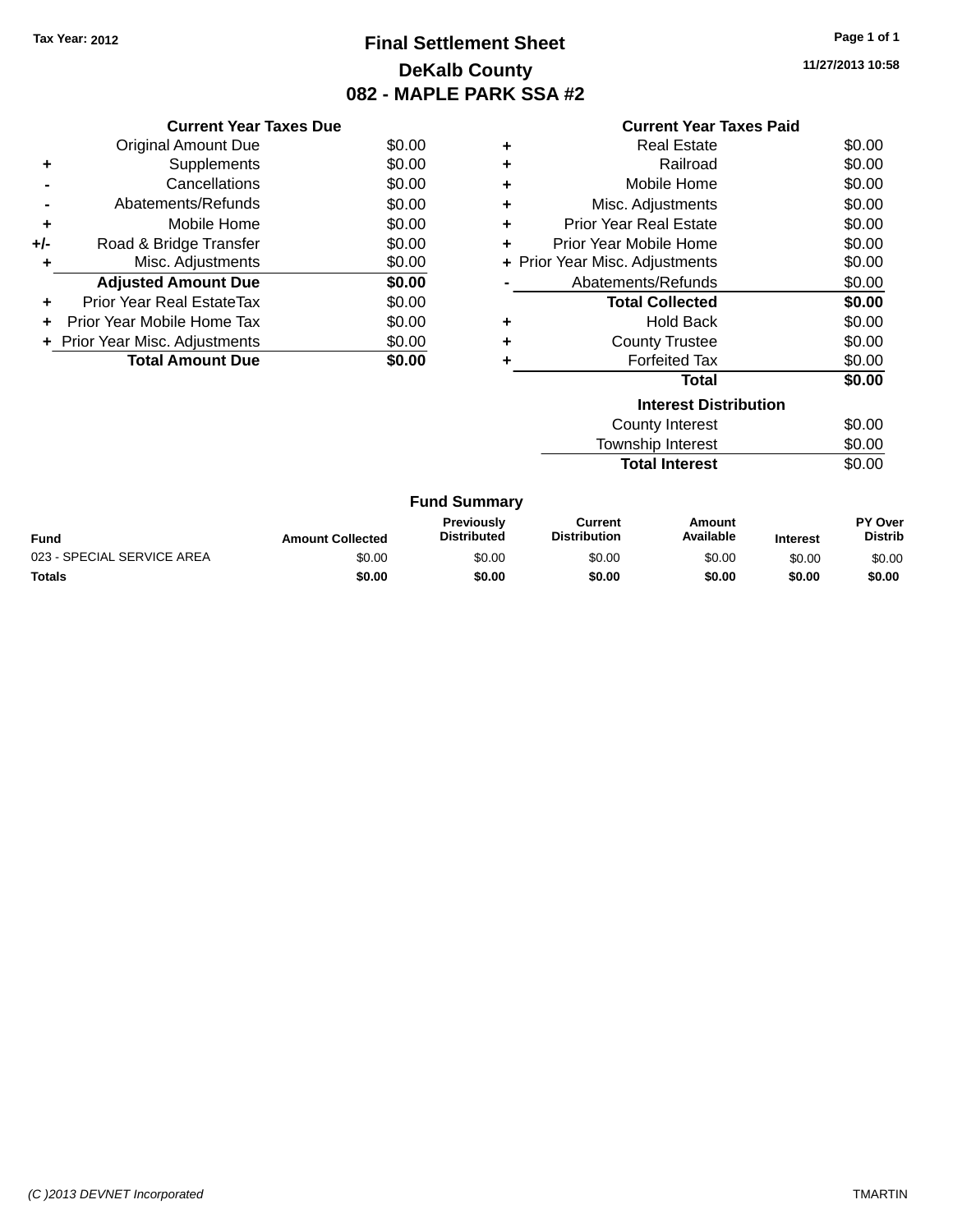# **Final Settlement Sheet Tax Year: 2012 Page 1 of 1 DeKalb County 082 - MAPLE PARK SSA #2**

**11/27/2013 10:58**

| <b>Current Year Taxes Paid</b> |  |  |  |
|--------------------------------|--|--|--|
|--------------------------------|--|--|--|

|     | <b>Current Year Taxes Due</b>  |        |
|-----|--------------------------------|--------|
|     | <b>Original Amount Due</b>     | \$0.00 |
| ٠   | Supplements                    | \$0.00 |
|     | Cancellations                  | \$0.00 |
|     | Abatements/Refunds             | \$0.00 |
| ٠   | Mobile Home                    | \$0.00 |
| +/- | Road & Bridge Transfer         | \$0.00 |
| ٠   | Misc. Adjustments              | \$0.00 |
|     | <b>Adjusted Amount Due</b>     | \$0.00 |
| ٠   | Prior Year Real EstateTax      | \$0.00 |
|     | Prior Year Mobile Home Tax     | \$0.00 |
|     | + Prior Year Misc. Adjustments | \$0.00 |
|     | <b>Total Amount Due</b>        | \$0.00 |
|     |                                |        |

| ٠ | <b>Real Estate</b>             | \$0.00 |
|---|--------------------------------|--------|
| ٠ | Railroad                       | \$0.00 |
| ÷ | Mobile Home                    | \$0.00 |
| ÷ | Misc. Adjustments              | \$0.00 |
| ÷ | Prior Year Real Estate         | \$0.00 |
| ٠ | Prior Year Mobile Home         | \$0.00 |
|   | + Prior Year Misc. Adjustments | \$0.00 |
|   | Abatements/Refunds             | \$0.00 |
|   | <b>Total Collected</b>         | \$0.00 |
| ٠ | <b>Hold Back</b>               | \$0.00 |
| ÷ | <b>County Trustee</b>          | \$0.00 |
| ٠ | <b>Forfeited Tax</b>           | \$0.00 |
|   | Total                          | \$0.00 |
|   | <b>Interest Distribution</b>   |        |
|   | County Interest                | \$0.00 |
|   | <b>Township Interest</b>       | \$0.00 |

Total Interest \$0.00

|  | <b>Fund Summary</b> |
|--|---------------------|
|  |                     |

| <b>Fund</b>                | <b>Amount Collected</b> | Previously<br><b>Distributed</b> | Current<br><b>Distribution</b> | Amount<br>Available | <b>Interest</b> | <b>PY Over</b><br><b>Distrib</b> |
|----------------------------|-------------------------|----------------------------------|--------------------------------|---------------------|-----------------|----------------------------------|
| 023 - SPECIAL SERVICE AREA | \$0.00                  | \$0.00                           | \$0.00                         | \$0.00              | \$0.00          | \$0.00                           |
| <b>Totals</b>              | \$0.00                  | \$0.00                           | \$0.00                         | \$0.00              | \$0.00          | \$0.00                           |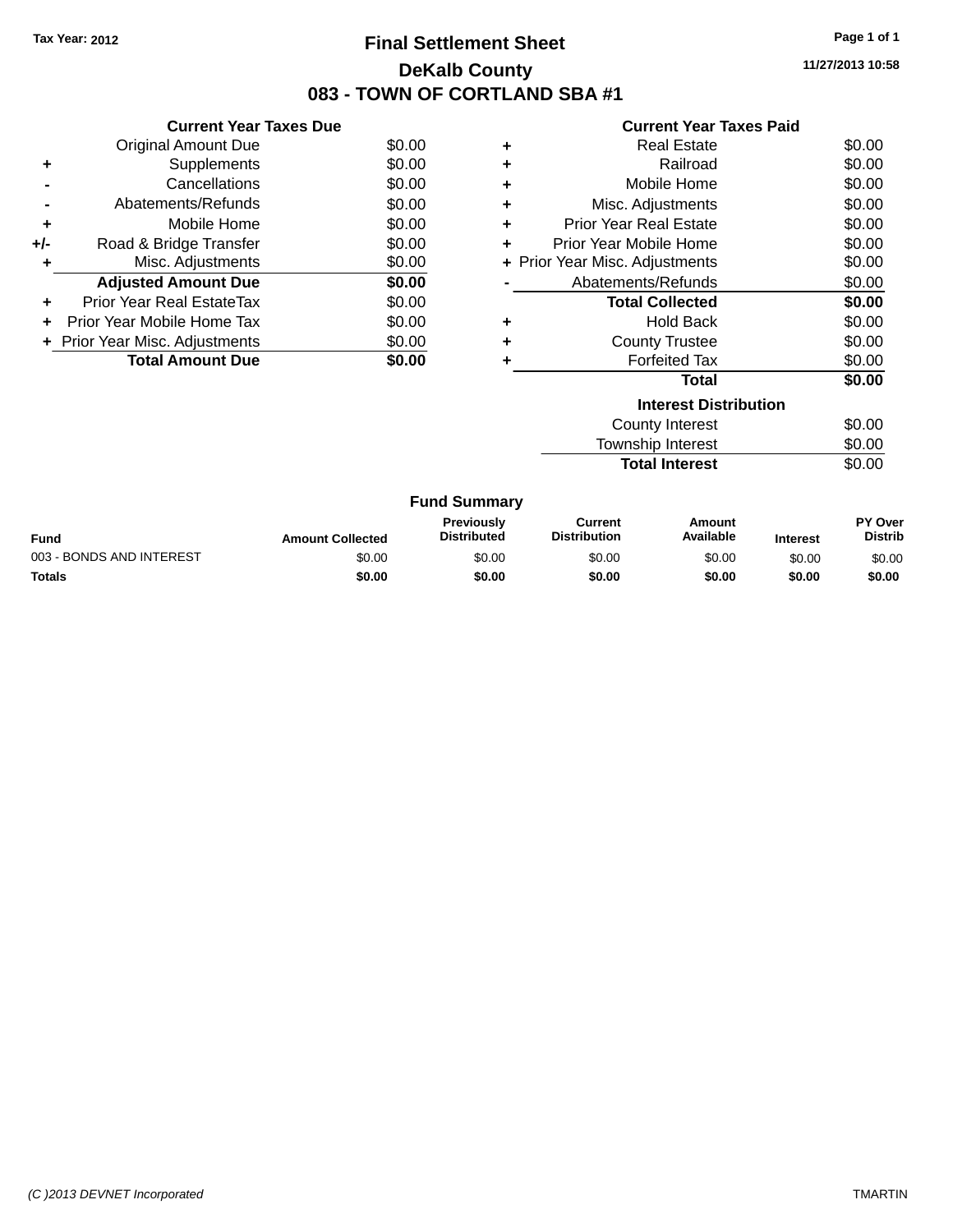# **Final Settlement Sheet Tax Year: 2012 Page 1 of 1 DeKalb County 083 - TOWN OF CORTLAND SBA #1**

**11/27/2013 10:58**

| <b>Current Year Taxes Paid</b> |  |  |
|--------------------------------|--|--|
|                                |  |  |

|     | <b>Current Year Taxes Due</b>  |        |
|-----|--------------------------------|--------|
|     | <b>Original Amount Due</b>     | \$0.00 |
| ÷   | Supplements                    | \$0.00 |
|     | Cancellations                  | \$0.00 |
|     | Abatements/Refunds             | \$0.00 |
| ٠   | Mobile Home                    | \$0.00 |
| +/- | Road & Bridge Transfer         | \$0.00 |
|     | Misc. Adjustments              | \$0.00 |
|     | <b>Adjusted Amount Due</b>     | \$0.00 |
| ÷   | Prior Year Real EstateTax      | \$0.00 |
|     | Prior Year Mobile Home Tax     | \$0.00 |
|     | + Prior Year Misc. Adjustments | \$0.00 |
|     | <b>Total Amount Due</b>        | \$0.00 |

| ٠ | <b>Real Estate</b>             | \$0.00 |
|---|--------------------------------|--------|
| ٠ | Railroad                       | \$0.00 |
| ٠ | Mobile Home                    | \$0.00 |
| ٠ | Misc. Adjustments              | \$0.00 |
| ٠ | <b>Prior Year Real Estate</b>  | \$0.00 |
| ٠ | Prior Year Mobile Home         | \$0.00 |
|   | + Prior Year Misc. Adjustments | \$0.00 |
|   | Abatements/Refunds             | \$0.00 |
|   | <b>Total Collected</b>         | \$0.00 |
|   | <b>Hold Back</b>               | \$0.00 |
|   | <b>County Trustee</b>          | \$0.00 |
|   | <b>Forfeited Tax</b>           | \$0.00 |
|   | Total                          | \$0.00 |
|   | <b>Interest Distribution</b>   |        |
|   | County Interest                | \$0.00 |

Township Interest \$0.00 **Total Interest** \$0.00

| <b>Fund Summary</b>      |                         |                                         |                                |                     |                 |                                  |
|--------------------------|-------------------------|-----------------------------------------|--------------------------------|---------------------|-----------------|----------------------------------|
| Fund                     | <b>Amount Collected</b> | <b>Previously</b><br><b>Distributed</b> | Current<br><b>Distribution</b> | Amount<br>Available | <b>Interest</b> | <b>PY Over</b><br><b>Distrib</b> |
| 003 - BONDS AND INTEREST | \$0.00                  | \$0.00                                  | \$0.00                         | \$0.00              | \$0.00          | \$0.00                           |
| <b>Totals</b>            | \$0.00                  | \$0.00                                  | \$0.00                         | \$0.00              | \$0.00          | \$0.00                           |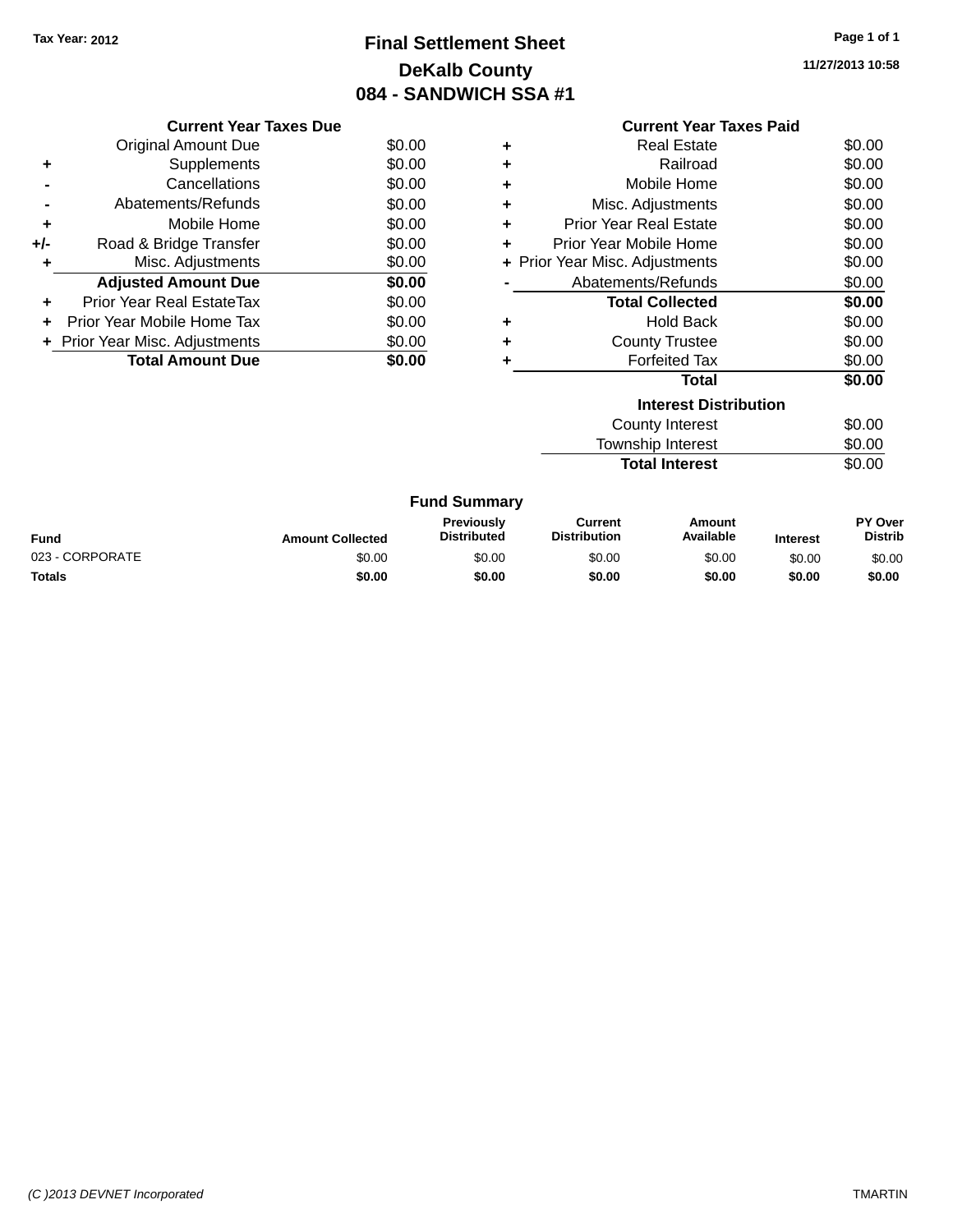# **Final Settlement Sheet Tax Year: 2012 Page 1 of 1 DeKalb County 084 - SANDWICH SSA #1**

**11/27/2013 10:58**

|     | <b>Current Year Taxes Due</b>  |        |
|-----|--------------------------------|--------|
|     | Original Amount Due            | \$0.00 |
| ٠   | Supplements                    | \$0.00 |
|     | Cancellations                  | \$0.00 |
|     | Abatements/Refunds             | \$0.00 |
| ٠   | Mobile Home                    | \$0.00 |
| +/- | Road & Bridge Transfer         | \$0.00 |
|     | Misc. Adjustments              | \$0.00 |
|     | <b>Adjusted Amount Due</b>     | \$0.00 |
|     | Prior Year Real EstateTax      | \$0.00 |
|     | Prior Year Mobile Home Tax     | \$0.00 |
|     | + Prior Year Misc. Adjustments | \$0.00 |
|     | <b>Total Amount Due</b>        | \$0.00 |
|     |                                |        |

|   | <b>Current Year Taxes Paid</b> |        |
|---|--------------------------------|--------|
| ٠ | Real Estate                    | \$0.00 |
| ٠ | Railroad                       | \$0.00 |
| ٠ | Mobile Home                    | \$0.00 |
| ÷ | Misc. Adjustments              | \$0.00 |
| ٠ | Prior Year Real Estate         | \$0.00 |
| ٠ | Prior Year Mobile Home         | \$0.00 |
|   | + Prior Year Misc. Adjustments | \$0.00 |
|   | Abatements/Refunds             | \$0.00 |
|   | <b>Total Collected</b>         | \$0.00 |
| ٠ | <b>Hold Back</b>               | \$0.00 |
| ٠ | <b>County Trustee</b>          | \$0.00 |
|   | <b>Forfeited Tax</b>           | \$0.00 |
|   | Total                          | \$0.00 |
|   | <b>Interest Distribution</b>   |        |
|   | <b>County Interest</b>         | \$0.00 |
|   | <b>Township Interest</b>       | \$0.00 |

Total Interest \$0.00

|  | <b>Fund Summary</b> |
|--|---------------------|
|  |                     |

| Fund            | <b>Amount Collected</b> | <b>Previously</b><br><b>Distributed</b> | Current<br><b>Distribution</b> | Amount<br>Available | <b>Interest</b> | <b>PY Over</b><br><b>Distrib</b> |
|-----------------|-------------------------|-----------------------------------------|--------------------------------|---------------------|-----------------|----------------------------------|
| 023 - CORPORATE | \$0.00                  | \$0.00                                  | \$0.00                         | \$0.00              | \$0.00          | \$0.00                           |
| <b>Totals</b>   | \$0.00                  | \$0.00                                  | \$0.00                         | \$0.00              | \$0.00          | \$0.00                           |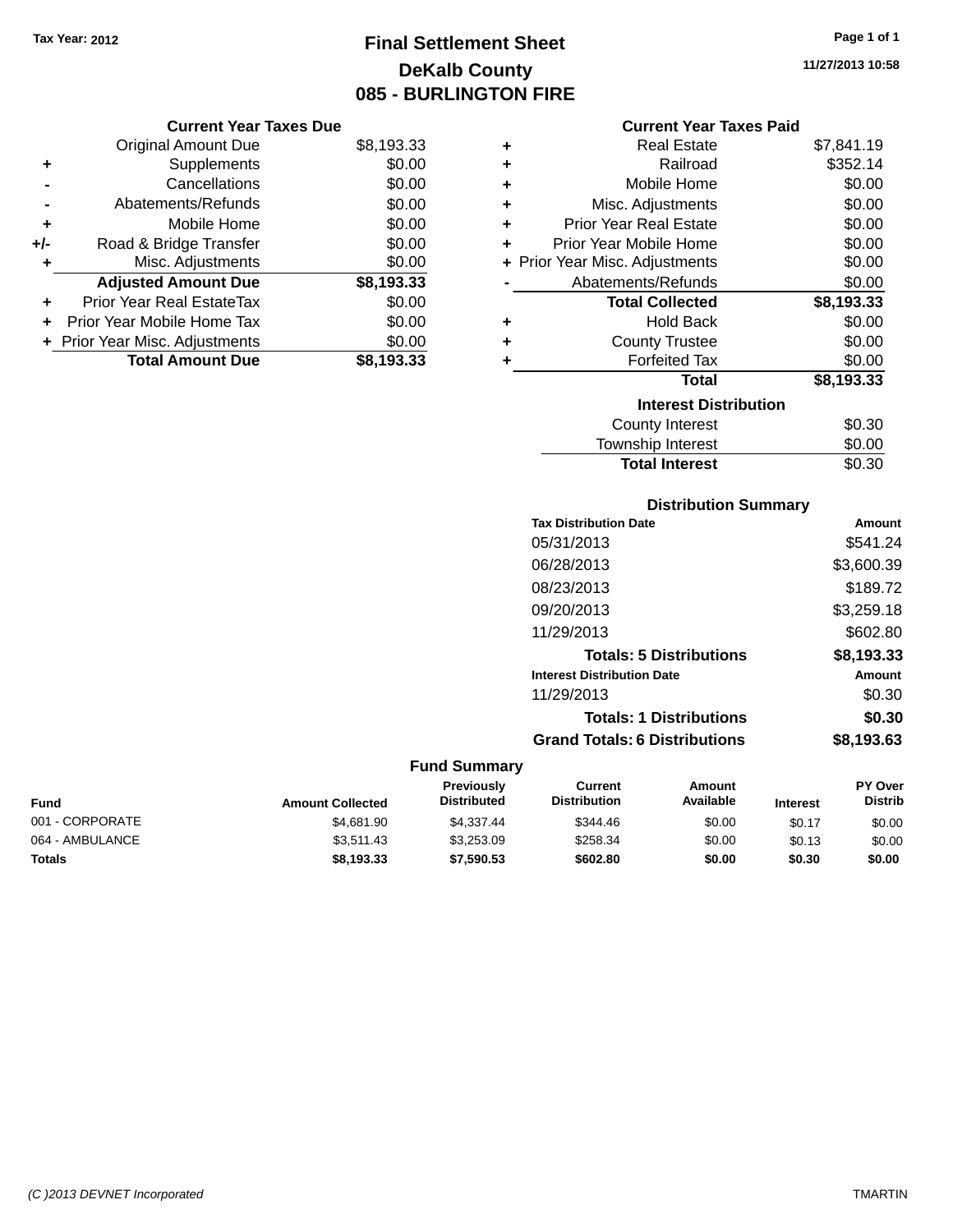# **Final Settlement Sheet Tax Year: 2012 Page 1 of 1 DeKalb County 085 - BURLINGTON FIRE**

**11/27/2013 10:58**

|       | <b>Current Year Taxes Due</b>  |            |  |  |  |  |  |
|-------|--------------------------------|------------|--|--|--|--|--|
|       | <b>Original Amount Due</b>     | \$8,193.33 |  |  |  |  |  |
| ٠     | Supplements                    | \$0.00     |  |  |  |  |  |
|       | Cancellations                  | \$0.00     |  |  |  |  |  |
|       | Abatements/Refunds             | \$0.00     |  |  |  |  |  |
| ٠     | Mobile Home                    | \$0.00     |  |  |  |  |  |
| $+/-$ | Road & Bridge Transfer         | \$0.00     |  |  |  |  |  |
|       | Misc. Adjustments              | \$0.00     |  |  |  |  |  |
|       | <b>Adjusted Amount Due</b>     | \$8,193.33 |  |  |  |  |  |
|       | Prior Year Real EstateTax      | \$0.00     |  |  |  |  |  |
|       | Prior Year Mobile Home Tax     | \$0.00     |  |  |  |  |  |
|       | + Prior Year Misc. Adjustments | \$0.00     |  |  |  |  |  |
|       | <b>Total Amount Due</b>        | \$8.193.33 |  |  |  |  |  |

|   | <b>Current Year Taxes Paid</b> |            |  |  |  |  |
|---|--------------------------------|------------|--|--|--|--|
| ٠ | Real Estate                    | \$7,841.19 |  |  |  |  |
| ٠ | Railroad                       | \$352.14   |  |  |  |  |
| ٠ | Mobile Home                    | \$0.00     |  |  |  |  |
| ٠ | Misc. Adjustments              | \$0.00     |  |  |  |  |
| ÷ | <b>Prior Year Real Estate</b>  | \$0.00     |  |  |  |  |
| ٠ | Prior Year Mobile Home         | \$0.00     |  |  |  |  |
|   | + Prior Year Misc. Adjustments | \$0.00     |  |  |  |  |
|   | Abatements/Refunds             | \$0.00     |  |  |  |  |
|   | <b>Total Collected</b>         | \$8,193.33 |  |  |  |  |
| ٠ | <b>Hold Back</b>               | \$0.00     |  |  |  |  |
| ٠ | <b>County Trustee</b>          | \$0.00     |  |  |  |  |
| ٠ | <b>Forfeited Tax</b>           | \$0.00     |  |  |  |  |
|   | Total                          | \$8,193.33 |  |  |  |  |
|   | <b>Interest Distribution</b>   |            |  |  |  |  |
|   | <b>County Interest</b>         | \$0.30     |  |  |  |  |
|   | <b>Township Interest</b>       | \$0.00     |  |  |  |  |
|   | <b>Total Interest</b>          | \$0.30     |  |  |  |  |

### **Distribution Summary**

| <b>Tax Distribution Date</b>         | Amount     |
|--------------------------------------|------------|
| 05/31/2013                           | \$541.24   |
| 06/28/2013                           | \$3,600.39 |
| 08/23/2013                           | \$189.72   |
| 09/20/2013                           | \$3,259.18 |
| 11/29/2013                           | \$602.80   |
| <b>Totals: 5 Distributions</b>       | \$8,193.33 |
| <b>Interest Distribution Date</b>    | Amount     |
| 11/29/2013                           | \$0.30     |
| <b>Totals: 1 Distributions</b>       | \$0.30     |
| <b>Grand Totals: 6 Distributions</b> | \$8,193.63 |

| Fund            | <b>Amount Collected</b> | <b>Previously</b><br><b>Distributed</b> | Current<br><b>Distribution</b> | Amount<br>Available | <b>Interest</b> | <b>PY Over</b><br><b>Distrib</b> |
|-----------------|-------------------------|-----------------------------------------|--------------------------------|---------------------|-----------------|----------------------------------|
| 001 - CORPORATE | \$4,681.90              | \$4.337.44                              | \$344.46                       | \$0.00              | \$0.17          | \$0.00                           |
| 064 - AMBULANCE | \$3.511.43              | \$3.253.09                              | \$258.34                       | \$0.00              | \$0.13          | \$0.00                           |
| <b>Totals</b>   | \$8,193,33              | \$7,590.53                              | \$602.80                       | \$0.00              | \$0.30          | \$0.00                           |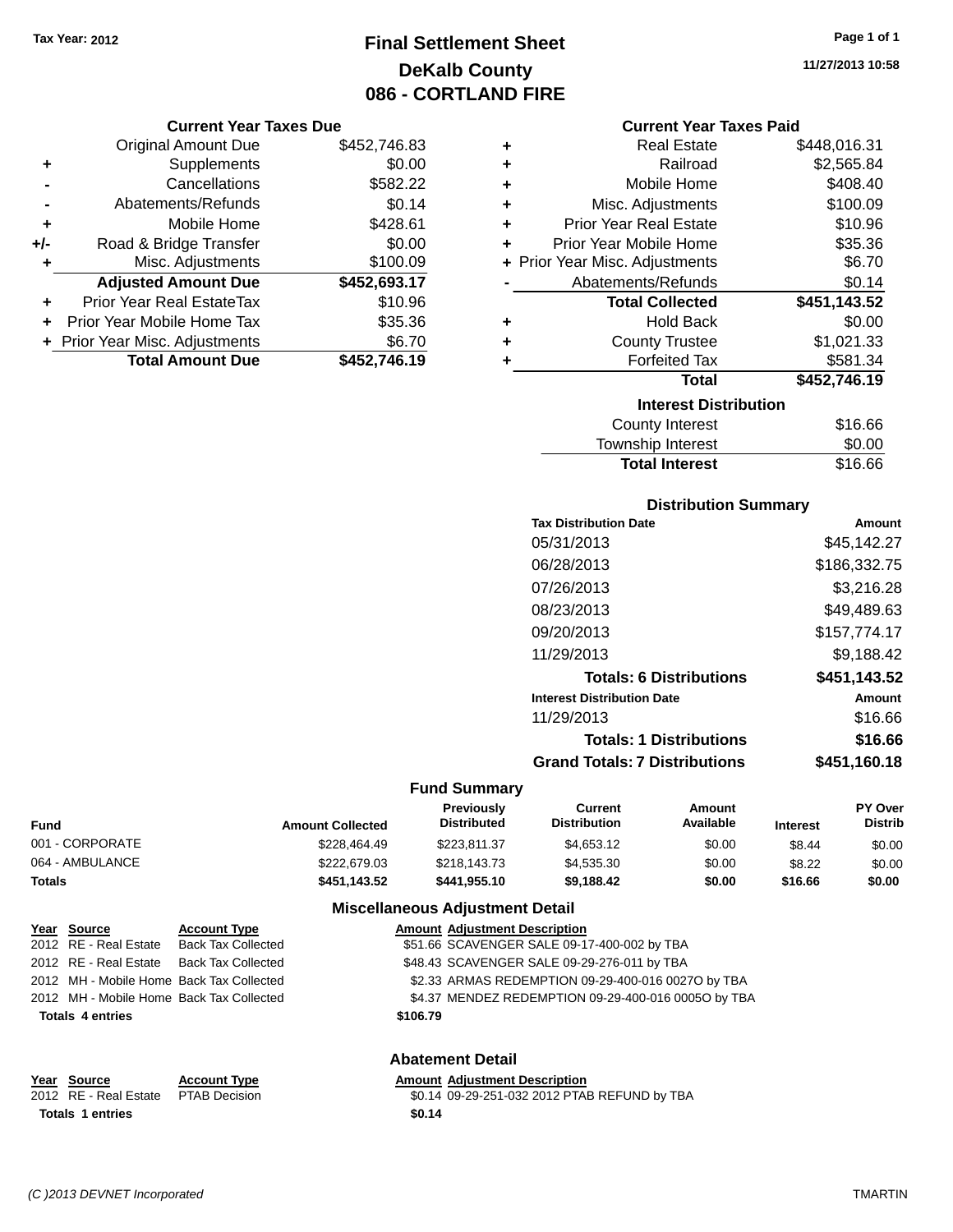# **Final Settlement Sheet Tax Year: 2012 Page 1 of 1 DeKalb County 086 - CORTLAND FIRE**

#### **Current Year Taxes Due**

|       | <b>Original Amount Due</b>       | \$452,746.83 |
|-------|----------------------------------|--------------|
| ٠     | Supplements                      | \$0.00       |
|       | Cancellations                    | \$582.22     |
|       | Abatements/Refunds               | \$0.14       |
| ٠     | Mobile Home                      | \$428.61     |
| $+/-$ | Road & Bridge Transfer           | \$0.00       |
| ٠     | Misc. Adjustments                | \$100.09     |
|       | <b>Adjusted Amount Due</b>       | \$452,693.17 |
|       | <b>Prior Year Real EstateTax</b> | \$10.96      |
|       | Prior Year Mobile Home Tax       | \$35.36      |
|       | + Prior Year Misc. Adjustments   | \$6.70       |
|       | <b>Total Amount Due</b>          | \$452,746.19 |

| ٠ | <b>Real Estate</b>             | \$448,016.31 |
|---|--------------------------------|--------------|
| ÷ | Railroad                       | \$2,565.84   |
| ٠ | Mobile Home                    | \$408.40     |
| ٠ | Misc. Adjustments              | \$100.09     |
| ÷ | <b>Prior Year Real Estate</b>  | \$10.96      |
| ٠ | Prior Year Mobile Home         | \$35.36      |
|   | + Prior Year Misc. Adjustments | \$6.70       |
|   | Abatements/Refunds             | \$0.14       |
|   | <b>Total Collected</b>         | \$451,143.52 |
| ٠ | <b>Hold Back</b>               | \$0.00       |
| ÷ | <b>County Trustee</b>          | \$1,021.33   |
| ٠ | <b>Forfeited Tax</b>           | \$581.34     |
|   | <b>Total</b>                   | \$452,746.19 |
|   | <b>Interest Distribution</b>   |              |
|   | <b>County Interest</b>         | \$16.66      |
|   |                                | ^ ^          |

# Township Interest \$0.00<br>
Total Interest \$16.66

| <b>Total Interest</b>                | \$16.66       |
|--------------------------------------|---------------|
| <b>Distribution Summary</b>          |               |
| <b>Tax Distribution Date</b>         | <b>Amount</b> |
| 05/31/2013                           | \$45,142.27   |
| 06/28/2013                           | \$186,332.75  |
| 07/26/2013                           | \$3,216.28    |
| 08/23/2013                           | \$49.489.63   |
| 09/20/2013                           | \$157,774.17  |
| 11/29/2013                           | \$9,188.42    |
| <b>Totals: 6 Distributions</b>       | \$451,143.52  |
| <b>Interest Distribution Date</b>    | Amount        |
| 11/29/2013                           | \$16.66       |
| <b>Totals: 1 Distributions</b>       | \$16.66       |
| <b>Grand Totals: 7 Distributions</b> | \$451,160.18  |

#### **Fund Summary**

| Fund            | <b>Amount Collected</b> | <b>Previously</b><br><b>Distributed</b> | Current<br><b>Distribution</b> | Amount<br>Available | <b>Interest</b> | PY Over<br><b>Distrib</b> |
|-----------------|-------------------------|-----------------------------------------|--------------------------------|---------------------|-----------------|---------------------------|
| 001 - CORPORATE | \$228,464.49            | \$223.811.37                            | \$4,653.12                     | \$0.00              | \$8.44          | \$0.00                    |
| 064 - AMBULANCE | \$222,679.03            | \$218,143.73                            | \$4,535,30                     | \$0.00              | \$8.22          | \$0.00                    |
| Totals          | \$451.143.52            | \$441.955.10                            | \$9.188.42                     | \$0.00              | \$16.66         | \$0.00                    |

#### **Miscellaneous Adjustment Detail**

| Year Source                              | <b>Account Type</b>       |          | <b>Amount Adjustment Description</b>                |
|------------------------------------------|---------------------------|----------|-----------------------------------------------------|
| 2012 RE - Real Estate                    | <b>Back Tax Collected</b> |          | \$51.66 SCAVENGER SALE 09-17-400-002 by TBA         |
| 2012 RE - Real Estate Back Tax Collected |                           |          | \$48.43 SCAVENGER SALE 09-29-276-011 by TBA         |
| 2012 MH - Mobile Home Back Tax Collected |                           |          | \$2.33 ARMAS REDEMPTION 09-29-400-016 0027O by TBA  |
| 2012 MH - Mobile Home Back Tax Collected |                           |          | \$4.37 MENDEZ REDEMPTION 09-29-400-016 0005O by TBA |
| <b>Totals 4 entries</b>                  |                           | \$106.79 |                                                     |
|                                          |                           |          |                                                     |
|                                          |                           |          |                                                     |

#### **Abatement Detail**

#### **<u>Year Source</u> <b>Account Type**<br> **Account Type ADJUST**<br> **ACCOUNT ADDED**<br> **ACCOUNT ADDED**<br> **ACCOUNT** Amount Adjustment Description<br>\$0.14 09-29-251-032 2012 PTAB REFUND by TBA **Totals 1 entries \$0.14**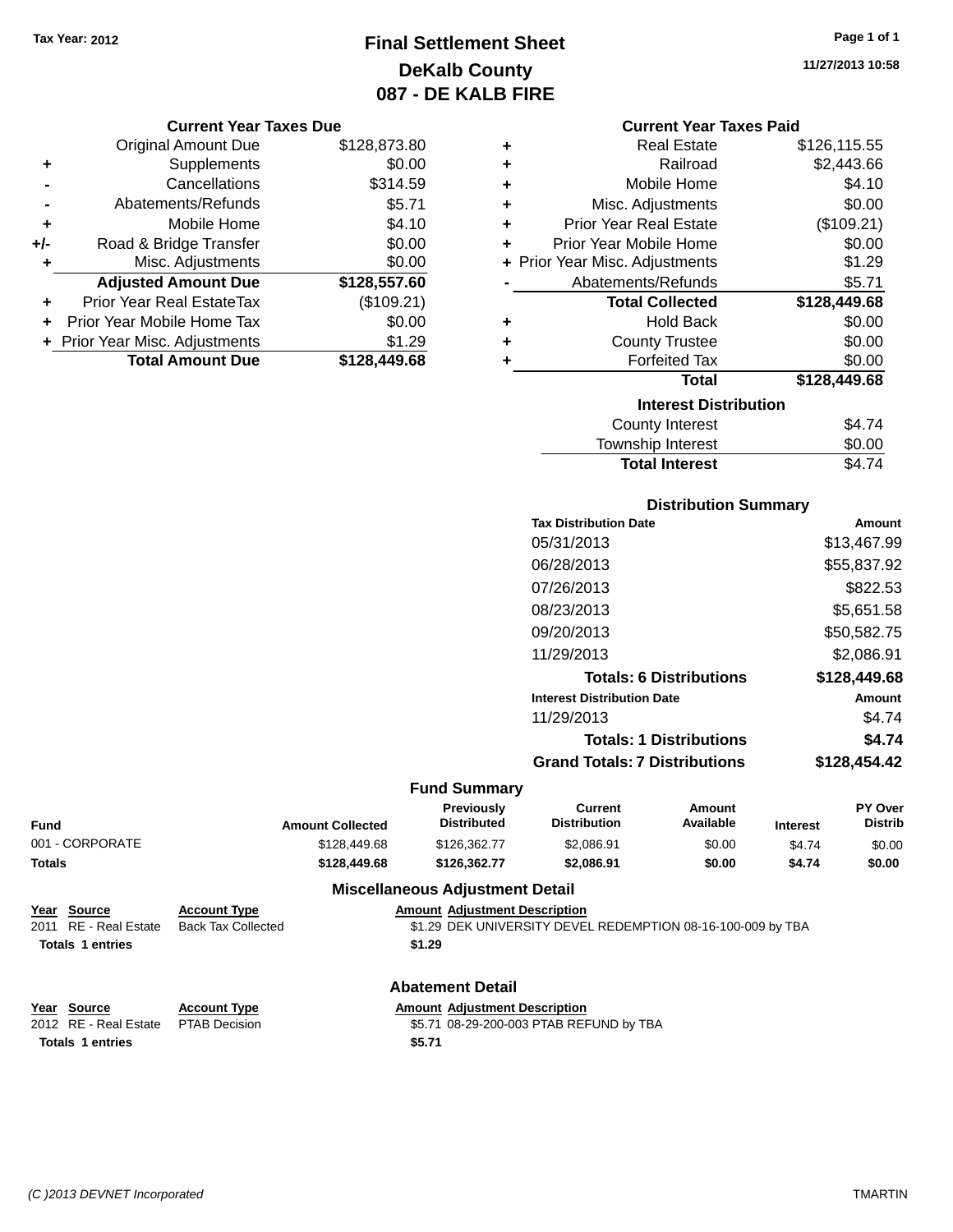# **Final Settlement Sheet Tax Year: 2012 Page 1 of 1 DeKalb County 087 - DE KALB FIRE**

|       | <b>Current Year Taxes Due</b>  |              |
|-------|--------------------------------|--------------|
|       | <b>Original Amount Due</b>     | \$128,873.80 |
| ٠     | Supplements                    | \$0.00       |
|       | Cancellations                  | \$314.59     |
|       | Abatements/Refunds             | \$5.71       |
| ٠     | Mobile Home                    | \$4.10       |
| $+/-$ | Road & Bridge Transfer         | \$0.00       |
|       | Misc. Adjustments              | \$0.00       |
|       | <b>Adjusted Amount Due</b>     | \$128,557.60 |
|       | Prior Year Real EstateTax      | (\$109.21)   |
|       | Prior Year Mobile Home Tax     | \$0.00       |
|       | + Prior Year Misc. Adjustments | \$1.29       |
|       | <b>Total Amount Due</b>        | \$128.449.68 |

| <b>Current Year Taxes Paid</b> |              |
|--------------------------------|--------------|
| <b>Real Estate</b>             | \$126,115.55 |
| Railroad                       | \$2,443.66   |
| Mobile Home                    | \$4.10       |
| Misc. Adjustments              | \$0.00       |
| <b>Prior Year Real Estate</b>  | (\$109.21)   |
| Prior Year Mobile Home         | \$0.00       |
| + Prior Year Misc. Adjustments | \$1.29       |
| Abatements/Refunds             | \$5.71       |
| <b>Total Collected</b>         | \$128,449.68 |
| <b>Hold Back</b>               | \$0.00       |
| <b>County Trustee</b>          | \$0.00       |
| <b>Forfeited Tax</b>           | \$0.00       |
| Total                          | \$128,449.68 |
|                                |              |

### **Interest Distribution**

| County Interest       | \$4.74 |
|-----------------------|--------|
| Township Interest     | \$0.00 |
| <b>Total Interest</b> | \$4.74 |

### **Distribution Summary**

| <b>Tax Distribution Date</b>         | Amount       |
|--------------------------------------|--------------|
| 05/31/2013                           | \$13,467.99  |
| 06/28/2013                           | \$55,837.92  |
| 07/26/2013                           | \$822.53     |
| 08/23/2013                           | \$5,651.58   |
| 09/20/2013                           | \$50,582.75  |
| 11/29/2013                           | \$2.086.91   |
| <b>Totals: 6 Distributions</b>       | \$128,449.68 |
| <b>Interest Distribution Date</b>    | Amount       |
| 11/29/2013                           | \$4.74       |
| <b>Totals: 1 Distributions</b>       | \$4.74       |
| <b>Grand Totals: 7 Distributions</b> | \$128.454.42 |
|                                      |              |

#### **Fund Summary**

| Fund            | <b>Amount Collected</b> | <b>Previously</b><br><b>Distributed</b> | Current<br><b>Distribution</b> | Amount<br>Available | <b>Interest</b> | PY Over<br><b>Distrib</b> |
|-----------------|-------------------------|-----------------------------------------|--------------------------------|---------------------|-----------------|---------------------------|
| 001 - CORPORATE | \$128,449.68            | \$126.362.77                            | \$2,086.91                     | \$0.00              | \$4.74          | \$0.00                    |
| Totals          | \$128,449.68            | \$126.362.77                            | \$2,086.91                     | \$0.00              | \$4.74          | \$0.00                    |
|                 |                         |                                         |                                |                     |                 |                           |

#### **Miscellaneous Adjustment Detail**

| Year Source             | <b>Account Type</b> | <b>Amount Adiustment Description</b> |                                                             |
|-------------------------|---------------------|--------------------------------------|-------------------------------------------------------------|
| 2011 RE - Real Estate   | Back Tax Collected  |                                      | \$1.29 DEK UNIVERSITY DEVEL REDEMPTION 08-16-100-009 by TBA |
| <b>Totals 1 entries</b> |                     | \$1.29                               |                                                             |
|                         |                     |                                      |                                                             |

### **Abatement Detail**

| <b>Amount Adiustment Descrip</b> |  |
|----------------------------------|--|

**Totals 1 entries \$5.71**

**Year Source Account Type Amount Adjustment Description**<br>2012 RE - Real Estate PTAB Decision **Amount 1998-29-200-003 PTAB REF** \$5.71 08-29-200-003 PTAB REFUND by TBA **11/27/2013 10:58**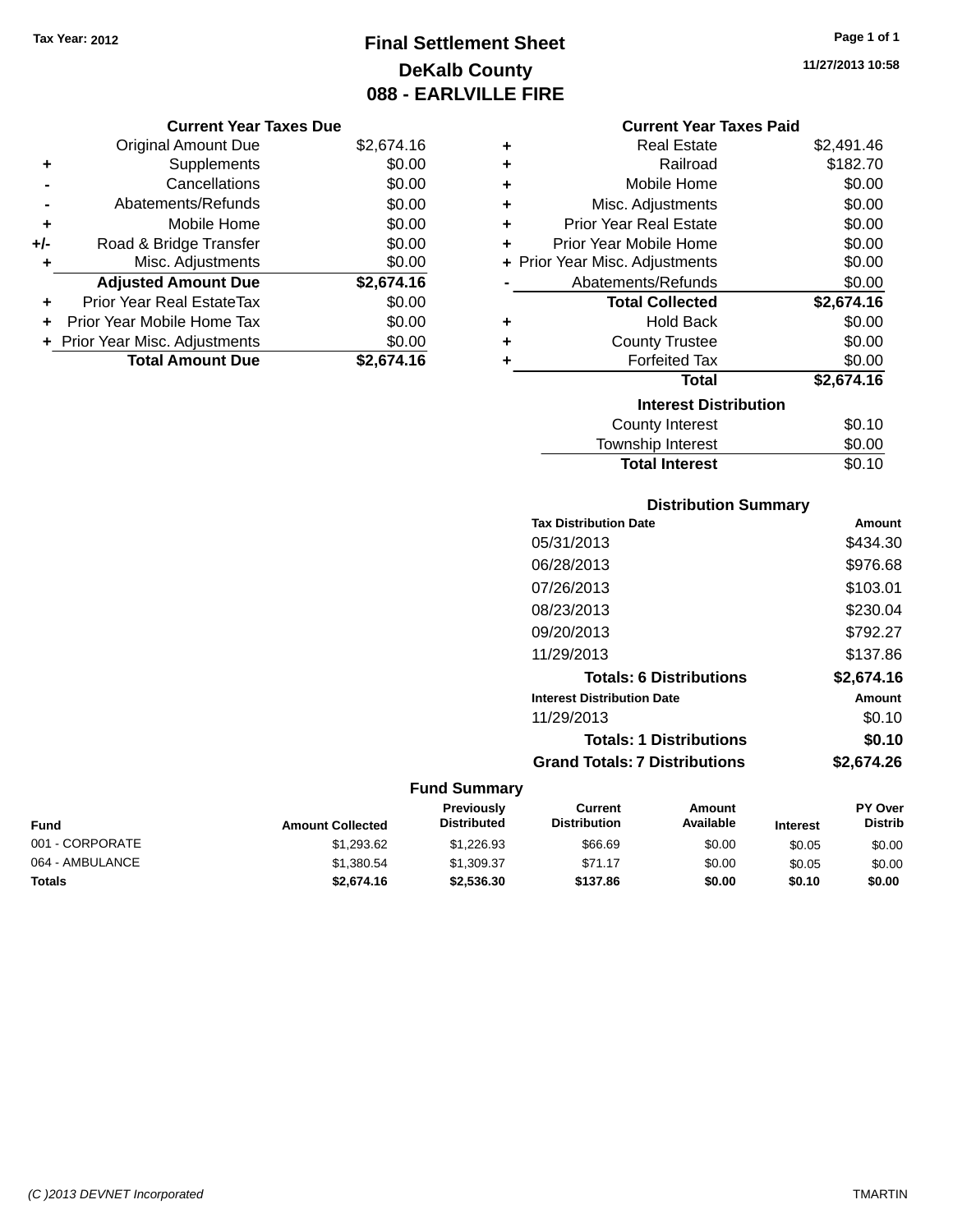# **Final Settlement Sheet Tax Year: 2012 Page 1 of 1 DeKalb County 088 - EARLVILLE FIRE**

**11/27/2013 10:58**

| Current Year Taxes Due |  |  |
|------------------------|--|--|
|                        |  |  |

|       | <b>Original Amount Due</b>       | \$2,674.16 |
|-------|----------------------------------|------------|
| ٠     | Supplements                      | \$0.00     |
|       | Cancellations                    | \$0.00     |
|       | Abatements/Refunds               | \$0.00     |
| ٠     | Mobile Home                      | \$0.00     |
| $+/-$ | Road & Bridge Transfer           | \$0.00     |
| ٠     | Misc. Adjustments                | \$0.00     |
|       | <b>Adjusted Amount Due</b>       | \$2,674.16 |
|       | <b>Prior Year Real EstateTax</b> | \$0.00     |
|       | Prior Year Mobile Home Tax       | \$0.00     |
|       | + Prior Year Misc. Adjustments   | \$0.00     |
|       | <b>Total Amount Due</b>          | \$2,674.16 |

### **Current Year Taxes Paid**

| ٠ | <b>Real Estate</b>             | \$2,491.46 |
|---|--------------------------------|------------|
| ÷ | Railroad                       | \$182.70   |
| ٠ | Mobile Home                    | \$0.00     |
| ٠ | Misc. Adjustments              | \$0.00     |
| ٠ | <b>Prior Year Real Estate</b>  | \$0.00     |
| ٠ | Prior Year Mobile Home         | \$0.00     |
|   | + Prior Year Misc. Adjustments | \$0.00     |
|   | Abatements/Refunds             | \$0.00     |
|   |                                |            |
|   | <b>Total Collected</b>         | \$2,674.16 |
| ٠ | <b>Hold Back</b>               | \$0.00     |
| ÷ | <b>County Trustee</b>          | \$0.00     |
| ٠ | <b>Forfeited Tax</b>           | \$0.00     |
|   | Total                          | \$2,674.16 |
|   | <b>Interest Distribution</b>   |            |
|   | County Interest                | \$0.10     |

### **Distribution Summary**

**Total Interest** \$0.10

| <b>Tax Distribution Date</b>         | Amount     |
|--------------------------------------|------------|
| 05/31/2013                           | \$434.30   |
| 06/28/2013                           | \$976.68   |
| 07/26/2013                           | \$103.01   |
| 08/23/2013                           | \$230.04   |
| 09/20/2013                           | \$792.27   |
| 11/29/2013                           | \$137.86   |
| <b>Totals: 6 Distributions</b>       | \$2,674.16 |
| <b>Interest Distribution Date</b>    | Amount     |
| 11/29/2013                           | \$0.10     |
| <b>Totals: 1 Distributions</b>       | \$0.10     |
| <b>Grand Totals: 7 Distributions</b> | \$2.674.26 |

| Fund            | <b>Amount Collected</b> | <b>Previously</b><br><b>Distributed</b> | Current<br><b>Distribution</b> | Amount<br>Available | <b>Interest</b> | <b>PY Over</b><br><b>Distrib</b> |
|-----------------|-------------------------|-----------------------------------------|--------------------------------|---------------------|-----------------|----------------------------------|
| 001 - CORPORATE | \$1,293.62              | \$1.226.93                              | \$66.69                        | \$0.00              | \$0.05          | \$0.00                           |
| 064 - AMBULANCE | \$1,380.54              | \$1.309.37                              | \$71.17                        | \$0.00              | \$0.05          | \$0.00                           |
| <b>Totals</b>   | \$2,674.16              | \$2,536,30                              | \$137.86                       | \$0.00              | \$0.10          | \$0.00                           |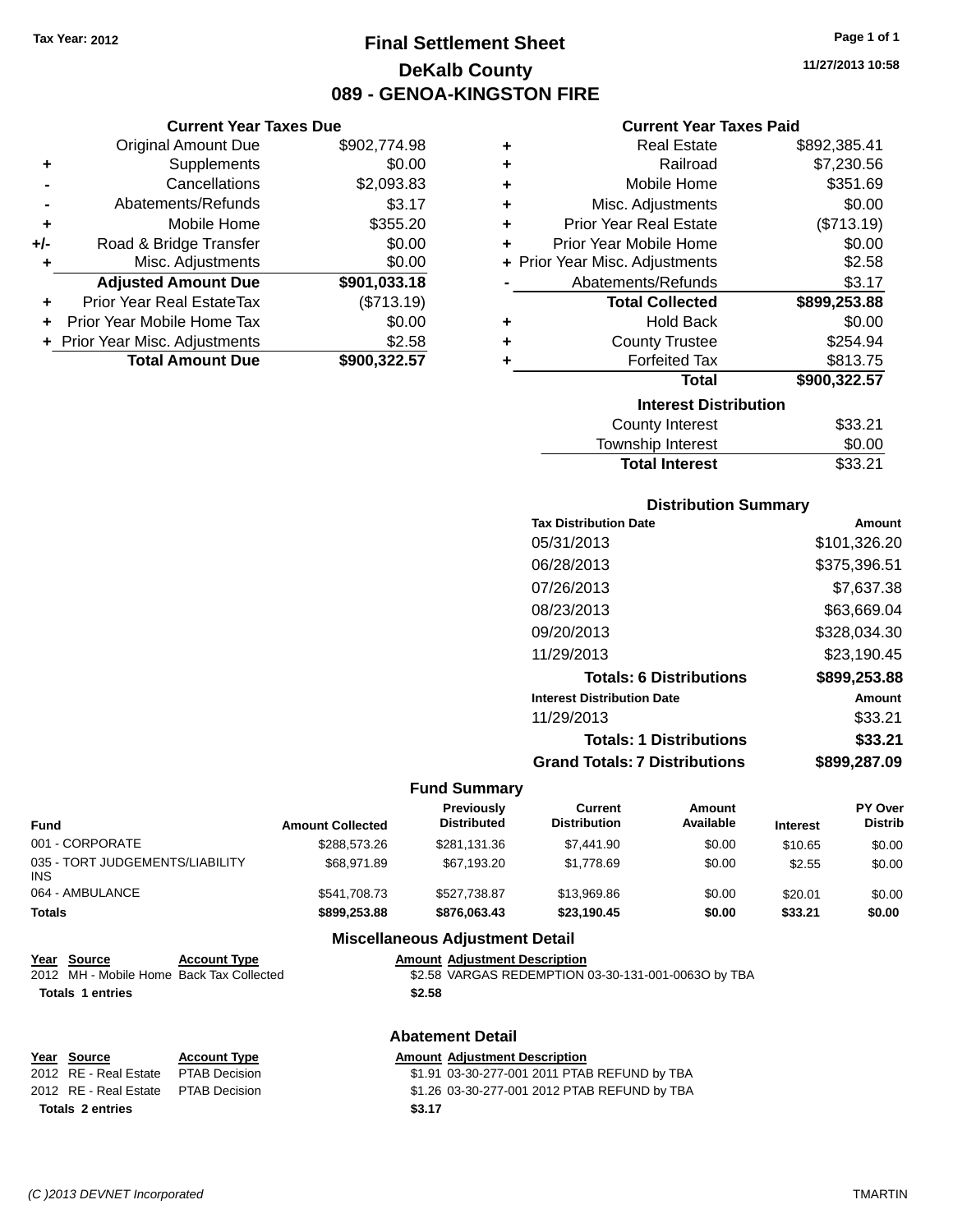# **Final Settlement Sheet Tax Year: 2012 Page 1 of 1 DeKalb County 089 - GENOA-KINGSTON FIRE**

**11/27/2013 10:58**

#### **Current Year Taxes Paid**

| <b>Current Year Taxes Due</b> |                                |  |  |  |
|-------------------------------|--------------------------------|--|--|--|
| Original Amount Due           | \$902,774.98                   |  |  |  |
| Supplements                   | \$0.00                         |  |  |  |
| Cancellations                 | \$2,093.83                     |  |  |  |
| Abatements/Refunds            | \$3.17                         |  |  |  |
| Mobile Home                   | \$355.20                       |  |  |  |
| Road & Bridge Transfer        | \$0.00                         |  |  |  |
| Misc. Adjustments             | \$0.00                         |  |  |  |
| <b>Adjusted Amount Due</b>    | \$901,033.18                   |  |  |  |
| Prior Year Real EstateTax     | (\$713.19)                     |  |  |  |
| Prior Year Mobile Home Tax    | \$0.00                         |  |  |  |
|                               | \$2.58                         |  |  |  |
| <b>Total Amount Due</b>       | \$900,322.57                   |  |  |  |
|                               | + Prior Year Misc. Adjustments |  |  |  |

| ٠ | <b>Real Estate</b>             | \$892,385.41 |
|---|--------------------------------|--------------|
| ÷ | Railroad                       | \$7,230.56   |
| ٠ | Mobile Home                    | \$351.69     |
| ٠ | Misc. Adjustments              | \$0.00       |
| ٠ | <b>Prior Year Real Estate</b>  | (\$713.19)   |
| ٠ | Prior Year Mobile Home         | \$0.00       |
|   | + Prior Year Misc. Adjustments | \$2.58       |
|   | Abatements/Refunds             | \$3.17       |
|   | <b>Total Collected</b>         | \$899,253.88 |
| ٠ | <b>Hold Back</b>               | \$0.00       |
| ٠ | <b>County Trustee</b>          | \$254.94     |
| ٠ | <b>Forfeited Tax</b>           | \$813.75     |
|   | <b>Total</b>                   | \$900,322.57 |
|   | <b>Interest Distribution</b>   |              |
|   | <b>County Interest</b>         | \$33.21      |
|   | <b>Township Interest</b>       | \$0.00       |
|   | <b>Total Interest</b>          | \$33.21      |

#### **Distribution Summary**

| <b>Tax Distribution Date</b>         | Amount       |
|--------------------------------------|--------------|
| 05/31/2013                           | \$101,326.20 |
| 06/28/2013                           | \$375,396.51 |
| 07/26/2013                           | \$7.637.38   |
| 08/23/2013                           | \$63,669.04  |
| 09/20/2013                           | \$328,034.30 |
| 11/29/2013                           | \$23,190.45  |
| <b>Totals: 6 Distributions</b>       | \$899,253.88 |
| <b>Interest Distribution Date</b>    | Amount       |
| 11/29/2013                           | \$33.21      |
| <b>Totals: 1 Distributions</b>       | \$33.21      |
| <b>Grand Totals: 7 Distributions</b> | \$899.287.09 |

#### **Fund Summary**

| <b>Fund</b>                            | <b>Amount Collected</b> | <b>Previously</b><br><b>Distributed</b> | Current<br><b>Distribution</b> | Amount<br>Available | <b>Interest</b> | <b>PY Over</b><br><b>Distrib</b> |
|----------------------------------------|-------------------------|-----------------------------------------|--------------------------------|---------------------|-----------------|----------------------------------|
| 001 - CORPORATE                        | \$288,573.26            | \$281.131.36                            | \$7,441.90                     | \$0.00              | \$10.65         | \$0.00                           |
| 035 - TORT JUDGEMENTS/LIABILITY<br>INS | \$68,971.89             | \$67.193.20                             | \$1.778.69                     | \$0.00              | \$2.55          | \$0.00                           |
| 064 - AMBULANCE                        | \$541.708.73            | \$527.738.87                            | \$13,969.86                    | \$0.00              | \$20.01         | \$0.00                           |
| Totals                                 | \$899,253,88            | \$876,063,43                            | \$23.190.45                    | \$0.00              | \$33.21         | \$0.00                           |
|                                        |                         | BALL LAND LODGE AND LODGED AT BLACK     |                                |                     |                 |                                  |

#### **Miscellaneous Adjustment Detail**

| <b>Amount Adjustment Description</b> |  |  |
|--------------------------------------|--|--|
|                                      |  |  |

| Year Source             | <b>Account Type</b>                      | <b>Amount Adiustment Description</b>                |
|-------------------------|------------------------------------------|-----------------------------------------------------|
|                         | 2012 MH - Mobile Home Back Tax Collected | \$2.58 VARGAS REDEMPTION 03-30-131-001-0063O by TBA |
| <b>Totals 1 entries</b> |                                          | \$2.58                                              |

### **Abatement Detail**

| Year Source                          | <b>Account Type</b> |        | <b>Amount Adjustment Description</b>         |
|--------------------------------------|---------------------|--------|----------------------------------------------|
| 2012 RE - Real Estate                | PTAB Decision       |        | \$1.91 03-30-277-001 2011 PTAB REFUND by TBA |
| 2012 RE - Real Estate  PTAB Decision |                     |        | \$1.26 03-30-277-001 2012 PTAB REFUND by TBA |
| <b>Totals 2 entries</b>              |                     | \$3.17 |                                              |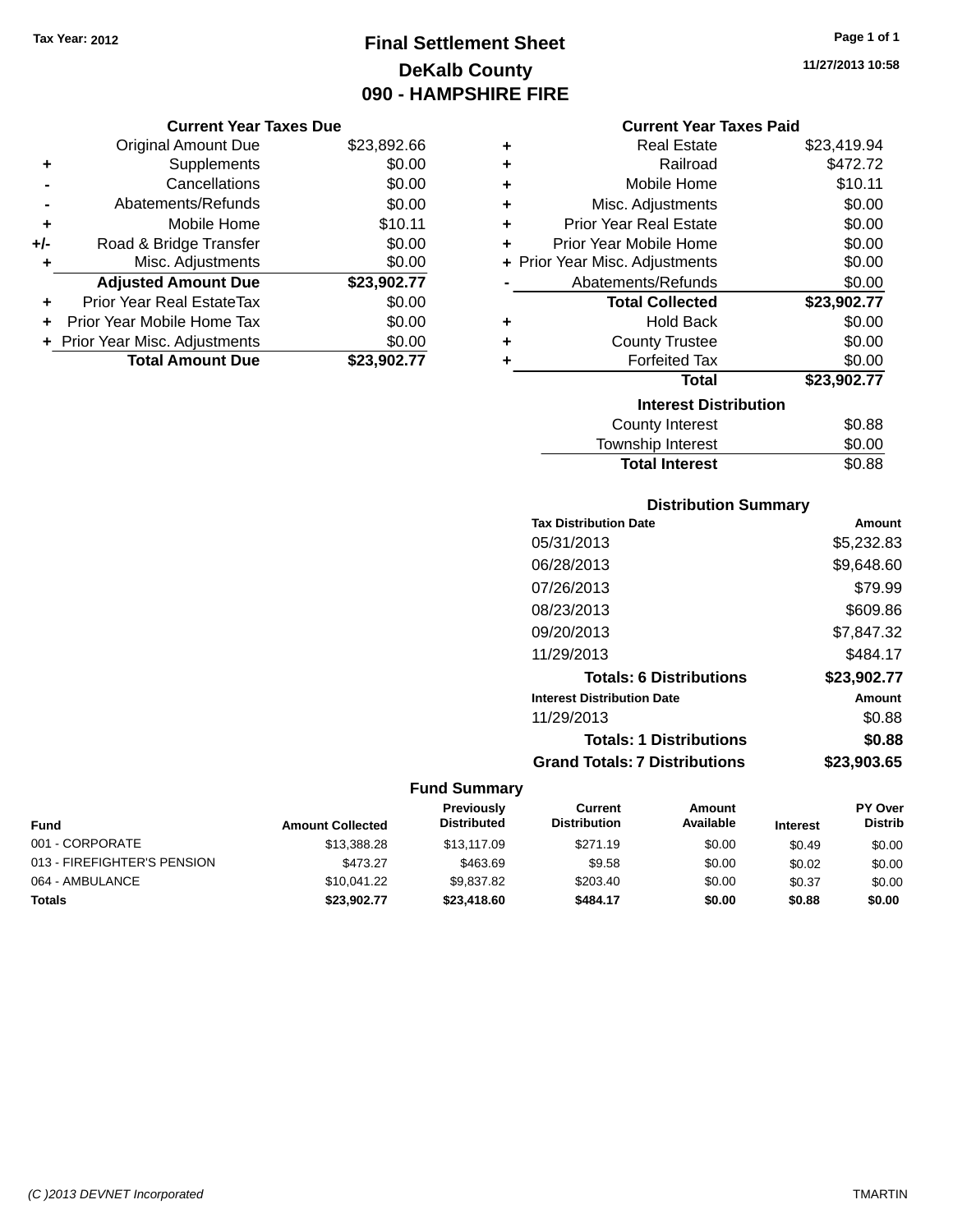# **Final Settlement Sheet Tax Year: 2012 Page 1 of 1 DeKalb County 090 - HAMPSHIRE FIRE**

**11/27/2013 10:58**

#### **Current Year Taxes Paid**

|     | <b>Original Amount Due</b>     | \$23,892.66 |
|-----|--------------------------------|-------------|
| ٠   | Supplements                    | \$0.00      |
|     | Cancellations                  | \$0.00      |
|     | Abatements/Refunds             | \$0.00      |
| ٠   | Mobile Home                    | \$10.11     |
| +/- | Road & Bridge Transfer         | \$0.00      |
|     | Misc. Adjustments              | \$0.00      |
|     | <b>Adjusted Amount Due</b>     | \$23,902.77 |
| ٠   | Prior Year Real EstateTax      | \$0.00      |
| ٠   | Prior Year Mobile Home Tax     | \$0.00      |
|     | + Prior Year Misc. Adjustments | \$0.00      |
|     | <b>Total Amount Due</b>        | \$23,902.77 |
|     |                                |             |

**Current Year Taxes Due**

| ٠ | <b>Real Estate</b>             | \$23,419.94 |
|---|--------------------------------|-------------|
| ٠ | Railroad                       | \$472.72    |
| ٠ | Mobile Home                    | \$10.11     |
| ٠ | Misc. Adjustments              | \$0.00      |
| ٠ | <b>Prior Year Real Estate</b>  | \$0.00      |
| ٠ | Prior Year Mobile Home         | \$0.00      |
|   | + Prior Year Misc. Adjustments | \$0.00      |
|   | Abatements/Refunds             | \$0.00      |
|   | <b>Total Collected</b>         | \$23,902.77 |
| ٠ | <b>Hold Back</b>               | \$0.00      |
| ٠ | <b>County Trustee</b>          | \$0.00      |
| ٠ | <b>Forfeited Tax</b>           | \$0.00      |
|   | <b>Total</b>                   | \$23,902.77 |
|   | <b>Interest Distribution</b>   |             |
|   | <b>County Interest</b>         | \$0.88      |
|   | <b>Township Interest</b>       | \$0.00      |
|   | <b>Total Interest</b>          | \$0.88      |

### **Distribution Summary Tax Distribution Date Amount** 05/31/2013 \$5,232.83 06/28/2013 \$9,648.60 07/26/2013 \$79.99 08/23/2013 \$609.86 09/20/2013 \$7,847.32 11/29/2013 \$484.17 **Totals: 6 Distributions \$23,902.77 Interest Distribution Date Amount** 11/29/2013 \$0.88 **Totals: 1 Distributions \$0.88 Grand Totals: 7 Distributions \$23,903.65**

| Fund                        | <b>Amount Collected</b> | <b>Previously</b><br><b>Distributed</b> | Current<br><b>Distribution</b> | Amount<br>Available | <b>Interest</b> | <b>PY Over</b><br><b>Distrib</b> |
|-----------------------------|-------------------------|-----------------------------------------|--------------------------------|---------------------|-----------------|----------------------------------|
| 001 - CORPORATE             | \$13,388.28             | \$13,117.09                             | \$271.19                       | \$0.00              | \$0.49          | \$0.00                           |
| 013 - FIREFIGHTER'S PENSION | \$473.27                | \$463.69                                | \$9.58                         | \$0.00              | \$0.02          | \$0.00                           |
| 064 - AMBULANCE             | \$10.041.22             | \$9.837.82                              | \$203.40                       | \$0.00              | \$0.37          | \$0.00                           |
| Totals                      | \$23.902.77             | \$23,418.60                             | \$484.17                       | \$0.00              | \$0.88          | \$0.00                           |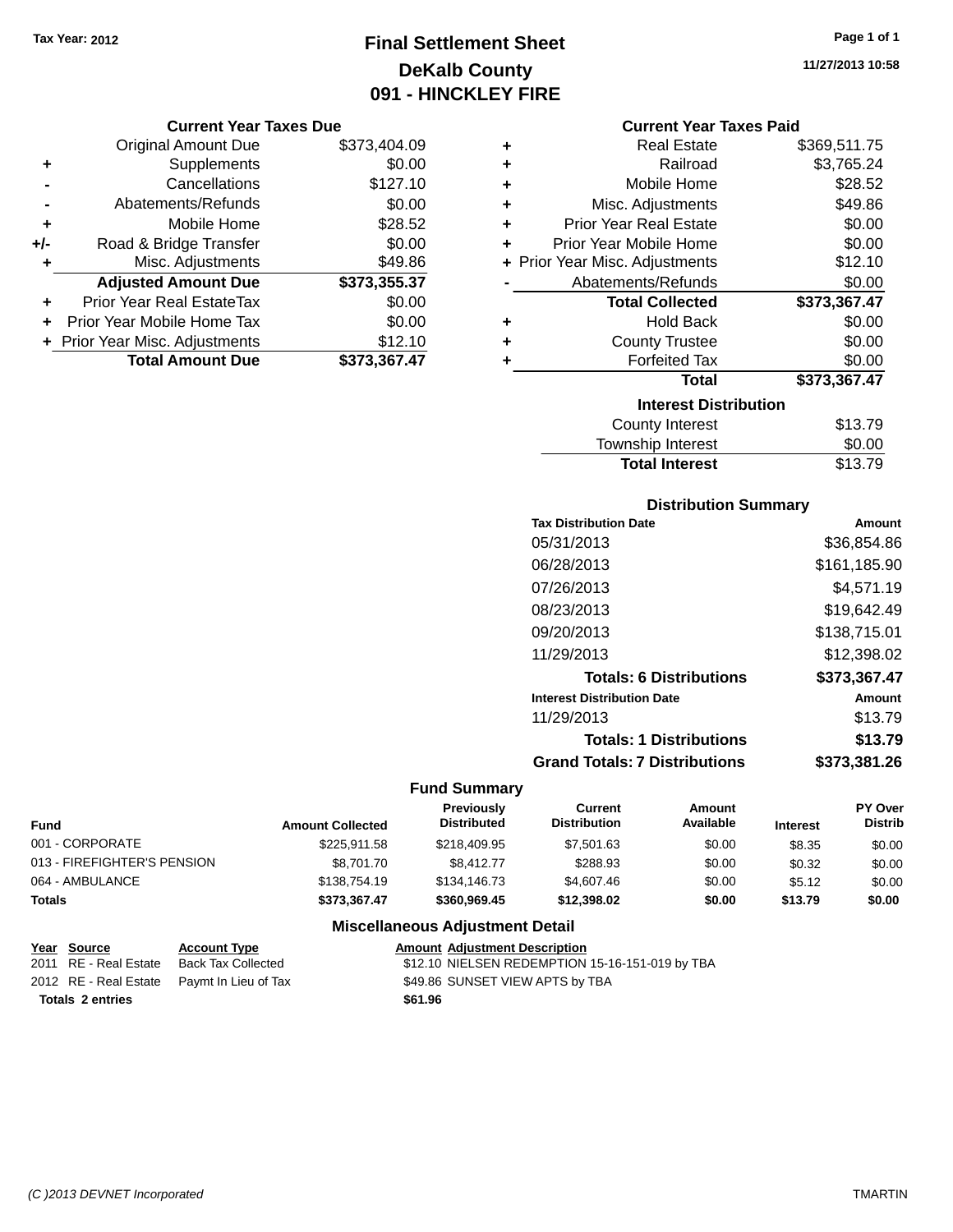# **Final Settlement Sheet Tax Year: 2012 Page 1 of 1 DeKalb County 091 - HINCKLEY FIRE**

#### **Current Year Taxes Due**

|     | <b>Original Amount Due</b>       | \$373,404.09 |
|-----|----------------------------------|--------------|
| ٠   | Supplements                      | \$0.00       |
|     | Cancellations                    | \$127.10     |
|     | Abatements/Refunds               | \$0.00       |
| ٠   | Mobile Home                      | \$28.52      |
| +/- | Road & Bridge Transfer           | \$0.00       |
| ٠   | Misc. Adjustments                | \$49.86      |
|     | <b>Adjusted Amount Due</b>       | \$373,355.37 |
| ٠   | <b>Prior Year Real EstateTax</b> | \$0.00       |
|     | Prior Year Mobile Home Tax       | \$0.00       |
|     | + Prior Year Misc. Adjustments   | \$12.10      |
|     | <b>Total Amount Due</b>          | \$373.367.47 |

#### **Current Year Taxes Paid**

| ٠ | <b>Real Estate</b>             | \$369,511.75 |
|---|--------------------------------|--------------|
| ٠ | Railroad                       | \$3,765.24   |
| ٠ | Mobile Home                    | \$28.52      |
| ٠ | Misc. Adjustments              | \$49.86      |
| ٠ | Prior Year Real Estate         | \$0.00       |
| ÷ | Prior Year Mobile Home         | \$0.00       |
|   | + Prior Year Misc. Adjustments | \$12.10      |
|   | Abatements/Refunds             | \$0.00       |
|   | <b>Total Collected</b>         | \$373,367.47 |
| ٠ | Hold Back                      | \$0.00       |
| ٠ | <b>County Trustee</b>          | \$0.00       |
| ٠ | <b>Forfeited Tax</b>           | \$0.00       |
|   | <b>Total</b>                   | \$373,367.47 |
|   | <b>Interest Distribution</b>   |              |
|   | <b>County Interest</b>         | \$13.79      |
|   | <b>Township Interest</b>       | \$0.00       |
|   | <b>Total Interest</b>          | \$13.79      |

### **Distribution Summary**

| <b>Tax Distribution Date</b>         | Amount       |
|--------------------------------------|--------------|
| 05/31/2013                           | \$36.854.86  |
| 06/28/2013                           | \$161,185.90 |
| 07/26/2013                           | \$4.571.19   |
| 08/23/2013                           | \$19,642.49  |
| 09/20/2013                           | \$138,715.01 |
| 11/29/2013                           | \$12,398.02  |
| <b>Totals: 6 Distributions</b>       | \$373,367.47 |
| <b>Interest Distribution Date</b>    | Amount       |
| 11/29/2013                           | \$13.79      |
| <b>Totals: 1 Distributions</b>       | \$13.79      |
| <b>Grand Totals: 7 Distributions</b> | \$373,381.26 |

### **Fund Summary**

| <b>Fund</b>                 | <b>Amount Collected</b> | <b>Previously</b><br><b>Distributed</b> | Current<br><b>Distribution</b> | Amount<br>Available | <b>Interest</b> | PY Over<br><b>Distrib</b> |
|-----------------------------|-------------------------|-----------------------------------------|--------------------------------|---------------------|-----------------|---------------------------|
| 001 - CORPORATE             | \$225.911.58            | \$218,409.95                            | \$7,501.63                     | \$0.00              | \$8.35          | \$0.00                    |
| 013 - FIREFIGHTER'S PENSION | \$8,701.70              | \$8,412.77                              | \$288.93                       | \$0.00              | \$0.32          | \$0.00                    |
| 064 - AMBULANCE             | \$138,754.19            | \$134,146.73                            | \$4,607.46                     | \$0.00              | \$5.12          | \$0.00                    |
| <b>Totals</b>               | \$373.367.47            | \$360,969.45                            | \$12,398.02                    | \$0.00              | \$13.79         | \$0.00                    |

### **Miscellaneous Adjustment Detail**

| Year Source             | <b>Account Type</b>                        |         | <b>Amount Adiustment Description</b>            |
|-------------------------|--------------------------------------------|---------|-------------------------------------------------|
| 2011 RE - Real Estate   | Back Tax Collected                         |         | \$12.10 NIELSEN REDEMPTION 15-16-151-019 by TBA |
|                         | 2012 RE - Real Estate Paymt In Lieu of Tax |         | \$49.86 SUNSET VIEW APTS by TBA                 |
| <b>Totals 2 entries</b> |                                            | \$61.96 |                                                 |

**11/27/2013 10:58**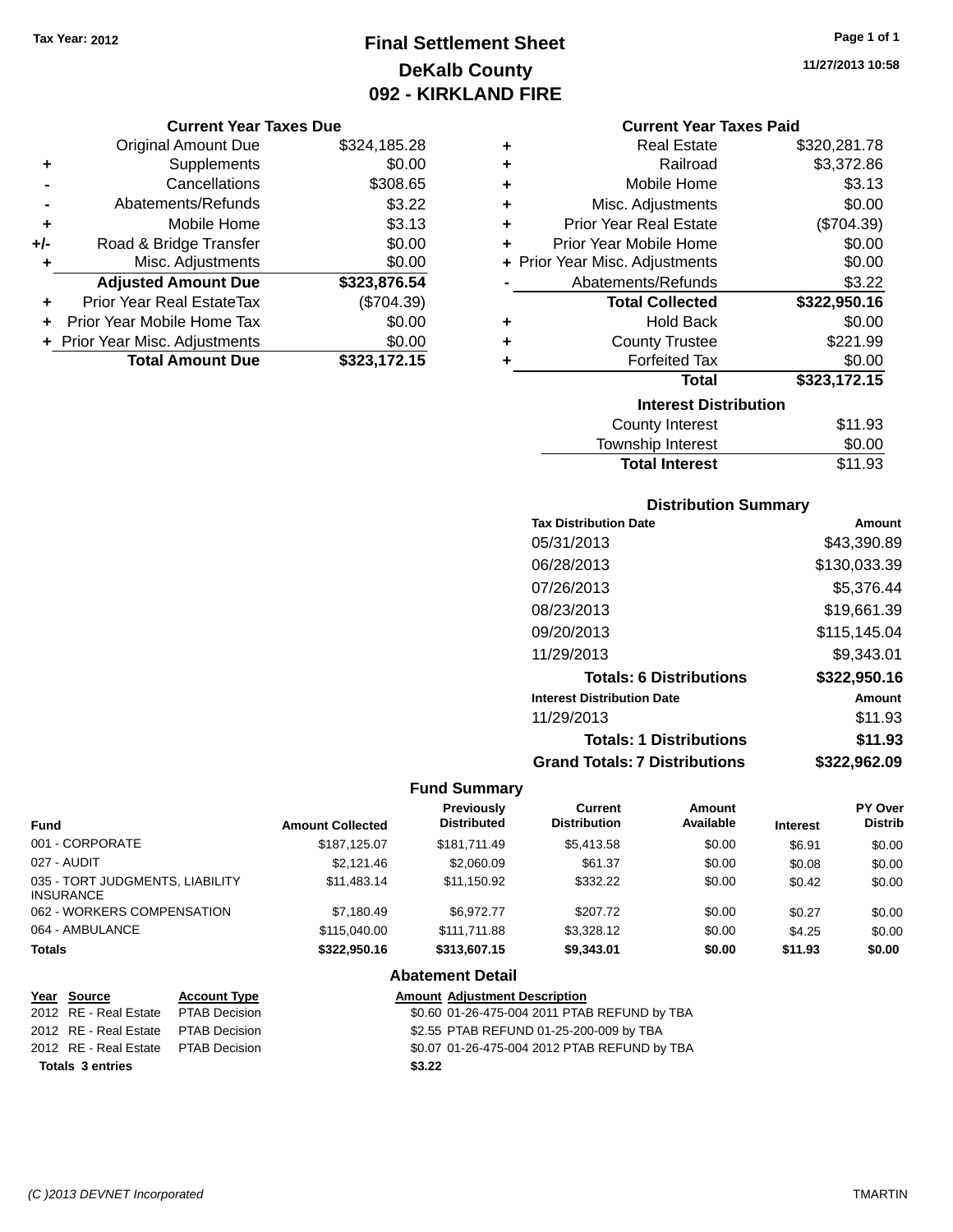# **Final Settlement Sheet Tax Year: 2012 Page 1 of 1 DeKalb County 092 - KIRKLAND FIRE**

#### **Current Year Taxes Due**

|     | <b>Original Amount Due</b>       | \$324,185.28 |
|-----|----------------------------------|--------------|
| ٠   | Supplements                      | \$0.00       |
|     | Cancellations                    | \$308.65     |
|     | Abatements/Refunds               | \$3.22       |
| ٠   | Mobile Home                      | \$3.13       |
| +/- | Road & Bridge Transfer           | \$0.00       |
| ٠   | Misc. Adjustments                | \$0.00       |
|     | <b>Adjusted Amount Due</b>       | \$323,876.54 |
|     | <b>Prior Year Real EstateTax</b> | (\$704.39)   |
|     | Prior Year Mobile Home Tax       | \$0.00       |
|     | + Prior Year Misc. Adjustments   | \$0.00       |
|     | <b>Total Amount Due</b>          | \$323,172.15 |

| ٠ | <b>Real Estate</b>             | \$320,281.78 |
|---|--------------------------------|--------------|
| ٠ | Railroad                       | \$3,372.86   |
| ÷ | Mobile Home                    | \$3.13       |
| ٠ | Misc. Adjustments              | \$0.00       |
| ٠ | <b>Prior Year Real Estate</b>  | (\$704.39)   |
| ٠ | Prior Year Mobile Home         | \$0.00       |
|   | + Prior Year Misc. Adjustments | \$0.00       |
|   | Abatements/Refunds             | \$3.22       |
|   | <b>Total Collected</b>         | \$322,950.16 |
| ٠ | <b>Hold Back</b>               | \$0.00       |
| ٠ | <b>County Trustee</b>          | \$221.99     |
| ٠ | <b>Forfeited Tax</b>           | \$0.00       |
|   | <b>Total</b>                   | \$323,172.15 |
|   | <b>Interest Distribution</b>   |              |
|   | <b>County Interest</b>         | \$11.93      |
|   | <b>Township Interest</b>       | \$0.00       |
|   | <b>Total Interest</b>          | \$11.93      |

### **Distribution Summary**

| <b>Tax Distribution Date</b>         | Amount       |
|--------------------------------------|--------------|
| 05/31/2013                           | \$43,390.89  |
| 06/28/2013                           | \$130,033.39 |
| 07/26/2013                           | \$5.376.44   |
| 08/23/2013                           | \$19,661.39  |
| 09/20/2013                           | \$115,145.04 |
| 11/29/2013                           | \$9,343.01   |
| <b>Totals: 6 Distributions</b>       | \$322,950.16 |
| <b>Interest Distribution Date</b>    | Amount       |
| 11/29/2013                           | \$11.93      |
| <b>Totals: 1 Distributions</b>       | \$11.93      |
| <b>Grand Totals: 7 Distributions</b> | \$322.962.09 |

### **Fund Summary**

| <b>Fund</b>                                         | <b>Amount Collected</b> | Previously<br><b>Distributed</b> | Current<br><b>Distribution</b> | Amount<br>Available | <b>Interest</b> | <b>PY Over</b><br><b>Distrib</b> |
|-----------------------------------------------------|-------------------------|----------------------------------|--------------------------------|---------------------|-----------------|----------------------------------|
| 001 - CORPORATE                                     | \$187.125.07            | \$181.711.49                     | \$5,413.58                     | \$0.00              | \$6.91          | \$0.00                           |
| 027 - AUDIT                                         | \$2.121.46              | \$2,060.09                       | \$61.37                        | \$0.00              | \$0.08          | \$0.00                           |
| 035 - TORT JUDGMENTS, LIABILITY<br><b>INSURANCE</b> | \$11.483.14             | \$11.150.92                      | \$332.22                       | \$0.00              | \$0.42          | \$0.00                           |
| 062 - WORKERS COMPENSATION                          | \$7.180.49              | \$6.972.77                       | \$207.72                       | \$0.00              | \$0.27          | \$0.00                           |
| 064 - AMBULANCE                                     | \$115,040,00            | \$111,711.88                     | \$3,328,12                     | \$0.00              | \$4.25          | \$0.00                           |
| <b>Totals</b>                                       | \$322,950.16            | \$313,607.15                     | \$9,343.01                     | \$0.00              | \$11.93         | \$0.00                           |

**Abatement Detail**

| Year Source                         | <b>Account Type</b> | <b>Amount Adjustment Description</b>         |
|-------------------------------------|---------------------|----------------------------------------------|
| 2012 RE - Real Estate PTAB Decision |                     | \$0.60 01-26-475-004 2011 PTAB REFUND by TBA |
| 2012 RE - Real Estate PTAB Decision |                     | \$2.55 PTAB REFUND 01-25-200-009 by TBA      |
| 2012 RE - Real Estate PTAB Decision |                     | \$0.07 01-26-475-004 2012 PTAB REFUND by TBA |
| <b>Totals 3 entries</b>             |                     | \$3.22                                       |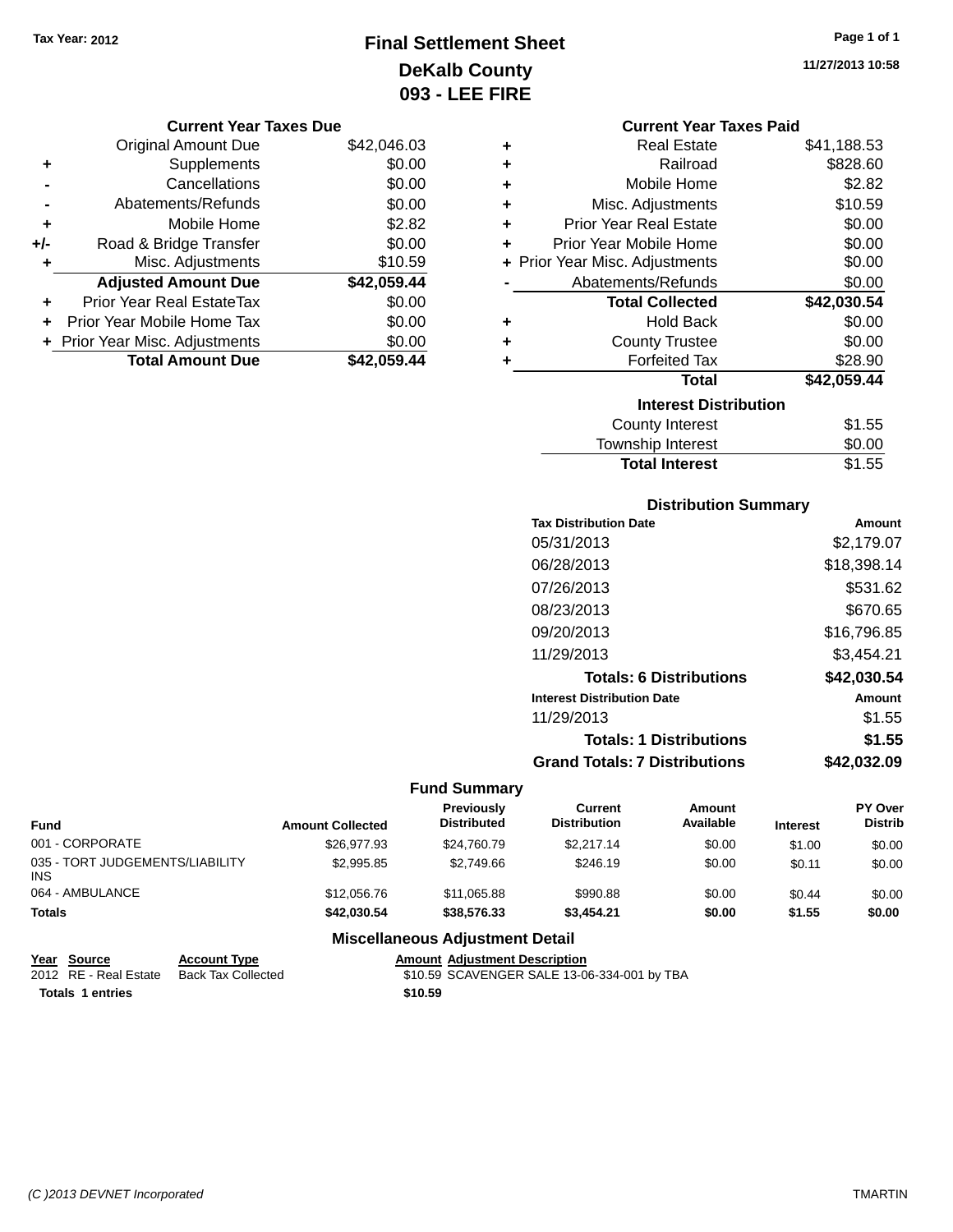# **Final Settlement Sheet Tax Year: 2012 Page 1 of 1 DeKalb County 093 - LEE FIRE**

**11/27/2013 10:58**

|     | <b>Original Amount Due</b>       | \$42,046.03 |
|-----|----------------------------------|-------------|
| ٠   | Supplements                      | \$0.00      |
|     | Cancellations                    | \$0.00      |
|     | Abatements/Refunds               | \$0.00      |
| ٠   | Mobile Home                      | \$2.82      |
| +/- | Road & Bridge Transfer           | \$0.00      |
| ٠   | Misc. Adjustments                | \$10.59     |
|     | <b>Adjusted Amount Due</b>       | \$42,059.44 |
|     | <b>Prior Year Real EstateTax</b> | \$0.00      |
|     | Prior Year Mobile Home Tax       | \$0.00      |
|     | + Prior Year Misc. Adjustments   | \$0.00      |
|     | <b>Total Amount Due</b>          | \$42.059.44 |

|                              | <b>Current Year Taxes Paid</b> |             |  |  |
|------------------------------|--------------------------------|-------------|--|--|
| ٠                            | Real Estate                    | \$41,188.53 |  |  |
| ٠                            | Railroad                       | \$828.60    |  |  |
| ٠                            | Mobile Home                    | \$2.82      |  |  |
| ٠                            | Misc. Adjustments              | \$10.59     |  |  |
| ٠                            | <b>Prior Year Real Estate</b>  | \$0.00      |  |  |
| ٠                            | Prior Year Mobile Home         | \$0.00      |  |  |
|                              | + Prior Year Misc. Adjustments | \$0.00      |  |  |
|                              | Abatements/Refunds             | \$0.00      |  |  |
|                              | <b>Total Collected</b>         | \$42,030.54 |  |  |
| ٠                            | <b>Hold Back</b>               | \$0.00      |  |  |
| ٠                            | <b>County Trustee</b>          | \$0.00      |  |  |
| ٠                            | <b>Forfeited Tax</b>           | \$28.90     |  |  |
|                              | <b>Total</b>                   | \$42,059.44 |  |  |
| <b>Interest Distribution</b> |                                |             |  |  |
|                              | <b>County Interest</b>         | \$1.55      |  |  |
|                              | <b>Township Interest</b>       | \$0.00      |  |  |

| <b>Distribution Summary</b>          |             |
|--------------------------------------|-------------|
| <b>Tax Distribution Date</b>         | Amount      |
| 05/31/2013                           | \$2,179.07  |
| 06/28/2013                           | \$18,398.14 |
| 07/26/2013                           | \$531.62    |
| 08/23/2013                           | \$670.65    |
| 09/20/2013                           | \$16,796.85 |
| 11/29/2013                           | \$3,454.21  |
| <b>Totals: 6 Distributions</b>       | \$42,030.54 |
| <b>Interest Distribution Date</b>    | Amount      |
| 11/29/2013                           | \$1.55      |
| <b>Totals: 1 Distributions</b>       | \$1.55      |
| <b>Grand Totals: 7 Distributions</b> | \$42,032.09 |

**Total Interest** \$1.55

### **Fund Summary**

| Fund                                    | <b>Amount Collected</b> | <b>Previously</b><br><b>Distributed</b> | Current<br><b>Distribution</b> | Amount<br>Available | <b>Interest</b> | <b>PY Over</b><br><b>Distrib</b> |
|-----------------------------------------|-------------------------|-----------------------------------------|--------------------------------|---------------------|-----------------|----------------------------------|
| 001 - CORPORATE                         | \$26,977.93             | \$24.760.79                             | \$2.217.14                     | \$0.00              | \$1.00          | \$0.00                           |
| 035 - TORT JUDGEMENTS/LIABILITY<br>INS. | \$2,995.85              | \$2,749.66                              | \$246.19                       | \$0.00              | \$0.11          | \$0.00                           |
| 064 - AMBULANCE                         | \$12,056.76             | \$11,065.88                             | \$990.88                       | \$0.00              | \$0.44          | \$0.00                           |
| <b>Totals</b>                           | \$42,030.54             | \$38,576.33                             | \$3,454.21                     | \$0.00              | \$1.55          | \$0.00                           |

### **Miscellaneous Adjustment Detail**

| Year Source           | <b>Account Type</b> |         | <b>Amount Adiustment Description</b>        |
|-----------------------|---------------------|---------|---------------------------------------------|
| 2012 RE - Real Estate | Back Tax Collected  |         | \$10.59 SCAVENGER SALE 13-06-334-001 by TBA |
| Totals 1 entries      |                     | \$10.59 |                                             |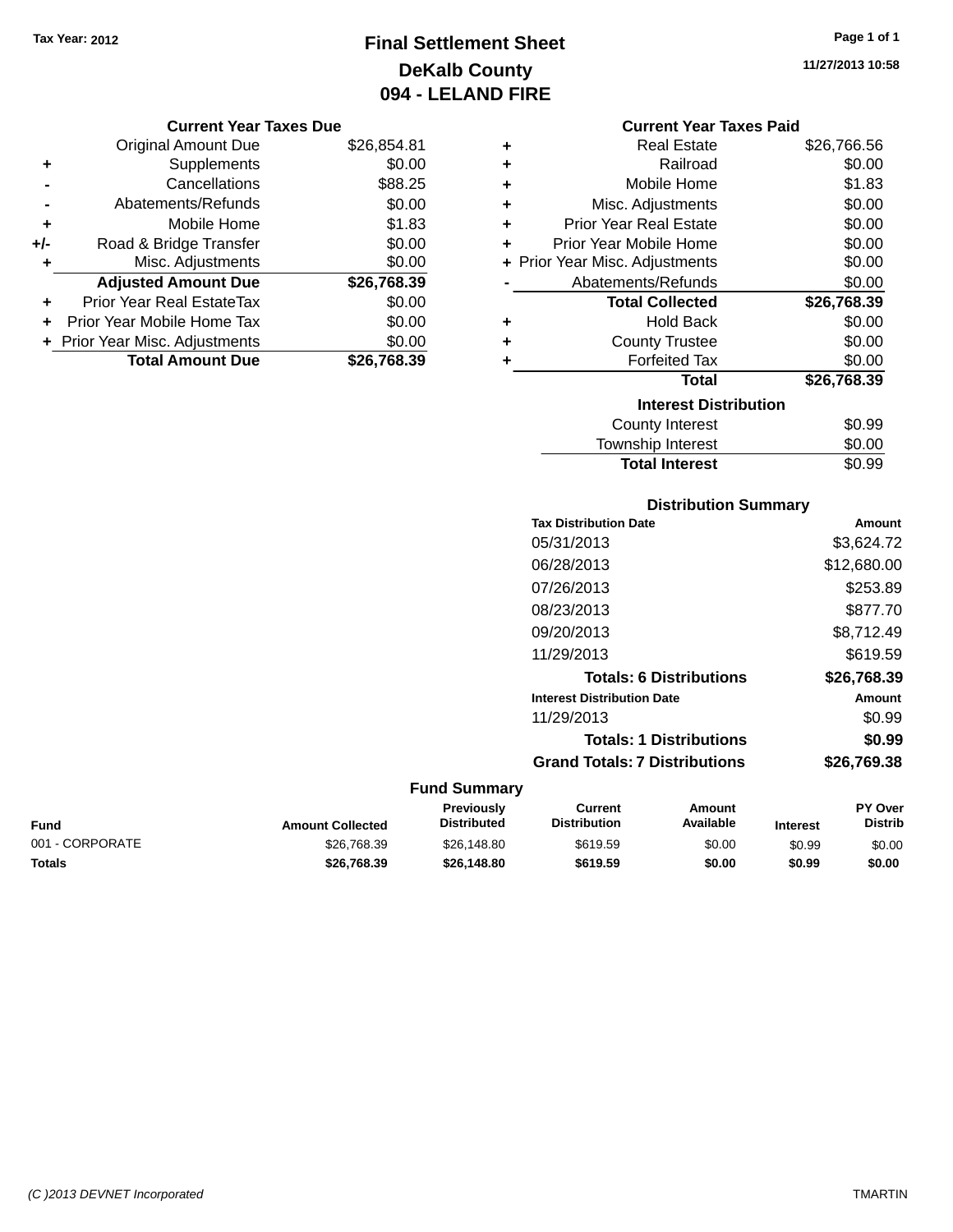# **Final Settlement Sheet Tax Year: 2012 Page 1 of 1 DeKalb County 094 - LELAND FIRE**

**11/27/2013 10:58**

#### **Current Year Taxes Due**

|       | <b>Original Amount Due</b>     | \$26,854.81 |
|-------|--------------------------------|-------------|
| ٠     | Supplements                    | \$0.00      |
|       | Cancellations                  | \$88.25     |
|       | Abatements/Refunds             | \$0.00      |
| ٠     | Mobile Home                    | \$1.83      |
| $+/-$ | Road & Bridge Transfer         | \$0.00      |
| ٠     | Misc. Adjustments              | \$0.00      |
|       | <b>Adjusted Amount Due</b>     | \$26,768.39 |
| ٠     | Prior Year Real EstateTax      | \$0.00      |
|       | Prior Year Mobile Home Tax     | \$0.00      |
|       | + Prior Year Misc. Adjustments | \$0.00      |
|       | <b>Total Amount Due</b>        | \$26,768.39 |

#### **Current Year Taxes Paid**

| ٠ | <b>Real Estate</b>             | \$26,766.56 |
|---|--------------------------------|-------------|
| ÷ | Railroad                       | \$0.00      |
| ÷ | Mobile Home                    | \$1.83      |
| ٠ | Misc. Adjustments              | \$0.00      |
| ٠ | Prior Year Real Estate         | \$0.00      |
| ٠ | Prior Year Mobile Home         | \$0.00      |
|   | + Prior Year Misc. Adjustments | \$0.00      |
|   | Abatements/Refunds             | \$0.00      |
|   | <b>Total Collected</b>         | \$26,768.39 |
| ٠ | Hold Back                      | \$0.00      |
| ٠ | <b>County Trustee</b>          | \$0.00      |
| ٠ | <b>Forfeited Tax</b>           | \$0.00      |
|   | Total                          | \$26,768.39 |
|   | <b>Interest Distribution</b>   |             |
|   | County Interest                | \$0.99      |
|   | <b>Township Interest</b>       | \$0.00      |
|   | <b>Total Interest</b>          | \$0.99      |

## **Distribution Summary Tax Distribution Date Amount** 05/31/2013 \$3,624.72 06/28/2013 \$12,680.00 07/26/2013 \$253.89 08/23/2013 \$877.70 09/20/2013 \$8,712.49 11/29/2013 \$619.59 **Totals: 6 Distributions \$26,768.39 Interest Distribution Date Amount** 11/29/2013 \$0.99 **Totals: 1 Distributions \$0.99 Grand Totals: 7 Distributions \$26,769.38**

| Fund            | <b>Amount Collected</b> | <b>Previously</b><br><b>Distributed</b> | Current<br><b>Distribution</b> | Amount<br><b>Available</b> | <b>Interest</b> | <b>PY Over</b><br><b>Distrib</b> |
|-----------------|-------------------------|-----------------------------------------|--------------------------------|----------------------------|-----------------|----------------------------------|
| 001 - CORPORATE | \$26.768.39             | \$26,148.80                             | \$619.59                       | \$0.00                     | \$0.99          | \$0.00                           |
| Totals          | \$26,768.39             | \$26,148.80                             | \$619.59                       | \$0.00                     | \$0.99          | \$0.00                           |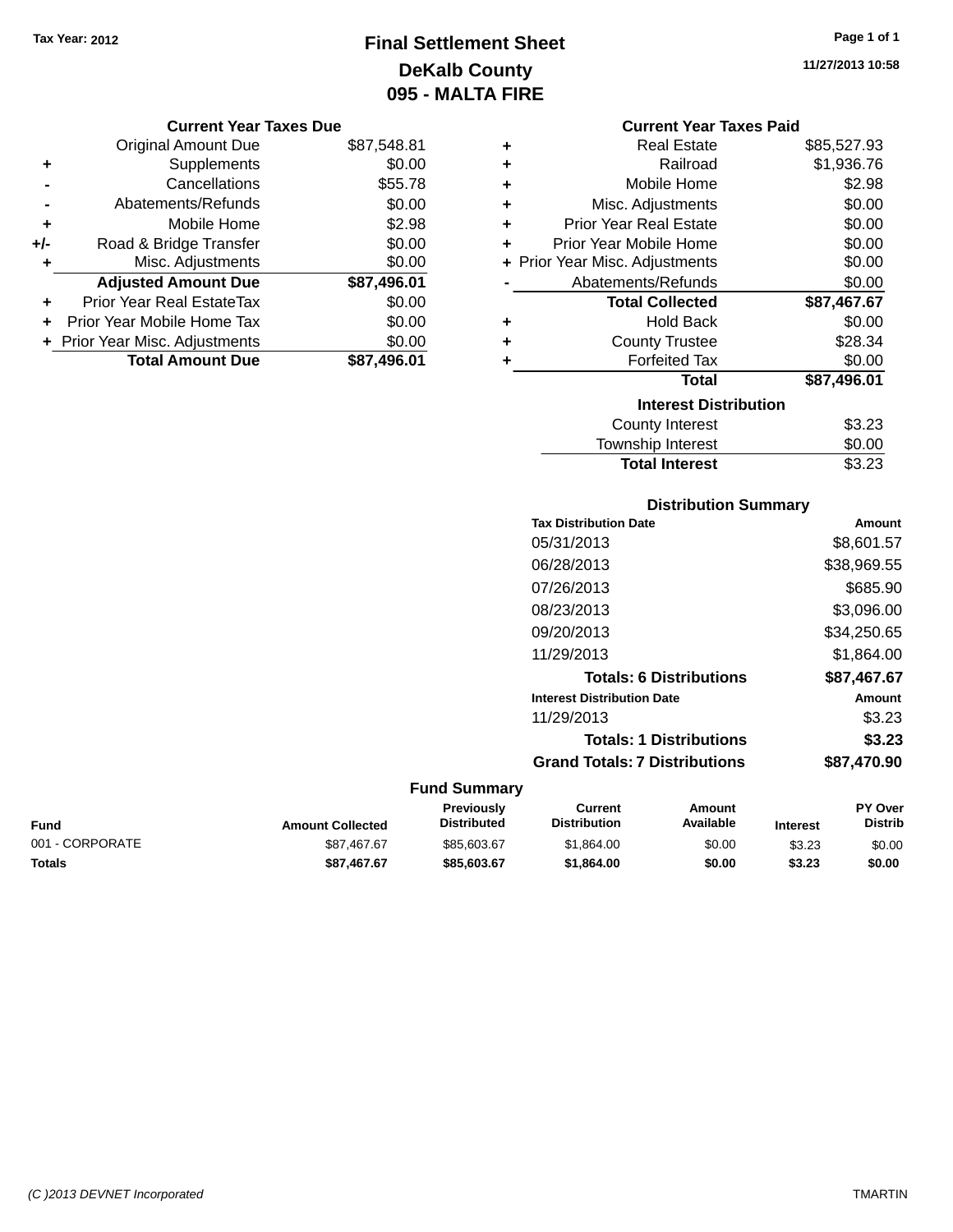# **Final Settlement Sheet Tax Year: 2012 Page 1 of 1 DeKalb County 095 - MALTA FIRE**

**11/27/2013 10:58**

#### **Current Year Taxes Due**

|     | <b>Original Amount Due</b>     | \$87,548.81 |
|-----|--------------------------------|-------------|
| ٠   | Supplements                    | \$0.00      |
|     | Cancellations                  | \$55.78     |
|     | Abatements/Refunds             | \$0.00      |
| ٠   | Mobile Home                    | \$2.98      |
| +/- | Road & Bridge Transfer         | \$0.00      |
|     | Misc. Adjustments              | \$0.00      |
|     | <b>Adjusted Amount Due</b>     | \$87,496.01 |
| ÷   | Prior Year Real EstateTax      | \$0.00      |
|     | Prior Year Mobile Home Tax     | \$0.00      |
|     | + Prior Year Misc. Adjustments | \$0.00      |
|     | <b>Total Amount Due</b>        | \$87,496.01 |

|   | <b>Current Year Taxes Paid</b> |             |
|---|--------------------------------|-------------|
| ٠ | <b>Real Estate</b>             | \$85,527.93 |
| ٠ | Railroad                       | \$1,936.76  |
| ÷ | Mobile Home                    | \$2.98      |
| ÷ | Misc. Adjustments              | \$0.00      |
| ÷ | <b>Prior Year Real Estate</b>  | \$0.00      |
| ٠ | Prior Year Mobile Home         | \$0.00      |
|   | + Prior Year Misc. Adjustments | \$0.00      |
|   | Abatements/Refunds             | \$0.00      |
|   |                                |             |
|   | <b>Total Collected</b>         | \$87,467.67 |
| ٠ | <b>Hold Back</b>               | \$0.00      |
| ٠ | <b>County Trustee</b>          | \$28.34     |
| ÷ | <b>Forfeited Tax</b>           | \$0.00      |
|   | Total                          | \$87,496.01 |
|   | <b>Interest Distribution</b>   |             |
|   | <b>County Interest</b>         | \$3.23      |
|   | <b>Township Interest</b>       | \$0.00      |

## **Distribution Summary Tax Distribution Date Amount** 05/31/2013 \$8,601.57 06/28/2013 \$38,969.55 07/26/2013 \$685.90 08/23/2013 \$3,096.00 09/20/2013 \$34,250.65 11/29/2013 \$1,864.00 **Totals: 6 Distributions \$87,467.67 Interest Distribution Date Amount** 11/29/2013 \$3.23 **Totals: 1 Distributions \$3.23 Grand Totals: 7 Distributions \$87,470.90**

| Fund            | <b>Amount Collected</b> | <b>Previously</b><br><b>Distributed</b> | Current<br><b>Distribution</b> | Amount<br>Available | <b>Interest</b> | <b>PY Over</b><br><b>Distrib</b> |
|-----------------|-------------------------|-----------------------------------------|--------------------------------|---------------------|-----------------|----------------------------------|
| 001 - CORPORATE | \$87.467.67             | \$85,603.67                             | \$1,864.00                     | \$0.00              | \$3.23          | \$0.00                           |
| Totals          | \$87.467.67             | \$85,603,67                             | \$1,864,00                     | \$0.00              | \$3.23          | \$0.00                           |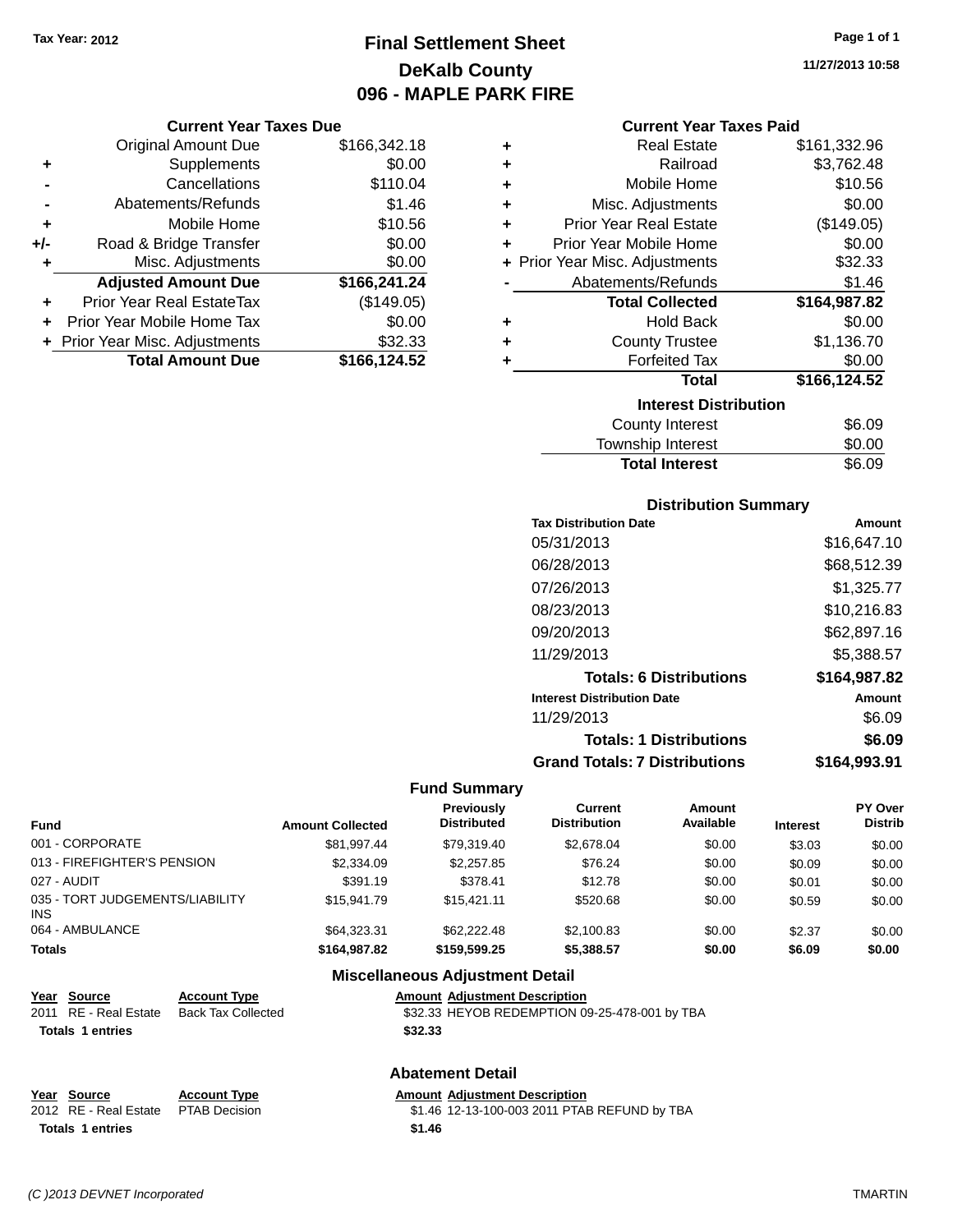# **Final Settlement Sheet Tax Year: 2012 Page 1 of 1 DeKalb County 096 - MAPLE PARK FIRE**

**11/27/2013 10:58**

#### **Current Year Taxes Due**

|       | <b>Original Amount Due</b>       | \$166,342.18 |
|-------|----------------------------------|--------------|
| ٠     | Supplements                      | \$0.00       |
|       | Cancellations                    | \$110.04     |
|       | Abatements/Refunds               | \$1.46       |
| ٠     | Mobile Home                      | \$10.56      |
| $+/-$ | Road & Bridge Transfer           | \$0.00       |
| ٠     | Misc. Adjustments                | \$0.00       |
|       | <b>Adjusted Amount Due</b>       | \$166,241.24 |
|       | <b>Prior Year Real EstateTax</b> | (\$149.05)   |
|       | Prior Year Mobile Home Tax       | \$0.00       |
|       | + Prior Year Misc. Adjustments   | \$32.33      |
|       | <b>Total Amount Due</b>          | \$166,124.52 |

|   | <b>Current Year Taxes Paid</b> |              |
|---|--------------------------------|--------------|
| ٠ | <b>Real Estate</b>             | \$161,332.96 |
| ٠ | Railroad                       | \$3,762.48   |
| ٠ | Mobile Home                    | \$10.56      |
| ٠ | Misc. Adjustments              | \$0.00       |
| ٠ | <b>Prior Year Real Estate</b>  | (\$149.05)   |
| ÷ | Prior Year Mobile Home         | \$0.00       |
|   | + Prior Year Misc. Adjustments | \$32.33      |
|   | Abatements/Refunds             | \$1.46       |
|   | <b>Total Collected</b>         | \$164,987.82 |
| ٠ | Hold Back                      | \$0.00       |
| ٠ | <b>County Trustee</b>          | \$1,136.70   |
| ٠ | <b>Forfeited Tax</b>           | \$0.00       |
|   | Total                          | \$166,124.52 |
|   | <b>Interest Distribution</b>   |              |
|   | County Interest                | \$6.09       |
|   | Township Interest              | \$0.00       |
|   | <b>Total Interest</b>          | \$6.09       |

### **Distribution Summary**

| <b>Tax Distribution Date</b>         | Amount       |
|--------------------------------------|--------------|
| 05/31/2013                           | \$16,647.10  |
| 06/28/2013                           | \$68,512.39  |
| 07/26/2013                           | \$1,325.77   |
| 08/23/2013                           | \$10,216.83  |
| 09/20/2013                           | \$62,897.16  |
| 11/29/2013                           | \$5,388.57   |
| <b>Totals: 6 Distributions</b>       | \$164,987.82 |
| <b>Interest Distribution Date</b>    | Amount       |
| 11/29/2013                           | \$6.09       |
| <b>Totals: 1 Distributions</b>       | \$6.09       |
| <b>Grand Totals: 7 Distributions</b> | \$164.993.91 |

#### **Fund Summary**

| <b>Fund</b>                             | <b>Amount Collected</b> | <b>Previously</b><br><b>Distributed</b> | Current<br><b>Distribution</b> | Amount<br>Available | <b>Interest</b> | <b>PY Over</b><br><b>Distrib</b> |
|-----------------------------------------|-------------------------|-----------------------------------------|--------------------------------|---------------------|-----------------|----------------------------------|
| 001 - CORPORATE                         | \$81.997.44             | \$79.319.40                             | \$2,678,04                     | \$0.00              | \$3.03          | \$0.00                           |
| 013 - FIREFIGHTER'S PENSION             | \$2,334.09              | \$2,257.85                              | \$76.24                        | \$0.00              | \$0.09          | \$0.00                           |
| 027 - AUDIT                             | \$391.19                | \$378.41                                | \$12.78                        | \$0.00              | \$0.01          | \$0.00                           |
| 035 - TORT JUDGEMENTS/LIABILITY<br>INS. | \$15.941.79             | \$15,421.11                             | \$520.68                       | \$0.00              | \$0.59          | \$0.00                           |
| 064 - AMBULANCE                         | \$64,323,31             | \$62,222,48                             | \$2,100.83                     | \$0.00              | \$2.37          | \$0.00                           |
| <b>Totals</b>                           | \$164,987.82            | \$159,599.25                            | \$5,388.57                     | \$0.00              | \$6.09          | \$0.00                           |

## **Miscellaneous Adjustment Detail**

| <u>Year Source</u>      | <b>Account Type</b> | <b>Amount Adiustment Description</b>          |
|-------------------------|---------------------|-----------------------------------------------|
| 2011 RE - Real Estate   | Back Tax Collected  | \$32.33 HEYOB REDEMPTION 09-25-478-001 by TBA |
| <b>Totals 1 entries</b> |                     | \$32.33                                       |
|                         |                     | <b>Abatement Detail</b>                       |

#### **Abatement Detail**

# **<u>Year Source</u> <b>Account Type Amount Adjustment Description**<br>2012 RE - Real Estate PTAB Decision \$1.46 12-13-100-003 2011 PTAE **Totals 1 entries \$1.46**

\$1.46 12-13-100-003 2011 PTAB REFUND by TBA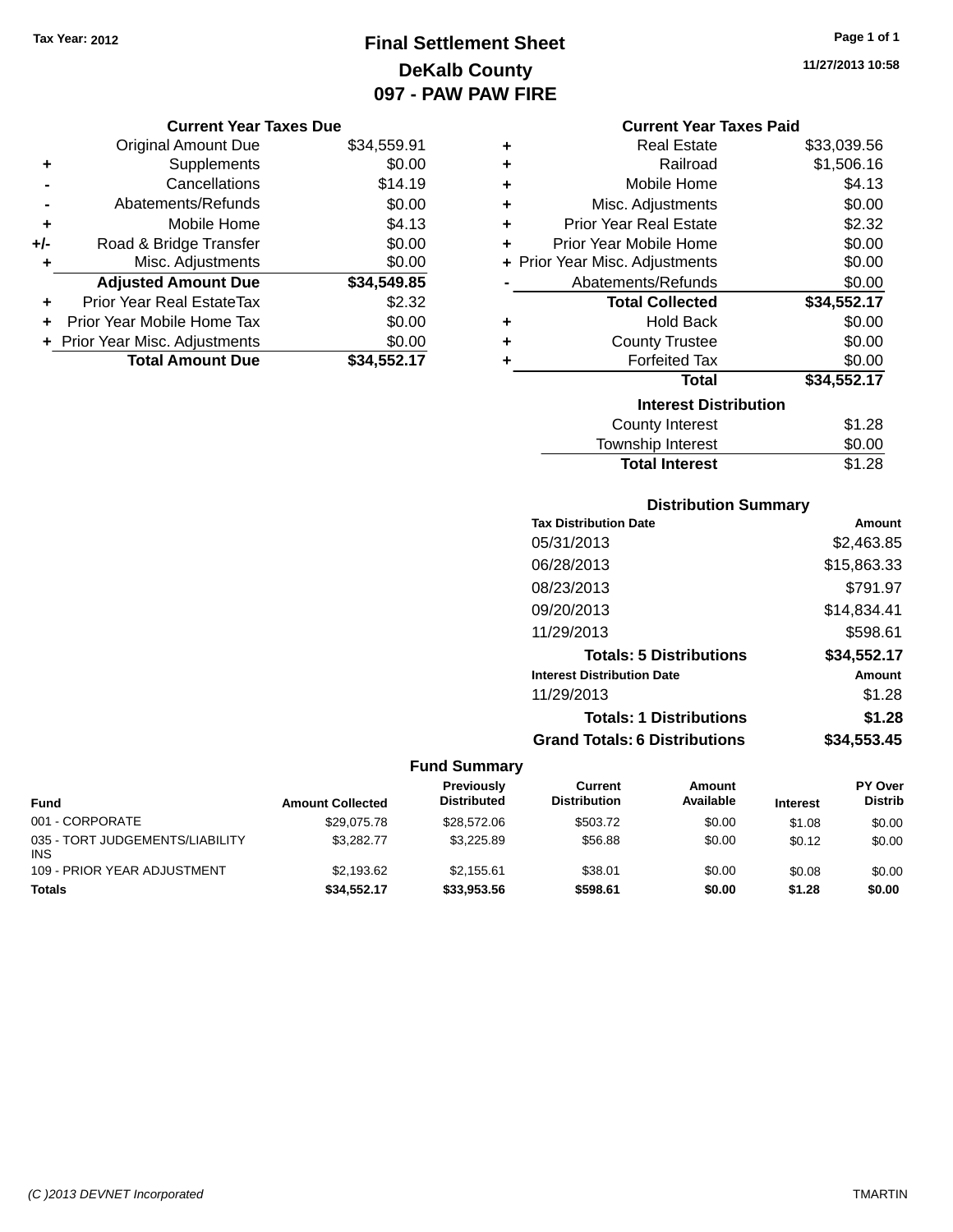# **Final Settlement Sheet Tax Year: 2012 Page 1 of 1 DeKalb County 097 - PAW PAW FIRE**

**11/27/2013 10:58**

#### **Current Year Taxes Paid**

|     | <b>Current Year Taxes Due</b>  |             |  |  |  |
|-----|--------------------------------|-------------|--|--|--|
|     | <b>Original Amount Due</b>     | \$34,559.91 |  |  |  |
| ٠   | Supplements                    | \$0.00      |  |  |  |
|     | Cancellations                  | \$14.19     |  |  |  |
|     | Abatements/Refunds             | \$0.00      |  |  |  |
| ٠   | Mobile Home                    | \$4.13      |  |  |  |
| +/- | Road & Bridge Transfer         | \$0.00      |  |  |  |
| ٠   | Misc. Adjustments              | \$0.00      |  |  |  |
|     | <b>Adjusted Amount Due</b>     | \$34,549.85 |  |  |  |
| ٠   | Prior Year Real EstateTax      | \$2.32      |  |  |  |
| ÷   | Prior Year Mobile Home Tax     | \$0.00      |  |  |  |
|     | + Prior Year Misc. Adjustments | \$0.00      |  |  |  |
|     | <b>Total Amount Due</b>        | \$34,552.17 |  |  |  |

| ٠ | <b>Real Estate</b>             | \$33,039.56 |
|---|--------------------------------|-------------|
| ٠ | Railroad                       | \$1,506.16  |
| ٠ | Mobile Home                    | \$4.13      |
| ٠ | Misc. Adjustments              | \$0.00      |
| ٠ | Prior Year Real Estate         | \$2.32      |
| ٠ | Prior Year Mobile Home         | \$0.00      |
|   | + Prior Year Misc. Adjustments | \$0.00      |
|   | Abatements/Refunds             | \$0.00      |
|   | <b>Total Collected</b>         | \$34,552.17 |
| ٠ | Hold Back                      | \$0.00      |
| ٠ | <b>County Trustee</b>          | \$0.00      |
| ٠ | <b>Forfeited Tax</b>           | \$0.00      |
|   | <b>Total</b>                   | \$34,552.17 |
|   | <b>Interest Distribution</b>   |             |
|   | <b>County Interest</b>         | \$1.28      |
|   | <b>Township Interest</b>       | \$0.00      |
|   | <b>Total Interest</b>          | \$1.28      |

## **Distribution Summary**

| <b>Tax Distribution Date</b>         | Amount      |
|--------------------------------------|-------------|
| 05/31/2013                           | \$2,463.85  |
| 06/28/2013                           | \$15,863.33 |
| 08/23/2013                           | \$791.97    |
| 09/20/2013                           | \$14,834.41 |
| 11/29/2013                           | \$598.61    |
| <b>Totals: 5 Distributions</b>       | \$34,552.17 |
| <b>Interest Distribution Date</b>    | Amount      |
| 11/29/2013                           | \$1.28      |
| <b>Totals: 1 Distributions</b>       | \$1.28      |
| <b>Grand Totals: 6 Distributions</b> | \$34,553.45 |

|                                               |                         | Previously         | Current             | Amount    |                 | <b>PY Over</b> |
|-----------------------------------------------|-------------------------|--------------------|---------------------|-----------|-----------------|----------------|
| <b>Fund</b>                                   | <b>Amount Collected</b> | <b>Distributed</b> | <b>Distribution</b> | Available | <b>Interest</b> | <b>Distrib</b> |
| 001 - CORPORATE                               | \$29.075.78             | \$28,572.06        | \$503.72            | \$0.00    | \$1.08          | \$0.00         |
| 035 - TORT JUDGEMENTS/LIABILITY<br><b>INS</b> | \$3.282.77              | \$3.225.89         | \$56.88             | \$0.00    | \$0.12          | \$0.00         |
| 109 - PRIOR YEAR ADJUSTMENT                   | \$2.193.62              | \$2.155.61         | \$38.01             | \$0.00    | \$0.08          | \$0.00         |
| <b>Totals</b>                                 | \$34.552.17             | \$33.953.56        | \$598.61            | \$0.00    | \$1.28          | \$0.00         |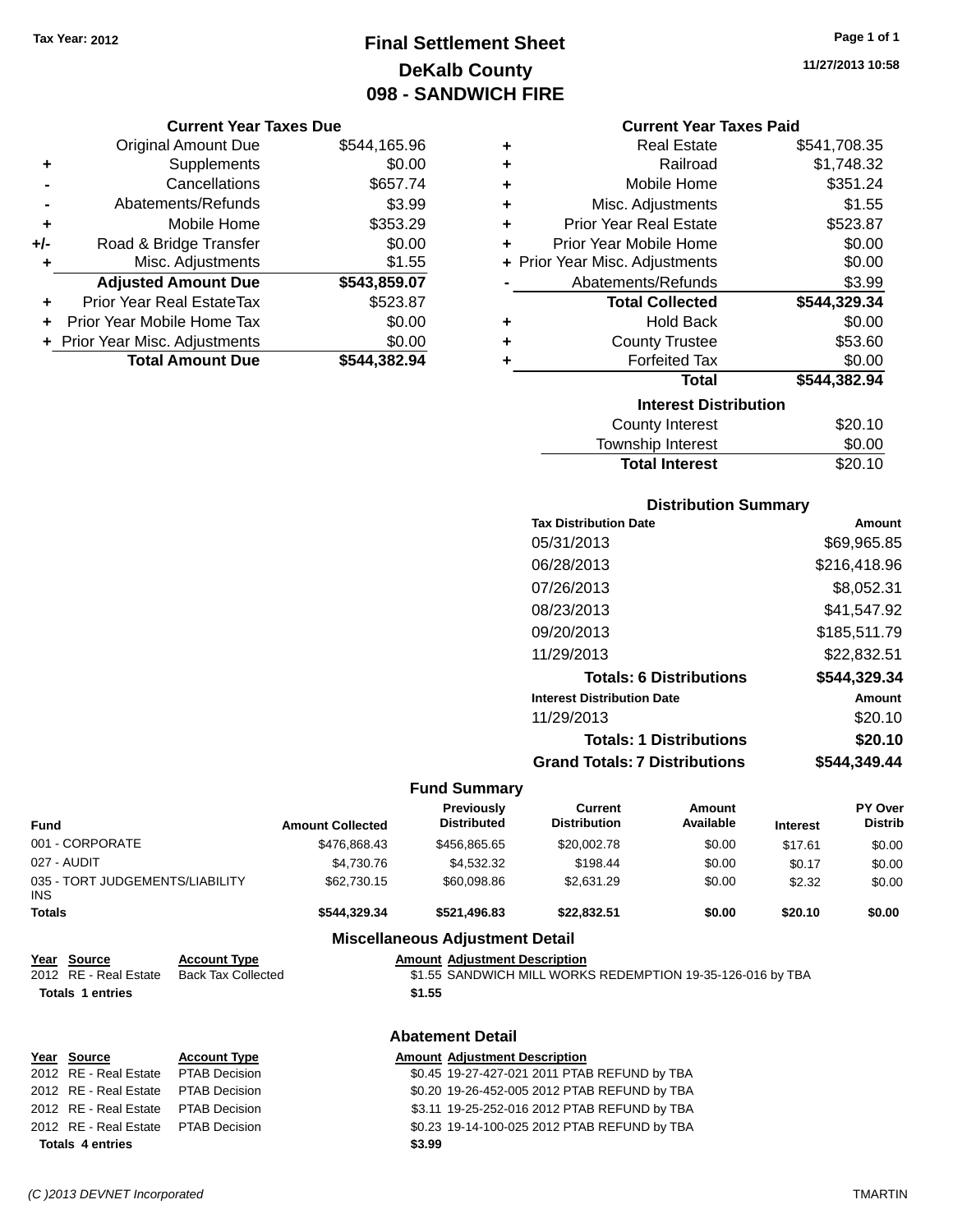# **Final Settlement Sheet Tax Year: 2012 Page 1 of 1 DeKalb County 098 - SANDWICH FIRE**

#### **Current Year Taxes Due**

|     | <b>Original Amount Due</b>       | \$544,165.96 |
|-----|----------------------------------|--------------|
| ٠   | Supplements                      | \$0.00       |
|     | Cancellations                    | \$657.74     |
|     | Abatements/Refunds               | \$3.99       |
| ٠   | Mobile Home                      | \$353.29     |
| +/- | Road & Bridge Transfer           | \$0.00       |
| ٠   | Misc. Adjustments                | \$1.55       |
|     | <b>Adjusted Amount Due</b>       | \$543,859.07 |
|     | <b>Prior Year Real EstateTax</b> | \$523.87     |
|     | Prior Year Mobile Home Tax       | \$0.00       |
|     | + Prior Year Misc. Adjustments   | \$0.00       |
|     | <b>Total Amount Due</b>          | \$544.382.94 |

| ٠ | <b>Real Estate</b>             | \$541,708.35 |
|---|--------------------------------|--------------|
| ٠ | Railroad                       | \$1,748.32   |
| ٠ | Mobile Home                    | \$351.24     |
| ٠ | Misc. Adjustments              | \$1.55       |
| ٠ | <b>Prior Year Real Estate</b>  | \$523.87     |
| ٠ | Prior Year Mobile Home         | \$0.00       |
|   | + Prior Year Misc. Adjustments | \$0.00       |
|   | Abatements/Refunds             | \$3.99       |
|   | <b>Total Collected</b>         | \$544,329.34 |
| ٠ | <b>Hold Back</b>               | \$0.00       |
| ٠ | <b>County Trustee</b>          | \$53.60      |
| ٠ | <b>Forfeited Tax</b>           | \$0.00       |
|   | <b>Total</b>                   | \$544,382.94 |
|   | <b>Interest Distribution</b>   |              |
|   | <b>County Interest</b>         | \$20.10      |
|   | <b>Townshin Interest</b>       | ደበ በበ        |

| <b>Total Interest</b> | \$20.10 |
|-----------------------|---------|
| Township Interest     | \$0.00  |
| County Interest       | \$20.10 |

## **Distribution Summary**

| Amount       |
|--------------|
| \$69.965.85  |
| \$216,418.96 |
| \$8,052.31   |
| \$41,547.92  |
| \$185,511.79 |
| \$22,832.51  |
| \$544,329.34 |
| Amount       |
| \$20.10      |
| \$20.10      |
| \$544.349.44 |
|              |

## **Fund Summary**

| <b>Fund</b>                                                     |                                                  | <b>Amount Collected</b> | <b>Previously</b><br><b>Distributed</b>        | Current<br><b>Distribution</b>                             | Amount<br>Available | <b>Interest</b> | <b>PY Over</b><br><b>Distrib</b> |
|-----------------------------------------------------------------|--------------------------------------------------|-------------------------|------------------------------------------------|------------------------------------------------------------|---------------------|-----------------|----------------------------------|
| 001 - CORPORATE                                                 |                                                  | \$476,868.43            | \$456,865.65                                   | \$20,002.78                                                | \$0.00              | \$17.61         | \$0.00                           |
| 027 - AUDIT                                                     |                                                  | \$4,730.76              | \$4,532.32                                     | \$198.44                                                   | \$0.00              | \$0.17          | \$0.00                           |
| 035 - TORT JUDGEMENTS/LIABILITY<br>INS.                         |                                                  | \$62,730.15             | \$60,098.86                                    | \$2,631.29                                                 | \$0.00              | \$2.32          | \$0.00                           |
| <b>Totals</b>                                                   |                                                  | \$544,329.34            | \$521,496.83                                   | \$22,832.51                                                | \$0.00              | \$20.10         | \$0.00                           |
|                                                                 |                                                  |                         | <b>Miscellaneous Adjustment Detail</b>         |                                                            |                     |                 |                                  |
| Year Source<br>2012 RE - Real Estate<br><b>Totals 1 entries</b> | <b>Account Type</b><br><b>Back Tax Collected</b> |                         | <b>Amount Adjustment Description</b><br>\$1.55 | \$1.55 SANDWICH MILL WORKS REDEMPTION 19-35-126-016 by TBA |                     |                 |                                  |
|                                                                 |                                                  |                         | <b>Abatement Detail</b>                        |                                                            |                     |                 |                                  |
| <b>Source</b><br>Year<br>2012 RE - Real Estate                  | <b>Account Type</b><br><b>PTAB Decision</b>      |                         | <b>Amount Adjustment Description</b>           | \$0.45 19-27-427-021 2011 PTAB REFUND by TBA               |                     |                 |                                  |
| 2012 RE - Real Estate                                           | <b>PTAB Decision</b>                             |                         |                                                | \$0.20 19-26-452-005 2012 PTAB REFUND by TBA               |                     |                 |                                  |
| 2012 RE - Real Estate                                           | PTAB Decision                                    |                         |                                                | \$3.11 19-25-252-016 2012 PTAB REFUND by TBA               |                     |                 |                                  |
| 2012 RE - Real Estate                                           | <b>PTAB Decision</b>                             |                         |                                                | \$0.23 19-14-100-025 2012 PTAB REFUND by TBA               |                     |                 |                                  |
| <b>Totals 4 entries</b>                                         |                                                  |                         | \$3.99                                         |                                                            |                     |                 |                                  |

**11/27/2013 10:58**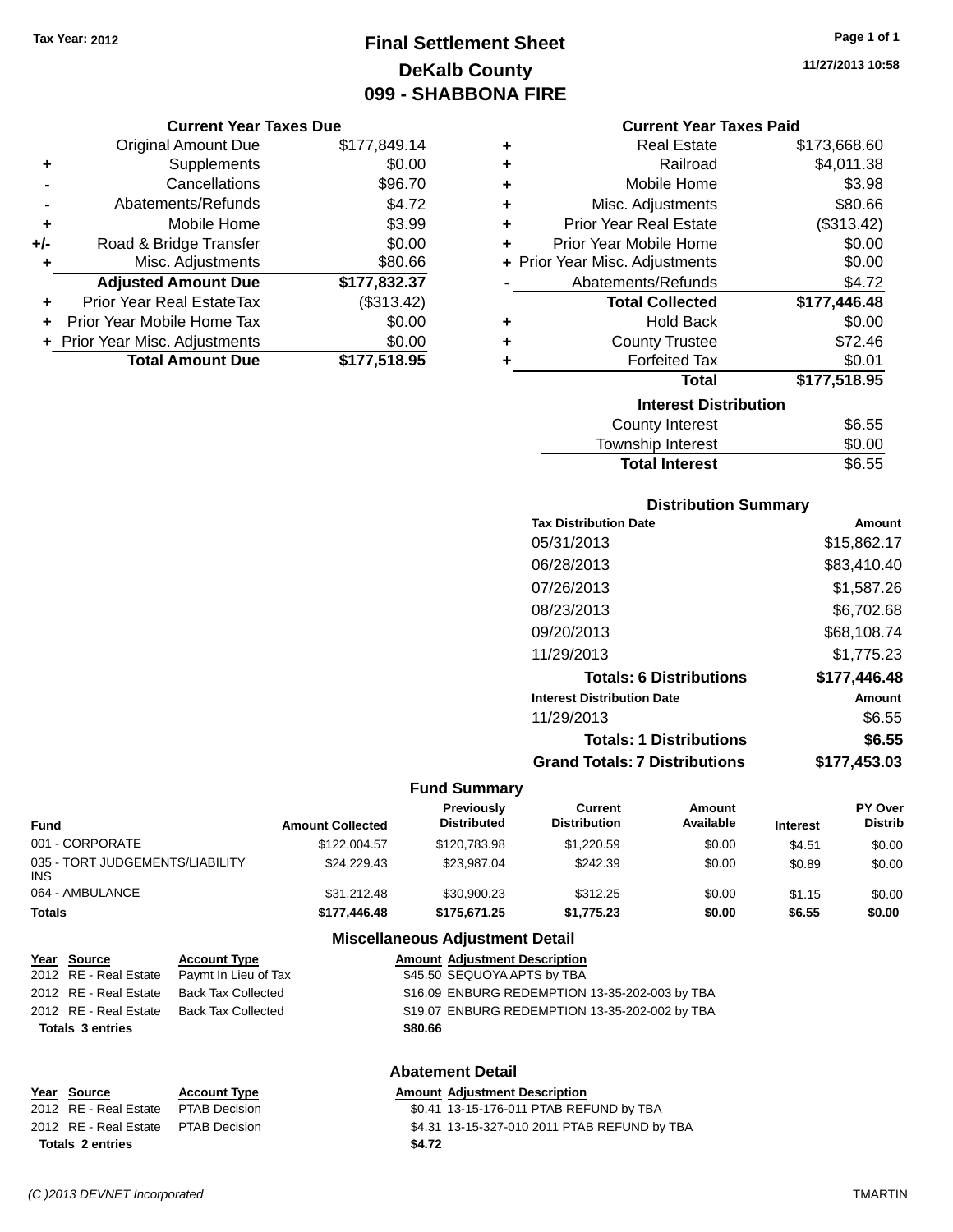# **Final Settlement Sheet Tax Year: 2012 Page 1 of 1 DeKalb County 099 - SHABBONA FIRE**

**Current Year Taxes Due**

|       | <b>Original Amount Due</b>     | \$177,849.14 |
|-------|--------------------------------|--------------|
| ٠     | Supplements                    | \$0.00       |
|       | Cancellations                  | \$96.70      |
|       | Abatements/Refunds             | \$4.72       |
| ٠     | Mobile Home                    | \$3.99       |
| $+/-$ | Road & Bridge Transfer         | \$0.00       |
| ٠     | Misc. Adjustments              | \$80.66      |
|       | <b>Adjusted Amount Due</b>     | \$177,832.37 |
|       | Prior Year Real EstateTax      | (\$313.42)   |
|       | Prior Year Mobile Home Tax     | \$0.00       |
|       | + Prior Year Misc. Adjustments | \$0.00       |
|       | <b>Total Amount Due</b>        | \$177,518.95 |

| Current Year Taxes Paid |  |  |
|-------------------------|--|--|
|                         |  |  |

| ٠ | <b>Real Estate</b>             | \$173,668.60 |
|---|--------------------------------|--------------|
| ٠ | Railroad                       | \$4,011.38   |
| ÷ | Mobile Home                    | \$3.98       |
| ٠ | Misc. Adjustments              | \$80.66      |
| ٠ | <b>Prior Year Real Estate</b>  | (\$313.42)   |
| ÷ | Prior Year Mobile Home         | \$0.00       |
|   | + Prior Year Misc. Adjustments | \$0.00       |
|   | Abatements/Refunds             | \$4.72       |
|   | <b>Total Collected</b>         | \$177,446.48 |
| ٠ | Hold Back                      | \$0.00       |
| ٠ | <b>County Trustee</b>          | \$72.46      |
| ٠ | <b>Forfeited Tax</b>           | \$0.01       |
|   | <b>Total</b>                   | \$177,518.95 |
|   | <b>Interest Distribution</b>   |              |
|   | County Interest                | \$6.55       |
|   | <b>Township Interest</b>       | \$0.00       |
|   | <b>Total Interest</b>          | \$6.55       |

# **Distribution Summary**

| <b>Tax Distribution Date</b>         | Amount       |
|--------------------------------------|--------------|
| 05/31/2013                           | \$15,862.17  |
| 06/28/2013                           | \$83,410.40  |
| 07/26/2013                           | \$1,587.26   |
| 08/23/2013                           | \$6,702.68   |
| 09/20/2013                           | \$68,108.74  |
| 11/29/2013                           | \$1,775.23   |
| <b>Totals: 6 Distributions</b>       | \$177,446.48 |
| <b>Interest Distribution Date</b>    | Amount       |
| 11/29/2013                           | \$6.55       |
| <b>Totals: 1 Distributions</b>       | \$6.55       |
| <b>Grand Totals: 7 Distributions</b> | \$177.453.03 |

#### **Fund Summary**

| <b>Amount Collected</b> | <b>Previously</b><br><b>Distributed</b> | Current<br><b>Distribution</b> | Amount<br>Available | <b>Interest</b> | <b>PY Over</b><br><b>Distrib</b> |
|-------------------------|-----------------------------------------|--------------------------------|---------------------|-----------------|----------------------------------|
| \$122,004.57            | \$120,783.98                            | \$1.220.59                     | \$0.00              | \$4.51          | \$0.00                           |
| \$24.229.43             | \$23,987.04                             | \$242.39                       | \$0.00              | \$0.89          | \$0.00                           |
| \$31,212.48             | \$30,900.23                             | \$312.25                       | \$0.00              | \$1.15          | \$0.00                           |
| \$177,446.48            | \$175.671.25                            | \$1,775.23                     | \$0.00              | \$6.55          | \$0.00                           |
|                         |                                         |                                |                     |                 |                                  |

## **Miscellaneous Adjustment Detail**

| Year Source             | <b>Account Type</b>       | <b>Amount Adjustment Description</b>           |
|-------------------------|---------------------------|------------------------------------------------|
| 2012 RE - Real Estate   | Paymt In Lieu of Tax      | \$45.50 SEQUOYA APTS by TBA                    |
| 2012 RE - Real Estate   | <b>Back Tax Collected</b> | \$16.09 ENBURG REDEMPTION 13-35-202-003 by TBA |
| 2012 RE - Real Estate   | Back Tax Collected        | \$19.07 ENBURG REDEMPTION 13-35-202-002 by TBA |
| <b>Totals 3 entries</b> |                           | \$80.66                                        |
|                         |                           | <b>Abatement Detail</b>                        |

#### **Year Source Account Type**<br>
2012 RE - Real Estate PTAB Decision<br>
30.41 13-15-176-011 PTAB REF \$0.41 13-15-176-011 PTAB REFUND by TBA 2012 RE - Real Estate PTAB Decision \$4.31 13-15-327-010 2011 PTAB REFUND by TBA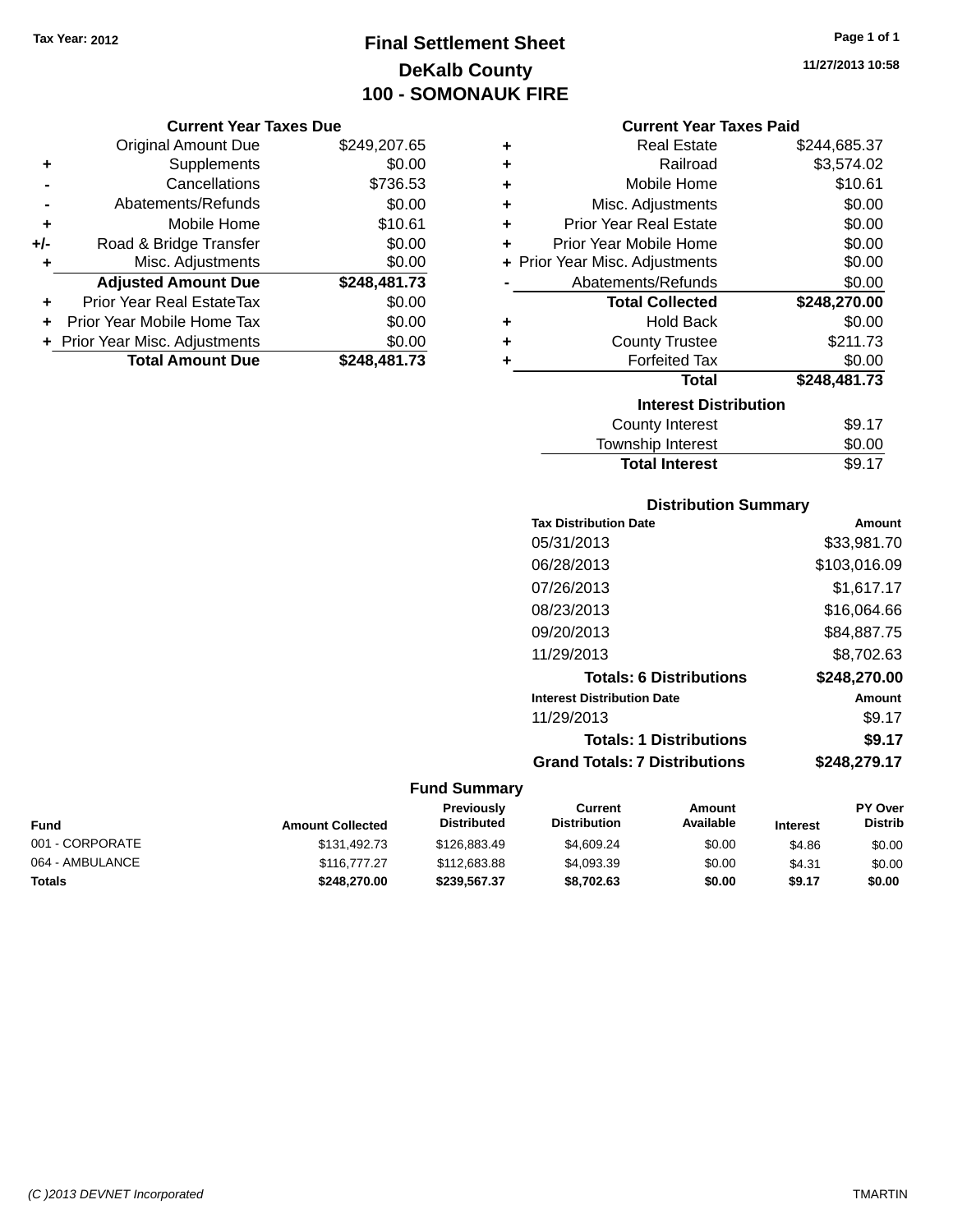# **Final Settlement Sheet Tax Year: 2012 Page 1 of 1 DeKalb County 100 - SOMONAUK FIRE**

#### **Current Year Taxes Due**

|       | <b>Original Amount Due</b>       | \$249,207.65 |
|-------|----------------------------------|--------------|
| ٠     | Supplements                      | \$0.00       |
|       | Cancellations                    | \$736.53     |
|       | Abatements/Refunds               | \$0.00       |
| ÷     | Mobile Home                      | \$10.61      |
| $+/-$ | Road & Bridge Transfer           | \$0.00       |
| ٠     | Misc. Adjustments                | \$0.00       |
|       | <b>Adjusted Amount Due</b>       | \$248,481.73 |
|       | <b>Prior Year Real EstateTax</b> | \$0.00       |
|       | Prior Year Mobile Home Tax       | \$0.00       |
|       | + Prior Year Misc. Adjustments   | \$0.00       |
|       | <b>Total Amount Due</b>          | \$248,481.73 |

| ٠ | <b>Real Estate</b>             | \$244,685.37 |
|---|--------------------------------|--------------|
| ٠ | Railroad                       | \$3,574.02   |
| ÷ | Mobile Home                    | \$10.61      |
| ٠ | Misc. Adjustments              | \$0.00       |
| ٠ | <b>Prior Year Real Estate</b>  | \$0.00       |
| ٠ | Prior Year Mobile Home         | \$0.00       |
|   | + Prior Year Misc. Adjustments | \$0.00       |
|   | Abatements/Refunds             | \$0.00       |
|   |                                |              |
|   | <b>Total Collected</b>         | \$248,270.00 |
| ٠ | <b>Hold Back</b>               | \$0.00       |
| ÷ | <b>County Trustee</b>          | \$211.73     |
| ٠ | <b>Forfeited Tax</b>           | \$0.00       |
|   | <b>Total</b>                   | \$248,481.73 |
|   | <b>Interest Distribution</b>   |              |
|   | <b>County Interest</b>         | \$9.17       |

## **Distribution Summary**

**Total Interest** \$9.17

| <b>Tax Distribution Date</b>         | Amount       |
|--------------------------------------|--------------|
| 05/31/2013                           | \$33,981.70  |
| 06/28/2013                           | \$103,016.09 |
| 07/26/2013                           | \$1,617.17   |
| 08/23/2013                           | \$16.064.66  |
| 09/20/2013                           | \$84,887.75  |
| 11/29/2013                           | \$8,702.63   |
| <b>Totals: 6 Distributions</b>       | \$248,270.00 |
| <b>Interest Distribution Date</b>    | Amount       |
| 11/29/2013                           | \$9.17       |
| <b>Totals: 1 Distributions</b>       | \$9.17       |
| <b>Grand Totals: 7 Distributions</b> | \$248.279.17 |
|                                      |              |

## **Fund Summary**

| Fund            | <b>Amount Collected</b> | <b>Previously</b><br><b>Distributed</b> | Current<br><b>Distribution</b> | Amount<br>Available | <b>Interest</b> | <b>PY Over</b><br><b>Distrib</b> |
|-----------------|-------------------------|-----------------------------------------|--------------------------------|---------------------|-----------------|----------------------------------|
| 001 - CORPORATE | \$131,492.73            | \$126,883,49                            | \$4,609.24                     | \$0.00              | \$4.86          | \$0.00                           |
| 064 - AMBULANCE | \$116,777,27            | \$112,683.88                            | \$4,093.39                     | \$0.00              | \$4.31          | \$0.00                           |
| Totals          | \$248,270.00            | \$239,567,37                            | \$8,702.63                     | \$0.00              | \$9.17          | \$0.00                           |

**11/27/2013 10:58**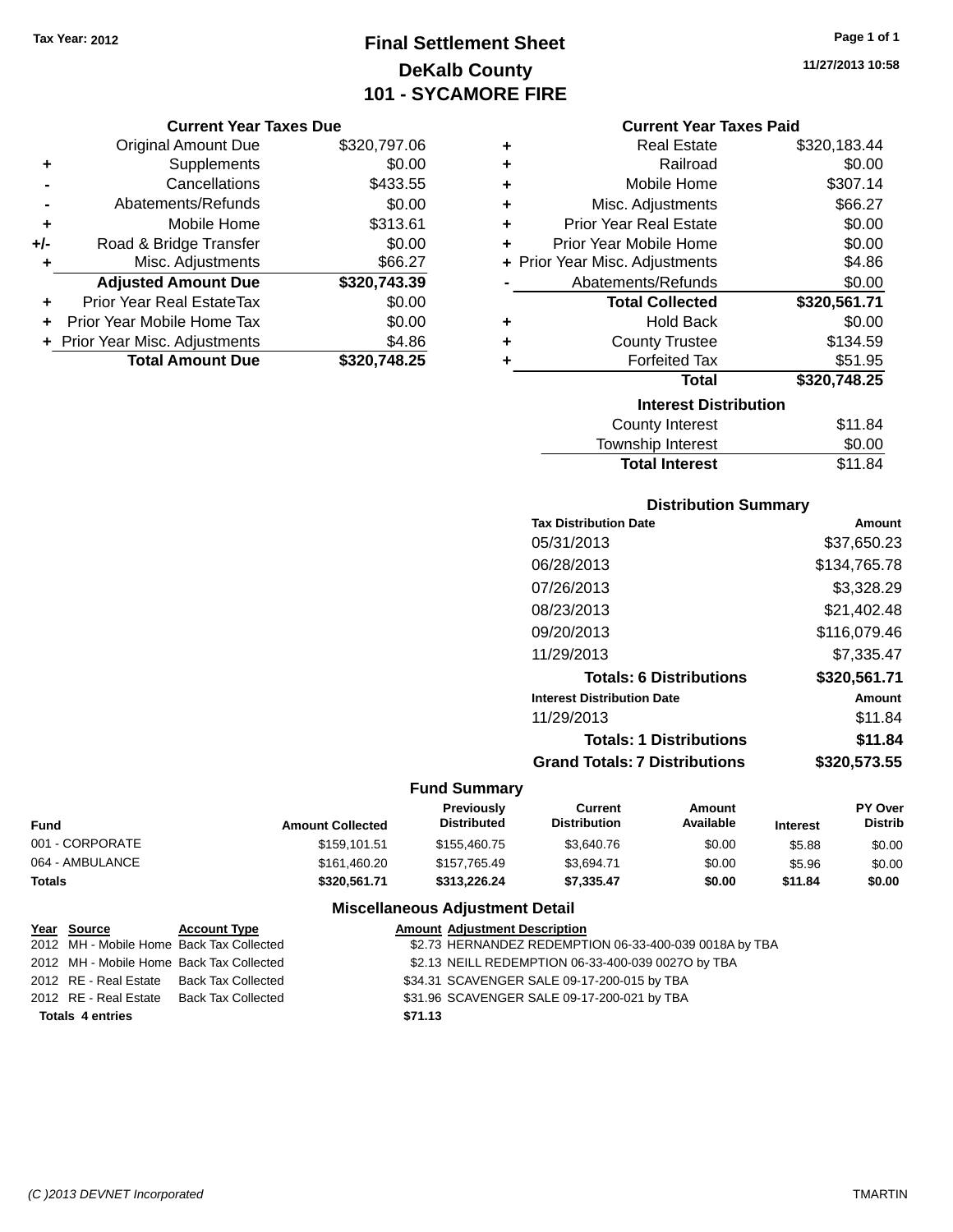# **Final Settlement Sheet Tax Year: 2012 Page 1 of 1 DeKalb County 101 - SYCAMORE FIRE**

#### **Current Year Taxes Due**

|       | <b>Original Amount Due</b>       | \$320,797.06 |
|-------|----------------------------------|--------------|
| ٠     | Supplements                      | \$0.00       |
|       | Cancellations                    | \$433.55     |
|       | Abatements/Refunds               | \$0.00       |
| ٠     | Mobile Home                      | \$313.61     |
| $+/-$ | Road & Bridge Transfer           | \$0.00       |
| ٠     | Misc. Adjustments                | \$66.27      |
|       | <b>Adjusted Amount Due</b>       | \$320,743.39 |
|       | <b>Prior Year Real EstateTax</b> | \$0.00       |
|       | Prior Year Mobile Home Tax       | \$0.00       |
|       | + Prior Year Misc. Adjustments   | \$4.86       |
|       | <b>Total Amount Due</b>          | \$320,748.25 |

| ٠ | <b>Real Estate</b>             | \$320,183.44 |
|---|--------------------------------|--------------|
| ٠ | Railroad                       | \$0.00       |
| ÷ | Mobile Home                    | \$307.14     |
| ٠ | Misc. Adjustments              | \$66.27      |
| ÷ | <b>Prior Year Real Estate</b>  | \$0.00       |
| ÷ | Prior Year Mobile Home         | \$0.00       |
|   | + Prior Year Misc. Adjustments | \$4.86       |
|   | Abatements/Refunds             | \$0.00       |
|   |                                |              |
|   | <b>Total Collected</b>         | \$320,561.71 |
| ٠ | <b>Hold Back</b>               | \$0.00       |
| ٠ | <b>County Trustee</b>          | \$134.59     |
| ٠ | <b>Forfeited Tax</b>           | \$51.95      |
|   | <b>Total</b>                   | \$320,748.25 |
|   | <b>Interest Distribution</b>   |              |
|   | <b>County Interest</b>         | \$11.84      |

## **Distribution Summary**

Total Interest \$11.84

| <b>Tax Distribution Date</b>         | Amount       |
|--------------------------------------|--------------|
| 05/31/2013                           | \$37,650.23  |
| 06/28/2013                           | \$134,765.78 |
| 07/26/2013                           | \$3,328.29   |
| 08/23/2013                           | \$21,402.48  |
| 09/20/2013                           | \$116,079.46 |
| 11/29/2013                           | \$7.335.47   |
| <b>Totals: 6 Distributions</b>       | \$320,561.71 |
| <b>Interest Distribution Date</b>    | Amount       |
| 11/29/2013                           | \$11.84      |
| <b>Totals: 1 Distributions</b>       | \$11.84      |
| <b>Grand Totals: 7 Distributions</b> | \$320.573.55 |

## **Fund Summary**

| <b>Fund</b>     | <b>Amount Collected</b> | <b>Previously</b><br><b>Distributed</b> | Current<br><b>Distribution</b> | Amount<br>Available | <b>Interest</b> | <b>PY Over</b><br><b>Distrib</b> |
|-----------------|-------------------------|-----------------------------------------|--------------------------------|---------------------|-----------------|----------------------------------|
| 001 - CORPORATE | \$159.101.51            | \$155,460.75                            | \$3,640.76                     | \$0.00              | \$5.88          | \$0.00                           |
| 064 - AMBULANCE | \$161,460.20            | \$157,765.49                            | \$3.694.71                     | \$0.00              | \$5.96          | \$0.00                           |
| <b>Totals</b>   | \$320,561.71            | \$313.226.24                            | \$7.335.47                     | \$0.00              | \$11.84         | \$0.00                           |

## **Miscellaneous Adjustment Detail**

| Year Source             | <b>Account Type</b>                      |         | <b>Amount Adjustment Description</b>                   |
|-------------------------|------------------------------------------|---------|--------------------------------------------------------|
|                         | 2012 MH - Mobile Home Back Tax Collected |         | \$2.73 HERNANDEZ REDEMPTION 06-33-400-039 0018A by TBA |
|                         | 2012 MH - Mobile Home Back Tax Collected |         | \$2.13 NEILL REDEMPTION 06-33-400-039 0027O by TBA     |
|                         | 2012 RE - Real Estate Back Tax Collected |         | \$34.31 SCAVENGER SALE 09-17-200-015 by TBA            |
| 2012 RE - Real Estate   | Back Tax Collected                       |         | \$31.96 SCAVENGER SALE 09-17-200-021 by TBA            |
| <b>Totals 4 entries</b> |                                          | \$71.13 |                                                        |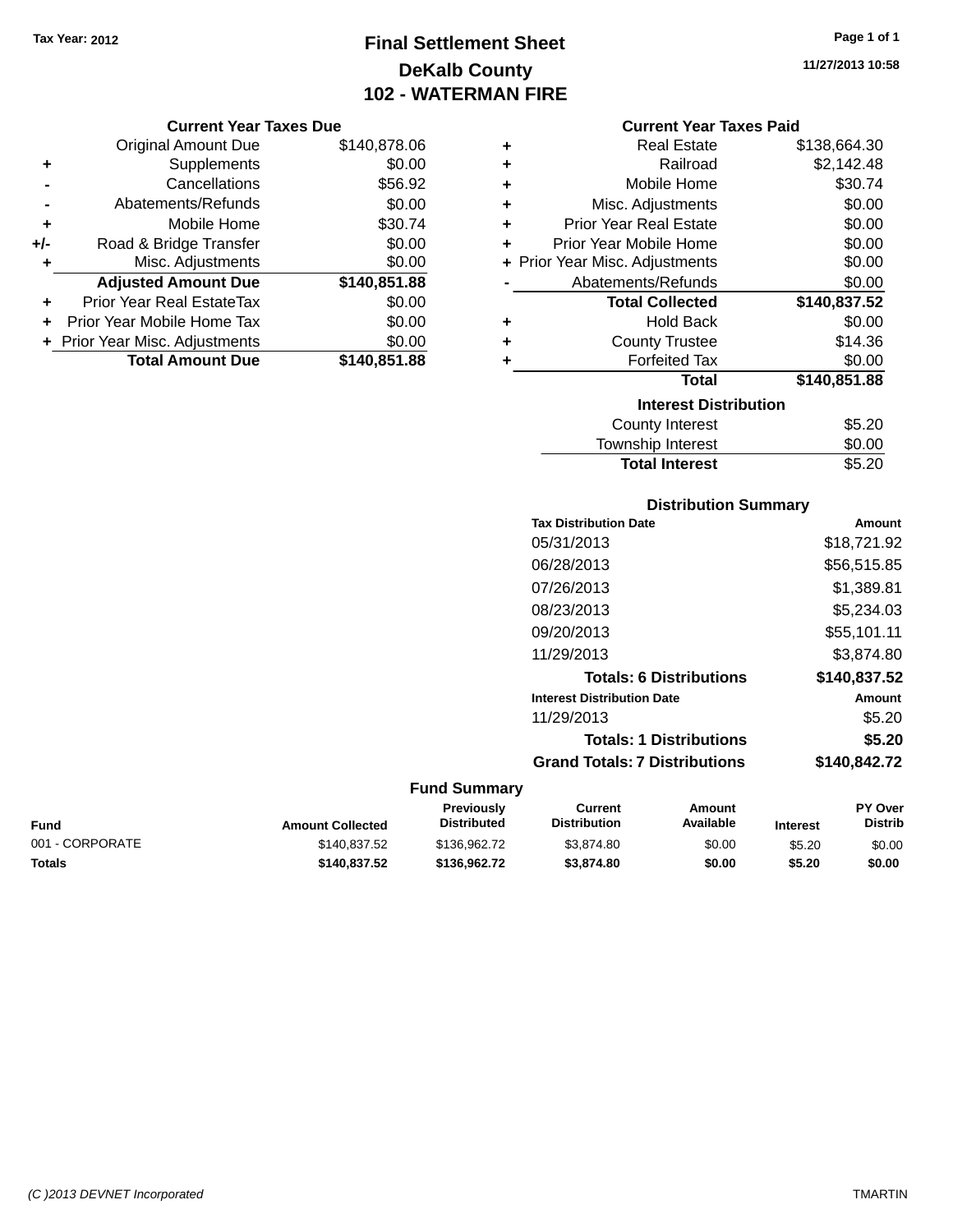**Current Year Taxes Due** Original Amount Due \$140,878.06

**Adjusted Amount Due \$140,851.88**

**Total Amount Due \$140,851.88**

**+** Supplements \$0.00 **-** Cancellations \$56.92 **-** Abatements/Refunds \$0.00 **+** Mobile Home \$30.74 **+/-** Road & Bridge Transfer \$0.00<br> **+** Misc. Adjustments \$0.00

**+** Prior Year Real EstateTax \$0.00 **+** Prior Year Mobile Home Tax \$0.00 **+ Prior Year Misc. Adjustments**  $$0.00$ 

**+** Misc. Adjustments

# **Final Settlement Sheet Tax Year: 2012 Page 1 of 1 DeKalb County 102 - WATERMAN FIRE**

**11/27/2013 10:58**

#### **Current Year Taxes Paid**

| ٠ | <b>Real Estate</b>             | \$138,664.30 |
|---|--------------------------------|--------------|
| ٠ | Railroad                       | \$2,142.48   |
| ٠ | Mobile Home                    | \$30.74      |
| ÷ | Misc. Adjustments              | \$0.00       |
| ٠ | <b>Prior Year Real Estate</b>  | \$0.00       |
| ٠ | Prior Year Mobile Home         | \$0.00       |
|   | + Prior Year Misc. Adjustments | \$0.00       |
|   | Abatements/Refunds             | \$0.00       |
|   | <b>Total Collected</b>         | \$140,837.52 |
| ٠ | <b>Hold Back</b>               | \$0.00       |
| ٠ | <b>County Trustee</b>          | \$14.36      |
| ٠ | <b>Forfeited Tax</b>           | \$0.00       |
|   | Total                          | \$140,851.88 |
|   | <b>Interest Distribution</b>   |              |
|   | <b>County Interest</b>         | \$5.20       |
|   | <b>Township Interest</b>       | \$0.00       |

## **Distribution Summary**

Total Interest \$5.20

| <b>Tax Distribution Date</b>         | Amount       |
|--------------------------------------|--------------|
| 05/31/2013                           | \$18,721.92  |
| 06/28/2013                           | \$56,515.85  |
| 07/26/2013                           | \$1,389.81   |
| 08/23/2013                           | \$5,234.03   |
| 09/20/2013                           | \$55,101.11  |
| 11/29/2013                           | \$3.874.80   |
| <b>Totals: 6 Distributions</b>       | \$140.837.52 |
| <b>Interest Distribution Date</b>    | Amount       |
| 11/29/2013                           | \$5.20       |
| <b>Totals: 1 Distributions</b>       | \$5.20       |
| <b>Grand Totals: 7 Distributions</b> | \$140,842.72 |
|                                      |              |

| Fund            | <b>Amount Collected</b> | <b>Previously</b><br><b>Distributed</b> | Current<br><b>Distribution</b> | Amount<br>Available | <b>Interest</b> | <b>PY Over</b><br><b>Distrib</b> |
|-----------------|-------------------------|-----------------------------------------|--------------------------------|---------------------|-----------------|----------------------------------|
| 001 - CORPORATE | \$140.837.52            | \$136,962.72                            | \$3.874.80                     | \$0.00              | \$5.20          | \$0.00                           |
| Totals          | \$140.837.52            | \$136,962.72                            | \$3,874.80                     | \$0.00              | \$5.20          | \$0.00                           |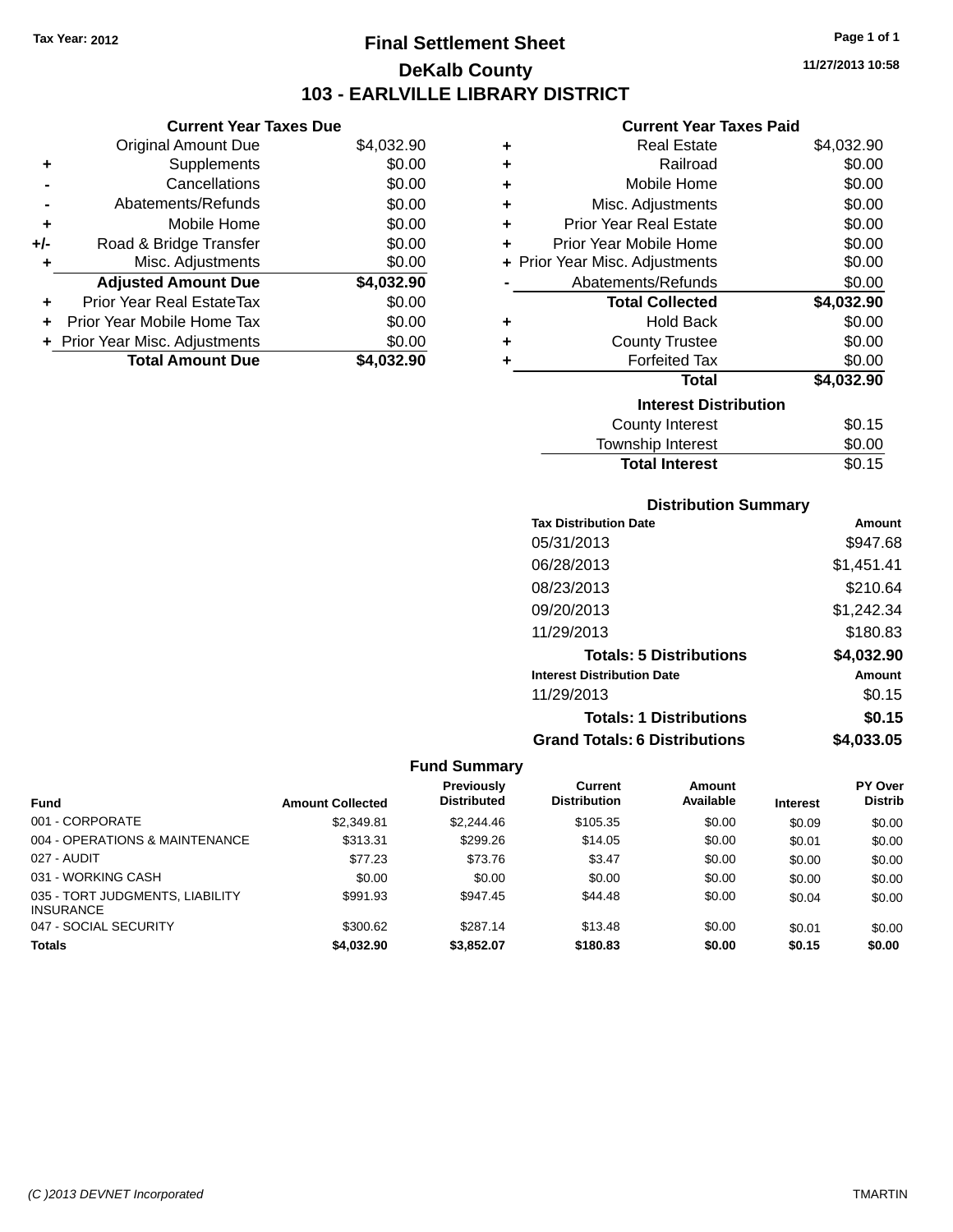# **Final Settlement Sheet Tax Year: 2012 Page 1 of 1 DeKalb County 103 - EARLVILLE LIBRARY DISTRICT**

**11/27/2013 10:58**

## **Current Year Taxes Paid**

|       | <b>Current Year Taxes Due</b>  |            |
|-------|--------------------------------|------------|
|       | <b>Original Amount Due</b>     | \$4,032.90 |
|       | Supplements                    | \$0.00     |
|       | Cancellations                  | \$0.00     |
|       | Abatements/Refunds             | \$0.00     |
| ٠     | Mobile Home                    | \$0.00     |
| $+/-$ | Road & Bridge Transfer         | \$0.00     |
| ٠     | Misc. Adjustments              | \$0.00     |
|       | <b>Adjusted Amount Due</b>     | \$4,032.90 |
|       | Prior Year Real EstateTax      | \$0.00     |
|       | Prior Year Mobile Home Tax     | \$0.00     |
|       | + Prior Year Misc. Adjustments | \$0.00     |
|       | <b>Total Amount Due</b>        | \$4.032.90 |
|       |                                |            |

| ٠ | <b>Real Estate</b>             | \$4,032.90 |
|---|--------------------------------|------------|
| ٠ | Railroad                       | \$0.00     |
| ٠ | Mobile Home                    | \$0.00     |
| ٠ | Misc. Adjustments              | \$0.00     |
| ٠ | <b>Prior Year Real Estate</b>  | \$0.00     |
| ٠ | Prior Year Mobile Home         | \$0.00     |
|   | + Prior Year Misc. Adjustments | \$0.00     |
|   | Abatements/Refunds             | \$0.00     |
|   | <b>Total Collected</b>         | \$4,032.90 |
| ٠ | <b>Hold Back</b>               | \$0.00     |
| ÷ | <b>County Trustee</b>          | \$0.00     |
| ٠ | <b>Forfeited Tax</b>           | \$0.00     |
|   | Total                          | \$4,032.90 |
|   | <b>Interest Distribution</b>   |            |
|   | <b>County Interest</b>         | \$0.15     |
|   | Township Interest              | \$0.00     |
|   | <b>Total Interest</b>          | \$0.15     |

## **Distribution Summary**

| <b>Tax Distribution Date</b>         | Amount     |
|--------------------------------------|------------|
| 05/31/2013                           | \$947.68   |
| 06/28/2013                           | \$1,451.41 |
| 08/23/2013                           | \$210.64   |
| 09/20/2013                           | \$1,242.34 |
| 11/29/2013                           | \$180.83   |
| <b>Totals: 5 Distributions</b>       | \$4,032.90 |
| <b>Interest Distribution Date</b>    | Amount     |
| 11/29/2013                           | \$0.15     |
| <b>Totals: 1 Distributions</b>       | \$0.15     |
| <b>Grand Totals: 6 Distributions</b> | \$4.033.05 |

|                                                     |                         | <b>Previously</b>  | Current             | Amount    |                 | <b>PY Over</b> |
|-----------------------------------------------------|-------------------------|--------------------|---------------------|-----------|-----------------|----------------|
| <b>Fund</b>                                         | <b>Amount Collected</b> | <b>Distributed</b> | <b>Distribution</b> | Available | <b>Interest</b> | <b>Distrib</b> |
| 001 - CORPORATE                                     | \$2,349.81              | \$2,244.46         | \$105.35            | \$0.00    | \$0.09          | \$0.00         |
| 004 - OPERATIONS & MAINTENANCE                      | \$313.31                | \$299.26           | \$14.05             | \$0.00    | \$0.01          | \$0.00         |
| 027 - AUDIT                                         | \$77.23                 | \$73.76            | \$3.47              | \$0.00    | \$0.00          | \$0.00         |
| 031 - WORKING CASH                                  | \$0.00                  | \$0.00             | \$0.00              | \$0.00    | \$0.00          | \$0.00         |
| 035 - TORT JUDGMENTS, LIABILITY<br><b>INSURANCE</b> | \$991.93                | \$947.45           | \$44.48             | \$0.00    | \$0.04          | \$0.00         |
| 047 - SOCIAL SECURITY                               | \$300.62                | \$287.14           | \$13.48             | \$0.00    | \$0.01          | \$0.00         |
| <b>Totals</b>                                       | \$4,032.90              | \$3.852.07         | \$180.83            | \$0.00    | \$0.15          | \$0.00         |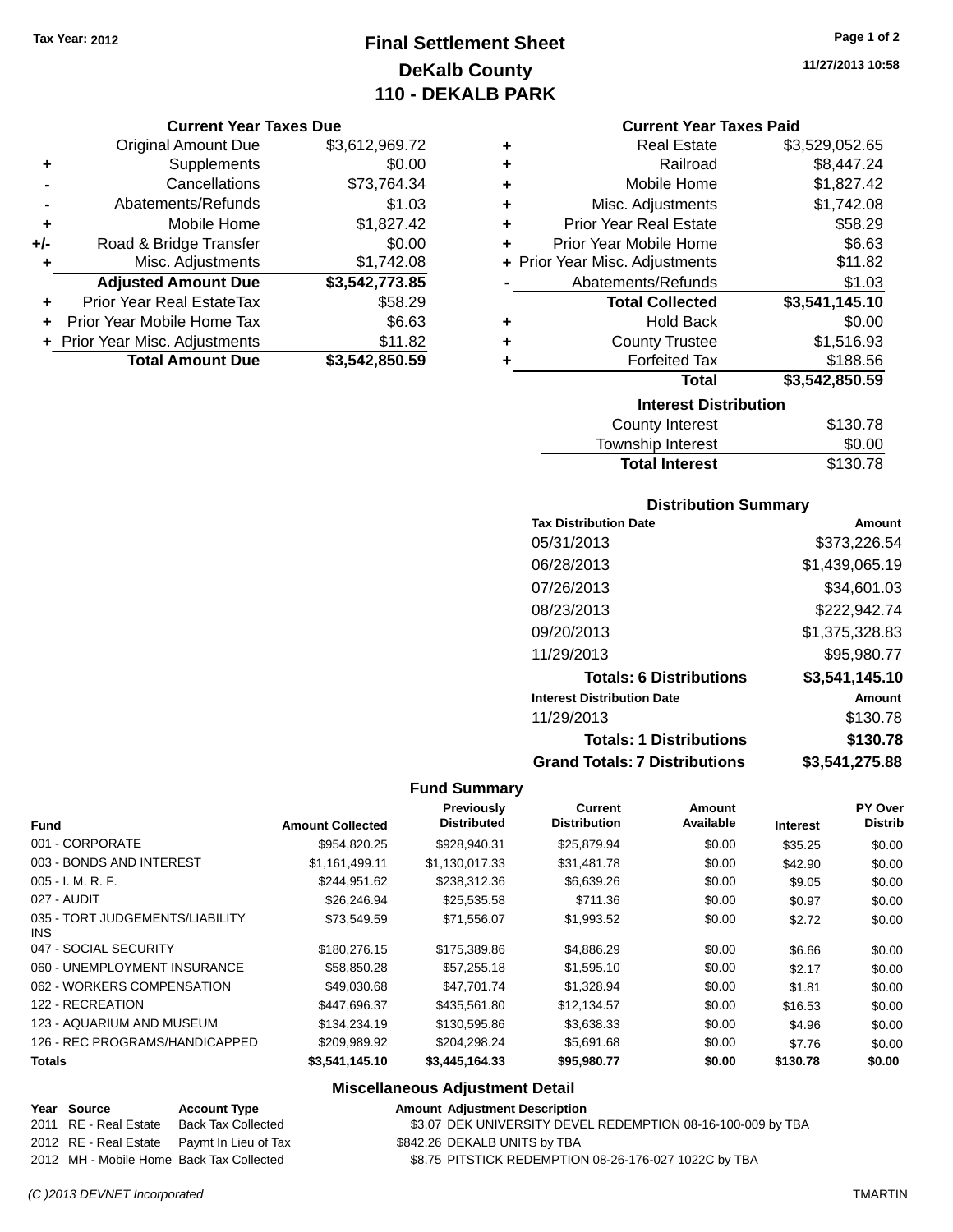# **Final Settlement Sheet Tax Year: 2012 Page 1 of 2 DeKalb County 110 - DEKALB PARK**

#### **Current Year Taxes Due**

|       | <b>Original Amount Due</b>     | \$3,612,969.72 |
|-------|--------------------------------|----------------|
| ٠     | Supplements                    | \$0.00         |
|       | Cancellations                  | \$73,764.34    |
|       | Abatements/Refunds             | \$1.03         |
| ٠     | Mobile Home                    | \$1,827.42     |
| $+/-$ | Road & Bridge Transfer         | \$0.00         |
| ٠     | Misc. Adjustments              | \$1,742.08     |
|       | <b>Adjusted Amount Due</b>     | \$3,542,773.85 |
|       | Prior Year Real EstateTax      | \$58.29        |
|       | Prior Year Mobile Home Tax     | \$6.63         |
|       | + Prior Year Misc. Adjustments | \$11.82        |
|       | <b>Total Amount Due</b>        | \$3,542,850.59 |

**11/27/2013 10:58**

#### **Current Year Taxes Paid**

| ٠ | <b>Real Estate</b>             | \$3,529,052.65 |
|---|--------------------------------|----------------|
| ٠ | Railroad                       | \$8,447.24     |
| ٠ | Mobile Home                    | \$1,827.42     |
| ÷ | Misc. Adjustments              | \$1,742.08     |
| ٠ | <b>Prior Year Real Estate</b>  | \$58.29        |
| ٠ | Prior Year Mobile Home         | \$6.63         |
|   | + Prior Year Misc. Adjustments | \$11.82        |
|   | Abatements/Refunds             | \$1.03         |
|   | <b>Total Collected</b>         | \$3,541,145.10 |
| ٠ | <b>Hold Back</b>               | \$0.00         |
| ٠ | <b>County Trustee</b>          | \$1,516.93     |
| ٠ | <b>Forfeited Tax</b>           | \$188.56       |
|   | Total                          | \$3,542,850.59 |
|   | <b>Interest Distribution</b>   |                |
|   | County Internat                | <b>C120.70</b> |

| County Interest       | \$130.78 |
|-----------------------|----------|
| Township Interest     | \$0.00   |
| <b>Total Interest</b> | \$130.78 |

#### **Distribution Summary**

| <b>Tax Distribution Date</b>         | Amount         |
|--------------------------------------|----------------|
| 05/31/2013                           | \$373,226.54   |
| 06/28/2013                           | \$1,439,065.19 |
| 07/26/2013                           | \$34,601.03    |
| 08/23/2013                           | \$222,942.74   |
| 09/20/2013                           | \$1,375,328.83 |
| 11/29/2013                           | \$95,980.77    |
| <b>Totals: 6 Distributions</b>       | \$3,541,145.10 |
| <b>Interest Distribution Date</b>    | Amount         |
| 11/29/2013                           | \$130.78       |
| <b>Totals: 1 Distributions</b>       | \$130.78       |
| <b>Grand Totals: 7 Distributions</b> | \$3,541,275.88 |

## **Fund Summary**

| <b>Fund</b>                                   | <b>Amount Collected</b> | Previously<br><b>Distributed</b> | <b>Current</b><br><b>Distribution</b> | Amount<br>Available | <b>Interest</b> | PY Over<br><b>Distrib</b> |
|-----------------------------------------------|-------------------------|----------------------------------|---------------------------------------|---------------------|-----------------|---------------------------|
| 001 - CORPORATE                               | \$954,820.25            | \$928,940.31                     | \$25,879.94                           | \$0.00              | \$35.25         | \$0.00                    |
| 003 - BONDS AND INTEREST                      | \$1,161,499.11          | \$1,130,017.33                   | \$31,481.78                           | \$0.00              | \$42.90         | \$0.00                    |
| $005 - I. M. R. F.$                           | \$244,951.62            | \$238,312.36                     | \$6,639.26                            | \$0.00              | \$9.05          | \$0.00                    |
| 027 - AUDIT                                   | \$26,246.94             | \$25,535.58                      | \$711.36                              | \$0.00              | \$0.97          | \$0.00                    |
| 035 - TORT JUDGEMENTS/LIABILITY<br><b>INS</b> | \$73,549.59             | \$71,556.07                      | \$1,993.52                            | \$0.00              | \$2.72          | \$0.00                    |
| 047 - SOCIAL SECURITY                         | \$180,276.15            | \$175,389.86                     | \$4,886.29                            | \$0.00              | \$6.66          | \$0.00                    |
| 060 - UNEMPLOYMENT INSURANCE                  | \$58,850.28             | \$57,255,18                      | \$1,595.10                            | \$0.00              | \$2.17          | \$0.00                    |
| 062 - WORKERS COMPENSATION                    | \$49,030.68             | \$47.701.74                      | \$1,328.94                            | \$0.00              | \$1.81          | \$0.00                    |
| 122 - RECREATION                              | \$447.696.37            | \$435,561,80                     | \$12,134.57                           | \$0.00              | \$16.53         | \$0.00                    |
| 123 - AQUARIUM AND MUSEUM                     | \$134,234.19            | \$130,595.86                     | \$3,638.33                            | \$0.00              | \$4.96          | \$0.00                    |
| 126 - REC PROGRAMS/HANDICAPPED                | \$209,989.92            | \$204.298.24                     | \$5.691.68                            | \$0.00              | \$7.76          | \$0.00                    |
| <b>Totals</b>                                 | \$3,541,145.10          | \$3,445,164.33                   | \$95,980.77                           | \$0.00              | \$130.78        | \$0.00                    |

## **Miscellaneous Adjustment Detail**

|  | Year Source           | <b>Account Type</b>                        |
|--|-----------------------|--------------------------------------------|
|  | 2011 RE - Real Estate | <b>Back Tax Collected</b>                  |
|  |                       | 2012 RE - Real Estate Paymt In Lieu of Tax |
|  |                       | 2012 MH - Mobile Home Back Tax Collected   |

**<u>Amount Adjustment Description</u>** \$3.07 DEK UNIVERSITY DEVEL REDEMPTION 08-16-100-009 by TBA

2012 x 5842.26 DEKALB UNITS by TBA

\$8.75 PITSTICK REDEMPTION 08-26-176-027 1022C by TBA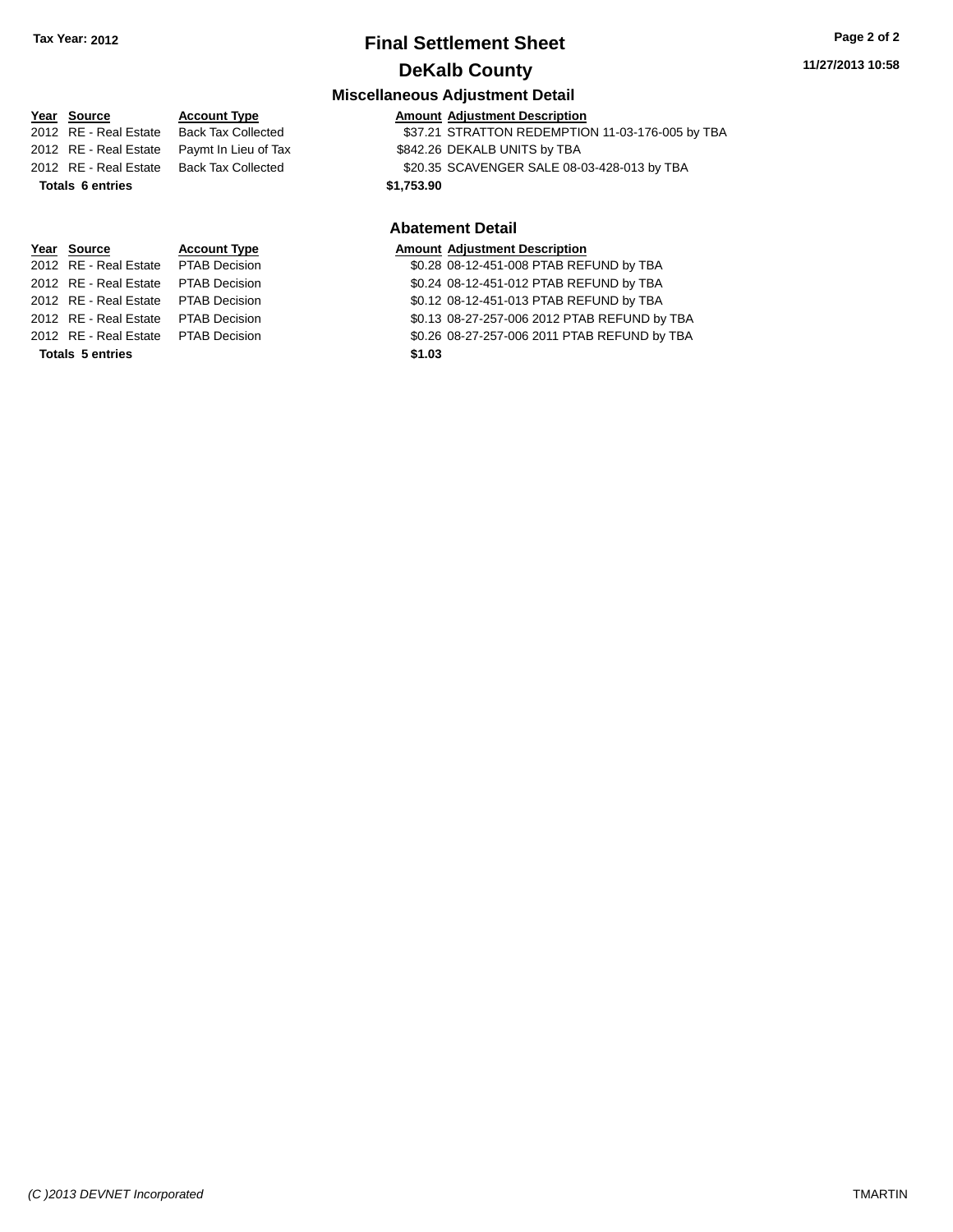## **Final Settlement Sheet Tax Year: 2012 Page 2 of 2 DeKalb County**

#### **11/27/2013 10:58**

#### **Miscellaneous Adjustment Detail**

| Year Source             | <b>Account Type</b>       | <b>Amount Adjustment Description</b>             |  |
|-------------------------|---------------------------|--------------------------------------------------|--|
| 2012 RE - Real Estate   | <b>Back Tax Collected</b> | \$37.21 STRATTON REDEMPTION 11-03-176-005 by TBA |  |
| 2012 RE - Real Estate   | Paymt In Lieu of Tax      | \$842.26 DEKALB UNITS by TBA                     |  |
| 2012 RE - Real Estate   | <b>Back Tax Collected</b> | \$20.35 SCAVENGER SALE 08-03-428-013 by TBA      |  |
| <b>Totals 6 entries</b> |                           | \$1,753.90                                       |  |
|                         |                           | <b>Abatement Detail</b>                          |  |

#### **Year Source Account Type Amount Adjustment Description**<br>2012 RE - Real Estate PTAB Decision **Amount 1998** 12-451-008 PTAB REF \$0.28 08-12-451-008 PTAB REFUND by TBA

2012 RE - Real Estate PTAB Decision \$0.24 08-12-451-012 PTAB REFUND by TBA 2012 RE - Real Estate PTAB Decision \$0.12 08-12-451-013 PTAB REFUND by TBA 2012 RE - Real Estate PTAB Decision \$0.13 08-27-257-006 2012 PTAB REFUND by TBA 2012 RE - Real Estate PTAB Decision \$0.26 08-27-257-006 2011 PTAB REFUND by TBA

## **Totals 5 entries \$1.03**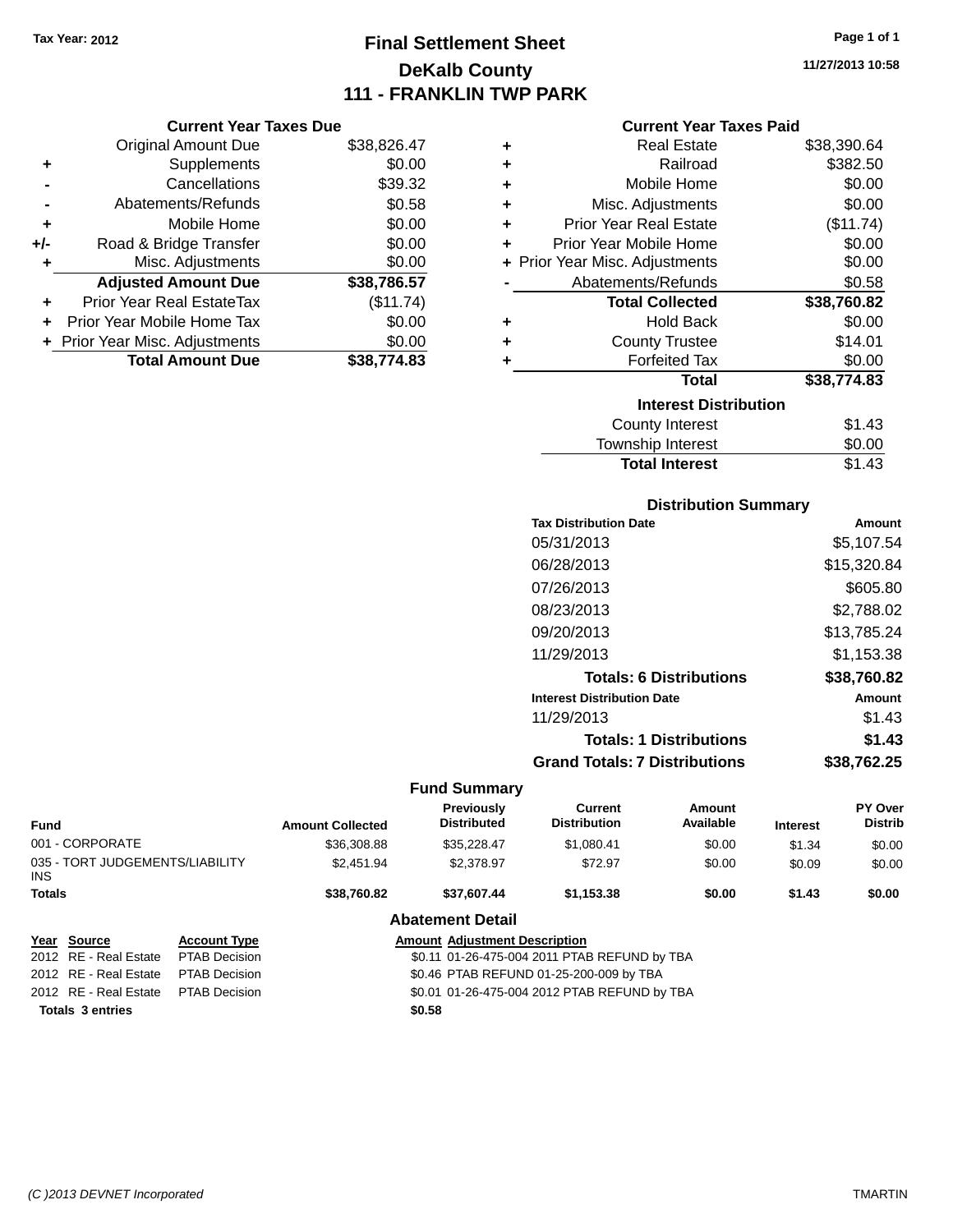# **Final Settlement Sheet Tax Year: 2012 Page 1 of 1 DeKalb County 111 - FRANKLIN TWP PARK**

**11/27/2013 10:58**

#### **Current Year Taxes Paid**

|     | <b>Current Year Taxes Due</b>  |             |
|-----|--------------------------------|-------------|
|     | <b>Original Amount Due</b>     | \$38,826.47 |
| ٠   | Supplements                    | \$0.00      |
|     | Cancellations                  | \$39.32     |
|     | Abatements/Refunds             | \$0.58      |
| ٠   | Mobile Home                    | \$0.00      |
| +/- | Road & Bridge Transfer         | \$0.00      |
| ٠   | Misc. Adjustments              | \$0.00      |
|     | <b>Adjusted Amount Due</b>     | \$38,786.57 |
|     | Prior Year Real EstateTax      | (\$11.74)   |
|     | Prior Year Mobile Home Tax     | \$0.00      |
|     | + Prior Year Misc. Adjustments | \$0.00      |
|     | <b>Total Amount Due</b>        | \$38.774.83 |

| ٠ | Real Estate                    | \$38,390.64 |
|---|--------------------------------|-------------|
| ٠ | Railroad                       | \$382.50    |
| ٠ | Mobile Home                    | \$0.00      |
| ÷ | Misc. Adjustments              | \$0.00      |
| ٠ | <b>Prior Year Real Estate</b>  | (\$11.74)   |
| ٠ | Prior Year Mobile Home         | \$0.00      |
|   | + Prior Year Misc. Adjustments | \$0.00      |
|   | Abatements/Refunds             | \$0.58      |
|   | <b>Total Collected</b>         | \$38,760.82 |
| ٠ | Hold Back                      | \$0.00      |
| ٠ | <b>County Trustee</b>          | \$14.01     |
| ٠ | <b>Forfeited Tax</b>           | \$0.00      |
|   | <b>Total</b>                   | \$38,774.83 |
|   | <b>Interest Distribution</b>   |             |
|   | <b>County Interest</b>         | \$1.43      |
|   | <b>Township Interest</b>       | \$0.00      |
|   | <b>Total Interest</b>          | \$1.43      |

| <b>Distribution Summary</b>          |             |
|--------------------------------------|-------------|
| <b>Tax Distribution Date</b>         | Amount      |
| 05/31/2013                           | \$5.107.54  |
| 06/28/2013                           | \$15,320.84 |
| 07/26/2013                           | \$605.80    |
| 08/23/2013                           | \$2.788.02  |
| 09/20/2013                           | \$13,785.24 |
| 11/29/2013                           | \$1.153.38  |
| <b>Totals: 6 Distributions</b>       | \$38,760.82 |
| <b>Interest Distribution Date</b>    | Amount      |
| 11/29/2013                           | \$1.43      |
| <b>Totals: 1 Distributions</b>       | \$1.43      |
| <b>Grand Totals: 7 Distributions</b> | \$38.762.25 |

## **Fund Summary**

| <b>Fund</b>                                   |                       |                      | <b>Amount Collected</b>                      | <b>Previously</b><br><b>Distributed</b> | <b>Current</b><br><b>Distribution</b> | Amount<br>Available | <b>Interest</b> | <b>PY Over</b><br><b>Distrib</b> |
|-----------------------------------------------|-----------------------|----------------------|----------------------------------------------|-----------------------------------------|---------------------------------------|---------------------|-----------------|----------------------------------|
| 001 - CORPORATE                               |                       | \$36,308.88          | \$35,228.47                                  | \$1,080.41                              | \$0.00                                | \$1.34              | \$0.00          |                                  |
| 035 - TORT JUDGEMENTS/LIABILITY<br>INS.       |                       | \$2.451.94           | \$2,378.97                                   | \$72.97                                 | \$0.00                                | \$0.09              | \$0.00          |                                  |
| <b>Totals</b>                                 |                       | \$38,760.82          | \$37,607.44                                  | \$1,153.38                              | \$0.00                                | \$1.43              | \$0.00          |                                  |
|                                               |                       |                      |                                              | <b>Abatement Detail</b>                 |                                       |                     |                 |                                  |
|                                               | Year Source           | <b>Account Type</b>  |                                              | <b>Amount Adjustment Description</b>    |                                       |                     |                 |                                  |
|                                               | 2012 RE - Real Estate | <b>PTAB Decision</b> | \$0.11 01-26-475-004 2011 PTAB REFUND by TBA |                                         |                                       |                     |                 |                                  |
|                                               | 2012 RE - Real Estate | <b>PTAB Decision</b> | \$0.46 PTAB REFUND 01-25-200-009 by TBA      |                                         |                                       |                     |                 |                                  |
| 2012 RE - Real Estate<br><b>PTAB Decision</b> |                       |                      | \$0.01 01-26-475-004 2012 PTAB REFUND by TBA |                                         |                                       |                     |                 |                                  |

**Totals 3 entries \$0.58**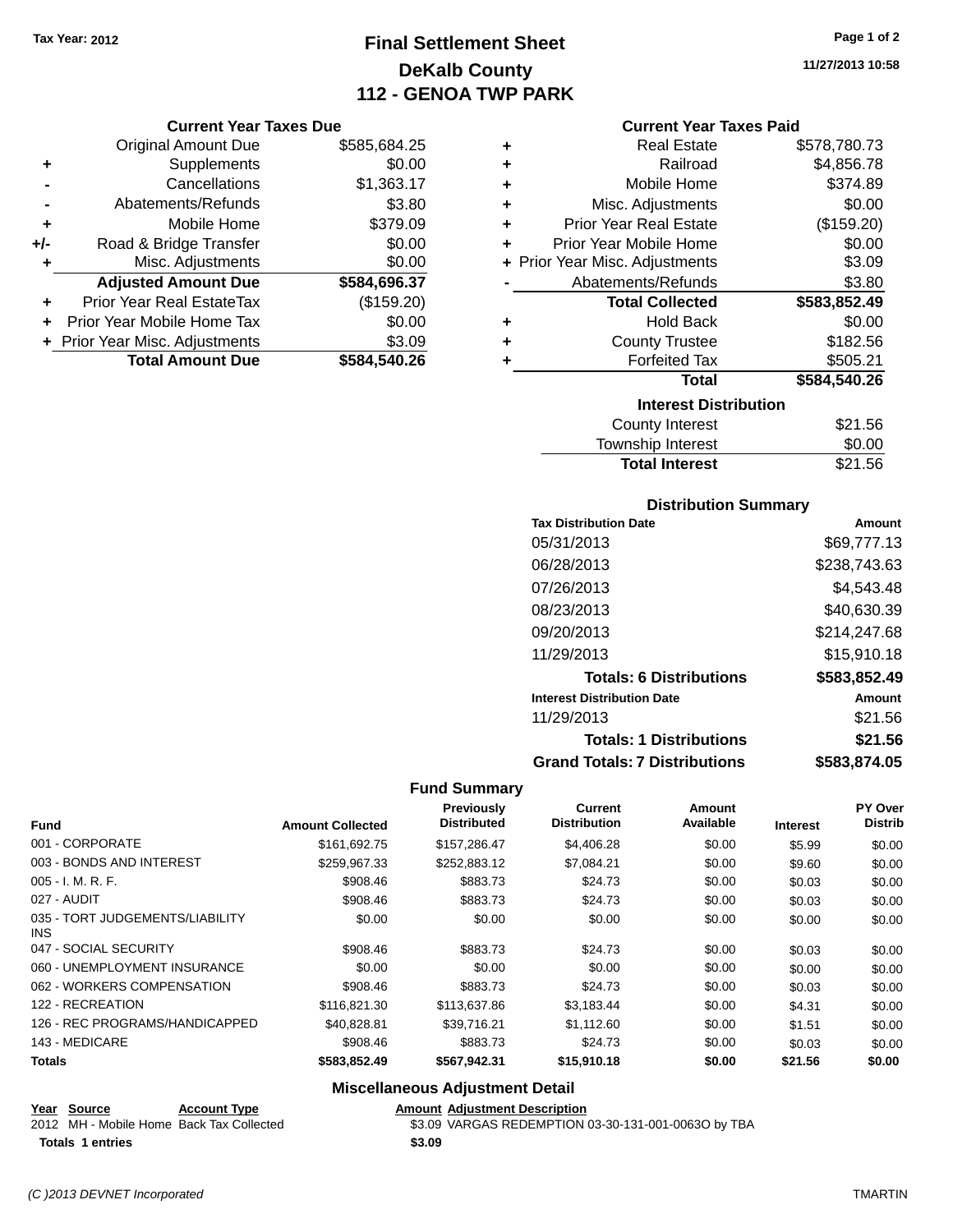**-** Abatements/Refunds **+** Mobile Home **+/-** Road & Bridge Transfer **+** Misc. Adjustments

**Current Year Taxes Due**

# **Final Settlement Sheet Tax Year: 2012 Page 1 of 2 DeKalb County 112 - GENOA TWP PARK**

**11/27/2013 10:58**

### **Current Year Taxes Paid**

|                | VAN VIII TVAI TAAVJ PAV          |              |   | odhoni Todh Taxoo Fala         |              |
|----------------|----------------------------------|--------------|---|--------------------------------|--------------|
|                | <b>Original Amount Due</b>       | \$585,684.25 | ٠ | <b>Real Estate</b>             | \$578,780.73 |
| ٠              | Supplements                      | \$0.00       | ٠ | Railroad                       | \$4,856.78   |
| $\blacksquare$ | Cancellations                    | \$1,363.17   | ٠ | Mobile Home                    | \$374.89     |
|                | Abatements/Refunds               | \$3.80       | ٠ | Misc. Adjustments              | \$0.00       |
| ٠              | Mobile Home                      | \$379.09     | ٠ | <b>Prior Year Real Estate</b>  | (\$159.20)   |
| I-             | Road & Bridge Transfer           | \$0.00       | ٠ | Prior Year Mobile Home         | \$0.00       |
| ٠              | Misc. Adjustments                | \$0.00       |   | + Prior Year Misc. Adjustments | \$3.09       |
|                | <b>Adjusted Amount Due</b>       | \$584,696.37 |   | Abatements/Refunds             | \$3.80       |
| ÷              | <b>Prior Year Real EstateTax</b> | (\$159.20)   |   | <b>Total Collected</b>         | \$583,852.49 |
|                | + Prior Year Mobile Home Tax     | \$0.00       | ٠ | <b>Hold Back</b>               | \$0.00       |
|                | + Prior Year Misc. Adjustments   | \$3.09       | ٠ | <b>County Trustee</b>          | \$182.56     |
|                | <b>Total Amount Due</b>          | \$584,540.26 |   | <b>Forfeited Tax</b>           | \$505.21     |
|                |                                  |              |   | <b>Total</b>                   | \$584,540.26 |
|                |                                  |              |   | <b>Interest Distribution</b>   |              |
|                |                                  |              |   | County Interest                | \$21.56      |

| <b>County Interest</b> | \$21.56 |
|------------------------|---------|
| Township Interest      | \$0.00  |
| <b>Total Interest</b>  | \$21.56 |
|                        |         |

#### **Distribution Summary**

| <b>Tax Distribution Date</b>         | Amount       |
|--------------------------------------|--------------|
| 05/31/2013                           | \$69,777.13  |
| 06/28/2013                           | \$238,743.63 |
| 07/26/2013                           | \$4,543.48   |
| 08/23/2013                           | \$40,630.39  |
| 09/20/2013                           | \$214,247.68 |
| 11/29/2013                           | \$15,910.18  |
| <b>Totals: 6 Distributions</b>       | \$583,852.49 |
| <b>Interest Distribution Date</b>    | Amount       |
| 11/29/2013                           | \$21.56      |
| <b>Totals: 1 Distributions</b>       | \$21.56      |
| <b>Grand Totals: 7 Distributions</b> | \$583.874.05 |

#### **Fund Summary**

| <b>Fund</b>                                   | <b>Amount Collected</b> | Previously<br><b>Distributed</b> | <b>Current</b><br><b>Distribution</b> | Amount<br>Available | <b>Interest</b> | PY Over<br><b>Distrib</b> |
|-----------------------------------------------|-------------------------|----------------------------------|---------------------------------------|---------------------|-----------------|---------------------------|
| 001 - CORPORATE                               | \$161.692.75            | \$157,286.47                     | \$4,406.28                            | \$0.00              | \$5.99          | \$0.00                    |
| 003 - BONDS AND INTEREST                      | \$259.967.33            | \$252,883.12                     | \$7,084.21                            | \$0.00              | \$9.60          | \$0.00                    |
| $005 - I. M. R. F.$                           | \$908.46                | \$883.73                         | \$24.73                               | \$0.00              | \$0.03          | \$0.00                    |
| 027 - AUDIT                                   | \$908.46                | \$883.73                         | \$24.73                               | \$0.00              | \$0.03          | \$0.00                    |
| 035 - TORT JUDGEMENTS/LIABILITY<br><b>INS</b> | \$0.00                  | \$0.00                           | \$0.00                                | \$0.00              | \$0.00          | \$0.00                    |
| 047 - SOCIAL SECURITY                         | \$908.46                | \$883.73                         | \$24.73                               | \$0.00              | \$0.03          | \$0.00                    |
| 060 - UNEMPLOYMENT INSURANCE                  | \$0.00                  | \$0.00                           | \$0.00                                | \$0.00              | \$0.00          | \$0.00                    |
| 062 - WORKERS COMPENSATION                    | \$908.46                | \$883.73                         | \$24.73                               | \$0.00              | \$0.03          | \$0.00                    |
| 122 - RECREATION                              | \$116,821.30            | \$113,637.86                     | \$3,183.44                            | \$0.00              | \$4.31          | \$0.00                    |
| 126 - REC PROGRAMS/HANDICAPPED                | \$40.828.81             | \$39.716.21                      | \$1.112.60                            | \$0.00              | \$1.51          | \$0.00                    |
| 143 - MEDICARE                                | \$908.46                | \$883.73                         | \$24.73                               | \$0.00              | \$0.03          | \$0.00                    |
| <b>Totals</b>                                 | \$583,852.49            | \$567,942.31                     | \$15,910.18                           | \$0.00              | \$21.56         | \$0.00                    |

## **Miscellaneous Adjustment Detail**

**Year Source Account Type Amount Adjustment Description**

2012 MH - Mobile Home Back Tax Collected \$3.09 VARGAS REDEMPTION 03-30-131-001-0063O by TBA

**Totals 1 entries \$3.09**

*(C )2013 DEVNET Incorporated* TMARTIN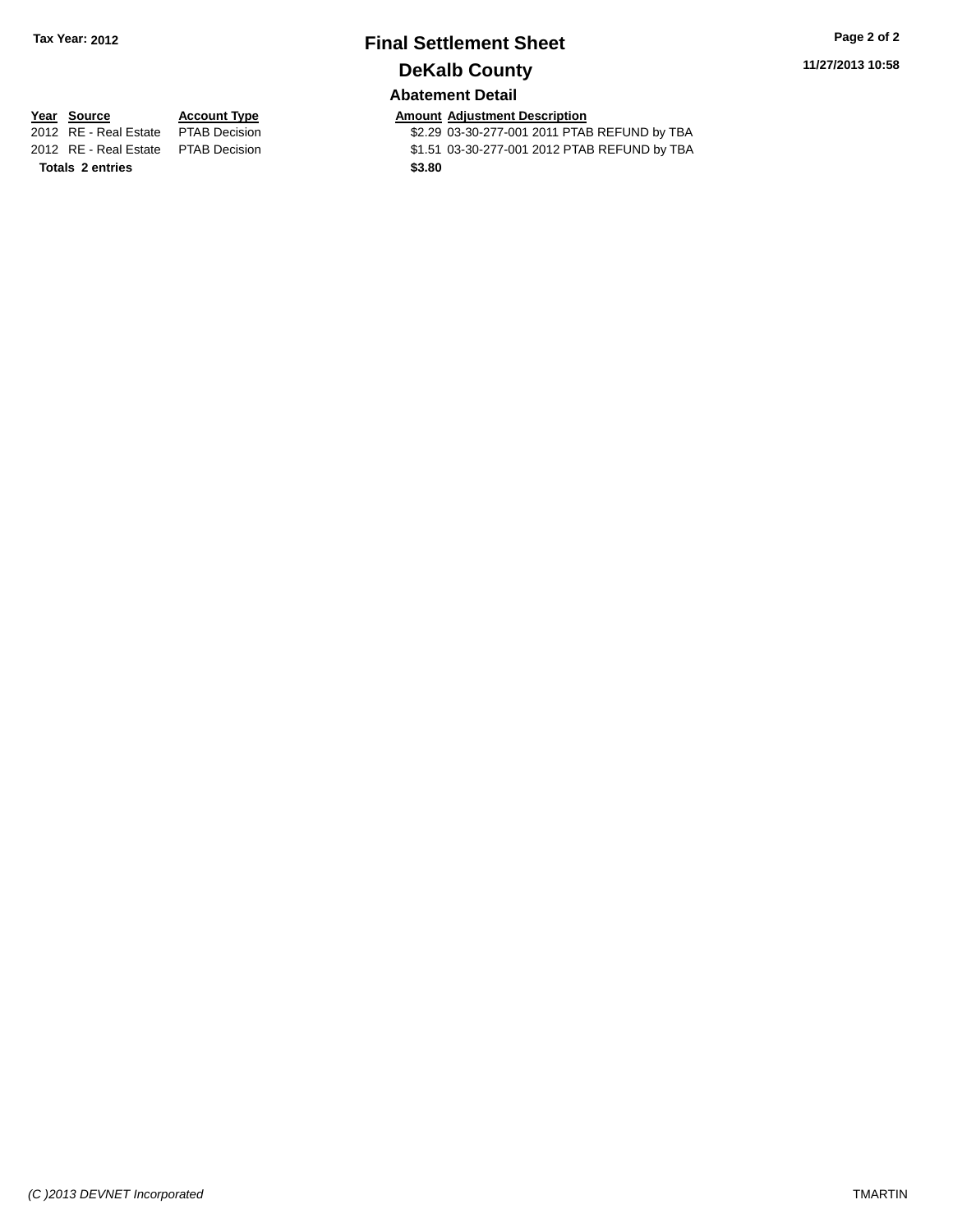# **Final Settlement Sheet Tax Year: 2012 Page 2 of 2 DeKalb County**

**11/27/2013 10:58**

## **Abatement Detail**

\$2.29 03-30-277-001 2011 PTAB REFUND by TBA 2012 RE - Real Estate PTAB Decision \$1.51 03-30-277-001 2012 PTAB REFUND by TBA

**Year Source Account Type Account Type Amount Adjustment Description**<br>2012 RE - Real Estate PTAB Decision **1991 12011 12011 12011 12011** 

**Totals 2 entries \$3.80**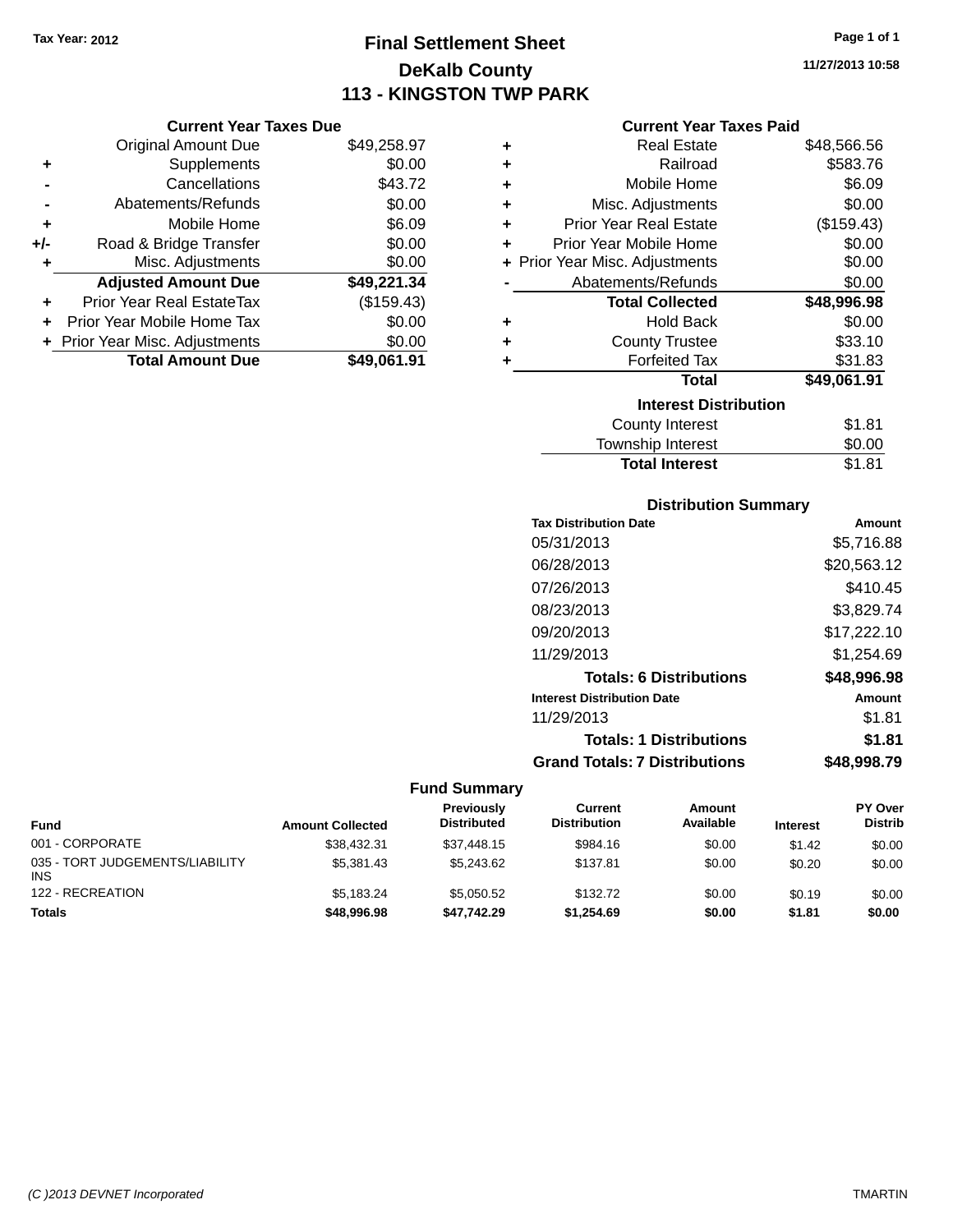# **Final Settlement Sheet Tax Year: 2012 Page 1 of 1 DeKalb County 113 - KINGSTON TWP PARK**

**11/27/2013 10:58**

#### **Current Year Taxes Paid**

|     | <b>Current Year Taxes Due</b>    |             |
|-----|----------------------------------|-------------|
|     | <b>Original Amount Due</b>       | \$49,258.97 |
| ٠   | Supplements                      | \$0.00      |
|     | Cancellations                    | \$43.72     |
|     | Abatements/Refunds               | \$0.00      |
| ٠   | Mobile Home                      | \$6.09      |
| +/- | Road & Bridge Transfer           | \$0.00      |
| ٠   | Misc. Adjustments                | \$0.00      |
|     | <b>Adjusted Amount Due</b>       | \$49,221.34 |
| ٠   | <b>Prior Year Real EstateTax</b> | (\$159.43)  |
| ÷   | Prior Year Mobile Home Tax       | \$0.00      |
|     | + Prior Year Misc. Adjustments   | \$0.00      |
|     | <b>Total Amount Due</b>          | \$49.061.91 |

| ٠ | <b>Real Estate</b>             | \$48,566.56 |
|---|--------------------------------|-------------|
| ٠ | Railroad                       | \$583.76    |
| ÷ | Mobile Home                    | \$6.09      |
| ÷ | Misc. Adjustments              | \$0.00      |
| ٠ | <b>Prior Year Real Estate</b>  | (\$159.43)  |
| ٠ | Prior Year Mobile Home         | \$0.00      |
|   | + Prior Year Misc. Adjustments | \$0.00      |
|   | Abatements/Refunds             | \$0.00      |
|   | <b>Total Collected</b>         | \$48,996.98 |
| ٠ | <b>Hold Back</b>               | \$0.00      |
| ٠ | <b>County Trustee</b>          | \$33.10     |
| ٠ | <b>Forfeited Tax</b>           | \$31.83     |
|   | Total                          | \$49,061.91 |
|   | <b>Interest Distribution</b>   |             |
|   | <b>County Interest</b>         | \$1.81      |
|   | <b>Township Interest</b>       | \$0.00      |
|   | <b>Total Interest</b>          | \$1.81      |

# **Distribution Summary**

| <b>Tax Distribution Date</b>         | Amount      |
|--------------------------------------|-------------|
| 05/31/2013                           | \$5,716.88  |
| 06/28/2013                           | \$20,563.12 |
| 07/26/2013                           | \$410.45    |
| 08/23/2013                           | \$3,829.74  |
| 09/20/2013                           | \$17,222.10 |
| 11/29/2013                           | \$1,254.69  |
| <b>Totals: 6 Distributions</b>       | \$48,996.98 |
| <b>Interest Distribution Date</b>    | Amount      |
| 11/29/2013                           | \$1.81      |
| <b>Totals: 1 Distributions</b>       | \$1.81      |
| <b>Grand Totals: 7 Distributions</b> | \$48.998.79 |

| <b>Fund</b>                                   | <b>Amount Collected</b> | Previously<br><b>Distributed</b> | Current<br><b>Distribution</b> | Amount<br>Available | <b>Interest</b> | PY Over<br><b>Distrib</b> |
|-----------------------------------------------|-------------------------|----------------------------------|--------------------------------|---------------------|-----------------|---------------------------|
| 001 - CORPORATE                               | \$38,432.31             | \$37,448.15                      | \$984.16                       | \$0.00              | \$1.42          | \$0.00                    |
| 035 - TORT JUDGEMENTS/LIABILITY<br><b>INS</b> | \$5,381.43              | \$5,243,62                       | \$137.81                       | \$0.00              | \$0.20          | \$0.00                    |
| 122 - RECREATION                              | \$5.183.24              | \$5.050.52                       | \$132.72                       | \$0.00              | \$0.19          | \$0.00                    |
| <b>Totals</b>                                 | \$48,996.98             | \$47.742.29                      | \$1.254.69                     | \$0.00              | \$1.81          | \$0.00                    |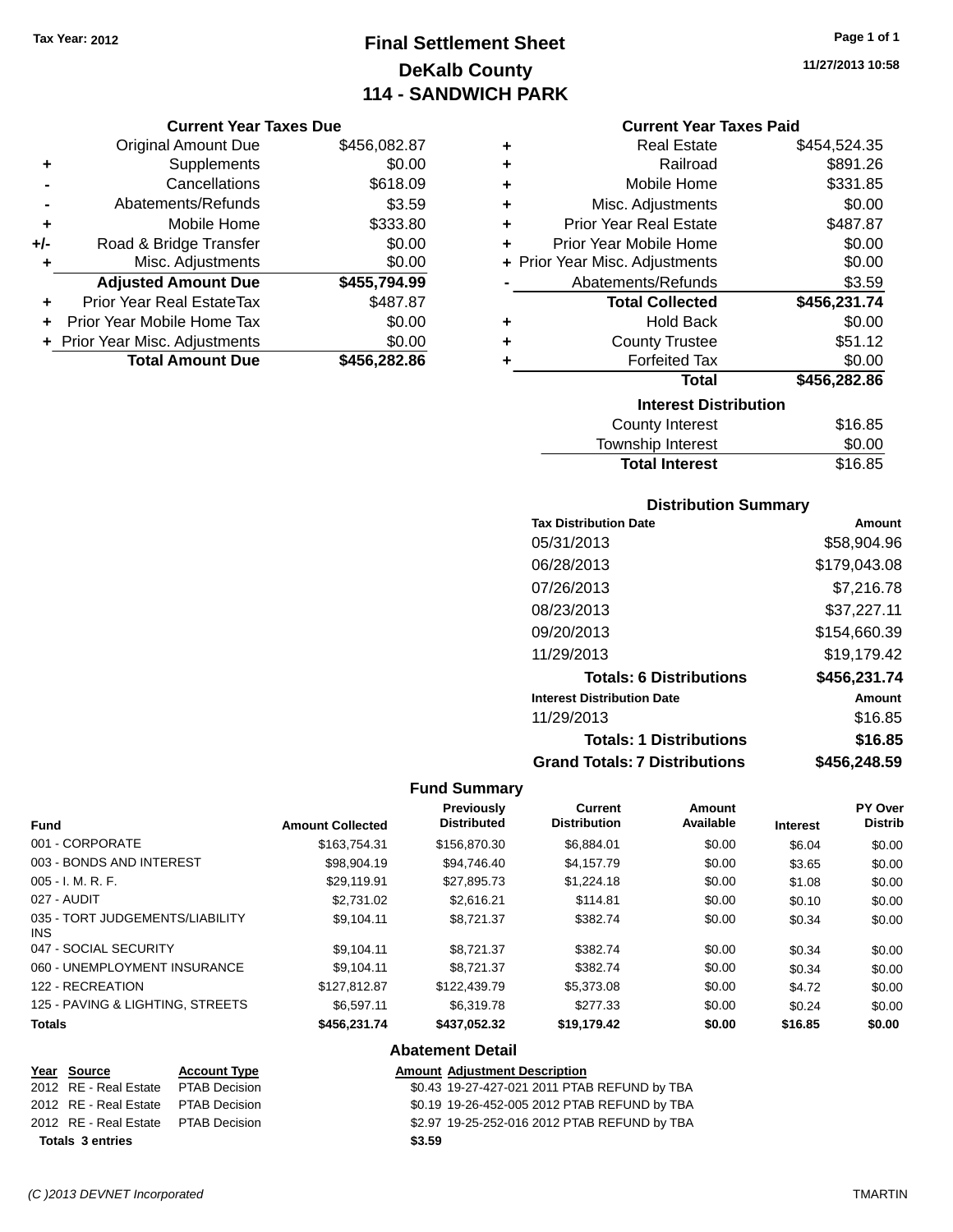# **Final Settlement Sheet Tax Year: 2012 Page 1 of 1 DeKalb County 114 - SANDWICH PARK**

#### **Current Year Taxes Due**

|       | <b>Original Amount Due</b>       | \$456,082.87 |
|-------|----------------------------------|--------------|
| ٠     | Supplements                      | \$0.00       |
|       | Cancellations                    | \$618.09     |
|       | Abatements/Refunds               | \$3.59       |
| ٠     | Mobile Home                      | \$333.80     |
| $+/-$ | Road & Bridge Transfer           | \$0.00       |
| ٠     | Misc. Adjustments                | \$0.00       |
|       | <b>Adjusted Amount Due</b>       | \$455,794.99 |
|       | <b>Prior Year Real EstateTax</b> | \$487.87     |
|       | Prior Year Mobile Home Tax       | \$0.00       |
|       | + Prior Year Misc. Adjustments   | \$0.00       |
|       | <b>Total Amount Due</b>          | \$456,282.86 |

| ٠ | <b>Real Estate</b>             | \$454,524.35 |
|---|--------------------------------|--------------|
| ÷ | Railroad                       | \$891.26     |
| ٠ | Mobile Home                    | \$331.85     |
| ٠ | Misc. Adjustments              | \$0.00       |
| ÷ | <b>Prior Year Real Estate</b>  | \$487.87     |
| ÷ | Prior Year Mobile Home         | \$0.00       |
|   | + Prior Year Misc. Adjustments | \$0.00       |
|   | Abatements/Refunds             | \$3.59       |
|   | <b>Total Collected</b>         | \$456,231.74 |
| ٠ | <b>Hold Back</b>               | \$0.00       |
| ٠ | <b>County Trustee</b>          | \$51.12      |
| ٠ | <b>Forfeited Tax</b>           | \$0.00       |
|   | <b>Total</b>                   | \$456,282.86 |
|   | <b>Interest Distribution</b>   |              |
|   | <b>County Interest</b>         | \$16.85      |
|   |                                |              |

#### Township Interest \$0.00 Total Interest \$16.85

| <b>Distribution Summary</b>          |              |
|--------------------------------------|--------------|
| <b>Tax Distribution Date</b>         | Amount       |
| 05/31/2013                           | \$58,904.96  |
| 06/28/2013                           | \$179,043.08 |
| 07/26/2013                           | \$7,216.78   |
| 08/23/2013                           | \$37,227.11  |
| 09/20/2013                           | \$154,660.39 |
| 11/29/2013                           | \$19.179.42  |
| <b>Totals: 6 Distributions</b>       | \$456,231.74 |
| <b>Interest Distribution Date</b>    | Amount       |
| 11/29/2013                           | \$16.85      |
| <b>Totals: 1 Distributions</b>       | \$16.85      |
| <b>Grand Totals: 7 Distributions</b> | \$456.248.59 |

### **Fund Summary**

| <b>Fund</b>                             | <b>Amount Collected</b> | <b>Previously</b><br><b>Distributed</b> | <b>Current</b><br><b>Distribution</b> | Amount<br>Available | <b>Interest</b> | PY Over<br><b>Distrib</b> |
|-----------------------------------------|-------------------------|-----------------------------------------|---------------------------------------|---------------------|-----------------|---------------------------|
| 001 - CORPORATE                         | \$163,754.31            | \$156,870.30                            | \$6,884.01                            | \$0.00              | \$6.04          | \$0.00                    |
| 003 - BONDS AND INTEREST                | \$98,904.19             | \$94,746.40                             | \$4,157.79                            | \$0.00              | \$3.65          | \$0.00                    |
| $005 - I. M. R. F.$                     | \$29,119.91             | \$27,895.73                             | \$1,224.18                            | \$0.00              | \$1.08          | \$0.00                    |
| 027 - AUDIT                             | \$2,731.02              | \$2.616.21                              | \$114.81                              | \$0.00              | \$0.10          | \$0.00                    |
| 035 - TORT JUDGEMENTS/LIABILITY<br>INS. | \$9.104.11              | \$8,721.37                              | \$382.74                              | \$0.00              | \$0.34          | \$0.00                    |
| 047 - SOCIAL SECURITY                   | \$9,104.11              | \$8,721.37                              | \$382.74                              | \$0.00              | \$0.34          | \$0.00                    |
| 060 - UNEMPLOYMENT INSURANCE            | \$9.104.11              | \$8.721.37                              | \$382.74                              | \$0.00              | \$0.34          | \$0.00                    |
| 122 - RECREATION                        | \$127,812,87            | \$122,439.79                            | \$5,373,08                            | \$0.00              | \$4.72          | \$0.00                    |
| 125 - PAVING & LIGHTING, STREETS        | \$6.597.11              | \$6,319.78                              | \$277.33                              | \$0.00              | \$0.24          | \$0.00                    |
| <b>Totals</b>                           | \$456,231.74            | \$437,052.32                            | \$19,179.42                           | \$0.00              | \$16.85         | \$0.00                    |
|                                         |                         | Ahotomont Dotail                        |                                       |                     |                 |                           |

## **Abatement Detail**

| Year Source                         | <b>Account Type</b> |        | <b>Amount Adjustment Description</b>         |
|-------------------------------------|---------------------|--------|----------------------------------------------|
| 2012 RE - Real Estate PTAB Decision |                     |        | \$0.43 19-27-427-021 2011 PTAB REFUND by TBA |
| 2012 RE - Real Estate PTAB Decision |                     |        | \$0.19 19-26-452-005 2012 PTAB REFUND by TBA |
| 2012 RE - Real Estate PTAB Decision |                     |        | \$2.97 19-25-252-016 2012 PTAB REFUND by TBA |
| <b>Totals 3 entries</b>             |                     | \$3.59 |                                              |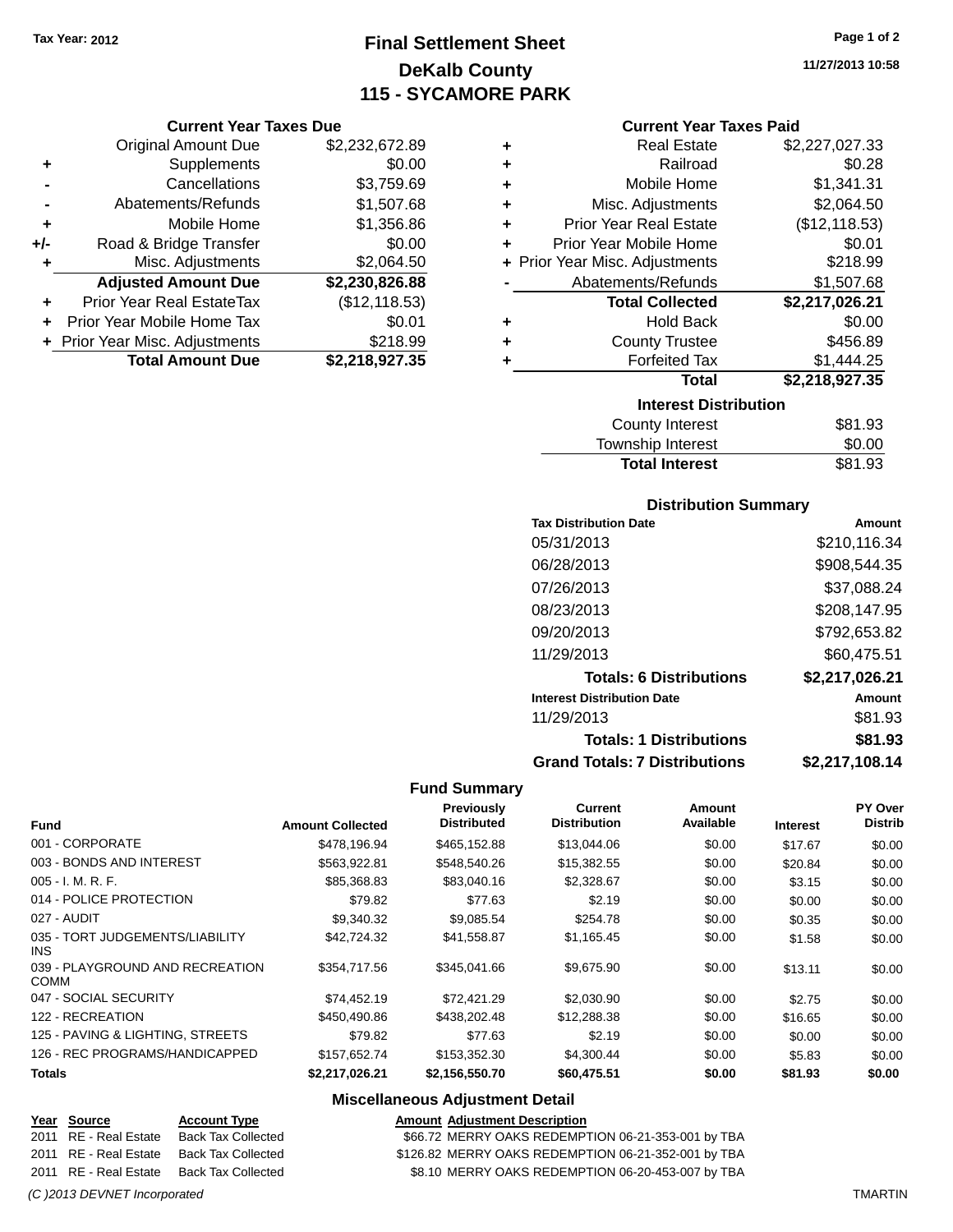# **Final Settlement Sheet Tax Year: 2012 Page 1 of 2 DeKalb County 115 - SYCAMORE PARK**

#### **Current Year Taxes Due**

|     | <b>Original Amount Due</b>       | \$2,232,672.89 |
|-----|----------------------------------|----------------|
| ٠   | Supplements                      | \$0.00         |
|     | Cancellations                    | \$3,759.69     |
|     | Abatements/Refunds               | \$1,507.68     |
| ٠   | Mobile Home                      | \$1,356.86     |
| +/- | Road & Bridge Transfer           | \$0.00         |
| ٠   | Misc. Adjustments                | \$2,064.50     |
|     | <b>Adjusted Amount Due</b>       | \$2,230,826.88 |
|     | <b>Prior Year Real EstateTax</b> | (\$12, 118.53) |
|     | Prior Year Mobile Home Tax       | \$0.01         |
|     | + Prior Year Misc. Adjustments   | \$218.99       |
|     | <b>Total Amount Due</b>          | \$2,218,927.35 |

| ٠ | <b>Real Estate</b>             | \$2,227,027.33 |
|---|--------------------------------|----------------|
| ÷ | Railroad                       | \$0.28         |
| ٠ | Mobile Home                    | \$1,341.31     |
| ٠ | Misc. Adjustments              | \$2,064.50     |
| ٠ | <b>Prior Year Real Estate</b>  | (\$12,118.53)  |
| ٠ | Prior Year Mobile Home         | \$0.01         |
|   | + Prior Year Misc. Adjustments | \$218.99       |
|   | Abatements/Refunds             | \$1,507.68     |
|   | <b>Total Collected</b>         | \$2,217,026.21 |
| ٠ | <b>Hold Back</b>               | \$0.00         |
| ٠ | <b>County Trustee</b>          | \$456.89       |
| ٠ | <b>Forfeited Tax</b>           | \$1,444.25     |
|   | Total                          | \$2,218,927.35 |
|   | <b>Interest Distribution</b>   |                |
|   | <b>County Interest</b>         | \$81.93        |

| <b>Total Interest</b> | \$81.93 |
|-----------------------|---------|
| Township Interest     | \$0.00  |
| County Interest       |         |

#### **Distribution Summary**

| <b>Tax Distribution Date</b>         | Amount         |
|--------------------------------------|----------------|
| 05/31/2013                           | \$210,116.34   |
| 06/28/2013                           | \$908,544.35   |
| 07/26/2013                           | \$37,088.24    |
| 08/23/2013                           | \$208,147.95   |
| 09/20/2013                           | \$792,653.82   |
| 11/29/2013                           | \$60.475.51    |
| <b>Totals: 6 Distributions</b>       | \$2,217,026.21 |
| <b>Interest Distribution Date</b>    | Amount         |
| 11/29/2013                           | \$81.93        |
| <b>Totals: 1 Distributions</b>       | \$81.93        |
| <b>Grand Totals: 7 Distributions</b> | \$2.217.108.14 |

#### **Fund Summary**

| <b>Fund</b>                                   | <b>Amount Collected</b> | Previously<br><b>Distributed</b> | Current<br><b>Distribution</b> | Amount<br>Available | <b>Interest</b> | PY Over<br><b>Distrib</b> |
|-----------------------------------------------|-------------------------|----------------------------------|--------------------------------|---------------------|-----------------|---------------------------|
| 001 - CORPORATE                               | \$478,196.94            | \$465,152.88                     | \$13,044.06                    | \$0.00              | \$17.67         | \$0.00                    |
| 003 - BONDS AND INTEREST                      | \$563,922.81            | \$548,540.26                     | \$15,382.55                    | \$0.00              | \$20.84         | \$0.00                    |
| $005 - I. M. R. F.$                           | \$85,368.83             | \$83,040.16                      | \$2,328.67                     | \$0.00              | \$3.15          | \$0.00                    |
| 014 - POLICE PROTECTION                       | \$79.82                 | \$77.63                          | \$2.19                         | \$0.00              | \$0.00          | \$0.00                    |
| 027 - AUDIT                                   | \$9,340.32              | \$9,085.54                       | \$254.78                       | \$0.00              | \$0.35          | \$0.00                    |
| 035 - TORT JUDGEMENTS/LIABILITY<br><b>INS</b> | \$42,724.32             | \$41,558.87                      | \$1,165.45                     | \$0.00              | \$1.58          | \$0.00                    |
| 039 - PLAYGROUND AND RECREATION<br>COMM       | \$354.717.56            | \$345,041.66                     | \$9,675.90                     | \$0.00              | \$13.11         | \$0.00                    |
| 047 - SOCIAL SECURITY                         | \$74.452.19             | \$72.421.29                      | \$2,030.90                     | \$0.00              | \$2.75          | \$0.00                    |
| 122 - RECREATION                              | \$450,490.86            | \$438,202.48                     | \$12,288.38                    | \$0.00              | \$16.65         | \$0.00                    |
| 125 - PAVING & LIGHTING, STREETS              | \$79.82                 | \$77.63                          | \$2.19                         | \$0.00              | \$0.00          | \$0.00                    |
| 126 - REC PROGRAMS/HANDICAPPED                | \$157,652.74            | \$153,352.30                     | \$4,300.44                     | \$0.00              | \$5.83          | \$0.00                    |
| <b>Totals</b>                                 | \$2,217,026.21          | \$2,156,550.70                   | \$60,475.51                    | \$0.00              | \$81.93         | \$0.00                    |

### **Miscellaneous Adjustment Detail**

**Year** Source **Account Type Account Type Amount Adjustment Description** 2011 RE - Real Estate Back Tax Collected \$66.72 MERRY OAKS REDEMPTION 06-21-353-001 by TBA 2011 RE - Real Estate Back Tax Collected \$126.82 MERRY OAKS REDEMPTION 06-21-352-001 by TBA 2011 RE - Real Estate Back Tax Collected \$8.10 MERRY OAKS REDEMPTION 06-20-453-007 by TBA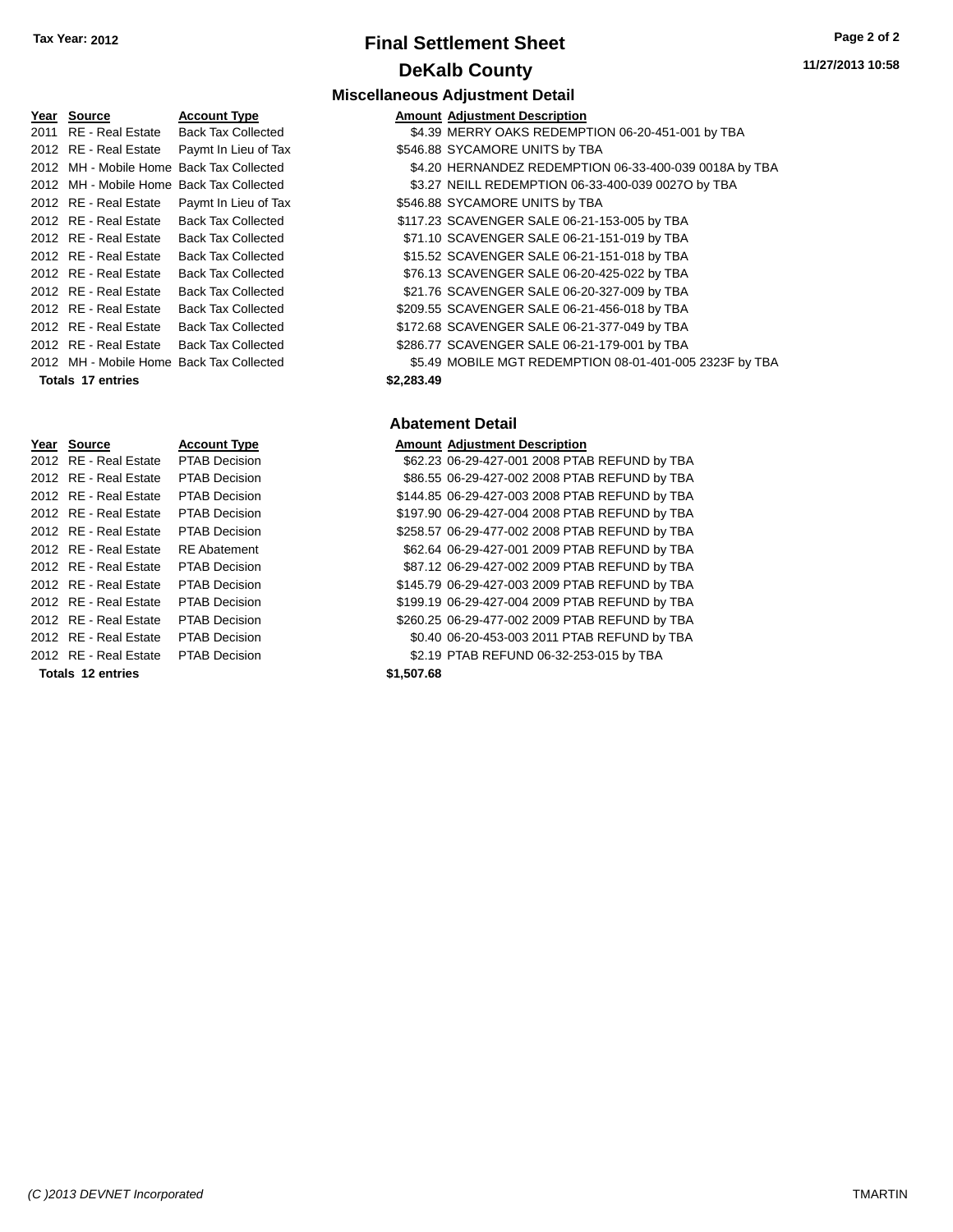**Year Source <b>Account Type** 2011 RE - Real Estate Back Tax Collected 2012 RE - Real Estate Paymt In Lieu of Tax 2012 MH - Mobile Home Back Tax Collected 2012 MH - Mobile Home Back Tax Collected 2012 RE - Real Estate Paymt In Lieu of Tax 2012 RE - Real Estate Back Tax Collected 2012 RE - Real Estate Back Tax Collected 2012 RE - Real Estate Back Tax Collected 2012 RE - Real Estate Back Tax Collected 2012 RE - Real Estate Back Tax Collected 2012 RE - Real Estate Back Tax Collected 2012 RE - Real Estate Back Tax Collected 2012 RE - Real Estate Back Tax Collected 2012 MH - Mobile Home Back Tax Collected

# **Final Settlement Sheet Tax Year: 2012 Page 2 of 2 DeKalb County**

#### **Miscellaneous Adjustment Detail**

|            | <b>Amount Adjustment Description</b>                    |
|------------|---------------------------------------------------------|
|            | \$4.39 MERRY OAKS REDEMPTION 06-20-451-001 by TBA       |
|            | \$546.88 SYCAMORE UNITS by TBA                          |
|            | \$4.20 HERNANDEZ REDEMPTION 06-33-400-039 0018A by TBA  |
|            | \$3.27 NEILL REDEMPTION 06-33-400-039 0027O by TBA      |
|            | \$546.88 SYCAMORE UNITS by TBA                          |
|            | \$117.23 SCAVENGER SALE 06-21-153-005 by TBA            |
|            | \$71.10 SCAVENGER SALE 06-21-151-019 by TBA             |
|            | \$15.52 SCAVENGER SALE 06-21-151-018 by TBA             |
|            | \$76.13 SCAVENGER SALE 06-20-425-022 by TBA             |
|            | \$21.76 SCAVENGER SALE 06-20-327-009 by TBA             |
|            | \$209.55 SCAVENGER SALE 06-21-456-018 by TBA            |
|            | \$172.68 SCAVENGER SALE 06-21-377-049 by TBA            |
|            | \$286.77 SCAVENGER SALE 06-21-179-001 by TBA            |
|            | \$5.49 MOBILE MGT REDEMPTION 08-01-401-005 2323F by TBA |
| \$2.283.49 |                                                         |

#### **Abatement Detail**

| Year Source           | <b>Account Type</b>  |                             | <b>Amount Adjustment Description</b>           |
|-----------------------|----------------------|-----------------------------|------------------------------------------------|
| 2012 RE - Real Estate | PTAB Decision        |                             | \$62.23 06-29-427-001 2008 PTAB REFUND by TBA  |
| 2012 RE - Real Estate | <b>PTAB Decision</b> |                             | \$86.55 06-29-427-002 2008 PTAB REFUND by TBA  |
| 2012 RE - Real Estate | <b>PTAB Decision</b> |                             | \$144.85 06-29-427-003 2008 PTAB REFUND by TBA |
| 2012 RE - Real Estate | <b>PTAB Decision</b> |                             | \$197.90 06-29-427-004 2008 PTAB REFUND by TBA |
| 2012 RE - Real Estate | <b>PTAB Decision</b> |                             | \$258.57 06-29-477-002 2008 PTAB REFUND by TBA |
| 2012 RE - Real Estate | <b>RE</b> Abatement  |                             | \$62.64 06-29-427-001 2009 PTAB REFUND by TBA  |
| 2012 RE - Real Estate | <b>PTAB Decision</b> |                             | \$87.12 06-29-427-002 2009 PTAB REFUND by TBA  |
| 2012 RE - Real Estate | <b>PTAB Decision</b> |                             | \$145.79 06-29-427-003 2009 PTAB REFUND by TBA |
| 2012 RE - Real Estate | <b>PTAB Decision</b> |                             | \$199.19 06-29-427-004 2009 PTAB REFUND by TBA |
| 2012 RE - Real Estate | <b>PTAB Decision</b> |                             | \$260.25 06-29-477-002 2009 PTAB REFUND by TBA |
| 2012 RE - Real Estate | <b>PTAB Decision</b> |                             | \$0.40 06-20-453-003 2011 PTAB REFUND by TBA   |
| 2012 RE - Real Estate | <b>PTAB Decision</b> |                             | \$2.19 PTAB REFUND 06-32-253-015 by TBA        |
| Totale 12 ontrice     |                      | <b>C<sub>1</sub></b> EQ7 CQ |                                                |

|  | Year Source              | <b>Account Type</b>  | Amount     |
|--|--------------------------|----------------------|------------|
|  | 2012 RE - Real Estate    | <b>PTAB Decision</b> | \$62.23    |
|  | 2012 RE - Real Estate    | <b>PTAB Decision</b> | \$86.55    |
|  | 2012 RE - Real Estate    | <b>PTAB Decision</b> | \$144.85   |
|  | 2012 RE - Real Estate    | <b>PTAB Decision</b> | \$197.90   |
|  | 2012 RE - Real Estate    | <b>PTAB Decision</b> | \$258.57   |
|  | 2012 RE - Real Estate    | <b>RE</b> Abatement  | \$62.64    |
|  | 2012 RE - Real Estate    | <b>PTAB Decision</b> | \$87.12    |
|  | 2012 RE - Real Estate    | <b>PTAB Decision</b> | \$145.79   |
|  | 2012 RE - Real Estate    | <b>PTAB Decision</b> | \$199.19   |
|  | 2012 RE - Real Estate    | <b>PTAB Decision</b> | \$260.25   |
|  | 2012 RE - Real Estate    | <b>PTAB Decision</b> | \$0.40     |
|  | 2012 RE - Real Estate    | <b>PTAB Decision</b> | \$2.19     |
|  | <b>Totals 12 entries</b> |                      | \$1,507.68 |

**Totals 17 entries**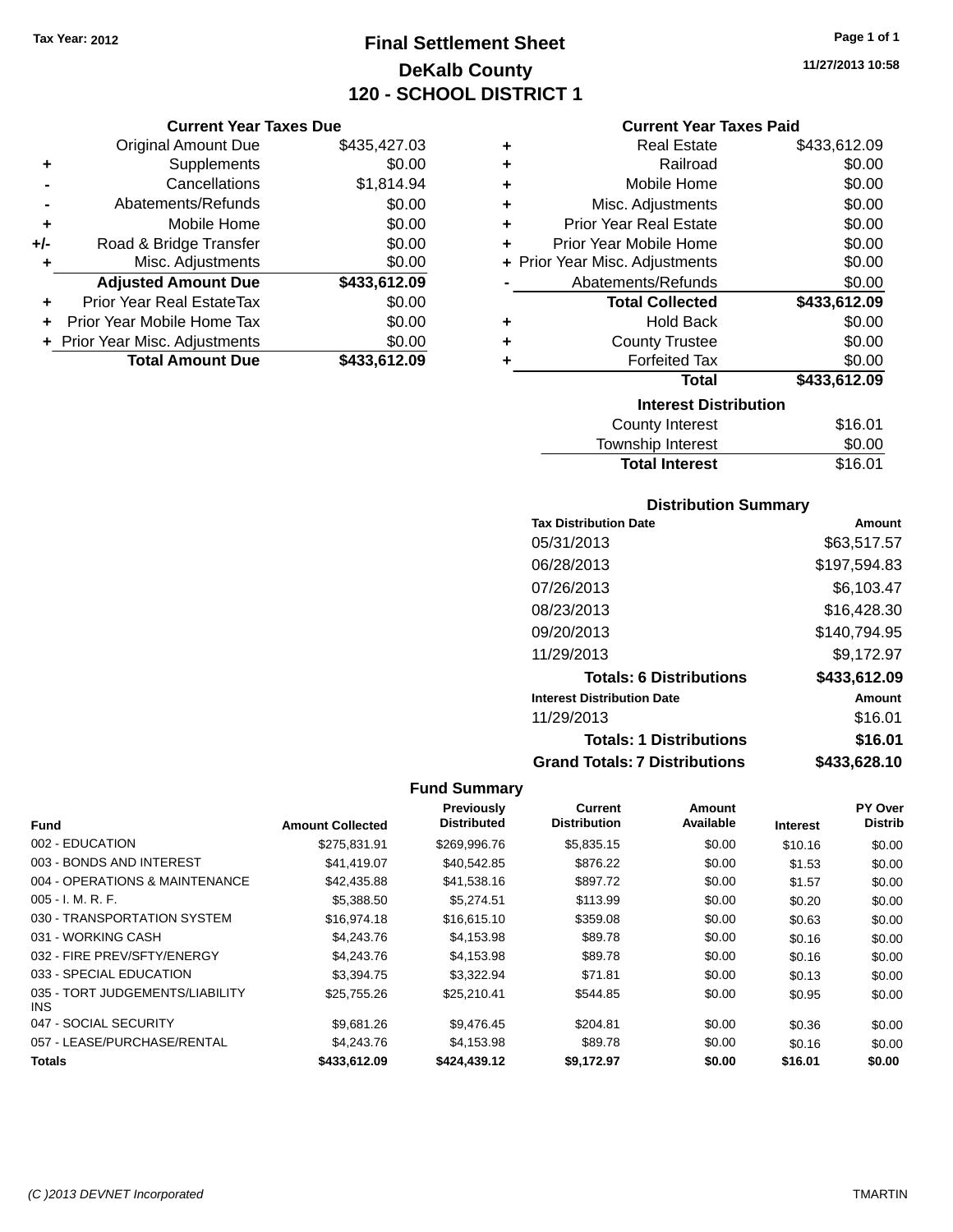# **Final Settlement Sheet Tax Year: 2012 Page 1 of 1 DeKalb County 120 - SCHOOL DISTRICT 1**

**Current Year Taxes Due**

|       | <b>Original Amount Due</b>       | \$435,427.03 |
|-------|----------------------------------|--------------|
|       |                                  |              |
| ٠     | Supplements                      | \$0.00       |
|       | Cancellations                    | \$1,814.94   |
|       | Abatements/Refunds               | \$0.00       |
| ٠     | Mobile Home                      | \$0.00       |
| $+/-$ | Road & Bridge Transfer           | \$0.00       |
| ٠     | Misc. Adjustments                | \$0.00       |
|       | <b>Adjusted Amount Due</b>       | \$433,612.09 |
|       | <b>Prior Year Real EstateTax</b> | \$0.00       |
|       | Prior Year Mobile Home Tax       | \$0.00       |
|       | + Prior Year Misc. Adjustments   | \$0.00       |
|       | <b>Total Amount Due</b>          | \$433,612.09 |
|       |                                  |              |

| ٠ | <b>Real Estate</b>             | \$433,612.09 |
|---|--------------------------------|--------------|
| ٠ | Railroad                       | \$0.00       |
| ÷ | Mobile Home                    | \$0.00       |
| ÷ | Misc. Adjustments              | \$0.00       |
| ÷ | <b>Prior Year Real Estate</b>  | \$0.00       |
| ٠ | Prior Year Mobile Home         | \$0.00       |
|   | + Prior Year Misc. Adjustments | \$0.00       |
|   | Abatements/Refunds             | \$0.00       |
|   | <b>Total Collected</b>         | \$433,612.09 |
| ٠ | <b>Hold Back</b>               | \$0.00       |
| ÷ | <b>County Trustee</b>          | \$0.00       |
| ٠ | <b>Forfeited Tax</b>           | \$0.00       |
|   | <b>Total</b>                   | \$433,612.09 |
|   | <b>Interest Distribution</b>   |              |
|   | <b>County Interest</b>         | \$16.01      |
|   | <b>Township Interast</b>       | ደስ ሰስ        |

| <b>Total Interest</b> | \$16.01 |
|-----------------------|---------|
| Township Interest     | \$0.00  |
| County Interest       | \$16.01 |

## **Distribution Summary**

| <b>Tax Distribution Date</b>         | Amount       |
|--------------------------------------|--------------|
| 05/31/2013                           | \$63,517.57  |
| 06/28/2013                           | \$197,594.83 |
| 07/26/2013                           | \$6,103.47   |
| 08/23/2013                           | \$16,428.30  |
| 09/20/2013                           | \$140,794.95 |
| 11/29/2013                           | \$9,172.97   |
| <b>Totals: 6 Distributions</b>       | \$433,612.09 |
| <b>Interest Distribution Date</b>    | Amount       |
| 11/29/2013                           | \$16.01      |
| <b>Totals: 1 Distributions</b>       | \$16.01      |
| <b>Grand Totals: 7 Distributions</b> | \$433.628.10 |

## **Fund Summary**

 $\overline{\phantom{a}}$ 

| <b>Fund</b>                             | <b>Amount Collected</b> | <b>Previously</b><br><b>Distributed</b> | Current<br><b>Distribution</b> | Amount<br>Available | <b>Interest</b> | PY Over<br><b>Distrib</b> |
|-----------------------------------------|-------------------------|-----------------------------------------|--------------------------------|---------------------|-----------------|---------------------------|
| 002 - EDUCATION                         | \$275.831.91            | \$269,996.76                            | \$5,835.15                     | \$0.00              | \$10.16         | \$0.00                    |
| 003 - BONDS AND INTEREST                | \$41,419.07             | \$40,542.85                             | \$876.22                       | \$0.00              | \$1.53          | \$0.00                    |
| 004 - OPERATIONS & MAINTENANCE          | \$42.435.88             | \$41,538.16                             | \$897.72                       | \$0.00              | \$1.57          | \$0.00                    |
| $005 - I. M. R. F.$                     | \$5,388.50              | \$5,274.51                              | \$113.99                       | \$0.00              | \$0.20          | \$0.00                    |
| 030 - TRANSPORTATION SYSTEM             | \$16,974.18             | \$16,615.10                             | \$359.08                       | \$0.00              | \$0.63          | \$0.00                    |
| 031 - WORKING CASH                      | \$4,243.76              | \$4,153.98                              | \$89.78                        | \$0.00              | \$0.16          | \$0.00                    |
| 032 - FIRE PREV/SFTY/ENERGY             | \$4,243.76              | \$4,153.98                              | \$89.78                        | \$0.00              | \$0.16          | \$0.00                    |
| 033 - SPECIAL EDUCATION                 | \$3,394.75              | \$3,322.94                              | \$71.81                        | \$0.00              | \$0.13          | \$0.00                    |
| 035 - TORT JUDGEMENTS/LIABILITY<br>INS. | \$25.755.26             | \$25,210.41                             | \$544.85                       | \$0.00              | \$0.95          | \$0.00                    |
| 047 - SOCIAL SECURITY                   | \$9,681.26              | \$9,476.45                              | \$204.81                       | \$0.00              | \$0.36          | \$0.00                    |
| 057 - LEASE/PURCHASE/RENTAL             | \$4,243.76              | \$4,153.98                              | \$89.78                        | \$0.00              | \$0.16          | \$0.00                    |
| <b>Totals</b>                           | \$433,612.09            | \$424,439.12                            | \$9,172.97                     | \$0.00              | \$16.01         | \$0.00                    |

**11/27/2013 10:58**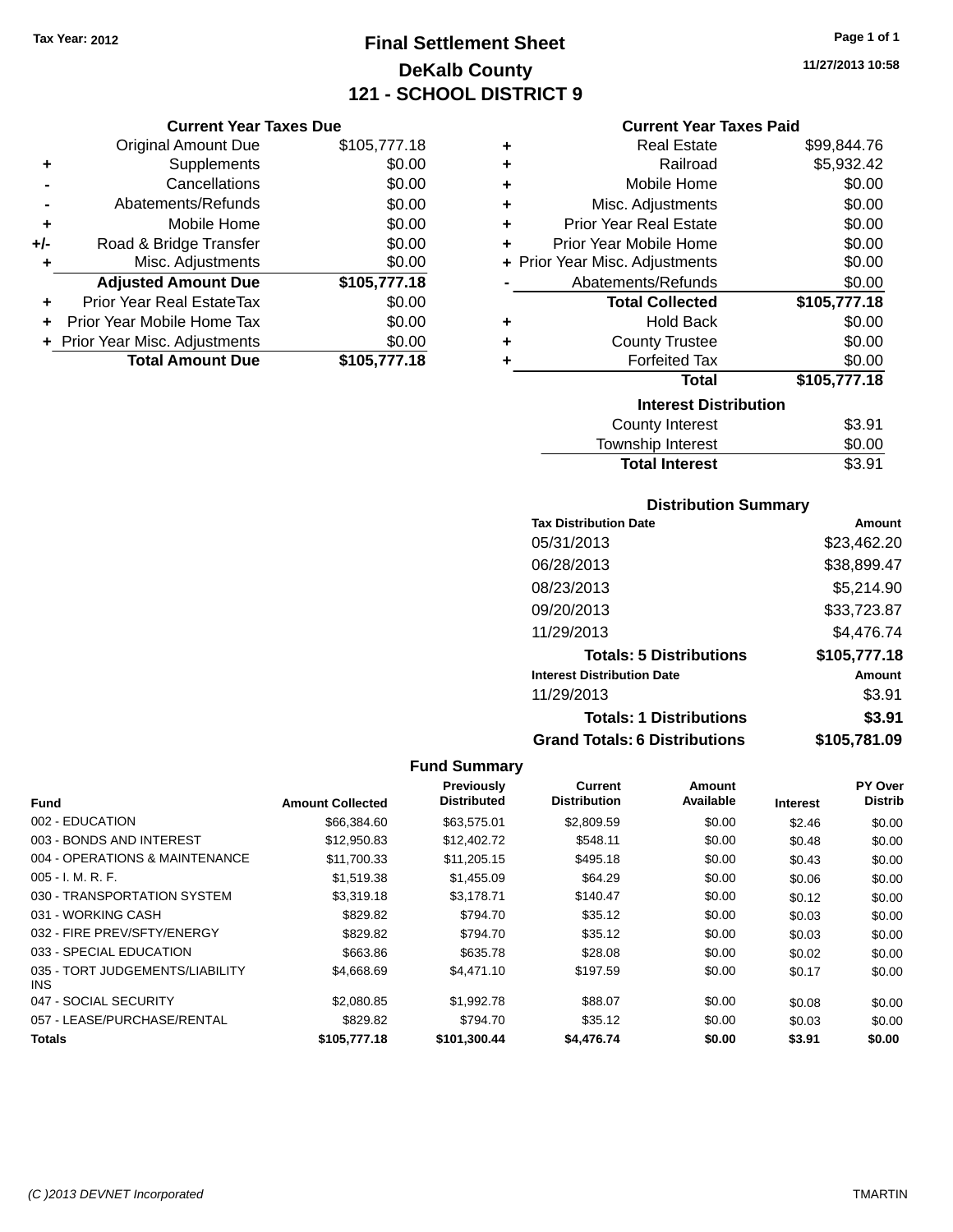# **Final Settlement Sheet Tax Year: 2012 Page 1 of 1 DeKalb County 121 - SCHOOL DISTRICT 9**

**11/27/2013 10:58**

| <b>Current Year Taxes Due</b> |  |  |  |
|-------------------------------|--|--|--|
|-------------------------------|--|--|--|

|       | <b>Original Amount Due</b>       | \$105,777.18 |
|-------|----------------------------------|--------------|
| ٠     | Supplements                      | \$0.00       |
|       | Cancellations                    | \$0.00       |
|       | Abatements/Refunds               | \$0.00       |
| ٠     | Mobile Home                      | \$0.00       |
| $+/-$ | Road & Bridge Transfer           | \$0.00       |
| ٠     | Misc. Adjustments                | \$0.00       |
|       | <b>Adjusted Amount Due</b>       | \$105,777.18 |
|       | <b>Prior Year Real EstateTax</b> | \$0.00       |
|       | Prior Year Mobile Home Tax       | \$0.00       |
|       | + Prior Year Misc. Adjustments   | \$0.00       |
|       | <b>Total Amount Due</b>          | \$105,777.18 |

## **Current Year Taxes Paid**

| ٠ | <b>Real Estate</b>             | \$99,844.76  |
|---|--------------------------------|--------------|
| ÷ | Railroad                       | \$5,932.42   |
| ٠ | Mobile Home                    | \$0.00       |
| ٠ | Misc. Adjustments              | \$0.00       |
| ٠ | <b>Prior Year Real Estate</b>  | \$0.00       |
| ٠ | Prior Year Mobile Home         | \$0.00       |
|   | + Prior Year Misc. Adjustments | \$0.00       |
|   | Abatements/Refunds             | \$0.00       |
|   | <b>Total Collected</b>         | \$105,777.18 |
| ٠ | <b>Hold Back</b>               | \$0.00       |
| ÷ | <b>County Trustee</b>          | \$0.00       |
| ٠ | <b>Forfeited Tax</b>           | \$0.00       |
|   | <b>Total</b>                   |              |
|   |                                | \$105,777.18 |
|   | <b>Interest Distribution</b>   |              |
|   | <b>County Interest</b>         | \$3.91       |

| <b>Total Interest</b> | \$3.91 |
|-----------------------|--------|
| Township Interest     | \$0.00 |
| <b>COUTTY THEFEST</b> | งວ.ອ⊤  |

## **Distribution Summary**

| <b>Tax Distribution Date</b>         | Amount       |
|--------------------------------------|--------------|
| 05/31/2013                           | \$23,462.20  |
| 06/28/2013                           | \$38,899.47  |
| 08/23/2013                           | \$5,214.90   |
| 09/20/2013                           | \$33,723.87  |
| 11/29/2013                           | \$4,476.74   |
| <b>Totals: 5 Distributions</b>       | \$105,777.18 |
| <b>Interest Distribution Date</b>    | Amount       |
| 11/29/2013                           | \$3.91       |
| <b>Totals: 1 Distributions</b>       | \$3.91       |
| <b>Grand Totals: 6 Distributions</b> | \$105,781.09 |

|                                         |                         | Previously         | Current             | Amount    |                 | <b>PY Over</b> |
|-----------------------------------------|-------------------------|--------------------|---------------------|-----------|-----------------|----------------|
| Fund                                    | <b>Amount Collected</b> | <b>Distributed</b> | <b>Distribution</b> | Available | <b>Interest</b> | <b>Distrib</b> |
| 002 - EDUCATION                         | \$66,384.60             | \$63.575.01        | \$2,809.59          | \$0.00    | \$2.46          | \$0.00         |
| 003 - BONDS AND INTEREST                | \$12,950.83             | \$12,402.72        | \$548.11            | \$0.00    | \$0.48          | \$0.00         |
| 004 - OPERATIONS & MAINTENANCE          | \$11,700.33             | \$11,205.15        | \$495.18            | \$0.00    | \$0.43          | \$0.00         |
| $005 - I. M. R. F.$                     | \$1,519.38              | \$1,455.09         | \$64.29             | \$0.00    | \$0.06          | \$0.00         |
| 030 - TRANSPORTATION SYSTEM             | \$3,319.18              | \$3.178.71         | \$140.47            | \$0.00    | \$0.12          | \$0.00         |
| 031 - WORKING CASH                      | \$829.82                | \$794.70           | \$35.12             | \$0.00    | \$0.03          | \$0.00         |
| 032 - FIRE PREV/SFTY/ENERGY             | \$829.82                | \$794.70           | \$35.12             | \$0.00    | \$0.03          | \$0.00         |
| 033 - SPECIAL EDUCATION                 | \$663.86                | \$635.78           | \$28.08             | \$0.00    | \$0.02          | \$0.00         |
| 035 - TORT JUDGEMENTS/LIABILITY<br>INS. | \$4,668,69              | \$4,471.10         | \$197.59            | \$0.00    | \$0.17          | \$0.00         |
| 047 - SOCIAL SECURITY                   | \$2,080.85              | \$1,992.78         | \$88.07             | \$0.00    | \$0.08          | \$0.00         |
| 057 - LEASE/PURCHASE/RENTAL             | \$829.82                | \$794.70           | \$35.12             | \$0.00    | \$0.03          | \$0.00         |
| <b>Totals</b>                           | \$105,777.18            | \$101.300.44       | \$4,476,74          | \$0.00    | \$3.91          | \$0.00         |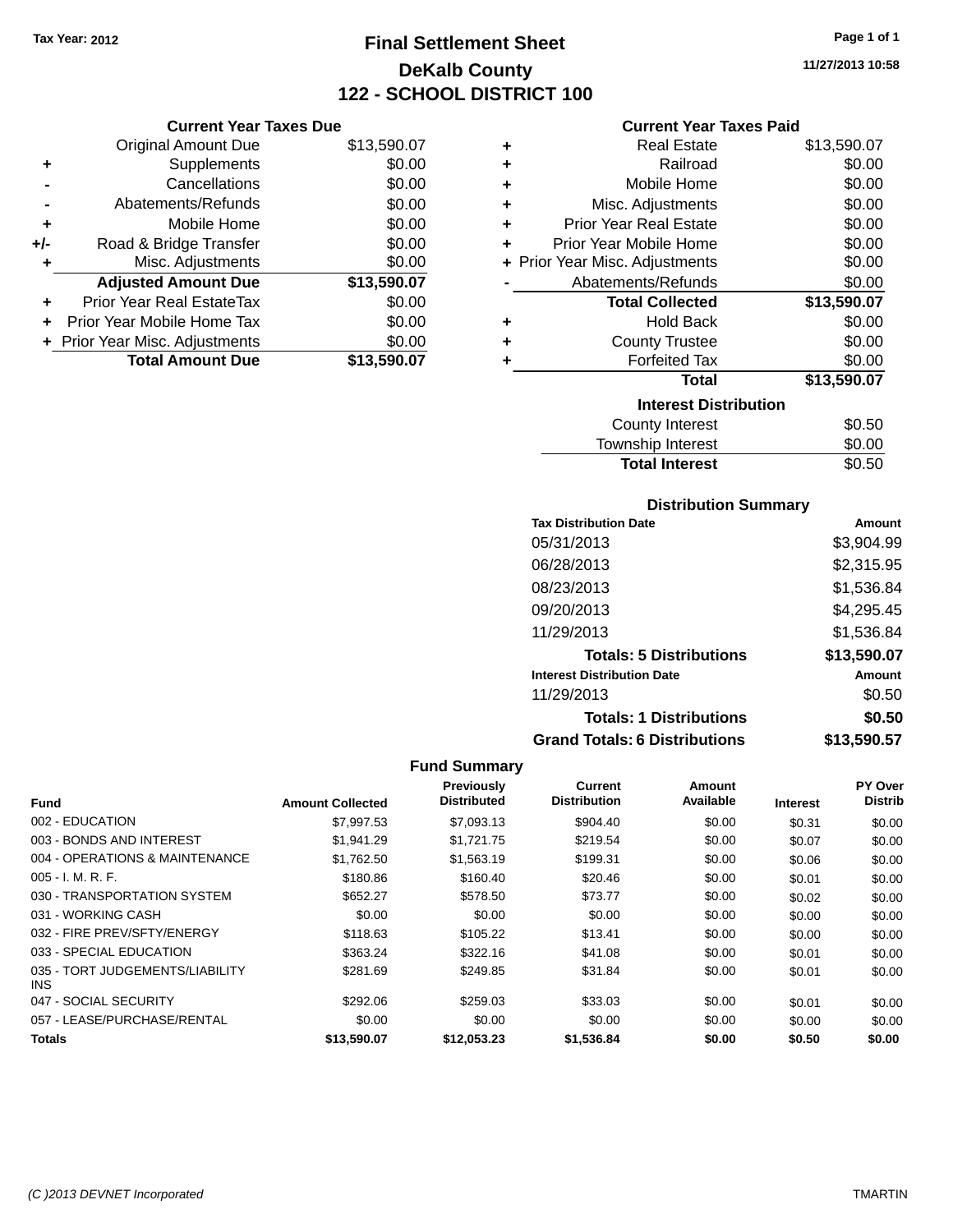# **Final Settlement Sheet Tax Year: 2012 Page 1 of 1 DeKalb County 122 - SCHOOL DISTRICT 100**

**11/27/2013 10:58**

| <b>Current Year Taxes Due</b> |  |  |  |
|-------------------------------|--|--|--|

| <b>Original Amount Due</b>     | \$13,590.07 |
|--------------------------------|-------------|
| Supplements                    | \$0.00      |
| Cancellations                  | \$0.00      |
| Abatements/Refunds             | \$0.00      |
| Mobile Home                    | \$0.00      |
| Road & Bridge Transfer         | \$0.00      |
| Misc. Adjustments              | \$0.00      |
| <b>Adjusted Amount Due</b>     | \$13,590.07 |
| Prior Year Real EstateTax      | \$0.00      |
| Prior Year Mobile Home Tax     | \$0.00      |
|                                |             |
| + Prior Year Misc. Adjustments | \$0.00      |
|                                |             |

## **Current Year Taxes Paid**

| ٠ | <b>Real Estate</b>             | \$13,590.07 |
|---|--------------------------------|-------------|
| ÷ | Railroad                       | \$0.00      |
| ÷ | Mobile Home                    | \$0.00      |
| ÷ | Misc. Adjustments              | \$0.00      |
| ٠ | <b>Prior Year Real Estate</b>  | \$0.00      |
| ٠ | Prior Year Mobile Home         | \$0.00      |
|   | + Prior Year Misc. Adjustments | \$0.00      |
|   | Abatements/Refunds             | \$0.00      |
|   | <b>Total Collected</b>         | \$13,590.07 |
| ٠ | <b>Hold Back</b>               | \$0.00      |
| ٠ | <b>County Trustee</b>          | \$0.00      |
| ٠ | <b>Forfeited Tax</b>           | \$0.00      |
|   | Total                          | \$13,590.07 |
|   | <b>Interest Distribution</b>   |             |
|   | County Interest                | \$0.50      |
|   | <b>Township Interest</b>       | \$0.00      |
|   | <b>Total Interest</b>          | \$0.50      |

## **Distribution Summary**

| <b>Tax Distribution Date</b>         | Amount      |
|--------------------------------------|-------------|
| 05/31/2013                           | \$3,904.99  |
| 06/28/2013                           | \$2,315.95  |
| 08/23/2013                           | \$1,536.84  |
| 09/20/2013                           | \$4,295.45  |
| 11/29/2013                           | \$1,536.84  |
| <b>Totals: 5 Distributions</b>       | \$13,590.07 |
| <b>Interest Distribution Date</b>    | Amount      |
| 11/29/2013                           | \$0.50      |
| <b>Totals: 1 Distributions</b>       | \$0.50      |
| <b>Grand Totals: 6 Distributions</b> | \$13.590.57 |

|                                         |                         | <b>Previously</b>  | Current             | Amount    |                 | <b>PY Over</b> |
|-----------------------------------------|-------------------------|--------------------|---------------------|-----------|-----------------|----------------|
| Fund                                    | <b>Amount Collected</b> | <b>Distributed</b> | <b>Distribution</b> | Available | <b>Interest</b> | <b>Distrib</b> |
| 002 - EDUCATION                         | \$7.997.53              | \$7,093.13         | \$904.40            | \$0.00    | \$0.31          | \$0.00         |
| 003 - BONDS AND INTEREST                | \$1.941.29              | \$1,721.75         | \$219.54            | \$0.00    | \$0.07          | \$0.00         |
| 004 - OPERATIONS & MAINTENANCE          | \$1,762.50              | \$1,563.19         | \$199.31            | \$0.00    | \$0.06          | \$0.00         |
| $005 - I. M. R. F.$                     | \$180.86                | \$160.40           | \$20.46             | \$0.00    | \$0.01          | \$0.00         |
| 030 - TRANSPORTATION SYSTEM             | \$652.27                | \$578.50           | \$73.77             | \$0.00    | \$0.02          | \$0.00         |
| 031 - WORKING CASH                      | \$0.00                  | \$0.00             | \$0.00              | \$0.00    | \$0.00          | \$0.00         |
| 032 - FIRE PREV/SFTY/ENERGY             | \$118.63                | \$105.22           | \$13.41             | \$0.00    | \$0.00          | \$0.00         |
| 033 - SPECIAL EDUCATION                 | \$363.24                | \$322.16           | \$41.08             | \$0.00    | \$0.01          | \$0.00         |
| 035 - TORT JUDGEMENTS/LIABILITY<br>INS. | \$281.69                | \$249.85           | \$31.84             | \$0.00    | \$0.01          | \$0.00         |
| 047 - SOCIAL SECURITY                   | \$292.06                | \$259.03           | \$33.03             | \$0.00    | \$0.01          | \$0.00         |
| 057 - LEASE/PURCHASE/RENTAL             | \$0.00                  | \$0.00             | \$0.00              | \$0.00    | \$0.00          | \$0.00         |
| <b>Totals</b>                           | \$13,590.07             | \$12.053.23        | \$1.536.84          | \$0.00    | \$0.50          | \$0.00         |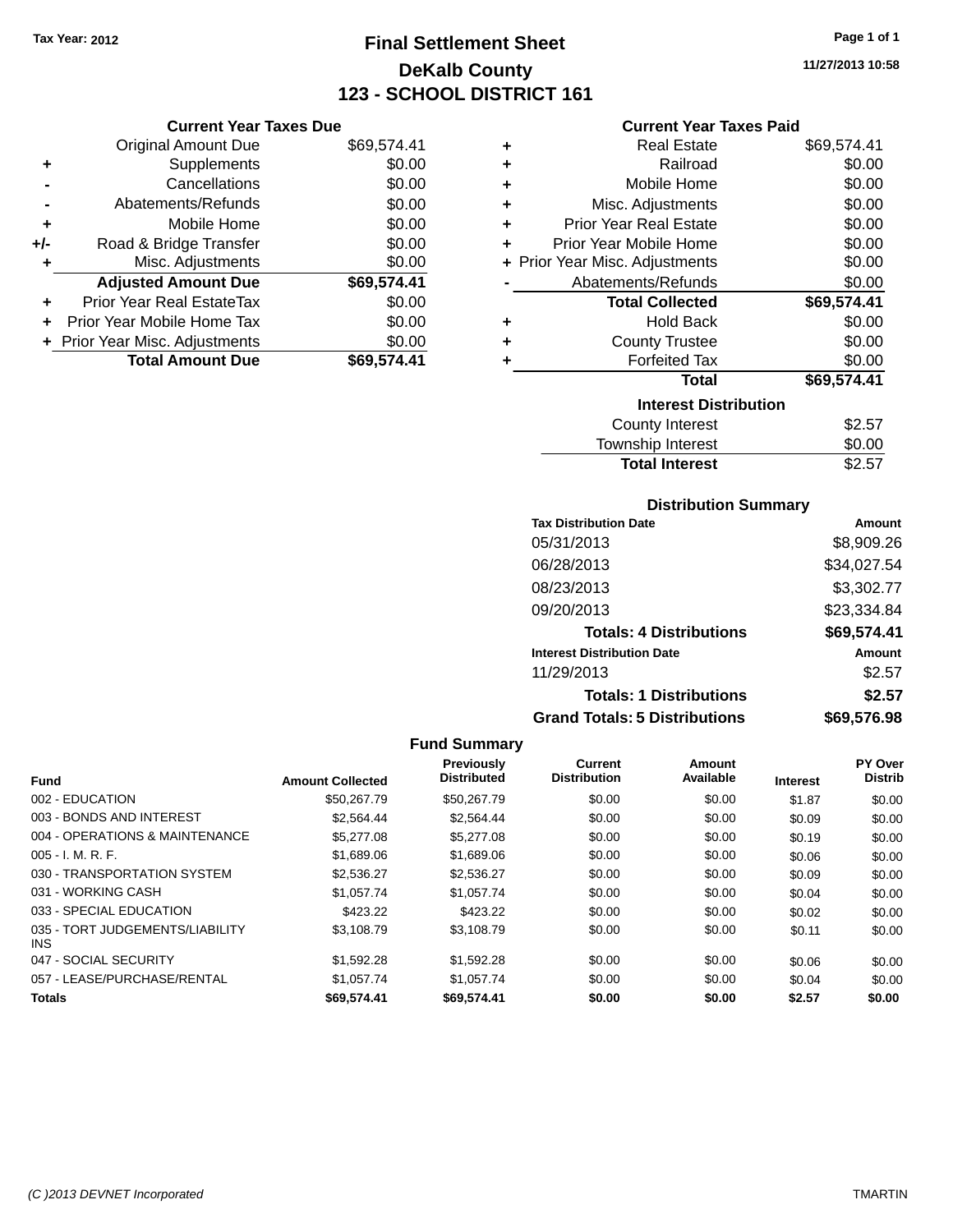# **Final Settlement Sheet Tax Year: 2012 Page 1 of 1 DeKalb County 123 - SCHOOL DISTRICT 161**

**11/27/2013 10:58**

## **Current Year Taxes Paid**

|     | <b>Current Year Taxes Due</b>    |             |
|-----|----------------------------------|-------------|
|     | <b>Original Amount Due</b>       | \$69,574.41 |
| ٠   | Supplements                      | \$0.00      |
|     | Cancellations                    | \$0.00      |
|     | Abatements/Refunds               | \$0.00      |
| ٠   | Mobile Home                      | \$0.00      |
| +/- | Road & Bridge Transfer           | \$0.00      |
| ٠   | Misc. Adjustments                | \$0.00      |
|     | <b>Adjusted Amount Due</b>       | \$69,574.41 |
|     | <b>Prior Year Real EstateTax</b> | \$0.00      |
| ÷   | Prior Year Mobile Home Tax       | \$0.00      |
|     | + Prior Year Misc. Adjustments   | \$0.00      |
|     | <b>Total Amount Due</b>          | \$69,574.41 |

| ٠ | <b>Real Estate</b>             | \$69,574.41 |  |  |  |  |  |
|---|--------------------------------|-------------|--|--|--|--|--|
| ÷ | Railroad                       | \$0.00      |  |  |  |  |  |
| ٠ | Mobile Home                    | \$0.00      |  |  |  |  |  |
| ÷ | Misc. Adjustments              | \$0.00      |  |  |  |  |  |
| ٠ | <b>Prior Year Real Estate</b>  | \$0.00      |  |  |  |  |  |
| ٠ | Prior Year Mobile Home         | \$0.00      |  |  |  |  |  |
|   | + Prior Year Misc. Adjustments | \$0.00      |  |  |  |  |  |
|   | Abatements/Refunds             | \$0.00      |  |  |  |  |  |
|   | <b>Total Collected</b>         | \$69,574.41 |  |  |  |  |  |
| ٠ | <b>Hold Back</b>               | \$0.00      |  |  |  |  |  |
| ٠ | <b>County Trustee</b>          | \$0.00      |  |  |  |  |  |
| ٠ | <b>Forfeited Tax</b>           | \$0.00      |  |  |  |  |  |
|   | <b>Total</b>                   | \$69,574.41 |  |  |  |  |  |
|   | <b>Interest Distribution</b>   |             |  |  |  |  |  |
|   | <b>County Interest</b>         | \$2.57      |  |  |  |  |  |
|   | <b>Township Interest</b>       | \$0.00      |  |  |  |  |  |
|   | <b>Total Interest</b>          | \$2.57      |  |  |  |  |  |

## **Distribution Summary**

| <b>Tax Distribution Date</b>         | Amount      |
|--------------------------------------|-------------|
| 05/31/2013                           | \$8,909.26  |
| 06/28/2013                           | \$34,027.54 |
| 08/23/2013                           | \$3,302.77  |
| 09/20/2013                           | \$23,334.84 |
| <b>Totals: 4 Distributions</b>       | \$69,574.41 |
| <b>Interest Distribution Date</b>    | Amount      |
| 11/29/2013                           | \$2.57      |
| <b>Totals: 1 Distributions</b>       | \$2.57      |
| <b>Grand Totals: 5 Distributions</b> | \$69,576.98 |

| <b>Fund</b>                             | <b>Amount Collected</b> | <b>Previously</b><br><b>Distributed</b> | Current<br><b>Distribution</b> | Amount<br>Available | <b>Interest</b> | <b>PY Over</b><br><b>Distrib</b> |
|-----------------------------------------|-------------------------|-----------------------------------------|--------------------------------|---------------------|-----------------|----------------------------------|
| 002 - EDUCATION                         | \$50,267.79             | \$50.267.79                             | \$0.00                         | \$0.00              | \$1.87          | \$0.00                           |
| 003 - BONDS AND INTEREST                | \$2,564.44              | \$2,564.44                              | \$0.00                         | \$0.00              | \$0.09          | \$0.00                           |
| 004 - OPERATIONS & MAINTENANCE          | \$5,277.08              | \$5,277.08                              | \$0.00                         | \$0.00              | \$0.19          | \$0.00                           |
| $005 - I. M. R. F.$                     | \$1,689.06              | \$1,689.06                              | \$0.00                         | \$0.00              | \$0.06          | \$0.00                           |
| 030 - TRANSPORTATION SYSTEM             | \$2,536.27              | \$2,536.27                              | \$0.00                         | \$0.00              | \$0.09          | \$0.00                           |
| 031 - WORKING CASH                      | \$1,057.74              | \$1,057.74                              | \$0.00                         | \$0.00              | \$0.04          | \$0.00                           |
| 033 - SPECIAL EDUCATION                 | \$423.22                | \$423.22                                | \$0.00                         | \$0.00              | \$0.02          | \$0.00                           |
| 035 - TORT JUDGEMENTS/LIABILITY<br>INS. | \$3.108.79              | \$3,108.79                              | \$0.00                         | \$0.00              | \$0.11          | \$0.00                           |
| 047 - SOCIAL SECURITY                   | \$1,592.28              | \$1,592.28                              | \$0.00                         | \$0.00              | \$0.06          | \$0.00                           |
| 057 - LEASE/PURCHASE/RENTAL             | \$1,057.74              | \$1,057.74                              | \$0.00                         | \$0.00              | \$0.04          | \$0.00                           |
| <b>Totals</b>                           | \$69.574.41             | \$69.574.41                             | \$0.00                         | \$0.00              | \$2.57          | \$0.00                           |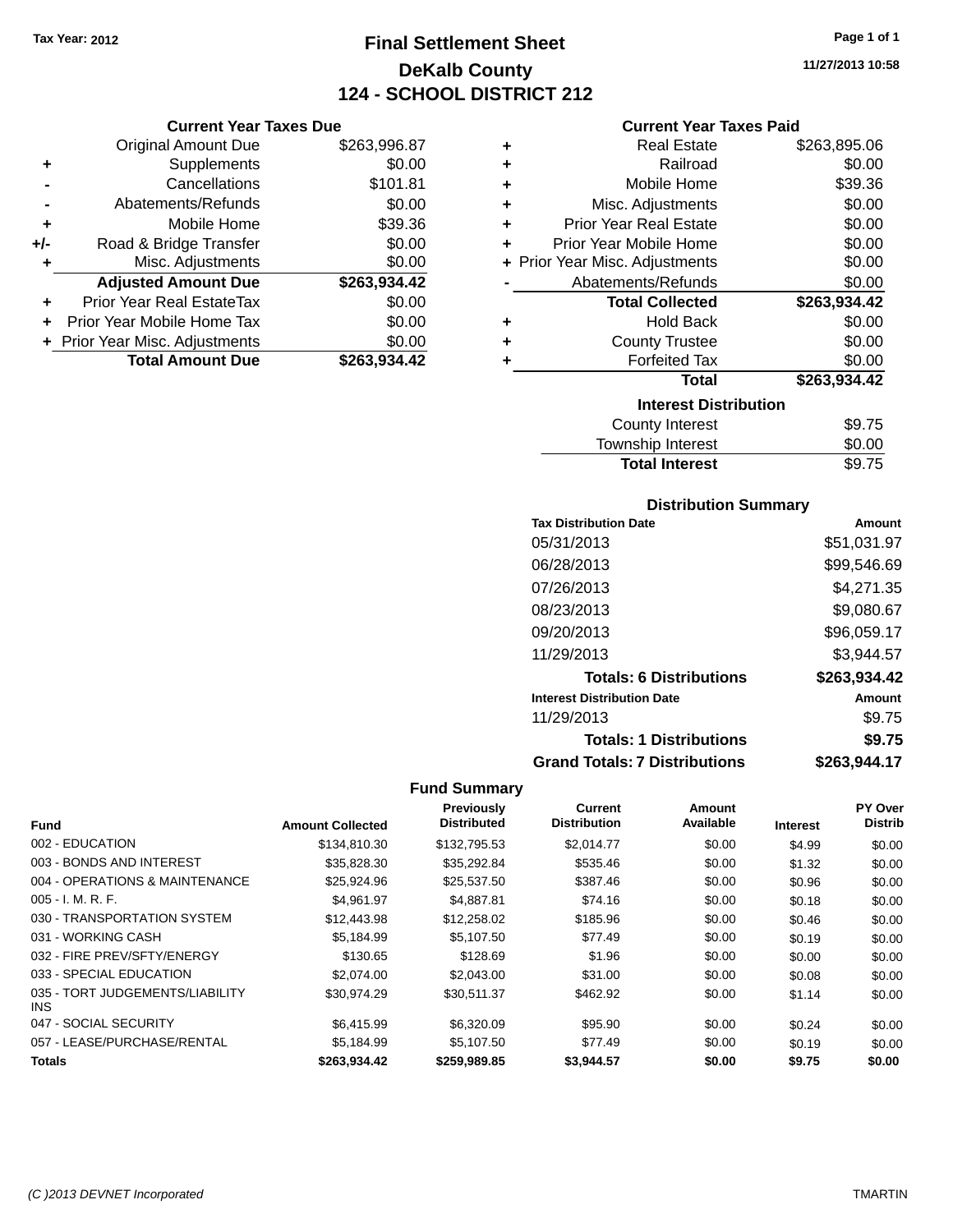# **Final Settlement Sheet Tax Year: 2012 Page 1 of 1 DeKalb County 124 - SCHOOL DISTRICT 212**

**11/27/2013 10:58**

## **Current Year Taxes Paid**

| <b>Current Year Taxes Due</b>  |              |  |  |  |  |
|--------------------------------|--------------|--|--|--|--|
| <b>Original Amount Due</b>     | \$263,996.87 |  |  |  |  |
| Supplements                    | \$0.00       |  |  |  |  |
| Cancellations                  | \$101.81     |  |  |  |  |
| Abatements/Refunds             | \$0.00       |  |  |  |  |
| Mobile Home                    | \$39.36      |  |  |  |  |
| Road & Bridge Transfer         | \$0.00       |  |  |  |  |
| Misc. Adjustments              | \$0.00       |  |  |  |  |
| <b>Adjusted Amount Due</b>     | \$263,934.42 |  |  |  |  |
| Prior Year Real EstateTax      | \$0.00       |  |  |  |  |
| Prior Year Mobile Home Tax     | \$0.00       |  |  |  |  |
|                                |              |  |  |  |  |
| + Prior Year Misc. Adjustments | \$0.00       |  |  |  |  |
|                                |              |  |  |  |  |

| ٠ | <b>Real Estate</b>             | \$263,895.06 |
|---|--------------------------------|--------------|
| ٠ | Railroad                       | \$0.00       |
| ٠ | Mobile Home                    | \$39.36      |
| ٠ | Misc. Adjustments              | \$0.00       |
| ٠ | <b>Prior Year Real Estate</b>  | \$0.00       |
| ٠ | Prior Year Mobile Home         | \$0.00       |
|   | + Prior Year Misc. Adjustments | \$0.00       |
|   | Abatements/Refunds             | \$0.00       |
|   | <b>Total Collected</b>         | \$263,934.42 |
| ٠ | <b>Hold Back</b>               | \$0.00       |
| ٠ | <b>County Trustee</b>          | \$0.00       |
| ٠ | <b>Forfeited Tax</b>           | \$0.00       |
|   | Total                          | \$263,934.42 |
|   | <b>Interest Distribution</b>   |              |
|   | County Interest                | \$9.75       |
|   | <b>Township Interest</b>       | \$0.00       |
|   | <b>Total Interest</b>          | \$9.75       |

## **Distribution Summary**

| <b>Tax Distribution Date</b>         | Amount       |
|--------------------------------------|--------------|
| 05/31/2013                           | \$51,031.97  |
| 06/28/2013                           | \$99,546.69  |
| 07/26/2013                           | \$4.271.35   |
| 08/23/2013                           | \$9,080.67   |
| 09/20/2013                           | \$96,059.17  |
| 11/29/2013                           | \$3.944.57   |
| <b>Totals: 6 Distributions</b>       | \$263,934.42 |
| <b>Interest Distribution Date</b>    | Amount       |
| 11/29/2013                           | \$9.75       |
| <b>Totals: 1 Distributions</b>       | \$9.75       |
| <b>Grand Totals: 7 Distributions</b> | \$263,944.17 |

| <b>Fund</b>                             | <b>Amount Collected</b> | Previously<br><b>Distributed</b> | Current<br><b>Distribution</b> | Amount<br>Available | <b>Interest</b> | PY Over<br><b>Distrib</b> |
|-----------------------------------------|-------------------------|----------------------------------|--------------------------------|---------------------|-----------------|---------------------------|
| 002 - EDUCATION                         | \$134,810,30            | \$132,795.53                     | \$2.014.77                     | \$0.00              | \$4.99          | \$0.00                    |
| 003 - BONDS AND INTEREST                | \$35,828.30             | \$35,292.84                      | \$535.46                       | \$0.00              | \$1.32          | \$0.00                    |
| 004 - OPERATIONS & MAINTENANCE          | \$25,924.96             | \$25,537.50                      | \$387.46                       | \$0.00              | \$0.96          | \$0.00                    |
| $005 - I. M. R. F.$                     | \$4,961.97              | \$4,887.81                       | \$74.16                        | \$0.00              | \$0.18          | \$0.00                    |
| 030 - TRANSPORTATION SYSTEM             | \$12,443.98             | \$12,258.02                      | \$185.96                       | \$0.00              | \$0.46          | \$0.00                    |
| 031 - WORKING CASH                      | \$5,184.99              | \$5,107.50                       | \$77.49                        | \$0.00              | \$0.19          | \$0.00                    |
| 032 - FIRE PREV/SFTY/ENERGY             | \$130.65                | \$128.69                         | \$1.96                         | \$0.00              | \$0.00          | \$0.00                    |
| 033 - SPECIAL EDUCATION                 | \$2,074.00              | \$2,043,00                       | \$31.00                        | \$0.00              | \$0.08          | \$0.00                    |
| 035 - TORT JUDGEMENTS/LIABILITY<br>INS. | \$30,974.29             | \$30,511.37                      | \$462.92                       | \$0.00              | \$1.14          | \$0.00                    |
| 047 - SOCIAL SECURITY                   | \$6,415.99              | \$6,320.09                       | \$95.90                        | \$0.00              | \$0.24          | \$0.00                    |
| 057 - LEASE/PURCHASE/RENTAL             | \$5.184.99              | \$5.107.50                       | \$77.49                        | \$0.00              | \$0.19          | \$0.00                    |
| Totals                                  | \$263,934.42            | \$259,989.85                     | \$3,944.57                     | \$0.00              | \$9.75          | \$0.00                    |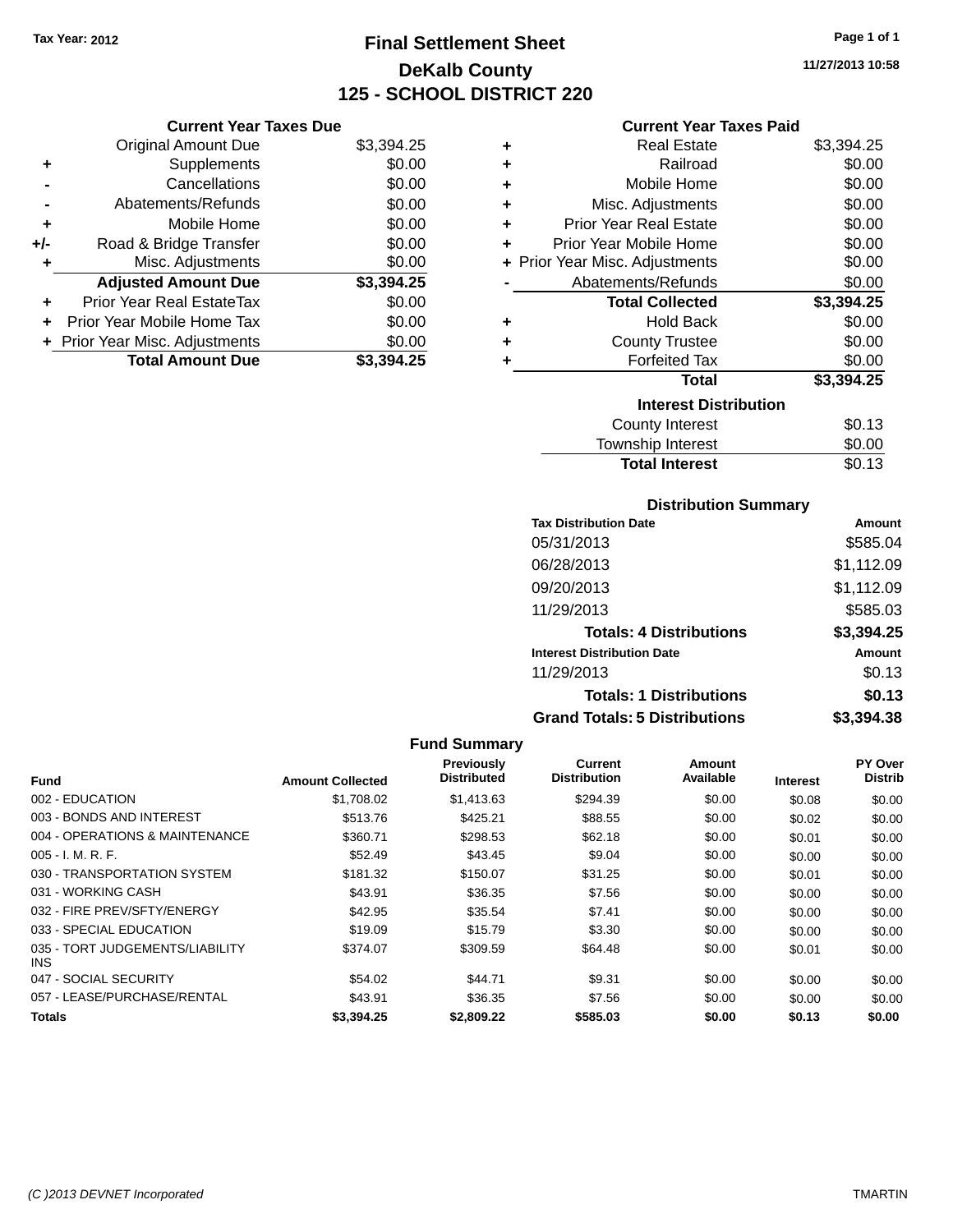# **Final Settlement Sheet Tax Year: 2012 Page 1 of 1 DeKalb County 125 - SCHOOL DISTRICT 220**

**11/27/2013 10:58**

#### **Current Year Taxes Paid**

|     | <b>Current Year Taxes Due</b>  |            |  |  |  |  |
|-----|--------------------------------|------------|--|--|--|--|
|     | <b>Original Amount Due</b>     | \$3,394.25 |  |  |  |  |
| ٠   | Supplements                    | \$0.00     |  |  |  |  |
|     | Cancellations                  | \$0.00     |  |  |  |  |
|     | Abatements/Refunds             | \$0.00     |  |  |  |  |
| ٠   | Mobile Home                    | \$0.00     |  |  |  |  |
| +/- | Road & Bridge Transfer         | \$0.00     |  |  |  |  |
| ٠   | Misc. Adjustments              | \$0.00     |  |  |  |  |
|     | <b>Adjusted Amount Due</b>     | \$3,394.25 |  |  |  |  |
| ٠   | Prior Year Real EstateTax      | \$0.00     |  |  |  |  |
| ÷   | Prior Year Mobile Home Tax     | \$0.00     |  |  |  |  |
|     | + Prior Year Misc. Adjustments | \$0.00     |  |  |  |  |
|     | <b>Total Amount Due</b>        | \$3.394.25 |  |  |  |  |

| ٠ | <b>Real Estate</b>             | \$3,394.25 |
|---|--------------------------------|------------|
| ÷ | Railroad                       | \$0.00     |
| ٠ | Mobile Home                    | \$0.00     |
| ÷ | Misc. Adjustments              | \$0.00     |
| ٠ | <b>Prior Year Real Estate</b>  | \$0.00     |
| ٠ | Prior Year Mobile Home         | \$0.00     |
|   | + Prior Year Misc. Adjustments | \$0.00     |
|   | Abatements/Refunds             | \$0.00     |
|   | <b>Total Collected</b>         | \$3,394.25 |
| ٠ | Hold Back                      | \$0.00     |
| ٠ | <b>County Trustee</b>          | \$0.00     |
| ٠ | <b>Forfeited Tax</b>           | \$0.00     |
|   | Total                          | \$3,394.25 |
|   | <b>Interest Distribution</b>   |            |
|   | County Interest                | \$0.13     |
|   | <b>Township Interest</b>       | \$0.00     |
|   | <b>Total Interest</b>          | \$0.13     |

## **Distribution Summary**

| <b>Tax Distribution Date</b>         | Amount     |
|--------------------------------------|------------|
| 05/31/2013                           | \$585.04   |
| 06/28/2013                           | \$1,112.09 |
| 09/20/2013                           | \$1,112.09 |
| 11/29/2013                           | \$585.03   |
| <b>Totals: 4 Distributions</b>       | \$3,394.25 |
| <b>Interest Distribution Date</b>    | Amount     |
| 11/29/2013                           | \$0.13     |
| <b>Totals: 1 Distributions</b>       | \$0.13     |
| <b>Grand Totals: 5 Distributions</b> | \$3.394.38 |

|                                         |                         | Previously<br><b>Distributed</b> | <b>Current</b><br><b>Distribution</b> | Amount<br>Available |          | PY Over<br><b>Distrib</b> |
|-----------------------------------------|-------------------------|----------------------------------|---------------------------------------|---------------------|----------|---------------------------|
| <b>Fund</b>                             | <b>Amount Collected</b> |                                  |                                       |                     | Interest |                           |
| 002 - EDUCATION                         | \$1,708.02              | \$1,413.63                       | \$294.39                              | \$0.00              | \$0.08   | \$0.00                    |
| 003 - BONDS AND INTEREST                | \$513.76                | \$425.21                         | \$88.55                               | \$0.00              | \$0.02   | \$0.00                    |
| 004 - OPERATIONS & MAINTENANCE          | \$360.71                | \$298.53                         | \$62.18                               | \$0.00              | \$0.01   | \$0.00                    |
| $005 - I. M. R. F.$                     | \$52.49                 | \$43.45                          | \$9.04                                | \$0.00              | \$0.00   | \$0.00                    |
| 030 - TRANSPORTATION SYSTEM             | \$181.32                | \$150.07                         | \$31.25                               | \$0.00              | \$0.01   | \$0.00                    |
| 031 - WORKING CASH                      | \$43.91                 | \$36.35                          | \$7.56                                | \$0.00              | \$0.00   | \$0.00                    |
| 032 - FIRE PREV/SFTY/ENERGY             | \$42.95                 | \$35.54                          | \$7.41                                | \$0.00              | \$0.00   | \$0.00                    |
| 033 - SPECIAL EDUCATION                 | \$19.09                 | \$15.79                          | \$3.30                                | \$0.00              | \$0.00   | \$0.00                    |
| 035 - TORT JUDGEMENTS/LIABILITY<br>INS. | \$374.07                | \$309.59                         | \$64.48                               | \$0.00              | \$0.01   | \$0.00                    |
| 047 - SOCIAL SECURITY                   | \$54.02                 | \$44.71                          | \$9.31                                | \$0.00              | \$0.00   | \$0.00                    |
| 057 - LEASE/PURCHASE/RENTAL             | \$43.91                 | \$36.35                          | \$7.56                                | \$0.00              | \$0.00   | \$0.00                    |
| <b>Totals</b>                           | \$3,394.25              | \$2,809.22                       | \$585.03                              | \$0.00              | \$0.13   | \$0.00                    |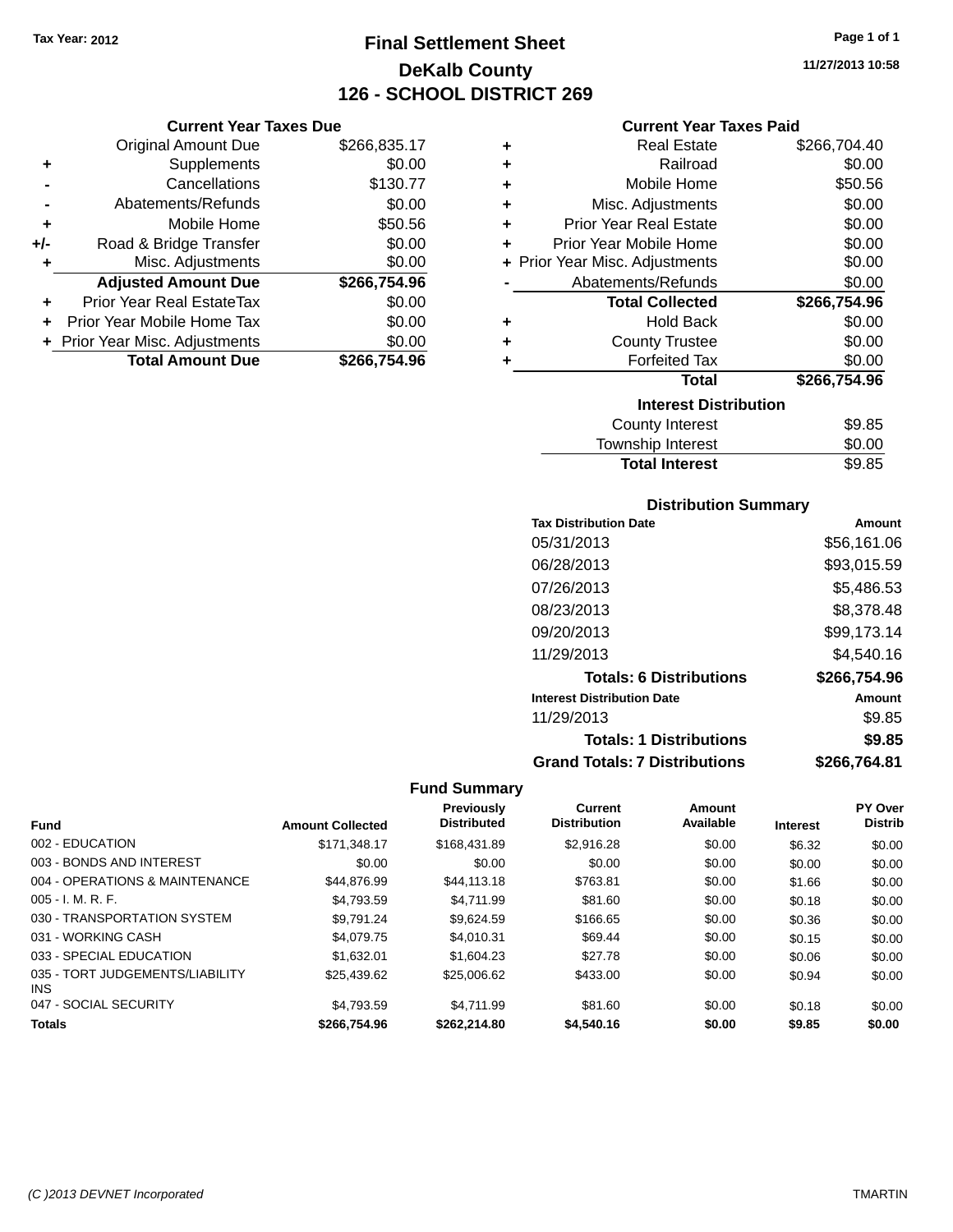**Current Year Taxes Due** Original Amount Due \$266,835.17

**Adjusted Amount Due \$266,754.96**

**Total Amount Due \$266,754.96**

**+** Supplements \$0.00 **-** Cancellations \$130.77 **-** Abatements/Refunds \$0.00 **+** Mobile Home \$50.56 **+/-** Road & Bridge Transfer \$0.00<br> **+** Misc. Adjustments \$0.00

**+** Prior Year Real EstateTax \$0.00 **+** Prior Year Mobile Home Tax \$0.00 **+ Prior Year Misc. Adjustments**  $$0.00$ 

**+** Misc. Adjustments

# **Final Settlement Sheet Tax Year: 2012 Page 1 of 1 DeKalb County 126 - SCHOOL DISTRICT 269**

**11/27/2013 10:58**

#### **Current Year Taxes Paid**

| ٠ | <b>Real Estate</b>                                                                                              | \$266,704.40 |
|---|-----------------------------------------------------------------------------------------------------------------|--------------|
| ÷ | Railroad                                                                                                        | \$0.00       |
| ÷ | Mobile Home                                                                                                     | \$50.56      |
| ÷ | Misc. Adjustments                                                                                               | \$0.00       |
| ٠ | <b>Prior Year Real Estate</b>                                                                                   | \$0.00       |
| ÷ | Prior Year Mobile Home                                                                                          | \$0.00       |
|   | + Prior Year Misc. Adjustments                                                                                  | \$0.00       |
|   | Abatements/Refunds                                                                                              | \$0.00       |
|   | <b>Total Collected</b>                                                                                          | \$266,754.96 |
| ٠ | <b>Hold Back</b>                                                                                                | \$0.00       |
| ٠ | <b>County Trustee</b>                                                                                           | \$0.00       |
| ٠ | <b>Forfeited Tax</b>                                                                                            | \$0.00       |
|   | <b>Total</b>                                                                                                    | \$266,754.96 |
|   | <b>Interest Distribution</b>                                                                                    |              |
|   | <b>County Interest</b>                                                                                          | \$9.85       |
|   | The contract of the contract of the contract of the contract of the contract of the contract of the contract of | ጦጣ ጣጣ        |

#### Township Interest \$0.00 **Total Interest** \$9.85

| <b>Distribution Summary</b>          |              |
|--------------------------------------|--------------|
| <b>Tax Distribution Date</b>         | Amount       |
| 05/31/2013                           | \$56,161.06  |
| 06/28/2013                           | \$93,015.59  |
| 07/26/2013                           | \$5,486.53   |
| 08/23/2013                           | \$8,378.48   |
| 09/20/2013                           | \$99,173.14  |
| 11/29/2013                           | \$4,540.16   |
| <b>Totals: 6 Distributions</b>       | \$266,754.96 |
| <b>Interest Distribution Date</b>    | Amount       |
| 11/29/2013                           | \$9.85       |
| <b>Totals: 1 Distributions</b>       | \$9.85       |
| <b>Grand Totals: 7 Distributions</b> | \$266,764.81 |

| <b>Fund</b>                             | <b>Amount Collected</b> | <b>Previously</b><br><b>Distributed</b> | <b>Current</b><br><b>Distribution</b> | Amount<br>Available | <b>Interest</b> | <b>PY Over</b><br><b>Distrib</b> |
|-----------------------------------------|-------------------------|-----------------------------------------|---------------------------------------|---------------------|-----------------|----------------------------------|
| 002 - EDUCATION                         | \$171.348.17            | \$168,431.89                            | \$2.916.28                            | \$0.00              | \$6.32          | \$0.00                           |
| 003 - BONDS AND INTEREST                | \$0.00                  | \$0.00                                  | \$0.00                                | \$0.00              | \$0.00          | \$0.00                           |
| 004 - OPERATIONS & MAINTENANCE          | \$44.876.99             | \$44,113,18                             | \$763.81                              | \$0.00              | \$1.66          | \$0.00                           |
| $005 - I. M. R. F.$                     | \$4.793.59              | \$4.711.99                              | \$81.60                               | \$0.00              | \$0.18          | \$0.00                           |
| 030 - TRANSPORTATION SYSTEM             | \$9.791.24              | \$9.624.59                              | \$166.65                              | \$0.00              | \$0.36          | \$0.00                           |
| 031 - WORKING CASH                      | \$4,079.75              | \$4.010.31                              | \$69.44                               | \$0.00              | \$0.15          | \$0.00                           |
| 033 - SPECIAL EDUCATION                 | \$1.632.01              | \$1,604.23                              | \$27.78                               | \$0.00              | \$0.06          | \$0.00                           |
| 035 - TORT JUDGEMENTS/LIABILITY<br>INS. | \$25,439.62             | \$25,006.62                             | \$433.00                              | \$0.00              | \$0.94          | \$0.00                           |
| 047 - SOCIAL SECURITY                   | \$4.793.59              | \$4.711.99                              | \$81.60                               | \$0.00              | \$0.18          | \$0.00                           |
| <b>Totals</b>                           | \$266,754.96            | \$262,214.80                            | \$4,540.16                            | \$0.00              | \$9.85          | \$0.00                           |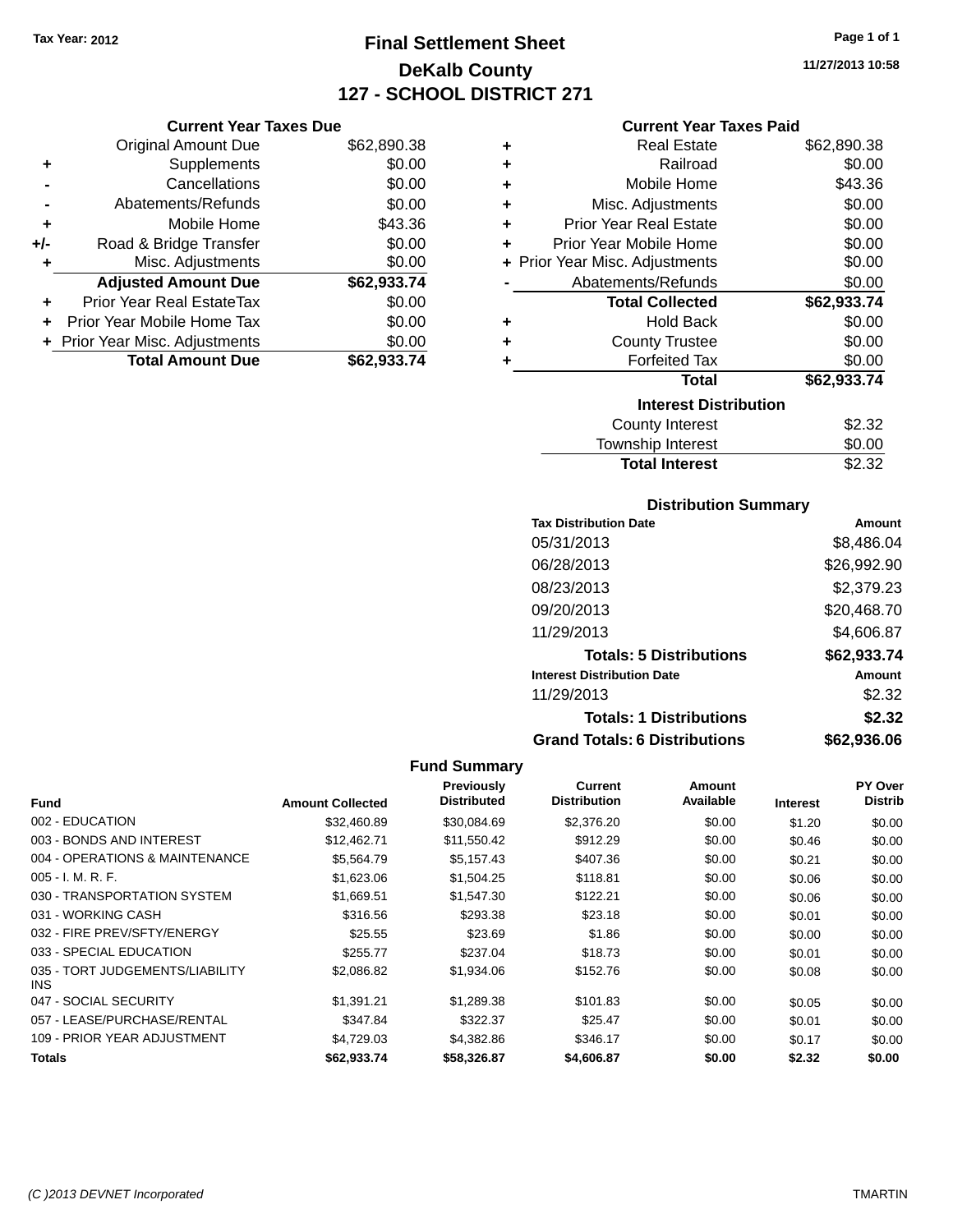# **Final Settlement Sheet Tax Year: 2012 Page 1 of 1 DeKalb County 127 - SCHOOL DISTRICT 271**

**11/27/2013 10:58**

### **Current Year Taxes Paid**

|     | <b>Current Year Taxes Due</b>  |             |
|-----|--------------------------------|-------------|
|     | <b>Original Amount Due</b>     | \$62,890.38 |
| ٠   | Supplements                    | \$0.00      |
|     | Cancellations                  | \$0.00      |
|     | Abatements/Refunds             | \$0.00      |
| ٠   | Mobile Home                    | \$43.36     |
| +/- | Road & Bridge Transfer         | \$0.00      |
| ٠   | Misc. Adjustments              | \$0.00      |
|     | <b>Adjusted Amount Due</b>     | \$62,933.74 |
|     | Prior Year Real EstateTax      | \$0.00      |
| ٠   | Prior Year Mobile Home Tax     | \$0.00      |
|     | + Prior Year Misc. Adjustments | \$0.00      |
|     | <b>Total Amount Due</b>        | \$62.933.74 |

| ٠ | <b>Real Estate</b>             | \$62,890.38 |
|---|--------------------------------|-------------|
| ٠ | Railroad                       | \$0.00      |
| ٠ | Mobile Home                    | \$43.36     |
| ٠ | Misc. Adjustments              | \$0.00      |
| ٠ | <b>Prior Year Real Estate</b>  | \$0.00      |
| ٠ | Prior Year Mobile Home         | \$0.00      |
|   | + Prior Year Misc. Adjustments | \$0.00      |
|   | Abatements/Refunds             | \$0.00      |
|   | <b>Total Collected</b>         | \$62,933.74 |
| ٠ | Hold Back                      | \$0.00      |
| ٠ | <b>County Trustee</b>          | \$0.00      |
| ٠ | <b>Forfeited Tax</b>           | \$0.00      |
|   | <b>Total</b>                   | \$62,933.74 |
|   | <b>Interest Distribution</b>   |             |
|   | <b>County Interest</b>         | \$2.32      |
|   | <b>Township Interest</b>       | \$0.00      |
|   | <b>Total Interest</b>          | \$2.32      |

## **Distribution Summary**

| <b>Tax Distribution Date</b>         | Amount        |
|--------------------------------------|---------------|
| 05/31/2013                           | \$8,486.04    |
| 06/28/2013                           | \$26,992.90   |
| 08/23/2013                           | \$2,379.23    |
| 09/20/2013                           | \$20,468.70   |
| 11/29/2013                           | \$4,606.87    |
| <b>Totals: 5 Distributions</b>       | \$62,933.74   |
| <b>Interest Distribution Date</b>    | <b>Amount</b> |
| 11/29/2013                           | \$2.32        |
| <b>Totals: 1 Distributions</b>       | \$2.32        |
| <b>Grand Totals: 6 Distributions</b> | \$62,936.06   |

| Fund                                    | <b>Amount Collected</b> | <b>Previously</b><br><b>Distributed</b> | Current<br><b>Distribution</b> | Amount<br>Available | <b>Interest</b> | PY Over<br><b>Distrib</b> |
|-----------------------------------------|-------------------------|-----------------------------------------|--------------------------------|---------------------|-----------------|---------------------------|
|                                         |                         |                                         |                                |                     |                 |                           |
| 002 - EDUCATION                         | \$32,460.89             | \$30,084.69                             | \$2,376.20                     | \$0.00              | \$1.20          | \$0.00                    |
| 003 - BONDS AND INTEREST                | \$12,462.71             | \$11,550.42                             | \$912.29                       | \$0.00              | \$0.46          | \$0.00                    |
| 004 - OPERATIONS & MAINTENANCE          | \$5,564.79              | \$5,157.43                              | \$407.36                       | \$0.00              | \$0.21          | \$0.00                    |
| $005 - I. M. R. F.$                     | \$1,623.06              | \$1.504.25                              | \$118.81                       | \$0.00              | \$0.06          | \$0.00                    |
| 030 - TRANSPORTATION SYSTEM             | \$1,669.51              | \$1,547.30                              | \$122.21                       | \$0.00              | \$0.06          | \$0.00                    |
| 031 - WORKING CASH                      | \$316.56                | \$293.38                                | \$23.18                        | \$0.00              | \$0.01          | \$0.00                    |
| 032 - FIRE PREV/SFTY/ENERGY             | \$25.55                 | \$23.69                                 | \$1.86                         | \$0.00              | \$0.00          | \$0.00                    |
| 033 - SPECIAL EDUCATION                 | \$255.77                | \$237.04                                | \$18.73                        | \$0.00              | \$0.01          | \$0.00                    |
| 035 - TORT JUDGEMENTS/LIABILITY<br>INS. | \$2,086.82              | \$1,934.06                              | \$152.76                       | \$0.00              | \$0.08          | \$0.00                    |
| 047 - SOCIAL SECURITY                   | \$1,391.21              | \$1,289.38                              | \$101.83                       | \$0.00              | \$0.05          | \$0.00                    |
| 057 - LEASE/PURCHASE/RENTAL             | \$347.84                | \$322.37                                | \$25.47                        | \$0.00              | \$0.01          | \$0.00                    |
| 109 - PRIOR YEAR ADJUSTMENT             | \$4,729.03              | \$4,382.86                              | \$346.17                       | \$0.00              | \$0.17          | \$0.00                    |
| Totals                                  | \$62.933.74             | \$58,326.87                             | \$4,606.87                     | \$0.00              | \$2.32          | \$0.00                    |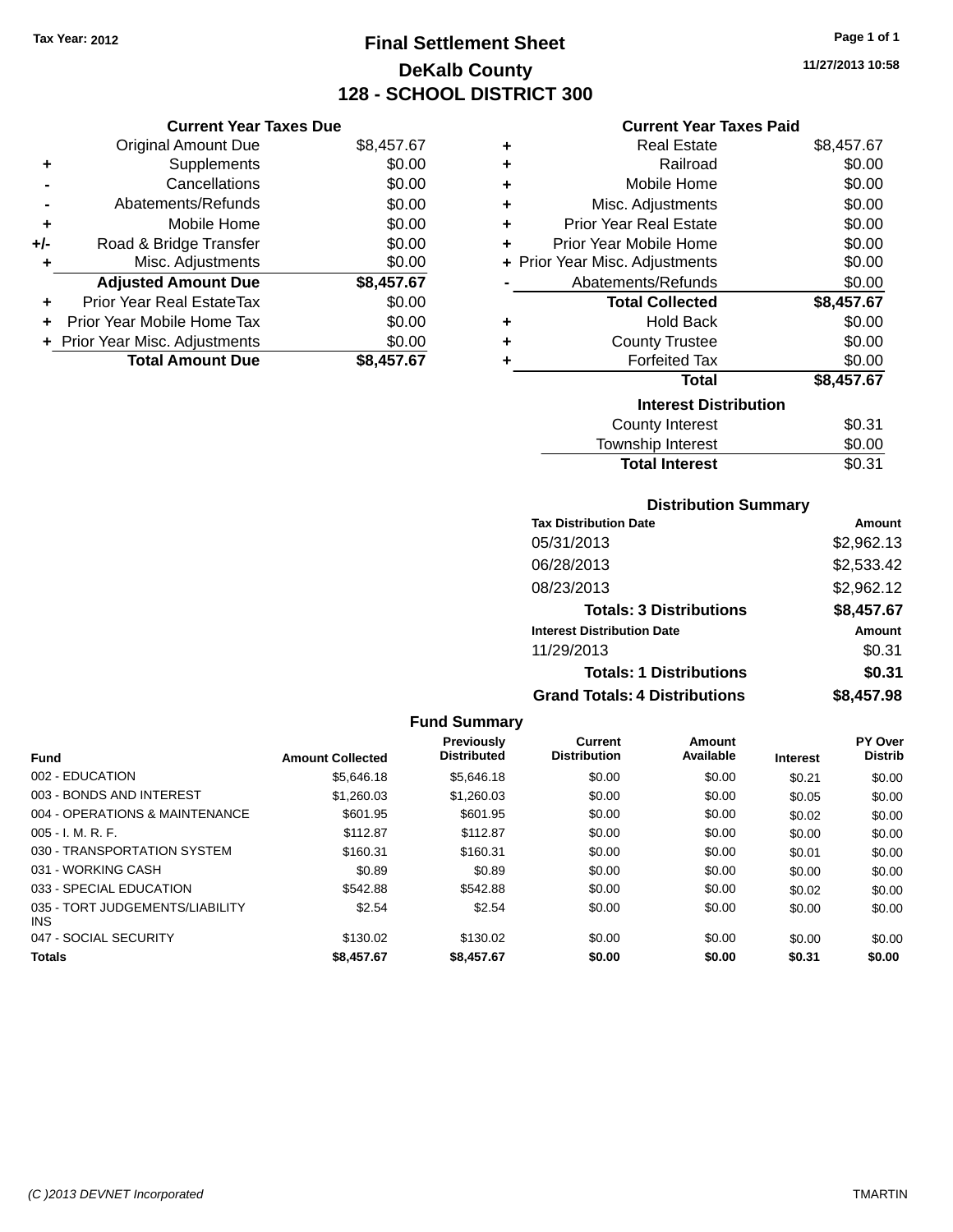# **Final Settlement Sheet Tax Year: 2012 Page 1 of 1 DeKalb County 128 - SCHOOL DISTRICT 300**

**11/27/2013 10:58**

| <b>Current Year Taxes Paid</b> |  |  |  |
|--------------------------------|--|--|--|
|--------------------------------|--|--|--|

|       | <b>Current Year Taxes Due</b>    |            |   | Curi                  |
|-------|----------------------------------|------------|---|-----------------------|
|       | Original Amount Due              | \$8,457.67 | ٠ | R٥                    |
|       | <b>Supplements</b>               | \$0.00     | ٠ |                       |
|       | Cancellations                    | \$0.00     | ٠ | Mot                   |
|       | Abatements/Refunds               | \$0.00     | ٠ | Misc. Ad              |
|       | Mobile Home                      | \$0.00     | ٠ | Prior Year Re         |
| $+/-$ | Road & Bridge Transfer           | \$0.00     |   | <b>Prior Year Mot</b> |
|       | Misc. Adjustments                | \$0.00     |   | + Prior Year Misc. Ad |
|       | <b>Adjusted Amount Due</b>       | \$8,457.67 |   | Abatements            |
|       | <b>Prior Year Real EstateTax</b> | \$0.00     |   | Total (               |
|       | Prior Year Mobile Home Tax       | \$0.00     | ٠ |                       |
|       | + Prior Year Misc. Adjustments   | \$0.00     | ٠ | Count                 |
|       | <b>Total Amount Due</b>          | \$8,457.67 |   | For                   |
|       |                                  |            |   |                       |

| ÷ | <b>Real Estate</b>             | \$8,457.67 |
|---|--------------------------------|------------|
| ÷ | Railroad                       | \$0.00     |
| ÷ | Mobile Home                    | \$0.00     |
| ٠ | Misc. Adjustments              | \$0.00     |
| ÷ | Prior Year Real Estate         | \$0.00     |
| ٠ | Prior Year Mobile Home         | \$0.00     |
|   | + Prior Year Misc. Adjustments | \$0.00     |
|   | Abatements/Refunds             | \$0.00     |
|   |                                |            |
|   | <b>Total Collected</b>         | \$8,457.67 |
| ÷ | <b>Hold Back</b>               | \$0.00     |
| ٠ | <b>County Trustee</b>          | \$0.00     |
| ٠ | <b>Forfeited Tax</b>           | \$0.00     |
|   | <b>Total</b>                   | \$8,457.67 |
|   | <b>Interest Distribution</b>   |            |
|   | <b>County Interest</b>         | \$0.31     |

# **Total Interest** \$0.31

| <b>Distribution Summary</b>       |            |
|-----------------------------------|------------|
| <b>Tax Distribution Date</b>      | Amount     |
| 05/31/2013                        | \$2,962.13 |
| 06/28/2013                        | \$2,533.42 |
| 08/23/2013                        | \$2,962.12 |
| <b>Totals: 3 Distributions</b>    | \$8,457.67 |
| <b>Interest Distribution Date</b> | Amount     |
| 11/29/2013                        | \$0.31     |
| <b>Totals: 1 Distributions</b>    | \$0.31     |

**Grand Totals: 4 Distributions \$8,457.98**

| CO AET NO |
|-----------|
| \$0.31    |
| \$0.31    |

| ⊎∪.ບ ເ     |  |
|------------|--|
| \$0.31     |  |
| \$8,457.98 |  |
|            |  |

|                                         |                         | <b>Fund Summary</b>                     |                                       |                     |                 |                           |
|-----------------------------------------|-------------------------|-----------------------------------------|---------------------------------------|---------------------|-----------------|---------------------------|
| <b>Fund</b>                             | <b>Amount Collected</b> | <b>Previously</b><br><b>Distributed</b> | <b>Current</b><br><b>Distribution</b> | Amount<br>Available | <b>Interest</b> | PY Over<br><b>Distrib</b> |
| 002 - EDUCATION                         | \$5,646.18              | \$5.646.18                              | \$0.00                                | \$0.00              | \$0.21          | \$0.00                    |
| 003 - BONDS AND INTEREST                | \$1,260.03              | \$1,260.03                              | \$0.00                                | \$0.00              | \$0.05          | \$0.00                    |
| 004 - OPERATIONS & MAINTENANCE          | \$601.95                | \$601.95                                | \$0.00                                | \$0.00              | \$0.02          | \$0.00                    |
| 005 - I. M. R. F.                       | \$112.87                | \$112.87                                | \$0.00                                | \$0.00              | \$0.00          | \$0.00                    |
| 030 - TRANSPORTATION SYSTEM             | \$160.31                | \$160.31                                | \$0.00                                | \$0.00              | \$0.01          | \$0.00                    |
| 031 - WORKING CASH                      | \$0.89                  | \$0.89                                  | \$0.00                                | \$0.00              | \$0.00          | \$0.00                    |
| 033 - SPECIAL EDUCATION                 | \$542.88                | \$542.88                                | \$0.00                                | \$0.00              | \$0.02          | \$0.00                    |
| 035 - TORT JUDGEMENTS/LIABILITY<br>INS. | \$2.54                  | \$2.54                                  | \$0.00                                | \$0.00              | \$0.00          | \$0.00                    |
| 047 - SOCIAL SECURITY                   | \$130.02                | \$130.02                                | \$0.00                                | \$0.00              | \$0.00          | \$0.00                    |
| <b>Totals</b>                           | \$8,457.67              | \$8,457.67                              | \$0.00                                | \$0.00              | \$0.31          | \$0.00                    |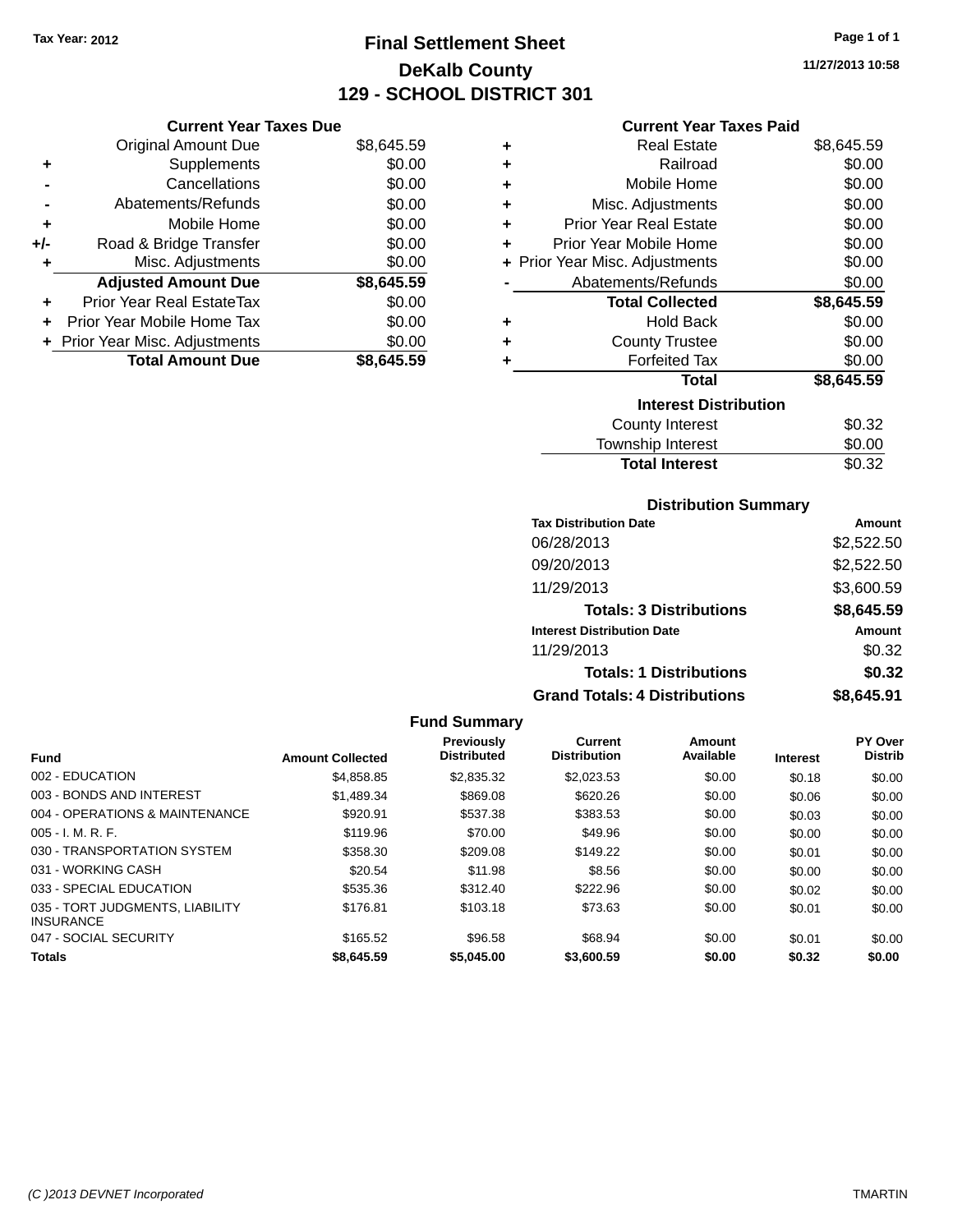# **Final Settlement Sheet Tax Year: 2012 Page 1 of 1 DeKalb County 129 - SCHOOL DISTRICT 301**

**11/27/2013 10:58**

|       | <b>Original Amount Due</b>     | \$8,645.59 |
|-------|--------------------------------|------------|
| ٠     | Supplements                    | \$0.00     |
|       | Cancellations                  | \$0.00     |
|       | Abatements/Refunds             | \$0.00     |
| ÷     | Mobile Home                    | \$0.00     |
| $+/-$ | Road & Bridge Transfer         | \$0.00     |
|       | Misc. Adjustments              | \$0.00     |
|       | <b>Adjusted Amount Due</b>     | \$8,645.59 |
| ÷     | Prior Year Real EstateTax      | \$0.00     |
|       | Prior Year Mobile Home Tax     | \$0.00     |
|       | + Prior Year Misc. Adjustments | \$0.00     |
|       | <b>Total Amount Due</b>        | \$8,645.59 |

**Current Year Taxes Due**

#### **Current Year Taxes Paid**

| ٠ | <b>Real Estate</b>             | \$8,645.59 |
|---|--------------------------------|------------|
| ÷ | Railroad                       | \$0.00     |
| ٠ | Mobile Home                    | \$0.00     |
| ٠ | Misc. Adjustments              | \$0.00     |
| ٠ | <b>Prior Year Real Estate</b>  | \$0.00     |
| ٠ | Prior Year Mobile Home         | \$0.00     |
|   | + Prior Year Misc. Adjustments | \$0.00     |
|   | Abatements/Refunds             | \$0.00     |
|   |                                |            |
|   | <b>Total Collected</b>         | \$8,645.59 |
| ٠ | <b>Hold Back</b>               | \$0.00     |
| ÷ | <b>County Trustee</b>          | \$0.00     |
| ٠ | <b>Forfeited Tax</b>           | \$0.00     |
|   | <b>Total</b>                   | \$8,645.59 |
|   | <b>Interest Distribution</b>   |            |
|   | County Interest                | \$0.32     |

# **Total Interest** \$0.32

| <b>Distribution Summary</b>          |            |
|--------------------------------------|------------|
| <b>Tax Distribution Date</b>         | Amount     |
| 06/28/2013                           | \$2,522.50 |
| 09/20/2013                           | \$2,522.50 |
| 11/29/2013                           | \$3,600.59 |
| <b>Totals: 3 Distributions</b>       | \$8,645.59 |
| <b>Interest Distribution Date</b>    | Amount     |
| 11/29/2013                           | \$0.32     |
| <b>Totals: 1 Distributions</b>       | \$0.32     |
| <b>Grand Totals: 4 Distributions</b> | \$8,645.91 |

#### **Fund Summary Fund Interest Amount Collected Distributed PY Over Distrib Amount Available Current Distribution Previously** 002 - EDUCATION \$4,858.85 \$2,835.32 \$2,023.53 \$0.00 \$0.18 \$0.00 003 - BONDS AND INTEREST 60.00 \$1,489.34 \$869.08 \$620.26 \$0.00 \$0.00 \$0.00 \$0.00 004 - OPERATIONS & MAINTENANCE \$920.91 \$537.38 \$383.53 \$0.00 \$0.03 \$0.00 005 - I. M. R. F. \$119.96 \$70.00 \$49.96 \$0.00 \$0.00 \$0.00 030 - TRANSPORTATION SYSTEM \$358.30 \$209.08 \$149.22 \$0.00 \$0.01 \$0.00 031 - WORKING CASH \$10.00 \$20.54 \$11.98 \$8.56 \$0.00 \$0.00 \$0.00 \$0.00 033 - SPECIAL EDUCATION 6535.36 \$312.40 \$222.96 \$0.00 \$0.02 \$0.00 035 - TORT JUDGMENTS, LIABILITY INSURANCE \$176.81 \$103.18 \$73.63 \$0.00 \$0.01 \$0.00 047 - SOCIAL SECURITY \$165.52 \$96.58 \$0.00 \$0.01 \$0.00 \$0.00 \$0.00 **Totals \$8,645.59 \$5,045.00 \$3,600.59 \$0.00 \$0.32 \$0.00**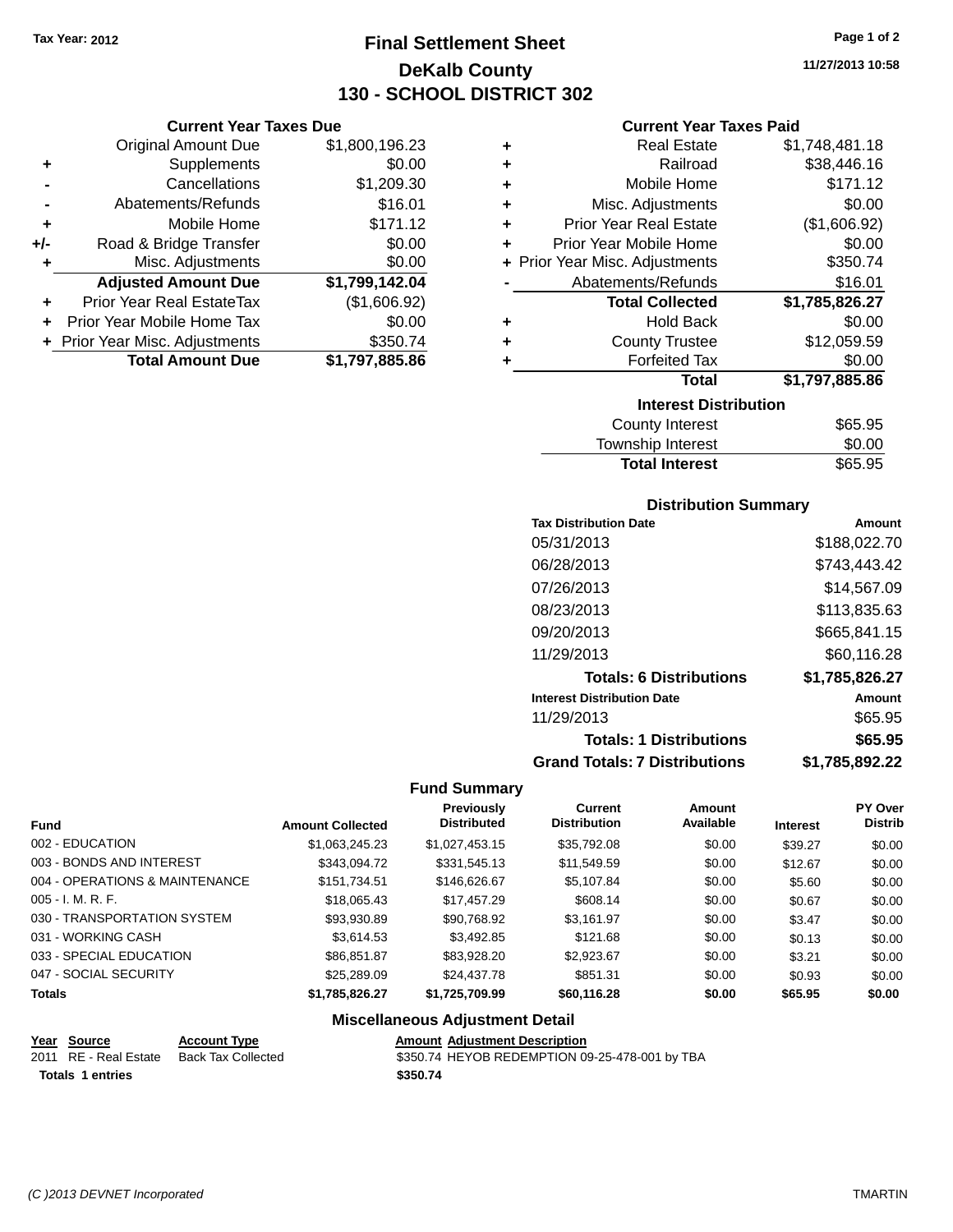**Current Year Taxes Due** Original Amount Due \$1,800,196.23

**Adjusted Amount Due \$1,799,142.04**

**Total Amount Due \$1,797,885.86**

**+** Supplements \$0.00 **-** Cancellations \$1,209.30 **-** Abatements/Refunds \$16.01 **+** Mobile Home \$171.12 **+/-** Road & Bridge Transfer \$0.00 **+** Misc. Adjustments \$0.00

**+** Prior Year Real EstateTax (\$1,606.92) **+** Prior Year Mobile Home Tax \$0.00 **+** Prior Year Misc. Adjustments \$350.74

# **Final Settlement Sheet Tax Year: 2012 Page 1 of 2 DeKalb County 130 - SCHOOL DISTRICT 302**

**Current Year Taxes Paid**

|   | Gurrent fear Taxes Palu        |                |
|---|--------------------------------|----------------|
| ٠ | <b>Real Estate</b>             | \$1,748,481.18 |
| ÷ | Railroad                       | \$38,446.16    |
| ٠ | Mobile Home                    | \$171.12       |
| ٠ | Misc. Adjustments              | \$0.00         |
| ÷ | <b>Prior Year Real Estate</b>  | (\$1,606.92)   |
| ٠ | Prior Year Mobile Home         | \$0.00         |
|   | + Prior Year Misc. Adjustments | \$350.74       |
|   | Abatements/Refunds             | \$16.01        |
|   | <b>Total Collected</b>         | \$1,785,826.27 |
| ٠ | <b>Hold Back</b>               | \$0.00         |
| ٠ | <b>County Trustee</b>          | \$12,059.59    |
| ٠ | <b>Forfeited Tax</b>           | \$0.00         |
|   | <b>Total</b>                   | \$1,797,885.86 |
|   | <b>Interest Distribution</b>   |                |
|   | <b>County Interest</b>         | \$65.95        |
|   |                                | ີ ລ            |

| <b>Total Interest</b> | \$65.95 |
|-----------------------|---------|
| Township Interest     | \$0.00  |
| County Interest       | \$65.95 |

#### **Distribution Summary**

| <b>Tax Distribution Date</b>         | Amount         |
|--------------------------------------|----------------|
| 05/31/2013                           | \$188,022.70   |
| 06/28/2013                           | \$743,443.42   |
| 07/26/2013                           | \$14,567.09    |
| 08/23/2013                           | \$113,835.63   |
| 09/20/2013                           | \$665,841.15   |
| 11/29/2013                           | \$60,116.28    |
| <b>Totals: 6 Distributions</b>       | \$1,785,826.27 |
| <b>Interest Distribution Date</b>    | Amount         |
| 11/29/2013                           | \$65.95        |
| <b>Totals: 1 Distributions</b>       | \$65.95        |
| <b>Grand Totals: 7 Distributions</b> | \$1,785,892.22 |

#### **Fund Summary**

| <b>Fund</b>                    | <b>Amount Collected</b> | Previously<br><b>Distributed</b> | Current<br><b>Distribution</b> | Amount<br>Available | <b>Interest</b> | <b>PY Over</b><br><b>Distrib</b> |
|--------------------------------|-------------------------|----------------------------------|--------------------------------|---------------------|-----------------|----------------------------------|
| 002 - EDUCATION                | \$1,063,245.23          | \$1,027,453.15                   | \$35,792.08                    | \$0.00              | \$39.27         | \$0.00                           |
| 003 - BONDS AND INTEREST       | \$343,094.72            | \$331,545.13                     | \$11,549.59                    | \$0.00              | \$12.67         | \$0.00                           |
| 004 - OPERATIONS & MAINTENANCE | \$151,734.51            | \$146,626.67                     | \$5,107.84                     | \$0.00              | \$5.60          | \$0.00                           |
| $005 - I. M. R. F.$            | \$18,065,43             | \$17,457.29                      | \$608.14                       | \$0.00              | \$0.67          | \$0.00                           |
| 030 - TRANSPORTATION SYSTEM    | \$93,930.89             | \$90.768.92                      | \$3.161.97                     | \$0.00              | \$3.47          | \$0.00                           |
| 031 - WORKING CASH             | \$3.614.53              | \$3,492.85                       | \$121.68                       | \$0.00              | \$0.13          | \$0.00                           |
| 033 - SPECIAL EDUCATION        | \$86.851.87             | \$83.928.20                      | \$2,923.67                     | \$0.00              | \$3.21          | \$0.00                           |
| 047 - SOCIAL SECURITY          | \$25,289.09             | \$24,437.78                      | \$851.31                       | \$0.00              | \$0.93          | \$0.00                           |
| <b>Totals</b>                  | \$1,785,826.27          | \$1,725,709.99                   | \$60,116.28                    | \$0.00              | \$65.95         | \$0.00                           |

### **Miscellaneous Adjustment Detail**

**Totals 1 entries \$350.74**

**<u>Year Source</u> <b>Account Type Amount Adjustment Description**<br>
2011 RE - Real Estate Back Tax Collected \$350.74 HEYOB REDEMPTION 09 \$350.74 HEYOB REDEMPTION 09-25-478-001 by TBA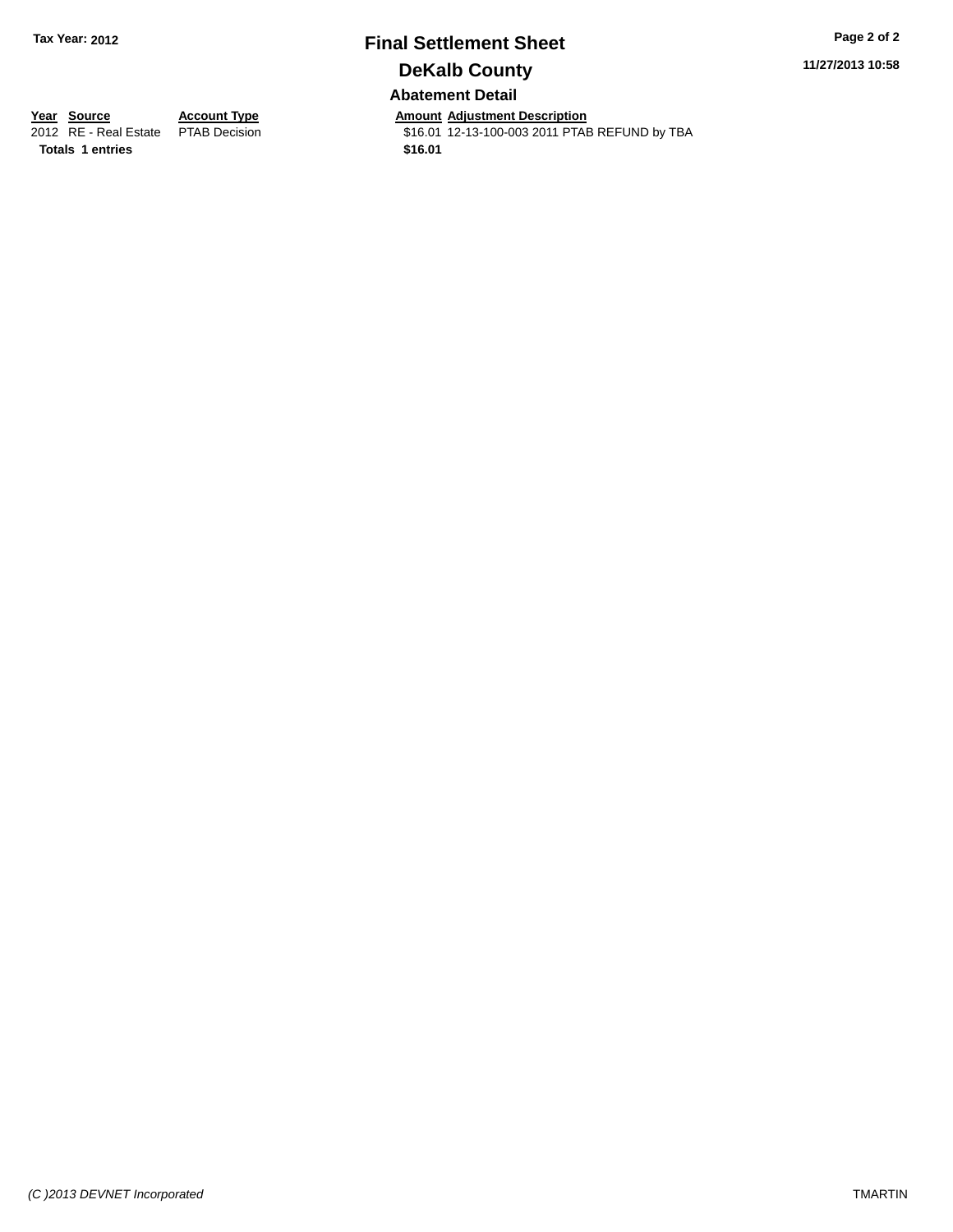## **Final Settlement Sheet Tax Year: 2012 Page 2 of 2 DeKalb County Abatement Detail**

**11/27/2013 10:58**

**Totals 1 entries \$16.01**

**Year Source Account Type Amount Adjustment Description**<br>2012 RE - Real Estate PTAB Decision **Amount 12-13-100-003 2011 PTAE** \$16.01 12-13-100-003 2011 PTAB REFUND by TBA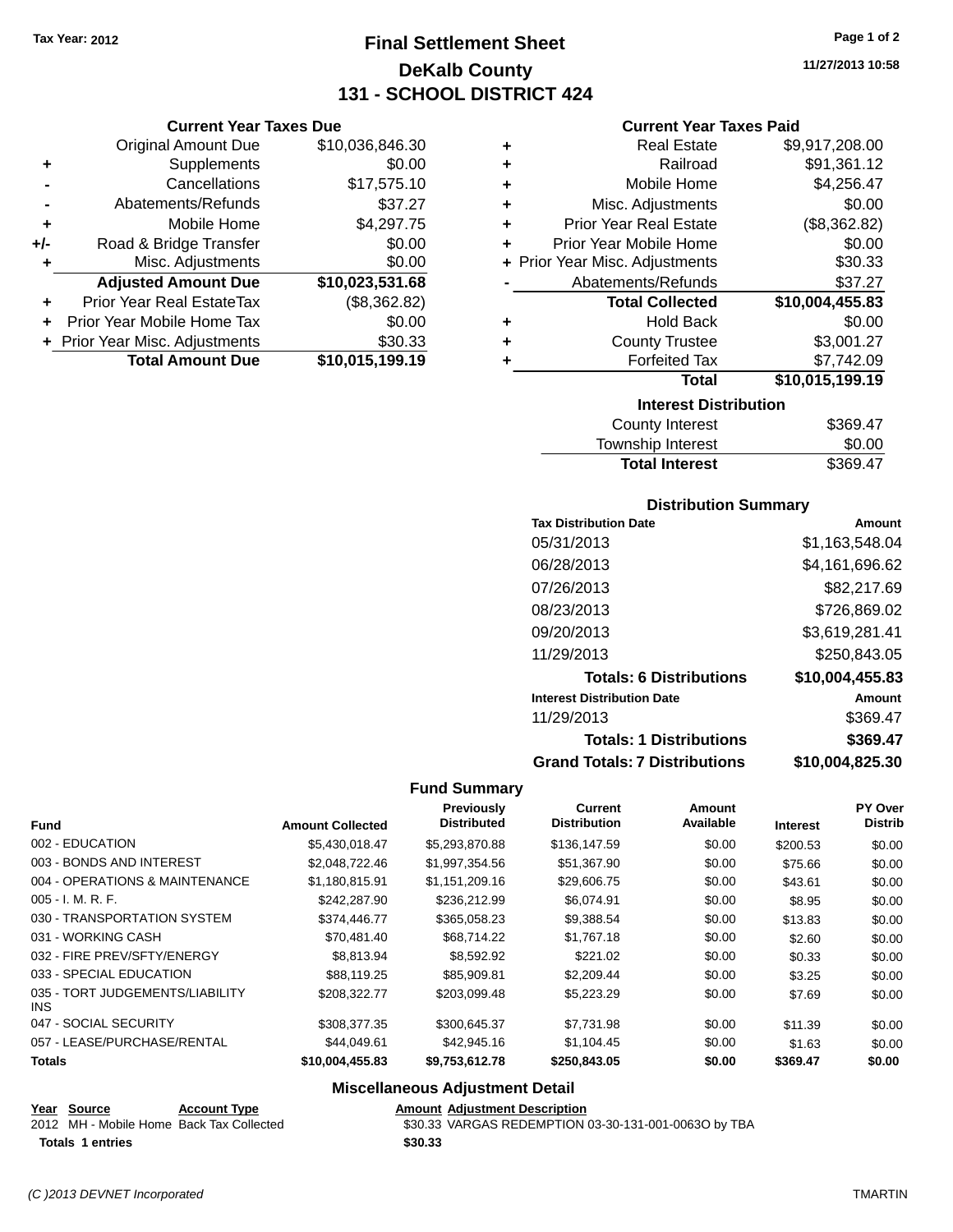**Current Year Taxes Due** Original Amount Due \$10,036,846.30

**Adjusted Amount Due \$10,023,531.68**

**Total Amount Due \$10,015,199.19**

**+** Supplements \$0.00 **-** Cancellations \$17,575.10 **-** Abatements/Refunds \$37.27 **+** Mobile Home \$4,297.75 **+/-** Road & Bridge Transfer \$0.00 **+** Misc. Adjustments \$0.00

**+** Prior Year Real EstateTax (\$8,362.82) **+** Prior Year Mobile Home Tax \$0.00 **+** Prior Year Misc. Adjustments \$30.33

# **Final Settlement Sheet Tax Year: 2012 Page 1 of 2 DeKalb County 131 - SCHOOL DISTRICT 424**

**11/27/2013 10:58**

#### **Current Year Taxes Paid**

| ٠ | <b>Real Estate</b>             | \$9,917,208.00  |
|---|--------------------------------|-----------------|
| ٠ | Railroad                       | \$91,361.12     |
| ٠ | Mobile Home                    | \$4,256.47      |
| ÷ | Misc. Adjustments              | \$0.00          |
| ٠ | <b>Prior Year Real Estate</b>  | (\$8,362.82)    |
| ٠ | Prior Year Mobile Home         | \$0.00          |
|   | + Prior Year Misc. Adjustments | \$30.33         |
|   | Abatements/Refunds             | \$37.27         |
|   | <b>Total Collected</b>         | \$10,004,455.83 |
| ٠ | <b>Hold Back</b>               | \$0.00          |
| ٠ | <b>County Trustee</b>          | \$3,001.27      |
| ٠ | <b>Forfeited Tax</b>           | \$7,742.09      |
|   | <b>Total</b>                   | \$10,015,199.19 |
|   | <b>Interest Distribution</b>   |                 |
|   | County Interest                | R260 17         |

| <b>County Interest</b> | \$369.47 |
|------------------------|----------|
| Township Interest      | \$0.00   |
| <b>Total Interest</b>  | \$369.47 |

#### **Distribution Summary**

| <b>Tax Distribution Date</b>         | Amount          |
|--------------------------------------|-----------------|
| 05/31/2013                           | \$1,163,548.04  |
| 06/28/2013                           | \$4,161,696.62  |
| 07/26/2013                           | \$82,217.69     |
| 08/23/2013                           | \$726,869.02    |
| 09/20/2013                           | \$3,619,281.41  |
| 11/29/2013                           | \$250,843.05    |
| <b>Totals: 6 Distributions</b>       | \$10,004,455.83 |
| <b>Interest Distribution Date</b>    | Amount          |
| 11/29/2013                           | \$369.47        |
| <b>Totals: 1 Distributions</b>       | \$369.47        |
| <b>Grand Totals: 7 Distributions</b> | \$10,004,825.30 |

#### **Fund Summary**

| <b>Fund</b>                             | <b>Amount Collected</b> | Previously<br><b>Distributed</b> | <b>Current</b><br><b>Distribution</b> | <b>Amount</b><br>Available | <b>Interest</b> | PY Over<br><b>Distrib</b> |
|-----------------------------------------|-------------------------|----------------------------------|---------------------------------------|----------------------------|-----------------|---------------------------|
| 002 - EDUCATION                         | \$5.430.018.47          | \$5,293,870,88                   | \$136,147.59                          | \$0.00                     | \$200.53        | \$0.00                    |
| 003 - BONDS AND INTEREST                | \$2,048,722.46          | \$1.997.354.56                   | \$51,367.90                           | \$0.00                     | \$75.66         | \$0.00                    |
| 004 - OPERATIONS & MAINTENANCE          | \$1,180,815.91          | \$1,151,209.16                   | \$29,606.75                           | \$0.00                     | \$43.61         | \$0.00                    |
| $005 - I. M. R. F.$                     | \$242,287.90            | \$236,212.99                     | \$6,074.91                            | \$0.00                     | \$8.95          | \$0.00                    |
| 030 - TRANSPORTATION SYSTEM             | \$374.446.77            | \$365.058.23                     | \$9,388.54                            | \$0.00                     | \$13.83         | \$0.00                    |
| 031 - WORKING CASH                      | \$70,481.40             | \$68,714.22                      | \$1,767.18                            | \$0.00                     | \$2.60          | \$0.00                    |
| 032 - FIRE PREV/SFTY/ENERGY             | \$8,813.94              | \$8.592.92                       | \$221.02                              | \$0.00                     | \$0.33          | \$0.00                    |
| 033 - SPECIAL EDUCATION                 | \$88,119.25             | \$85,909.81                      | \$2,209.44                            | \$0.00                     | \$3.25          | \$0.00                    |
| 035 - TORT JUDGEMENTS/LIABILITY<br>INS. | \$208,322,77            | \$203.099.48                     | \$5,223.29                            | \$0.00                     | \$7.69          | \$0.00                    |
| 047 - SOCIAL SECURITY                   | \$308,377,35            | \$300.645.37                     | \$7.731.98                            | \$0.00                     | \$11.39         | \$0.00                    |
| 057 - LEASE/PURCHASE/RENTAL             | \$44.049.61             | \$42,945.16                      | \$1.104.45                            | \$0.00                     | \$1.63          | \$0.00                    |
| <b>Totals</b>                           | \$10,004,455.83         | \$9,753,612.78                   | \$250,843.05                          | \$0.00                     | \$369.47        | \$0.00                    |

## **Miscellaneous Adjustment Detail**

**Year Source Account Type Amount Adjustment Description**

**Totals 1 entries \$30.33**

2012 MH - Mobile Home Back Tax Collected \$30.33 VARGAS REDEMPTION 03-30-131-001-0063O by TBA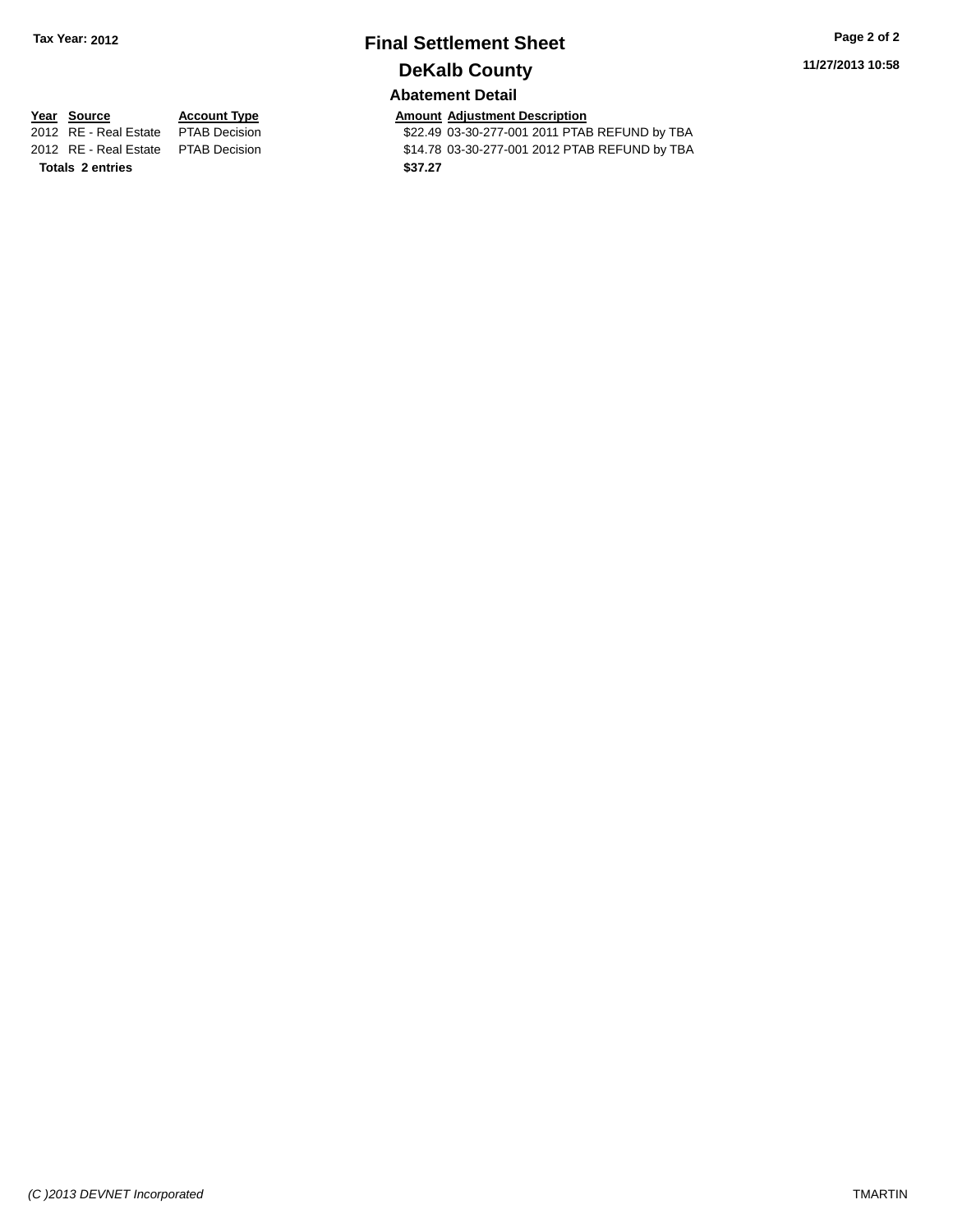# **Final Settlement Sheet Tax Year: 2012 Page 2 of 2 DeKalb County**

**11/27/2013 10:58**

### **Abatement Detail**

\$22.49 03-30-277-001 2011 PTAB REFUND by TBA 2012 RE - Real Estate PTAB Decision \$14.78 03-30-277-001 2012 PTAB REFUND by TBA

**Totals 2 entries \$37.27**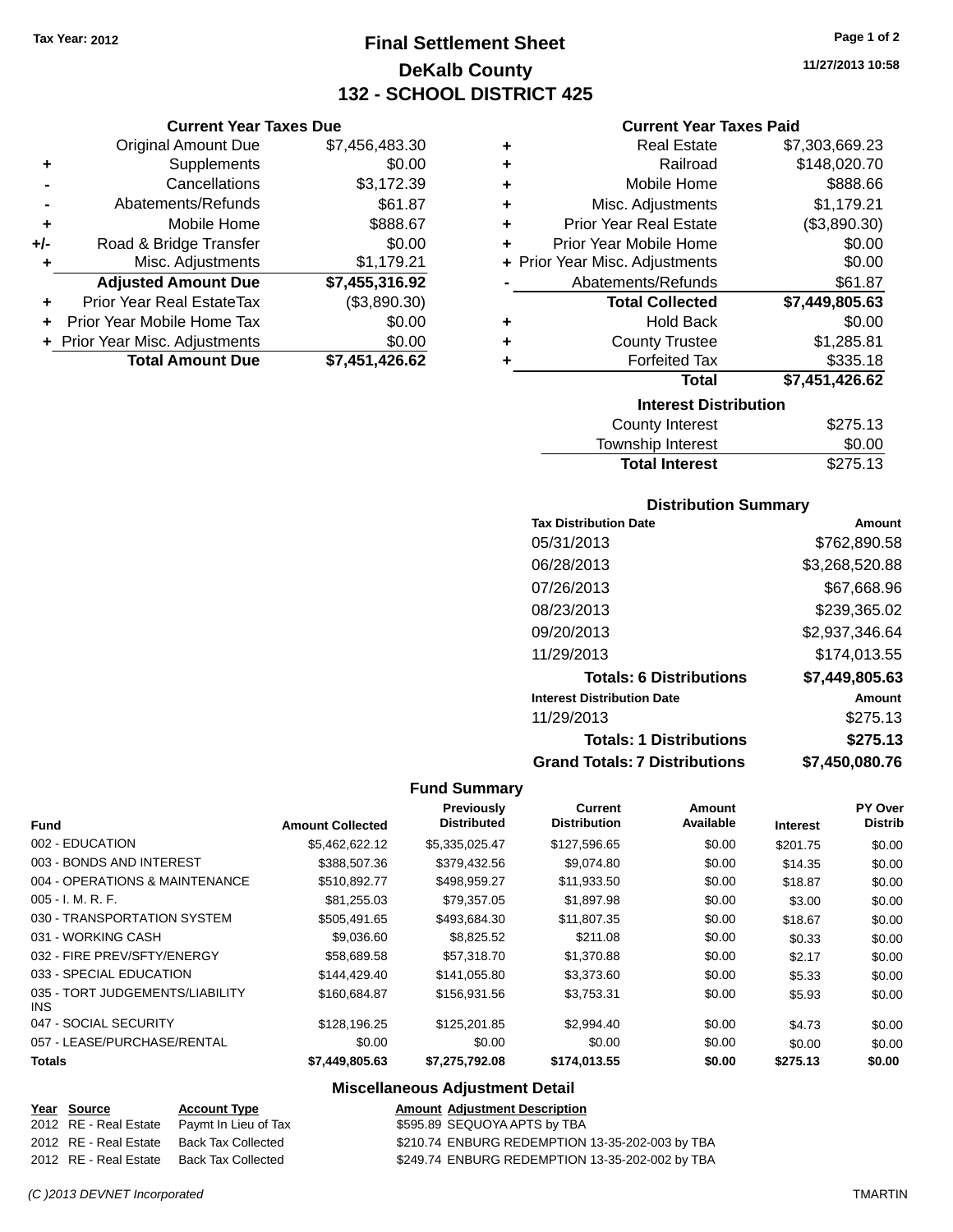**Current Year Taxes Due** Original Amount Due \$7,456,483.30

**Adjusted Amount Due \$7,455,316.92**

**+** Supplements \$0.00 **-** Cancellations \$3,172.39 **-** Abatements/Refunds \$61.87 **+** Mobile Home \$888.67 **+/-** Road & Bridge Transfer \$0.00 **+** Misc. Adjustments \$1,179.21

**+** Prior Year Real EstateTax (\$3,890.30) **+** Prior Year Mobile Home Tax \$0.00 **+** Prior Year Misc. Adjustments \$0.00<br>Total Amount Due \$7,451,426.62

**Total Amount Due** 

# **Final Settlement Sheet Tax Year: 2012 Page 1 of 2 DeKalb County 132 - SCHOOL DISTRICT 425**

**11/27/2013 10:58**

#### **Current Year Taxes Paid**

| \$7,303,669.23<br><b>Real Estate</b>          |
|-----------------------------------------------|
| \$148,020.70<br>Railroad                      |
| \$888.66<br>Mobile Home                       |
| \$1,179.21<br>Misc. Adjustments               |
| (\$3,890.30)<br><b>Prior Year Real Estate</b> |
| \$0.00<br>Prior Year Mobile Home              |
| \$0.00<br>+ Prior Year Misc. Adjustments      |
| \$61.87<br>Abatements/Refunds                 |
| <b>Total Collected</b><br>\$7,449,805.63      |
| \$0.00<br><b>Hold Back</b>                    |
| \$1,285.81<br><b>County Trustee</b>           |
| <b>Forfeited Tax</b><br>\$335.18              |
| \$7,451,426.62<br><b>Total</b>                |
| <b>Interest Distribution</b>                  |
| <b>County Interest</b><br>\$275.13            |
|                                               |

| Township Interest     | \$0.00   |
|-----------------------|----------|
| <b>Total Interest</b> | \$275.13 |

### **Distribution Summary**

| <b>Tax Distribution Date</b>         | Amount         |
|--------------------------------------|----------------|
| 05/31/2013                           | \$762,890.58   |
| 06/28/2013                           | \$3,268,520.88 |
| 07/26/2013                           | \$67,668.96    |
| 08/23/2013                           | \$239,365.02   |
| 09/20/2013                           | \$2,937,346.64 |
| 11/29/2013                           | \$174,013.55   |
| <b>Totals: 6 Distributions</b>       | \$7,449,805.63 |
| <b>Interest Distribution Date</b>    | Amount         |
| 11/29/2013                           | \$275.13       |
| <b>Totals: 1 Distributions</b>       | \$275.13       |
| <b>Grand Totals: 7 Distributions</b> | \$7,450,080.76 |

#### **Fund Summary**

| <b>Fund</b>                                   | <b>Amount Collected</b> | Previously<br><b>Distributed</b> | Current<br><b>Distribution</b> | Amount<br>Available | <b>Interest</b> | PY Over<br><b>Distrib</b> |
|-----------------------------------------------|-------------------------|----------------------------------|--------------------------------|---------------------|-----------------|---------------------------|
| 002 - EDUCATION                               | \$5,462,622.12          | \$5,335,025.47                   | \$127,596.65                   | \$0.00              | \$201.75        | \$0.00                    |
| 003 - BONDS AND INTEREST                      | \$388,507.36            | \$379,432.56                     | \$9,074.80                     | \$0.00              | \$14.35         | \$0.00                    |
| 004 - OPERATIONS & MAINTENANCE                | \$510,892.77            | \$498,959.27                     | \$11,933.50                    | \$0.00              | \$18.87         | \$0.00                    |
| $005 - I. M. R. F.$                           | \$81,255.03             | \$79,357.05                      | \$1,897.98                     | \$0.00              | \$3.00          | \$0.00                    |
| 030 - TRANSPORTATION SYSTEM                   | \$505.491.65            | \$493.684.30                     | \$11,807.35                    | \$0.00              | \$18.67         | \$0.00                    |
| 031 - WORKING CASH                            | \$9,036.60              | \$8,825.52                       | \$211.08                       | \$0.00              | \$0.33          | \$0.00                    |
| 032 - FIRE PREV/SFTY/ENERGY                   | \$58,689.58             | \$57,318.70                      | \$1,370.88                     | \$0.00              | \$2.17          | \$0.00                    |
| 033 - SPECIAL EDUCATION                       | \$144.429.40            | \$141,055.80                     | \$3,373.60                     | \$0.00              | \$5.33          | \$0.00                    |
| 035 - TORT JUDGEMENTS/LIABILITY<br><b>INS</b> | \$160.684.87            | \$156,931.56                     | \$3,753.31                     | \$0.00              | \$5.93          | \$0.00                    |
| 047 - SOCIAL SECURITY                         | \$128,196.25            | \$125,201.85                     | \$2,994.40                     | \$0.00              | \$4.73          | \$0.00                    |
| 057 - LEASE/PURCHASE/RENTAL                   | \$0.00                  | \$0.00                           | \$0.00                         | \$0.00              | \$0.00          | \$0.00                    |
| <b>Totals</b>                                 | \$7,449,805.63          | \$7,275,792.08                   | \$174,013.55                   | \$0.00              | \$275.13        | \$0.00                    |

## **Miscellaneous Adjustment Detail**

| Year Source           | <b>Account Type</b>                        | <b>Amount Adjustment Description</b>            |
|-----------------------|--------------------------------------------|-------------------------------------------------|
|                       | 2012 RE - Real Estate Paymt In Lieu of Tax | \$595.89 SEQUOYA APTS by TBA                    |
|                       | 2012 RE - Real Estate Back Tax Collected   | \$210.74 ENBURG REDEMPTION 13-35-202-003 by TBA |
| 2012 RE - Real Estate | Back Tax Collected                         | \$249.74 ENBURG REDEMPTION 13-35-202-002 by TBA |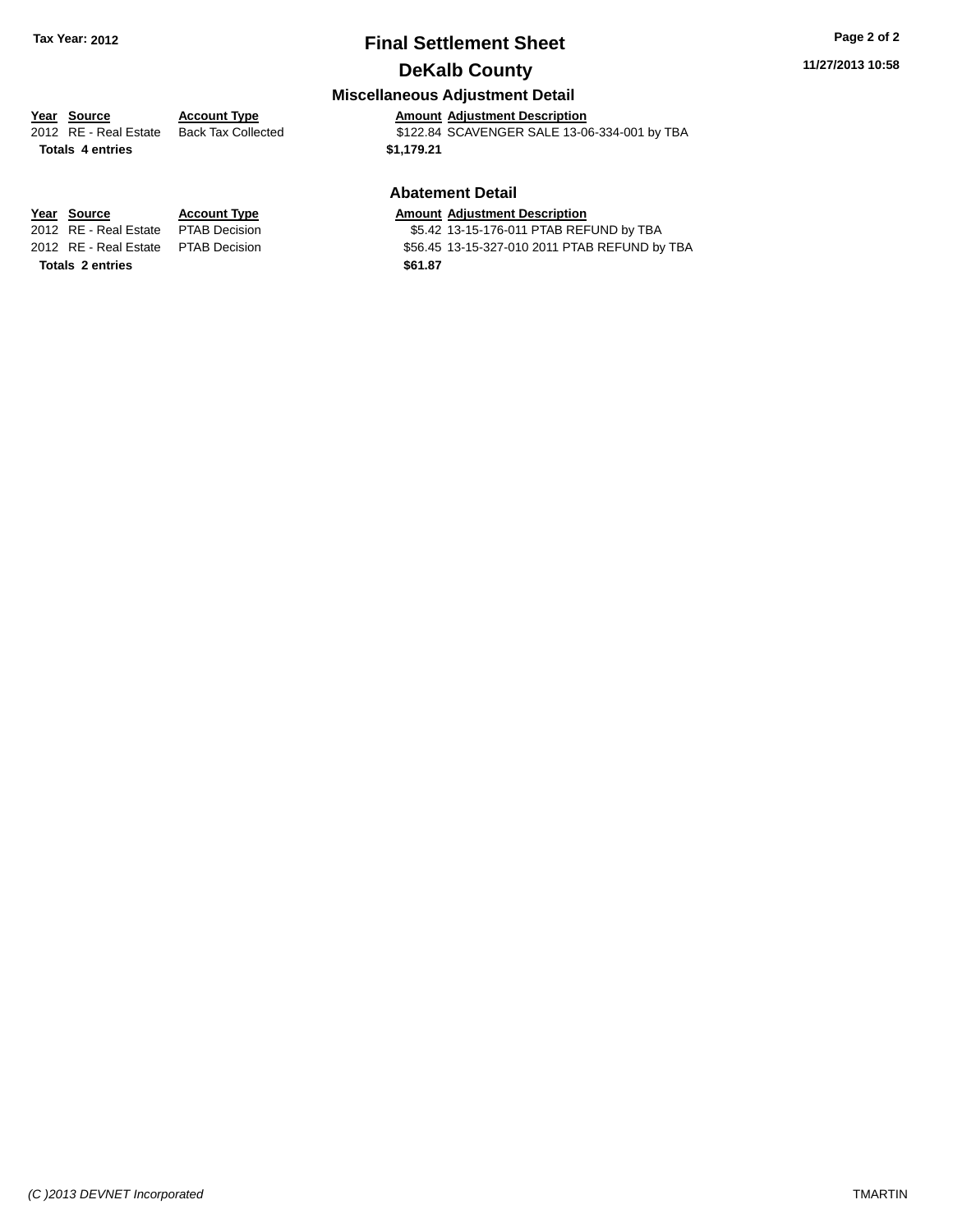# **Final Settlement Sheet Tax Year: 2012 Page 2 of 2 DeKalb County**

#### **11/27/2013 10:58**

## **Miscellaneous Adjustment Detail**

## **Year** Source **Account Type Account Adjustment Description**

2012 RE - Real Estate Back Tax Collected \$122.84 SCAVENGER SALE 13-06-334-001 by TBA **Totals 4 entries \$1,179.21**

#### **Abatement Detail**

\$5.42 13-15-176-011 PTAB REFUND by TBA 2012 RE - Real Estate PTAB Decision \$56.45 13-15-327-010 2011 PTAB REFUND by TBA

**<u>Year Source</u> <b>Account Type Amount Adjustment Description**<br>2012 RE - Real Estate PTAB Decision **Amount 35.42 13-15-176-011 PTAB REF Totals 2 entries \$61.87**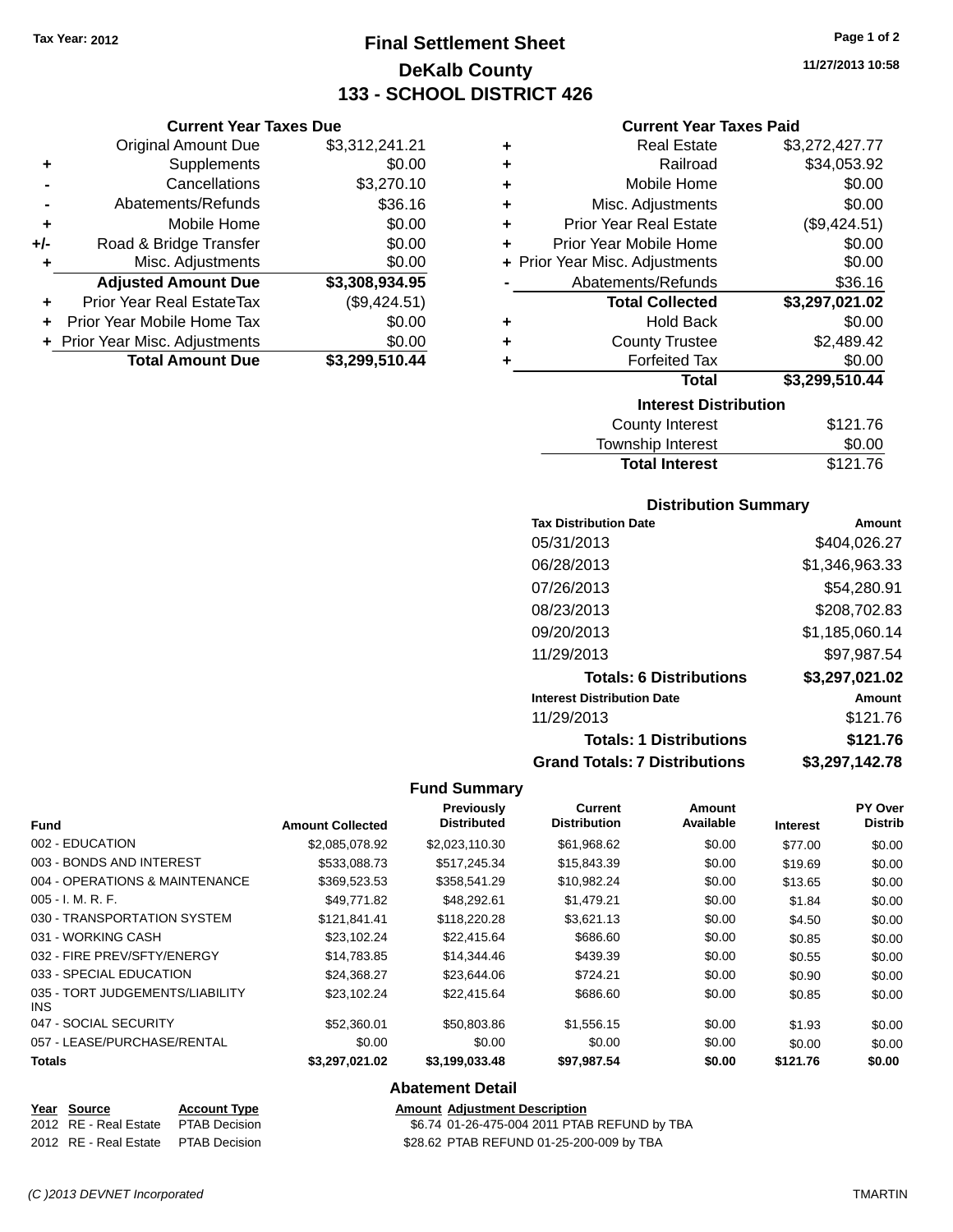**Current Year Taxes Due** Original Amount Due \$3,312,241.21

**Adjusted Amount Due \$3,308,934.95**

**Total Amount Due \$3,299,510.44**

**+** Supplements \$0.00 **-** Cancellations \$3,270.10 **-** Abatements/Refunds \$36.16 **+** Mobile Home \$0.00 **+/-** Road & Bridge Transfer \$0.00 **+** Misc. Adjustments \$0.00

**+** Prior Year Real EstateTax (\$9,424.51) **+** Prior Year Mobile Home Tax \$0.00 **+ Prior Year Misc. Adjustments**  $$0.00$ 

# **Final Settlement Sheet Tax Year: 2012 Page 1 of 2 DeKalb County 133 - SCHOOL DISTRICT 426**

**11/27/2013 10:58**

#### **Current Year Taxes Paid**

| ٠                                  | <b>Real Estate</b>     | \$3,272,427.77 |  |  |
|------------------------------------|------------------------|----------------|--|--|
| ٠                                  | Railroad               | \$34,053.92    |  |  |
| ٠                                  | Mobile Home            | \$0.00         |  |  |
| ÷                                  | Misc. Adjustments      | \$0.00         |  |  |
| <b>Prior Year Real Estate</b><br>٠ |                        | (\$9,424.51)   |  |  |
| Prior Year Mobile Home<br>÷        |                        | \$0.00         |  |  |
| + Prior Year Misc. Adjustments     |                        | \$0.00         |  |  |
| Abatements/Refunds                 |                        | \$36.16        |  |  |
|                                    | <b>Total Collected</b> | \$3,297,021.02 |  |  |
| ÷                                  | Hold Back              | \$0.00         |  |  |
|                                    | <b>County Trustee</b>  | \$2,489.42     |  |  |
|                                    | <b>Forfeited Tax</b>   | \$0.00         |  |  |
|                                    | <b>Total</b>           | \$3,299,510.44 |  |  |
| <b>Interest Distribution</b>       |                        |                |  |  |
|                                    | <b>County Interest</b> | \$121.76       |  |  |

| \$121.76 |
|----------|
| \$0.00   |
| \$121.76 |
|          |

#### **Distribution Summary**

| <b>Tax Distribution Date</b>         | Amount         |
|--------------------------------------|----------------|
| 05/31/2013                           | \$404,026.27   |
| 06/28/2013                           | \$1,346,963.33 |
| 07/26/2013                           | \$54,280.91    |
| 08/23/2013                           | \$208,702.83   |
| 09/20/2013                           | \$1,185,060.14 |
| 11/29/2013                           | \$97,987.54    |
| <b>Totals: 6 Distributions</b>       | \$3,297,021.02 |
| <b>Interest Distribution Date</b>    | Amount         |
| 11/29/2013                           | \$121.76       |
| <b>Totals: 1 Distributions</b>       | \$121.76       |
| <b>Grand Totals: 7 Distributions</b> | \$3.297.142.78 |

#### **Fund Summary**

| <b>Fund</b>                             | <b>Amount Collected</b> | Previously<br><b>Distributed</b> | <b>Current</b><br><b>Distribution</b> | Amount<br>Available | <b>Interest</b> | PY Over<br><b>Distrib</b> |
|-----------------------------------------|-------------------------|----------------------------------|---------------------------------------|---------------------|-----------------|---------------------------|
| 002 - EDUCATION                         | \$2,085,078.92          | \$2,023,110.30                   | \$61,968.62                           | \$0.00              | \$77.00         | \$0.00                    |
| 003 - BONDS AND INTEREST                | \$533,088.73            | \$517,245.34                     | \$15,843.39                           | \$0.00              | \$19.69         | \$0.00                    |
| 004 - OPERATIONS & MAINTENANCE          | \$369.523.53            | \$358,541.29                     | \$10,982.24                           | \$0.00              | \$13.65         | \$0.00                    |
| 005 - I. M. R. F.                       | \$49.771.82             | \$48,292.61                      | \$1,479.21                            | \$0.00              | \$1.84          | \$0.00                    |
| 030 - TRANSPORTATION SYSTEM             | \$121.841.41            | \$118,220.28                     | \$3,621.13                            | \$0.00              | \$4.50          | \$0.00                    |
| 031 - WORKING CASH                      | \$23,102.24             | \$22,415.64                      | \$686.60                              | \$0.00              | \$0.85          | \$0.00                    |
| 032 - FIRE PREV/SFTY/ENERGY             | \$14,783.85             | \$14,344.46                      | \$439.39                              | \$0.00              | \$0.55          | \$0.00                    |
| 033 - SPECIAL EDUCATION                 | \$24.368.27             | \$23,644.06                      | \$724.21                              | \$0.00              | \$0.90          | \$0.00                    |
| 035 - TORT JUDGEMENTS/LIABILITY<br>INS. | \$23,102.24             | \$22,415.64                      | \$686.60                              | \$0.00              | \$0.85          | \$0.00                    |
| 047 - SOCIAL SECURITY                   | \$52,360.01             | \$50,803.86                      | \$1,556.15                            | \$0.00              | \$1.93          | \$0.00                    |
| 057 - LEASE/PURCHASE/RENTAL             | \$0.00                  | \$0.00                           | \$0.00                                | \$0.00              | \$0.00          | \$0.00                    |
| <b>Totals</b>                           | \$3,297,021.02          | \$3,199,033.48                   | \$97,987.54                           | \$0.00              | \$121.76        | \$0.00                    |
|                                         |                         |                                  |                                       |                     |                 |                           |

#### **Abatement Detail**

| Year Source           | <b>Account Type</b>  |  |  |
|-----------------------|----------------------|--|--|
| 2012 RE - Real Estate | <b>PTAB Decision</b> |  |  |
| 2012 PE - Peal Estate | <b>DTAR Decision</b> |  |  |

**Amount Adjustment Description** \$6.74 01-26-475-004 2011 PTAB REFUND by TBA 2012 RE - Real Estate PTAB Decision \$28.62 PTAB REFUND 01-25-200-009 by TBA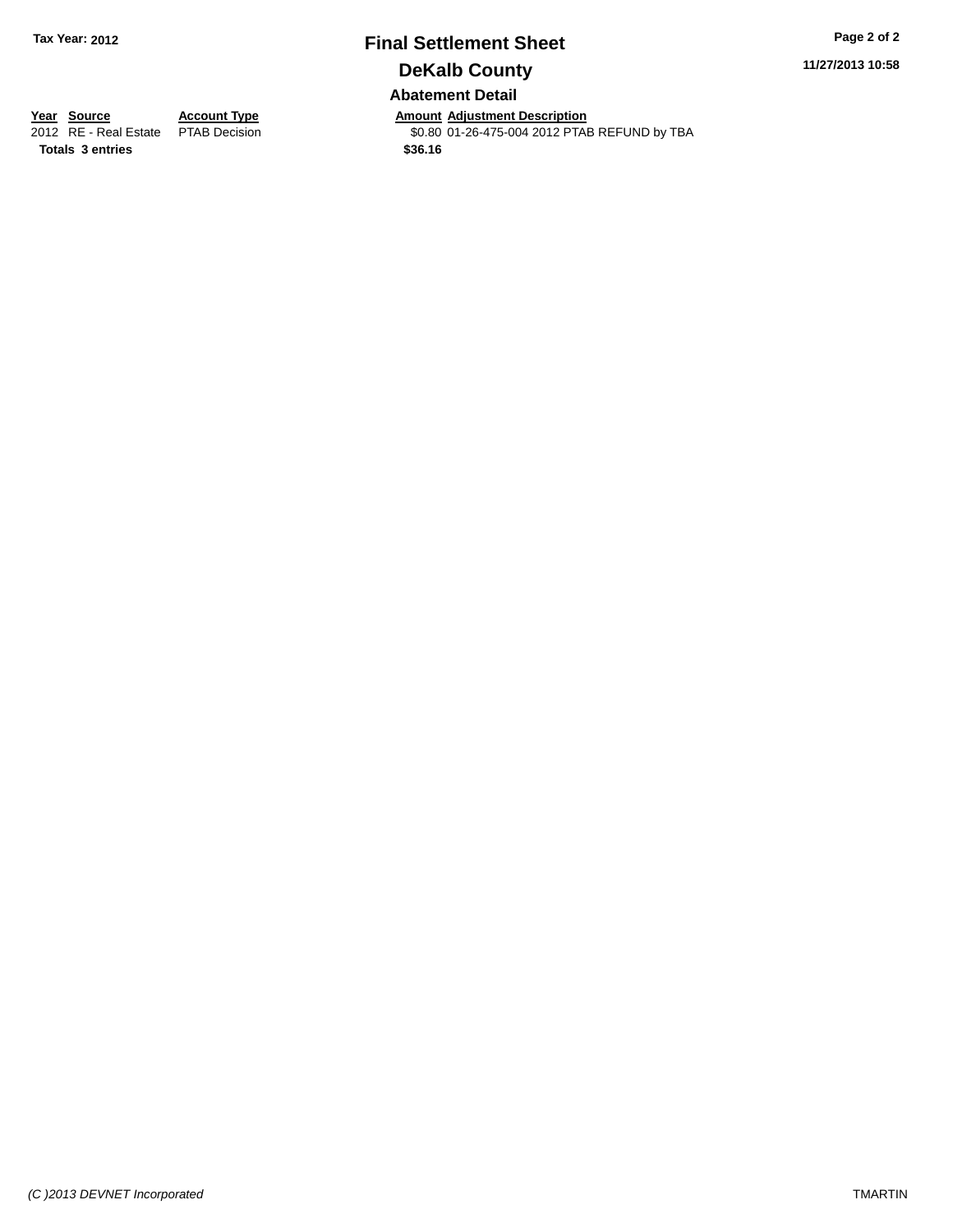# **Final Settlement Sheet Tax Year: 2012 Page 2 of 2 DeKalb County Abatement Detail**

**11/27/2013 10:58**

**Totals 3 entries \$36.16**

**Year Source Account Type Annount Adjustment Description**<br>2012 RE - Real Estate PTAB Decision **Amount Adjustment Description** \$0.80 01-26-475-004 2012 PTAB REFUND by TBA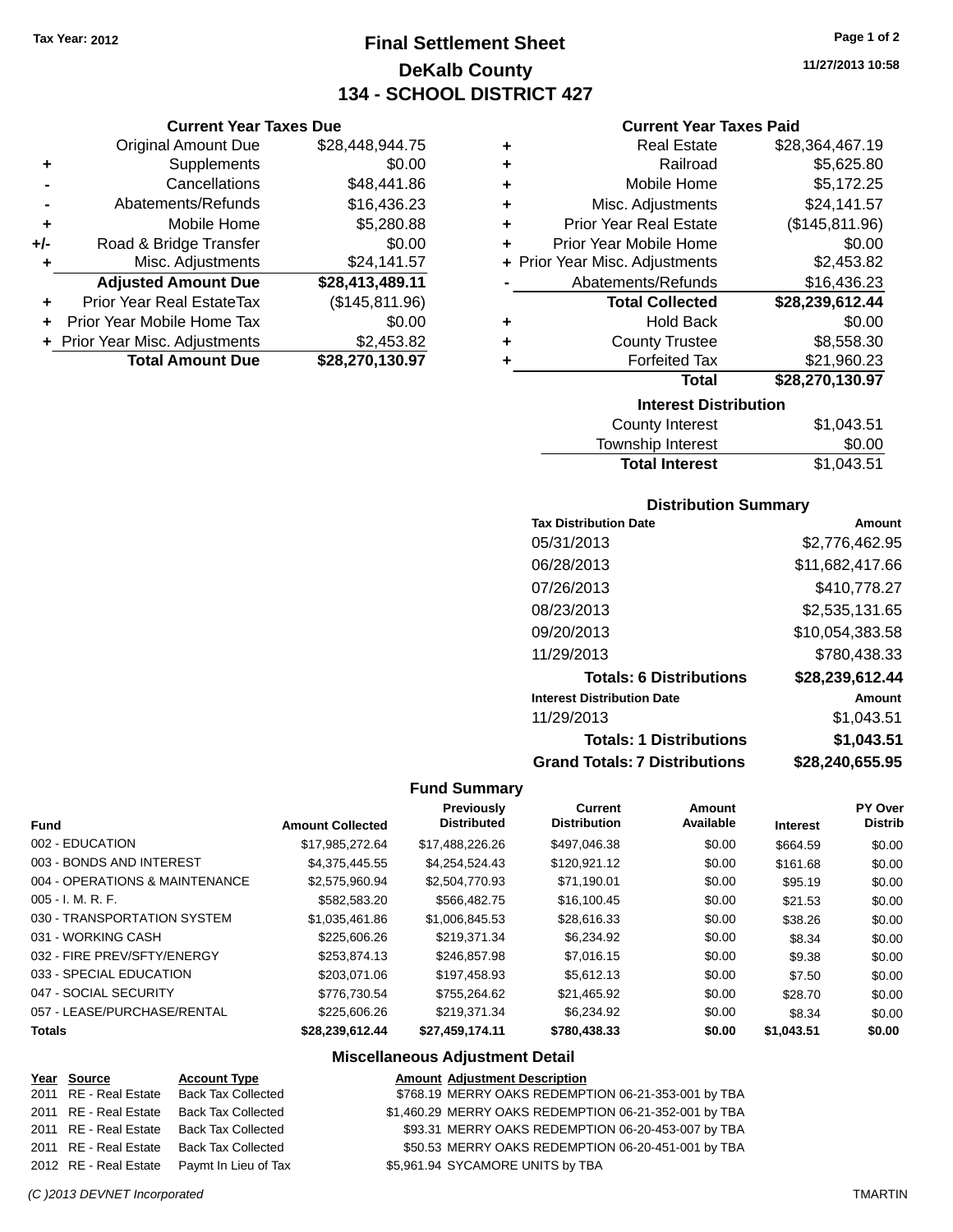**Current Year Taxes Due** Original Amount Due \$28,448,944.75

**Adjusted Amount Due \$28,413,489.11**

**Total Amount Due \$28,270,130.97**

**+** Supplements \$0.00 **-** Cancellations \$48,441.86 **-** Abatements/Refunds \$16,436.23 **+** Mobile Home \$5,280.88 **+/-** Road & Bridge Transfer \$0.00 **+** Misc. Adjustments \$24,141.57

**+** Prior Year Real EstateTax (\$145,811.96) **+** Prior Year Mobile Home Tax \$0.00 **+** Prior Year Misc. Adjustments \$2,453.82

# **Final Settlement Sheet Tax Year: 2012 Page 1 of 2 DeKalb County 134 - SCHOOL DISTRICT 427**

**11/27/2013 10:58**

#### **Current Year Taxes Paid**

| <b>Interest Distribution</b>       |                 |
|------------------------------------|-----------------|
| Total                              | \$28,270,130.97 |
| <b>Forfeited Tax</b>               | \$21,960.23     |
| <b>County Trustee</b><br>٠         | \$8,558.30      |
| <b>Hold Back</b><br>٠              | \$0.00          |
| <b>Total Collected</b>             | \$28,239,612.44 |
| Abatements/Refunds                 | \$16,436.23     |
| + Prior Year Misc. Adjustments     | \$2,453.82      |
| Prior Year Mobile Home<br>÷        | \$0.00          |
| <b>Prior Year Real Estate</b><br>÷ | (\$145,811.96)  |
| Misc. Adjustments<br>٠             | \$24,141.57     |
| Mobile Home<br>٠                   | \$5,172.25      |
| Railroad<br>÷                      | \$5,625.80      |
| <b>Real Estate</b><br>٠            | \$28,364,467.19 |
|                                    |                 |

| <b>Total Interest</b> | \$1,043.51 |
|-----------------------|------------|
| Township Interest     | \$0.00     |
| County Interest       | \$1,043.51 |

#### **Distribution Summary**

| <b>Tax Distribution Date</b>         | Amount          |
|--------------------------------------|-----------------|
| 05/31/2013                           | \$2.776.462.95  |
| 06/28/2013                           | \$11,682,417.66 |
| 07/26/2013                           | \$410,778.27    |
| 08/23/2013                           | \$2,535,131.65  |
| 09/20/2013                           | \$10,054,383.58 |
| 11/29/2013                           | \$780,438.33    |
| <b>Totals: 6 Distributions</b>       | \$28,239,612.44 |
| <b>Interest Distribution Date</b>    | Amount          |
| 11/29/2013                           | \$1.043.51      |
| <b>Totals: 1 Distributions</b>       | \$1,043.51      |
| <b>Grand Totals: 7 Distributions</b> | \$28,240,655.95 |

#### **Fund Summary**

| <b>Fund</b>                    | <b>Amount Collected</b> | <b>Previously</b><br><b>Distributed</b> | <b>Current</b><br><b>Distribution</b> | Amount<br>Available | <b>Interest</b> | <b>PY Over</b><br><b>Distrib</b> |
|--------------------------------|-------------------------|-----------------------------------------|---------------------------------------|---------------------|-----------------|----------------------------------|
| 002 - EDUCATION                | \$17.985.272.64         | \$17.488.226.26                         | \$497.046.38                          | \$0.00              | \$664.59        | \$0.00                           |
| 003 - BONDS AND INTEREST       | \$4,375,445.55          | \$4.254.524.43                          | \$120,921.12                          | \$0.00              | \$161.68        | \$0.00                           |
| 004 - OPERATIONS & MAINTENANCE | \$2,575,960.94          | \$2,504,770.93                          | \$71,190.01                           | \$0.00              | \$95.19         | \$0.00                           |
| 005 - I. M. R. F.              | \$582,583.20            | \$566,482.75                            | \$16,100.45                           | \$0.00              | \$21.53         | \$0.00                           |
| 030 - TRANSPORTATION SYSTEM    | \$1.035.461.86          | \$1,006,845,53                          | \$28,616.33                           | \$0.00              | \$38.26         | \$0.00                           |
| 031 - WORKING CASH             | \$225,606.26            | \$219.371.34                            | \$6,234.92                            | \$0.00              | \$8.34          | \$0.00                           |
| 032 - FIRE PREV/SFTY/ENERGY    | \$253.874.13            | \$246,857.98                            | \$7,016.15                            | \$0.00              | \$9.38          | \$0.00                           |
| 033 - SPECIAL EDUCATION        | \$203.071.06            | \$197.458.93                            | \$5.612.13                            | \$0.00              | \$7.50          | \$0.00                           |
| 047 - SOCIAL SECURITY          | \$776.730.54            | \$755.264.62                            | \$21,465.92                           | \$0.00              | \$28.70         | \$0.00                           |
| 057 - LEASE/PURCHASE/RENTAL    | \$225,606.26            | \$219.371.34                            | \$6.234.92                            | \$0.00              | \$8.34          | \$0.00                           |
| Totals                         | \$28,239,612.44         | \$27,459,174.11                         | \$780,438,33                          | \$0.00              | \$1,043.51      | \$0.00                           |

#### **Miscellaneous Adjustment Detail**

#### **Year Source Account Type Amount Adjustment Description** \$768.19 MERRY OAKS REDEMPTION 06-21-353-001 by TBA 2011 RE - Real Estate Back Tax Collected \$1,460.29 MERRY OAKS REDEMPTION 06-21-352-001 by TBA 2011 RE - Real Estate Back Tax Collected \$93.31 MERRY OAKS REDEMPTION 06-20-453-007 by TBA 2011 RE - Real Estate Back Tax Collected \$50.53 MERRY OAKS REDEMPTION 06-20-451-001 by TBA 2012 RE - Real Estate Paymt In Lieu of Tax \$5,961.94 SYCAMORE UNITS by TBA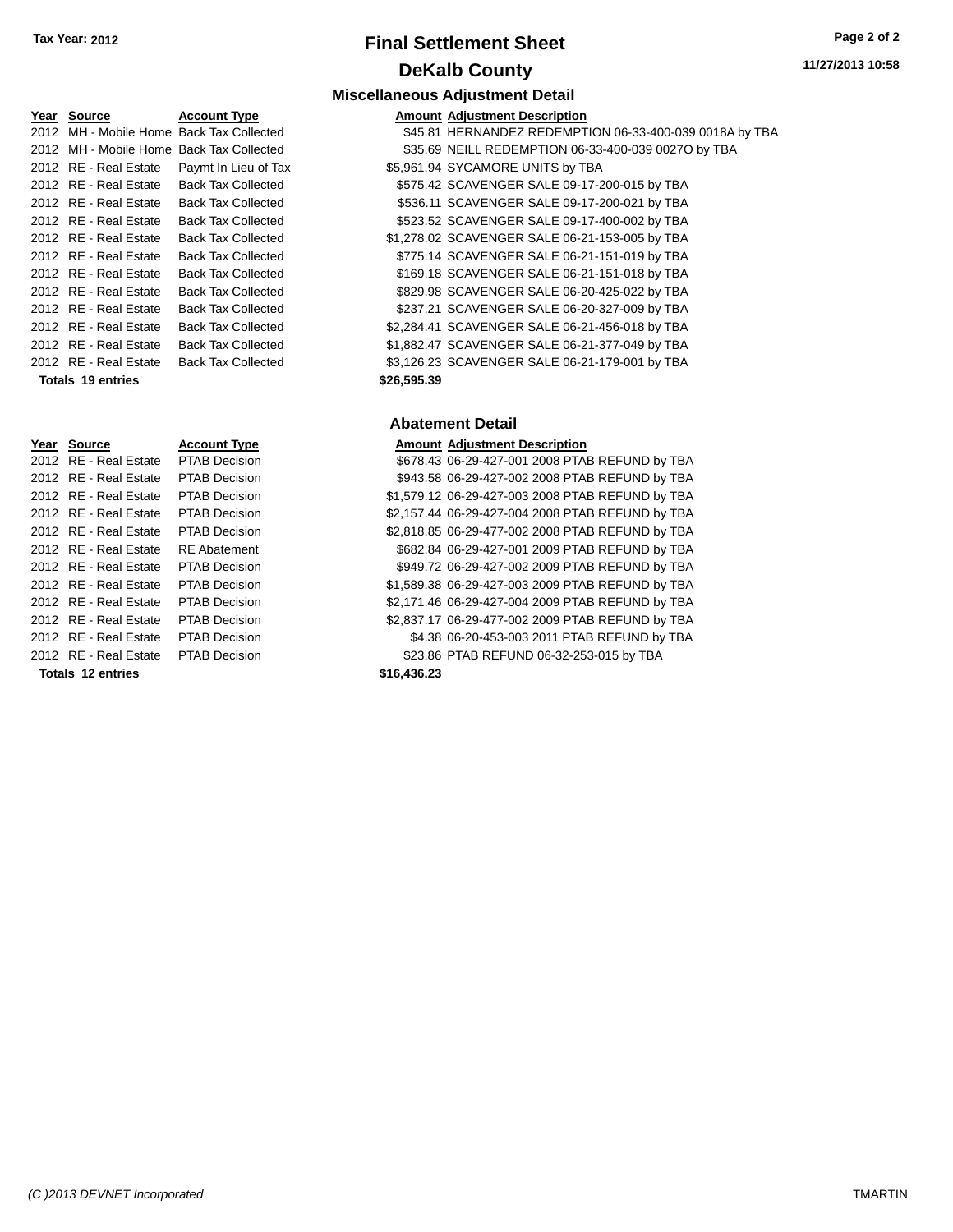# **Final Settlement Sheet Tax Year: 2012 Page 2 of 2 DeKalb County**

### **Miscellaneous Adjustment Detail**

| Year Source                              | <b>Account Type</b>                        |             | <b>Amount Adjustment Description</b>                    |
|------------------------------------------|--------------------------------------------|-------------|---------------------------------------------------------|
|                                          | 2012 MH - Mobile Home Back Tax Collected   |             | \$45.81 HERNANDEZ REDEMPTION 06-33-400-039 0018A by TBA |
| 2012 MH - Mobile Home Back Tax Collected |                                            |             | \$35.69 NEILL REDEMPTION 06-33-400-039 0027O by TBA     |
|                                          | 2012 RE - Real Estate Paymt In Lieu of Tax |             | \$5,961.94 SYCAMORE UNITS by TBA                        |
| 2012 RE - Real Estate                    | <b>Back Tax Collected</b>                  |             | \$575.42 SCAVENGER SALE 09-17-200-015 by TBA            |
| 2012 RE - Real Estate                    | <b>Back Tax Collected</b>                  |             | \$536.11 SCAVENGER SALE 09-17-200-021 by TBA            |
| 2012 RE - Real Estate                    | <b>Back Tax Collected</b>                  |             | \$523.52 SCAVENGER SALE 09-17-400-002 by TBA            |
| 2012 RE - Real Estate                    | <b>Back Tax Collected</b>                  |             | \$1,278.02 SCAVENGER SALE 06-21-153-005 by TBA          |
| 2012 RE - Real Estate                    | <b>Back Tax Collected</b>                  |             | \$775.14 SCAVENGER SALE 06-21-151-019 by TBA            |
| 2012 RE - Real Estate                    | <b>Back Tax Collected</b>                  |             | \$169.18 SCAVENGER SALE 06-21-151-018 by TBA            |
| 2012 RE - Real Estate                    | <b>Back Tax Collected</b>                  |             | \$829.98 SCAVENGER SALE 06-20-425-022 by TBA            |
| 2012 RE - Real Estate                    | <b>Back Tax Collected</b>                  |             | \$237.21 SCAVENGER SALE 06-20-327-009 by TBA            |
| 2012 RE - Real Estate                    | <b>Back Tax Collected</b>                  |             | \$2,284.41 SCAVENGER SALE 06-21-456-018 by TBA          |
| 2012 RE - Real Estate                    | <b>Back Tax Collected</b>                  |             | \$1,882.47 SCAVENGER SALE 06-21-377-049 by TBA          |
| 2012 RE - Real Estate                    | <b>Back Tax Collected</b>                  |             | \$3,126.23 SCAVENGER SALE 06-21-179-001 by TBA          |
| <b>Totals 19 entries</b>                 |                                            | \$26,595.39 |                                                         |

#### **Abatement Detail**

|                   | Amount Adjustment Description                    |
|-------------------|--------------------------------------------------|
|                   | \$678.43 06-29-427-001 2008 PTAB REFUND by TBA   |
|                   | \$943.58 06-29-427-002 2008 PTAB REFUND by TBA   |
|                   | \$1,579.12 06-29-427-003 2008 PTAB REFUND by TBA |
|                   | \$2,157.44 06-29-427-004 2008 PTAB REFUND by TBA |
|                   | \$2,818.85 06-29-477-002 2008 PTAB REFUND by TBA |
|                   | \$682.84 06-29-427-001 2009 PTAB REFUND by TBA   |
|                   | \$949.72 06-29-427-002 2009 PTAB REFUND by TBA   |
|                   | \$1,589.38 06-29-427-003 2009 PTAB REFUND by TBA |
|                   | \$2,171.46 06-29-427-004 2009 PTAB REFUND by TBA |
|                   | \$2,837.17 06-29-477-002 2009 PTAB REFUND by TBA |
|                   | \$4.38 06-20-453-003 2011 PTAB REFUND by TBA     |
|                   | \$23.86 PTAB REFUND 06-32-253-015 by TBA         |
| <b>CAG 12G 22</b> |                                                  |

2012 RE - Real Estate PTAB Decision 2012 RE - Real Estate PTAB Decision 2012 RE - Real Estate PTAB Decision 2012 RE - Real Estate PTAB Decision 2012 RE - Real Estate RE Abatement 2012 RE - Real Estate PTAB Decision 2012 RE - Real Estate PTAB Decision 2012 RE - Real Estate PTAB Decision 2012 RE - Real Estate PTAB Decision 2012 RE - Real Estate PTAB Decision 2012 RE - Real Estate PTAB Decision

**Year Source Account Type** 2012 RE - Real Estate PTAB Decision

**Totals 12 entries \$16,436.23**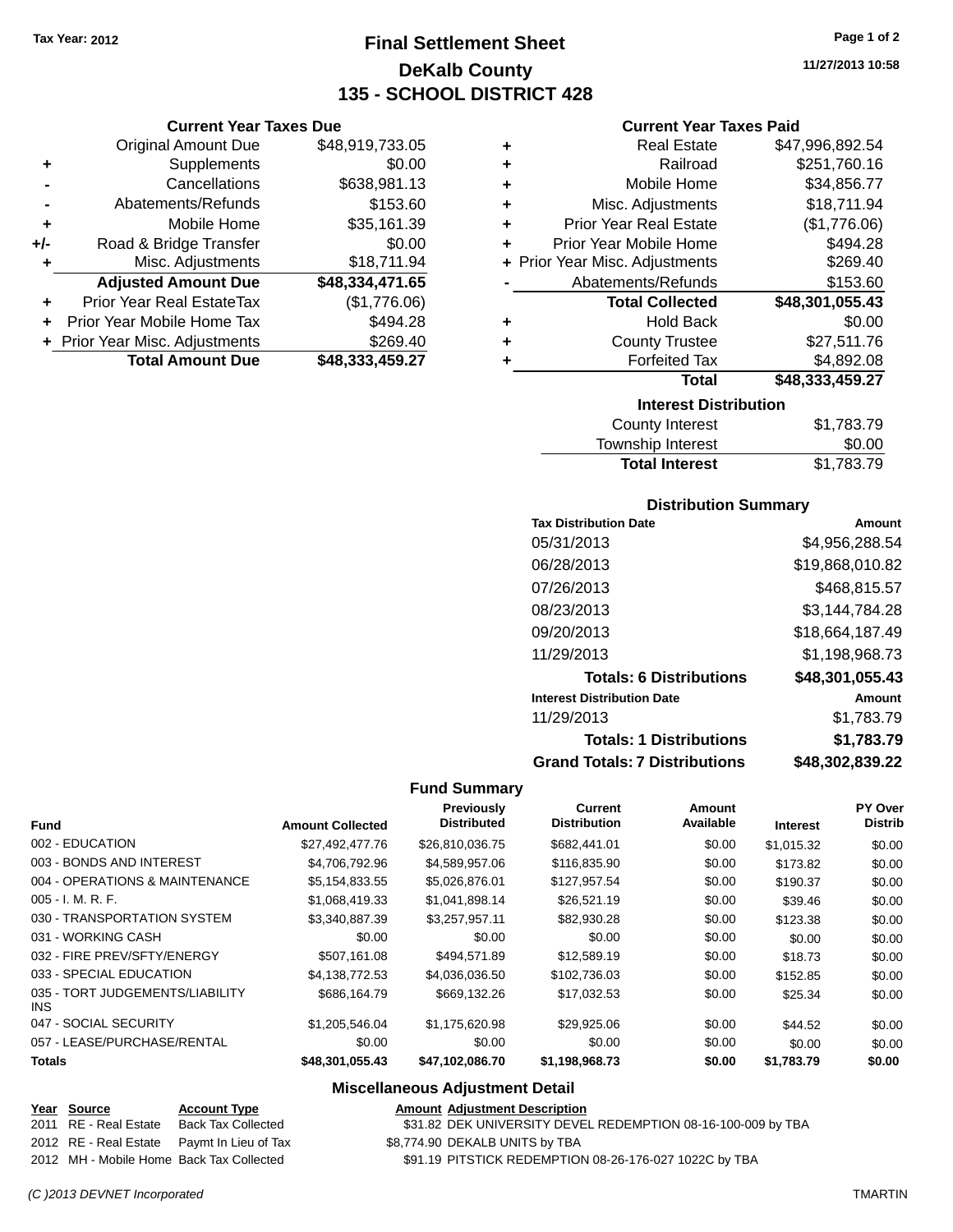**Current Year Taxes Due** Original Amount Due \$48,919,733.05

**Adjusted Amount Due \$48,334,471.65**

**Total Amount Due \$48,333,459.27**

**+** Supplements \$0.00 **-** Cancellations \$638,981.13 **-** Abatements/Refunds \$153.60 **+** Mobile Home \$35,161.39 **+/-** Road & Bridge Transfer \$0.00 **+** Misc. Adjustments \$18,711.94

**+** Prior Year Real EstateTax (\$1,776.06) **+** Prior Year Mobile Home Tax \$494.28 **+** Prior Year Misc. Adjustments \$269.40

# **Final Settlement Sheet Tax Year: 2012 Page 1 of 2 DeKalb County 135 - SCHOOL DISTRICT 428**

**11/27/2013 10:58**

#### **Current Year Taxes Paid**

| ٠ | <b>Real Estate</b>             | \$47,996,892.54    |
|---|--------------------------------|--------------------|
| ٠ | Railroad                       | \$251,760.16       |
| ٠ | Mobile Home                    | \$34,856.77        |
| ٠ | Misc. Adjustments              | \$18,711.94        |
| ٠ | <b>Prior Year Real Estate</b>  | (\$1,776.06)       |
| ٠ | Prior Year Mobile Home         | \$494.28           |
|   | + Prior Year Misc. Adjustments | \$269.40           |
|   | Abatements/Refunds             | \$153.60           |
|   | <b>Total Collected</b>         | \$48,301,055.43    |
| ٠ | <b>Hold Back</b>               | \$0.00             |
| ٠ | <b>County Trustee</b>          | \$27,511.76        |
| ٠ | <b>Forfeited Tax</b>           | \$4,892.08         |
|   | <b>Total</b>                   | \$48,333,459.27    |
|   | <b>Interest Distribution</b>   |                    |
|   | County Internet                | <b>¢</b> 1 700 7 በ |

| County Interest       | \$1,783.79 |
|-----------------------|------------|
| Township Interest     | \$0.00     |
| <b>Total Interest</b> | \$1,783.79 |

#### **Distribution Summary**

| <b>Tax Distribution Date</b>         | Amount          |
|--------------------------------------|-----------------|
| 05/31/2013                           | \$4,956,288.54  |
| 06/28/2013                           | \$19,868,010.82 |
| 07/26/2013                           | \$468,815.57    |
| 08/23/2013                           | \$3.144.784.28  |
| 09/20/2013                           | \$18,664,187.49 |
| 11/29/2013                           | \$1,198,968.73  |
| <b>Totals: 6 Distributions</b>       | \$48,301,055.43 |
| <b>Interest Distribution Date</b>    | Amount          |
| 11/29/2013                           | \$1.783.79      |
| <b>Totals: 1 Distributions</b>       | \$1,783.79      |
| <b>Grand Totals: 7 Distributions</b> | \$48,302,839.22 |

### **Fund Summary**

| <b>Fund</b>                             | <b>Amount Collected</b> | Previously<br><b>Distributed</b> | Current<br><b>Distribution</b> | <b>Amount</b><br>Available | <b>Interest</b> | PY Over<br><b>Distrib</b> |
|-----------------------------------------|-------------------------|----------------------------------|--------------------------------|----------------------------|-----------------|---------------------------|
| 002 - EDUCATION                         | \$27.492.477.76         | \$26,810,036.75                  | \$682,441.01                   | \$0.00                     | \$1,015.32      | \$0.00                    |
| 003 - BONDS AND INTEREST                | \$4,706,792.96          | \$4,589,957.06                   | \$116,835.90                   | \$0.00                     | \$173.82        | \$0.00                    |
| 004 - OPERATIONS & MAINTENANCE          | \$5,154,833.55          | \$5,026,876.01                   | \$127,957.54                   | \$0.00                     | \$190.37        | \$0.00                    |
| $005 - I. M. R. F.$                     | \$1,068,419.33          | \$1,041,898.14                   | \$26,521.19                    | \$0.00                     | \$39.46         | \$0.00                    |
| 030 - TRANSPORTATION SYSTEM             | \$3,340,887.39          | \$3,257,957.11                   | \$82,930.28                    | \$0.00                     | \$123.38        | \$0.00                    |
| 031 - WORKING CASH                      | \$0.00                  | \$0.00                           | \$0.00                         | \$0.00                     | \$0.00          | \$0.00                    |
| 032 - FIRE PREV/SFTY/ENERGY             | \$507.161.08            | \$494.571.89                     | \$12,589.19                    | \$0.00                     | \$18.73         | \$0.00                    |
| 033 - SPECIAL EDUCATION                 | \$4.138.772.53          | \$4,036,036.50                   | \$102,736.03                   | \$0.00                     | \$152.85        | \$0.00                    |
| 035 - TORT JUDGEMENTS/LIABILITY<br>INS. | \$686,164.79            | \$669,132.26                     | \$17,032.53                    | \$0.00                     | \$25.34         | \$0.00                    |
| 047 - SOCIAL SECURITY                   | \$1,205,546.04          | \$1.175.620.98                   | \$29,925.06                    | \$0.00                     | \$44.52         | \$0.00                    |
| 057 - LEASE/PURCHASE/RENTAL             | \$0.00                  | \$0.00                           | \$0.00                         | \$0.00                     | \$0.00          | \$0.00                    |
| <b>Totals</b>                           | \$48,301,055.43         | \$47,102,086.70                  | \$1,198,968.73                 | \$0.00                     | \$1,783.79      | \$0.00                    |

#### **Miscellaneous Adjustment Detail**

|  | Year Source           | <b>Account Type</b>                        |
|--|-----------------------|--------------------------------------------|
|  | 2011 RE - Real Estate | <b>Back Tax Collected</b>                  |
|  |                       | 2012 RE - Real Estate Paymt In Lieu of Tax |
|  |                       | 2012 MH - Mobile Home, Back Tax Collected  |

**Amount Adjustment Description** \$31.82 DEK UNIVERSITY DEVEL REDEMPTION 08-16-100-009 by TBA

2012 88,774.90 DEKALB UNITS by TBA

\$91.19 PITSTICK REDEMPTION 08-26-176-027 1022C by TBA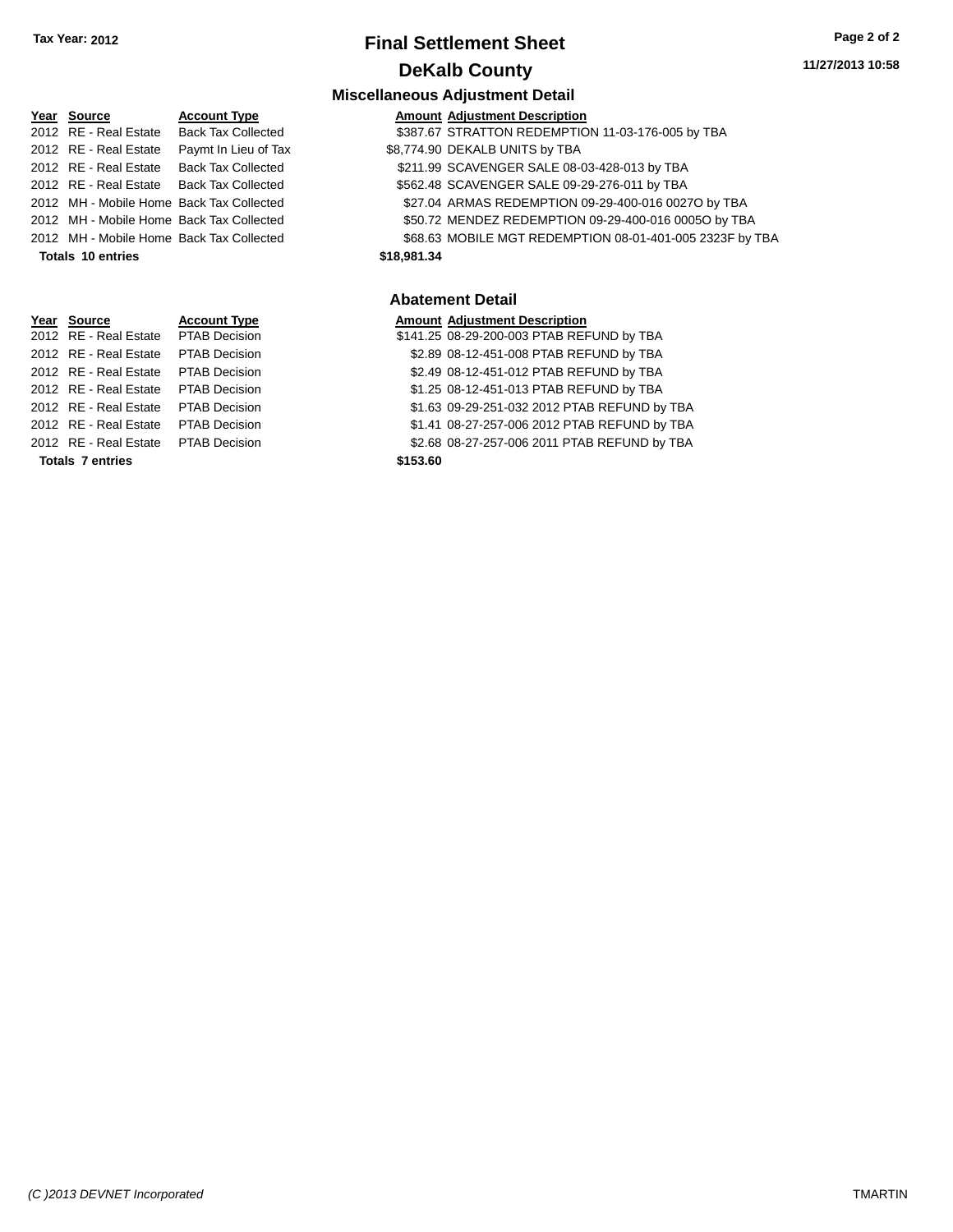# **Final Settlement Sheet Tax Year: 2012 Page 2 of 2 DeKalb County**

### **11/27/2013 10:58**

### **Miscellaneous Adjustment Detail**

| Year Source           | <b>Account Type</b>                        |             | <b>Amount Adjustment Description</b>                     |
|-----------------------|--------------------------------------------|-------------|----------------------------------------------------------|
| 2012 RE - Real Estate | <b>Back Tax Collected</b>                  |             | \$387.67 STRATTON REDEMPTION 11-03-176-005 by TBA        |
|                       | 2012 RE - Real Estate Paymt In Lieu of Tax |             | \$8,774.90 DEKALB UNITS by TBA                           |
|                       | 2012 RE - Real Estate Back Tax Collected   |             | \$211.99 SCAVENGER SALE 08-03-428-013 by TBA             |
|                       | 2012 RE - Real Estate Back Tax Collected   |             | \$562.48 SCAVENGER SALE 09-29-276-011 by TBA             |
|                       | 2012 MH - Mobile Home Back Tax Collected   |             | \$27.04 ARMAS REDEMPTION 09-29-400-016 0027O by TBA      |
|                       | 2012 MH - Mobile Home Back Tax Collected   |             | \$50.72 MENDEZ REDEMPTION 09-29-400-016 0005O by TBA     |
|                       | 2012 MH - Mobile Home Back Tax Collected   |             | \$68.63 MOBILE MGT REDEMPTION 08-01-401-005 2323F by TBA |
| Totals 10 entries     |                                            | \$18,981,34 |                                                          |

#### **Abatement Detail**

### **Year Source Account Type Amount Adjustment Description**

- 141.25 08-29-200-003 PTAB REFUND by TBA
- n 32.89 08-12-451-008 PTAB REFUND by TBA
- n 32.49 08-12-451-012 PTAB REFUND by TBA
- 1.25 08-12-451-013 PTAB REFUND by TBA
- 1.63 09-29-251-032 2012 PTAB REFUND by TBA
- 2012 REAL ESTATE REAL ESTATE PTAB REFUND by TBA
- n 32.68 08-27-257-006 2011 PTAB REFUND by TBA

|                       |                                          | IIII SUUNI IUUU S |
|-----------------------|------------------------------------------|-------------------|
| Year Source           | <b>Account Type</b>                      | Amount            |
| 2012 RE - Real Estate | <b>Back Tax Collected</b>                | \$387.67          |
| 2012 RE - Real Estate | Paymt In Lieu of Tax                     | \$8,774.90        |
| 2012 RE - Real Estate | <b>Back Tax Collected</b>                | \$211.99          |
| 2012 RE - Real Estate | <b>Back Tax Collected</b>                | \$562.48          |
|                       | 2012 MH - Mobile Home Back Tax Collected | \$27.04           |
|                       | 2012 MH - Mobile Home Back Tax Collected | \$50.72           |
|                       | 2012 MH - Mobile Home Back Tax Collected | \$68.63           |
| Totals 10 entries     |                                          | \$18,981.34       |
|                       |                                          |                   |
|                       |                                          |                   |

| <b>Account Type</b>  | Amount                |
|----------------------|-----------------------|
| <b>PTAB Decision</b> | \$141.25              |
| <b>PTAB Decision</b> | \$2.89                |
| PTAB Decision        | \$2.49                |
| <b>PTAB Decision</b> | \$1.25                |
| <b>PTAB Decision</b> | \$1.63                |
| <b>PTAB Decision</b> | \$1.41                |
| <b>PTAB Decision</b> | \$2.68                |
|                      | \$153.60              |
|                      | 2012 RE - Real Estate |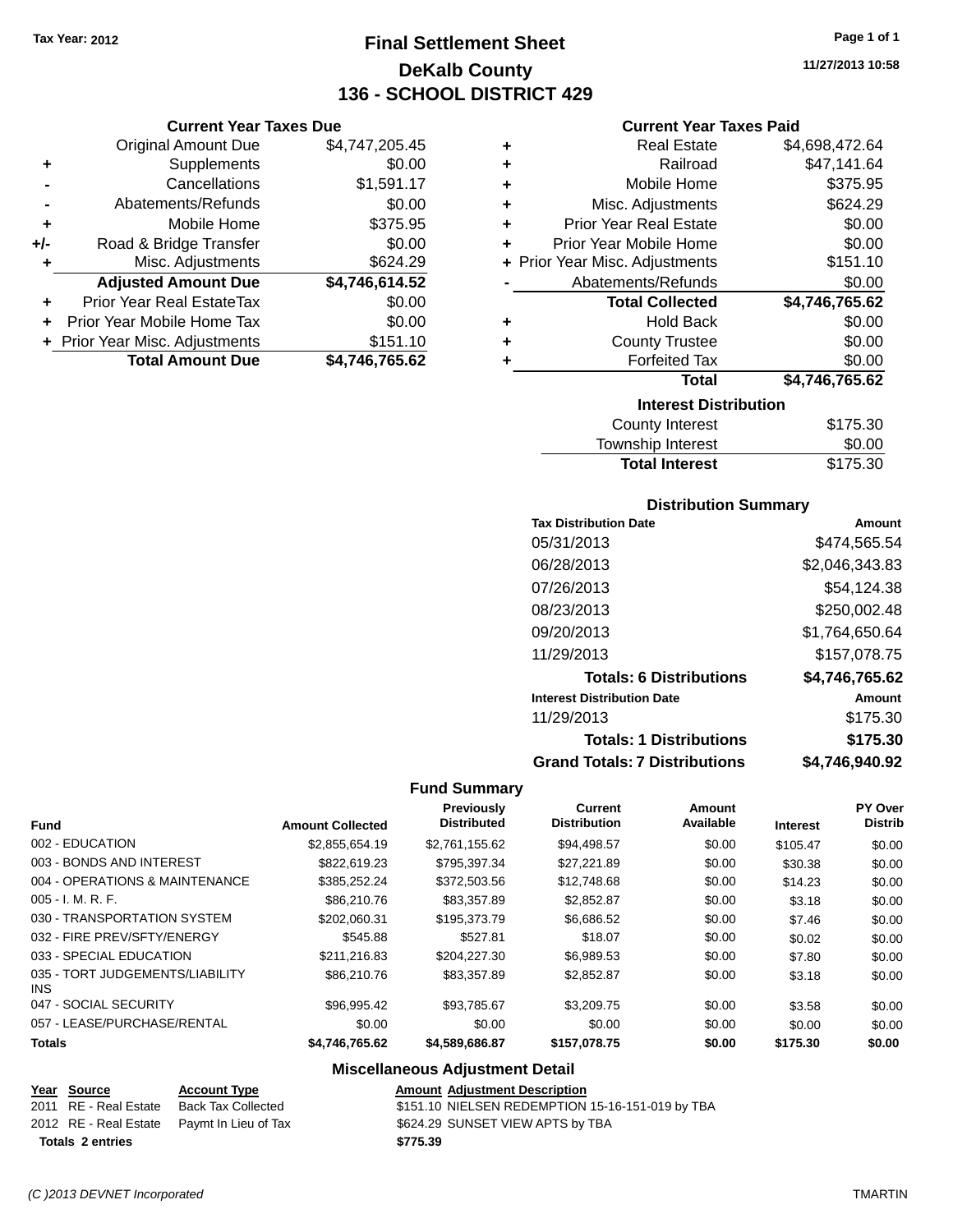**Current Year Taxes Due** Original Amount Due \$4,747,205.45

**Adjusted Amount Due \$4,746,614.52**

**Total Amount Due \$4,746,765.62**

**+** Supplements \$0.00 **-** Cancellations \$1,591.17 **-** Abatements/Refunds \$0.00 **+** Mobile Home \$375.95 **+/-** Road & Bridge Transfer \$0.00 **+** Misc. Adjustments \$624.29

**+** Prior Year Real EstateTax \$0.00 **+** Prior Year Mobile Home Tax \$0.00 **+ Prior Year Misc. Adjustments \$151.10** 

# **Final Settlement Sheet Tax Year: 2012 Page 1 of 1 DeKalb County 136 - SCHOOL DISTRICT 429**

**11/27/2013 10:58**

#### **Current Year Taxes Paid**

| ٠ | <b>Real Estate</b>             | \$4,698,472.64 |  |  |
|---|--------------------------------|----------------|--|--|
| ÷ | Railroad                       | \$47,141.64    |  |  |
| ÷ | Mobile Home                    | \$375.95       |  |  |
| ÷ | Misc. Adjustments              | \$624.29       |  |  |
| ÷ | <b>Prior Year Real Estate</b>  | \$0.00         |  |  |
| ٠ | Prior Year Mobile Home         | \$0.00         |  |  |
|   | + Prior Year Misc. Adjustments | \$151.10       |  |  |
|   | Abatements/Refunds             | \$0.00         |  |  |
|   | <b>Total Collected</b>         | \$4,746,765.62 |  |  |
| ÷ | <b>Hold Back</b>               | \$0.00         |  |  |
| ٠ | <b>County Trustee</b>          | \$0.00         |  |  |
| ٠ | <b>Forfeited Tax</b>           | \$0.00         |  |  |
|   | <b>Total</b>                   | \$4,746,765.62 |  |  |
|   | <b>Interest Distribution</b>   |                |  |  |
|   | <b>County Interest</b>         | \$175.30       |  |  |
|   |                                |                |  |  |

| County Interest   | \$175.30 |
|-------------------|----------|
| Township Interest | \$0.00   |

Total Interest \$175.30

| <b>Tax Distribution Date</b>         | Amount         |
|--------------------------------------|----------------|
| 05/31/2013                           | \$474.565.54   |
| 06/28/2013                           | \$2,046,343.83 |
| 07/26/2013                           | \$54,124.38    |
| 08/23/2013                           | \$250,002.48   |
| 09/20/2013                           | \$1,764,650.64 |
| 11/29/2013                           | \$157,078.75   |
| <b>Totals: 6 Distributions</b>       | \$4,746,765.62 |
| <b>Interest Distribution Date</b>    | Amount         |
| 11/29/2013                           | \$175.30       |
| <b>Totals: 1 Distributions</b>       | \$175.30       |
| <b>Grand Totals: 7 Distributions</b> | \$4.746.940.92 |

### **Fund Summary**

| Fund                                    | <b>Amount Collected</b> | Previously<br><b>Distributed</b> | <b>Current</b><br><b>Distribution</b> | Amount<br>Available | <b>Interest</b> | PY Over<br><b>Distrib</b> |
|-----------------------------------------|-------------------------|----------------------------------|---------------------------------------|---------------------|-----------------|---------------------------|
| 002 - EDUCATION                         | \$2.855.654.19          | \$2.761.155.62                   | \$94.498.57                           | \$0.00              | \$105.47        | \$0.00                    |
| 003 - BONDS AND INTEREST                | \$822.619.23            | \$795.397.34                     | \$27.221.89                           | \$0.00              | \$30.38         | \$0.00                    |
| 004 - OPERATIONS & MAINTENANCE          | \$385.252.24            | \$372,503.56                     | \$12,748.68                           | \$0.00              | \$14.23         | \$0.00                    |
| $005 - I. M. R. F.$                     | \$86,210.76             | \$83,357.89                      | \$2,852.87                            | \$0.00              | \$3.18          | \$0.00                    |
| 030 - TRANSPORTATION SYSTEM             | \$202.060.31            | \$195,373,79                     | \$6,686.52                            | \$0.00              | \$7.46          | \$0.00                    |
| 032 - FIRE PREV/SFTY/ENERGY             | \$545.88                | \$527.81                         | \$18.07                               | \$0.00              | \$0.02          | \$0.00                    |
| 033 - SPECIAL EDUCATION                 | \$211,216.83            | \$204.227.30                     | \$6.989.53                            | \$0.00              | \$7.80          | \$0.00                    |
| 035 - TORT JUDGEMENTS/LIABILITY<br>INS. | \$86,210.76             | \$83,357.89                      | \$2,852.87                            | \$0.00              | \$3.18          | \$0.00                    |
| 047 - SOCIAL SECURITY                   | \$96.995.42             | \$93.785.67                      | \$3,209.75                            | \$0.00              | \$3.58          | \$0.00                    |
| 057 - LEASE/PURCHASE/RENTAL             | \$0.00                  | \$0.00                           | \$0.00                                | \$0.00              | \$0.00          | \$0.00                    |
| <b>Totals</b>                           | \$4,746,765.62          | \$4,589,686.87                   | \$157.078.75                          | \$0.00              | \$175.30        | \$0.00                    |

### **Miscellaneous Adjustment Detail**

|                         | Year Source           | <b>Account Type</b>                        | <b>Amount Adiustment Description</b>             |
|-------------------------|-----------------------|--------------------------------------------|--------------------------------------------------|
|                         | 2011 RE - Real Estate | Back Tax Collected                         | \$151.10 NIELSEN REDEMPTION 15-16-151-019 by TBA |
|                         |                       | 2012 RE - Real Estate Paymt In Lieu of Tax | \$624.29 SUNSET VIEW APTS by TBA                 |
| <b>Totals 2 entries</b> |                       |                                            | \$775.39                                         |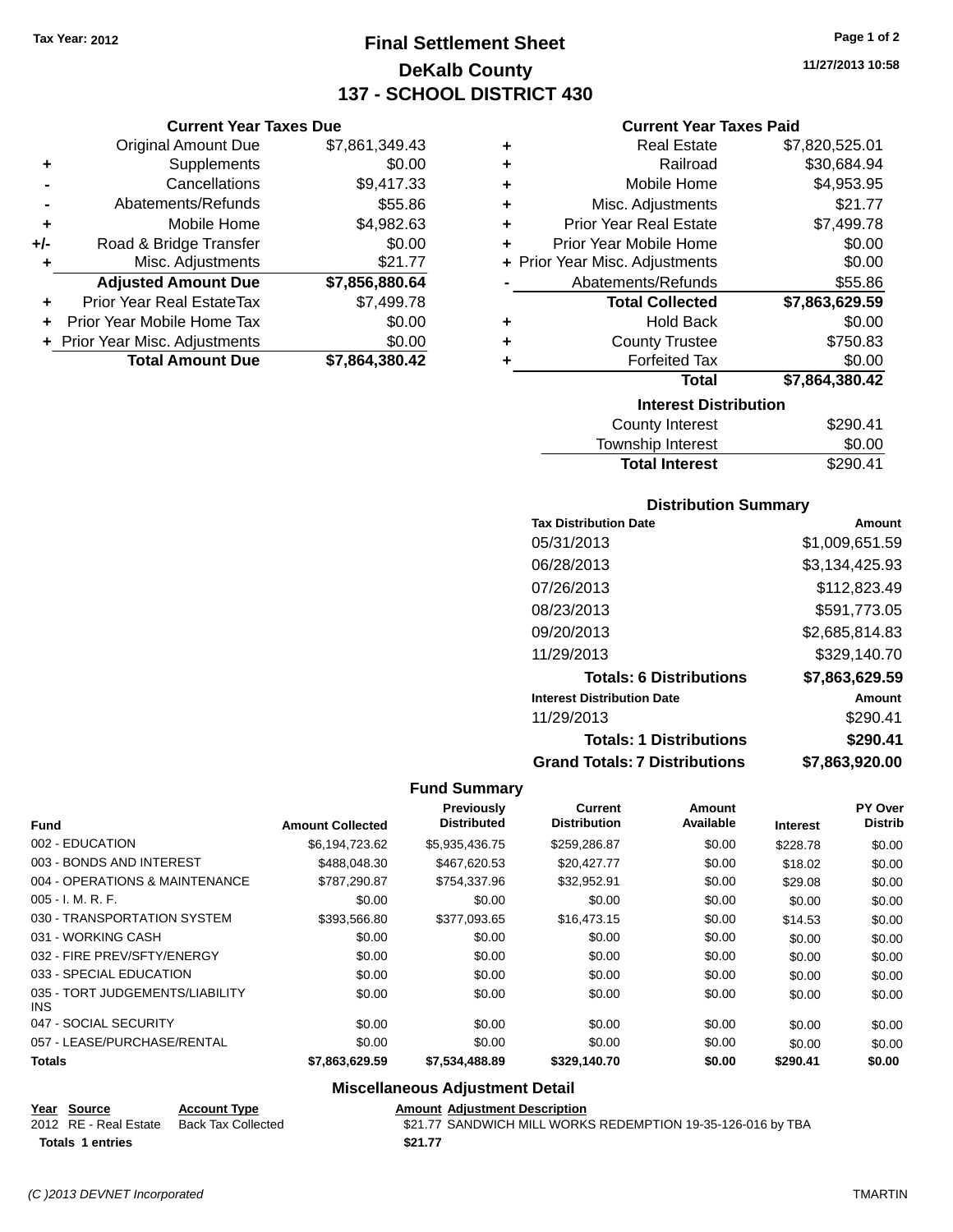**Current Year Taxes Due** Original Amount Due \$7,861,349.43

**Adjusted Amount Due \$7,856,880.64**

**Total Amount Due \$7,864,380.42**

**+** Supplements \$0.00 **-** Cancellations \$9,417.33 **-** Abatements/Refunds \$55.86 **+** Mobile Home \$4,982.63 **+/-** Road & Bridge Transfer \$0.00 **+** Misc. Adjustments \$21.77

**+** Prior Year Real EstateTax \$7,499.78 **+** Prior Year Mobile Home Tax \$0.00 **+ Prior Year Misc. Adjustments**  $$0.00$ 

# **Final Settlement Sheet Tax Year: 2012 Page 1 of 2 DeKalb County 137 - SCHOOL DISTRICT 430**

**11/27/2013 10:58**

### **Current Year Taxes Paid**

| ٠ | <b>Real Estate</b>             | \$7,820,525.01 |  |  |  |
|---|--------------------------------|----------------|--|--|--|
| ÷ | Railroad                       | \$30,684.94    |  |  |  |
| ÷ | Mobile Home                    | \$4,953.95     |  |  |  |
| ÷ | Misc. Adjustments              | \$21.77        |  |  |  |
| ÷ | <b>Prior Year Real Estate</b>  | \$7,499.78     |  |  |  |
| ٠ | Prior Year Mobile Home         | \$0.00         |  |  |  |
|   | + Prior Year Misc. Adjustments | \$0.00         |  |  |  |
|   | Abatements/Refunds             | \$55.86        |  |  |  |
|   | <b>Total Collected</b>         | \$7,863,629.59 |  |  |  |
| ٠ | <b>Hold Back</b>               | \$0.00         |  |  |  |
| ٠ | <b>County Trustee</b>          | \$750.83       |  |  |  |
| ٠ | <b>Forfeited Tax</b>           | \$0.00         |  |  |  |
|   | <b>Total</b>                   | \$7,864,380.42 |  |  |  |
|   | <b>Interest Distribution</b>   |                |  |  |  |
|   | <b>County Interest</b>         | \$290.41       |  |  |  |

| <b>Total Interest</b> | \$290.41 |
|-----------------------|----------|
| Township Interest     | \$0.00   |
| County Interest       | \$290.41 |

### **Distribution Summary**

| <b>Tax Distribution Date</b>         | Amount         |
|--------------------------------------|----------------|
| 05/31/2013                           | \$1,009,651.59 |
| 06/28/2013                           | \$3,134,425.93 |
| 07/26/2013                           | \$112,823.49   |
| 08/23/2013                           | \$591,773.05   |
| 09/20/2013                           | \$2,685,814.83 |
| 11/29/2013                           | \$329,140.70   |
| <b>Totals: 6 Distributions</b>       | \$7,863,629.59 |
| <b>Interest Distribution Date</b>    | Amount         |
| 11/29/2013                           | \$290.41       |
| <b>Totals: 1 Distributions</b>       | \$290.41       |
| <b>Grand Totals: 7 Distributions</b> | \$7,863,920.00 |

### **Fund Summary**

| <b>Fund</b>                             | <b>Amount Collected</b> | Previously<br><b>Distributed</b> | <b>Current</b><br><b>Distribution</b> | Amount<br>Available | <b>Interest</b> | PY Over<br><b>Distrib</b> |
|-----------------------------------------|-------------------------|----------------------------------|---------------------------------------|---------------------|-----------------|---------------------------|
| 002 - EDUCATION                         | \$6,194,723.62          | \$5,935,436.75                   | \$259,286.87                          | \$0.00              | \$228.78        | \$0.00                    |
| 003 - BONDS AND INTEREST                | \$488,048.30            | \$467,620.53                     | \$20,427,77                           | \$0.00              | \$18.02         | \$0.00                    |
| 004 - OPERATIONS & MAINTENANCE          | \$787,290.87            | \$754,337.96                     | \$32,952.91                           | \$0.00              | \$29.08         | \$0.00                    |
| $005 - I. M. R. F.$                     | \$0.00                  | \$0.00                           | \$0.00                                | \$0.00              | \$0.00          | \$0.00                    |
| 030 - TRANSPORTATION SYSTEM             | \$393,566.80            | \$377.093.65                     | \$16,473.15                           | \$0.00              | \$14.53         | \$0.00                    |
| 031 - WORKING CASH                      | \$0.00                  | \$0.00                           | \$0.00                                | \$0.00              | \$0.00          | \$0.00                    |
| 032 - FIRE PREV/SFTY/ENERGY             | \$0.00                  | \$0.00                           | \$0.00                                | \$0.00              | \$0.00          | \$0.00                    |
| 033 - SPECIAL EDUCATION                 | \$0.00                  | \$0.00                           | \$0.00                                | \$0.00              | \$0.00          | \$0.00                    |
| 035 - TORT JUDGEMENTS/LIABILITY<br>INS. | \$0.00                  | \$0.00                           | \$0.00                                | \$0.00              | \$0.00          | \$0.00                    |
| 047 - SOCIAL SECURITY                   | \$0.00                  | \$0.00                           | \$0.00                                | \$0.00              | \$0.00          | \$0.00                    |
| 057 - LEASE/PURCHASE/RENTAL             | \$0.00                  | \$0.00                           | \$0.00                                | \$0.00              | \$0.00          | \$0.00                    |
| <b>Totals</b>                           | \$7,863,629.59          | \$7,534,488.89                   | \$329,140.70                          | \$0.00              | \$290.41        | \$0.00                    |

### **Miscellaneous Adjustment Detail**

| Year Source             | <b>Account Type</b> | <b>Amount Adiustment Description</b>                        |
|-------------------------|---------------------|-------------------------------------------------------------|
| 2012 RE - Real Estate   | Back Tax Collected  | \$21.77 SANDWICH MILL WORKS REDEMPTION 19-35-126-016 by TBA |
| <b>Totals 1 entries</b> |                     | \$21.77                                                     |

*(C )2013 DEVNET Incorporated* TMARTIN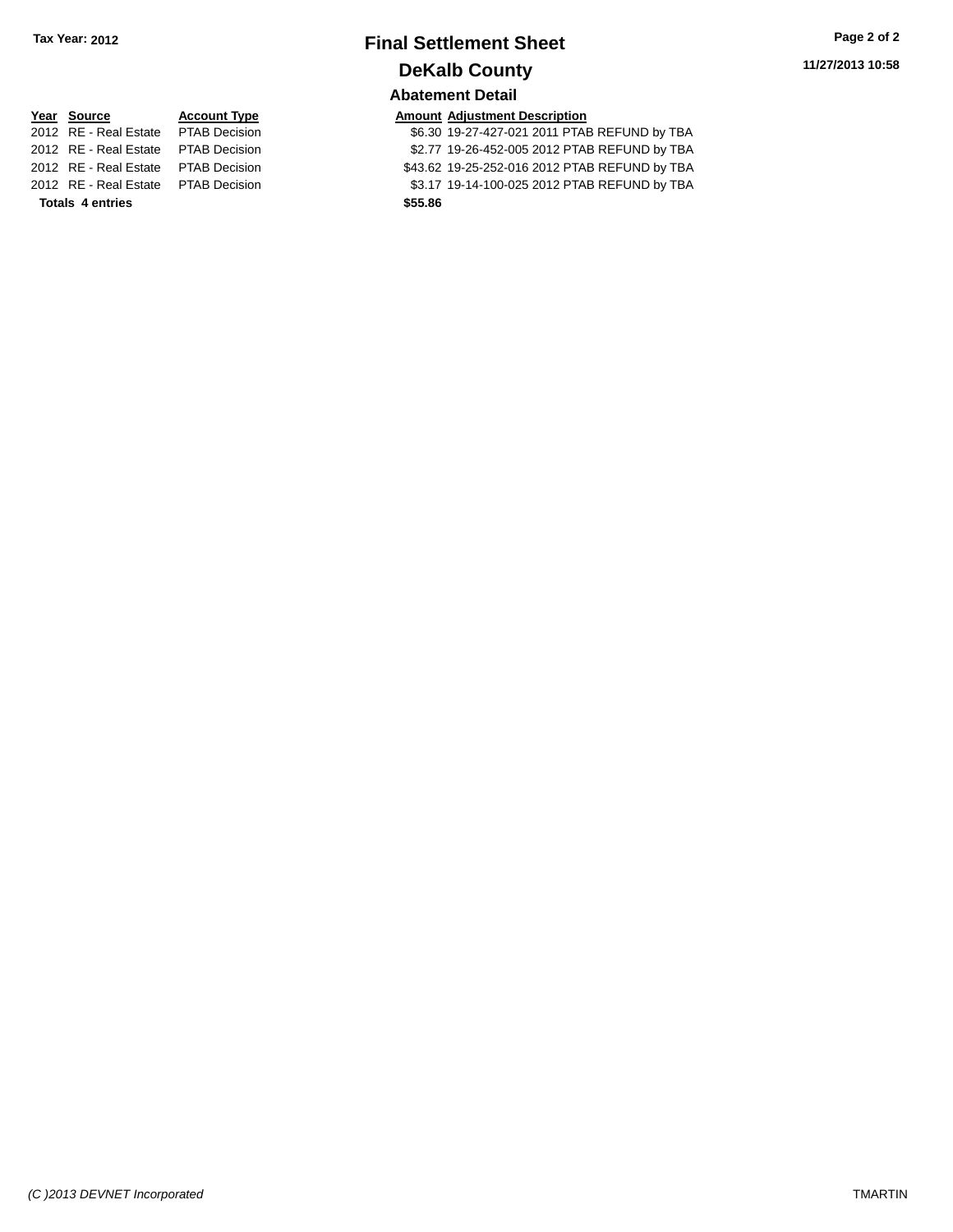### **Final Settlement Sheet Tax Year: 2012 Page 2 of 2 DeKalb County Abatement Detail**

# **Year Source Account Type Account Type Amount Adjustment Description**<br>2012 RE - Real Estate PTAB Decision **1999 6.30 19-27-427-021 2011 PTAE** 2012 RE - Real Estate PTAB Decision \$43.62 19-25-252-016 2012 PTAB REFUND by TBA **Totals 4 entries \$55.86**

\$6.30 19-27-427-021 2011 PTAB REFUND by TBA

2012 RE - Real Estate PTAB Decision \$2.77 19-26-452-005 2012 PTAB REFUND by TBA

2012 RE - Real Estate PTAB Decision \$3.17 19-14-100-025 2012 PTAB REFUND by TBA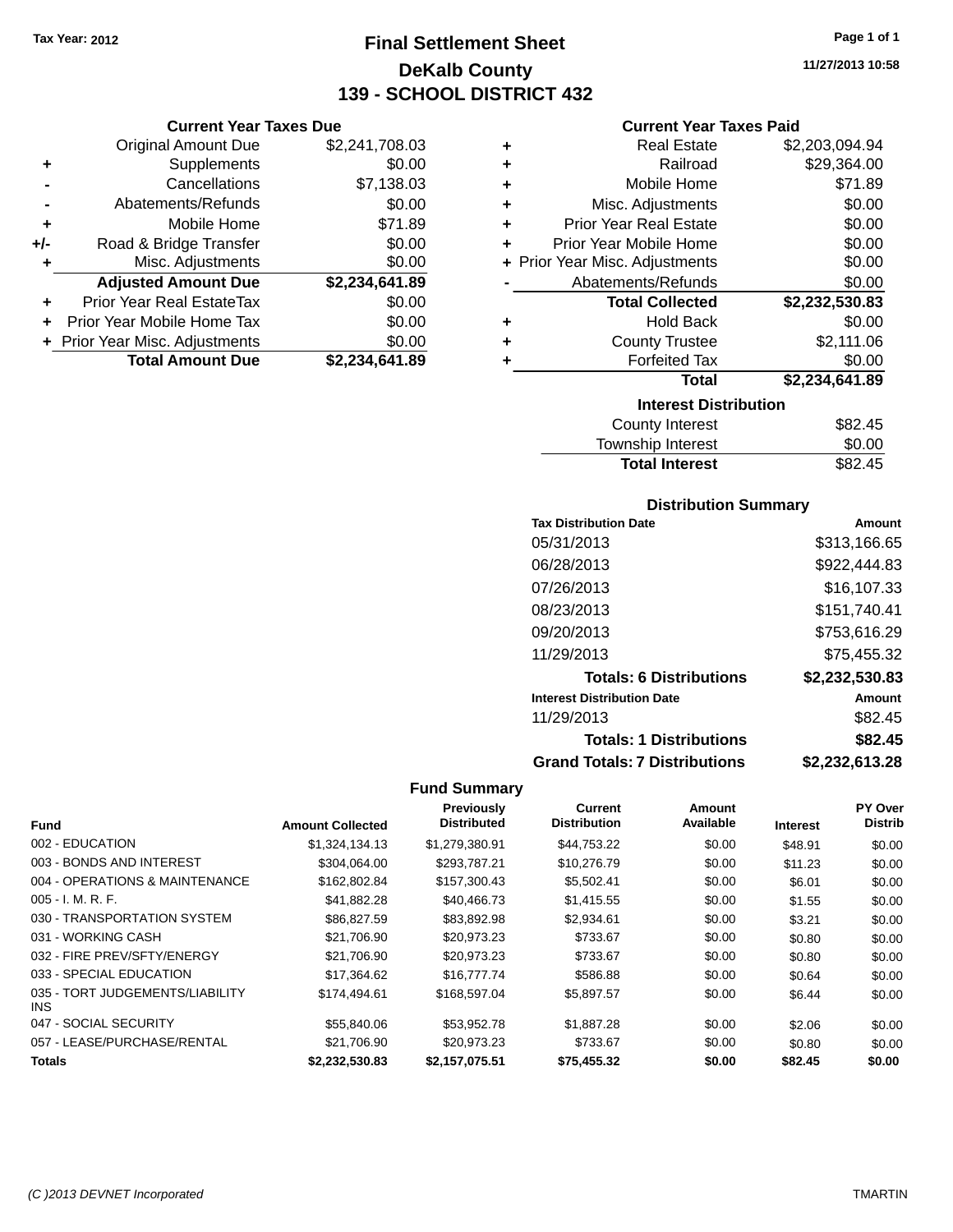**Current Year Taxes Due** Original Amount Due \$2,241,708.03

**Adjusted Amount Due \$2,234,641.89**

**+** Supplements \$0.00 **-** Cancellations \$7,138.03 **-** Abatements/Refunds \$0.00 **+** Mobile Home \$71.89 **+/-** Road & Bridge Transfer \$0.00<br> **+** Misc. Adjustments \$0.00

**+** Prior Year Real EstateTax \$0.00 **+** Prior Year Mobile Home Tax \$0.00 **+** Prior Year Misc. Adjustments \$0.00<br>**Total Amount Due** \$2,234,641.89

**Total Amount Due** 

**+** Misc. Adjustments

# **Final Settlement Sheet Tax Year: 2012 Page 1 of 1 DeKalb County 139 - SCHOOL DISTRICT 432**

**11/27/2013 10:58**

### **Current Year Taxes Paid**

| ٠ | <b>Real Estate</b>             | \$2,203,094.94 |
|---|--------------------------------|----------------|
| ÷ | Railroad                       | \$29,364.00    |
| ÷ | Mobile Home                    | \$71.89        |
| ÷ | Misc. Adjustments              | \$0.00         |
| ÷ | <b>Prior Year Real Estate</b>  | \$0.00         |
| ÷ | Prior Year Mobile Home         | \$0.00         |
|   | + Prior Year Misc. Adjustments | \$0.00         |
|   | Abatements/Refunds             | \$0.00         |
|   | <b>Total Collected</b>         | \$2,232,530.83 |
| ٠ | <b>Hold Back</b>               | \$0.00         |
| ÷ | <b>County Trustee</b>          | \$2,111.06     |
| ÷ | <b>Forfeited Tax</b>           | \$0.00         |
|   | <b>Total</b>                   | \$2,234,641.89 |
|   | <b>Interest Distribution</b>   |                |
|   | County Interest                | \$82.45        |

| <b>County Interest</b> | \$82.45 |
|------------------------|---------|
| Township Interest      | \$0.00  |
| <b>Total Interest</b>  | \$82.45 |

### **Distribution Summary**

| <b>Tax Distribution Date</b>         | Amount         |
|--------------------------------------|----------------|
| 05/31/2013                           | \$313,166.65   |
| 06/28/2013                           | \$922,444.83   |
| 07/26/2013                           | \$16.107.33    |
| 08/23/2013                           | \$151,740.41   |
| 09/20/2013                           | \$753,616.29   |
| 11/29/2013                           | \$75,455.32    |
| <b>Totals: 6 Distributions</b>       | \$2,232,530.83 |
| <b>Interest Distribution Date</b>    | <b>Amount</b>  |
| 11/29/2013                           | \$82.45        |
| <b>Totals: 1 Distributions</b>       | \$82.45        |
| <b>Grand Totals: 7 Distributions</b> | \$2,232,613.28 |

| <b>Fund</b>                             | <b>Amount Collected</b> | <b>Previously</b><br><b>Distributed</b> | Current<br><b>Distribution</b> | Amount<br>Available | <b>Interest</b> | PY Over<br><b>Distrib</b> |
|-----------------------------------------|-------------------------|-----------------------------------------|--------------------------------|---------------------|-----------------|---------------------------|
|                                         |                         |                                         |                                |                     |                 |                           |
| 002 - EDUCATION                         | \$1,324,134.13          | \$1,279,380.91                          | \$44,753.22                    | \$0.00              | \$48.91         | \$0.00                    |
| 003 - BONDS AND INTEREST                | \$304,064.00            | \$293,787.21                            | \$10,276.79                    | \$0.00              | \$11.23         | \$0.00                    |
| 004 - OPERATIONS & MAINTENANCE          | \$162.802.84            | \$157,300.43                            | \$5,502.41                     | \$0.00              | \$6.01          | \$0.00                    |
| $005 - I. M. R. F.$                     | \$41,882.28             | \$40,466.73                             | \$1,415.55                     | \$0.00              | \$1.55          | \$0.00                    |
| 030 - TRANSPORTATION SYSTEM             | \$86,827.59             | \$83,892.98                             | \$2,934.61                     | \$0.00              | \$3.21          | \$0.00                    |
| 031 - WORKING CASH                      | \$21,706.90             | \$20,973.23                             | \$733.67                       | \$0.00              | \$0.80          | \$0.00                    |
| 032 - FIRE PREV/SFTY/ENERGY             | \$21,706.90             | \$20,973.23                             | \$733.67                       | \$0.00              | \$0.80          | \$0.00                    |
| 033 - SPECIAL EDUCATION                 | \$17.364.62             | \$16,777,74                             | \$586.88                       | \$0.00              | \$0.64          | \$0.00                    |
| 035 - TORT JUDGEMENTS/LIABILITY<br>INS. | \$174,494.61            | \$168,597.04                            | \$5,897.57                     | \$0.00              | \$6.44          | \$0.00                    |
| 047 - SOCIAL SECURITY                   | \$55,840.06             | \$53.952.78                             | \$1,887.28                     | \$0.00              | \$2.06          | \$0.00                    |
| 057 - LEASE/PURCHASE/RENTAL             | \$21.706.90             | \$20.973.23                             | \$733.67                       | \$0.00              | \$0.80          | \$0.00                    |
| Totals                                  | \$2,232,530.83          | \$2,157,075.51                          | \$75,455.32                    | \$0.00              | \$82.45         | \$0.00                    |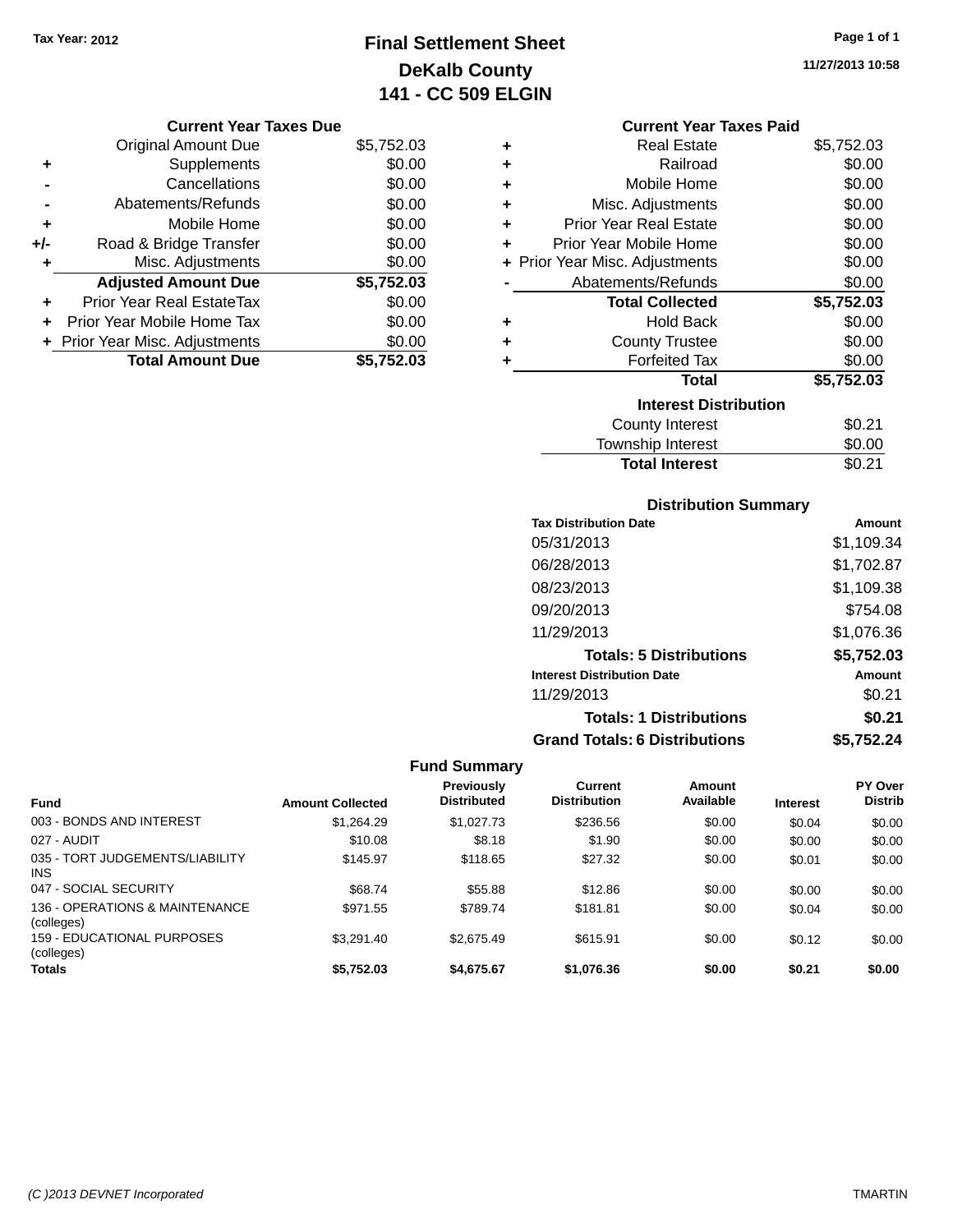# **Final Settlement Sheet Tax Year: 2012 Page 1 of 1 DeKalb County 141 - CC 509 ELGIN**

**11/27/2013 10:58**

### **Current Year Taxes Due**

|       | <b>Original Amount Due</b>     | \$5,752.03 |
|-------|--------------------------------|------------|
| ٠     | Supplements                    | \$0.00     |
|       | Cancellations                  | \$0.00     |
|       | Abatements/Refunds             | \$0.00     |
| ÷     | Mobile Home                    | \$0.00     |
| $+/-$ | Road & Bridge Transfer         | \$0.00     |
|       | Misc. Adjustments              | \$0.00     |
|       | <b>Adjusted Amount Due</b>     | \$5,752.03 |
| ÷     | Prior Year Real EstateTax      | \$0.00     |
|       | Prior Year Mobile Home Tax     | \$0.00     |
|       | + Prior Year Misc. Adjustments | \$0.00     |
|       | <b>Total Amount Due</b>        | \$5,752.03 |

### **Current Year Taxes Paid**

| ٠ | <b>Real Estate</b>             | \$5,752.03 |
|---|--------------------------------|------------|
| ÷ | Railroad                       | \$0.00     |
| ٠ | Mobile Home                    | \$0.00     |
| ٠ | Misc. Adjustments              | \$0.00     |
| ٠ | <b>Prior Year Real Estate</b>  | \$0.00     |
| ٠ | Prior Year Mobile Home         | \$0.00     |
|   | + Prior Year Misc. Adjustments | \$0.00     |
|   | Abatements/Refunds             | \$0.00     |
|   | <b>Total Collected</b>         | \$5,752.03 |
| ٠ | <b>Hold Back</b>               | \$0.00     |
| ٠ | <b>County Trustee</b>          | \$0.00     |
| ٠ | <b>Forfeited Tax</b>           | \$0.00     |
|   | Total                          | \$5,752.03 |
|   | <b>Interest Distribution</b>   |            |
|   | <b>County Interest</b>         | \$0.21     |
|   | <b>Township Interest</b>       | \$0.00     |
|   | <b>Total Interest</b>          | \$0.21     |

### **Distribution Summary**

| <b>Tax Distribution Date</b>         | Amount     |
|--------------------------------------|------------|
| 05/31/2013                           | \$1,109.34 |
| 06/28/2013                           | \$1,702.87 |
| 08/23/2013                           | \$1,109.38 |
| 09/20/2013                           | \$754.08   |
| 11/29/2013                           | \$1,076.36 |
| <b>Totals: 5 Distributions</b>       | \$5,752.03 |
| <b>Interest Distribution Date</b>    | Amount     |
| 11/29/2013                           | \$0.21     |
| <b>Totals: 1 Distributions</b>       | \$0.21     |
| <b>Grand Totals: 6 Distributions</b> | \$5,752.24 |

|                                              |                         | <b>Previously</b>  | Current             | Amount    |                 | <b>PY Over</b> |
|----------------------------------------------|-------------------------|--------------------|---------------------|-----------|-----------------|----------------|
| <b>Fund</b>                                  | <b>Amount Collected</b> | <b>Distributed</b> | <b>Distribution</b> | Available | <b>Interest</b> | <b>Distrib</b> |
| 003 - BONDS AND INTEREST                     | \$1,264.29              | \$1,027.73         | \$236.56            | \$0.00    | \$0.04          | \$0.00         |
| 027 - AUDIT                                  | \$10.08                 | \$8.18             | \$1.90              | \$0.00    | \$0.00          | \$0.00         |
| 035 - TORT JUDGEMENTS/LIABILITY<br>INS.      | \$145.97                | \$118.65           | \$27.32             | \$0.00    | \$0.01          | \$0.00         |
| 047 - SOCIAL SECURITY                        | \$68.74                 | \$55.88            | \$12.86             | \$0.00    | \$0.00          | \$0.00         |
| 136 - OPERATIONS & MAINTENANCE<br>(colleges) | \$971.55                | \$789.74           | \$181.81            | \$0.00    | \$0.04          | \$0.00         |
| 159 - FDUCATIONAL PURPOSES<br>(colleges)     | \$3.291.40              | \$2.675.49         | \$615.91            | \$0.00    | \$0.12          | \$0.00         |
| <b>Totals</b>                                | \$5.752.03              | \$4.675.67         | \$1,076.36          | \$0.00    | \$0.21          | \$0.00         |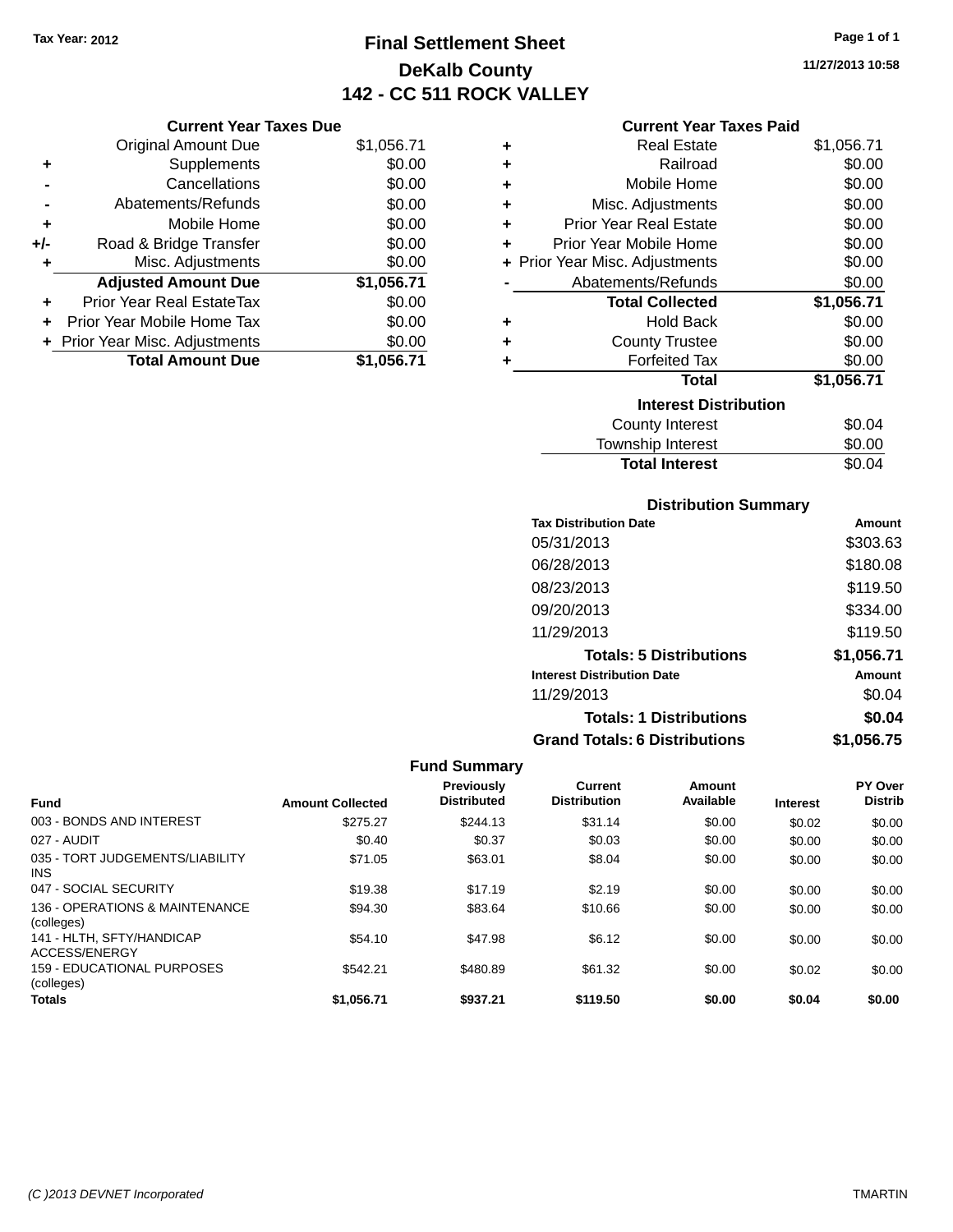# **Final Settlement Sheet Tax Year: 2012 Page 1 of 1 DeKalb County 142 - CC 511 ROCK VALLEY**

### **Current Year Taxes Paid**

|     | <b>Current Year Taxes Due</b>  |            |
|-----|--------------------------------|------------|
|     | <b>Original Amount Due</b>     | \$1,056.71 |
| ٠   | Supplements                    | \$0.00     |
|     | Cancellations                  | \$0.00     |
|     | Abatements/Refunds             | \$0.00     |
| ٠   | Mobile Home                    | \$0.00     |
| +/- | Road & Bridge Transfer         | \$0.00     |
| ٠   | Misc. Adjustments              | \$0.00     |
|     | <b>Adjusted Amount Due</b>     | \$1,056.71 |
|     | Prior Year Real EstateTax      | \$0.00     |
| ÷   | Prior Year Mobile Home Tax     | \$0.00     |
|     | + Prior Year Misc. Adjustments | \$0.00     |
|     | <b>Total Amount Due</b>        | \$1.056.71 |

| ٠ | <b>Real Estate</b>             | \$1,056.71 |
|---|--------------------------------|------------|
| ÷ | Railroad                       | \$0.00     |
| ÷ | Mobile Home                    | \$0.00     |
| ٠ | Misc. Adjustments              | \$0.00     |
| ÷ | <b>Prior Year Real Estate</b>  | \$0.00     |
| ٠ | Prior Year Mobile Home         | \$0.00     |
|   | + Prior Year Misc. Adjustments | \$0.00     |
|   | Abatements/Refunds             | \$0.00     |
|   | <b>Total Collected</b>         | \$1,056.71 |
| ٠ | <b>Hold Back</b>               | \$0.00     |
| ÷ | <b>County Trustee</b>          | \$0.00     |
| ٠ | <b>Forfeited Tax</b>           | \$0.00     |
|   | Total                          | \$1,056.71 |
|   | <b>Interest Distribution</b>   |            |
|   | <b>County Interest</b>         | \$0.04     |
|   | Township Interest              | \$0.00     |
|   | <b>Total Interest</b>          | \$0.04     |

### **Distribution Summary**

| <b>Tax Distribution Date</b>         | Amount     |
|--------------------------------------|------------|
| 05/31/2013                           | \$303.63   |
| 06/28/2013                           | \$180.08   |
| 08/23/2013                           | \$119.50   |
| 09/20/2013                           | \$334.00   |
| 11/29/2013                           | \$119.50   |
| <b>Totals: 5 Distributions</b>       | \$1,056.71 |
| <b>Interest Distribution Date</b>    | Amount     |
| 11/29/2013                           | \$0.04     |
| <b>Totals: 1 Distributions</b>       | \$0.04     |
| <b>Grand Totals: 6 Distributions</b> | \$1,056.75 |

|                                              |                         | <b>Previously</b><br><b>Distributed</b> | Current<br><b>Distribution</b> | Amount<br>Available |                 | PY Over<br><b>Distrib</b> |
|----------------------------------------------|-------------------------|-----------------------------------------|--------------------------------|---------------------|-----------------|---------------------------|
| <b>Fund</b>                                  | <b>Amount Collected</b> |                                         |                                |                     | <b>Interest</b> |                           |
| 003 - BONDS AND INTEREST                     | \$275.27                | \$244.13                                | \$31.14                        | \$0.00              | \$0.02          | \$0.00                    |
| 027 - AUDIT                                  | \$0.40                  | \$0.37                                  | \$0.03                         | \$0.00              | \$0.00          | \$0.00                    |
| 035 - TORT JUDGEMENTS/LIABILITY<br>INS.      | \$71.05                 | \$63.01                                 | \$8.04                         | \$0.00              | \$0.00          | \$0.00                    |
| 047 - SOCIAL SECURITY                        | \$19.38                 | \$17.19                                 | \$2.19                         | \$0.00              | \$0.00          | \$0.00                    |
| 136 - OPERATIONS & MAINTENANCE<br>(colleges) | \$94.30                 | \$83.64                                 | \$10.66                        | \$0.00              | \$0.00          | \$0.00                    |
| 141 - HLTH, SFTY/HANDICAP<br>ACCESS/ENERGY   | \$54.10                 | \$47.98                                 | \$6.12                         | \$0.00              | \$0.00          | \$0.00                    |
| 159 - EDUCATIONAL PURPOSES<br>(colleges)     | \$542.21                | \$480.89                                | \$61.32                        | \$0.00              | \$0.02          | \$0.00                    |
| Totals                                       | \$1.056.71              | \$937.21                                | \$119.50                       | \$0.00              | \$0.04          | \$0.00                    |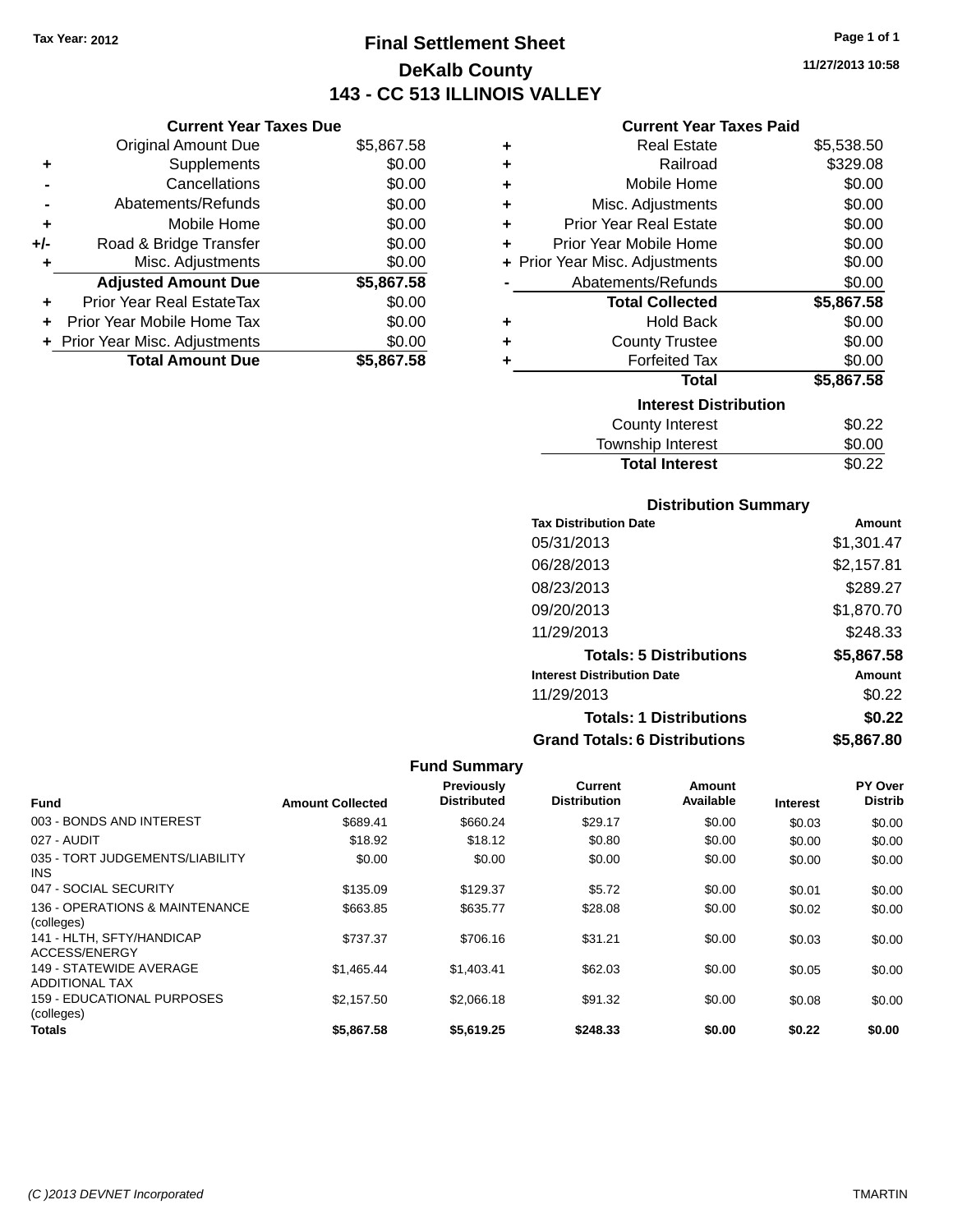**Current Year Taxes Due**

# **Final Settlement Sheet Tax Year: 2012 Page 1 of 1 DeKalb County 143 - CC 513 ILLINOIS VALLEY**

**11/27/2013 10:58**

### **Current Year Taxes Paid**

|                | ип <b>уна туаг талуу р</b> ау    |            |   |                                |            |
|----------------|----------------------------------|------------|---|--------------------------------|------------|
|                | <b>Original Amount Due</b>       | \$5,867.58 | ٠ | <b>Real Estate</b>             | \$5,538.50 |
| ٠              | Supplements                      | \$0.00     | ٠ | Railroad                       | \$329.08   |
| $\blacksquare$ | Cancellations                    | \$0.00     | ٠ | Mobile Home                    | \$0.00     |
| $\blacksquare$ | Abatements/Refunds               | \$0.00     | ٠ | Misc. Adjustments              | \$0.00     |
| ٠              | Mobile Home                      | \$0.00     | ٠ | <b>Prior Year Real Estate</b>  | \$0.00     |
| I-             | Road & Bridge Transfer           | \$0.00     |   | Prior Year Mobile Home         | \$0.00     |
| ٠              | Misc. Adjustments                | \$0.00     |   | + Prior Year Misc. Adjustments | \$0.00     |
|                | <b>Adjusted Amount Due</b>       | \$5,867.58 |   | Abatements/Refunds             | \$0.00     |
| ÷              | <b>Prior Year Real EstateTax</b> | \$0.00     |   | <b>Total Collected</b>         | \$5,867.58 |
| ÷.             | Prior Year Mobile Home Tax       | \$0.00     | ٠ | <b>Hold Back</b>               | \$0.00     |
|                | + Prior Year Misc. Adjustments   | \$0.00     |   | <b>County Trustee</b>          | \$0.00     |
|                | <b>Total Amount Due</b>          | \$5,867.58 |   | <b>Forfeited Tax</b>           | \$0.00     |
|                |                                  |            |   | <b>Total</b>                   | \$5,867.58 |
|                |                                  |            |   | <b>Interest Distribution</b>   |            |
|                |                                  |            |   | <b>County Interest</b>         | \$0.22     |
|                |                                  |            |   | Township Interest              | \$0.00     |

### **Distribution Summary**

**Total Interest** \$0.22

| <b>Tax Distribution Date</b>         | Amount     |
|--------------------------------------|------------|
| 05/31/2013                           | \$1,301.47 |
| 06/28/2013                           | \$2,157.81 |
| 08/23/2013                           | \$289.27   |
| 09/20/2013                           | \$1,870.70 |
| 11/29/2013                           | \$248.33   |
| <b>Totals: 5 Distributions</b>       | \$5,867.58 |
| <b>Interest Distribution Date</b>    | Amount     |
| 11/29/2013                           | \$0.22     |
| <b>Totals: 1 Distributions</b>       | \$0.22     |
| <b>Grand Totals: 6 Distributions</b> | \$5,867.80 |

| <b>Fund</b>                                      | <b>Amount Collected</b> | <b>Previously</b><br><b>Distributed</b> | Current<br><b>Distribution</b> | Amount<br>Available | <b>Interest</b> | PY Over<br><b>Distrib</b> |
|--------------------------------------------------|-------------------------|-----------------------------------------|--------------------------------|---------------------|-----------------|---------------------------|
|                                                  |                         |                                         |                                |                     |                 |                           |
| 003 - BONDS AND INTEREST                         | \$689.41                | \$660.24                                | \$29.17                        | \$0.00              | \$0.03          | \$0.00                    |
| 027 - AUDIT                                      | \$18.92                 | \$18.12                                 | \$0.80                         | \$0.00              | \$0.00          | \$0.00                    |
| 035 - TORT JUDGEMENTS/LIABILITY<br>INS.          | \$0.00                  | \$0.00                                  | \$0.00                         | \$0.00              | \$0.00          | \$0.00                    |
| 047 - SOCIAL SECURITY                            | \$135.09                | \$129.37                                | \$5.72                         | \$0.00              | \$0.01          | \$0.00                    |
| 136 - OPERATIONS & MAINTENANCE<br>(colleges)     | \$663.85                | \$635.77                                | \$28.08                        | \$0.00              | \$0.02          | \$0.00                    |
| 141 - HLTH, SFTY/HANDICAP<br>ACCESS/ENERGY       | \$737.37                | \$706.16                                | \$31.21                        | \$0.00              | \$0.03          | \$0.00                    |
| 149 - STATEWIDE AVERAGE<br><b>ADDITIONAL TAX</b> | \$1,465,44              | \$1.403.41                              | \$62.03                        | \$0.00              | \$0.05          | \$0.00                    |
| <b>159 - EDUCATIONAL PURPOSES</b><br>(colleges)  | \$2.157.50              | \$2,066.18                              | \$91.32                        | \$0.00              | \$0.08          | \$0.00                    |
| Totals                                           | \$5,867.58              | \$5,619.25                              | \$248.33                       | \$0.00              | \$0.22          | \$0.00                    |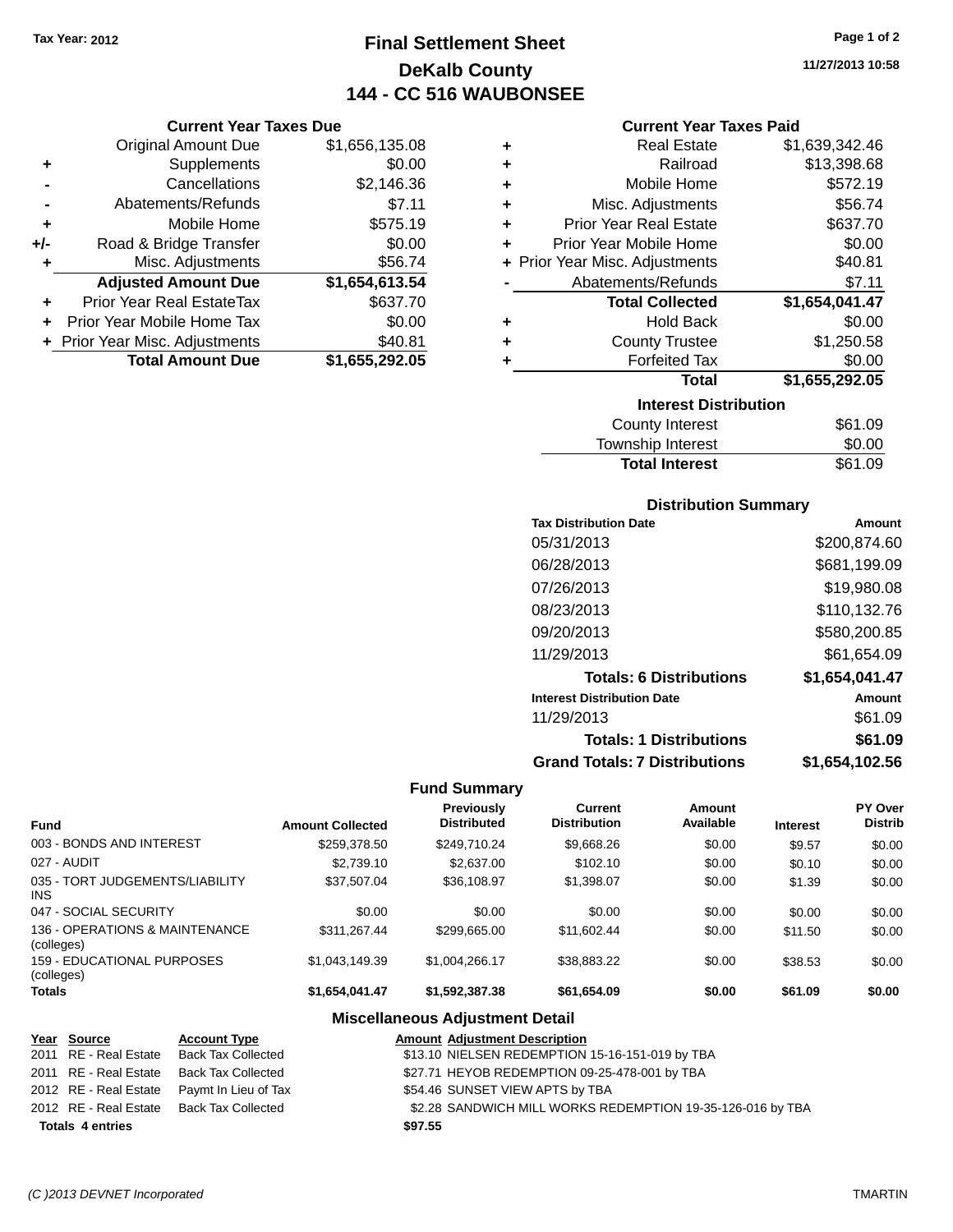# **Final Settlement Sheet Tax Year: 2012 Page 1 of 2 DeKalb County 144 - CC 516 WAUBONSEE**

**11/27/2013 10:58**

### **Current Year Taxes Paid**

|     | <b>Current Year Taxes Due</b>  |                |
|-----|--------------------------------|----------------|
|     | <b>Original Amount Due</b>     | \$1,656,135.08 |
| ٠   | Supplements                    | \$0.00         |
|     | Cancellations                  | \$2,146.36     |
|     | Abatements/Refunds             | \$7.11         |
| ٠   | Mobile Home                    | \$575.19       |
| +/- | Road & Bridge Transfer         | \$0.00         |
| ٠   | Misc. Adjustments              | \$56.74        |
|     | <b>Adjusted Amount Due</b>     | \$1,654,613.54 |
| ٠   | Prior Year Real EstateTax      | \$637.70       |
| ٠   | Prior Year Mobile Home Tax     | \$0.00         |
|     | + Prior Year Misc. Adjustments | \$40.81        |
|     | <b>Total Amount Due</b>        | \$1,655,292.05 |

| ٠ | <b>Real Estate</b>             | \$1,639,342.46 |
|---|--------------------------------|----------------|
| ٠ | Railroad                       | \$13,398.68    |
| ٠ | Mobile Home                    | \$572.19       |
| ٠ | Misc. Adjustments              | \$56.74        |
| ٠ | <b>Prior Year Real Estate</b>  | \$637.70       |
| ٠ | Prior Year Mobile Home         | \$0.00         |
|   | + Prior Year Misc. Adjustments | \$40.81        |
|   | Abatements/Refunds             | \$7.11         |
|   |                                |                |
|   | <b>Total Collected</b>         | \$1,654,041.47 |
| ٠ | <b>Hold Back</b>               | \$0.00         |
| ٠ | <b>County Trustee</b>          | \$1,250.58     |
| ٠ | <b>Forfeited Tax</b>           | \$0.00         |
|   | <b>Total</b>                   | \$1,655,292.05 |
|   | <b>Interest Distribution</b>   |                |
|   | County Interest                | \$61.09        |

| <b>IOWITOHIP INTOICOL</b> | wu.uu   |
|---------------------------|---------|
| <b>Total Interest</b>     | \$61.09 |
|                           |         |

### **Distribution Summary**

| <b>Tax Distribution Date</b>         | Amount         |
|--------------------------------------|----------------|
| 05/31/2013                           | \$200,874.60   |
| 06/28/2013                           | \$681,199.09   |
| 07/26/2013                           | \$19,980.08    |
| 08/23/2013                           | \$110,132.76   |
| 09/20/2013                           | \$580,200.85   |
| 11/29/2013                           | \$61.654.09    |
| <b>Totals: 6 Distributions</b>       | \$1,654,041.47 |
| <b>Interest Distribution Date</b>    | Amount         |
| 11/29/2013                           | \$61.09        |
| <b>Totals: 1 Distributions</b>       | \$61.09        |
| <b>Grand Totals: 7 Distributions</b> | \$1.654.102.56 |

### **Fund Summary**

| <b>Fund</b>                                   | <b>Amount Collected</b> | Previously<br><b>Distributed</b> | Current<br><b>Distribution</b> | Amount<br>Available | <b>Interest</b> | <b>PY Over</b><br><b>Distrib</b> |
|-----------------------------------------------|-------------------------|----------------------------------|--------------------------------|---------------------|-----------------|----------------------------------|
| 003 - BONDS AND INTEREST                      | \$259,378.50            | \$249,710.24                     | \$9,668.26                     | \$0.00              | \$9.57          | \$0.00                           |
| 027 - AUDIT                                   | \$2.739.10              | \$2,637.00                       | \$102.10                       | \$0.00              | \$0.10          | \$0.00                           |
| 035 - TORT JUDGEMENTS/LIABILITY<br><b>INS</b> | \$37,507.04             | \$36,108.97                      | \$1,398.07                     | \$0.00              | \$1.39          | \$0.00                           |
| 047 - SOCIAL SECURITY                         | \$0.00                  | \$0.00                           | \$0.00                         | \$0.00              | \$0.00          | \$0.00                           |
| 136 - OPERATIONS & MAINTENANCE<br>(colleges)  | \$311.267.44            | \$299.665.00                     | \$11,602.44                    | \$0.00              | \$11.50         | \$0.00                           |
| 159 - EDUCATIONAL PURPOSES<br>(colleges)      | \$1,043,149.39          | \$1,004,266.17                   | \$38.883.22                    | \$0.00              | \$38.53         | \$0.00                           |
| <b>Totals</b>                                 | \$1,654,041.47          | \$1,592,387.38                   | \$61,654.09                    | \$0.00              | \$61.09         | \$0.00                           |

### **Miscellaneous Adjustment Detail**

| Year Source |                         | <b>Account Type</b>                        |         | <b>Amount Adjustment Description</b>                       |
|-------------|-------------------------|--------------------------------------------|---------|------------------------------------------------------------|
|             | 2011 RE - Real Estate   | <b>Back Tax Collected</b>                  |         | \$13.10 NIELSEN REDEMPTION 15-16-151-019 by TBA            |
|             | 2011 RE - Real Estate   | Back Tax Collected                         |         | \$27.71 HEYOB REDEMPTION 09-25-478-001 by TBA              |
|             |                         | 2012 RE - Real Estate Paymt In Lieu of Tax |         | \$54.46 SUNSET VIEW APTS by TBA                            |
|             |                         | 2012 RE - Real Estate Back Tax Collected   |         | \$2.28 SANDWICH MILL WORKS REDEMPTION 19-35-126-016 by TBA |
|             | <b>Totals 4 entries</b> |                                            | \$97.55 |                                                            |

#### *(C )2013 DEVNET Incorporated* TMARTIN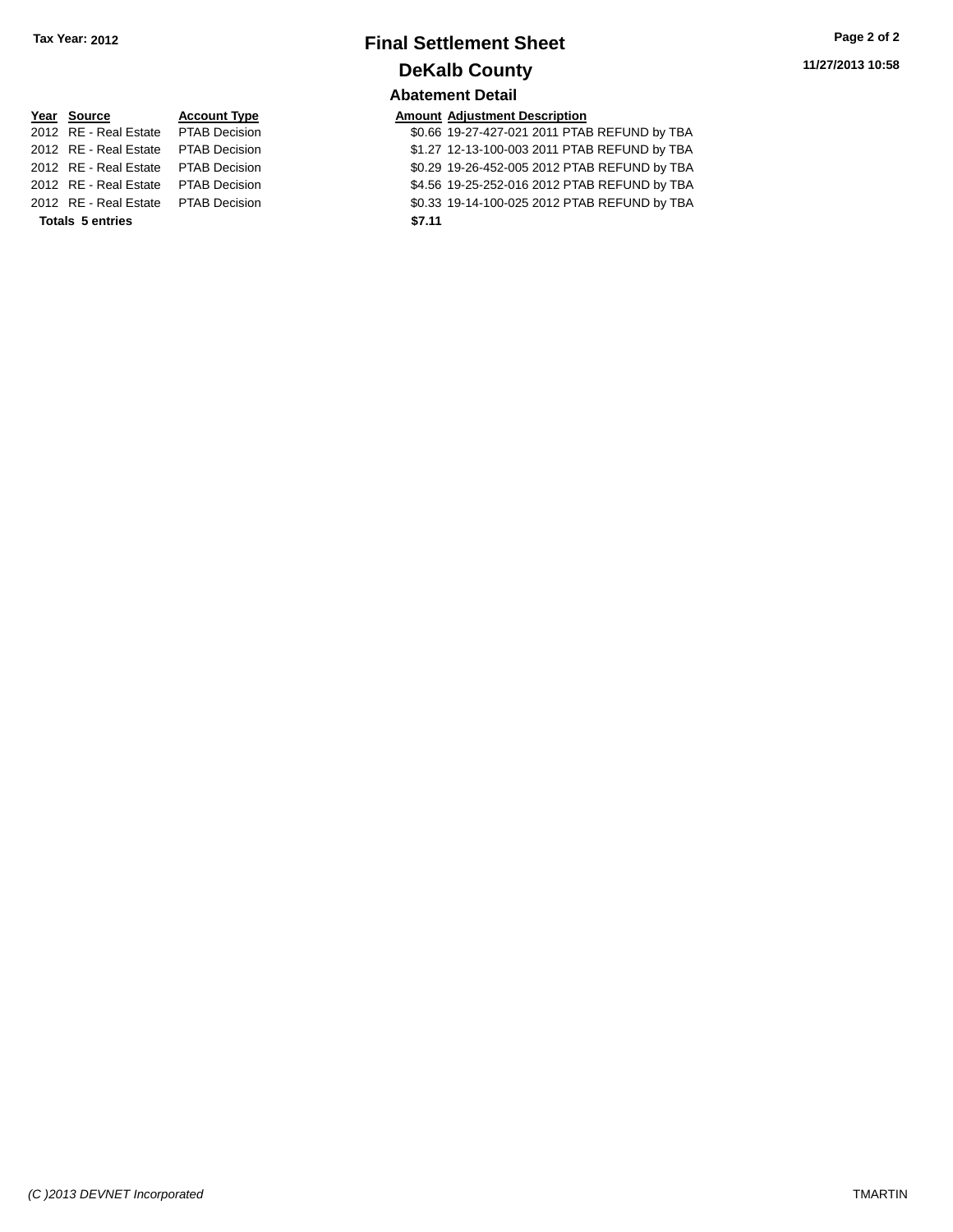# **Final Settlement Sheet Tax Year: 2012 Page 2 of 2 DeKalb County Abatement Detail**

**11/27/2013 10:58**

| Year Source                         | <b>Account Type</b> |        | <b>Amount Adjustment Description</b> |
|-------------------------------------|---------------------|--------|--------------------------------------|
| 2012 RE - Real Estate PTAB Decision |                     |        | \$0.66 19-27-427-021 2011 PTA        |
| 2012 RE - Real Estate PTAB Decision |                     |        | \$1.27 12-13-100-003 2011 PTA        |
| 2012 RE - Real Estate PTAB Decision |                     |        | \$0.29 19-26-452-005 2012 PTA        |
| 2012 RE - Real Estate PTAB Decision |                     |        | \$4.56 19-25-252-016 2012 PTA        |
| 2012 RE - Real Estate PTAB Decision |                     |        | \$0.33 19-14-100-025 2012 PTA        |
| <b>Totals 5 entries</b>             |                     | \$7.11 |                                      |

| Year Source                          | <b>Account Type</b> |        | <b>Amount Adjustment Description</b>         |
|--------------------------------------|---------------------|--------|----------------------------------------------|
| 2012 RE - Real Estate PTAB Decision  |                     |        | \$0.66 19-27-427-021 2011 PTAB REFUND by TBA |
| 2012 RE - Real Estate  PTAB Decision |                     |        | \$1.27 12-13-100-003 2011 PTAB REFUND by TBA |
| 2012 RE - Real Estate PTAB Decision  |                     |        | \$0.29 19-26-452-005 2012 PTAB REFUND by TBA |
| 2012 RE - Real Estate PTAB Decision  |                     |        | \$4.56 19-25-252-016 2012 PTAB REFUND by TBA |
| 2012 RE - Real Estate PTAB Decision  |                     |        | \$0.33 19-14-100-025 2012 PTAB REFUND by TBA |
| <b>Totals 5 entries</b>              |                     | \$7.11 |                                              |
|                                      |                     |        |                                              |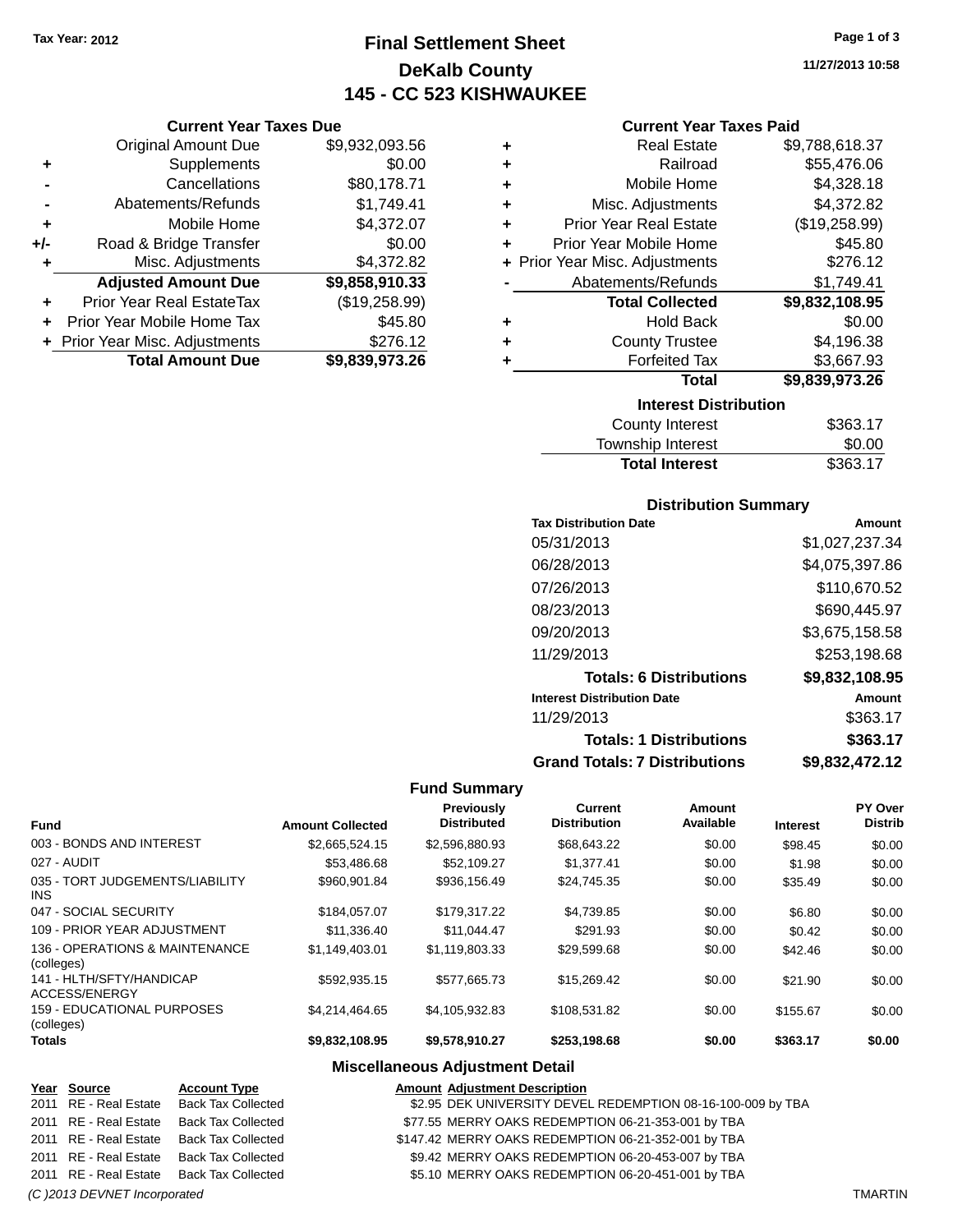**Current Year Taxes Due** Original Amount Due \$9,932,093.56

**Adjusted Amount Due \$9,858,910.33**

**Total Amount Due \$9,839,973.26**

**+** Supplements \$0.00 **-** Cancellations \$80,178.71 **-** Abatements/Refunds \$1,749.41 **+** Mobile Home \$4,372.07 **+/-** Road & Bridge Transfer \$0.00 **+** Misc. Adjustments \$4,372.82

**+** Prior Year Real EstateTax (\$19,258.99) **+** Prior Year Mobile Home Tax \$45.80 **+** Prior Year Misc. Adjustments \$276.12

# **Final Settlement Sheet Tax Year: 2012 Page 1 of 3 DeKalb County 145 - CC 523 KISHWAUKEE**

**11/27/2013 10:58**

### **Current Year Taxes Paid**

| ٠ | <b>Real Estate</b>             | \$9,788,618.37 |
|---|--------------------------------|----------------|
| ٠ | Railroad                       | \$55,476.06    |
| ٠ | Mobile Home                    | \$4,328.18     |
| ÷ | Misc. Adjustments              | \$4,372.82     |
| ÷ | <b>Prior Year Real Estate</b>  | (\$19,258.99)  |
| ٠ | Prior Year Mobile Home         | \$45.80        |
|   | + Prior Year Misc. Adjustments | \$276.12       |
|   | Abatements/Refunds             | \$1,749.41     |
|   | <b>Total Collected</b>         | \$9,832,108.95 |
| ٠ | <b>Hold Back</b>               | \$0.00         |
| ٠ | <b>County Trustee</b>          | \$4,196.38     |
|   | <b>Forfeited Tax</b>           | \$3,667.93     |
|   | <b>Total</b>                   | \$9,839,973.26 |
|   | <b>Interest Distribution</b>   |                |
|   | <b>County Interest</b>         | \$363.17       |

| \$363.17 |
|----------|
| \$0.00   |
| \$363.17 |
|          |

### **Distribution Summary**

| <b>Tax Distribution Date</b>         | Amount         |
|--------------------------------------|----------------|
| 05/31/2013                           | \$1,027,237.34 |
| 06/28/2013                           | \$4,075,397.86 |
| 07/26/2013                           | \$110,670.52   |
| 08/23/2013                           | \$690,445.97   |
| 09/20/2013                           | \$3,675,158.58 |
| 11/29/2013                           | \$253,198.68   |
| <b>Totals: 6 Distributions</b>       | \$9,832,108.95 |
| <b>Interest Distribution Date</b>    | Amount         |
| 11/29/2013                           | \$363.17       |
| <b>Totals: 1 Distributions</b>       | \$363.17       |
| <b>Grand Totals: 7 Distributions</b> | \$9.832.472.12 |

#### **Fund Summary**

| Fund                                          | <b>Amount Collected</b> | <b>Previously</b><br><b>Distributed</b> | Current<br><b>Distribution</b> | Amount<br>Available | <b>Interest</b> | PY Over<br><b>Distrib</b> |
|-----------------------------------------------|-------------------------|-----------------------------------------|--------------------------------|---------------------|-----------------|---------------------------|
| 003 - BONDS AND INTEREST                      | \$2.665.524.15          | \$2,596,880.93                          | \$68,643.22                    | \$0.00              | \$98.45         | \$0.00                    |
| 027 - AUDIT                                   | \$53,486.68             | \$52,109.27                             | \$1.377.41                     | \$0.00              | \$1.98          | \$0.00                    |
| 035 - TORT JUDGEMENTS/LIABILITY<br><b>INS</b> | \$960.901.84            | \$936.156.49                            | \$24.745.35                    | \$0.00              | \$35.49         | \$0.00                    |
| 047 - SOCIAL SECURITY                         | \$184.057.07            | \$179.317.22                            | \$4,739.85                     | \$0.00              | \$6.80          | \$0.00                    |
| 109 - PRIOR YEAR ADJUSTMENT                   | \$11,336.40             | \$11.044.47                             | \$291.93                       | \$0.00              | \$0.42          | \$0.00                    |
| 136 - OPERATIONS & MAINTENANCE<br>(colleges)  | \$1.149.403.01          | \$1,119,803.33                          | \$29.599.68                    | \$0.00              | \$42.46         | \$0.00                    |
| 141 - HLTH/SFTY/HANDICAP<br>ACCESS/ENERGY     | \$592.935.15            | \$577,665.73                            | \$15,269.42                    | \$0.00              | \$21.90         | \$0.00                    |
| 159 - EDUCATIONAL PURPOSES<br>(colleges)      | \$4.214.464.65          | \$4,105,932.83                          | \$108.531.82                   | \$0.00              | \$155.67        | \$0.00                    |
| <b>Totals</b>                                 | \$9,832,108.95          | \$9,578,910.27                          | \$253,198.68                   | \$0.00              | \$363.17        | \$0.00                    |

#### **Miscellaneous Adjustment Detail**

| Year Source                  | <b>Account Type</b>                      | <b>Amount Adjustment Description</b>                        |                |
|------------------------------|------------------------------------------|-------------------------------------------------------------|----------------|
| 2011 RE - Real Estate        | Back Tax Collected                       | \$2.95 DEK UNIVERSITY DEVEL REDEMPTION 08-16-100-009 by TBA |                |
| 2011 RE - Real Estate        | <b>Back Tax Collected</b>                | \$77.55 MERRY OAKS REDEMPTION 06-21-353-001 by TBA          |                |
| 2011 RE - Real Estate        | Back Tax Collected                       | \$147.42 MERRY OAKS REDEMPTION 06-21-352-001 by TBA         |                |
| 2011 RE - Real Estate        | <b>Back Tax Collected</b>                | \$9.42 MERRY OAKS REDEMPTION 06-20-453-007 by TBA           |                |
|                              | 2011 RE - Real Estate Back Tax Collected | \$5.10 MERRY OAKS REDEMPTION 06-20-451-001 by TBA           |                |
| (C) 2013 DEVNET Incorporated |                                          |                                                             | <b>TMARTIN</b> |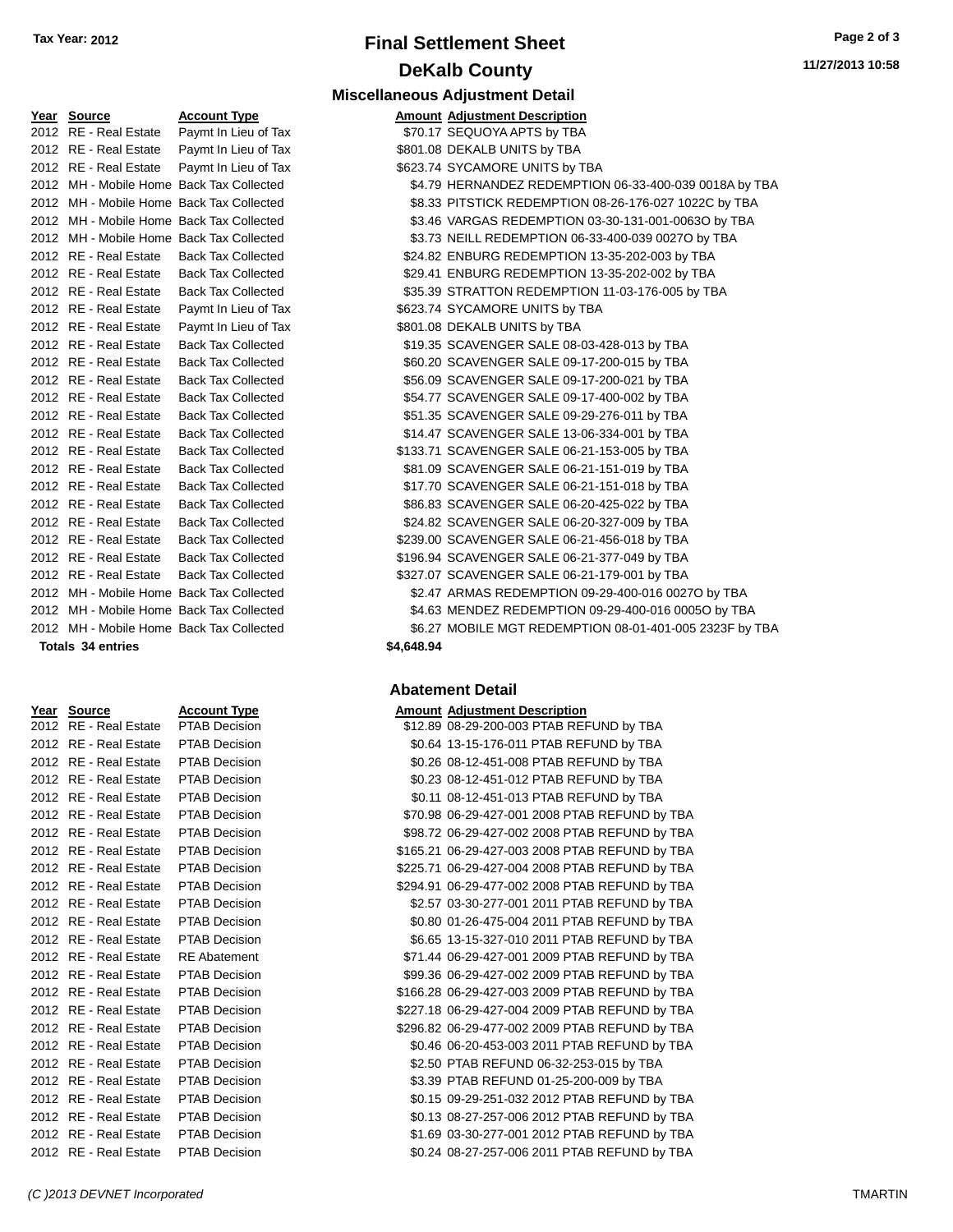# **Final Settlement Sheet Tax Year: 2012 Page 2 of 3 DeKalb County Miscellaneous Adjustment Detail**

**Amount Adjustment Description** 

| Year Source                              | <b>Account Type</b>                        | <b>Amount Adjustment Description</b>                    |
|------------------------------------------|--------------------------------------------|---------------------------------------------------------|
|                                          | 2012 RE - Real Estate Paymt In Lieu of Tax | \$70.17 SEQUOYA APTS by TBA                             |
| 2012 RE - Real Estate                    | Paymt In Lieu of Tax                       | \$801.08 DEKALB UNITS by TBA                            |
| 2012 RE - Real Estate                    | Paymt In Lieu of Tax                       | \$623.74 SYCAMORE UNITS by TBA                          |
| 2012 MH - Mobile Home Back Tax Collected |                                            | \$4.79 HERNANDEZ REDEMPTION 06-33-400-039 0018A by TBA  |
| 2012 MH - Mobile Home Back Tax Collected |                                            | \$8.33 PITSTICK REDEMPTION 08-26-176-027 1022C by TBA   |
| 2012 MH - Mobile Home Back Tax Collected |                                            | \$3.46 VARGAS REDEMPTION 03-30-131-001-0063O by TBA     |
| 2012 MH - Mobile Home Back Tax Collected |                                            | \$3.73 NEILL REDEMPTION 06-33-400-039 0027O by TBA      |
| 2012 RE - Real Estate                    | <b>Back Tax Collected</b>                  | \$24.82 ENBURG REDEMPTION 13-35-202-003 by TBA          |
| 2012 RE - Real Estate                    | <b>Back Tax Collected</b>                  | \$29.41 ENBURG REDEMPTION 13-35-202-002 by TBA          |
| 2012 RE - Real Estate                    | <b>Back Tax Collected</b>                  | \$35.39 STRATTON REDEMPTION 11-03-176-005 by TBA        |
| 2012 RE - Real Estate                    | Paymt In Lieu of Tax                       | \$623.74 SYCAMORE UNITS by TBA                          |
| 2012 RE - Real Estate                    | Paymt In Lieu of Tax                       | \$801.08 DEKALB UNITS by TBA                            |
| 2012 RE - Real Estate                    | <b>Back Tax Collected</b>                  | \$19.35 SCAVENGER SALE 08-03-428-013 by TBA             |
| 2012 RE - Real Estate                    | <b>Back Tax Collected</b>                  | \$60.20 SCAVENGER SALE 09-17-200-015 by TBA             |
| 2012 RE - Real Estate                    | <b>Back Tax Collected</b>                  | \$56.09 SCAVENGER SALE 09-17-200-021 by TBA             |
| 2012 RE - Real Estate                    | <b>Back Tax Collected</b>                  | \$54.77 SCAVENGER SALE 09-17-400-002 by TBA             |
| 2012 RE - Real Estate                    | <b>Back Tax Collected</b>                  | \$51.35 SCAVENGER SALE 09-29-276-011 by TBA             |
| 2012 RE - Real Estate                    | <b>Back Tax Collected</b>                  | \$14.47 SCAVENGER SALE 13-06-334-001 by TBA             |
| 2012 RE - Real Estate                    | <b>Back Tax Collected</b>                  | \$133.71 SCAVENGER SALE 06-21-153-005 by TBA            |
| 2012 RE - Real Estate                    | <b>Back Tax Collected</b>                  | \$81.09 SCAVENGER SALE 06-21-151-019 by TBA             |
| 2012 RE - Real Estate                    | <b>Back Tax Collected</b>                  | \$17.70 SCAVENGER SALE 06-21-151-018 by TBA             |
| 2012 RE - Real Estate                    | <b>Back Tax Collected</b>                  | \$86.83 SCAVENGER SALE 06-20-425-022 by TBA             |
| 2012 RE - Real Estate                    | <b>Back Tax Collected</b>                  | \$24.82 SCAVENGER SALE 06-20-327-009 by TBA             |
| 2012 RE - Real Estate                    | <b>Back Tax Collected</b>                  | \$239.00 SCAVENGER SALE 06-21-456-018 by TBA            |
| 2012 RE - Real Estate                    | <b>Back Tax Collected</b>                  | \$196.94 SCAVENGER SALE 06-21-377-049 by TBA            |
| 2012 RE - Real Estate                    | <b>Back Tax Collected</b>                  | \$327.07 SCAVENGER SALE 06-21-179-001 by TBA            |
| 2012 MH - Mobile Home Back Tax Collected |                                            | \$2.47 ARMAS REDEMPTION 09-29-400-016 0027O by TBA      |
| 2012 MH - Mobile Home Back Tax Collected |                                            | \$4.63 MENDEZ REDEMPTION 09-29-400-016 0005O by TBA     |
| 2012 MH - Mobile Home Back Tax Collected |                                            | \$6.27 MOBILE MGT REDEMPTION 08-01-401-005 2323F by TBA |

#### **Totals 34 entries \$4,648.94**

| Year | Source           | <b>Account Type</b>  |
|------|------------------|----------------------|
| 2012 | RE - Real Estate | <b>PTAB Decision</b> |
| 2012 | RE - Real Estate | PTAB Decisior        |
| 2012 | RE - Real Estate | <b>PTAB Decision</b> |
| 2012 | RE - Real Estate | <b>PTAB Decisior</b> |
| 2012 | RE - Real Estate | <b>PTAB Decision</b> |
| 2012 | RE - Real Estate | PTAB Decisior        |
| 2012 | RE - Real Estate | PTAB Decisior        |
| 2012 | RE - Real Estate | PTAB Decisior        |
| 2012 | RE - Real Estate | PTAB Decisior        |
| 2012 | RE - Real Estate | <b>PTAB Decisior</b> |
| 2012 | RE - Real Estate | PTAB Decisior        |
| 2012 | RE - Real Estate | PTAB Decisior        |
| 2012 | RE - Real Estate | PTAB Decisior        |
| 2012 | RE - Real Estate | <b>RE</b> Abatement  |
| 2012 | RE - Real Estate | PTAB Decisior        |
| 2012 | RE - Real Estate | PTAB Decisior        |
| 2012 | RE - Real Estate | <b>PTAB Decisior</b> |
| 2012 | RE - Real Estate | PTAB Decisior        |
| 2012 | RE - Real Estate | PTAB Decisior        |
| 2012 | RE - Real Estate | PTAB Decisior        |
| 2012 | RE - Real Estate | PTAB Decisior        |
| 2012 | RE - Real Estate | PTAB Decisior        |
| 2012 | RE - Real Estate | PTAB Decisior        |
| 2012 | RE - Real Estate | PTAB Decisior        |
| 2012 | RF - Real Estate | PTAR Decision        |

### \$0.64 13-15-176-011 PTAB REFUND by TBA \$0.26 08-12-451-008 PTAB RFFUND by TBA

**Abatement Detail**

**Amount Adjustment Description** 

\$12.89 08-29-200-003 PTAB REFUND by TBA

| 2012 RE - Real Estate | PTAB Decision        | \$0.23 08-12-451-012 PTAB REFUND by TBA        |
|-----------------------|----------------------|------------------------------------------------|
| 2012 RE - Real Estate | PTAB Decision        | \$0.11 08-12-451-013 PTAB REFUND by TBA        |
| 2012 RE - Real Estate | PTAB Decision        | \$70.98 06-29-427-001 2008 PTAB REFUND by TBA  |
| 2012 RE - Real Estate | PTAB Decision        | \$98.72 06-29-427-002 2008 PTAB REFUND by TBA  |
| 2012 RE - Real Estate | <b>PTAB Decision</b> | \$165.21 06-29-427-003 2008 PTAB REFUND by TBA |
| 2012 RE - Real Estate | PTAB Decision        | \$225.71 06-29-427-004 2008 PTAB REFUND by TBA |
| 2012 RE - Real Estate | PTAB Decision        | \$294.91 06-29-477-002 2008 PTAB REFUND by TBA |
| 2012 RE - Real Estate | PTAB Decision        | \$2.57 03-30-277-001 2011 PTAB REFUND by TBA   |
| 2012 RE - Real Estate | PTAB Decision        | \$0.80 01-26-475-004 2011 PTAB REFUND by TBA   |
| 2012 RE - Real Estate | PTAB Decision        | \$6.65 13-15-327-010 2011 PTAB REFUND by TBA   |
| 2012 RE - Real Estate | <b>RE</b> Abatement  | \$71.44 06-29-427-001 2009 PTAB REFUND by TBA  |
| 2012 RE - Real Estate | PTAB Decision        | \$99.36 06-29-427-002 2009 PTAB REFUND by TBA  |
| 2012 RE - Real Estate | PTAB Decision        | \$166.28 06-29-427-003 2009 PTAB REFUND by TBA |
| 2012 RE - Real Estate | PTAB Decision        | \$227.18 06-29-427-004 2009 PTAB REFUND by TBA |
| 2012 RE - Real Estate | PTAB Decision        | \$296.82 06-29-477-002 2009 PTAB REFUND by TBA |
| 2012 RE - Real Estate | PTAB Decision        | \$0.46 06-20-453-003 2011 PTAB REFUND by TBA   |
| 2012 RE - Real Estate | PTAB Decision        | \$2.50 PTAB REFUND 06-32-253-015 by TBA        |
| 2012 RE - Real Estate | PTAB Decision        | \$3.39 PTAB REFUND 01-25-200-009 by TBA        |
| 2012 RE - Real Estate | PTAB Decision        | \$0.15 09-29-251-032 2012 PTAB REFUND by TBA   |
| 2012 RE - Real Estate | PTAB Decision        | \$0.13 08-27-257-006 2012 PTAB REFUND by TBA   |
| 2012 RE - Real Estate | <b>PTAB Decision</b> | \$1.69 03-30-277-001 2012 PTAB REFUND by TBA   |
| 2012 RE - Real Estate | <b>PTAB Decision</b> | \$0.24 08-27-257-006 2011 PTAB REFUND by TBA   |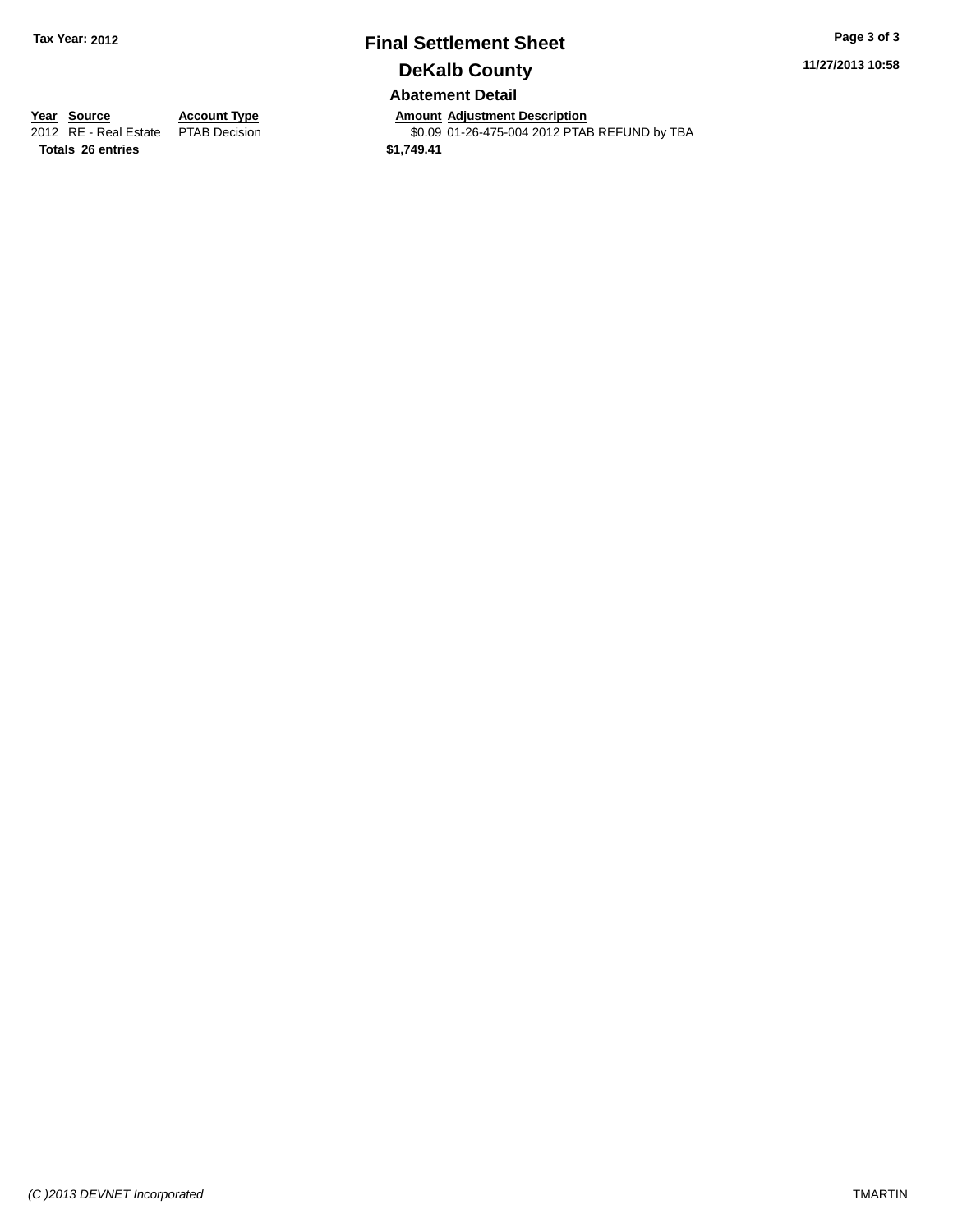# **Final Settlement Sheet Tax Year: 2012 Page 3 of 3 DeKalb County Abatement Detail**

**11/27/2013 10:58**

\$0.09 01-26-475-004 2012 PTAB REFUND by TBA

**Totals 26 entries \$1,749.41**

**Year Source Account Type Annount Adjustment Description**<br>2012 RE - Real Estate PTAB Decision **Amount Adjustment Description**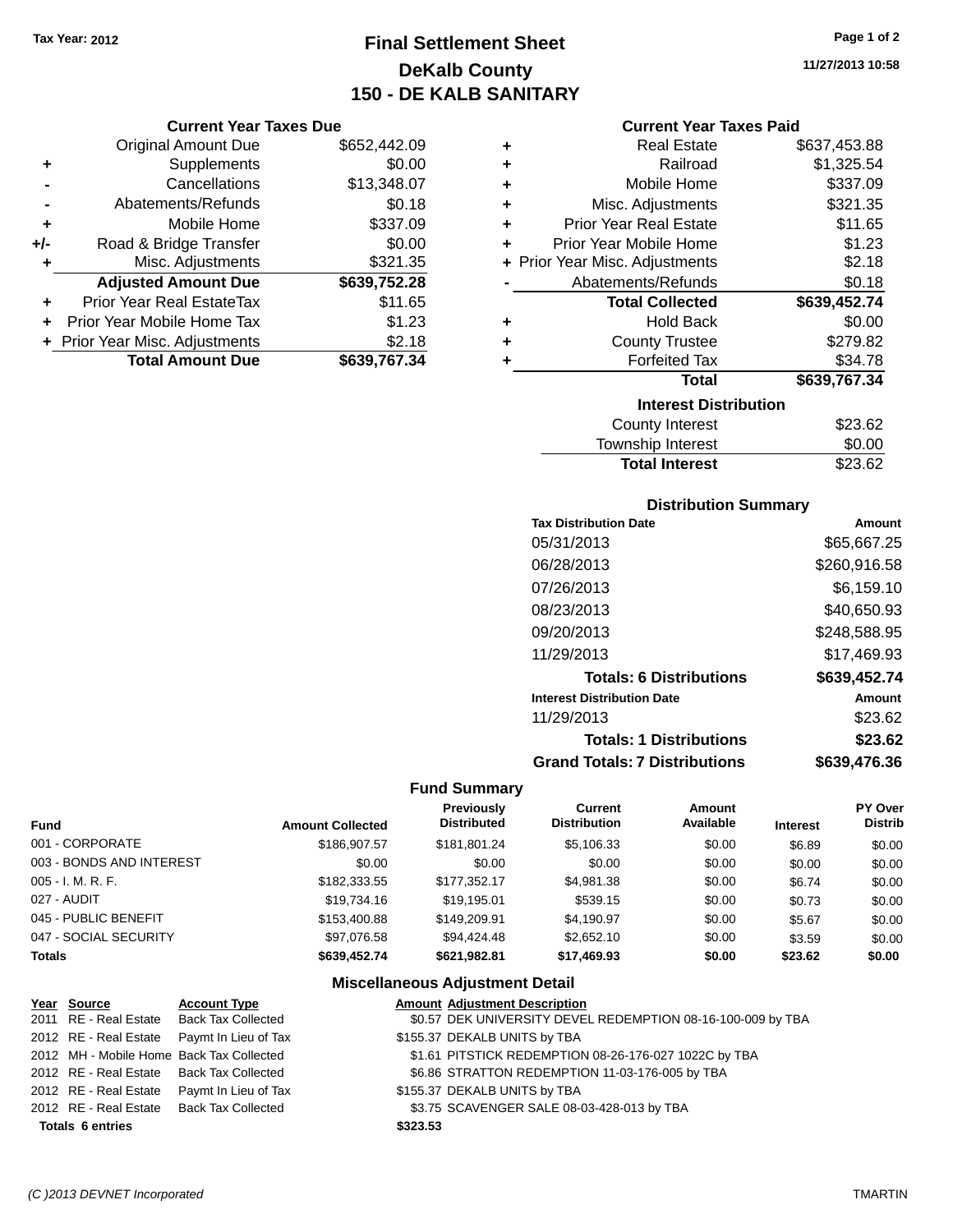# **Final Settlement Sheet Tax Year: 2012 Page 1 of 2 DeKalb County 150 - DE KALB SANITARY**

### **Current Year Taxes Due**

|     | <b>Original Amount Due</b>       | \$652,442.09 |
|-----|----------------------------------|--------------|
| ٠   | Supplements                      | \$0.00       |
|     | Cancellations                    | \$13,348.07  |
|     | Abatements/Refunds               | \$0.18       |
| ٠   | Mobile Home                      | \$337.09     |
| +/- | Road & Bridge Transfer           | \$0.00       |
| ٠   | Misc. Adjustments                | \$321.35     |
|     | <b>Adjusted Amount Due</b>       | \$639,752.28 |
|     | <b>Prior Year Real EstateTax</b> | \$11.65      |
|     | Prior Year Mobile Home Tax       | \$1.23       |
|     | + Prior Year Misc. Adjustments   | \$2.18       |
|     | <b>Total Amount Due</b>          | \$639.767.34 |

| ٠ | <b>Real Estate</b>             | \$637,453.88 |
|---|--------------------------------|--------------|
| ÷ | Railroad                       | \$1,325.54   |
| ÷ | Mobile Home                    | \$337.09     |
| ÷ | Misc. Adjustments              | \$321.35     |
| ÷ | <b>Prior Year Real Estate</b>  | \$11.65      |
| ٠ | Prior Year Mobile Home         | \$1.23       |
|   | + Prior Year Misc. Adjustments | \$2.18       |
|   | Abatements/Refunds             | \$0.18       |
|   | <b>Total Collected</b>         | \$639,452.74 |
| ٠ | <b>Hold Back</b>               | \$0.00       |
| ٠ | <b>County Trustee</b>          | \$279.82     |
| ٠ | <b>Forfeited Tax</b>           | \$34.78      |
|   | <b>Total</b>                   | \$639,767.34 |
|   | <b>Interest Distribution</b>   |              |
|   | <b>County Interest</b>         | \$23.62      |
|   | <b>Townshin Interest</b>       | ፍስ ሰበ        |

| <b>Total Interest</b> | \$23.62 |
|-----------------------|---------|
| Township Interest     | \$0.00  |
| County interest       | ა∠ა.ხ∠  |

### **Distribution Summary**

| <b>Tax Distribution Date</b>         | Amount       |
|--------------------------------------|--------------|
| 05/31/2013                           | \$65,667.25  |
| 06/28/2013                           | \$260,916.58 |
| 07/26/2013                           | \$6.159.10   |
| 08/23/2013                           | \$40,650.93  |
| 09/20/2013                           | \$248,588.95 |
| 11/29/2013                           | \$17.469.93  |
| <b>Totals: 6 Distributions</b>       | \$639,452.74 |
| <b>Interest Distribution Date</b>    | Amount       |
| 11/29/2013                           | \$23.62      |
| <b>Totals: 1 Distributions</b>       | \$23.62      |
| <b>Grand Totals: 7 Distributions</b> | \$639,476.36 |

### **Fund Summary**

| <b>Fund</b>              | <b>Amount Collected</b> | <b>Previously</b><br><b>Distributed</b> | Current<br><b>Distribution</b> | Amount<br>Available | <b>Interest</b> | PY Over<br><b>Distrib</b> |
|--------------------------|-------------------------|-----------------------------------------|--------------------------------|---------------------|-----------------|---------------------------|
| 001 - CORPORATE          | \$186,907.57            | \$181.801.24                            | \$5,106.33                     | \$0.00              | \$6.89          | \$0.00                    |
| 003 - BONDS AND INTEREST | \$0.00                  | \$0.00                                  | \$0.00                         | \$0.00              | \$0.00          | \$0.00                    |
| $005 - I. M. R. F.$      | \$182,333.55            | \$177.352.17                            | \$4,981.38                     | \$0.00              | \$6.74          | \$0.00                    |
| 027 - AUDIT              | \$19,734,16             | \$19.195.01                             | \$539.15                       | \$0.00              | \$0.73          | \$0.00                    |
| 045 - PUBLIC BENEFIT     | \$153,400.88            | \$149,209.91                            | \$4,190.97                     | \$0.00              | \$5.67          | \$0.00                    |
| 047 - SOCIAL SECURITY    | \$97,076.58             | \$94,424.48                             | \$2,652.10                     | \$0.00              | \$3.59          | \$0.00                    |
| <b>Totals</b>            | \$639,452.74            | \$621,982.81                            | \$17,469.93                    | \$0.00              | \$23.62         | \$0.00                    |

### **Miscellaneous Adjustment Detail**

| Year Source             | <b>Account Type</b>                        |          | <b>Amount Adjustment Description</b>                        |
|-------------------------|--------------------------------------------|----------|-------------------------------------------------------------|
|                         | 2011 RE - Real Estate Back Tax Collected   |          | \$0.57 DEK UNIVERSITY DEVEL REDEMPTION 08-16-100-009 by TBA |
|                         | 2012 RE - Real Estate Paymt In Lieu of Tax |          | \$155.37 DEKALB UNITS by TBA                                |
|                         | 2012 MH - Mobile Home Back Tax Collected   |          | \$1.61 PITSTICK REDEMPTION 08-26-176-027 1022C by TBA       |
|                         | 2012 RE - Real Estate Back Tax Collected   |          | \$6.86 STRATTON REDEMPTION 11-03-176-005 by TBA             |
|                         | 2012 RE - Real Estate Paymt In Lieu of Tax |          | \$155.37 DEKALB UNITS by TBA                                |
|                         | 2012 RE - Real Estate Back Tax Collected   |          | \$3.75 SCAVENGER SALE 08-03-428-013 by TBA                  |
| <b>Totals 6 entries</b> |                                            | \$323.53 |                                                             |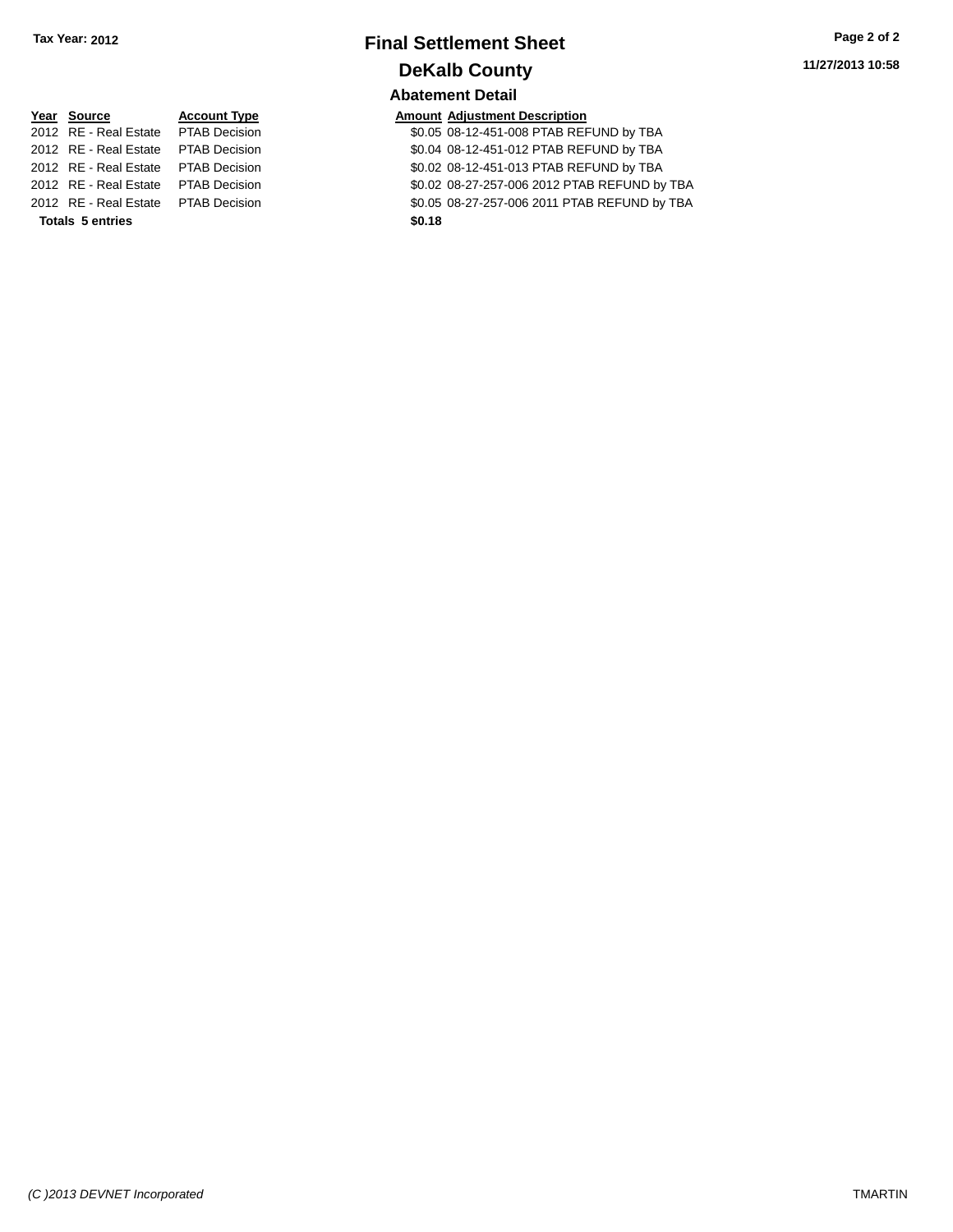# **Final Settlement Sheet Tax Year: 2012 Page 2 of 2 DeKalb County Abatement Detail**

| Year Source                         | <b>Account Type</b> | Amount |
|-------------------------------------|---------------------|--------|
| 2012 RE - Real Estate PTAB Decision |                     | \$0.05 |
| 2012 RE - Real Estate PTAB Decision |                     | \$0.04 |
| 2012 RE - Real Estate PTAB Decision |                     | \$0.02 |
| 2012 RE - Real Estate PTAB Decision |                     | \$0.02 |
| 2012 RE - Real Estate PTAB Decision |                     | \$0.05 |
| <b>Totals 5 entries</b>             |                     | \$0.18 |

**Amount Adjustment Description** \$0.05 08-12-451-008 PTAB REFUND by TBA \$0.04 08-12-451-012 PTAB REFUND by TBA \$0.02 08-12-451-013 PTAB REFUND by TBA \$0.02 08-27-257-006 2012 PTAB REFUND by TBA \$0.05 08-27-257-006 2011 PTAB REFUND by TBA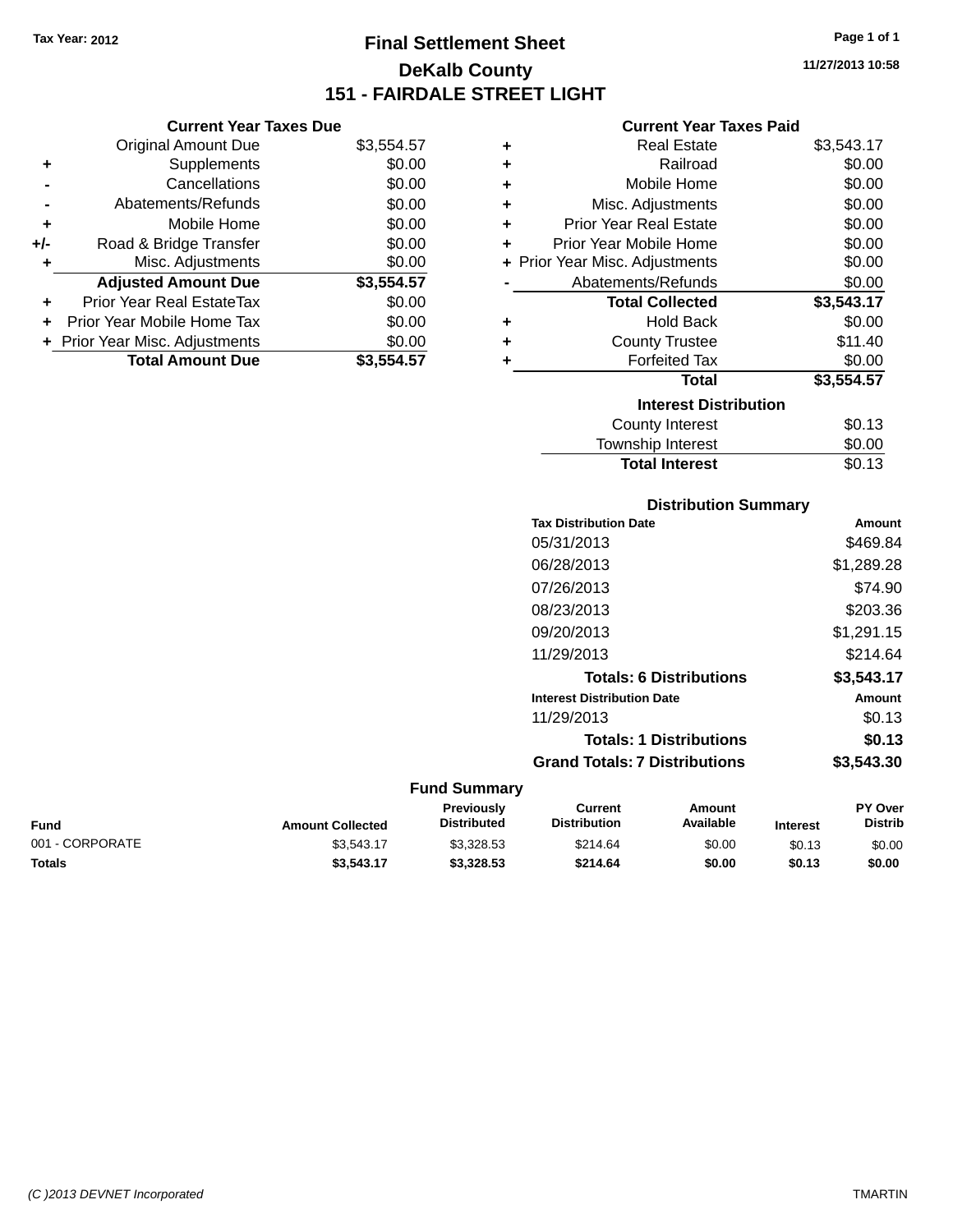# **Final Settlement Sheet Tax Year: 2012 Page 1 of 1 DeKalb County 151 - FAIRDALE STREET LIGHT**

**11/27/2013 10:58**

### **Current Year Taxes Paid**

|     | <b>Original Amount Due</b>       | \$3,554.57 | ٠ | <b>Real Estate</b>             | \$3,543.17 |
|-----|----------------------------------|------------|---|--------------------------------|------------|
| ٠   | Supplements                      | \$0.00     | ٠ | Railroad                       | \$0.00     |
|     | Cancellations                    | \$0.00     | ٠ | Mobile Home                    | \$0.00     |
|     | Abatements/Refunds               | \$0.00     | ٠ | Misc. Adjustments              | \$0.00     |
| ٠   | Mobile Home                      | \$0.00     | ٠ | <b>Prior Year Real Estate</b>  | \$0.00     |
| +/- | Road & Bridge Transfer           | \$0.00     | ٠ | Prior Year Mobile Home         | \$0.00     |
| ٠   | Misc. Adjustments                | \$0.00     |   | + Prior Year Misc. Adjustments | \$0.00     |
|     | <b>Adjusted Amount Due</b>       | \$3,554.57 |   | Abatements/Refunds             | \$0.00     |
| ٠   | <b>Prior Year Real EstateTax</b> | \$0.00     |   | <b>Total Collected</b>         | \$3,543.17 |
| ٠   | Prior Year Mobile Home Tax       | \$0.00     | ٠ | <b>Hold Back</b>               | \$0.00     |
|     | + Prior Year Misc. Adjustments   | \$0.00     | ٠ | <b>County Trustee</b>          | \$11.40    |
|     | <b>Total Amount Due</b>          | \$3,554.57 |   | <b>Forfeited Tax</b>           | \$0.00     |
|     |                                  |            |   | <b>Total</b>                   | \$3,554.57 |
|     |                                  |            |   | <b>Interest Distribution</b>   |            |
|     |                                  |            |   | <b>County Interest</b>         | \$0.13     |
|     |                                  |            |   |                                |            |

### $30.13$ Township Interest \$0.00 Total Interest \$0.13

| <b>Distribution Summary</b>          |            |
|--------------------------------------|------------|
| <b>Tax Distribution Date</b>         | Amount     |
| 05/31/2013                           | \$469.84   |
| 06/28/2013                           | \$1,289.28 |
| 07/26/2013                           | \$74.90    |
| 08/23/2013                           | \$203.36   |
| 09/20/2013                           | \$1,291.15 |
| 11/29/2013                           | \$214.64   |
| <b>Totals: 6 Distributions</b>       | \$3,543.17 |
| <b>Interest Distribution Date</b>    | Amount     |
| 11/29/2013                           | \$0.13     |
| <b>Totals: 1 Distributions</b>       | \$0.13     |
| <b>Grand Totals: 7 Distributions</b> | \$3,543.30 |

#### **Fund Summary**

| Fund            | <b>Amount Collected</b> | Previouslv<br><b>Distributed</b> | Current<br><b>Distribution</b> | Amount<br><b>Available</b> | <b>Interest</b> | <b>PY Over</b><br><b>Distrib</b> |
|-----------------|-------------------------|----------------------------------|--------------------------------|----------------------------|-----------------|----------------------------------|
| 001 - CORPORATE | \$3.543.17              | \$3.328.53                       | \$214.64                       | \$0.00                     | \$0.13          | \$0.00                           |
| Totals          | \$3,543.17              | \$3,328,53                       | \$214.64                       | \$0.00                     | \$0.13          | \$0.00                           |

|   | Original Amount Due | \$3,554.57 |
|---|---------------------|------------|
| ÷ | <b>Supplements</b>  | \$0.00     |
|   | Cancellations       | \$0.00     |
|   | Abatements/Refunds  | \$0.00     |
| ÷ | Mobile Home         | \$0.00     |

**Current Year Taxes Due**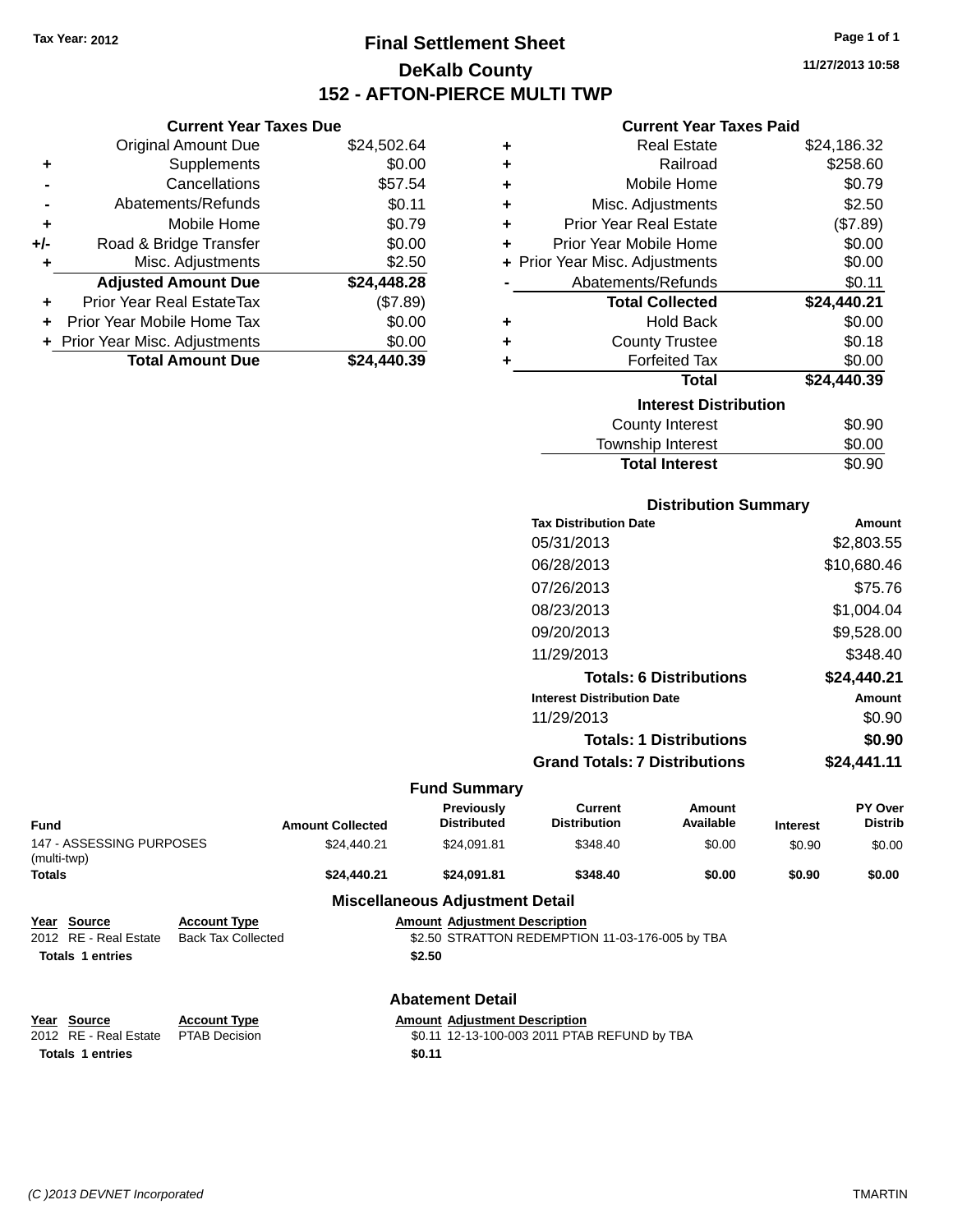**Current Year Taxes Due** Original Amount Due \$24,502.64

**Adjusted Amount Due \$24,448.28**

**Total Amount Due \$24,440.39**

**+** Supplements \$0.00 **-** Cancellations \$57.54 **-** Abatements/Refunds \$0.11 **+** Mobile Home \$0.79 **+/-** Road & Bridge Transfer \$0.00 **+** Misc. Adjustments \$2.50

**+** Prior Year Real EstateTax (\$7.89) **+** Prior Year Mobile Home Tax \$0.00 **+ Prior Year Misc. Adjustments**  $$0.00$ 

# **Final Settlement Sheet Tax Year: 2012 Page 1 of 1 DeKalb County 152 - AFTON-PIERCE MULTI TWP**

**11/27/2013 10:58**

### **Current Year Taxes Paid**

| ٠ | <b>Real Estate</b>             | \$24,186.32 |
|---|--------------------------------|-------------|
| ٠ | Railroad                       | \$258.60    |
| ٠ | Mobile Home                    | \$0.79      |
| ٠ | Misc. Adjustments              | \$2.50      |
| ٠ | Prior Year Real Estate         | (\$7.89)    |
| ÷ | Prior Year Mobile Home         | \$0.00      |
|   | + Prior Year Misc. Adjustments | \$0.00      |
|   | Abatements/Refunds             | \$0.11      |
|   | <b>Total Collected</b>         | \$24,440.21 |
| ٠ | <b>Hold Back</b>               | \$0.00      |
| ٠ | <b>County Trustee</b>          | \$0.18      |
| ٠ | <b>Forfeited Tax</b>           | \$0.00      |
|   | <b>Total</b>                   | \$24,440.39 |
|   | <b>Interest Distribution</b>   |             |
|   | County Interest                | \$0.90      |
|   | Township Interest              | \$0.00      |
|   | <b>Total Interest</b>          | \$0.90      |

| <b>Distribution Summary</b>          |             |
|--------------------------------------|-------------|
| <b>Tax Distribution Date</b>         | Amount      |
| 05/31/2013                           | \$2,803.55  |
| 06/28/2013                           | \$10,680.46 |
| 07/26/2013                           | \$75.76     |
| 08/23/2013                           | \$1,004.04  |
| 09/20/2013                           | \$9,528.00  |
| 11/29/2013                           | \$348.40    |
| <b>Totals: 6 Distributions</b>       | \$24,440.21 |
| <b>Interest Distribution Date</b>    | Amount      |
| 11/29/2013                           | \$0.90      |
| <b>Totals: 1 Distributions</b>       | \$0.90      |
| <b>Grand Totals: 7 Distributions</b> | \$24.441.11 |

| <b>Fund</b>                             |                           | <b>Amount Collected</b> | <b>Previously</b><br><b>Distributed</b>      | Current<br><b>Distribution</b>                  | Amount<br>Available | <b>Interest</b> | PY Over<br><b>Distrib</b> |
|-----------------------------------------|---------------------------|-------------------------|----------------------------------------------|-------------------------------------------------|---------------------|-----------------|---------------------------|
| 147 - ASSESSING PURPOSES<br>(multi-twp) |                           | \$24,440.21             | \$24.091.81                                  | \$348.40                                        | \$0.00              | \$0.90          | \$0.00                    |
| <b>Totals</b>                           |                           | \$24,440.21             | \$24.091.81                                  | \$348.40                                        | \$0.00              | \$0.90          | \$0.00                    |
|                                         |                           |                         | <b>Miscellaneous Adjustment Detail</b>       |                                                 |                     |                 |                           |
| Source<br>Year                          | <b>Account Type</b>       |                         | <b>Amount Adjustment Description</b>         |                                                 |                     |                 |                           |
| 2012 RE - Real Estate                   | <b>Back Tax Collected</b> |                         |                                              | \$2.50 STRATTON REDEMPTION 11-03-176-005 by TBA |                     |                 |                           |
| <b>Totals 1 entries</b>                 |                           |                         | \$2.50                                       |                                                 |                     |                 |                           |
|                                         |                           |                         | <b>Abatement Detail</b>                      |                                                 |                     |                 |                           |
| Year Source                             | <b>Account Type</b>       |                         | <b>Amount Adiustment Description</b>         |                                                 |                     |                 |                           |
| 2012 RE - Real Estate                   | <b>PTAB Decision</b>      |                         | \$0.11 12-13-100-003 2011 PTAB REFUND by TBA |                                                 |                     |                 |                           |
| <b>Totals 1 entries</b>                 | \$0.11                    |                         |                                              |                                                 |                     |                 |                           |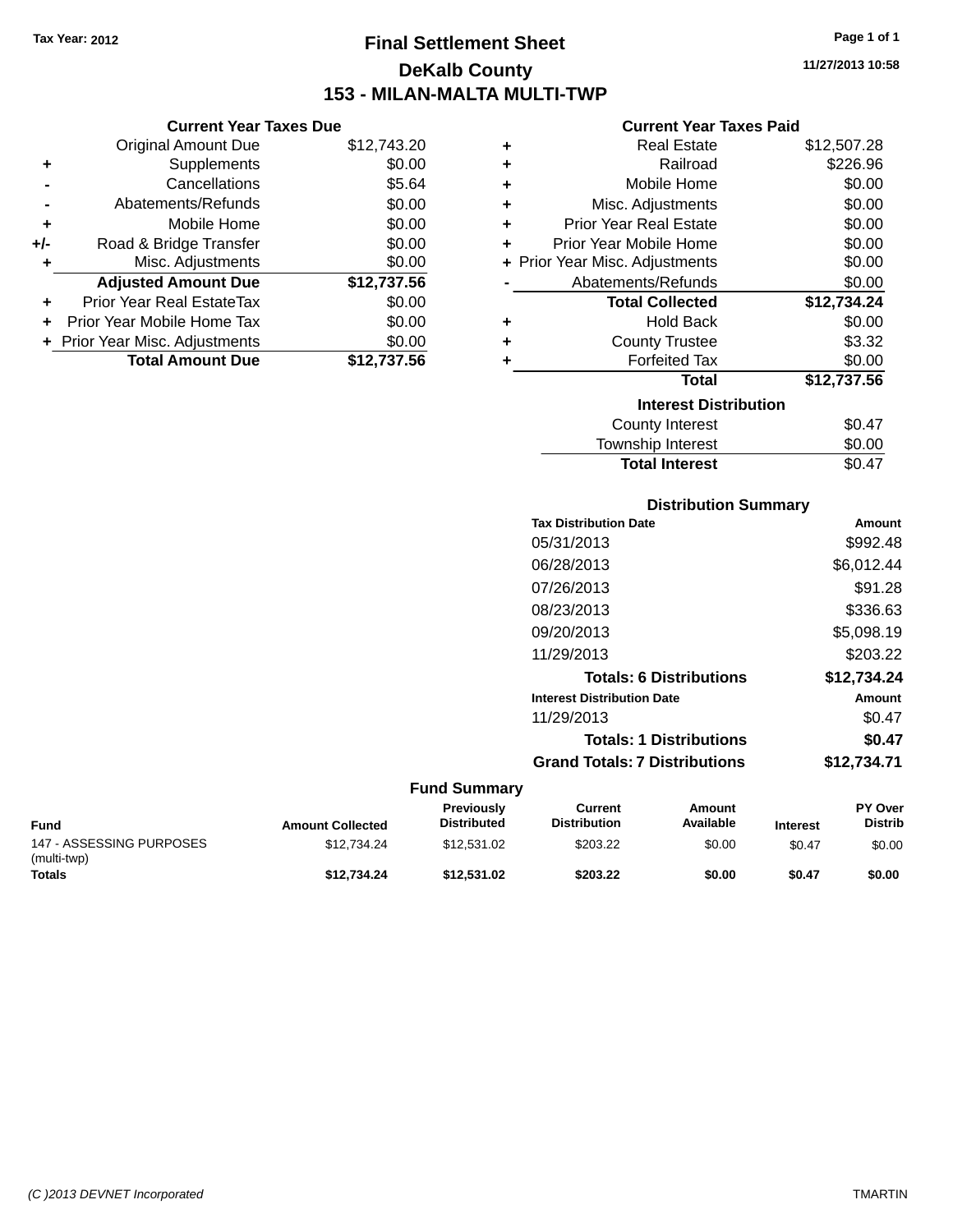# **Final Settlement Sheet Tax Year: 2012 Page 1 of 1 DeKalb County 153 - MILAN-MALTA MULTI-TWP**

**11/27/2013 10:58**

### **Current Year Taxes Paid**

|       | <b>Current Year Taxes Due</b>    |             |   | Cu                   |
|-------|----------------------------------|-------------|---|----------------------|
|       | Original Amount Due              | \$12,743.20 | ٠ |                      |
| ٠     | Supplements                      | \$0.00      | ٠ |                      |
|       | Cancellations                    | \$5.64      | ٠ | М                    |
|       | Abatements/Refunds               | \$0.00      | ٠ | Misc. A              |
|       | Mobile Home                      | \$0.00      | ٠ | <b>Prior Year F</b>  |
| $+/-$ | Road & Bridge Transfer           | \$0.00      | ٠ | Prior Year Mo        |
|       | Misc. Adjustments                | \$0.00      |   | + Prior Year Misc. A |
|       | <b>Adjusted Amount Due</b>       | \$12,737.56 |   | Abatemen             |
| ٠     | <b>Prior Year Real EstateTax</b> | \$0.00      |   | Total                |
| ÷     | Prior Year Mobile Home Tax       | \$0.00      | ٠ |                      |
|       | + Prior Year Misc. Adjustments   | \$0.00      | ٠ | Cou                  |
|       | <b>Total Amount Due</b>          | \$12,737.56 |   | Fο                   |
|       |                                  |             |   |                      |

| ٠ | Real Estate                    | \$12,507.28 |
|---|--------------------------------|-------------|
| ÷ | Railroad                       | \$226.96    |
| ÷ | Mobile Home                    | \$0.00      |
| ٠ | Misc. Adjustments              | \$0.00      |
| ٠ | <b>Prior Year Real Estate</b>  | \$0.00      |
| ٠ | Prior Year Mobile Home         | \$0.00      |
|   | + Prior Year Misc. Adjustments | \$0.00      |
|   | Abatements/Refunds             | \$0.00      |
|   | <b>Total Collected</b>         | \$12,734.24 |
| ٠ | <b>Hold Back</b>               | \$0.00      |
| ٠ | <b>County Trustee</b>          | \$3.32      |
|   | <b>Forfeited Tax</b>           | \$0.00      |
|   | Total                          | \$12,737.56 |
|   | <b>Interest Distribution</b>   |             |
|   | <b>County Interest</b>         | \$0.47      |
|   | Township Interest              | \$0.00      |
|   | <b>Total Interest</b>          | \$0.47      |

| <b>Distribution Summary</b>          |             |
|--------------------------------------|-------------|
| <b>Tax Distribution Date</b>         | Amount      |
| 05/31/2013                           | \$992.48    |
| 06/28/2013                           | \$6,012.44  |
| 07/26/2013                           | \$91.28     |
| 08/23/2013                           | \$336.63    |
| 09/20/2013                           | \$5,098.19  |
| 11/29/2013                           | \$203.22    |
| <b>Totals: 6 Distributions</b>       | \$12,734.24 |
| <b>Interest Distribution Date</b>    | Amount      |
| 11/29/2013                           | \$0.47      |
| <b>Totals: 1 Distributions</b>       | \$0.47      |
| <b>Grand Totals: 7 Distributions</b> | \$12.734.71 |

| <b>Fund</b>                             | <b>Amount Collected</b> | <b>Previously</b><br><b>Distributed</b> | Current<br><b>Distribution</b> | Amount<br>Available | <b>Interest</b> | <b>PY Over</b><br><b>Distrib</b> |
|-----------------------------------------|-------------------------|-----------------------------------------|--------------------------------|---------------------|-----------------|----------------------------------|
| 147 - ASSESSING PURPOSES<br>(multi-twp) | \$12.734.24             | \$12.531.02                             | \$203.22                       | \$0.00              | \$0.47          | \$0.00                           |
| Totals                                  | \$12.734.24             | \$12.531.02                             | \$203.22                       | \$0.00              | \$0.47          | \$0.00                           |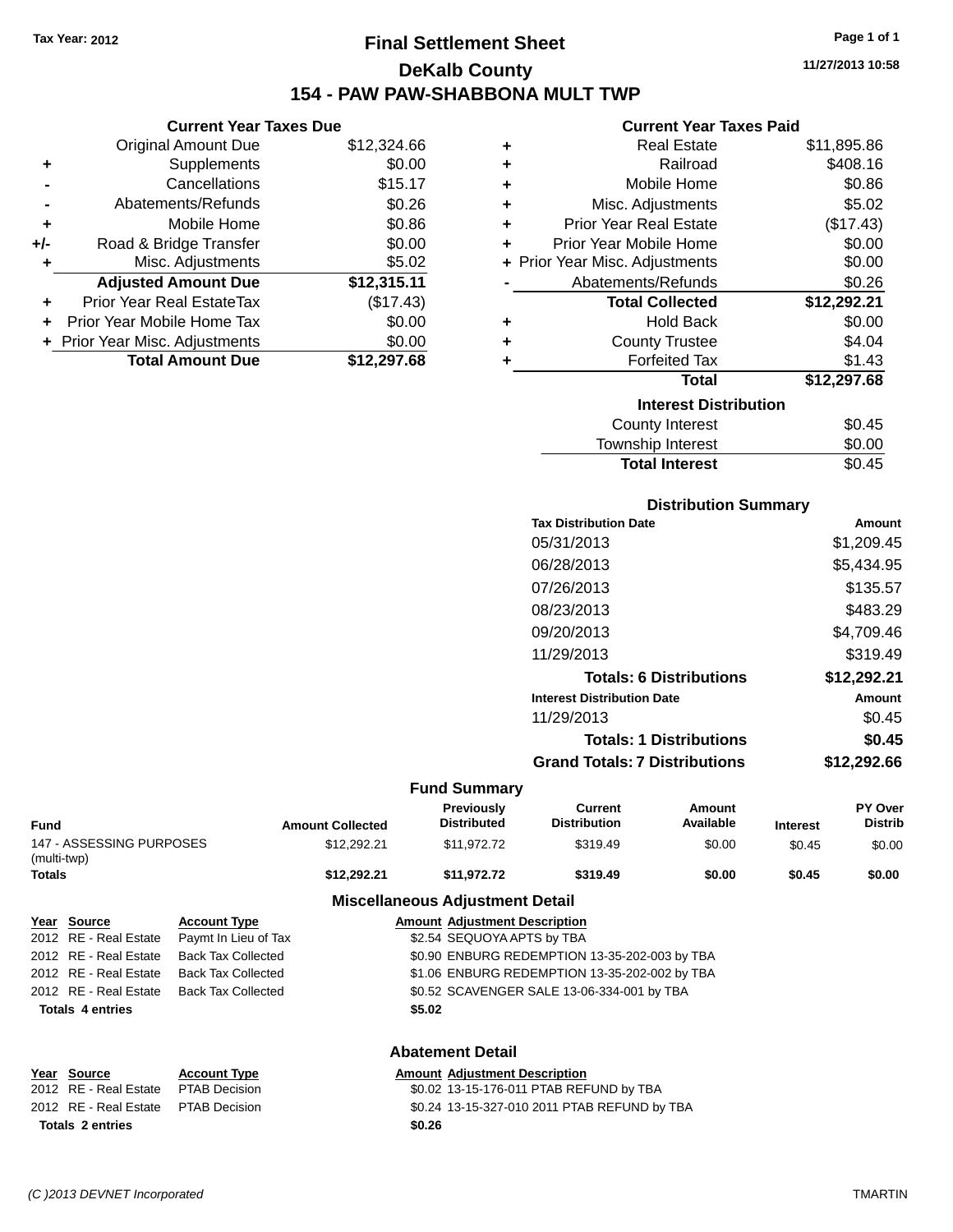# **Final Settlement Sheet Tax Year: 2012 Page 1 of 1 DeKalb County 154 - PAW PAW-SHABBONA MULT TWP**

**Current Year Taxes Due**

|       | <b>Original Amount Due</b>       | \$12,324.66 |
|-------|----------------------------------|-------------|
| ٠     | Supplements                      | \$0.00      |
|       | Cancellations                    | \$15.17     |
|       | Abatements/Refunds               | \$0.26      |
| ٠     | Mobile Home                      | \$0.86      |
| $+/-$ | Road & Bridge Transfer           | \$0.00      |
| ٠     | Misc. Adjustments                | \$5.02      |
|       | <b>Adjusted Amount Due</b>       | \$12,315.11 |
|       | <b>Prior Year Real EstateTax</b> | (\$17.43)   |
|       | Prior Year Mobile Home Tax       | \$0.00      |
|       | + Prior Year Misc. Adjustments   | \$0.00      |
|       | <b>Total Amount Due</b>          | \$12,297.68 |

|   | <b>Current Year Taxes Paid</b> |             |
|---|--------------------------------|-------------|
| ٠ | <b>Real Estate</b>             | \$11,895.86 |
| ٠ | Railroad                       | \$408.16    |
| ٠ | Mobile Home                    | \$0.86      |
| ٠ | Misc. Adjustments              | \$5.02      |
| ٠ | <b>Prior Year Real Estate</b>  | (\$17.43)   |
| ٠ | Prior Year Mobile Home         | \$0.00      |
|   | + Prior Year Misc. Adjustments | \$0.00      |
|   | Abatements/Refunds             | \$0.26      |
|   | <b>Total Collected</b>         | \$12,292.21 |
| ٠ | <b>Hold Back</b>               | \$0.00      |
| ٠ | <b>County Trustee</b>          | \$4.04      |
| ٠ | <b>Forfeited Tax</b>           | \$1.43      |
|   | <b>Total</b>                   | \$12,297.68 |
|   | <b>Interest Distribution</b>   |             |
|   | <b>County Interest</b>         | \$0.45      |
|   | The contract of the second     | ີົົ         |

| ________________      |        |
|-----------------------|--------|
| Township Interest     | \$0.00 |
| <b>Total Interest</b> | \$0.45 |
|                       |        |
|                       |        |
| Dietribution Summary  |        |

| PIJUINUUVII VUIIIIIIAI Y             |             |
|--------------------------------------|-------------|
| <b>Tax Distribution Date</b>         | Amount      |
| 05/31/2013                           | \$1,209.45  |
| 06/28/2013                           | \$5,434.95  |
| 07/26/2013                           | \$135.57    |
| 08/23/2013                           | \$483.29    |
| 09/20/2013                           | \$4,709.46  |
| 11/29/2013                           | \$319.49    |
| <b>Totals: 6 Distributions</b>       | \$12,292.21 |
| <b>Interest Distribution Date</b>    | Amount      |
| 11/29/2013                           | \$0.45      |
| <b>Totals: 1 Distributions</b>       | \$0.45      |
| <b>Grand Totals: 7 Distributions</b> | \$12.292.66 |
|                                      |             |

#### **Fund Summary**

| <b>Fund</b>                             |                      | <b>Amount Collected</b>    | <b>Previously</b><br><b>Distributed</b> | Current<br><b>Distribution</b> | Amount<br>Available | <b>Interest</b> | PY Over<br><b>Distrib</b> |
|-----------------------------------------|----------------------|----------------------------|-----------------------------------------|--------------------------------|---------------------|-----------------|---------------------------|
| 147 - ASSESSING PURPOSES<br>(multi-twp) |                      | \$12,292.21                | \$11.972.72                             | \$319.49                       | \$0.00              | \$0.45          | \$0.00                    |
| Totals                                  |                      | \$12.292.21                | \$11.972.72                             | \$319.49                       | \$0.00              | \$0.45          | \$0.00                    |
|                                         |                      |                            | <b>Miscellaneous Adjustment Detail</b>  |                                |                     |                 |                           |
| Year Source                             | <b>Account Type</b>  |                            | <b>Amount Adiustment Description</b>    |                                |                     |                 |                           |
| 2012 RE - Real Estate                   | Paymt In Lieu of Tax | \$2.54 SEQUOYA APTS by TBA |                                         |                                |                     |                 |                           |

| <b>Totals 4 entries</b> |                                            | \$5.02                                        |
|-------------------------|--------------------------------------------|-----------------------------------------------|
| 2012 RE - Real Estate   | Back Tax Collected                         | \$0.52 SCAVENGER SALE 13-06-334-001 by TBA    |
| 2012 RE - Real Estate   | Back Tax Collected                         | \$1.06 ENBURG REDEMPTION 13-35-202-002 by TBA |
| 2012 RE - Real Estate   | Back Tax Collected                         | \$0.90 ENBURG REDEMPTION 13-35-202-003 by TBA |
|                         | 2012 RE - Real Estate Paymt In Lieu of Tax | \$2.54 SEQUOYA APTS by TBA                    |

### **Abatement Detail**

#### **Year Source Account Type Amount Adjustment Description** 2012 RE - Real Estate PTAB Decision \$0.02 13-15-176-011 PTAB REFUND by TBA 2012 RE - Real Estate PTAB Decision \$0.24 13-15-327-010 2011 PTAB REFUND by TBA **Totals 2 entries \$0.26**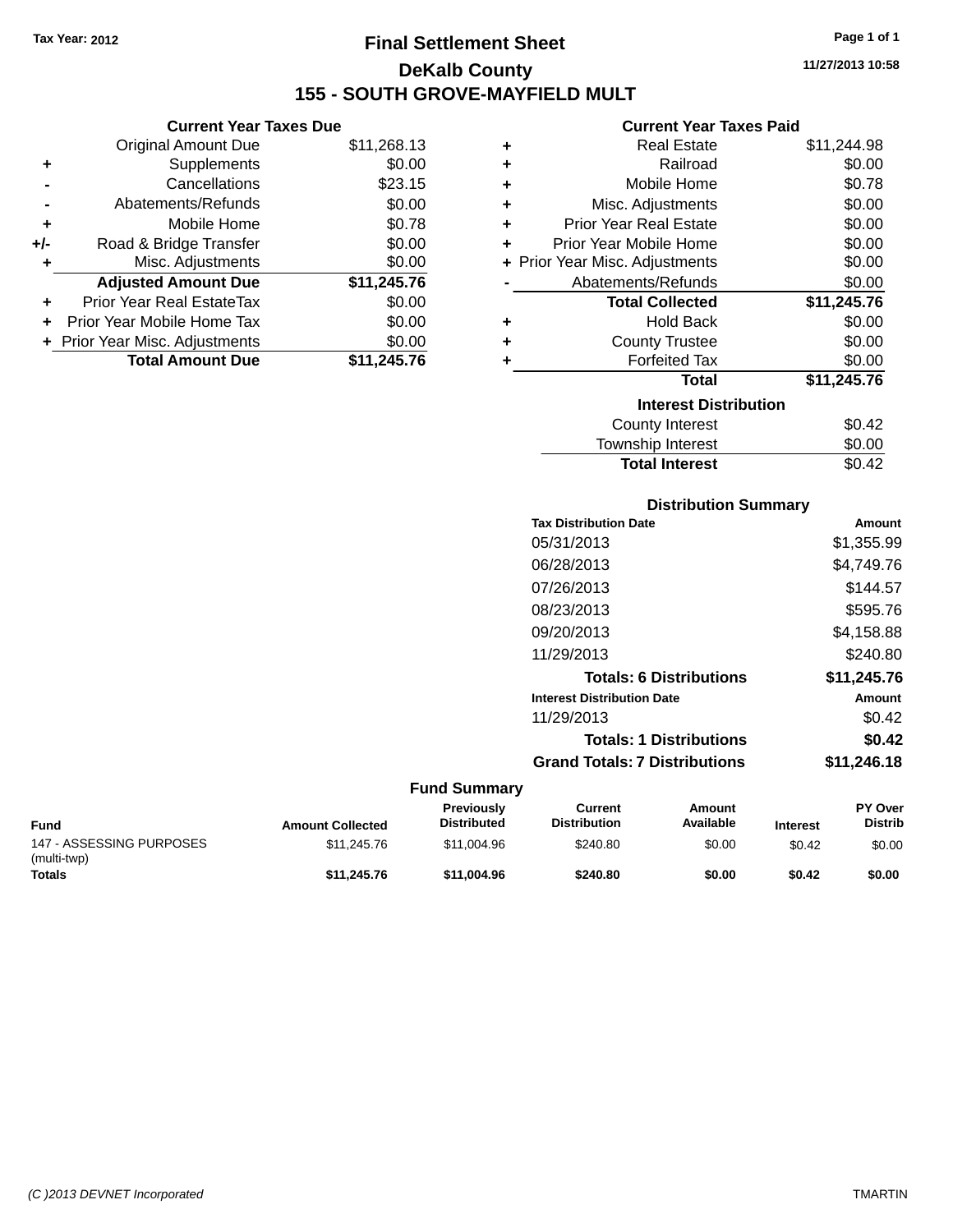**Current Year Taxes Due** Original Amount Due \$11,268.13

**Adjusted Amount Due \$11,245.76**

**Total Amount Due \$11,245.76**

**+** Supplements \$0.00 **-** Cancellations \$23.15 **-** Abatements/Refunds \$0.00 **+** Mobile Home \$0.78 **+/-** Road & Bridge Transfer \$0.00 **+** Misc. Adjustments \$0.00

**+** Prior Year Real EstateTax \$0.00 **+** Prior Year Mobile Home Tax \$0.00 **+** Prior Year Misc. Adjustments  $$0.00$ 

# **Final Settlement Sheet Tax Year: 2012 Page 1 of 1 DeKalb County 155 - SOUTH GROVE-MAYFIELD MULT**

**11/27/2013 10:58**

#### **Current Year Taxes Paid**

| ٠ | <b>Real Estate</b>             | \$11,244.98 |
|---|--------------------------------|-------------|
| ٠ | Railroad                       | \$0.00      |
| ٠ | Mobile Home                    | \$0.78      |
| ٠ | Misc. Adjustments              | \$0.00      |
| ٠ | <b>Prior Year Real Estate</b>  | \$0.00      |
| ٠ | Prior Year Mobile Home         | \$0.00      |
|   | + Prior Year Misc. Adjustments | \$0.00      |
|   | Abatements/Refunds             | \$0.00      |
|   | <b>Total Collected</b>         | \$11,245.76 |
| ٠ | <b>Hold Back</b>               | \$0.00      |
| ٠ | <b>County Trustee</b>          | \$0.00      |
|   | <b>Forfeited Tax</b>           | \$0.00      |
|   | Total                          | \$11,245.76 |
|   | <b>Interest Distribution</b>   |             |
|   | <b>County Interest</b>         | \$0.42      |
|   | <b>Township Interest</b>       | \$0.00      |

### **Distribution Summary Tax Distribution Date Amount** 05/31/2013 \$1,355.99 06/28/2013 \$4,749.76 07/26/2013 \$144.57 08/23/2013 \$595.76 09/20/2013 \$4,158.88 11/29/2013 \$240.80 **Totals: 6 Distributions \$11,245.76 Interest Distribution Date Amount** 11/29/2013 \$0.42 **Totals: 1 Distributions \$0.42 Grand Totals: 7 Distributions \$11,246.18**

Total Interest \$0.42

| <b>Fund</b>                             | <b>Amount Collected</b> | <b>Previously</b><br><b>Distributed</b> | Current<br><b>Distribution</b> | Amount<br>Available | <b>Interest</b> | <b>PY Over</b><br><b>Distrib</b> |
|-----------------------------------------|-------------------------|-----------------------------------------|--------------------------------|---------------------|-----------------|----------------------------------|
| 147 - ASSESSING PURPOSES<br>(multi-twp) | \$11,245.76             | \$11.004.96                             | \$240.80                       | \$0.00              | \$0.42          | \$0.00                           |
| <b>Totals</b>                           | \$11.245.76             | \$11.004.96                             | \$240.80                       | \$0.00              | \$0.42          | \$0.00                           |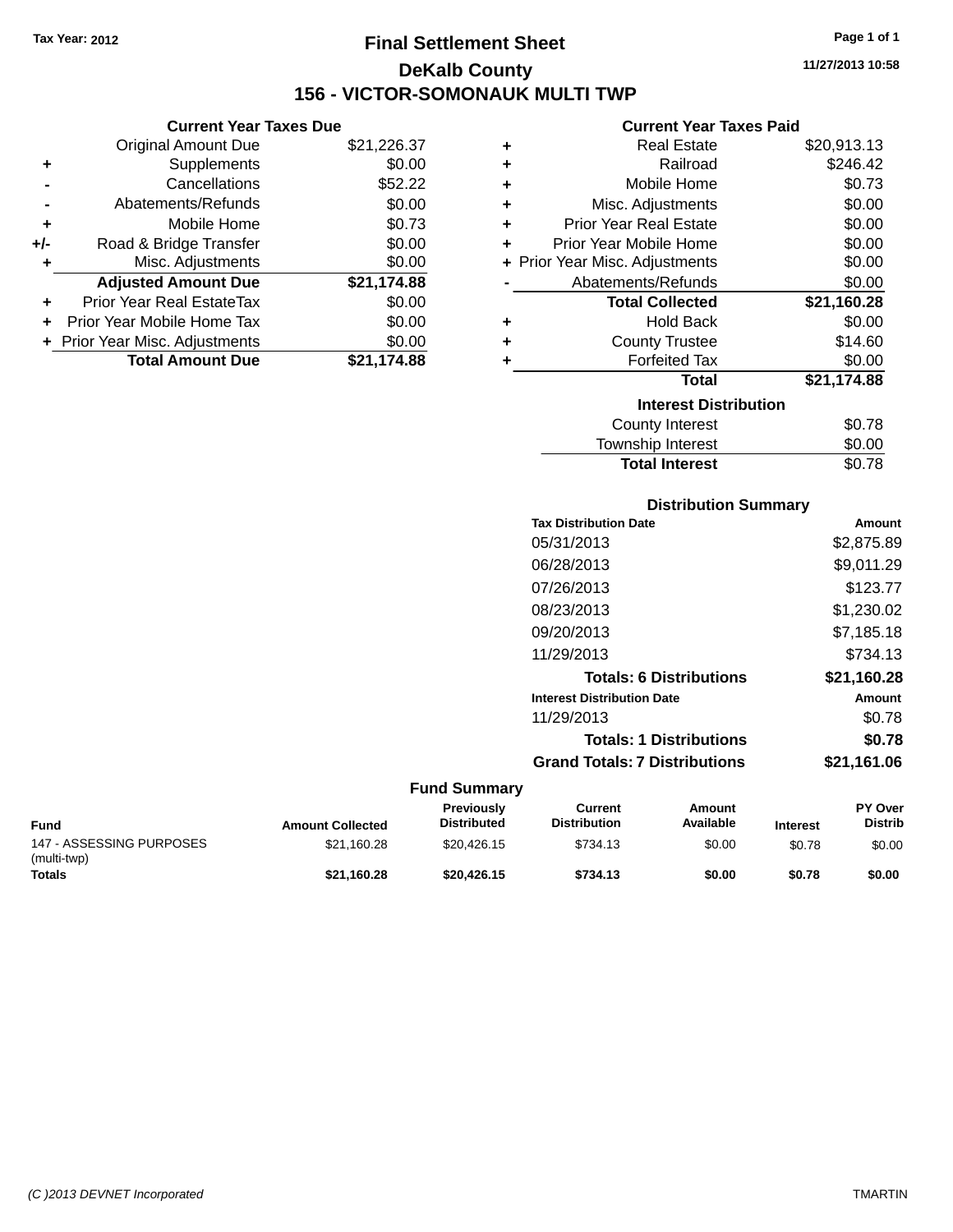# **Final Settlement Sheet Tax Year: 2012 Page 1 of 1 DeKalb County 156 - VICTOR-SOMONAUK MULTI TWP**

**11/27/2013 10:58**

### **Current Year Taxes Paid**

|     | <b>Current Year Taxes Due</b>    |             |   | <b>Current Year Taxes Paid</b> |             |
|-----|----------------------------------|-------------|---|--------------------------------|-------------|
|     | <b>Original Amount Due</b>       | \$21,226.37 | ÷ | <b>Real Estate</b>             | \$20,913.13 |
| ٠   | <b>Supplements</b>               | \$0.00      | ٠ | Railroad                       | \$246.42    |
|     | Cancellations                    | \$52.22     | ٠ | Mobile Home                    | \$0.73      |
|     | Abatements/Refunds               | \$0.00      | ٠ | Misc. Adjustments              | \$0.00      |
| ٠   | Mobile Home                      | \$0.73      | ÷ | <b>Prior Year Real Estate</b>  | \$0.00      |
| +/- | Road & Bridge Transfer           | \$0.00      |   | Prior Year Mobile Home         | \$0.00      |
|     | Misc. Adjustments                | \$0.00      |   | + Prior Year Misc. Adjustments | \$0.00      |
|     | <b>Adjusted Amount Due</b>       | \$21,174.88 |   | Abatements/Refunds             | \$0.00      |
| ٠   | <b>Prior Year Real EstateTax</b> | \$0.00      |   | <b>Total Collected</b>         | \$21,160.28 |
| ÷.  | Prior Year Mobile Home Tax       | \$0.00      | ٠ | <b>Hold Back</b>               | \$0.00      |
|     | + Prior Year Misc. Adjustments   | \$0.00      | ٠ | <b>County Trustee</b>          | \$14.60     |
|     | <b>Total Amount Due</b>          | \$21,174.88 |   | <b>Forfeited Tax</b>           | \$0.00      |
|     |                                  |             |   | Total                          | \$21,174.88 |
|     |                                  |             |   | <b>Interest Distribution</b>   |             |

 $\overline{a}$ 

| <b>Interest Distribution</b> |        |  |  |  |
|------------------------------|--------|--|--|--|
| County Interest              | \$0.78 |  |  |  |
| Township Interest            | \$0.00 |  |  |  |
| <b>Total Interest</b>        | \$0.78 |  |  |  |

| <b>Distribution Summary</b> |  |
|-----------------------------|--|
|                             |  |

| <b>Tax Distribution Date</b>         | Amount      |
|--------------------------------------|-------------|
| 05/31/2013                           | \$2,875.89  |
| 06/28/2013                           | \$9,011.29  |
| 07/26/2013                           | \$123.77    |
| 08/23/2013                           | \$1,230.02  |
| 09/20/2013                           | \$7,185.18  |
| 11/29/2013                           | \$734.13    |
| <b>Totals: 6 Distributions</b>       | \$21,160.28 |
| <b>Interest Distribution Date</b>    | Amount      |
| 11/29/2013                           | \$0.78      |
| <b>Totals: 1 Distributions</b>       | \$0.78      |
| <b>Grand Totals: 7 Distributions</b> | \$21,161.06 |
|                                      |             |

| Fund                                    | <b>Amount Collected</b> | <b>Previously</b><br><b>Distributed</b> | Current<br><b>Distribution</b> | Amount<br>Available | <b>Interest</b> | <b>PY Over</b><br><b>Distrib</b> |
|-----------------------------------------|-------------------------|-----------------------------------------|--------------------------------|---------------------|-----------------|----------------------------------|
| 147 - ASSESSING PURPOSES<br>(multi-twp) | \$21.160.28             | \$20.426.15                             | \$734.13                       | \$0.00              | \$0.78          | \$0.00                           |
| <b>Totals</b>                           | \$21.160.28             | \$20,426.15                             | \$734.13                       | \$0.00              | \$0.78          | \$0.00                           |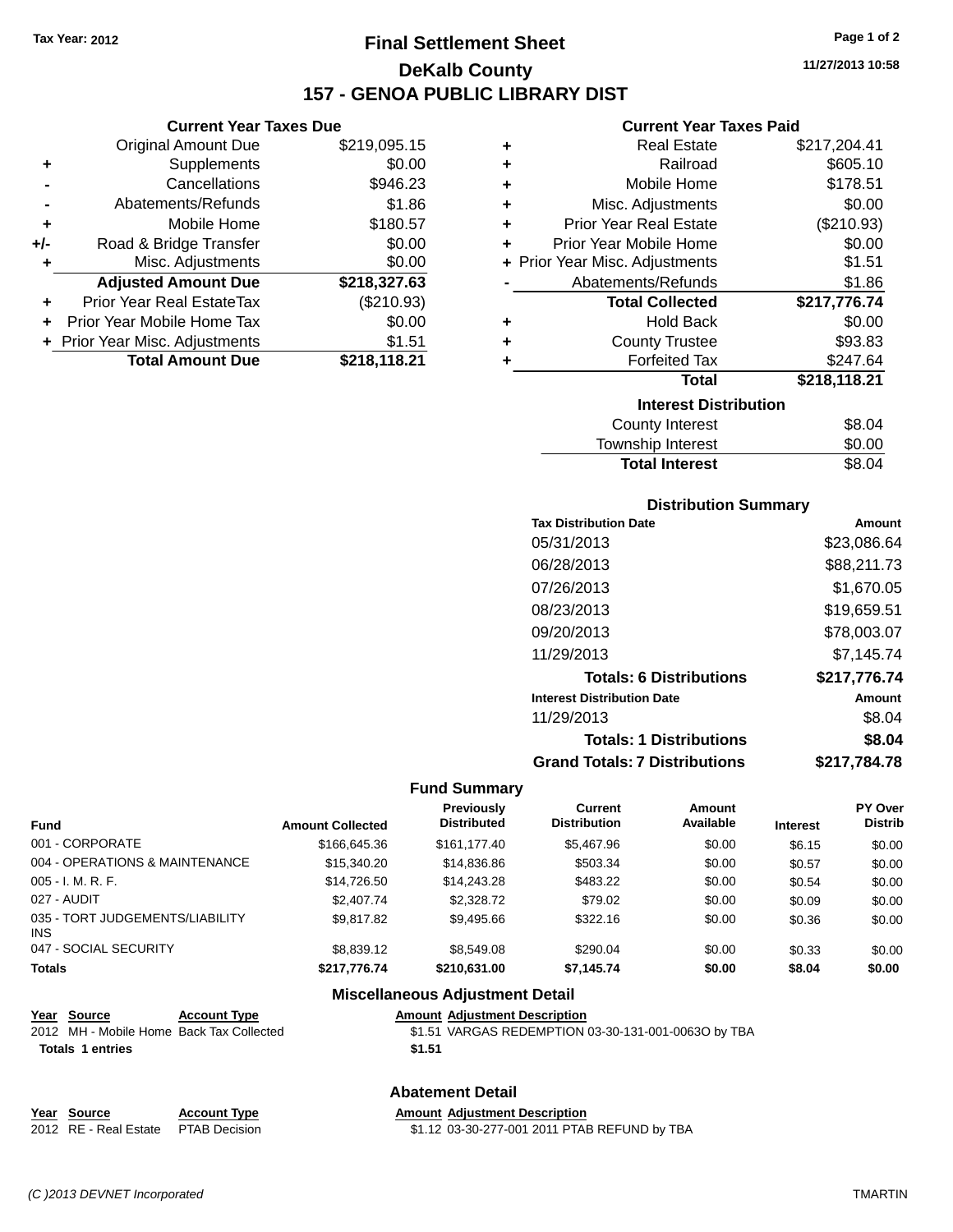**Current Year Taxes Due** Original Amount Due \$219,095.15

**Adjusted Amount Due \$218,327.63**

**Total Amount Due \$218,118.21**

**+** Supplements \$0.00 **-** Cancellations \$946.23 **-** Abatements/Refunds \$1.86 **+** Mobile Home \$180.57 **+/-** Road & Bridge Transfer \$0.00 **+** Misc. Adjustments \$0.00

**+** Prior Year Real EstateTax (\$210.93) **+** Prior Year Mobile Home Tax \$0.00 **+** Prior Year Misc. Adjustments \$1.51

# **Final Settlement Sheet Tax Year: 2012 Page 1 of 2 DeKalb County 157 - GENOA PUBLIC LIBRARY DIST**

**11/27/2013 10:58**

### **Current Year Taxes Paid**

| ٠ | <b>Real Estate</b>             | \$217,204.41 |  |  |
|---|--------------------------------|--------------|--|--|
| ٠ | Railroad                       | \$605.10     |  |  |
| ٠ | Mobile Home                    | \$178.51     |  |  |
| ٠ | Misc. Adjustments              | \$0.00       |  |  |
| ÷ | <b>Prior Year Real Estate</b>  | (\$210.93)   |  |  |
| ٠ | Prior Year Mobile Home         | \$0.00       |  |  |
|   | + Prior Year Misc. Adjustments | \$1.51       |  |  |
|   | Abatements/Refunds             | \$1.86       |  |  |
|   | <b>Total Collected</b>         | \$217,776.74 |  |  |
| ٠ | <b>Hold Back</b>               | \$0.00       |  |  |
| ٠ | <b>County Trustee</b>          | \$93.83      |  |  |
| ٠ | <b>Forfeited Tax</b>           | \$247.64     |  |  |
|   | <b>Total</b>                   | \$218,118.21 |  |  |
|   | <b>Interest Distribution</b>   |              |  |  |
|   | County Interest                | \$8.04       |  |  |
|   | Township Interest              | \$0.00       |  |  |

| Township Interest     | \$0.00 |
|-----------------------|--------|
| <b>Total Interest</b> | \$8.04 |
|                       |        |

|  | <b>Distribution Summary</b> |  |
|--|-----------------------------|--|
|  |                             |  |

| <b>Tax Distribution Date</b>         | Amount       |
|--------------------------------------|--------------|
| 05/31/2013                           | \$23,086.64  |
| 06/28/2013                           | \$88,211.73  |
| 07/26/2013                           | \$1.670.05   |
| 08/23/2013                           | \$19,659.51  |
| 09/20/2013                           | \$78,003.07  |
| 11/29/2013                           | \$7.145.74   |
| <b>Totals: 6 Distributions</b>       | \$217,776.74 |
| <b>Interest Distribution Date</b>    | Amount       |
| 11/29/2013                           | \$8.04       |
| <b>Totals: 1 Distributions</b>       | \$8.04       |
| <b>Grand Totals: 7 Distributions</b> | \$217,784.78 |

#### **Fund Summary**

| <b>Fund</b>                             | <b>Amount Collected</b> | <b>Previously</b><br><b>Distributed</b> | Current<br><b>Distribution</b> | Amount<br>Available | <b>Interest</b> | <b>PY Over</b><br><b>Distrib</b> |
|-----------------------------------------|-------------------------|-----------------------------------------|--------------------------------|---------------------|-----------------|----------------------------------|
| 001 - CORPORATE                         | \$166,645,36            | \$161.177.40                            | \$5.467.96                     | \$0.00              | \$6.15          | \$0.00                           |
| 004 - OPERATIONS & MAINTENANCE          | \$15,340.20             | \$14,836.86                             | \$503.34                       | \$0.00              | \$0.57          | \$0.00                           |
| 005 - I. M. R. F.                       | \$14,726.50             | \$14,243.28                             | \$483.22                       | \$0.00              | \$0.54          | \$0.00                           |
| 027 - AUDIT                             | \$2,407.74              | \$2,328,72                              | \$79.02                        | \$0.00              | \$0.09          | \$0.00                           |
| 035 - TORT JUDGEMENTS/LIABILITY<br>INS. | \$9.817.82              | \$9,495.66                              | \$322.16                       | \$0.00              | \$0.36          | \$0.00                           |
| 047 - SOCIAL SECURITY                   | \$8,839.12              | \$8,549.08                              | \$290.04                       | \$0.00              | \$0.33          | \$0.00                           |
| <b>Totals</b>                           | \$217,776.74            | \$210,631,00                            | \$7,145.74                     | \$0.00              | \$8.04          | \$0.00                           |

### **Miscellaneous Adjustment Detail**

| Year Source                              | <b>Account Type</b> |        | <b>Amount Adjustment Description</b>                |
|------------------------------------------|---------------------|--------|-----------------------------------------------------|
| 2012 MH - Mobile Home Back Tax Collected |                     |        | \$1.51 VARGAS REDEMPTION 03-30-131-001-0063O by TBA |
| <b>Totals 1 entries</b>                  |                     | \$1.51 |                                                     |
|                                          |                     |        |                                                     |
|                                          |                     |        |                                                     |

### **Abatement Detail**

2012 RE - Real Estate PTAB Decision \$1.12 03-30-277-001 2011 PTAB REFUND by TBA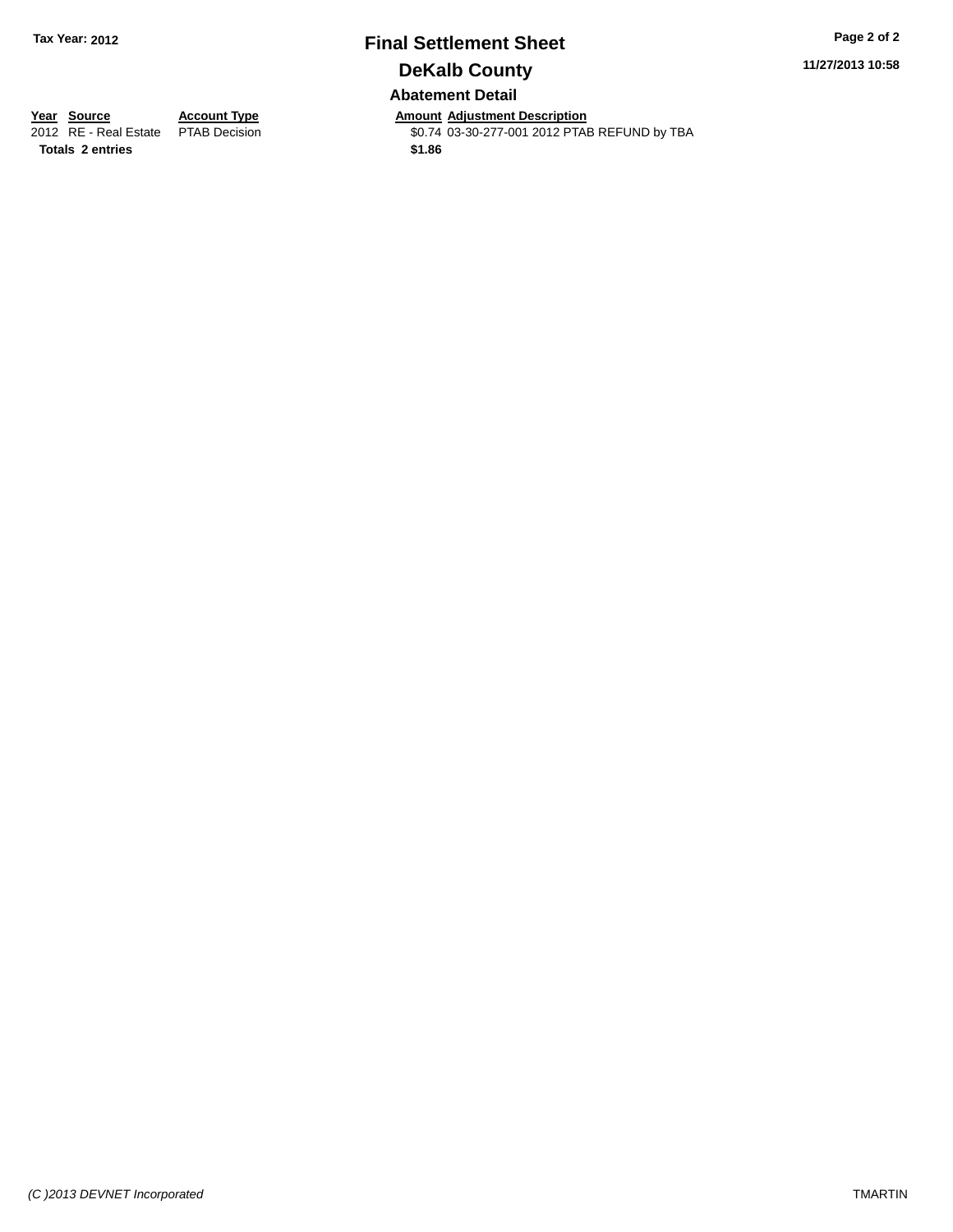# **Final Settlement Sheet Tax Year: 2012 Page 2 of 2 DeKalb County Abatement Detail**

**11/27/2013 10:58**

**Totals 2 entries \$1.86**

**Year Source Account Type Anneunt Adjustment Description**<br>2012 RE - Real Estate PTAB Decision **Amount Adjustment Description** \$0.74 03-30-277-001 2012 PTAB REFUND by TBA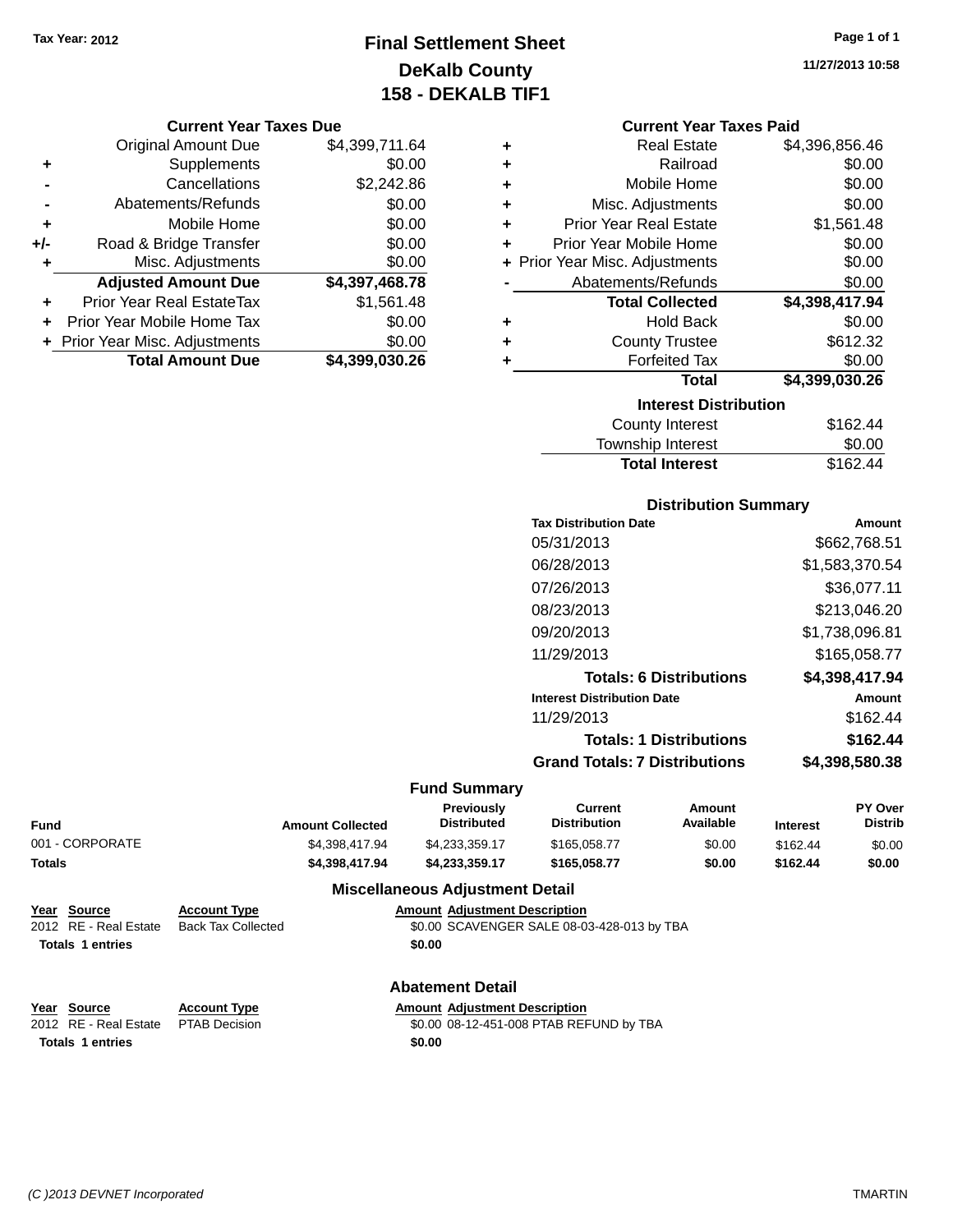# **Final Settlement Sheet Tax Year: 2012 Page 1 of 1 DeKalb County 158 - DEKALB TIF1**

**11/27/2013 10:58**

#### **Current Year Taxes Due**

|       | <b>Original Amount Due</b>       | \$4,399,711.64 |
|-------|----------------------------------|----------------|
| ٠     | Supplements                      | \$0.00         |
|       | Cancellations                    | \$2,242.86     |
|       | Abatements/Refunds               | \$0.00         |
| ٠     | Mobile Home                      | \$0.00         |
| $+/-$ | Road & Bridge Transfer           | \$0.00         |
| ٠     | Misc. Adjustments                | \$0.00         |
|       | <b>Adjusted Amount Due</b>       | \$4,397,468.78 |
|       | <b>Prior Year Real EstateTax</b> | \$1,561.48     |
|       | Prior Year Mobile Home Tax       | \$0.00         |
|       | + Prior Year Misc. Adjustments   | \$0.00         |
|       | <b>Total Amount Due</b>          | \$4,399,030.26 |

|   | <b>Current Year Taxes Paid</b> |                |  |  |  |
|---|--------------------------------|----------------|--|--|--|
| ÷ | <b>Real Estate</b>             | \$4,396,856.46 |  |  |  |
| ÷ | Railroad                       | \$0.00         |  |  |  |
| ٠ | Mobile Home                    | \$0.00         |  |  |  |
| ٠ | Misc. Adjustments              | \$0.00         |  |  |  |
| ÷ | <b>Prior Year Real Estate</b>  | \$1,561.48     |  |  |  |
| ÷ | Prior Year Mobile Home         | \$0.00         |  |  |  |
|   | + Prior Year Misc. Adjustments | \$0.00         |  |  |  |
|   | Abatements/Refunds             | \$0.00         |  |  |  |
|   | <b>Total Collected</b>         | \$4,398,417.94 |  |  |  |
| ÷ | <b>Hold Back</b>               | \$0.00         |  |  |  |
| ٠ | <b>County Trustee</b>          | \$612.32       |  |  |  |
| ٠ | <b>Forfeited Tax</b>           | \$0.00         |  |  |  |
|   | <b>Total</b>                   | \$4,399,030.26 |  |  |  |
|   | <b>Interest Distribution</b>   |                |  |  |  |
|   | <b>County Interest</b>         | \$162.44       |  |  |  |
|   | <b>Township Interest</b>       | \$0.00         |  |  |  |
|   | <b>Total Interest</b>          | \$162.44       |  |  |  |

### **Distribution Summary Tax Distribution Date Amount** 05/31/2013 \$662,768.51 06/28/2013 \$1,583,370.54 07/26/2013 \$36,077.11 08/23/2013 \$213,046.20 09/20/2013 \$1,738,096.81 11/29/2013 \$165,058.77 **Totals: 6 Distributions \$4,398,417.94 Interest Distribution Date Amount** 11/29/2013 \$162.44 **Totals: 1 Distributions \$162.44 Grand Totals: 7 Distributions \$4,398,580.38**

#### **Fund Summary**

| Fund            | <b>Amount Collected</b> | Previously<br><b>Distributed</b> | Current<br><b>Distribution</b> | Amount<br>Available | <b>Interest</b> | <b>PY Over</b><br><b>Distrib</b> |
|-----------------|-------------------------|----------------------------------|--------------------------------|---------------------|-----------------|----------------------------------|
| 001 - CORPORATE | \$4.398.417.94          | \$4.233.359.17                   | \$165,058,77                   | \$0.00              | \$162.44        | \$0.00                           |
| Totals          | \$4.398.417.94          | \$4.233.359.17                   | \$165.058.77                   | \$0.00              | \$162.44        | \$0.00                           |

#### **Miscellaneous Adjustment Detail**

| Year Source             | <b>Account Type</b>       |        | <b>Amount Adjustment Description</b>       |
|-------------------------|---------------------------|--------|--------------------------------------------|
| 2012 RE - Real Estate   | <b>Back Tax Collected</b> |        | \$0.00 SCAVENGER SALE 08-03-428-013 by TBA |
| <b>Totals 1 entries</b> |                           | \$0.00 |                                            |
|                         |                           |        |                                            |
|                         |                           |        |                                            |

### **Abatement Detail**

| Year Source                         | <b>Account Type</b> | <b>Amount Adiustment Description</b> |
|-------------------------------------|---------------------|--------------------------------------|
| 2012 RE - Real Estate PTAB Decision |                     | \$0.00 08-12-451-008 PTAB REF        |

**Totals 1 entries \$0.00**

PTAB Decision  $$0.00$  08-12-451-008 PTAB REFUND by TBA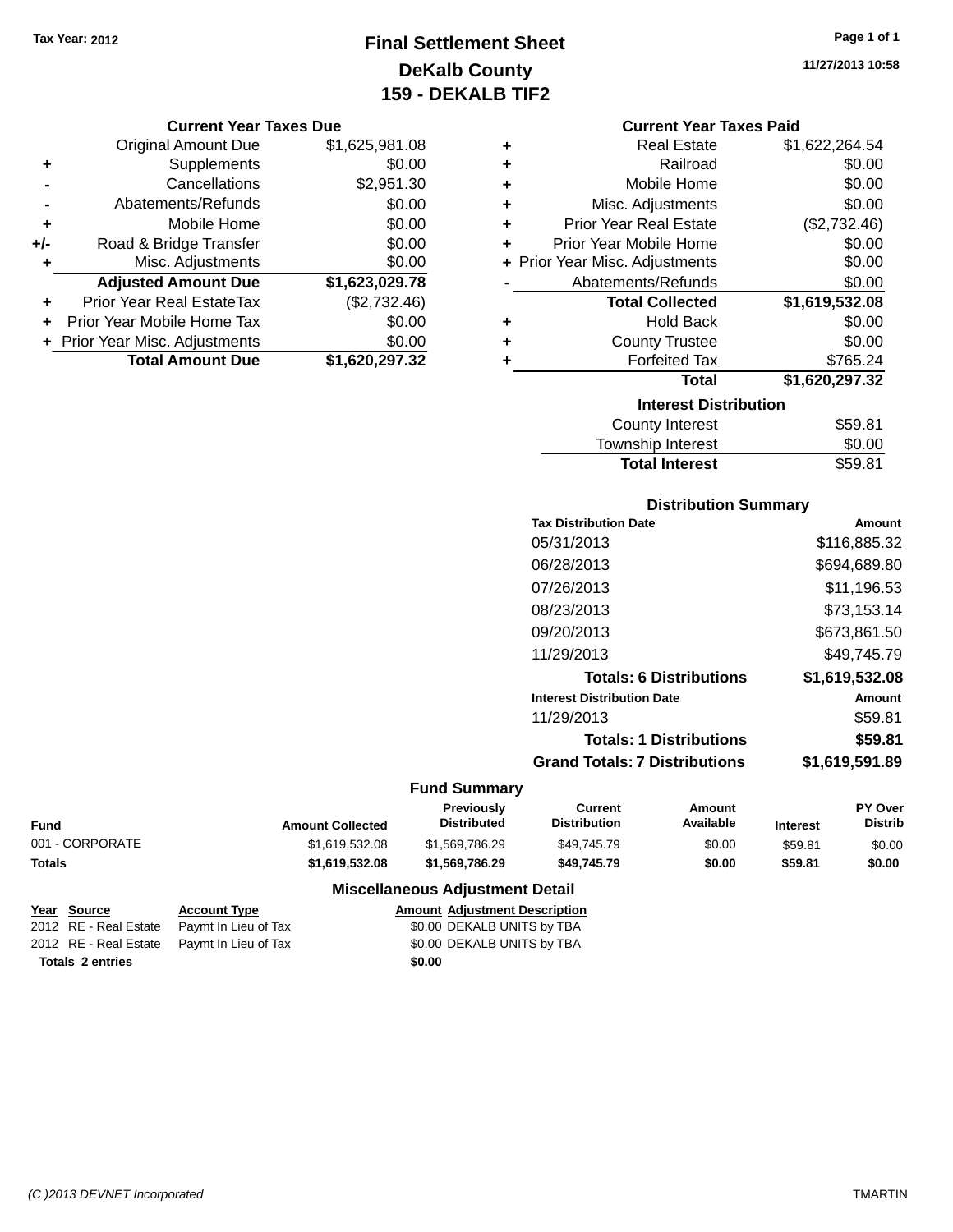# **Final Settlement Sheet Tax Year: 2012 Page 1 of 1 DeKalb County 159 - DEKALB TIF2**

**11/27/2013 10:58**

#### **Current Year Taxes Due**

|       | <b>Original Amount Due</b>     | \$1,625,981.08 |
|-------|--------------------------------|----------------|
| ٠     | Supplements                    | \$0.00         |
|       | Cancellations                  | \$2,951.30     |
|       | Abatements/Refunds             | \$0.00         |
| ٠     | Mobile Home                    | \$0.00         |
| $+/-$ | Road & Bridge Transfer         | \$0.00         |
| ٠     | Misc. Adjustments              | \$0.00         |
|       | <b>Adjusted Amount Due</b>     | \$1,623,029.78 |
|       | Prior Year Real EstateTax      | (\$2,732.46)   |
|       | Prior Year Mobile Home Tax     | \$0.00         |
|       | + Prior Year Misc. Adjustments | \$0.00         |
|       | <b>Total Amount Due</b>        | \$1,620,297.32 |

| <b>Current Year Taxes Paid</b> |  |  |  |
|--------------------------------|--|--|--|
|--------------------------------|--|--|--|

| ٠                            | <b>Real Estate</b>             | \$1,622,264.54 |  |  |  |
|------------------------------|--------------------------------|----------------|--|--|--|
| ÷                            | Railroad                       | \$0.00         |  |  |  |
| ٠                            | Mobile Home                    | \$0.00         |  |  |  |
| ٠                            | Misc. Adjustments              | \$0.00         |  |  |  |
| ÷                            | <b>Prior Year Real Estate</b>  | (\$2,732.46)   |  |  |  |
| ٠                            | Prior Year Mobile Home         | \$0.00         |  |  |  |
|                              | + Prior Year Misc. Adjustments | \$0.00         |  |  |  |
|                              | Abatements/Refunds             | \$0.00         |  |  |  |
|                              | <b>Total Collected</b>         | \$1,619,532.08 |  |  |  |
| ٠                            | <b>Hold Back</b>               | \$0.00         |  |  |  |
| ٠                            | <b>County Trustee</b>          | \$0.00         |  |  |  |
| ٠                            | <b>Forfeited Tax</b>           | \$765.24       |  |  |  |
|                              | <b>Total</b>                   | \$1,620,297.32 |  |  |  |
| <b>Interest Distribution</b> |                                |                |  |  |  |
|                              |                                |                |  |  |  |
|                              | <b>County Interest</b>         | \$59.81        |  |  |  |

| <b>Total Interest</b> | \$59.81 |
|-----------------------|---------|
| Township Interest     | \$0.00  |
| County Interest       | \$59.81 |

### **Distribution Summary**

| <b>Tax Distribution Date</b>         | Amount         |
|--------------------------------------|----------------|
| 05/31/2013                           | \$116,885.32   |
| 06/28/2013                           | \$694,689.80   |
| 07/26/2013                           | \$11.196.53    |
| 08/23/2013                           | \$73.153.14    |
| 09/20/2013                           | \$673,861.50   |
| 11/29/2013                           | \$49.745.79    |
| <b>Totals: 6 Distributions</b>       | \$1,619,532.08 |
| <b>Interest Distribution Date</b>    | Amount         |
| 11/29/2013                           | \$59.81        |
| <b>Totals: 1 Distributions</b>       | \$59.81        |
| <b>Grand Totals: 7 Distributions</b> | \$1,619,591.89 |
|                                      |                |

### **Fund Summary**

| Fund            | <b>Amount Collected</b> | Previously<br><b>Distributed</b> | Current<br><b>Distribution</b> | Amount<br>Available | <b>Interest</b> | <b>PY Over</b><br>Distrib |
|-----------------|-------------------------|----------------------------------|--------------------------------|---------------------|-----------------|---------------------------|
| 001 - CORPORATE | \$1.619.532.08          | \$1.569.786.29                   | \$49.745.79                    | \$0.00              | \$59.81         | \$0.00                    |
| Totals          | \$1,619,532.08          | \$1.569.786.29                   | \$49.745.79                    | \$0.00              | \$59.81         | \$0.00                    |

### **Miscellaneous Adjustment Detail**

| Year Source             | <b>Account Type</b>                        |        | <b>Amount Adjustment Description</b> |
|-------------------------|--------------------------------------------|--------|--------------------------------------|
|                         | 2012 RE - Real Estate Paymt In Lieu of Tax |        | \$0.00 DEKALB UNITS by TBA           |
|                         | 2012 RE - Real Estate Paymt In Lieu of Tax |        | \$0.00 DEKALB UNITS by TBA           |
| <b>Totals 2 entries</b> |                                            | \$0.00 |                                      |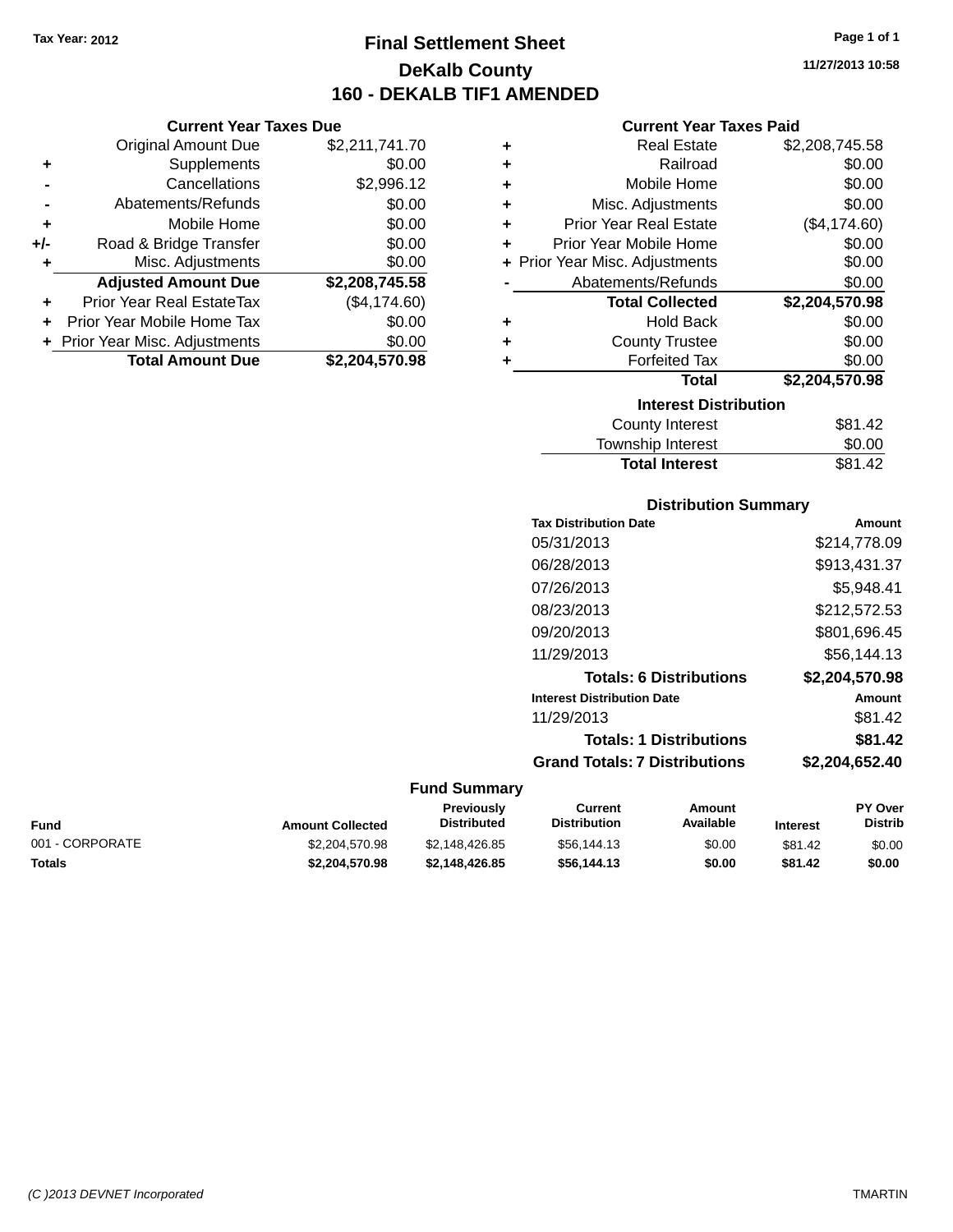**Current Year Taxes Due** Original Amount Due \$2,211,741.70

**Adjusted Amount Due \$2,208,745.58**

**Total Amount Due \$2,204,570.98**

**+** Supplements \$0.00 **-** Cancellations \$2,996.12 **-** Abatements/Refunds \$0.00 **+** Mobile Home \$0.00 **+/-** Road & Bridge Transfer \$0.00 **+** Misc. Adjustments \$0.00

**+** Prior Year Real EstateTax (\$4,174.60) **+** Prior Year Mobile Home Tax \$0.00 **+ Prior Year Misc. Adjustments**  $$0.00$ 

# **Final Settlement Sheet Tax Year: 2012 Page 1 of 1 DeKalb County 160 - DEKALB TIF1 AMENDED**

**11/27/2013 10:58**

### **Current Year Taxes Paid**

| ٠ | <b>Real Estate</b>             | \$2,208,745.58 |
|---|--------------------------------|----------------|
| ٠ | Railroad                       | \$0.00         |
| ٠ | Mobile Home                    | \$0.00         |
| ٠ | Misc. Adjustments              | \$0.00         |
| ٠ | <b>Prior Year Real Estate</b>  | (\$4,174.60)   |
| ÷ | Prior Year Mobile Home         | \$0.00         |
|   | + Prior Year Misc. Adjustments | \$0.00         |
|   | Abatements/Refunds             | \$0.00         |
|   | <b>Total Collected</b>         | \$2,204,570.98 |
| ٠ | <b>Hold Back</b>               | \$0.00         |
| ÷ | <b>County Trustee</b>          | \$0.00         |
| ٠ | <b>Forfeited Tax</b>           | \$0.00         |
|   | Total                          | \$2,204,570.98 |
|   | <b>Interest Distribution</b>   |                |
|   | County Interest                | \$81.42        |

| <b>Total Interest</b>  | \$81.42 |
|------------------------|---------|
| Township Interest      | \$0.00  |
| <b>County Interest</b> | \$81.42 |

### **Distribution Summary**

| <b>Tax Distribution Date</b>         | Amount         |
|--------------------------------------|----------------|
| 05/31/2013                           | \$214.778.09   |
| 06/28/2013                           | \$913.431.37   |
| 07/26/2013                           | \$5.948.41     |
| 08/23/2013                           | \$212,572.53   |
| 09/20/2013                           | \$801.696.45   |
| 11/29/2013                           | \$56.144.13    |
| <b>Totals: 6 Distributions</b>       | \$2.204.570.98 |
| <b>Interest Distribution Date</b>    | Amount         |
| 11/29/2013                           | \$81.42        |
| <b>Totals: 1 Distributions</b>       | \$81.42        |
| <b>Grand Totals: 7 Distributions</b> | \$2,204,652.40 |
|                                      |                |

| Fund            | <b>Amount Collected</b> | <b>Previously</b><br><b>Distributed</b> | Current<br><b>Distribution</b> | Amount<br>Available | <b>Interest</b> | <b>PY Over</b><br><b>Distrib</b> |
|-----------------|-------------------------|-----------------------------------------|--------------------------------|---------------------|-----------------|----------------------------------|
| 001 - CORPORATE | \$2,204,570.98          | \$2.148.426.85                          | \$56,144.13                    | \$0.00              | \$81.42         | \$0.00                           |
| Totals          | \$2,204,570.98          | \$2,148,426.85                          | \$56,144,13                    | \$0.00              | \$81.42         | \$0.00                           |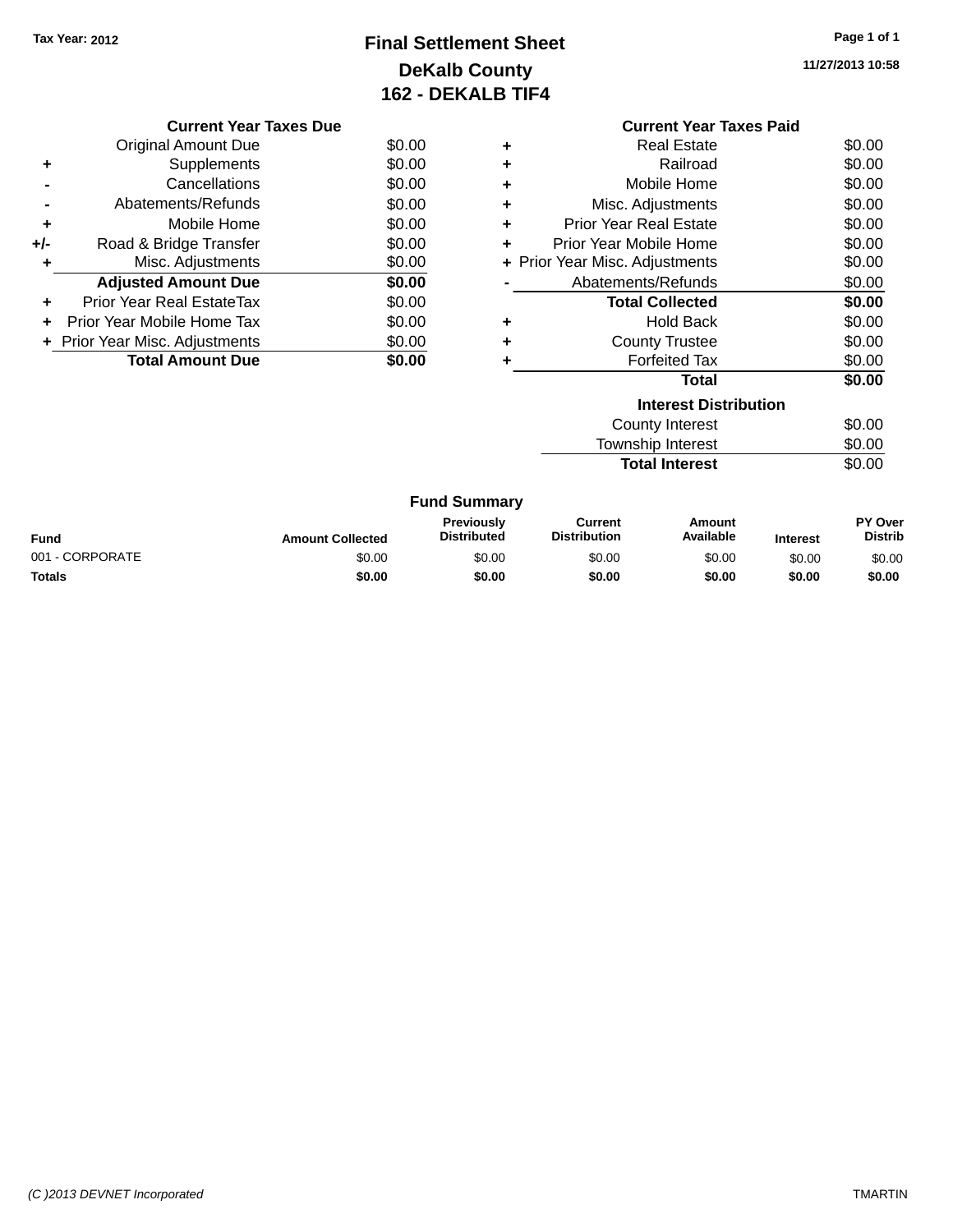# **Final Settlement Sheet Tax Year: 2012 Page 1 of 1 DeKalb County 162 - DEKALB TIF4**

**11/27/2013 10:58**

|     | <b>Current Year Taxes Due</b>            |        |  |  |
|-----|------------------------------------------|--------|--|--|
|     | Original Amount Due                      | \$0.00 |  |  |
|     | Supplements                              | \$0.00 |  |  |
|     | Cancellations                            | \$0.00 |  |  |
|     | Abatements/Refunds                       | \$0.00 |  |  |
| ٠   | Mobile Home                              | \$0.00 |  |  |
| +/- | Road & Bridge Transfer                   | \$0.00 |  |  |
|     | Misc. Adjustments                        | \$0.00 |  |  |
|     | <b>Adjusted Amount Due</b>               | \$0.00 |  |  |
|     | Prior Year Real EstateTax                | \$0.00 |  |  |
|     | Prior Year Mobile Home Tax               | \$0.00 |  |  |
|     | \$0.00<br>+ Prior Year Misc. Adjustments |        |  |  |
|     | <b>Total Amount Due</b>                  | \$0.00 |  |  |
|     |                                          |        |  |  |

|                              | <b>Current Year Taxes Paid</b> |        |  |  |  |
|------------------------------|--------------------------------|--------|--|--|--|
| ٠                            | Real Estate                    | \$0.00 |  |  |  |
| ÷                            | Railroad                       | \$0.00 |  |  |  |
| ÷                            | Mobile Home                    | \$0.00 |  |  |  |
| ٠                            | Misc. Adjustments              | \$0.00 |  |  |  |
| ÷                            | <b>Prior Year Real Estate</b>  | \$0.00 |  |  |  |
| ÷                            | Prior Year Mobile Home         | \$0.00 |  |  |  |
|                              | + Prior Year Misc. Adjustments | \$0.00 |  |  |  |
|                              | Abatements/Refunds             | \$0.00 |  |  |  |
|                              | <b>Total Collected</b>         | \$0.00 |  |  |  |
| ٠                            | <b>Hold Back</b>               | \$0.00 |  |  |  |
|                              | <b>County Trustee</b>          | \$0.00 |  |  |  |
| ÷                            | <b>Forfeited Tax</b>           | \$0.00 |  |  |  |
|                              | Total                          | \$0.00 |  |  |  |
| <b>Interest Distribution</b> |                                |        |  |  |  |
|                              | County Interest                | \$0.00 |  |  |  |
|                              | <b>Township Interest</b>       | \$0.00 |  |  |  |
|                              | <b>Total Interest</b>          | \$0.00 |  |  |  |
|                              |                                |        |  |  |  |

|  | <b>Fund Summary</b> |
|--|---------------------|
|--|---------------------|

| Fund            | <b>Amount Collected</b> | <b>Previously</b><br><b>Distributed</b> | Current<br><b>Distribution</b> | Amount<br>Available | <b>Interest</b> | <b>PY Over</b><br><b>Distrib</b> |
|-----------------|-------------------------|-----------------------------------------|--------------------------------|---------------------|-----------------|----------------------------------|
| 001 - CORPORATE | \$0.00                  | \$0.00                                  | \$0.00                         | \$0.00              | \$0.00          | \$0.00                           |
| <b>Totals</b>   | \$0.00                  | \$0.00                                  | \$0.00                         | \$0.00              | \$0.00          | \$0.00                           |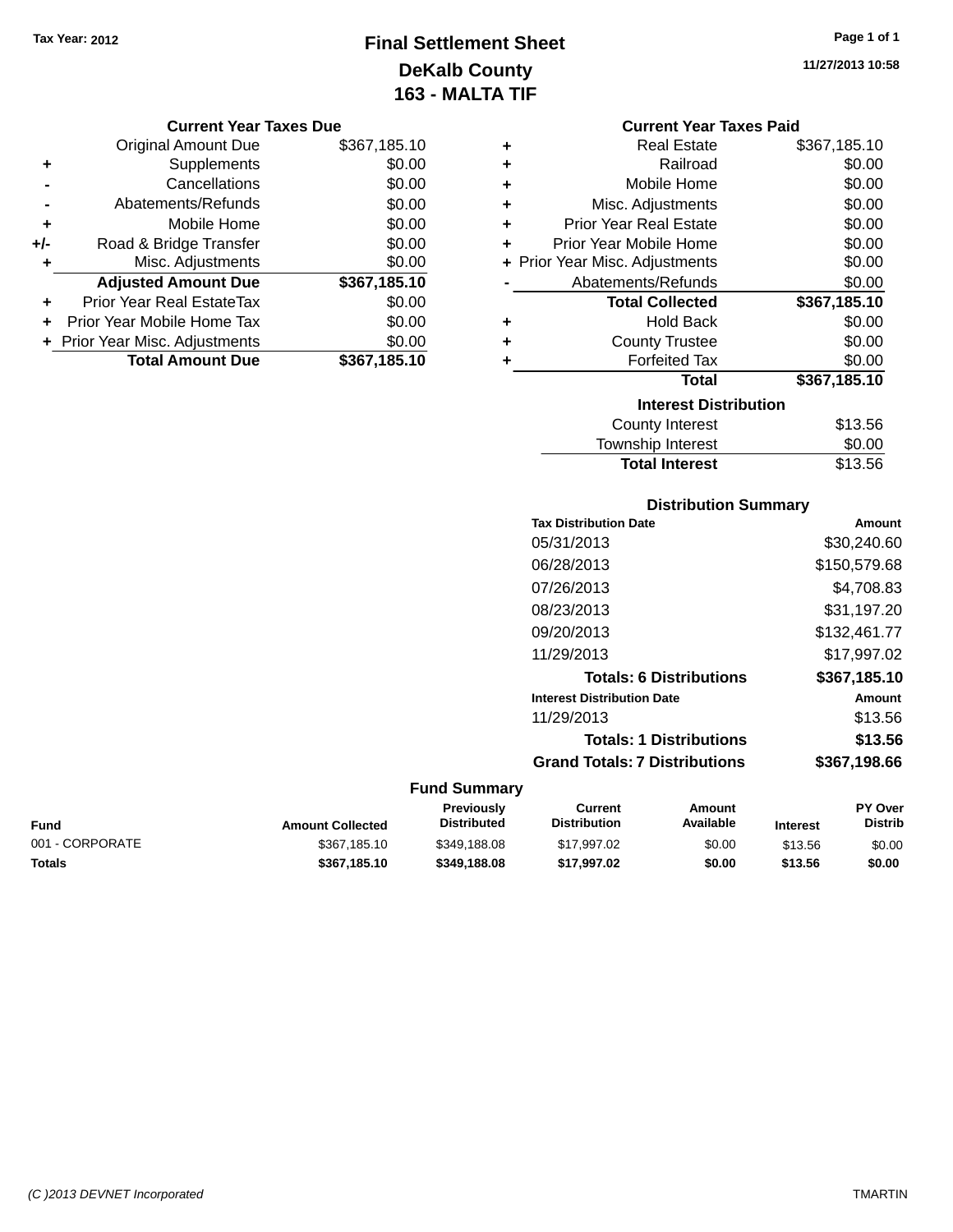# **Final Settlement Sheet Tax Year: 2012 Page 1 of 1 DeKalb County 163 - MALTA TIF**

**11/27/2013 10:58**

#### **Current Year Taxes Due**

|       | <b>Original Amount Due</b>       | \$367,185.10 |
|-------|----------------------------------|--------------|
| ٠     | Supplements                      | \$0.00       |
|       | Cancellations                    | \$0.00       |
|       | Abatements/Refunds               | \$0.00       |
| ٠     | Mobile Home                      | \$0.00       |
| $+/-$ | Road & Bridge Transfer           | \$0.00       |
| ٠     | Misc. Adjustments                | \$0.00       |
|       | <b>Adjusted Amount Due</b>       | \$367,185.10 |
|       | <b>Prior Year Real EstateTax</b> | \$0.00       |
|       | Prior Year Mobile Home Tax       | \$0.00       |
|       | + Prior Year Misc. Adjustments   | \$0.00       |
|       | <b>Total Amount Due</b>          | \$367,185.10 |

| <b>Current Year Taxes Paid</b> |  |  |  |
|--------------------------------|--|--|--|
|--------------------------------|--|--|--|

| ٠ | <b>Real Estate</b>             | \$367,185.10 |
|---|--------------------------------|--------------|
| ÷ | Railroad                       | \$0.00       |
| ÷ | Mobile Home                    | \$0.00       |
| ÷ | Misc. Adjustments              | \$0.00       |
| ٠ | <b>Prior Year Real Estate</b>  | \$0.00       |
| ٠ | Prior Year Mobile Home         | \$0.00       |
|   | + Prior Year Misc. Adjustments | \$0.00       |
|   | Abatements/Refunds             | \$0.00       |
|   | <b>Total Collected</b>         | \$367,185.10 |
| ٠ | <b>Hold Back</b>               | \$0.00       |
| ÷ | <b>County Trustee</b>          | \$0.00       |
| ٠ | <b>Forfeited Tax</b>           | \$0.00       |
|   | Total                          | \$367,185.10 |
|   | <b>Interest Distribution</b>   |              |
|   | County Interest                | \$13.56      |
|   | <b>Township Interest</b>       | \$0.00       |
|   | <b>Total Interest</b>          | \$13.56      |

### **Distribution Summary Tax Distribution Date Amount**

| סוסט ווטטווטוואז ואז                 | Allivulit    |
|--------------------------------------|--------------|
| 05/31/2013                           | \$30,240.60  |
| 06/28/2013                           | \$150,579.68 |
| 07/26/2013                           | \$4,708.83   |
| 08/23/2013                           | \$31,197.20  |
| 09/20/2013                           | \$132,461.77 |
| 11/29/2013                           | \$17,997.02  |
| <b>Totals: 6 Distributions</b>       | \$367,185.10 |
| <b>Interest Distribution Date</b>    | Amount       |
| 11/29/2013                           | \$13.56      |
| <b>Totals: 1 Distributions</b>       | \$13.56      |
| <b>Grand Totals: 7 Distributions</b> | \$367,198.66 |
|                                      |              |

| Fund            | <b>Amount Collected</b> | Previously<br><b>Distributed</b> | Current<br><b>Distribution</b> | Amount<br>Available | <b>Interest</b> | <b>PY Over</b><br><b>Distrib</b> |
|-----------------|-------------------------|----------------------------------|--------------------------------|---------------------|-----------------|----------------------------------|
| 001 - CORPORATE | \$367,185.10            | \$349,188,08                     | \$17,997.02                    | \$0.00              | \$13.56         | \$0.00                           |
| Totals          | \$367.185.10            | \$349.188.08                     | \$17.997.02                    | \$0.00              | \$13.56         | \$0.00                           |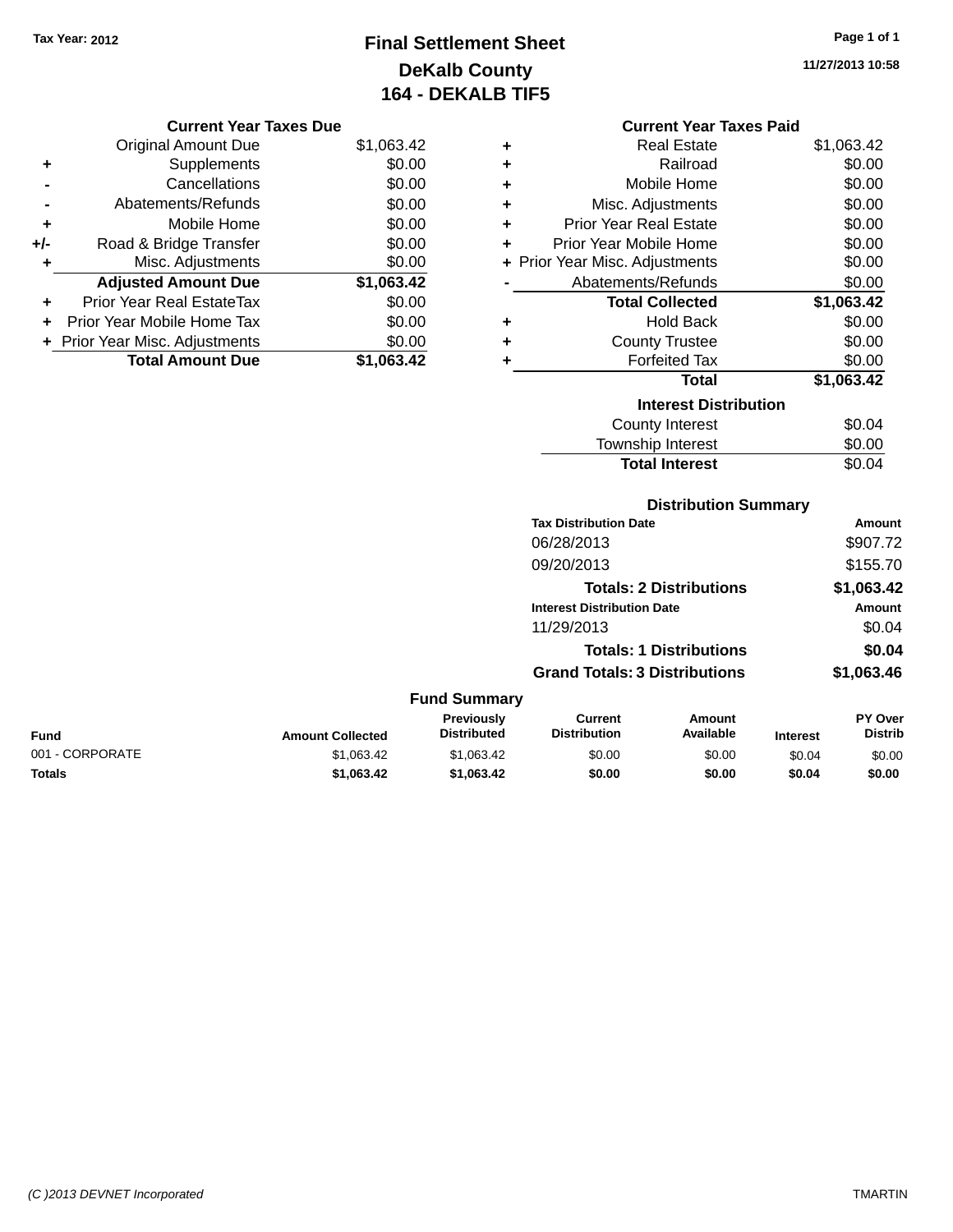# **Final Settlement Sheet Tax Year: 2012 Page 1 of 1 DeKalb County 164 - DEKALB TIF5**

**11/27/2013 10:58**

### **Current Year Taxes Due**

|       | <b>Original Amount Due</b>     | \$1,063.42 |
|-------|--------------------------------|------------|
| ٠     | Supplements                    | \$0.00     |
|       | Cancellations                  | \$0.00     |
|       | Abatements/Refunds             | \$0.00     |
| ٠     | Mobile Home                    | \$0.00     |
| $+/-$ | Road & Bridge Transfer         | \$0.00     |
|       | Misc. Adjustments              | \$0.00     |
|       | <b>Adjusted Amount Due</b>     | \$1,063.42 |
| ÷     | Prior Year Real EstateTax      | \$0.00     |
|       | Prior Year Mobile Home Tax     | \$0.00     |
|       | + Prior Year Misc. Adjustments | \$0.00     |
|       | <b>Total Amount Due</b>        | \$1,063.42 |

### **Current Year Taxes Paid**

|   | Real Estate                    | \$1,063.42 |
|---|--------------------------------|------------|
| ٠ | Railroad                       | \$0.00     |
| ٠ | Mobile Home                    | \$0.00     |
| ٠ | Misc. Adjustments              | \$0.00     |
| ÷ | <b>Prior Year Real Estate</b>  | \$0.00     |
| ÷ | Prior Year Mobile Home         | \$0.00     |
|   | + Prior Year Misc. Adjustments | \$0.00     |
|   | Abatements/Refunds             | \$0.00     |
|   |                                |            |
|   | <b>Total Collected</b>         | \$1,063.42 |
| ٠ | <b>Hold Back</b>               | \$0.00     |
| ÷ | <b>County Trustee</b>          | \$0.00     |
| ٠ | <b>Forfeited Tax</b>           | \$0.00     |
|   | <b>Total</b>                   | \$1,063.42 |
|   | <b>Interest Distribution</b>   |            |
|   | <b>County Interest</b>         | \$0.04     |

### **Distribution Summary**

**Total Interest** \$0.04

| <b>Tax Distribution Date</b>         | Amount     |
|--------------------------------------|------------|
| 06/28/2013                           | \$907.72   |
| 09/20/2013                           | \$155.70   |
| <b>Totals: 2 Distributions</b>       | \$1,063.42 |
| <b>Interest Distribution Date</b>    | Amount     |
| 11/29/2013                           | \$0.04     |
| <b>Totals: 1 Distributions</b>       | \$0.04     |
| <b>Grand Totals: 3 Distributions</b> | \$1,063,46 |

| <b>Fund</b>     | <b>Amount Collected</b> | <b>Previously</b><br><b>Distributed</b> | Current<br><b>Distribution</b> | Amount<br>Available | <b>Interest</b> | <b>PY Over</b><br><b>Distrib</b> |
|-----------------|-------------------------|-----------------------------------------|--------------------------------|---------------------|-----------------|----------------------------------|
| 001 - CORPORATE | \$1.063.42              | \$1.063.42                              | \$0.00                         | \$0.00              | \$0.04          | \$0.00                           |
| <b>Totals</b>   | \$1.063.42              | \$1,063,42                              | \$0.00                         | \$0.00              | \$0.04          | \$0.00                           |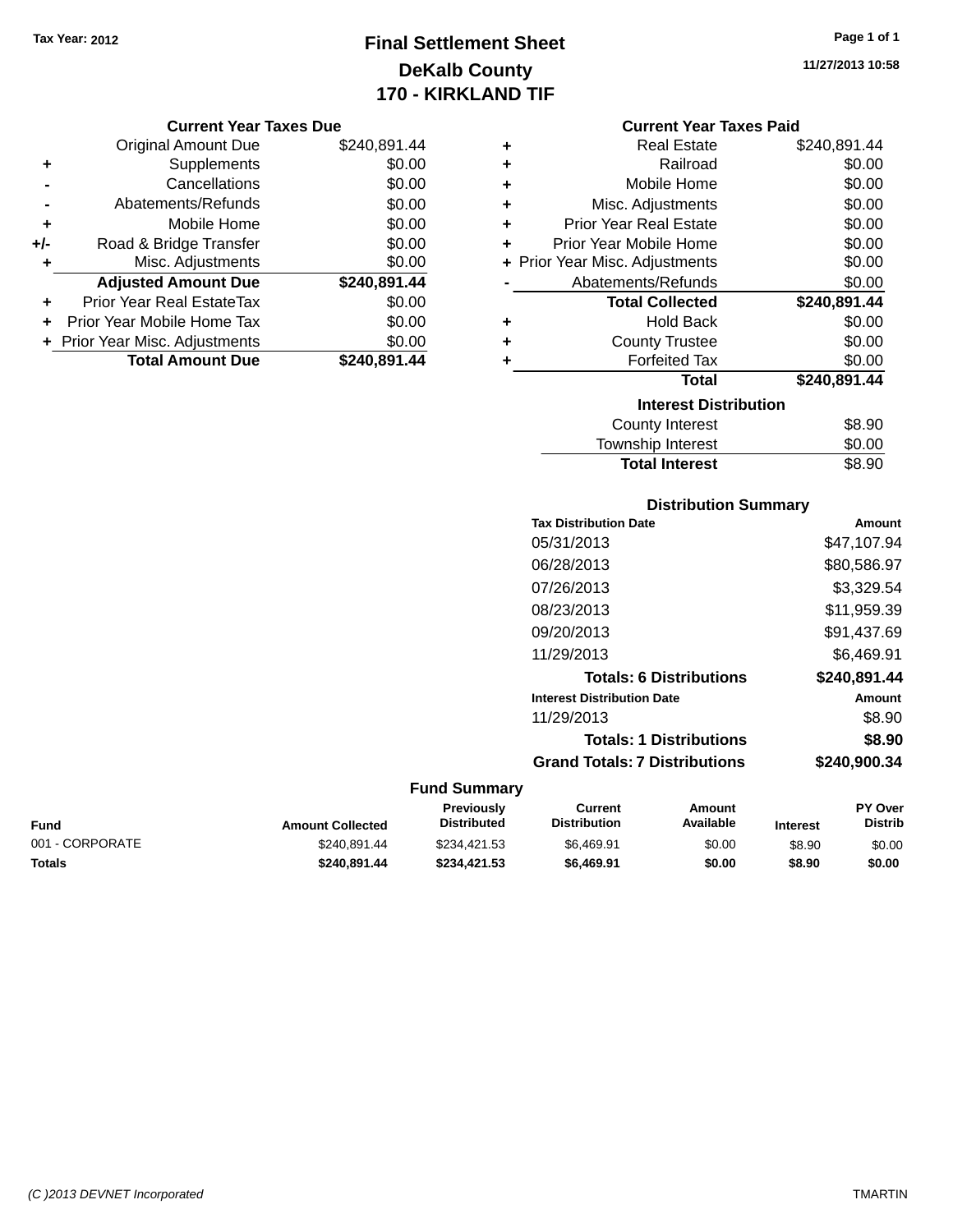# **Final Settlement Sheet Tax Year: 2012 Page 1 of 1 DeKalb County 170 - KIRKLAND TIF**

#### **Current Year Taxes Due**

|       | <b>Original Amount Due</b>       | \$240,891.44 |
|-------|----------------------------------|--------------|
| ٠     | Supplements                      | \$0.00       |
|       | Cancellations                    | \$0.00       |
|       | Abatements/Refunds               | \$0.00       |
| ٠     | Mobile Home                      | \$0.00       |
| $+/-$ | Road & Bridge Transfer           | \$0.00       |
| ٠     | Misc. Adjustments                | \$0.00       |
|       | <b>Adjusted Amount Due</b>       | \$240,891.44 |
| ÷     | <b>Prior Year Real EstateTax</b> | \$0.00       |
|       | Prior Year Mobile Home Tax       | \$0.00       |
|       | + Prior Year Misc. Adjustments   | \$0.00       |
|       | <b>Total Amount Due</b>          | \$240,891.44 |

#### **Current Year Taxes Paid**

| ٠ | <b>Real Estate</b>             | \$240,891.44 |
|---|--------------------------------|--------------|
| ٠ | Railroad                       | \$0.00       |
| ÷ | Mobile Home                    | \$0.00       |
| ٠ | Misc. Adjustments              | \$0.00       |
| ÷ | <b>Prior Year Real Estate</b>  | \$0.00       |
| ٠ | Prior Year Mobile Home         | \$0.00       |
|   | + Prior Year Misc. Adjustments | \$0.00       |
|   | Abatements/Refunds             | \$0.00       |
|   | <b>Total Collected</b>         | \$240,891.44 |
| ٠ | Hold Back                      | \$0.00       |
| ٠ | <b>County Trustee</b>          | \$0.00       |
|   | <b>Forfeited Tax</b>           | \$0.00       |
|   | <b>Total</b>                   | \$240,891.44 |
|   | <b>Interest Distribution</b>   |              |
|   | County Interest                | \$8.90       |
|   | <b>Township Interest</b>       | \$0.00       |
|   | <b>Total Interest</b>          | \$8.90       |

# **Distribution Summary**

| <b>Tax Distribution Date</b>         | Amount       |
|--------------------------------------|--------------|
| 05/31/2013                           | \$47,107.94  |
| 06/28/2013                           | \$80,586.97  |
| 07/26/2013                           | \$3,329.54   |
| 08/23/2013                           | \$11,959.39  |
| 09/20/2013                           | \$91.437.69  |
| 11/29/2013                           | \$6,469.91   |
| <b>Totals: 6 Distributions</b>       | \$240.891.44 |
| <b>Interest Distribution Date</b>    | Amount       |
| 11/29/2013                           | \$8.90       |
| <b>Totals: 1 Distributions</b>       | \$8.90       |
| <b>Grand Totals: 7 Distributions</b> | \$240,900.34 |
|                                      |              |

### **Fund Summary**

| Fund            | <b>Amount Collected</b> | <b>Previously</b><br>Distributed | Current<br><b>Distribution</b> | Amount<br>Available | <b>Interest</b> | <b>PY Over</b><br><b>Distrib</b> |
|-----------------|-------------------------|----------------------------------|--------------------------------|---------------------|-----------------|----------------------------------|
| 001 - CORPORATE | \$240.891.44            | \$234.421.53                     | \$6.469.91                     | \$0.00              | \$8.90          | \$0.00                           |
| Totals          | \$240.891.44            | \$234.421.53                     | \$6.469.91                     | \$0.00              | \$8.90          | \$0.00                           |

**11/27/2013 10:58**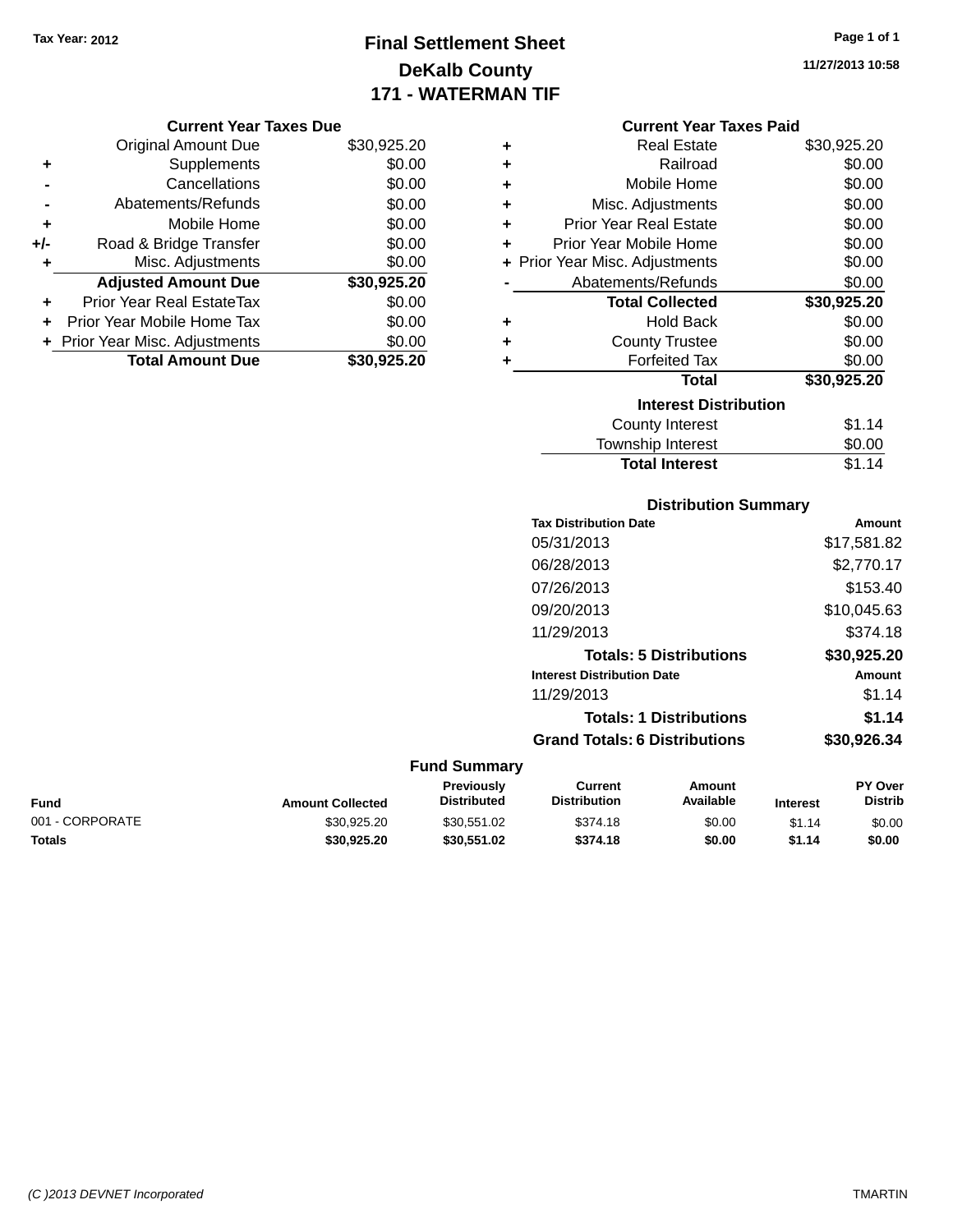# **Final Settlement Sheet Tax Year: 2012 Page 1 of 1 DeKalb County 171 - WATERMAN TIF**

**11/27/2013 10:58**

| <b>Current Year Taxes Due</b> |  |  |
|-------------------------------|--|--|
|                               |  |  |

|     | <b>Original Amount Due</b>       | \$30,925.20 |
|-----|----------------------------------|-------------|
| ٠   | Supplements                      | \$0.00      |
|     | Cancellations                    | \$0.00      |
|     | Abatements/Refunds               | \$0.00      |
| ٠   | Mobile Home                      | \$0.00      |
| +/- | Road & Bridge Transfer           | \$0.00      |
| ٠   | Misc. Adjustments                | \$0.00      |
|     | <b>Adjusted Amount Due</b>       | \$30,925.20 |
|     | <b>Prior Year Real EstateTax</b> | \$0.00      |
|     | Prior Year Mobile Home Tax       | \$0.00      |
|     | + Prior Year Misc. Adjustments   | \$0.00      |
|     | <b>Total Amount Due</b>          | \$30.925.20 |

|   | <b>Current Year Taxes Paid</b> |             |  |  |  |  |
|---|--------------------------------|-------------|--|--|--|--|
| ٠ | Real Estate                    | \$30,925.20 |  |  |  |  |
| ٠ | Railroad                       | \$0.00      |  |  |  |  |
| ٠ | Mobile Home                    | \$0.00      |  |  |  |  |
| ٠ | Misc. Adjustments              | \$0.00      |  |  |  |  |
| ٠ | <b>Prior Year Real Estate</b>  | \$0.00      |  |  |  |  |
| ÷ | Prior Year Mobile Home         | \$0.00      |  |  |  |  |
|   | + Prior Year Misc. Adjustments | \$0.00      |  |  |  |  |
|   | Abatements/Refunds             | \$0.00      |  |  |  |  |
|   | <b>Total Collected</b>         | \$30,925.20 |  |  |  |  |
| ٠ | Hold Back                      | \$0.00      |  |  |  |  |
| ٠ | <b>County Trustee</b>          | \$0.00      |  |  |  |  |
| ٠ | <b>Forfeited Tax</b>           | \$0.00      |  |  |  |  |
|   | <b>Total</b>                   | \$30,925.20 |  |  |  |  |
|   | <b>Interest Distribution</b>   |             |  |  |  |  |
|   | County Interest                | \$1.14      |  |  |  |  |
|   | <b>Township Interest</b>       | \$0.00      |  |  |  |  |
|   | <b>Total Interest</b>          | \$1.14      |  |  |  |  |
|   |                                |             |  |  |  |  |

# **Distribution Summary**

| <b>Tax Distribution Date</b>         | Amount      |
|--------------------------------------|-------------|
| 05/31/2013                           | \$17,581.82 |
| 06/28/2013                           | \$2,770.17  |
| 07/26/2013                           | \$153.40    |
| 09/20/2013                           | \$10,045.63 |
| 11/29/2013                           | \$374.18    |
| <b>Totals: 5 Distributions</b>       | \$30,925.20 |
| <b>Interest Distribution Date</b>    | Amount      |
| 11/29/2013                           | \$1.14      |
| <b>Totals: 1 Distributions</b>       | \$1.14      |
| <b>Grand Totals: 6 Distributions</b> | \$30.926.34 |
|                                      |             |

| <b>Fund</b>     | <b>Amount Collected</b> | Previously<br><b>Distributed</b> | Current<br><b>Distribution</b> | Amount<br>Available | <b>Interest</b> | PY Over<br><b>Distrib</b> |
|-----------------|-------------------------|----------------------------------|--------------------------------|---------------------|-----------------|---------------------------|
| 001 - CORPORATE | \$30.925.20             | \$30.551.02                      | \$374.18                       | \$0.00              | \$1.14          | \$0.00                    |
| Totals          | \$30.925.20             | \$30.551.02                      | \$374.18                       | \$0.00              | \$1.14          | \$0.00                    |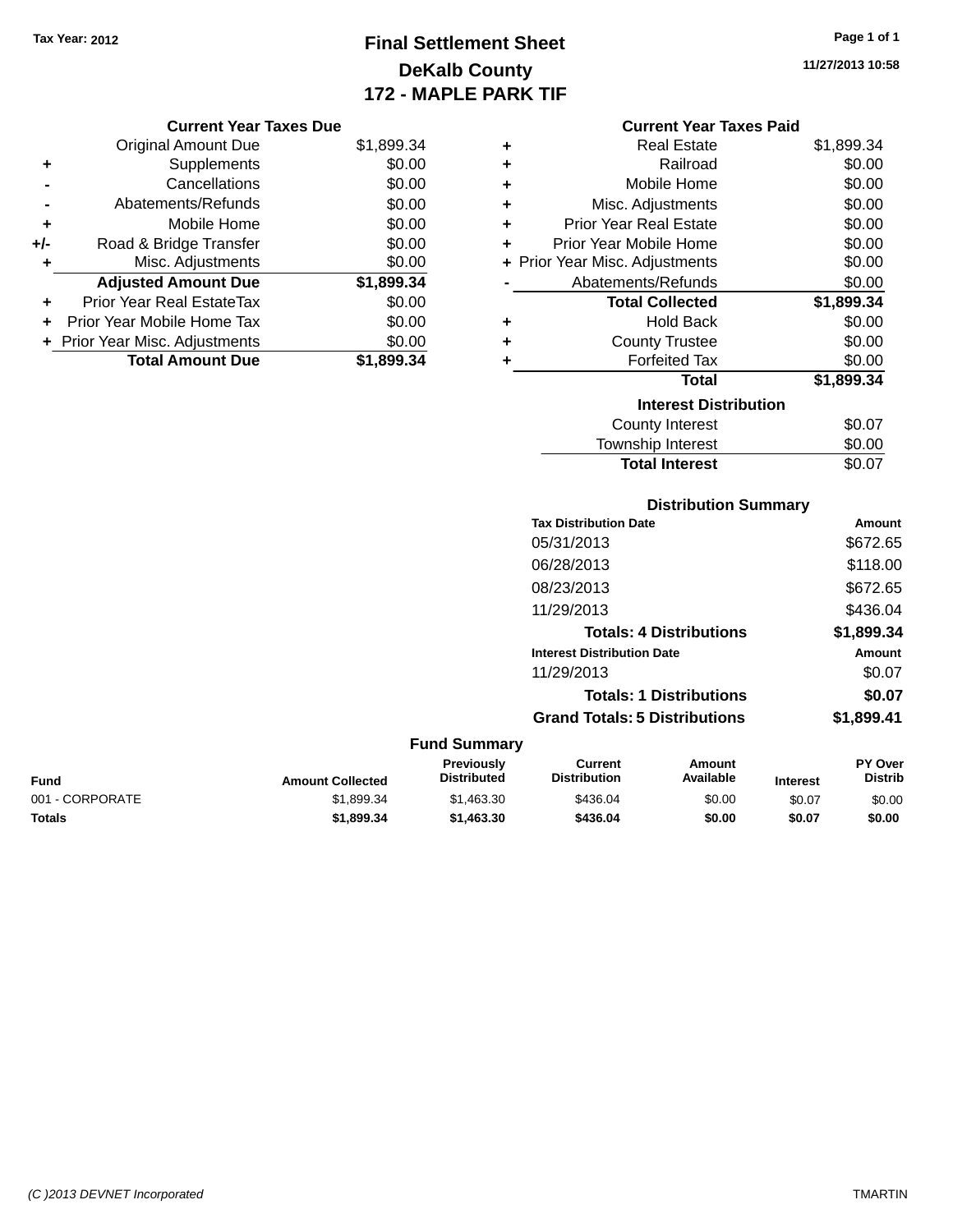# **Final Settlement Sheet Tax Year: 2012 Page 1 of 1 DeKalb County 172 - MAPLE PARK TIF**

**11/27/2013 10:58**

| <b>Current Year Taxes Due</b> |  |  |
|-------------------------------|--|--|
|                               |  |  |

|       | <b>Original Amount Due</b>     | \$1,899.34 |
|-------|--------------------------------|------------|
| ٠     | Supplements                    | \$0.00     |
|       | Cancellations                  | \$0.00     |
|       | Abatements/Refunds             | \$0.00     |
| ÷     | Mobile Home                    | \$0.00     |
| $+/-$ | Road & Bridge Transfer         | \$0.00     |
|       | Misc. Adjustments              | \$0.00     |
|       | <b>Adjusted Amount Due</b>     | \$1,899.34 |
| ÷     | Prior Year Real EstateTax      | \$0.00     |
|       | Prior Year Mobile Home Tax     | \$0.00     |
|       | + Prior Year Misc. Adjustments | \$0.00     |
|       | <b>Total Amount Due</b>        | \$1,899.34 |

### **Current Year Taxes Paid**

| ٠                            | <b>Real Estate</b>             | \$1,899.34 |  |  |  |  |  |
|------------------------------|--------------------------------|------------|--|--|--|--|--|
| ÷                            | Railroad                       | \$0.00     |  |  |  |  |  |
| ÷                            | Mobile Home                    | \$0.00     |  |  |  |  |  |
| ÷                            | Misc. Adjustments              | \$0.00     |  |  |  |  |  |
| ÷                            | <b>Prior Year Real Estate</b>  | \$0.00     |  |  |  |  |  |
| ٠                            | Prior Year Mobile Home         | \$0.00     |  |  |  |  |  |
|                              | + Prior Year Misc. Adjustments | \$0.00     |  |  |  |  |  |
|                              | Abatements/Refunds             | \$0.00     |  |  |  |  |  |
|                              | <b>Total Collected</b>         | \$1,899.34 |  |  |  |  |  |
| ٠                            | Hold Back                      | \$0.00     |  |  |  |  |  |
| ÷                            | <b>County Trustee</b>          | \$0.00     |  |  |  |  |  |
|                              | <b>Forfeited Tax</b>           | \$0.00     |  |  |  |  |  |
|                              | <b>Total</b>                   | \$1,899.34 |  |  |  |  |  |
| <b>Interest Distribution</b> |                                |            |  |  |  |  |  |
|                              | County Interest                | \$0.07     |  |  |  |  |  |
|                              | <b>Township Interest</b>       | \$0.00     |  |  |  |  |  |
|                              | <b>Total Interest</b>          | \$0.07     |  |  |  |  |  |

### **Distribution Summary Tax Distribution Date Amount** 05/31/2013 \$672.65 06/28/2013 \$118.00 08/23/2013 \$672.65 11/29/2013 \$436.04 **Totals: 4 Distributions \$1,899.34 Interest Distribution Date Amount** 11/29/2013 \$0.07

### **Totals: 1 Distributions \$0.07 Grand Totals: 5 Distributions \$1,899.41**

#### **Fund Summary Fund Interest Amount Collected Distributed PY Over Distrib Amount Available Current Distribution Previously** 001 - CORPORATE \$1,899.34 \$1,463.30 \$0.00 \$0.07 \$0.00 **Totals \$1,899.34 \$1,463.30 \$436.04 \$0.00 \$0.07 \$0.00**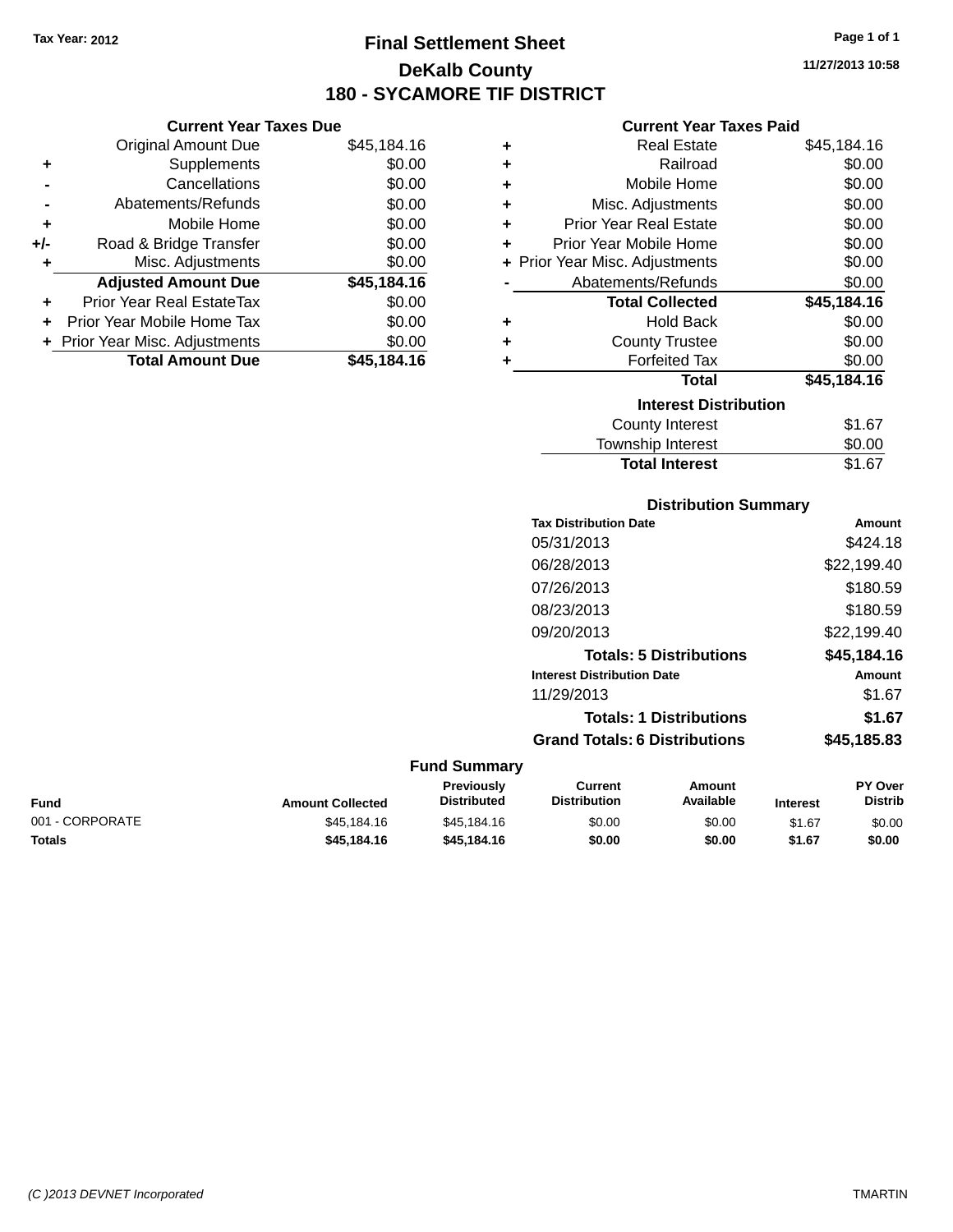# **Final Settlement Sheet Tax Year: 2012 Page 1 of 1 DeKalb County 180 - SYCAMORE TIF DISTRICT**

**11/27/2013 10:58**

#### **Current Year Taxes Paid**

|    | <b>Original Amount Due</b>       | \$45,184.16 | ٠ | <b>Real Estate</b>             | \$45,184.16 |
|----|----------------------------------|-------------|---|--------------------------------|-------------|
| ÷  | Supplements                      | \$0.00      | ٠ | Railroad                       | \$0.00      |
|    | Cancellations                    | \$0.00      | ٠ | Mobile Home                    | \$0.00      |
|    | Abatements/Refunds               | \$0.00      | ٠ | Misc. Adjustments              | \$0.00      |
| ٠  | Mobile Home                      | \$0.00      |   | <b>Prior Year Real Estate</b>  | \$0.00      |
| I- | Road & Bridge Transfer           | \$0.00      |   | Prior Year Mobile Home         | \$0.00      |
| ٠  | Misc. Adjustments                | \$0.00      |   | + Prior Year Misc. Adjustments | \$0.00      |
|    | <b>Adjusted Amount Due</b>       | \$45,184.16 |   | Abatements/Refunds             | \$0.00      |
| ٠  | <b>Prior Year Real EstateTax</b> | \$0.00      |   | <b>Total Collected</b>         | \$45,184.16 |
| ÷  | Prior Year Mobile Home Tax       | \$0.00      | ٠ | <b>Hold Back</b>               | \$0.00      |
|    | + Prior Year Misc. Adjustments   | \$0.00      | ٠ | <b>County Trustee</b>          | \$0.00      |
|    | <b>Total Amount Due</b>          | \$45,184.16 |   | <b>Forfeited Tax</b>           | \$0.00      |
|    |                                  |             |   | <b>Total</b>                   | \$45,184.16 |
|    |                                  |             |   | <b>Interest Distribution</b>   |             |
|    |                                  |             |   | County Interest                | \$1.67      |
|    |                                  |             |   | <b>Township Interest</b>       | \$0.00      |
|    |                                  |             |   | <b>Total Interest</b>          | \$167       |

|                  |                                  |                                       | <b>Total Interest</b>          | \$1.67                                |
|------------------|----------------------------------|---------------------------------------|--------------------------------|---------------------------------------|
|                  |                                  |                                       | <b>Distribution Summary</b>    |                                       |
|                  |                                  | <b>Tax Distribution Date</b>          |                                | Amount                                |
|                  |                                  | 05/31/2013                            |                                | \$424.18                              |
|                  |                                  | 06/28/2013                            |                                | \$22,199.40                           |
|                  |                                  | 07/26/2013                            |                                | \$180.59                              |
|                  |                                  | 08/23/2013                            |                                | \$180.59                              |
|                  |                                  | 09/20/2013                            |                                | \$22,199.40                           |
|                  |                                  |                                       | <b>Totals: 5 Distributions</b> | \$45,184.16                           |
|                  |                                  | <b>Interest Distribution Date</b>     |                                | <b>Amount</b>                         |
|                  |                                  | 11/29/2013                            |                                | \$1.67                                |
|                  |                                  |                                       | <b>Totals: 1 Distributions</b> | \$1.67                                |
|                  |                                  | <b>Grand Totals: 6 Distributions</b>  |                                | \$45,185.83                           |
|                  | <b>Fund Summary</b>              |                                       |                                |                                       |
| Amount Collected | Previously<br><b>Distributed</b> | <b>Current</b><br><b>Distribution</b> | <b>Amount</b><br>Available     | PY Over<br><b>Distrib</b><br>Interest |

| Fund            | <b>Amount Collected</b> | Previously<br><b>Distributed</b> | Current<br><b>Distribution</b> | Amount<br>Available | Interest | <b>PY Over</b><br><b>Distrib</b> |
|-----------------|-------------------------|----------------------------------|--------------------------------|---------------------|----------|----------------------------------|
| 001 - CORPORATE | \$45.184.16             | \$45,184.16                      | \$0.00                         | \$0.00              | \$1.67   | \$0.00                           |
| Totals          | \$45,184.16             | \$45.184.16                      | \$0.00                         | \$0.00              | \$1.67   | \$0.00                           |

### **-** Abatements/Refunds \$0.000 **+** Mobile Home \$0.000 **+/-** Road & Bridge Transfer \$0.000 **+** Road & Bridge Transfer<br> **+** Misc. Adjustments \$0.000 \$0.000 \$0.000 \$0.000 \$0.000 \$0.000 \$0.000 \$0.000 \$1.000 \$1.000 \$1.000 \$1.000 \$1.000 \$1.000 \$1.000 \$1.000 \$1.000 \$1.000 \$1.000 \$1. **+** Misc. Adjustments **Adjusted Amount Due \$45,184.16 +** Prior Year Real EstateTax \$0.000 **+** Prior Year Mobile Home Tax \$0.000 **+ Prior Year Misc. Adjustments \$0.000 \$0.000 \$0.000 \$0.000 \$0.000 \$0.000 \$0.000 \$0.000 \$0.000 \$0.000 \$0.000 \$0.000 \$0.000 \$0.000 \$0.000 \$0.000 \$0.000 \$0.000 \$0.000 \$0.000 \$0.000 \$0.000 \$0.000 \$0.000 \$1.000 \$1.000 \$1.000 \$**

**Current Year Taxes Due**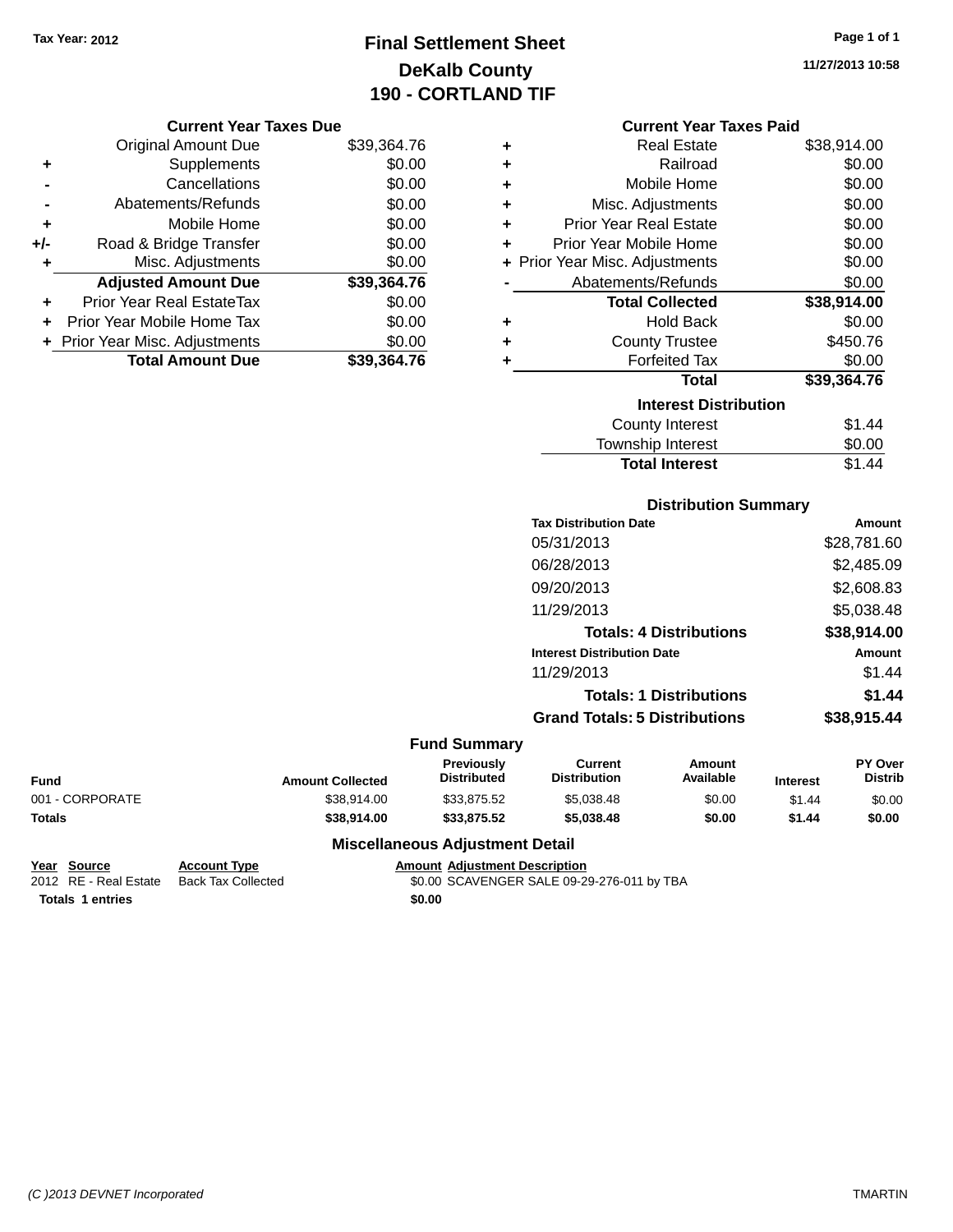# **Final Settlement Sheet Tax Year: 2012 Page 1 of 1 DeKalb County 190 - CORTLAND TIF**

**11/27/2013 10:58**

#### **Current Year Taxes Due**

|     | <b>Original Amount Due</b>       | \$39,364.76 |
|-----|----------------------------------|-------------|
| ٠   | Supplements                      | \$0.00      |
|     | Cancellations                    | \$0.00      |
|     | Abatements/Refunds               | \$0.00      |
| ٠   | Mobile Home                      | \$0.00      |
| +/- | Road & Bridge Transfer           | \$0.00      |
| ٠   | Misc. Adjustments                | \$0.00      |
|     | <b>Adjusted Amount Due</b>       | \$39,364.76 |
| ÷   | <b>Prior Year Real EstateTax</b> | \$0.00      |
|     | Prior Year Mobile Home Tax       | \$0.00      |
|     | + Prior Year Misc. Adjustments   | \$0.00      |
|     | <b>Total Amount Due</b>          | \$39.364.76 |

### **Current Year Taxes Paid**

| ٠ | Real Estate                    | \$38,914.00 |
|---|--------------------------------|-------------|
| ٠ | Railroad                       | \$0.00      |
| ÷ | Mobile Home                    | \$0.00      |
| ٠ | Misc. Adjustments              | \$0.00      |
| ٠ | Prior Year Real Estate         | \$0.00      |
| ٠ | Prior Year Mobile Home         | \$0.00      |
|   | + Prior Year Misc. Adjustments | \$0.00      |
|   | Abatements/Refunds             | \$0.00      |
|   | <b>Total Collected</b>         | \$38,914.00 |
| ٠ | <b>Hold Back</b>               | \$0.00      |
| ÷ | <b>County Trustee</b>          | \$450.76    |
| ٠ | <b>Forfeited Tax</b>           | \$0.00      |
|   | <b>Total</b>                   | \$39,364.76 |
|   | <b>Interest Distribution</b>   |             |
|   | <b>County Interest</b>         | \$1.44      |
|   | <b>Township Interest</b>       | \$0.00      |
|   | <b>Total Interest</b>          | \$1.44      |

### **Tax Distribution Date Amount** 05/31/2013 \$28,781.60 06/28/2013 \$2,485.09 09/20/2013 \$2,608.83 11/29/2013 \$5,038.48 **Totals: 4 Distributions \$38,914.00 Interest Distribution Date Amount** 11/29/2013 \$1.44 **Totals: 1 Distributions \$1.44 Grand Totals: 5 Distributions \$38,915.44**

**Distribution Summary**

#### **Fund Summary**

| <b>Fund</b>     | <b>Amount Collected</b> | <b>Previously</b><br><b>Distributed</b> | Current<br><b>Distribution</b> | Amount<br>Available | <b>Interest</b> | <b>PY Over</b><br><b>Distrib</b> |
|-----------------|-------------------------|-----------------------------------------|--------------------------------|---------------------|-----------------|----------------------------------|
| 001 - CORPORATE | \$38.914.00             | \$33.875.52                             | \$5.038.48                     | \$0.00              | \$1.44          | \$0.00                           |
| <b>Totals</b>   | \$38.914.00             | \$33,875.52                             | \$5.038.48                     | \$0.00              | \$1.44          | \$0.00                           |

#### **Miscellaneous Adjustment Detail**

**Totals 1 entries \$0.00**

**Year Source Account Type Amount Adjustment Description** \$0.00 SCAVENGER SALE 09-29-276-011 by TBA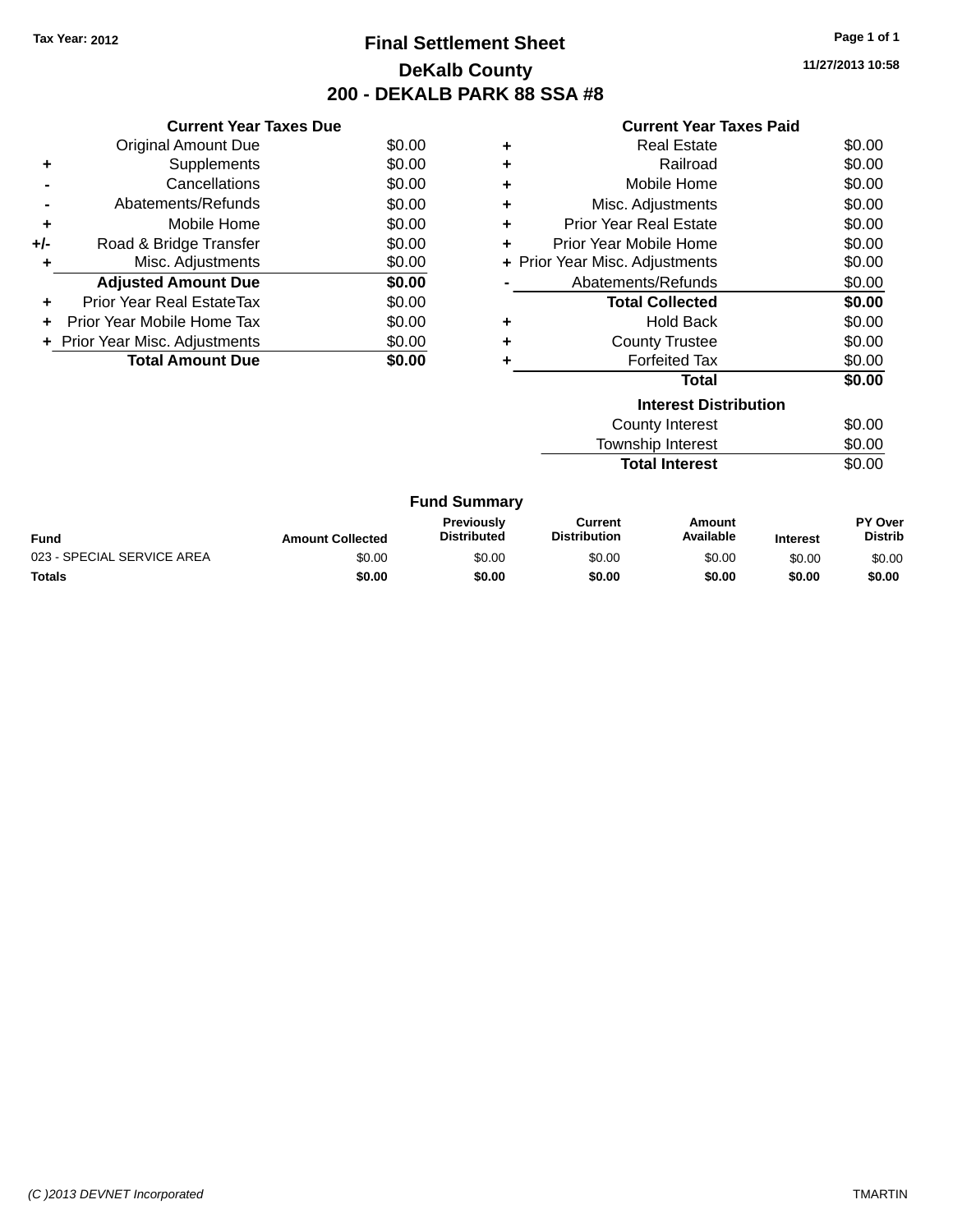# **Final Settlement Sheet Tax Year: 2012 Page 1 of 1 DeKalb County 200 - DEKALB PARK 88 SSA #8**

**11/27/2013 10:58**

| <b>Current Year Taxes Paid</b> |  |  |  |  |
|--------------------------------|--|--|--|--|
|--------------------------------|--|--|--|--|

|     | <b>Current Year Taxes Due</b>  |        |
|-----|--------------------------------|--------|
|     | <b>Original Amount Due</b>     | \$0.00 |
| ÷   | Supplements                    | \$0.00 |
|     | Cancellations                  | \$0.00 |
|     | Abatements/Refunds             | \$0.00 |
| ٠   | Mobile Home                    | \$0.00 |
| +/- | Road & Bridge Transfer         | \$0.00 |
| ٠   | Misc. Adjustments              | \$0.00 |
|     | <b>Adjusted Amount Due</b>     | \$0.00 |
| ٠   | Prior Year Real EstateTax      | \$0.00 |
|     | Prior Year Mobile Home Tax     | \$0.00 |
|     | + Prior Year Misc. Adjustments | \$0.00 |
|     |                                |        |
|     |                                |        |

| ٠ | <b>Real Estate</b>             | \$0.00 |
|---|--------------------------------|--------|
| ÷ | Railroad                       | \$0.00 |
| ÷ | Mobile Home                    | \$0.00 |
| ٠ | Misc. Adjustments              | \$0.00 |
| ٠ | <b>Prior Year Real Estate</b>  | \$0.00 |
| ٠ | Prior Year Mobile Home         | \$0.00 |
|   | + Prior Year Misc. Adjustments | \$0.00 |
|   | Abatements/Refunds             | \$0.00 |
|   | <b>Total Collected</b>         | \$0.00 |
| ٠ | <b>Hold Back</b>               | \$0.00 |
| ٠ | <b>County Trustee</b>          | \$0.00 |
| ٠ | <b>Forfeited Tax</b>           | \$0.00 |
|   |                                |        |
|   | Total                          | \$0.00 |
|   | <b>Interest Distribution</b>   |        |
|   | <b>County Interest</b>         | \$0.00 |

**Total Interest** \$0.00

| <b>Fund Summary</b>        |                         |                                         |                                |                     |                 |                           |
|----------------------------|-------------------------|-----------------------------------------|--------------------------------|---------------------|-----------------|---------------------------|
| Fund                       | <b>Amount Collected</b> | <b>Previously</b><br><b>Distributed</b> | Current<br><b>Distribution</b> | Amount<br>Available | <b>Interest</b> | PY Over<br><b>Distrib</b> |
| 023 - SPECIAL SERVICE AREA | \$0.00                  | \$0.00                                  | \$0.00                         | \$0.00              | \$0.00          | \$0.00                    |
| <b>Totals</b>              | \$0.00                  | \$0.00                                  | \$0.00                         | \$0.00              | \$0.00          | \$0.00                    |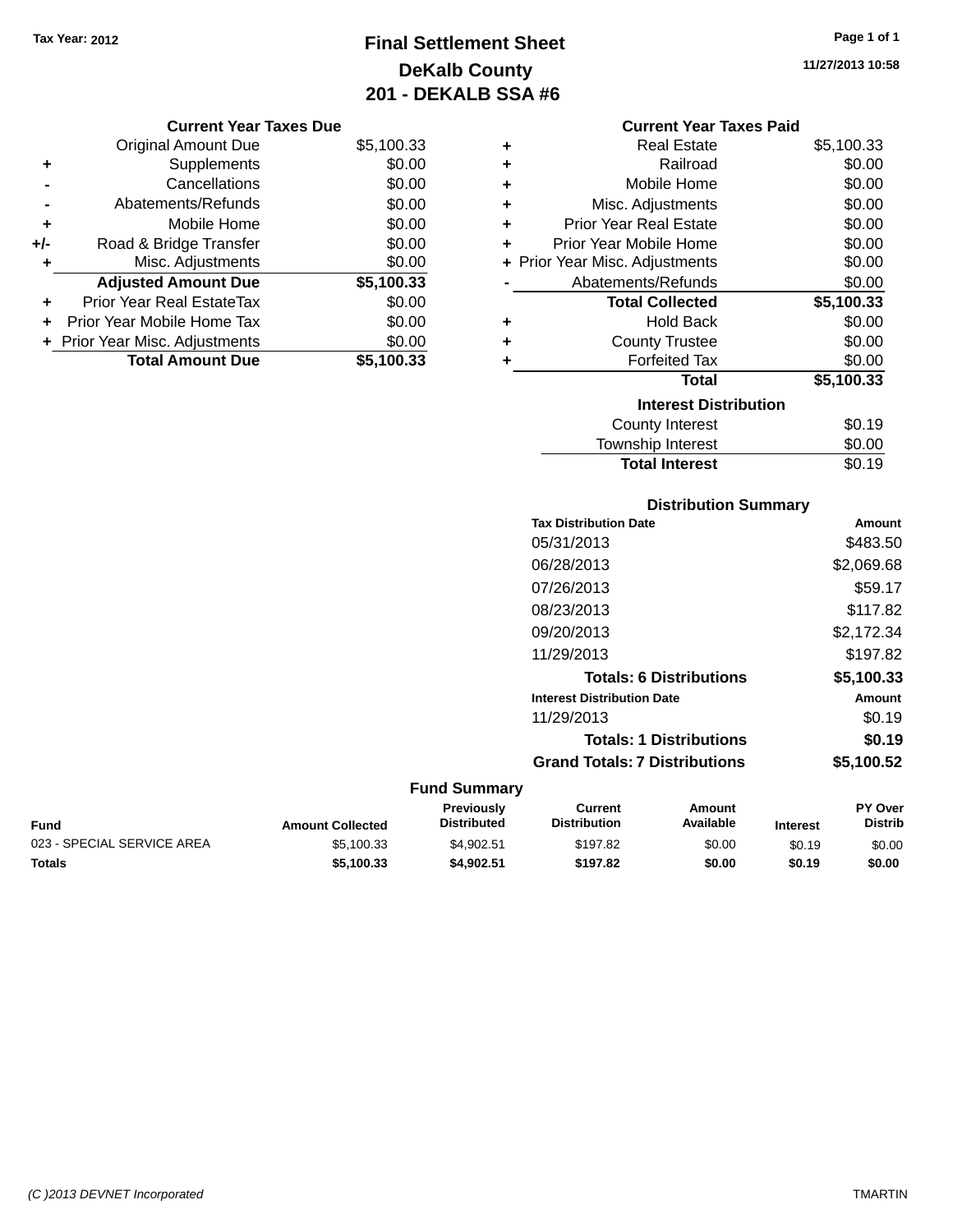# **Final Settlement Sheet Tax Year: 2012 Page 1 of 1 DeKalb County 201 - DEKALB SSA #6**

**11/27/2013 10:58**

|     | <b>Original Amount Due</b>     | \$5,100.33 |
|-----|--------------------------------|------------|
| ٠   | Supplements                    | \$0.00     |
|     | Cancellations                  | \$0.00     |
|     | Abatements/Refunds             | \$0.00     |
| ٠   | Mobile Home                    | \$0.00     |
| +/- | Road & Bridge Transfer         | \$0.00     |
| ٠   | Misc. Adjustments              | \$0.00     |
|     | <b>Adjusted Amount Due</b>     | \$5,100.33 |
| ÷   | Prior Year Real EstateTax      | \$0.00     |
|     | Prior Year Mobile Home Tax     | \$0.00     |
|     | + Prior Year Misc. Adjustments | \$0.00     |
|     | <b>Total Amount Due</b>        | \$5,100.33 |

| <b>Current Year Taxes Paid</b> |  |  |  |
|--------------------------------|--|--|--|
|--------------------------------|--|--|--|

| ٠ | Real Estate                    | \$5,100.33 |
|---|--------------------------------|------------|
| ÷ | Railroad                       | \$0.00     |
| ÷ | Mobile Home                    | \$0.00     |
| ÷ | Misc. Adjustments              | \$0.00     |
| ÷ | <b>Prior Year Real Estate</b>  | \$0.00     |
| ٠ | Prior Year Mobile Home         | \$0.00     |
|   | + Prior Year Misc. Adjustments | \$0.00     |
|   | Abatements/Refunds             | \$0.00     |
|   | <b>Total Collected</b>         | \$5,100.33 |
| ٠ | <b>Hold Back</b>               | \$0.00     |
| ÷ | <b>County Trustee</b>          | \$0.00     |
| ٠ | <b>Forfeited Tax</b>           | \$0.00     |
|   | <b>Total</b>                   | \$5,100.33 |
|   | <b>Interest Distribution</b>   |            |
|   | <b>County Interest</b>         | \$0.19     |
|   | <b>Township Interest</b>       | \$0.00     |
|   | <b>Total Interest</b>          | \$0.19     |

| <b>Distribution Summary</b>          |            |  |  |  |  |
|--------------------------------------|------------|--|--|--|--|
| <b>Tax Distribution Date</b>         | Amount     |  |  |  |  |
| 05/31/2013                           | \$483.50   |  |  |  |  |
| 06/28/2013                           | \$2,069.68 |  |  |  |  |
| 07/26/2013                           | \$59.17    |  |  |  |  |
| 08/23/2013                           | \$117.82   |  |  |  |  |
| 09/20/2013                           | \$2,172.34 |  |  |  |  |
| 11/29/2013                           | \$197.82   |  |  |  |  |
| <b>Totals: 6 Distributions</b>       | \$5,100.33 |  |  |  |  |
| <b>Interest Distribution Date</b>    | Amount     |  |  |  |  |
| 11/29/2013                           | \$0.19     |  |  |  |  |
| <b>Totals: 1 Distributions</b>       | \$0.19     |  |  |  |  |
| <b>Grand Totals: 7 Distributions</b> | \$5,100.52 |  |  |  |  |

### **Fund Summary**

| Fund                       | <b>Amount Collected</b> | <b>Previously</b><br><b>Distributed</b> | Current<br><b>Distribution</b> | Amount<br>Available | <b>Interest</b> | <b>PY Over</b><br><b>Distrib</b> |
|----------------------------|-------------------------|-----------------------------------------|--------------------------------|---------------------|-----------------|----------------------------------|
| 023 - SPECIAL SERVICE AREA | \$5.100.33              | \$4.902.51                              | \$197.82                       | \$0.00              | \$0.19          | \$0.00                           |
| Totals                     | \$5,100,33              | \$4.902.51                              | \$197.82                       | \$0.00              | \$0.19          | \$0.00                           |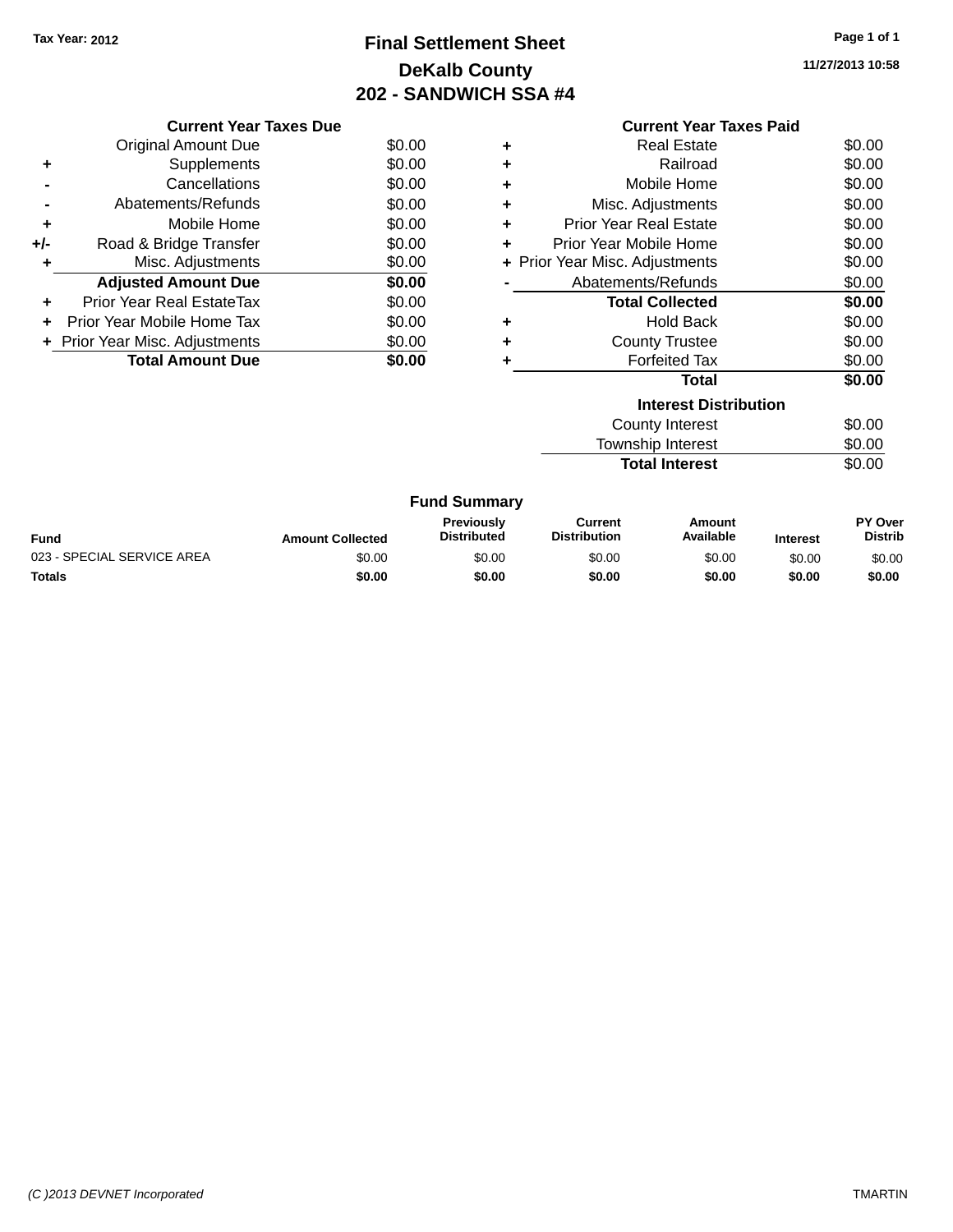# **Final Settlement Sheet Tax Year: 2012 Page 1 of 1 DeKalb County 202 - SANDWICH SSA #4**

**11/27/2013 10:58**

|     | <b>Current Year Taxes Due</b>    |        |  |  |  |
|-----|----------------------------------|--------|--|--|--|
|     | <b>Original Amount Due</b>       | \$0.00 |  |  |  |
| ÷   | Supplements                      | \$0.00 |  |  |  |
|     | Cancellations                    | \$0.00 |  |  |  |
|     | Abatements/Refunds               | \$0.00 |  |  |  |
| ٠   | Mobile Home                      | \$0.00 |  |  |  |
| +/- | Road & Bridge Transfer           | \$0.00 |  |  |  |
|     | Misc. Adjustments                | \$0.00 |  |  |  |
|     | <b>Adjusted Amount Due</b>       | \$0.00 |  |  |  |
|     | <b>Prior Year Real EstateTax</b> | \$0.00 |  |  |  |
|     | Prior Year Mobile Home Tax       | \$0.00 |  |  |  |
|     | + Prior Year Misc. Adjustments   | \$0.00 |  |  |  |
|     | <b>Total Amount Due</b>          | \$0.00 |  |  |  |
|     |                                  |        |  |  |  |

|   | <b>Current Year Taxes Paid</b> |        |
|---|--------------------------------|--------|
| ٠ | Real Estate                    | \$0.00 |
| ٠ | Railroad                       | \$0.00 |
| ÷ | Mobile Home                    | \$0.00 |
| ٠ | Misc. Adjustments              | \$0.00 |
| ٠ | <b>Prior Year Real Estate</b>  | \$0.00 |
| ٠ | Prior Year Mobile Home         | \$0.00 |
|   | + Prior Year Misc. Adjustments | \$0.00 |
|   | Abatements/Refunds             | \$0.00 |
|   | <b>Total Collected</b>         | \$0.00 |
| ٠ | Hold Back                      | \$0.00 |
| ٠ | <b>County Trustee</b>          | \$0.00 |
| ÷ | <b>Forfeited Tax</b>           | \$0.00 |
|   | Total                          | \$0.00 |
|   | <b>Interest Distribution</b>   |        |
|   | <b>County Interest</b>         | \$0.00 |
|   | Township Interest              | \$0.00 |

Total Interest \$0.00

|  | <b>Fund Summary</b> |
|--|---------------------|
|--|---------------------|

| <b>Fund</b>                | <b>Amount Collected</b> | <b>Previously</b><br><b>Distributed</b> | Current<br><b>Distribution</b> | Amount<br>Available | <b>Interest</b> | <b>PY Over</b><br><b>Distrib</b> |
|----------------------------|-------------------------|-----------------------------------------|--------------------------------|---------------------|-----------------|----------------------------------|
| 023 - SPECIAL SERVICE AREA | \$0.00                  | \$0.00                                  | \$0.00                         | \$0.00              | \$0.00          | \$0.00                           |
| Totals                     | \$0.00                  | \$0.00                                  | \$0.00                         | \$0.00              | \$0.00          | \$0.00                           |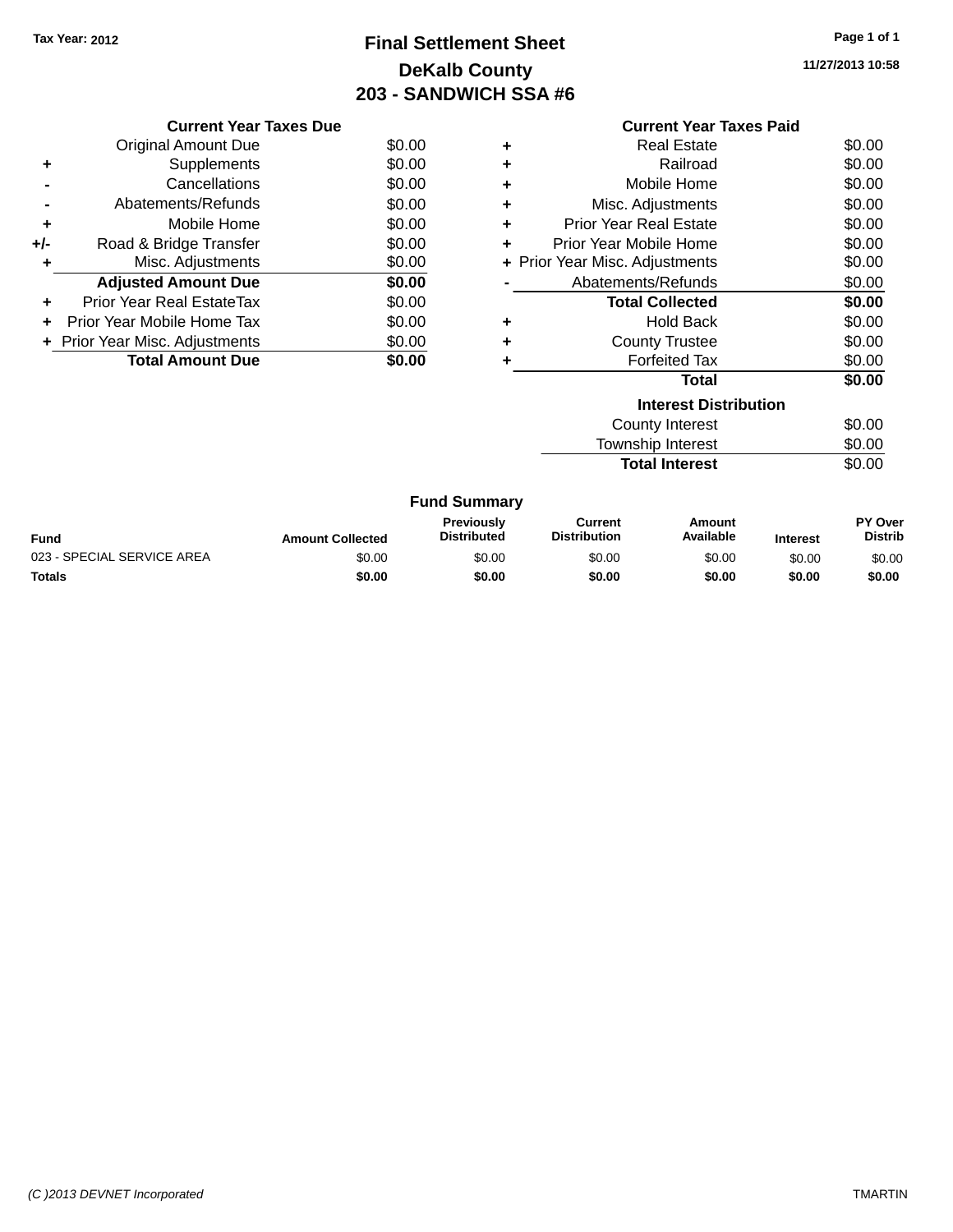# **Final Settlement Sheet Tax Year: 2012 Page 1 of 1 DeKalb County 203 - SANDWICH SSA #6**

**11/27/2013 10:58**

|     | <b>Current Year Taxes Due</b>    |        |  |  |  |
|-----|----------------------------------|--------|--|--|--|
|     | Original Amount Due              | \$0.00 |  |  |  |
| ٠   | Supplements                      | \$0.00 |  |  |  |
|     | Cancellations                    | \$0.00 |  |  |  |
|     | Abatements/Refunds               | \$0.00 |  |  |  |
| ٠   | Mobile Home                      | \$0.00 |  |  |  |
| +/- | Road & Bridge Transfer           | \$0.00 |  |  |  |
|     | Misc. Adjustments                | \$0.00 |  |  |  |
|     | <b>Adjusted Amount Due</b>       | \$0.00 |  |  |  |
| ٠   | <b>Prior Year Real EstateTax</b> | \$0.00 |  |  |  |
|     | Prior Year Mobile Home Tax       | \$0.00 |  |  |  |
|     | + Prior Year Misc. Adjustments   | \$0.00 |  |  |  |
|     | <b>Total Amount Due</b>          | \$0.00 |  |  |  |
|     |                                  |        |  |  |  |

|   | <b>Current Year Taxes Paid</b> |        |
|---|--------------------------------|--------|
| ٠ | Real Estate                    | \$0.00 |
| ÷ | Railroad                       | \$0.00 |
| ÷ | Mobile Home                    | \$0.00 |
| ٠ | Misc. Adjustments              | \$0.00 |
| ÷ | Prior Year Real Estate         | \$0.00 |
| ÷ | Prior Year Mobile Home         | \$0.00 |
|   | + Prior Year Misc. Adjustments | \$0.00 |
|   | Abatements/Refunds             | \$0.00 |
|   | <b>Total Collected</b>         | \$0.00 |
| ÷ | <b>Hold Back</b>               | \$0.00 |
| ٠ | <b>County Trustee</b>          | \$0.00 |
|   | <b>Forfeited Tax</b>           | \$0.00 |
|   | <b>Total</b>                   | \$0.00 |
|   | <b>Interest Distribution</b>   |        |
|   | <b>County Interest</b>         | \$0.00 |
|   | <b>Township Interest</b>       | \$0.00 |

Total Interest \$0.00

| <b>Fund Summary</b> |  |
|---------------------|--|
|---------------------|--|

| <b>Fund</b>                | <b>Amount Collected</b> | <b>Previously</b><br><b>Distributed</b> | Current<br><b>Distribution</b> | Amount<br>Available | <b>Interest</b> | <b>PY Over</b><br><b>Distrib</b> |
|----------------------------|-------------------------|-----------------------------------------|--------------------------------|---------------------|-----------------|----------------------------------|
| 023 - SPECIAL SERVICE AREA | \$0.00                  | \$0.00                                  | \$0.00                         | \$0.00              | \$0.00          | \$0.00                           |
| Totals                     | \$0.00                  | \$0.00                                  | \$0.00                         | \$0.00              | \$0.00          | \$0.00                           |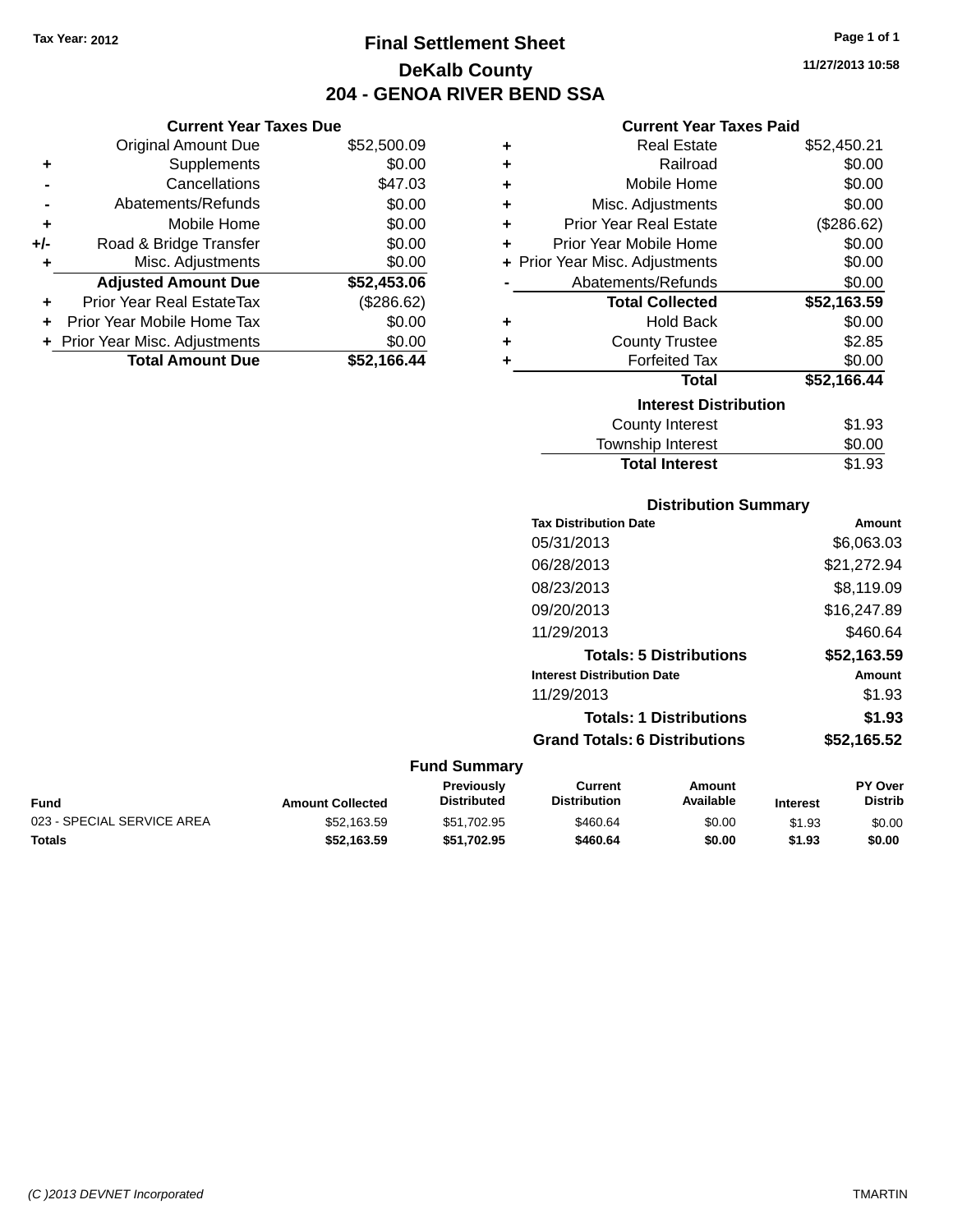**Current Year Taxes Due** Original Amount Due \$52,500.09

**Adjusted Amount Due \$52,453.06**

**Total Amount Due \$52,166.44**

**+** Supplements \$0.00 **-** Cancellations \$47.03 **-** Abatements/Refunds \$0.00 **+** Mobile Home \$0.00 **+/-** Road & Bridge Transfer \$0.00 **+** Misc. Adjustments \$0.00

**+** Prior Year Real EstateTax (\$286.62) **+** Prior Year Mobile Home Tax \$0.00 **+ Prior Year Misc. Adjustments**  $$0.00$ 

# **Final Settlement Sheet Tax Year: 2012 Page 1 of 1 DeKalb County 204 - GENOA RIVER BEND SSA**

**11/27/2013 10:58**

#### **Current Year Taxes Paid**

| ٠ | <b>Real Estate</b>             | \$52,450.21 |
|---|--------------------------------|-------------|
| ٠ | Railroad                       | \$0.00      |
| ÷ | Mobile Home                    | \$0.00      |
| ÷ | Misc. Adjustments              | \$0.00      |
| ÷ | <b>Prior Year Real Estate</b>  | (\$286.62)  |
| ÷ | Prior Year Mobile Home         | \$0.00      |
|   | + Prior Year Misc. Adjustments | \$0.00      |
|   | Abatements/Refunds             | \$0.00      |
|   | <b>Total Collected</b>         | \$52,163.59 |
| ٠ | <b>Hold Back</b>               | \$0.00      |
| ٠ | <b>County Trustee</b>          | \$2.85      |
| ÷ | <b>Forfeited Tax</b>           | \$0.00      |
|   | Total                          | \$52,166.44 |
|   | <b>Interest Distribution</b>   |             |
|   | <b>County Interest</b>         | \$1.93      |
|   | <b>Township Interest</b>       | \$0.00      |
|   | <b>Total Interest</b>          | \$1.93      |

|                            |                         |                                  | <b>Distribution Summary</b>           |                                |                 |                                  |
|----------------------------|-------------------------|----------------------------------|---------------------------------------|--------------------------------|-----------------|----------------------------------|
|                            |                         |                                  | <b>Tax Distribution Date</b>          |                                |                 | Amount                           |
|                            |                         |                                  | 05/31/2013                            |                                |                 | \$6,063.03                       |
|                            |                         |                                  | 06/28/2013                            |                                |                 | \$21,272.94                      |
|                            |                         |                                  | 08/23/2013                            |                                |                 | \$8,119.09                       |
|                            |                         |                                  | 09/20/2013                            |                                |                 | \$16,247.89                      |
|                            |                         |                                  | 11/29/2013                            |                                |                 | \$460.64                         |
|                            |                         |                                  |                                       | <b>Totals: 5 Distributions</b> |                 | \$52,163.59                      |
|                            |                         |                                  | <b>Interest Distribution Date</b>     |                                |                 | Amount                           |
|                            |                         |                                  | 11/29/2013                            |                                |                 | \$1.93                           |
|                            |                         |                                  |                                       | <b>Totals: 1 Distributions</b> |                 | \$1.93                           |
|                            |                         |                                  | <b>Grand Totals: 6 Distributions</b>  |                                |                 | \$52,165.52                      |
|                            |                         | <b>Fund Summary</b>              |                                       |                                |                 |                                  |
| <b>Fund</b>                | <b>Amount Collected</b> | Previously<br><b>Distributed</b> | <b>Current</b><br><b>Distribution</b> | Amount<br>Available            | <b>Interest</b> | <b>PY Over</b><br><b>Distrib</b> |
| 023 - SPECIAL SERVICE AREA | \$52,163.59             | \$51,702.95                      | \$460.64                              | \$0.00                         | \$1.93          | \$0.00                           |

**Totals \$52,163.59 \$51,702.95 \$460.64 \$0.00 \$1.93 \$0.00**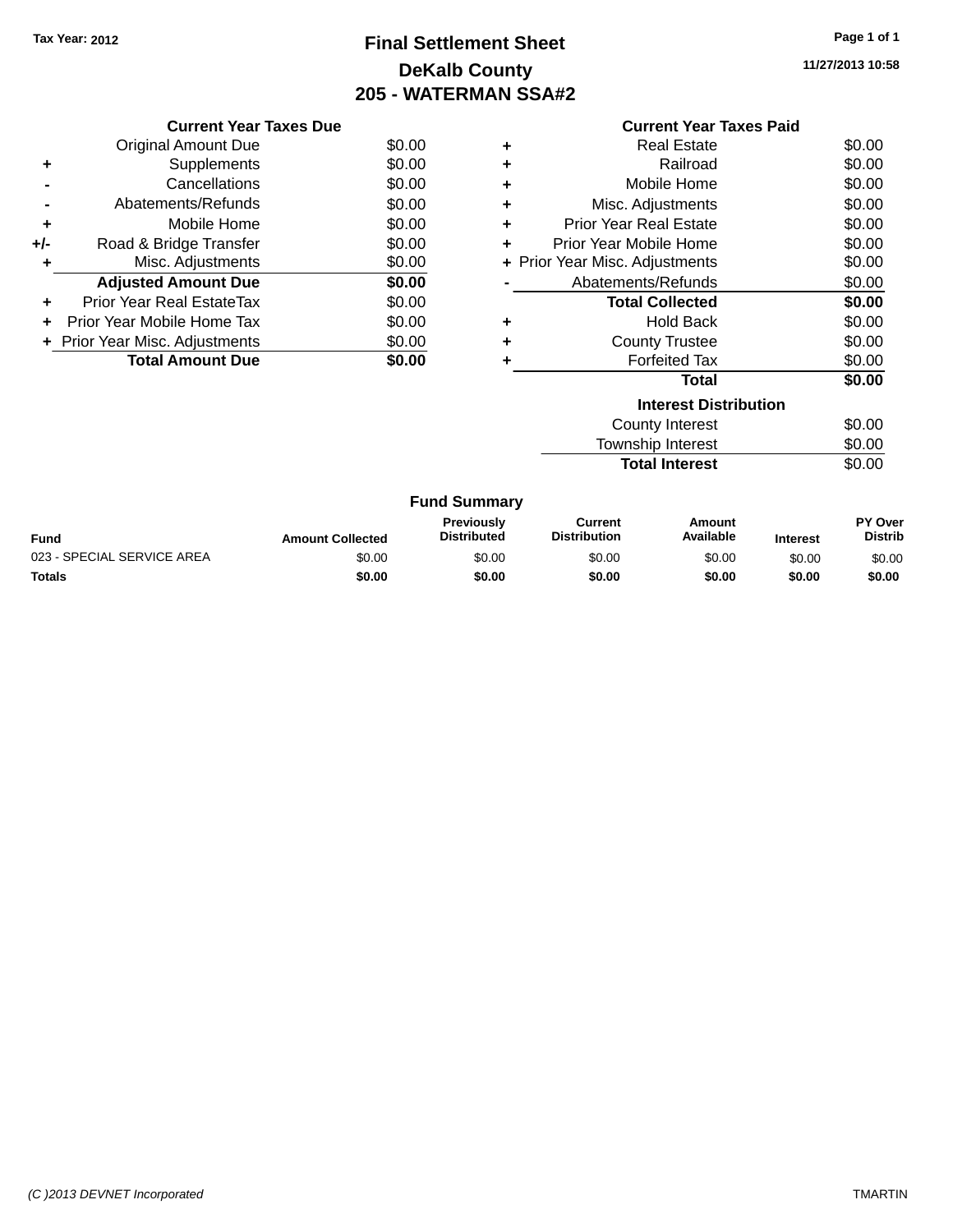# **Final Settlement Sheet Tax Year: 2012 Page 1 of 1 DeKalb County 205 - WATERMAN SSA#2**

**11/27/2013 10:58**

|     | <b>Current Year Taxes Due</b>     |        |  |  |  |  |
|-----|-----------------------------------|--------|--|--|--|--|
|     | \$0.00<br>Original Amount Due     |        |  |  |  |  |
|     | Supplements                       | \$0.00 |  |  |  |  |
|     | Cancellations                     | \$0.00 |  |  |  |  |
|     | Abatements/Refunds                | \$0.00 |  |  |  |  |
| ٠   | Mobile Home                       | \$0.00 |  |  |  |  |
| +/- | Road & Bridge Transfer            | \$0.00 |  |  |  |  |
|     | Misc. Adjustments                 | \$0.00 |  |  |  |  |
|     | <b>Adjusted Amount Due</b>        | \$0.00 |  |  |  |  |
|     | Prior Year Real EstateTax         | \$0.00 |  |  |  |  |
|     | Prior Year Mobile Home Tax        | \$0.00 |  |  |  |  |
|     | + Prior Year Misc. Adjustments    | \$0.00 |  |  |  |  |
|     | <b>Total Amount Due</b><br>\$0.00 |        |  |  |  |  |
|     |                                   |        |  |  |  |  |

|   | <b>Current Year Taxes Paid</b> |        |  |  |  |  |
|---|--------------------------------|--------|--|--|--|--|
| ÷ | Real Estate                    | \$0.00 |  |  |  |  |
| ٠ | Railroad                       | \$0.00 |  |  |  |  |
| ÷ | Mobile Home                    | \$0.00 |  |  |  |  |
| ÷ | Misc. Adjustments              | \$0.00 |  |  |  |  |
| ÷ | <b>Prior Year Real Estate</b>  | \$0.00 |  |  |  |  |
| ÷ | Prior Year Mobile Home         | \$0.00 |  |  |  |  |
|   | + Prior Year Misc. Adjustments | \$0.00 |  |  |  |  |
|   | Abatements/Refunds             | \$0.00 |  |  |  |  |
|   | <b>Total Collected</b>         | \$0.00 |  |  |  |  |
| ÷ | Hold Back                      | \$0.00 |  |  |  |  |
| ÷ | <b>County Trustee</b>          | \$0.00 |  |  |  |  |
|   | <b>Forfeited Tax</b>           | \$0.00 |  |  |  |  |
|   | Total                          | \$0.00 |  |  |  |  |
|   | <b>Interest Distribution</b>   |        |  |  |  |  |
|   | County Interest                | \$0.00 |  |  |  |  |
|   | <b>Township Interest</b>       | \$0.00 |  |  |  |  |

**Total Interest** \$0.00

|  | <b>Fund Summary</b> |
|--|---------------------|
|--|---------------------|

| <b>Fund</b>                | <b>Amount Collected</b> | <b>Previously</b><br><b>Distributed</b> | Current<br><b>Distribution</b> | Amount<br>Available | <b>Interest</b> | <b>PY Over</b><br><b>Distrib</b> |
|----------------------------|-------------------------|-----------------------------------------|--------------------------------|---------------------|-----------------|----------------------------------|
| 023 - SPECIAL SERVICE AREA | \$0.00                  | \$0.00                                  | \$0.00                         | \$0.00              | \$0.00          | \$0.00                           |
| Totals                     | \$0.00                  | \$0.00                                  | \$0.00                         | \$0.00              | \$0.00          | \$0.00                           |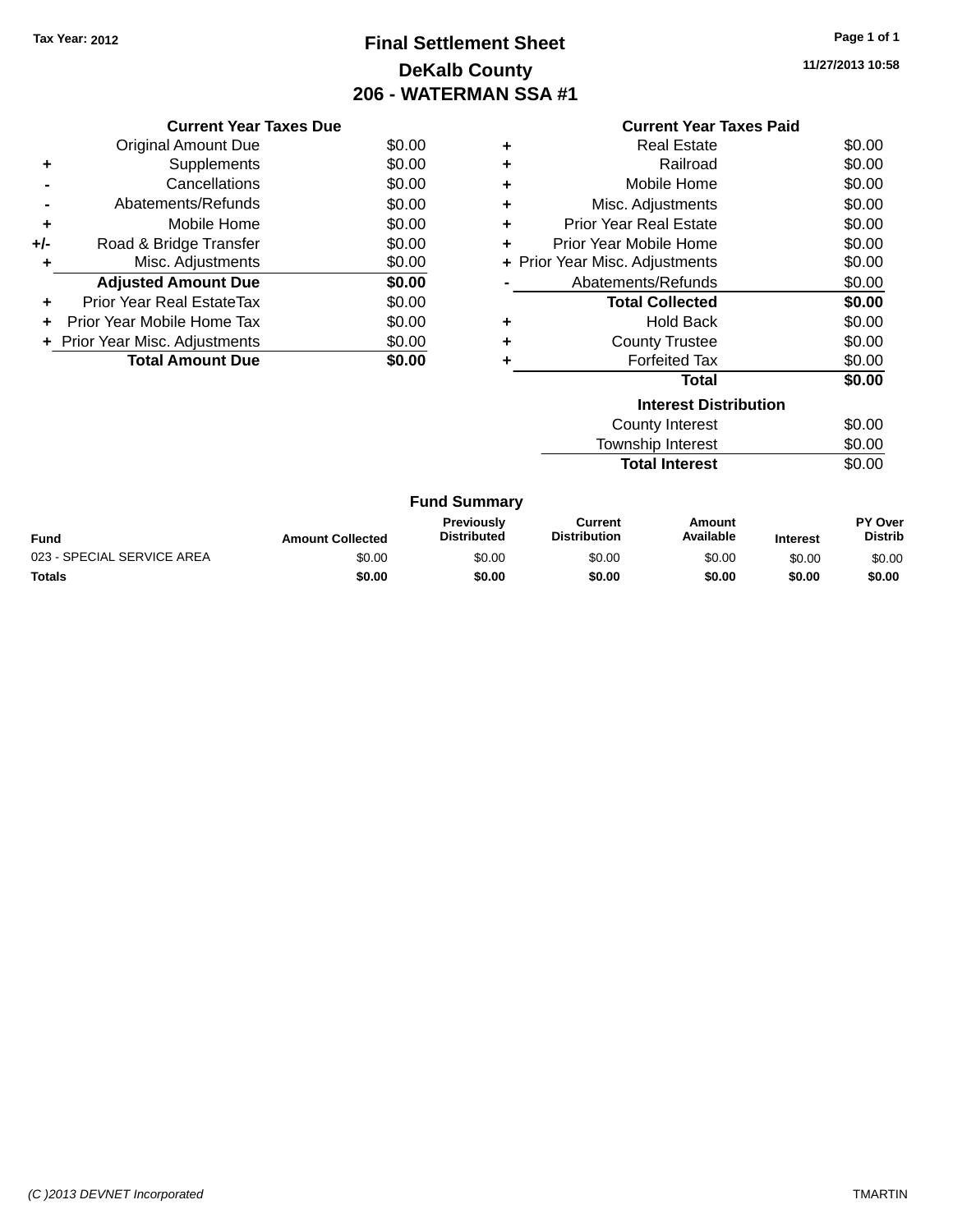# **Final Settlement Sheet Tax Year: 2012 Page 1 of 1 DeKalb County 206 - WATERMAN SSA #1**

**11/27/2013 10:58**

|     | <b>Current Year Taxes Due</b>  |        |  |  |  |  |
|-----|--------------------------------|--------|--|--|--|--|
|     | Original Amount Due            | \$0.00 |  |  |  |  |
| ٠   | Supplements                    | \$0.00 |  |  |  |  |
|     | Cancellations                  | \$0.00 |  |  |  |  |
|     | Abatements/Refunds             | \$0.00 |  |  |  |  |
| ٠   | Mobile Home                    | \$0.00 |  |  |  |  |
| +/- | Road & Bridge Transfer         | \$0.00 |  |  |  |  |
| ٠   | Misc. Adjustments              | \$0.00 |  |  |  |  |
|     | <b>Adjusted Amount Due</b>     | \$0.00 |  |  |  |  |
| ٠   | Prior Year Real EstateTax      | \$0.00 |  |  |  |  |
|     | Prior Year Mobile Home Tax     | \$0.00 |  |  |  |  |
|     | + Prior Year Misc. Adjustments | \$0.00 |  |  |  |  |
|     | <b>Total Amount Due</b>        | \$0.00 |  |  |  |  |
|     |                                |        |  |  |  |  |

|   | <b>Current Year Taxes Paid</b> |        |
|---|--------------------------------|--------|
| ÷ | Real Estate                    | \$0.00 |
|   | Railroad                       | \$0.00 |
| ÷ |                                |        |
| ÷ | Mobile Home                    | \$0.00 |
| ÷ | Misc. Adjustments              | \$0.00 |
| ٠ | <b>Prior Year Real Estate</b>  | \$0.00 |
| ÷ | Prior Year Mobile Home         | \$0.00 |
|   | + Prior Year Misc. Adjustments | \$0.00 |
|   | Abatements/Refunds             | \$0.00 |
|   | <b>Total Collected</b>         | \$0.00 |
| ٠ | <b>Hold Back</b>               | \$0.00 |
| ٠ | <b>County Trustee</b>          | \$0.00 |
| ٠ | <b>Forfeited Tax</b>           | \$0.00 |
|   | <b>Total</b>                   | \$0.00 |
|   | <b>Interest Distribution</b>   |        |
|   | <b>County Interest</b>         | \$0.00 |
|   | <b>Township Interest</b>       | \$0.00 |
|   | <b>Total Interest</b>          | \$0.00 |

| <b>Fund Summary</b>        |                         |                                  |                                |                     |                 |                                  |
|----------------------------|-------------------------|----------------------------------|--------------------------------|---------------------|-----------------|----------------------------------|
| Fund                       | <b>Amount Collected</b> | Previously<br><b>Distributed</b> | Current<br><b>Distribution</b> | Amount<br>Available | <b>Interest</b> | <b>PY Over</b><br><b>Distrib</b> |
| 023 - SPECIAL SERVICE AREA | \$0.00                  | \$0.00                           | \$0.00                         | \$0.00              | \$0.00          | \$0.00                           |
| <b>Totals</b>              | \$0.00                  | \$0.00                           | \$0.00                         | \$0.00              | \$0.00          | \$0.00                           |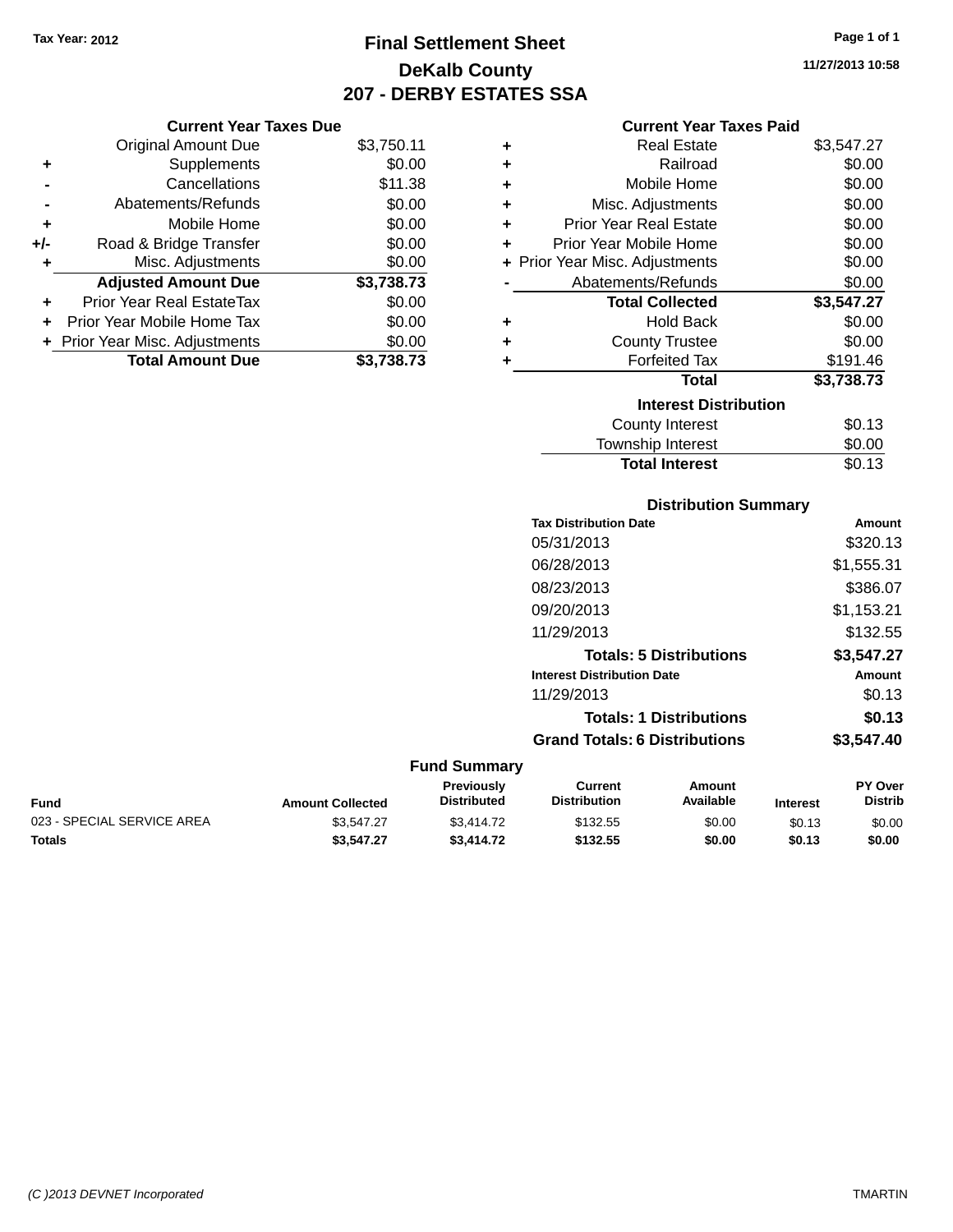# **Final Settlement Sheet Tax Year: 2012 Page 1 of 1 DeKalb County 207 - DERBY ESTATES SSA**

**11/27/2013 10:58**

#### **Current Year Taxes Paid**

|     | <b>Current Year Taxes Due</b>  |            |         |
|-----|--------------------------------|------------|---------|
|     | <b>Original Amount Due</b>     | \$3,750.11 | ٠       |
|     | Supplements                    | \$0.00     | ٠       |
|     | Cancellations                  | \$11.38    | ٠       |
|     | Abatements/Refunds             | \$0.00     | ٠       |
|     | Mobile Home                    | \$0.00     | ٠       |
| +/- | Road & Bridge Transfer         | \$0.00     |         |
|     | Misc. Adjustments              | \$0.00     | + Prior |
|     | <b>Adjusted Amount Due</b>     | \$3,738.73 |         |
|     | Prior Year Real EstateTax      | \$0.00     |         |
|     | Prior Year Mobile Home Tax     | \$0.00     |         |
|     | + Prior Year Misc. Adjustments | \$0.00     |         |
|     | <b>Total Amount Due</b>        | \$3,738.73 |         |
|     |                                |            |         |

| ٠                            | Real Estate                    | \$3,547.27 |  |  |  |  |
|------------------------------|--------------------------------|------------|--|--|--|--|
| ٠                            | Railroad                       | \$0.00     |  |  |  |  |
| ٠                            | Mobile Home                    | \$0.00     |  |  |  |  |
| ٠                            | Misc. Adjustments              | \$0.00     |  |  |  |  |
| ٠                            | <b>Prior Year Real Estate</b>  | \$0.00     |  |  |  |  |
| ٠                            | Prior Year Mobile Home         | \$0.00     |  |  |  |  |
|                              | + Prior Year Misc. Adjustments | \$0.00     |  |  |  |  |
|                              | Abatements/Refunds             | \$0.00     |  |  |  |  |
|                              | <b>Total Collected</b>         | \$3,547.27 |  |  |  |  |
| ٠                            | <b>Hold Back</b>               | \$0.00     |  |  |  |  |
| ٠                            | <b>County Trustee</b>          | \$0.00     |  |  |  |  |
| ٠                            | <b>Forfeited Tax</b>           | \$191.46   |  |  |  |  |
|                              | <b>Total</b>                   | \$3,738.73 |  |  |  |  |
| <b>Interest Distribution</b> |                                |            |  |  |  |  |
|                              | <b>County Interest</b>         | \$0.13     |  |  |  |  |
|                              | <b>Township Interest</b>       | \$0.00     |  |  |  |  |
|                              | <b>Total Interest</b>          | \$0.13     |  |  |  |  |

### **Distribution Summary Tax Distribution Date Amount** 05/31/2013 \$320.13 06/28/2013 \$1,555.31 08/23/2013 \$386.07 09/20/2013 \$1,153.21 11/29/2013 \$132.55 **Totals: 5 Distributions \$3,547.27 Interest Distribution Date Amount** 11/29/2013 \$0.13 **Totals: 1 Distributions \$0.13 Grand Totals: 6 Distributions \$3,547.40 Fund Summary**

| <b>Fund</b>                | <b>Amount Collected</b> | <b>Previously</b><br><b>Distributed</b> | Current<br><b>Distribution</b> | Amount<br>Available | <b>Interest</b> | <b>PY Over</b><br><b>Distrib</b> |
|----------------------------|-------------------------|-----------------------------------------|--------------------------------|---------------------|-----------------|----------------------------------|
| 023 - SPECIAL SERVICE AREA | \$3.547.27              | \$3,414.72                              | \$132.55                       | \$0.00              | \$0.13          | \$0.00                           |
| <b>Totals</b>              | \$3,547.27              | \$3,414.72                              | \$132.55                       | \$0.00              | \$0.13          | \$0.00                           |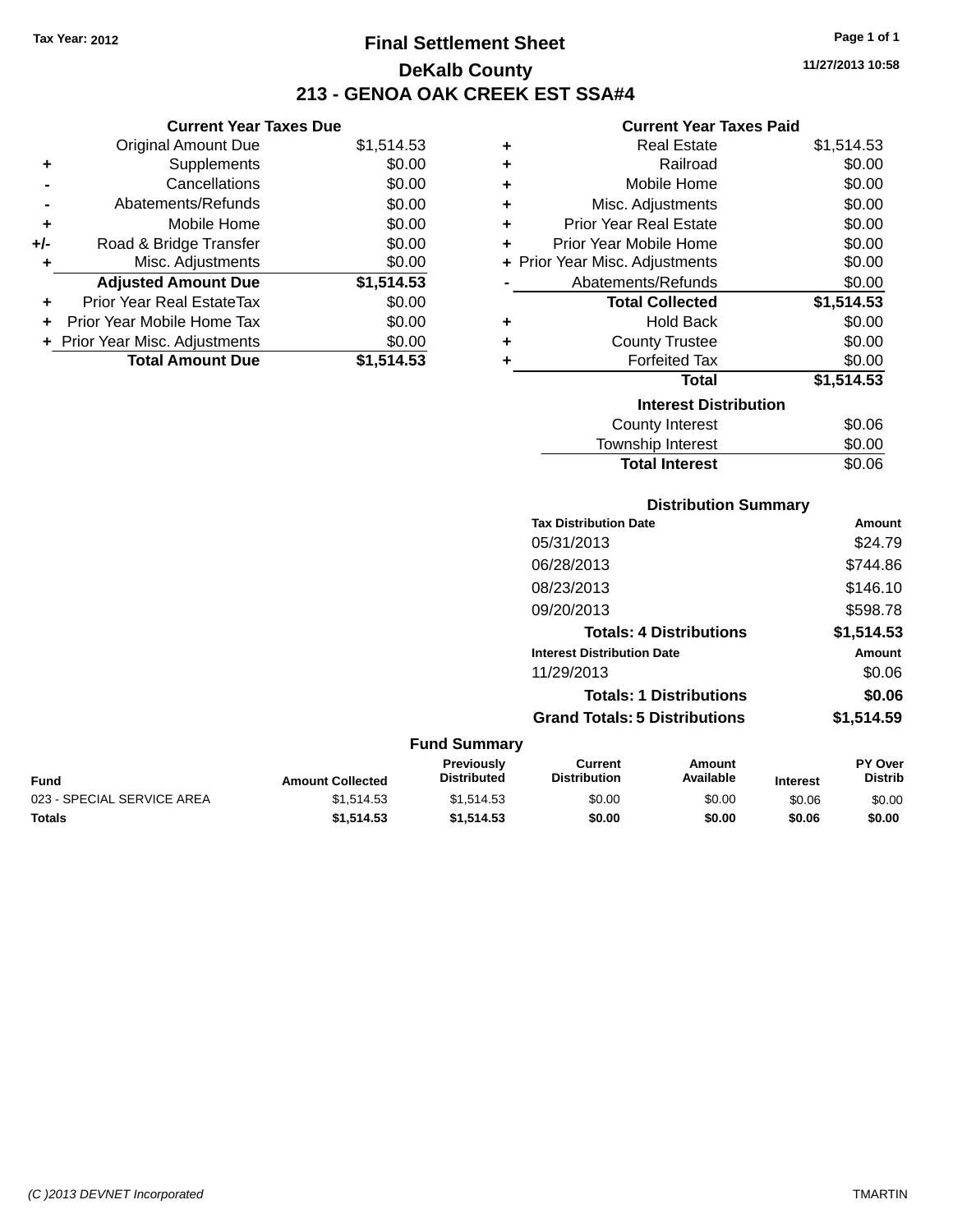**Current Year Taxes Due** Original Amount Due \$1,514.53

**Adjusted Amount Due \$1,514.53**

**Total Amount Due \$1,514.53**

**+** Supplements \$0.00 **-** Cancellations \$0.00 **-** Abatements/Refunds \$0.00 **+** Mobile Home \$0.00 **+/-** Road & Bridge Transfer \$0.00 **+** Misc. Adjustments \$0.00

**+** Prior Year Real EstateTax \$0.00 **+** Prior Year Mobile Home Tax \$0.00 **+ Prior Year Misc. Adjustments**  $$0.00$ 

# **Final Settlement Sheet Tax Year: 2012 Page 1 of 1 DeKalb County 213 - GENOA OAK CREEK EST SSA#4**

#### **Current Year Taxes Paid**

|   | <b>Real Estate</b><br>٠        | \$1,514.53 |
|---|--------------------------------|------------|
| ٠ | Railroad                       | \$0.00     |
| ٠ | Mobile Home                    | \$0.00     |
| ٠ | Misc. Adjustments              | \$0.00     |
| ٠ | Prior Year Real Estate         | \$0.00     |
| ٠ | Prior Year Mobile Home         | \$0.00     |
|   | + Prior Year Misc. Adjustments | \$0.00     |
|   | Abatements/Refunds             | \$0.00     |
|   | <b>Total Collected</b>         | \$1,514.53 |
| ٠ | <b>Hold Back</b>               | \$0.00     |
| ٠ | <b>County Trustee</b>          | \$0.00     |
| ٠ | <b>Forfeited Tax</b>           | \$0.00     |
|   | <b>Total</b>                   | \$1,514.53 |
|   | <b>Interest Distribution</b>   |            |
|   | County Interest                | \$0.06     |
|   | <b>Township Interest</b>       | \$0.00     |

# **Distribution Summary Tax Distribution Date Amount** Township Interest  $$0.00$ Total Interest \$0.06

| 05/31/2013                           | \$24.79    |
|--------------------------------------|------------|
| 06/28/2013                           | \$744.86   |
| 08/23/2013                           | \$146.10   |
| 09/20/2013                           | \$598.78   |
| <b>Totals: 4 Distributions</b>       | \$1,514.53 |
| <b>Interest Distribution Date</b>    | Amount     |
| 11/29/2013                           | \$0.06     |
| <b>Totals: 1 Distributions</b>       | \$0.06     |
| <b>Grand Totals: 5 Distributions</b> | \$1.514.59 |

### **Fund Summary**

| <b>Fund</b>                | <b>Amount Collected</b> | <b>Previously</b><br><b>Distributed</b> | Current<br>Distribution | Amount<br>Available | <b>Interest</b> | <b>PY Over</b><br><b>Distrib</b> |
|----------------------------|-------------------------|-----------------------------------------|-------------------------|---------------------|-----------------|----------------------------------|
| 023 - SPECIAL SERVICE AREA | \$1.514.53              | \$1.514.53                              | \$0.00                  | \$0.00              | \$0.06          | \$0.00                           |
| Totals                     | \$1,514.53              | \$1.514.53                              | \$0.00                  | \$0.00              | \$0.06          | \$0.00                           |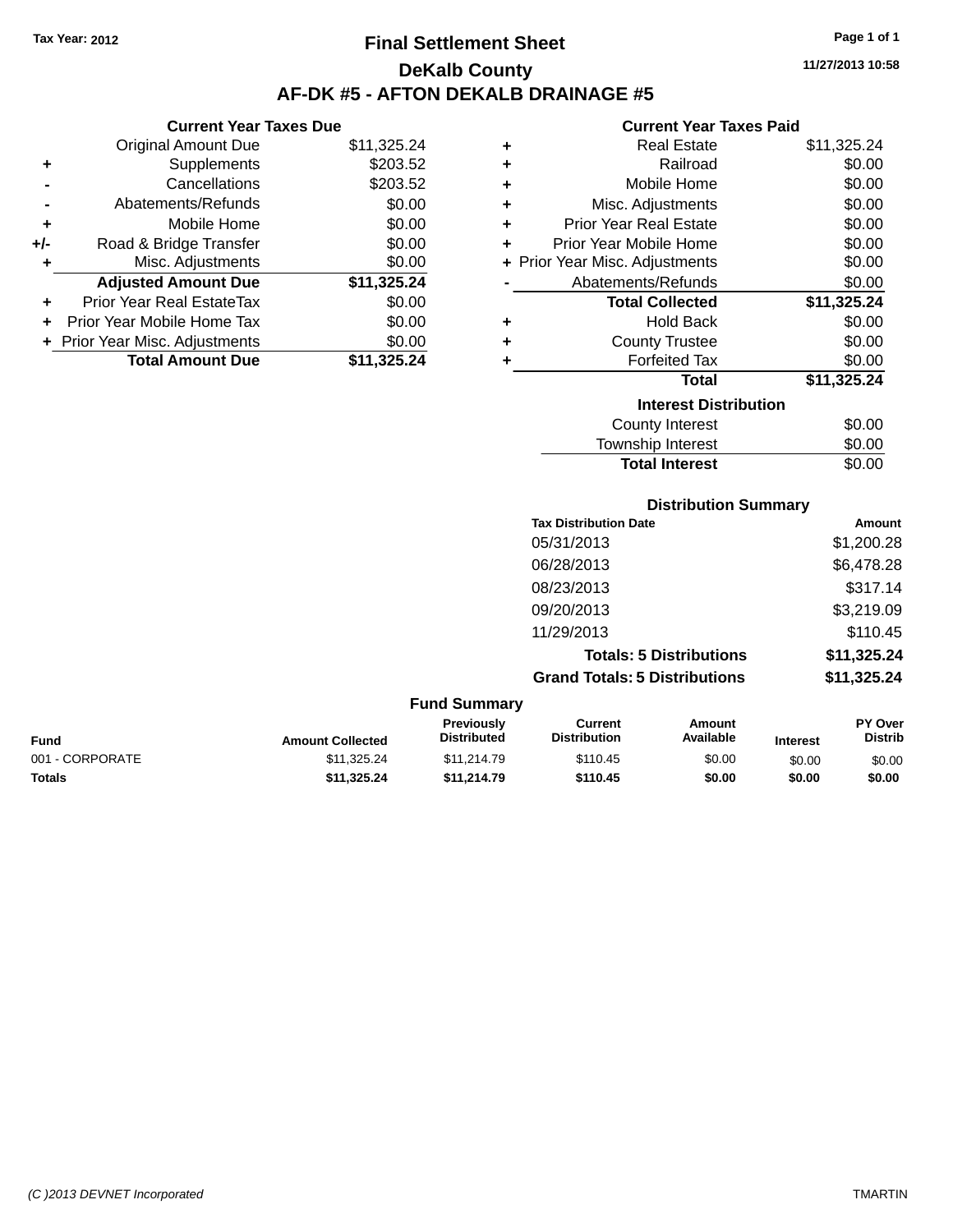# **Final Settlement Sheet Tax Year: 2012 Page 1 of 1 DeKalb County AF-DK #5 - AFTON DEKALB DRAINAGE #5**

**11/27/2013 10:58**

### **Current Year Taxes Paid**

|     | Current rear laxes Due         |             |
|-----|--------------------------------|-------------|
|     | <b>Original Amount Due</b>     | \$11,325.24 |
| ٠   | Supplements                    | \$203.52    |
|     | Cancellations                  | \$203.52    |
|     | Abatements/Refunds             | \$0.00      |
| ٠   | Mobile Home                    | \$0.00      |
| +/- | Road & Bridge Transfer         | \$0.00      |
| ٠   | Misc. Adjustments              | \$0.00      |
|     | <b>Adjusted Amount Due</b>     | \$11,325.24 |
| ٠   | Prior Year Real EstateTax      | \$0.00      |
|     | Prior Year Mobile Home Tax     | \$0.00      |
|     | + Prior Year Misc. Adjustments | \$0.00      |
|     | <b>Total Amount Due</b>        | \$11,325.24 |
|     |                                |             |

**Current Year Taxes Due**

| ٠ | <b>Real Estate</b>             | \$11,325.24 |
|---|--------------------------------|-------------|
| ٠ | Railroad                       | \$0.00      |
| ٠ | Mobile Home                    | \$0.00      |
| ٠ | Misc. Adjustments              | \$0.00      |
| ٠ | <b>Prior Year Real Estate</b>  | \$0.00      |
| ٠ | Prior Year Mobile Home         | \$0.00      |
|   | + Prior Year Misc. Adjustments | \$0.00      |
|   | Abatements/Refunds             | \$0.00      |
|   | <b>Total Collected</b>         | \$11,325.24 |
| ٠ | <b>Hold Back</b>               | \$0.00      |
| ٠ | <b>County Trustee</b>          | \$0.00      |
| ٠ | <b>Forfeited Tax</b>           | \$0.00      |
|   | <b>Total</b>                   | \$11,325.24 |
|   | <b>Interest Distribution</b>   |             |
|   | <b>County Interest</b>         | \$0.00      |
|   | <b>Township Interest</b>       | \$0.00      |
|   | <b>Total Interest</b>          | \$0.00      |

**Distribution Summary Tax Distribution Date Amount** 05/31/2013 \$1,200.28 06/28/2013 \$6,478.28 08/23/2013 \$317.14 09/20/2013 \$3,219.09 11/29/2013 \$110.45 **Totals: 5 Distributions \$11,325.24 Grand Totals: 5 Distributions \$11,325.24**

|                 |                         | <b>Fund Summary</b>                     |                                |                     |                 |                                  |
|-----------------|-------------------------|-----------------------------------------|--------------------------------|---------------------|-----------------|----------------------------------|
| Fund            | <b>Amount Collected</b> | <b>Previously</b><br><b>Distributed</b> | Current<br><b>Distribution</b> | Amount<br>Available | <b>Interest</b> | <b>PY Over</b><br><b>Distrib</b> |
| 001 - CORPORATE | \$11,325.24             | \$11,214.79                             | \$110.45                       | \$0.00              | \$0.00          | \$0.00                           |
| Totals          | \$11.325.24             | \$11.214.79                             | \$110.45                       | \$0.00              | \$0.00          | \$0.00                           |
|                 |                         |                                         |                                |                     |                 |                                  |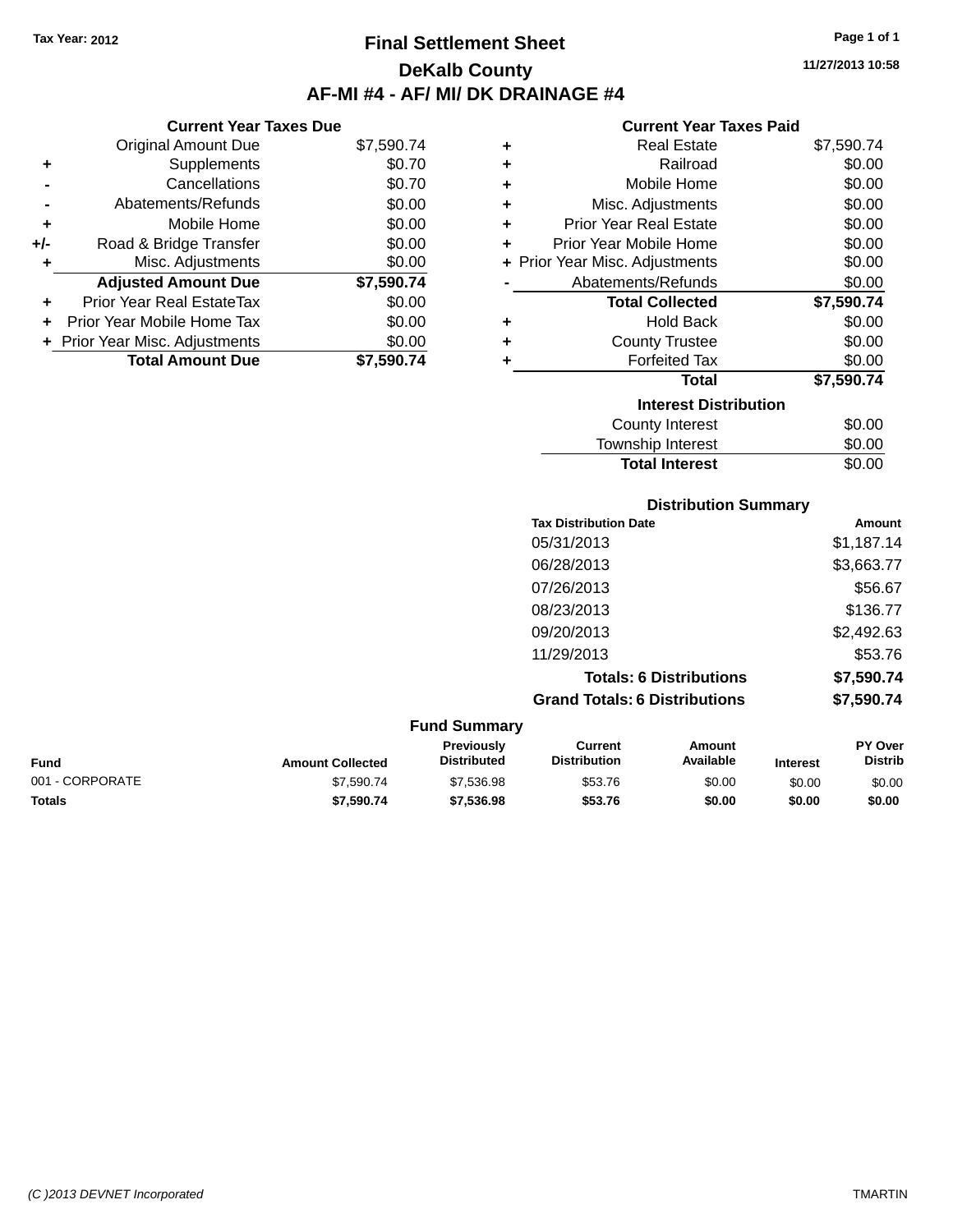# **Final Settlement Sheet Tax Year: 2012 Page 1 of 1 DeKalb County AF-MI #4 - AF/ MI/ DK DRAINAGE #4**

**11/27/2013 10:58**

### **Current Year Taxes Paid**

|     | <b>Current Year Taxes Due</b>  |            |  |  |  |
|-----|--------------------------------|------------|--|--|--|
|     | Original Amount Due            | \$7,590.74 |  |  |  |
| ٠   | Supplements                    | \$0.70     |  |  |  |
|     | Cancellations                  | \$0.70     |  |  |  |
|     | Abatements/Refunds             | \$0.00     |  |  |  |
| ٠   | Mobile Home                    | \$0.00     |  |  |  |
| +/- | Road & Bridge Transfer         | \$0.00     |  |  |  |
| ٠   | Misc. Adjustments              | \$0.00     |  |  |  |
|     | <b>Adjusted Amount Due</b>     | \$7,590.74 |  |  |  |
| ٠   | Prior Year Real EstateTax      | \$0.00     |  |  |  |
|     | Prior Year Mobile Home Tax     | \$0.00     |  |  |  |
|     | + Prior Year Misc. Adjustments | \$0.00     |  |  |  |
|     | <b>Total Amount Due</b>        | \$7.590.74 |  |  |  |

| ٠ | <b>Real Estate</b>             | \$7,590.74 |
|---|--------------------------------|------------|
| ÷ | Railroad                       | \$0.00     |
| ٠ | Mobile Home                    | \$0.00     |
| ÷ | Misc. Adjustments              | \$0.00     |
| ٠ | <b>Prior Year Real Estate</b>  | \$0.00     |
| ٠ | Prior Year Mobile Home         | \$0.00     |
|   | + Prior Year Misc. Adjustments | \$0.00     |
|   | Abatements/Refunds             | \$0.00     |
|   | <b>Total Collected</b>         | \$7,590.74 |
| ٠ | Hold Back                      | \$0.00     |
| ٠ | <b>County Trustee</b>          | \$0.00     |
| ٠ | <b>Forfeited Tax</b>           | \$0.00     |
|   | <b>Total</b>                   | \$7,590.74 |
|   | <b>Interest Distribution</b>   |            |
|   | County Interest                | \$0.00     |
|   | <b>Township Interest</b>       | \$0.00     |
|   | <b>Total Interest</b>          | \$0.00     |

|                 |                         |                                  |                                       | <b>Distribution Summary</b>    |                 |                           |
|-----------------|-------------------------|----------------------------------|---------------------------------------|--------------------------------|-----------------|---------------------------|
|                 |                         |                                  | <b>Tax Distribution Date</b>          |                                |                 | Amount                    |
|                 |                         |                                  | 05/31/2013                            |                                |                 | \$1,187.14                |
|                 |                         |                                  | 06/28/2013                            |                                |                 | \$3,663.77                |
|                 |                         |                                  | 07/26/2013                            |                                |                 | \$56.67                   |
|                 |                         |                                  | 08/23/2013                            |                                |                 | \$136.77                  |
|                 |                         |                                  | 09/20/2013                            |                                |                 | \$2,492.63                |
|                 |                         |                                  | 11/29/2013                            |                                |                 | \$53.76                   |
|                 |                         |                                  |                                       | <b>Totals: 6 Distributions</b> |                 | \$7,590.74                |
|                 |                         |                                  | <b>Grand Totals: 6 Distributions</b>  |                                |                 | \$7,590.74                |
|                 |                         | <b>Fund Summary</b>              |                                       |                                |                 |                           |
| <b>Fund</b>     | <b>Amount Collected</b> | Previously<br><b>Distributed</b> | <b>Current</b><br><b>Distribution</b> | Amount<br>Available            | <b>Interest</b> | PY Over<br><b>Distrib</b> |
| 001 - CORPORATE | \$7,590.74              | \$7,536.98                       | \$53.76                               | \$0.00                         | \$0.00          | \$0.00                    |
| <b>Totals</b>   | \$7,590.74              | \$7,536.98                       | \$53.76                               | \$0.00                         | \$0.00          | \$0.00                    |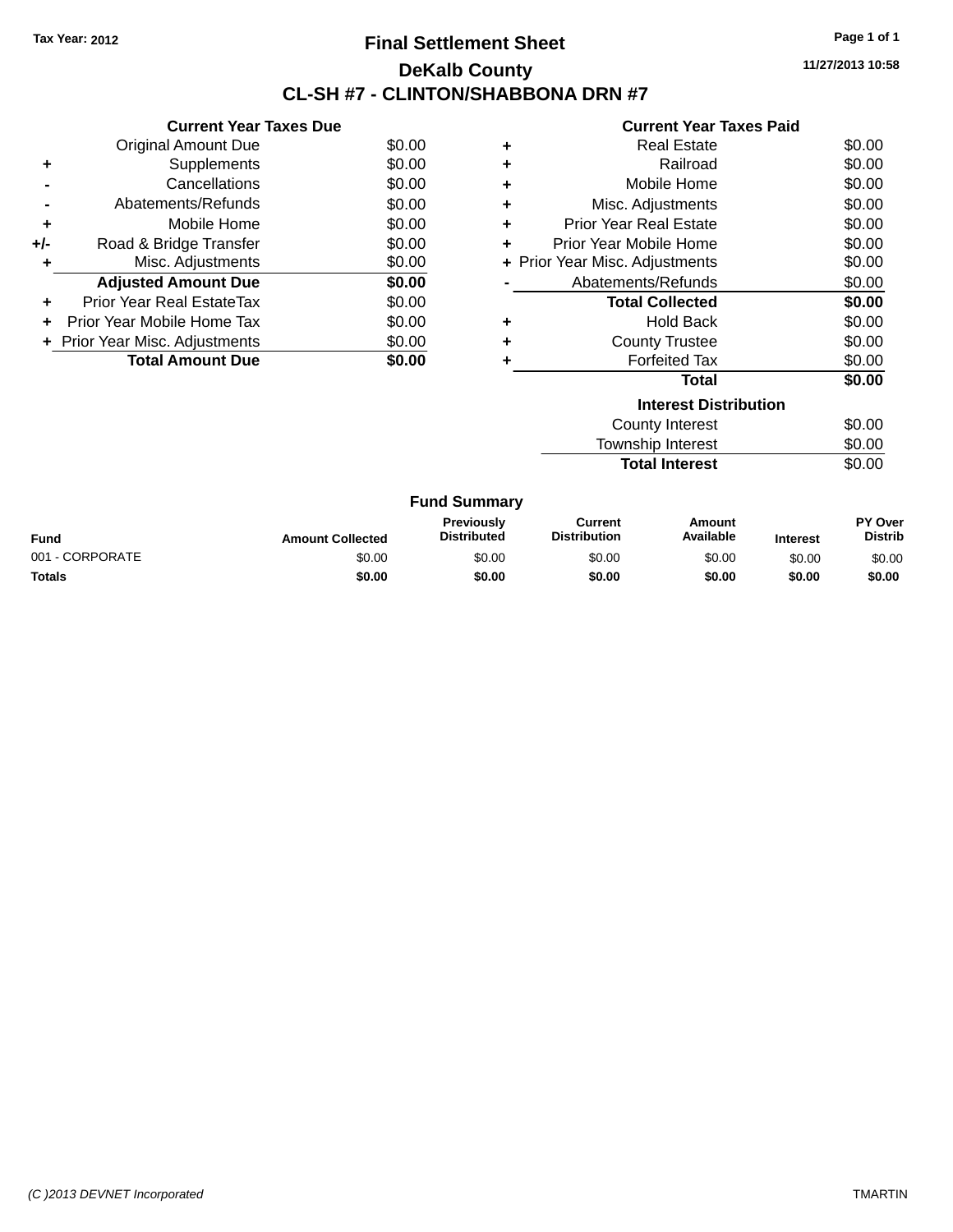### **Final Settlement Sheet Tax Year: 2012 Page 1 of 1 DeKalb County CL-SH #7 - CLINTON/SHABBONA DRN #7**

**11/27/2013 10:58**

#### **Current Year Taxes Paid**

|     | <b>Current Year Taxes Due</b>     |        |
|-----|-----------------------------------|--------|
|     | <b>Original Amount Due</b>        | \$0.00 |
| ÷   | Supplements                       | \$0.00 |
|     | Cancellations                     | \$0.00 |
|     | Abatements/Refunds                | \$0.00 |
| ٠   | Mobile Home                       | \$0.00 |
| +/- | Road & Bridge Transfer            | \$0.00 |
| ٠   | Misc. Adjustments                 | \$0.00 |
|     | <b>Adjusted Amount Due</b>        | \$0.00 |
| ٠   | Prior Year Real EstateTax         | \$0.00 |
| ÷   | <b>Prior Year Mobile Home Tax</b> | \$0.00 |
|     | + Prior Year Misc. Adjustments    | \$0.00 |
|     | <b>Total Amount Due</b>           | \$0.00 |

| ٠ | <b>Real Estate</b>             | \$0.00 |
|---|--------------------------------|--------|
| ٠ | Railroad                       | \$0.00 |
| ٠ | Mobile Home                    | \$0.00 |
| ٠ | Misc. Adjustments              | \$0.00 |
| ٠ | <b>Prior Year Real Estate</b>  | \$0.00 |
| ٠ | Prior Year Mobile Home         | \$0.00 |
|   | + Prior Year Misc. Adjustments | \$0.00 |
|   | Abatements/Refunds             | \$0.00 |
|   | <b>Total Collected</b>         | \$0.00 |
| ٠ | <b>Hold Back</b>               | \$0.00 |
| ٠ | <b>County Trustee</b>          | \$0.00 |
| ٠ | <b>Forfeited Tax</b>           | \$0.00 |
|   | Total                          | \$0.00 |
|   | <b>Interest Distribution</b>   |        |
|   | <b>County Interest</b>         | \$0.00 |

Township Interest \$0.00 **Total Interest** \$0.00

| <b>Fund Summary</b> |                         |                                         |                                |                     |                 |                                  |
|---------------------|-------------------------|-----------------------------------------|--------------------------------|---------------------|-----------------|----------------------------------|
| Fund                | <b>Amount Collected</b> | <b>Previously</b><br><b>Distributed</b> | Current<br><b>Distribution</b> | Amount<br>Available | <b>Interest</b> | <b>PY Over</b><br><b>Distrib</b> |
| 001 - CORPORATE     | \$0.00                  | \$0.00                                  | \$0.00                         | \$0.00              | \$0.00          | \$0.00                           |
| Totals              | \$0.00                  | \$0.00                                  | \$0.00                         | \$0.00              | \$0.00          | \$0.00                           |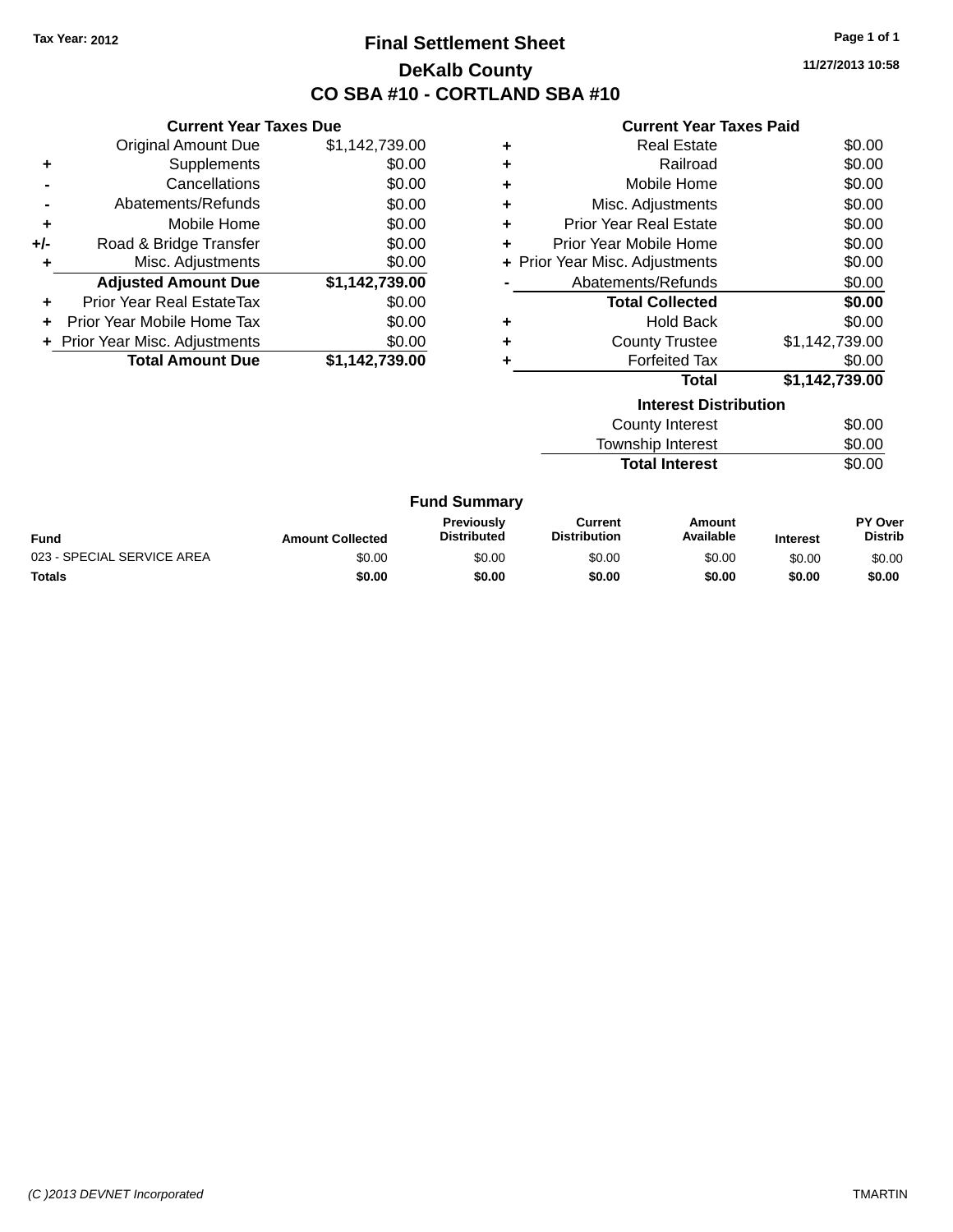# **Final Settlement Sheet Tax Year: 2012 Page 1 of 1 DeKalb County CO SBA #10 - CORTLAND SBA #10**

**11/27/2013 10:58**

#### **Current Year Taxes Paid**

|       | <b>Current Year Taxes Due</b>    |                |  |  |
|-------|----------------------------------|----------------|--|--|
|       | <b>Original Amount Due</b>       | \$1,142,739.00 |  |  |
| ÷     | Supplements                      | \$0.00         |  |  |
|       | Cancellations                    | \$0.00         |  |  |
|       | Abatements/Refunds               | \$0.00         |  |  |
| ٠     | Mobile Home                      | \$0.00         |  |  |
| $+/-$ | Road & Bridge Transfer           | \$0.00         |  |  |
| ٠     | Misc. Adjustments                | \$0.00         |  |  |
|       | <b>Adjusted Amount Due</b>       | \$1,142,739.00 |  |  |
| ÷     | <b>Prior Year Real EstateTax</b> | \$0.00         |  |  |
| ÷     | Prior Year Mobile Home Tax       | \$0.00         |  |  |
|       | + Prior Year Misc. Adjustments   | \$0.00         |  |  |
|       | <b>Total Amount Due</b>          | \$1,142,739.00 |  |  |

| ٠ | <b>Real Estate</b>             | \$0.00         |
|---|--------------------------------|----------------|
| ٠ | Railroad                       | \$0.00         |
| ٠ | Mobile Home                    | \$0.00         |
| ٠ | Misc. Adjustments              | \$0.00         |
| ٠ | <b>Prior Year Real Estate</b>  | \$0.00         |
| ٠ | Prior Year Mobile Home         | \$0.00         |
|   | + Prior Year Misc. Adjustments | \$0.00         |
|   | Abatements/Refunds             | \$0.00         |
|   | <b>Total Collected</b>         | \$0.00         |
| ٠ | <b>Hold Back</b>               | \$0.00         |
| ٠ | <b>County Trustee</b>          | \$1,142,739.00 |
|   | <b>Forfeited Tax</b>           | \$0.00         |
|   | Total                          | \$1,142,739.00 |

| <b>Interest Distribution</b>    |        |  |  |  |
|---------------------------------|--------|--|--|--|
| <b>County Interest</b>          | \$0.00 |  |  |  |
| <b>Township Interest</b>        | \$0.00 |  |  |  |
| \$0.00<br><b>Total Interest</b> |        |  |  |  |
|                                 |        |  |  |  |

#### **Fund Summary**

| <b>Fund</b>                | <b>Amount Collected</b> | <b>Previously</b><br><b>Distributed</b> | Current<br><b>Distribution</b> | Amount<br>Available | <b>Interest</b> | PY Over<br>Distrib |
|----------------------------|-------------------------|-----------------------------------------|--------------------------------|---------------------|-----------------|--------------------|
| 023 - SPECIAL SERVICE AREA | \$0.00                  | \$0.00                                  | \$0.00                         | \$0.00              | \$0.00          | \$0.00             |
| <b>Totals</b>              | \$0.00                  | \$0.00                                  | \$0.00                         | \$0.00              | \$0.00          | \$0.00             |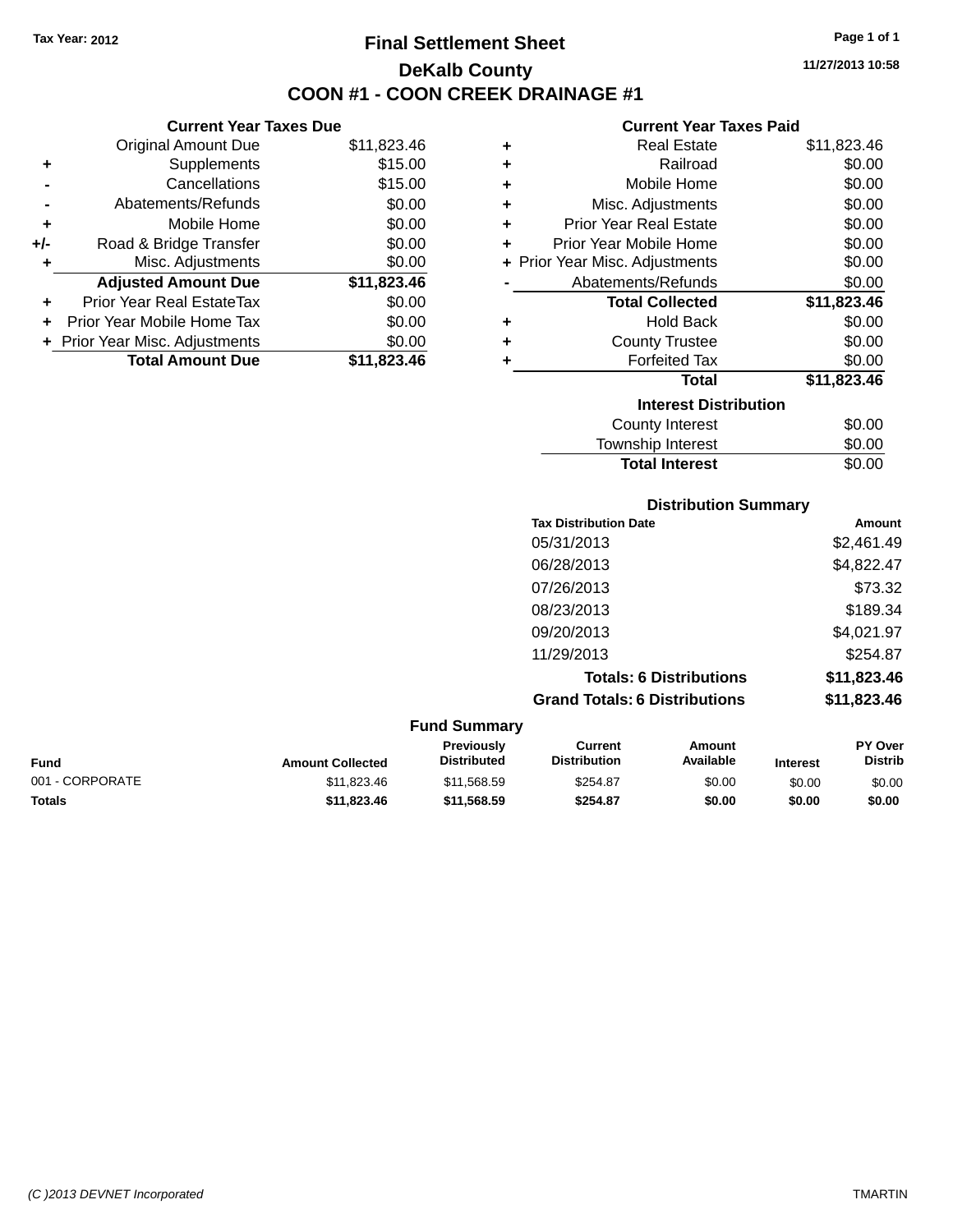# **Final Settlement Sheet Tax Year: 2012 Page 1 of 1 DeKalb County COON #1 - COON CREEK DRAINAGE #1**

**11/27/2013 10:58**

### **Current Year Taxes Paid**

|                             | <b>Current Year Taxes Due</b>  |             |  |  |
|-----------------------------|--------------------------------|-------------|--|--|
|                             | <b>Original Amount Due</b>     | \$11,823.46 |  |  |
| \$15.00<br>Supplements<br>٠ |                                |             |  |  |
|                             | Cancellations                  | \$15.00     |  |  |
|                             | \$0.00<br>Abatements/Refunds   |             |  |  |
| ٠                           | Mobile Home                    | \$0.00      |  |  |
| +/-                         | Road & Bridge Transfer         | \$0.00      |  |  |
| ٠                           | Misc. Adjustments              | \$0.00      |  |  |
|                             | <b>Adjusted Amount Due</b>     | \$11,823.46 |  |  |
|                             | Prior Year Real EstateTax      | \$0.00      |  |  |
| ٠                           | Prior Year Mobile Home Tax     | \$0.00      |  |  |
|                             | + Prior Year Misc. Adjustments | \$0.00      |  |  |
|                             | <b>Total Amount Due</b>        | \$11,823.46 |  |  |

| ٠ | <b>Real Estate</b>             | \$11,823.46 |  |  |  |  |  |
|---|--------------------------------|-------------|--|--|--|--|--|
| ٠ | Railroad                       | \$0.00      |  |  |  |  |  |
| ٠ | Mobile Home                    | \$0.00      |  |  |  |  |  |
| ٠ | Misc. Adjustments              | \$0.00      |  |  |  |  |  |
| ٠ | <b>Prior Year Real Estate</b>  | \$0.00      |  |  |  |  |  |
| ٠ | Prior Year Mobile Home         | \$0.00      |  |  |  |  |  |
|   | + Prior Year Misc. Adjustments | \$0.00      |  |  |  |  |  |
|   | Abatements/Refunds             | \$0.00      |  |  |  |  |  |
|   | <b>Total Collected</b>         | \$11,823.46 |  |  |  |  |  |
| ٠ | <b>Hold Back</b>               | \$0.00      |  |  |  |  |  |
| ٠ | <b>County Trustee</b>          | \$0.00      |  |  |  |  |  |
| ٠ | <b>Forfeited Tax</b>           | \$0.00      |  |  |  |  |  |
|   | <b>Total</b>                   | \$11,823.46 |  |  |  |  |  |
|   | <b>Interest Distribution</b>   |             |  |  |  |  |  |
|   | <b>County Interest</b>         | \$0.00      |  |  |  |  |  |
|   | <b>Township Interest</b>       | \$0.00      |  |  |  |  |  |
|   | <b>Total Interest</b>          | \$0.00      |  |  |  |  |  |

|                                            | <b>Distribution Summary</b>                     |                                |                                     |
|--------------------------------------------|-------------------------------------------------|--------------------------------|-------------------------------------|
|                                            | <b>Tax Distribution Date</b>                    |                                | Amount                              |
|                                            | 05/31/2013                                      |                                | \$2,461.49                          |
|                                            | 06/28/2013                                      |                                | \$4,822.47                          |
|                                            | 07/26/2013                                      |                                | \$73.32                             |
|                                            | 08/23/2013                                      |                                | \$189.34                            |
|                                            | 09/20/2013                                      |                                | \$4,021.97                          |
|                                            | 11/29/2013                                      |                                | \$254.87                            |
|                                            |                                                 | <b>Totals: 6 Distributions</b> | \$11,823.46                         |
|                                            | <b>Grand Totals: 6 Distributions</b>            |                                | \$11,823.46                         |
| <b>Fund Summary</b>                        |                                                 |                                |                                     |
| Previously<br>For a series and a series of | <b>Current</b><br><b>External Local Control</b> | <b>Amount</b>                  | <b>PY Over</b><br><b>Production</b> |

| <b>Fund</b>     | <b>Amount Collected</b> | <b>Previously</b><br><b>Distributed</b> | Current<br><b>Distribution</b> | Amount<br>Available | <b>Interest</b> | <b>PY Over</b><br><b>Distrib</b> |
|-----------------|-------------------------|-----------------------------------------|--------------------------------|---------------------|-----------------|----------------------------------|
| 001 - CORPORATE | \$11.823.46             | \$11.568.59                             | \$254.87                       | \$0.00              | \$0.00          | \$0.00                           |
| <b>Totals</b>   | \$11.823.46             | \$11,568,59                             | \$254.87                       | \$0.00              | \$0.00          | \$0.00                           |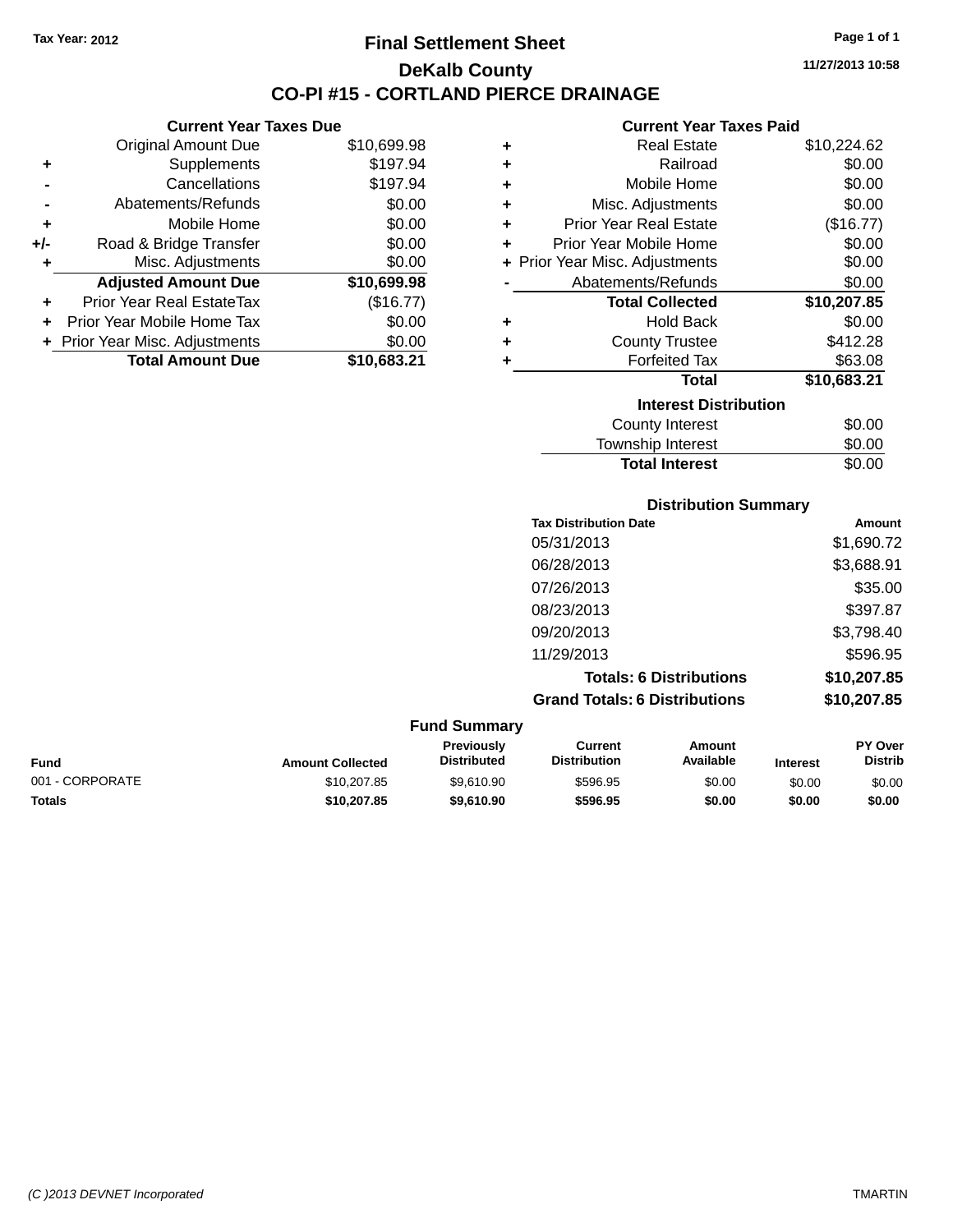**Current Year Taxes Due** Original Amount Due \$10,699.98

**Adjusted Amount Due \$10,699.98**

**Total Amount Due \$10,683.21**

**+** Supplements \$197.94 **-** Cancellations \$197.94 **-** Abatements/Refunds \$0.00 **+** Mobile Home \$0.00 **+/-** Road & Bridge Transfer \$0.00 **+** Misc. Adjustments \$0.00

**+** Prior Year Real EstateTax (\$16.77) **+** Prior Year Mobile Home Tax \$0.00 **+ Prior Year Misc. Adjustments**  $$0.00$ 

### **Final Settlement Sheet Tax Year: 2012 Page 1 of 1 DeKalb County CO-PI #15 - CORTLAND PIERCE DRAINAGE**

**11/27/2013 10:58**

#### **Current Year Taxes Paid**

| ٠                            | <b>Real Estate</b>             | \$10,224.62 |  |  |  |
|------------------------------|--------------------------------|-------------|--|--|--|
| ÷                            | Railroad                       | \$0.00      |  |  |  |
| ÷                            | Mobile Home                    | \$0.00      |  |  |  |
| Misc. Adjustments<br>÷       |                                | \$0.00      |  |  |  |
| ÷                            | <b>Prior Year Real Estate</b>  | (\$16.77)   |  |  |  |
| ٠                            | Prior Year Mobile Home         | \$0.00      |  |  |  |
|                              | + Prior Year Misc. Adjustments | \$0.00      |  |  |  |
| Abatements/Refunds           |                                | \$0.00      |  |  |  |
|                              | <b>Total Collected</b>         | \$10,207.85 |  |  |  |
| ٠                            | <b>Hold Back</b>               | \$0.00      |  |  |  |
| ÷                            | <b>County Trustee</b>          | \$412.28    |  |  |  |
| ÷                            | <b>Forfeited Tax</b>           | \$63.08     |  |  |  |
|                              | <b>Total</b>                   | \$10,683.21 |  |  |  |
| <b>Interest Distribution</b> |                                |             |  |  |  |
|                              | County Interest                | \$0.00      |  |  |  |
|                              | Township Interest              | \$0.00      |  |  |  |

**Total Interest** \$0.00

|                 |                         |                                  | <b>Distribution Summary</b>           |                                |                 |                           |
|-----------------|-------------------------|----------------------------------|---------------------------------------|--------------------------------|-----------------|---------------------------|
|                 |                         |                                  | <b>Tax Distribution Date</b>          |                                |                 | Amount                    |
|                 |                         |                                  | 05/31/2013                            |                                |                 | \$1,690.72                |
|                 | 06/28/2013              |                                  |                                       |                                |                 | \$3,688.91                |
|                 |                         |                                  | 07/26/2013                            |                                |                 | \$35.00                   |
|                 |                         |                                  | 08/23/2013                            |                                |                 | \$397.87                  |
|                 |                         |                                  | 09/20/2013                            |                                |                 | \$3,798.40                |
|                 |                         |                                  | 11/29/2013                            |                                |                 | \$596.95                  |
|                 |                         |                                  |                                       | <b>Totals: 6 Distributions</b> |                 | \$10,207.85               |
|                 |                         |                                  | <b>Grand Totals: 6 Distributions</b>  |                                |                 | \$10,207.85               |
|                 |                         | <b>Fund Summary</b>              |                                       |                                |                 |                           |
| <b>Fund</b>     | <b>Amount Collected</b> | Previously<br><b>Distributed</b> | <b>Current</b><br><b>Distribution</b> | <b>Amount</b><br>Available     | <b>Interest</b> | PY Over<br><b>Distrib</b> |
| 001 - CORPORATE | \$10,207.85             | \$9,610.90                       | \$596.95                              | \$0.00                         | \$0.00          | \$0.00                    |

**Totals \$10,207.85 \$9,610.90 \$596.95 \$0.00 \$0.00 \$0.00**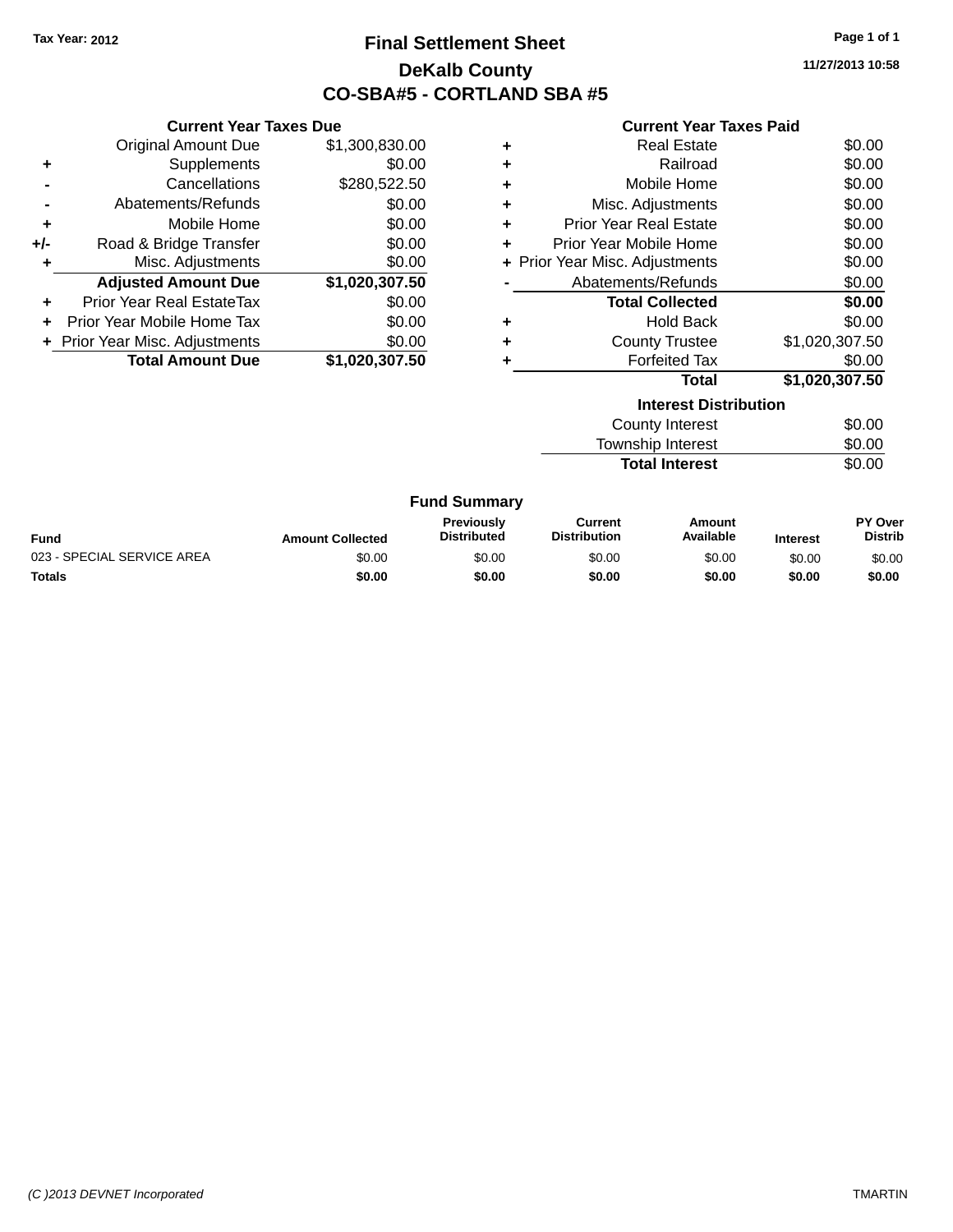# **Final Settlement Sheet Tax Year: 2012 Page 1 of 1 DeKalb County CO-SBA#5 - CORTLAND SBA #5**

**11/27/2013 10:58**

#### **Current Year Taxes Paid**

| Curr                   |   | <b>Current Year Taxes Due</b> |                                  |       |  |
|------------------------|---|-------------------------------|----------------------------------|-------|--|
| R                      | ٠ | \$1,300,830.00                | Original Amount Due              |       |  |
|                        | ٠ | \$0.00                        | Supplements                      | ÷     |  |
| Mot                    | ٠ | \$280,522.50                  | Cancellations                    |       |  |
| Misc. Adj              | ٠ | \$0.00                        | Abatements/Refunds               |       |  |
| Prior Year Re          | ٠ | \$0.00                        | Mobile Home                      | ٠     |  |
| <b>Prior Year Mob</b>  | ٠ | \$0.00                        | Road & Bridge Transfer           | $+/-$ |  |
| + Prior Year Misc. Adj |   | \$0.00                        | Misc. Adjustments                | ٠     |  |
| Abatements             |   | \$1,020,307.50                | <b>Adjusted Amount Due</b>       |       |  |
| <b>Total (</b>         |   | \$0.00                        | <b>Prior Year Real EstateTax</b> |       |  |
| ۲                      | ٠ | \$0.00                        | Prior Year Mobile Home Tax       |       |  |
| Count                  | ٠ | \$0.00                        | + Prior Year Misc. Adjustments   |       |  |
| For                    |   | \$1,020,307.50                | <b>Total Amount Due</b>          |       |  |
|                        |   |                               |                                  |       |  |
| In.                    |   |                               |                                  |       |  |

| <b>Real Estate</b>            | \$0.00                         |
|-------------------------------|--------------------------------|
| Railroad                      | \$0.00                         |
| Mobile Home                   | \$0.00                         |
| Misc. Adjustments             | \$0.00                         |
| <b>Prior Year Real Estate</b> | \$0.00                         |
| Prior Year Mobile Home        | \$0.00                         |
|                               | \$0.00                         |
| Abatements/Refunds            | \$0.00                         |
| <b>Total Collected</b>        | \$0.00                         |
| <b>Hold Back</b>              | \$0.00                         |
| <b>County Trustee</b>         | \$1,020,307.50                 |
| <b>Forfeited Tax</b>          | \$0.00                         |
| Total                         | \$1,020,307.50                 |
|                               | + Prior Year Misc. Adjustments |

| <b>Interest Distribution</b> |        |  |  |
|------------------------------|--------|--|--|
| County Interest              | \$0.00 |  |  |
| Township Interest            | \$0.00 |  |  |
| <b>Total Interest</b>        | \$0.00 |  |  |

#### **Fund Summary**

| <b>Fund</b>                | <b>Amount Collected</b> | <b>Previously</b><br><b>Distributed</b> | Current<br><b>Distribution</b> | Amount<br>Available | <b>Interest</b> | PY Over<br><b>Distrib</b> |
|----------------------------|-------------------------|-----------------------------------------|--------------------------------|---------------------|-----------------|---------------------------|
| 023 - SPECIAL SERVICE AREA | \$0.00                  | \$0.00                                  | \$0.00                         | \$0.00              | \$0.00          | \$0.00                    |
| Totals                     | \$0.00                  | \$0.00                                  | \$0.00                         | \$0.00              | \$0.00          | \$0.00                    |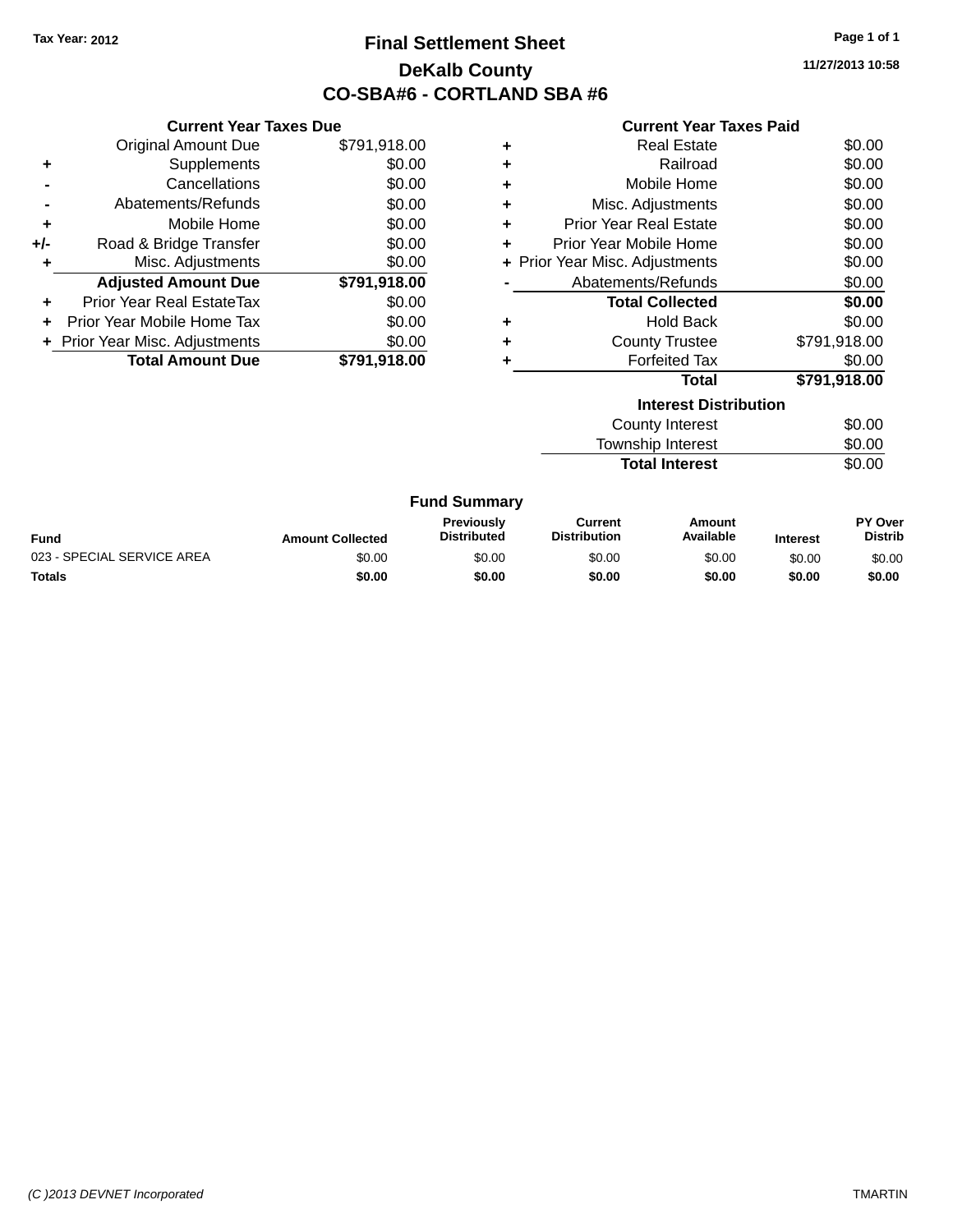# **Final Settlement Sheet Tax Year: 2012 Page 1 of 1 DeKalb County CO-SBA#6 - CORTLAND SBA #6**

**11/27/2013 10:58**

#### **Current Year Taxes Paid**

| <b>Current Year Taxes Due</b> |                                  |              |  |  |  |
|-------------------------------|----------------------------------|--------------|--|--|--|
|                               | <b>Original Amount Due</b>       | \$791,918.00 |  |  |  |
| ٠                             | Supplements                      | \$0.00       |  |  |  |
|                               | Cancellations                    | \$0.00       |  |  |  |
|                               | Abatements/Refunds               | \$0.00       |  |  |  |
| ٠                             | Mobile Home                      | \$0.00       |  |  |  |
| +/-                           | Road & Bridge Transfer           | \$0.00       |  |  |  |
| ٠                             | Misc. Adjustments                | \$0.00       |  |  |  |
|                               | <b>Adjusted Amount Due</b>       | \$791,918.00 |  |  |  |
| ÷                             | <b>Prior Year Real EstateTax</b> | \$0.00       |  |  |  |
|                               | Prior Year Mobile Home Tax       | \$0.00       |  |  |  |
|                               | + Prior Year Misc. Adjustments   | \$0.00       |  |  |  |
|                               | <b>Total Amount Due</b>          | \$791.918.00 |  |  |  |

|   | <b>Total</b>                   | \$791,918.00 |
|---|--------------------------------|--------------|
| ٠ | <b>Forfeited Tax</b>           | \$0.00       |
| ٠ | <b>County Trustee</b>          | \$791,918.00 |
| ٠ | <b>Hold Back</b>               | \$0.00       |
|   | <b>Total Collected</b>         | \$0.00       |
|   | Abatements/Refunds             | \$0.00       |
|   | + Prior Year Misc. Adjustments | \$0.00       |
| ٠ | Prior Year Mobile Home         | \$0.00       |
| ٠ | <b>Prior Year Real Estate</b>  | \$0.00       |
| ٠ | Misc. Adjustments              | \$0.00       |
| ٠ | Mobile Home                    | \$0.00       |
| ٠ | Railroad                       | \$0.00       |
| ٠ | <b>Real Estate</b>             | \$0.00       |

| <b>Interest Distribution</b> |        |  |  |  |
|------------------------------|--------|--|--|--|
| County Interest              | \$0.00 |  |  |  |
| Township Interest            | \$0.00 |  |  |  |
| <b>Total Interest</b>        | \$0.00 |  |  |  |

#### **Fund Summary**

| <b>Fund</b>                | <b>Amount Collected</b> | <b>Previously</b><br><b>Distributed</b> | Current<br><b>Distribution</b> | Amount<br>Available | <b>Interest</b> | PY Over<br>Distrib |
|----------------------------|-------------------------|-----------------------------------------|--------------------------------|---------------------|-----------------|--------------------|
| 023 - SPECIAL SERVICE AREA | \$0.00                  | \$0.00                                  | \$0.00                         | \$0.00              | \$0.00          | \$0.00             |
| <b>Totals</b>              | \$0.00                  | \$0.00                                  | \$0.00                         | \$0.00              | \$0.00          | \$0.00             |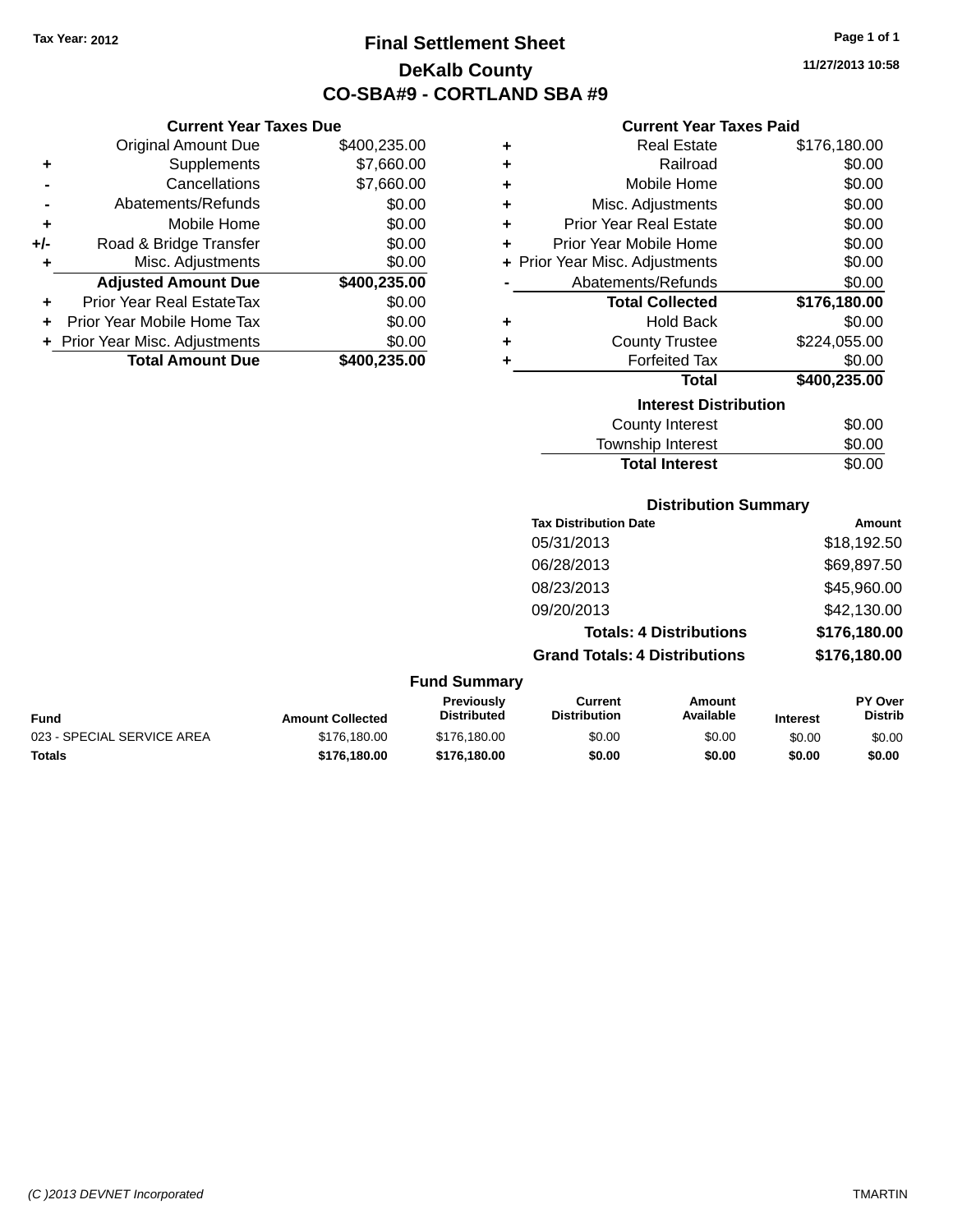# **Final Settlement Sheet Tax Year: 2012 Page 1 of 1 DeKalb County CO-SBA#9 - CORTLAND SBA #9**

**11/27/2013 10:58**

### **Current Year Taxes Paid**

|       | <b>Current Year Taxes Due</b>    |              |   | <b>Curren</b>            |
|-------|----------------------------------|--------------|---|--------------------------|
|       | Original Amount Due              | \$400,235.00 | ÷ | Real                     |
| ٠     | Supplements                      | \$7,660.00   | ÷ | R                        |
|       | Cancellations                    | \$7,660.00   | ٠ | Mobile                   |
|       | Abatements/Refunds               | \$0.00       | ÷ | Misc. Adjus              |
| ٠     | Mobile Home                      | \$0.00       | ÷ | <b>Prior Year Real</b>   |
| $+/-$ | Road & Bridge Transfer           | \$0.00       | ÷ | <b>Prior Year Mobile</b> |
| ٠     | Misc. Adjustments                | \$0.00       |   | + Prior Year Misc. Adjus |
|       | <b>Adjusted Amount Due</b>       | \$400,235.00 |   | Abatements/R             |
| ٠     | <b>Prior Year Real EstateTax</b> | \$0.00       |   | <b>Total Col</b>         |
|       | Prior Year Mobile Home Tax       | \$0.00       | ٠ | Hol                      |
|       | + Prior Year Misc. Adjustments   | \$0.00       | ÷ | County <sub>1</sub>      |
|       | <b>Total Amount Due</b>          | \$400,235.00 |   | Forfeit                  |
|       |                                  |              |   |                          |

|   | <b>Real Estate</b>             | \$176,180.00 |
|---|--------------------------------|--------------|
| ٠ | Railroad                       | \$0.00       |
| ٠ | Mobile Home                    | \$0.00       |
| ٠ | Misc. Adjustments              | \$0.00       |
| ٠ | <b>Prior Year Real Estate</b>  | \$0.00       |
| ÷ | Prior Year Mobile Home         | \$0.00       |
|   | + Prior Year Misc. Adjustments | \$0.00       |
|   | Abatements/Refunds             | \$0.00       |
|   | <b>Total Collected</b>         | \$176,180.00 |
|   | <b>Hold Back</b>               | \$0.00       |
|   | <b>County Trustee</b>          | \$224,055.00 |
|   | <b>Forfeited Tax</b>           | \$0.00       |
|   | Total                          | \$400,235.00 |
|   | <b>Interest Distribution</b>   |              |
|   | <b>County Interest</b>         | \$0.00       |

| <b>Total Interest</b>  | \$0.00 |
|------------------------|--------|
| Township Interest      | \$0.00 |
| <b>COUTTY THICLEST</b> | vv.vv  |

### **Distribution Summary**

| <b>Tax Distribution Date</b>         | Amount       |
|--------------------------------------|--------------|
| 05/31/2013                           | \$18,192.50  |
| 06/28/2013                           | \$69,897.50  |
| 08/23/2013                           | \$45,960.00  |
| 09/20/2013                           | \$42,130.00  |
| <b>Totals: 4 Distributions</b>       | \$176,180.00 |
| <b>Grand Totals: 4 Distributions</b> | \$176,180.00 |
|                                      |              |

#### **Fund Summary**

 $\overline{\phantom{0}}$ 

| Fund                       | <b>Amount Collected</b> | Previously<br><b>Distributed</b> | Current<br><b>Distribution</b> | Amount<br>Available | <b>Interest</b> | <b>PY Over</b><br><b>Distrib</b> |
|----------------------------|-------------------------|----------------------------------|--------------------------------|---------------------|-----------------|----------------------------------|
| 023 - SPECIAL SERVICE AREA | \$176,180,00            | \$176,180,00                     | \$0.00                         | \$0.00              | \$0.00          | \$0.00                           |
| Totals                     | \$176,180,00            | \$176.180.00                     | \$0.00                         | \$0.00              | \$0.00          | \$0.00                           |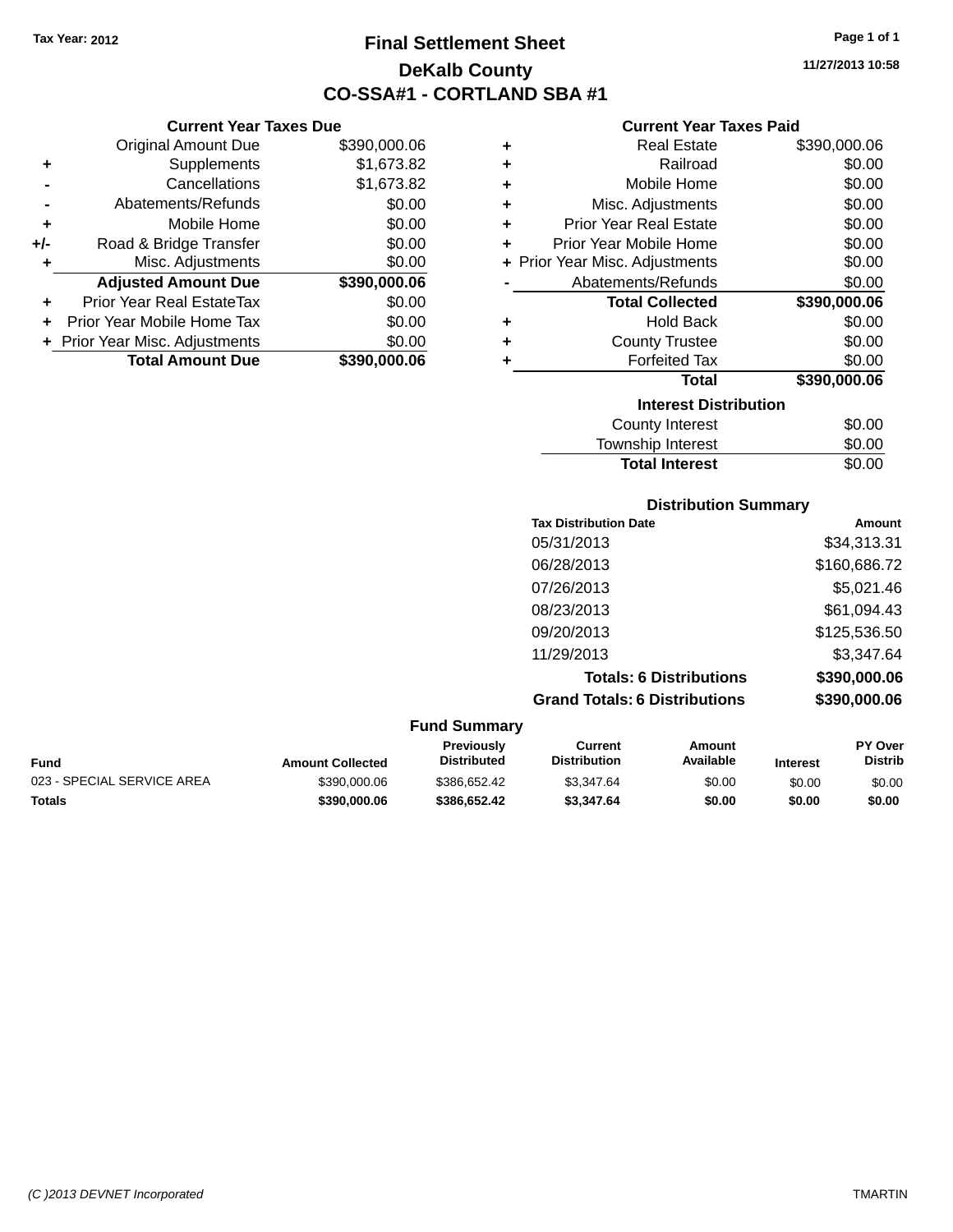**Current Year Taxes Due** Original Amount Due \$390,000.06

**Adjusted Amount Due \$390,000.06**

**Total Amount Due \$390,000.06**

**+** Supplements \$1,673.82 **-** Cancellations \$1,673.82 **-** Abatements/Refunds \$0.00 **+** Mobile Home \$0.00 **+/-** Road & Bridge Transfer \$0.00 **+** Misc. Adjustments \$0.00

**+** Prior Year Real EstateTax \$0.00 **+** Prior Year Mobile Home Tax \$0.00 **+ Prior Year Misc. Adjustments**  $$0.00$ 

# **Final Settlement Sheet Tax Year: 2012 Page 1 of 1 DeKalb County CO-SSA#1 - CORTLAND SBA #1**

**11/27/2013 10:58**

### **Current Year Taxes Paid**

| ٠                            | <b>Real Estate</b>             | \$390,000.06 |  |  |
|------------------------------|--------------------------------|--------------|--|--|
| ٠                            | Railroad                       | \$0.00       |  |  |
| ٠                            | Mobile Home                    | \$0.00       |  |  |
| ٠                            | Misc. Adjustments              | \$0.00       |  |  |
| ٠                            | <b>Prior Year Real Estate</b>  | \$0.00       |  |  |
| ٠                            | Prior Year Mobile Home         | \$0.00       |  |  |
|                              | + Prior Year Misc. Adjustments | \$0.00       |  |  |
|                              | Abatements/Refunds             | \$0.00       |  |  |
|                              | <b>Total Collected</b>         | \$390,000.06 |  |  |
| ٠                            | <b>Hold Back</b>               | \$0.00       |  |  |
| ٠                            | <b>County Trustee</b>          | \$0.00       |  |  |
| ٠                            | <b>Forfeited Tax</b>           | \$0.00       |  |  |
|                              | <b>Total</b>                   | \$390,000.06 |  |  |
| <b>Interest Distribution</b> |                                |              |  |  |
|                              | <b>County Interest</b>         | \$0.00       |  |  |
|                              | <b>Township Interest</b>       | \$0.00       |  |  |

Total Interest \$0.00

|                  |                                  | <b>Distribution Summary</b>           |                                |          |                           |
|------------------|----------------------------------|---------------------------------------|--------------------------------|----------|---------------------------|
|                  |                                  | <b>Tax Distribution Date</b>          | Amount                         |          |                           |
|                  |                                  | 05/31/2013                            |                                |          | \$34,313.31               |
|                  |                                  | 06/28/2013                            |                                |          | \$160,686.72              |
|                  |                                  | 07/26/2013                            |                                |          | \$5,021.46                |
|                  |                                  | 08/23/2013                            |                                |          | \$61,094.43               |
|                  |                                  | 09/20/2013                            |                                |          | \$125,536.50              |
|                  |                                  | 11/29/2013                            |                                |          | \$3,347.64                |
|                  |                                  |                                       | <b>Totals: 6 Distributions</b> |          | \$390,000.06              |
|                  |                                  | <b>Grand Totals: 6 Distributions</b>  |                                |          | \$390,000.06              |
|                  | <b>Fund Summary</b>              |                                       |                                |          |                           |
| Amount Collected | Previously<br><b>Distributed</b> | <b>Current</b><br><b>Distribution</b> | <b>Amount</b><br>Available     | Interest | PY Over<br><b>Distrib</b> |

| <b>Fund</b>                | <b>Amount Collected</b> | <b>Previously</b><br>Distributed | Current<br><b>Distribution</b> | Amount<br>Available | <b>Interest</b> | <b>PY Over</b><br>Distrib |
|----------------------------|-------------------------|----------------------------------|--------------------------------|---------------------|-----------------|---------------------------|
| 023 - SPECIAL SERVICE AREA | \$390,000.06            | \$386.652.42                     | \$3.347.64                     | \$0.00              | \$0.00          | \$0.00                    |
| <b>Totals</b>              | \$390.000.06            | \$386.652.42                     | \$3,347.64                     | \$0.00              | \$0.00          | \$0.00                    |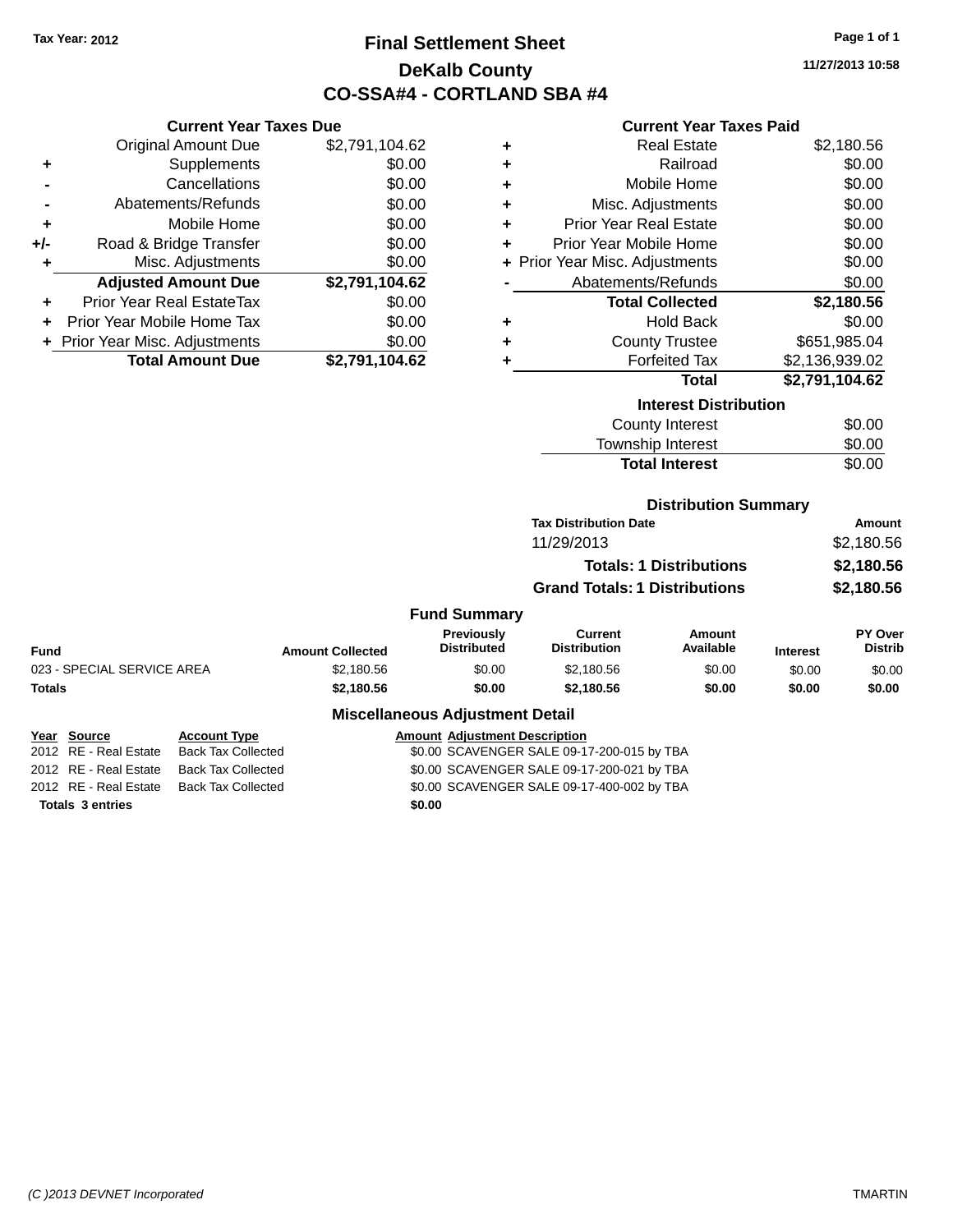# **Final Settlement Sheet Tax Year: 2012 Page 1 of 1 DeKalb County CO-SSA#4 - CORTLAND SBA #4**

**11/27/2013 10:58**

### **Current Year Taxes Paid**

|       | <b>Current Year Taxes Due</b>    |                |
|-------|----------------------------------|----------------|
|       | <b>Original Amount Due</b>       | \$2,791,104.62 |
| ٠     | Supplements                      | \$0.00         |
|       | Cancellations                    | \$0.00         |
|       | Abatements/Refunds               | \$0.00         |
| ٠     | Mobile Home                      | \$0.00         |
| $+/-$ | Road & Bridge Transfer           | \$0.00         |
|       | Misc. Adjustments                | \$0.00         |
|       | <b>Adjusted Amount Due</b>       | \$2,791,104.62 |
| ÷     | <b>Prior Year Real EstateTax</b> | \$0.00         |
|       | Prior Year Mobile Home Tax       | \$0.00         |
|       | + Prior Year Misc. Adjustments   | \$0.00         |
|       | <b>Total Amount Due</b>          | \$2,791,104.62 |

| ٠ | <b>Real Estate</b>             | \$2,180.56     |
|---|--------------------------------|----------------|
| ÷ | Railroad                       | \$0.00         |
| ÷ | Mobile Home                    | \$0.00         |
| ÷ | Misc. Adjustments              | \$0.00         |
| ٠ | <b>Prior Year Real Estate</b>  | \$0.00         |
| ٠ | Prior Year Mobile Home         | \$0.00         |
|   | + Prior Year Misc. Adjustments | \$0.00         |
|   | Abatements/Refunds             | \$0.00         |
|   | <b>Total Collected</b>         | \$2,180.56     |
| ٠ | <b>Hold Back</b>               | \$0.00         |
| ٠ | <b>County Trustee</b>          | \$651,985.04   |
| ٠ | <b>Forfeited Tax</b>           | \$2,136,939.02 |
|   | <b>Total</b>                   | \$2,791,104.62 |
|   | <b>Interest Distribution</b>   |                |
|   | County Interest                | ፍሰ ሰበ          |

| <b>Total Interest</b> | \$0.00 |
|-----------------------|--------|
| Township Interest     | \$0.00 |
| County Interest       | \$0.00 |

### **Distribution Summary**

| <b>Tax Distribution Date</b>         | Amount     |
|--------------------------------------|------------|
| 11/29/2013                           | \$2,180.56 |
| <b>Totals: 1 Distributions</b>       | \$2.180.56 |
| <b>Grand Totals: 1 Distributions</b> | \$2.180.56 |

### **Fund Summary**

| Fund                       | <b>Amount Collected</b> | <b>Previously</b><br><b>Distributed</b> | Current<br><b>Distribution</b> | Amount<br>Available | <b>Interest</b> | PY Over<br><b>Distrib</b> |
|----------------------------|-------------------------|-----------------------------------------|--------------------------------|---------------------|-----------------|---------------------------|
| 023 - SPECIAL SERVICE AREA | \$2,180.56              | \$0.00                                  | \$2,180.56                     | \$0.00              | \$0.00          | \$0.00                    |
| Totals                     | \$2.180.56              | \$0.00                                  | \$2,180.56                     | \$0.00              | \$0.00          | \$0.00                    |
|                            |                         |                                         |                                |                     |                 |                           |

### **Miscellaneous Adjustment Detail**

| Year Source             | <b>Account Type</b>       | <b>Amount Adjustment Description</b>       |
|-------------------------|---------------------------|--------------------------------------------|
| 2012 RE - Real Estate   | <b>Back Tax Collected</b> | \$0.00 SCAVENGER SALE 09-17-200-015 by TBA |
| 2012 RE - Real Estate   | Back Tax Collected        | \$0.00 SCAVENGER SALE 09-17-200-021 by TBA |
| 2012 RE - Real Estate   | Back Tax Collected        | \$0.00 SCAVENGER SALE 09-17-400-002 by TBA |
| <b>Totals 3 entries</b> |                           | \$0.00                                     |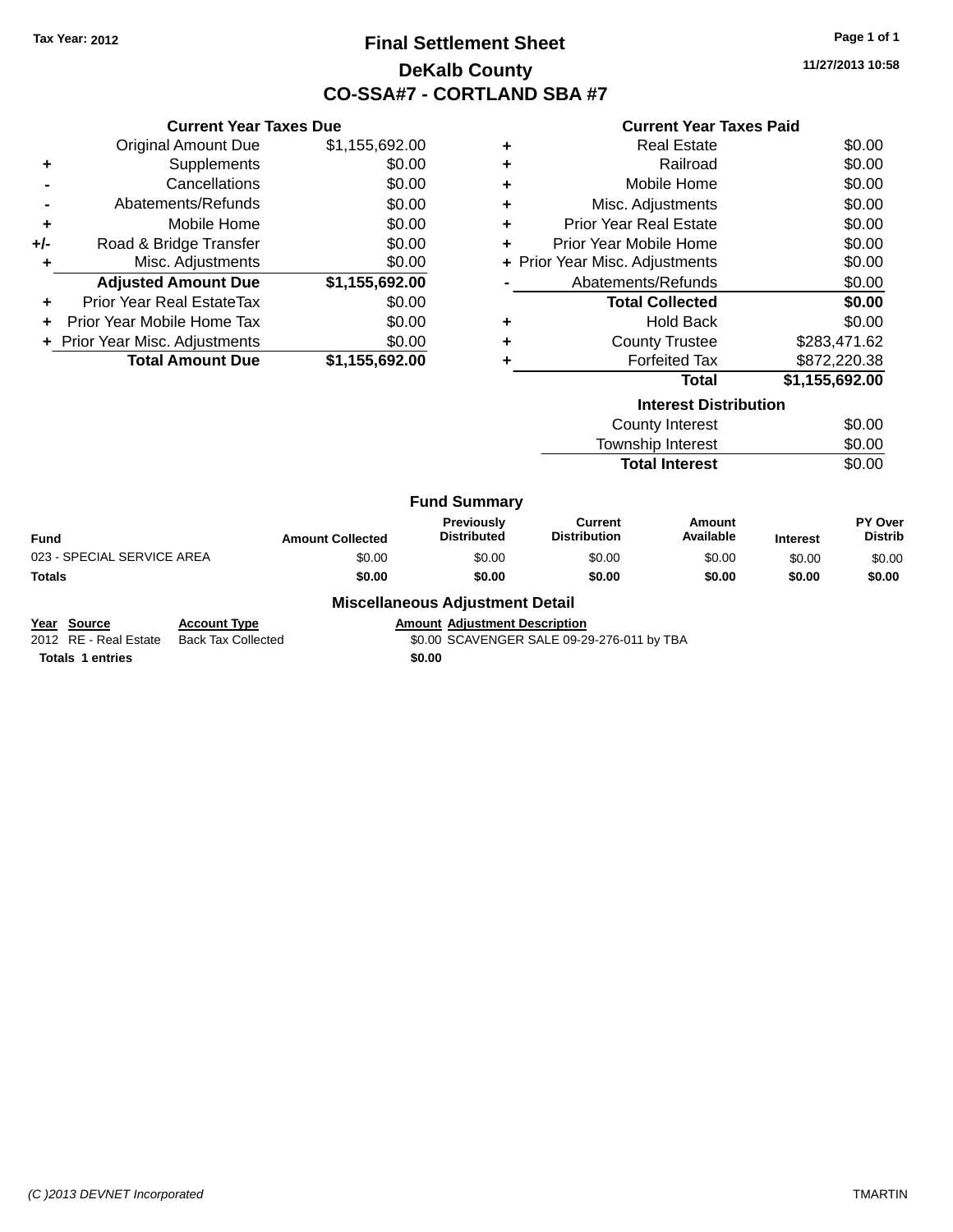# **Final Settlement Sheet Tax Year: 2012 Page 1 of 1 DeKalb County CO-SSA#7 - CORTLAND SBA #7**

**11/27/2013 10:58**

|   | <b>Current Year Taxes Paid</b> |              |
|---|--------------------------------|--------------|
| ٠ | <b>Real Estate</b>             | \$0.00       |
| ٠ | Railroad                       | \$0.00       |
| ٠ | Mobile Home                    | \$0.00       |
| ٠ | Misc. Adjustments              | \$0.00       |
| ٠ | <b>Prior Year Real Estate</b>  | \$0.00       |
|   | Prior Year Mobile Home         | \$0.00       |
|   | + Prior Year Misc. Adjustments | \$0.00       |
|   | Abatements/Refunds             | \$0.00       |
|   | <b>Total Collected</b>         | \$0.00       |
| ÷ | <b>Hold Back</b>               | \$0.00       |
|   | <b>County Trustee</b>          | \$283.471.62 |
|   |                                |              |

|     | <b>Current Year Taxes Due</b> |                |  |  |  |  |
|-----|-------------------------------|----------------|--|--|--|--|
|     | <b>Original Amount Due</b>    | \$1,155,692.00 |  |  |  |  |
| ٠   | Supplements                   | \$0.00         |  |  |  |  |
|     | Cancellations                 | \$0.00         |  |  |  |  |
|     | Abatements/Refunds            | \$0.00         |  |  |  |  |
| ٠   | Mobile Home                   | \$0.00         |  |  |  |  |
| +/- | Road & Bridge Transfer        | \$0.00         |  |  |  |  |
|     | Misc. Adjustments             | \$0.00         |  |  |  |  |
|     | <b>Adjusted Amount Due</b>    | \$1,155,692.00 |  |  |  |  |
| ÷   | Prior Year Real EstateTax     | \$0.00         |  |  |  |  |
|     | Prior Year Mobile Home Tax    | \$0.00         |  |  |  |  |
|     | Prior Year Misc. Adjustments  | \$0.00         |  |  |  |  |
|     | <b>Total Amount Due</b>       | \$1,155,692.00 |  |  |  |  |

### **+** Forfeited Tax \$872,220.38 **Total \$1,155,692.00**

| <b>Interest Distribution</b> |        |
|------------------------------|--------|
| County Interest              | \$0.00 |
| <b>Township Interest</b>     | \$0.00 |
| <b>Total Interest</b>        | \$0.00 |

#### **Fund Summary**

| UITU VUIIIIIIUI V          |                         |                                         |                                |                     |                 |                                  |
|----------------------------|-------------------------|-----------------------------------------|--------------------------------|---------------------|-----------------|----------------------------------|
| Fund                       | <b>Amount Collected</b> | <b>Previously</b><br><b>Distributed</b> | Current<br><b>Distribution</b> | Amount<br>Available | <b>Interest</b> | <b>PY Over</b><br><b>Distrib</b> |
| 023 - SPECIAL SERVICE AREA | \$0.00                  | \$0.00                                  | \$0.00                         | \$0.00              | \$0.00          | \$0.00                           |
| Totals                     | \$0.00                  | \$0.00                                  | \$0.00                         | \$0.00              | \$0.00          | \$0.00                           |
|                            |                         |                                         |                                |                     |                 |                                  |

#### **Miscellaneous Adjustment Detail**

**Year Source Account Type Amount Adjustment Description**<br>2012 RE - Real Estate Back Tax Collected \$0.00 SCAVENGER SALE 09-2 \$0.00 SCAVENGER SALE 09-29-276-011 by TBA

**Totals 1 entries \$0.00**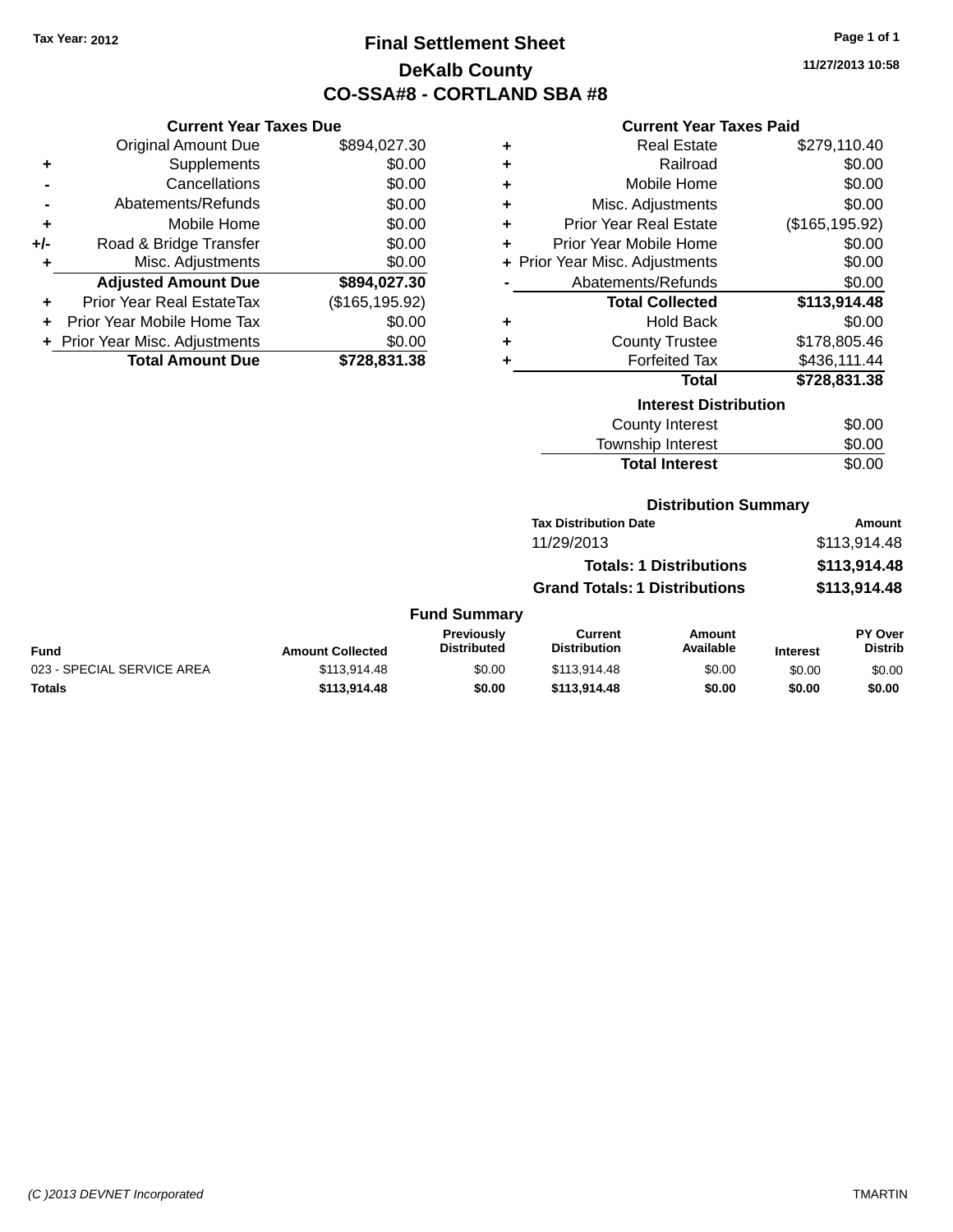# **Final Settlement Sheet Tax Year: 2012 Page 1 of 1 DeKalb County CO-SSA#8 - CORTLAND SBA #8**

**11/27/2013 10:58**

### **Current Year Taxes Paid**

|     | <b>Current Year Taxes Due</b>    |                 |  |  |  |
|-----|----------------------------------|-----------------|--|--|--|
|     | <b>Original Amount Due</b>       | \$894,027.30    |  |  |  |
| ٠   | Supplements                      | \$0.00          |  |  |  |
|     | Cancellations                    | \$0.00          |  |  |  |
|     | Abatements/Refunds               | \$0.00          |  |  |  |
| ٠   | Mobile Home                      | \$0.00          |  |  |  |
| +/- | Road & Bridge Transfer           | \$0.00          |  |  |  |
| ٠   | Misc. Adjustments                | \$0.00          |  |  |  |
|     | <b>Adjusted Amount Due</b>       | \$894,027.30    |  |  |  |
| ٠   | <b>Prior Year Real EstateTax</b> | (\$165, 195.92) |  |  |  |
| ٠   | Prior Year Mobile Home Tax       | \$0.00          |  |  |  |
|     | + Prior Year Misc. Adjustments   | \$0.00          |  |  |  |
|     | <b>Total Amount Due</b>          | \$728,831.38    |  |  |  |
|     |                                  |                 |  |  |  |
|     |                                  |                 |  |  |  |

| ٠ | <b>Real Estate</b>             | \$279,110.40    |  |  |  |  |
|---|--------------------------------|-----------------|--|--|--|--|
| ٠ | Railroad                       | \$0.00          |  |  |  |  |
| ÷ | Mobile Home                    | \$0.00          |  |  |  |  |
| ÷ | Misc. Adjustments              | \$0.00          |  |  |  |  |
| ٠ | Prior Year Real Estate         | (\$165, 195.92) |  |  |  |  |
| ٠ | Prior Year Mobile Home         | \$0.00          |  |  |  |  |
|   | + Prior Year Misc. Adjustments | \$0.00          |  |  |  |  |
|   | Abatements/Refunds             | \$0.00          |  |  |  |  |
|   | <b>Total Collected</b>         | \$113,914.48    |  |  |  |  |
| ٠ | <b>Hold Back</b>               | \$0.00          |  |  |  |  |
| ٠ | <b>County Trustee</b>          | \$178,805.46    |  |  |  |  |
| ٠ | <b>Forfeited Tax</b>           | \$436,111.44    |  |  |  |  |
|   | <b>Total</b>                   | \$728,831.38    |  |  |  |  |
|   | <b>Interest Distribution</b>   |                 |  |  |  |  |
|   | <b>County Interest</b>         | \$0.00          |  |  |  |  |
|   | <b>Township Interest</b>       | \$0.00          |  |  |  |  |
|   | <b>Total Interest</b>          | \$0.00          |  |  |  |  |

#### **Distribution Summary**

| <b>Tax Distribution Date</b>         | Amount       |
|--------------------------------------|--------------|
| 11/29/2013                           | \$113,914.48 |
| <b>Totals: 1 Distributions</b>       | \$113,914.48 |
| <b>Grand Totals: 1 Distributions</b> | \$113,914.48 |

#### **Fund Summary**

| Fund                       | <b>Amount Collected</b> | Previously<br>Distributed | Current<br><b>Distribution</b> | Amount<br>Available | <b>Interest</b> | <b>PY Over</b><br>Distrib |
|----------------------------|-------------------------|---------------------------|--------------------------------|---------------------|-----------------|---------------------------|
| 023 - SPECIAL SERVICE AREA | \$113.914.48            | \$0.00                    | \$113,914.48                   | \$0.00              | \$0.00          | \$0.00                    |
| Totals                     | \$113,914.48            | \$0.00                    | \$113,914,48                   | \$0.00              | \$0.00          | \$0.00                    |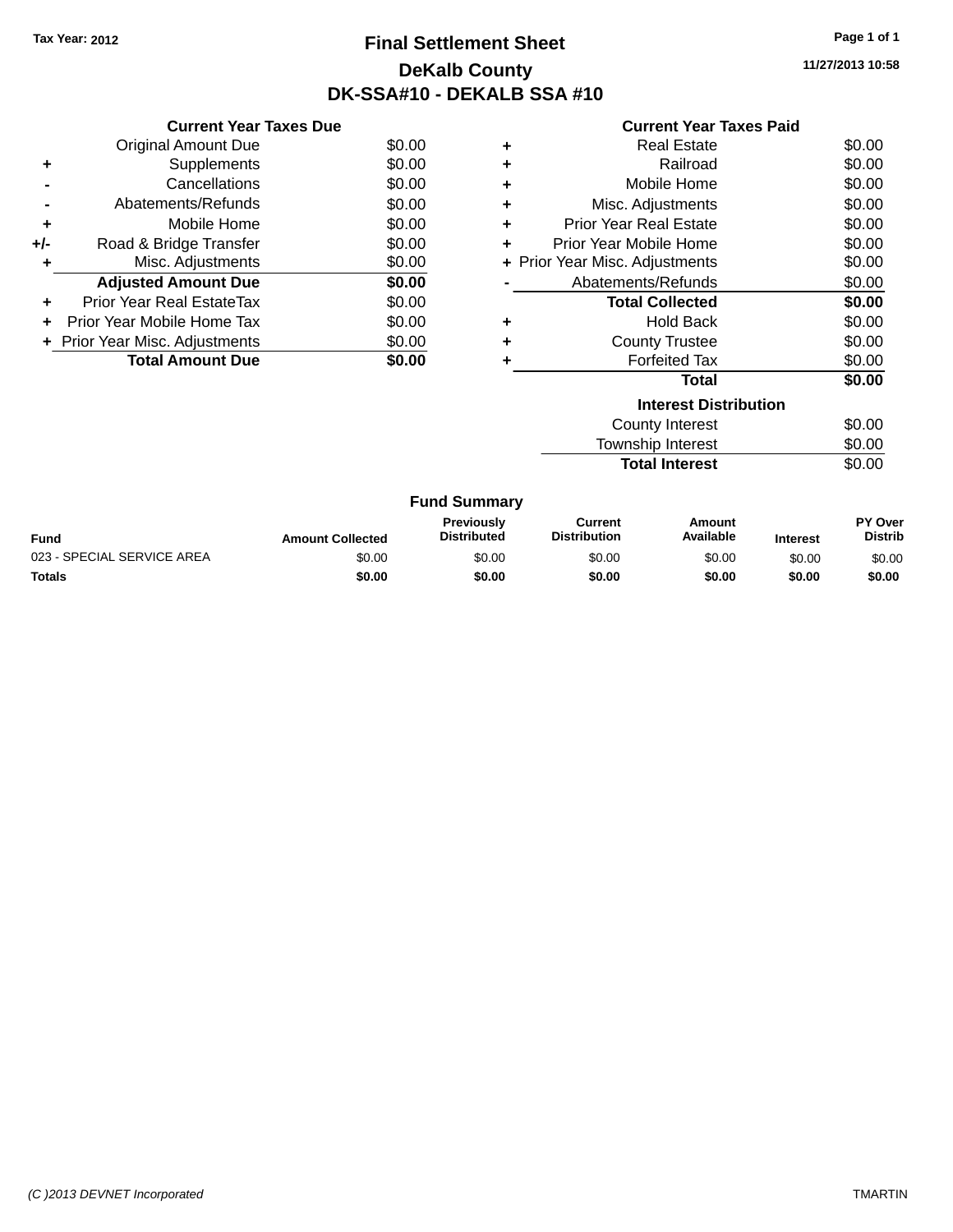# **Final Settlement Sheet Tax Year: 2012 Page 1 of 1 DeKalb County DK-SSA#10 - DEKALB SSA #10**

**11/27/2013 10:58**

| <b>Current Year Taxes Paid</b> |  |  |  |
|--------------------------------|--|--|--|
|--------------------------------|--|--|--|

|     | <b>Current Year Taxes Due</b>  |        |
|-----|--------------------------------|--------|
|     | <b>Original Amount Due</b>     | \$0.00 |
| ÷   | Supplements                    | \$0.00 |
|     | Cancellations                  | \$0.00 |
|     | Abatements/Refunds             | \$0.00 |
| ٠   | Mobile Home                    | \$0.00 |
| +/- | Road & Bridge Transfer         | \$0.00 |
|     | Misc. Adjustments              | \$0.00 |
|     | <b>Adjusted Amount Due</b>     | \$0.00 |
| ÷   | Prior Year Real EstateTax      | \$0.00 |
| ÷   | Prior Year Mobile Home Tax     | \$0.00 |
|     | + Prior Year Misc. Adjustments | \$0.00 |
|     | <b>Total Amount Due</b>        | \$0.00 |
|     |                                |        |

|   | Real Estate                    | \$0.00 |
|---|--------------------------------|--------|
| ٠ | Railroad                       | \$0.00 |
| ÷ | Mobile Home                    | \$0.00 |
| ÷ | Misc. Adjustments              | \$0.00 |
| ٠ | <b>Prior Year Real Estate</b>  | \$0.00 |
| ÷ | Prior Year Mobile Home         | \$0.00 |
|   | + Prior Year Misc. Adjustments | \$0.00 |
|   | Abatements/Refunds             | \$0.00 |
|   | <b>Total Collected</b>         | \$0.00 |
| ٠ | <b>Hold Back</b>               | \$0.00 |
| ٠ | <b>County Trustee</b>          | \$0.00 |
| ٠ | <b>Forfeited Tax</b>           | \$0.00 |
|   | Total                          | \$0.00 |
|   | <b>Interest Distribution</b>   |        |
|   | County Interest                | \$0.00 |
|   | <b>Township Interest</b>       | \$0.00 |
|   | <b>Total Interest</b>          | \$0.00 |

| <b>Fund Summary</b>        |                         |                                         |                                |                     |                 |                                  |
|----------------------------|-------------------------|-----------------------------------------|--------------------------------|---------------------|-----------------|----------------------------------|
| Fund                       | <b>Amount Collected</b> | <b>Previously</b><br><b>Distributed</b> | Current<br><b>Distribution</b> | Amount<br>Available | <b>Interest</b> | <b>PY Over</b><br><b>Distrib</b> |
| 023 - SPECIAL SERVICE AREA | \$0.00                  | \$0.00                                  | \$0.00                         | \$0.00              | \$0.00          | \$0.00                           |
| <b>Totals</b>              | \$0.00                  | \$0.00                                  | \$0.00                         | \$0.00              | \$0.00          | \$0.00                           |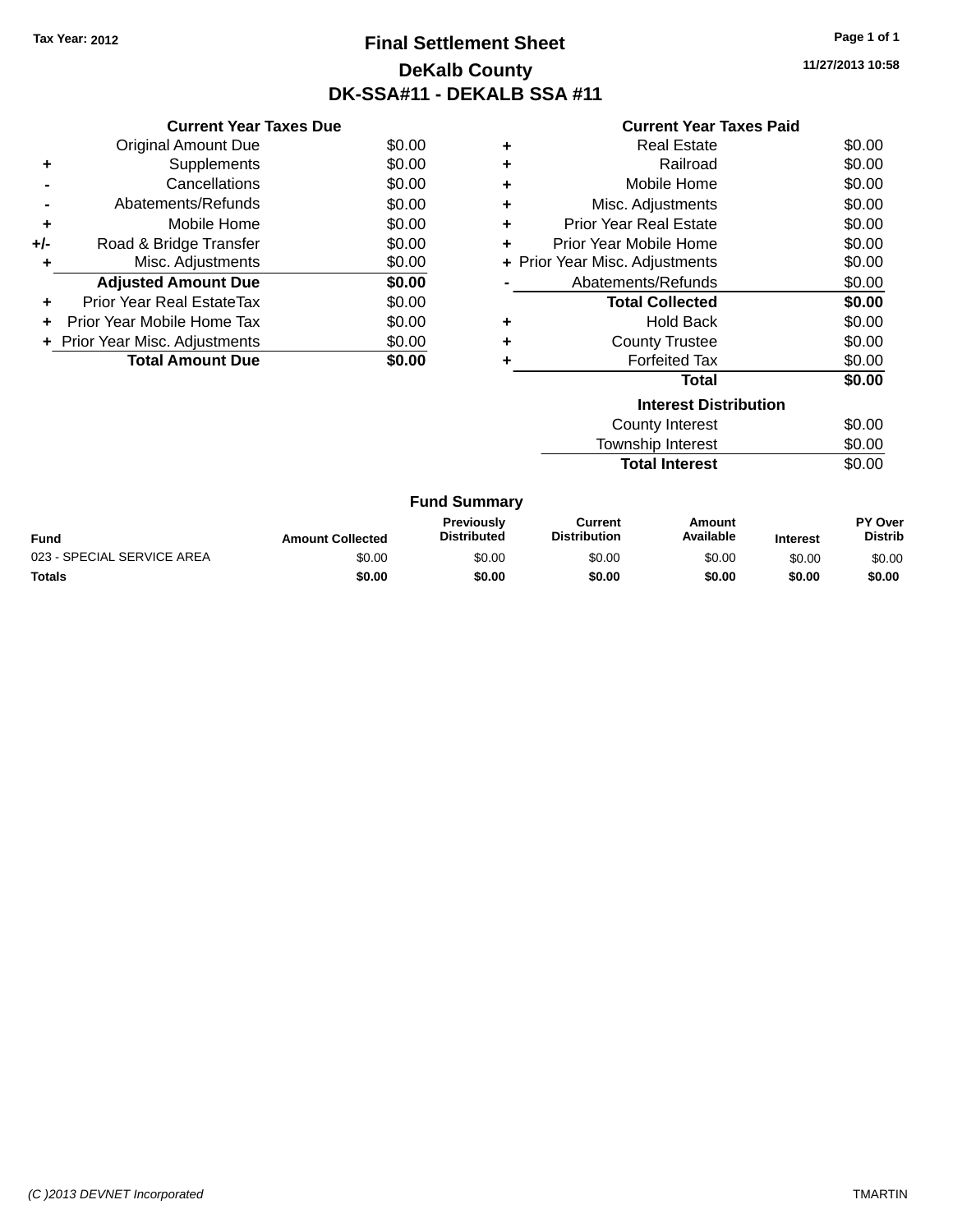# **Final Settlement Sheet Tax Year: 2012 Page 1 of 1 DeKalb County DK-SSA#11 - DEKALB SSA #11**

**11/27/2013 10:58**

| <b>Current Year Taxes Paid</b> |  |  |  |
|--------------------------------|--|--|--|
|--------------------------------|--|--|--|

|     | <b>Current Year Taxes Due</b>  |        |
|-----|--------------------------------|--------|
|     | <b>Original Amount Due</b>     | \$0.00 |
| ÷   | Supplements                    | \$0.00 |
|     | Cancellations                  | \$0.00 |
|     | Abatements/Refunds             | \$0.00 |
| ٠   | Mobile Home                    | \$0.00 |
| +/- | Road & Bridge Transfer         | \$0.00 |
| ٠   | Misc. Adjustments              | \$0.00 |
|     | <b>Adjusted Amount Due</b>     | \$0.00 |
| ٠   | Prior Year Real EstateTax      | \$0.00 |
| ÷   | Prior Year Mobile Home Tax     | \$0.00 |
|     | + Prior Year Misc. Adjustments | \$0.00 |
|     | <b>Total Amount Due</b>        | \$0.00 |

| ٠ | <b>Real Estate</b>             | \$0.00 |  |  |  |  |
|---|--------------------------------|--------|--|--|--|--|
| ÷ | Railroad                       | \$0.00 |  |  |  |  |
| ÷ | Mobile Home                    | \$0.00 |  |  |  |  |
| ٠ | Misc. Adjustments              | \$0.00 |  |  |  |  |
| ٠ | Prior Year Real Estate         | \$0.00 |  |  |  |  |
| ÷ | Prior Year Mobile Home         | \$0.00 |  |  |  |  |
|   | + Prior Year Misc. Adjustments | \$0.00 |  |  |  |  |
|   | Abatements/Refunds             | \$0.00 |  |  |  |  |
|   | <b>Total Collected</b>         | \$0.00 |  |  |  |  |
| ٠ | <b>Hold Back</b>               | \$0.00 |  |  |  |  |
| ÷ | <b>County Trustee</b>          | \$0.00 |  |  |  |  |
| ٠ | <b>Forfeited Tax</b>           | \$0.00 |  |  |  |  |
|   | Total                          | \$0.00 |  |  |  |  |
|   | <b>Interest Distribution</b>   |        |  |  |  |  |
|   | <b>County Interest</b>         | \$0.00 |  |  |  |  |
|   | <b>Township Interest</b>       | \$0.00 |  |  |  |  |
|   | <b>Total Interest</b>          | \$0.00 |  |  |  |  |

| <b>Fund Summary</b>        |                         |                                         |                                |                     |                 |                           |
|----------------------------|-------------------------|-----------------------------------------|--------------------------------|---------------------|-----------------|---------------------------|
| Fund                       | <b>Amount Collected</b> | <b>Previously</b><br><b>Distributed</b> | Current<br><b>Distribution</b> | Amount<br>Available | <b>Interest</b> | PY Over<br><b>Distrib</b> |
| 023 - SPECIAL SERVICE AREA | \$0.00                  | \$0.00                                  | \$0.00                         | \$0.00              | \$0.00          | \$0.00                    |
| <b>Totals</b>              | \$0.00                  | \$0.00                                  | \$0.00                         | \$0.00              | \$0.00          | \$0.00                    |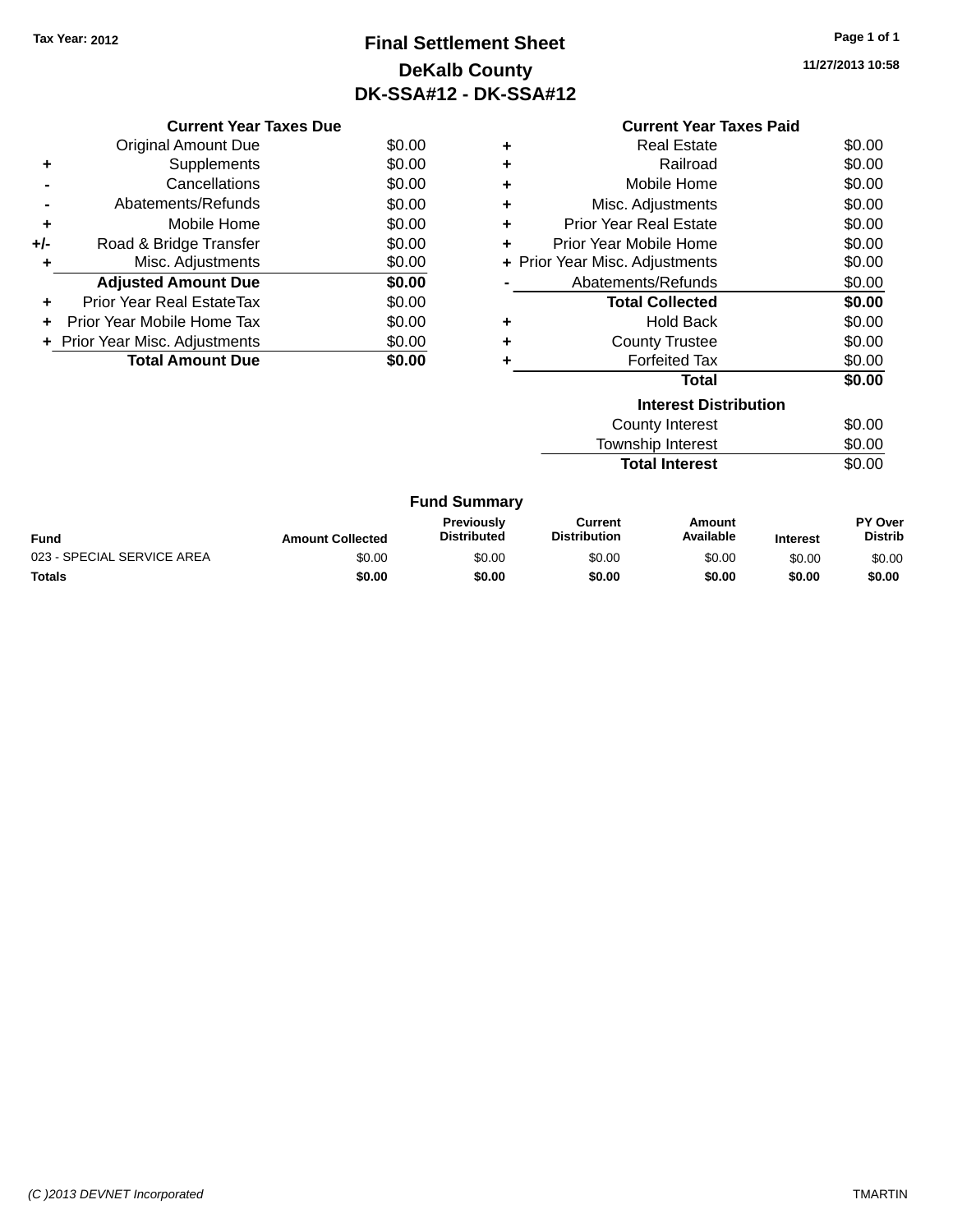# **Final Settlement Sheet Tax Year: 2012 Page 1 of 1 DeKalb County DK-SSA#12 - DK-SSA#12**

**11/27/2013 10:58**

|     | <b>Current Year Taxes Due</b>  |        |
|-----|--------------------------------|--------|
|     | Original Amount Due            | \$0.00 |
|     | Supplements                    | \$0.00 |
|     | Cancellations                  | \$0.00 |
|     | Abatements/Refunds             | \$0.00 |
| ٠   | Mobile Home                    | \$0.00 |
| +/- | Road & Bridge Transfer         | \$0.00 |
|     | Misc. Adjustments              | \$0.00 |
|     | <b>Adjusted Amount Due</b>     | \$0.00 |
|     | Prior Year Real EstateTax      | \$0.00 |
| ÷   | Prior Year Mobile Home Tax     | \$0.00 |
|     | + Prior Year Misc. Adjustments | \$0.00 |
|     | <b>Total Amount Due</b>        | \$0.00 |

|   | <b>Current Year Taxes Paid</b> |        |
|---|--------------------------------|--------|
| ٠ | Real Estate                    | \$0.00 |
| ٠ | Railroad                       | \$0.00 |
| ٠ | Mobile Home                    | \$0.00 |
| ٠ | Misc. Adjustments              | \$0.00 |
| ٠ | Prior Year Real Estate         | \$0.00 |
| ٠ | Prior Year Mobile Home         | \$0.00 |
|   | + Prior Year Misc. Adjustments | \$0.00 |
|   | Abatements/Refunds             | \$0.00 |
|   | <b>Total Collected</b>         | \$0.00 |
| ٠ | <b>Hold Back</b>               | \$0.00 |
| ٠ | <b>County Trustee</b>          | \$0.00 |
| ٠ | <b>Forfeited Tax</b>           | \$0.00 |
|   | Total                          | \$0.00 |
|   | <b>Interest Distribution</b>   |        |
|   | County Interest                | \$0.00 |
|   | <b>Township Interest</b>       | \$0.00 |

**Total Interest** \$0.00

| <b>Fund Summary</b> |  |
|---------------------|--|
|---------------------|--|

| <b>Fund</b>                | <b>Amount Collected</b> | <b>Previously</b><br><b>Distributed</b> | Current<br><b>Distribution</b> | Amount<br>Available | <b>Interest</b> | <b>PY Over</b><br><b>Distrib</b> |
|----------------------------|-------------------------|-----------------------------------------|--------------------------------|---------------------|-----------------|----------------------------------|
| 023 - SPECIAL SERVICE AREA | \$0.00                  | \$0.00                                  | \$0.00                         | \$0.00              | \$0.00          | \$0.00                           |
| <b>Totals</b>              | \$0.00                  | \$0.00                                  | \$0.00                         | \$0.00              | \$0.00          | \$0.00                           |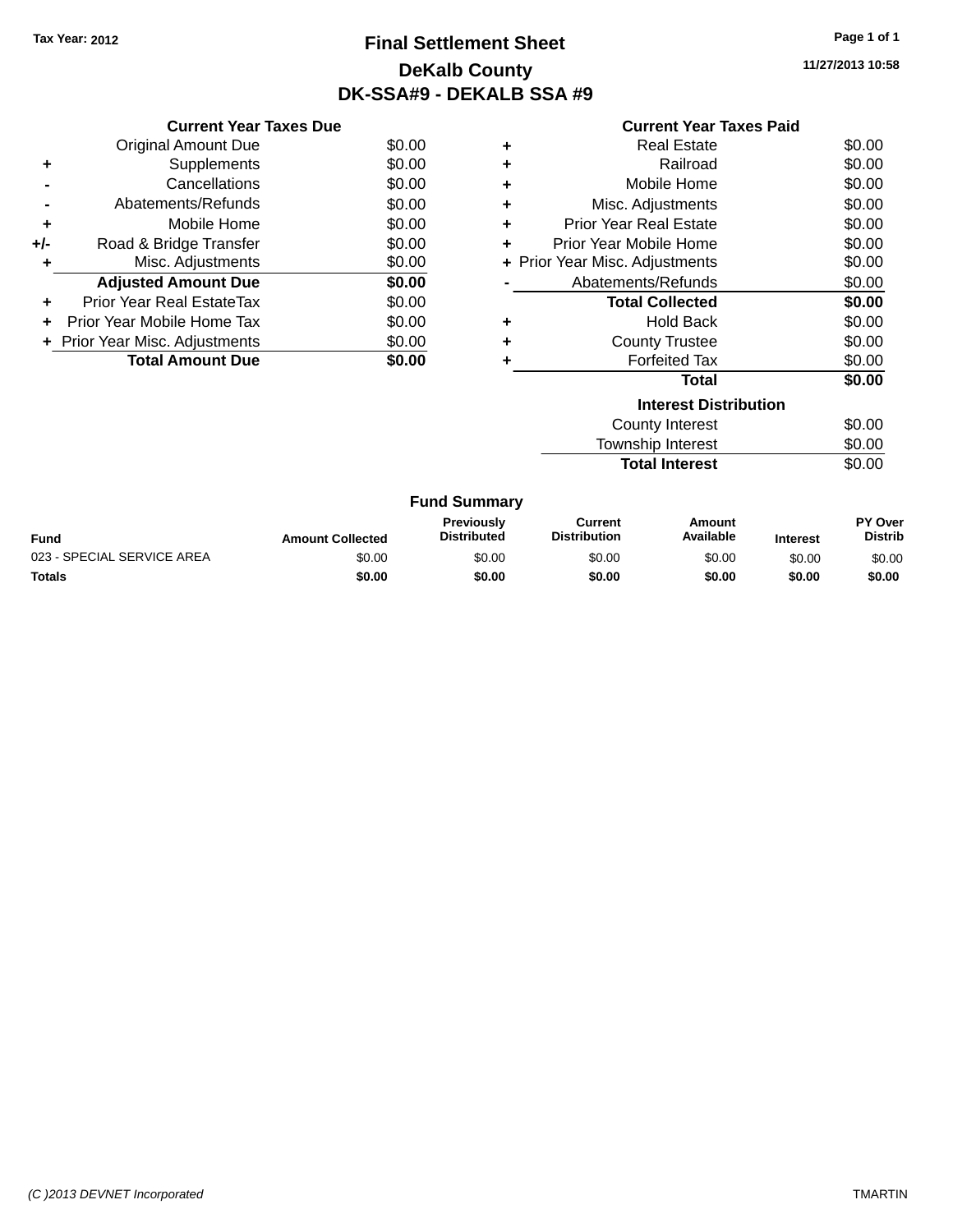# **Final Settlement Sheet Tax Year: 2012 Page 1 of 1 DeKalb County DK-SSA#9 - DEKALB SSA #9**

**11/27/2013 10:58**

#### **Current Year Taxes Paid**

|     | <b>Current Year Taxes Due</b>    |        |
|-----|----------------------------------|--------|
|     | <b>Original Amount Due</b>       | \$0.00 |
| ٠   | Supplements                      | \$0.00 |
|     | Cancellations                    | \$0.00 |
|     | Abatements/Refunds               | \$0.00 |
| ٠   | Mobile Home                      | \$0.00 |
| +/- | Road & Bridge Transfer           | \$0.00 |
| ٠   | Misc. Adjustments                | \$0.00 |
|     | <b>Adjusted Amount Due</b>       | \$0.00 |
| ÷   | <b>Prior Year Real EstateTax</b> | \$0.00 |
| ÷   | Prior Year Mobile Home Tax       | \$0.00 |
|     | + Prior Year Misc. Adjustments   | \$0.00 |
|     | <b>Total Amount Due</b>          | \$0.00 |

| ٠ | <b>Real Estate</b>             | \$0.00 |
|---|--------------------------------|--------|
| ÷ | Railroad                       | \$0.00 |
| ٠ | Mobile Home                    | \$0.00 |
| ٠ | Misc. Adjustments              | \$0.00 |
| ٠ | <b>Prior Year Real Estate</b>  | \$0.00 |
| ÷ | Prior Year Mobile Home         | \$0.00 |
|   | + Prior Year Misc. Adjustments | \$0.00 |
|   | Abatements/Refunds             | \$0.00 |
|   | <b>Total Collected</b>         | \$0.00 |
| ٠ | <b>Hold Back</b>               | \$0.00 |
| ٠ | <b>County Trustee</b>          | \$0.00 |
|   | <b>Forfeited Tax</b>           | \$0.00 |
|   | <b>Total</b>                   | \$0.00 |
|   | <b>Interest Distribution</b>   |        |
|   | County Interest                | \$0.00 |
|   |                                | ີ່     |

| Township Interest     | \$0.00 |
|-----------------------|--------|
| <b>Total Interest</b> | \$0.00 |

| <b>Fund</b>                | <b>Amount Collected</b> | Previously<br><b>Distributed</b> | Current<br><b>Distribution</b> | Amount<br>Available | <b>Interest</b> | <b>PY Over</b><br><b>Distrib</b> |
|----------------------------|-------------------------|----------------------------------|--------------------------------|---------------------|-----------------|----------------------------------|
| 023 - SPECIAL SERVICE AREA | \$0.00                  | \$0.00                           | \$0.00                         | \$0.00              | \$0.00          | \$0.00                           |
| <b>Totals</b>              | \$0.00                  | \$0.00                           | \$0.00                         | \$0.00              | \$0.00          | \$0.00                           |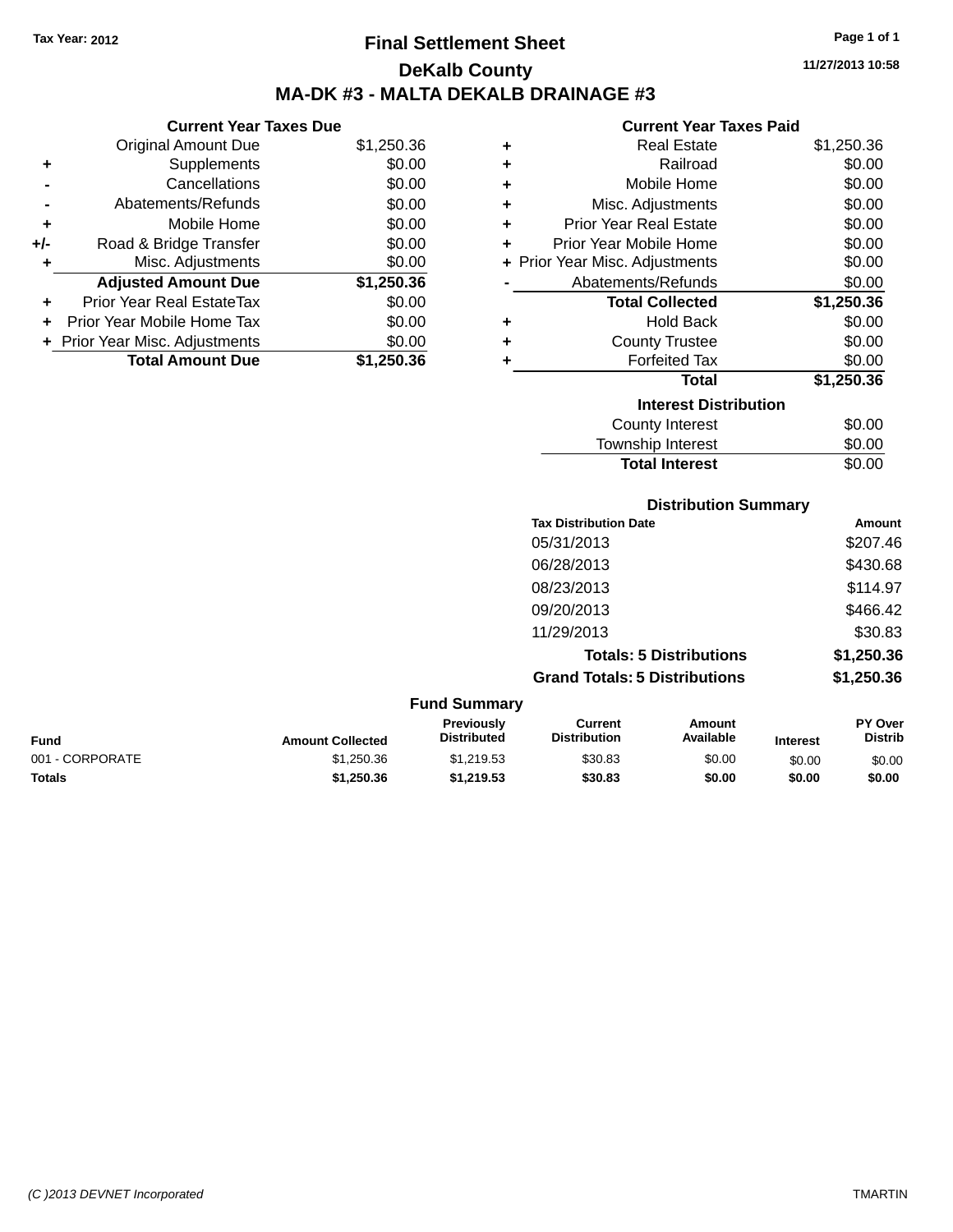**Current Year Taxes Due**

# **Final Settlement Sheet Tax Year: 2012 Page 1 of 1 DeKalb County MA-DK #3 - MALTA DEKALB DRAINAGE #3**

**11/27/2013 10:58**

#### **Current Year Taxes Paid**

| OGNOM TOGEN GAOO DUG |                                |            |   |                                |            |
|----------------------|--------------------------------|------------|---|--------------------------------|------------|
|                      | <b>Original Amount Due</b>     | \$1,250.36 | ٠ | <b>Real Estate</b>             | \$1,250.36 |
| ٠                    | Supplements                    | \$0.00     | ٠ | Railroad                       | \$0.00     |
|                      | Cancellations                  | \$0.00     | ÷ | Mobile Home                    | \$0.00     |
|                      | Abatements/Refunds             | \$0.00     | ÷ | Misc. Adjustments              | \$0.00     |
| ٠                    | Mobile Home                    | \$0.00     | ٠ | <b>Prior Year Real Estate</b>  | \$0.00     |
| +/-                  | Road & Bridge Transfer         | \$0.00     | ٠ | Prior Year Mobile Home         | \$0.00     |
|                      | Misc. Adjustments              | \$0.00     |   | + Prior Year Misc. Adjustments | \$0.00     |
|                      | <b>Adjusted Amount Due</b>     | \$1,250.36 |   | Abatements/Refunds             | \$0.00     |
| ÷.                   | Prior Year Real EstateTax      | \$0.00     |   | <b>Total Collected</b>         | \$1,250.36 |
|                      | Prior Year Mobile Home Tax     | \$0.00     | ÷ | <b>Hold Back</b>               | \$0.00     |
|                      | + Prior Year Misc. Adjustments | \$0.00     | ٠ | <b>County Trustee</b>          | \$0.00     |
|                      | <b>Total Amount Due</b>        | \$1,250.36 |   | <b>Forfeited Tax</b>           | \$0.00     |
|                      |                                |            |   | <b>Total</b>                   | \$1,250.36 |
|                      |                                |            |   | <b>Interest Distribution</b>   |            |
|                      |                                |            |   | County Interest                | \$0.00     |
|                      |                                |            |   | <b>Township Interest</b>       | \$0.00     |

|   |                                                                 |                                         |                                       | <b>IVIIIIOIIIP IIIIOIUU</b>       |                                 | vv.vv                     |
|---|-----------------------------------------------------------------|-----------------------------------------|---------------------------------------|-----------------------------------|---------------------------------|---------------------------|
|   |                                                                 |                                         |                                       | <b>Total Interest</b>             |                                 | \$0.00                    |
|   |                                                                 |                                         |                                       | <b>Distribution Summary</b>       |                                 |                           |
|   |                                                                 |                                         | <b>Tax Distribution Date</b>          |                                   |                                 | Amount                    |
|   |                                                                 |                                         | 05/31/2013                            |                                   |                                 | \$207.46                  |
|   |                                                                 |                                         | 06/28/2013                            |                                   |                                 | \$430.68                  |
|   |                                                                 |                                         | 08/23/2013                            |                                   |                                 | \$114.97                  |
|   |                                                                 |                                         | 09/20/2013                            |                                   |                                 | \$466.42                  |
|   |                                                                 |                                         | 11/29/2013                            |                                   |                                 | \$30.83                   |
|   |                                                                 |                                         |                                       | <b>Totals: 5 Distributions</b>    |                                 | \$1,250.36                |
|   |                                                                 |                                         | <b>Grand Totals: 5 Distributions</b>  |                                   |                                 | \$1,250.36                |
|   |                                                                 | <b>Fund Summary</b>                     |                                       |                                   |                                 |                           |
| . | A construction of $\mathbf{A}$ of $\mathbf{B}$ and $\mathbf{A}$ | <b>Previously</b><br><b>Dictributed</b> | <b>Current</b><br><b>Dictribution</b> | <b>Amount</b><br><b>Available</b> | <b>The Common Street Common</b> | PY Over<br><b>Dictrib</b> |

| <b>Fund</b>     | <b>Amount Collected</b> | Previously<br><b>Distributed</b> | Current<br><b>Distribution</b> | Amount<br>Available | <b>Interest</b> | <b>PY Over</b><br><b>Distrib</b> |
|-----------------|-------------------------|----------------------------------|--------------------------------|---------------------|-----------------|----------------------------------|
| 001 - CORPORATE | \$1.250.36              | \$1.219.53                       | \$30.83                        | \$0.00              | \$0.00          | \$0.00                           |
| <b>Totals</b>   | \$1.250.36              | \$1,219.53                       | \$30.83                        | \$0.00              | \$0.00          | \$0.00                           |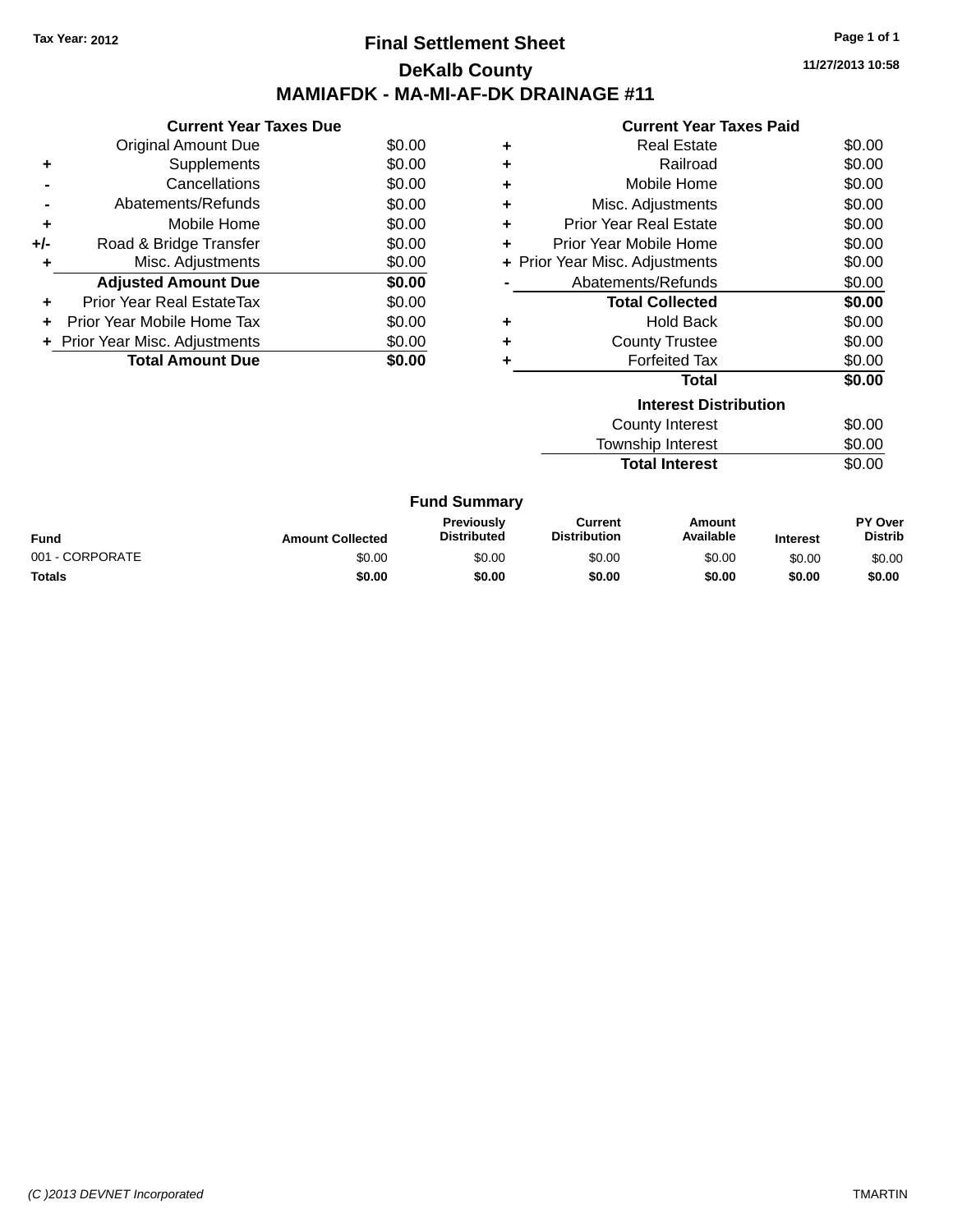### **Final Settlement Sheet Tax Year: 2012 Page 1 of 1 DeKalb County MAMIAFDK - MA-MI-AF-DK DRAINAGE #11**

**11/27/2013 10:58**

| . . |  |  |  |  |  | _ _ _ . |  | $\sim$ |  |
|-----|--|--|--|--|--|---------|--|--------|--|
|     |  |  |  |  |  |         |  |        |  |
|     |  |  |  |  |  |         |  |        |  |
|     |  |  |  |  |  |         |  |        |  |
|     |  |  |  |  |  |         |  |        |  |

|     | <b>Current Year Taxes Due</b>  |        |
|-----|--------------------------------|--------|
|     | Original Amount Due            | \$0.00 |
|     | Supplements                    | \$0.00 |
|     | Cancellations                  | \$0.00 |
|     | Abatements/Refunds             | \$0.00 |
| ٠   | Mobile Home                    | \$0.00 |
| +/- | Road & Bridge Transfer         | \$0.00 |
| ٠   | Misc. Adjustments              | \$0.00 |
|     | <b>Adjusted Amount Due</b>     | \$0.00 |
|     | Prior Year Real EstateTax      | \$0.00 |
|     | Prior Year Mobile Home Tax     | \$0.00 |
|     | + Prior Year Misc. Adjustments | \$0.00 |
|     | <b>Total Amount Due</b>        | \$0.00 |
|     |                                |        |

|   | <b>Current Year Taxes Paid</b> |        |
|---|--------------------------------|--------|
| ٠ | Real Estate                    | \$0.00 |
| ٠ | Railroad                       | \$0.00 |
| ٠ | Mobile Home                    | \$0.00 |
| ٠ | Misc. Adjustments              | \$0.00 |
| ٠ | <b>Prior Year Real Estate</b>  | \$0.00 |
| ٠ | Prior Year Mobile Home         | \$0.00 |
|   | + Prior Year Misc. Adjustments | \$0.00 |
|   | Abatements/Refunds             | \$0.00 |
|   | <b>Total Collected</b>         | \$0.00 |
| ٠ | <b>Hold Back</b>               | \$0.00 |
|   | <b>County Trustee</b>          | \$0.00 |
|   | <b>Forfeited Tax</b>           | \$0.00 |
|   | <b>Total</b>                   | \$0.00 |
|   | <b>Interest Distribution</b>   |        |
|   | <b>County Interest</b>         | \$0.00 |

**Total Interest** 

Township Interest \$0.00<br>
Total Interest \$0.00

|                 |                         | <b>Fund Summary</b>                     |                                |                     |                 |                           |
|-----------------|-------------------------|-----------------------------------------|--------------------------------|---------------------|-----------------|---------------------------|
| <b>Fund</b>     | <b>Amount Collected</b> | <b>Previously</b><br><b>Distributed</b> | Current<br><b>Distribution</b> | Amount<br>Available | <b>Interest</b> | PY Over<br><b>Distrib</b> |
| 001 - CORPORATE | \$0.00                  | \$0.00                                  | \$0.00                         | \$0.00              | \$0.00          | \$0.00                    |
| <b>Totals</b>   | \$0.00                  | \$0.00                                  | \$0.00                         | \$0.00              | \$0.00          | \$0.00                    |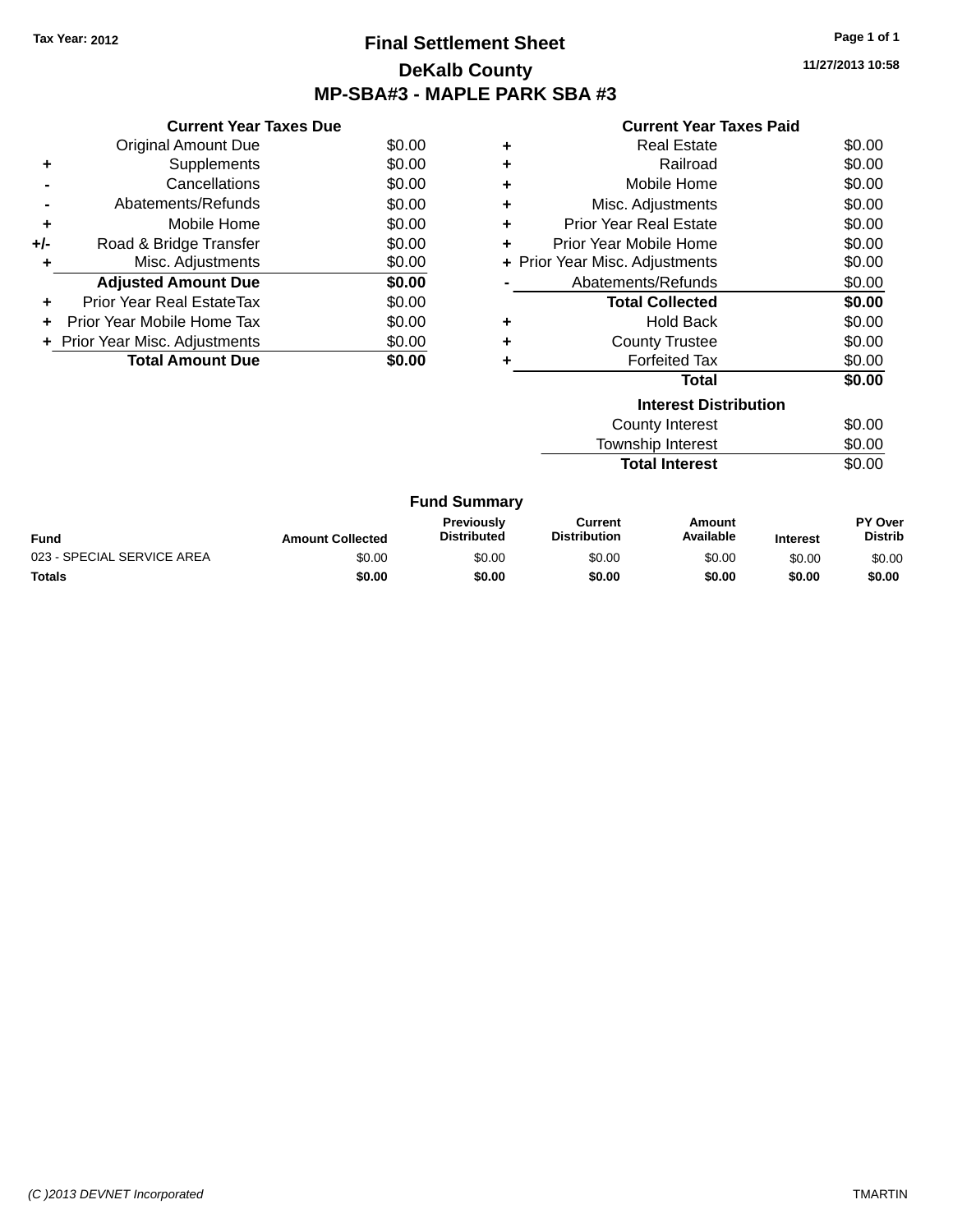### **Final Settlement Sheet Tax Year: 2012 Page 1 of 1 DeKalb County MP-SBA#3 - MAPLE PARK SBA #3**

**11/27/2013 10:58**

| <b>Current Year Taxes Paid</b> |  |  |  |
|--------------------------------|--|--|--|
|--------------------------------|--|--|--|

|     | <b>Current Year Taxes Due</b>  |        |
|-----|--------------------------------|--------|
|     | <b>Original Amount Due</b>     | \$0.00 |
| ٠   | Supplements                    | \$0.00 |
|     | Cancellations                  | \$0.00 |
|     | Abatements/Refunds             | \$0.00 |
| ٠   | Mobile Home                    | \$0.00 |
| +/- | Road & Bridge Transfer         | \$0.00 |
|     | Misc. Adjustments              | \$0.00 |
|     | <b>Adjusted Amount Due</b>     | \$0.00 |
| ÷   | Prior Year Real EstateTax      | \$0.00 |
|     | Prior Year Mobile Home Tax     | \$0.00 |
|     | + Prior Year Misc. Adjustments | \$0.00 |
|     | <b>Total Amount Due</b>        | SO.OO  |

| ٠ | <b>Real Estate</b>             | \$0.00 |  |  |  |  |  |
|---|--------------------------------|--------|--|--|--|--|--|
| ٠ | Railroad                       | \$0.00 |  |  |  |  |  |
| ٠ | Mobile Home                    | \$0.00 |  |  |  |  |  |
| ٠ | Misc. Adjustments              | \$0.00 |  |  |  |  |  |
| ٠ | <b>Prior Year Real Estate</b>  | \$0.00 |  |  |  |  |  |
| ٠ | Prior Year Mobile Home         | \$0.00 |  |  |  |  |  |
|   | + Prior Year Misc. Adjustments | \$0.00 |  |  |  |  |  |
|   | Abatements/Refunds             | \$0.00 |  |  |  |  |  |
|   | <b>Total Collected</b>         | \$0.00 |  |  |  |  |  |
| ٠ | <b>Hold Back</b>               | \$0.00 |  |  |  |  |  |
| ٠ | <b>County Trustee</b>          | \$0.00 |  |  |  |  |  |
| ٠ | <b>Forfeited Tax</b>           | \$0.00 |  |  |  |  |  |
|   | Total                          | \$0.00 |  |  |  |  |  |
|   | <b>Interest Distribution</b>   |        |  |  |  |  |  |
|   | <b>County Interest</b>         | \$0.00 |  |  |  |  |  |
|   | <b>Township Interest</b>       | \$0.00 |  |  |  |  |  |
|   | <b>Total Interest</b>          | \$0.00 |  |  |  |  |  |

|                            | <b>Fund Summary</b>     |                                         |                                |                     |                 |                           |
|----------------------------|-------------------------|-----------------------------------------|--------------------------------|---------------------|-----------------|---------------------------|
| Fund                       | <b>Amount Collected</b> | <b>Previously</b><br><b>Distributed</b> | Current<br><b>Distribution</b> | Amount<br>Available | <b>Interest</b> | PY Over<br><b>Distrib</b> |
| 023 - SPECIAL SERVICE AREA | \$0.00                  | \$0.00                                  | \$0.00                         | \$0.00              | \$0.00          | \$0.00                    |
| <b>Totals</b>              | \$0.00                  | \$0.00                                  | \$0.00                         | \$0.00              | \$0.00          | \$0.00                    |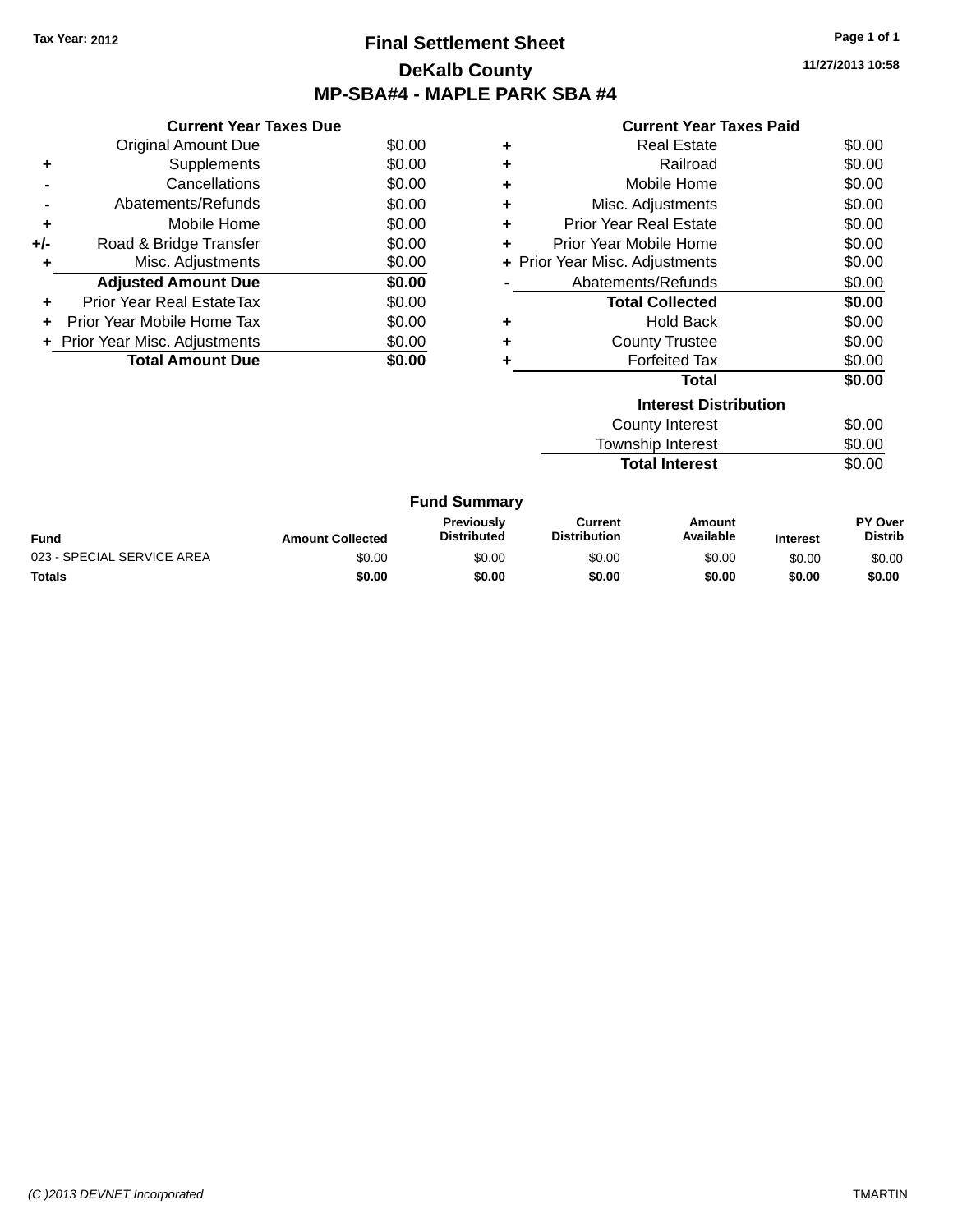### **Final Settlement Sheet Tax Year: 2012 Page 1 of 1 DeKalb County MP-SBA#4 - MAPLE PARK SBA #4**

**11/27/2013 10:58**

| <b>Current Year Taxes Paid</b> |  |  |  |
|--------------------------------|--|--|--|
|--------------------------------|--|--|--|

|       | <b>Current Year Taxes Due</b>  |        |
|-------|--------------------------------|--------|
|       | <b>Original Amount Due</b>     | \$0.00 |
| ٠     | Supplements                    | \$0.00 |
|       | Cancellations                  | \$0.00 |
|       | Abatements/Refunds             | \$0.00 |
| ٠     | Mobile Home                    | \$0.00 |
| $+/-$ | Road & Bridge Transfer         | \$0.00 |
|       | Misc. Adjustments              | \$0.00 |
|       | <b>Adjusted Amount Due</b>     | \$0.00 |
| ٠     | Prior Year Real EstateTax      | \$0.00 |
|       | Prior Year Mobile Home Tax     | \$0.00 |
|       | + Prior Year Misc. Adjustments | \$0.00 |
|       | <b>Total Amount Due</b>        | \$0.00 |
|       |                                |        |

|   | Real Estate                    | \$0.00 |  |  |  |  |  |
|---|--------------------------------|--------|--|--|--|--|--|
| ٠ | Railroad                       | \$0.00 |  |  |  |  |  |
| ÷ | Mobile Home                    | \$0.00 |  |  |  |  |  |
| ÷ | Misc. Adjustments              | \$0.00 |  |  |  |  |  |
| ٠ | <b>Prior Year Real Estate</b>  | \$0.00 |  |  |  |  |  |
| ÷ | Prior Year Mobile Home         | \$0.00 |  |  |  |  |  |
|   | + Prior Year Misc. Adjustments | \$0.00 |  |  |  |  |  |
|   | Abatements/Refunds             | \$0.00 |  |  |  |  |  |
|   | <b>Total Collected</b>         | \$0.00 |  |  |  |  |  |
| ٠ | <b>Hold Back</b>               | \$0.00 |  |  |  |  |  |
| ٠ | <b>County Trustee</b>          | \$0.00 |  |  |  |  |  |
| ٠ | <b>Forfeited Tax</b>           | \$0.00 |  |  |  |  |  |
|   | Total                          | \$0.00 |  |  |  |  |  |
|   | <b>Interest Distribution</b>   |        |  |  |  |  |  |
|   | County Interest                | \$0.00 |  |  |  |  |  |
|   | <b>Township Interest</b>       | \$0.00 |  |  |  |  |  |
|   | <b>Total Interest</b>          | \$0.00 |  |  |  |  |  |

|                            |                         | <b>Fund Summary</b>                     |                                |                     |                 |                                  |
|----------------------------|-------------------------|-----------------------------------------|--------------------------------|---------------------|-----------------|----------------------------------|
| <b>Fund</b>                | <b>Amount Collected</b> | <b>Previously</b><br><b>Distributed</b> | Current<br><b>Distribution</b> | Amount<br>Available | <b>Interest</b> | <b>PY Over</b><br><b>Distrib</b> |
| 023 - SPECIAL SERVICE AREA | \$0.00                  | \$0.00                                  | \$0.00                         | \$0.00              | \$0.00          | \$0.00                           |
| <b>Totals</b>              | \$0.00                  | \$0.00                                  | \$0.00                         | \$0.00              | \$0.00          | \$0.00                           |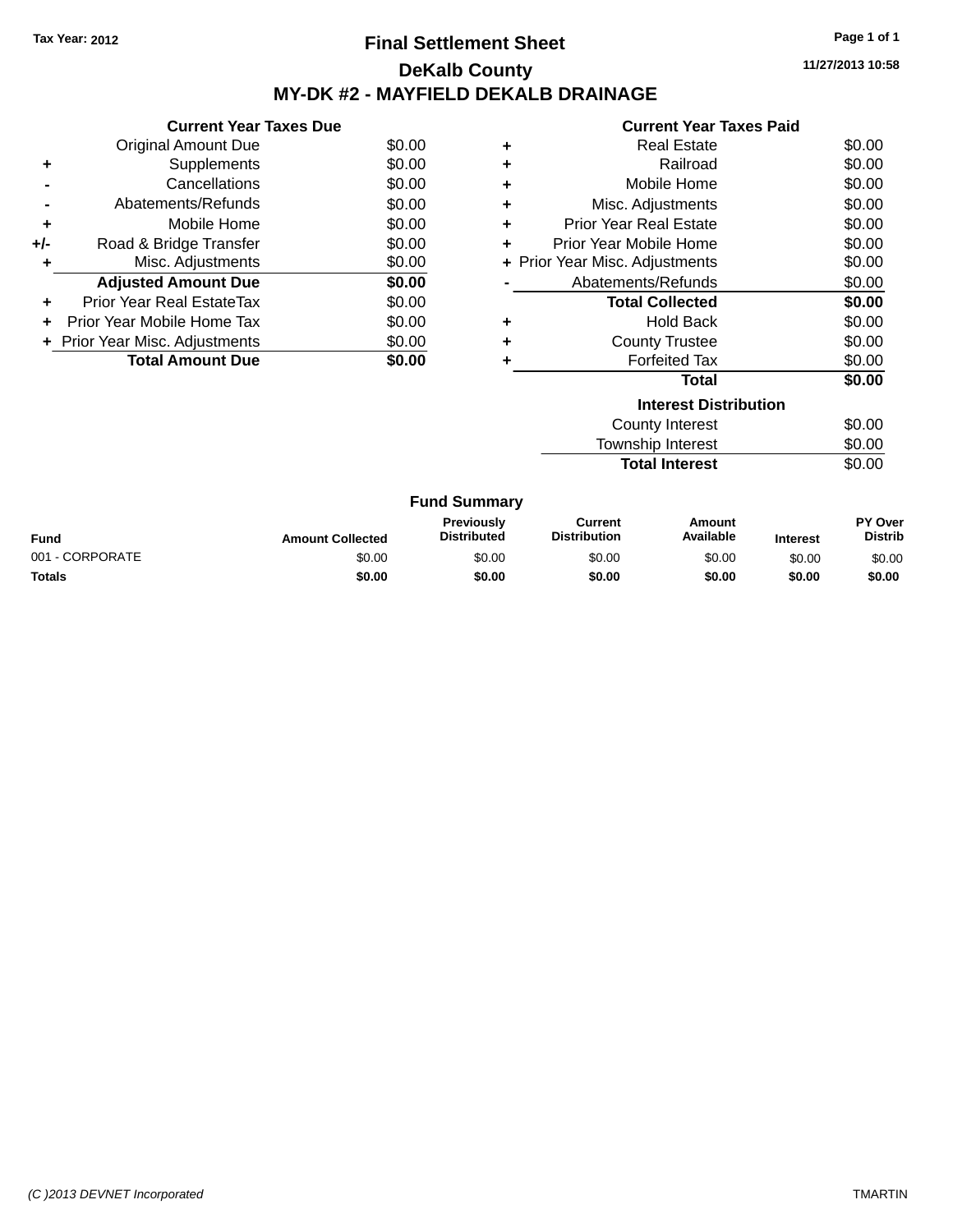### **Final Settlement Sheet Tax Year: 2012 Page 1 of 1 DeKalb County MY-DK #2 - MAYFIELD DEKALB DRAINAGE**

**11/27/2013 10:58**

|       | <b>Current Year Taxes Due</b>  |        |
|-------|--------------------------------|--------|
|       | Original Amount Due            | \$0.00 |
| ٠     | Supplements                    | \$0.00 |
|       | Cancellations                  | \$0.00 |
|       | Abatements/Refunds             | \$0.00 |
| ٠     | Mobile Home                    | \$0.00 |
| $+/-$ | Road & Bridge Transfer         | \$0.00 |
|       | Misc. Adjustments              | \$0.00 |
|       | <b>Adjusted Amount Due</b>     | \$0.00 |
|       | Prior Year Real EstateTax      | \$0.00 |
|       | Prior Year Mobile Home Tax     | \$0.00 |
|       | + Prior Year Misc. Adjustments | \$0.00 |
|       | <b>Total Amount Due</b>        | \$0.00 |
|       |                                |        |

|   | <b>Current Year Taxes Paid</b> |        |
|---|--------------------------------|--------|
| ٠ | <b>Real Estate</b>             | \$0.00 |
| ٠ | Railroad                       | \$0.00 |
| ÷ | Mobile Home                    | \$0.00 |
| ٠ | Misc. Adjustments              | \$0.00 |
| ٠ | Prior Year Real Estate         | \$0.00 |
| ٠ | Prior Year Mobile Home         | \$0.00 |
|   | + Prior Year Misc. Adjustments | \$0.00 |
|   | Abatements/Refunds             | \$0.00 |
|   | <b>Total Collected</b>         | \$0.00 |
| ٠ | <b>Hold Back</b>               | \$0.00 |
| ٠ | <b>County Trustee</b>          | \$0.00 |
| ٠ | <b>Forfeited Tax</b>           | \$0.00 |
|   | <b>Total</b>                   | \$0.00 |
|   | <b>Interest Distribution</b>   |        |
|   | <b>County Interest</b>         | \$0.00 |

**Total Interest** 

Township Interest \$0.00<br>
Total Interest \$0.00

|                 |                         | <b>Fund Summary</b>              |                                |                     |                 |                                  |
|-----------------|-------------------------|----------------------------------|--------------------------------|---------------------|-----------------|----------------------------------|
| Fund            | <b>Amount Collected</b> | Previously<br><b>Distributed</b> | Current<br><b>Distribution</b> | Amount<br>Available | <b>Interest</b> | <b>PY Over</b><br><b>Distrib</b> |
| 001 - CORPORATE | \$0.00                  | \$0.00                           | \$0.00                         | \$0.00              | \$0.00          | \$0.00                           |
| <b>Totals</b>   | \$0.00                  | \$0.00                           | \$0.00                         | \$0.00              | \$0.00          | \$0.00                           |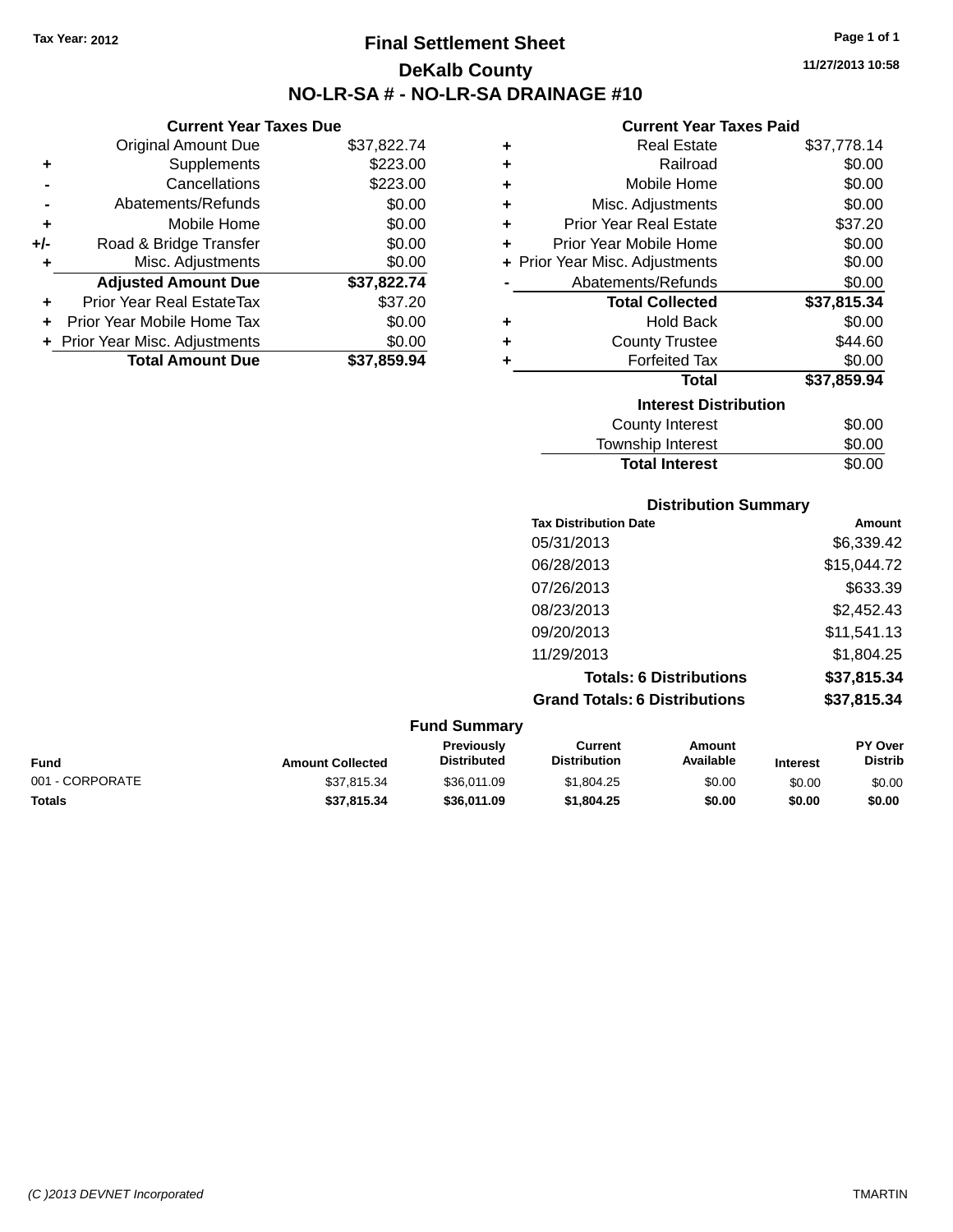**Current Year Taxes Due** Original Amount Due \$37,822.74

**Adjusted Amount Due \$37,822.74**

**Total Amount Due \$37,859.94**

**+** Supplements \$223.00 **-** Cancellations \$223.00 **-** Abatements/Refunds \$0.00 **+** Mobile Home \$0.00 **+/-** Road & Bridge Transfer \$0.00 **+** Misc. Adjustments \$0.00

**+** Prior Year Real EstateTax \$37.20 **+** Prior Year Mobile Home Tax \$0.00 **+ Prior Year Misc. Adjustments**  $$0.00$ 

# **Final Settlement Sheet Tax Year: 2012 Page 1 of 1 DeKalb County NO-LR-SA # - NO-LR-SA DRAINAGE #10**

**11/27/2013 10:58**

#### **Current Year Taxes Paid**

| ٠ | <b>Real Estate</b>             | \$37,778.14 |
|---|--------------------------------|-------------|
| ٠ | Railroad                       | \$0.00      |
| ٠ | Mobile Home                    | \$0.00      |
| ٠ | Misc. Adjustments              | \$0.00      |
| ÷ | <b>Prior Year Real Estate</b>  | \$37.20     |
| ٠ | Prior Year Mobile Home         | \$0.00      |
|   | + Prior Year Misc. Adjustments | \$0.00      |
|   | Abatements/Refunds             | \$0.00      |
|   | <b>Total Collected</b>         | \$37,815.34 |
| ٠ | <b>Hold Back</b>               | \$0.00      |
| ٠ | <b>County Trustee</b>          | \$44.60     |
| ٠ | <b>Forfeited Tax</b>           | \$0.00      |
|   | <b>Total</b>                   | \$37,859.94 |
|   | <b>Interest Distribution</b>   |             |
|   | <b>County Interest</b>         | \$0.00      |
|   | Township Interest              | \$0.00      |

**Total Interest** \$0.00

|                 |                         |                                  | <b>Distribution Summary</b>           |                                |                 |                           |
|-----------------|-------------------------|----------------------------------|---------------------------------------|--------------------------------|-----------------|---------------------------|
|                 |                         |                                  | <b>Tax Distribution Date</b>          |                                |                 | Amount                    |
|                 |                         |                                  | 05/31/2013                            |                                |                 | \$6,339.42                |
|                 |                         |                                  | 06/28/2013                            |                                |                 | \$15,044.72               |
|                 |                         |                                  | 07/26/2013                            |                                |                 | \$633.39                  |
|                 |                         |                                  | 08/23/2013                            |                                |                 | \$2,452.43                |
|                 |                         |                                  | 09/20/2013                            |                                |                 | \$11,541.13               |
|                 |                         |                                  | 11/29/2013                            |                                |                 | \$1,804.25                |
|                 |                         |                                  |                                       | <b>Totals: 6 Distributions</b> |                 | \$37,815.34               |
|                 |                         |                                  | <b>Grand Totals: 6 Distributions</b>  |                                |                 | \$37,815.34               |
|                 |                         | <b>Fund Summary</b>              |                                       |                                |                 |                           |
| <b>Fund</b>     | <b>Amount Collected</b> | Previously<br><b>Distributed</b> | <b>Current</b><br><b>Distribution</b> | <b>Amount</b><br>Available     | <b>Interest</b> | PY Over<br><b>Distrib</b> |
| 001 - CORPORATE | \$37,815.34             | \$36,011.09                      | \$1,804.25                            | \$0.00                         | \$0.00          | \$0.00                    |

**Totals \$37,815.34 \$36,011.09 \$1,804.25 \$0.00 \$0.00 \$0.00**

| (C) 2013 DEVNET Incorporated | <b>TMARTIN</b> |
|------------------------------|----------------|
|------------------------------|----------------|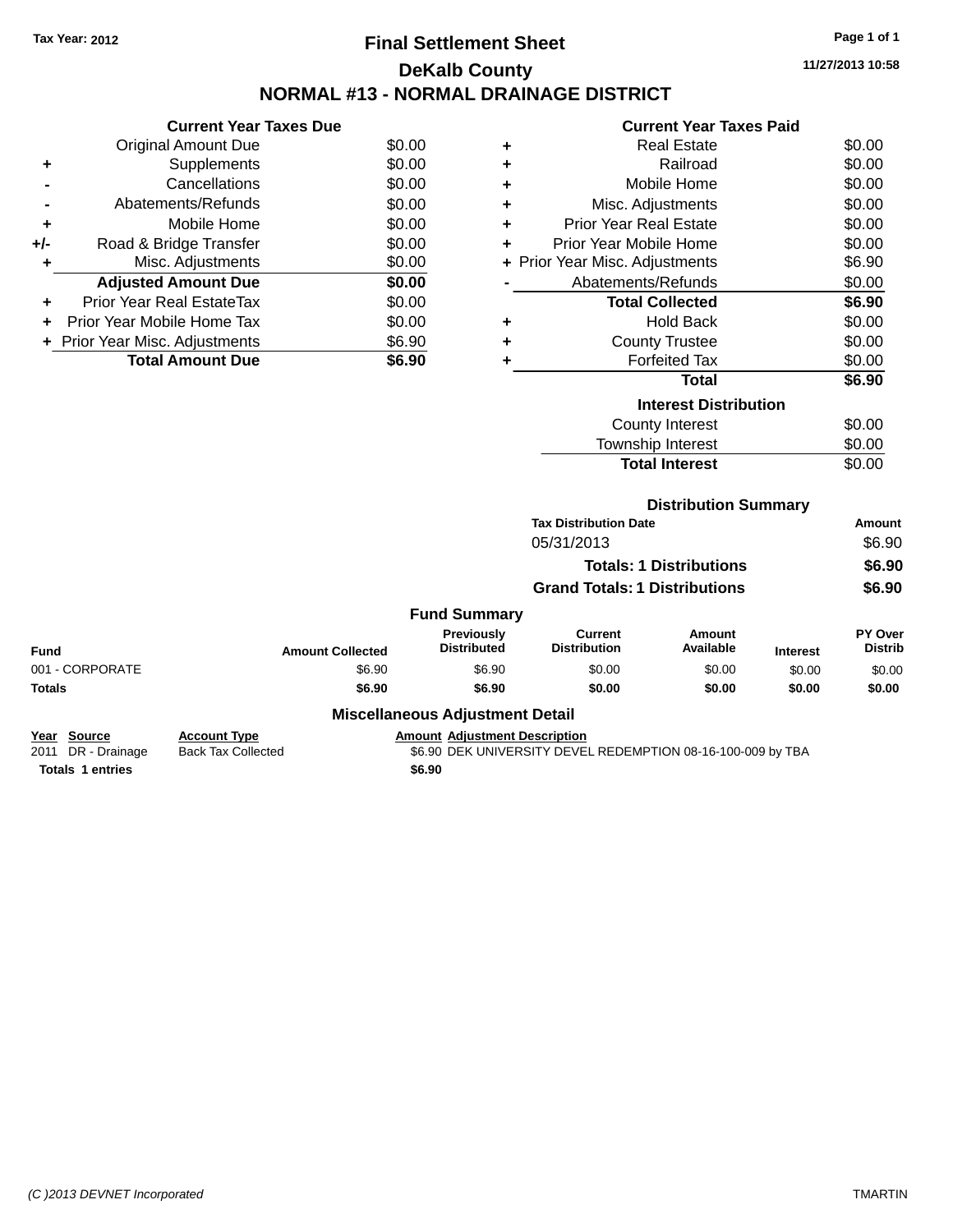# **Final Settlement Sheet Tax Year: 2012 Page 1 of 1 DeKalb County NORMAL #13 - NORMAL DRAINAGE DISTRICT**

**11/27/2013 10:58**

| <b>Current Year Taxes Paid</b> |
|--------------------------------|

|       | <b>Current Year Taxes Due</b>  |        |
|-------|--------------------------------|--------|
|       | Original Amount Due            | \$0.00 |
| ٠     | Supplements                    | \$0.00 |
|       | Cancellations                  | \$0.00 |
|       | Abatements/Refunds             | \$0.00 |
| ٠     | Mobile Home                    | \$0.00 |
| $+/-$ | Road & Bridge Transfer         | \$0.00 |
| ٠     | Misc. Adjustments              | \$0.00 |
|       | <b>Adjusted Amount Due</b>     | \$0.00 |
| ÷     | Prior Year Real EstateTax      | \$0.00 |
|       | Prior Year Mobile Home Tax     | \$0.00 |
|       | + Prior Year Misc. Adjustments | \$6.90 |
|       | <b>Total Amount Due</b>        | \$6.90 |
|       |                                |        |

| ٠ | <b>Real Estate</b>             | \$0.00 |
|---|--------------------------------|--------|
| ٠ | Railroad                       | \$0.00 |
| ٠ | Mobile Home                    | \$0.00 |
| ٠ | Misc. Adjustments              | \$0.00 |
| ٠ | <b>Prior Year Real Estate</b>  | \$0.00 |
| ٠ | Prior Year Mobile Home         | \$0.00 |
|   | + Prior Year Misc. Adjustments | \$6.90 |
|   | Abatements/Refunds             | \$0.00 |
|   | <b>Total Collected</b>         | \$6.90 |
| ٠ | <b>Hold Back</b>               | \$0.00 |
| ÷ | <b>County Trustee</b>          | \$0.00 |
| ٠ | <b>Forfeited Tax</b>           | \$0.00 |
|   | Total                          | \$6.90 |
|   | <b>Interest Distribution</b>   |        |
|   | County Interest                | \$0.00 |
|   | Township Interest              | \$0.00 |
|   | <b>Total Interest</b>          | \$0.00 |

|  |  |  | <b>Distribution Summary</b> |  |  |
|--|--|--|-----------------------------|--|--|
|  |  |  |                             |  |  |

|                     | <b>Tax Distribution Date</b>         | Amount |
|---------------------|--------------------------------------|--------|
|                     | 05/31/2013                           | \$6.90 |
|                     | <b>Totals: 1 Distributions</b>       | \$6.90 |
|                     | <b>Grand Totals: 1 Distributions</b> | \$6.90 |
| <b>Fund Summary</b> |                                      |        |

| <b>Fund</b>                       |                 | <b>Amount Collected</b> | Previously<br><b>Distributed</b>       | Current<br><b>Distribution</b> | <b>Amount</b><br>Available | <b>Interest</b> | <b>PY Over</b><br><b>Distrib</b> |
|-----------------------------------|-----------------|-------------------------|----------------------------------------|--------------------------------|----------------------------|-----------------|----------------------------------|
| 001 - CORPORATE                   |                 | \$6.90                  | \$6.90                                 | \$0.00                         | \$0.00                     | \$0.00          | \$0.00                           |
| <b>Totals</b>                     |                 | \$6.90                  | \$6.90                                 | \$0.00                         | \$0.00                     | \$0.00          | \$0.00                           |
|                                   |                 |                         | <b>Miscellaneous Adjustment Detail</b> |                                |                            |                 |                                  |
| $V_{\text{max}}$ $R_{\text{max}}$ | $A - 1 - 1 = 1$ |                         | American Additional Dependent on       |                                |                            |                 |                                  |

| Year Source             | <b>Account Type</b> | <b>Amount Adiustment Description</b>                        |
|-------------------------|---------------------|-------------------------------------------------------------|
| 2011 DR - Drainage      | Back Tax Collected  | \$6.90 DEK UNIVERSITY DEVEL REDEMPTION 08-16-100-009 by TBA |
| <b>Totals 1 entries</b> |                     | \$6.90                                                      |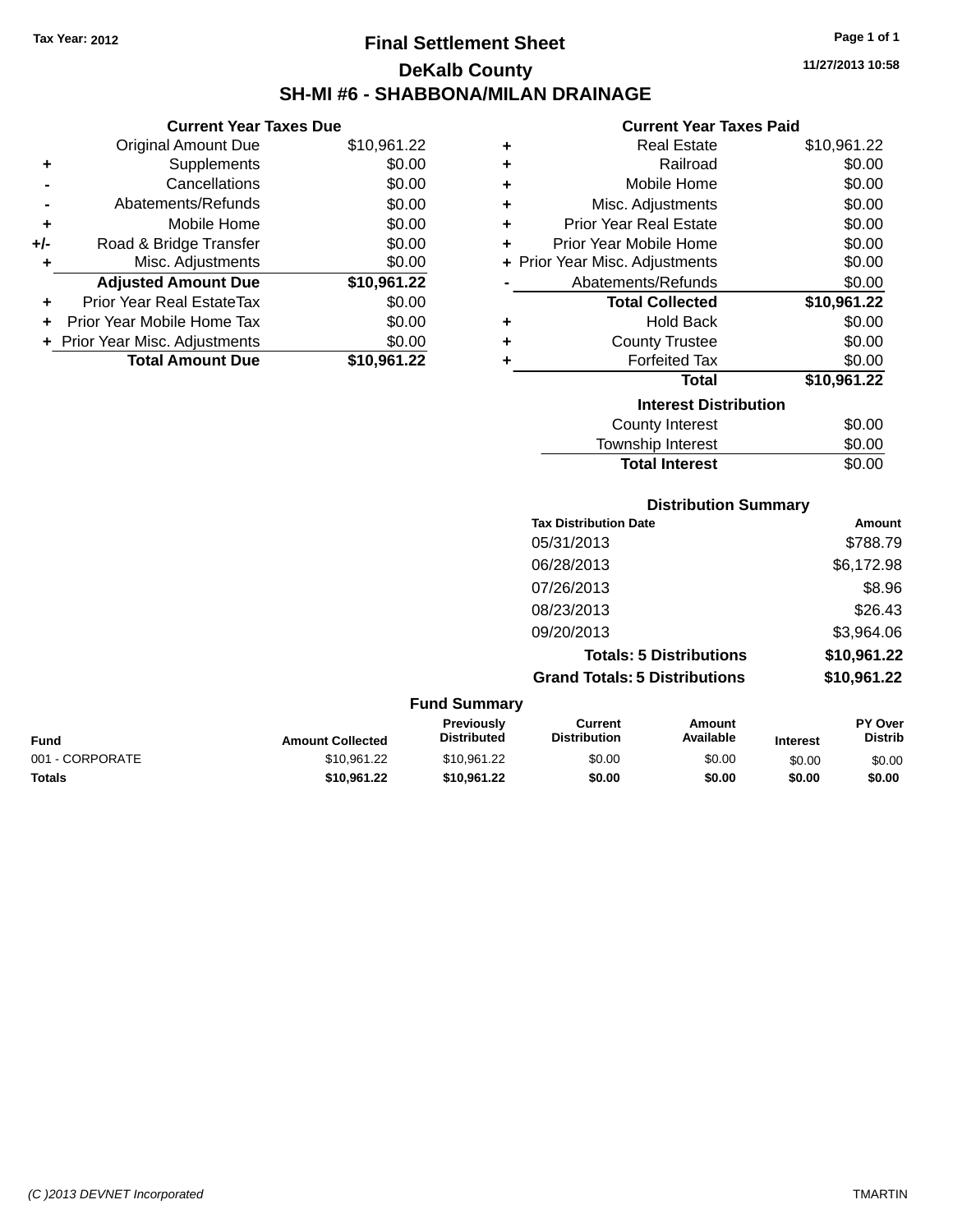# **Final Settlement Sheet Tax Year: 2012 Page 1 of 1 DeKalb County SH-MI #6 - SHABBONA/MILAN DRAINAGE**

**11/27/2013 10:58**

#### **Current Year Taxes Paid**

|     | <b>Current Year Taxes Due</b>  |             |
|-----|--------------------------------|-------------|
|     | <b>Original Amount Due</b>     | \$10,961.22 |
| ٠   | Supplements                    | \$0.00      |
|     | Cancellations                  | \$0.00      |
|     | Abatements/Refunds             | \$0.00      |
| ٠   | Mobile Home                    | \$0.00      |
| +/- | Road & Bridge Transfer         | \$0.00      |
| ٠   | Misc. Adjustments              | \$0.00      |
|     | <b>Adjusted Amount Due</b>     | \$10,961.22 |
|     | Prior Year Real EstateTax      | \$0.00      |
| ٠   | Prior Year Mobile Home Tax     | \$0.00      |
|     | + Prior Year Misc. Adjustments | \$0.00      |
|     | <b>Total Amount Due</b>        | \$10,961.22 |

| ٠                            | <b>Real Estate</b>             | \$10,961.22 |  |  |  |
|------------------------------|--------------------------------|-------------|--|--|--|
| ÷                            | Railroad                       | \$0.00      |  |  |  |
| ÷                            | Mobile Home                    | \$0.00      |  |  |  |
| ÷                            | Misc. Adjustments              | \$0.00      |  |  |  |
| ÷                            | <b>Prior Year Real Estate</b>  | \$0.00      |  |  |  |
| ٠                            | Prior Year Mobile Home         | \$0.00      |  |  |  |
|                              | + Prior Year Misc. Adjustments | \$0.00      |  |  |  |
|                              | Abatements/Refunds             | \$0.00      |  |  |  |
|                              | <b>Total Collected</b>         | \$10,961.22 |  |  |  |
| ٠                            | <b>Hold Back</b>               | \$0.00      |  |  |  |
| ٠                            | <b>County Trustee</b>          | \$0.00      |  |  |  |
| ٠                            | <b>Forfeited Tax</b>           | \$0.00      |  |  |  |
|                              | <b>Total</b>                   | \$10,961.22 |  |  |  |
| <b>Interest Distribution</b> |                                |             |  |  |  |
|                              | <b>County Interest</b>         | \$0.00      |  |  |  |
|                              | <b>Township Interest</b>       | \$0.00      |  |  |  |
|                              | <b>Total Interest</b>          | \$0.00      |  |  |  |

| <b>Tax Distribution Date</b>         | Amount      |
|--------------------------------------|-------------|
| 05/31/2013                           | \$788.79    |
| 06/28/2013                           | \$6,172.98  |
| 07/26/2013                           | \$8.96      |
| 08/23/2013                           | \$26.43     |
| 09/20/2013                           | \$3,964.06  |
| <b>Totals: 5 Distributions</b>       | \$10,961.22 |
| <b>Grand Totals: 5 Distributions</b> | \$10,961.22 |

**Distribution Summary**

#### **Fund Summary Fund Interest Amount Collected Distributed PY Over Distrib Amount Available Current Distribution Previously** 001 - CORPORATE \$10,961.22 \$10,961.22 \$0.00 \$0.00 \$0.00 \$0.00 **Totals \$10,961.22 \$10,961.22 \$0.00 \$0.00 \$0.00 \$0.00**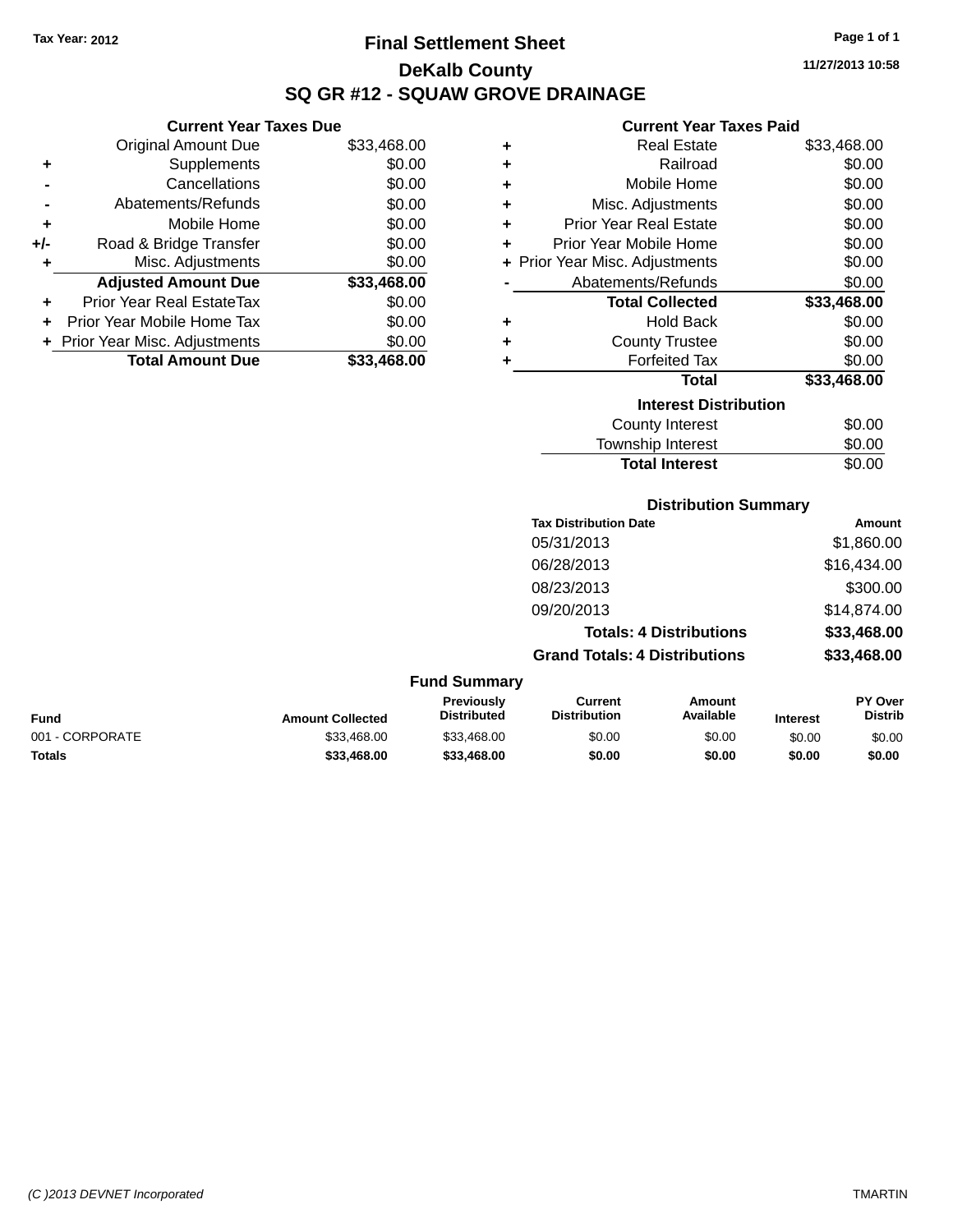**+** Supplements **-** Cancellations **-** Abatements/Refunds **+** Mobile Home **+/-** Road & Bridge Transfer **+** Misc. Adjustments

**+** Prior Year Real EstateTax \$0.00 **+** Prior Year Mobile Home Tax **+** Prior Year Misc. Adjustments

**Current Year Taxes Due**

# **Final Settlement Sheet Tax Year: 2012 Page 1 of 1 DeKalb County SQ GR #12 - SQUAW GROVE DRAINAGE**

**11/27/2013 10:58**

**Total Interest** \$0.00

| <b>Current Year Taxes Due</b> |             |   | <b>Current Year Taxes Paid</b> |             |
|-------------------------------|-------------|---|--------------------------------|-------------|
| Original Amount Due           | \$33,468.00 | ٠ | <b>Real Estate</b>             | \$33,468.00 |
| Supplements                   | \$0.00      | ٠ | Railroad                       | \$0.00      |
| Cancellations                 | \$0.00      | ٠ | Mobile Home                    | \$0.00      |
| Abatements/Refunds            | \$0.00      | ٠ | Misc. Adjustments              | \$0.00      |
| Mobile Home                   | \$0.00      | ٠ | <b>Prior Year Real Estate</b>  | \$0.00      |
| Road & Bridge Transfer        | \$0.00      |   | Prior Year Mobile Home         | \$0.00      |
| Misc. Adjustments             | \$0.00      |   | + Prior Year Misc. Adjustments | \$0.00      |
| <b>Adjusted Amount Due</b>    | \$33,468.00 |   | Abatements/Refunds             | \$0.00      |
| rior Year Real EstateTax      | \$0.00      |   | <b>Total Collected</b>         | \$33,468.00 |
| r Year Mobile Home Tax        | \$0.00      | ٠ | <b>Hold Back</b>               | \$0.00      |
| Year Misc. Adjustments        | \$0.00      | ٠ | <b>County Trustee</b>          | \$0.00      |
| <b>Total Amount Due</b>       | \$33,468.00 |   | <b>Forfeited Tax</b>           | \$0.00      |
|                               |             |   | <b>Total</b>                   | \$33,468.00 |
|                               |             |   | <b>Interest Distribution</b>   |             |
|                               |             |   | <b>County Interest</b>         | \$0.00      |
|                               |             |   | <b>Township Interest</b>       | \$0.00      |

|                 |                         |                                  |                                      | <b>Distribution Summary</b>    |                 |                           |
|-----------------|-------------------------|----------------------------------|--------------------------------------|--------------------------------|-----------------|---------------------------|
|                 |                         |                                  | <b>Tax Distribution Date</b>         |                                |                 | <b>Amount</b>             |
|                 |                         |                                  | 05/31/2013                           |                                |                 | \$1,860.00                |
|                 |                         |                                  | 06/28/2013                           |                                |                 | \$16,434.00               |
|                 |                         |                                  | 08/23/2013                           |                                |                 | \$300.00                  |
|                 |                         |                                  | 09/20/2013                           |                                |                 | \$14,874.00               |
|                 |                         |                                  |                                      | <b>Totals: 4 Distributions</b> |                 | \$33,468.00               |
|                 |                         |                                  | <b>Grand Totals: 4 Distributions</b> |                                |                 | \$33,468.00               |
|                 |                         | <b>Fund Summary</b>              |                                      |                                |                 |                           |
| <b>Fund</b>     | <b>Amount Collected</b> | Previously<br><b>Distributed</b> | Current<br><b>Distribution</b>       | <b>Amount</b><br>Available     | <b>Interest</b> | PY Over<br><b>Distrib</b> |
| 001 - CORPORATE | \$33,468.00             | \$33,468.00                      | \$0.00                               | \$0.00                         | \$0.00          | \$0.00                    |

**Totals \$33,468.00 \$33,468.00 \$0.00 \$0.00 \$0.00 \$0.00**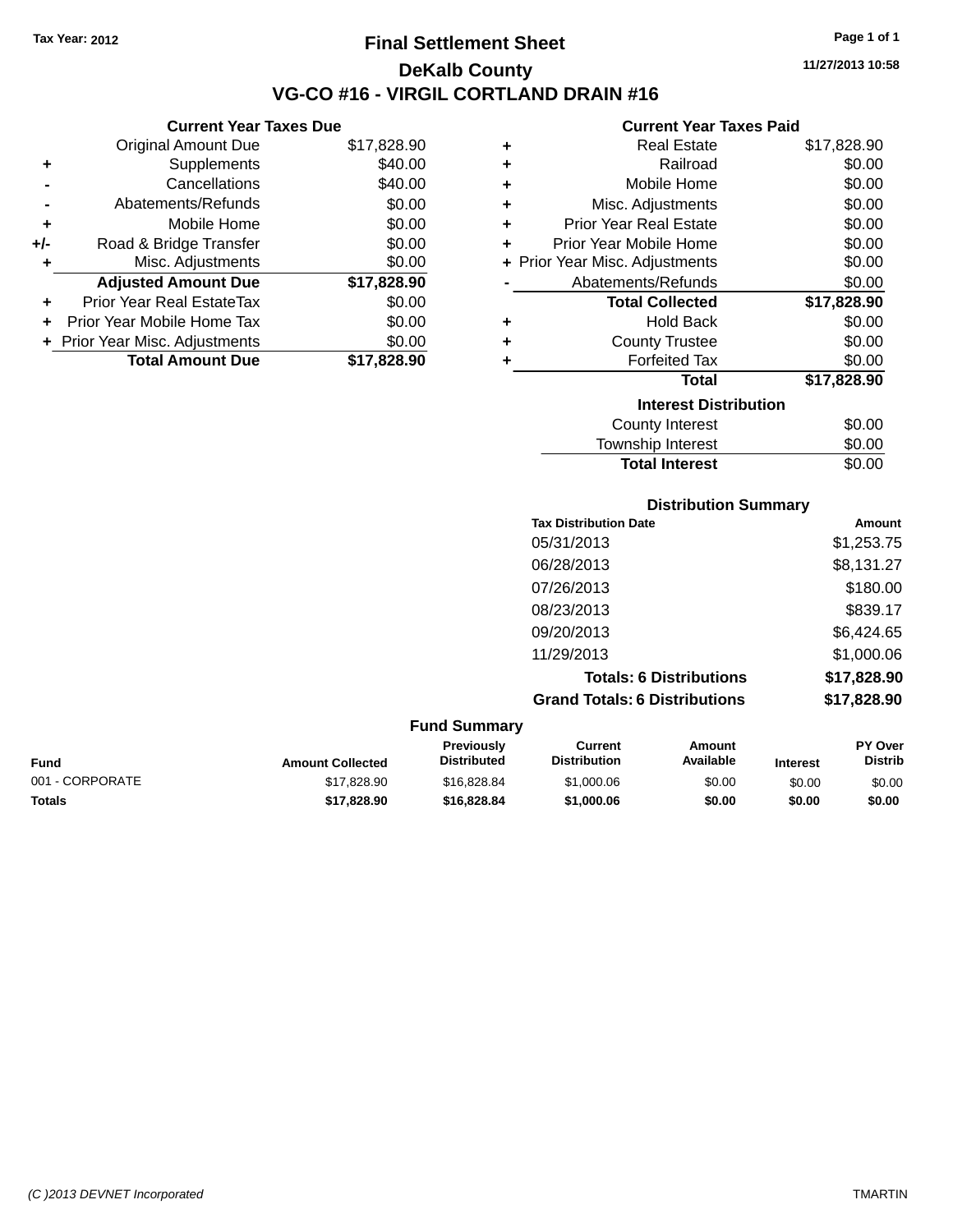**Current Year Taxes Due** Original Amount Due \$17,828.90

**Adjusted Amount Due \$17,828.90**

**Total Amount Due \$17,828.90**

**+** Supplements \$40.00 **-** Cancellations \$40.00 **-** Abatements/Refunds \$0.00 **+** Mobile Home \$0.00 **+/-** Road & Bridge Transfer \$0.00 **+** Misc. Adjustments \$0.00

**+** Prior Year Real EstateTax \$0.00 **+** Prior Year Mobile Home Tax \$0.00 **+ Prior Year Misc. Adjustments**  $$0.00$ 

### **Final Settlement Sheet Tax Year: 2012 Page 1 of 1 DeKalb County VG-CO #16 - VIRGIL CORTLAND DRAIN #16**

**11/27/2013 10:58**

### **Current Year Taxes Paid**

**Total Interest** \$0.00

| ٠ | <b>Real Estate</b>             | \$17,828.90 |
|---|--------------------------------|-------------|
| ٠ | Railroad                       | \$0.00      |
| ٠ | Mobile Home                    | \$0.00      |
| ٠ | Misc. Adjustments              | \$0.00      |
| ٠ | <b>Prior Year Real Estate</b>  | \$0.00      |
| ٠ | Prior Year Mobile Home         | \$0.00      |
|   | + Prior Year Misc. Adjustments | \$0.00      |
|   | Abatements/Refunds             | \$0.00      |
|   | <b>Total Collected</b>         | \$17,828.90 |
| ٠ | <b>Hold Back</b>               | \$0.00      |
| ٠ | <b>County Trustee</b>          | \$0.00      |
| ٠ | <b>Forfeited Tax</b>           | \$0.00      |
|   | <b>Total</b>                   | \$17,828.90 |
|   | <b>Interest Distribution</b>   |             |
|   | County Interest                | \$0.00      |
|   | <b>Township Interest</b>       | \$0.00      |

|                 |                         |                                  | <b>Distribution Summary</b>           |                                |                 |                           |
|-----------------|-------------------------|----------------------------------|---------------------------------------|--------------------------------|-----------------|---------------------------|
|                 |                         |                                  | <b>Tax Distribution Date</b>          |                                |                 | Amount                    |
|                 |                         |                                  | 05/31/2013                            |                                |                 | \$1,253.75                |
|                 |                         |                                  | 06/28/2013                            |                                |                 | \$8,131.27                |
|                 |                         |                                  | 07/26/2013                            |                                |                 | \$180.00                  |
|                 |                         |                                  | 08/23/2013                            |                                |                 | \$839.17                  |
|                 |                         |                                  | 09/20/2013                            |                                |                 | \$6,424.65                |
|                 |                         |                                  | 11/29/2013                            |                                |                 | \$1,000.06                |
|                 |                         |                                  |                                       | <b>Totals: 6 Distributions</b> |                 | \$17,828.90               |
|                 |                         |                                  | <b>Grand Totals: 6 Distributions</b>  |                                |                 | \$17,828.90               |
|                 |                         | <b>Fund Summary</b>              |                                       |                                |                 |                           |
| <b>Fund</b>     | <b>Amount Collected</b> | Previously<br><b>Distributed</b> | <b>Current</b><br><b>Distribution</b> | Amount<br>Available            | <b>Interest</b> | PY Over<br><b>Distrib</b> |
| 001 - CORPORATE | \$17,828.90             | \$16,828.84                      | \$1,000.06                            | \$0.00                         | \$0.00          | \$0.00                    |

**Totals \$17,828.90 \$16,828.84 \$1,000.06 \$0.00 \$0.00 \$0.00**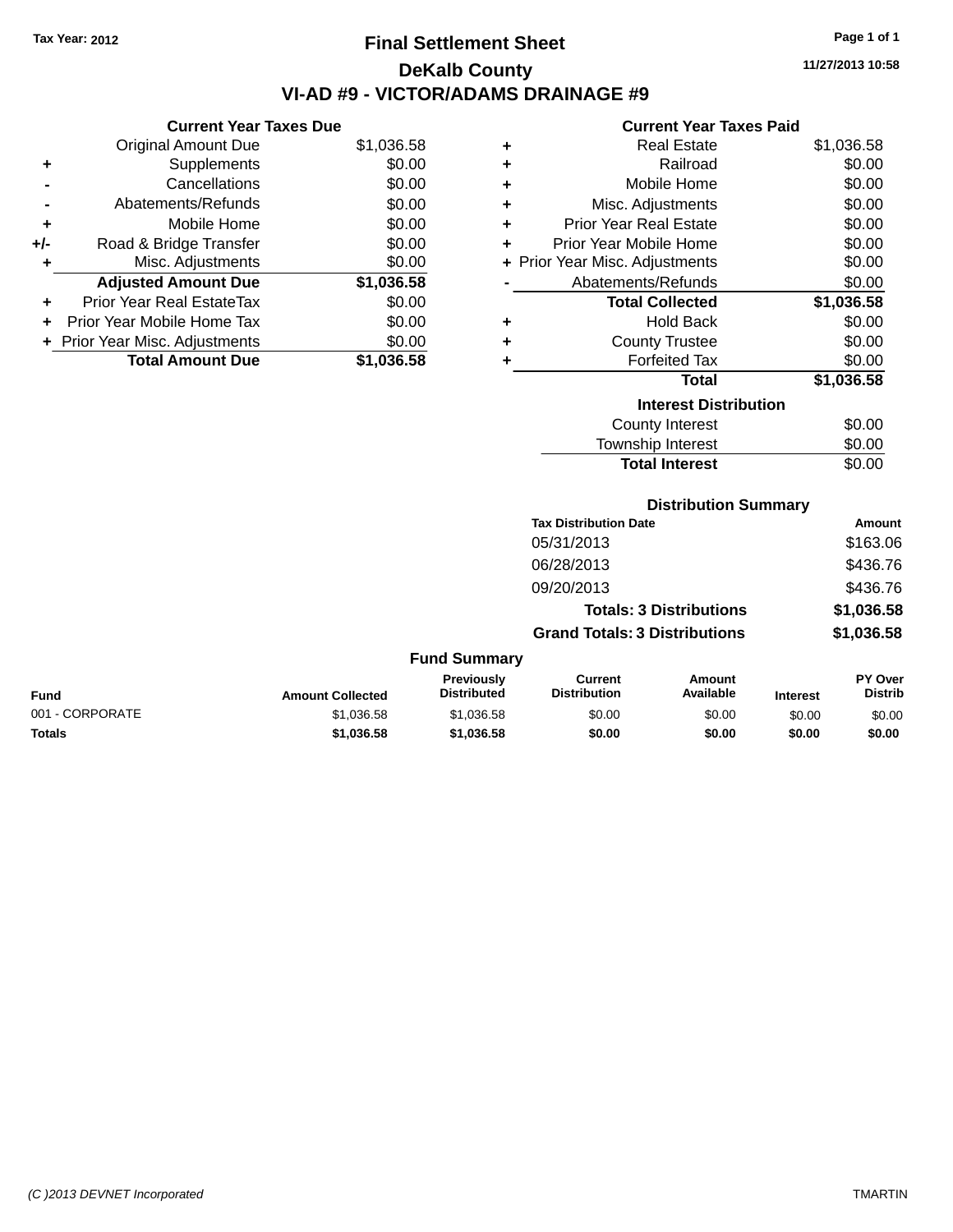# **Final Settlement Sheet Tax Year: 2012 Page 1 of 1 DeKalb County VI-AD #9 - VICTOR/ADAMS DRAINAGE #9**

**11/27/2013 10:58**

#### **Current Year Taxes Paid**

| <b>Current Year Taxes Due</b> |                              |  |  |  |  |  |  |
|-------------------------------|------------------------------|--|--|--|--|--|--|
| <b>Original Amount Due</b>    | \$1,036.58                   |  |  |  |  |  |  |
| Supplements                   | \$0.00                       |  |  |  |  |  |  |
| Cancellations                 | \$0.00                       |  |  |  |  |  |  |
| Abatements/Refunds            | \$0.00                       |  |  |  |  |  |  |
| Mobile Home                   | \$0.00                       |  |  |  |  |  |  |
| Road & Bridge Transfer        | \$0.00                       |  |  |  |  |  |  |
| Misc. Adjustments             | \$0.00                       |  |  |  |  |  |  |
| <b>Adjusted Amount Due</b>    | \$1,036.58                   |  |  |  |  |  |  |
| Prior Year Real EstateTax     | \$0.00                       |  |  |  |  |  |  |
| Prior Year Mobile Home Tax    | \$0.00                       |  |  |  |  |  |  |
|                               | \$0.00                       |  |  |  |  |  |  |
| <b>Total Amount Due</b>       | \$1,036.58                   |  |  |  |  |  |  |
|                               | Prior Year Misc. Adjustments |  |  |  |  |  |  |

| ٠ | <b>Real Estate</b>             | \$1,036.58 |
|---|--------------------------------|------------|
| ٠ | Railroad                       | \$0.00     |
| ÷ | Mobile Home                    | \$0.00     |
| ÷ | Misc. Adjustments              | \$0.00     |
| ٠ | <b>Prior Year Real Estate</b>  | \$0.00     |
| ٠ | Prior Year Mobile Home         | \$0.00     |
|   | + Prior Year Misc. Adjustments | \$0.00     |
|   | Abatements/Refunds             | \$0.00     |
|   | <b>Total Collected</b>         | \$1,036.58 |
|   |                                |            |
| ٠ | Hold Back                      | \$0.00     |
| ٠ | <b>County Trustee</b>          | \$0.00     |
| ٠ | <b>Forfeited Tax</b>           | \$0.00     |
|   | <b>Total</b>                   | \$1,036.58 |
|   | <b>Interest Distribution</b>   |            |
|   | <b>County Interest</b>         | \$0.00     |

| <b>Total Interest</b>        | \$0.00 |
|------------------------------|--------|
| <b>Distribution Summary</b>  |        |
| <b>Tax Distribution Date</b> | Amount |

|                     | Tax Distribution Date                | Amount     |
|---------------------|--------------------------------------|------------|
|                     | 05/31/2013                           | \$163.06   |
|                     | 06/28/2013                           | \$436.76   |
|                     | 09/20/2013                           | \$436.76   |
|                     | <b>Totals: 3 Distributions</b>       | \$1,036.58 |
|                     | <b>Grand Totals: 3 Distributions</b> | \$1,036.58 |
| <b>Fund Summary</b> |                                      |            |

| <b>Fund</b>     | <b>Amount Collected</b> | Previously<br><b>Distributed</b> | Current<br><b>Distribution</b> | Amount<br>Available | <b>Interest</b> | <b>PY Over</b><br><b>Distrib</b> |
|-----------------|-------------------------|----------------------------------|--------------------------------|---------------------|-----------------|----------------------------------|
| 001 - CORPORATE | \$1.036.58              | \$1.036.58                       | \$0.00                         | \$0.00              | \$0.00          | \$0.00                           |
| <b>Totals</b>   | \$1.036.58              | \$1,036.58                       | \$0.00                         | \$0.00              | \$0.00          | \$0.00                           |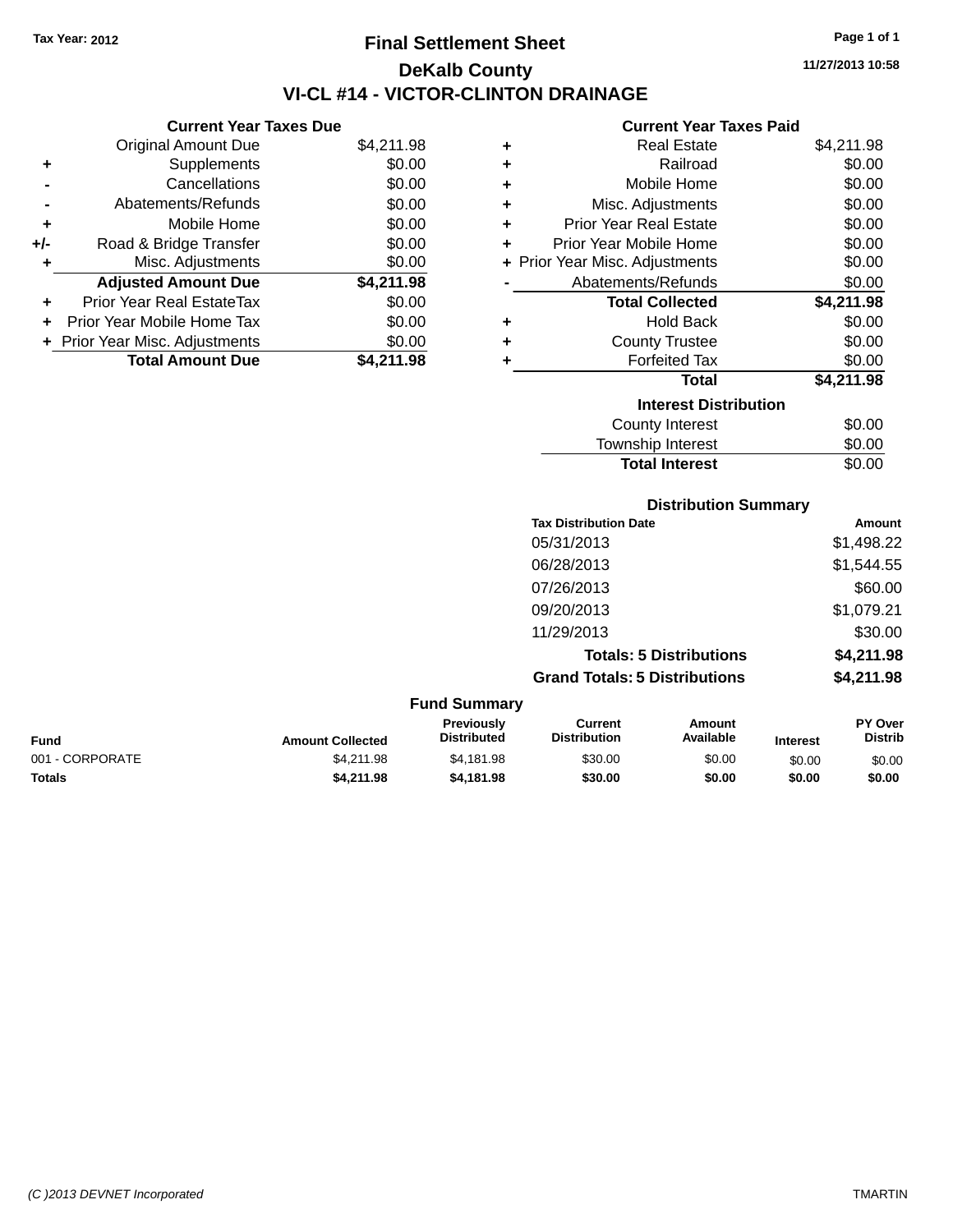# **Final Settlement Sheet Tax Year: 2012 Page 1 of 1 DeKalb County VI-CL #14 - VICTOR-CLINTON DRAINAGE**

**11/27/2013 10:58**

### **Current Year Taxes Paid**

|     | <b>Current Year Taxes Due</b>  |            |  |  |  |  |
|-----|--------------------------------|------------|--|--|--|--|
|     | <b>Original Amount Due</b>     | \$4,211.98 |  |  |  |  |
| ٠   | Supplements                    | \$0.00     |  |  |  |  |
|     | Cancellations                  | \$0.00     |  |  |  |  |
|     | Abatements/Refunds             | \$0.00     |  |  |  |  |
| ٠   | Mobile Home                    | \$0.00     |  |  |  |  |
| +/- | Road & Bridge Transfer         | \$0.00     |  |  |  |  |
| ٠   | Misc. Adjustments              | \$0.00     |  |  |  |  |
|     | <b>Adjusted Amount Due</b>     | \$4,211.98 |  |  |  |  |
| ٠   | Prior Year Real EstateTax      | \$0.00     |  |  |  |  |
| ÷   | Prior Year Mobile Home Tax     | \$0.00     |  |  |  |  |
|     | + Prior Year Misc. Adjustments | \$0.00     |  |  |  |  |
|     | <b>Total Amount Due</b>        | \$4.211.98 |  |  |  |  |
|     |                                |            |  |  |  |  |

| ٠ | <b>Real Estate</b>             | \$4,211.98 |
|---|--------------------------------|------------|
| ٠ | Railroad                       | \$0.00     |
| ٠ | Mobile Home                    | \$0.00     |
| ٠ | Misc. Adjustments              | \$0.00     |
| ÷ | Prior Year Real Estate         | \$0.00     |
| ÷ | Prior Year Mobile Home         | \$0.00     |
|   | + Prior Year Misc. Adjustments | \$0.00     |
|   | Abatements/Refunds             | \$0.00     |
|   | <b>Total Collected</b>         | \$4,211.98 |
| ٠ | <b>Hold Back</b>               | \$0.00     |
| ٠ | <b>County Trustee</b>          | \$0.00     |
| ٠ | <b>Forfeited Tax</b>           | \$0.00     |
|   | <b>Total</b>                   | \$4,211.98 |
|   | <b>Interest Distribution</b>   |            |
|   | <b>County Interest</b>         | \$0.00     |
|   | Township Interest              | \$0.00     |
|   | <b>Total Interest</b>          | \$0.00     |

**Tax Distribution Date Amount** 05/31/2013 \$1,498.22 06/28/2013 \$1,544.55 07/26/2013 \$60.00 09/20/2013 \$1,079.21 11/29/2013 \$30.00 **Totals: 5 Distributions \$4,211.98 Grand Totals: 5 Distributions \$4,211.98**

**Distribution Summary**

| <b>Fund Summary</b> |                         |                                  |                                |                     |                 |                           |
|---------------------|-------------------------|----------------------------------|--------------------------------|---------------------|-----------------|---------------------------|
| Fund                | <b>Amount Collected</b> | Previously<br><b>Distributed</b> | Current<br><b>Distribution</b> | Amount<br>Available | <b>Interest</b> | PY Over<br><b>Distrib</b> |
| 001 - CORPORATE     | \$4.211.98              | \$4.181.98                       | \$30.00                        | \$0.00              | \$0.00          | \$0.00                    |
| <b>Totals</b>       | \$4,211.98              | \$4.181.98                       | \$30.00                        | \$0.00              | \$0.00          | \$0.00                    |